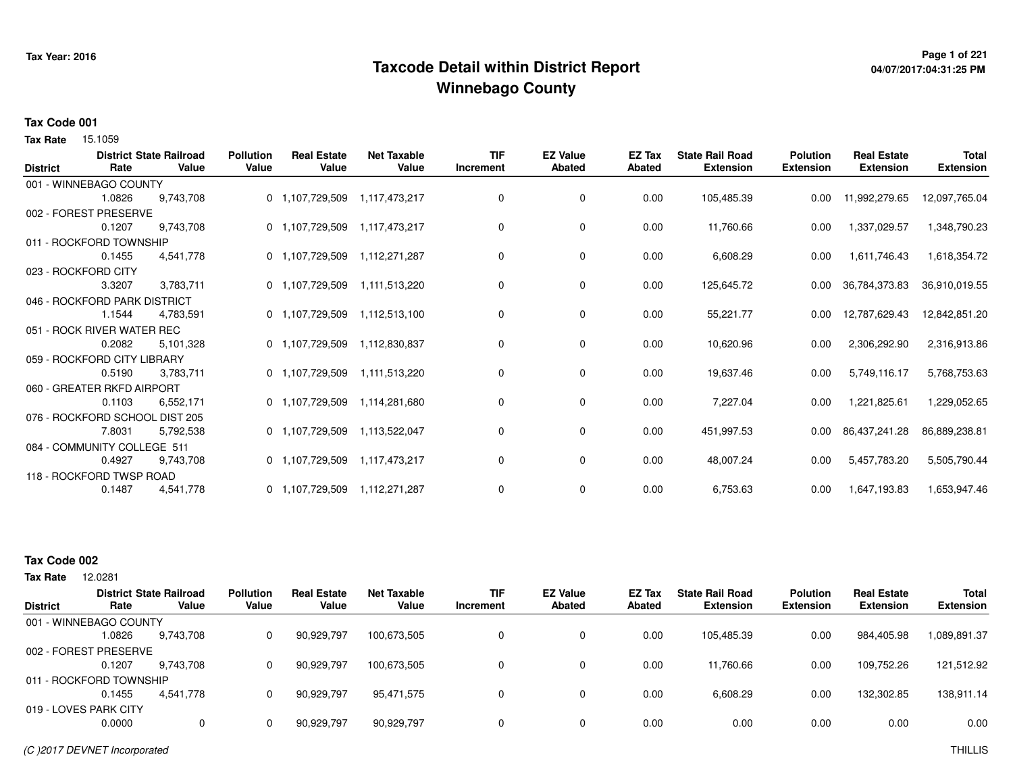## **Page 1 of 221 Taxcode Detail within District ReportWinnebago County**

# **04/07/2017:04:31:25 PM**

#### **Tax Code 001**

**Tax Rate** 15.1059

| <b>District</b> | Rate                           | <b>District State Railroad</b><br>Value | <b>Pollution</b><br>Value | <b>Real Estate</b><br>Value | <b>Net Taxable</b><br>Value | <b>TIF</b><br>Increment | <b>EZ Value</b><br><b>Abated</b> | <b>EZ Tax</b><br><b>Abated</b> | <b>State Rail Road</b><br><b>Extension</b> | <b>Polution</b><br><b>Extension</b> | <b>Real Estate</b><br><b>Extension</b> | <b>Total</b><br><b>Extension</b> |
|-----------------|--------------------------------|-----------------------------------------|---------------------------|-----------------------------|-----------------------------|-------------------------|----------------------------------|--------------------------------|--------------------------------------------|-------------------------------------|----------------------------------------|----------------------------------|
|                 | 001 - WINNEBAGO COUNTY         |                                         |                           |                             |                             |                         |                                  |                                |                                            |                                     |                                        |                                  |
|                 | 1.0826                         | 9,743,708                               |                           | 0 1,107,729,509             | 1,117,473,217               | 0                       | 0                                | 0.00                           | 105,485.39                                 | 0.00                                | 11,992,279.65                          | 12,097,765.04                    |
|                 | 002 - FOREST PRESERVE          |                                         |                           |                             |                             |                         |                                  |                                |                                            |                                     |                                        |                                  |
|                 | 0.1207                         | 9,743,708                               |                           | 0 1,107,729,509             | 1,117,473,217               | 0                       | 0                                | 0.00                           | 11,760.66                                  | 0.00                                | 1,337,029.57                           | 1,348,790.23                     |
|                 | 011 - ROCKFORD TOWNSHIP        |                                         |                           |                             |                             |                         |                                  |                                |                                            |                                     |                                        |                                  |
|                 | 0.1455                         | 4,541,778                               |                           | 0 1,107,729,509             | 1,112,271,287               | 0                       | 0                                | 0.00                           | 6,608.29                                   | 0.00                                | 1,611,746.43                           | 1,618,354.72                     |
|                 | 023 - ROCKFORD CITY            |                                         |                           |                             |                             |                         |                                  |                                |                                            |                                     |                                        |                                  |
|                 | 3.3207                         | 3,783,711                               |                           | 0 1,107,729,509             | 1,111,513,220               | 0                       | 0                                | 0.00                           | 125,645.72                                 | 0.00                                | 36,784,373.83                          | 36,910,019.55                    |
|                 | 046 - ROCKFORD PARK DISTRICT   |                                         |                           |                             |                             |                         |                                  |                                |                                            |                                     |                                        |                                  |
|                 | 1.1544                         | 4,783,591                               |                           | 0 1,107,729,509             | 1,112,513,100               | 0                       | $\mathbf 0$                      | 0.00                           | 55,221.77                                  | 0.00                                | 12,787,629.43                          | 12,842,851.20                    |
|                 | 051 - ROCK RIVER WATER REC     |                                         |                           |                             |                             |                         |                                  |                                |                                            |                                     |                                        |                                  |
|                 | 0.2082                         | 5,101,328                               |                           | 0 1,107,729,509             | 1,112,830,837               | 0                       | 0                                | 0.00                           | 10,620.96                                  | 0.00                                | 2,306,292.90                           | 2,316,913.86                     |
|                 | 059 - ROCKFORD CITY LIBRARY    |                                         |                           |                             |                             |                         |                                  |                                |                                            |                                     |                                        |                                  |
|                 | 0.5190                         | 3,783,711                               |                           | 0 1,107,729,509             | 1,111,513,220               | 0                       | 0                                | 0.00                           | 19,637.46                                  | 0.00                                | 5,749,116.17                           | 5,768,753.63                     |
|                 | 060 - GREATER RKFD AIRPORT     |                                         |                           |                             |                             |                         |                                  |                                |                                            |                                     |                                        |                                  |
|                 | 0.1103                         | 6,552,171                               |                           | 0 1,107,729,509             | 1,114,281,680               | 0                       | $\mathbf 0$                      | 0.00                           | 7,227.04                                   | 0.00                                | 1,221,825.61                           | 1,229,052.65                     |
|                 | 076 - ROCKFORD SCHOOL DIST 205 |                                         |                           |                             |                             |                         |                                  |                                |                                            |                                     |                                        |                                  |
|                 | 7.8031                         | 5,792,538                               |                           | 0 1,107,729,509             | 1,113,522,047               | 0                       | $\mathbf 0$                      | 0.00                           | 451,997.53                                 | $0.00\,$                            | 86,437,241.28                          | 86,889,238.81                    |
|                 | 084 - COMMUNITY COLLEGE 511    |                                         |                           |                             |                             |                         |                                  |                                |                                            |                                     |                                        |                                  |
|                 | 0.4927                         | 9,743,708                               |                           | 0 1,107,729,509             | 1,117,473,217               | 0                       | 0                                | 0.00                           | 48,007.24                                  | 0.00                                | 5,457,783.20                           | 5,505,790.44                     |
|                 | 118 - ROCKFORD TWSP ROAD       |                                         |                           |                             |                             |                         |                                  |                                |                                            |                                     |                                        |                                  |
|                 | 0.1487                         | 4,541,778                               |                           | 0 1,107,729,509             | 1,112,271,287               | 0                       | 0                                | 0.00                           | 6,753.63                                   | 0.00                                | 1,647,193.83                           | 1,653,947.46                     |

### **Tax Code 002**

12.0281 **Tax Rate**

|                         |        | <b>District State Railroad</b> | <b>Pollution</b> | <b>Real Estate</b> | <b>Net Taxable</b> | <b>TIF</b> | <b>EZ Value</b> | EZ Tax | <b>State Rail Road</b> | <b>Polution</b>  | <b>Real Estate</b> | <b>Total</b>     |
|-------------------------|--------|--------------------------------|------------------|--------------------|--------------------|------------|-----------------|--------|------------------------|------------------|--------------------|------------------|
| <b>District</b>         | Rate   | Value                          | Value            | Value              | Value              | Increment  | <b>Abated</b>   | Abated | <b>Extension</b>       | <b>Extension</b> | <b>Extension</b>   | <b>Extension</b> |
| 001 - WINNEBAGO COUNTY  |        |                                |                  |                    |                    |            |                 |        |                        |                  |                    |                  |
|                         | .0826  | 9.743.708                      | 0                | 90,929,797         | 100.673.505        | 0          |                 | 0.00   | 105.485.39             | 0.00             | 984.405.98         | 089.891.37 ا     |
| 002 - FOREST PRESERVE   |        |                                |                  |                    |                    |            |                 |        |                        |                  |                    |                  |
|                         | 0.1207 | 9.743.708                      |                  | 90,929,797         | 100.673.505        | 0          | 0               | 0.00   | 11,760.66              | 0.00             | 109.752.26         | 121,512.92       |
| 011 - ROCKFORD TOWNSHIP |        |                                |                  |                    |                    |            |                 |        |                        |                  |                    |                  |
|                         | 0.1455 | 4.541.778                      |                  | 90,929,797         | 95,471,575         | 0          |                 | 0.00   | 6,608.29               | 0.00             | 132,302.85         | 138,911.14       |
| 019 - LOVES PARK CITY   |        |                                |                  |                    |                    |            |                 |        |                        |                  |                    |                  |
|                         | 0.0000 | 0                              |                  | 90,929,797         | 90,929,797         | 0          |                 | 0.00   | 0.00                   | 0.00             | 0.00               | 0.00             |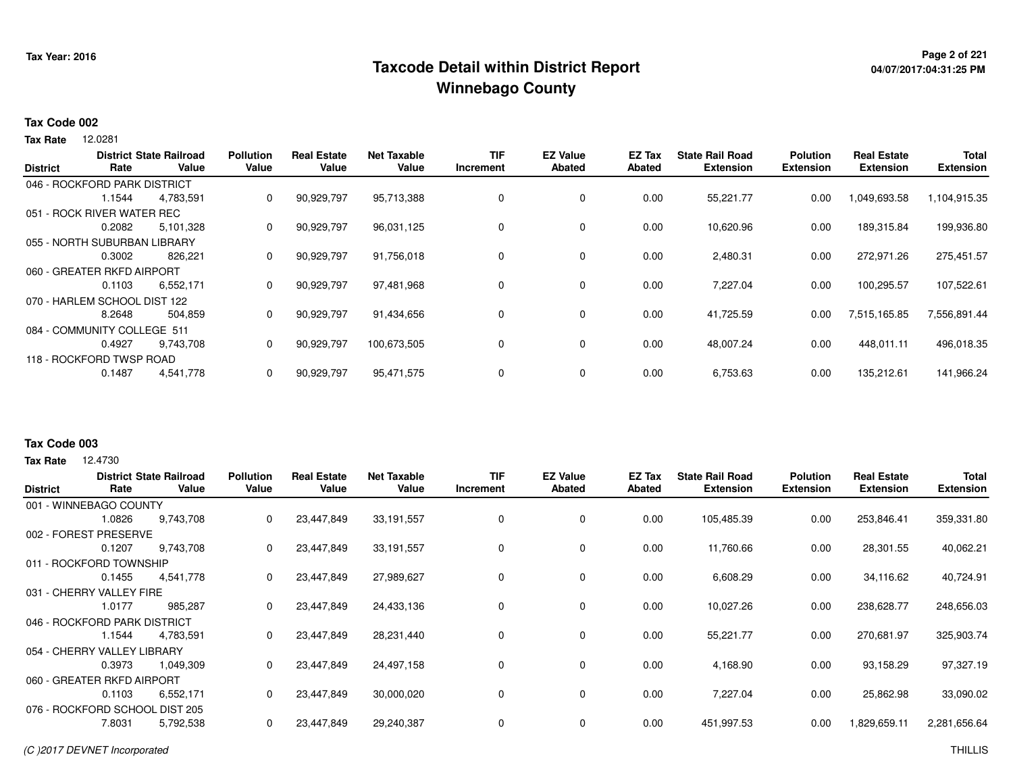## **Page 2 of 221 Taxcode Detail within District ReportWinnebago County**

# **04/07/2017:04:31:25 PM**

#### **Tax Code 002**

12.0281 **Tax Rate**

| <b>District</b> | Rate                         | <b>District State Railroad</b><br>Value | <b>Pollution</b><br>Value | <b>Real Estate</b><br>Value | <b>Net Taxable</b><br>Value | TIF<br>Increment | <b>EZ Value</b><br><b>Abated</b> | EZ Tax<br>Abated | <b>State Rail Road</b><br><b>Extension</b> | <b>Polution</b><br><b>Extension</b> | <b>Real Estate</b><br><b>Extension</b> | <b>Total</b><br><b>Extension</b> |
|-----------------|------------------------------|-----------------------------------------|---------------------------|-----------------------------|-----------------------------|------------------|----------------------------------|------------------|--------------------------------------------|-------------------------------------|----------------------------------------|----------------------------------|
|                 |                              |                                         |                           |                             |                             |                  |                                  |                  |                                            |                                     |                                        |                                  |
|                 | 046 - ROCKFORD PARK DISTRICT |                                         |                           |                             |                             |                  |                                  |                  |                                            |                                     |                                        |                                  |
|                 | 1.1544                       | 4,783,591                               | 0                         | 90,929,797                  | 95,713,388                  | $\Omega$         | 0                                | 0.00             | 55,221.77                                  | 0.00                                | 1,049,693.58                           | 1,104,915.35                     |
|                 | 051 - ROCK RIVER WATER REC   |                                         |                           |                             |                             |                  |                                  |                  |                                            |                                     |                                        |                                  |
|                 | 0.2082                       | 5,101,328                               | 0                         | 90,929,797                  | 96,031,125                  |                  | 0                                | 0.00             | 10,620.96                                  | 0.00                                | 189,315.84                             | 199,936.80                       |
|                 | 055 - NORTH SUBURBAN LIBRARY |                                         |                           |                             |                             |                  |                                  |                  |                                            |                                     |                                        |                                  |
|                 | 0.3002                       | 826,221                                 | 0                         | 90,929,797                  | 91,756,018                  |                  | 0                                | 0.00             | 2,480.31                                   | 0.00                                | 272,971.26                             | 275,451.57                       |
|                 | 060 - GREATER RKFD AIRPORT   |                                         |                           |                             |                             |                  |                                  |                  |                                            |                                     |                                        |                                  |
|                 | 0.1103                       | 6,552,171                               | 0                         | 90,929,797                  | 97,481,968                  |                  | $\mathbf 0$                      | 0.00             | 7,227.04                                   | 0.00                                | 100,295.57                             | 107,522.61                       |
|                 | 070 - HARLEM SCHOOL DIST 122 |                                         |                           |                             |                             |                  |                                  |                  |                                            |                                     |                                        |                                  |
|                 | 8.2648                       | 504,859                                 | 0                         | 90,929,797                  | 91,434,656                  |                  | $\mathbf 0$                      | 0.00             | 41,725.59                                  | 0.00                                | 7,515,165.85                           | 7,556,891.44                     |
|                 | 084 - COMMUNITY COLLEGE 511  |                                         |                           |                             |                             |                  |                                  |                  |                                            |                                     |                                        |                                  |
|                 | 0.4927                       | 9,743,708                               | 0                         | 90,929,797                  | 100,673,505                 |                  | 0                                | 0.00             | 48,007.24                                  | 0.00                                | 448.011.11                             | 496,018.35                       |
|                 | 118 - ROCKFORD TWSP ROAD     |                                         |                           |                             |                             |                  |                                  |                  |                                            |                                     |                                        |                                  |
|                 | 0.1487                       | 4,541,778                               | 0                         | 90,929,797                  | 95,471,575                  |                  | 0                                | 0.00             | 6,753.63                                   | 0.00                                | 135,212.61                             | 141,966.24                       |
|                 |                              |                                         |                           |                             |                             |                  |                                  |                  |                                            |                                     |                                        |                                  |

#### **Tax Code 003**

**Tax Rate** 12,4730

| <b>District</b>                | Rate                         | <b>District State Railroad</b><br>Value | <b>Pollution</b><br>Value | <b>Real Estate</b><br>Value | <b>Net Taxable</b><br>Value | <b>TIF</b><br>Increment | <b>EZ Value</b><br><b>Abated</b> | EZ Tax<br>Abated | <b>State Rail Road</b><br><b>Extension</b> | <b>Polution</b><br><b>Extension</b> | <b>Real Estate</b><br><b>Extension</b> | <b>Total</b><br><b>Extension</b> |
|--------------------------------|------------------------------|-----------------------------------------|---------------------------|-----------------------------|-----------------------------|-------------------------|----------------------------------|------------------|--------------------------------------------|-------------------------------------|----------------------------------------|----------------------------------|
|                                | 001 - WINNEBAGO COUNTY       |                                         |                           |                             |                             |                         |                                  |                  |                                            |                                     |                                        |                                  |
|                                | 1.0826                       | 9,743,708                               | 0                         | 23,447,849                  | 33,191,557                  | 0                       | 0                                | 0.00             | 105,485.39                                 | 0.00                                | 253,846.41                             | 359,331.80                       |
|                                | 002 - FOREST PRESERVE        |                                         |                           |                             |                             |                         |                                  |                  |                                            |                                     |                                        |                                  |
|                                | 0.1207                       | 9,743,708                               | 0                         | 23,447,849                  | 33,191,557                  | 0                       | 0                                | 0.00             | 11,760.66                                  | 0.00                                | 28,301.55                              | 40,062.21                        |
|                                | 011 - ROCKFORD TOWNSHIP      |                                         |                           |                             |                             |                         |                                  |                  |                                            |                                     |                                        |                                  |
|                                | 0.1455                       | 4,541,778                               | 0                         | 23,447,849                  | 27,989,627                  | 0                       | 0                                | 0.00             | 6,608.29                                   | 0.00                                | 34,116.62                              | 40,724.91                        |
| 031 - CHERRY VALLEY FIRE       |                              |                                         |                           |                             |                             |                         |                                  |                  |                                            |                                     |                                        |                                  |
|                                | 1.0177                       | 985.287                                 | 0                         | 23,447,849                  | 24,433,136                  | 0                       | $\mathbf 0$                      | 0.00             | 10,027.26                                  | 0.00                                | 238,628.77                             | 248,656.03                       |
|                                | 046 - ROCKFORD PARK DISTRICT |                                         |                           |                             |                             |                         |                                  |                  |                                            |                                     |                                        |                                  |
|                                | 1.1544                       | 4,783,591                               | 0                         | 23,447,849                  | 28,231,440                  | 0                       | $\mathbf 0$                      | 0.00             | 55,221.77                                  | 0.00                                | 270,681.97                             | 325,903.74                       |
|                                | 054 - CHERRY VALLEY LIBRARY  |                                         |                           |                             |                             |                         |                                  |                  |                                            |                                     |                                        |                                  |
|                                | 0.3973                       | 1,049,309                               | 0                         | 23,447,849                  | 24,497,158                  | 0                       | 0                                | 0.00             | 4,168.90                                   | 0.00                                | 93,158.29                              | 97,327.19                        |
|                                | 060 - GREATER RKFD AIRPORT   |                                         |                           |                             |                             |                         |                                  |                  |                                            |                                     |                                        |                                  |
|                                | 0.1103                       | 6,552,171                               | 0                         | 23,447,849                  | 30,000,020                  | 0                       | 0                                | 0.00             | 7,227.04                                   | 0.00                                | 25,862.98                              | 33,090.02                        |
| 076 - ROCKFORD SCHOOL DIST 205 |                              |                                         |                           |                             |                             |                         |                                  |                  |                                            |                                     |                                        |                                  |
|                                | 7.8031                       | 5,792,538                               | 0                         | 23,447,849                  | 29,240,387                  | 0                       | 0                                | 0.00             | 451,997.53                                 | 0.00                                | 829,659.11                             | 2,281,656.64                     |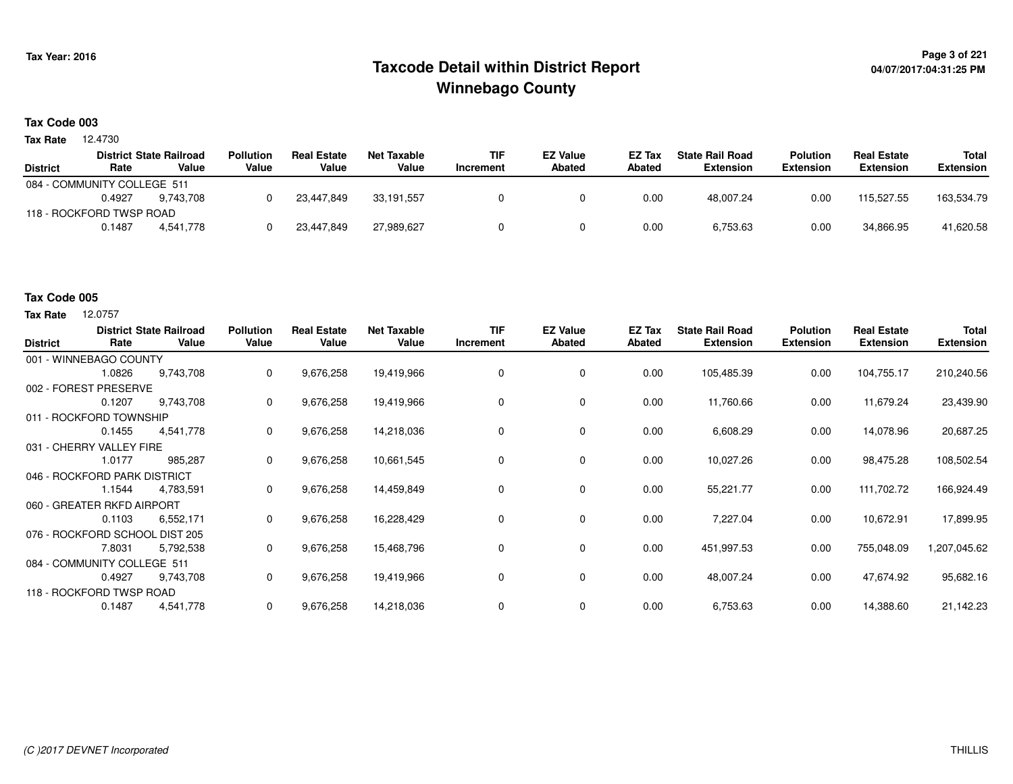## **Page 3 of 221 Taxcode Detail within District ReportWinnebago County**

#### **Tax Code 003**

**Tax Rate** 12.4730

|                             |        | <b>District State Railroad</b> | <b>Pollution</b> | <b>Real Estate</b> | Net Taxable | <b>TIF</b> | <b>EZ Value</b> | <b>EZ Tax</b> | <b>State Rail Road</b> | <b>Polution</b>  | <b>Real Estate</b> | Total            |
|-----------------------------|--------|--------------------------------|------------------|--------------------|-------------|------------|-----------------|---------------|------------------------|------------------|--------------------|------------------|
| <b>District</b>             | Rate   | Value                          | Value            | Value              | Value       | Increment  | Abated          | Abated        | Extension              | <b>Extension</b> | <b>Extension</b>   | <b>Extension</b> |
| 084 - COMMUNITY COLLEGE 511 |        |                                |                  |                    |             |            |                 |               |                        |                  |                    |                  |
|                             | 0.4927 | 9.743.708                      |                  | 23.447.849         | 33.191.557  |            |                 | 0.00          | 48.007.24              | 0.00             | 115.527.55         | 163,534.79       |
| 118 - ROCKFORD TWSP ROAD    |        |                                |                  |                    |             |            |                 |               |                        |                  |                    |                  |
|                             | 0.1487 | 4.541.778                      |                  | 23,447,849         | 27,989,627  |            |                 | 0.00          | 6,753.63               | 0.00             | 34,866.95          | 41,620.58        |

#### **Tax Code 005**

| <b>District</b>                | Rate                     | <b>District State Railroad</b><br>Value | <b>Pollution</b><br>Value | <b>Real Estate</b><br>Value | <b>Net Taxable</b><br>Value | <b>TIF</b><br>Increment | <b>EZ Value</b><br><b>Abated</b> | EZ Tax<br><b>Abated</b> | <b>State Rail Road</b><br><b>Extension</b> | <b>Polution</b><br><b>Extension</b> | <b>Real Estate</b><br><b>Extension</b> | Total<br><b>Extension</b> |
|--------------------------------|--------------------------|-----------------------------------------|---------------------------|-----------------------------|-----------------------------|-------------------------|----------------------------------|-------------------------|--------------------------------------------|-------------------------------------|----------------------------------------|---------------------------|
| 001 - WINNEBAGO COUNTY         |                          |                                         |                           |                             |                             |                         |                                  |                         |                                            |                                     |                                        |                           |
|                                | 1.0826                   | 9,743,708                               | 0                         | 9,676,258                   | 19,419,966                  | $\mathbf 0$             | 0                                | 0.00                    | 105,485.39                                 | 0.00                                | 104,755.17                             | 210,240.56                |
| 002 - FOREST PRESERVE          |                          |                                         |                           |                             |                             |                         |                                  |                         |                                            |                                     |                                        |                           |
|                                | 0.1207                   | 9,743,708                               | 0                         | 9,676,258                   | 19,419,966                  | $\Omega$                | 0                                | 0.00                    | 11,760.66                                  | 0.00                                | 11,679.24                              | 23,439.90                 |
| 011 - ROCKFORD TOWNSHIP        |                          |                                         |                           |                             |                             |                         |                                  |                         |                                            |                                     |                                        |                           |
|                                | 0.1455                   | 4,541,778                               | 0                         | 9,676,258                   | 14,218,036                  | 0                       | 0                                | 0.00                    | 6,608.29                                   | 0.00                                | 14,078.96                              | 20,687.25                 |
|                                | 031 - CHERRY VALLEY FIRE |                                         |                           |                             |                             |                         |                                  |                         |                                            |                                     |                                        |                           |
|                                | 1.0177                   | 985,287                                 | 0                         | 9,676,258                   | 10,661,545                  | 0                       | $\mathbf 0$                      | 0.00                    | 10,027.26                                  | 0.00                                | 98,475.28                              | 108,502.54                |
| 046 - ROCKFORD PARK DISTRICT   |                          |                                         |                           |                             |                             |                         |                                  |                         |                                            |                                     |                                        |                           |
|                                | 1.1544                   | 4,783,591                               | 0                         | 9,676,258                   | 14,459,849                  | 0                       | 0                                | 0.00                    | 55,221.77                                  | 0.00                                | 111,702.72                             | 166,924.49                |
| 060 - GREATER RKFD AIRPORT     |                          |                                         |                           |                             |                             |                         |                                  |                         |                                            |                                     |                                        |                           |
|                                | 0.1103                   | 6,552,171                               | 0                         | 9,676,258                   | 16,228,429                  | 0                       | 0                                | 0.00                    | 7,227.04                                   | 0.00                                | 10,672.91                              | 17,899.95                 |
| 076 - ROCKFORD SCHOOL DIST 205 |                          |                                         |                           |                             |                             |                         |                                  |                         |                                            |                                     |                                        |                           |
|                                | 7.8031                   | 5,792,538                               | 0                         | 9,676,258                   | 15,468,796                  | 0                       | 0                                | 0.00                    | 451,997.53                                 | 0.00                                | 755,048.09                             | 1,207,045.62              |
| 084 - COMMUNITY COLLEGE 511    |                          |                                         |                           |                             |                             |                         |                                  |                         |                                            |                                     |                                        |                           |
|                                | 0.4927                   | 9,743,708                               | 0                         | 9,676,258                   | 19,419,966                  | 0                       | 0                                | 0.00                    | 48,007.24                                  | 0.00                                | 47,674.92                              | 95,682.16                 |
| 118 - ROCKFORD TWSP ROAD       |                          |                                         |                           |                             |                             |                         |                                  |                         |                                            |                                     |                                        |                           |
|                                | 0.1487                   | 4,541,778                               | 0                         | 9,676,258                   | 14,218,036                  |                         | 0                                | 0.00                    | 6,753.63                                   | 0.00                                | 14,388.60                              | 21,142.23                 |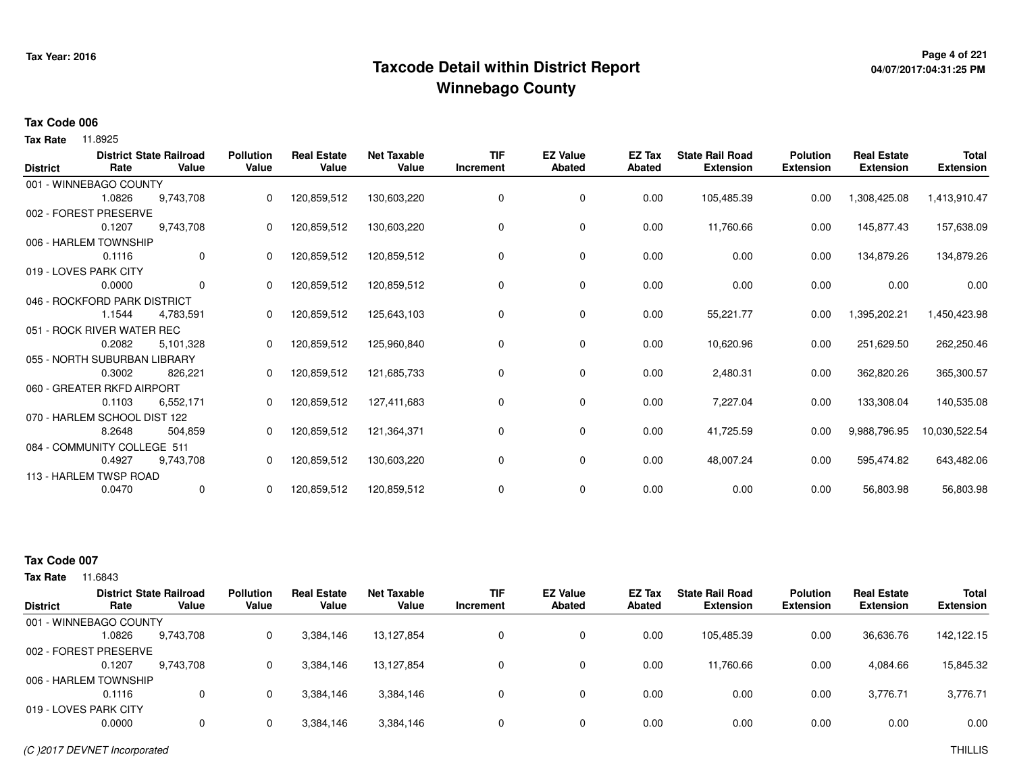## **Page 4 of 221 Taxcode Detail within District ReportWinnebago County**

# **04/07/2017:04:31:25 PM**

#### **Tax Code 006**

**Tax Rate** 11.8925

| <b>District</b> | Rate                         | <b>District State Railroad</b><br>Value | <b>Pollution</b><br>Value | <b>Real Estate</b><br>Value | <b>Net Taxable</b><br>Value | <b>TIF</b><br>Increment | <b>EZ Value</b><br><b>Abated</b> | EZ Tax<br><b>Abated</b> | <b>State Rail Road</b><br><b>Extension</b> | <b>Polution</b><br><b>Extension</b> | <b>Real Estate</b><br><b>Extension</b> | <b>Total</b><br><b>Extension</b> |
|-----------------|------------------------------|-----------------------------------------|---------------------------|-----------------------------|-----------------------------|-------------------------|----------------------------------|-------------------------|--------------------------------------------|-------------------------------------|----------------------------------------|----------------------------------|
|                 | 001 - WINNEBAGO COUNTY       |                                         |                           |                             |                             |                         |                                  |                         |                                            |                                     |                                        |                                  |
|                 | 1.0826                       | 9,743,708                               | 0                         | 120,859,512                 | 130,603,220                 |                         | 0                                | 0.00                    | 105,485.39                                 | 0.00                                | 1,308,425.08                           | 1,413,910.47                     |
|                 | 002 - FOREST PRESERVE        |                                         |                           |                             |                             |                         |                                  |                         |                                            |                                     |                                        |                                  |
|                 | 0.1207                       | 9,743,708                               | 0                         | 120,859,512                 | 130,603,220                 | 0                       | 0                                | 0.00                    | 11,760.66                                  | 0.00                                | 145,877.43                             | 157,638.09                       |
|                 | 006 - HARLEM TOWNSHIP        |                                         |                           |                             |                             |                         |                                  |                         |                                            |                                     |                                        |                                  |
|                 | 0.1116                       | $\mathbf 0$                             | 0                         | 120,859,512                 | 120,859,512                 | 0                       | 0                                | 0.00                    | 0.00                                       | 0.00                                | 134,879.26                             | 134,879.26                       |
|                 | 019 - LOVES PARK CITY        |                                         |                           |                             |                             |                         |                                  |                         |                                            |                                     |                                        |                                  |
|                 | 0.0000                       | $\mathbf 0$                             | 0                         | 120,859,512                 | 120,859,512                 | 0                       | 0                                | 0.00                    | 0.00                                       | 0.00                                | 0.00                                   | 0.00                             |
|                 | 046 - ROCKFORD PARK DISTRICT |                                         |                           |                             |                             |                         |                                  |                         |                                            |                                     |                                        |                                  |
|                 | 1.1544                       | 4,783,591                               |                           | 120,859,512                 | 125,643,103                 | $\Omega$                | $\mathbf 0$                      | 0.00                    | 55,221.77                                  | 0.00                                | 1,395,202.21                           | 1,450,423.98                     |
|                 | 051 - ROCK RIVER WATER REC   |                                         |                           |                             |                             |                         |                                  |                         |                                            |                                     |                                        |                                  |
|                 | 0.2082                       | 5,101,328                               | 0                         | 120,859,512                 | 125,960,840                 | 0                       | 0                                | 0.00                    | 10,620.96                                  | 0.00                                | 251,629.50                             | 262,250.46                       |
|                 | 055 - NORTH SUBURBAN LIBRARY |                                         |                           |                             |                             |                         |                                  |                         |                                            |                                     |                                        |                                  |
|                 | 0.3002                       | 826,221                                 | 0                         | 120,859,512                 | 121,685,733                 | 0                       | 0                                | 0.00                    | 2,480.31                                   | 0.00                                | 362,820.26                             | 365,300.57                       |
|                 | 060 - GREATER RKFD AIRPORT   |                                         |                           |                             |                             |                         |                                  |                         |                                            |                                     |                                        |                                  |
|                 | 0.1103                       | 6,552,171                               |                           | 120,859,512                 | 127,411,683                 | 0                       | 0                                | 0.00                    | 7,227.04                                   | 0.00                                | 133,308.04                             | 140,535.08                       |
|                 | 070 - HARLEM SCHOOL DIST 122 |                                         |                           |                             |                             |                         |                                  |                         |                                            |                                     |                                        |                                  |
|                 | 8.2648                       | 504,859                                 | 0                         | 120,859,512                 | 121,364,371                 | 0                       | 0                                | 0.00                    | 41,725.59                                  | 0.00                                | 9,988,796.95                           | 10,030,522.54                    |
|                 | 084 - COMMUNITY COLLEGE 511  |                                         |                           |                             |                             |                         |                                  |                         |                                            |                                     |                                        |                                  |
|                 | 0.4927                       | 9,743,708                               | 0                         | 120,859,512                 | 130,603,220                 | 0                       | 0                                | 0.00                    | 48,007.24                                  | 0.00                                | 595,474.82                             | 643,482.06                       |
|                 | 113 - HARLEM TWSP ROAD       |                                         |                           |                             |                             |                         |                                  |                         |                                            |                                     |                                        |                                  |
|                 | 0.0470                       | 0                                       | 0                         | 120,859,512                 | 120,859,512                 | 0                       | 0                                | 0.00                    | 0.00                                       | 0.00                                | 56,803.98                              | 56,803.98                        |

### **Tax Code 007**

|                        |        | <b>District State Railroad</b> | <b>Pollution</b> | <b>Real Estate</b> | Net Taxable | <b>TIF</b> | <b>EZ Value</b> | <b>EZ Tax</b> | <b>State Rail Road</b> | <b>Polution</b>  | <b>Real Estate</b> | <b>Total</b>     |
|------------------------|--------|--------------------------------|------------------|--------------------|-------------|------------|-----------------|---------------|------------------------|------------------|--------------------|------------------|
| District               | Rate   | Value                          | Value            | Value              | Value       | Increment  | <b>Abated</b>   | Abated        | <b>Extension</b>       | <b>Extension</b> | <b>Extension</b>   | <b>Extension</b> |
| 001 - WINNEBAGO COUNTY |        |                                |                  |                    |             |            |                 |               |                        |                  |                    |                  |
|                        | 1.0826 | 9,743,708                      |                  | 3,384,146          | 13,127,854  | 0          | 0               | 0.00          | 105,485.39             | 0.00             | 36,636.76          | 142,122.15       |
| 002 - FOREST PRESERVE  |        |                                |                  |                    |             |            |                 |               |                        |                  |                    |                  |
|                        | 0.1207 | 9.743.708                      |                  | 3,384,146          | 13.127.854  | 0          | 0               | 0.00          | 11.760.66              | 0.00             | 4,084.66           | 15,845.32        |
| 006 - HARLEM TOWNSHIP  |        |                                |                  |                    |             |            |                 |               |                        |                  |                    |                  |
|                        | 0.1116 |                                | 0                | 3,384,146          | 3,384,146   | $\Omega$   | 0               | 0.00          | 0.00                   | 0.00             | 3,776.71           | 3,776.71         |
| 019 - LOVES PARK CITY  |        |                                |                  |                    |             |            |                 |               |                        |                  |                    |                  |
|                        | 0.0000 |                                |                  | 3,384,146          | 3,384,146   | $\Omega$   | 0               | 0.00          | 0.00                   | 0.00             | 0.00               | 0.00             |
|                        |        |                                |                  |                    |             |            |                 |               |                        |                  |                    |                  |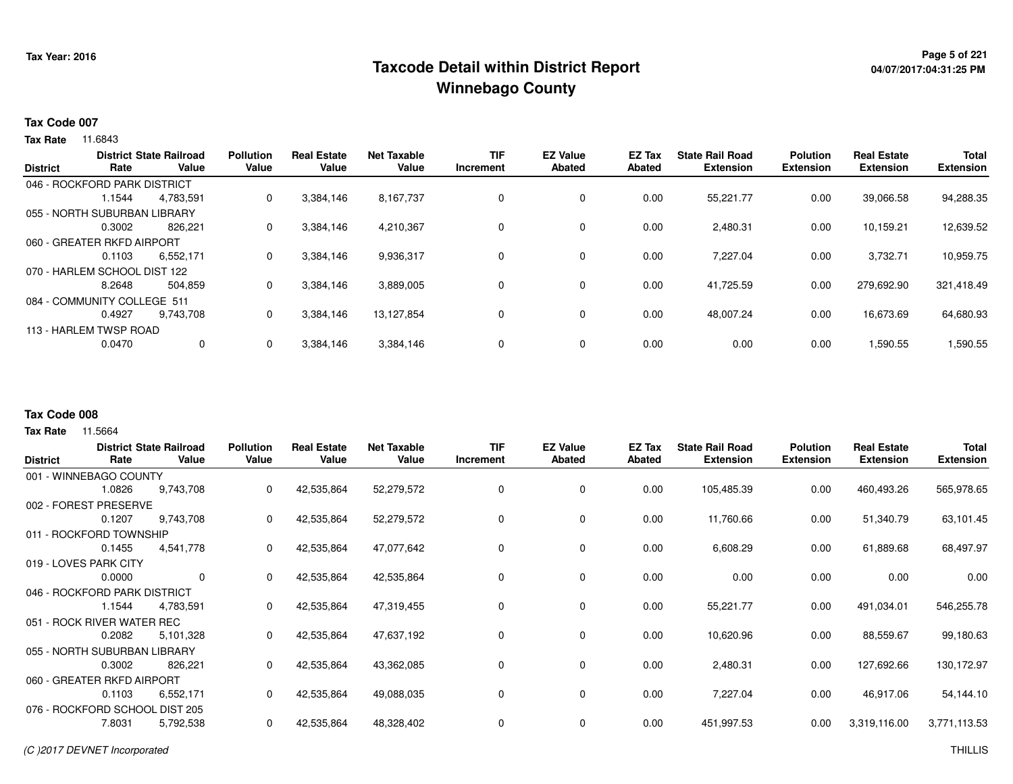## **Page 5 of 221 Taxcode Detail within District ReportWinnebago County**

#### **Tax Code 007**

**Tax Rate** 11.6843

| <b>District</b>              | Rate                         | <b>District State Railroad</b><br>Value | <b>Pollution</b><br>Value | <b>Real Estate</b><br>Value | <b>Net Taxable</b><br>Value | TIF<br>Increment | <b>EZ Value</b><br>Abated | <b>EZ Tax</b><br><b>Abated</b> | <b>State Rail Road</b><br><b>Extension</b> | <b>Polution</b><br><b>Extension</b> | <b>Real Estate</b><br><b>Extension</b> | <b>Total</b><br><b>Extension</b> |
|------------------------------|------------------------------|-----------------------------------------|---------------------------|-----------------------------|-----------------------------|------------------|---------------------------|--------------------------------|--------------------------------------------|-------------------------------------|----------------------------------------|----------------------------------|
|                              |                              |                                         |                           |                             |                             |                  |                           |                                |                                            |                                     |                                        |                                  |
|                              | 046 - ROCKFORD PARK DISTRICT |                                         |                           |                             |                             |                  |                           |                                |                                            |                                     |                                        |                                  |
|                              | 1.1544                       | 4,783,591                               | 0                         | 3,384,146                   | 8,167,737                   |                  | 0                         | 0.00                           | 55,221.77                                  | 0.00                                | 39,066.58                              | 94,288.35                        |
|                              | 055 - NORTH SUBURBAN LIBRARY |                                         |                           |                             |                             |                  |                           |                                |                                            |                                     |                                        |                                  |
|                              | 0.3002                       | 826.221                                 | 0                         | 3,384,146                   | 4,210,367                   |                  | $\mathbf 0$               | 0.00                           | 2,480.31                                   | 0.00                                | 10,159.21                              | 12,639.52                        |
|                              | 060 - GREATER RKFD AIRPORT   |                                         |                           |                             |                             |                  |                           |                                |                                            |                                     |                                        |                                  |
|                              | 0.1103                       | 6.552.171                               | $\mathbf{0}$              | 3,384,146                   | 9,936,317                   |                  | 0                         | 0.00                           | 7.227.04                                   | 0.00                                | 3.732.71                               | 10,959.75                        |
| 070 - HARLEM SCHOOL DIST 122 |                              |                                         |                           |                             |                             |                  |                           |                                |                                            |                                     |                                        |                                  |
|                              | 8.2648                       | 504.859                                 | 0                         | 3,384,146                   | 3,889,005                   |                  | 0                         | 0.00                           | 41.725.59                                  | 0.00                                | 279.692.90                             | 321.418.49                       |
|                              | 084 - COMMUNITY COLLEGE 511  |                                         |                           |                             |                             |                  |                           |                                |                                            |                                     |                                        |                                  |
|                              | 0.4927                       | 9.743.708                               | 0                         | 3,384,146                   | 13.127.854                  |                  | 0                         | 0.00                           | 48.007.24                                  | 0.00                                | 16.673.69                              | 64,680.93                        |
|                              | 113 - HARLEM TWSP ROAD       |                                         |                           |                             |                             |                  |                           |                                |                                            |                                     |                                        |                                  |
|                              | 0.0470                       | 0                                       |                           | 3,384,146                   | 3,384,146                   |                  | 0                         | 0.00                           | 0.00                                       | 0.00                                | 1,590.55                               | 1,590.55                         |

#### **Tax Code 008**

|                                |                              | <b>District State Railroad</b> | <b>Pollution</b> | <b>Real Estate</b> | <b>Net Taxable</b> | <b>TIF</b> | <b>EZ Value</b> | EZ Tax | <b>State Rail Road</b> | <b>Polution</b>  | <b>Real Estate</b> | <b>Total</b>     |
|--------------------------------|------------------------------|--------------------------------|------------------|--------------------|--------------------|------------|-----------------|--------|------------------------|------------------|--------------------|------------------|
| <b>District</b>                | Rate                         | Value                          | Value            | Value              | Value              | Increment  | <b>Abated</b>   | Abated | <b>Extension</b>       | <b>Extension</b> | <b>Extension</b>   | <b>Extension</b> |
|                                | 001 - WINNEBAGO COUNTY       |                                |                  |                    |                    |            |                 |        |                        |                  |                    |                  |
|                                | 1.0826                       | 9,743,708                      | 0                | 42,535,864         | 52,279,572         | 0          | 0               | 0.00   | 105,485.39             | 0.00             | 460,493.26         | 565,978.65       |
| 002 - FOREST                   | <b>PRESERVE</b>              |                                |                  |                    |                    |            |                 |        |                        |                  |                    |                  |
|                                | 0.1207                       | 9,743,708                      | 0                | 42,535,864         | 52,279,572         | 0          | 0               | 0.00   | 11,760.66              | 0.00             | 51,340.79          | 63,101.45        |
|                                | 011 - ROCKFORD TOWNSHIP      |                                |                  |                    |                    |            |                 |        |                        |                  |                    |                  |
|                                | 0.1455                       | 4,541,778                      | 0                | 42,535,864         | 47,077,642         | 0          | $\mathbf 0$     | 0.00   | 6,608.29               | 0.00             | 61,889.68          | 68,497.97        |
|                                | 019 - LOVES PARK CITY        |                                |                  |                    |                    |            |                 |        |                        |                  |                    |                  |
|                                | 0.0000                       | $\mathbf 0$                    | 0                | 42,535,864         | 42,535,864         | 0          | $\mathbf 0$     | 0.00   | 0.00                   | 0.00             | 0.00               | 0.00             |
| 046 - ROCKFORD PARK DISTRICT   |                              |                                |                  |                    |                    |            |                 |        |                        |                  |                    |                  |
|                                | 1.1544                       | 4,783,591                      | 0                | 42,535,864         | 47,319,455         | 0          | 0               | 0.00   | 55,221.77              | 0.00             | 491,034.01         | 546,255.78       |
|                                | 051 - ROCK RIVER WATER REC   |                                |                  |                    |                    |            |                 |        |                        |                  |                    |                  |
|                                | 0.2082                       | 5,101,328                      | 0                | 42,535,864         | 47,637,192         | 0          | 0               | 0.00   | 10,620.96              | 0.00             | 88,559.67          | 99,180.63        |
|                                | 055 - NORTH SUBURBAN LIBRARY |                                |                  |                    |                    |            |                 |        |                        |                  |                    |                  |
|                                | 0.3002                       | 826,221                        | 0                | 42,535,864         | 43,362,085         | 0          | 0               | 0.00   | 2,480.31               | 0.00             | 127,692.66         | 130,172.97       |
|                                | 060 - GREATER RKFD AIRPORT   |                                |                  |                    |                    |            |                 |        |                        |                  |                    |                  |
|                                | 0.1103                       | 6,552,171                      | 0                | 42,535,864         | 49,088,035         | 0          | 0               | 0.00   | 7,227.04               | 0.00             | 46,917.06          | 54,144.10        |
| 076 - ROCKFORD SCHOOL DIST 205 |                              |                                |                  |                    |                    |            |                 |        |                        |                  |                    |                  |
|                                | 7.8031                       | 5,792,538                      | 0                | 42,535,864         | 48,328,402         | 0          | 0               | 0.00   | 451,997.53             | 0.00             | 3,319,116.00       | 3,771,113.53     |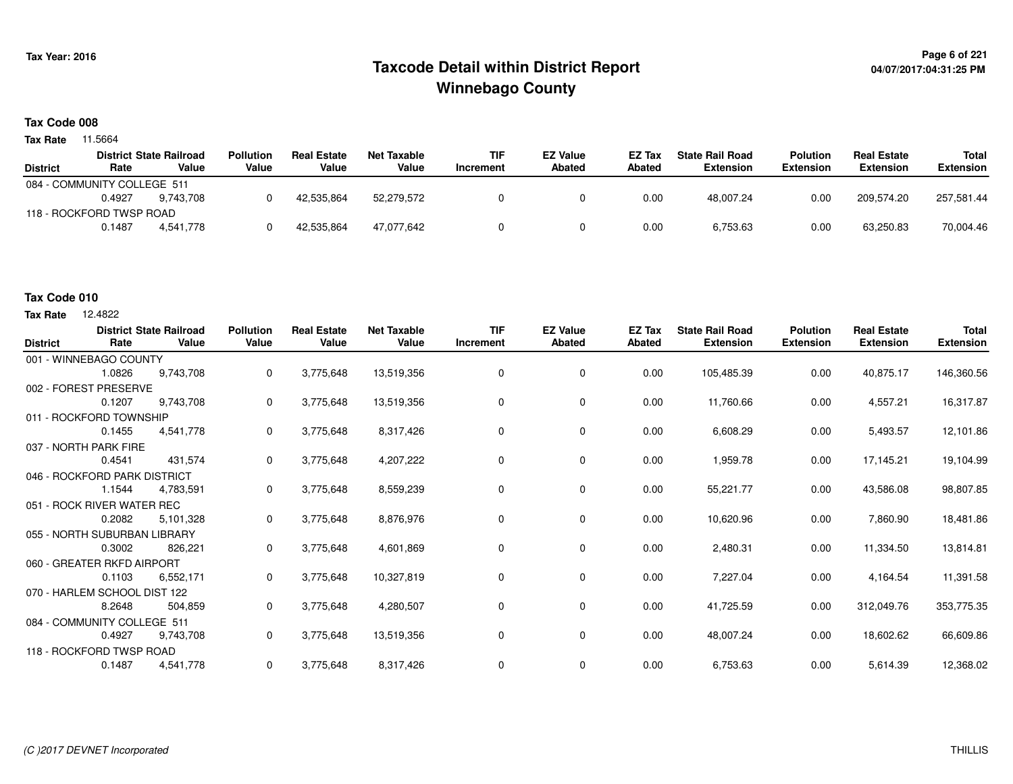## **Page 6 of 221 Taxcode Detail within District ReportWinnebago County**

# **04/07/2017:04:31:25 PM**

### **Tax Code 008**

**Tax Rate** 11.5664

|                 |                             | <b>District State Railroad</b> | <b>Pollution</b> | <b>Real Estate</b> | Net Taxable | <b>TIF</b> | <b>EZ Value</b> | <b>EZ Tax</b> | <b>State Rail Road</b> | <b>Polution</b>  | <b>Real Estate</b> | Total      |
|-----------------|-----------------------------|--------------------------------|------------------|--------------------|-------------|------------|-----------------|---------------|------------------------|------------------|--------------------|------------|
| <b>District</b> | Rate                        | Value                          | Value            | Value              | Value       | Increment  | <b>Abated</b>   | <b>Abated</b> | <b>Extension</b>       | <b>Extension</b> | <b>Extension</b>   | Extension  |
|                 | 084 - COMMUNITY COLLEGE 511 |                                |                  |                    |             |            |                 |               |                        |                  |                    |            |
|                 | 0.4927                      | 9.743.708                      |                  | 42.535.864         | 52.279.572  |            |                 | 0.00          | 48,007.24              | 0.00             | 209.574.20         | 257,581.44 |
|                 | 118 - ROCKFORD TWSP ROAD    |                                |                  |                    |             |            |                 |               |                        |                  |                    |            |
|                 | 0.1487                      | 4.541.778                      |                  | 42,535,864         | 47.077.642  |            |                 | 0.00          | 6,753.63               | 0.00             | 63,250.83          | 70,004.46  |

#### **Tax Code 010**

**Tax Rate** 12,4822

| <b>District</b> | Rate                         | <b>District State Railroad</b><br>Value | <b>Pollution</b><br>Value | <b>Real Estate</b><br>Value | <b>Net Taxable</b><br>Value | <b>TIF</b><br>Increment | <b>EZ Value</b><br><b>Abated</b> | <b>EZ Tax</b><br>Abated | <b>State Rail Road</b><br><b>Extension</b> | <b>Polution</b><br><b>Extension</b> | <b>Real Estate</b><br><b>Extension</b> | <b>Total</b><br><b>Extension</b> |
|-----------------|------------------------------|-----------------------------------------|---------------------------|-----------------------------|-----------------------------|-------------------------|----------------------------------|-------------------------|--------------------------------------------|-------------------------------------|----------------------------------------|----------------------------------|
|                 | 001 - WINNEBAGO COUNTY       |                                         |                           |                             |                             |                         |                                  |                         |                                            |                                     |                                        |                                  |
|                 | 1.0826                       | 9.743.708                               | 0                         | 3,775,648                   | 13,519,356                  | $\mathbf 0$             | 0                                | 0.00                    | 105,485.39                                 | 0.00                                | 40,875.17                              | 146,360.56                       |
|                 | 002 - FOREST PRESERVE        |                                         |                           |                             |                             |                         |                                  |                         |                                            |                                     |                                        |                                  |
|                 | 0.1207                       | 9,743,708                               | 0                         | 3,775,648                   | 13,519,356                  | 0                       | 0                                | 0.00                    | 11,760.66                                  | 0.00                                | 4,557.21                               | 16,317.87                        |
|                 | 011 - ROCKFORD TOWNSHIP      |                                         |                           |                             |                             |                         |                                  |                         |                                            |                                     |                                        |                                  |
|                 | 0.1455                       | 4,541,778                               | 0                         | 3,775,648                   | 8,317,426                   | 0                       | 0                                | 0.00                    | 6,608.29                                   | 0.00                                | 5,493.57                               | 12,101.86                        |
|                 | 037 - NORTH PARK FIRE        |                                         |                           |                             |                             |                         |                                  |                         |                                            |                                     |                                        |                                  |
|                 | 0.4541                       | 431.574                                 | 0                         | 3,775,648                   | 4,207,222                   | 0                       | 0                                | 0.00                    | 1,959.78                                   | 0.00                                | 17,145.21                              | 19,104.99                        |
|                 | 046 - ROCKFORD PARK DISTRICT |                                         |                           |                             |                             |                         |                                  |                         |                                            |                                     |                                        |                                  |
|                 | 1.1544                       | 4,783,591                               | 0                         | 3,775,648                   | 8,559,239                   | 0                       | 0                                | 0.00                    | 55,221.77                                  | 0.00                                | 43,586.08                              | 98,807.85                        |
|                 | 051 - ROCK RIVER WATER REC   |                                         |                           |                             |                             |                         |                                  |                         |                                            |                                     |                                        |                                  |
|                 | 0.2082                       | 5,101,328                               | 0                         | 3,775,648                   | 8,876,976                   | 0                       | 0                                | 0.00                    | 10,620.96                                  | 0.00                                | 7,860.90                               | 18,481.86                        |
|                 | 055 - NORTH SUBURBAN LIBRARY |                                         |                           |                             |                             |                         |                                  |                         |                                            |                                     |                                        |                                  |
|                 | 0.3002                       | 826,221                                 | 0                         | 3,775,648                   | 4,601,869                   | 0                       | 0                                | 0.00                    | 2,480.31                                   | 0.00                                | 11,334.50                              | 13,814.81                        |
|                 | 060 - GREATER RKFD AIRPORT   |                                         |                           |                             |                             |                         |                                  |                         |                                            |                                     |                                        |                                  |
|                 | 0.1103                       | 6,552,171                               | 0                         | 3,775,648                   | 10,327,819                  | 0                       | 0                                | 0.00                    | 7,227.04                                   | 0.00                                | 4,164.54                               | 11,391.58                        |
|                 | 070 - HARLEM SCHOOL DIST 122 |                                         |                           |                             |                             |                         |                                  |                         |                                            |                                     |                                        |                                  |
|                 | 8.2648                       | 504,859                                 | 0                         | 3,775,648                   | 4,280,507                   | 0                       | 0                                | 0.00                    | 41,725.59                                  | 0.00                                | 312,049.76                             | 353,775.35                       |
|                 | 084 - COMMUNITY COLLEGE 511  |                                         |                           |                             |                             |                         |                                  |                         |                                            |                                     |                                        |                                  |
|                 | 0.4927                       | 9,743,708                               | 0                         | 3,775,648                   | 13,519,356                  | 0                       | 0                                | 0.00                    | 48,007.24                                  | 0.00                                | 18,602.62                              | 66,609.86                        |
|                 | 118 - ROCKFORD TWSP ROAD     |                                         |                           |                             |                             |                         |                                  |                         |                                            |                                     |                                        |                                  |
|                 | 0.1487                       | 4,541,778                               | 0                         | 3,775,648                   | 8,317,426                   | 0                       | 0                                | 0.00                    | 6,753.63                                   | 0.00                                | 5,614.39                               | 12,368.02                        |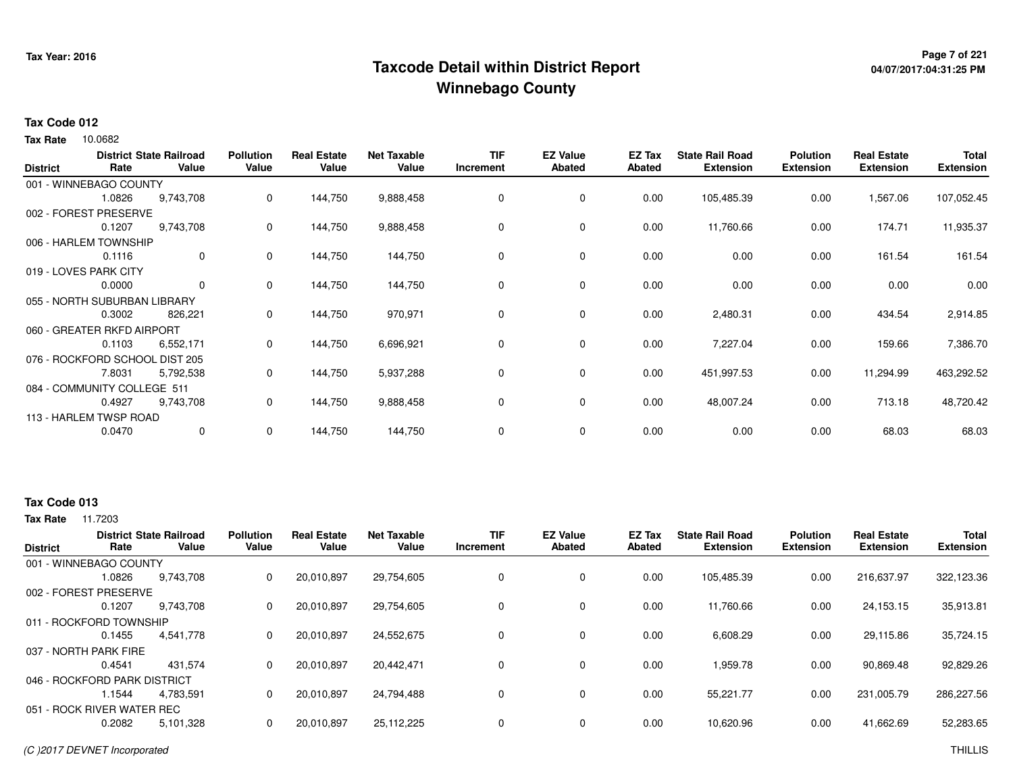## **Page 7 of 221 Taxcode Detail within District ReportWinnebago County**

# **04/07/2017:04:31:25 PM**

#### **Tax Code 012**

10.0682 **Tax Rate**

| <b>District</b> | Rate                           | <b>District State Railroad</b><br>Value | <b>Pollution</b><br>Value | <b>Real Estate</b><br>Value | <b>Net Taxable</b><br>Value | <b>TIF</b><br>Increment | <b>EZ Value</b><br>Abated | EZ Tax<br>Abated | <b>State Rail Road</b><br><b>Extension</b> | <b>Polution</b><br><b>Extension</b> | <b>Real Estate</b><br><b>Extension</b> | <b>Total</b><br><b>Extension</b> |
|-----------------|--------------------------------|-----------------------------------------|---------------------------|-----------------------------|-----------------------------|-------------------------|---------------------------|------------------|--------------------------------------------|-------------------------------------|----------------------------------------|----------------------------------|
|                 | 001 - WINNEBAGO COUNTY         |                                         |                           |                             |                             |                         |                           |                  |                                            |                                     |                                        |                                  |
|                 | 1.0826                         | 9,743,708                               | 0                         | 144,750                     | 9,888,458                   | 0                       | 0                         | 0.00             | 105,485.39                                 | 0.00                                | 1,567.06                               | 107,052.45                       |
|                 | 002 - FOREST PRESERVE          |                                         |                           |                             |                             |                         |                           |                  |                                            |                                     |                                        |                                  |
|                 | 0.1207                         | 9,743,708                               | 0                         | 144,750                     | 9,888,458                   | 0                       | 0                         | 0.00             | 11,760.66                                  | 0.00                                | 174.71                                 | 11,935.37                        |
|                 | 006 - HARLEM TOWNSHIP          |                                         |                           |                             |                             |                         |                           |                  |                                            |                                     |                                        |                                  |
|                 | 0.1116                         | 0                                       | 0                         | 144,750                     | 144,750                     | $\Omega$                | $\mathbf 0$               | 0.00             | 0.00                                       | 0.00                                | 161.54                                 | 161.54                           |
|                 | 019 - LOVES PARK CITY          |                                         |                           |                             |                             |                         |                           |                  |                                            |                                     |                                        |                                  |
|                 | 0.0000                         | 0                                       | 0                         | 144,750                     | 144,750                     | 0                       | 0                         | 0.00             | 0.00                                       | 0.00                                | 0.00                                   | 0.00                             |
|                 | 055 - NORTH SUBURBAN LIBRARY   |                                         |                           |                             |                             |                         |                           |                  |                                            |                                     |                                        |                                  |
|                 | 0.3002                         | 826,221                                 | 0                         | 144,750                     | 970,971                     | 0                       | 0                         | 0.00             | 2,480.31                                   | 0.00                                | 434.54                                 | 2,914.85                         |
|                 | 060 - GREATER RKFD AIRPORT     |                                         |                           |                             |                             |                         |                           |                  |                                            |                                     |                                        |                                  |
|                 | 0.1103                         | 6,552,171                               | 0                         | 144,750                     | 6,696,921                   | 0                       | $\mathbf 0$               | 0.00             | 7,227.04                                   | 0.00                                | 159.66                                 | 7,386.70                         |
|                 | 076 - ROCKFORD SCHOOL DIST 205 |                                         |                           |                             |                             |                         |                           |                  |                                            |                                     |                                        |                                  |
|                 | 7.8031                         | 5,792,538                               | 0                         | 144,750                     | 5,937,288                   | 0                       | 0                         | 0.00             | 451,997.53                                 | 0.00                                | 11,294.99                              | 463,292.52                       |
|                 | 084 - COMMUNITY COLLEGE 511    |                                         |                           |                             |                             |                         |                           |                  |                                            |                                     |                                        |                                  |
|                 | 0.4927                         | 9,743,708                               | 0                         | 144,750                     | 9,888,458                   | 0                       | $\mathbf 0$               | 0.00             | 48,007.24                                  | 0.00                                | 713.18                                 | 48,720.42                        |
|                 | 113 - HARLEM TWSP ROAD         |                                         |                           |                             |                             |                         |                           |                  |                                            |                                     |                                        |                                  |
|                 | 0.0470                         | 0                                       | 0                         | 144,750                     | 144,750                     | 0                       | 0                         | 0.00             | 0.00                                       | 0.00                                | 68.03                                  | 68.03                            |

#### **Tax Code 013**

| <b>District</b>              | Rate   | <b>District State Railroad</b><br>Value | <b>Pollution</b><br>Value | <b>Real Estate</b><br>Value | <b>Net Taxable</b><br>Value | <b>TIF</b><br>Increment | <b>EZ Value</b><br>Abated | <b>EZ Tax</b><br>Abated | <b>State Rail Road</b><br><b>Extension</b> | <b>Polution</b><br><b>Extension</b> | <b>Real Estate</b><br><b>Extension</b> | <b>Total</b><br><b>Extension</b> |
|------------------------------|--------|-----------------------------------------|---------------------------|-----------------------------|-----------------------------|-------------------------|---------------------------|-------------------------|--------------------------------------------|-------------------------------------|----------------------------------------|----------------------------------|
| 001 - WINNEBAGO COUNTY       |        |                                         |                           |                             |                             |                         |                           |                         |                                            |                                     |                                        |                                  |
|                              | 1.0826 | 9,743,708                               | 0                         | 20,010,897                  | 29,754,605                  | 0                       | 0                         | 0.00                    | 105,485.39                                 | 0.00                                | 216,637.97                             | 322,123.36                       |
| 002 - FOREST PRESERVE        |        |                                         |                           |                             |                             |                         |                           |                         |                                            |                                     |                                        |                                  |
|                              | 0.1207 | 9,743,708                               | 0                         | 20.010.897                  | 29.754.605                  | 0                       | 0                         | 0.00                    | 11.760.66                                  | 0.00                                | 24,153.15                              | 35,913.81                        |
| 011 - ROCKFORD TOWNSHIP      |        |                                         |                           |                             |                             |                         |                           |                         |                                            |                                     |                                        |                                  |
|                              | 0.1455 | 4,541,778                               | 0                         | 20,010,897                  | 24,552,675                  | 0                       | $\mathbf 0$               | 0.00                    | 6,608.29                                   | 0.00                                | 29,115.86                              | 35,724.15                        |
| 037 - NORTH PARK FIRE        |        |                                         |                           |                             |                             |                         |                           |                         |                                            |                                     |                                        |                                  |
|                              | 0.4541 | 431.574                                 | 0                         | 20.010.897                  | 20,442,471                  | 0                       | 0                         | 0.00                    | 959.78                                     | 0.00                                | 90,869.48                              | 92,829.26                        |
| 046 - ROCKFORD PARK DISTRICT |        |                                         |                           |                             |                             |                         |                           |                         |                                            |                                     |                                        |                                  |
|                              | l.1544 | 4.783.591                               | 0                         | 20,010,897                  | 24,794,488                  | 0                       | $\mathbf 0$               | 0.00                    | 55.221.77                                  | 0.00                                | 231,005.79                             | 286,227.56                       |
| 051 - ROCK RIVER WATER REC   |        |                                         |                           |                             |                             |                         |                           |                         |                                            |                                     |                                        |                                  |
|                              | 0.2082 | 5,101,328                               | 0                         | 20,010,897                  | 25,112,225                  | $\Omega$                | $\mathbf 0$               | 0.00                    | 10,620.96                                  | 0.00                                | 41,662.69                              | 52,283.65                        |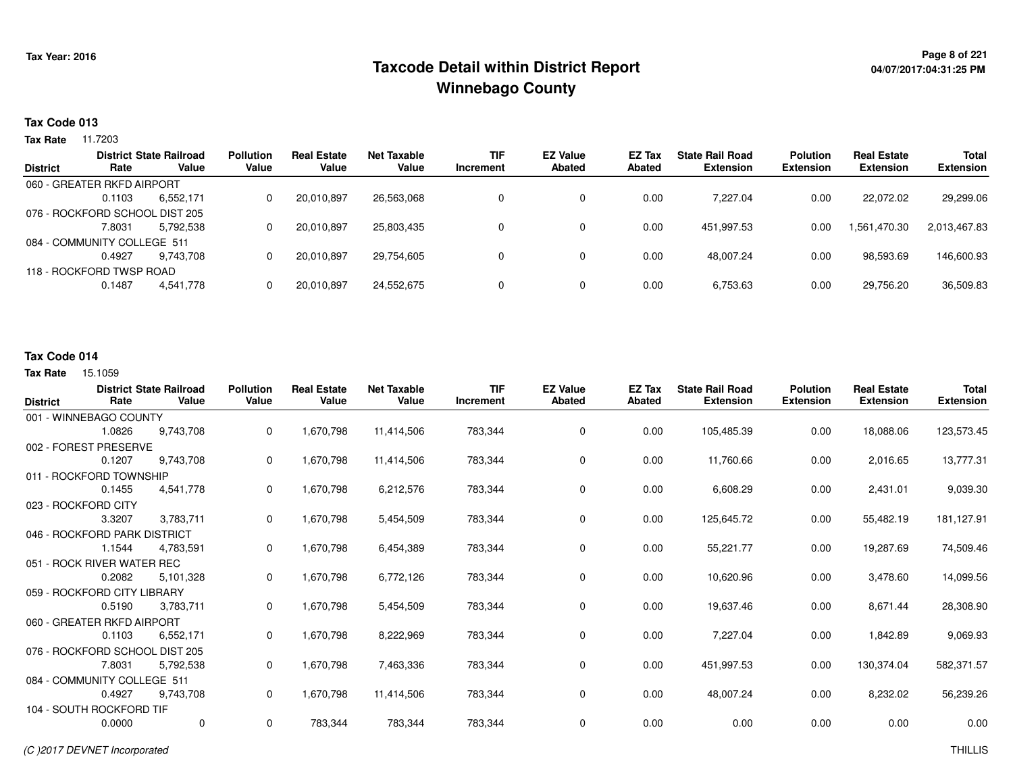## **Page 8 of 221 Taxcode Detail within District ReportWinnebago County**

# **04/07/2017:04:31:25 PM**

#### **Tax Code 013**

**Tax Rate** 11.7203

|                                |                          | <b>District State Railroad</b> | <b>Pollution</b> | <b>Real Estate</b> | Net Taxable | <b>TIF</b> | <b>EZ Value</b> | EZ Tax | <b>State Rail Road</b> | <b>Polution</b>  | <b>Real Estate</b> | <b>Total</b>     |
|--------------------------------|--------------------------|--------------------------------|------------------|--------------------|-------------|------------|-----------------|--------|------------------------|------------------|--------------------|------------------|
| <b>District</b>                | Rate                     | Value                          | Value            | Value              | Value       | Increment  | <b>Abated</b>   | Abated | <b>Extension</b>       | <b>Extension</b> | <b>Extension</b>   | <b>Extension</b> |
| 060 - GREATER RKFD AIRPORT     |                          |                                |                  |                    |             |            |                 |        |                        |                  |                    |                  |
|                                | 0.1103                   | 6,552,171                      | 0                | 20,010,897         | 26,563,068  |            | 0               | 0.00   | 7.227.04               | 0.00             | 22.072.02          | 29,299.06        |
| 076 - ROCKFORD SCHOOL DIST 205 |                          |                                |                  |                    |             |            |                 |        |                        |                  |                    |                  |
|                                | 7.8031                   | 5.792.538                      | 0                | 20,010,897         | 25.803.435  |            | 0               | 0.00   | 451.997.53             | 0.00             | .561,470.30        | 2,013,467.83     |
| 084 - COMMUNITY COLLEGE 511    |                          |                                |                  |                    |             |            |                 |        |                        |                  |                    |                  |
|                                | 0.4927                   | 9.743.708                      | 0                | 20,010,897         | 29.754.605  |            | 0               | 0.00   | 48.007.24              | 0.00             | 98,593.69          | 146,600.93       |
|                                | 118 - ROCKFORD TWSP ROAD |                                |                  |                    |             |            |                 |        |                        |                  |                    |                  |
|                                | 0.1487                   | 4,541,778                      | 0                | 20,010,897         | 24,552,675  |            | 0               | 0.00   | 6,753.63               | 0.00             | 29,756.20          | 36,509.83        |

#### **Tax Code 014**

| <b>District</b> | Rate                           | <b>District State Railroad</b><br>Value | <b>Pollution</b><br>Value | <b>Real Estate</b><br>Value | <b>Net Taxable</b><br>Value | <b>TIF</b><br>Increment | <b>EZ Value</b><br><b>Abated</b> | EZ Tax<br><b>Abated</b> | <b>State Rail Road</b><br><b>Extension</b> | <b>Polution</b><br><b>Extension</b> | <b>Real Estate</b><br><b>Extension</b> | <b>Total</b><br><b>Extension</b> |
|-----------------|--------------------------------|-----------------------------------------|---------------------------|-----------------------------|-----------------------------|-------------------------|----------------------------------|-------------------------|--------------------------------------------|-------------------------------------|----------------------------------------|----------------------------------|
|                 | 001 - WINNEBAGO COUNTY         |                                         |                           |                             |                             |                         |                                  |                         |                                            |                                     |                                        |                                  |
|                 | 1.0826                         | 9,743,708                               | 0                         | 1,670,798                   | 11,414,506                  | 783,344                 | $\mathbf 0$                      | 0.00                    | 105,485.39                                 | 0.00                                | 18,088.06                              | 123,573.45                       |
|                 | 002 - FOREST PRESERVE          |                                         |                           |                             |                             |                         |                                  |                         |                                            |                                     |                                        |                                  |
|                 | 0.1207                         | 9,743,708                               | 0                         | 1,670,798                   | 11,414,506                  | 783,344                 | $\mathbf 0$                      | 0.00                    | 11,760.66                                  | 0.00                                | 2,016.65                               | 13,777.31                        |
|                 | 011 - ROCKFORD TOWNSHIP        |                                         |                           |                             |                             |                         |                                  |                         |                                            |                                     |                                        |                                  |
|                 | 0.1455                         | 4,541,778                               | 0                         | 1,670,798                   | 6,212,576                   | 783,344                 | $\mathbf 0$                      | 0.00                    | 6,608.29                                   | 0.00                                | 2,431.01                               | 9,039.30                         |
|                 | 023 - ROCKFORD CITY            |                                         |                           |                             |                             |                         |                                  |                         |                                            |                                     |                                        |                                  |
|                 | 3.3207                         | 3,783,711                               | 0                         | 1,670,798                   | 5,454,509                   | 783,344                 | $\mathbf 0$                      | 0.00                    | 125,645.72                                 | 0.00                                | 55,482.19                              | 181,127.91                       |
|                 | 046 - ROCKFORD PARK DISTRICT   |                                         |                           |                             |                             |                         |                                  |                         |                                            |                                     |                                        |                                  |
|                 | 1.1544                         | 4,783,591                               | 0                         | 1,670,798                   | 6,454,389                   | 783,344                 | 0                                | 0.00                    | 55,221.77                                  | 0.00                                | 19,287.69                              | 74,509.46                        |
|                 | 051 - ROCK RIVER WATER REC     |                                         |                           |                             |                             |                         |                                  |                         |                                            |                                     |                                        |                                  |
|                 | 0.2082                         | 5,101,328                               | 0                         | 1,670,798                   | 6,772,126                   | 783,344                 | 0                                | 0.00                    | 10,620.96                                  | 0.00                                | 3,478.60                               | 14,099.56                        |
|                 | 059 - ROCKFORD CITY LIBRARY    |                                         |                           |                             |                             |                         |                                  |                         |                                            |                                     |                                        |                                  |
|                 | 0.5190                         | 3,783,711                               | 0                         | 1,670,798                   | 5,454,509                   | 783,344                 | 0                                | 0.00                    | 19,637.46                                  | 0.00                                | 8,671.44                               | 28,308.90                        |
|                 | 060 - GREATER RKFD AIRPORT     |                                         |                           |                             |                             |                         |                                  |                         |                                            |                                     |                                        |                                  |
|                 | 0.1103                         | 6,552,171                               | 0                         | 1,670,798                   | 8,222,969                   | 783,344                 | $\mathbf 0$                      | 0.00                    | 7,227.04                                   | 0.00                                | 1,842.89                               | 9,069.93                         |
|                 | 076 - ROCKFORD SCHOOL DIST 205 |                                         |                           |                             |                             |                         |                                  |                         |                                            |                                     |                                        |                                  |
|                 | 7.8031                         | 5,792,538                               | 0                         | 1,670,798                   | 7,463,336                   | 783,344                 | $\mathbf 0$                      | 0.00                    | 451,997.53                                 | 0.00                                | 130,374.04                             | 582,371.57                       |
|                 | 084 - COMMUNITY COLLEGE 511    |                                         |                           |                             |                             |                         |                                  |                         |                                            |                                     |                                        |                                  |
|                 | 0.4927                         | 9,743,708                               | 0                         | 1,670,798                   | 11,414,506                  | 783,344                 | $\mathbf 0$                      | 0.00                    | 48,007.24                                  | 0.00                                | 8,232.02                               | 56,239.26                        |
|                 | 104 - SOUTH ROCKFORD TIF       |                                         |                           |                             |                             |                         |                                  |                         |                                            |                                     |                                        |                                  |
|                 | 0.0000                         | $\mathbf 0$                             | 0                         | 783,344                     | 783,344                     | 783,344                 | 0                                | 0.00                    | 0.00                                       | 0.00                                | 0.00                                   | 0.00                             |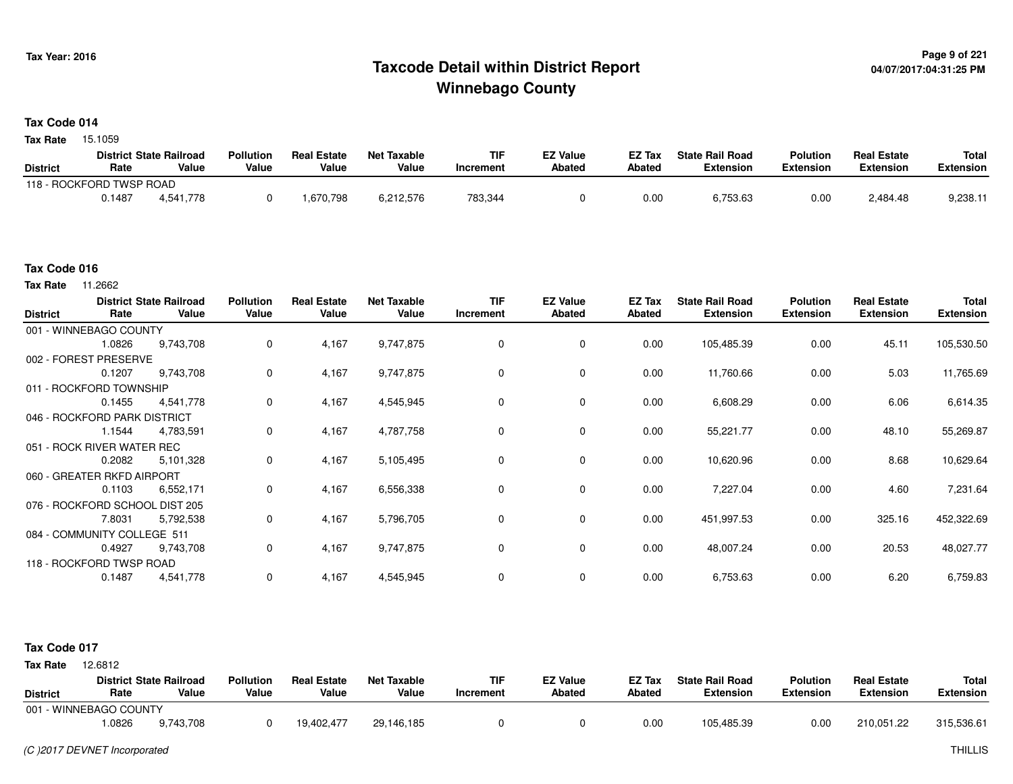### **Page 9 of 221 Taxcode Detail within District ReportWinnebago County**

#### **Tax Code 014**

**Tax Rate** 15.1059

|                 |                          | <b>District State Railroad</b> | <b>Pollution</b> | <b>Real Estate</b> | <b>Net Taxable</b> | <b>TIF</b> | <b>EZ Value</b> | <b>EZ Tax</b> | <b>State Rail Road</b> | <b>Polution</b>  | <b>Real Estate</b> | <b>Total</b> |
|-----------------|--------------------------|--------------------------------|------------------|--------------------|--------------------|------------|-----------------|---------------|------------------------|------------------|--------------------|--------------|
| <b>District</b> | Rate                     | Value                          | Value            | Value              | Value              | Increment  | Abated          | <b>Abated</b> | <b>Extension</b>       | <b>Extension</b> | <b>Extension</b>   | Extension    |
|                 | 118 - ROCKFORD TWSP ROAD |                                |                  |                    |                    |            |                 |               |                        |                  |                    |              |
|                 | 0.1487                   | 4.541.778                      |                  | .670,798           | 6,212,576          | 783,344    |                 | 0.00          | 6,753.63               | 0.00             | 2,484.48           | 9,238.1      |

#### **Tax Code 016**

**Tax Rate** 11.2662

| <b>District</b> | Rate                           | <b>District State Railroad</b><br>Value | <b>Pollution</b><br>Value | <b>Real Estate</b><br>Value | <b>Net Taxable</b><br>Value | <b>TIF</b><br>Increment | <b>EZ Value</b><br><b>Abated</b> | EZ Tax<br><b>Abated</b> | <b>State Rail Road</b><br><b>Extension</b> | <b>Polution</b><br><b>Extension</b> | <b>Real Estate</b><br><b>Extension</b> | <b>Total</b><br><b>Extension</b> |
|-----------------|--------------------------------|-----------------------------------------|---------------------------|-----------------------------|-----------------------------|-------------------------|----------------------------------|-------------------------|--------------------------------------------|-------------------------------------|----------------------------------------|----------------------------------|
|                 | 001 - WINNEBAGO COUNTY         |                                         |                           |                             |                             |                         |                                  |                         |                                            |                                     |                                        |                                  |
|                 | 1.0826                         | 9,743,708                               | 0                         | 4,167                       | 9,747,875                   | 0                       | 0                                | 0.00                    | 105,485.39                                 | 0.00                                | 45.11                                  | 105,530.50                       |
|                 | 002 - FOREST PRESERVE          |                                         |                           |                             |                             |                         |                                  |                         |                                            |                                     |                                        |                                  |
|                 | 0.1207                         | 9,743,708                               | 0                         | 4,167                       | 9,747,875                   | $\Omega$                | 0                                | 0.00                    | 11,760.66                                  | 0.00                                | 5.03                                   | 11,765.69                        |
|                 | 011 - ROCKFORD TOWNSHIP        |                                         |                           |                             |                             |                         |                                  |                         |                                            |                                     |                                        |                                  |
|                 | 0.1455                         | 4,541,778                               | 0                         | 4,167                       | 4,545,945                   | 0                       | $\mathbf 0$                      | 0.00                    | 6,608.29                                   | 0.00                                | 6.06                                   | 6,614.35                         |
|                 | 046 - ROCKFORD PARK DISTRICT   |                                         |                           |                             |                             |                         |                                  |                         |                                            |                                     |                                        |                                  |
|                 | 1.1544                         | 4,783,591                               | $\mathbf 0$               | 4,167                       | 4,787,758                   | 0                       | $\mathbf 0$                      | 0.00                    | 55,221.77                                  | 0.00                                | 48.10                                  | 55,269.87                        |
|                 | 051 - ROCK RIVER WATER REC     |                                         |                           |                             |                             |                         |                                  |                         |                                            |                                     |                                        |                                  |
|                 | 0.2082                         | 5,101,328                               | 0                         | 4,167                       | 5,105,495                   | 0                       | 0                                | 0.00                    | 10,620.96                                  | 0.00                                | 8.68                                   | 10,629.64                        |
|                 | 060 - GREATER RKFD AIRPORT     |                                         |                           |                             |                             |                         |                                  |                         |                                            |                                     |                                        |                                  |
|                 | 0.1103                         | 6,552,171                               | 0                         | 4,167                       | 6,556,338                   | 0                       | $\mathbf 0$                      | 0.00                    | 7,227.04                                   | 0.00                                | 4.60                                   | 7,231.64                         |
|                 | 076 - ROCKFORD SCHOOL DIST 205 |                                         |                           |                             |                             |                         |                                  |                         |                                            |                                     |                                        |                                  |
|                 | 7.8031                         | 5,792,538                               | 0                         | 4,167                       | 5,796,705                   | 0                       | 0                                | 0.00                    | 451,997.53                                 | 0.00                                | 325.16                                 | 452,322.69                       |
|                 | 084 - COMMUNITY COLLEGE 511    |                                         |                           |                             |                             |                         |                                  |                         |                                            |                                     |                                        |                                  |
|                 | 0.4927                         | 9,743,708                               | 0                         | 4,167                       | 9,747,875                   | 0                       | $\mathbf 0$                      | 0.00                    | 48,007.24                                  | 0.00                                | 20.53                                  | 48,027.77                        |
|                 | 118 - ROCKFORD TWSP ROAD       |                                         |                           |                             |                             |                         |                                  |                         |                                            |                                     |                                        |                                  |
|                 | 0.1487                         | 4,541,778                               | 0                         | 4,167                       | 4,545,945                   | 0                       | 0                                | 0.00                    | 6,753.63                                   | 0.00                                | 6.20                                   | 6,759.83                         |

#### **Tax Code 017**

**State Railroad District ValueTIF IncrementEZ Value AbatedReal Estate ExtensionTotal ExtensionTax Rate** 12,6812 **DistrictPollution ValueReal Estate ValueNet Taxable Value Rate** 001 - WINNEBAGO COUNTY**Polution ExtensionState Rail Road ExtensionEZ Tax Abated**210,051.22 315,536.619,743,708 1.08269,743,708 <sup>0</sup> 19,402,477 29,146,185 <sup>0</sup> <sup>0</sup> 0.00 105,485.39 0.00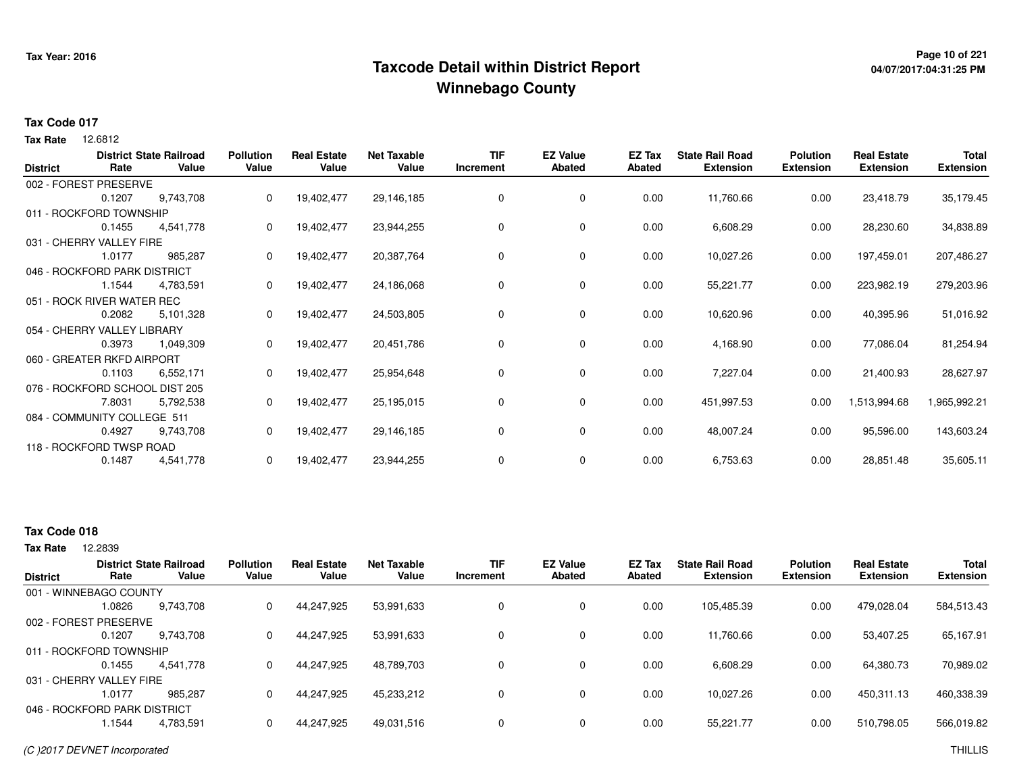## **Page 10 of 221 Taxcode Detail within District ReportWinnebago County**

# **04/07/2017:04:31:25 PM**

#### **Tax Code 017**

12.6812 **Tax Rate**

| <b>District</b> | Rate                           | <b>District State Railroad</b><br>Value | <b>Pollution</b><br>Value | <b>Real Estate</b><br>Value | <b>Net Taxable</b><br>Value | <b>TIF</b><br>Increment | <b>EZ Value</b><br><b>Abated</b> | EZ Tax<br>Abated | <b>State Rail Road</b><br><b>Extension</b> | <b>Polution</b><br><b>Extension</b> | <b>Real Estate</b><br><b>Extension</b> | Total<br><b>Extension</b> |
|-----------------|--------------------------------|-----------------------------------------|---------------------------|-----------------------------|-----------------------------|-------------------------|----------------------------------|------------------|--------------------------------------------|-------------------------------------|----------------------------------------|---------------------------|
|                 | 002 - FOREST PRESERVE          |                                         |                           |                             |                             |                         |                                  |                  |                                            |                                     |                                        |                           |
|                 | 0.1207                         | 9,743,708                               | 0                         | 19,402,477                  | 29,146,185                  | $\Omega$                | 0                                | 0.00             | 11,760.66                                  | 0.00                                | 23,418.79                              | 35,179.45                 |
|                 | 011 - ROCKFORD TOWNSHIP        |                                         |                           |                             |                             |                         |                                  |                  |                                            |                                     |                                        |                           |
|                 | 0.1455                         | 4,541,778                               | 0                         | 19,402,477                  | 23,944,255                  | 0                       | 0                                | 0.00             | 6,608.29                                   | 0.00                                | 28,230.60                              | 34,838.89                 |
|                 | 031 - CHERRY VALLEY FIRE       |                                         |                           |                             |                             |                         |                                  |                  |                                            |                                     |                                        |                           |
|                 | 1.0177                         | 985,287                                 | 0                         | 19,402,477                  | 20,387,764                  | 0                       | 0                                | 0.00             | 10,027.26                                  | 0.00                                | 197,459.01                             | 207,486.27                |
|                 | 046 - ROCKFORD PARK DISTRICT   |                                         |                           |                             |                             |                         |                                  |                  |                                            |                                     |                                        |                           |
|                 | 1.1544                         | 4,783,591                               | 0                         | 19,402,477                  | 24,186,068                  | 0                       | $\mathbf 0$                      | 0.00             | 55,221.77                                  | 0.00                                | 223,982.19                             | 279,203.96                |
|                 | 051 - ROCK RIVER WATER REC     |                                         |                           |                             |                             |                         |                                  |                  |                                            |                                     |                                        |                           |
|                 | 0.2082                         | 5,101,328                               | 0                         | 19,402,477                  | 24,503,805                  | 0                       | $\mathbf 0$                      | 0.00             | 10,620.96                                  | 0.00                                | 40,395.96                              | 51,016.92                 |
|                 | 054 - CHERRY VALLEY LIBRARY    |                                         |                           |                             |                             |                         |                                  |                  |                                            |                                     |                                        |                           |
|                 | 0.3973                         | 1,049,309                               | 0                         | 19,402,477                  | 20,451,786                  | 0                       | 0                                | 0.00             | 4,168.90                                   | 0.00                                | 77,086.04                              | 81,254.94                 |
|                 | 060 - GREATER RKFD AIRPORT     |                                         |                           |                             |                             |                         |                                  |                  |                                            |                                     |                                        |                           |
|                 | 0.1103                         | 6,552,171                               | 0                         | 19,402,477                  | 25,954,648                  | 0                       | 0                                | 0.00             | 7,227.04                                   | 0.00                                | 21,400.93                              | 28,627.97                 |
|                 | 076 - ROCKFORD SCHOOL DIST 205 |                                         |                           |                             |                             |                         |                                  |                  |                                            |                                     |                                        |                           |
|                 | 7.8031                         | 5,792,538                               | 0                         | 19,402,477                  | 25,195,015                  | 0                       | 0                                | 0.00             | 451,997.53                                 | 0.00                                | 1,513,994.68                           | 1,965,992.21              |
|                 | 084 - COMMUNITY COLLEGE 511    |                                         |                           |                             |                             |                         |                                  |                  |                                            |                                     |                                        |                           |
|                 | 0.4927                         | 9,743,708                               | 0                         | 19,402,477                  | 29,146,185                  | 0                       | $\mathbf 0$                      | 0.00             | 48,007.24                                  | 0.00                                | 95,596.00                              | 143,603.24                |
|                 | 118 - ROCKFORD TWSP ROAD       |                                         |                           |                             |                             |                         |                                  |                  |                                            |                                     |                                        |                           |
|                 | 0.1487                         | 4,541,778                               | 0                         | 19,402,477                  | 23,944,255                  | 0                       | 0                                | 0.00             | 6,753.63                                   | 0.00                                | 28,851.48                              | 35,605.11                 |

### **Tax Code 018**

| <b>District</b>              | Rate   | <b>District State Railroad</b><br>Value | <b>Pollution</b><br>Value | <b>Real Estate</b><br>Value | <b>Net Taxable</b><br>Value | <b>TIF</b><br>Increment | <b>EZ Value</b><br><b>Abated</b> | <b>EZ Tax</b><br>Abated | <b>State Rail Road</b><br><b>Extension</b> | <b>Polution</b><br><b>Extension</b> | <b>Real Estate</b><br><b>Extension</b> | <b>Total</b><br><b>Extension</b> |
|------------------------------|--------|-----------------------------------------|---------------------------|-----------------------------|-----------------------------|-------------------------|----------------------------------|-------------------------|--------------------------------------------|-------------------------------------|----------------------------------------|----------------------------------|
| 001 - WINNEBAGO COUNTY       |        |                                         |                           |                             |                             |                         |                                  |                         |                                            |                                     |                                        |                                  |
|                              | 1.0826 | 9.743.708                               | 0                         | 44,247,925                  | 53,991,633                  | 0                       | 0                                | 0.00                    | 105,485.39                                 | 0.00                                | 479,028.04                             | 584,513.43                       |
| 002 - FOREST PRESERVE        |        |                                         |                           |                             |                             |                         |                                  |                         |                                            |                                     |                                        |                                  |
|                              | 0.1207 | 9.743.708                               | 0                         | 44,247,925                  | 53,991,633                  | 0                       | 0                                | 0.00                    | 11,760.66                                  | 0.00                                | 53,407.25                              | 65,167.91                        |
| 011 - ROCKFORD TOWNSHIP      |        |                                         |                           |                             |                             |                         |                                  |                         |                                            |                                     |                                        |                                  |
|                              | 0.1455 | 4.541.778                               | 0                         | 44,247,925                  | 48.789.703                  | 0                       | 0                                | 0.00                    | 6,608.29                                   | 0.00                                | 64,380.73                              | 70,989.02                        |
| 031 - CHERRY VALLEY FIRE     |        |                                         |                           |                             |                             |                         |                                  |                         |                                            |                                     |                                        |                                  |
|                              | 1.0177 | 985.287                                 | 0                         | 44,247,925                  | 45,233,212                  | 0                       | 0                                | 0.00                    | 10,027.26                                  | 0.00                                | 450,311.13                             | 460,338.39                       |
| 046 - ROCKFORD PARK DISTRICT |        |                                         |                           |                             |                             |                         |                                  |                         |                                            |                                     |                                        |                                  |
|                              | 1.1544 | 4,783,591                               | 0                         | 44,247,925                  | 49,031,516                  | $\Omega$                | 0                                | 0.00                    | 55,221.77                                  | 0.00                                | 510,798.05                             | 566,019.82                       |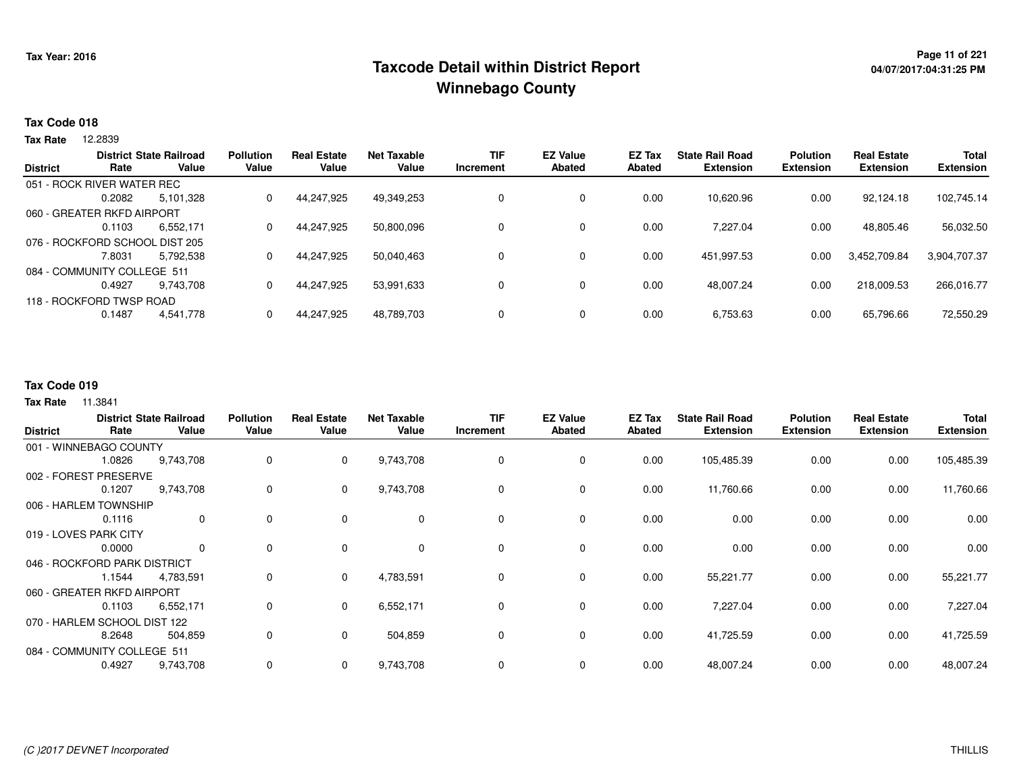## **Page 11 of 221 Taxcode Detail within District ReportWinnebago County**

#### **Tax Code 018**

**Tax Rate** 12.2839

| <b>District</b> | Rate                           | <b>District State Railroad</b><br>Value | <b>Pollution</b><br>Value | <b>Real Estate</b><br>Value | <b>Net Taxable</b><br>Value | <b>TIF</b><br>Increment | <b>EZ Value</b><br><b>Abated</b> | EZ Tax<br>Abated | <b>State Rail Road</b><br><b>Extension</b> | <b>Polution</b><br><b>Extension</b> | <b>Real Estate</b><br><b>Extension</b> | <b>Total</b><br><b>Extension</b> |
|-----------------|--------------------------------|-----------------------------------------|---------------------------|-----------------------------|-----------------------------|-------------------------|----------------------------------|------------------|--------------------------------------------|-------------------------------------|----------------------------------------|----------------------------------|
|                 | 051 - ROCK RIVER WATER REC     |                                         |                           |                             |                             |                         |                                  |                  |                                            |                                     |                                        |                                  |
|                 | 0.2082                         | 5.101.328                               | 0                         | 44,247,925                  | 49,349,253                  | 0                       | 0                                | 0.00             | 10,620.96                                  | 0.00                                | 92,124.18                              | 102,745.14                       |
|                 | 060 - GREATER RKFD AIRPORT     |                                         |                           |                             |                             |                         |                                  |                  |                                            |                                     |                                        |                                  |
|                 | 0.1103                         | 6,552,171                               | 0                         | 44.247.925                  | 50.800.096                  |                         | 0                                | 0.00             | 7,227.04                                   | 0.00                                | 48,805.46                              | 56,032.50                        |
|                 | 076 - ROCKFORD SCHOOL DIST 205 |                                         |                           |                             |                             |                         |                                  |                  |                                            |                                     |                                        |                                  |
|                 | 7.8031                         | 5.792.538                               | 0                         | 44.247.925                  | 50,040,463                  | 0                       | 0                                | 0.00             | 451,997.53                                 | 0.00                                | 3,452,709.84                           | 3,904,707.37                     |
|                 | 084 - COMMUNITY COLLEGE 511    |                                         |                           |                             |                             |                         |                                  |                  |                                            |                                     |                                        |                                  |
|                 | 0.4927                         | 9.743.708                               | 0                         | 44.247.925                  | 53,991,633                  | 0                       | 0                                | 0.00             | 48.007.24                                  | 0.00                                | 218.009.53                             | 266,016.77                       |
|                 | 118 - ROCKFORD TWSP ROAD       |                                         |                           |                             |                             |                         |                                  |                  |                                            |                                     |                                        |                                  |
|                 | 0.1487                         | 4,541,778                               |                           | 44.247.925                  | 48,789,703                  | 0                       | 0                                | 0.00             | 6,753.63                                   | 0.00                                | 65,796.66                              | 72,550.29                        |
|                 |                                |                                         |                           |                             |                             |                         |                                  |                  |                                            |                                     |                                        |                                  |

#### **Tax Code 019**

| <b>District</b>       | Rate                         | <b>District State Railroad</b><br>Value | <b>Pollution</b><br>Value | <b>Real Estate</b><br>Value | <b>Net Taxable</b><br>Value | <b>TIF</b><br>Increment | <b>EZ Value</b><br><b>Abated</b> | EZ Tax<br>Abated | <b>State Rail Road</b><br><b>Extension</b> | <b>Polution</b><br><b>Extension</b> | <b>Real Estate</b><br><b>Extension</b> | <b>Total</b><br><b>Extension</b> |
|-----------------------|------------------------------|-----------------------------------------|---------------------------|-----------------------------|-----------------------------|-------------------------|----------------------------------|------------------|--------------------------------------------|-------------------------------------|----------------------------------------|----------------------------------|
|                       | 001 - WINNEBAGO COUNTY       |                                         |                           |                             |                             |                         |                                  |                  |                                            |                                     |                                        |                                  |
|                       | 1.0826                       | 9,743,708                               | 0                         | $\overline{0}$              | 9,743,708                   | 0                       | 0                                | 0.00             | 105,485.39                                 | 0.00                                | 0.00                                   | 105,485.39                       |
|                       | 002 - FOREST PRESERVE        |                                         |                           |                             |                             |                         |                                  |                  |                                            |                                     |                                        |                                  |
|                       | 0.1207                       | 9,743,708                               | 0                         | $\mathbf 0$                 | 9,743,708                   | $\Omega$                | 0                                | 0.00             | 11,760.66                                  | 0.00                                | 0.00                                   | 11,760.66                        |
|                       | 006 - HARLEM TOWNSHIP        |                                         |                           |                             |                             |                         |                                  |                  |                                            |                                     |                                        |                                  |
|                       | 0.1116                       | $\mathbf 0$                             | 0                         | $\overline{0}$              | 0                           | 0                       | $\mathbf 0$                      | 0.00             | 0.00                                       | 0.00                                | 0.00                                   | 0.00                             |
| 019 - LOVES PARK CITY |                              |                                         |                           |                             |                             |                         |                                  |                  |                                            |                                     |                                        |                                  |
|                       | 0.0000                       | $\mathbf{0}$                            | 0                         | $\Omega$                    | $\mathbf 0$                 | $\Omega$                | $\mathbf 0$                      | 0.00             | 0.00                                       | 0.00                                | 0.00                                   | 0.00                             |
|                       | 046 - ROCKFORD PARK DISTRICT |                                         |                           |                             |                             |                         |                                  |                  |                                            |                                     |                                        |                                  |
|                       | 1.1544                       | 4,783,591                               | 0                         | $\mathbf{0}$                | 4,783,591                   | $\Omega$                | $\mathbf 0$                      | 0.00             | 55,221.77                                  | 0.00                                | 0.00                                   | 55,221.77                        |
|                       | 060 - GREATER RKFD AIRPORT   |                                         |                           |                             |                             |                         |                                  |                  |                                            |                                     |                                        |                                  |
|                       | 0.1103                       | 6,552,171                               | 0                         | $\overline{0}$              | 6,552,171                   | 0                       | 0                                | 0.00             | 7,227.04                                   | 0.00                                | 0.00                                   | 7,227.04                         |
|                       | 070 - HARLEM SCHOOL DIST 122 |                                         |                           |                             |                             |                         |                                  |                  |                                            |                                     |                                        |                                  |
|                       | 8.2648                       | 504,859                                 | 0                         | $\mathbf 0$                 | 504,859                     | 0                       | 0                                | 0.00             | 41,725.59                                  | 0.00                                | 0.00                                   | 41,725.59                        |
|                       | 084 - COMMUNITY COLLEGE 511  |                                         |                           |                             |                             |                         |                                  |                  |                                            |                                     |                                        |                                  |
|                       | 0.4927                       | 9,743,708                               | 0                         | $\mathbf 0$                 | 9,743,708                   | 0                       | 0                                | 0.00             | 48,007.24                                  | 0.00                                | 0.00                                   | 48,007.24                        |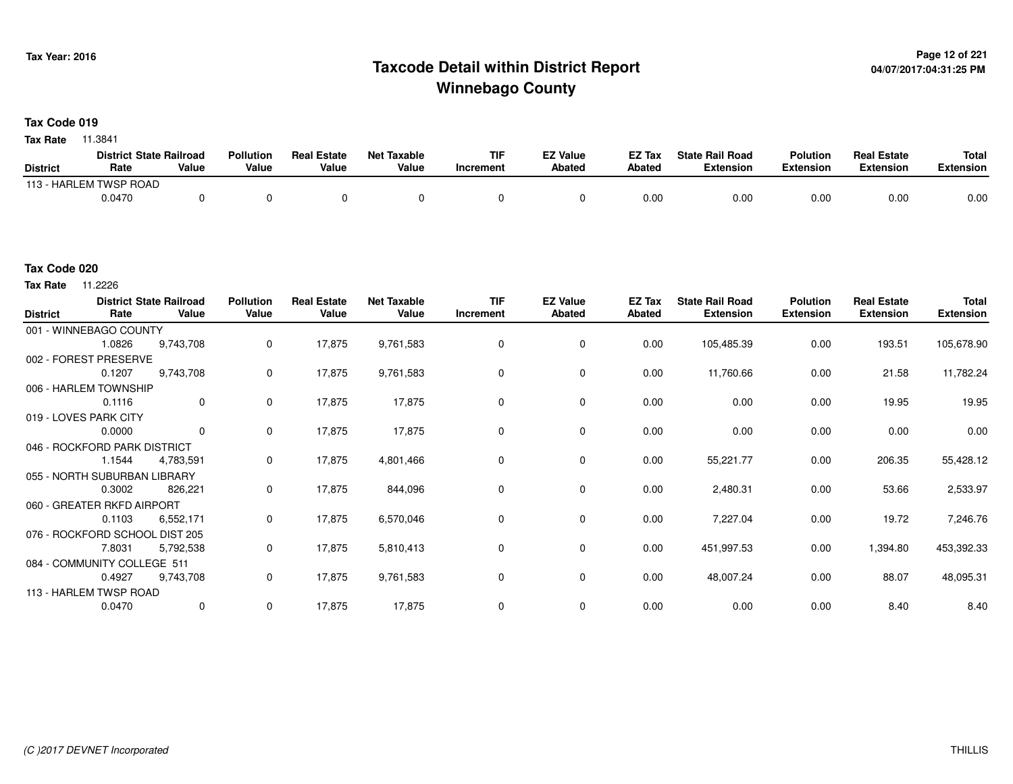## <sup>Page 12 of 221</sup> Page 12 of 221<br>Taxcode Detail within District Report های این موجع به موجع این موجع این موجع این موجع این موجع این موجع این موج **Winnebago County**

**Tax Code 019**

**Tax Rate** 11.3841

|                 | <b>District State Railroad</b> |       | <b>Pollution</b> | <b>Real Estate</b> | Net Taxable | <b>TIF</b> | <b>EZ Value</b> | <b>EZ Tax</b> | <b>State Rail Road</b> | <b>Polution</b>  | <b>Real Estate</b> | <b>Total</b> |
|-----------------|--------------------------------|-------|------------------|--------------------|-------------|------------|-----------------|---------------|------------------------|------------------|--------------------|--------------|
| <b>District</b> | Rate                           | Value | Value            | Value              | Value       | Increment  | <b>Abated</b>   | <b>Abated</b> | <b>Extension</b>       | <b>Extension</b> | <b>Extension</b>   | Extension    |
|                 | 113 - HARLEM TWSP ROAD         |       |                  |                    |             |            |                 |               |                        |                  |                    |              |
|                 | 0.0470                         |       |                  |                    |             |            |                 | 0.00          | 0.00                   | 0.00             | 0.00               | 0.00         |

#### **Tax Code 020**

**Tax Rate** 11.2226

| <b>District</b> | Rate                           | <b>District State Railroad</b><br>Value | <b>Pollution</b><br>Value | <b>Real Estate</b><br>Value | <b>Net Taxable</b><br>Value | <b>TIF</b><br>Increment | <b>EZ Value</b><br><b>Abated</b> | EZ Tax<br><b>Abated</b> | <b>State Rail Road</b><br><b>Extension</b> | <b>Polution</b><br><b>Extension</b> | <b>Real Estate</b><br><b>Extension</b> | Total<br><b>Extension</b> |
|-----------------|--------------------------------|-----------------------------------------|---------------------------|-----------------------------|-----------------------------|-------------------------|----------------------------------|-------------------------|--------------------------------------------|-------------------------------------|----------------------------------------|---------------------------|
|                 | 001 - WINNEBAGO COUNTY         |                                         |                           |                             |                             |                         |                                  |                         |                                            |                                     |                                        |                           |
|                 | 1.0826                         | 9,743,708                               | $\mathbf 0$               | 17,875                      | 9,761,583                   | 0                       | 0                                | 0.00                    | 105,485.39                                 | 0.00                                | 193.51                                 | 105,678.90                |
|                 | 002 - FOREST PRESERVE          |                                         |                           |                             |                             |                         |                                  |                         |                                            |                                     |                                        |                           |
|                 | 0.1207                         | 9,743,708                               | 0                         | 17,875                      | 9,761,583                   | 0                       | 0                                | 0.00                    | 11,760.66                                  | 0.00                                | 21.58                                  | 11,782.24                 |
|                 | 006 - HARLEM TOWNSHIP          |                                         |                           |                             |                             |                         |                                  |                         |                                            |                                     |                                        |                           |
|                 | 0.1116                         | $\mathbf 0$                             | 0                         | 17,875                      | 17,875                      | $\Omega$                | $\mathbf 0$                      | 0.00                    | 0.00                                       | 0.00                                | 19.95                                  | 19.95                     |
|                 | 019 - LOVES PARK CITY          |                                         |                           |                             |                             |                         |                                  |                         |                                            |                                     |                                        |                           |
|                 | 0.0000                         | $\mathbf 0$                             | 0                         | 17,875                      | 17,875                      | 0                       | $\mathbf 0$                      | 0.00                    | 0.00                                       | 0.00                                | 0.00                                   | 0.00                      |
|                 | 046 - ROCKFORD PARK DISTRICT   |                                         |                           |                             |                             |                         |                                  |                         |                                            |                                     |                                        |                           |
|                 | 1.1544                         | 4,783,591                               | 0                         | 17,875                      | 4,801,466                   | $\Omega$                | $\mathbf 0$                      | 0.00                    | 55,221.77                                  | 0.00                                | 206.35                                 | 55,428.12                 |
|                 | 055 - NORTH SUBURBAN LIBRARY   |                                         |                           |                             |                             |                         |                                  |                         |                                            |                                     |                                        |                           |
|                 | 0.3002                         | 826,221                                 | 0                         | 17,875                      | 844,096                     | 0                       | 0                                | 0.00                    | 2,480.31                                   | 0.00                                | 53.66                                  | 2,533.97                  |
|                 | 060 - GREATER RKFD AIRPORT     |                                         |                           |                             |                             |                         |                                  |                         |                                            |                                     |                                        |                           |
|                 | 0.1103                         | 6,552,171                               | 0                         | 17,875                      | 6,570,046                   | 0                       | 0                                | 0.00                    | 7,227.04                                   | 0.00                                | 19.72                                  | 7,246.76                  |
|                 | 076 - ROCKFORD SCHOOL DIST 205 |                                         |                           |                             |                             |                         |                                  |                         |                                            |                                     |                                        |                           |
|                 | 7.8031                         | 5,792,538                               | 0                         | 17,875                      | 5,810,413                   | 0                       | $\mathbf 0$                      | 0.00                    | 451,997.53                                 | 0.00                                | 1,394.80                               | 453,392.33                |
|                 | 084 - COMMUNITY COLLEGE 511    |                                         |                           |                             |                             |                         |                                  |                         |                                            |                                     |                                        |                           |
|                 | 0.4927                         | 9,743,708                               | 0                         | 17,875                      | 9,761,583                   | 0                       | $\mathbf 0$                      | 0.00                    | 48,007.24                                  | 0.00                                | 88.07                                  | 48,095.31                 |
|                 | 113 - HARLEM TWSP ROAD         |                                         |                           |                             |                             |                         |                                  |                         |                                            |                                     |                                        |                           |
|                 | 0.0470                         | 0                                       | 0                         | 17,875                      | 17,875                      | 0                       | 0                                | 0.00                    | 0.00                                       | 0.00                                | 8.40                                   | 8.40                      |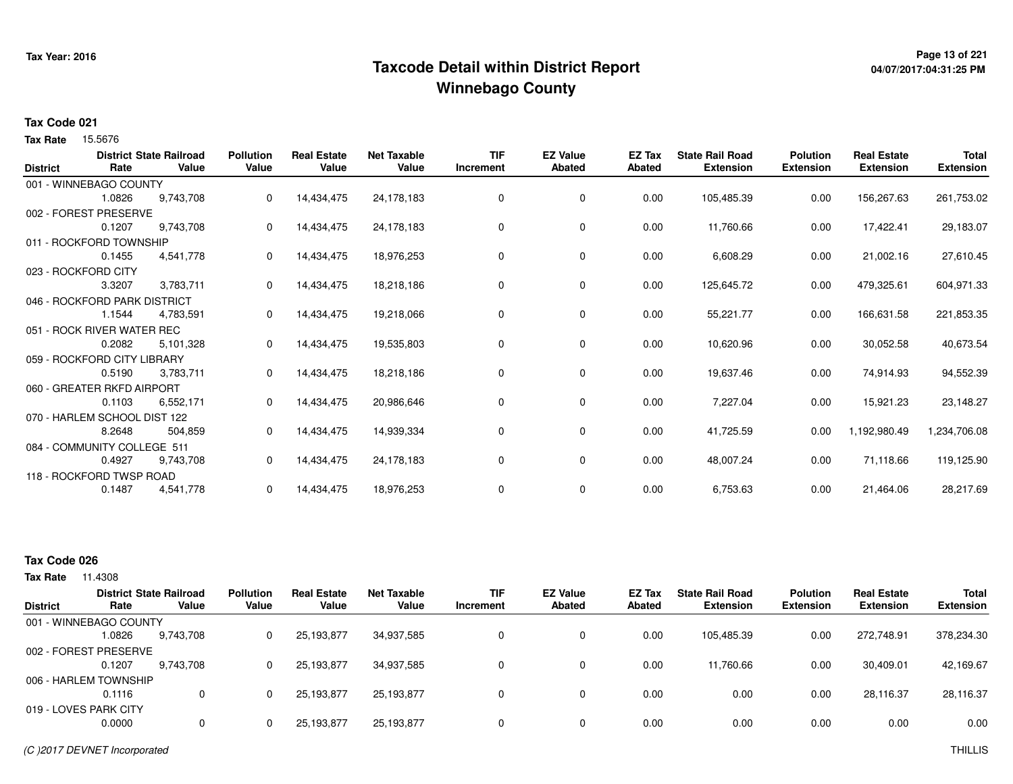## <sup>Page 13 of 221</sup> Page 13 of 221<br>Taxcode Detail within District Report لا من المستخدم با با با با من المعام 17axcode Detail within District Report **Winnebago County**

# **04/07/2017:04:31:25 PM**

#### **Tax Code 021**

15.5676 **Tax Rate**

| <b>District</b> | Rate                         | <b>District State Railroad</b><br>Value | <b>Pollution</b><br>Value | <b>Real Estate</b><br>Value | <b>Net Taxable</b><br>Value | <b>TIF</b><br>Increment | <b>EZ Value</b><br>Abated | EZ Tax<br>Abated | <b>State Rail Road</b><br><b>Extension</b> | <b>Polution</b><br><b>Extension</b> | <b>Real Estate</b><br><b>Extension</b> | <b>Total</b><br><b>Extension</b> |
|-----------------|------------------------------|-----------------------------------------|---------------------------|-----------------------------|-----------------------------|-------------------------|---------------------------|------------------|--------------------------------------------|-------------------------------------|----------------------------------------|----------------------------------|
|                 |                              |                                         |                           |                             |                             |                         |                           |                  |                                            |                                     |                                        |                                  |
|                 | 001 - WINNEBAGO COUNTY       |                                         |                           |                             |                             |                         |                           |                  |                                            |                                     |                                        |                                  |
|                 | 1.0826                       | 9,743,708                               | 0                         | 14,434,475                  | 24,178,183                  | 0                       | 0                         | 0.00             | 105,485.39                                 | 0.00                                | 156,267.63                             | 261,753.02                       |
|                 | 002 - FOREST PRESERVE        |                                         |                           |                             |                             |                         |                           |                  |                                            |                                     |                                        |                                  |
|                 | 0.1207                       | 9,743,708                               | 0                         | 14,434,475                  | 24,178,183                  | 0                       | 0                         | 0.00             | 11,760.66                                  | 0.00                                | 17,422.41                              | 29,183.07                        |
|                 | 011 - ROCKFORD TOWNSHIP      |                                         |                           |                             |                             |                         |                           |                  |                                            |                                     |                                        |                                  |
|                 | 0.1455                       | 4,541,778                               | 0                         | 14,434,475                  | 18,976,253                  | 0                       | 0                         | 0.00             | 6,608.29                                   | 0.00                                | 21,002.16                              | 27,610.45                        |
|                 | 023 - ROCKFORD CITY          |                                         |                           |                             |                             |                         |                           |                  |                                            |                                     |                                        |                                  |
|                 | 3.3207                       | 3,783,711                               |                           | 14,434,475                  | 18,218,186                  | 0                       | 0                         | 0.00             | 125,645.72                                 | 0.00                                | 479,325.61                             | 604,971.33                       |
|                 | 046 - ROCKFORD PARK DISTRICT |                                         |                           |                             |                             |                         |                           |                  |                                            |                                     |                                        |                                  |
|                 | 1.1544                       | 4,783,591                               | 0                         | 14,434,475                  | 19,218,066                  | $\Omega$                | 0                         | 0.00             | 55,221.77                                  | 0.00                                | 166,631.58                             | 221,853.35                       |
|                 | 051 - ROCK RIVER WATER REC   |                                         |                           |                             |                             |                         |                           |                  |                                            |                                     |                                        |                                  |
|                 | 0.2082                       | 5,101,328                               | 0                         | 14,434,475                  | 19,535,803                  | 0                       | 0                         | 0.00             | 10,620.96                                  | 0.00                                | 30,052.58                              | 40,673.54                        |
|                 | 059 - ROCKFORD CITY LIBRARY  |                                         |                           |                             |                             |                         |                           |                  |                                            |                                     |                                        |                                  |
|                 | 0.5190                       | 3,783,711                               | 0                         | 14,434,475                  | 18,218,186                  | 0                       | 0                         | 0.00             | 19,637.46                                  | 0.00                                | 74,914.93                              | 94,552.39                        |
|                 | 060 - GREATER RKFD AIRPORT   |                                         |                           |                             |                             |                         |                           |                  |                                            |                                     |                                        |                                  |
|                 | 0.1103                       | 6,552,171                               | 0                         | 14,434,475                  | 20,986,646                  | 0                       | 0                         | 0.00             | 7,227.04                                   | 0.00                                | 15,921.23                              | 23,148.27                        |
|                 | 070 - HARLEM SCHOOL DIST 122 |                                         |                           |                             |                             |                         |                           |                  |                                            |                                     |                                        |                                  |
|                 | 8.2648                       | 504,859                                 | 0                         | 14,434,475                  | 14,939,334                  | 0                       | 0                         | 0.00             | 41,725.59                                  | 0.00                                | 1,192,980.49                           | 1,234,706.08                     |
|                 | 084 - COMMUNITY COLLEGE 511  |                                         |                           |                             |                             |                         |                           |                  |                                            |                                     |                                        |                                  |
|                 | 0.4927                       | 9,743,708                               | 0                         | 14,434,475                  | 24,178,183                  | 0                       | 0                         | 0.00             | 48,007.24                                  | 0.00                                | 71,118.66                              | 119,125.90                       |
|                 | 118 - ROCKFORD TWSP ROAD     |                                         |                           |                             |                             |                         |                           |                  |                                            |                                     |                                        |                                  |
|                 | 0.1487                       | 4,541,778                               | 0                         | 14,434,475                  | 18,976,253                  | 0                       | 0                         | 0.00             | 6,753.63                                   | 0.00                                | 21,464.06                              | 28,217.69                        |
|                 |                              |                                         |                           |                             |                             |                         |                           |                  |                                            |                                     |                                        |                                  |

### **Tax Code 026**

|                        | <b>District State Railroad</b> |             | <b>Pollution</b> | <b>Real Estate</b> | <b>Net Taxable</b> | <b>TIF</b> | <b>EZ Value</b> | <b>EZ Tax</b> | <b>State Rail Road</b> | <b>Polution</b>  | <b>Real Estate</b> | <b>Total</b>     |
|------------------------|--------------------------------|-------------|------------------|--------------------|--------------------|------------|-----------------|---------------|------------------------|------------------|--------------------|------------------|
| <b>District</b>        | Rate                           | Value       | Value            | Value              | Value              | Increment  | <b>Abated</b>   | Abated        | <b>Extension</b>       | <b>Extension</b> | <b>Extension</b>   | <b>Extension</b> |
| 001 - WINNEBAGO COUNTY |                                |             |                  |                    |                    |            |                 |               |                        |                  |                    |                  |
|                        | 1.0826                         | 9,743,708   |                  | 25,193,877         | 34,937,585         | 0          | 0               | 0.00          | 105,485.39             | 0.00             | 272,748.91         | 378,234.30       |
| 002 - FOREST PRESERVE  |                                |             |                  |                    |                    |            |                 |               |                        |                  |                    |                  |
|                        | 0.1207                         | 9.743.708   |                  | 25,193,877         | 34,937,585         | 0          | 0               | 0.00          | 11,760.66              | 0.00             | 30,409.01          | 42,169.67        |
| 006 - HARLEM TOWNSHIP  |                                |             |                  |                    |                    |            |                 |               |                        |                  |                    |                  |
|                        | 0.1116                         | $\mathbf 0$ |                  | 25,193,877         | 25,193,877         | $\Omega$   |                 | 0.00          | 0.00                   | 0.00             | 28,116.37          | 28,116.37        |
| 019 - LOVES PARK CITY  |                                |             |                  |                    |                    |            |                 |               |                        |                  |                    |                  |
|                        | 0.0000                         | 0           |                  | 25,193,877         | 25,193,877         | 0          | 0               | 0.00          | 0.00                   | 0.00             | 0.00               | 0.00             |
|                        |                                |             |                  |                    |                    |            |                 |               |                        |                  |                    |                  |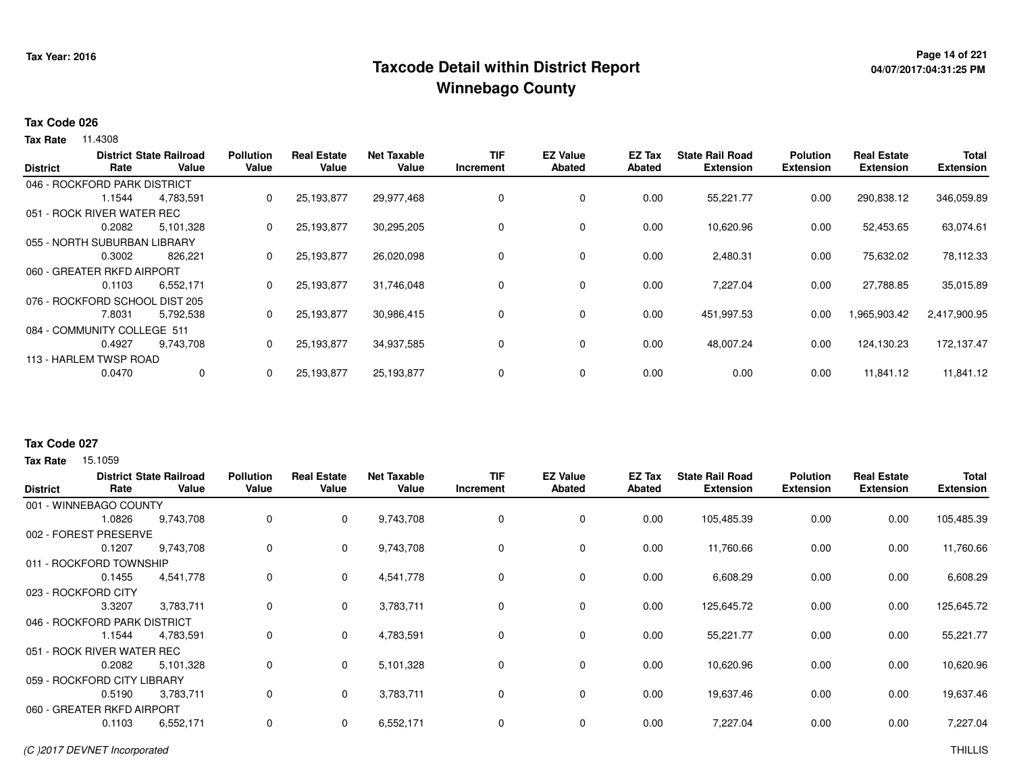## <sup>Page 14</sup> of 221 Page 14 of 221<br>Taxcode Detail within District Report لا معنى 1995 Taxcode Detail within District Report **Winnebago County**

# **04/07/2017:04:31:25 PM**

#### **Tax Code 026**

**Tax Rate** 11.4308

|                 |                                | <b>District State Railroad</b> | <b>Pollution</b> | <b>Real Estate</b> | <b>Net Taxable</b> | TIF       | <b>EZ Value</b> | EZ Tax | <b>State Rail Road</b> | <b>Polution</b>  | <b>Real Estate</b> | <b>Total</b>     |
|-----------------|--------------------------------|--------------------------------|------------------|--------------------|--------------------|-----------|-----------------|--------|------------------------|------------------|--------------------|------------------|
| <b>District</b> | Rate                           | Value                          | Value            | Value              | Value              | Increment | <b>Abated</b>   | Abated | <b>Extension</b>       | <b>Extension</b> | <b>Extension</b>   | <b>Extension</b> |
|                 | 046 - ROCKFORD PARK DISTRICT   |                                |                  |                    |                    |           |                 |        |                        |                  |                    |                  |
|                 | 1.1544                         | 4,783,591                      | 0                | 25,193,877         | 29,977,468         | $\Omega$  | 0               | 0.00   | 55,221.77              | 0.00             | 290,838.12         | 346,059.89       |
|                 | 051 - ROCK RIVER WATER REC     |                                |                  |                    |                    |           |                 |        |                        |                  |                    |                  |
|                 | 0.2082                         | 5,101,328                      | 0                | 25,193,877         | 30,295,205         |           | 0               | 0.00   | 10,620.96              | 0.00             | 52,453.65          | 63,074.61        |
|                 | 055 - NORTH SUBURBAN LIBRARY   |                                |                  |                    |                    |           |                 |        |                        |                  |                    |                  |
|                 | 0.3002                         | 826,221                        | 0                | 25,193,877         | 26,020,098         |           | 0               | 0.00   | 2,480.31               | 0.00             | 75,632.02          | 78,112.33        |
|                 | 060 - GREATER RKFD AIRPORT     |                                |                  |                    |                    |           |                 |        |                        |                  |                    |                  |
|                 | 0.1103                         | 6,552,171                      | 0                | 25,193,877         | 31,746,048         | $\Omega$  | $\mathbf 0$     | 0.00   | 7,227.04               | 0.00             | 27,788.85          | 35,015.89        |
|                 | 076 - ROCKFORD SCHOOL DIST 205 |                                |                  |                    |                    |           |                 |        |                        |                  |                    |                  |
|                 | 7.8031                         | 5,792,538                      | 0                | 25,193,877         | 30,986,415         | $\Omega$  | $\mathbf 0$     | 0.00   | 451,997.53             | 0.00             | 1,965,903.42       | 2,417,900.95     |
|                 | 084 - COMMUNITY COLLEGE 511    |                                |                  |                    |                    |           |                 |        |                        |                  |                    |                  |
|                 | 0.4927                         | 9,743,708                      | $\mathbf{0}$     | 25,193,877         | 34,937,585         |           | $\mathbf 0$     | 0.00   | 48,007.24              | 0.00             | 124,130.23         | 172.137.47       |
|                 | 113 - HARLEM TWSP ROAD         |                                |                  |                    |                    |           |                 |        |                        |                  |                    |                  |
|                 | 0.0470                         | 0                              | 0                | 25,193,877         | 25,193,877         | $\Omega$  | 0               | 0.00   | 0.00                   | 0.00             | 11,841.12          | 11,841.12        |
|                 |                                |                                |                  |                    |                    |           |                 |        |                        |                  |                    |                  |

#### **Tax Code 027**

| <b>District</b> | Rate                         | <b>District State Railroad</b><br>Value | <b>Pollution</b><br>Value | <b>Real Estate</b><br>Value | <b>Net Taxable</b><br>Value | <b>TIF</b><br><b>Increment</b> | <b>EZ Value</b><br><b>Abated</b> | EZ Tax<br>Abated | <b>State Rail Road</b><br><b>Extension</b> | <b>Polution</b><br><b>Extension</b> | <b>Real Estate</b><br><b>Extension</b> | <b>Total</b><br><b>Extension</b> |
|-----------------|------------------------------|-----------------------------------------|---------------------------|-----------------------------|-----------------------------|--------------------------------|----------------------------------|------------------|--------------------------------------------|-------------------------------------|----------------------------------------|----------------------------------|
|                 | 001 - WINNEBAGO COUNTY       |                                         |                           |                             |                             |                                |                                  |                  |                                            |                                     |                                        |                                  |
|                 | 1.0826                       | 9,743,708                               | 0                         | 0                           | 9,743,708                   | 0                              | 0                                | 0.00             | 105,485.39                                 | 0.00                                | 0.00                                   | 105,485.39                       |
|                 | 002 - FOREST PRESERVE        |                                         |                           |                             |                             |                                |                                  |                  |                                            |                                     |                                        |                                  |
|                 | 0.1207                       | 9,743,708                               | 0                         | 0                           | 9,743,708                   | 0                              | $\mathbf 0$                      | 0.00             | 11,760.66                                  | 0.00                                | 0.00                                   | 11,760.66                        |
|                 | 011 - ROCKFORD TOWNSHIP      |                                         |                           |                             |                             |                                |                                  |                  |                                            |                                     |                                        |                                  |
|                 | 0.1455                       | 4,541,778                               | 0                         | 0                           | 4,541,778                   | 0                              | $\mathbf 0$                      | 0.00             | 6,608.29                                   | 0.00                                | 0.00                                   | 6,608.29                         |
|                 | 023 - ROCKFORD CITY          |                                         |                           |                             |                             |                                |                                  |                  |                                            |                                     |                                        |                                  |
|                 | 3.3207                       | 3,783,711                               | 0                         | $\mathbf 0$                 | 3,783,711                   | 0                              | $\mathbf 0$                      | 0.00             | 125,645.72                                 | 0.00                                | 0.00                                   | 125,645.72                       |
|                 | 046 - ROCKFORD PARK DISTRICT |                                         |                           |                             |                             |                                |                                  |                  |                                            |                                     |                                        |                                  |
|                 | 1.1544                       | 4,783,591                               | 0                         | $\Omega$                    | 4,783,591                   | 0                              | $\mathbf 0$                      | 0.00             | 55,221.77                                  | 0.00                                | 0.00                                   | 55,221.77                        |
|                 | 051 - ROCK RIVER WATER REC   |                                         |                           |                             |                             |                                |                                  |                  |                                            |                                     |                                        |                                  |
|                 | 0.2082                       | 5,101,328                               | 0                         | 0                           | 5,101,328                   | 0                              | $\mathbf 0$                      | 0.00             | 10,620.96                                  | 0.00                                | 0.00                                   | 10,620.96                        |
|                 | 059 - ROCKFORD CITY LIBRARY  |                                         |                           |                             |                             |                                |                                  |                  |                                            |                                     |                                        |                                  |
|                 | 0.5190                       | 3,783,711                               | 0                         | 0                           | 3,783,711                   | 0                              | $\mathbf 0$                      | 0.00             | 19,637.46                                  | 0.00                                | 0.00                                   | 19,637.46                        |
|                 | 060 - GREATER RKFD AIRPORT   |                                         |                           |                             |                             |                                |                                  |                  |                                            |                                     |                                        |                                  |
|                 | 0.1103                       | 6,552,171                               | 0                         | 0                           | 6,552,171                   | 0                              | $\mathbf 0$                      | 0.00             | 7,227.04                                   | 0.00                                | 0.00                                   | 7,227.04                         |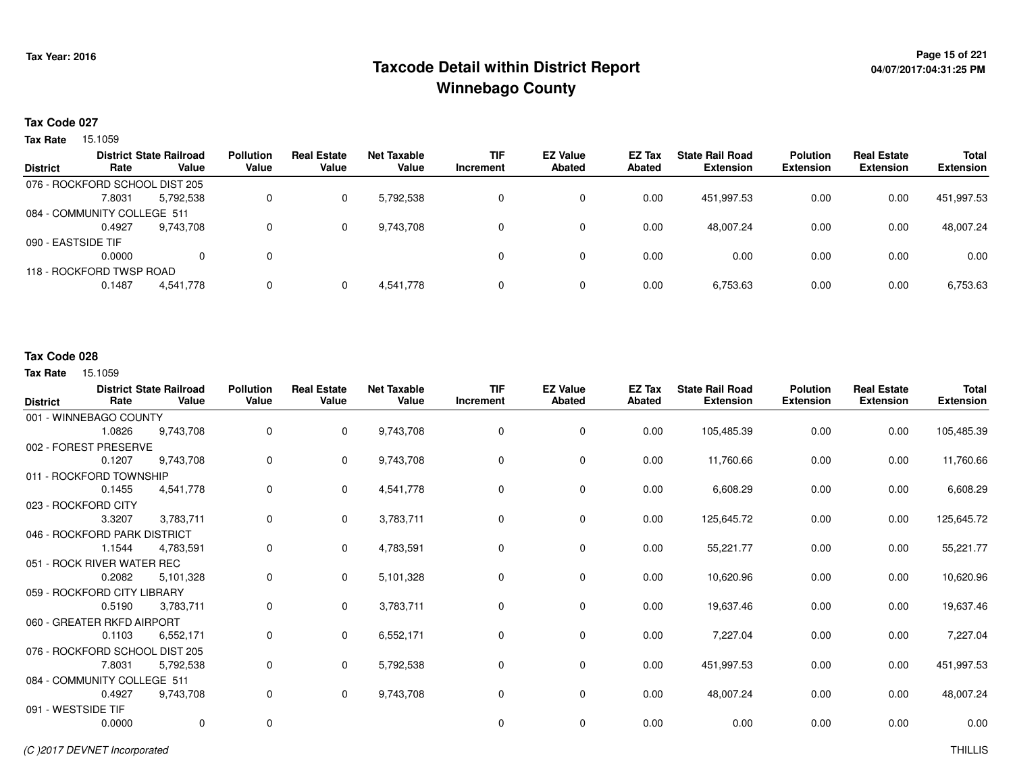## <sup>Page 15</sup> of 221 Page 15 of 221<br>Taxcode Detail within District Report لا معنى 1999 Taxcode Detail within District Report **Winnebago County**

# **04/07/2017:04:31:25 PM**

#### **Tax Code 027**

**Tax Rate** 15.1059

| <b>District</b>    | Rate                           | <b>District State Railroad</b><br>Value | <b>Pollution</b><br>Value | <b>Real Estate</b><br>Value | Net Taxable<br>Value | <b>TIF</b><br>Increment | <b>EZ Value</b><br><b>Abated</b> | <b>EZ Tax</b><br>Abated | <b>State Rail Road</b><br><b>Extension</b> | <b>Polution</b><br><b>Extension</b> | <b>Real Estate</b><br><b>Extension</b> | <b>Total</b><br><b>Extension</b> |
|--------------------|--------------------------------|-----------------------------------------|---------------------------|-----------------------------|----------------------|-------------------------|----------------------------------|-------------------------|--------------------------------------------|-------------------------------------|----------------------------------------|----------------------------------|
|                    | 076 - ROCKFORD SCHOOL DIST 205 |                                         |                           |                             |                      |                         |                                  |                         |                                            |                                     |                                        |                                  |
|                    | 7.8031                         | 5,792,538                               |                           | 0                           | 5,792,538            |                         | 0                                | 0.00                    | 451.997.53                                 | 0.00                                | 0.00                                   | 451,997.53                       |
|                    | 084 - COMMUNITY COLLEGE 511    |                                         |                           |                             |                      |                         |                                  |                         |                                            |                                     |                                        |                                  |
|                    | 0.4927                         | 9.743.708                               |                           | 0                           | 9,743,708            |                         | 0                                | 0.00                    | 48,007.24                                  | 0.00                                | 0.00                                   | 48,007.24                        |
| 090 - EASTSIDE TIF |                                |                                         |                           |                             |                      |                         |                                  |                         |                                            |                                     |                                        |                                  |
|                    | 0.0000                         | $\Omega$                                | 0                         |                             |                      |                         | 0                                | 0.00                    | 0.00                                       | 0.00                                | 0.00                                   | 0.00                             |
|                    | 118 - ROCKFORD TWSP ROAD       |                                         |                           |                             |                      |                         |                                  |                         |                                            |                                     |                                        |                                  |
|                    | 0.1487                         | 4,541,778                               |                           | 0                           | 4,541,778            |                         | 0                                | 0.00                    | 6,753.63                                   | 0.00                                | 0.00                                   | 6,753.63                         |
|                    |                                |                                         |                           |                             |                      |                         |                                  |                         |                                            |                                     |                                        |                                  |

### **Tax Code 028**

| <b>District</b> | Rate                           | <b>District State Railroad</b><br>Value | <b>Pollution</b><br>Value | <b>Real Estate</b><br>Value | <b>Net Taxable</b><br>Value | <b>TIF</b><br>Increment | <b>EZ Value</b><br><b>Abated</b> | EZ Tax<br>Abated | <b>State Rail Road</b><br><b>Extension</b> | <b>Polution</b><br><b>Extension</b> | <b>Real Estate</b><br><b>Extension</b> | <b>Total</b><br><b>Extension</b> |
|-----------------|--------------------------------|-----------------------------------------|---------------------------|-----------------------------|-----------------------------|-------------------------|----------------------------------|------------------|--------------------------------------------|-------------------------------------|----------------------------------------|----------------------------------|
|                 | 001 - WINNEBAGO COUNTY         |                                         |                           |                             |                             |                         |                                  |                  |                                            |                                     |                                        |                                  |
|                 | 1.0826                         | 9,743,708                               | 0                         | $\Omega$                    | 9,743,708                   | 0                       | $\mathbf 0$                      | 0.00             | 105,485.39                                 | 0.00                                | 0.00                                   | 105,485.39                       |
|                 | 002 - FOREST PRESERVE          |                                         |                           |                             |                             |                         |                                  |                  |                                            |                                     |                                        |                                  |
|                 | 0.1207                         | 9,743,708                               | 0                         | $\mathbf{0}$                | 9,743,708                   | $\mathbf 0$             | $\mathbf 0$                      | 0.00             | 11,760.66                                  | 0.00                                | 0.00                                   | 11,760.66                        |
|                 | 011 - ROCKFORD TOWNSHIP        |                                         |                           |                             |                             |                         |                                  |                  |                                            |                                     |                                        |                                  |
|                 | 0.1455                         | 4,541,778                               | 0                         | $\mathbf{0}$                | 4,541,778                   | 0                       | $\mathbf{0}$                     | 0.00             | 6,608.29                                   | 0.00                                | 0.00                                   | 6,608.29                         |
|                 | 023 - ROCKFORD CITY            |                                         |                           |                             |                             |                         |                                  |                  |                                            |                                     |                                        |                                  |
|                 | 3.3207                         | 3,783,711                               | 0                         | $\Omega$                    | 3,783,711                   | 0                       | 0                                | 0.00             | 125,645.72                                 | 0.00                                | 0.00                                   | 125,645.72                       |
|                 | 046 - ROCKFORD PARK DISTRICT   |                                         |                           |                             |                             |                         |                                  |                  |                                            |                                     |                                        |                                  |
|                 | 1.1544                         | 4,783,591                               | 0                         | $\Omega$                    | 4,783,591                   | 0                       | $\mathbf 0$                      | 0.00             | 55,221.77                                  | 0.00                                | 0.00                                   | 55,221.77                        |
|                 | 051 - ROCK RIVER WATER REC     |                                         |                           |                             |                             |                         |                                  |                  |                                            |                                     |                                        |                                  |
|                 | 0.2082                         | 5,101,328                               | 0                         | $\Omega$                    | 5,101,328                   | 0                       | $\mathbf 0$                      | 0.00             | 10,620.96                                  | 0.00                                | 0.00                                   | 10,620.96                        |
|                 | 059 - ROCKFORD CITY LIBRARY    |                                         |                           |                             |                             |                         |                                  |                  |                                            |                                     |                                        |                                  |
|                 | 0.5190                         | 3,783,711                               | 0                         | $\mathbf{0}$                | 3,783,711                   | 0                       | $\mathbf 0$                      | 0.00             | 19,637.46                                  | 0.00                                | 0.00                                   | 19,637.46                        |
|                 | 060 - GREATER RKFD AIRPORT     |                                         |                           |                             |                             |                         |                                  |                  |                                            |                                     |                                        |                                  |
|                 | 0.1103                         | 6,552,171                               | 0                         | $\mathbf{0}$                | 6,552,171                   | 0                       | 0                                | 0.00             | 7,227.04                                   | 0.00                                | 0.00                                   | 7,227.04                         |
|                 | 076 - ROCKFORD SCHOOL DIST 205 |                                         |                           |                             |                             |                         |                                  |                  |                                            |                                     |                                        |                                  |
|                 | 7.8031                         | 5,792,538                               | 0                         | $\mathbf{0}$                | 5,792,538                   | 0                       | $\mathbf 0$                      | 0.00             | 451,997.53                                 | 0.00                                | 0.00                                   | 451,997.53                       |
|                 | 084 - COMMUNITY COLLEGE 511    |                                         |                           |                             |                             |                         |                                  |                  |                                            |                                     |                                        |                                  |
|                 | 0.4927                         | 9,743,708                               | 0                         | $\mathbf{0}$                | 9,743,708                   | 0                       | $\mathbf 0$                      | 0.00             | 48,007.24                                  | 0.00                                | 0.00                                   | 48,007.24                        |
|                 | 091 - WESTSIDE TIF             |                                         |                           |                             |                             |                         |                                  |                  |                                            |                                     |                                        |                                  |
|                 | 0.0000                         | $\mathbf 0$                             | 0                         |                             |                             | 0                       | $\mathbf 0$                      | 0.00             | 0.00                                       | 0.00                                | 0.00                                   | 0.00                             |
|                 |                                |                                         |                           |                             |                             |                         |                                  |                  |                                            |                                     |                                        |                                  |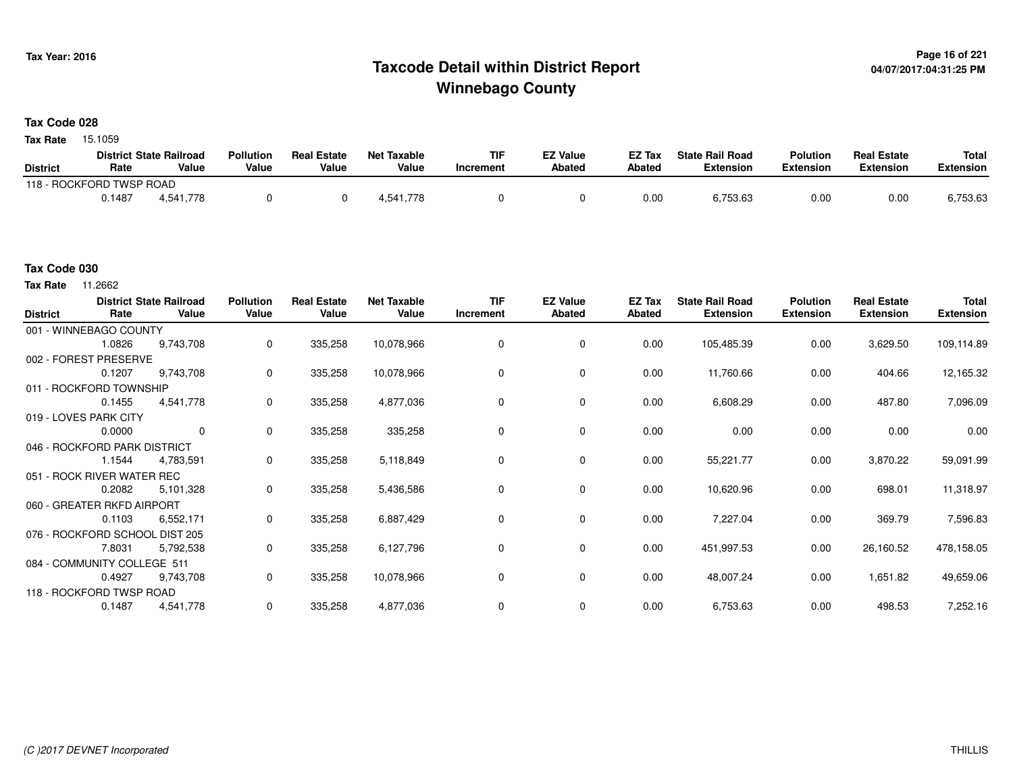## <sup>Page 16</sup> of 221 Page 16 of 221<br>Taxcode Detail within District Report لا من المستخدم بالاستخدام بالتفاوت المتحدة بالتابعية المستخدم بالتابعية ا **Winnebago County**

#### **Tax Code 028**

**Tax Rate** 15.1059

|                          |        | <b>District State Railroad</b> | <b>Pollution</b> | <b>Real Estate</b> | <b>Net Taxable</b> | TIF       | <b>EZ Value</b> | <b>EZ Tax</b> | <b>State Rail Road</b> | Polution  | <b>Real Estate</b> | <b>Total</b> |
|--------------------------|--------|--------------------------------|------------------|--------------------|--------------------|-----------|-----------------|---------------|------------------------|-----------|--------------------|--------------|
| <b>District</b>          | Rate   | Value                          | Value            | Value              | Value              | Increment | <b>Abated</b>   | Abated        | Extension              | Extension | Extension          | Extension    |
| 118 - ROCKFORD TWSP ROAD |        |                                |                  |                    |                    |           |                 |               |                        |           |                    |              |
|                          | 0.1487 | 4,541,778                      |                  |                    | 1.541.778          |           |                 | 0.00          | 6,753.63               | 0.00      | 0.00               | 6,753.63     |

#### **Tax Code 030**

**Tax Rate** 11.2662

| <b>District</b> | Rate                           | <b>District State Railroad</b><br>Value | <b>Pollution</b><br>Value | <b>Real Estate</b><br>Value | <b>Net Taxable</b><br>Value | <b>TIF</b><br>Increment | <b>EZ Value</b><br><b>Abated</b> | EZ Tax<br>Abated | <b>State Rail Road</b><br><b>Extension</b> | <b>Polution</b><br><b>Extension</b> | <b>Real Estate</b><br><b>Extension</b> | <b>Total</b><br><b>Extension</b> |
|-----------------|--------------------------------|-----------------------------------------|---------------------------|-----------------------------|-----------------------------|-------------------------|----------------------------------|------------------|--------------------------------------------|-------------------------------------|----------------------------------------|----------------------------------|
|                 | 001 - WINNEBAGO COUNTY         |                                         |                           |                             |                             |                         |                                  |                  |                                            |                                     |                                        |                                  |
|                 | 1.0826                         | 9,743,708                               | 0                         | 335,258                     | 10,078,966                  |                         | 0                                | 0.00             | 105,485.39                                 | 0.00                                | 3,629.50                               | 109,114.89                       |
|                 | 002 - FOREST PRESERVE          |                                         |                           |                             |                             |                         |                                  |                  |                                            |                                     |                                        |                                  |
|                 | 0.1207                         | 9,743,708                               | 0                         | 335,258                     | 10,078,966                  |                         | 0                                | 0.00             | 11,760.66                                  | 0.00                                | 404.66                                 | 12,165.32                        |
|                 | 011 - ROCKFORD TOWNSHIP        |                                         |                           |                             |                             |                         |                                  |                  |                                            |                                     |                                        |                                  |
|                 | 0.1455                         | 4,541,778                               | 0                         | 335,258                     | 4,877,036                   | 0                       | $\mathbf 0$                      | 0.00             | 6,608.29                                   | 0.00                                | 487.80                                 | 7,096.09                         |
|                 | 019 - LOVES PARK CITY          |                                         |                           |                             |                             |                         |                                  |                  |                                            |                                     |                                        |                                  |
|                 | 0.0000                         | 0                                       | $\mathbf 0$               | 335,258                     | 335,258                     | 0                       | 0                                | 0.00             | 0.00                                       | 0.00                                | 0.00                                   | 0.00                             |
|                 | 046 - ROCKFORD PARK DISTRICT   |                                         |                           |                             |                             |                         |                                  |                  |                                            |                                     |                                        |                                  |
|                 | 1.1544                         | 4,783,591                               | $\mathbf 0$               | 335,258                     | 5,118,849                   | 0                       | 0                                | 0.00             | 55,221.77                                  | 0.00                                | 3,870.22                               | 59,091.99                        |
|                 | 051 - ROCK RIVER WATER REC     |                                         |                           |                             |                             |                         |                                  |                  |                                            |                                     |                                        |                                  |
|                 | 0.2082                         | 5,101,328                               | $\mathbf 0$               | 335,258                     | 5,436,586                   | 0                       | $\mathbf 0$                      | 0.00             | 10,620.96                                  | 0.00                                | 698.01                                 | 11,318.97                        |
|                 | 060 - GREATER RKFD AIRPORT     |                                         |                           |                             |                             |                         |                                  |                  |                                            |                                     |                                        |                                  |
|                 | 0.1103                         | 6,552,171                               | 0                         | 335,258                     | 6,887,429                   | 0                       | $\mathbf 0$                      | 0.00             | 7,227.04                                   | 0.00                                | 369.79                                 | 7,596.83                         |
|                 | 076 - ROCKFORD SCHOOL DIST 205 |                                         |                           |                             |                             |                         |                                  |                  |                                            |                                     |                                        |                                  |
|                 | 7.8031                         | 5,792,538                               | $\mathbf 0$               | 335,258                     | 6,127,796                   | 0                       | 0                                | 0.00             | 451,997.53                                 | 0.00                                | 26,160.52                              | 478,158.05                       |
|                 | 084 - COMMUNITY COLLEGE 511    |                                         |                           |                             |                             |                         |                                  |                  |                                            |                                     |                                        |                                  |
|                 | 0.4927                         | 9,743,708                               | 0                         | 335,258                     | 10,078,966                  | 0                       | 0                                | 0.00             | 48,007.24                                  | 0.00                                | 1,651.82                               | 49,659.06                        |
|                 | 118 - ROCKFORD TWSP ROAD       |                                         |                           |                             |                             |                         |                                  |                  |                                            |                                     |                                        |                                  |
|                 | 0.1487                         | 4,541,778                               | 0                         | 335,258                     | 4,877,036                   | $\Omega$                | 0                                | 0.00             | 6,753.63                                   | 0.00                                | 498.53                                 | 7,252.16                         |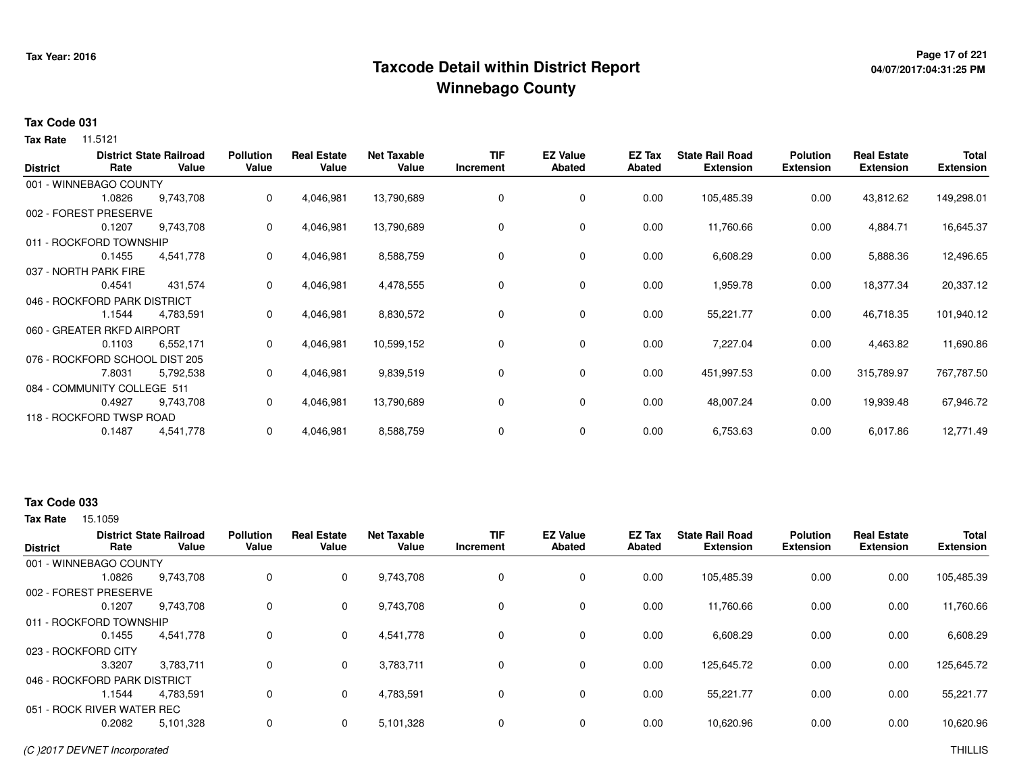## <sup>Page 17</sup> of 221<br>Taxcode Detail within District Report های این موجود به موجود می دان به این موجود به موجود به موجود به موجود می **Winnebago County**

# **04/07/2017:04:31:25 PM**

#### **Tax Code 031**

**Tax Rate** 11.5121

| <b>District</b> | Rate                           | <b>District State Railroad</b><br>Value | <b>Pollution</b><br>Value | <b>Real Estate</b><br>Value | <b>Net Taxable</b><br>Value | <b>TIF</b><br>Increment | <b>EZ Value</b><br>Abated | EZ Tax<br>Abated | <b>State Rail Road</b><br><b>Extension</b> | <b>Polution</b><br><b>Extension</b> | <b>Real Estate</b><br><b>Extension</b> | <b>Total</b><br><b>Extension</b> |
|-----------------|--------------------------------|-----------------------------------------|---------------------------|-----------------------------|-----------------------------|-------------------------|---------------------------|------------------|--------------------------------------------|-------------------------------------|----------------------------------------|----------------------------------|
|                 | 001 - WINNEBAGO COUNTY         |                                         |                           |                             |                             |                         |                           |                  |                                            |                                     |                                        |                                  |
|                 | 1.0826                         | 9,743,708                               | 0                         | 4,046,981                   | 13,790,689                  | 0                       | 0                         | 0.00             | 105,485.39                                 | 0.00                                | 43,812.62                              | 149,298.01                       |
|                 | 002 - FOREST PRESERVE          |                                         |                           |                             |                             |                         |                           |                  |                                            |                                     |                                        |                                  |
|                 | 0.1207                         | 9,743,708                               | 0                         | 4,046,981                   | 13,790,689                  | 0                       | 0                         | 0.00             | 11,760.66                                  | 0.00                                | 4,884.71                               | 16,645.37                        |
|                 | 011 - ROCKFORD TOWNSHIP        |                                         |                           |                             |                             |                         |                           |                  |                                            |                                     |                                        |                                  |
|                 | 0.1455                         | 4,541,778                               | 0                         | 4,046,981                   | 8,588,759                   | 0                       | 0                         | 0.00             | 6,608.29                                   | 0.00                                | 5,888.36                               | 12,496.65                        |
|                 | 037 - NORTH PARK FIRE          |                                         |                           |                             |                             |                         |                           |                  |                                            |                                     |                                        |                                  |
|                 | 0.4541                         | 431,574                                 | 0                         | 4,046,981                   | 4,478,555                   | 0                       | 0                         | 0.00             | 1,959.78                                   | 0.00                                | 18,377.34                              | 20,337.12                        |
|                 | 046 - ROCKFORD PARK DISTRICT   |                                         |                           |                             |                             |                         |                           |                  |                                            |                                     |                                        |                                  |
|                 | 1.1544                         | 4,783,591                               | 0                         | 4,046,981                   | 8,830,572                   | 0                       | 0                         | 0.00             | 55,221.77                                  | 0.00                                | 46,718.35                              | 101,940.12                       |
|                 | 060 - GREATER RKFD AIRPORT     |                                         |                           |                             |                             |                         |                           |                  |                                            |                                     |                                        |                                  |
|                 | 0.1103                         | 6,552,171                               | 0                         | 4,046,981                   | 10,599,152                  | $\mathbf 0$             | 0                         | 0.00             | 7,227.04                                   | 0.00                                | 4,463.82                               | 11,690.86                        |
|                 | 076 - ROCKFORD SCHOOL DIST 205 |                                         |                           |                             |                             |                         |                           |                  |                                            |                                     |                                        |                                  |
|                 | 7.8031                         | 5,792,538                               | 0                         | 4,046,981                   | 9,839,519                   | 0                       | 0                         | 0.00             | 451,997.53                                 | 0.00                                | 315,789.97                             | 767,787.50                       |
|                 | 084 - COMMUNITY COLLEGE 511    |                                         |                           |                             |                             |                         |                           |                  |                                            |                                     |                                        |                                  |
|                 | 0.4927                         | 9,743,708                               | 0                         | 4,046,981                   | 13,790,689                  | 0                       | 0                         | 0.00             | 48,007.24                                  | 0.00                                | 19,939.48                              | 67,946.72                        |
|                 | 118 - ROCKFORD TWSP ROAD       |                                         |                           |                             |                             |                         |                           |                  |                                            |                                     |                                        |                                  |
|                 | 0.1487                         | 4,541,778                               | 0                         | 4,046,981                   | 8,588,759                   | 0                       | 0                         | 0.00             | 6,753.63                                   | 0.00                                | 6,017.86                               | 12,771.49                        |

### **Tax Code 033**

| <b>District</b>     | Rate                         | <b>District State Railroad</b><br>Value | <b>Pollution</b><br>Value | <b>Real Estate</b><br>Value | <b>Net Taxable</b><br>Value | <b>TIF</b><br>Increment | <b>EZ Value</b><br><b>Abated</b> | <b>EZ Tax</b><br>Abated | <b>State Rail Road</b><br><b>Extension</b> | <b>Polution</b><br><b>Extension</b> | <b>Real Estate</b><br><b>Extension</b> | <b>Total</b><br><b>Extension</b> |
|---------------------|------------------------------|-----------------------------------------|---------------------------|-----------------------------|-----------------------------|-------------------------|----------------------------------|-------------------------|--------------------------------------------|-------------------------------------|----------------------------------------|----------------------------------|
|                     | 001 - WINNEBAGO COUNTY       |                                         |                           |                             |                             |                         |                                  |                         |                                            |                                     |                                        |                                  |
|                     | 1.0826                       | 9,743,708                               | 0                         | $\mathbf 0$                 | 9,743,708                   | 0                       | 0                                | 0.00                    | 105,485.39                                 | 0.00                                | 0.00                                   | 105,485.39                       |
|                     | 002 - FOREST PRESERVE        |                                         |                           |                             |                             |                         |                                  |                         |                                            |                                     |                                        |                                  |
|                     | 0.1207                       | 9.743.708                               | 0                         | $\mathbf{0}$                | 9,743,708                   | 0                       | 0                                | 0.00                    | 11.760.66                                  | 0.00                                | 0.00                                   | 11,760.66                        |
|                     | 011 - ROCKFORD TOWNSHIP      |                                         |                           |                             |                             |                         |                                  |                         |                                            |                                     |                                        |                                  |
|                     | 0.1455                       | 4,541,778                               | 0                         | $\mathbf{0}$                | 4,541,778                   | 0                       | 0                                | 0.00                    | 6,608.29                                   | 0.00                                | 0.00                                   | 6,608.29                         |
| 023 - ROCKFORD CITY |                              |                                         |                           |                             |                             |                         |                                  |                         |                                            |                                     |                                        |                                  |
|                     | 3.3207                       | 3.783.711                               | 0                         | $\mathbf{0}$                | 3,783,711                   | 0                       | 0                                | 0.00                    | 125,645.72                                 | 0.00                                | 0.00                                   | 125,645.72                       |
|                     | 046 - ROCKFORD PARK DISTRICT |                                         |                           |                             |                             |                         |                                  |                         |                                            |                                     |                                        |                                  |
|                     | 1.1544                       | 4.783.591                               | 0                         | $\mathbf{0}$                | 4,783,591                   | 0                       | 0                                | 0.00                    | 55.221.77                                  | 0.00                                | 0.00                                   | 55,221.77                        |
|                     | 051 - ROCK RIVER WATER REC   |                                         |                           |                             |                             |                         |                                  |                         |                                            |                                     |                                        |                                  |
|                     | 0.2082                       | 5,101,328                               | 0                         | $\mathbf{0}$                | 5,101,328                   | $\mathbf 0$             | 0                                | 0.00                    | 10,620.96                                  | 0.00                                | 0.00                                   | 10,620.96                        |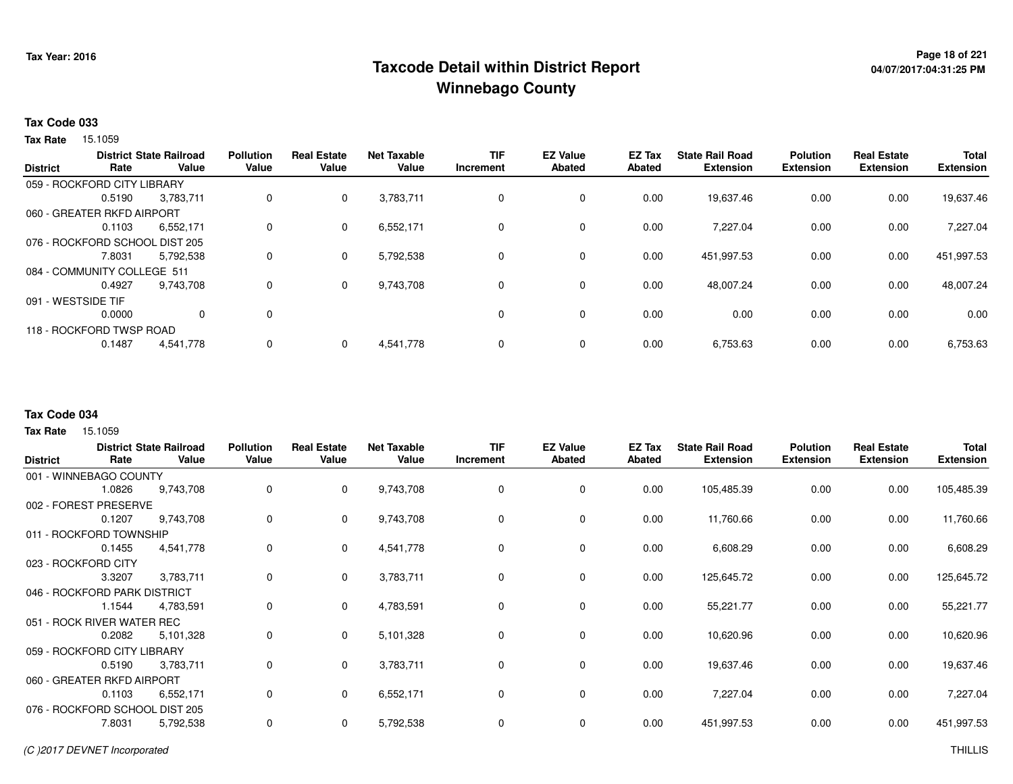## **Page 18 of 221 Taxcode Detail within District ReportWinnebago County**

#### **Tax Code 033**

**Tax Rate** 15.1059

|                    |                                | <b>District State Railroad</b> | <b>Pollution</b> | <b>Real Estate</b> | <b>Net Taxable</b> | <b>TIF</b> | <b>EZ Value</b> | <b>EZ Tax</b> | <b>State Rail Road</b> | <b>Polution</b>  | <b>Real Estate</b> | <b>Total</b>     |
|--------------------|--------------------------------|--------------------------------|------------------|--------------------|--------------------|------------|-----------------|---------------|------------------------|------------------|--------------------|------------------|
| <b>District</b>    | Rate                           | Value                          | Value            | Value              | Value              | Increment  | Abated          | <b>Abated</b> | <b>Extension</b>       | <b>Extension</b> | <b>Extension</b>   | <b>Extension</b> |
|                    | 059 - ROCKFORD CITY LIBRARY    |                                |                  |                    |                    |            |                 |               |                        |                  |                    |                  |
|                    | 0.5190                         | 3,783,711                      | 0                | $\mathbf 0$        | 3,783,711          | 0          | 0               | 0.00          | 19,637.46              | 0.00             | 0.00               | 19,637.46        |
|                    | 060 - GREATER RKFD AIRPORT     |                                |                  |                    |                    |            |                 |               |                        |                  |                    |                  |
|                    | 0.1103                         | 6,552,171                      | $\Omega$         | $\mathbf{0}$       | 6,552,171          | 0          | 0               | 0.00          | 7.227.04               | 0.00             | 0.00               | 7,227.04         |
|                    | 076 - ROCKFORD SCHOOL DIST 205 |                                |                  |                    |                    |            |                 |               |                        |                  |                    |                  |
|                    | 7.8031                         | 5,792,538                      | 0                | $\mathbf{0}$       | 5,792,538          | 0          | 0               | 0.00          | 451,997.53             | 0.00             | 0.00               | 451,997.53       |
|                    | 084 - COMMUNITY COLLEGE 511    |                                |                  |                    |                    |            |                 |               |                        |                  |                    |                  |
|                    | 0.4927                         | 9.743.708                      | 0                | $\mathbf{0}$       | 9,743,708          | 0          | 0               | 0.00          | 48,007.24              | 0.00             | 0.00               | 48,007.24        |
| 091 - WESTSIDE TIF |                                |                                |                  |                    |                    |            |                 |               |                        |                  |                    |                  |
|                    | 0.0000                         | $\Omega$                       | 0                |                    |                    | $\Omega$   | $\mathbf 0$     | 0.00          | 0.00                   | 0.00             | 0.00               | 0.00             |
|                    | 118 - ROCKFORD TWSP ROAD       |                                |                  |                    |                    |            |                 |               |                        |                  |                    |                  |
|                    | 0.1487                         | 4,541,778                      | 0                | $\Omega$           | 4,541,778          | 0          | $\mathbf 0$     | 0.00          | 6,753.63               | 0.00             | 0.00               | 6,753.63         |
|                    |                                |                                |                  |                    |                    |            |                 |               |                        |                  |                    |                  |

#### **Tax Code 034**

| <b>District</b>                | Rate   | <b>District State Railroad</b><br>Value | <b>Pollution</b><br>Value | <b>Real Estate</b><br>Value | <b>Net Taxable</b><br>Value | TIF<br>Increment | <b>EZ Value</b><br><b>Abated</b> | EZ Tax<br>Abated | <b>State Rail Road</b><br><b>Extension</b> | <b>Polution</b><br><b>Extension</b> | <b>Real Estate</b><br><b>Extension</b> | <b>Total</b><br><b>Extension</b> |
|--------------------------------|--------|-----------------------------------------|---------------------------|-----------------------------|-----------------------------|------------------|----------------------------------|------------------|--------------------------------------------|-------------------------------------|----------------------------------------|----------------------------------|
| 001 - WINNEBAGO COUNTY         |        |                                         |                           |                             |                             |                  |                                  |                  |                                            |                                     |                                        |                                  |
|                                | 1.0826 | 9,743,708                               | 0                         | $\mathbf 0$                 | 9,743,708                   | 0                | 0                                | 0.00             | 105,485.39                                 | 0.00                                | 0.00                                   | 105,485.39                       |
| 002 - FOREST PRESERVE          |        |                                         |                           |                             |                             |                  |                                  |                  |                                            |                                     |                                        |                                  |
|                                | 0.1207 | 9,743,708                               | 0                         | $\mathbf{0}$                | 9,743,708                   | 0                | 0                                | 0.00             | 11,760.66                                  | 0.00                                | 0.00                                   | 11,760.66                        |
| 011 - ROCKFORD TOWNSHIP        |        |                                         |                           |                             |                             |                  |                                  |                  |                                            |                                     |                                        |                                  |
|                                | 0.1455 | 4,541,778                               | 0                         | $\mathbf{0}$                | 4,541,778                   | $\Omega$         | 0                                | 0.00             | 6,608.29                                   | 0.00                                | 0.00                                   | 6,608.29                         |
| 023 - ROCKFORD CITY            |        |                                         |                           |                             |                             |                  |                                  |                  |                                            |                                     |                                        |                                  |
|                                | 3.3207 | 3,783,711                               | 0                         | $\mathbf{0}$                | 3,783,711                   | 0                | $\mathbf 0$                      | 0.00             | 125,645.72                                 | 0.00                                | 0.00                                   | 125,645.72                       |
| 046 - ROCKFORD PARK DISTRICT   |        |                                         |                           |                             |                             |                  |                                  |                  |                                            |                                     |                                        |                                  |
|                                | 1.1544 | 4,783,591                               | 0                         | $\mathbf{0}$                | 4,783,591                   | $\Omega$         | 0                                | 0.00             | 55,221.77                                  | 0.00                                | 0.00                                   | 55,221.77                        |
| 051 - ROCK RIVER WATER REC     |        |                                         |                           |                             |                             |                  |                                  |                  |                                            |                                     |                                        |                                  |
|                                | 0.2082 | 5,101,328                               | 0                         | $\mathbf 0$                 | 5,101,328                   | 0                | 0                                | 0.00             | 10,620.96                                  | 0.00                                | 0.00                                   | 10,620.96                        |
| 059 - ROCKFORD CITY LIBRARY    |        |                                         |                           |                             |                             |                  |                                  |                  |                                            |                                     |                                        |                                  |
|                                | 0.5190 | 3,783,711                               | 0                         | $\mathbf{0}$                | 3,783,711                   | 0                | 0                                | 0.00             | 19,637.46                                  | 0.00                                | 0.00                                   | 19,637.46                        |
| 060 - GREATER RKFD AIRPORT     |        |                                         |                           |                             |                             |                  |                                  |                  |                                            |                                     |                                        |                                  |
|                                | 0.1103 | 6,552,171                               | 0                         | $\mathbf{0}$                | 6,552,171                   | 0                | 0                                | 0.00             | 7,227.04                                   | 0.00                                | 0.00                                   | 7,227.04                         |
| 076 - ROCKFORD SCHOOL DIST 205 |        |                                         |                           |                             |                             |                  |                                  |                  |                                            |                                     |                                        |                                  |
|                                | 7.8031 | 5,792,538                               | 0                         | $\mathbf 0$                 | 5,792,538                   | 0                | 0                                | 0.00             | 451,997.53                                 | 0.00                                | 0.00                                   | 451,997.53                       |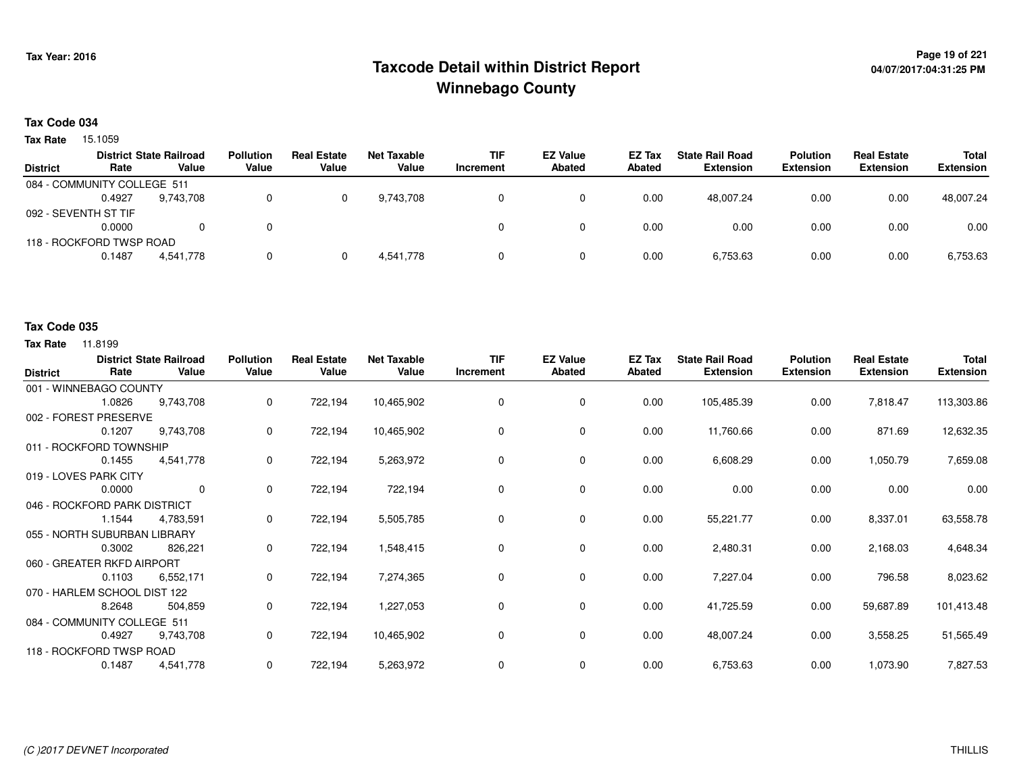## **Page 19 of 221 Taxcode Detail within District ReportWinnebago County**

#### **Tax Code 034**

Tax Rate 15.1059

| <b>District</b>             | Rate   | <b>District State Railroad</b><br>Value | <b>Pollution</b><br>Value | <b>Real Estate</b><br>Value | Net Taxable<br>Value | <b>TIF</b><br>Increment | <b>EZ Value</b><br><b>Abated</b> | EZ Tax<br>Abated | <b>State Rail Road</b><br><b>Extension</b> | <b>Polution</b><br><b>Extension</b> | <b>Real Estate</b><br><b>Extension</b> | Total<br><b>Extension</b> |
|-----------------------------|--------|-----------------------------------------|---------------------------|-----------------------------|----------------------|-------------------------|----------------------------------|------------------|--------------------------------------------|-------------------------------------|----------------------------------------|---------------------------|
|                             |        |                                         |                           |                             |                      |                         |                                  |                  |                                            |                                     |                                        |                           |
| 084 - COMMUNITY COLLEGE 511 |        |                                         |                           |                             |                      |                         |                                  |                  |                                            |                                     |                                        |                           |
|                             | 0.4927 | 9.743.708                               |                           |                             | 9.743.708            |                         |                                  | 0.00             | 48.007.24                                  | 0.00                                | 0.00                                   | 48,007.24                 |
| 092 - SEVENTH ST TIF        |        |                                         |                           |                             |                      |                         |                                  |                  |                                            |                                     |                                        |                           |
|                             | 0.0000 | 0                                       |                           |                             |                      |                         |                                  | 0.00             | 0.00                                       | 0.00                                | 0.00                                   | 0.00                      |
| 118 - ROCKFORD TWSP ROAD    |        |                                         |                           |                             |                      |                         |                                  |                  |                                            |                                     |                                        |                           |
|                             | 0.1487 | 4,541,778                               |                           |                             | 4.541.778            |                         |                                  | 0.00             | 6,753.63                                   | 0.00                                | 0.00                                   | 6,753.63                  |

#### **Tax Code 035**

| <b>District</b>              | Rate   | <b>District State Railroad</b><br>Value | <b>Pollution</b><br>Value | <b>Real Estate</b><br>Value | <b>Net Taxable</b><br>Value | <b>TIF</b><br>Increment | <b>EZ Value</b><br><b>Abated</b> | EZ Tax<br><b>Abated</b> | <b>State Rail Road</b><br><b>Extension</b> | <b>Polution</b><br><b>Extension</b> | <b>Real Estate</b><br><b>Extension</b> | <b>Total</b><br><b>Extension</b> |
|------------------------------|--------|-----------------------------------------|---------------------------|-----------------------------|-----------------------------|-------------------------|----------------------------------|-------------------------|--------------------------------------------|-------------------------------------|----------------------------------------|----------------------------------|
| 001 - WINNEBAGO COUNTY       |        |                                         |                           |                             |                             |                         |                                  |                         |                                            |                                     |                                        |                                  |
|                              | 1.0826 | 9,743,708                               | 0                         | 722,194                     | 10,465,902                  | 0                       | 0                                | 0.00                    | 105,485.39                                 | 0.00                                | 7,818.47                               | 113,303.86                       |
| 002 - FOREST PRESERVE        |        |                                         |                           |                             |                             |                         |                                  |                         |                                            |                                     |                                        |                                  |
|                              | 0.1207 | 9,743,708                               | 0                         | 722,194                     | 10,465,902                  | $\Omega$                | 0                                | 0.00                    | 11,760.66                                  | 0.00                                | 871.69                                 | 12,632.35                        |
| 011 - ROCKFORD TOWNSHIP      |        |                                         |                           |                             |                             |                         |                                  |                         |                                            |                                     |                                        |                                  |
|                              | 0.1455 | 4,541,778                               | 0                         | 722,194                     | 5,263,972                   | 0                       | 0                                | 0.00                    | 6,608.29                                   | 0.00                                | 1,050.79                               | 7,659.08                         |
| 019 - LOVES PARK CITY        |        |                                         |                           |                             |                             |                         |                                  |                         |                                            |                                     |                                        |                                  |
|                              | 0.0000 | $\mathbf{0}$                            | 0                         | 722,194                     | 722,194                     | 0                       | 0                                | 0.00                    | 0.00                                       | 0.00                                | 0.00                                   | 0.00                             |
| 046 - ROCKFORD PARK DISTRICT |        |                                         |                           |                             |                             |                         |                                  |                         |                                            |                                     |                                        |                                  |
|                              | 1.1544 | 4,783,591                               | 0                         | 722,194                     | 5,505,785                   | 0                       | $\mathbf 0$                      | 0.00                    | 55,221.77                                  | 0.00                                | 8,337.01                               | 63,558.78                        |
| 055 - NORTH SUBURBAN LIBRARY |        |                                         |                           |                             |                             |                         |                                  |                         |                                            |                                     |                                        |                                  |
|                              | 0.3002 | 826,221                                 | 0                         | 722,194                     | 1,548,415                   | 0                       | $\mathbf 0$                      | 0.00                    | 2,480.31                                   | 0.00                                | 2,168.03                               | 4,648.34                         |
| 060 - GREATER RKFD AIRPORT   |        |                                         |                           |                             |                             |                         |                                  |                         |                                            |                                     |                                        |                                  |
|                              | 0.1103 | 6,552,171                               | 0                         | 722,194                     | 7,274,365                   | 0                       | 0                                | 0.00                    | 7,227.04                                   | 0.00                                | 796.58                                 | 8,023.62                         |
| 070 - HARLEM SCHOOL DIST 122 |        |                                         |                           |                             |                             |                         |                                  |                         |                                            |                                     |                                        |                                  |
|                              | 8.2648 | 504,859                                 | 0                         | 722,194                     | 1,227,053                   | 0                       | $\mathbf 0$                      | 0.00                    | 41,725.59                                  | 0.00                                | 59,687.89                              | 101,413.48                       |
| 084 - COMMUNITY COLLEGE 511  |        |                                         |                           |                             |                             |                         |                                  |                         |                                            |                                     |                                        |                                  |
|                              | 0.4927 | 9,743,708                               | 0                         | 722,194                     | 10,465,902                  | 0                       | 0                                | 0.00                    | 48,007.24                                  | 0.00                                | 3,558.25                               | 51,565.49                        |
| 118 - ROCKFORD TWSP ROAD     |        |                                         |                           |                             |                             |                         |                                  |                         |                                            |                                     |                                        |                                  |
|                              | 0.1487 | 4,541,778                               | 0                         | 722,194                     | 5,263,972                   | 0                       | 0                                | 0.00                    | 6,753.63                                   | 0.00                                | 1,073.90                               | 7,827.53                         |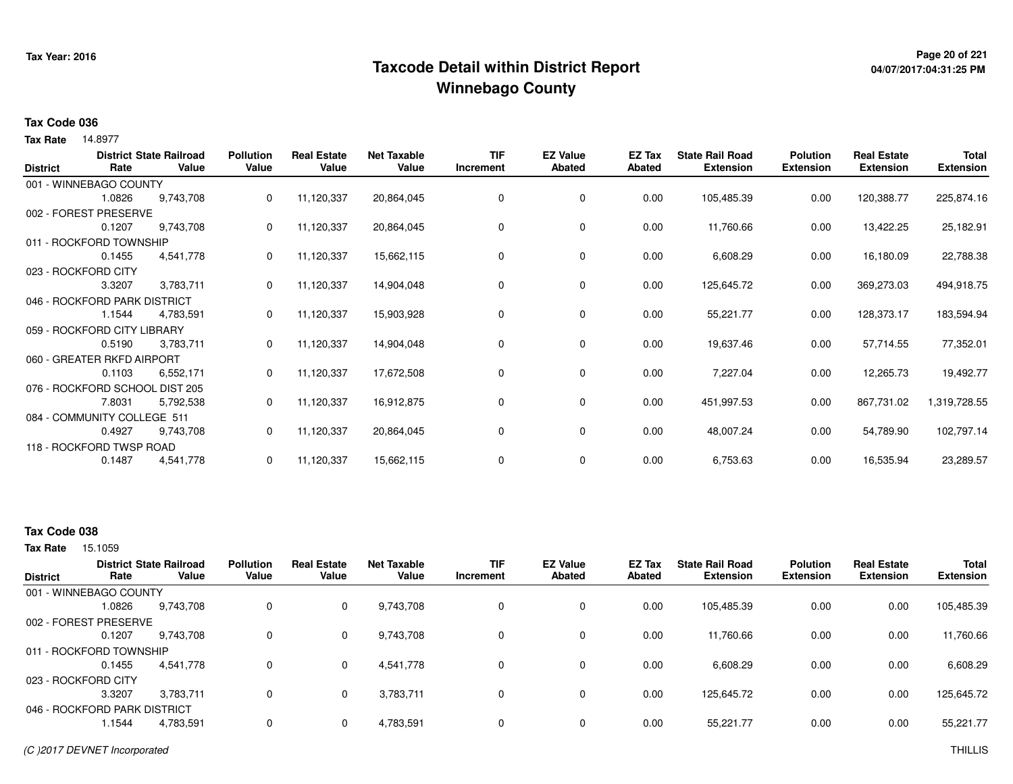## **Page 20 of 221 Taxcode Detail within District ReportWinnebago County**

# **04/07/2017:04:31:25 PM**

#### **Tax Code 036**

14.8977 **Tax Rate**

| <b>District</b> | Rate                           | <b>District State Railroad</b><br>Value | <b>Pollution</b><br>Value | <b>Real Estate</b><br>Value | <b>Net Taxable</b><br>Value | <b>TIF</b><br>Increment | <b>EZ Value</b><br><b>Abated</b> | EZ Tax<br>Abated | <b>State Rail Road</b><br><b>Extension</b> | <b>Polution</b><br><b>Extension</b> | <b>Real Estate</b><br><b>Extension</b> | Total<br><b>Extension</b> |
|-----------------|--------------------------------|-----------------------------------------|---------------------------|-----------------------------|-----------------------------|-------------------------|----------------------------------|------------------|--------------------------------------------|-------------------------------------|----------------------------------------|---------------------------|
|                 | 001 - WINNEBAGO COUNTY         |                                         |                           |                             |                             |                         |                                  |                  |                                            |                                     |                                        |                           |
|                 | 1.0826                         | 9,743,708                               | 0                         | 11,120,337                  | 20,864,045                  | 0                       | 0                                | 0.00             | 105,485.39                                 | 0.00                                | 120,388.77                             | 225,874.16                |
|                 | 002 - FOREST PRESERVE          |                                         |                           |                             |                             |                         |                                  |                  |                                            |                                     |                                        |                           |
|                 | 0.1207                         | 9,743,708                               | 0                         | 11,120,337                  | 20,864,045                  | 0                       | 0                                | 0.00             | 11,760.66                                  | 0.00                                | 13,422.25                              | 25,182.91                 |
|                 | 011 - ROCKFORD TOWNSHIP        |                                         |                           |                             |                             |                         |                                  |                  |                                            |                                     |                                        |                           |
|                 | 0.1455                         | 4,541,778                               | 0                         | 11,120,337                  | 15,662,115                  | 0                       | 0                                | 0.00             | 6,608.29                                   | 0.00                                | 16,180.09                              | 22,788.38                 |
|                 | 023 - ROCKFORD CITY            |                                         |                           |                             |                             |                         |                                  |                  |                                            |                                     |                                        |                           |
|                 | 3.3207                         | 3,783,711                               | 0                         | 11,120,337                  | 14,904,048                  | 0                       | 0                                | 0.00             | 125,645.72                                 | 0.00                                | 369,273.03                             | 494,918.75                |
|                 | 046 - ROCKFORD PARK DISTRICT   |                                         |                           |                             |                             |                         |                                  |                  |                                            |                                     |                                        |                           |
|                 | 1.1544                         | 4,783,591                               | 0                         | 11,120,337                  | 15,903,928                  | 0                       | $\mathbf 0$                      | 0.00             | 55,221.77                                  | 0.00                                | 128,373.17                             | 183,594.94                |
|                 | 059 - ROCKFORD CITY LIBRARY    |                                         |                           |                             |                             |                         |                                  |                  |                                            |                                     |                                        |                           |
|                 | 0.5190                         | 3,783,711                               | 0                         | 11,120,337                  | 14,904,048                  | 0                       | 0                                | 0.00             | 19,637.46                                  | 0.00                                | 57,714.55                              | 77,352.01                 |
|                 | 060 - GREATER RKFD AIRPORT     |                                         |                           |                             |                             |                         |                                  |                  |                                            |                                     |                                        |                           |
|                 | 0.1103                         | 6,552,171                               | 0                         | 11,120,337                  | 17,672,508                  | 0                       | 0                                | 0.00             | 7,227.04                                   | 0.00                                | 12,265.73                              | 19,492.77                 |
|                 | 076 - ROCKFORD SCHOOL DIST 205 |                                         |                           |                             |                             |                         |                                  |                  |                                            |                                     |                                        |                           |
|                 | 7.8031                         | 5,792,538                               | 0                         | 11,120,337                  | 16,912,875                  | 0                       | 0                                | 0.00             | 451,997.53                                 | 0.00                                | 867,731.02                             | 1,319,728.55              |
|                 | 084 - COMMUNITY COLLEGE 511    |                                         |                           |                             |                             |                         |                                  |                  |                                            |                                     |                                        |                           |
|                 | 0.4927                         | 9,743,708                               | 0                         | 11,120,337                  | 20,864,045                  | 0                       | $\mathbf 0$                      | 0.00             | 48,007.24                                  | 0.00                                | 54,789.90                              | 102,797.14                |
|                 | 118 - ROCKFORD TWSP ROAD       |                                         |                           |                             |                             |                         |                                  |                  |                                            |                                     |                                        |                           |
|                 | 0.1487                         | 4,541,778                               | 0                         | 11,120,337                  | 15,662,115                  | 0                       | 0                                | 0.00             | 6,753.63                                   | 0.00                                | 16,535.94                              | 23,289.57                 |

### **Tax Code 038**

| <b>District</b>              | Rate   | <b>District State Railroad</b><br>Value | <b>Pollution</b><br>Value | <b>Real Estate</b><br>Value | <b>Net Taxable</b><br>Value | <b>TIF</b><br>Increment | <b>EZ Value</b><br><b>Abated</b> | EZ Tax<br>Abated | <b>State Rail Road</b><br><b>Extension</b> | <b>Polution</b><br><b>Extension</b> | <b>Real Estate</b><br><b>Extension</b> | <b>Total</b><br><b>Extension</b> |
|------------------------------|--------|-----------------------------------------|---------------------------|-----------------------------|-----------------------------|-------------------------|----------------------------------|------------------|--------------------------------------------|-------------------------------------|----------------------------------------|----------------------------------|
| 001 - WINNEBAGO COUNTY       |        |                                         |                           |                             |                             |                         |                                  |                  |                                            |                                     |                                        |                                  |
|                              | 1.0826 | 9,743,708                               | 0                         | $\mathbf 0$                 | 9,743,708                   |                         | 0                                | 0.00             | 105,485.39                                 | 0.00                                | 0.00                                   | 105,485.39                       |
| 002 - FOREST PRESERVE        |        |                                         |                           |                             |                             |                         |                                  |                  |                                            |                                     |                                        |                                  |
|                              | 0.1207 | 9.743.708                               | 0                         | $\mathbf{0}$                | 9,743,708                   |                         | 0                                | 0.00             | 11,760.66                                  | 0.00                                | 0.00                                   | 11,760.66                        |
| 011 - ROCKFORD TOWNSHIP      |        |                                         |                           |                             |                             |                         |                                  |                  |                                            |                                     |                                        |                                  |
|                              | 0.1455 | 4,541,778                               |                           | $\mathbf{0}$                | 4,541,778                   |                         | 0                                | 0.00             | 6,608.29                                   | 0.00                                | 0.00                                   | 6,608.29                         |
| 023 - ROCKFORD CITY          |        |                                         |                           |                             |                             |                         |                                  |                  |                                            |                                     |                                        |                                  |
|                              | 3.3207 | 3.783.711                               |                           | $\mathbf{0}$                | 3,783,711                   |                         | 0                                | 0.00             | 125,645.72                                 | 0.00                                | 0.00                                   | 125,645.72                       |
| 046 - ROCKFORD PARK DISTRICT |        |                                         |                           |                             |                             |                         |                                  |                  |                                            |                                     |                                        |                                  |
|                              | 1.1544 | 4,783,591                               | 0                         | $\mathbf{0}$                | 4,783,591                   |                         | 0                                | 0.00             | 55,221.77                                  | 0.00                                | 0.00                                   | 55,221.77                        |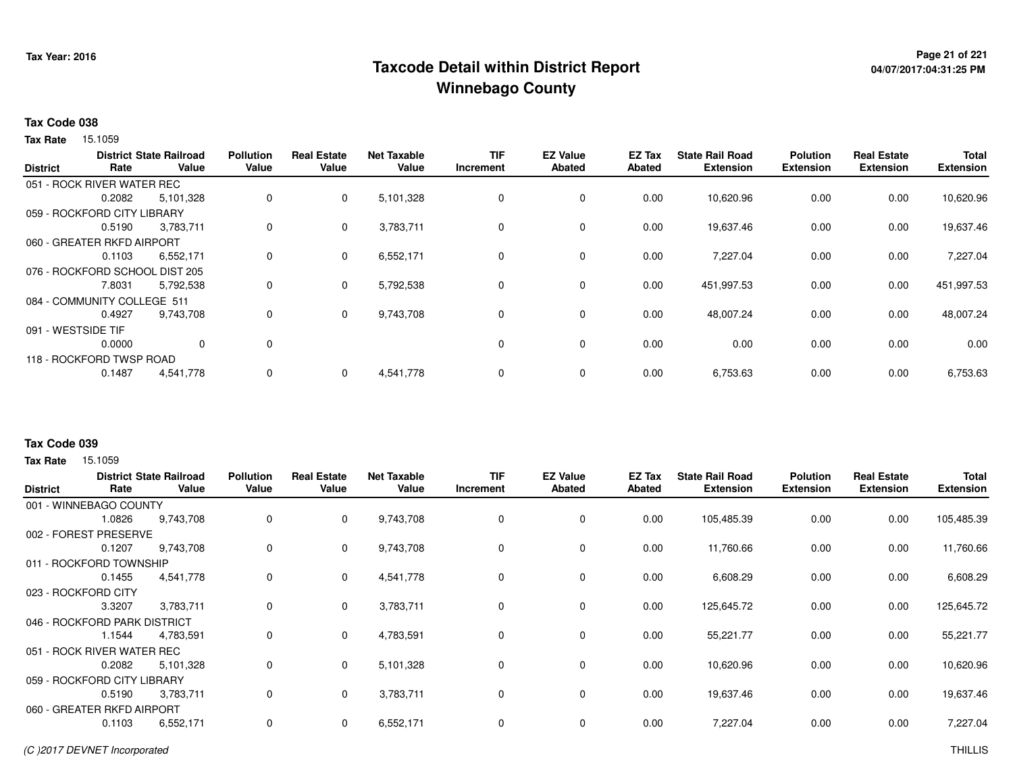## <sup>Page 21</sup> of 221<br>Taxcode Detail within District Report های این موجود به موجود به موجود به این موجود به موجود به موجود به موجود ب **Winnebago County**

# **04/07/2017:04:31:25 PM**

#### **Tax Code 038**

Tax Rate 15.1059

|                    |                                | <b>District State Railroad</b> | <b>Pollution</b> | <b>Real Estate</b> | <b>Net Taxable</b> | <b>TIF</b> | <b>EZ Value</b> | <b>EZ Tax</b> | <b>State Rail Road</b> | <b>Polution</b>  | <b>Real Estate</b> | Total            |
|--------------------|--------------------------------|--------------------------------|------------------|--------------------|--------------------|------------|-----------------|---------------|------------------------|------------------|--------------------|------------------|
| <b>District</b>    | Rate                           | Value                          | Value            | Value              | Value              | Increment  | <b>Abated</b>   | Abated        | <b>Extension</b>       | <b>Extension</b> | <b>Extension</b>   | <b>Extension</b> |
|                    | 051 - ROCK RIVER WATER REC     |                                |                  |                    |                    |            |                 |               |                        |                  |                    |                  |
|                    | 0.2082                         | 5,101,328                      | 0                | 0                  | 5,101,328          | 0          | 0               | 0.00          | 10,620.96              | 0.00             | 0.00               | 10,620.96        |
|                    | 059 - ROCKFORD CITY LIBRARY    |                                |                  |                    |                    |            |                 |               |                        |                  |                    |                  |
|                    | 0.5190                         | 3,783,711                      | 0                | 0                  | 3,783,711          | 0          | 0               | 0.00          | 19,637.46              | 0.00             | 0.00               | 19,637.46        |
|                    | 060 - GREATER RKFD AIRPORT     |                                |                  |                    |                    |            |                 |               |                        |                  |                    |                  |
|                    | 0.1103                         | 6,552,171                      | 0                | 0                  | 6,552,171          | 0          | 0               | 0.00          | 7,227.04               | 0.00             | 0.00               | 7,227.04         |
|                    | 076 - ROCKFORD SCHOOL DIST 205 |                                |                  |                    |                    |            |                 |               |                        |                  |                    |                  |
|                    | 7.8031                         | 5,792,538                      | 0                | 0                  | 5,792,538          | 0          | 0               | 0.00          | 451,997.53             | 0.00             | 0.00               | 451,997.53       |
|                    | 084 - COMMUNITY COLLEGE 511    |                                |                  |                    |                    |            |                 |               |                        |                  |                    |                  |
|                    | 0.4927                         | 9,743,708                      | 0                | 0                  | 9,743,708          | 0          | 0               | 0.00          | 48,007.24              | 0.00             | 0.00               | 48,007.24        |
| 091 - WESTSIDE TIF |                                |                                |                  |                    |                    |            |                 |               |                        |                  |                    |                  |
|                    | 0.0000                         | $\Omega$                       | 0                |                    |                    | 0          | 0               | 0.00          | 0.00                   | 0.00             | 0.00               | 0.00             |
|                    | 118 - ROCKFORD TWSP ROAD       |                                |                  |                    |                    |            |                 |               |                        |                  |                    |                  |
|                    | 0.1487                         | 4,541,778                      | 0                | 0                  | 4,541,778          | 0          | 0               | 0.00          | 6,753.63               | 0.00             | 0.00               | 6,753.63         |
|                    |                                |                                |                  |                    |                    |            |                 |               |                        |                  |                    |                  |

### **Tax Code 039**

| <b>District</b> | Rate                         | <b>District State Railroad</b><br>Value | <b>Pollution</b><br>Value | <b>Real Estate</b><br>Value | <b>Net Taxable</b><br>Value | <b>TIF</b><br>Increment | <b>EZ Value</b><br><b>Abated</b> | EZ Tax<br>Abated | <b>State Rail Road</b><br><b>Extension</b> | <b>Polution</b><br><b>Extension</b> | <b>Real Estate</b><br><b>Extension</b> | <b>Total</b><br><b>Extension</b> |
|-----------------|------------------------------|-----------------------------------------|---------------------------|-----------------------------|-----------------------------|-------------------------|----------------------------------|------------------|--------------------------------------------|-------------------------------------|----------------------------------------|----------------------------------|
|                 | 001 - WINNEBAGO COUNTY       |                                         |                           |                             |                             |                         |                                  |                  |                                            |                                     |                                        |                                  |
|                 | 1.0826                       | 9,743,708                               | 0                         | 0                           | 9,743,708                   | 0                       | $\mathbf 0$                      | 0.00             | 105,485.39                                 | 0.00                                | 0.00                                   | 105,485.39                       |
|                 | 002 - FOREST PRESERVE        |                                         |                           |                             |                             |                         |                                  |                  |                                            |                                     |                                        |                                  |
|                 | 0.1207                       | 9,743,708                               | 0                         | 0                           | 9,743,708                   | 0                       | $\mathbf 0$                      | 0.00             | 11,760.66                                  | 0.00                                | 0.00                                   | 11,760.66                        |
|                 | 011 - ROCKFORD TOWNSHIP      |                                         |                           |                             |                             |                         |                                  |                  |                                            |                                     |                                        |                                  |
|                 | 0.1455                       | 4,541,778                               | 0                         | 0                           | 4,541,778                   | 0                       | $\mathbf 0$                      | 0.00             | 6,608.29                                   | 0.00                                | 0.00                                   | 6,608.29                         |
|                 | 023 - ROCKFORD CITY          |                                         |                           |                             |                             |                         |                                  |                  |                                            |                                     |                                        |                                  |
|                 | 3.3207                       | 3,783,711                               | 0                         | $\mathbf 0$                 | 3,783,711                   | 0                       | $\mathbf 0$                      | 0.00             | 125,645.72                                 | 0.00                                | 0.00                                   | 125,645.72                       |
|                 | 046 - ROCKFORD PARK DISTRICT |                                         |                           |                             |                             |                         |                                  |                  |                                            |                                     |                                        |                                  |
|                 | 1.1544                       | 4,783,591                               | 0                         | $\Omega$                    | 4,783,591                   | 0                       | $\mathbf 0$                      | 0.00             | 55,221.77                                  | 0.00                                | 0.00                                   | 55,221.77                        |
|                 | 051 - ROCK RIVER WATER REC   |                                         |                           |                             |                             |                         |                                  |                  |                                            |                                     |                                        |                                  |
|                 | 0.2082                       | 5,101,328                               | 0                         | 0                           | 5,101,328                   | 0                       | $\mathbf 0$                      | 0.00             | 10,620.96                                  | 0.00                                | 0.00                                   | 10,620.96                        |
|                 | 059 - ROCKFORD CITY LIBRARY  |                                         |                           |                             |                             |                         |                                  |                  |                                            |                                     |                                        |                                  |
|                 | 0.5190                       | 3,783,711                               | 0                         | $\mathbf 0$                 | 3,783,711                   | 0                       | $\mathbf 0$                      | 0.00             | 19,637.46                                  | 0.00                                | 0.00                                   | 19,637.46                        |
|                 | 060 - GREATER RKFD AIRPORT   |                                         |                           |                             |                             |                         |                                  |                  |                                            |                                     |                                        |                                  |
|                 | 0.1103                       | 6,552,171                               | 0                         | 0                           | 6,552,171                   | 0                       | 0                                | 0.00             | 7,227.04                                   | 0.00                                | 0.00                                   | 7,227.04                         |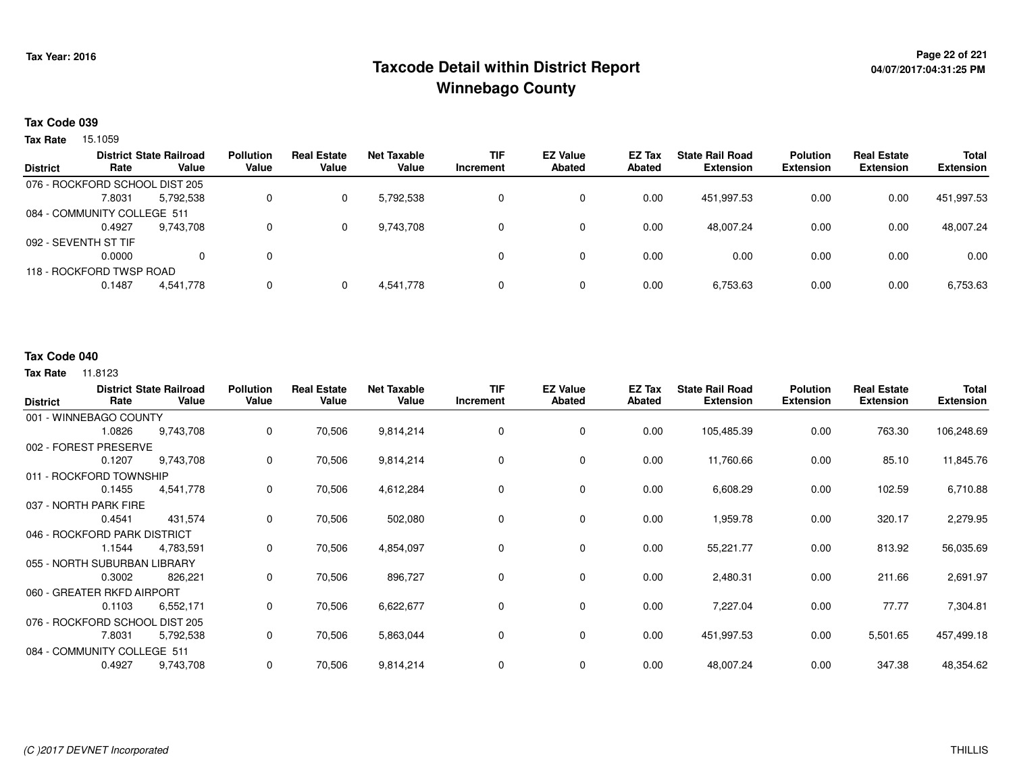## **Page 22 of 221 Taxcode Detail within District ReportWinnebago County**

#### **Tax Code 039**

Tax Rate 15.1059

| <b>District</b>      | Rate                           | <b>District State Railroad</b><br>Value | <b>Pollution</b><br>Value | <b>Real Estate</b><br>Value | <b>Net Taxable</b><br>Value | <b>TIF</b><br>Increment | <b>EZ Value</b><br><b>Abated</b> | <b>EZ Tax</b><br>Abated | <b>State Rail Road</b><br><b>Extension</b> | <b>Polution</b><br><b>Extension</b> | <b>Real Estate</b><br><b>Extension</b> | <b>Total</b><br><b>Extension</b> |
|----------------------|--------------------------------|-----------------------------------------|---------------------------|-----------------------------|-----------------------------|-------------------------|----------------------------------|-------------------------|--------------------------------------------|-------------------------------------|----------------------------------------|----------------------------------|
|                      | 076 - ROCKFORD SCHOOL DIST 205 |                                         |                           |                             |                             |                         |                                  |                         |                                            |                                     |                                        |                                  |
|                      | 7.8031                         | 5,792,538                               | 0                         |                             | 5,792,538                   | 0                       | 0                                | 0.00                    | 451.997.53                                 | 0.00                                | 0.00                                   | 451,997.53                       |
|                      | 084 - COMMUNITY COLLEGE 511    |                                         |                           |                             |                             |                         |                                  |                         |                                            |                                     |                                        |                                  |
|                      | 0.4927                         | 9,743,708                               | 0                         |                             | 9,743,708                   | 0                       | 0                                | 0.00                    | 48,007.24                                  | 0.00                                | 0.00                                   | 48,007.24                        |
| 092 - SEVENTH ST TIF |                                |                                         |                           |                             |                             |                         |                                  |                         |                                            |                                     |                                        |                                  |
|                      | 0.0000                         | 0                                       | 0                         |                             |                             |                         | 0                                | 0.00                    | 0.00                                       | 0.00                                | 0.00                                   | 0.00                             |
|                      | 118 - ROCKFORD TWSP ROAD       |                                         |                           |                             |                             |                         |                                  |                         |                                            |                                     |                                        |                                  |
|                      | 0.1487                         | 4,541,778                               | 0                         |                             | 4,541,778                   | 0                       | 0                                | 0.00                    | 6,753.63                                   | 0.00                                | 0.00                                   | 6,753.63                         |

#### **Tax Code 040**

| <b>District</b> | Rate                           | <b>District State Railroad</b><br>Value | <b>Pollution</b><br>Value | <b>Real Estate</b><br>Value | <b>Net Taxable</b><br>Value | <b>TIF</b><br>Increment | <b>EZ Value</b><br><b>Abated</b> | EZ Tax<br><b>Abated</b> | <b>State Rail Road</b><br><b>Extension</b> | <b>Polution</b><br><b>Extension</b> | <b>Real Estate</b><br><b>Extension</b> | Total<br><b>Extension</b> |
|-----------------|--------------------------------|-----------------------------------------|---------------------------|-----------------------------|-----------------------------|-------------------------|----------------------------------|-------------------------|--------------------------------------------|-------------------------------------|----------------------------------------|---------------------------|
|                 | 001 - WINNEBAGO COUNTY         |                                         |                           |                             |                             |                         |                                  |                         |                                            |                                     |                                        |                           |
|                 | 1.0826                         | 9,743,708                               | 0                         | 70,506                      | 9,814,214                   | 0                       | $\mathbf{0}$                     | 0.00                    | 105,485.39                                 | 0.00                                | 763.30                                 | 106,248.69                |
|                 | 002 - FOREST PRESERVE          |                                         |                           |                             |                             |                         |                                  |                         |                                            |                                     |                                        |                           |
|                 | 0.1207                         | 9,743,708                               | 0                         | 70,506                      | 9,814,214                   | 0                       | 0                                | 0.00                    | 11,760.66                                  | 0.00                                | 85.10                                  | 11,845.76                 |
|                 | 011 - ROCKFORD TOWNSHIP        |                                         |                           |                             |                             |                         |                                  |                         |                                            |                                     |                                        |                           |
|                 | 0.1455                         | 4,541,778                               | 0                         | 70,506                      | 4,612,284                   | 0                       | 0                                | 0.00                    | 6,608.29                                   | 0.00                                | 102.59                                 | 6,710.88                  |
|                 | 037 - NORTH PARK FIRE          |                                         |                           |                             |                             |                         |                                  |                         |                                            |                                     |                                        |                           |
|                 | 0.4541                         | 431,574                                 | $\mathbf 0$               | 70,506                      | 502,080                     | 0                       | $\mathbf 0$                      | 0.00                    | 1,959.78                                   | 0.00                                | 320.17                                 | 2,279.95                  |
|                 | 046 - ROCKFORD PARK DISTRICT   |                                         |                           |                             |                             |                         |                                  |                         |                                            |                                     |                                        |                           |
|                 | 1.1544                         | 4,783,591                               | 0                         | 70,506                      | 4,854,097                   | 0                       | 0                                | 0.00                    | 55,221.77                                  | 0.00                                | 813.92                                 | 56,035.69                 |
|                 | 055 - NORTH SUBURBAN LIBRARY   |                                         |                           |                             |                             |                         |                                  |                         |                                            |                                     |                                        |                           |
|                 | 0.3002                         | 826,221                                 | 0                         | 70,506                      | 896,727                     | 0                       | 0                                | 0.00                    | 2,480.31                                   | 0.00                                | 211.66                                 | 2,691.97                  |
|                 | 060 - GREATER RKFD AIRPORT     |                                         |                           |                             |                             |                         |                                  |                         |                                            |                                     |                                        |                           |
|                 | 0.1103                         | 6,552,171                               | 0                         | 70,506                      | 6,622,677                   | 0                       | $\mathbf 0$                      | 0.00                    | 7,227.04                                   | 0.00                                | 77.77                                  | 7,304.81                  |
|                 | 076 - ROCKFORD SCHOOL DIST 205 |                                         |                           |                             |                             |                         |                                  |                         |                                            |                                     |                                        |                           |
|                 | 7.8031                         | 5,792,538                               | 0                         | 70,506                      | 5,863,044                   | 0                       | 0                                | 0.00                    | 451,997.53                                 | 0.00                                | 5,501.65                               | 457,499.18                |
|                 | 084 - COMMUNITY COLLEGE 511    |                                         |                           |                             |                             |                         |                                  |                         |                                            |                                     |                                        |                           |
|                 | 0.4927                         | 9,743,708                               | 0                         | 70,506                      | 9,814,214                   | 0                       | $\mathbf 0$                      | 0.00                    | 48,007.24                                  | 0.00                                | 347.38                                 | 48,354.62                 |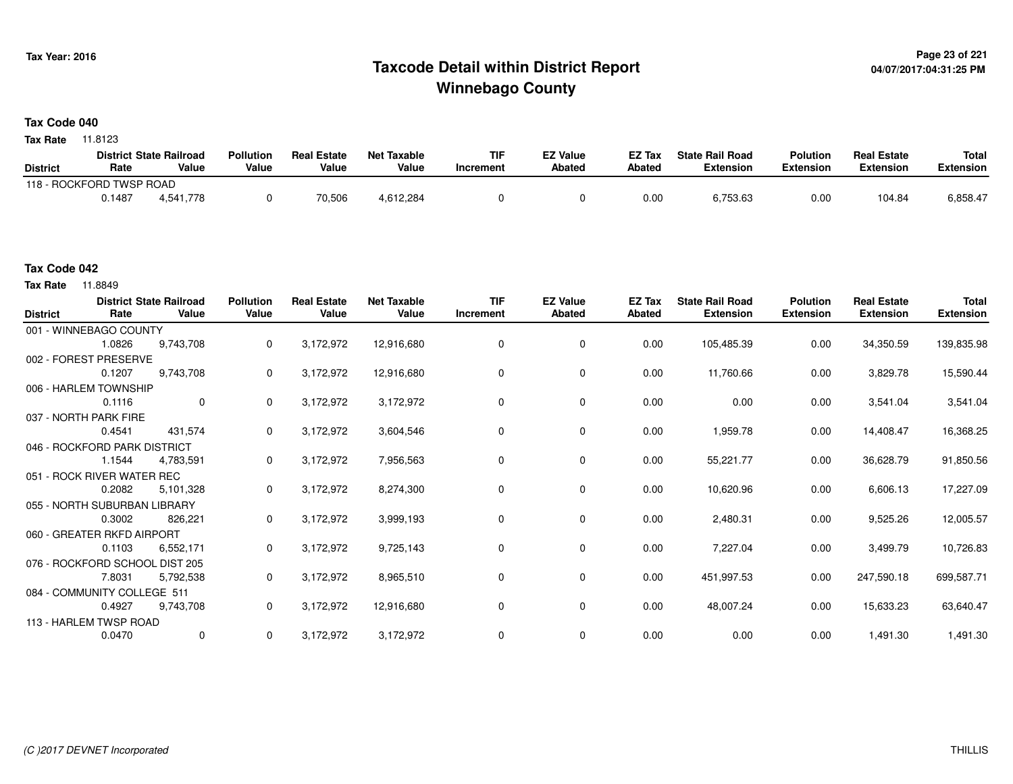## **Page 23 of 221 Taxcode Detail within District ReportWinnebago County**

#### **Tax Code 040**

**Tax Rate** 11.8123

|                          |        | <b>District State Railroad</b> | <b>Pollution</b> | <b>Real Estate</b> | <b>Net Taxable</b> | TIF       | <b>EZ Value</b> | EZ Tax | <b>State Rail Road</b> | <b>Polution</b> | <b>Real Estate</b> | <b>Total</b> |
|--------------------------|--------|--------------------------------|------------------|--------------------|--------------------|-----------|-----------------|--------|------------------------|-----------------|--------------------|--------------|
| <b>District</b>          | Rate   | Value                          | Value            | Value              | Value              | Increment | <b>Abated</b>   | Abated | Extension              | Extension       | Extension          | Extension    |
| 118 - ROCKFORD TWSP ROAD |        |                                |                  |                    |                    |           |                 |        |                        |                 |                    |              |
|                          | 0.1487 | 4,541,778                      |                  | 70,506             | 4,612,284          |           |                 | 0.01   | პ.753.63               | 0.00            | 104.84             | 6,858.47     |

#### **Tax Code 042**

**Tax Rate** 11.8849

| <b>District</b> | Rate                           | <b>District State Railroad</b><br>Value | <b>Pollution</b><br>Value | <b>Real Estate</b><br>Value | <b>Net Taxable</b><br>Value | <b>TIF</b><br>Increment | <b>EZ Value</b><br><b>Abated</b> | EZ Tax<br>Abated | <b>State Rail Road</b><br><b>Extension</b> | <b>Polution</b><br><b>Extension</b> | <b>Real Estate</b><br><b>Extension</b> | <b>Total</b><br><b>Extension</b> |
|-----------------|--------------------------------|-----------------------------------------|---------------------------|-----------------------------|-----------------------------|-------------------------|----------------------------------|------------------|--------------------------------------------|-------------------------------------|----------------------------------------|----------------------------------|
|                 | 001 - WINNEBAGO COUNTY         |                                         |                           |                             |                             |                         |                                  |                  |                                            |                                     |                                        |                                  |
|                 | 1.0826                         | 9,743,708                               | 0                         | 3,172,972                   | 12,916,680                  | 0                       | $\mathbf 0$                      | 0.00             | 105,485.39                                 | 0.00                                | 34,350.59                              | 139,835.98                       |
|                 | 002 - FOREST PRESERVE          |                                         |                           |                             |                             |                         |                                  |                  |                                            |                                     |                                        |                                  |
|                 | 0.1207                         | 9,743,708                               | 0                         | 3,172,972                   | 12,916,680                  | $\Omega$                | 0                                | 0.00             | 11,760.66                                  | 0.00                                | 3,829.78                               | 15,590.44                        |
|                 | 006 - HARLEM TOWNSHIP          |                                         |                           |                             |                             |                         |                                  |                  |                                            |                                     |                                        |                                  |
|                 | 0.1116                         | $\mathbf 0$                             | 0                         | 3,172,972                   | 3,172,972                   | $\Omega$                | 0                                | 0.00             | 0.00                                       | 0.00                                | 3,541.04                               | 3,541.04                         |
|                 | 037 - NORTH PARK FIRE          |                                         |                           |                             |                             |                         |                                  |                  |                                            |                                     |                                        |                                  |
|                 | 0.4541                         | 431,574                                 | 0                         | 3,172,972                   | 3,604,546                   | $\Omega$                | 0                                | 0.00             | 1,959.78                                   | 0.00                                | 14,408.47                              | 16,368.25                        |
|                 | 046 - ROCKFORD PARK DISTRICT   |                                         |                           |                             |                             |                         |                                  |                  |                                            |                                     |                                        |                                  |
|                 | 1.1544                         | 4,783,591                               | 0                         | 3,172,972                   | 7,956,563                   | 0                       | 0                                | 0.00             | 55,221.77                                  | 0.00                                | 36,628.79                              | 91,850.56                        |
|                 | 051 - ROCK RIVER WATER REC     |                                         |                           |                             |                             |                         |                                  |                  |                                            |                                     |                                        |                                  |
|                 | 0.2082                         | 5,101,328                               | 0                         | 3,172,972                   | 8,274,300                   | 0                       | 0                                | 0.00             | 10,620.96                                  | 0.00                                | 6,606.13                               | 17,227.09                        |
|                 | 055 - NORTH SUBURBAN LIBRARY   |                                         |                           |                             |                             |                         |                                  |                  |                                            |                                     |                                        |                                  |
|                 | 0.3002                         | 826,221                                 | 0                         | 3,172,972                   | 3,999,193                   | 0                       | 0                                | 0.00             | 2,480.31                                   | 0.00                                | 9,525.26                               | 12,005.57                        |
|                 | 060 - GREATER RKFD AIRPORT     |                                         |                           |                             |                             |                         |                                  |                  |                                            |                                     |                                        |                                  |
|                 | 0.1103                         | 6,552,171                               | 0                         | 3,172,972                   | 9,725,143                   | $\Omega$                | 0                                | 0.00             | 7,227.04                                   | 0.00                                | 3,499.79                               | 10,726.83                        |
|                 | 076 - ROCKFORD SCHOOL DIST 205 |                                         |                           |                             |                             |                         |                                  |                  |                                            |                                     |                                        |                                  |
|                 | 7.8031                         | 5,792,538                               | 0                         | 3,172,972                   | 8,965,510                   | 0                       | 0                                | 0.00             | 451,997.53                                 | 0.00                                | 247,590.18                             | 699,587.71                       |
|                 | 084 - COMMUNITY COLLEGE 511    |                                         |                           |                             |                             |                         |                                  |                  |                                            |                                     |                                        |                                  |
|                 | 0.4927                         | 9,743,708                               | 0                         | 3,172,972                   | 12,916,680                  | 0                       | $\mathbf 0$                      | 0.00             | 48,007.24                                  | 0.00                                | 15,633.23                              | 63,640.47                        |
|                 | 113 - HARLEM TWSP ROAD         |                                         |                           |                             |                             |                         |                                  |                  |                                            |                                     |                                        |                                  |
|                 | 0.0470                         | $\mathbf 0$                             | 0                         | 3,172,972                   | 3,172,972                   |                         | $\mathbf 0$                      | 0.00             | 0.00                                       | 0.00                                | 1,491.30                               | 1,491.30                         |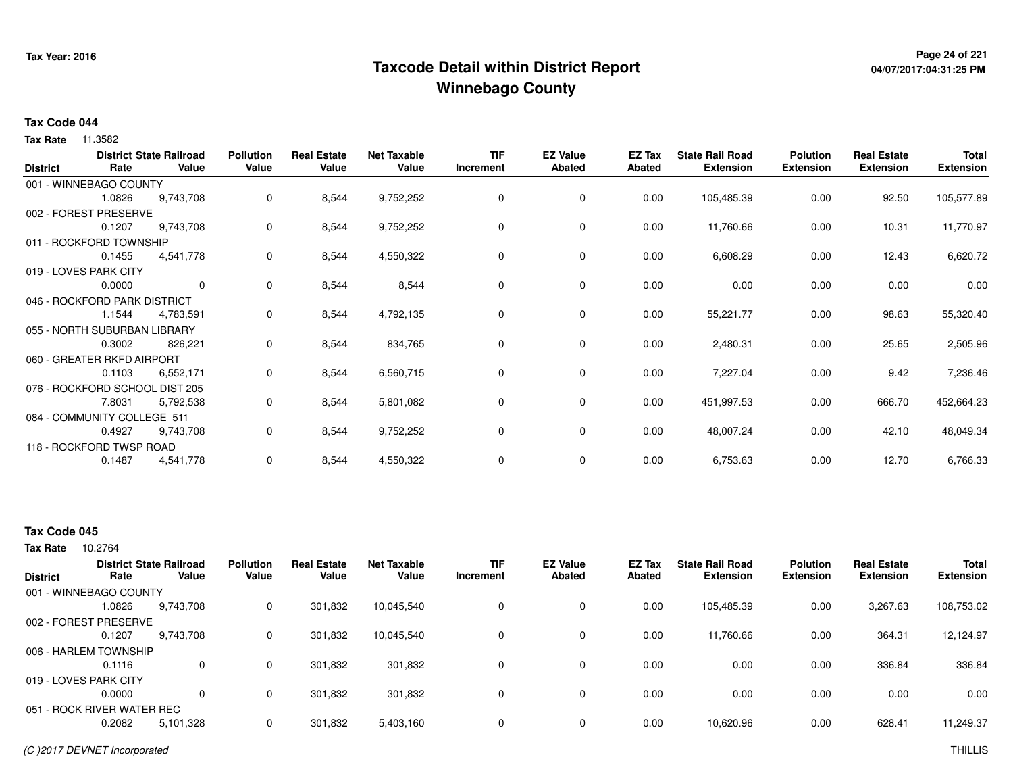## **Page 24 of 221 Taxcode Detail within District ReportWinnebago County**

# **04/07/2017:04:31:25 PM**

#### **Tax Code 044**

**Tax Rate** 11.3582

| <b>District</b> | Rate                           | <b>District State Railroad</b><br>Value | <b>Pollution</b><br>Value | <b>Real Estate</b><br>Value | <b>Net Taxable</b><br>Value | <b>TIF</b><br>Increment | <b>EZ Value</b><br><b>Abated</b> | EZ Tax<br><b>Abated</b> | <b>State Rail Road</b><br><b>Extension</b> | <b>Polution</b><br><b>Extension</b> | <b>Real Estate</b><br><b>Extension</b> | Total<br><b>Extension</b> |
|-----------------|--------------------------------|-----------------------------------------|---------------------------|-----------------------------|-----------------------------|-------------------------|----------------------------------|-------------------------|--------------------------------------------|-------------------------------------|----------------------------------------|---------------------------|
|                 | 001 - WINNEBAGO COUNTY         |                                         |                           |                             |                             |                         |                                  |                         |                                            |                                     |                                        |                           |
|                 | 1.0826                         | 9,743,708                               | 0                         | 8,544                       | 9,752,252                   | $\Omega$                | $\mathbf 0$                      | 0.00                    | 105,485.39                                 | 0.00                                | 92.50                                  | 105,577.89                |
|                 | 002 - FOREST PRESERVE          |                                         |                           |                             |                             |                         |                                  |                         |                                            |                                     |                                        |                           |
|                 | 0.1207                         | 9,743,708                               | 0                         | 8,544                       | 9,752,252                   | 0                       | 0                                | 0.00                    | 11,760.66                                  | 0.00                                | 10.31                                  | 11,770.97                 |
|                 | 011 - ROCKFORD TOWNSHIP        |                                         |                           |                             |                             |                         |                                  |                         |                                            |                                     |                                        |                           |
|                 | 0.1455                         | 4,541,778                               | 0                         | 8,544                       | 4,550,322                   | 0                       | $\mathbf 0$                      | 0.00                    | 6,608.29                                   | 0.00                                | 12.43                                  | 6,620.72                  |
|                 | 019 - LOVES PARK CITY          |                                         |                           |                             |                             |                         |                                  |                         |                                            |                                     |                                        |                           |
|                 | 0.0000                         | $\mathbf{0}$                            | 0                         | 8,544                       | 8,544                       | 0                       | $\mathbf 0$                      | 0.00                    | 0.00                                       | 0.00                                | 0.00                                   | 0.00                      |
|                 | 046 - ROCKFORD PARK DISTRICT   |                                         |                           |                             |                             |                         |                                  |                         |                                            |                                     |                                        |                           |
|                 | 1.1544                         | 4,783,591                               | 0                         | 8,544                       | 4,792,135                   | 0                       | 0                                | 0.00                    | 55,221.77                                  | 0.00                                | 98.63                                  | 55,320.40                 |
|                 | 055 - NORTH SUBURBAN LIBRARY   |                                         |                           |                             |                             |                         |                                  |                         |                                            |                                     |                                        |                           |
|                 | 0.3002                         | 826,221                                 | 0                         | 8,544                       | 834,765                     | 0                       | 0                                | 0.00                    | 2,480.31                                   | 0.00                                | 25.65                                  | 2,505.96                  |
|                 | 060 - GREATER RKFD AIRPORT     |                                         |                           |                             |                             |                         |                                  |                         |                                            |                                     |                                        |                           |
|                 | 0.1103                         | 6,552,171                               | 0                         | 8,544                       | 6,560,715                   | 0                       | 0                                | 0.00                    | 7,227.04                                   | 0.00                                | 9.42                                   | 7,236.46                  |
|                 | 076 - ROCKFORD SCHOOL DIST 205 |                                         |                           |                             |                             |                         |                                  |                         |                                            |                                     |                                        |                           |
|                 | 7.8031                         | 5,792,538                               | 0                         | 8,544                       | 5,801,082                   | 0                       | 0                                | 0.00                    | 451,997.53                                 | 0.00                                | 666.70                                 | 452,664.23                |
|                 | 084 - COMMUNITY COLLEGE 511    |                                         |                           |                             |                             |                         |                                  |                         |                                            |                                     |                                        |                           |
|                 | 0.4927                         | 9,743,708                               | 0                         | 8,544                       | 9,752,252                   | 0                       | 0                                | 0.00                    | 48,007.24                                  | 0.00                                | 42.10                                  | 48,049.34                 |
|                 | 118 - ROCKFORD TWSP ROAD       |                                         |                           |                             |                             |                         |                                  |                         |                                            |                                     |                                        |                           |
|                 | 0.1487                         | 4,541,778                               | 0                         | 8,544                       | 4,550,322                   | 0                       | 0                                | 0.00                    | 6,753.63                                   | 0.00                                | 12.70                                  | 6,766.33                  |

### **Tax Code 045**

10.2764 **Tax Rate**

| <b>District</b>            | Rate   | <b>District State Railroad</b><br>Value | <b>Pollution</b><br>Value | <b>Real Estate</b><br>Value | <b>Net Taxable</b><br>Value | <b>TIF</b><br>Increment | <b>EZ Value</b><br><b>Abated</b> | <b>EZ Tax</b><br>Abated | <b>State Rail Road</b><br><b>Extension</b> | <b>Polution</b><br><b>Extension</b> | <b>Real Estate</b><br><b>Extension</b> | <b>Total</b><br><b>Extension</b> |
|----------------------------|--------|-----------------------------------------|---------------------------|-----------------------------|-----------------------------|-------------------------|----------------------------------|-------------------------|--------------------------------------------|-------------------------------------|----------------------------------------|----------------------------------|
| 001 - WINNEBAGO COUNTY     |        |                                         |                           |                             |                             |                         |                                  |                         |                                            |                                     |                                        |                                  |
|                            | 1.0826 | 9,743,708                               | 0                         | 301,832                     | 10,045,540                  | 0                       | 0                                | 0.00                    | 105,485.39                                 | 0.00                                | 3,267.63                               | 108,753.02                       |
| 002 - FOREST PRESERVE      |        |                                         |                           |                             |                             |                         |                                  |                         |                                            |                                     |                                        |                                  |
|                            | 0.1207 | 9,743,708                               | 0                         | 301,832                     | 10,045,540                  | $\Omega$                | 0                                | 0.00                    | 11,760.66                                  | 0.00                                | 364.31                                 | 12,124.97                        |
| 006 - HARLEM TOWNSHIP      |        |                                         |                           |                             |                             |                         |                                  |                         |                                            |                                     |                                        |                                  |
|                            | 0.1116 | 0                                       | 0                         | 301.832                     | 301,832                     | $\Omega$                | 0                                | 0.00                    | 0.00                                       | 0.00                                | 336.84                                 | 336.84                           |
| 019 - LOVES PARK CITY      |        |                                         |                           |                             |                             |                         |                                  |                         |                                            |                                     |                                        |                                  |
|                            | 0.0000 | $\Omega$                                | 0                         | 301.832                     | 301,832                     | 0                       | $\Omega$                         | 0.00                    | 0.00                                       | 0.00                                | 0.00                                   | 0.00                             |
| 051 - ROCK RIVER WATER REC |        |                                         |                           |                             |                             |                         |                                  |                         |                                            |                                     |                                        |                                  |
|                            | 0.2082 | 5,101,328                               | 0                         | 301,832                     | 5,403,160                   | $\Omega$                | 0                                | 0.00                    | 10,620.96                                  | 0.00                                | 628.41                                 | 11,249.37                        |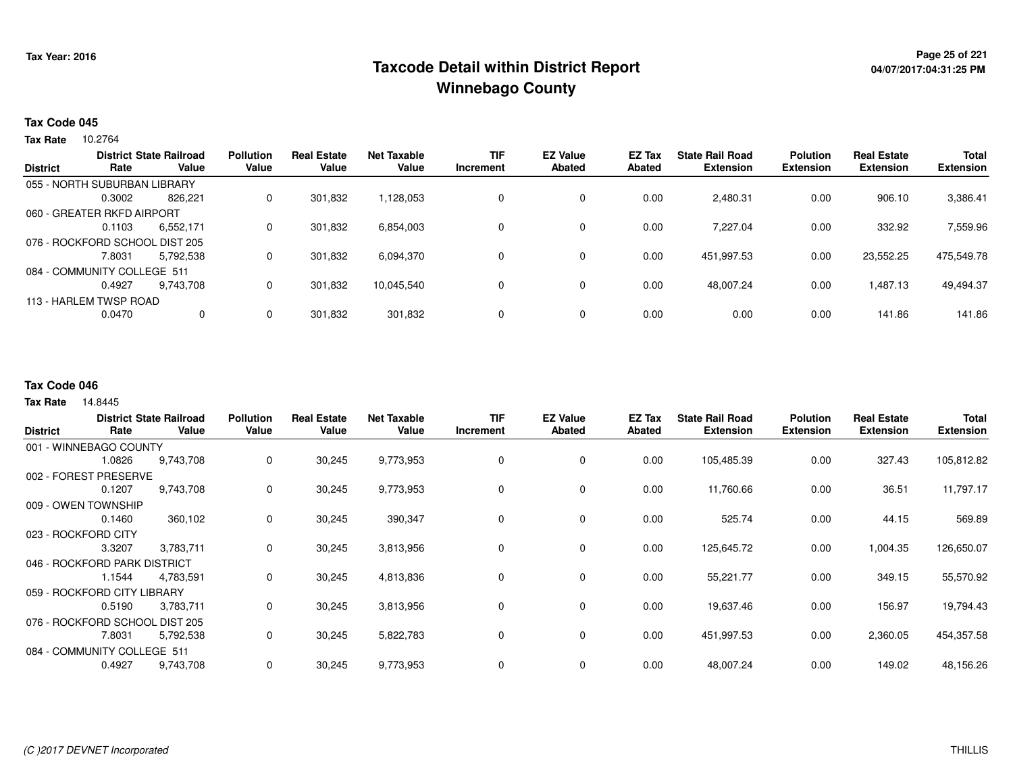## **Page 25 of 221 Taxcode Detail within District ReportWinnebago County**

#### **Tax Code 045**

10.2764 **Tax Rate**

| <b>District</b> |                                | <b>District State Railroad</b> | <b>Pollution</b> | <b>Real Estate</b> | <b>Net Taxable</b> | <b>TIF</b> | <b>EZ Value</b> | EZ Tax | <b>State Rail Road</b> | <b>Polution</b>  | <b>Real Estate</b> | <b>Total</b>     |
|-----------------|--------------------------------|--------------------------------|------------------|--------------------|--------------------|------------|-----------------|--------|------------------------|------------------|--------------------|------------------|
|                 | Rate                           | Value                          | Value            | Value              | Value              | Increment  | <b>Abated</b>   | Abated | <b>Extension</b>       | <b>Extension</b> | <b>Extension</b>   | <b>Extension</b> |
|                 | 055 - NORTH SUBURBAN LIBRARY   |                                |                  |                    |                    |            |                 |        |                        |                  |                    |                  |
|                 | 0.3002                         | 826.221                        | 0                | 301.832            | 1,128,053          |            | $\mathbf 0$     | 0.00   | 2.480.31               | 0.00             | 906.10             | 3,386.41         |
|                 | 060 - GREATER RKFD AIRPORT     |                                |                  |                    |                    |            |                 |        |                        |                  |                    |                  |
|                 | 0.1103                         | 6,552,171                      | 0                | 301,832            | 6,854,003          |            | $\mathbf 0$     | 0.00   | 7,227.04               | 0.00             | 332.92             | 7,559.96         |
|                 | 076 - ROCKFORD SCHOOL DIST 205 |                                |                  |                    |                    |            |                 |        |                        |                  |                    |                  |
|                 | 7.8031                         | 5,792,538                      | 0                | 301.832            | 6,094,370          |            | $\mathbf 0$     | 0.00   | 451,997.53             | 0.00             | 23,552.25          | 475,549.78       |
|                 | 084 - COMMUNITY COLLEGE 511    |                                |                  |                    |                    |            |                 |        |                        |                  |                    |                  |
|                 | 0.4927                         | 9,743,708                      | 0                | 301,832            | 10,045,540         |            | $\mathbf 0$     | 0.00   | 48,007.24              | 0.00             | 1,487.13           | 49,494.37        |
|                 | 113 - HARLEM TWSP ROAD         |                                |                  |                    |                    |            |                 |        |                        |                  |                    |                  |
|                 | 0.0470                         | 0                              | 0                | 301,832            | 301,832            |            | $\mathbf 0$     | 0.00   | 0.00                   | 0.00             | 141.86             | 141.86           |
|                 |                                |                                |                  |                    |                    |            |                 |        |                        |                  |                    |                  |

#### **Tax Code 046**

14.8445 **Tax Rate**

| <b>District</b> | Rate                           | <b>District State Railroad</b><br>Value | <b>Pollution</b><br>Value | <b>Real Estate</b><br>Value | <b>Net Taxable</b><br>Value | <b>TIF</b><br>Increment | <b>EZ Value</b><br><b>Abated</b> | <b>EZ Tax</b><br>Abated | <b>State Rail Road</b><br><b>Extension</b> | <b>Polution</b><br><b>Extension</b> | <b>Real Estate</b><br><b>Extension</b> | <b>Total</b><br><b>Extension</b> |
|-----------------|--------------------------------|-----------------------------------------|---------------------------|-----------------------------|-----------------------------|-------------------------|----------------------------------|-------------------------|--------------------------------------------|-------------------------------------|----------------------------------------|----------------------------------|
|                 |                                |                                         |                           |                             |                             |                         |                                  |                         |                                            |                                     |                                        |                                  |
|                 | 001 - WINNEBAGO COUNTY         |                                         |                           |                             |                             |                         |                                  |                         |                                            |                                     |                                        |                                  |
|                 | 1.0826                         | 9,743,708                               | 0                         | 30,245                      | 9,773,953                   | 0                       | 0                                | 0.00                    | 105,485.39                                 | 0.00                                | 327.43                                 | 105,812.82                       |
|                 | 002 - FOREST PRESERVE          |                                         |                           |                             |                             |                         |                                  |                         |                                            |                                     |                                        |                                  |
|                 | 0.1207                         | 9,743,708                               | 0                         | 30,245                      | 9,773,953                   | 0                       | 0                                | 0.00                    | 11,760.66                                  | 0.00                                | 36.51                                  | 11,797.17                        |
|                 | 009 - OWEN TOWNSHIP            |                                         |                           |                             |                             |                         |                                  |                         |                                            |                                     |                                        |                                  |
|                 | 0.1460                         | 360,102                                 | 0                         | 30,245                      | 390,347                     | 0                       | 0                                | 0.00                    | 525.74                                     | 0.00                                | 44.15                                  | 569.89                           |
|                 | 023 - ROCKFORD CITY            |                                         |                           |                             |                             |                         |                                  |                         |                                            |                                     |                                        |                                  |
|                 | 3.3207                         | 3,783,711                               | 0                         | 30,245                      | 3,813,956                   | 0                       | $\mathbf 0$                      | 0.00                    | 125,645.72                                 | 0.00                                | 1,004.35                               | 126,650.07                       |
|                 | 046 - ROCKFORD PARK DISTRICT   |                                         |                           |                             |                             |                         |                                  |                         |                                            |                                     |                                        |                                  |
|                 | 1.1544                         | 4,783,591                               | 0                         | 30,245                      | 4,813,836                   | 0                       | 0                                | 0.00                    | 55,221.77                                  | 0.00                                | 349.15                                 | 55,570.92                        |
|                 | 059 - ROCKFORD CITY LIBRARY    |                                         |                           |                             |                             |                         |                                  |                         |                                            |                                     |                                        |                                  |
|                 | 0.5190                         | 3,783,711                               | 0                         | 30,245                      | 3,813,956                   | 0                       | 0                                | 0.00                    | 19,637.46                                  | 0.00                                | 156.97                                 | 19,794.43                        |
|                 | 076 - ROCKFORD SCHOOL DIST 205 |                                         |                           |                             |                             |                         |                                  |                         |                                            |                                     |                                        |                                  |
|                 | 7.8031                         | 5,792,538                               | 0                         | 30,245                      | 5,822,783                   | 0                       | 0                                | 0.00                    | 451,997.53                                 | 0.00                                | 2,360.05                               | 454,357.58                       |
|                 | 084 - COMMUNITY COLLEGE 511    |                                         |                           |                             |                             |                         |                                  |                         |                                            |                                     |                                        |                                  |
|                 | 0.4927                         | 9,743,708                               | 0                         | 30,245                      | 9,773,953                   | 0                       | 0                                | 0.00                    | 48,007.24                                  | 0.00                                | 149.02                                 | 48,156.26                        |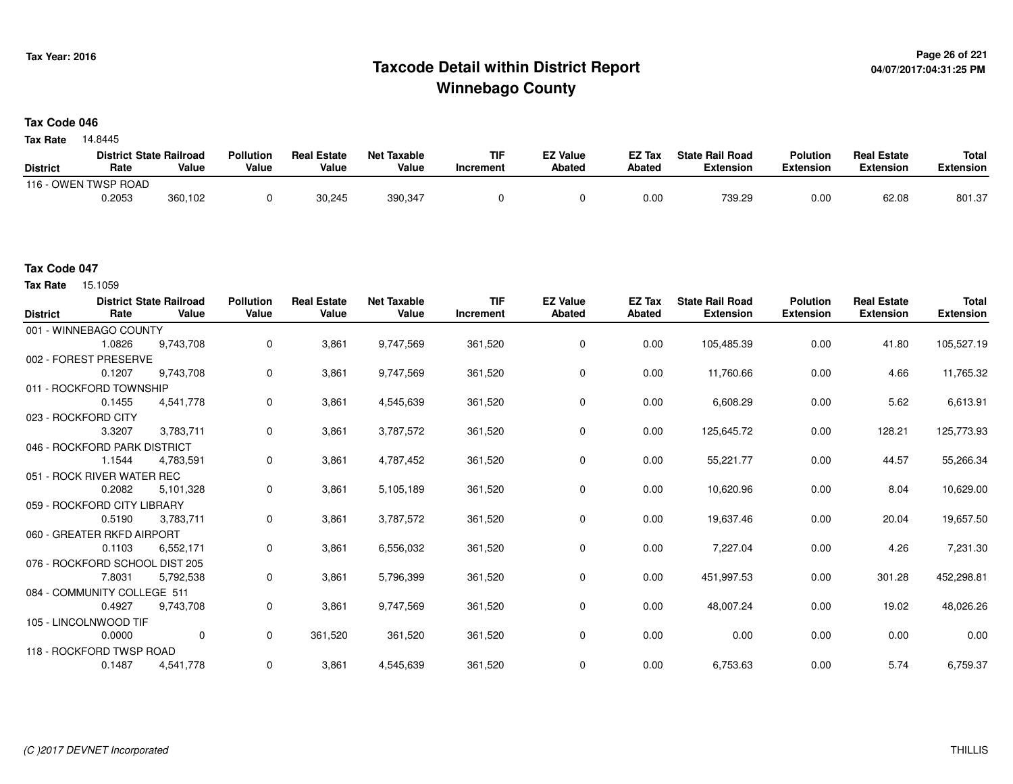## **Page 26 of 221 Taxcode Detail within District ReportWinnebago County**

### **Tax Code 046**

14.8445 **Tax Rate**

|                 | <b>District State Railroad</b> |         | <b>Pollution</b> | <b>Real Estate</b> | Net Taxable | <b>TIF</b> | <b>EZ Value</b> | <b>EZ Tax</b> | <b>State Rail Road</b> | <b>Polution</b>  | <b>Real Estate</b> | <b>Total</b> |
|-----------------|--------------------------------|---------|------------------|--------------------|-------------|------------|-----------------|---------------|------------------------|------------------|--------------------|--------------|
| <b>District</b> | Rate                           | Value   | Value            | Value              | Value       | Increment  | <b>Abated</b>   | <b>Abated</b> | <b>Extension</b>       | <b>Extension</b> | <b>Extension</b>   | Extension    |
|                 | 116 - OWEN TWSP ROAD           |         |                  |                    |             |            |                 |               |                        |                  |                    |              |
|                 | 0.2053                         | 360,102 |                  | 30,245             | 390,347     |            |                 | 0.00          | 739.29                 | 0.00             | 62.08              | 801.37       |

#### **Tax Code 047**

Tax Rate 15.1059

| <b>District</b> | Rate                           | <b>District State Railroad</b><br>Value | <b>Pollution</b><br>Value | <b>Real Estate</b><br>Value | <b>Net Taxable</b><br>Value | <b>TIF</b><br>Increment | <b>EZ Value</b><br><b>Abated</b> | <b>EZ Tax</b><br>Abated | <b>State Rail Road</b><br><b>Extension</b> | <b>Polution</b><br><b>Extension</b> | <b>Real Estate</b><br><b>Extension</b> | <b>Total</b><br><b>Extension</b> |
|-----------------|--------------------------------|-----------------------------------------|---------------------------|-----------------------------|-----------------------------|-------------------------|----------------------------------|-------------------------|--------------------------------------------|-------------------------------------|----------------------------------------|----------------------------------|
|                 | 001 - WINNEBAGO COUNTY         |                                         |                           |                             |                             |                         |                                  |                         |                                            |                                     |                                        |                                  |
|                 | 1.0826                         | 9,743,708                               | 0                         | 3,861                       | 9,747,569                   | 361,520                 | 0                                | 0.00                    | 105,485.39                                 | 0.00                                | 41.80                                  | 105,527.19                       |
|                 | 002 - FOREST PRESERVE          |                                         |                           |                             |                             |                         |                                  |                         |                                            |                                     |                                        |                                  |
|                 | 0.1207                         | 9,743,708                               | 0                         | 3,861                       | 9,747,569                   | 361,520                 | 0                                | 0.00                    | 11,760.66                                  | 0.00                                | 4.66                                   | 11,765.32                        |
|                 | 011 - ROCKFORD TOWNSHIP        |                                         |                           |                             |                             |                         |                                  |                         |                                            |                                     |                                        |                                  |
|                 | 0.1455                         | 4,541,778                               | 0                         | 3,861                       | 4,545,639                   | 361,520                 | 0                                | 0.00                    | 6,608.29                                   | 0.00                                | 5.62                                   | 6,613.91                         |
|                 | 023 - ROCKFORD CITY            |                                         |                           |                             |                             |                         |                                  |                         |                                            |                                     |                                        |                                  |
|                 | 3.3207                         | 3,783,711                               | $\mathbf 0$               | 3,861                       | 3,787,572                   | 361,520                 | 0                                | 0.00                    | 125,645.72                                 | 0.00                                | 128.21                                 | 125,773.93                       |
|                 | 046 - ROCKFORD PARK DISTRICT   |                                         |                           |                             |                             |                         |                                  |                         |                                            |                                     |                                        |                                  |
|                 | 1.1544                         | 4,783,591                               | 0                         | 3,861                       | 4,787,452                   | 361,520                 | 0                                | 0.00                    | 55,221.77                                  | 0.00                                | 44.57                                  | 55,266.34                        |
|                 | 051 - ROCK RIVER WATER REC     |                                         |                           |                             |                             |                         |                                  |                         |                                            |                                     |                                        |                                  |
|                 | 0.2082                         | 5,101,328                               | 0                         | 3,861                       | 5,105,189                   | 361,520                 | 0                                | 0.00                    | 10,620.96                                  | 0.00                                | 8.04                                   | 10,629.00                        |
|                 | 059 - ROCKFORD CITY LIBRARY    |                                         |                           |                             |                             |                         |                                  |                         |                                            |                                     |                                        |                                  |
|                 | 0.5190                         | 3,783,711                               | 0                         | 3,861                       | 3,787,572                   | 361,520                 | 0                                | 0.00                    | 19,637.46                                  | 0.00                                | 20.04                                  | 19,657.50                        |
|                 | 060 - GREATER RKFD AIRPORT     |                                         |                           |                             |                             |                         |                                  |                         |                                            |                                     |                                        |                                  |
|                 | 0.1103                         | 6,552,171                               | 0                         | 3,861                       | 6,556,032                   | 361,520                 | 0                                | 0.00                    | 7,227.04                                   | 0.00                                | 4.26                                   | 7,231.30                         |
|                 | 076 - ROCKFORD SCHOOL DIST 205 |                                         |                           |                             |                             |                         |                                  |                         |                                            |                                     |                                        |                                  |
|                 | 7.8031                         | 5,792,538                               | 0                         | 3,861                       | 5,796,399                   | 361,520                 | 0                                | 0.00                    | 451,997.53                                 | 0.00                                | 301.28                                 | 452,298.81                       |
|                 | 084 - COMMUNITY COLLEGE 511    |                                         |                           |                             |                             |                         |                                  |                         |                                            |                                     |                                        |                                  |
|                 | 0.4927                         | 9,743,708                               | 0                         | 3,861                       | 9,747,569                   | 361,520                 | 0                                | 0.00                    | 48,007.24                                  | 0.00                                | 19.02                                  | 48,026.26                        |
|                 | 105 - LINCOLNWOOD TIF          |                                         |                           |                             |                             |                         |                                  |                         |                                            |                                     |                                        |                                  |
|                 | 0.0000                         | $\mathbf 0$                             | $\mathbf 0$               | 361,520                     | 361,520                     | 361,520                 | 0                                | 0.00                    | 0.00                                       | 0.00                                | 0.00                                   | 0.00                             |
|                 | 118 - ROCKFORD TWSP ROAD       |                                         |                           |                             |                             |                         |                                  |                         |                                            |                                     |                                        |                                  |
|                 | 0.1487                         | 4,541,778                               | 0                         | 3,861                       | 4,545,639                   | 361,520                 | 0                                | 0.00                    | 6,753.63                                   | 0.00                                | 5.74                                   | 6,759.37                         |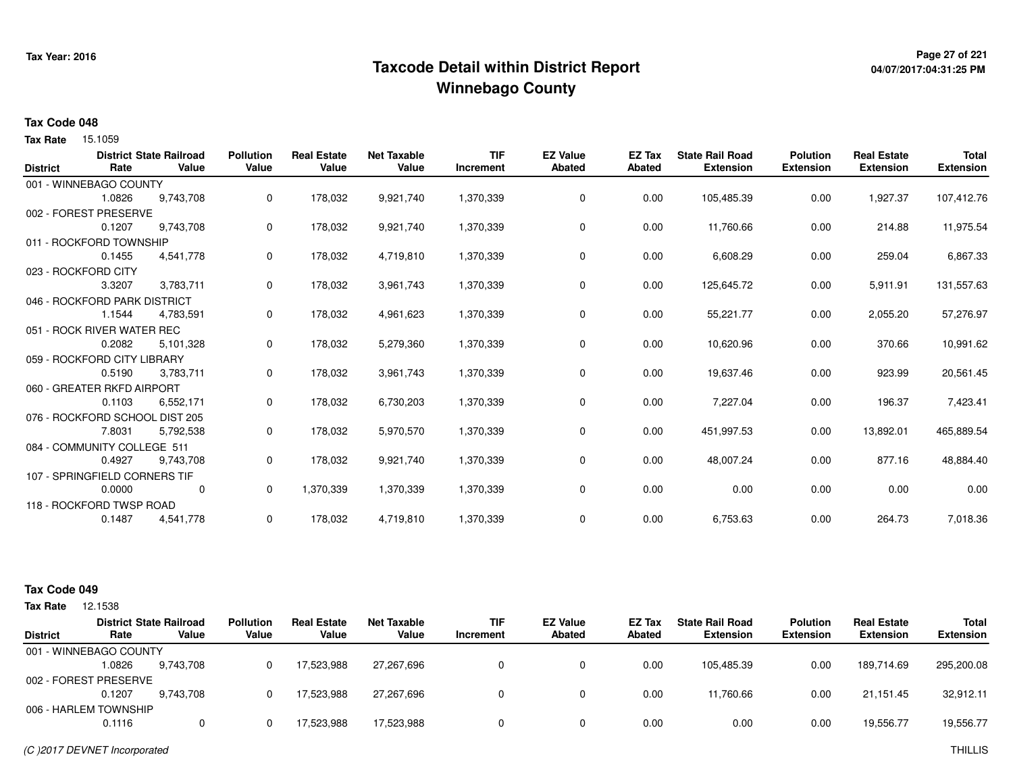## <sup>Page 27</sup> of 221<br>Taxcode Detail within District Report های این موجود به موجود می دان به موجود به موجود به موجود به موجود می شود. **Winnebago County**

# **04/07/2017:04:31:25 PM**

#### **Tax Code 048**

Tax Rate 15.1059

| <b>District</b> | Rate                             | <b>District State Railroad</b><br>Value | <b>Pollution</b><br>Value | <b>Real Estate</b><br>Value | <b>Net Taxable</b><br>Value | <b>TIF</b><br>Increment | <b>EZ Value</b><br><b>Abated</b> | <b>EZ Tax</b><br><b>Abated</b> | <b>State Rail Road</b><br><b>Extension</b> | <b>Polution</b><br><b>Extension</b> | <b>Real Estate</b><br><b>Extension</b> | <b>Total</b><br><b>Extension</b> |
|-----------------|----------------------------------|-----------------------------------------|---------------------------|-----------------------------|-----------------------------|-------------------------|----------------------------------|--------------------------------|--------------------------------------------|-------------------------------------|----------------------------------------|----------------------------------|
|                 |                                  |                                         |                           |                             |                             |                         |                                  |                                |                                            |                                     |                                        |                                  |
|                 | 001 - WINNEBAGO COUNTY<br>1.0826 | 9,743,708                               | 0                         | 178,032                     | 9,921,740                   | 1,370,339               | 0                                | 0.00                           | 105,485.39                                 | 0.00                                | 1,927.37                               | 107,412.76                       |
|                 |                                  |                                         |                           |                             |                             |                         |                                  |                                |                                            |                                     |                                        |                                  |
|                 | 002 - FOREST PRESERVE            |                                         |                           |                             |                             |                         |                                  |                                |                                            |                                     |                                        |                                  |
|                 | 0.1207                           | 9,743,708                               | 0                         | 178,032                     | 9,921,740                   | 1,370,339               | $\mathbf 0$                      | 0.00                           | 11,760.66                                  | 0.00                                | 214.88                                 | 11,975.54                        |
|                 | 011 - ROCKFORD TOWNSHIP          |                                         |                           |                             |                             |                         |                                  |                                |                                            |                                     |                                        |                                  |
|                 | 0.1455                           | 4,541,778                               | 0                         | 178,032                     | 4,719,810                   | 1,370,339               | 0                                | 0.00                           | 6,608.29                                   | 0.00                                | 259.04                                 | 6,867.33                         |
|                 | 023 - ROCKFORD CITY              |                                         |                           |                             |                             |                         |                                  |                                |                                            |                                     |                                        |                                  |
|                 | 3.3207                           | 3,783,711                               | 0                         | 178,032                     | 3,961,743                   | 1,370,339               | 0                                | 0.00                           | 125,645.72                                 | 0.00                                | 5,911.91                               | 131,557.63                       |
|                 | 046 - ROCKFORD PARK DISTRICT     |                                         |                           |                             |                             |                         |                                  |                                |                                            |                                     |                                        |                                  |
|                 | 1.1544                           | 4,783,591                               | 0                         | 178,032                     | 4,961,623                   | 1,370,339               | 0                                | 0.00                           | 55,221.77                                  | 0.00                                | 2,055.20                               | 57,276.97                        |
|                 | 051 - ROCK RIVER WATER REC       |                                         |                           |                             |                             |                         |                                  |                                |                                            |                                     |                                        |                                  |
|                 | 0.2082                           | 5,101,328                               | 0                         | 178,032                     | 5,279,360                   | 1,370,339               | 0                                | 0.00                           | 10,620.96                                  | 0.00                                | 370.66                                 | 10,991.62                        |
|                 | 059 - ROCKFORD CITY LIBRARY      |                                         |                           |                             |                             |                         |                                  |                                |                                            |                                     |                                        |                                  |
|                 | 0.5190                           | 3,783,711                               | 0                         | 178,032                     | 3,961,743                   | 1,370,339               | 0                                | 0.00                           | 19,637.46                                  | 0.00                                | 923.99                                 | 20,561.45                        |
|                 | 060 - GREATER RKFD AIRPORT       |                                         |                           |                             |                             |                         |                                  |                                |                                            |                                     |                                        |                                  |
|                 | 0.1103                           | 6,552,171                               | 0                         | 178,032                     | 6,730,203                   | 1,370,339               | 0                                | 0.00                           | 7,227.04                                   | 0.00                                | 196.37                                 | 7,423.41                         |
|                 | 076 - ROCKFORD SCHOOL DIST 205   |                                         |                           |                             |                             |                         |                                  |                                |                                            |                                     |                                        |                                  |
|                 | 7.8031                           | 5,792,538                               | 0                         | 178,032                     | 5,970,570                   | 1,370,339               | 0                                | 0.00                           | 451,997.53                                 | 0.00                                | 13,892.01                              | 465,889.54                       |
|                 | 084 - COMMUNITY COLLEGE 511      |                                         |                           |                             |                             |                         |                                  |                                |                                            |                                     |                                        |                                  |
|                 | 0.4927                           | 9,743,708                               | 0                         | 178,032                     | 9,921,740                   | 1,370,339               | 0                                | 0.00                           | 48,007.24                                  | 0.00                                | 877.16                                 | 48,884.40                        |
|                 | 107 - SPRINGFIELD CORNERS TIF    |                                         |                           |                             |                             |                         |                                  |                                |                                            |                                     |                                        |                                  |
|                 | 0.0000                           | 0                                       | 0                         | 1,370,339                   | 1,370,339                   | 1,370,339               | 0                                | 0.00                           | 0.00                                       | 0.00                                | 0.00                                   | 0.00                             |
|                 |                                  |                                         |                           |                             |                             |                         |                                  |                                |                                            |                                     |                                        |                                  |
|                 | 118 - ROCKFORD TWSP ROAD         |                                         |                           |                             |                             |                         |                                  |                                |                                            |                                     |                                        |                                  |
|                 | 0.1487                           | 4,541,778                               | 0                         | 178,032                     | 4,719,810                   | 1,370,339               | 0                                | 0.00                           | 6,753.63                                   | 0.00                                | 264.73                                 | 7,018.36                         |

#### **Tax Code 049**

| Tax Rate        | 12.1538                |                                         |                           |                             |                             |                         |                                  |                  |                                            |                                     |                                        |                                  |
|-----------------|------------------------|-----------------------------------------|---------------------------|-----------------------------|-----------------------------|-------------------------|----------------------------------|------------------|--------------------------------------------|-------------------------------------|----------------------------------------|----------------------------------|
| <b>District</b> | Rate                   | <b>District State Railroad</b><br>Value | <b>Pollution</b><br>Value | <b>Real Estate</b><br>Value | <b>Net Taxable</b><br>Value | <b>TIF</b><br>Increment | <b>EZ Value</b><br><b>Abated</b> | EZ Tax<br>Abated | <b>State Rail Road</b><br><b>Extension</b> | <b>Polution</b><br><b>Extension</b> | <b>Real Estate</b><br><b>Extension</b> | <b>Total</b><br><b>Extension</b> |
|                 | 001 - WINNEBAGO COUNTY |                                         |                           |                             |                             |                         |                                  |                  |                                            |                                     |                                        |                                  |
|                 | 1.0826                 | 9.743.708                               |                           | 17.523.988                  | 27.267.696                  |                         |                                  | 0.00             | 105.485.39                                 | 0.00                                | 189.714.69                             | 295,200.08                       |
|                 | 002 - FOREST PRESERVE  |                                         |                           |                             |                             |                         |                                  |                  |                                            |                                     |                                        |                                  |
|                 | 0.1207                 | 9.743.708                               |                           | 17,523,988                  | 27.267.696                  |                         |                                  | 0.00             | 11.760.66                                  | 0.00                                | 21.151.45                              | 32,912.11                        |
|                 | 006 - HARLEM TOWNSHIP  |                                         |                           |                             |                             |                         |                                  |                  |                                            |                                     |                                        |                                  |
|                 | 0.1116                 |                                         |                           | 17,523,988                  | 17,523,988                  |                         |                                  | 0.00             | 0.00                                       | 0.00                                | 19,556.77                              | 19,556.77                        |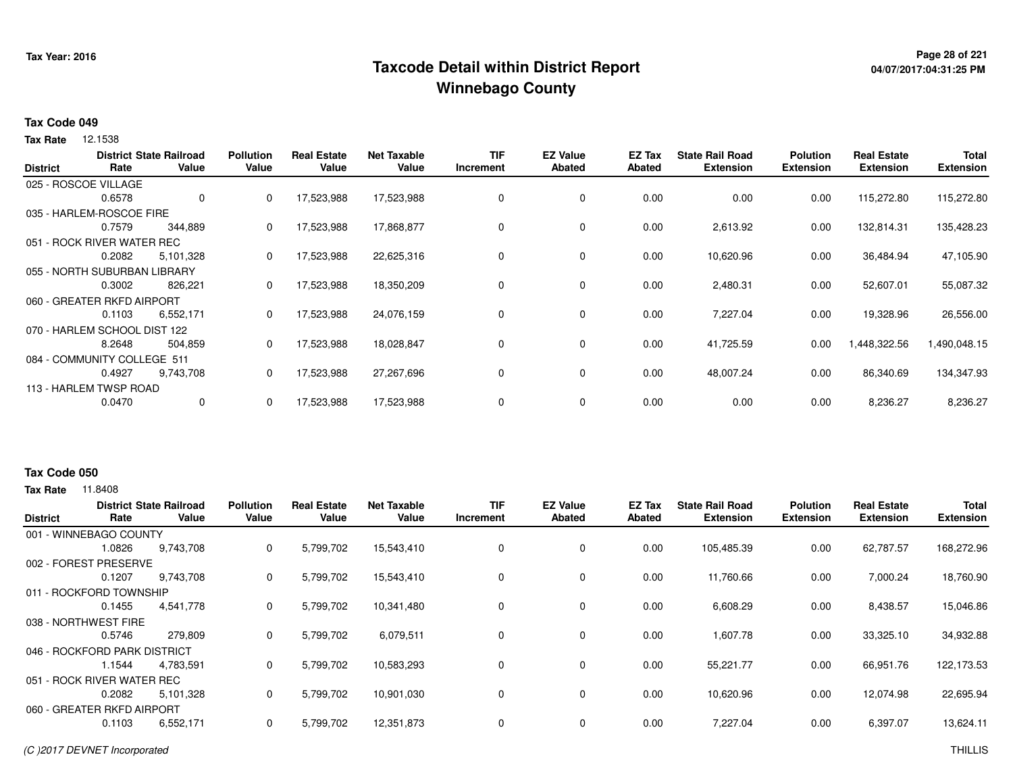## **Page 28 of 221 Taxcode Detail within District ReportWinnebago County**

# **04/07/2017:04:31:25 PM**

#### **Tax Code 049**

**Tax Rate** 12.1538

| <b>District</b> | Rate                         | <b>District State Railroad</b><br>Value | <b>Pollution</b><br>Value | <b>Real Estate</b><br>Value | <b>Net Taxable</b><br>Value | TIF<br>Increment | <b>EZ Value</b><br><b>Abated</b> | EZ Tax<br><b>Abated</b> | <b>State Rail Road</b><br><b>Extension</b> | <b>Polution</b><br><b>Extension</b> | <b>Real Estate</b><br><b>Extension</b> | <b>Total</b><br><b>Extension</b> |
|-----------------|------------------------------|-----------------------------------------|---------------------------|-----------------------------|-----------------------------|------------------|----------------------------------|-------------------------|--------------------------------------------|-------------------------------------|----------------------------------------|----------------------------------|
|                 | 025 - ROSCOE VILLAGE         |                                         |                           |                             |                             |                  |                                  |                         |                                            |                                     |                                        |                                  |
|                 | 0.6578                       | 0                                       | 0                         | 17,523,988                  | 17,523,988                  | 0                | 0                                | 0.00                    | 0.00                                       | 0.00                                | 115,272.80                             | 115,272.80                       |
|                 | 035 - HARLEM-ROSCOE FIRE     |                                         |                           |                             |                             |                  |                                  |                         |                                            |                                     |                                        |                                  |
|                 | 0.7579                       | 344,889                                 | 0                         | 17,523,988                  | 17,868,877                  | 0                | 0                                | 0.00                    | 2,613.92                                   | 0.00                                | 132,814.31                             | 135,428.23                       |
|                 | 051 - ROCK RIVER WATER REC   |                                         |                           |                             |                             |                  |                                  |                         |                                            |                                     |                                        |                                  |
|                 | 0.2082                       | 5,101,328                               | 0                         | 17,523,988                  | 22,625,316                  | 0                | 0                                | 0.00                    | 10,620.96                                  | 0.00                                | 36,484.94                              | 47,105.90                        |
|                 | 055 - NORTH SUBURBAN LIBRARY |                                         |                           |                             |                             |                  |                                  |                         |                                            |                                     |                                        |                                  |
|                 | 0.3002                       | 826.221                                 | 0                         | 17,523,988                  | 18,350,209                  | 0                | 0                                | 0.00                    | 2,480.31                                   | 0.00                                | 52,607.01                              | 55,087.32                        |
|                 | 060 - GREATER RKFD AIRPORT   |                                         |                           |                             |                             |                  |                                  |                         |                                            |                                     |                                        |                                  |
|                 | 0.1103                       | 6,552,171                               | 0                         | 17,523,988                  | 24,076,159                  | 0                | 0                                | 0.00                    | 7,227.04                                   | 0.00                                | 19,328.96                              | 26,556.00                        |
|                 | 070 - HARLEM SCHOOL DIST 122 |                                         |                           |                             |                             |                  |                                  |                         |                                            |                                     |                                        |                                  |
|                 | 8.2648                       | 504,859                                 | 0                         | 17,523,988                  | 18,028,847                  | 0                | 0                                | 0.00                    | 41,725.59                                  | 0.00                                | 1,448,322.56                           | 1,490,048.15                     |
|                 | 084 - COMMUNITY COLLEGE 511  |                                         |                           |                             |                             |                  |                                  |                         |                                            |                                     |                                        |                                  |
|                 | 0.4927                       | 9,743,708                               | 0                         | 17,523,988                  | 27,267,696                  | 0                | 0                                | 0.00                    | 48,007.24                                  | 0.00                                | 86,340.69                              | 134,347.93                       |
|                 | 113 - HARLEM TWSP ROAD       |                                         |                           |                             |                             |                  |                                  |                         |                                            |                                     |                                        |                                  |
|                 | 0.0470                       | 0                                       | 0                         | 17,523,988                  | 17,523,988                  | 0                | 0                                | 0.00                    | 0.00                                       | 0.00                                | 8,236.27                               | 8,236.27                         |

#### **Tax Code 050**

| <b>District</b> | Rate                         | <b>District State Railroad</b><br>Value | <b>Pollution</b><br>Value | <b>Real Estate</b><br>Value | Net Taxable<br>Value | <b>TIF</b><br>Increment | <b>EZ Value</b><br>Abated | EZ Tax<br>Abated | <b>State Rail Road</b><br><b>Extension</b> | <b>Polution</b><br><b>Extension</b> | <b>Real Estate</b><br><b>Extension</b> | <b>Total</b><br><b>Extension</b> |
|-----------------|------------------------------|-----------------------------------------|---------------------------|-----------------------------|----------------------|-------------------------|---------------------------|------------------|--------------------------------------------|-------------------------------------|----------------------------------------|----------------------------------|
|                 |                              |                                         |                           |                             |                      |                         |                           |                  |                                            |                                     |                                        |                                  |
|                 | 001 - WINNEBAGO COUNTY       |                                         |                           |                             |                      |                         |                           |                  |                                            |                                     |                                        |                                  |
|                 | 1.0826                       | 9,743,708                               | 0                         | 5,799,702                   | 15,543,410           | 0                       | 0                         | 0.00             | 105,485.39                                 | 0.00                                | 62,787.57                              | 168,272.96                       |
| 002 - FOREST    | PRESERVE                     |                                         |                           |                             |                      |                         |                           |                  |                                            |                                     |                                        |                                  |
|                 | 0.1207                       | 9,743,708                               | 0                         | 5,799,702                   | 15,543,410           | 0                       | $\mathbf 0$               | 0.00             | 11,760.66                                  | 0.00                                | 7,000.24                               | 18,760.90                        |
|                 | 011 - ROCKFORD TOWNSHIP      |                                         |                           |                             |                      |                         |                           |                  |                                            |                                     |                                        |                                  |
|                 | 0.1455                       | 4.541.778                               | 0                         | 5,799,702                   | 10,341,480           | 0                       | 0                         | 0.00             | 6,608.29                                   | 0.00                                | 8,438.57                               | 15,046.86                        |
|                 | 038 - NORTHWEST FIRE         |                                         |                           |                             |                      |                         |                           |                  |                                            |                                     |                                        |                                  |
|                 | 0.5746                       | 279,809                                 | 0                         | 5,799,702                   | 6,079,511            | 0                       | 0                         | 0.00             | 1,607.78                                   | 0.00                                | 33,325.10                              | 34,932.88                        |
|                 | 046 - ROCKFORD PARK DISTRICT |                                         |                           |                             |                      |                         |                           |                  |                                            |                                     |                                        |                                  |
|                 | 1.1544                       | 4,783,591                               | 0                         | 5,799,702                   | 10,583,293           | 0                       | $\mathbf 0$               | 0.00             | 55,221.77                                  | 0.00                                | 66,951.76                              | 122,173.53                       |
|                 | 051 - ROCK RIVER WATER REC   |                                         |                           |                             |                      |                         |                           |                  |                                            |                                     |                                        |                                  |
|                 | 0.2082                       | 5,101,328                               | 0                         | 5,799,702                   | 10,901,030           | 0                       | 0                         | 0.00             | 10,620.96                                  | 0.00                                | 12,074.98                              | 22,695.94                        |
|                 | 060 - GREATER RKFD AIRPORT   |                                         |                           |                             |                      |                         |                           |                  |                                            |                                     |                                        |                                  |
|                 | 0.1103                       | 6,552,171                               | 0                         | 5,799,702                   | 12,351,873           | $\mathbf 0$             | $\mathbf 0$               | 0.00             | 7,227.04                                   | 0.00                                | 6,397.07                               | 13,624.11                        |
|                 |                              |                                         |                           |                             |                      |                         |                           |                  |                                            |                                     |                                        |                                  |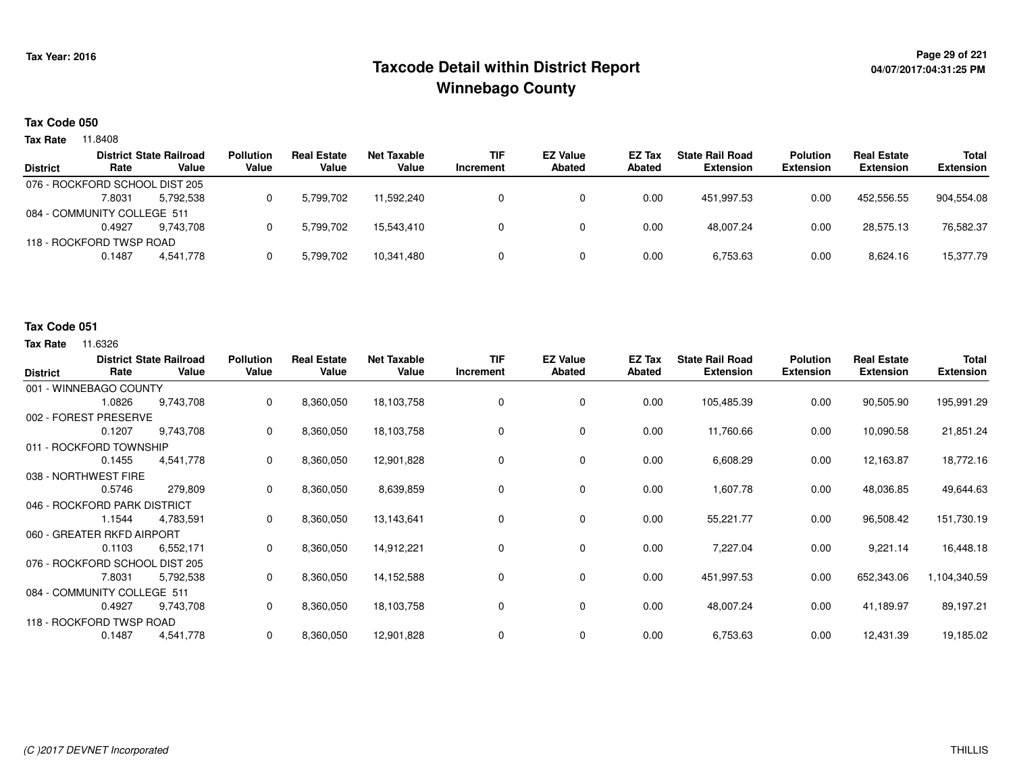## **Page 29 of 221 Taxcode Detail within District ReportWinnebago County**

# **04/07/2017:04:31:25 PM**

#### **Tax Code 050**

**Tax Rate** 11.8408

|                 |                                | <b>District State Railroad</b> | <b>Pollution</b> | <b>Real Estate</b> | Net Taxable | <b>TIF</b> | <b>EZ Value</b> | <b>EZ Tax</b> | <b>State Rail Road</b> | <b>Polution</b>  | <b>Real Estate</b> | <b>Total</b>     |
|-----------------|--------------------------------|--------------------------------|------------------|--------------------|-------------|------------|-----------------|---------------|------------------------|------------------|--------------------|------------------|
| <b>District</b> | Rate                           | Value                          | Value            | Value              | Value       | Increment  | <b>Abated</b>   | Abated        | <b>Extension</b>       | <b>Extension</b> | <b>Extension</b>   | <b>Extension</b> |
|                 | 076 - ROCKFORD SCHOOL DIST 205 |                                |                  |                    |             |            |                 |               |                        |                  |                    |                  |
|                 | 7.8031                         | 5.792.538                      |                  | 5,799,702          | 11.592.240  |            |                 | 0.00          | 451.997.53             | 0.00             | 452.556.55         | 904.554.08       |
|                 | 084 - COMMUNITY COLLEGE 511    |                                |                  |                    |             |            |                 |               |                        |                  |                    |                  |
|                 | 0.4927                         | 9.743.708                      |                  | 5.799.702          | 15.543.410  |            |                 | 0.00          | 48.007.24              | 0.00             | 28.575.13          | 76,582.37        |
|                 | 118 - ROCKFORD TWSP ROAD       |                                |                  |                    |             |            |                 |               |                        |                  |                    |                  |
|                 | 0.1487                         | 4.541.778                      |                  | 5,799,702          | 10,341,480  |            |                 | 0.00          | 6,753.63               | 0.00             | 8,624.16           | 15,377.79        |
|                 |                                |                                |                  |                    |             |            |                 |               |                        |                  |                    |                  |

#### **Tax Code 051**

| <b>District</b>          | Rate                           | <b>District State Railroad</b><br>Value | <b>Pollution</b><br>Value | <b>Real Estate</b><br>Value | <b>Net Taxable</b><br>Value | <b>TIF</b><br>Increment | <b>EZ Value</b><br><b>Abated</b> | EZ Tax<br><b>Abated</b> | <b>State Rail Road</b><br><b>Extension</b> | <b>Polution</b><br><b>Extension</b> | <b>Real Estate</b><br><b>Extension</b> | <b>Total</b><br><b>Extension</b> |
|--------------------------|--------------------------------|-----------------------------------------|---------------------------|-----------------------------|-----------------------------|-------------------------|----------------------------------|-------------------------|--------------------------------------------|-------------------------------------|----------------------------------------|----------------------------------|
|                          | 001 - WINNEBAGO COUNTY         |                                         |                           |                             |                             |                         |                                  |                         |                                            |                                     |                                        |                                  |
|                          | 1.0826                         | 9,743,708                               | 0                         | 8,360,050                   | 18,103,758                  | 0                       | 0                                | 0.00                    | 105,485.39                                 | 0.00                                | 90,505.90                              | 195,991.29                       |
|                          | 002 - FOREST PRESERVE          |                                         |                           |                             |                             |                         |                                  |                         |                                            |                                     |                                        |                                  |
|                          | 0.1207                         | 9,743,708                               | 0                         | 8,360,050                   | 18,103,758                  | 0                       | 0                                | 0.00                    | 11,760.66                                  | 0.00                                | 10,090.58                              | 21,851.24                        |
|                          | 011 - ROCKFORD TOWNSHIP        |                                         |                           |                             |                             |                         |                                  |                         |                                            |                                     |                                        |                                  |
|                          | 0.1455                         | 4,541,778                               | 0                         | 8,360,050                   | 12,901,828                  | 0                       | 0                                | 0.00                    | 6,608.29                                   | 0.00                                | 12,163.87                              | 18,772.16                        |
|                          | 038 - NORTHWEST FIRE           |                                         |                           |                             |                             |                         |                                  |                         |                                            |                                     |                                        |                                  |
|                          | 0.5746                         | 279,809                                 | 0                         | 8,360,050                   | 8,639,859                   | 0                       | 0                                | 0.00                    | 1,607.78                                   | 0.00                                | 48,036.85                              | 49,644.63                        |
|                          | 046 - ROCKFORD PARK DISTRICT   |                                         |                           |                             |                             |                         |                                  |                         |                                            |                                     |                                        |                                  |
|                          | 1.1544                         | 4,783,591                               | 0                         | 8,360,050                   | 13,143,641                  | $\Omega$                | 0                                | 0.00                    | 55,221.77                                  | 0.00                                | 96,508.42                              | 151,730.19                       |
|                          | 060 - GREATER RKFD AIRPORT     |                                         |                           |                             |                             |                         |                                  |                         |                                            |                                     |                                        |                                  |
|                          | 0.1103                         | 6,552,171                               | 0                         | 8,360,050                   | 14,912,221                  | 0                       | 0                                | 0.00                    | 7,227.04                                   | 0.00                                | 9,221.14                               | 16,448.18                        |
|                          | 076 - ROCKFORD SCHOOL DIST 205 |                                         |                           |                             |                             |                         |                                  |                         |                                            |                                     |                                        |                                  |
|                          | 7.8031                         | 5,792,538                               | 0                         | 8,360,050                   | 14,152,588                  | 0                       | 0                                | 0.00                    | 451,997.53                                 | 0.00                                | 652,343.06                             | 1,104,340.59                     |
|                          | 084 - COMMUNITY COLLEGE 511    |                                         |                           |                             |                             |                         |                                  |                         |                                            |                                     |                                        |                                  |
|                          | 0.4927                         | 9,743,708                               | 0                         | 8,360,050                   | 18,103,758                  | 0                       | 0                                | 0.00                    | 48,007.24                                  | 0.00                                | 41,189.97                              | 89,197.21                        |
| 118 - ROCKFORD TWSP ROAD |                                |                                         |                           |                             |                             |                         |                                  |                         |                                            |                                     |                                        |                                  |
|                          | 0.1487                         | 4,541,778                               | 0                         | 8,360,050                   | 12,901,828                  | 0                       | 0                                | 0.00                    | 6,753.63                                   | 0.00                                | 12,431.39                              | 19,185.02                        |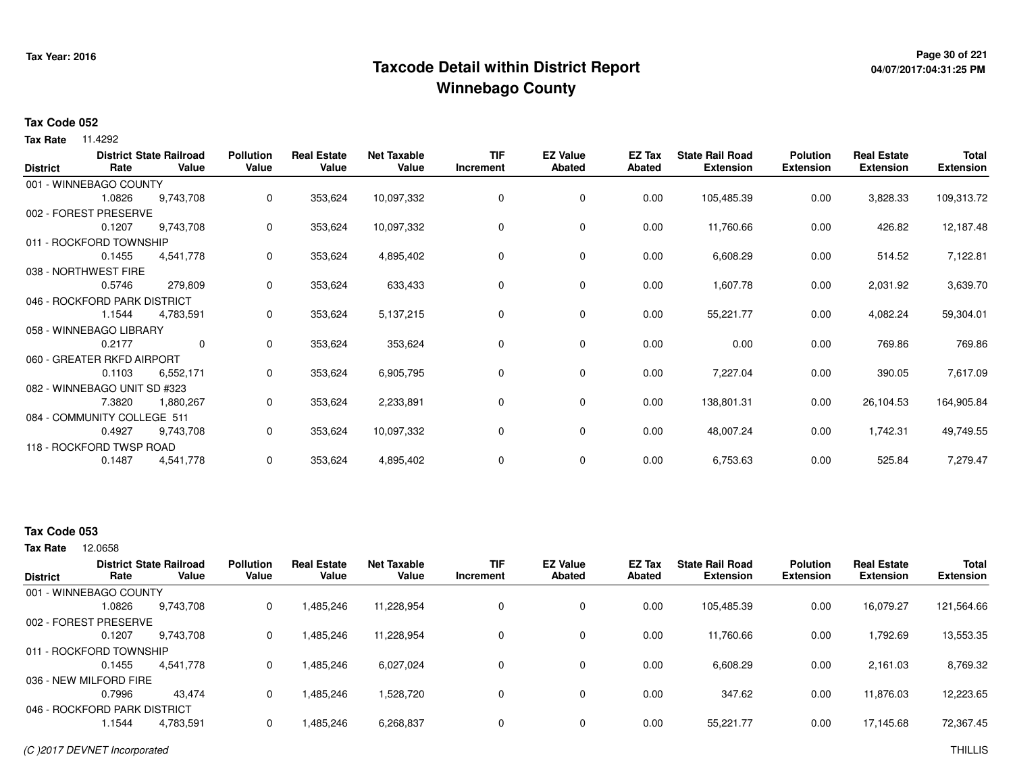## **Page 30 of 221 Taxcode Detail within District ReportWinnebago County**

# **04/07/2017:04:31:25 PM**

#### **Tax Code 052**

**Tax Rate** 11.4292

| <b>District</b> | Rate                         | <b>District State Railroad</b><br>Value | <b>Pollution</b><br>Value | <b>Real Estate</b><br>Value | <b>Net Taxable</b><br>Value | <b>TIF</b><br>Increment | <b>EZ Value</b><br><b>Abated</b> | EZ Tax<br><b>Abated</b> | <b>State Rail Road</b><br><b>Extension</b> | <b>Polution</b><br><b>Extension</b> | <b>Real Estate</b><br><b>Extension</b> | Total<br><b>Extension</b> |
|-----------------|------------------------------|-----------------------------------------|---------------------------|-----------------------------|-----------------------------|-------------------------|----------------------------------|-------------------------|--------------------------------------------|-------------------------------------|----------------------------------------|---------------------------|
|                 | 001 - WINNEBAGO COUNTY       |                                         |                           |                             |                             |                         |                                  |                         |                                            |                                     |                                        |                           |
|                 | 1.0826                       | 9,743,708                               | 0                         | 353,624                     | 10,097,332                  | 0                       | 0                                | 0.00                    | 105,485.39                                 | 0.00                                | 3,828.33                               | 109,313.72                |
|                 | 002 - FOREST PRESERVE        |                                         |                           |                             |                             |                         |                                  |                         |                                            |                                     |                                        |                           |
|                 | 0.1207                       | 9,743,708                               | 0                         | 353,624                     | 10,097,332                  | 0                       | 0                                | 0.00                    | 11,760.66                                  | 0.00                                | 426.82                                 | 12,187.48                 |
|                 | 011 - ROCKFORD TOWNSHIP      |                                         |                           |                             |                             |                         |                                  |                         |                                            |                                     |                                        |                           |
|                 | 0.1455                       | 4,541,778                               | 0                         | 353,624                     | 4,895,402                   | 0                       | 0                                | 0.00                    | 6,608.29                                   | 0.00                                | 514.52                                 | 7,122.81                  |
|                 | 038 - NORTHWEST FIRE         |                                         |                           |                             |                             |                         |                                  |                         |                                            |                                     |                                        |                           |
|                 | 0.5746                       | 279,809                                 | 0                         | 353,624                     | 633,433                     | 0                       | 0                                | 0.00                    | 1,607.78                                   | 0.00                                | 2,031.92                               | 3,639.70                  |
|                 | 046 - ROCKFORD PARK DISTRICT |                                         |                           |                             |                             |                         |                                  |                         |                                            |                                     |                                        |                           |
|                 | 1.1544                       | 4,783,591                               | 0                         | 353,624                     | 5,137,215                   | 0                       | 0                                | 0.00                    | 55,221.77                                  | 0.00                                | 4,082.24                               | 59,304.01                 |
|                 | 058 - WINNEBAGO LIBRARY      |                                         |                           |                             |                             |                         |                                  |                         |                                            |                                     |                                        |                           |
|                 | 0.2177                       | $\mathbf{0}$                            | 0                         | 353,624                     | 353,624                     | 0                       | 0                                | 0.00                    | 0.00                                       | 0.00                                | 769.86                                 | 769.86                    |
|                 | 060 - GREATER RKFD AIRPORT   |                                         |                           |                             |                             |                         |                                  |                         |                                            |                                     |                                        |                           |
|                 | 0.1103                       | 6,552,171                               | 0                         | 353,624                     | 6,905,795                   | 0                       | 0                                | 0.00                    | 7,227.04                                   | 0.00                                | 390.05                                 | 7,617.09                  |
|                 | 082 - WINNEBAGO UNIT SD #323 |                                         |                           |                             |                             |                         |                                  |                         |                                            |                                     |                                        |                           |
|                 | 7.3820                       | 1,880,267                               | 0                         | 353,624                     | 2,233,891                   | 0                       | 0                                | 0.00                    | 138,801.31                                 | 0.00                                | 26,104.53                              | 164,905.84                |
|                 | 084 - COMMUNITY COLLEGE 511  |                                         |                           |                             |                             |                         |                                  |                         |                                            |                                     |                                        |                           |
|                 | 0.4927                       | 9,743,708                               | 0                         | 353,624                     | 10,097,332                  | 0                       | 0                                | 0.00                    | 48,007.24                                  | 0.00                                | 1,742.31                               | 49,749.55                 |
|                 | 118 - ROCKFORD TWSP ROAD     |                                         |                           |                             |                             |                         |                                  |                         |                                            |                                     |                                        |                           |
|                 | 0.1487                       | 4,541,778                               | 0                         | 353,624                     | 4,895,402                   | 0                       | 0                                | 0.00                    | 6,753.63                                   | 0.00                                | 525.84                                 | 7,279.47                  |

### **Tax Code 053**

12.0658 **Tax Rate**

| <b>District</b> | Rate                         | <b>District State Railroad</b><br>Value | <b>Pollution</b><br>Value | <b>Real Estate</b><br>Value | <b>Net Taxable</b><br>Value | TIF<br>Increment | <b>EZ Value</b><br><b>Abated</b> | <b>EZ Tax</b><br>Abated | <b>State Rail Road</b><br><b>Extension</b> | <b>Polution</b><br><b>Extension</b> | <b>Real Estate</b><br><b>Extension</b> | <b>Total</b><br><b>Extension</b> |
|-----------------|------------------------------|-----------------------------------------|---------------------------|-----------------------------|-----------------------------|------------------|----------------------------------|-------------------------|--------------------------------------------|-------------------------------------|----------------------------------------|----------------------------------|
|                 | 001 - WINNEBAGO COUNTY       |                                         |                           |                             |                             |                  |                                  |                         |                                            |                                     |                                        |                                  |
|                 | 1.0826                       | 9,743,708                               | 0                         | 1,485,246                   | 11,228,954                  | 0                | 0                                | 0.00                    | 105,485.39                                 | 0.00                                | 16,079.27                              | 121,564.66                       |
|                 | 002 - FOREST PRESERVE        |                                         |                           |                             |                             |                  |                                  |                         |                                            |                                     |                                        |                                  |
|                 | 0.1207                       | 9,743,708                               | 0                         | 1,485,246                   | 11,228,954                  | 0                | 0                                | 0.00                    | 11,760.66                                  | 0.00                                | 1,792.69                               | 13,553.35                        |
|                 | 011 - ROCKFORD TOWNSHIP      |                                         |                           |                             |                             |                  |                                  |                         |                                            |                                     |                                        |                                  |
|                 | 0.1455                       | 4,541,778                               | 0                         | 1.485.246                   | 6,027,024                   | 0                | 0                                | 0.00                    | 6,608.29                                   | 0.00                                | 2,161.03                               | 8,769.32                         |
|                 | 036 - NEW MILFORD FIRE       |                                         |                           |                             |                             |                  |                                  |                         |                                            |                                     |                                        |                                  |
|                 | 0.7996                       | 43.474                                  | 0                         | 1,485,246                   | 1,528,720                   | $\Omega$         | 0                                | 0.00                    | 347.62                                     | 0.00                                | 11,876.03                              | 12,223.65                        |
|                 | 046 - ROCKFORD PARK DISTRICT |                                         |                           |                             |                             |                  |                                  |                         |                                            |                                     |                                        |                                  |
|                 | 1.1544                       | 4,783,591                               |                           | 1,485,246                   | 6,268,837                   | $\Omega$         | 0                                | 0.00                    | 55,221.77                                  | 0.00                                | 17,145.68                              | 72,367.45                        |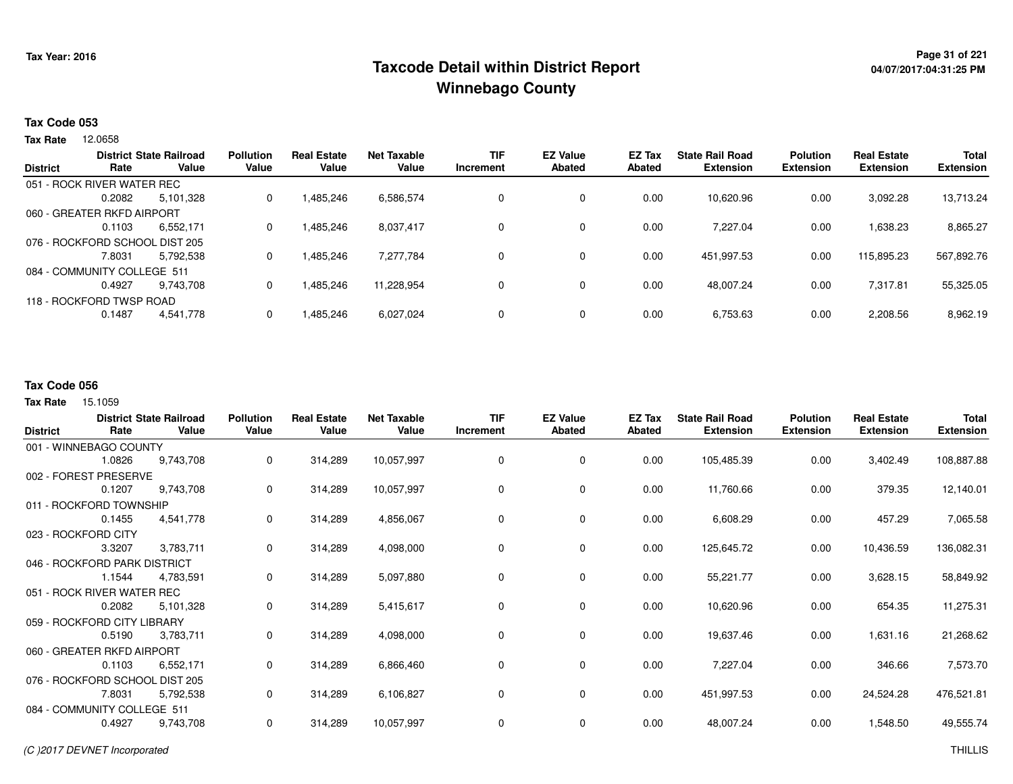## <sup>Page 31</sup> of <sup>221</sup> Page 31 of 221<br>Taxcode Detail within District Report های این موجع به موجع این موجع این موجع این موجع این موجع این موجع این موج **Winnebago County**

# **04/07/2017:04:31:25 PM**

#### **Tax Code 053**

12.0658 **Tax Rate**

| <b>District</b> | Rate                           | <b>District State Railroad</b><br>Value | <b>Pollution</b><br>Value | <b>Real Estate</b><br>Value | Net Taxable<br>Value | TIF<br>Increment | <b>EZ Value</b><br>Abated | EZ Tax<br>Abated | <b>State Rail Road</b><br><b>Extension</b> | <b>Polution</b><br><b>Extension</b> | <b>Real Estate</b><br><b>Extension</b> | <b>Total</b><br><b>Extension</b> |
|-----------------|--------------------------------|-----------------------------------------|---------------------------|-----------------------------|----------------------|------------------|---------------------------|------------------|--------------------------------------------|-------------------------------------|----------------------------------------|----------------------------------|
|                 |                                |                                         |                           |                             |                      |                  |                           |                  |                                            |                                     |                                        |                                  |
|                 | 051 - ROCK RIVER WATER REC     |                                         |                           |                             |                      |                  |                           |                  |                                            |                                     |                                        |                                  |
|                 | 0.2082                         | 5.101.328                               | 0                         | 1,485,246                   | 6,586,574            | 0                | 0                         | 0.00             | 10.620.96                                  | 0.00                                | 3.092.28                               | 13,713.24                        |
|                 | 060 - GREATER RKFD AIRPORT     |                                         |                           |                             |                      |                  |                           |                  |                                            |                                     |                                        |                                  |
|                 | 0.1103                         | 6.552.171                               | 0                         | 1,485,246                   | 8,037,417            | 0                | 0                         | 0.00             | 7.227.04                                   | 0.00                                | 1,638.23                               | 8,865.27                         |
|                 | 076 - ROCKFORD SCHOOL DIST 205 |                                         |                           |                             |                      |                  |                           |                  |                                            |                                     |                                        |                                  |
|                 | 7.8031                         | 5.792.538                               | 0                         | 1,485,246                   | 7,277,784            | 0                | 0                         | 0.00             | 451,997.53                                 | 0.00                                | 115,895.23                             | 567,892.76                       |
|                 | 084 - COMMUNITY COLLEGE 511    |                                         |                           |                             |                      |                  |                           |                  |                                            |                                     |                                        |                                  |
|                 | 0.4927                         | 9.743.708                               | 0                         | 1,485,246                   | 11,228,954           | 0                | 0                         | 0.00             | 48.007.24                                  | 0.00                                | 7,317.81                               | 55,325.05                        |
|                 | 118 - ROCKFORD TWSP ROAD       |                                         |                           |                             |                      |                  |                           |                  |                                            |                                     |                                        |                                  |
|                 | 0.1487                         | 4,541,778                               | 0                         | 1,485,246                   | 6,027,024            | 0                | 0                         | 0.00             | 6,753.63                                   | 0.00                                | 2,208.56                               | 8,962.19                         |
|                 |                                |                                         |                           |                             |                      |                  |                           |                  |                                            |                                     |                                        |                                  |

#### **Tax Code 056**

| <b>District</b>              | Rate                           | <b>District State Railroad</b><br>Value | <b>Pollution</b><br>Value | <b>Real Estate</b><br>Value | <b>Net Taxable</b><br>Value | <b>TIF</b><br>Increment | <b>EZ Value</b><br><b>Abated</b> | EZ Tax<br>Abated | <b>State Rail Road</b><br><b>Extension</b> | <b>Polution</b><br><b>Extension</b> | <b>Real Estate</b><br><b>Extension</b> | <b>Total</b><br><b>Extension</b> |
|------------------------------|--------------------------------|-----------------------------------------|---------------------------|-----------------------------|-----------------------------|-------------------------|----------------------------------|------------------|--------------------------------------------|-------------------------------------|----------------------------------------|----------------------------------|
|                              | 001 - WINNEBAGO COUNTY         |                                         |                           |                             |                             |                         |                                  |                  |                                            |                                     |                                        |                                  |
|                              | 1.0826                         | 9,743,708                               | 0                         | 314,289                     | 10,057,997                  | 0                       | 0                                | 0.00             | 105,485.39                                 | 0.00                                | 3,402.49                               | 108,887.88                       |
|                              | 002 - FOREST PRESERVE          |                                         |                           |                             |                             |                         |                                  |                  |                                            |                                     |                                        |                                  |
|                              | 0.1207                         | 9,743,708                               | 0                         | 314,289                     | 10,057,997                  | 0                       | $\mathbf 0$                      | 0.00             | 11,760.66                                  | 0.00                                | 379.35                                 | 12,140.01                        |
|                              | 011 - ROCKFORD TOWNSHIP        |                                         |                           |                             |                             |                         |                                  |                  |                                            |                                     |                                        |                                  |
|                              | 0.1455                         | 4,541,778                               | 0                         | 314,289                     | 4,856,067                   | 0                       | $\mathbf 0$                      | 0.00             | 6,608.29                                   | 0.00                                | 457.29                                 | 7,065.58                         |
|                              | 023 - ROCKFORD CITY            |                                         |                           |                             |                             |                         |                                  |                  |                                            |                                     |                                        |                                  |
|                              | 3.3207                         | 3,783,711                               | 0                         | 314,289                     | 4,098,000                   | 0                       | 0                                | 0.00             | 125,645.72                                 | 0.00                                | 10,436.59                              | 136,082.31                       |
| 046 - ROCKFORD PARK DISTRICT |                                |                                         |                           |                             |                             |                         |                                  |                  |                                            |                                     |                                        |                                  |
|                              | 1.1544                         | 4,783,591                               | 0                         | 314,289                     | 5,097,880                   | 0                       | $\mathbf 0$                      | 0.00             | 55,221.77                                  | 0.00                                | 3,628.15                               | 58,849.92                        |
|                              | 051 - ROCK RIVER WATER REC     |                                         |                           |                             |                             |                         |                                  |                  |                                            |                                     |                                        |                                  |
|                              | 0.2082                         | 5,101,328                               | 0                         | 314,289                     | 5,415,617                   | 0                       | $\mathbf 0$                      | 0.00             | 10,620.96                                  | 0.00                                | 654.35                                 | 11,275.31                        |
|                              | 059 - ROCKFORD CITY LIBRARY    |                                         |                           |                             |                             |                         |                                  |                  |                                            |                                     |                                        |                                  |
|                              | 0.5190                         | 3,783,711                               | 0                         | 314,289                     | 4,098,000                   | 0                       | $\mathbf 0$                      | 0.00             | 19,637.46                                  | 0.00                                | 1,631.16                               | 21,268.62                        |
|                              | 060 - GREATER RKFD AIRPORT     |                                         |                           |                             |                             |                         |                                  |                  |                                            |                                     |                                        |                                  |
|                              | 0.1103                         | 6,552,171                               | 0                         | 314,289                     | 6,866,460                   | 0                       | 0                                | 0.00             | 7,227.04                                   | 0.00                                | 346.66                                 | 7,573.70                         |
|                              | 076 - ROCKFORD SCHOOL DIST 205 |                                         |                           |                             |                             |                         |                                  |                  |                                            |                                     |                                        |                                  |
|                              | 7.8031                         | 5,792,538                               | 0                         | 314,289                     | 6,106,827                   | 0                       | 0                                | 0.00             | 451,997.53                                 | 0.00                                | 24,524.28                              | 476,521.81                       |
|                              | 084 - COMMUNITY COLLEGE 511    |                                         |                           |                             |                             |                         |                                  |                  |                                            |                                     |                                        |                                  |
|                              | 0.4927                         | 9,743,708                               | 0                         | 314,289                     | 10,057,997                  | 0                       | $\mathbf 0$                      | 0.00             | 48,007.24                                  | 0.00                                | 1,548.50                               | 49,555.74                        |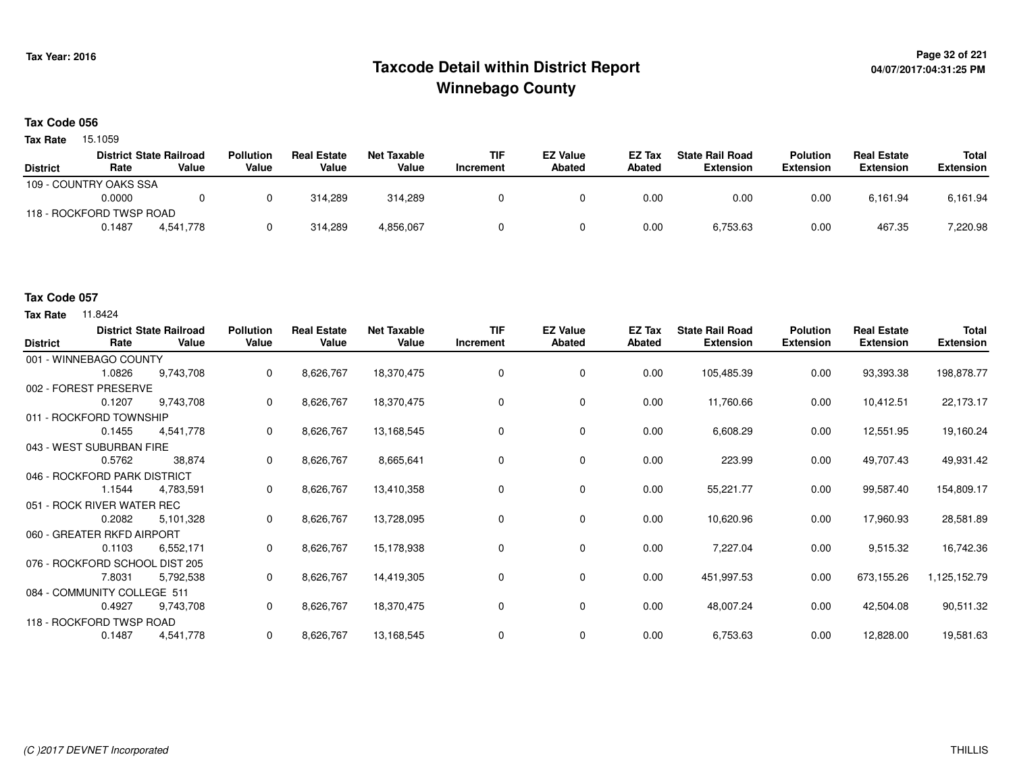## **Page 32 of 221 Taxcode Detail within District ReportWinnebago County**

#### **Tax Code 056**

Tax Rate 15.1059

|                 |                          | <b>District State Railroad</b> | <b>Pollution</b> | <b>Real Estate</b> | <b>Net Taxable</b> | <b>TIF</b> | <b>EZ Value</b> | <b>EZ Tax</b> | <b>State Rail Road</b> | <b>Polution</b>  | <b>Real Estate</b> | Total            |
|-----------------|--------------------------|--------------------------------|------------------|--------------------|--------------------|------------|-----------------|---------------|------------------------|------------------|--------------------|------------------|
| <b>District</b> | Rate                     | Value                          | Value            | Value              | Value              | Increment  | <b>Abated</b>   | Abated        | Extension              | <b>Extension</b> | <b>Extension</b>   | <b>Extension</b> |
|                 | 109 - COUNTRY OAKS SSA   |                                |                  |                    |                    |            |                 |               |                        |                  |                    |                  |
|                 | 0.0000                   |                                |                  | 314.289            | 314.289            |            |                 | 0.00          | 0.00                   | 0.00             | 6.161.94           | 6,161.94         |
|                 | 118 - ROCKFORD TWSP ROAD |                                |                  |                    |                    |            |                 |               |                        |                  |                    |                  |
|                 | 0.1487                   | 4.541.778                      |                  | 314.289            | 4,856,067          |            |                 | 0.00          | 6,753.63               | 0.00             | 467.35             | 7,220.98         |

#### **Tax Code 057**

| <b>District</b> | Rate                           | <b>District State Railroad</b><br>Value | <b>Pollution</b><br>Value | <b>Real Estate</b><br>Value | <b>Net Taxable</b><br>Value | TIF<br>Increment | <b>EZ Value</b><br><b>Abated</b> | EZ Tax<br><b>Abated</b> | <b>State Rail Road</b><br><b>Extension</b> | <b>Polution</b><br><b>Extension</b> | <b>Real Estate</b><br><b>Extension</b> | <b>Total</b><br><b>Extension</b> |
|-----------------|--------------------------------|-----------------------------------------|---------------------------|-----------------------------|-----------------------------|------------------|----------------------------------|-------------------------|--------------------------------------------|-------------------------------------|----------------------------------------|----------------------------------|
|                 | 001 - WINNEBAGO COUNTY         |                                         |                           |                             |                             |                  |                                  |                         |                                            |                                     |                                        |                                  |
|                 | 1.0826                         | 9,743,708                               | 0                         | 8,626,767                   | 18,370,475                  | 0                | 0                                | 0.00                    | 105,485.39                                 | 0.00                                | 93,393.38                              | 198,878.77                       |
|                 | 002 - FOREST PRESERVE          |                                         |                           |                             |                             |                  |                                  |                         |                                            |                                     |                                        |                                  |
|                 | 0.1207                         | 9,743,708                               | 0                         | 8,626,767                   | 18,370,475                  | 0                | 0                                | 0.00                    | 11,760.66                                  | 0.00                                | 10,412.51                              | 22,173.17                        |
|                 | 011 - ROCKFORD TOWNSHIP        |                                         |                           |                             |                             |                  |                                  |                         |                                            |                                     |                                        |                                  |
|                 | 0.1455                         | 4,541,778                               | 0                         | 8,626,767                   | 13,168,545                  | $\Omega$         | $\mathbf 0$                      | 0.00                    | 6,608.29                                   | 0.00                                | 12,551.95                              | 19,160.24                        |
|                 | 043 - WEST SUBURBAN FIRE       |                                         |                           |                             |                             |                  |                                  |                         |                                            |                                     |                                        |                                  |
|                 | 0.5762                         | 38,874                                  | 0                         | 8,626,767                   | 8,665,641                   | 0                | 0                                | 0.00                    | 223.99                                     | 0.00                                | 49,707.43                              | 49,931.42                        |
|                 | 046 - ROCKFORD PARK DISTRICT   |                                         |                           |                             |                             |                  |                                  |                         |                                            |                                     |                                        |                                  |
|                 | 1.1544                         | 4,783,591                               | 0                         | 8,626,767                   | 13,410,358                  | 0                | 0                                | 0.00                    | 55,221.77                                  | 0.00                                | 99,587.40                              | 154,809.17                       |
|                 | 051 - ROCK RIVER WATER REC     |                                         |                           |                             |                             |                  |                                  |                         |                                            |                                     |                                        |                                  |
|                 | 0.2082                         | 5,101,328                               | 0                         | 8,626,767                   | 13,728,095                  | 0                | 0                                | 0.00                    | 10,620.96                                  | 0.00                                | 17,960.93                              | 28,581.89                        |
|                 | 060 - GREATER RKFD AIRPORT     |                                         |                           |                             |                             |                  |                                  |                         |                                            |                                     |                                        |                                  |
|                 | 0.1103                         | 6,552,171                               | 0                         | 8,626,767                   | 15,178,938                  | 0                | 0                                | 0.00                    | 7,227.04                                   | 0.00                                | 9,515.32                               | 16,742.36                        |
|                 | 076 - ROCKFORD SCHOOL DIST 205 |                                         |                           |                             |                             |                  |                                  |                         |                                            |                                     |                                        |                                  |
|                 | 7.8031                         | 5,792,538                               | 0                         | 8,626,767                   | 14,419,305                  | 0                | 0                                | 0.00                    | 451,997.53                                 | 0.00                                | 673,155.26                             | 1,125,152.79                     |
|                 | 084 - COMMUNITY COLLEGE 511    |                                         |                           |                             |                             |                  |                                  |                         |                                            |                                     |                                        |                                  |
|                 | 0.4927                         | 9,743,708                               | 0                         | 8,626,767                   | 18,370,475                  | 0                | 0                                | 0.00                    | 48,007.24                                  | 0.00                                | 42,504.08                              | 90,511.32                        |
|                 | 118 - ROCKFORD TWSP ROAD       |                                         |                           |                             |                             |                  |                                  |                         |                                            |                                     |                                        |                                  |
|                 | 0.1487                         | 4,541,778                               | 0                         | 8,626,767                   | 13,168,545                  |                  | 0                                | 0.00                    | 6,753.63                                   | 0.00                                | 12,828.00                              | 19,581.63                        |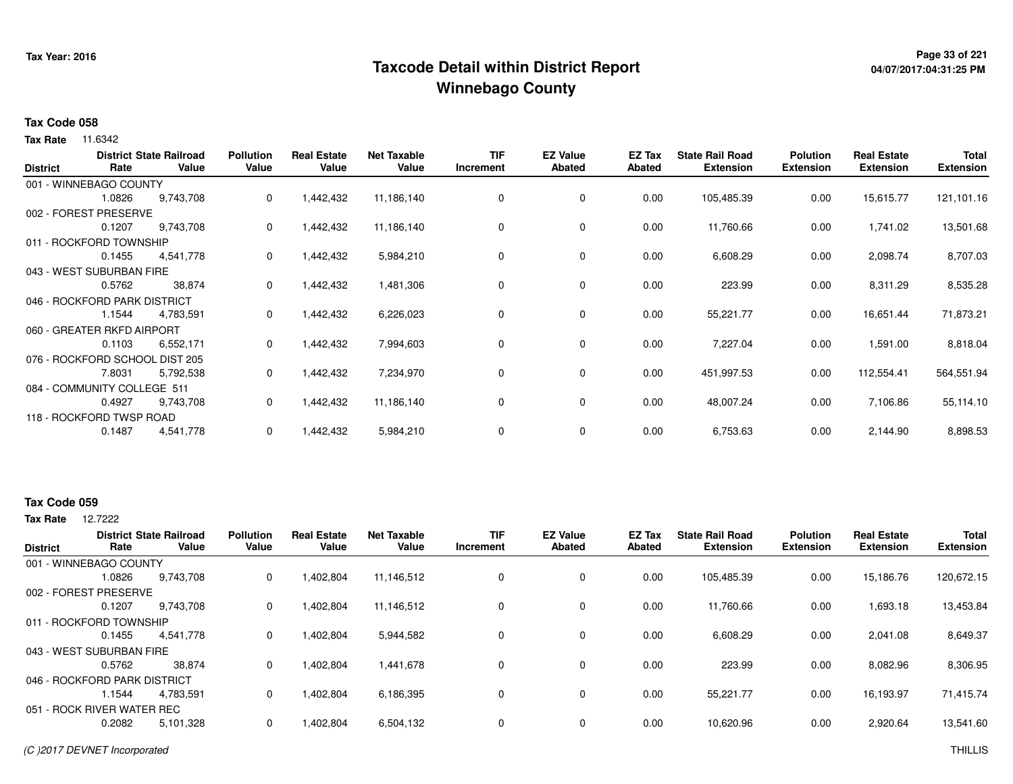## **Page 33 of 221 Taxcode Detail within District ReportWinnebago County**

# **04/07/2017:04:31:25 PM**

#### **Tax Code 058**

**Tax Rate** 11.6342

| <b>District</b> | Rate                           | <b>District State Railroad</b><br>Value | <b>Pollution</b><br>Value | <b>Real Estate</b><br>Value | <b>Net Taxable</b><br>Value | <b>TIF</b><br>Increment | <b>EZ Value</b><br>Abated | EZ Tax<br>Abated | <b>State Rail Road</b><br><b>Extension</b> | <b>Polution</b><br><b>Extension</b> | <b>Real Estate</b><br><b>Extension</b> | <b>Total</b><br><b>Extension</b> |
|-----------------|--------------------------------|-----------------------------------------|---------------------------|-----------------------------|-----------------------------|-------------------------|---------------------------|------------------|--------------------------------------------|-------------------------------------|----------------------------------------|----------------------------------|
|                 | 001 - WINNEBAGO COUNTY         |                                         |                           |                             |                             |                         |                           |                  |                                            |                                     |                                        |                                  |
|                 | 1.0826                         | 9,743,708                               | 0                         | 1,442,432                   | 11,186,140                  | 0                       | 0                         | 0.00             | 105,485.39                                 | 0.00                                | 15,615.77                              | 121,101.16                       |
|                 | 002 - FOREST PRESERVE          |                                         |                           |                             |                             |                         |                           |                  |                                            |                                     |                                        |                                  |
|                 | 0.1207                         | 9,743,708                               | 0                         | 1,442,432                   | 11,186,140                  | 0                       | 0                         | 0.00             | 11,760.66                                  | 0.00                                | 1,741.02                               | 13,501.68                        |
|                 | 011 - ROCKFORD TOWNSHIP        |                                         |                           |                             |                             |                         |                           |                  |                                            |                                     |                                        |                                  |
|                 | 0.1455                         | 4,541,778                               | 0                         | 1,442,432                   | 5,984,210                   | 0                       | $\mathbf 0$               | 0.00             | 6,608.29                                   | 0.00                                | 2,098.74                               | 8,707.03                         |
|                 | 043 - WEST SUBURBAN FIRE       |                                         |                           |                             |                             |                         |                           |                  |                                            |                                     |                                        |                                  |
|                 | 0.5762                         | 38,874                                  | 0                         | 1,442,432                   | 1,481,306                   | 0                       | 0                         | 0.00             | 223.99                                     | 0.00                                | 8,311.29                               | 8,535.28                         |
|                 | 046 - ROCKFORD PARK DISTRICT   |                                         |                           |                             |                             |                         |                           |                  |                                            |                                     |                                        |                                  |
|                 | 1.1544                         | 4,783,591                               | 0                         | 1,442,432                   | 6,226,023                   | 0                       | 0                         | 0.00             | 55,221.77                                  | 0.00                                | 16,651.44                              | 71,873.21                        |
|                 | 060 - GREATER RKFD AIRPORT     |                                         |                           |                             |                             |                         |                           |                  |                                            |                                     |                                        |                                  |
|                 | 0.1103                         | 6,552,171                               | 0                         | 1,442,432                   | 7,994,603                   | 0                       | 0                         | 0.00             | 7,227.04                                   | 0.00                                | 1,591.00                               | 8,818.04                         |
|                 | 076 - ROCKFORD SCHOOL DIST 205 |                                         |                           |                             |                             |                         |                           |                  |                                            |                                     |                                        |                                  |
|                 | 7.8031                         | 5,792,538                               | 0                         | 1,442,432                   | 7,234,970                   | 0                       | 0                         | 0.00             | 451,997.53                                 | 0.00                                | 112,554.41                             | 564,551.94                       |
|                 | 084 - COMMUNITY COLLEGE 511    |                                         |                           |                             |                             |                         |                           |                  |                                            |                                     |                                        |                                  |
|                 | 0.4927                         | 9,743,708                               | 0                         | 1,442,432                   | 11,186,140                  | 0                       | $\mathbf 0$               | 0.00             | 48,007.24                                  | 0.00                                | 7,106.86                               | 55,114.10                        |
|                 | 118 - ROCKFORD TWSP ROAD       |                                         |                           |                             |                             |                         |                           |                  |                                            |                                     |                                        |                                  |
|                 | 0.1487                         | 4,541,778                               | 0                         | 1,442,432                   | 5,984,210                   | 0                       | 0                         | 0.00             | 6,753.63                                   | 0.00                                | 2,144.90                               | 8,898.53                         |

#### **Tax Code 059**

**Tax Rate** 12,7222

|                 |                              | <b>District State Railroad</b> | <b>Pollution</b> | <b>Real Estate</b> | <b>Net Taxable</b> | <b>TIF</b> | <b>EZ Value</b> | <b>EZ Tax</b> | <b>State Rail Road</b> | <b>Polution</b>  | <b>Real Estate</b> | <b>Total</b>     |
|-----------------|------------------------------|--------------------------------|------------------|--------------------|--------------------|------------|-----------------|---------------|------------------------|------------------|--------------------|------------------|
| <b>District</b> | Rate                         | Value                          | Value            | Value              | Value              | Increment  | Abated          | Abated        | <b>Extension</b>       | <b>Extension</b> | <b>Extension</b>   | <b>Extension</b> |
|                 | 001 - WINNEBAGO COUNTY       |                                |                  |                    |                    |            |                 |               |                        |                  |                    |                  |
|                 | 1.0826                       | 9.743.708                      | 0                | 1,402,804          | 11,146,512         | 0          | 0               | 0.00          | 105,485.39             | 0.00             | 15,186.76          | 120,672.15       |
|                 | 002 - FOREST PRESERVE        |                                |                  |                    |                    |            |                 |               |                        |                  |                    |                  |
|                 | 0.1207                       | 9.743.708                      | 0                | 1.402.804          | 11,146,512         | 0          | $\mathbf 0$     | 0.00          | 11.760.66              | 0.00             | 1,693.18           | 13,453.84        |
|                 | 011 - ROCKFORD TOWNSHIP      |                                |                  |                    |                    |            |                 |               |                        |                  |                    |                  |
|                 | 0.1455                       | 4,541,778                      | 0                | 1,402,804          | 5,944,582          | 0          | 0               | 0.00          | 6,608.29               | 0.00             | 2,041.08           | 8,649.37         |
|                 | 043 - WEST SUBURBAN FIRE     |                                |                  |                    |                    |            |                 |               |                        |                  |                    |                  |
|                 | 0.5762                       | 38,874                         | 0                | 1,402,804          | 1,441,678          | 0          | 0               | 0.00          | 223.99                 | 0.00             | 8,082.96           | 8,306.95         |
|                 | 046 - ROCKFORD PARK DISTRICT |                                |                  |                    |                    |            |                 |               |                        |                  |                    |                  |
|                 | l.1544                       | 4.783.591                      | 0                | 1.402.804          | 6,186,395          | 0          | $\mathbf 0$     | 0.00          | 55,221.77              | 0.00             | 16.193.97          | 71,415.74        |
|                 | 051 - ROCK RIVER WATER REC   |                                |                  |                    |                    |            |                 |               |                        |                  |                    |                  |
|                 | 0.2082                       | 5,101,328                      | 0                | 1,402,804          | 6,504,132          | 0          | $\mathbf 0$     | 0.00          | 10,620.96              | 0.00             | 2,920.64           | 13,541.60        |
|                 |                              |                                |                  |                    |                    |            |                 |               |                        |                  |                    |                  |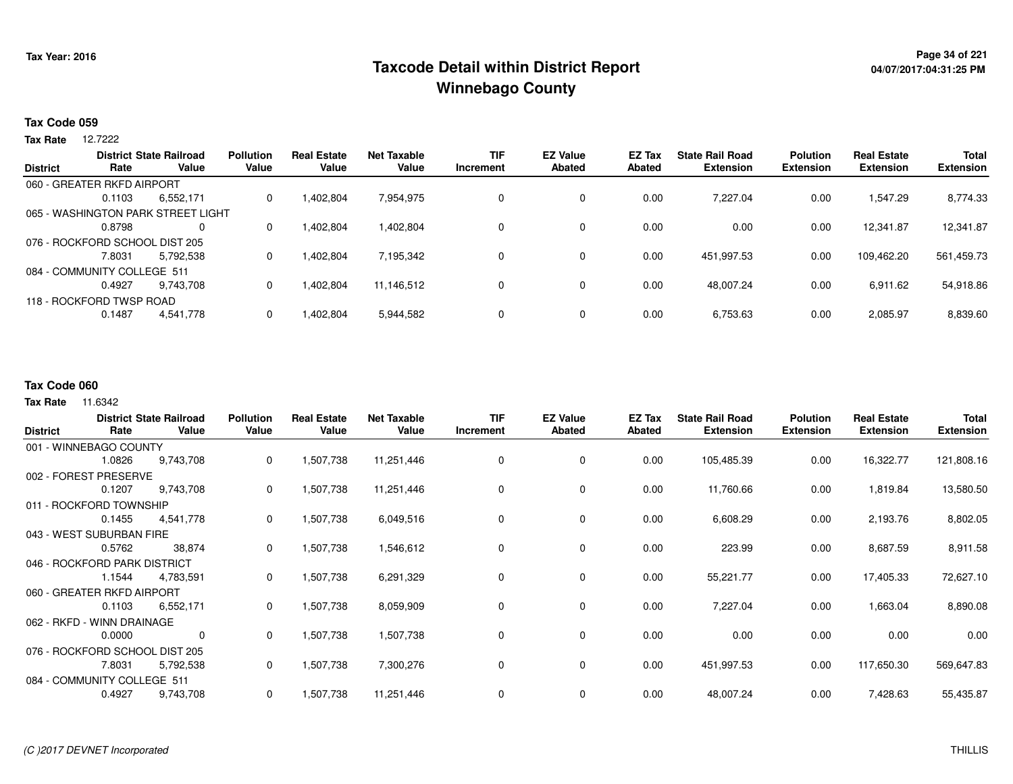## **Page 34 of 221 Taxcode Detail within District ReportWinnebago County**

#### **Tax Code 059**

12.7222 **Tax Rate**

|                                |                          | <b>District State Railroad</b>     | <b>Pollution</b> | <b>Real Estate</b> | <b>Net Taxable</b> | <b>TIF</b> | <b>EZ Value</b> | EZ Tax        | <b>State Rail Road</b> | <b>Polution</b>  | <b>Real Estate</b> | <b>Total</b>     |
|--------------------------------|--------------------------|------------------------------------|------------------|--------------------|--------------------|------------|-----------------|---------------|------------------------|------------------|--------------------|------------------|
| <b>District</b>                | Rate                     | Value                              | Value            | Value              | Value              | Increment  | <b>Abated</b>   | <b>Abated</b> | <b>Extension</b>       | <b>Extension</b> | <b>Extension</b>   | <b>Extension</b> |
| 060 - GREATER RKFD AIRPORT     |                          |                                    |                  |                    |                    |            |                 |               |                        |                  |                    |                  |
|                                | 0.1103                   | 6,552,171                          | 0                | 1.402.804          | 7,954,975          | 0          | 0               | 0.00          | 7.227.04               | 0.00             | .547.29            | 8,774.33         |
|                                |                          | 065 - WASHINGTON PARK STREET LIGHT |                  |                    |                    |            |                 |               |                        |                  |                    |                  |
|                                | 0.8798                   | $\Omega$                           | 0                | 1.402.804          | 1,402,804          | $\Omega$   | 0               | 0.00          | 0.00                   | 0.00             | 12.341.87          | 12,341.87        |
| 076 - ROCKFORD SCHOOL DIST 205 |                          |                                    |                  |                    |                    |            |                 |               |                        |                  |                    |                  |
|                                | 7.8031                   | 5.792.538                          | 0                | 1.402.804          | 7,195,342          | 0          | 0               | 0.00          | 451,997.53             | 0.00             | 109.462.20         | 561,459.73       |
| 084 - COMMUNITY COLLEGE 511    |                          |                                    |                  |                    |                    |            |                 |               |                        |                  |                    |                  |
|                                | 0.4927                   | 9.743.708                          |                  | 1.402.804          | 11.146.512         | $\Omega$   | 0               | 0.00          | 48.007.24              | 0.00             | 6,911.62           | 54,918.86        |
|                                | 118 - ROCKFORD TWSP ROAD |                                    |                  |                    |                    |            |                 |               |                        |                  |                    |                  |
|                                | 0.1487                   | 4,541,778                          |                  | 1,402,804          | 5,944,582          | 0          | 0               | 0.00          | 6,753.63               | 0.00             | 2,085.97           | 8,839.60         |

#### **Tax Code 060**

| <b>District</b>                | Rate   | <b>District State Railroad</b><br>Value | <b>Pollution</b><br>Value | <b>Real Estate</b><br>Value | <b>Net Taxable</b><br>Value | <b>TIF</b><br>Increment | <b>EZ Value</b><br><b>Abated</b> | EZ Tax<br><b>Abated</b> | <b>State Rail Road</b><br><b>Extension</b> | <b>Polution</b><br><b>Extension</b> | <b>Real Estate</b><br><b>Extension</b> | <b>Total</b><br><b>Extension</b> |
|--------------------------------|--------|-----------------------------------------|---------------------------|-----------------------------|-----------------------------|-------------------------|----------------------------------|-------------------------|--------------------------------------------|-------------------------------------|----------------------------------------|----------------------------------|
| 001 - WINNEBAGO COUNTY         |        |                                         |                           |                             |                             |                         |                                  |                         |                                            |                                     |                                        |                                  |
|                                | 1.0826 | 9,743,708                               | 0                         | 1,507,738                   | 11,251,446                  | 0                       | 0                                | 0.00                    | 105,485.39                                 | 0.00                                | 16,322.77                              | 121,808.16                       |
| 002 - FOREST PRESERVE          |        |                                         |                           |                             |                             |                         |                                  |                         |                                            |                                     |                                        |                                  |
|                                | 0.1207 | 9,743,708                               | 0                         | 1,507,738                   | 11,251,446                  | 0                       | 0                                | 0.00                    | 11,760.66                                  | 0.00                                | 1,819.84                               | 13,580.50                        |
| 011 - ROCKFORD TOWNSHIP        |        |                                         |                           |                             |                             |                         |                                  |                         |                                            |                                     |                                        |                                  |
|                                | 0.1455 | 4,541,778                               | 0                         | 1,507,738                   | 6,049,516                   | 0                       | 0                                | 0.00                    | 6,608.29                                   | 0.00                                | 2,193.76                               | 8,802.05                         |
| 043 - WEST SUBURBAN FIRE       |        |                                         |                           |                             |                             |                         |                                  |                         |                                            |                                     |                                        |                                  |
|                                | 0.5762 | 38,874                                  | $\Omega$                  | 1,507,738                   | 1,546,612                   | $\Omega$                | $\mathbf 0$                      | 0.00                    | 223.99                                     | 0.00                                | 8,687.59                               | 8,911.58                         |
| 046 - ROCKFORD PARK DISTRICT   |        |                                         |                           |                             |                             |                         |                                  |                         |                                            |                                     |                                        |                                  |
|                                | 1.1544 | 4,783,591                               | 0                         | 1,507,738                   | 6,291,329                   |                         | 0                                | 0.00                    | 55,221.77                                  | 0.00                                | 17,405.33                              | 72,627.10                        |
| 060 - GREATER RKFD AIRPORT     |        |                                         |                           |                             |                             |                         |                                  |                         |                                            |                                     |                                        |                                  |
|                                | 0.1103 | 6,552,171                               | 0                         | 1,507,738                   | 8,059,909                   | 0                       | 0                                | 0.00                    | 7,227.04                                   | 0.00                                | 1,663.04                               | 8,890.08                         |
| 062 - RKFD - WINN DRAINAGE     |        |                                         |                           |                             |                             |                         |                                  |                         |                                            |                                     |                                        |                                  |
|                                | 0.0000 | 0                                       | 0                         | 1,507,738                   | 1,507,738                   | 0                       | $\mathbf 0$                      | 0.00                    | 0.00                                       | 0.00                                | 0.00                                   | 0.00                             |
| 076 - ROCKFORD SCHOOL DIST 205 |        |                                         |                           |                             |                             |                         |                                  |                         |                                            |                                     |                                        |                                  |
|                                | 7.8031 | 5,792,538                               | 0                         | 1,507,738                   | 7,300,276                   | 0                       | 0                                | 0.00                    | 451,997.53                                 | 0.00                                | 117,650.30                             | 569,647.83                       |
| 084 - COMMUNITY COLLEGE 511    |        |                                         |                           |                             |                             |                         |                                  |                         |                                            |                                     |                                        |                                  |
|                                | 0.4927 | 9,743,708                               | 0                         | 1,507,738                   | 11,251,446                  | 0                       | 0                                | 0.00                    | 48,007.24                                  | 0.00                                | 7,428.63                               | 55,435.87                        |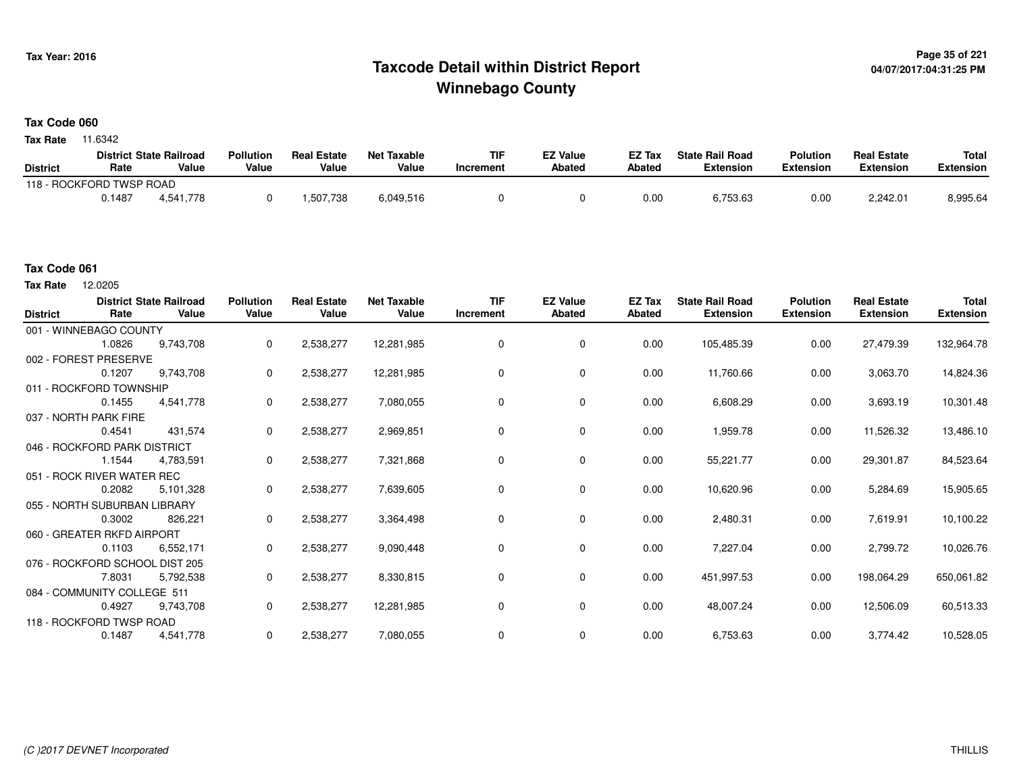## **Page 35 of 221 Taxcode Detail within District ReportWinnebago County**

#### **Tax Code 060**

**Tax Rate** 11.6342

|                 |                          | <b>District State Railroad</b> | <b>Pollution</b> | <b>Real Estate</b> | <b>Net Taxable</b> | TIF       | <b>EZ Value</b> | <b>EZ Tax</b> | <b>State Rail Road</b> | <b>Polution</b>  | <b>Real Estate</b> | <b>Total</b> |
|-----------------|--------------------------|--------------------------------|------------------|--------------------|--------------------|-----------|-----------------|---------------|------------------------|------------------|--------------------|--------------|
| <b>District</b> | Rate                     | Value                          | Value            | Value              | Value              | Increment | Abated          | <b>Abated</b> | <b>Extension</b>       | <b>Extension</b> | <b>Extension</b>   | Extension    |
|                 | 118 - ROCKFORD TWSP ROAD |                                |                  |                    |                    |           |                 |               |                        |                  |                    |              |
|                 | 0.1487                   | 4.541.778                      |                  | .507,738           | 6,049,516          |           |                 | 0.00          | 6,753.63               | 0.00             | 2,242.01           | 8.995.64     |

#### **Tax Code 061**

12.0205 **Tax Rate**

| <b>District</b> | Rate                           | <b>District State Railroad</b><br>Value | <b>Pollution</b><br>Value | <b>Real Estate</b><br>Value | <b>Net Taxable</b><br>Value | <b>TIF</b><br>Increment | <b>EZ Value</b><br>Abated | EZ Tax<br>Abated | <b>State Rail Road</b><br><b>Extension</b> | <b>Polution</b><br><b>Extension</b> | <b>Real Estate</b><br><b>Extension</b> | <b>Total</b><br><b>Extension</b> |
|-----------------|--------------------------------|-----------------------------------------|---------------------------|-----------------------------|-----------------------------|-------------------------|---------------------------|------------------|--------------------------------------------|-------------------------------------|----------------------------------------|----------------------------------|
|                 | 001 - WINNEBAGO COUNTY         |                                         |                           |                             |                             |                         |                           |                  |                                            |                                     |                                        |                                  |
|                 | 1.0826                         | 9,743,708                               | 0                         | 2,538,277                   | 12,281,985                  | 0                       | 0                         | 0.00             | 105,485.39                                 | 0.00                                | 27,479.39                              | 132,964.78                       |
|                 | 002 - FOREST PRESERVE          |                                         |                           |                             |                             |                         |                           |                  |                                            |                                     |                                        |                                  |
|                 | 0.1207                         | 9,743,708                               | 0                         | 2,538,277                   | 12,281,985                  | 0                       | $\mathbf 0$               | 0.00             | 11,760.66                                  | 0.00                                | 3,063.70                               | 14,824.36                        |
|                 | 011 - ROCKFORD TOWNSHIP        |                                         |                           |                             |                             |                         |                           |                  |                                            |                                     |                                        |                                  |
|                 | 0.1455                         | 4,541,778                               | 0                         | 2,538,277                   | 7,080,055                   | 0                       | 0                         | 0.00             | 6,608.29                                   | 0.00                                | 3,693.19                               | 10,301.48                        |
|                 | 037 - NORTH PARK FIRE          |                                         |                           |                             |                             |                         |                           |                  |                                            |                                     |                                        |                                  |
|                 | 0.4541                         | 431,574                                 | 0                         | 2,538,277                   | 2,969,851                   | 0                       | 0                         | 0.00             | 1,959.78                                   | 0.00                                | 11,526.32                              | 13,486.10                        |
|                 | 046 - ROCKFORD PARK DISTRICT   |                                         |                           |                             |                             |                         |                           |                  |                                            |                                     |                                        |                                  |
|                 | 1.1544                         | 4,783,591                               | 0                         | 2,538,277                   | 7,321,868                   | 0                       | 0                         | 0.00             | 55,221.77                                  | 0.00                                | 29,301.87                              | 84,523.64                        |
|                 | 051 - ROCK RIVER WATER REC     |                                         |                           |                             |                             |                         |                           |                  |                                            |                                     |                                        |                                  |
|                 | 0.2082                         | 5,101,328                               | 0                         | 2,538,277                   | 7,639,605                   | 0                       | 0                         | 0.00             | 10,620.96                                  | 0.00                                | 5,284.69                               | 15,905.65                        |
|                 | 055 - NORTH SUBURBAN LIBRARY   |                                         |                           |                             |                             |                         |                           |                  |                                            |                                     |                                        |                                  |
|                 | 0.3002                         | 826,221                                 | 0                         | 2,538,277                   | 3,364,498                   | 0                       | $\mathbf 0$               | 0.00             | 2,480.31                                   | 0.00                                | 7,619.91                               | 10,100.22                        |
|                 | 060 - GREATER RKFD AIRPORT     |                                         |                           |                             |                             |                         |                           |                  |                                            |                                     |                                        |                                  |
|                 | 0.1103                         | 6,552,171                               | 0                         | 2,538,277                   | 9,090,448                   | 0                       | $\mathbf 0$               | 0.00             | 7,227.04                                   | 0.00                                | 2,799.72                               | 10,026.76                        |
|                 | 076 - ROCKFORD SCHOOL DIST 205 |                                         |                           |                             |                             |                         |                           |                  |                                            |                                     |                                        |                                  |
|                 | 7.8031                         | 5,792,538                               | 0                         | 2,538,277                   | 8,330,815                   | 0                       | 0                         | 0.00             | 451,997.53                                 | 0.00                                | 198,064.29                             | 650,061.82                       |
|                 | 084 - COMMUNITY COLLEGE 511    |                                         |                           |                             |                             |                         |                           |                  |                                            |                                     |                                        |                                  |
|                 | 0.4927                         | 9,743,708                               | 0                         | 2,538,277                   | 12,281,985                  | 0                       | $\mathbf 0$               | 0.00             | 48,007.24                                  | 0.00                                | 12,506.09                              | 60,513.33                        |
|                 | 118 - ROCKFORD TWSP ROAD       |                                         |                           |                             |                             |                         |                           |                  |                                            |                                     |                                        |                                  |
|                 | 0.1487                         | 4,541,778                               | 0                         | 2,538,277                   | 7,080,055                   | 0                       | 0                         | 0.00             | 6,753.63                                   | 0.00                                | 3,774.42                               | 10,528.05                        |
|                 |                                |                                         |                           |                             |                             |                         |                           |                  |                                            |                                     |                                        |                                  |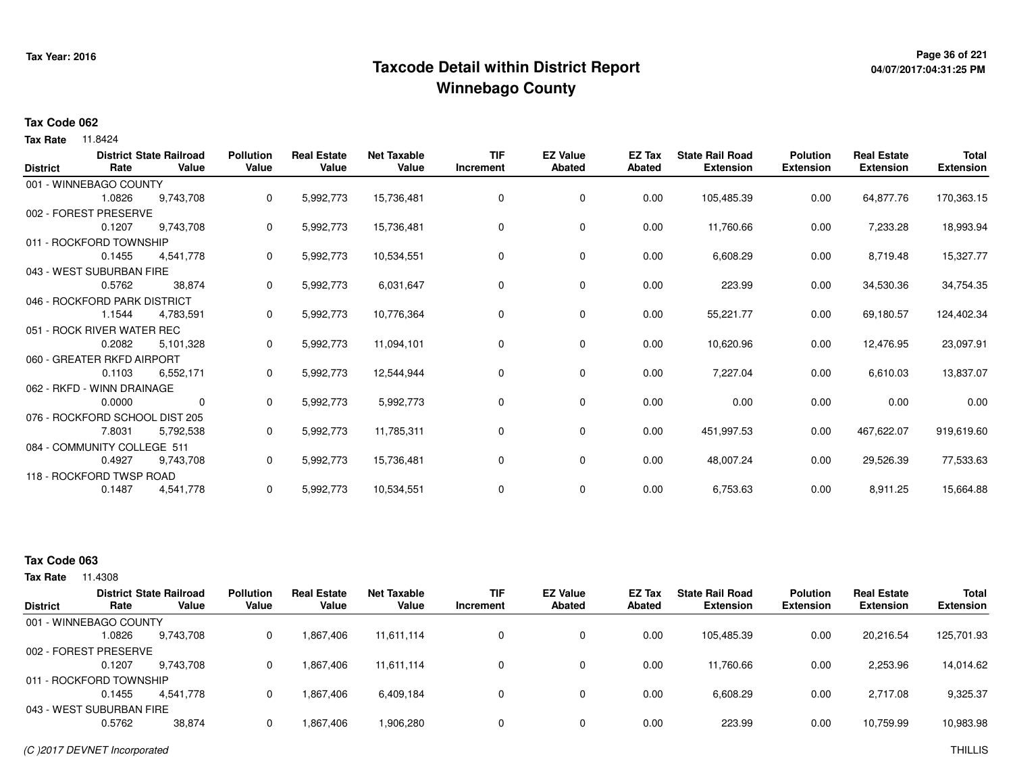## **Page 36 of 221 Taxcode Detail within District ReportWinnebago County**

# **04/07/2017:04:31:25 PM**

#### **Tax Code 062**

**Tax Rate** 11.8424

| <b>District</b> | Rate                           | <b>District State Railroad</b><br>Value | <b>Pollution</b><br>Value | <b>Real Estate</b><br>Value | <b>Net Taxable</b><br>Value | <b>TIF</b><br>Increment | <b>EZ Value</b><br><b>Abated</b> | <b>EZ Tax</b><br><b>Abated</b> | <b>State Rail Road</b><br><b>Extension</b> | <b>Polution</b><br><b>Extension</b> | <b>Real Estate</b><br><b>Extension</b> | <b>Total</b><br><b>Extension</b> |
|-----------------|--------------------------------|-----------------------------------------|---------------------------|-----------------------------|-----------------------------|-------------------------|----------------------------------|--------------------------------|--------------------------------------------|-------------------------------------|----------------------------------------|----------------------------------|
|                 | 001 - WINNEBAGO COUNTY         |                                         |                           |                             |                             |                         |                                  |                                |                                            |                                     |                                        |                                  |
|                 | 1.0826                         | 9,743,708                               | 0                         | 5,992,773                   | 15,736,481                  | 0                       | 0                                | 0.00                           | 105,485.39                                 | 0.00                                | 64,877.76                              | 170,363.15                       |
|                 | 002 - FOREST PRESERVE          |                                         |                           |                             |                             |                         |                                  |                                |                                            |                                     |                                        |                                  |
|                 | 0.1207                         | 9,743,708                               | 0                         | 5,992,773                   | 15,736,481                  | 0                       | 0                                | 0.00                           | 11,760.66                                  | 0.00                                | 7,233.28                               | 18,993.94                        |
|                 | 011 - ROCKFORD TOWNSHIP        |                                         |                           |                             |                             |                         |                                  |                                |                                            |                                     |                                        |                                  |
|                 | 0.1455                         | 4,541,778                               | 0                         | 5,992,773                   | 10,534,551                  | 0                       | 0                                | 0.00                           | 6,608.29                                   | 0.00                                | 8,719.48                               | 15,327.77                        |
|                 | 043 - WEST SUBURBAN FIRE       |                                         |                           |                             |                             |                         |                                  |                                |                                            |                                     |                                        |                                  |
|                 | 0.5762                         | 38.874                                  | 0                         | 5,992,773                   | 6,031,647                   | 0                       | 0                                | 0.00                           | 223.99                                     | 0.00                                | 34,530.36                              | 34,754.35                        |
|                 | 046 - ROCKFORD PARK DISTRICT   |                                         |                           |                             |                             |                         |                                  |                                |                                            |                                     |                                        |                                  |
|                 | 1.1544                         | 4,783,591                               | $\mathbf{0}$              | 5,992,773                   | 10,776,364                  | 0                       | 0                                | 0.00                           | 55,221.77                                  | 0.00                                | 69,180.57                              | 124,402.34                       |
|                 | 051 - ROCK RIVER WATER REC     |                                         |                           |                             |                             |                         |                                  |                                |                                            |                                     |                                        |                                  |
|                 | 0.2082                         | 5,101,328                               | 0                         | 5,992,773                   | 11,094,101                  | 0                       | $\mathbf 0$                      | 0.00                           | 10,620.96                                  | 0.00                                | 12,476.95                              | 23,097.91                        |
|                 | 060 - GREATER RKFD AIRPORT     |                                         |                           |                             |                             |                         |                                  |                                |                                            |                                     |                                        |                                  |
|                 | 0.1103                         | 6,552,171                               | 0                         | 5,992,773                   | 12,544,944                  | 0                       | 0                                | 0.00                           | 7,227.04                                   | 0.00                                | 6,610.03                               | 13,837.07                        |
|                 | 062 - RKFD - WINN DRAINAGE     |                                         |                           |                             |                             |                         |                                  |                                |                                            |                                     |                                        |                                  |
|                 | 0.0000                         | 0                                       | 0                         | 5,992,773                   | 5,992,773                   | 0                       | 0                                | 0.00                           | 0.00                                       | 0.00                                | 0.00                                   | 0.00                             |
|                 | 076 - ROCKFORD SCHOOL DIST 205 |                                         |                           |                             |                             |                         |                                  |                                |                                            |                                     |                                        |                                  |
|                 | 7.8031                         | 5,792,538                               | 0                         | 5,992,773                   | 11,785,311                  | 0                       | 0                                | 0.00                           | 451,997.53                                 | 0.00                                | 467,622.07                             | 919,619.60                       |
|                 | 084 - COMMUNITY COLLEGE 511    |                                         |                           |                             |                             |                         |                                  |                                |                                            |                                     |                                        |                                  |
|                 | 0.4927                         | 9,743,708                               | 0                         | 5,992,773                   | 15,736,481                  | 0                       | 0                                | 0.00                           | 48,007.24                                  | 0.00                                | 29,526.39                              | 77,533.63                        |
|                 | 118 - ROCKFORD TWSP ROAD       |                                         |                           |                             |                             |                         |                                  |                                |                                            |                                     |                                        |                                  |
|                 | 0.1487                         | 4,541,778                               | 0                         | 5,992,773                   | 10,534,551                  | 0                       | 0                                | 0.00                           | 6,753.63                                   | 0.00                                | 8,911.25                               | 15,664.88                        |
|                 |                                |                                         |                           |                             |                             |                         |                                  |                                |                                            |                                     |                                        |                                  |

### **Tax Code 063**

|                 |                          | <b>District State Railroad</b> | <b>Pollution</b> | <b>Real Estate</b> | Net Taxable | <b>TIF</b> | <b>EZ Value</b> | <b>EZ Tax</b> | <b>State Rail Road</b> | <b>Polution</b>  | <b>Real Estate</b> | <b>Total</b>     |
|-----------------|--------------------------|--------------------------------|------------------|--------------------|-------------|------------|-----------------|---------------|------------------------|------------------|--------------------|------------------|
| <b>District</b> | Rate                     | Value                          | Value            | Value              | Value       | Increment  | <b>Abated</b>   | Abated        | <b>Extension</b>       | <b>Extension</b> | <b>Extension</b>   | <b>Extension</b> |
|                 | 001 - WINNEBAGO COUNTY   |                                |                  |                    |             |            |                 |               |                        |                  |                    |                  |
|                 | 1.0826                   | 9.743.708                      | 0                | 1,867,406          | 11,611,114  | 0          |                 | 0.00          | 105,485.39             | 0.00             | 20,216.54          | 125,701.93       |
|                 | 002 - FOREST PRESERVE    |                                |                  |                    |             |            |                 |               |                        |                  |                    |                  |
|                 | 0.1207                   | 9.743.708                      | 0                | 1,867,406          | 11,611,114  |            |                 | 0.00          | 11.760.66              | 0.00             | 2,253.96           | 14,014.62        |
|                 | 011 - ROCKFORD TOWNSHIP  |                                |                  |                    |             |            |                 |               |                        |                  |                    |                  |
|                 | 0.1455                   | 4.541.778                      | $\Omega$         | 1,867,406          | 6,409,184   |            |                 | 0.00          | 6,608.29               | 0.00             | 2,717.08           | 9,325.37         |
|                 | 043 - WEST SUBURBAN FIRE |                                |                  |                    |             |            |                 |               |                        |                  |                    |                  |
|                 | 0.5762                   | 38,874                         | 0                | 1,867,406          | 906,280.    |            |                 | 0.00          | 223.99                 | 0.00             | 10,759.99          | 10,983.98        |
|                 |                          |                                |                  |                    |             |            |                 |               |                        |                  |                    |                  |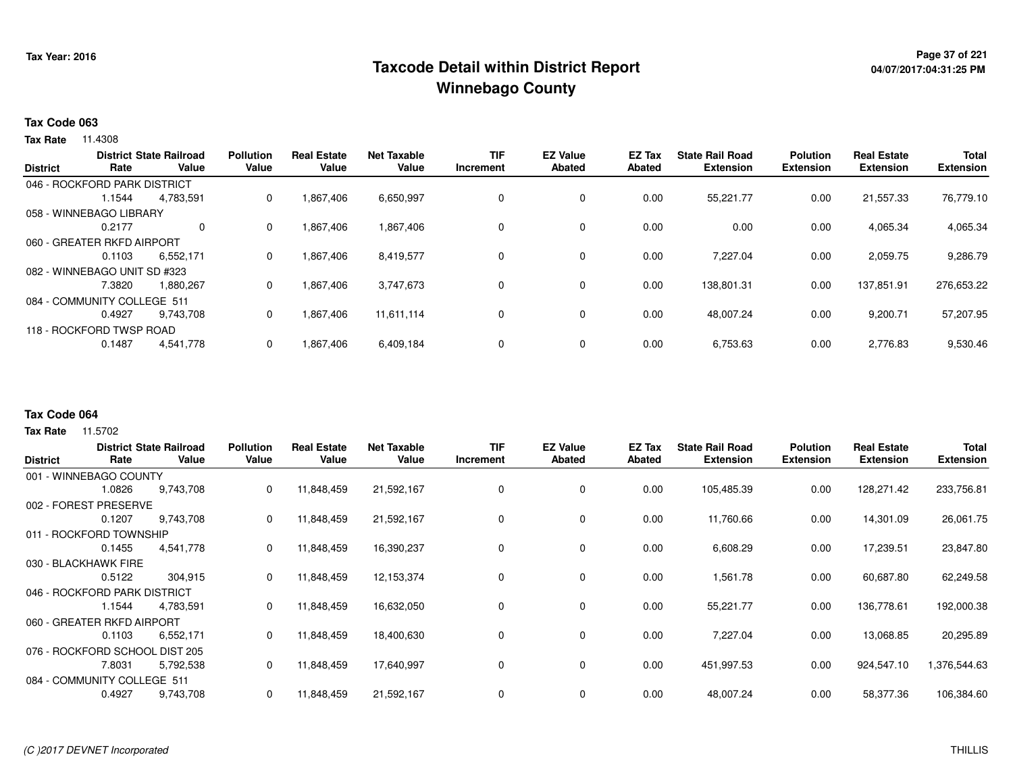## <sup>Page 37</sup> of <sup>221</sup> Page 37 of 221<br>Taxcode Detail within District Report های این موجع به موجع این موجع این موجع این موجع این موجع این موجع این موج **Winnebago County**

#### **Tax Code 063**

**Tax Rate** 11.4308

| <b>District</b> | Rate                         | <b>District State Railroad</b><br>Value | <b>Pollution</b><br>Value | <b>Real Estate</b><br>Value | <b>Net Taxable</b><br>Value | <b>TIF</b><br>Increment | <b>EZ Value</b><br>Abated | <b>EZ Tax</b><br>Abated | <b>State Rail Road</b><br><b>Extension</b> | <b>Polution</b><br><b>Extension</b> | <b>Real Estate</b><br><b>Extension</b> | <b>Total</b><br><b>Extension</b> |
|-----------------|------------------------------|-----------------------------------------|---------------------------|-----------------------------|-----------------------------|-------------------------|---------------------------|-------------------------|--------------------------------------------|-------------------------------------|----------------------------------------|----------------------------------|
|                 | 046 - ROCKFORD PARK DISTRICT |                                         |                           |                             |                             |                         |                           |                         |                                            |                                     |                                        |                                  |
|                 | 1.1544                       | 4,783,591                               | 0                         | 1,867,406                   | 6,650,997                   | 0                       | 0                         | 0.00                    | 55,221.77                                  | 0.00                                | 21,557.33                              | 76,779.10                        |
|                 | 058 - WINNEBAGO LIBRARY      |                                         |                           |                             |                             |                         |                           |                         |                                            |                                     |                                        |                                  |
|                 | 0.2177                       | $\Omega$                                | $\Omega$                  | 1,867,406                   | 1,867,406                   | 0                       | 0                         | 0.00                    | 0.00                                       | 0.00                                | 4,065.34                               | 4,065.34                         |
|                 | 060 - GREATER RKFD AIRPORT   |                                         |                           |                             |                             |                         |                           |                         |                                            |                                     |                                        |                                  |
|                 | 0.1103                       | 6.552.171                               | 0                         | 1.867.406                   | 8,419,577                   | 0                       | 0                         | 0.00                    | 7.227.04                                   | 0.00                                | 2,059.75                               | 9,286.79                         |
|                 | 082 - WINNEBAGO UNIT SD #323 |                                         |                           |                             |                             |                         |                           |                         |                                            |                                     |                                        |                                  |
|                 | 7.3820                       | 1.880.267                               | 0                         | 1.867.406                   | 3.747.673                   | 0                       | 0                         | 0.00                    | 138,801.31                                 | 0.00                                | 137.851.91                             | 276,653.22                       |
|                 | 084 - COMMUNITY COLLEGE 511  |                                         |                           |                             |                             |                         |                           |                         |                                            |                                     |                                        |                                  |
|                 | 0.4927                       | 9.743.708                               | 0                         | 1,867,406                   | 11,611,114                  | 0                       | 0                         | 0.00                    | 48,007.24                                  | 0.00                                | 9,200.71                               | 57,207.95                        |
|                 | 118 - ROCKFORD TWSP ROAD     |                                         |                           |                             |                             |                         |                           |                         |                                            |                                     |                                        |                                  |
|                 | 0.1487                       | 4,541,778                               | 0                         | 1,867,406                   | 6,409,184                   | 0                       | 0                         | 0.00                    | 6,753.63                                   | 0.00                                | 2,776.83                               | 9,530.46                         |
|                 |                              |                                         |                           |                             |                             |                         |                           |                         |                                            |                                     |                                        |                                  |

#### **Tax Code 064**

| <b>District</b> | Rate                           | <b>District State Railroad</b><br>Value | <b>Pollution</b><br>Value | <b>Real Estate</b><br>Value | <b>Net Taxable</b><br>Value | <b>TIF</b><br>Increment | <b>EZ Value</b><br><b>Abated</b> | <b>EZ Tax</b><br>Abated | <b>State Rail Road</b><br><b>Extension</b> | <b>Polution</b><br><b>Extension</b> | <b>Real Estate</b><br><b>Extension</b> | <b>Total</b><br><b>Extension</b> |
|-----------------|--------------------------------|-----------------------------------------|---------------------------|-----------------------------|-----------------------------|-------------------------|----------------------------------|-------------------------|--------------------------------------------|-------------------------------------|----------------------------------------|----------------------------------|
|                 | 001 - WINNEBAGO COUNTY         |                                         |                           |                             |                             |                         |                                  |                         |                                            |                                     |                                        |                                  |
|                 | 1.0826                         | 9,743,708                               | 0                         | 11,848,459                  | 21,592,167                  | 0                       | 0                                | 0.00                    | 105,485.39                                 | 0.00                                | 128,271.42                             | 233,756.81                       |
|                 | 002 - FOREST PRESERVE          |                                         |                           |                             |                             |                         |                                  |                         |                                            |                                     |                                        |                                  |
|                 | 0.1207                         | 9,743,708                               | 0                         | 11,848,459                  | 21,592,167                  | 0                       | 0                                | 0.00                    | 11,760.66                                  | 0.00                                | 14,301.09                              | 26,061.75                        |
|                 | 011 - ROCKFORD TOWNSHIP        |                                         |                           |                             |                             |                         |                                  |                         |                                            |                                     |                                        |                                  |
|                 | 0.1455                         | 4,541,778                               | 0                         | 11,848,459                  | 16,390,237                  | 0                       | 0                                | 0.00                    | 6,608.29                                   | 0.00                                | 17,239.51                              | 23,847.80                        |
|                 | 030 - BLACKHAWK FIRE           |                                         |                           |                             |                             |                         |                                  |                         |                                            |                                     |                                        |                                  |
|                 | 0.5122                         | 304,915                                 | 0                         | 11,848,459                  | 12, 153, 374                | $\mathbf 0$             | 0                                | 0.00                    | 1,561.78                                   | 0.00                                | 60,687.80                              | 62,249.58                        |
|                 | 046 - ROCKFORD PARK DISTRICT   |                                         |                           |                             |                             |                         |                                  |                         |                                            |                                     |                                        |                                  |
|                 | 1.1544                         | 4,783,591                               | 0                         | 11,848,459                  | 16,632,050                  | 0                       | 0                                | 0.00                    | 55,221.77                                  | 0.00                                | 136,778.61                             | 192,000.38                       |
|                 | 060 - GREATER RKFD AIRPORT     |                                         |                           |                             |                             |                         |                                  |                         |                                            |                                     |                                        |                                  |
|                 | 0.1103                         | 6,552,171                               | 0                         | 11,848,459                  | 18,400,630                  | 0                       | 0                                | 0.00                    | 7,227.04                                   | 0.00                                | 13,068.85                              | 20,295.89                        |
|                 | 076 - ROCKFORD SCHOOL DIST 205 |                                         |                           |                             |                             |                         |                                  |                         |                                            |                                     |                                        |                                  |
|                 | 7.8031                         | 5,792,538                               | 0                         | 11,848,459                  | 17,640,997                  | 0                       | 0                                | 0.00                    | 451,997.53                                 | 0.00                                | 924,547.10                             | 1,376,544.63                     |
|                 | 084 - COMMUNITY COLLEGE 511    |                                         |                           |                             |                             |                         |                                  |                         |                                            |                                     |                                        |                                  |
|                 | 0.4927                         | 9,743,708                               | 0                         | 11,848,459                  | 21,592,167                  | 0                       | 0                                | 0.00                    | 48,007.24                                  | 0.00                                | 58,377.36                              | 106,384.60                       |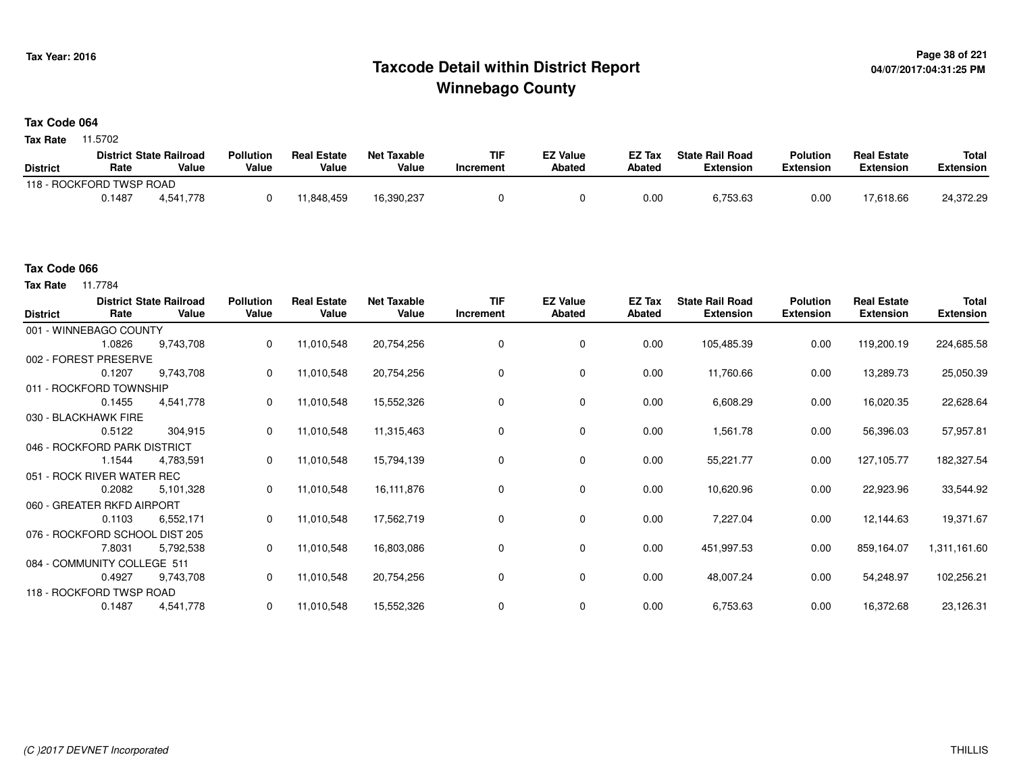## **Page 38 of 221 Taxcode Detail within District ReportWinnebago County**

#### **Tax Code 064**

**Tax Rate** 11.5702

|                          |        | <b>District State Railroad</b> | <b>Pollution</b> | <b>Real Estate</b> | <b>Net Taxable</b> | TIF       | <b>EZ Value</b> | <b>EZ Tax</b> | <b>State Rail Road</b> | <b>Polution</b>  | <b>Real Estate</b> | <b>Total</b> |
|--------------------------|--------|--------------------------------|------------------|--------------------|--------------------|-----------|-----------------|---------------|------------------------|------------------|--------------------|--------------|
| <b>District</b>          | Rate   | Value                          | Value            | Value              | Value              | Increment | <b>Abated</b>   | <b>Abated</b> | <b>Extension</b>       | <b>Extension</b> | <b>Extension</b>   | Extension    |
| 118 - ROCKFORD TWSP ROAD |        |                                |                  |                    |                    |           |                 |               |                        |                  |                    |              |
|                          | 0.1487 | 4.541.778                      |                  | 1,848,459          | 16,390,237         |           |                 | 0.00          | 6,753.63               | 0.00             | 17,618.66          | 24,372.29    |

### **Tax Code 066**

| <b>District</b> | Rate                           | <b>District State Railroad</b><br>Value | <b>Pollution</b><br>Value | <b>Real Estate</b><br>Value | <b>Net Taxable</b><br>Value | <b>TIF</b><br>Increment | <b>EZ Value</b><br>Abated | EZ Tax<br>Abated | <b>State Rail Road</b><br><b>Extension</b> | <b>Polution</b><br><b>Extension</b> | <b>Real Estate</b><br><b>Extension</b> | Total<br><b>Extension</b> |
|-----------------|--------------------------------|-----------------------------------------|---------------------------|-----------------------------|-----------------------------|-------------------------|---------------------------|------------------|--------------------------------------------|-------------------------------------|----------------------------------------|---------------------------|
|                 | 001 - WINNEBAGO COUNTY         |                                         |                           |                             |                             |                         |                           |                  |                                            |                                     |                                        |                           |
|                 | 1.0826                         | 9,743,708                               | 0                         | 11,010,548                  | 20,754,256                  | $\mathbf 0$             | 0                         | 0.00             | 105,485.39                                 | 0.00                                | 119,200.19                             | 224,685.58                |
|                 | 002 - FOREST PRESERVE          |                                         |                           |                             |                             |                         |                           |                  |                                            |                                     |                                        |                           |
|                 | 0.1207                         | 9,743,708                               | 0                         | 11,010,548                  | 20,754,256                  |                         | 0                         | 0.00             | 11,760.66                                  | 0.00                                | 13,289.73                              | 25,050.39                 |
|                 | 011 - ROCKFORD TOWNSHIP        |                                         |                           |                             |                             |                         |                           |                  |                                            |                                     |                                        |                           |
|                 | 0.1455                         | 4,541,778                               | 0                         | 11,010,548                  | 15,552,326                  | 0                       | 0                         | 0.00             | 6,608.29                                   | 0.00                                | 16,020.35                              | 22,628.64                 |
|                 | 030 - BLACKHAWK FIRE           |                                         |                           |                             |                             |                         |                           |                  |                                            |                                     |                                        |                           |
|                 | 0.5122                         | 304,915                                 | $\mathbf{0}$              | 11,010,548                  | 11,315,463                  | 0                       | 0                         | 0.00             | 1,561.78                                   | 0.00                                | 56,396.03                              | 57,957.81                 |
|                 | 046 - ROCKFORD PARK DISTRICT   |                                         |                           |                             |                             |                         |                           |                  |                                            |                                     |                                        |                           |
|                 | 1.1544                         | 4,783,591                               | 0                         | 11,010,548                  | 15,794,139                  | 0                       | 0                         | 0.00             | 55,221.77                                  | 0.00                                | 127,105.77                             | 182,327.54                |
|                 | 051 - ROCK RIVER WATER REC     |                                         |                           |                             |                             |                         |                           |                  |                                            |                                     |                                        |                           |
|                 | 0.2082                         | 5,101,328                               | $\Omega$                  | 11,010,548                  | 16,111,876                  |                         | 0                         | 0.00             | 10,620.96                                  | 0.00                                | 22,923.96                              | 33,544.92                 |
|                 | 060 - GREATER RKFD AIRPORT     |                                         |                           |                             |                             |                         |                           |                  |                                            |                                     |                                        |                           |
|                 | 0.1103                         | 6,552,171                               | 0                         | 11,010,548                  | 17,562,719                  | 0                       | 0                         | 0.00             | 7,227.04                                   | 0.00                                | 12,144.63                              | 19,371.67                 |
|                 | 076 - ROCKFORD SCHOOL DIST 205 |                                         |                           |                             |                             |                         |                           |                  |                                            |                                     |                                        |                           |
|                 | 7.8031                         | 5,792,538                               |                           | 11,010,548                  | 16,803,086                  | 0                       | 0                         | 0.00             | 451,997.53                                 | 0.00                                | 859,164.07                             | 1,311,161.60              |
|                 | 084 - COMMUNITY COLLEGE 511    |                                         |                           |                             |                             |                         |                           |                  |                                            |                                     |                                        |                           |
|                 | 0.4927                         | 9,743,708                               | $\mathbf{0}$              | 11,010,548                  | 20,754,256                  | 0                       | 0                         | 0.00             | 48,007.24                                  | 0.00                                | 54,248.97                              | 102,256.21                |
|                 | 118 - ROCKFORD TWSP ROAD       |                                         |                           |                             |                             |                         |                           |                  |                                            |                                     |                                        |                           |
|                 | 0.1487                         | 4,541,778                               | $\mathbf 0$               | 11,010,548                  | 15,552,326                  |                         | 0                         | 0.00             | 6,753.63                                   | 0.00                                | 16,372.68                              | 23,126.31                 |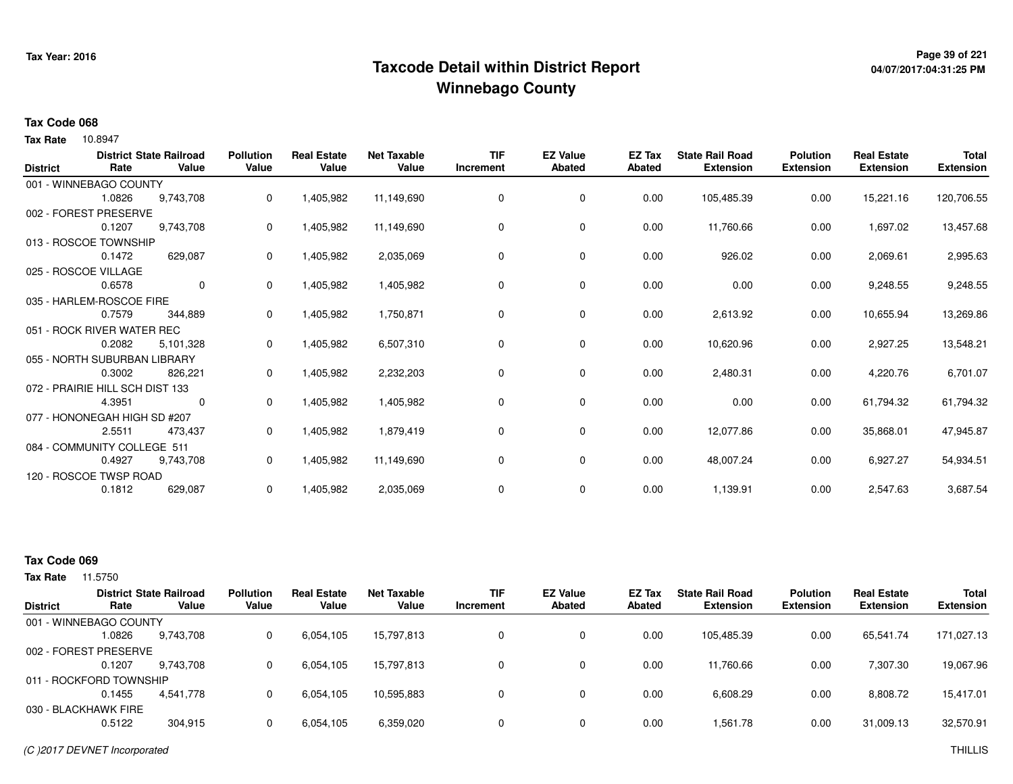## **Page 39 of 221 Taxcode Detail within District ReportWinnebago County**

## **04/07/2017:04:31:25 PM**

#### **Tax Code 068**

10.8947 **Tax Rate**

| <b>District</b> | Rate                            | <b>District State Railroad</b><br>Value | <b>Pollution</b><br>Value | <b>Real Estate</b><br>Value | <b>Net Taxable</b><br>Value | <b>TIF</b><br>Increment | <b>EZ Value</b><br><b>Abated</b> | EZ Tax<br><b>Abated</b> | <b>State Rail Road</b><br><b>Extension</b> | <b>Polution</b><br><b>Extension</b> | <b>Real Estate</b><br><b>Extension</b> | <b>Total</b><br><b>Extension</b> |
|-----------------|---------------------------------|-----------------------------------------|---------------------------|-----------------------------|-----------------------------|-------------------------|----------------------------------|-------------------------|--------------------------------------------|-------------------------------------|----------------------------------------|----------------------------------|
|                 | 001 - WINNEBAGO COUNTY          |                                         |                           |                             |                             |                         |                                  |                         |                                            |                                     |                                        |                                  |
|                 | 1.0826                          | 9,743,708                               | 0                         | 1,405,982                   | 11,149,690                  | 0                       | 0                                | 0.00                    | 105,485.39                                 | 0.00                                | 15,221.16                              | 120,706.55                       |
|                 | 002 - FOREST PRESERVE           |                                         |                           |                             |                             |                         |                                  |                         |                                            |                                     |                                        |                                  |
|                 | 0.1207                          | 9,743,708                               | 0                         | 1,405,982                   | 11,149,690                  | 0                       | 0                                | 0.00                    | 11,760.66                                  | 0.00                                | 1,697.02                               | 13,457.68                        |
|                 | 013 - ROSCOE TOWNSHIP           |                                         |                           |                             |                             |                         |                                  |                         |                                            |                                     |                                        |                                  |
|                 | 0.1472                          | 629,087                                 | 0                         | 1,405,982                   | 2,035,069                   | $\Omega$                | 0                                | 0.00                    | 926.02                                     | 0.00                                | 2,069.61                               | 2,995.63                         |
|                 | 025 - ROSCOE VILLAGE            |                                         |                           |                             |                             |                         |                                  |                         |                                            |                                     |                                        |                                  |
|                 | 0.6578                          | $\mathbf 0$                             | 0                         | 1,405,982                   | 1,405,982                   | 0                       | 0                                | 0.00                    | 0.00                                       | 0.00                                | 9,248.55                               | 9,248.55                         |
|                 | 035 - HARLEM-ROSCOE FIRE        |                                         |                           |                             |                             |                         |                                  |                         |                                            |                                     |                                        |                                  |
|                 | 0.7579                          | 344,889                                 | 0                         | 1,405,982                   | 1,750,871                   | 0                       | 0                                | 0.00                    | 2,613.92                                   | 0.00                                | 10,655.94                              | 13,269.86                        |
|                 | 051 - ROCK RIVER WATER REC      |                                         |                           |                             |                             |                         |                                  |                         |                                            |                                     |                                        |                                  |
|                 | 0.2082                          | 5,101,328                               | 0                         | 1,405,982                   | 6,507,310                   | 0                       | 0                                | 0.00                    | 10,620.96                                  | 0.00                                | 2,927.25                               | 13,548.21                        |
|                 | 055 - NORTH SUBURBAN LIBRARY    |                                         |                           |                             |                             |                         |                                  |                         |                                            |                                     |                                        |                                  |
|                 | 0.3002                          | 826,221                                 | 0                         | 1,405,982                   | 2,232,203                   | 0                       | 0                                | 0.00                    | 2,480.31                                   | 0.00                                | 4,220.76                               | 6,701.07                         |
|                 | 072 - PRAIRIE HILL SCH DIST 133 |                                         |                           |                             |                             |                         |                                  |                         |                                            |                                     |                                        |                                  |
|                 | 4.3951                          | 0                                       | 0                         | 1,405,982                   | 1,405,982                   | 0                       | 0                                | 0.00                    | 0.00                                       | 0.00                                | 61,794.32                              | 61,794.32                        |
|                 | 077 - HONONEGAH HIGH SD #207    |                                         |                           |                             |                             |                         |                                  |                         |                                            |                                     |                                        |                                  |
|                 | 2.5511                          | 473,437                                 | 0                         | 1,405,982                   | 1,879,419                   | 0                       | $\mathbf 0$                      | 0.00                    | 12,077.86                                  | 0.00                                | 35,868.01                              | 47,945.87                        |
|                 | 084 - COMMUNITY COLLEGE 511     |                                         |                           |                             |                             |                         |                                  |                         |                                            |                                     |                                        |                                  |
|                 | 0.4927                          | 9,743,708                               | 0                         | 1,405,982                   | 11,149,690                  | 0                       | $\mathbf 0$                      | 0.00                    | 48,007.24                                  | 0.00                                | 6,927.27                               | 54,934.51                        |
|                 | 120 - ROSCOE TWSP ROAD          |                                         |                           |                             |                             |                         |                                  |                         |                                            |                                     |                                        |                                  |
|                 | 0.1812                          | 629,087                                 | 0                         | 1,405,982                   | 2,035,069                   | 0                       | 0                                | 0.00                    | 1,139.91                                   | 0.00                                | 2,547.63                               | 3,687.54                         |
|                 |                                 |                                         |                           |                             |                             |                         |                                  |                         |                                            |                                     |                                        |                                  |

### **Tax Code 069**

|                 |                         | <b>District State Railroad</b> | <b>Pollution</b> | <b>Real Estate</b> | <b>Net Taxable</b> | <b>TIF</b>   | <b>EZ Value</b> | <b>EZ Tax</b> | <b>State Rail Road</b> | <b>Polution</b>  | <b>Real Estate</b> | <b>Total</b>     |
|-----------------|-------------------------|--------------------------------|------------------|--------------------|--------------------|--------------|-----------------|---------------|------------------------|------------------|--------------------|------------------|
| <b>District</b> | Rate                    | Value                          | Value            | Value              | Value              | Increment    | <b>Abated</b>   | Abated        | <b>Extension</b>       | <b>Extension</b> | <b>Extension</b>   | <b>Extension</b> |
|                 | 001 - WINNEBAGO COUNTY  |                                |                  |                    |                    |              |                 |               |                        |                  |                    |                  |
|                 | .0826                   | 9,743,708                      |                  | 6,054,105          | 15,797,813         | 0            | 0               | 0.00          | 105,485.39             | 0.00             | 65,541.74          | 171,027.13       |
|                 | 002 - FOREST PRESERVE   |                                |                  |                    |                    |              |                 |               |                        |                  |                    |                  |
|                 | 0.1207                  | 9.743.708                      |                  | 6,054,105          | 15,797,813         | 0            | 0               | 0.00          | 11,760.66              | 0.00             | 7,307.30           | 19,067.96        |
|                 | 011 - ROCKFORD TOWNSHIP |                                |                  |                    |                    |              |                 |               |                        |                  |                    |                  |
|                 | 0.1455                  | 4.541.778                      |                  | 6,054,105          | 10,595,883         | $\mathbf{0}$ | 0               | 0.00          | 6,608.29               | 0.00             | 8,808.72           | 15,417.01        |
|                 | 030 - BLACKHAWK FIRE    |                                |                  |                    |                    |              |                 |               |                        |                  |                    |                  |
|                 | 0.5122                  | 304,915                        |                  | 6,054,105          | 6,359,020          | 0            | 0               | 0.00          | 1,561.78               | 0.00             | 31,009.13          | 32,570.91        |
|                 |                         |                                |                  |                    |                    |              |                 |               |                        |                  |                    |                  |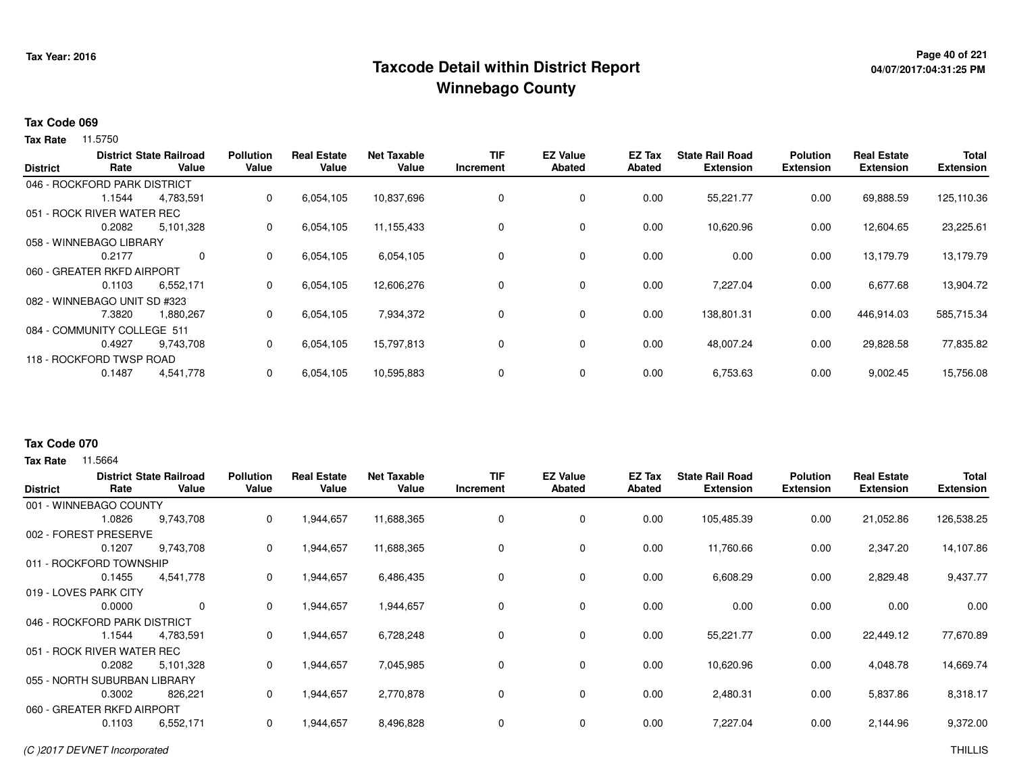## **Page 40 of 221 Taxcode Detail within District ReportWinnebago County**

# **04/07/2017:04:31:25 PM**

#### **Tax Code 069**

Tax Rate 11.5750

| <b>District</b> | Rate                         | <b>District State Railroad</b><br>Value | <b>Pollution</b><br>Value | <b>Real Estate</b><br>Value | <b>Net Taxable</b><br>Value | TIF<br>Increment | <b>EZ Value</b><br><b>Abated</b> | EZ Tax<br><b>Abated</b> | <b>State Rail Road</b><br><b>Extension</b> | <b>Polution</b><br><b>Extension</b> | <b>Real Estate</b><br><b>Extension</b> | <b>Total</b><br><b>Extension</b> |
|-----------------|------------------------------|-----------------------------------------|---------------------------|-----------------------------|-----------------------------|------------------|----------------------------------|-------------------------|--------------------------------------------|-------------------------------------|----------------------------------------|----------------------------------|
|                 | 046 - ROCKFORD PARK DISTRICT |                                         |                           |                             |                             |                  |                                  |                         |                                            |                                     |                                        |                                  |
|                 | 1.1544                       | 4,783,591                               | 0                         | 6,054,105                   | 10,837,696                  | $\Omega$         | $\mathbf 0$                      | 0.00                    | 55,221.77                                  | 0.00                                | 69,888.59                              | 125,110.36                       |
|                 | 051 - ROCK RIVER WATER REC   |                                         |                           |                             |                             |                  |                                  |                         |                                            |                                     |                                        |                                  |
|                 | 0.2082                       | 5,101,328                               | 0                         | 6,054,105                   | 11,155,433                  |                  | $\mathbf 0$                      | 0.00                    | 10,620.96                                  | 0.00                                | 12,604.65                              | 23,225.61                        |
|                 | 058 - WINNEBAGO LIBRARY      |                                         |                           |                             |                             |                  |                                  |                         |                                            |                                     |                                        |                                  |
|                 | 0.2177                       | $\mathbf 0$                             | 0                         | 6,054,105                   | 6,054,105                   |                  | 0                                | 0.00                    | 0.00                                       | 0.00                                | 13,179.79                              | 13,179.79                        |
|                 | 060 - GREATER RKFD AIRPORT   |                                         |                           |                             |                             |                  |                                  |                         |                                            |                                     |                                        |                                  |
|                 | 0.1103                       | 6,552,171                               | 0                         | 6,054,105                   | 12,606,276                  |                  | 0                                | 0.00                    | 7,227.04                                   | 0.00                                | 6,677.68                               | 13,904.72                        |
|                 | 082 - WINNEBAGO UNIT SD #323 |                                         |                           |                             |                             |                  |                                  |                         |                                            |                                     |                                        |                                  |
|                 | 7.3820                       | 1,880,267                               | 0                         | 6,054,105                   | 7,934,372                   |                  | 0                                | 0.00                    | 138,801.31                                 | 0.00                                | 446,914.03                             | 585,715.34                       |
|                 | 084 - COMMUNITY COLLEGE 511  |                                         |                           |                             |                             |                  |                                  |                         |                                            |                                     |                                        |                                  |
|                 | 0.4927                       | 9,743,708                               | 0                         | 6,054,105                   | 15,797,813                  |                  | $\mathbf 0$                      | 0.00                    | 48,007.24                                  | 0.00                                | 29,828.58                              | 77,835.82                        |
|                 | 118 - ROCKFORD TWSP ROAD     |                                         |                           |                             |                             |                  |                                  |                         |                                            |                                     |                                        |                                  |
|                 | 0.1487                       | 4,541,778                               | 0                         | 6,054,105                   | 10,595,883                  |                  | $\mathbf 0$                      | 0.00                    | 6,753.63                                   | 0.00                                | 9,002.45                               | 15,756.08                        |
|                 |                              |                                         |                           |                             |                             |                  |                                  |                         |                                            |                                     |                                        |                                  |

### **Tax Code 070**

| <b>District</b>       | Rate                         | <b>District State Railroad</b><br>Value | <b>Pollution</b><br>Value | <b>Real Estate</b><br>Value | <b>Net Taxable</b><br>Value | <b>TIF</b><br>Increment | <b>EZ Value</b><br><b>Abated</b> | <b>EZ Tax</b><br>Abated | <b>State Rail Road</b><br><b>Extension</b> | <b>Polution</b><br><b>Extension</b> | <b>Real Estate</b><br><b>Extension</b> | <b>Total</b><br><b>Extension</b> |
|-----------------------|------------------------------|-----------------------------------------|---------------------------|-----------------------------|-----------------------------|-------------------------|----------------------------------|-------------------------|--------------------------------------------|-------------------------------------|----------------------------------------|----------------------------------|
|                       | 001 - WINNEBAGO COUNTY       |                                         |                           |                             |                             |                         |                                  |                         |                                            |                                     |                                        |                                  |
|                       | 1.0826                       | 9,743,708                               | 0                         | 1,944,657                   | 11,688,365                  | 0                       | 0                                | 0.00                    | 105,485.39                                 | 0.00                                | 21,052.86                              | 126,538.25                       |
| 002 - FOREST          | <b>PRESERVE</b>              |                                         |                           |                             |                             |                         |                                  |                         |                                            |                                     |                                        |                                  |
|                       | 0.1207                       | 9,743,708                               | 0                         | 1,944,657                   | 11,688,365                  | 0                       | 0                                | 0.00                    | 11,760.66                                  | 0.00                                | 2,347.20                               | 14,107.86                        |
|                       | 011 - ROCKFORD TOWNSHIP      |                                         |                           |                             |                             |                         |                                  |                         |                                            |                                     |                                        |                                  |
|                       | 0.1455                       | 4,541,778                               | 0                         | 1,944,657                   | 6,486,435                   | 0                       | $\mathbf 0$                      | 0.00                    | 6,608.29                                   | 0.00                                | 2,829.48                               | 9,437.77                         |
| 019 - LOVES PARK CITY |                              |                                         |                           |                             |                             |                         |                                  |                         |                                            |                                     |                                        |                                  |
|                       | 0.0000                       | 0                                       | 0                         | 1,944,657                   | 1,944,657                   | 0                       | $\mathbf 0$                      | 0.00                    | 0.00                                       | 0.00                                | 0.00                                   | 0.00                             |
|                       | 046 - ROCKFORD PARK DISTRICT |                                         |                           |                             |                             |                         |                                  |                         |                                            |                                     |                                        |                                  |
|                       | 1.1544                       | 4,783,591                               | 0                         | 1,944,657                   | 6,728,248                   | 0                       | $\mathbf 0$                      | 0.00                    | 55,221.77                                  | 0.00                                | 22,449.12                              | 77,670.89                        |
|                       | 051 - ROCK RIVER WATER REC   |                                         |                           |                             |                             |                         |                                  |                         |                                            |                                     |                                        |                                  |
|                       | 0.2082                       | 5,101,328                               | 0                         | 1,944,657                   | 7,045,985                   | 0                       | $\mathbf 0$                      | 0.00                    | 10,620.96                                  | 0.00                                | 4,048.78                               | 14,669.74                        |
|                       | 055 - NORTH SUBURBAN LIBRARY |                                         |                           |                             |                             |                         |                                  |                         |                                            |                                     |                                        |                                  |
|                       | 0.3002                       | 826,221                                 | 0                         | 1,944,657                   | 2,770,878                   | 0                       | 0                                | 0.00                    | 2,480.31                                   | 0.00                                | 5,837.86                               | 8,318.17                         |
|                       | 060 - GREATER RKFD AIRPORT   |                                         |                           |                             |                             |                         |                                  |                         |                                            |                                     |                                        |                                  |
|                       | 0.1103<br>6,552,171          |                                         | 0                         | 1,944,657                   | 8,496,828                   | 0                       | 0                                | 0.00                    | 7,227.04                                   | 0.00                                | 2,144.96                               | 9,372.00                         |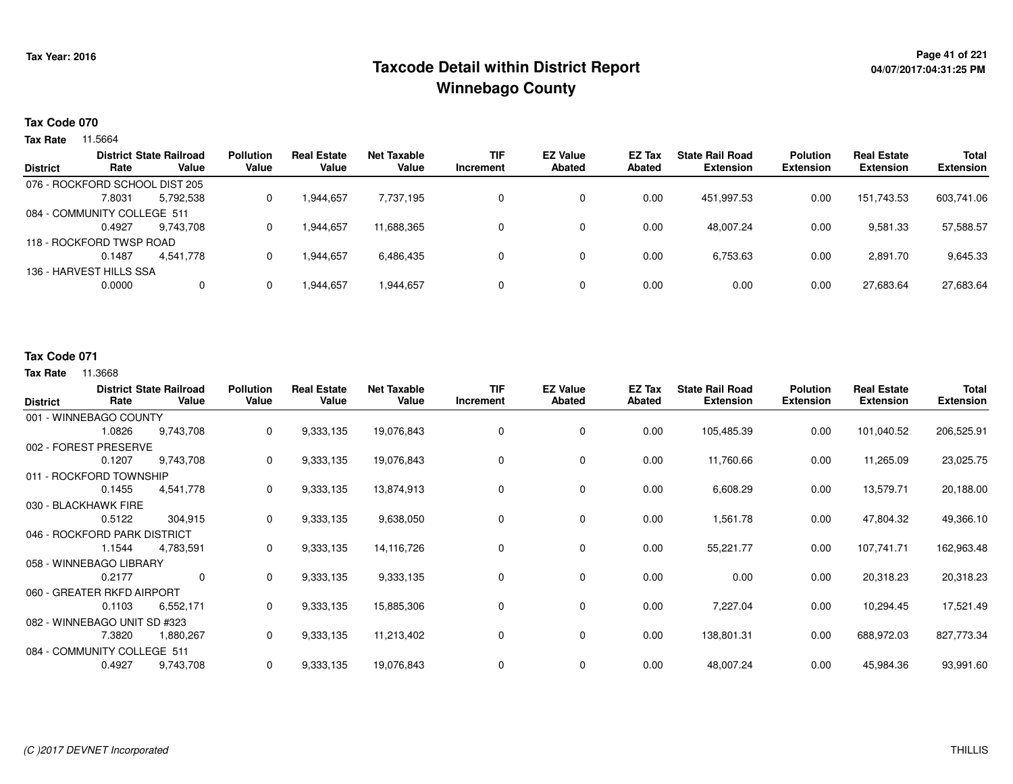## <sup>Page 41</sup> of 221<br>Taxcode Detail within District Report های این موجود به موجود می دان به موجود به موجود به موجود به موجود به موجو **Winnebago County**

#### **Tax Code 070**

**Tax Rate** 11.5664

| <b>District</b> | Rate                           | <b>District State Railroad</b><br>Value | <b>Pollution</b><br>Value | <b>Real Estate</b><br>Value | Net Taxable<br>Value | <b>TIF</b><br>Increment | <b>EZ Value</b><br><b>Abated</b> | <b>EZ Tax</b><br>Abated | <b>State Rail Road</b><br><b>Extension</b> | <b>Polution</b><br><b>Extension</b> | <b>Real Estate</b><br><b>Extension</b> | <b>Total</b><br><b>Extension</b> |
|-----------------|--------------------------------|-----------------------------------------|---------------------------|-----------------------------|----------------------|-------------------------|----------------------------------|-------------------------|--------------------------------------------|-------------------------------------|----------------------------------------|----------------------------------|
|                 |                                |                                         |                           |                             |                      |                         |                                  |                         |                                            |                                     |                                        |                                  |
|                 | 076 - ROCKFORD SCHOOL DIST 205 |                                         |                           |                             |                      |                         |                                  |                         |                                            |                                     |                                        |                                  |
|                 | 7.8031                         | 5,792,538                               |                           | 1,944,657                   | 7,737,195            |                         | 0                                | 0.00                    | 451.997.53                                 | 0.00                                | 151.743.53                             | 603,741.06                       |
|                 | 084 - COMMUNITY COLLEGE 511    |                                         |                           |                             |                      |                         |                                  |                         |                                            |                                     |                                        |                                  |
|                 | 0.4927                         | 9.743.708                               |                           | 1.944.657                   | 11.688.365           |                         | 0                                | 0.00                    | 48.007.24                                  | 0.00                                | 9,581.33                               | 57,588.57                        |
|                 | 118 - ROCKFORD TWSP ROAD       |                                         |                           |                             |                      |                         |                                  |                         |                                            |                                     |                                        |                                  |
|                 | 0.1487                         | 4.541.778                               |                           | 1.944.657                   | 6,486,435            |                         | $\Omega$                         | 0.00                    | 6,753.63                                   | 0.00                                | 2,891.70                               | 9,645.33                         |
|                 | 136 - HARVEST HILLS SSA        |                                         |                           |                             |                      |                         |                                  |                         |                                            |                                     |                                        |                                  |
|                 | 0.0000                         | $\mathbf{0}$                            |                           | 1.944.657                   | 1,944,657            |                         | 0                                | 0.00                    | 0.00                                       | 0.00                                | 27,683.64                              | 27,683.64                        |
|                 |                                |                                         |                           |                             |                      |                         |                                  |                         |                                            |                                     |                                        |                                  |

### **Tax Code 071**

| <b>District</b>              | Rate                         | <b>District State Railroad</b><br>Value | <b>Pollution</b><br>Value | <b>Real Estate</b><br>Value | <b>Net Taxable</b><br>Value | <b>TIF</b><br>Increment | <b>EZ Value</b><br><b>Abated</b> | <b>EZ Tax</b><br><b>Abated</b> | <b>State Rail Road</b><br><b>Extension</b> | <b>Polution</b><br><b>Extension</b> | <b>Real Estate</b><br><b>Extension</b> | <b>Total</b><br><b>Extension</b> |
|------------------------------|------------------------------|-----------------------------------------|---------------------------|-----------------------------|-----------------------------|-------------------------|----------------------------------|--------------------------------|--------------------------------------------|-------------------------------------|----------------------------------------|----------------------------------|
|                              | 001 - WINNEBAGO COUNTY       |                                         |                           |                             |                             |                         |                                  |                                |                                            |                                     |                                        |                                  |
|                              | 1.0826                       | 9,743,708                               | 0                         | 9,333,135                   | 19,076,843                  | 0                       | 0                                | 0.00                           | 105,485.39                                 | 0.00                                | 101,040.52                             | 206,525.91                       |
|                              | 002 - FOREST PRESERVE        |                                         |                           |                             |                             |                         |                                  |                                |                                            |                                     |                                        |                                  |
|                              | 0.1207                       | 9,743,708                               | 0                         | 9,333,135                   | 19,076,843                  | 0                       | 0                                | 0.00                           | 11,760.66                                  | 0.00                                | 11,265.09                              | 23,025.75                        |
|                              | 011 - ROCKFORD TOWNSHIP      |                                         |                           |                             |                             |                         |                                  |                                |                                            |                                     |                                        |                                  |
|                              | 0.1455                       | 4,541,778                               | 0                         | 9,333,135                   | 13,874,913                  | 0                       | 0                                | 0.00                           | 6,608.29                                   | 0.00                                | 13,579.71                              | 20,188.00                        |
| 030 - BLACKHAWK FIRE         |                              |                                         |                           |                             |                             |                         |                                  |                                |                                            |                                     |                                        |                                  |
|                              | 0.5122                       | 304,915                                 | 0                         | 9,333,135                   | 9,638,050                   | 0                       | $\mathbf 0$                      | 0.00                           | 1,561.78                                   | 0.00                                | 47,804.32                              | 49,366.10                        |
| 046 - ROCKFORD PARK DISTRICT |                              |                                         |                           |                             |                             |                         |                                  |                                |                                            |                                     |                                        |                                  |
|                              | 1.1544                       | 4,783,591                               | 0                         | 9,333,135                   | 14,116,726                  | 0                       | 0                                | 0.00                           | 55,221.77                                  | 0.00                                | 107,741.71                             | 162,963.48                       |
|                              | 058 - WINNEBAGO LIBRARY      |                                         |                           |                             |                             |                         |                                  |                                |                                            |                                     |                                        |                                  |
|                              | 0.2177                       | $\mathbf 0$                             | 0                         | 9,333,135                   | 9,333,135                   | 0                       | 0                                | 0.00                           | 0.00                                       | 0.00                                | 20,318.23                              | 20,318.23                        |
|                              | 060 - GREATER RKFD AIRPORT   |                                         |                           |                             |                             |                         |                                  |                                |                                            |                                     |                                        |                                  |
|                              | 0.1103                       | 6,552,171                               | 0                         | 9,333,135                   | 15,885,306                  | 0                       | 0                                | 0.00                           | 7,227.04                                   | 0.00                                | 10,294.45                              | 17,521.49                        |
|                              | 082 - WINNEBAGO UNIT SD #323 |                                         |                           |                             |                             |                         |                                  |                                |                                            |                                     |                                        |                                  |
|                              | 7.3820                       | 1,880,267                               | 0                         | 9,333,135                   | 11,213,402                  | 0                       | 0                                | 0.00                           | 138,801.31                                 | 0.00                                | 688,972.03                             | 827,773.34                       |
|                              | 084 - COMMUNITY COLLEGE 511  |                                         |                           |                             |                             |                         |                                  |                                |                                            |                                     |                                        |                                  |
|                              | 0.4927                       | 9,743,708                               | 0                         | 9,333,135                   | 19,076,843                  | 0                       | 0                                | 0.00                           | 48,007.24                                  | 0.00                                | 45,984.36                              | 93,991.60                        |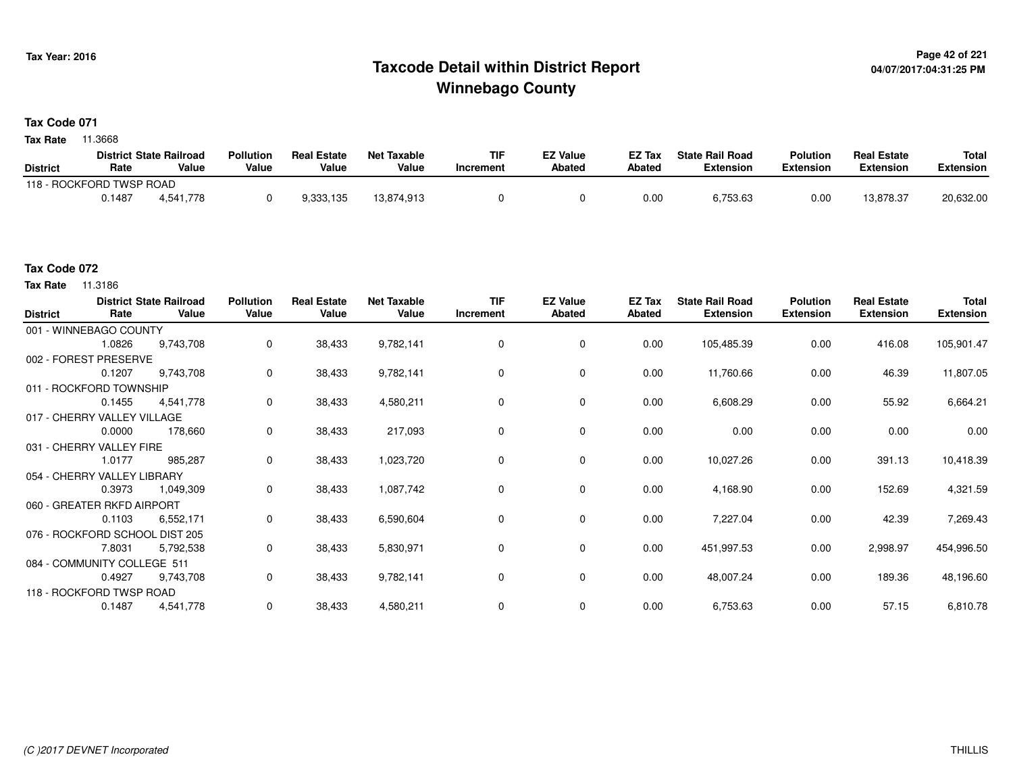## **Page 42 of 221 Taxcode Detail within District ReportWinnebago County**

#### **Tax Code 071**

**Tax Rate** 11.3668

|                          |        | <b>District State Railroad</b> | <b>Pollution</b> | <b>Real Estate</b> | Net Taxable | TIF       | <b>EZ Value</b> | <b>EZ Tax</b> | <b>State Rail Road</b> | <b>Polution</b>  | <b>Real Estate</b> | <b>Total</b> |
|--------------------------|--------|--------------------------------|------------------|--------------------|-------------|-----------|-----------------|---------------|------------------------|------------------|--------------------|--------------|
| <b>District</b>          | Rate   | Value                          | Value            | Value              | Value       | Increment | <b>Abated</b>   | Abated        | <b>Extension</b>       | <b>Extension</b> | <b>Extension</b>   | Extension    |
| 118 - ROCKFORD TWSP ROAD |        |                                |                  |                    |             |           |                 |               |                        |                  |                    |              |
|                          | 0.1487 | 4.541.778                      |                  | 9,333,135          | 13,874,913  |           |                 | 0.00          | 6,753.63               | 0.00             | 13.878.37          | 20,632.00    |

### **Tax Code 072**

**Tax Rate** 11.3186

| <b>District</b> | Rate                           | <b>District State Railroad</b><br>Value | <b>Pollution</b><br>Value | <b>Real Estate</b><br>Value | <b>Net Taxable</b><br>Value | <b>TIF</b><br>Increment | <b>EZ Value</b><br><b>Abated</b> | EZ Tax<br><b>Abated</b> | <b>State Rail Road</b><br><b>Extension</b> | <b>Polution</b><br><b>Extension</b> | <b>Real Estate</b><br><b>Extension</b> | <b>Total</b><br><b>Extension</b> |
|-----------------|--------------------------------|-----------------------------------------|---------------------------|-----------------------------|-----------------------------|-------------------------|----------------------------------|-------------------------|--------------------------------------------|-------------------------------------|----------------------------------------|----------------------------------|
|                 | 001 - WINNEBAGO COUNTY         |                                         |                           |                             |                             |                         |                                  |                         |                                            |                                     |                                        |                                  |
|                 | 1.0826                         | 9,743,708                               | $\mathbf 0$               | 38,433                      | 9,782,141                   | 0                       | 0                                | 0.00                    | 105,485.39                                 | 0.00                                | 416.08                                 | 105,901.47                       |
|                 | 002 - FOREST PRESERVE          |                                         |                           |                             |                             |                         |                                  |                         |                                            |                                     |                                        |                                  |
|                 | 0.1207                         | 9,743,708                               | $\mathbf 0$               | 38,433                      | 9,782,141                   | $\Omega$                | 0                                | 0.00                    | 11,760.66                                  | 0.00                                | 46.39                                  | 11,807.05                        |
|                 | 011 - ROCKFORD TOWNSHIP        |                                         |                           |                             |                             |                         |                                  |                         |                                            |                                     |                                        |                                  |
|                 | 0.1455                         | 4,541,778                               | $\mathbf 0$               | 38,433                      | 4,580,211                   | $\Omega$                | $\mathbf 0$                      | 0.00                    | 6,608.29                                   | 0.00                                | 55.92                                  | 6,664.21                         |
|                 | 017 - CHERRY VALLEY VILLAGE    |                                         |                           |                             |                             |                         |                                  |                         |                                            |                                     |                                        |                                  |
|                 | 0.0000                         | 178,660                                 | $\mathbf 0$               | 38,433                      | 217,093                     | 0                       | 0                                | 0.00                    | 0.00                                       | 0.00                                | 0.00                                   | 0.00                             |
|                 | 031 - CHERRY VALLEY FIRE       |                                         |                           |                             |                             |                         |                                  |                         |                                            |                                     |                                        |                                  |
|                 | 1.0177                         | 985,287                                 | 0                         | 38,433                      | 1,023,720                   | 0                       | 0                                | 0.00                    | 10,027.26                                  | 0.00                                | 391.13                                 | 10,418.39                        |
|                 | 054 - CHERRY VALLEY LIBRARY    |                                         |                           |                             |                             |                         |                                  |                         |                                            |                                     |                                        |                                  |
|                 | 0.3973                         | 1,049,309                               | $\mathbf 0$               | 38,433                      | 1,087,742                   | $\Omega$                | $\mathbf 0$                      | 0.00                    | 4,168.90                                   | 0.00                                | 152.69                                 | 4,321.59                         |
|                 | 060 - GREATER RKFD AIRPORT     |                                         |                           |                             |                             |                         |                                  |                         |                                            |                                     |                                        |                                  |
|                 | 0.1103                         | 6,552,171                               | 0                         | 38,433                      | 6,590,604                   | $\mathbf 0$             | $\mathbf 0$                      | 0.00                    | 7,227.04                                   | 0.00                                | 42.39                                  | 7,269.43                         |
|                 | 076 - ROCKFORD SCHOOL DIST 205 |                                         |                           |                             |                             |                         |                                  |                         |                                            |                                     |                                        |                                  |
|                 | 7.8031                         | 5,792,538                               | $\mathbf 0$               | 38,433                      | 5,830,971                   | 0                       | 0                                | 0.00                    | 451,997.53                                 | 0.00                                | 2,998.97                               | 454,996.50                       |
|                 | 084 - COMMUNITY COLLEGE 511    |                                         |                           |                             |                             |                         |                                  |                         |                                            |                                     |                                        |                                  |
|                 | 0.4927                         | 9,743,708                               | 0                         | 38,433                      | 9,782,141                   | $\mathbf 0$             | 0                                | 0.00                    | 48,007.24                                  | 0.00                                | 189.36                                 | 48,196.60                        |
|                 | 118 - ROCKFORD TWSP ROAD       |                                         |                           |                             |                             |                         |                                  |                         |                                            |                                     |                                        |                                  |
|                 | 0.1487                         | 4,541,778                               | 0                         | 38,433                      | 4,580,211                   | $\Omega$                | 0                                | 0.00                    | 6,753.63                                   | 0.00                                | 57.15                                  | 6,810.78                         |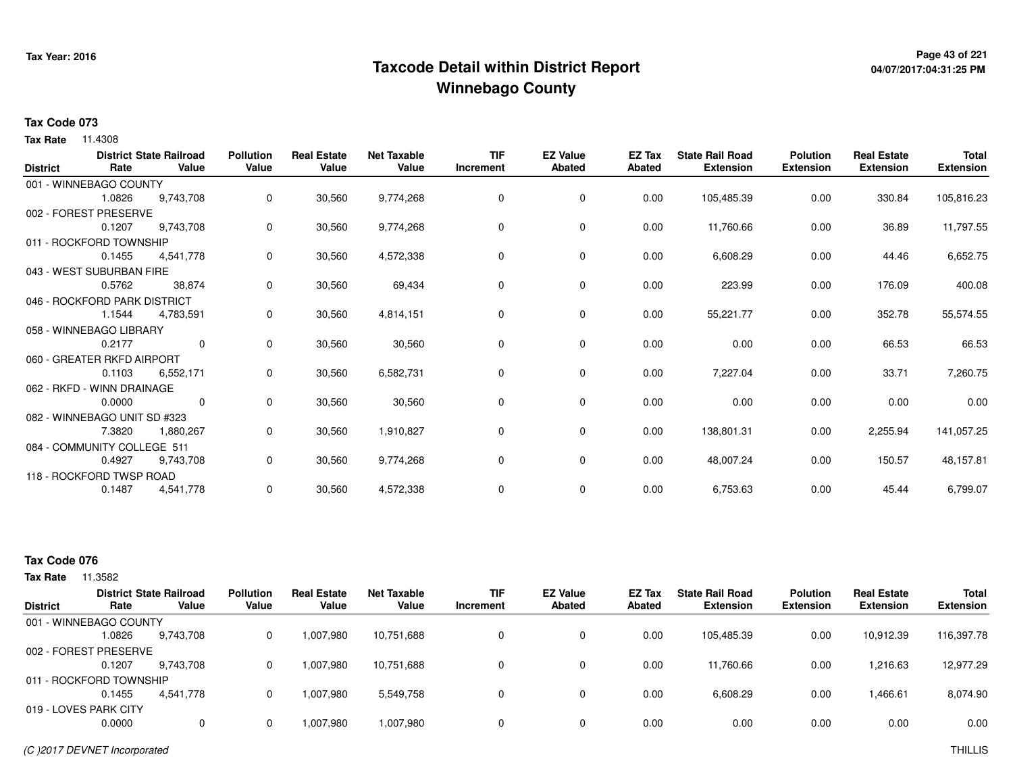## **Page 43 of 221 Taxcode Detail within District ReportWinnebago County**

# **04/07/2017:04:31:25 PM**

#### **Tax Code 073**

**Tax Rate** 11.4308

| <b>District</b> | Rate                         | <b>District State Railroad</b><br>Value | <b>Pollution</b><br>Value | <b>Real Estate</b><br>Value | <b>Net Taxable</b><br>Value | <b>TIF</b><br>Increment | <b>EZ Value</b><br><b>Abated</b> | <b>EZ Tax</b><br>Abated | <b>State Rail Road</b><br><b>Extension</b> | <b>Polution</b><br><b>Extension</b> | <b>Real Estate</b><br><b>Extension</b> | <b>Total</b><br><b>Extension</b> |
|-----------------|------------------------------|-----------------------------------------|---------------------------|-----------------------------|-----------------------------|-------------------------|----------------------------------|-------------------------|--------------------------------------------|-------------------------------------|----------------------------------------|----------------------------------|
|                 | 001 - WINNEBAGO COUNTY       |                                         |                           |                             |                             |                         |                                  |                         |                                            |                                     |                                        |                                  |
|                 | 1.0826                       | 9,743,708                               | 0                         | 30,560                      | 9,774,268                   | 0                       | 0                                | 0.00                    | 105,485.39                                 | 0.00                                | 330.84                                 | 105,816.23                       |
|                 | 002 - FOREST PRESERVE        |                                         |                           |                             |                             |                         |                                  |                         |                                            |                                     |                                        |                                  |
|                 | 0.1207                       | 9,743,708                               | 0                         | 30,560                      | 9,774,268                   | 0                       | 0                                | 0.00                    | 11,760.66                                  | 0.00                                | 36.89                                  | 11,797.55                        |
|                 | 011 - ROCKFORD TOWNSHIP      |                                         |                           |                             |                             |                         |                                  |                         |                                            |                                     |                                        |                                  |
|                 | 0.1455                       | 4,541,778                               | 0                         | 30,560                      | 4,572,338                   | $\Omega$                | 0                                | 0.00                    | 6,608.29                                   | 0.00                                | 44.46                                  | 6,652.75                         |
|                 | 043 - WEST SUBURBAN FIRE     |                                         |                           |                             |                             |                         |                                  |                         |                                            |                                     |                                        |                                  |
|                 | 0.5762                       | 38,874                                  | 0                         | 30,560                      | 69,434                      | 0                       | 0                                | 0.00                    | 223.99                                     | 0.00                                | 176.09                                 | 400.08                           |
|                 | 046 - ROCKFORD PARK DISTRICT |                                         |                           |                             |                             |                         |                                  |                         |                                            |                                     |                                        |                                  |
|                 | 1.1544                       | 4,783,591                               | 0                         | 30,560                      | 4,814,151                   | $\Omega$                | 0                                | 0.00                    | 55,221.77                                  | 0.00                                | 352.78                                 | 55,574.55                        |
|                 | 058 - WINNEBAGO LIBRARY      |                                         |                           |                             |                             |                         |                                  |                         |                                            |                                     |                                        |                                  |
|                 | 0.2177                       | $\mathbf 0$                             | 0                         | 30,560                      | 30,560                      | 0                       | $\mathbf 0$                      | 0.00                    | 0.00                                       | 0.00                                | 66.53                                  | 66.53                            |
|                 | 060 - GREATER RKFD AIRPORT   |                                         |                           |                             |                             |                         |                                  |                         |                                            |                                     |                                        |                                  |
|                 | 0.1103                       | 6,552,171                               | 0                         | 30,560                      | 6,582,731                   | 0                       | 0                                | 0.00                    | 7,227.04                                   | 0.00                                | 33.71                                  | 7,260.75                         |
|                 | 062 - RKFD - WINN DRAINAGE   |                                         |                           |                             |                             |                         |                                  |                         |                                            |                                     |                                        |                                  |
|                 | 0.0000                       | $\mathbf 0$                             | 0                         | 30,560                      | 30,560                      | 0                       | 0                                | 0.00                    | 0.00                                       | 0.00                                | 0.00                                   | 0.00                             |
|                 | 082 - WINNEBAGO UNIT SD #323 |                                         |                           |                             |                             |                         |                                  |                         |                                            |                                     |                                        |                                  |
|                 | 7.3820                       | 1,880,267                               | 0                         | 30,560                      | 1,910,827                   | 0                       | 0                                | 0.00                    | 138,801.31                                 | 0.00                                | 2,255.94                               | 141,057.25                       |
|                 | 084 - COMMUNITY COLLEGE 511  |                                         |                           |                             |                             |                         |                                  |                         |                                            |                                     |                                        |                                  |
|                 | 0.4927                       | 9,743,708                               | 0                         | 30,560                      | 9,774,268                   | 0                       | 0                                | 0.00                    | 48,007.24                                  | 0.00                                | 150.57                                 | 48,157.81                        |
|                 | 118 - ROCKFORD TWSP ROAD     |                                         |                           |                             |                             |                         |                                  |                         |                                            |                                     |                                        |                                  |
|                 | 0.1487                       | 4,541,778                               | 0                         | 30,560                      | 4,572,338                   | 0                       | 0                                | 0.00                    | 6,753.63                                   | 0.00                                | 45.44                                  | 6,799.07                         |

### **Tax Code 076**

|                       |                         | <b>District State Railroad</b> | <b>Pollution</b> | <b>Real Estate</b> | Net Taxable | <b>TIF</b> | <b>EZ Value</b> | EZ Tax | <b>State Rail Road</b> | <b>Polution</b>  | <b>Real Estate</b> | <b>Total</b>     |
|-----------------------|-------------------------|--------------------------------|------------------|--------------------|-------------|------------|-----------------|--------|------------------------|------------------|--------------------|------------------|
| <b>District</b>       | Rate                    | Value                          | Value            | Value              | Value       | Increment  | <b>Abated</b>   | Abated | <b>Extension</b>       | <b>Extension</b> | <b>Extension</b>   | <b>Extension</b> |
|                       | 001 - WINNEBAGO COUNTY  |                                |                  |                    |             |            |                 |        |                        |                  |                    |                  |
|                       | 1.0826                  | 9,743,708                      | 0                | 1,007,980          | 10,751,688  |            | 0               | 0.00   | 105.485.39             | 0.00             | 10.912.39          | 116,397.78       |
|                       | 002 - FOREST PRESERVE   |                                |                  |                    |             |            |                 |        |                        |                  |                    |                  |
|                       | 0.1207                  | 9,743,708                      | 0                | 1,007,980          | 10,751,688  |            | 0               | 0.00   | 11,760.66              | 0.00             | 1,216.63           | 12,977.29        |
|                       | 011 - ROCKFORD TOWNSHIP |                                |                  |                    |             |            |                 |        |                        |                  |                    |                  |
|                       | 0.1455                  | 4.541.778                      | 0                | 1,007,980          | 5,549,758   |            | 0               | 0.00   | 6,608.29               | 0.00             | 1,466.61           | 8,074.90         |
| 019 - LOVES PARK CITY |                         |                                |                  |                    |             |            |                 |        |                        |                  |                    |                  |
|                       | 0.0000                  | 0                              | 0                | 1,007,980          | 1,007,980   |            | 0               | 0.00   | 0.00                   | 0.00             | 0.00               | 0.00             |
|                       |                         |                                |                  |                    |             |            |                 |        |                        |                  |                    |                  |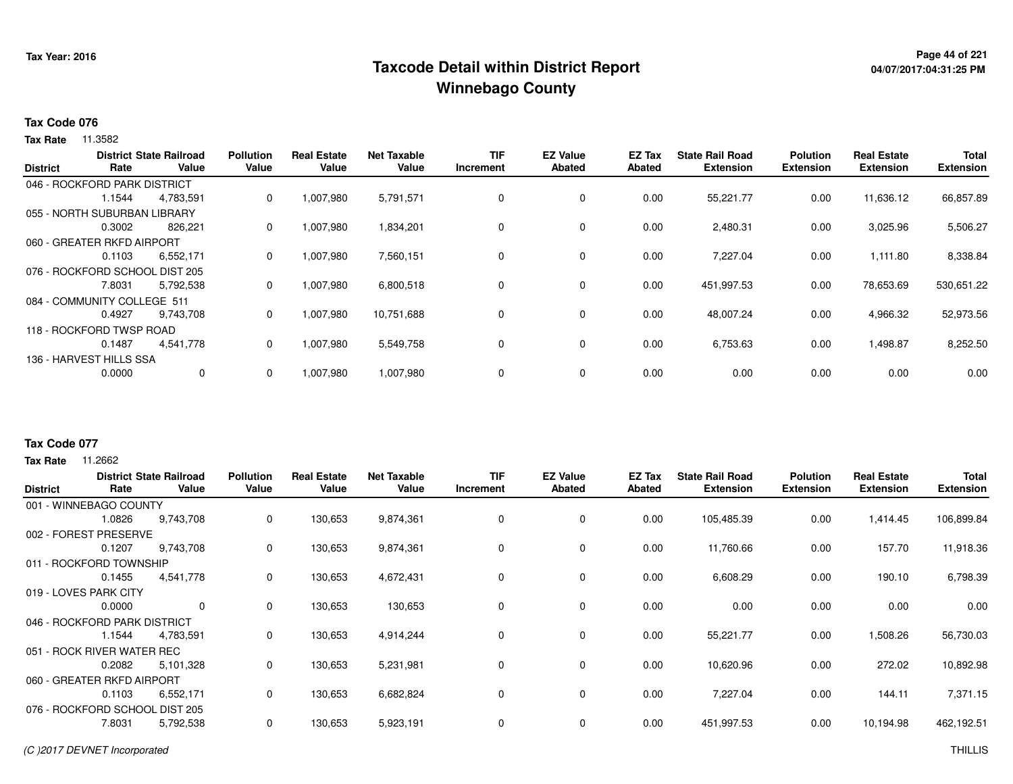## **Page 44 of 221 Taxcode Detail within District ReportWinnebago County**

# **04/07/2017:04:31:25 PM**

#### **Tax Code 076**

**Tax Rate** 11.3582

|                 |                                | <b>District State Railroad</b> | <b>Pollution</b> | <b>Real Estate</b> | <b>Net Taxable</b> | <b>TIF</b> | <b>EZ Value</b> | <b>EZ Tax</b> | <b>State Rail Road</b> | <b>Polution</b>  | <b>Real Estate</b> | <b>Total</b>     |
|-----------------|--------------------------------|--------------------------------|------------------|--------------------|--------------------|------------|-----------------|---------------|------------------------|------------------|--------------------|------------------|
| <b>District</b> | Rate                           | Value                          | Value            | Value              | Value              | Increment  | <b>Abated</b>   | Abated        | <b>Extension</b>       | <b>Extension</b> | <b>Extension</b>   | <b>Extension</b> |
|                 | 046 - ROCKFORD PARK DISTRICT   |                                |                  |                    |                    |            |                 |               |                        |                  |                    |                  |
|                 | 1.1544                         | 4,783,591                      | 0                | 1,007,980          | 5,791,571          | 0          | 0               | 0.00          | 55,221.77              | 0.00             | 11,636.12          | 66,857.89        |
|                 | 055 - NORTH SUBURBAN LIBRARY   |                                |                  |                    |                    |            |                 |               |                        |                  |                    |                  |
|                 | 0.3002                         | 826,221                        | 0                | 1,007,980          | 1,834,201          | 0          | 0               | 0.00          | 2,480.31               | 0.00             | 3,025.96           | 5,506.27         |
|                 | 060 - GREATER RKFD AIRPORT     |                                |                  |                    |                    |            |                 |               |                        |                  |                    |                  |
|                 | 0.1103                         | 6,552,171                      | 0                | 1,007,980          | 7,560,151          | 0          | 0               | 0.00          | 7,227.04               | 0.00             | 1,111.80           | 8,338.84         |
|                 | 076 - ROCKFORD SCHOOL DIST 205 |                                |                  |                    |                    |            |                 |               |                        |                  |                    |                  |
|                 | 7.8031                         | 5,792,538                      | 0                | 1,007,980          | 6,800,518          | 0          | $\mathbf 0$     | 0.00          | 451,997.53             | 0.00             | 78,653.69          | 530,651.22       |
|                 | 084 - COMMUNITY COLLEGE 511    |                                |                  |                    |                    |            |                 |               |                        |                  |                    |                  |
|                 | 0.4927                         | 9,743,708                      | 0                | 1,007,980          | 10,751,688         | 0          | 0               | 0.00          | 48,007.24              | 0.00             | 4,966.32           | 52,973.56        |
|                 | 118 - ROCKFORD TWSP ROAD       |                                |                  |                    |                    |            |                 |               |                        |                  |                    |                  |
|                 | 0.1487                         | 4,541,778                      | 0                | 1,007,980          | 5,549,758          | 0          | 0               | 0.00          | 6,753.63               | 0.00             | 1,498.87           | 8,252.50         |
|                 | 136 - HARVEST HILLS SSA        |                                |                  |                    |                    |            |                 |               |                        |                  |                    |                  |
|                 | 0.0000                         | $\mathbf 0$                    | 0                | 1,007,980          | 1,007,980          | 0          | $\mathbf 0$     | 0.00          | 0.00                   | 0.00             | 0.00               | 0.00             |
|                 |                                |                                |                  |                    |                    |            |                 |               |                        |                  |                    |                  |

### **Tax Code 077**

| <b>District</b> | Rate                           | <b>District State Railroad</b><br>Value | <b>Pollution</b><br>Value | <b>Real Estate</b><br>Value | <b>Net Taxable</b><br>Value | <b>TIF</b><br>Increment | <b>EZ Value</b><br><b>Abated</b> | EZ Tax<br><b>Abated</b> | <b>State Rail Road</b><br><b>Extension</b> | <b>Polution</b><br><b>Extension</b> | <b>Real Estate</b><br><b>Extension</b> | <b>Total</b><br><b>Extension</b> |
|-----------------|--------------------------------|-----------------------------------------|---------------------------|-----------------------------|-----------------------------|-------------------------|----------------------------------|-------------------------|--------------------------------------------|-------------------------------------|----------------------------------------|----------------------------------|
|                 | 001 - WINNEBAGO COUNTY         |                                         |                           |                             |                             |                         |                                  |                         |                                            |                                     |                                        |                                  |
|                 | 1.0826                         | 9,743,708                               | 0                         | 130,653                     | 9,874,361                   | 0                       | 0                                | 0.00                    | 105,485.39                                 | 0.00                                | 1,414.45                               | 106,899.84                       |
|                 | 002 - FOREST PRESERVE          |                                         |                           |                             |                             |                         |                                  |                         |                                            |                                     |                                        |                                  |
|                 | 0.1207                         | 9,743,708                               | 0                         | 130,653                     | 9,874,361                   | 0                       | 0                                | 0.00                    | 11,760.66                                  | 0.00                                | 157.70                                 | 11,918.36                        |
|                 | 011 - ROCKFORD TOWNSHIP        |                                         |                           |                             |                             |                         |                                  |                         |                                            |                                     |                                        |                                  |
|                 | 0.1455                         | 4,541,778                               | 0                         | 130,653                     | 4,672,431                   | 0                       | 0                                | 0.00                    | 6,608.29                                   | 0.00                                | 190.10                                 | 6,798.39                         |
|                 | 019 - LOVES PARK CITY          |                                         |                           |                             |                             |                         |                                  |                         |                                            |                                     |                                        |                                  |
|                 | 0.0000                         | $\mathbf 0$                             | 0                         | 130,653                     | 130,653                     | 0                       | $\mathbf 0$                      | 0.00                    | 0.00                                       | 0.00                                | 0.00                                   | 0.00                             |
|                 | 046 - ROCKFORD PARK DISTRICT   |                                         |                           |                             |                             |                         |                                  |                         |                                            |                                     |                                        |                                  |
|                 | 1.1544                         | 4,783,591                               | 0                         | 130,653                     | 4,914,244                   | 0                       | 0                                | 0.00                    | 55,221.77                                  | 0.00                                | 1,508.26                               | 56,730.03                        |
|                 | 051 - ROCK RIVER WATER REC     |                                         |                           |                             |                             |                         |                                  |                         |                                            |                                     |                                        |                                  |
|                 | 0.2082                         | 5,101,328                               | 0                         | 130,653                     | 5,231,981                   | 0                       | 0                                | 0.00                    | 10,620.96                                  | 0.00                                | 272.02                                 | 10,892.98                        |
|                 | 060 - GREATER RKFD AIRPORT     |                                         |                           |                             |                             |                         |                                  |                         |                                            |                                     |                                        |                                  |
|                 | 0.1103                         | 6,552,171                               | 0                         | 130,653                     | 6,682,824                   | 0                       | 0                                | 0.00                    | 7,227.04                                   | 0.00                                | 144.11                                 | 7,371.15                         |
|                 | 076 - ROCKFORD SCHOOL DIST 205 |                                         |                           |                             |                             |                         |                                  |                         |                                            |                                     |                                        |                                  |
|                 | 7.8031                         | 5,792,538                               | 0                         | 130,653                     | 5,923,191                   | 0                       | 0                                | 0.00                    | 451,997.53                                 | 0.00                                | 10,194.98                              | 462,192.51                       |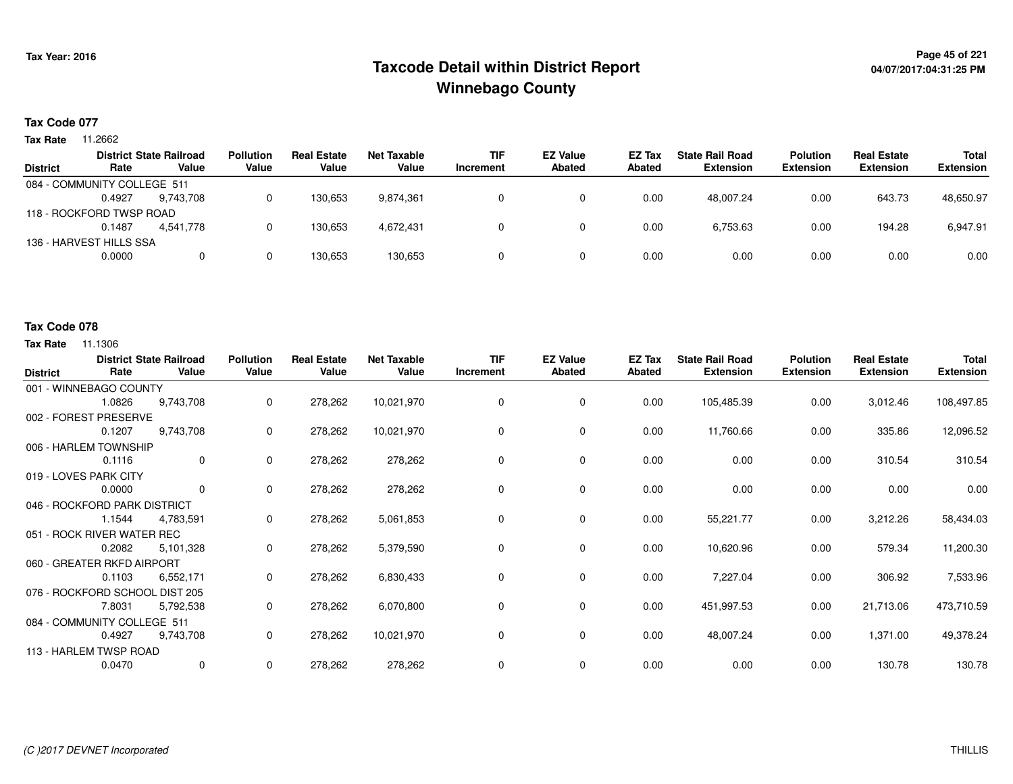## **Page 45 of 221 Taxcode Detail within District ReportWinnebago County**

#### **Tax Code 077**

**Tax Rate** 11.2662

|        |           | <b>Pollution</b>                                                                                                     | <b>Real Estate</b> | Net Taxable | <b>TIF</b> | <b>EZ Value</b> | <b>EZ Tax</b> | <b>State Rail Road</b> | <b>Polution</b>  | <b>Real Estate</b> | <b>Total</b>     |
|--------|-----------|----------------------------------------------------------------------------------------------------------------------|--------------------|-------------|------------|-----------------|---------------|------------------------|------------------|--------------------|------------------|
| Rate   | Value     | Value                                                                                                                | Value              | Value       | Increment  | <b>Abated</b>   | Abated        | <b>Extension</b>       | <b>Extension</b> | <b>Extension</b>   | <b>Extension</b> |
|        |           |                                                                                                                      |                    |             |            |                 |               |                        |                  |                    |                  |
| 0.4927 | 9.743.708 |                                                                                                                      | 130.653            | 9.874.361   |            |                 | 0.00          | 48.007.24              | 0.00             | 643.73             | 48,650.97        |
|        |           |                                                                                                                      |                    |             |            |                 |               |                        |                  |                    |                  |
| 0.1487 | 4.541.778 |                                                                                                                      | 130,653            | 4,672,431   |            |                 | 0.00          | 6,753.63               | 0.00             | 194.28             | 6,947.91         |
|        |           |                                                                                                                      |                    |             |            |                 |               |                        |                  |                    |                  |
| 0.0000 | 0         |                                                                                                                      | 130,653            | 130,653     |            |                 | 0.00          | 0.00                   | 0.00             | 0.00               | 0.00             |
|        |           | <b>District State Railroad</b><br>084 - COMMUNITY COLLEGE 511<br>118 - ROCKFORD TWSP ROAD<br>136 - HARVEST HILLS SSA |                    |             |            |                 |               |                        |                  |                    |                  |

#### **Tax Code 078**

| <b>District</b> | Rate                           | <b>District State Railroad</b><br>Value | <b>Pollution</b><br>Value | <b>Real Estate</b><br>Value | <b>Net Taxable</b><br>Value | <b>TIF</b><br>Increment | <b>EZ Value</b><br>Abated | EZ Tax<br><b>Abated</b> | <b>State Rail Road</b><br><b>Extension</b> | <b>Polution</b><br><b>Extension</b> | <b>Real Estate</b><br><b>Extension</b> | <b>Total</b><br><b>Extension</b> |
|-----------------|--------------------------------|-----------------------------------------|---------------------------|-----------------------------|-----------------------------|-------------------------|---------------------------|-------------------------|--------------------------------------------|-------------------------------------|----------------------------------------|----------------------------------|
|                 | 001 - WINNEBAGO COUNTY         |                                         |                           |                             |                             |                         |                           |                         |                                            |                                     |                                        |                                  |
|                 | 1.0826                         | 9,743,708                               | $\mathbf 0$               | 278,262                     | 10,021,970                  | 0                       | 0                         | 0.00                    | 105,485.39                                 | 0.00                                | 3,012.46                               | 108,497.85                       |
|                 | 002 - FOREST PRESERVE          |                                         |                           |                             |                             |                         |                           |                         |                                            |                                     |                                        |                                  |
|                 | 0.1207                         | 9,743,708                               | 0                         | 278,262                     | 10,021,970                  | 0                       | 0                         | 0.00                    | 11,760.66                                  | 0.00                                | 335.86                                 | 12,096.52                        |
|                 | 006 - HARLEM TOWNSHIP          |                                         |                           |                             |                             |                         |                           |                         |                                            |                                     |                                        |                                  |
|                 | 0.1116                         | $\mathbf 0$                             | $\Omega$                  | 278,262                     | 278,262                     | $\Omega$                | 0                         | 0.00                    | 0.00                                       | 0.00                                | 310.54                                 | 310.54                           |
|                 | 019 - LOVES PARK CITY          |                                         |                           |                             |                             |                         |                           |                         |                                            |                                     |                                        |                                  |
|                 | 0.0000                         | $\mathbf 0$                             | 0                         | 278,262                     | 278,262                     | 0                       | 0                         | 0.00                    | 0.00                                       | 0.00                                | 0.00                                   | 0.00                             |
|                 | 046 - ROCKFORD PARK DISTRICT   |                                         |                           |                             |                             |                         |                           |                         |                                            |                                     |                                        |                                  |
|                 | 1.1544                         | 4.783.591                               | 0                         | 278,262                     | 5,061,853                   | 0                       | 0                         | 0.00                    | 55,221.77                                  | 0.00                                | 3,212.26                               | 58,434.03                        |
|                 | 051 - ROCK RIVER WATER REC     |                                         |                           |                             |                             |                         |                           |                         |                                            |                                     |                                        |                                  |
|                 | 0.2082                         | 5,101,328                               | 0                         | 278,262                     | 5,379,590                   | 0                       | $\mathbf 0$               | 0.00                    | 10,620.96                                  | 0.00                                | 579.34                                 | 11,200.30                        |
|                 | 060 - GREATER RKFD AIRPORT     |                                         |                           |                             |                             |                         |                           |                         |                                            |                                     |                                        |                                  |
|                 | 0.1103                         | 6,552,171                               | 0                         | 278,262                     | 6,830,433                   | 0                       | 0                         | 0.00                    | 7,227.04                                   | 0.00                                | 306.92                                 | 7,533.96                         |
|                 | 076 - ROCKFORD SCHOOL DIST 205 |                                         |                           |                             |                             |                         |                           |                         |                                            |                                     |                                        |                                  |
|                 | 7.8031                         | 5,792,538                               | 0                         | 278,262                     | 6,070,800                   | 0                       | $\mathbf 0$               | 0.00                    | 451,997.53                                 | 0.00                                | 21,713.06                              | 473,710.59                       |
|                 | 084 - COMMUNITY COLLEGE 511    |                                         |                           |                             |                             |                         |                           |                         |                                            |                                     |                                        |                                  |
|                 | 0.4927                         | 9,743,708                               | 0                         | 278,262                     | 10,021,970                  | 0                       | 0                         | 0.00                    | 48,007.24                                  | 0.00                                | 1,371.00                               | 49,378.24                        |
|                 | 113 - HARLEM TWSP ROAD         |                                         |                           |                             |                             |                         |                           |                         |                                            |                                     |                                        |                                  |
|                 | 0.0470                         | $\mathbf 0$                             | 0                         | 278,262                     | 278,262                     | 0                       | 0                         | 0.00                    | 0.00                                       | 0.00                                | 130.78                                 | 130.78                           |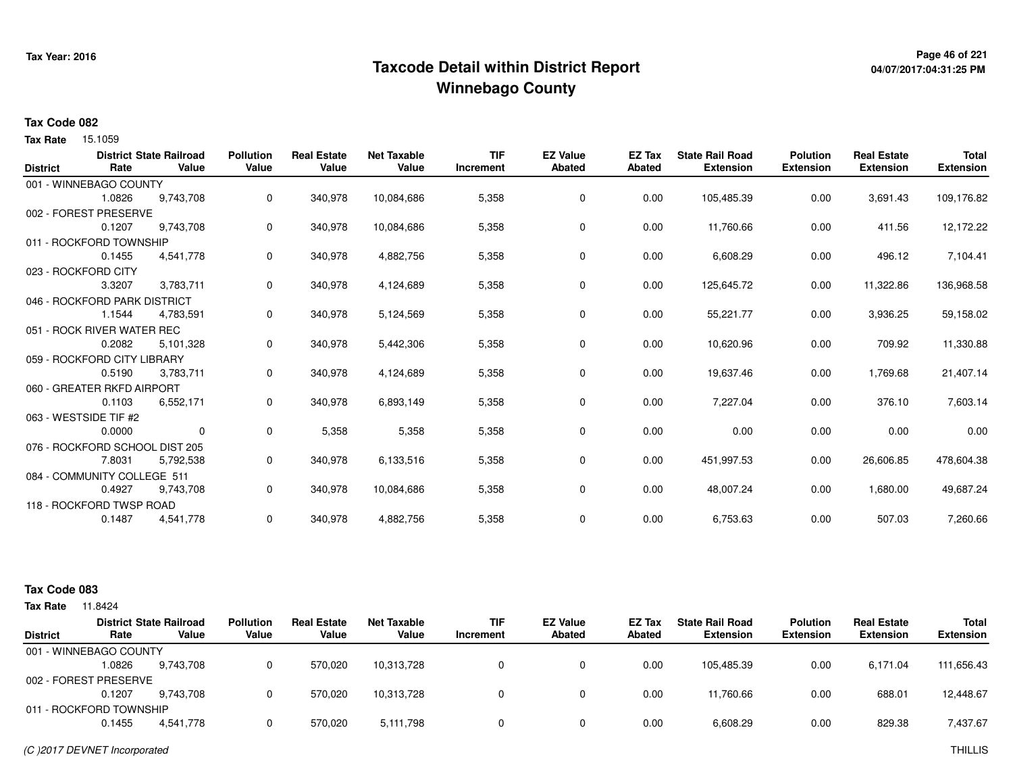## **Page 46 of 221 Taxcode Detail within District ReportWinnebago County**

# **04/07/2017:04:31:25 PM**

#### **Tax Code 082**

**Tax Rate** 15.1059

|                 |                                | <b>District State Railroad</b> | <b>Pollution</b> | <b>Real Estate</b> | <b>Net Taxable</b> | <b>TIF</b> | <b>EZ Value</b> | <b>EZ Tax</b> | <b>State Rail Road</b> | <b>Polution</b>  | <b>Real Estate</b> | <b>Total</b>     |
|-----------------|--------------------------------|--------------------------------|------------------|--------------------|--------------------|------------|-----------------|---------------|------------------------|------------------|--------------------|------------------|
| <b>District</b> | Rate                           | Value                          | Value            | Value              | Value              | Increment  | <b>Abated</b>   | <b>Abated</b> | <b>Extension</b>       | <b>Extension</b> | <b>Extension</b>   | <b>Extension</b> |
|                 | 001 - WINNEBAGO COUNTY         |                                |                  |                    |                    |            |                 |               |                        |                  |                    |                  |
|                 | 1.0826                         | 9,743,708                      | 0                | 340,978            | 10,084,686         | 5,358      | 0               | 0.00          | 105,485.39             | 0.00             | 3,691.43           | 109,176.82       |
|                 | 002 - FOREST PRESERVE          |                                |                  |                    |                    |            |                 |               |                        |                  |                    |                  |
|                 | 0.1207                         | 9,743,708                      | 0                | 340,978            | 10,084,686         | 5,358      | $\mathbf 0$     | 0.00          | 11,760.66              | 0.00             | 411.56             | 12,172.22        |
|                 | 011 - ROCKFORD TOWNSHIP        |                                |                  |                    |                    |            |                 |               |                        |                  |                    |                  |
|                 | 0.1455                         | 4,541,778                      | 0                | 340,978            | 4,882,756          | 5,358      | 0               | 0.00          | 6,608.29               | 0.00             | 496.12             | 7,104.41         |
|                 | 023 - ROCKFORD CITY            |                                |                  |                    |                    |            |                 |               |                        |                  |                    |                  |
|                 | 3.3207                         | 3,783,711                      | 0                | 340,978            | 4,124,689          | 5,358      | 0               | 0.00          | 125,645.72             | 0.00             | 11,322.86          | 136,968.58       |
|                 | 046 - ROCKFORD PARK DISTRICT   |                                |                  |                    |                    |            |                 |               |                        |                  |                    |                  |
|                 | 1.1544                         | 4,783,591                      | 0                | 340,978            | 5,124,569          | 5,358      | 0               | 0.00          | 55,221.77              | 0.00             | 3,936.25           | 59,158.02        |
|                 | 051 - ROCK RIVER WATER REC     |                                |                  |                    |                    |            |                 |               |                        |                  |                    |                  |
|                 | 0.2082                         | 5,101,328                      | 0                | 340,978            | 5,442,306          | 5,358      | 0               | 0.00          | 10,620.96              | 0.00             | 709.92             | 11,330.88        |
|                 | 059 - ROCKFORD CITY LIBRARY    |                                |                  |                    |                    |            |                 |               |                        |                  |                    |                  |
|                 | 0.5190                         | 3,783,711                      | 0                | 340,978            | 4,124,689          | 5,358      | $\mathbf 0$     | 0.00          | 19,637.46              | 0.00             | 1,769.68           | 21,407.14        |
|                 | 060 - GREATER RKFD AIRPORT     |                                |                  |                    |                    |            |                 |               |                        |                  |                    |                  |
|                 | 0.1103                         | 6,552,171                      | 0                | 340,978            | 6,893,149          | 5,358      | 0               | 0.00          | 7,227.04               | 0.00             | 376.10             | 7,603.14         |
|                 | 063 - WESTSIDE TIF #2          |                                |                  |                    |                    |            |                 |               |                        |                  |                    |                  |
|                 | 0.0000                         | 0                              | 0                | 5,358              | 5,358              | 5,358      | 0               | 0.00          | 0.00                   | 0.00             | 0.00               | 0.00             |
|                 | 076 - ROCKFORD SCHOOL DIST 205 |                                |                  |                    |                    |            |                 |               |                        |                  |                    |                  |
|                 | 7.8031                         | 5,792,538                      | 0                | 340,978            | 6,133,516          | 5,358      | 0               | 0.00          | 451,997.53             | 0.00             | 26,606.85          | 478,604.38       |
|                 | 084 - COMMUNITY COLLEGE 511    |                                |                  |                    |                    |            |                 |               |                        |                  |                    |                  |
|                 | 0.4927                         | 9,743,708                      | 0                | 340,978            | 10,084,686         | 5,358      | 0               | 0.00          | 48,007.24              | 0.00             | 1,680.00           | 49,687.24        |
|                 | 118 - ROCKFORD TWSP ROAD       |                                |                  |                    |                    |            |                 |               |                        |                  |                    |                  |
|                 | 0.1487                         | 4,541,778                      | 0                | 340,978            | 4,882,756          | 5,358      | 0               | 0.00          | 6,753.63               | 0.00             | 507.03             | 7,260.66         |
|                 |                                |                                |                  |                    |                    |            |                 |               |                        |                  |                    |                  |

#### **Tax Code 083**

| Tax Rate        | 11.8424                 |                                         |                           |                             |                             |                         |                                  |                  |                                            |                                     |                                        |                                  |
|-----------------|-------------------------|-----------------------------------------|---------------------------|-----------------------------|-----------------------------|-------------------------|----------------------------------|------------------|--------------------------------------------|-------------------------------------|----------------------------------------|----------------------------------|
| <b>District</b> | Rate                    | <b>District State Railroad</b><br>Value | <b>Pollution</b><br>Value | <b>Real Estate</b><br>Value | <b>Net Taxable</b><br>Value | <b>TIF</b><br>Increment | <b>EZ Value</b><br><b>Abated</b> | EZ Tax<br>Abated | <b>State Rail Road</b><br><b>Extension</b> | <b>Polution</b><br><b>Extension</b> | <b>Real Estate</b><br><b>Extension</b> | <b>Total</b><br><b>Extension</b> |
|                 | 001 - WINNEBAGO COUNTY  |                                         |                           |                             |                             |                         |                                  |                  |                                            |                                     |                                        |                                  |
|                 | 1.0826                  | 9.743.708                               |                           | 570.020                     | 10,313,728                  |                         |                                  | 0.00             | 105.485.39                                 | 0.00                                | 6.171.04                               | 111,656.43                       |
|                 | 002 - FOREST PRESERVE   |                                         |                           |                             |                             |                         |                                  |                  |                                            |                                     |                                        |                                  |
|                 | 0.1207                  | 9.743.708                               |                           | 570.020                     | 10,313,728                  |                         |                                  | 0.00             | 11.760.66                                  | 0.00                                | 688.01                                 | 12,448.67                        |
|                 | 011 - ROCKFORD TOWNSHIP |                                         |                           |                             |                             |                         |                                  |                  |                                            |                                     |                                        |                                  |
|                 | 0.1455                  | 4,541,778                               |                           | 570,020                     | 5,111,798                   |                         |                                  | 0.00             | 6,608.29                                   | 0.00                                | 829.38                                 | 7,437.67                         |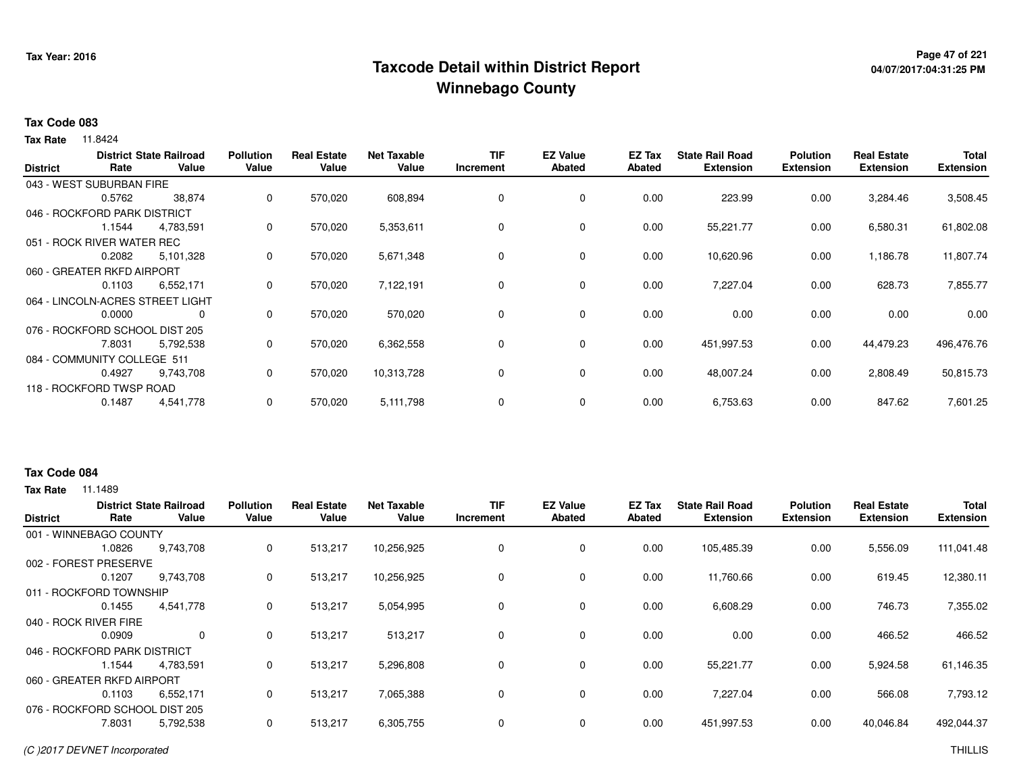## <sup>Page 47</sup> of 221<br>Taxcode Detail within District Report های این موجود به موجود می دان به این موجود به موجود به موجود به موجود می **Winnebago County**

# **04/07/2017:04:31:25 PM**

#### **Tax Code 083**

**Tax Rate** 11.8424

| <b>District</b>                | Rate   | <b>District State Railroad</b><br>Value | <b>Pollution</b><br>Value | <b>Real Estate</b><br>Value | <b>Net Taxable</b><br>Value | <b>TIF</b><br>Increment | <b>EZ Value</b><br><b>Abated</b> | EZ Tax<br><b>Abated</b> | <b>State Rail Road</b><br><b>Extension</b> | <b>Polution</b><br><b>Extension</b> | <b>Real Estate</b><br><b>Extension</b> | <b>Total</b><br><b>Extension</b> |
|--------------------------------|--------|-----------------------------------------|---------------------------|-----------------------------|-----------------------------|-------------------------|----------------------------------|-------------------------|--------------------------------------------|-------------------------------------|----------------------------------------|----------------------------------|
| 043 - WEST SUBURBAN FIRE       |        |                                         |                           |                             |                             |                         |                                  |                         |                                            |                                     |                                        |                                  |
|                                | 0.5762 | 38,874                                  | 0                         | 570,020                     | 608,894                     | 0                       | 0                                | 0.00                    | 223.99                                     | 0.00                                | 3,284.46                               | 3,508.45                         |
| 046 - ROCKFORD PARK DISTRICT   |        |                                         |                           |                             |                             |                         |                                  |                         |                                            |                                     |                                        |                                  |
|                                | 1.1544 | 4,783,591                               | 0                         | 570,020                     | 5,353,611                   | 0                       | 0                                | 0.00                    | 55,221.77                                  | 0.00                                | 6,580.31                               | 61,802.08                        |
| 051 - ROCK RIVER WATER REC     |        |                                         |                           |                             |                             |                         |                                  |                         |                                            |                                     |                                        |                                  |
|                                | 0.2082 | 5,101,328                               | 0                         | 570,020                     | 5,671,348                   | 0                       | $\mathbf 0$                      | 0.00                    | 10,620.96                                  | 0.00                                | 1,186.78                               | 11,807.74                        |
| 060 - GREATER RKFD AIRPORT     |        |                                         |                           |                             |                             |                         |                                  |                         |                                            |                                     |                                        |                                  |
|                                | 0.1103 | 6,552,171                               | 0                         | 570,020                     | 7,122,191                   | 0                       | $\mathbf 0$                      | 0.00                    | 7,227.04                                   | 0.00                                | 628.73                                 | 7,855.77                         |
|                                |        | 064 - LINCOLN-ACRES STREET LIGHT        |                           |                             |                             |                         |                                  |                         |                                            |                                     |                                        |                                  |
|                                | 0.0000 | 0                                       | 0                         | 570,020                     | 570,020                     | $\Omega$                | $\mathbf 0$                      | 0.00                    | 0.00                                       | 0.00                                | 0.00                                   | 0.00                             |
| 076 - ROCKFORD SCHOOL DIST 205 |        |                                         |                           |                             |                             |                         |                                  |                         |                                            |                                     |                                        |                                  |
|                                | 7.8031 | 5,792,538                               | 0                         | 570,020                     | 6,362,558                   | 0                       | $\mathbf 0$                      | 0.00                    | 451,997.53                                 | 0.00                                | 44,479.23                              | 496,476.76                       |
| 084 - COMMUNITY COLLEGE 511    |        |                                         |                           |                             |                             |                         |                                  |                         |                                            |                                     |                                        |                                  |
|                                | 0.4927 | 9,743,708                               | 0                         | 570,020                     | 10,313,728                  | 0                       | 0                                | 0.00                    | 48,007.24                                  | 0.00                                | 2,808.49                               | 50,815.73                        |
| 118 - ROCKFORD TWSP ROAD       |        |                                         |                           |                             |                             |                         |                                  |                         |                                            |                                     |                                        |                                  |
|                                | 0.1487 | 4,541,778                               | 0                         | 570,020                     | 5,111,798                   | 0                       | 0                                | 0.00                    | 6,753.63                                   | 0.00                                | 847.62                                 | 7,601.25                         |

#### **Tax Code 084**

| <b>District</b> | Rate                           | <b>District State Railroad</b><br>Value | <b>Pollution</b><br>Value | <b>Real Estate</b><br>Value | <b>Net Taxable</b><br>Value | <b>TIF</b><br>Increment | <b>EZ Value</b><br><b>Abated</b> | EZ Tax<br>Abated | <b>State Rail Road</b><br><b>Extension</b> | <b>Polution</b><br><b>Extension</b> | <b>Real Estate</b><br><b>Extension</b> | <b>Total</b><br><b>Extension</b> |
|-----------------|--------------------------------|-----------------------------------------|---------------------------|-----------------------------|-----------------------------|-------------------------|----------------------------------|------------------|--------------------------------------------|-------------------------------------|----------------------------------------|----------------------------------|
|                 | 001 - WINNEBAGO COUNTY         |                                         |                           |                             |                             |                         |                                  |                  |                                            |                                     |                                        |                                  |
|                 | 1.0826                         | 9,743,708                               | 0                         | 513,217                     | 10,256,925                  | 0                       | 0                                | 0.00             | 105,485.39                                 | 0.00                                | 5,556.09                               | 111,041.48                       |
|                 | 002 - FOREST PRESERVE          |                                         |                           |                             |                             |                         |                                  |                  |                                            |                                     |                                        |                                  |
|                 | 0.1207                         | 9,743,708                               | 0                         | 513,217                     | 10,256,925                  | 0                       | $\mathbf 0$                      | 0.00             | 11,760.66                                  | 0.00                                | 619.45                                 | 12,380.11                        |
|                 | 011 - ROCKFORD TOWNSHIP        |                                         |                           |                             |                             |                         |                                  |                  |                                            |                                     |                                        |                                  |
|                 | 0.1455                         | 4,541,778                               | 0                         | 513,217                     | 5,054,995                   | 0                       | 0                                | 0.00             | 6,608.29                                   | 0.00                                | 746.73                                 | 7,355.02                         |
|                 | 040 - ROCK RIVER FIRE          |                                         |                           |                             |                             |                         |                                  |                  |                                            |                                     |                                        |                                  |
|                 | 0.0909                         | 0                                       | 0                         | 513,217                     | 513,217                     | 0                       | 0                                | 0.00             | 0.00                                       | 0.00                                | 466.52                                 | 466.52                           |
|                 | 046 - ROCKFORD PARK DISTRICT   |                                         |                           |                             |                             |                         |                                  |                  |                                            |                                     |                                        |                                  |
|                 | 1.1544                         | 4,783,591                               | 0                         | 513,217                     | 5,296,808                   | 0                       | 0                                | 0.00             | 55,221.77                                  | 0.00                                | 5,924.58                               | 61,146.35                        |
|                 | 060 - GREATER RKFD AIRPORT     |                                         |                           |                             |                             |                         |                                  |                  |                                            |                                     |                                        |                                  |
|                 | 0.1103                         | 6,552,171                               | 0                         | 513,217                     | 7,065,388                   | 0                       | 0                                | 0.00             | 7,227.04                                   | 0.00                                | 566.08                                 | 7,793.12                         |
|                 | 076 - ROCKFORD SCHOOL DIST 205 |                                         |                           |                             |                             |                         |                                  |                  |                                            |                                     |                                        |                                  |
|                 | 7.8031                         | 5,792,538                               | 0                         | 513,217                     | 6,305,755                   | 0                       | 0                                | 0.00             | 451,997.53                                 | 0.00                                | 40,046.84                              | 492,044.37                       |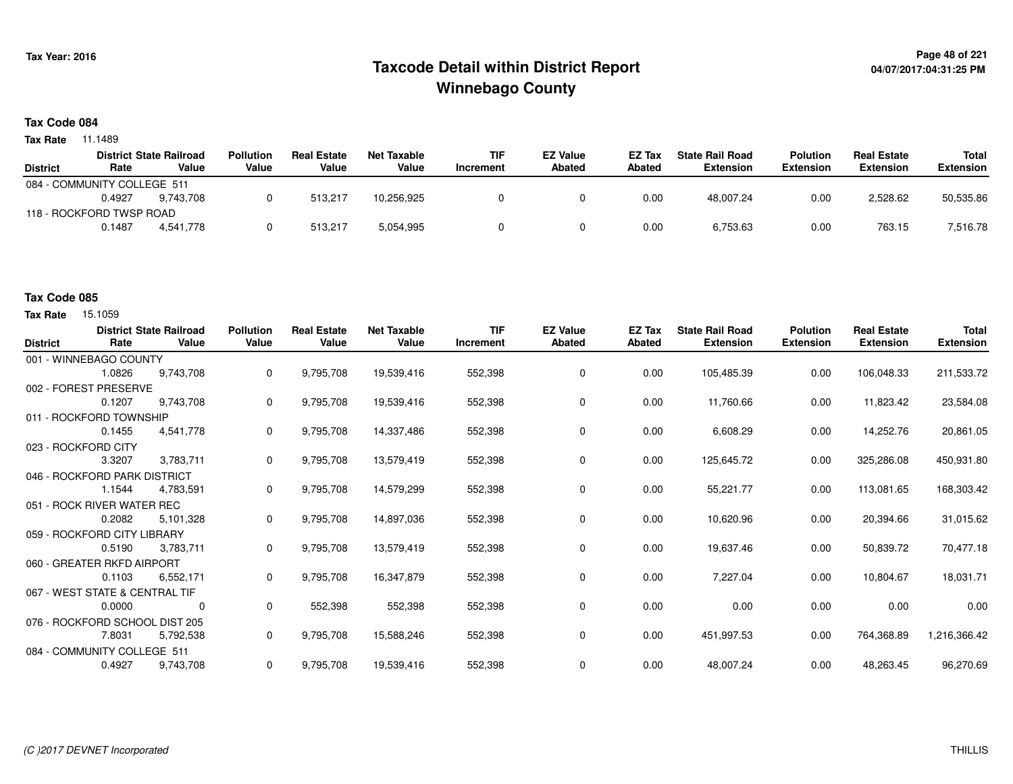## **Page 48 of 221 Taxcode Detail within District ReportWinnebago County**

# **04/07/2017:04:31:25 PM**

### **Tax Code 084**

**Tax Rate** 11.1489

|        |           | <b>Pollution</b>                                                                          | <b>Real Estate</b> | Net Taxable | <b>TIF</b> | <b>EZ Value</b> | <b>EZ Tax</b> | <b>State Rail Road</b> | <b>Polution</b>  | <b>Real Estate</b> | Total     |
|--------|-----------|-------------------------------------------------------------------------------------------|--------------------|-------------|------------|-----------------|---------------|------------------------|------------------|--------------------|-----------|
| Rate   | Value     | Value                                                                                     | Value              | Value       | Increment  | <b>Abated</b>   | <b>Abated</b> | <b>Extension</b>       | <b>Extension</b> | <b>Extension</b>   | Extension |
|        |           |                                                                                           |                    |             |            |                 |               |                        |                  |                    |           |
| 0.4927 | 9.743.708 |                                                                                           | 513.217            | 10.256.925  |            |                 | 0.00          | 48,007.24              | 0.00             | 2,528.62           | 50,535.86 |
|        |           |                                                                                           |                    |             |            |                 |               |                        |                  |                    |           |
| 0.1487 | 4.541.778 |                                                                                           | 513.217            | 5,054,995   |            |                 | 0.00          | 6,753.63               | 0.00             | 763.15             | 7,516.78  |
|        |           | <b>District State Railroad</b><br>084 - COMMUNITY COLLEGE 511<br>118 - ROCKFORD TWSP ROAD |                    |             |            |                 |               |                        |                  |                    |           |

### **Tax Code 085**

| <b>District</b> | Rate                           | <b>District State Railroad</b><br>Value | <b>Pollution</b><br>Value | <b>Real Estate</b><br>Value | <b>Net Taxable</b><br>Value | <b>TIF</b><br>Increment | <b>EZ Value</b><br><b>Abated</b> | EZ Tax<br>Abated | <b>State Rail Road</b><br><b>Extension</b> | <b>Polution</b><br><b>Extension</b> | <b>Real Estate</b><br><b>Extension</b> | <b>Total</b><br><b>Extension</b> |
|-----------------|--------------------------------|-----------------------------------------|---------------------------|-----------------------------|-----------------------------|-------------------------|----------------------------------|------------------|--------------------------------------------|-------------------------------------|----------------------------------------|----------------------------------|
|                 | 001 - WINNEBAGO COUNTY         |                                         |                           |                             |                             |                         |                                  |                  |                                            |                                     |                                        |                                  |
|                 | 1.0826                         | 9.743.708                               | 0                         | 9,795,708                   | 19,539,416                  | 552,398                 | 0                                | 0.00             | 105,485.39                                 | 0.00                                | 106,048.33                             | 211,533.72                       |
|                 | 002 - FOREST PRESERVE          |                                         |                           |                             |                             |                         |                                  |                  |                                            |                                     |                                        |                                  |
|                 | 0.1207                         | 9,743,708                               | 0                         | 9,795,708                   | 19,539,416                  | 552,398                 | 0                                | 0.00             | 11,760.66                                  | 0.00                                | 11,823.42                              | 23,584.08                        |
|                 | 011 - ROCKFORD TOWNSHIP        |                                         |                           |                             |                             |                         |                                  |                  |                                            |                                     |                                        |                                  |
|                 | 0.1455                         | 4,541,778                               | 0                         | 9,795,708                   | 14,337,486                  | 552,398                 | $\mathbf 0$                      | 0.00             | 6,608.29                                   | 0.00                                | 14,252.76                              | 20,861.05                        |
|                 | 023 - ROCKFORD CITY            |                                         |                           |                             |                             |                         |                                  |                  |                                            |                                     |                                        |                                  |
|                 | 3.3207                         | 3,783,711                               | 0                         | 9,795,708                   | 13,579,419                  | 552,398                 | 0                                | 0.00             | 125,645.72                                 | 0.00                                | 325,286.08                             | 450,931.80                       |
|                 | 046 - ROCKFORD PARK DISTRICT   |                                         |                           |                             |                             |                         |                                  |                  |                                            |                                     |                                        |                                  |
|                 | 1.1544                         | 4,783,591                               | 0                         | 9,795,708                   | 14,579,299                  | 552,398                 | 0                                | 0.00             | 55,221.77                                  | 0.00                                | 113,081.65                             | 168,303.42                       |
|                 | 051 - ROCK RIVER WATER REC     |                                         |                           |                             |                             |                         |                                  |                  |                                            |                                     |                                        |                                  |
|                 | 0.2082                         | 5,101,328                               | 0                         | 9,795,708                   | 14,897,036                  | 552,398                 | 0                                | 0.00             | 10,620.96                                  | 0.00                                | 20,394.66                              | 31,015.62                        |
|                 | 059 - ROCKFORD CITY LIBRARY    |                                         |                           |                             |                             |                         |                                  |                  |                                            |                                     |                                        |                                  |
|                 | 0.5190                         | 3,783,711                               | 0                         | 9,795,708                   | 13,579,419                  | 552,398                 | 0                                | 0.00             | 19,637.46                                  | 0.00                                | 50,839.72                              | 70,477.18                        |
|                 | 060 - GREATER RKFD AIRPORT     |                                         |                           |                             |                             |                         |                                  |                  |                                            |                                     |                                        |                                  |
|                 | 0.1103                         | 6,552,171                               | 0                         | 9,795,708                   | 16,347,879                  | 552,398                 | 0                                | 0.00             | 7,227.04                                   | 0.00                                | 10,804.67                              | 18,031.71                        |
|                 | 067 - WEST STATE & CENTRAL TIF |                                         |                           |                             |                             |                         |                                  |                  |                                            |                                     |                                        |                                  |
|                 | 0.0000                         | 0                                       | 0                         | 552,398                     | 552,398                     | 552,398                 | 0                                | 0.00             | 0.00                                       | 0.00                                | 0.00                                   | 0.00                             |
|                 | 076 - ROCKFORD SCHOOL DIST 205 |                                         |                           |                             |                             |                         |                                  |                  |                                            |                                     |                                        |                                  |
|                 | 7.8031                         | 5,792,538                               | $\Omega$                  | 9,795,708                   | 15,588,246                  | 552,398                 | 0                                | 0.00             | 451,997.53                                 | 0.00                                | 764,368.89                             | 1,216,366.42                     |
|                 | 084 - COMMUNITY COLLEGE 511    |                                         |                           |                             |                             |                         |                                  |                  |                                            |                                     |                                        |                                  |
|                 | 0.4927                         | 9,743,708                               | 0                         | 9,795,708                   | 19,539,416                  | 552,398                 | 0                                | 0.00             | 48,007.24                                  | 0.00                                | 48,263.45                              | 96,270.69                        |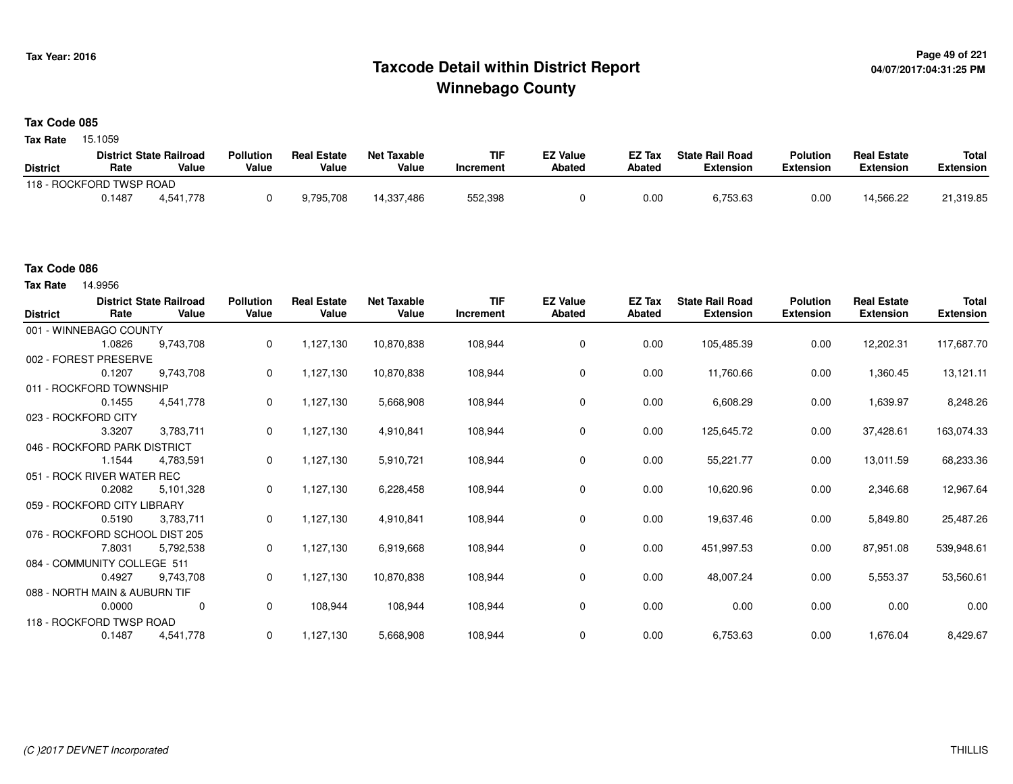## **Page 49 of 221 Taxcode Detail within District ReportWinnebago County**

#### **Tax Code 085**

**Tax Rate** 15.1059

|                          |        | <b>District State Railroad</b> | <b>Pollution</b> | <b>Real Estate</b> | <b>Net Taxable</b> | <b>TIF</b> | <b>EZ Value</b> | <b>EZ Tax</b> | <b>State Rail Road</b> | <b>Polution</b>  | <b>Real Estate</b> | <b>Total</b> |
|--------------------------|--------|--------------------------------|------------------|--------------------|--------------------|------------|-----------------|---------------|------------------------|------------------|--------------------|--------------|
| <b>District</b>          | Rate   | Value                          | Value            | Value              | Value              | Increment  | Abated          | <b>Abated</b> | <b>Extension</b>       | <b>Extension</b> | <b>Extension</b>   | Extension    |
| 118 - ROCKFORD TWSP ROAD |        |                                |                  |                    |                    |            |                 |               |                        |                  |                    |              |
|                          | 0.1487 | 4.541.778                      |                  | 9,795,708          | 14,337,486         | 552,398    |                 | 0.00          | 6,753.63               | 0.00             | 14.566.22          | 21,319.85    |

#### **Tax Code 086**

| <b>District</b>               | Rate   | <b>District State Railroad</b><br>Value | <b>Pollution</b><br>Value | <b>Real Estate</b><br>Value | <b>Net Taxable</b><br>Value | <b>TIF</b><br>Increment | <b>EZ Value</b><br>Abated | <b>EZ Tax</b><br>Abated | <b>State Rail Road</b><br><b>Extension</b> | <b>Polution</b><br><b>Extension</b> | <b>Real Estate</b><br><b>Extension</b> | Total<br><b>Extension</b> |
|-------------------------------|--------|-----------------------------------------|---------------------------|-----------------------------|-----------------------------|-------------------------|---------------------------|-------------------------|--------------------------------------------|-------------------------------------|----------------------------------------|---------------------------|
| 001 - WINNEBAGO COUNTY        |        |                                         |                           |                             |                             |                         |                           |                         |                                            |                                     |                                        |                           |
|                               | 1.0826 | 9,743,708                               | 0                         | 1,127,130                   | 10,870,838                  | 108,944                 | 0                         | 0.00                    | 105,485.39                                 | 0.00                                | 12,202.31                              | 117,687.70                |
| 002 - FOREST PRESERVE         |        |                                         |                           |                             |                             |                         |                           |                         |                                            |                                     |                                        |                           |
|                               | 0.1207 | 9,743,708                               | 0                         | 1,127,130                   | 10,870,838                  | 108,944                 | 0                         | 0.00                    | 11,760.66                                  | 0.00                                | 1,360.45                               | 13,121.11                 |
| 011 - ROCKFORD TOWNSHIP       |        |                                         |                           |                             |                             |                         |                           |                         |                                            |                                     |                                        |                           |
|                               | 0.1455 | 4,541,778                               | 0                         | 1,127,130                   | 5,668,908                   | 108,944                 | $\mathbf 0$               | 0.00                    | 6,608.29                                   | 0.00                                | 1,639.97                               | 8,248.26                  |
| 023 - ROCKFORD CITY           |        |                                         |                           |                             |                             |                         |                           |                         |                                            |                                     |                                        |                           |
|                               | 3.3207 | 3,783,711                               | 0                         | 1,127,130                   | 4,910,841                   | 108,944                 | 0                         | 0.00                    | 125,645.72                                 | 0.00                                | 37,428.61                              | 163,074.33                |
| 046 - ROCKFORD PARK DISTRICT  |        |                                         |                           |                             |                             |                         |                           |                         |                                            |                                     |                                        |                           |
|                               | 1.1544 | 4,783,591                               | 0                         | 1,127,130                   | 5,910,721                   | 108,944                 | 0                         | 0.00                    | 55,221.77                                  | 0.00                                | 13,011.59                              | 68,233.36                 |
| 051 - ROCK RIVER WATER REC    |        |                                         |                           |                             |                             |                         |                           |                         |                                            |                                     |                                        |                           |
|                               | 0.2082 | 5,101,328                               | 0                         | 1,127,130                   | 6,228,458                   | 108,944                 | 0                         | 0.00                    | 10,620.96                                  | 0.00                                | 2,346.68                               | 12,967.64                 |
| 059 - ROCKFORD CITY LIBRARY   |        |                                         |                           |                             |                             |                         |                           |                         |                                            |                                     |                                        |                           |
|                               | 0.5190 | 3,783,711                               | 0                         | 1,127,130                   | 4,910,841                   | 108,944                 | $\mathbf 0$               | 0.00                    | 19,637.46                                  | 0.00                                | 5,849.80                               | 25,487.26                 |
|                               |        | 076 - ROCKFORD SCHOOL DIST 205          |                           |                             |                             |                         |                           |                         |                                            |                                     |                                        |                           |
|                               | 7.8031 | 5,792,538                               | 0                         | 1,127,130                   | 6,919,668                   | 108,944                 | $\mathbf 0$               | 0.00                    | 451,997.53                                 | 0.00                                | 87,951.08                              | 539,948.61                |
| 084 - COMMUNITY COLLEGE 511   |        |                                         |                           |                             |                             |                         |                           |                         |                                            |                                     |                                        |                           |
|                               | 0.4927 | 9,743,708                               | 0                         | 1,127,130                   | 10,870,838                  | 108,944                 | 0                         | 0.00                    | 48,007.24                                  | 0.00                                | 5,553.37                               | 53,560.61                 |
| 088 - NORTH MAIN & AUBURN TIF |        |                                         |                           |                             |                             |                         |                           |                         |                                            |                                     |                                        |                           |
|                               | 0.0000 | $\mathbf 0$                             | 0                         | 108,944                     | 108,944                     | 108,944                 | $\mathbf 0$               | 0.00                    | 0.00                                       | 0.00                                | 0.00                                   | 0.00                      |
| 118 - ROCKFORD TWSP ROAD      |        |                                         |                           |                             |                             |                         |                           |                         |                                            |                                     |                                        |                           |
|                               | 0.1487 | 4,541,778                               | 0                         | 1,127,130                   | 5,668,908                   | 108,944                 | 0                         | 0.00                    | 6,753.63                                   | 0.00                                | 1,676.04                               | 8,429.67                  |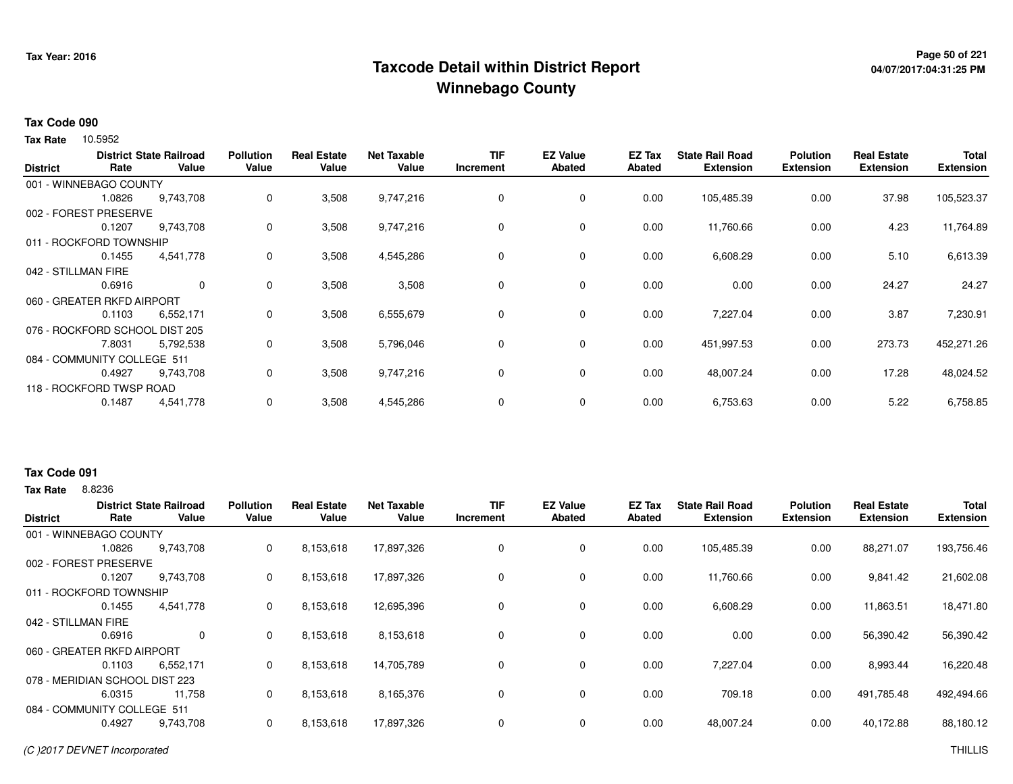## **Page 50 of 221 Taxcode Detail within District ReportWinnebago County**

# **04/07/2017:04:31:25 PM**

#### **Tax Code 090**

Tax Rate 10.5952

| <b>District</b>                | Rate   | <b>District State Railroad</b><br>Value | <b>Pollution</b><br>Value | <b>Real Estate</b><br>Value | <b>Net Taxable</b><br>Value | <b>TIF</b><br>Increment | <b>EZ Value</b><br><b>Abated</b> | EZ Tax<br><b>Abated</b> | <b>State Rail Road</b><br><b>Extension</b> | <b>Polution</b><br><b>Extension</b> | <b>Real Estate</b><br><b>Extension</b> | <b>Total</b><br><b>Extension</b> |
|--------------------------------|--------|-----------------------------------------|---------------------------|-----------------------------|-----------------------------|-------------------------|----------------------------------|-------------------------|--------------------------------------------|-------------------------------------|----------------------------------------|----------------------------------|
| 001 - WINNEBAGO COUNTY         |        |                                         |                           |                             |                             |                         |                                  |                         |                                            |                                     |                                        |                                  |
|                                | 1.0826 | 9,743,708                               | 0                         | 3,508                       | 9,747,216                   | 0                       | 0                                | 0.00                    | 105,485.39                                 | 0.00                                | 37.98                                  | 105,523.37                       |
| 002 - FOREST PRESERVE          |        |                                         |                           |                             |                             |                         |                                  |                         |                                            |                                     |                                        |                                  |
|                                | 0.1207 | 9,743,708                               | 0                         | 3,508                       | 9,747,216                   | 0                       | 0                                | 0.00                    | 11,760.66                                  | 0.00                                | 4.23                                   | 11,764.89                        |
| 011 - ROCKFORD TOWNSHIP        |        |                                         |                           |                             |                             |                         |                                  |                         |                                            |                                     |                                        |                                  |
|                                | 0.1455 | 4,541,778                               | 0                         | 3,508                       | 4,545,286                   | 0                       | $\mathbf 0$                      | 0.00                    | 6,608.29                                   | 0.00                                | 5.10                                   | 6,613.39                         |
| 042 - STILLMAN FIRE            |        |                                         |                           |                             |                             |                         |                                  |                         |                                            |                                     |                                        |                                  |
|                                | 0.6916 | $\mathbf 0$                             | 0                         | 3,508                       | 3,508                       | 0                       | $\mathbf 0$                      | 0.00                    | 0.00                                       | 0.00                                | 24.27                                  | 24.27                            |
| 060 - GREATER RKFD AIRPORT     |        |                                         |                           |                             |                             |                         |                                  |                         |                                            |                                     |                                        |                                  |
|                                | 0.1103 | 6,552,171                               | 0                         | 3,508                       | 6,555,679                   | 0                       | $\mathbf 0$                      | 0.00                    | 7,227.04                                   | 0.00                                | 3.87                                   | 7,230.91                         |
| 076 - ROCKFORD SCHOOL DIST 205 |        |                                         |                           |                             |                             |                         |                                  |                         |                                            |                                     |                                        |                                  |
|                                | 7.8031 | 5,792,538                               | 0                         | 3,508                       | 5,796,046                   | 0                       | $\mathbf 0$                      | 0.00                    | 451,997.53                                 | 0.00                                | 273.73                                 | 452,271.26                       |
| 084 - COMMUNITY COLLEGE 511    |        |                                         |                           |                             |                             |                         |                                  |                         |                                            |                                     |                                        |                                  |
|                                | 0.4927 | 9,743,708                               | 0                         | 3,508                       | 9,747,216                   | 0                       | 0                                | 0.00                    | 48,007.24                                  | 0.00                                | 17.28                                  | 48,024.52                        |
| 118 - ROCKFORD TWSP ROAD       |        |                                         |                           |                             |                             |                         |                                  |                         |                                            |                                     |                                        |                                  |
|                                | 0.1487 | 4,541,778                               | 0                         | 3,508                       | 4,545,286                   | 0                       | 0                                | 0.00                    | 6,753.63                                   | 0.00                                | 5.22                                   | 6,758.85                         |

### **Tax Rate** 8.8236 **Tax Code 091**

| <b>District</b>                | Rate   | <b>District State Railroad</b><br>Value | <b>Pollution</b><br>Value | <b>Real Estate</b><br>Value | <b>Net Taxable</b><br>Value | <b>TIF</b><br>Increment | <b>EZ Value</b><br><b>Abated</b> | <b>EZ Tax</b><br>Abated | <b>State Rail Road</b><br><b>Extension</b> | <b>Polution</b><br><b>Extension</b> | <b>Real Estate</b><br><b>Extension</b> | <b>Total</b><br><b>Extension</b> |
|--------------------------------|--------|-----------------------------------------|---------------------------|-----------------------------|-----------------------------|-------------------------|----------------------------------|-------------------------|--------------------------------------------|-------------------------------------|----------------------------------------|----------------------------------|
| 001 - WINNEBAGO COUNTY         |        |                                         |                           |                             |                             |                         |                                  |                         |                                            |                                     |                                        |                                  |
|                                | 1.0826 | 9,743,708                               | 0                         | 8,153,618                   | 17,897,326                  | 0                       | 0                                | 0.00                    | 105,485.39                                 | 0.00                                | 88,271.07                              | 193,756.46                       |
| 002 - FOREST PRESERVE          |        |                                         |                           |                             |                             |                         |                                  |                         |                                            |                                     |                                        |                                  |
|                                | 0.1207 | 9,743,708                               | 0                         | 8,153,618                   | 17,897,326                  | 0                       | 0                                | 0.00                    | 11,760.66                                  | 0.00                                | 9,841.42                               | 21,602.08                        |
| 011 - ROCKFORD TOWNSHIP        |        |                                         |                           |                             |                             |                         |                                  |                         |                                            |                                     |                                        |                                  |
|                                | 0.1455 | 4.541.778                               | 0                         | 8,153,618                   | 12,695,396                  | 0                       | 0                                | 0.00                    | 6,608.29                                   | 0.00                                | 11,863.51                              | 18,471.80                        |
| 042 - STILLMAN FIRE            |        |                                         |                           |                             |                             |                         |                                  |                         |                                            |                                     |                                        |                                  |
|                                | 0.6916 | 0                                       | 0                         | 8,153,618                   | 8,153,618                   | 0                       | 0                                | 0.00                    | 0.00                                       | 0.00                                | 56,390.42                              | 56,390.42                        |
| 060 - GREATER RKFD AIRPORT     |        |                                         |                           |                             |                             |                         |                                  |                         |                                            |                                     |                                        |                                  |
|                                | 0.1103 | 6,552,171                               | 0                         | 8,153,618                   | 14,705,789                  | 0                       | 0                                | 0.00                    | 7,227.04                                   | 0.00                                | 8,993.44                               | 16,220.48                        |
| 078 - MERIDIAN SCHOOL DIST 223 |        |                                         |                           |                             |                             |                         |                                  |                         |                                            |                                     |                                        |                                  |
|                                | 6.0315 | 11,758                                  | 0                         | 8,153,618                   | 8,165,376                   | 0                       | 0                                | 0.00                    | 709.18                                     | 0.00                                | 491,785.48                             | 492,494.66                       |
| 084 - COMMUNITY COLLEGE 511    |        |                                         |                           |                             |                             |                         |                                  |                         |                                            |                                     |                                        |                                  |
|                                | 0.4927 | 9,743,708                               | 0                         | 8,153,618                   | 17,897,326                  | 0                       | 0                                | 0.00                    | 48,007.24                                  | 0.00                                | 40,172.88                              | 88,180.12                        |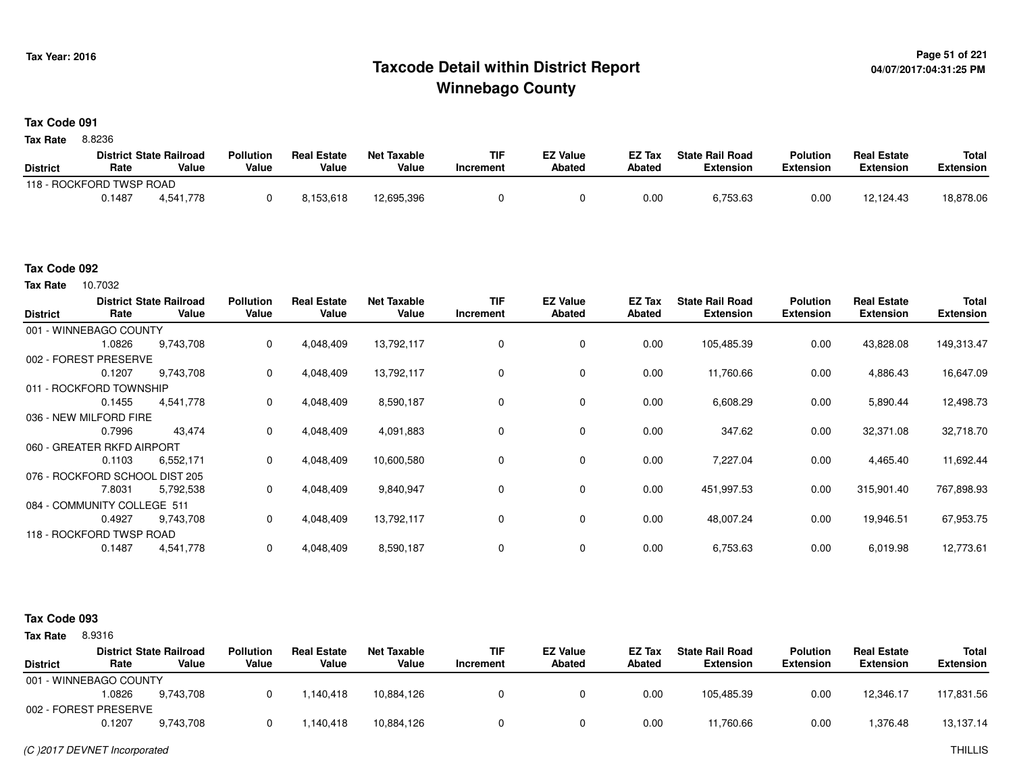### <sup>Page 51</sup> of <sup>221</sup>  $\blacksquare$  Page 51 of 221  $\blacksquare$ **Winnebago County**

#### **Tax Code 091**

8.8236 **Tax Rate**

|                          |        | <b>District State Railroad</b> | <b>Pollution</b> | <b>Real Estate</b> | <b>Net Taxable</b> | TIF       | <b>EZ Value</b> | <b>EZ Tax</b> | <b>State Rail Road</b> | <b>Polution</b>  | <b>Real Estate</b> | <b>Total</b> |
|--------------------------|--------|--------------------------------|------------------|--------------------|--------------------|-----------|-----------------|---------------|------------------------|------------------|--------------------|--------------|
| <b>District</b>          | Rate   | Value                          | Value            | Value              | Value              | Increment | <b>Abated</b>   | <b>Abated</b> | <b>Extension</b>       | <b>Extension</b> | <b>Extension</b>   | Extension    |
| 118 - ROCKFORD TWSP ROAD |        |                                |                  |                    |                    |           |                 |               |                        |                  |                    |              |
|                          | 0.1487 | 4.541.778                      |                  | 8.153.618          | 12,695,396         |           |                 | 0.00          | 6,753.63               | 0.00             | 12,124.43          | 18,878.06    |

#### **Tax Code 092**

Tax Rate 10.7032

| <b>District</b> | Rate                           | <b>District State Railroad</b><br>Value | <b>Pollution</b><br>Value | <b>Real Estate</b><br>Value | <b>Net Taxable</b><br>Value | TIF<br>Increment | <b>EZ Value</b><br><b>Abated</b> | EZ Tax<br>Abated | <b>State Rail Road</b><br><b>Extension</b> | <b>Polution</b><br><b>Extension</b> | <b>Real Estate</b><br><b>Extension</b> | Total<br><b>Extension</b> |
|-----------------|--------------------------------|-----------------------------------------|---------------------------|-----------------------------|-----------------------------|------------------|----------------------------------|------------------|--------------------------------------------|-------------------------------------|----------------------------------------|---------------------------|
|                 | 001 - WINNEBAGO COUNTY         |                                         |                           |                             |                             |                  |                                  |                  |                                            |                                     |                                        |                           |
|                 | 1.0826                         | 9,743,708                               | 0                         | 4,048,409                   | 13,792,117                  |                  | 0                                | 0.00             | 105,485.39                                 | 0.00                                | 43,828.08                              | 149,313.47                |
|                 | 002 - FOREST PRESERVE          |                                         |                           |                             |                             |                  |                                  |                  |                                            |                                     |                                        |                           |
|                 | 0.1207                         | 9,743,708                               | 0                         | 4,048,409                   | 13,792,117                  |                  | 0                                | 0.00             | 11,760.66                                  | 0.00                                | 4,886.43                               | 16,647.09                 |
|                 | 011 - ROCKFORD TOWNSHIP        |                                         |                           |                             |                             |                  |                                  |                  |                                            |                                     |                                        |                           |
|                 | 0.1455                         | 4.541.778                               | 0                         | 4,048,409                   | 8,590,187                   |                  | $\mathbf 0$                      | 0.00             | 6,608.29                                   | 0.00                                | 5,890.44                               | 12,498.73                 |
|                 | 036 - NEW MILFORD FIRE         |                                         |                           |                             |                             |                  |                                  |                  |                                            |                                     |                                        |                           |
|                 | 0.7996                         | 43,474                                  | $\Omega$                  | 4,048,409                   | 4,091,883                   |                  | 0                                | 0.00             | 347.62                                     | 0.00                                | 32,371.08                              | 32,718.70                 |
|                 | 060 - GREATER RKFD AIRPORT     |                                         |                           |                             |                             |                  |                                  |                  |                                            |                                     |                                        |                           |
|                 | 0.1103                         | 6,552,171                               | 0                         | 4,048,409                   | 10,600,580                  |                  | $\mathbf 0$                      | 0.00             | 7,227.04                                   | 0.00                                | 4,465.40                               | 11,692.44                 |
|                 | 076 - ROCKFORD SCHOOL DIST 205 |                                         |                           |                             |                             |                  |                                  |                  |                                            |                                     |                                        |                           |
|                 | 7.8031                         | 5,792,538                               | 0                         | 4,048,409                   | 9,840,947                   |                  | 0                                | 0.00             | 451,997.53                                 | 0.00                                | 315,901.40                             | 767,898.93                |
|                 | 084 - COMMUNITY COLLEGE 511    |                                         |                           |                             |                             |                  |                                  |                  |                                            |                                     |                                        |                           |
|                 | 0.4927                         | 9,743,708                               | 0                         | 4,048,409                   | 13,792,117                  | 0                | $\mathbf 0$                      | 0.00             | 48,007.24                                  | 0.00                                | 19,946.51                              | 67,953.75                 |
|                 | 118 - ROCKFORD TWSP ROAD       |                                         |                           |                             |                             |                  |                                  |                  |                                            |                                     |                                        |                           |
|                 | 0.1487                         | 4,541,778                               | 0                         | 4,048,409                   | 8,590,187                   |                  | 0                                | 0.00             | 6,753.63                                   | 0.00                                | 6,019.98                               | 12,773.61                 |

#### **Tax Code 093**

**State Railroad District ValueTIF IncrementEZ Value AbatedReal Estate ExtensionTotal ExtensionTax Rate** 8.9316 **DistrictPollution ValueReal Estate ValueNet Taxable Value Rate** 001 - WINNEBAGO COUNTY**Polution ExtensionState Rail Road ExtensionEZ Tax Abated**12,346.17 117,831.569,743,708 1.0826 9,743,708 <sup>0</sup> 1,140,418 10,884,126 <sup>0</sup> <sup>0</sup> 0.00 105,485.39 0.00 1,376.48 13,137.14002 - FOREST PRESERVE0.12077 9,743,708 0 1,140,418 10,884,126 0 0 0.00 11,760.66 0.00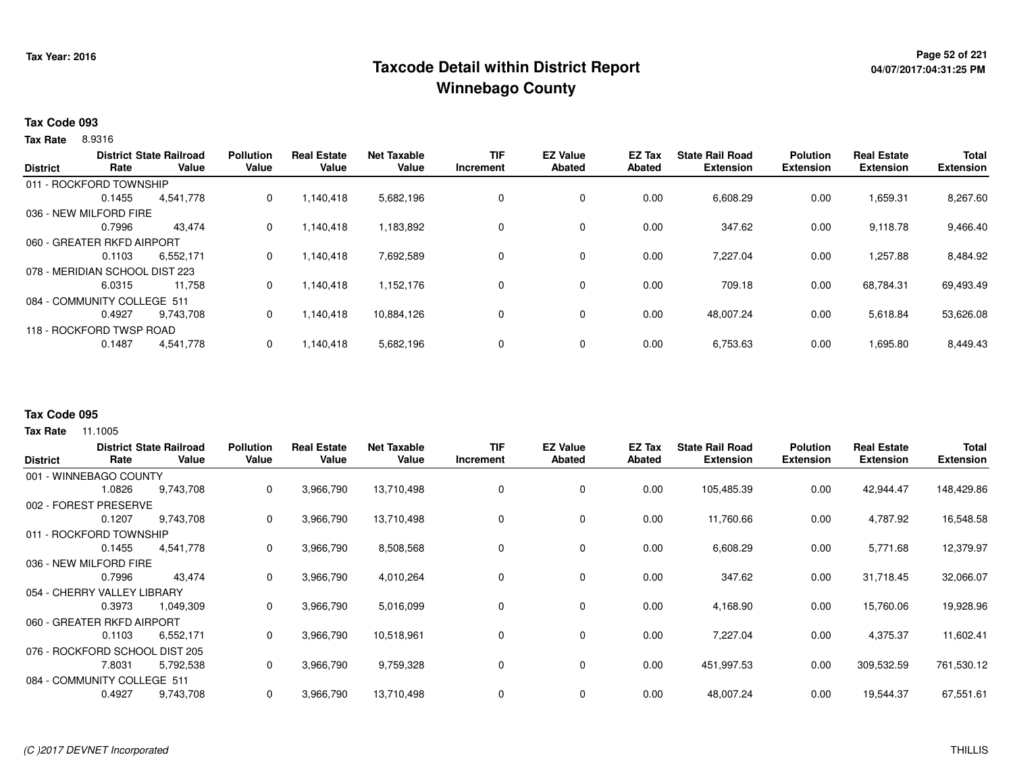## <sup>Page 52</sup> of 221 Page 52 of 221<br>Taxcode Detail within District Report های این موجع به موجع این موجع این موجع این موجع این موجع این موجع این موج **Winnebago County**

### **Tax Code 093**

8.9316 **Tax Rate**

| <b>District</b> | Rate                           | <b>District State Railroad</b><br>Value | <b>Pollution</b><br>Value | <b>Real Estate</b><br>Value | <b>Net Taxable</b><br>Value | <b>TIF</b><br>Increment | <b>EZ Value</b><br>Abated | <b>EZ Tax</b><br><b>Abated</b> | <b>State Rail Road</b><br><b>Extension</b> | <b>Polution</b><br><b>Extension</b> | <b>Real Estate</b><br><b>Extension</b> | <b>Total</b><br><b>Extension</b> |
|-----------------|--------------------------------|-----------------------------------------|---------------------------|-----------------------------|-----------------------------|-------------------------|---------------------------|--------------------------------|--------------------------------------------|-------------------------------------|----------------------------------------|----------------------------------|
|                 | 011 - ROCKFORD TOWNSHIP        |                                         |                           |                             |                             |                         |                           |                                |                                            |                                     |                                        |                                  |
|                 | 0.1455                         | 4,541,778                               | 0                         | 1,140,418                   | 5,682,196                   | 0                       | 0                         | 0.00                           | 6,608.29                                   | 0.00                                | 1,659.31                               | 8,267.60                         |
|                 | 036 - NEW MILFORD FIRE         |                                         |                           |                             |                             |                         |                           |                                |                                            |                                     |                                        |                                  |
|                 | 0.7996                         | 43,474                                  | $\Omega$                  | 1,140,418                   | 1,183,892                   | $\Omega$                | $\Omega$                  | 0.00                           | 347.62                                     | 0.00                                | 9,118.78                               | 9,466.40                         |
|                 | 060 - GREATER RKFD AIRPORT     |                                         |                           |                             |                             |                         |                           |                                |                                            |                                     |                                        |                                  |
|                 | 0.1103                         | 6.552.171                               | 0                         | 1.140.418                   | 7,692,589                   | 0                       | 0                         | 0.00                           | 7,227.04                                   | 0.00                                | 1,257.88                               | 8,484.92                         |
|                 | 078 - MERIDIAN SCHOOL DIST 223 |                                         |                           |                             |                             |                         |                           |                                |                                            |                                     |                                        |                                  |
|                 | 6.0315                         | 11.758                                  | 0                         | 1.140.418                   | 1,152,176                   | 0                       | 0                         | 0.00                           | 709.18                                     | 0.00                                | 68,784.31                              | 69,493.49                        |
|                 | 084 - COMMUNITY COLLEGE 511    |                                         |                           |                             |                             |                         |                           |                                |                                            |                                     |                                        |                                  |
|                 | 0.4927                         | 9.743.708                               | $\Omega$                  | 1,140,418                   | 10,884,126                  | 0                       | 0                         | 0.00                           | 48,007.24                                  | 0.00                                | 5,618.84                               | 53,626.08                        |
|                 | 118 - ROCKFORD TWSP ROAD       |                                         |                           |                             |                             |                         |                           |                                |                                            |                                     |                                        |                                  |
|                 | 0.1487                         | 4,541,778                               | $\Omega$                  | 1.140.418                   | 5,682,196                   | 0                       | $\mathbf 0$               | 0.00                           | 6,753.63                                   | 0.00                                | 1,695.80                               | 8,449.43                         |
|                 |                                |                                         |                           |                             |                             |                         |                           |                                |                                            |                                     |                                        |                                  |

#### **Tax Code 095**

| <b>District</b> | Rate                           | <b>District State Railroad</b><br>Value | <b>Pollution</b><br>Value | <b>Real Estate</b><br>Value | <b>Net Taxable</b><br>Value | TIF<br>Increment | <b>EZ Value</b><br><b>Abated</b> | EZ Tax<br><b>Abated</b> | <b>State Rail Road</b><br><b>Extension</b> | <b>Polution</b><br><b>Extension</b> | <b>Real Estate</b><br><b>Extension</b> | <b>Total</b><br><b>Extension</b> |
|-----------------|--------------------------------|-----------------------------------------|---------------------------|-----------------------------|-----------------------------|------------------|----------------------------------|-------------------------|--------------------------------------------|-------------------------------------|----------------------------------------|----------------------------------|
|                 | 001 - WINNEBAGO COUNTY         |                                         |                           |                             |                             |                  |                                  |                         |                                            |                                     |                                        |                                  |
|                 | 1.0826                         | 9,743,708                               | 0                         | 3,966,790                   | 13,710,498                  |                  | $\mathbf 0$                      | 0.00                    | 105,485.39                                 | 0.00                                | 42,944.47                              | 148,429.86                       |
|                 | 002 - FOREST PRESERVE          |                                         |                           |                             |                             |                  |                                  |                         |                                            |                                     |                                        |                                  |
|                 | 0.1207                         | 9,743,708                               | 0                         | 3,966,790                   | 13,710,498                  |                  | 0                                | 0.00                    | 11,760.66                                  | 0.00                                | 4,787.92                               | 16,548.58                        |
|                 | 011 - ROCKFORD TOWNSHIP        |                                         |                           |                             |                             |                  |                                  |                         |                                            |                                     |                                        |                                  |
|                 | 0.1455                         | 4,541,778                               | 0                         | 3,966,790                   | 8,508,568                   |                  | 0                                | 0.00                    | 6,608.29                                   | 0.00                                | 5,771.68                               | 12,379.97                        |
|                 | 036 - NEW MILFORD FIRE         |                                         |                           |                             |                             |                  |                                  |                         |                                            |                                     |                                        |                                  |
|                 | 0.7996                         | 43,474                                  | 0                         | 3,966,790                   | 4,010,264                   |                  | $\mathbf 0$                      | 0.00                    | 347.62                                     | 0.00                                | 31,718.45                              | 32,066.07                        |
|                 | 054 - CHERRY VALLEY LIBRARY    |                                         |                           |                             |                             |                  |                                  |                         |                                            |                                     |                                        |                                  |
|                 | 0.3973                         | 1,049,309                               | 0                         | 3,966,790                   | 5,016,099                   |                  | $\mathbf 0$                      | 0.00                    | 4,168.90                                   | 0.00                                | 15,760.06                              | 19,928.96                        |
|                 | 060 - GREATER RKFD AIRPORT     |                                         |                           |                             |                             |                  |                                  |                         |                                            |                                     |                                        |                                  |
|                 | 0.1103                         | 6,552,171                               | 0                         | 3,966,790                   | 10,518,961                  | 0                | 0                                | 0.00                    | 7,227.04                                   | 0.00                                | 4,375.37                               | 11,602.41                        |
|                 | 076 - ROCKFORD SCHOOL DIST 205 |                                         |                           |                             |                             |                  |                                  |                         |                                            |                                     |                                        |                                  |
|                 | 7.8031                         | 5,792,538                               | 0                         | 3,966,790                   | 9,759,328                   | 0                | 0                                | 0.00                    | 451,997.53                                 | 0.00                                | 309,532.59                             | 761,530.12                       |
|                 | 084 - COMMUNITY COLLEGE 511    |                                         |                           |                             |                             |                  |                                  |                         |                                            |                                     |                                        |                                  |
|                 | 0.4927                         | 9,743,708                               | 0                         | 3,966,790                   | 13,710,498                  |                  | 0                                | 0.00                    | 48,007.24                                  | 0.00                                | 19,544.37                              | 67,551.61                        |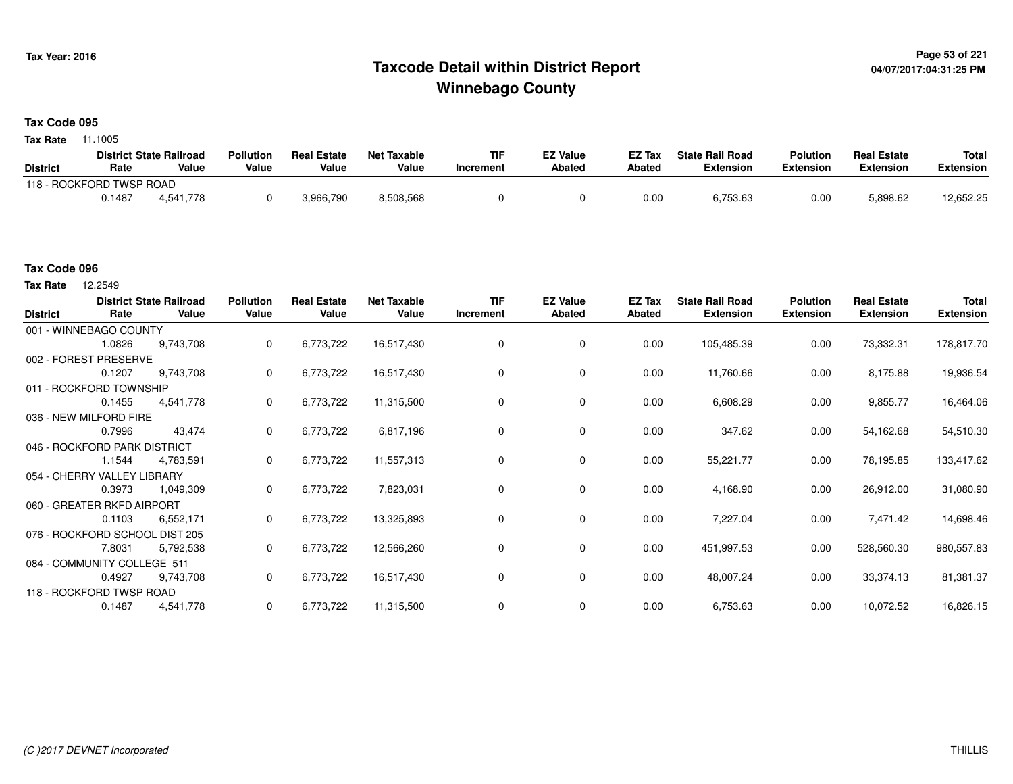## **Page 53 of 221 Taxcode Detail within District ReportWinnebago County**

#### **Tax Code 095**

**Tax Rate** 11.1005

|                          |        | <b>District State Railroad</b> | <b>Pollution</b> | <b>Real Estate</b> | <b>Net Taxable</b> | TIF       | <b>EZ Value</b> | <b>EZ Tax</b> | <b>State Rail Road</b> | <b>Polution</b>  | <b>Real Estate</b> | <b>Total</b> |
|--------------------------|--------|--------------------------------|------------------|--------------------|--------------------|-----------|-----------------|---------------|------------------------|------------------|--------------------|--------------|
| <b>District</b>          | Rate   | Value                          | Value            | Value              | Value              | Increment | <b>Abated</b>   | <b>Abated</b> | <b>Extension</b>       | <b>Extension</b> | <b>Extension</b>   | Extension    |
| 118 - ROCKFORD TWSP ROAD |        |                                |                  |                    |                    |           |                 |               |                        |                  |                    |              |
|                          | 0.1487 | 4.541.778                      |                  | 3,966,790          | 8,508,568          |           |                 | 0.00          | 6,753.63               | 0.00             | 5,898.62           | 12,652.25    |

#### **Tax Code 096**

| <b>District</b>              | Rate                        | <b>District State Railroad</b><br>Value | <b>Pollution</b><br>Value | <b>Real Estate</b><br>Value | <b>Net Taxable</b><br>Value | <b>TIF</b><br>Increment | <b>EZ Value</b><br><b>Abated</b> | EZ Tax<br><b>Abated</b> | <b>State Rail Road</b><br><b>Extension</b> | <b>Polution</b><br><b>Extension</b> | <b>Real Estate</b><br><b>Extension</b> | <b>Total</b><br><b>Extension</b> |
|------------------------------|-----------------------------|-----------------------------------------|---------------------------|-----------------------------|-----------------------------|-------------------------|----------------------------------|-------------------------|--------------------------------------------|-------------------------------------|----------------------------------------|----------------------------------|
|                              | 001 - WINNEBAGO COUNTY      |                                         |                           |                             |                             |                         |                                  |                         |                                            |                                     |                                        |                                  |
|                              | 1.0826                      | 9,743,708                               | $\mathbf{0}$              | 6,773,722                   | 16,517,430                  | 0                       | 0                                | 0.00                    | 105,485.39                                 | 0.00                                | 73,332.31                              | 178,817.70                       |
|                              | 002 - FOREST PRESERVE       |                                         |                           |                             |                             |                         |                                  |                         |                                            |                                     |                                        |                                  |
|                              | 0.1207                      | 9,743,708                               | 0                         | 6,773,722                   | 16,517,430                  | 0                       | 0                                | 0.00                    | 11,760.66                                  | 0.00                                | 8,175.88                               | 19,936.54                        |
|                              | 011 - ROCKFORD TOWNSHIP     |                                         |                           |                             |                             |                         |                                  |                         |                                            |                                     |                                        |                                  |
|                              | 0.1455                      | 4,541,778                               | $\mathbf{0}$              | 6,773,722                   | 11,315,500                  | $\Omega$                | 0                                | 0.00                    | 6,608.29                                   | 0.00                                | 9,855.77                               | 16,464.06                        |
|                              | 036 - NEW MILFORD FIRE      |                                         |                           |                             |                             |                         |                                  |                         |                                            |                                     |                                        |                                  |
|                              | 0.7996                      | 43,474                                  | 0                         | 6,773,722                   | 6,817,196                   | 0                       | 0                                | 0.00                    | 347.62                                     | 0.00                                | 54,162.68                              | 54,510.30                        |
| 046 - ROCKFORD PARK DISTRICT |                             |                                         |                           |                             |                             |                         |                                  |                         |                                            |                                     |                                        |                                  |
|                              | 1.1544                      | 4,783,591                               | 0                         | 6,773,722                   | 11,557,313                  | 0                       | 0                                | 0.00                    | 55,221.77                                  | 0.00                                | 78,195.85                              | 133,417.62                       |
|                              | 054 - CHERRY VALLEY LIBRARY |                                         |                           |                             |                             |                         |                                  |                         |                                            |                                     |                                        |                                  |
|                              | 0.3973                      | 1,049,309                               | $\mathbf{0}$              | 6,773,722                   | 7,823,031                   | 0                       | 0                                | 0.00                    | 4,168.90                                   | 0.00                                | 26,912.00                              | 31,080.90                        |
|                              | 060 - GREATER RKFD AIRPORT  |                                         |                           |                             |                             |                         |                                  |                         |                                            |                                     |                                        |                                  |
|                              | 0.1103                      | 6,552,171                               | $\mathbf{0}$              | 6,773,722                   | 13,325,893                  | 0                       | $\mathbf 0$                      | 0.00                    | 7,227.04                                   | 0.00                                | 7,471.42                               | 14,698.46                        |
|                              |                             | 076 - ROCKFORD SCHOOL DIST 205          |                           |                             |                             |                         |                                  |                         |                                            |                                     |                                        |                                  |
|                              | 7.8031                      | 5,792,538                               | 0                         | 6,773,722                   | 12,566,260                  | 0                       | 0                                | 0.00                    | 451,997.53                                 | 0.00                                | 528,560.30                             | 980,557.83                       |
|                              | 084 - COMMUNITY COLLEGE 511 |                                         |                           |                             |                             |                         |                                  |                         |                                            |                                     |                                        |                                  |
|                              | 0.4927                      | 9,743,708                               | 0                         | 6,773,722                   | 16,517,430                  | 0                       | 0                                | 0.00                    | 48,007.24                                  | 0.00                                | 33,374.13                              | 81,381.37                        |
|                              | 118 - ROCKFORD TWSP ROAD    |                                         |                           |                             |                             |                         |                                  |                         |                                            |                                     |                                        |                                  |
|                              | 0.1487                      | 4,541,778                               | 0                         | 6,773,722                   | 11,315,500                  | 0                       | 0                                | 0.00                    | 6,753.63                                   | 0.00                                | 10,072.52                              | 16,826.15                        |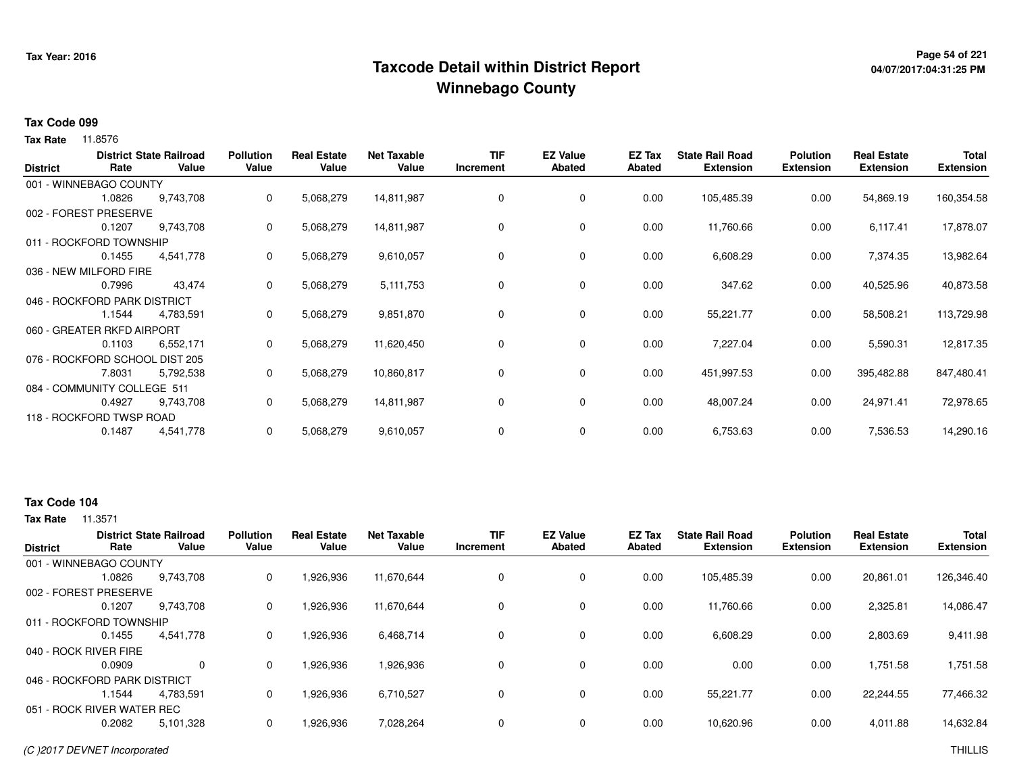## **Page 54 of 221 Taxcode Detail within District ReportWinnebago County**

# **04/07/2017:04:31:25 PM**

#### **Tax Code 099**

**Tax Rate** 11.8576

| <b>District</b> | Rate                           | <b>District State Railroad</b><br>Value | <b>Pollution</b><br>Value | <b>Real Estate</b><br>Value | <b>Net Taxable</b><br>Value | <b>TIF</b><br>Increment | <b>EZ Value</b><br><b>Abated</b> | EZ Tax<br>Abated | <b>State Rail Road</b><br><b>Extension</b> | <b>Polution</b><br><b>Extension</b> | <b>Real Estate</b><br><b>Extension</b> | <b>Total</b><br><b>Extension</b> |
|-----------------|--------------------------------|-----------------------------------------|---------------------------|-----------------------------|-----------------------------|-------------------------|----------------------------------|------------------|--------------------------------------------|-------------------------------------|----------------------------------------|----------------------------------|
|                 | 001 - WINNEBAGO COUNTY         |                                         |                           |                             |                             |                         |                                  |                  |                                            |                                     |                                        |                                  |
|                 | 1.0826                         | 9,743,708                               | 0                         | 5,068,279                   | 14,811,987                  | 0                       | 0                                | 0.00             | 105,485.39                                 | 0.00                                | 54,869.19                              | 160,354.58                       |
|                 | 002 - FOREST PRESERVE          |                                         |                           |                             |                             |                         |                                  |                  |                                            |                                     |                                        |                                  |
|                 | 0.1207                         | 9,743,708                               | 0                         | 5,068,279                   | 14,811,987                  | 0                       | 0                                | 0.00             | 11,760.66                                  | 0.00                                | 6,117.41                               | 17,878.07                        |
|                 | 011 - ROCKFORD TOWNSHIP        |                                         |                           |                             |                             |                         |                                  |                  |                                            |                                     |                                        |                                  |
|                 | 0.1455                         | 4,541,778                               | 0                         | 5,068,279                   | 9,610,057                   | 0                       | $\mathbf 0$                      | 0.00             | 6,608.29                                   | 0.00                                | 7,374.35                               | 13,982.64                        |
|                 | 036 - NEW MILFORD FIRE         |                                         |                           |                             |                             |                         |                                  |                  |                                            |                                     |                                        |                                  |
|                 | 0.7996                         | 43,474                                  | 0                         | 5,068,279                   | 5, 111, 753                 | 0                       | 0                                | 0.00             | 347.62                                     | 0.00                                | 40,525.96                              | 40,873.58                        |
|                 | 046 - ROCKFORD PARK DISTRICT   |                                         |                           |                             |                             |                         |                                  |                  |                                            |                                     |                                        |                                  |
|                 | 1.1544                         | 4,783,591                               | 0                         | 5,068,279                   | 9,851,870                   | 0                       | 0                                | 0.00             | 55,221.77                                  | 0.00                                | 58,508.21                              | 113,729.98                       |
|                 | 060 - GREATER RKFD AIRPORT     |                                         |                           |                             |                             |                         |                                  |                  |                                            |                                     |                                        |                                  |
|                 | 0.1103                         | 6,552,171                               | 0                         | 5,068,279                   | 11,620,450                  | 0                       | 0                                | 0.00             | 7,227.04                                   | 0.00                                | 5,590.31                               | 12,817.35                        |
|                 | 076 - ROCKFORD SCHOOL DIST 205 |                                         |                           |                             |                             |                         |                                  |                  |                                            |                                     |                                        |                                  |
|                 | 7.8031                         | 5,792,538                               | 0                         | 5,068,279                   | 10,860,817                  | 0                       | 0                                | 0.00             | 451,997.53                                 | 0.00                                | 395,482.88                             | 847,480.41                       |
|                 | 084 - COMMUNITY COLLEGE 511    |                                         |                           |                             |                             |                         |                                  |                  |                                            |                                     |                                        |                                  |
|                 | 0.4927                         | 9,743,708                               | 0                         | 5,068,279                   | 14,811,987                  | 0                       | 0                                | 0.00             | 48,007.24                                  | 0.00                                | 24,971.41                              | 72,978.65                        |
|                 | 118 - ROCKFORD TWSP ROAD       |                                         |                           |                             |                             |                         |                                  |                  |                                            |                                     |                                        |                                  |
|                 | 0.1487                         | 4,541,778                               | 0                         | 5,068,279                   | 9,610,057                   | 0                       | 0                                | 0.00             | 6,753.63                                   | 0.00                                | 7,536.53                               | 14,290.16                        |

### **Tax Code 104**

| <b>District</b>              |        | <b>District State Railroad</b> | <b>Pollution</b> | <b>Real Estate</b> | <b>Net Taxable</b> | <b>TIF</b> | <b>EZ Value</b> | EZ Tax | <b>State Rail Road</b> | <b>Polution</b>  | <b>Real Estate</b> | <b>Total</b>     |
|------------------------------|--------|--------------------------------|------------------|--------------------|--------------------|------------|-----------------|--------|------------------------|------------------|--------------------|------------------|
|                              | Rate   | Value                          | Value            | Value              | Value              | Increment  | Abated          | Abated | <b>Extension</b>       | <b>Extension</b> | <b>Extension</b>   | <b>Extension</b> |
| 001 - WINNEBAGO COUNTY       |        |                                |                  |                    |                    |            |                 |        |                        |                  |                    |                  |
|                              | 1.0826 | 9,743,708                      | 0                | 1,926,936          | 11,670,644         |            | 0               | 0.00   | 105,485.39             | 0.00             | 20,861.01          | 126,346.40       |
| 002 - FOREST PRESERVE        |        |                                |                  |                    |                    |            |                 |        |                        |                  |                    |                  |
|                              | 0.1207 | 9.743.708                      | 0                | 1.926.936          | 11.670.644         |            | $\Omega$        | 0.00   | 11.760.66              | 0.00             | 2,325.81           | 14.086.47        |
| 011 - ROCKFORD TOWNSHIP      |        |                                |                  |                    |                    |            |                 |        |                        |                  |                    |                  |
|                              | 0.1455 | 4,541,778                      | 0                | 1,926,936          | 6,468,714          |            | 0               | 0.00   | 6,608.29               | 0.00             | 2,803.69           | 9,411.98         |
| 040 - ROCK RIVER FIRE        |        |                                |                  |                    |                    |            |                 |        |                        |                  |                    |                  |
|                              | 0.0909 | $\Omega$                       | 0                | 1,926,936          | 1,926,936          |            | 0               | 0.00   | 0.00                   | 0.00             | 1,751.58           | 1,751.58         |
| 046 - ROCKFORD PARK DISTRICT |        |                                |                  |                    |                    |            |                 |        |                        |                  |                    |                  |
|                              | 1.1544 | 4.783.591                      | 0                | 1,926,936          | 6,710,527          |            | $\Omega$        | 0.00   | 55,221.77              | 0.00             | 22.244.55          | 77,466.32        |
| 051 - ROCK RIVER WATER REC   |        |                                |                  |                    |                    |            |                 |        |                        |                  |                    |                  |
|                              | 0.2082 | 5,101,328                      | 0                | 1,926,936          | 7,028,264          |            | $\Omega$        | 0.00   | 10,620.96              | 0.00             | 4,011.88           | 14,632.84        |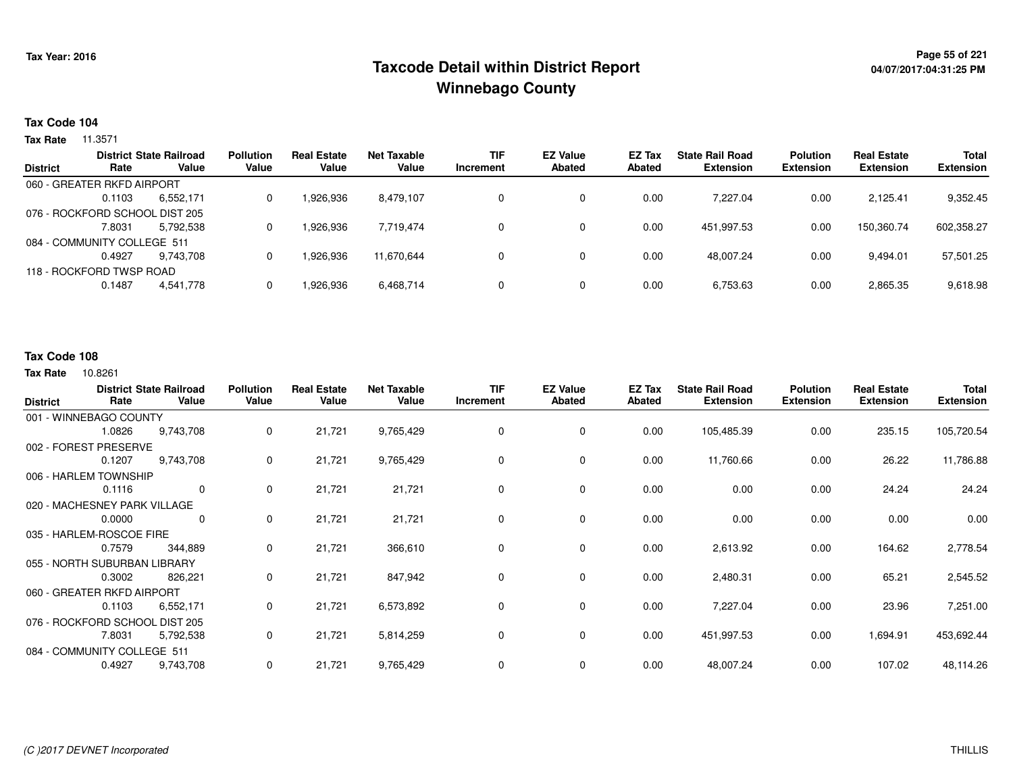## **Page 55 of 221 Taxcode Detail within District ReportWinnebago County**

### **Tax Code 104**

**Tax Rate** 11.3571

| <b>District State Railroad</b> | <b>Pollution</b>                                                                                                                 | <b>Real Estate</b> | Net Taxable | <b>TIF</b> | <b>EZ Value</b> | <b>EZ Tax</b> | <b>State Rail Road</b> | <b>Polution</b>  | <b>Real Estate</b> | <b>Total</b>     |
|--------------------------------|----------------------------------------------------------------------------------------------------------------------------------|--------------------|-------------|------------|-----------------|---------------|------------------------|------------------|--------------------|------------------|
|                                |                                                                                                                                  |                    |             | Increment  |                 |               |                        |                  |                    | <b>Extension</b> |
|                                |                                                                                                                                  |                    |             |            |                 |               |                        |                  |                    |                  |
| 6,552,171                      | 0                                                                                                                                | 926,936.           | 8,479,107   |            | 0               | 0.00          | 7.227.04               | 0.00             | 2.125.41           | 9,352.45         |
|                                |                                                                                                                                  |                    |             |            |                 |               |                        |                  |                    |                  |
| 5,792,538                      | 0                                                                                                                                | 926,936.           | 7,719,474   |            | 0               | 0.00          | 451.997.53             | 0.00             | 150,360.74         | 602,358.27       |
|                                |                                                                                                                                  |                    |             |            |                 |               |                        |                  |                    |                  |
| 9.743.708                      | 0                                                                                                                                | 926,936.           | 11.670.644  |            | 0               | 0.00          | 48.007.24              | 0.00             | 9.494.01           | 57,501.25        |
|                                |                                                                                                                                  |                    |             |            |                 |               |                        |                  |                    |                  |
| 4.541.778                      | 0                                                                                                                                | 1,926,936          | 6,468,714   |            | 0               | 0.00          | 6,753.63               | 0.00             | 2,865.35           | 9,618.98         |
|                                | Value<br>060 - GREATER RKFD AIRPORT<br>076 - ROCKFORD SCHOOL DIST 205<br>084 - COMMUNITY COLLEGE 511<br>118 - ROCKFORD TWSP ROAD | Value              | Value       | Value      |                 | <b>Abated</b> | Abated                 | <b>Extension</b> | <b>Extension</b>   | <b>Extension</b> |

### **Tax Code 108**

| <b>District</b> | Rate                           | <b>District State Railroad</b><br>Value | <b>Pollution</b><br>Value | <b>Real Estate</b><br>Value | <b>Net Taxable</b><br>Value | <b>TIF</b><br>Increment | <b>EZ Value</b><br><b>Abated</b> | EZ Tax<br><b>Abated</b> | <b>State Rail Road</b><br><b>Extension</b> | <b>Polution</b><br><b>Extension</b> | <b>Real Estate</b><br><b>Extension</b> | Total<br><b>Extension</b> |
|-----------------|--------------------------------|-----------------------------------------|---------------------------|-----------------------------|-----------------------------|-------------------------|----------------------------------|-------------------------|--------------------------------------------|-------------------------------------|----------------------------------------|---------------------------|
|                 | 001 - WINNEBAGO COUNTY         |                                         |                           |                             |                             |                         |                                  |                         |                                            |                                     |                                        |                           |
|                 | 1.0826                         | 9,743,708                               | 0                         | 21,721                      | 9,765,429                   | 0                       | $\mathbf{0}$                     | 0.00                    | 105,485.39                                 | 0.00                                | 235.15                                 | 105,720.54                |
|                 | 002 - FOREST PRESERVE          |                                         |                           |                             |                             |                         |                                  |                         |                                            |                                     |                                        |                           |
|                 | 0.1207                         | 9,743,708                               | 0                         | 21,721                      | 9,765,429                   | 0                       | 0                                | 0.00                    | 11,760.66                                  | 0.00                                | 26.22                                  | 11,786.88                 |
|                 | 006 - HARLEM TOWNSHIP          |                                         |                           |                             |                             |                         |                                  |                         |                                            |                                     |                                        |                           |
|                 | 0.1116                         | 0                                       | 0                         | 21,721                      | 21,721                      | 0                       | 0                                | 0.00                    | 0.00                                       | 0.00                                | 24.24                                  | 24.24                     |
|                 | 020 - MACHESNEY PARK VILLAGE   |                                         |                           |                             |                             |                         |                                  |                         |                                            |                                     |                                        |                           |
|                 | 0.0000                         | 0                                       | 0                         | 21,721                      | 21,721                      | 0                       | $\mathbf 0$                      | 0.00                    | 0.00                                       | 0.00                                | 0.00                                   | 0.00                      |
|                 | 035 - HARLEM-ROSCOE FIRE       |                                         |                           |                             |                             |                         |                                  |                         |                                            |                                     |                                        |                           |
|                 | 0.7579                         | 344,889                                 | 0                         | 21,721                      | 366,610                     | 0                       | 0                                | 0.00                    | 2,613.92                                   | 0.00                                | 164.62                                 | 2,778.54                  |
|                 | 055 - NORTH SUBURBAN LIBRARY   |                                         |                           |                             |                             |                         |                                  |                         |                                            |                                     |                                        |                           |
|                 | 0.3002                         | 826,221                                 | 0                         | 21,721                      | 847,942                     | 0                       | 0                                | 0.00                    | 2,480.31                                   | 0.00                                | 65.21                                  | 2,545.52                  |
|                 | 060 - GREATER RKFD AIRPORT     |                                         |                           |                             |                             |                         |                                  |                         |                                            |                                     |                                        |                           |
|                 | 0.1103                         | 6,552,171                               | 0                         | 21,721                      | 6,573,892                   | 0                       | 0                                | 0.00                    | 7,227.04                                   | 0.00                                | 23.96                                  | 7,251.00                  |
|                 | 076 - ROCKFORD SCHOOL DIST 205 |                                         |                           |                             |                             |                         |                                  |                         |                                            |                                     |                                        |                           |
|                 | 7.8031                         | 5,792,538                               | 0                         | 21,721                      | 5,814,259                   | 0                       | $\mathbf{0}$                     | 0.00                    | 451,997.53                                 | 0.00                                | 1,694.91                               | 453,692.44                |
|                 | 084 - COMMUNITY COLLEGE 511    |                                         |                           |                             |                             |                         |                                  |                         |                                            |                                     |                                        |                           |
|                 | 0.4927                         | 9,743,708                               | 0                         | 21,721                      | 9,765,429                   | 0                       | $\mathbf 0$                      | 0.00                    | 48,007.24                                  | 0.00                                | 107.02                                 | 48,114.26                 |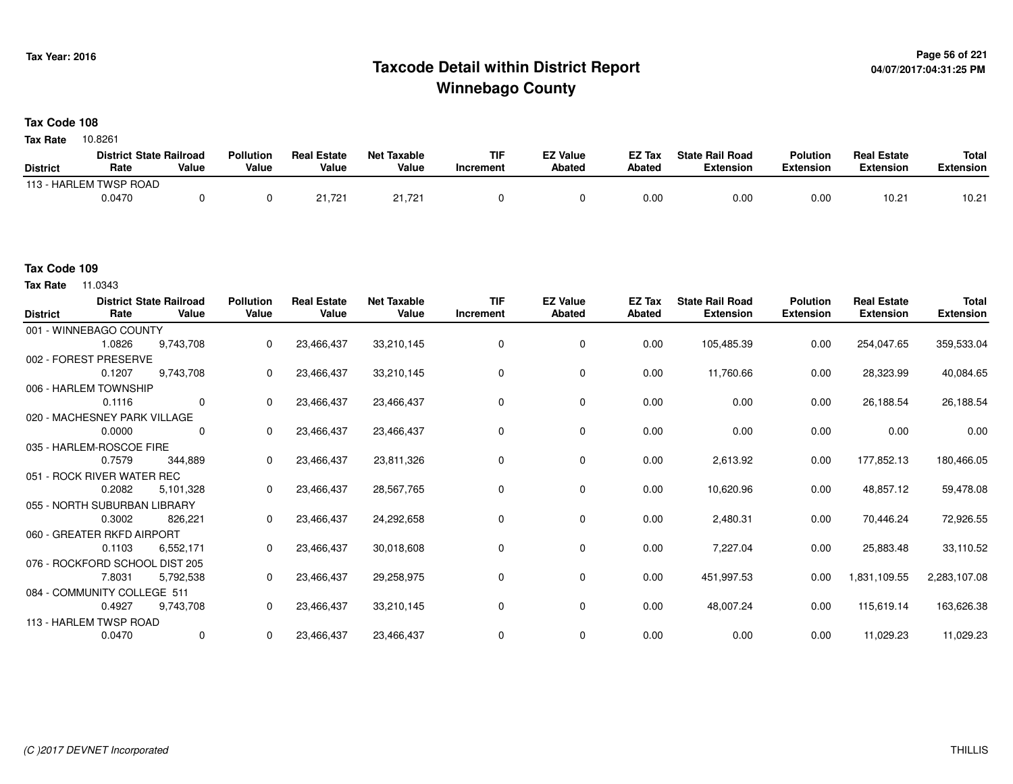## **Page 56 of 221 Taxcode Detail within District ReportWinnebago County**

#### **Tax Code 108**

10.8261 **Tax Rate**

|                 | <b>District State Railroad</b> |       | <b>Pollution</b> | <b>Real Estate</b> | Net Taxable | TIF       | <b>EZ Value</b> | <b>EZ Tax</b> | <b>State Rail Road</b> | <b>Polution</b>  | <b>Real Estate</b> | <b>Total</b> |
|-----------------|--------------------------------|-------|------------------|--------------------|-------------|-----------|-----------------|---------------|------------------------|------------------|--------------------|--------------|
| <b>District</b> | Rate                           | Value | Value            | Value              | Value       | Increment | Abated          | <b>Abated</b> | <b>Extension</b>       | <b>Extension</b> | <b>Extension</b>   | Extension    |
|                 | 113 - HARLEM TWSP ROAD         |       |                  |                    |             |           |                 |               |                        |                  |                    |              |
|                 | 0.0470                         |       |                  | 21,721             | 21,721      |           |                 | 0.00          | 0.00                   | 0.00             | 10.21              | 10.21        |

#### **Tax Code 109**

**Tax Rate** 11.0343

| <b>District</b> | Rate                           | <b>District State Railroad</b><br>Value | <b>Pollution</b><br>Value | <b>Real Estate</b><br>Value | <b>Net Taxable</b><br>Value | <b>TIF</b><br>Increment | <b>EZ Value</b><br><b>Abated</b> | EZ Tax<br>Abated | <b>State Rail Road</b><br><b>Extension</b> | <b>Polution</b><br><b>Extension</b> | <b>Real Estate</b><br><b>Extension</b> | <b>Total</b><br><b>Extension</b> |
|-----------------|--------------------------------|-----------------------------------------|---------------------------|-----------------------------|-----------------------------|-------------------------|----------------------------------|------------------|--------------------------------------------|-------------------------------------|----------------------------------------|----------------------------------|
|                 | 001 - WINNEBAGO COUNTY         |                                         |                           |                             |                             |                         |                                  |                  |                                            |                                     |                                        |                                  |
|                 | 1.0826                         | 9,743,708                               | 0                         | 23,466,437                  | 33,210,145                  | 0                       | 0                                | 0.00             | 105,485.39                                 | 0.00                                | 254,047.65                             | 359,533.04                       |
|                 | 002 - FOREST PRESERVE          |                                         |                           |                             |                             |                         |                                  |                  |                                            |                                     |                                        |                                  |
|                 | 0.1207                         | 9,743,708                               | 0                         | 23,466,437                  | 33,210,145                  | $\Omega$                | 0                                | 0.00             | 11,760.66                                  | 0.00                                | 28,323.99                              | 40,084.65                        |
|                 | 006 - HARLEM TOWNSHIP          |                                         |                           |                             |                             |                         |                                  |                  |                                            |                                     |                                        |                                  |
|                 | 0.1116                         | $\mathbf 0$                             | $\Omega$                  | 23,466,437                  | 23,466,437                  | $\Omega$                | 0                                | 0.00             | 0.00                                       | 0.00                                | 26,188.54                              | 26,188.54                        |
|                 | 020 - MACHESNEY PARK VILLAGE   |                                         |                           |                             |                             |                         |                                  |                  |                                            |                                     |                                        |                                  |
|                 | 0.0000                         | 0                                       | 0                         | 23,466,437                  | 23,466,437                  | 0                       | 0                                | 0.00             | 0.00                                       | 0.00                                | 0.00                                   | 0.00                             |
|                 | 035 - HARLEM-ROSCOE FIRE       |                                         |                           |                             |                             |                         |                                  |                  |                                            |                                     |                                        |                                  |
|                 | 0.7579                         | 344,889                                 | 0                         | 23,466,437                  | 23,811,326                  | 0                       | 0                                | 0.00             | 2,613.92                                   | 0.00                                | 177,852.13                             | 180,466.05                       |
|                 | 051 - ROCK RIVER WATER REC     |                                         |                           |                             |                             |                         |                                  |                  |                                            |                                     |                                        |                                  |
|                 | 0.2082                         | 5,101,328                               | 0                         | 23,466,437                  | 28,567,765                  | 0                       | 0                                | 0.00             | 10,620.96                                  | 0.00                                | 48,857.12                              | 59,478.08                        |
|                 | 055 - NORTH SUBURBAN LIBRARY   |                                         |                           |                             |                             |                         |                                  |                  |                                            |                                     |                                        |                                  |
|                 | 0.3002                         | 826,221                                 | $\mathbf{0}$              | 23,466,437                  | 24,292,658                  | 0                       | 0                                | 0.00             | 2,480.31                                   | 0.00                                | 70,446.24                              | 72,926.55                        |
|                 | 060 - GREATER RKFD AIRPORT     |                                         |                           |                             |                             |                         |                                  |                  |                                            |                                     |                                        |                                  |
|                 | 0.1103                         | 6,552,171                               | $\Omega$                  | 23,466,437                  | 30,018,608                  | 0                       | 0                                | 0.00             | 7,227.04                                   | 0.00                                | 25,883.48                              | 33,110.52                        |
|                 | 076 - ROCKFORD SCHOOL DIST 205 |                                         |                           |                             |                             |                         |                                  |                  |                                            |                                     |                                        |                                  |
|                 | 7.8031                         | 5,792,538                               | 0                         | 23,466,437                  | 29,258,975                  | 0                       | 0                                | 0.00             | 451,997.53                                 | 0.00                                | 1,831,109.55                           | 2,283,107.08                     |
|                 | 084 - COMMUNITY COLLEGE 511    |                                         |                           |                             |                             |                         |                                  |                  |                                            |                                     |                                        |                                  |
|                 | 0.4927                         | 9,743,708                               | 0                         | 23,466,437                  | 33,210,145                  | 0                       | 0                                | 0.00             | 48,007.24                                  | 0.00                                | 115,619.14                             | 163,626.38                       |
|                 | 113 - HARLEM TWSP ROAD         |                                         |                           |                             |                             |                         |                                  |                  |                                            |                                     |                                        |                                  |
|                 | 0.0470                         | 0                                       | 0                         | 23,466,437                  | 23,466,437                  | 0                       | 0                                | 0.00             | 0.00                                       | 0.00                                | 11,029.23                              | 11,029.23                        |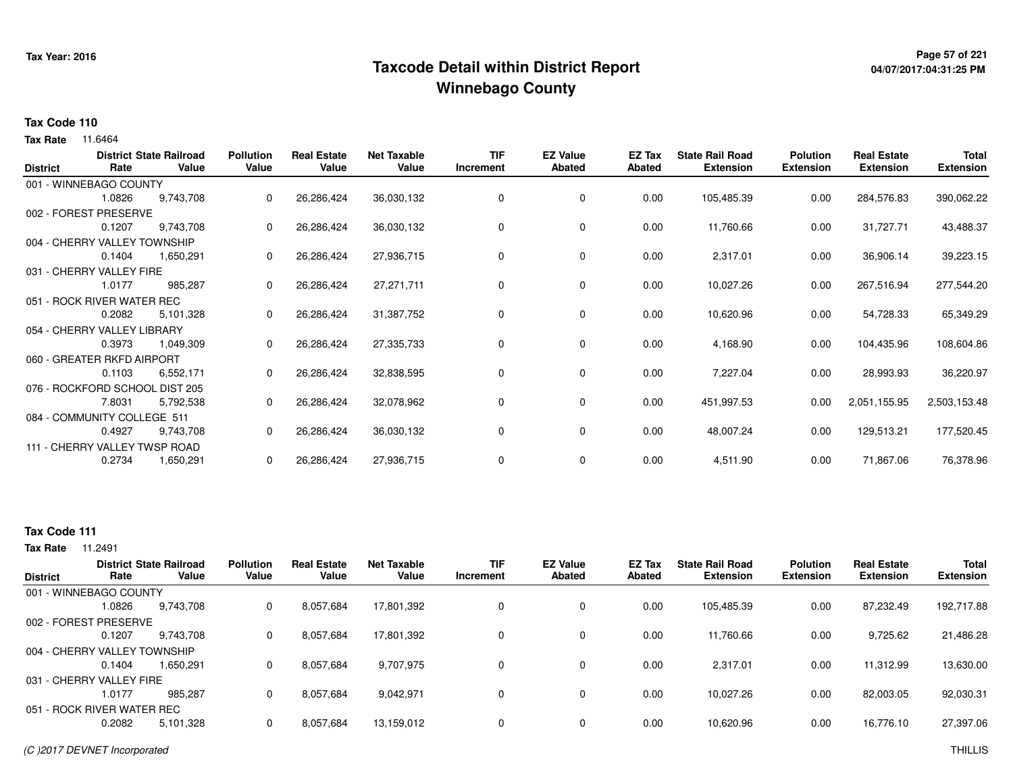## <sup>Page 57</sup> of <sup>221</sup> Page 57 of 221<br>Taxcode Detail within District Report های این موجع به موجع این موجع این موجع این موجع این موجع این موجع این موج **Winnebago County**

# **04/07/2017:04:31:25 PM**

#### **Tax Code 110**

**Tax Rate** 11.6464

| <b>District</b> | Rate                           | <b>District State Railroad</b><br>Value | <b>Pollution</b><br>Value | <b>Real Estate</b><br>Value | <b>Net Taxable</b><br>Value | <b>TIF</b><br>Increment | <b>EZ Value</b><br><b>Abated</b> | EZ Tax<br>Abated | <b>State Rail Road</b><br><b>Extension</b> | <b>Polution</b><br><b>Extension</b> | <b>Real Estate</b><br><b>Extension</b> | <b>Total</b><br><b>Extension</b> |
|-----------------|--------------------------------|-----------------------------------------|---------------------------|-----------------------------|-----------------------------|-------------------------|----------------------------------|------------------|--------------------------------------------|-------------------------------------|----------------------------------------|----------------------------------|
|                 | 001 - WINNEBAGO COUNTY         |                                         |                           |                             |                             |                         |                                  |                  |                                            |                                     |                                        |                                  |
|                 | 1.0826                         | 9,743,708                               |                           | 26,286,424                  | 36,030,132                  | 0                       | 0                                | 0.00             | 105,485.39                                 | 0.00                                | 284,576.83                             | 390,062.22                       |
|                 | 002 - FOREST PRESERVE          |                                         |                           |                             |                             |                         |                                  |                  |                                            |                                     |                                        |                                  |
|                 | 0.1207                         | 9,743,708                               | 0                         | 26,286,424                  | 36,030,132                  | 0                       | 0                                | 0.00             | 11,760.66                                  | 0.00                                | 31,727.71                              | 43,488.37                        |
|                 | 004 - CHERRY VALLEY TOWNSHIP   |                                         |                           |                             |                             |                         |                                  |                  |                                            |                                     |                                        |                                  |
|                 | 0.1404                         | 1,650,291                               | 0                         | 26,286,424                  | 27,936,715                  | 0                       | 0                                | 0.00             | 2,317.01                                   | 0.00                                | 36,906.14                              | 39,223.15                        |
|                 | 031 - CHERRY VALLEY FIRE       |                                         |                           |                             |                             |                         |                                  |                  |                                            |                                     |                                        |                                  |
|                 | 1.0177                         | 985,287                                 | 0                         | 26,286,424                  | 27,271,711                  | 0                       | 0                                | 0.00             | 10,027.26                                  | 0.00                                | 267,516.94                             | 277,544.20                       |
|                 | 051 - ROCK RIVER WATER REC     |                                         |                           |                             |                             |                         |                                  |                  |                                            |                                     |                                        |                                  |
|                 | 0.2082                         | 5,101,328                               |                           | 26,286,424                  | 31,387,752                  | 0                       | 0                                | 0.00             | 10,620.96                                  | 0.00                                | 54,728.33                              | 65,349.29                        |
|                 | 054 - CHERRY VALLEY LIBRARY    |                                         |                           |                             |                             |                         |                                  |                  |                                            |                                     |                                        |                                  |
|                 | 0.3973                         | 1,049,309                               |                           | 26,286,424                  | 27,335,733                  | 0                       | 0                                | 0.00             | 4,168.90                                   | 0.00                                | 104,435.96                             | 108,604.86                       |
|                 | 060 - GREATER RKFD AIRPORT     |                                         |                           |                             |                             |                         |                                  |                  |                                            |                                     |                                        |                                  |
|                 | 0.1103                         | 6,552,171                               | 0                         | 26,286,424                  | 32,838,595                  | 0                       | 0                                | 0.00             | 7,227.04                                   | 0.00                                | 28,993.93                              | 36,220.97                        |
|                 | 076 - ROCKFORD SCHOOL DIST 205 |                                         |                           |                             |                             |                         |                                  |                  |                                            |                                     |                                        |                                  |
|                 | 7.8031                         | 5,792,538                               | 0                         | 26,286,424                  | 32,078,962                  | 0                       | 0                                | 0.00             | 451,997.53                                 | 0.00                                | 2,051,155.95                           | 2,503,153.48                     |
|                 | 084 - COMMUNITY COLLEGE 511    |                                         |                           |                             |                             |                         |                                  |                  |                                            |                                     |                                        |                                  |
|                 | 0.4927                         | 9,743,708                               |                           | 26,286,424                  | 36,030,132                  | 0                       | 0                                | 0.00             | 48,007.24                                  | 0.00                                | 129,513.21                             | 177,520.45                       |
|                 | 111 - CHERRY VALLEY TWSP ROAD  |                                         |                           |                             |                             |                         |                                  |                  |                                            |                                     |                                        |                                  |
|                 | 0.2734                         | 1,650,291                               | 0                         | 26,286,424                  | 27,936,715                  | 0                       | 0                                | 0.00             | 4,511.90                                   | 0.00                                | 71,867.06                              | 76,378.96                        |

### **Tax Code 111**

| <b>District</b>              | Rate   | <b>District State Railroad</b><br>Value | <b>Pollution</b><br>Value | <b>Real Estate</b><br>Value | <b>Net Taxable</b><br>Value | <b>TIF</b><br>Increment | <b>EZ Value</b><br><b>Abated</b> | <b>EZ Tax</b><br>Abated | <b>State Rail Road</b><br><b>Extension</b> | <b>Polution</b><br><b>Extension</b> | <b>Real Estate</b><br><b>Extension</b> | <b>Total</b><br>Extension |
|------------------------------|--------|-----------------------------------------|---------------------------|-----------------------------|-----------------------------|-------------------------|----------------------------------|-------------------------|--------------------------------------------|-------------------------------------|----------------------------------------|---------------------------|
| 001 - WINNEBAGO COUNTY       |        |                                         |                           |                             |                             |                         |                                  |                         |                                            |                                     |                                        |                           |
|                              | 1.0826 | 9,743,708                               | 0                         | 8,057,684                   | 17,801,392                  | 0                       | 0                                | 0.00                    | 105,485.39                                 | 0.00                                | 87,232.49                              | 192,717.88                |
| 002 - FOREST PRESERVE        |        |                                         |                           |                             |                             |                         |                                  |                         |                                            |                                     |                                        |                           |
|                              | 0.1207 | 9,743,708                               | 0                         | 8,057,684                   | 17,801,392                  | 0                       | 0                                | 0.00                    | 11,760.66                                  | 0.00                                | 9,725.62                               | 21,486.28                 |
| 004 - CHERRY VALLEY TOWNSHIP |        |                                         |                           |                             |                             |                         |                                  |                         |                                            |                                     |                                        |                           |
|                              | 0.1404 | 1.650.291                               |                           | 8,057,684                   | 9,707,975                   | 0                       | 0                                | 0.00                    | 2.317.01                                   | 0.00                                | 11.312.99                              | 13,630.00                 |
| 031 - CHERRY VALLEY FIRE     |        |                                         |                           |                             |                             |                         |                                  |                         |                                            |                                     |                                        |                           |
|                              | 1.0177 | 985.287                                 | 0                         | 8,057,684                   | 9,042,971                   | 0                       | 0                                | 0.00                    | 10.027.26                                  | 0.00                                | 82,003.05                              | 92,030.31                 |
| 051 - ROCK RIVER WATER REC   |        |                                         |                           |                             |                             |                         |                                  |                         |                                            |                                     |                                        |                           |
|                              | 0.2082 | 5,101,328                               |                           | 8,057,684                   | 13,159,012                  | $\Omega$                | 0                                | 0.00                    | 10,620.96                                  | 0.00                                | 16,776.10                              | 27,397.06                 |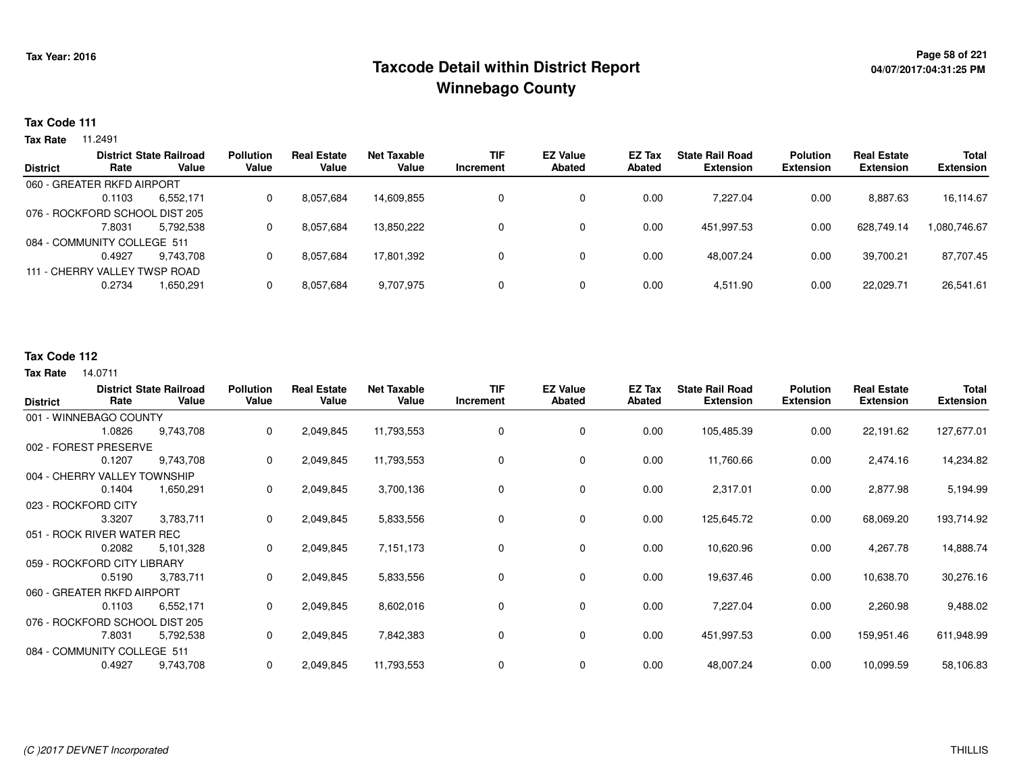## **Page 58 of 221 Taxcode Detail within District ReportWinnebago County**

### **Tax Code 111**

**Tax Rate** 11.2491

|                 |                                | <b>District State Railroad</b> | <b>Pollution</b> | <b>Real Estate</b> | Net Taxable | <b>TIF</b> | <b>EZ Value</b> | <b>EZ Tax</b> | <b>State Rail Road</b> | <b>Polution</b>  | <b>Real Estate</b> | <b>Total</b>     |
|-----------------|--------------------------------|--------------------------------|------------------|--------------------|-------------|------------|-----------------|---------------|------------------------|------------------|--------------------|------------------|
| <b>District</b> | Rate                           | Value                          | Value            | Value              | Value       | Increment  | <b>Abated</b>   | Abated        | <b>Extension</b>       | <b>Extension</b> | <b>Extension</b>   | <b>Extension</b> |
|                 | 060 - GREATER RKFD AIRPORT     |                                |                  |                    |             |            |                 |               |                        |                  |                    |                  |
|                 | 0.1103                         | 6.552.171                      | 0                | 8,057,684          | 14.609.855  |            | 0               | 0.00          | 7.227.04               | 0.00             | 8,887.63           | 16,114.67        |
|                 | 076 - ROCKFORD SCHOOL DIST 205 |                                |                  |                    |             |            |                 |               |                        |                  |                    |                  |
|                 | 7.8031                         | 5.792.538                      | 0                | 8,057,684          | 13,850,222  | 0          | 0               | 0.00          | 451.997.53             | 0.00             | 628.749.14         | 1,080,746.67     |
|                 | 084 - COMMUNITY COLLEGE 511    |                                |                  |                    |             |            |                 |               |                        |                  |                    |                  |
|                 | 0.4927                         | 9.743.708                      | 0                | 8,057,684          | 17.801.392  |            | 0               | 0.00          | 48.007.24              | 0.00             | 39.700.21          | 87,707.45        |
|                 | 111 - CHERRY VALLEY TWSP ROAD  |                                |                  |                    |             |            |                 |               |                        |                  |                    |                  |
|                 | 0.2734                         | 1,650,291                      |                  | 8,057,684          | 9,707,975   |            | 0               | 0.00          | 4,511.90               | 0.00             | 22,029.71          | 26,541.61        |
|                 |                                |                                |                  |                    |             |            |                 |               |                        |                  |                    |                  |

### **Tax Code 112**

| <b>District</b>              | Rate   | <b>District State Railroad</b><br>Value | <b>Pollution</b><br>Value | <b>Real Estate</b><br>Value | <b>Net Taxable</b><br>Value | <b>TIF</b><br>Increment | <b>EZ Value</b><br><b>Abated</b> | EZ Tax<br><b>Abated</b> | <b>State Rail Road</b><br><b>Extension</b> | <b>Polution</b><br><b>Extension</b> | <b>Real Estate</b><br><b>Extension</b> | Total<br><b>Extension</b> |
|------------------------------|--------|-----------------------------------------|---------------------------|-----------------------------|-----------------------------|-------------------------|----------------------------------|-------------------------|--------------------------------------------|-------------------------------------|----------------------------------------|---------------------------|
| 001 - WINNEBAGO COUNTY       |        |                                         |                           |                             |                             |                         |                                  |                         |                                            |                                     |                                        |                           |
|                              | 1.0826 | 9,743,708                               | 0                         | 2,049,845                   | 11,793,553                  | 0                       | 0                                | 0.00                    | 105,485.39                                 | 0.00                                | 22,191.62                              | 127,677.01                |
| 002 - FOREST PRESERVE        |        |                                         |                           |                             |                             |                         |                                  |                         |                                            |                                     |                                        |                           |
|                              | 0.1207 | 9,743,708                               | 0                         | 2,049,845                   | 11,793,553                  | 0                       | 0                                | 0.00                    | 11,760.66                                  | 0.00                                | 2,474.16                               | 14,234.82                 |
| 004 - CHERRY VALLEY TOWNSHIP |        |                                         |                           |                             |                             |                         |                                  |                         |                                            |                                     |                                        |                           |
|                              | 0.1404 | 1,650,291                               | 0                         | 2,049,845                   | 3,700,136                   | 0                       | 0                                | 0.00                    | 2,317.01                                   | 0.00                                | 2,877.98                               | 5,194.99                  |
| 023 - ROCKFORD CITY          |        |                                         |                           |                             |                             |                         |                                  |                         |                                            |                                     |                                        |                           |
|                              | 3.3207 | 3,783,711                               | 0                         | 2,049,845                   | 5,833,556                   | 0                       | 0                                | 0.00                    | 125,645.72                                 | 0.00                                | 68,069.20                              | 193,714.92                |
| 051 - ROCK RIVER WATER REC   |        |                                         |                           |                             |                             |                         |                                  |                         |                                            |                                     |                                        |                           |
|                              | 0.2082 | 5,101,328                               | 0                         | 2,049,845                   | 7,151,173                   | 0                       | 0                                | 0.00                    | 10,620.96                                  | 0.00                                | 4,267.78                               | 14,888.74                 |
| 059 - ROCKFORD CITY LIBRARY  |        |                                         |                           |                             |                             |                         |                                  |                         |                                            |                                     |                                        |                           |
|                              | 0.5190 | 3,783,711                               | 0                         | 2,049,845                   | 5,833,556                   | 0                       | 0                                | 0.00                    | 19,637.46                                  | 0.00                                | 10,638.70                              | 30,276.16                 |
| 060 - GREATER RKFD AIRPORT   |        |                                         |                           |                             |                             |                         |                                  |                         |                                            |                                     |                                        |                           |
|                              | 0.1103 | 6,552,171                               | 0                         | 2,049,845                   | 8,602,016                   | 0                       | 0                                | 0.00                    | 7,227.04                                   | 0.00                                | 2,260.98                               | 9,488.02                  |
|                              |        | 076 - ROCKFORD SCHOOL DIST 205          |                           |                             |                             |                         |                                  |                         |                                            |                                     |                                        |                           |
|                              | 7.8031 | 5,792,538                               | 0                         | 2,049,845                   | 7,842,383                   | 0                       | 0                                | 0.00                    | 451,997.53                                 | 0.00                                | 159,951.46                             | 611,948.99                |
| 084 - COMMUNITY COLLEGE 511  |        |                                         |                           |                             |                             |                         |                                  |                         |                                            |                                     |                                        |                           |
|                              | 0.4927 | 9,743,708                               | 0                         | 2,049,845                   | 11,793,553                  | 0                       | 0                                | 0.00                    | 48,007.24                                  | 0.00                                | 10,099.59                              | 58,106.83                 |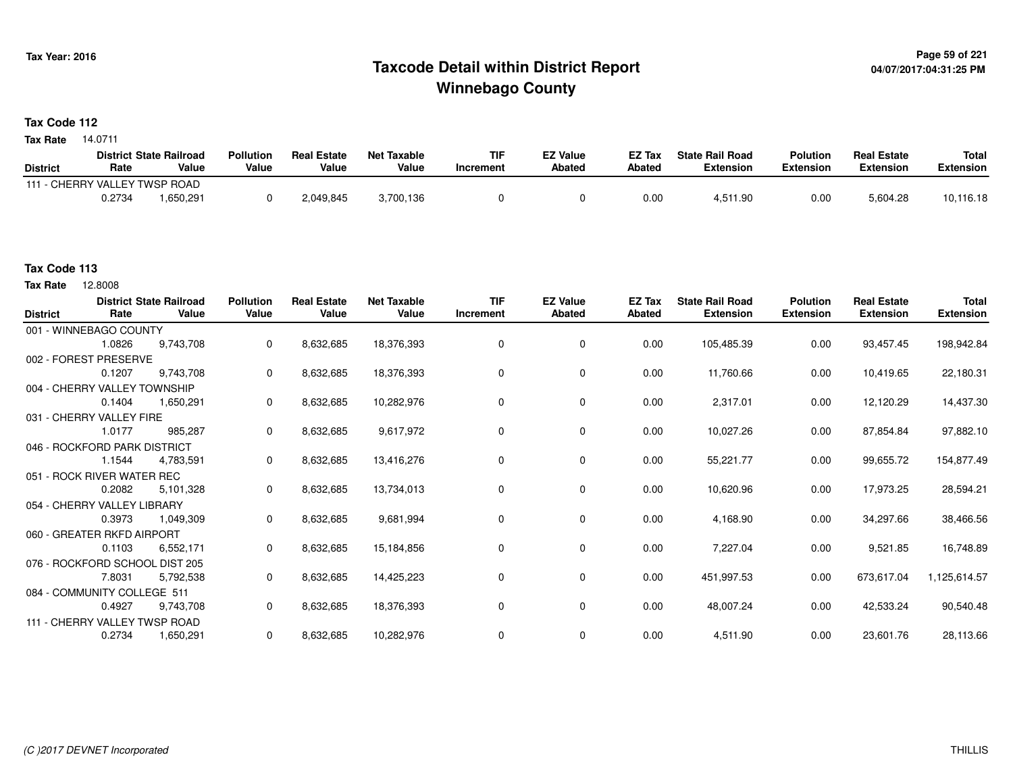## **Page 59 of 221 Taxcode Detail within District ReportWinnebago County**

#### **Tax Code 112**

14.0711 **Tax Rate**

|                               |        | <b>District State Railroad</b> | <b>Pollution</b> | <b>Real Estate</b> | Net Taxable | TIF       | <b>EZ Value</b> | <b>EZ Tax</b> | <b>State Rail Road</b> | <b>Polution</b>  | <b>Real Estate</b> | <b>Total</b> |
|-------------------------------|--------|--------------------------------|------------------|--------------------|-------------|-----------|-----------------|---------------|------------------------|------------------|--------------------|--------------|
| <b>District</b>               | Rate   | Value                          | Value            | Value              | Value       | Increment | <b>Abated</b>   | Abated        | <b>Extension</b>       | <b>Extension</b> | <b>Extension</b>   | Extension    |
| 111 - CHERRY VALLEY TWSP ROAD |        |                                |                  |                    |             |           |                 |               |                        |                  |                    |              |
|                               | 0.2734 | .650.291                       |                  | 2,049,845          | 3,700,136   |           |                 | 0.00          | 4,511.90               | 0.00             | 5,604.28           | 10,116.18    |

#### **Tax Code 113**

12.8008 **Tax Rate**

| <b>District</b>              | Rate                          | <b>District State Railroad</b><br>Value | <b>Pollution</b><br>Value | <b>Real Estate</b><br>Value | <b>Net Taxable</b><br>Value | <b>TIF</b><br>Increment | <b>EZ Value</b><br><b>Abated</b> | EZ Tax<br>Abated | <b>State Rail Road</b><br><b>Extension</b> | <b>Polution</b><br><b>Extension</b> | <b>Real Estate</b><br><b>Extension</b> | <b>Total</b><br><b>Extension</b> |
|------------------------------|-------------------------------|-----------------------------------------|---------------------------|-----------------------------|-----------------------------|-------------------------|----------------------------------|------------------|--------------------------------------------|-------------------------------------|----------------------------------------|----------------------------------|
|                              | 001 - WINNEBAGO COUNTY        |                                         |                           |                             |                             |                         |                                  |                  |                                            |                                     |                                        |                                  |
|                              | 1.0826                        | 9.743.708                               | $\mathbf 0$               | 8,632,685                   | 18,376,393                  | $\Omega$                | $\mathbf 0$                      | 0.00             | 105,485.39                                 | 0.00                                | 93,457.45                              | 198,942.84                       |
| 002 - FOREST PRESERVE        |                               |                                         |                           |                             |                             |                         |                                  |                  |                                            |                                     |                                        |                                  |
|                              | 0.1207                        | 9,743,708                               | $\mathbf 0$               | 8,632,685                   | 18,376,393                  | $\Omega$                | 0                                | 0.00             | 11,760.66                                  | 0.00                                | 10,419.65                              | 22,180.31                        |
|                              | 004 - CHERRY VALLEY TOWNSHIP  |                                         |                           |                             |                             |                         |                                  |                  |                                            |                                     |                                        |                                  |
|                              | 0.1404                        | 1,650,291                               | $\mathbf 0$               | 8,632,685                   | 10,282,976                  | $\Omega$                | 0                                | 0.00             | 2,317.01                                   | 0.00                                | 12,120.29                              | 14,437.30                        |
|                              | 031 - CHERRY VALLEY FIRE      |                                         |                           |                             |                             |                         |                                  |                  |                                            |                                     |                                        |                                  |
|                              | 1.0177                        | 985,287                                 | $\mathbf 0$               | 8,632,685                   | 9,617,972                   | $\Omega$                | 0                                | 0.00             | 10,027.26                                  | 0.00                                | 87,854.84                              | 97,882.10                        |
| 046 - ROCKFORD PARK DISTRICT |                               |                                         |                           |                             |                             |                         |                                  |                  |                                            |                                     |                                        |                                  |
|                              | 1.1544                        | 4,783,591                               | 0                         | 8,632,685                   | 13,416,276                  | 0                       | 0                                | 0.00             | 55,221.77                                  | 0.00                                | 99,655.72                              | 154,877.49                       |
| 051 - ROCK RIVER WATER REC   |                               |                                         |                           |                             |                             |                         |                                  |                  |                                            |                                     |                                        |                                  |
|                              | 0.2082                        | 5,101,328                               | $\mathbf 0$               | 8,632,685                   | 13,734,013                  | 0                       | 0                                | 0.00             | 10,620.96                                  | 0.00                                | 17,973.25                              | 28,594.21                        |
| 054 - CHERRY VALLEY LIBRARY  |                               |                                         |                           |                             |                             |                         |                                  |                  |                                            |                                     |                                        |                                  |
|                              | 0.3973                        | 1,049,309                               | $\mathbf{0}$              | 8,632,685                   | 9,681,994                   | 0                       | 0                                | 0.00             | 4,168.90                                   | 0.00                                | 34,297.66                              | 38,466.56                        |
|                              | 060 - GREATER RKFD AIRPORT    |                                         |                           |                             |                             |                         |                                  |                  |                                            |                                     |                                        |                                  |
|                              | 0.1103                        | 6,552,171                               | $\mathbf 0$               | 8,632,685                   | 15,184,856                  | 0                       | 0                                | 0.00             | 7,227.04                                   | 0.00                                | 9,521.85                               | 16,748.89                        |
|                              |                               | 076 - ROCKFORD SCHOOL DIST 205          |                           |                             |                             |                         |                                  |                  |                                            |                                     |                                        |                                  |
|                              | 7.8031                        | 5,792,538                               | $\mathbf 0$               | 8,632,685                   | 14,425,223                  | 0                       | 0                                | 0.00             | 451,997.53                                 | 0.00                                | 673,617.04                             | 1,125,614.57                     |
|                              | 084 - COMMUNITY COLLEGE 511   |                                         |                           |                             |                             |                         |                                  |                  |                                            |                                     |                                        |                                  |
|                              | 0.4927                        | 9,743,708                               | $\mathbf 0$               | 8,632,685                   | 18,376,393                  | 0                       | $\mathbf 0$                      | 0.00             | 48,007.24                                  | 0.00                                | 42,533.24                              | 90,540.48                        |
|                              | 111 - CHERRY VALLEY TWSP ROAD |                                         |                           |                             |                             |                         |                                  |                  |                                            |                                     |                                        |                                  |
|                              | 0.2734                        | 1,650,291                               | 0                         | 8,632,685                   | 10,282,976                  |                         | 0                                | 0.00             | 4,511.90                                   | 0.00                                | 23,601.76                              | 28,113.66                        |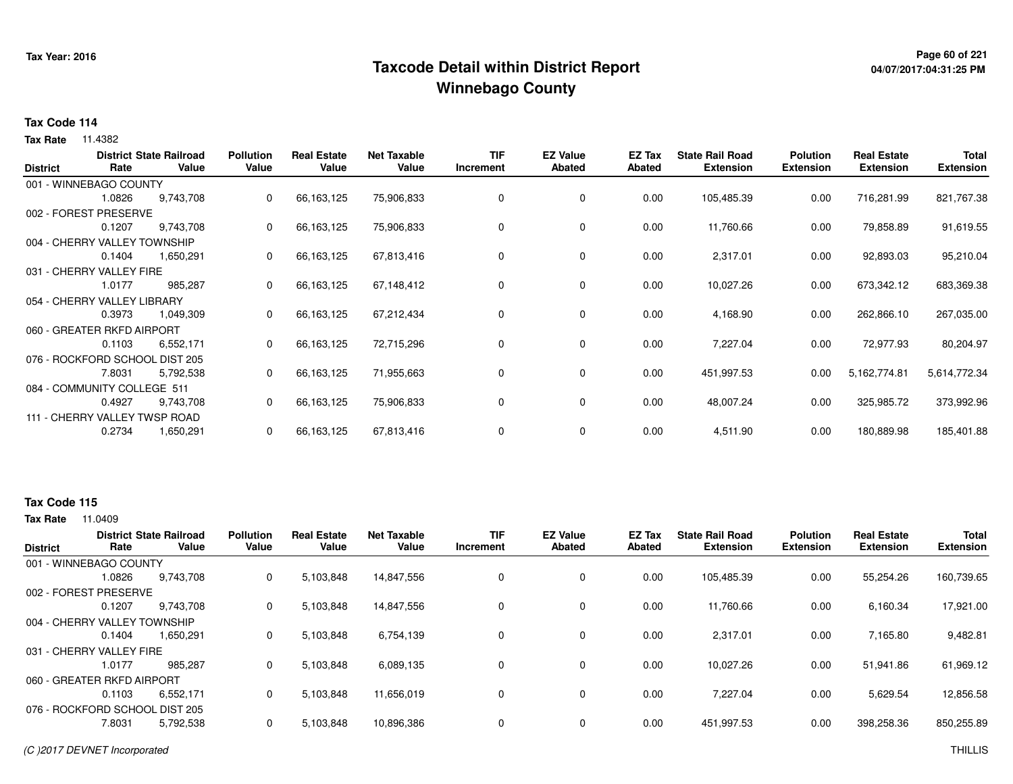## **Page 60 of 221 Taxcode Detail within District ReportWinnebago County**

# **04/07/2017:04:31:25 PM**

#### **Tax Code 114**

**Tax Rate** 11.4382

| <b>District</b> | Rate                           | <b>District State Railroad</b><br>Value | <b>Pollution</b><br>Value | <b>Real Estate</b><br>Value | <b>Net Taxable</b><br>Value | <b>TIF</b><br>Increment | <b>EZ Value</b><br><b>Abated</b> | EZ Tax<br><b>Abated</b> | <b>State Rail Road</b><br><b>Extension</b> | <b>Polution</b><br><b>Extension</b> | <b>Real Estate</b><br><b>Extension</b> | <b>Total</b><br><b>Extension</b> |
|-----------------|--------------------------------|-----------------------------------------|---------------------------|-----------------------------|-----------------------------|-------------------------|----------------------------------|-------------------------|--------------------------------------------|-------------------------------------|----------------------------------------|----------------------------------|
|                 | 001 - WINNEBAGO COUNTY         |                                         |                           |                             |                             |                         |                                  |                         |                                            |                                     |                                        |                                  |
|                 | 1.0826                         | 9,743,708                               | 0                         | 66,163,125                  | 75,906,833                  | 0                       | 0                                | 0.00                    | 105,485.39                                 | 0.00                                | 716,281.99                             | 821,767.38                       |
|                 | 002 - FOREST PRESERVE          |                                         |                           |                             |                             |                         |                                  |                         |                                            |                                     |                                        |                                  |
|                 | 0.1207                         | 9,743,708                               | 0                         | 66,163,125                  | 75,906,833                  | 0                       | 0                                | 0.00                    | 11,760.66                                  | 0.00                                | 79,858.89                              | 91,619.55                        |
|                 | 004 - CHERRY VALLEY TOWNSHIP   |                                         |                           |                             |                             |                         |                                  |                         |                                            |                                     |                                        |                                  |
|                 | 0.1404                         | 1,650,291                               | 0                         | 66,163,125                  | 67,813,416                  | 0                       | 0                                | 0.00                    | 2,317.01                                   | 0.00                                | 92,893.03                              | 95,210.04                        |
|                 | 031 - CHERRY VALLEY FIRE       |                                         |                           |                             |                             |                         |                                  |                         |                                            |                                     |                                        |                                  |
|                 | 1.0177                         | 985,287                                 | 0                         | 66,163,125                  | 67,148,412                  | 0                       | 0                                | 0.00                    | 10,027.26                                  | 0.00                                | 673,342.12                             | 683,369.38                       |
|                 | 054 - CHERRY VALLEY LIBRARY    |                                         |                           |                             |                             |                         |                                  |                         |                                            |                                     |                                        |                                  |
|                 | 0.3973                         | 1,049,309                               | 0                         | 66,163,125                  | 67,212,434                  | 0                       | 0                                | 0.00                    | 4,168.90                                   | 0.00                                | 262,866.10                             | 267,035.00                       |
|                 | 060 - GREATER RKFD AIRPORT     |                                         |                           |                             |                             |                         |                                  |                         |                                            |                                     |                                        |                                  |
|                 | 0.1103                         | 6,552,171                               | 0                         | 66,163,125                  | 72,715,296                  | 0                       | 0                                | 0.00                    | 7,227.04                                   | 0.00                                | 72,977.93                              | 80,204.97                        |
|                 | 076 - ROCKFORD SCHOOL DIST 205 |                                         |                           |                             |                             |                         |                                  |                         |                                            |                                     |                                        |                                  |
|                 | 7.8031                         | 5,792,538                               |                           | 66,163,125                  | 71,955,663                  | 0                       | 0                                | 0.00                    | 451,997.53                                 | 0.00                                | 5,162,774.81                           | 5,614,772.34                     |
|                 | 084 - COMMUNITY COLLEGE 511    |                                         |                           |                             |                             |                         |                                  |                         |                                            |                                     |                                        |                                  |
|                 | 0.4927                         | 9,743,708                               | 0                         | 66,163,125                  | 75,906,833                  | 0                       | 0                                | 0.00                    | 48,007.24                                  | 0.00                                | 325,985.72                             | 373,992.96                       |
|                 | 111 - CHERRY VALLEY TWSP ROAD  |                                         |                           |                             |                             |                         |                                  |                         |                                            |                                     |                                        |                                  |
|                 | 0.2734                         | 1,650,291                               | 0                         | 66,163,125                  | 67,813,416                  | 0                       | 0                                | 0.00                    | 4,511.90                                   | 0.00                                | 180,889.98                             | 185,401.88                       |

### **Tax Code 115**

| <b>District</b>                |        | <b>District State Railroad</b> | <b>Pollution</b> | <b>Real Estate</b> | <b>Net Taxable</b> | <b>TIF</b> | <b>EZ Value</b> | <b>EZ Tax</b> | <b>State Rail Road</b> | <b>Polution</b>  | <b>Real Estate</b> | <b>Total</b>     |
|--------------------------------|--------|--------------------------------|------------------|--------------------|--------------------|------------|-----------------|---------------|------------------------|------------------|--------------------|------------------|
|                                | Rate   | Value                          | Value            | Value              | Value              | Increment  | Abated          | Abated        | <b>Extension</b>       | <b>Extension</b> | <b>Extension</b>   | <b>Extension</b> |
| 001 - WINNEBAGO COUNTY         |        |                                |                  |                    |                    |            |                 |               |                        |                  |                    |                  |
|                                | 1.0826 | 9.743.708                      | 0                | 5,103,848          | 14,847,556         | 0          | 0               | 0.00          | 105,485.39             | 0.00             | 55,254.26          | 160,739.65       |
| 002 - FOREST PRESERVE          |        |                                |                  |                    |                    |            |                 |               |                        |                  |                    |                  |
|                                | 0.1207 | 9.743.708                      | 0                | 5,103,848          | 14.847.556         | 0          | $\mathbf 0$     | 0.00          | 11.760.66              | 0.00             | 6,160.34           | 17,921.00        |
| 004 - CHERRY VALLEY TOWNSHIP   |        |                                |                  |                    |                    |            |                 |               |                        |                  |                    |                  |
|                                | 0.1404 | 1,650,291                      | 0                | 5,103,848          | 6,754,139          | 0          | 0               | 0.00          | 2,317.01               | 0.00             | 7,165.80           | 9,482.81         |
| 031 - CHERRY VALLEY FIRE       |        |                                |                  |                    |                    |            |                 |               |                        |                  |                    |                  |
|                                | 1.0177 | 985.287                        | 0                | 5,103,848          | 6,089,135          | 0          | $\mathbf 0$     | 0.00          | 10,027.26              | 0.00             | 51,941.86          | 61,969.12        |
| 060 - GREATER RKFD AIRPORT     |        |                                |                  |                    |                    |            |                 |               |                        |                  |                    |                  |
|                                | 0.1103 | 6.552.171                      | 0                | 5.103.848          | 11.656.019         | 0          | $\mathbf 0$     | 0.00          | 7.227.04               | 0.00             | 5.629.54           | 12,856.58        |
| 076 - ROCKFORD SCHOOL DIST 205 |        |                                |                  |                    |                    |            |                 |               |                        |                  |                    |                  |
|                                | 7.8031 | 5,792,538                      | 0                | 5,103,848          | 10,896,386         | 0          | $\mathbf 0$     | 0.00          | 451,997.53             | 0.00             | 398,258.36         | 850,255.89       |
|                                |        |                                |                  |                    |                    |            |                 |               |                        |                  |                    |                  |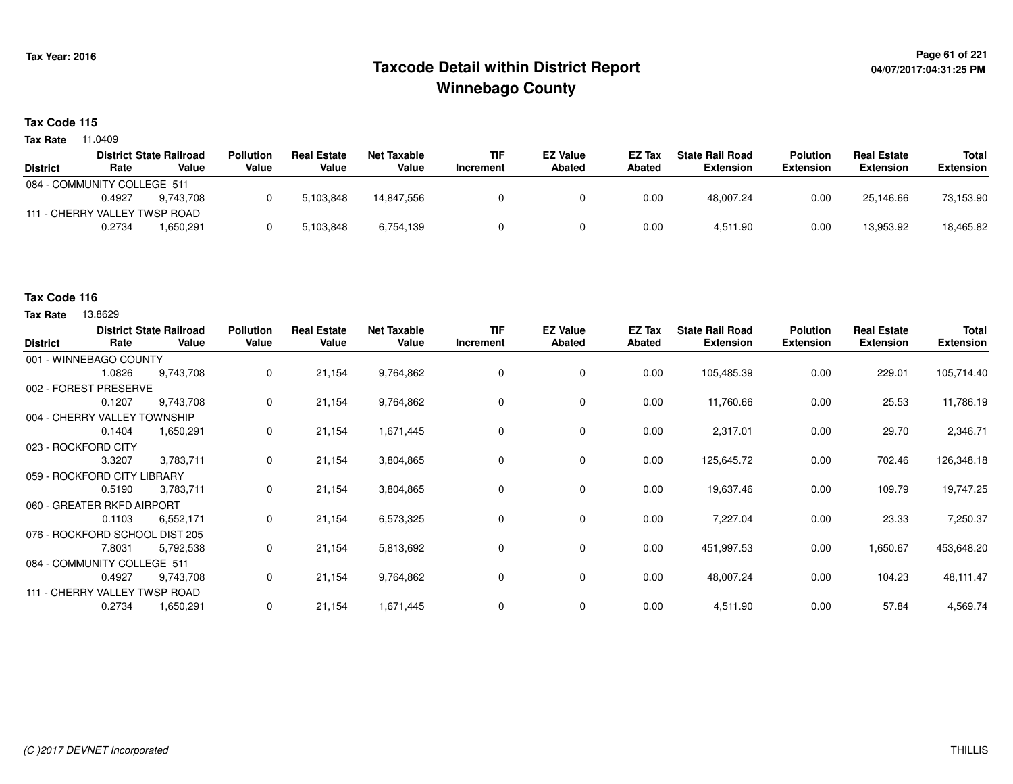## <sup>Page 61</sup> of 221<br>Taxcode Detail within District Report و Taxcode Detail within District Report **Winnebago County**

#### **Tax Code 115**

**Tax Rate** 11.0409

|                               |        | <b>District State Railroad</b> | <b>Pollution</b> | <b>Real Estate</b> | Net Taxable | <b>TIF</b> | <b>EZ Value</b> | <b>EZ Tax</b> | <b>State Rail Road</b> | <b>Polution</b>  | <b>Real Estate</b> | Total            |
|-------------------------------|--------|--------------------------------|------------------|--------------------|-------------|------------|-----------------|---------------|------------------------|------------------|--------------------|------------------|
| <b>District</b>               | Rate   | Value                          | Value            | Value              | Value       | Increment  | <b>Abated</b>   | Abated        | Extension              | <b>Extension</b> | <b>Extension</b>   | <b>Extension</b> |
| 084 - COMMUNITY COLLEGE 511   |        |                                |                  |                    |             |            |                 |               |                        |                  |                    |                  |
|                               | 0.4927 | 9.743.708                      |                  | 5.103.848          | 14.847.556  |            |                 | 0.00          | 48.007.24              | 0.00             | 25.146.66          | 73,153.90        |
| 111 - CHERRY VALLEY TWSP ROAD |        |                                |                  |                    |             |            |                 |               |                        |                  |                    |                  |
|                               | 0.2734 | 1.650.291                      |                  | 5,103,848          | 6,754,139   |            |                 | 0.00          | 4,511.90               | 0.00             | 13.953.92          | 18,465.82        |

### **Tax Code 116**

| <b>District</b>                | Rate   | <b>District State Railroad</b><br>Value | <b>Pollution</b><br>Value | <b>Real Estate</b><br>Value | <b>Net Taxable</b><br>Value | <b>TIF</b><br>Increment | <b>EZ Value</b><br><b>Abated</b> | EZ Tax<br><b>Abated</b> | <b>State Rail Road</b><br><b>Extension</b> | <b>Polution</b><br><b>Extension</b> | <b>Real Estate</b><br><b>Extension</b> | Total<br><b>Extension</b> |
|--------------------------------|--------|-----------------------------------------|---------------------------|-----------------------------|-----------------------------|-------------------------|----------------------------------|-------------------------|--------------------------------------------|-------------------------------------|----------------------------------------|---------------------------|
| 001 - WINNEBAGO COUNTY         |        |                                         |                           |                             |                             |                         |                                  |                         |                                            |                                     |                                        |                           |
|                                | 1.0826 | 9,743,708                               | 0                         | 21,154                      | 9,764,862                   | 0                       | 0                                | 0.00                    | 105,485.39                                 | 0.00                                | 229.01                                 | 105,714.40                |
| 002 - FOREST PRESERVE          |        |                                         |                           |                             |                             |                         |                                  |                         |                                            |                                     |                                        |                           |
|                                | 0.1207 | 9,743,708                               | 0                         | 21,154                      | 9,764,862                   | 0                       | 0                                | 0.00                    | 11,760.66                                  | 0.00                                | 25.53                                  | 11,786.19                 |
| 004 - CHERRY VALLEY TOWNSHIP   |        |                                         |                           |                             |                             |                         |                                  |                         |                                            |                                     |                                        |                           |
|                                | 0.1404 | 1,650,291                               | 0                         | 21,154                      | 1,671,445                   | 0                       | 0                                | 0.00                    | 2,317.01                                   | 0.00                                | 29.70                                  | 2,346.71                  |
| 023 - ROCKFORD CITY            |        |                                         |                           |                             |                             |                         |                                  |                         |                                            |                                     |                                        |                           |
|                                | 3.3207 | 3,783,711                               | 0                         | 21,154                      | 3,804,865                   | 0                       | 0                                | 0.00                    | 125,645.72                                 | 0.00                                | 702.46                                 | 126,348.18                |
| 059 - ROCKFORD CITY LIBRARY    |        |                                         |                           |                             |                             |                         |                                  |                         |                                            |                                     |                                        |                           |
|                                | 0.5190 | 3,783,711                               | 0                         | 21,154                      | 3,804,865                   | 0                       | 0                                | 0.00                    | 19,637.46                                  | 0.00                                | 109.79                                 | 19,747.25                 |
| 060 - GREATER RKFD AIRPORT     |        |                                         |                           |                             |                             |                         |                                  |                         |                                            |                                     |                                        |                           |
|                                | 0.1103 | 6,552,171                               | 0                         | 21,154                      | 6,573,325                   | 0                       | 0                                | 0.00                    | 7,227.04                                   | 0.00                                | 23.33                                  | 7,250.37                  |
| 076 - ROCKFORD SCHOOL DIST 205 |        |                                         |                           |                             |                             |                         |                                  |                         |                                            |                                     |                                        |                           |
|                                | 7.8031 | 5,792,538                               | 0                         | 21,154                      | 5,813,692                   | 0                       | 0                                | 0.00                    | 451,997.53                                 | 0.00                                | 1,650.67                               | 453,648.20                |
| 084 - COMMUNITY COLLEGE 511    |        |                                         |                           |                             |                             |                         |                                  |                         |                                            |                                     |                                        |                           |
|                                | 0.4927 | 9,743,708                               | 0                         | 21,154                      | 9,764,862                   | 0                       | 0                                | 0.00                    | 48,007.24                                  | 0.00                                | 104.23                                 | 48,111.47                 |
| 111 - CHERRY VALLEY TWSP ROAD  |        |                                         |                           |                             |                             |                         |                                  |                         |                                            |                                     |                                        |                           |
|                                | 0.2734 | 1,650,291                               | 0                         | 21,154                      | 1,671,445                   | 0                       | 0                                | 0.00                    | 4,511.90                                   | 0.00                                | 57.84                                  | 4,569.74                  |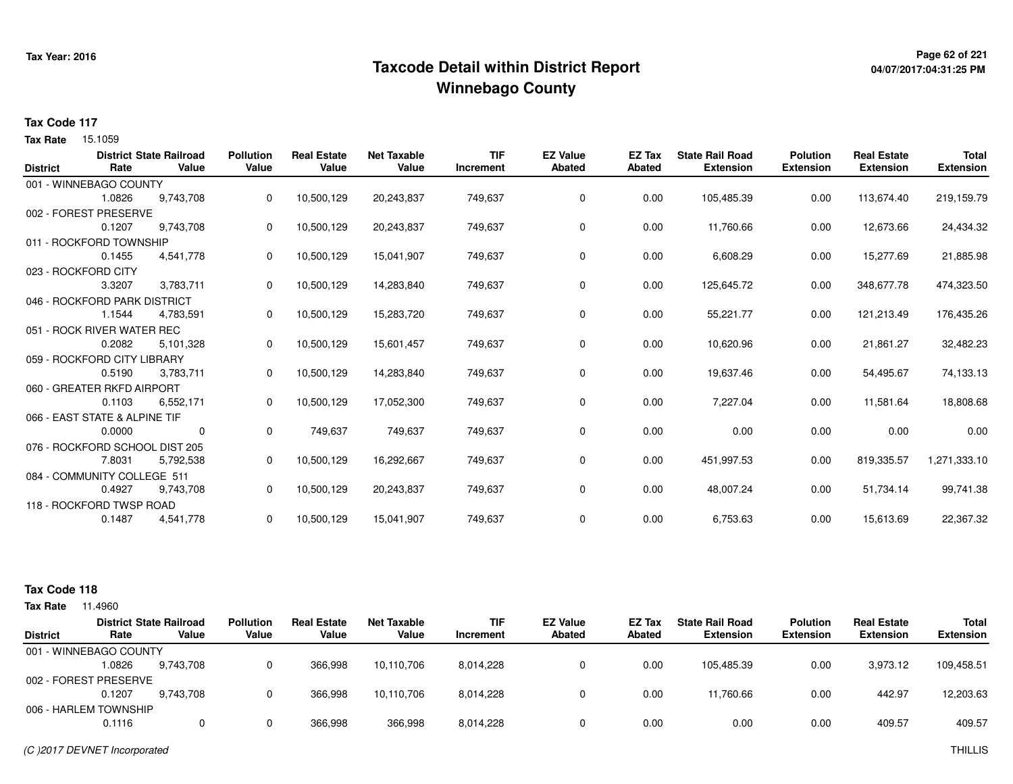## <sup>Page 62</sup> of 221 Page 62 of 221<br>Taxcode Detail within District Report های این موجع به موجع این موجع این موجع این موجع این موجع این موجع این موج **Winnebago County**

# **04/07/2017:04:31:25 PM**

#### **Tax Code 117**

**Tax Rate** 15.1059

|                 |                                | <b>District State Railroad</b> | <b>Pollution</b> | <b>Real Estate</b> | <b>Net Taxable</b> | <b>TIF</b> | <b>EZ Value</b> | EZ Tax        | <b>State Rail Road</b> | <b>Polution</b>  | <b>Real Estate</b> | <b>Total</b>     |
|-----------------|--------------------------------|--------------------------------|------------------|--------------------|--------------------|------------|-----------------|---------------|------------------------|------------------|--------------------|------------------|
| <b>District</b> | Rate                           | Value                          | Value            | Value              | Value              | Increment  | <b>Abated</b>   | <b>Abated</b> | <b>Extension</b>       | <b>Extension</b> | <b>Extension</b>   | <b>Extension</b> |
|                 | 001 - WINNEBAGO COUNTY         |                                |                  |                    |                    |            |                 |               |                        |                  |                    |                  |
|                 | 1.0826                         | 9,743,708                      | 0                | 10,500,129         | 20,243,837         | 749,637    | 0               | 0.00          | 105,485.39             | 0.00             | 113,674.40         | 219,159.79       |
|                 | 002 - FOREST PRESERVE          |                                |                  |                    |                    |            |                 |               |                        |                  |                    |                  |
|                 | 0.1207                         | 9,743,708                      | 0                | 10,500,129         | 20,243,837         | 749,637    | 0               | 0.00          | 11,760.66              | 0.00             | 12,673.66          | 24,434.32        |
|                 | 011 - ROCKFORD TOWNSHIP        |                                |                  |                    |                    |            |                 |               |                        |                  |                    |                  |
|                 | 0.1455                         | 4,541,778                      | 0                | 10,500,129         | 15,041,907         | 749,637    | 0               | 0.00          | 6,608.29               | 0.00             | 15,277.69          | 21,885.98        |
|                 | 023 - ROCKFORD CITY            |                                |                  |                    |                    |            |                 |               |                        |                  |                    |                  |
|                 | 3.3207                         | 3,783,711                      | 0                | 10,500,129         | 14,283,840         | 749,637    | 0               | 0.00          | 125,645.72             | 0.00             | 348,677.78         | 474,323.50       |
|                 | 046 - ROCKFORD PARK DISTRICT   |                                |                  |                    |                    |            |                 |               |                        |                  |                    |                  |
|                 | 1.1544                         | 4,783,591                      | 0                | 10,500,129         | 15,283,720         | 749,637    | 0               | 0.00          | 55,221.77              | 0.00             | 121,213.49         | 176,435.26       |
|                 | 051 - ROCK RIVER WATER REC     |                                |                  |                    |                    |            |                 |               |                        |                  |                    |                  |
|                 | 0.2082                         | 5,101,328                      | 0                | 10,500,129         | 15,601,457         | 749,637    | 0               | 0.00          | 10,620.96              | 0.00             | 21,861.27          | 32,482.23        |
|                 | 059 - ROCKFORD CITY LIBRARY    |                                |                  |                    |                    |            |                 |               |                        |                  |                    |                  |
|                 | 0.5190                         | 3,783,711                      | 0                | 10,500,129         | 14,283,840         | 749,637    | 0               | 0.00          | 19,637.46              | 0.00             | 54,495.67          | 74,133.13        |
|                 | 060 - GREATER RKFD AIRPORT     |                                |                  |                    |                    |            |                 |               |                        |                  |                    |                  |
|                 | 0.1103                         | 6,552,171                      | 0                | 10,500,129         | 17,052,300         | 749,637    | 0               | 0.00          | 7,227.04               | 0.00             | 11,581.64          | 18,808.68        |
|                 | 066 - EAST STATE & ALPINE TIF  |                                |                  |                    |                    |            |                 |               |                        |                  |                    |                  |
|                 | 0.0000                         | 0                              | 0                | 749,637            | 749,637            | 749,637    | 0               | 0.00          | 0.00                   | 0.00             | 0.00               | 0.00             |
|                 | 076 - ROCKFORD SCHOOL DIST 205 |                                |                  |                    |                    |            |                 |               |                        |                  |                    |                  |
|                 | 7.8031                         | 5,792,538                      | 0                | 10,500,129         | 16,292,667         | 749,637    | 0               | 0.00          | 451,997.53             | 0.00             | 819,335.57         | 1,271,333.10     |
|                 | 084 - COMMUNITY COLLEGE 511    |                                |                  |                    |                    |            |                 |               |                        |                  |                    |                  |
|                 | 0.4927                         | 9,743,708                      | 0                | 10,500,129         | 20,243,837         | 749,637    | 0               | 0.00          | 48,007.24              | 0.00             | 51,734.14          | 99,741.38        |
|                 | 118 - ROCKFORD TWSP ROAD       |                                |                  |                    |                    |            |                 |               |                        |                  |                    |                  |
|                 | 0.1487                         | 4,541,778                      | 0                | 10,500,129         | 15,041,907         | 749,637    | 0               | 0.00          | 6,753.63               | 0.00             | 15,613.69          | 22,367.32        |

#### **Tax Code 118**

| 11.4960 |           |                                                                                                            |                             |                             |                         |                                  |                  |                                            |                                     |                                        |                                  |
|---------|-----------|------------------------------------------------------------------------------------------------------------|-----------------------------|-----------------------------|-------------------------|----------------------------------|------------------|--------------------------------------------|-------------------------------------|----------------------------------------|----------------------------------|
| Rate    | Value     | <b>Pollution</b><br>Value                                                                                  | <b>Real Estate</b><br>Value | <b>Net Taxable</b><br>Value | <b>TIF</b><br>Increment | <b>EZ Value</b><br><b>Abated</b> | EZ Tax<br>Abated | <b>State Rail Road</b><br><b>Extension</b> | <b>Polution</b><br><b>Extension</b> | <b>Real Estate</b><br><b>Extension</b> | <b>Total</b><br><b>Extension</b> |
|         |           |                                                                                                            |                             |                             |                         |                                  |                  |                                            |                                     |                                        |                                  |
| 1.0826  | 9,743,708 |                                                                                                            | 366.998                     | 10.110.706                  | 8,014,228               |                                  | 0.00             | 105.485.39                                 | 0.00                                | 3.973.12                               | 109,458.51                       |
|         |           |                                                                                                            |                             |                             |                         |                                  |                  |                                            |                                     |                                        |                                  |
| 0.1207  | 9.743.708 |                                                                                                            | 366.998                     | 10.110.706                  | 8,014,228               |                                  | 0.00             | 11.760.66                                  | 0.00                                | 442.97                                 | 12,203.63                        |
|         |           |                                                                                                            |                             |                             |                         |                                  |                  |                                            |                                     |                                        |                                  |
| 0.1116  |           |                                                                                                            | 366,998                     | 366,998                     | 8,014,228               |                                  | 0.00             | 0.00                                       | 0.00                                | 409.57                                 | 409.57                           |
|         |           | <b>District State Railroad</b><br>001 - WINNEBAGO COUNTY<br>002 - FOREST PRESERVE<br>006 - HARLEM TOWNSHIP |                             |                             |                         |                                  |                  |                                            |                                     |                                        |                                  |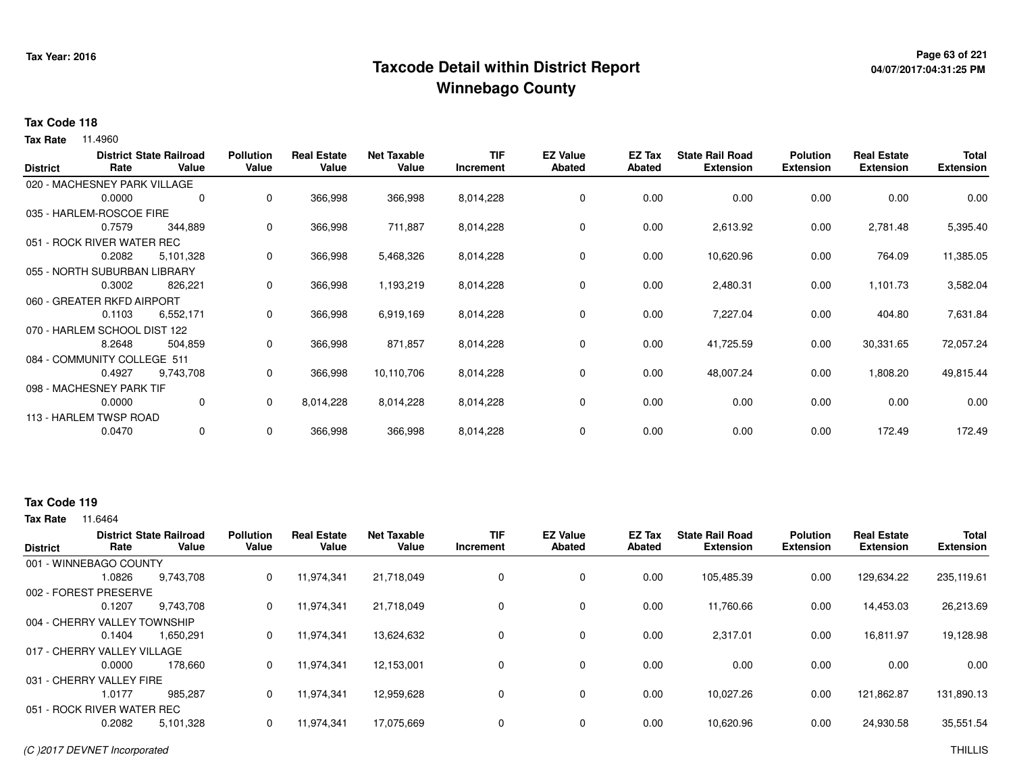## **Page 63 of 221 Taxcode Detail within District ReportWinnebago County**

# **04/07/2017:04:31:25 PM**

#### **Tax Code 118**

**Tax Rate** 11.4960

| <b>District</b> | Rate                         | <b>District State Railroad</b><br>Value | <b>Pollution</b><br>Value | <b>Real Estate</b><br>Value | <b>Net Taxable</b><br>Value | TIF<br>Increment | <b>EZ Value</b><br><b>Abated</b> | EZ Tax<br><b>Abated</b> | <b>State Rail Road</b><br><b>Extension</b> | <b>Polution</b><br><b>Extension</b> | <b>Real Estate</b><br><b>Extension</b> | <b>Total</b><br><b>Extension</b> |
|-----------------|------------------------------|-----------------------------------------|---------------------------|-----------------------------|-----------------------------|------------------|----------------------------------|-------------------------|--------------------------------------------|-------------------------------------|----------------------------------------|----------------------------------|
|                 | 020 - MACHESNEY PARK VILLAGE |                                         |                           |                             |                             |                  |                                  |                         |                                            |                                     |                                        |                                  |
|                 | 0.0000                       | 0                                       | 0                         | 366,998                     | 366,998                     | 8,014,228        | $\mathbf 0$                      | 0.00                    | 0.00                                       | 0.00                                | 0.00                                   | 0.00                             |
|                 | 035 - HARLEM-ROSCOE FIRE     |                                         |                           |                             |                             |                  |                                  |                         |                                            |                                     |                                        |                                  |
|                 | 0.7579                       | 344,889                                 | 0                         | 366,998                     | 711,887                     | 8,014,228        | 0                                | 0.00                    | 2,613.92                                   | 0.00                                | 2,781.48                               | 5,395.40                         |
|                 | 051 - ROCK RIVER WATER REC   |                                         |                           |                             |                             |                  |                                  |                         |                                            |                                     |                                        |                                  |
|                 | 0.2082                       | 5,101,328                               | 0                         | 366,998                     | 5,468,326                   | 8,014,228        | $\mathbf 0$                      | 0.00                    | 10,620.96                                  | 0.00                                | 764.09                                 | 11,385.05                        |
|                 | 055 - NORTH SUBURBAN LIBRARY |                                         |                           |                             |                             |                  |                                  |                         |                                            |                                     |                                        |                                  |
|                 | 0.3002                       | 826,221                                 | 0                         | 366,998                     | 1,193,219                   | 8,014,228        | 0                                | 0.00                    | 2,480.31                                   | 0.00                                | 1,101.73                               | 3,582.04                         |
|                 | 060 - GREATER RKFD AIRPORT   |                                         |                           |                             |                             |                  |                                  |                         |                                            |                                     |                                        |                                  |
|                 | 0.1103                       | 6,552,171                               | 0                         | 366,998                     | 6,919,169                   | 8,014,228        | $\mathbf 0$                      | 0.00                    | 7,227.04                                   | 0.00                                | 404.80                                 | 7,631.84                         |
|                 | 070 - HARLEM SCHOOL DIST 122 |                                         |                           |                             |                             |                  |                                  |                         |                                            |                                     |                                        |                                  |
|                 | 8.2648                       | 504,859                                 | 0                         | 366,998                     | 871,857                     | 8,014,228        | 0                                | 0.00                    | 41,725.59                                  | 0.00                                | 30,331.65                              | 72,057.24                        |
|                 | 084 - COMMUNITY COLLEGE 511  |                                         |                           |                             |                             |                  |                                  |                         |                                            |                                     |                                        |                                  |
|                 | 0.4927                       | 9,743,708                               | 0                         | 366,998                     | 10,110,706                  | 8,014,228        | $\mathbf 0$                      | 0.00                    | 48,007.24                                  | 0.00                                | 1,808.20                               | 49,815.44                        |
|                 | 098 - MACHESNEY PARK TIF     |                                         |                           |                             |                             |                  |                                  |                         |                                            |                                     |                                        |                                  |
|                 | 0.0000                       | $\mathbf 0$                             | 0                         | 8,014,228                   | 8,014,228                   | 8,014,228        | 0                                | 0.00                    | 0.00                                       | 0.00                                | 0.00                                   | 0.00                             |
|                 | 113 - HARLEM TWSP ROAD       |                                         |                           |                             |                             |                  |                                  |                         |                                            |                                     |                                        |                                  |
|                 | 0.0470                       | $\mathbf 0$                             | 0                         | 366,998                     | 366,998                     | 8,014,228        | 0                                | 0.00                    | 0.00                                       | 0.00                                | 172.49                                 | 172.49                           |

### **Tax Code 119**

| <b>District</b>              | Rate   | <b>District State Railroad</b><br>Value | <b>Pollution</b><br>Value | <b>Real Estate</b><br>Value | <b>Net Taxable</b><br>Value | <b>TIF</b><br>Increment | <b>EZ Value</b><br>Abated | <b>EZ Tax</b><br>Abated | <b>State Rail Road</b><br><b>Extension</b> | <b>Polution</b><br><b>Extension</b> | <b>Real Estate</b><br><b>Extension</b> | <b>Total</b><br><b>Extension</b> |
|------------------------------|--------|-----------------------------------------|---------------------------|-----------------------------|-----------------------------|-------------------------|---------------------------|-------------------------|--------------------------------------------|-------------------------------------|----------------------------------------|----------------------------------|
| 001 - WINNEBAGO COUNTY       |        |                                         |                           |                             |                             |                         |                           |                         |                                            |                                     |                                        |                                  |
|                              | 1.0826 | 9,743,708                               | 0                         | 11,974,341                  | 21,718,049                  | 0                       | 0                         | 0.00                    | 105,485.39                                 | 0.00                                | 129,634.22                             | 235,119.61                       |
| 002 - FOREST PRESERVE        |        |                                         |                           |                             |                             |                         |                           |                         |                                            |                                     |                                        |                                  |
|                              | 0.1207 | 9.743.708                               | 0                         | 11,974,341                  | 21.718.049                  | 0                       | $\mathbf 0$               | 0.00                    | 11.760.66                                  | 0.00                                | 14,453.03                              | 26,213.69                        |
| 004 - CHERRY VALLEY TOWNSHIP |        |                                         |                           |                             |                             |                         |                           |                         |                                            |                                     |                                        |                                  |
|                              | 0.1404 | 1,650,291                               | 0                         | 11,974,341                  | 13,624,632                  | 0                       | 0                         | 0.00                    | 2,317.01                                   | 0.00                                | 16,811.97                              | 19,128.98                        |
| 017 - CHERRY VALLEY VILLAGE  |        |                                         |                           |                             |                             |                         |                           |                         |                                            |                                     |                                        |                                  |
|                              | 0.0000 | 178,660                                 | 0                         | 11,974,341                  | 12,153,001                  | 0                       | 0                         | 0.00                    | 0.00                                       | 0.00                                | 0.00                                   | 0.00                             |
| 031 - CHERRY VALLEY FIRE     |        |                                         |                           |                             |                             |                         |                           |                         |                                            |                                     |                                        |                                  |
|                              | 1.0177 | 985.287                                 | 0                         | 11,974,341                  | 12,959,628                  | 0                       | 0                         | 0.00                    | 10.027.26                                  | 0.00                                | 121,862.87                             | 131,890.13                       |
| 051 - ROCK RIVER WATER REC   |        |                                         |                           |                             |                             |                         |                           |                         |                                            |                                     |                                        |                                  |
|                              | 0.2082 | 5,101,328                               | 0                         | 11,974,341                  | 17,075,669                  | 0                       | 0                         | 0.00                    | 10,620.96                                  | 0.00                                | 24,930.58                              | 35,551.54                        |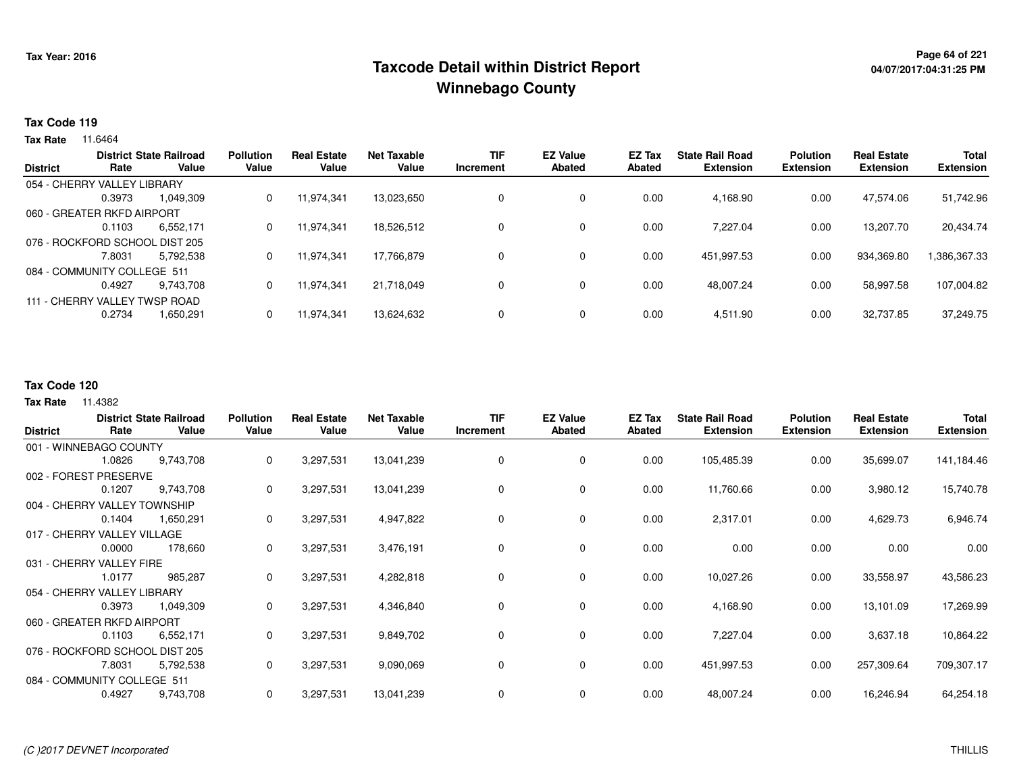## **Page 64 of 221 Taxcode Detail within District ReportWinnebago County**

#### **Tax Code 119**

**Tax Rate** 11.6464

|                 |                                | <b>District State Railroad</b> | <b>Pollution</b> | <b>Real Estate</b> | <b>Net Taxable</b> | <b>TIF</b> | <b>EZ Value</b> | EZ Tax | <b>State Rail Road</b> | <b>Polution</b>  | <b>Real Estate</b> | <b>Total</b>     |
|-----------------|--------------------------------|--------------------------------|------------------|--------------------|--------------------|------------|-----------------|--------|------------------------|------------------|--------------------|------------------|
| <b>District</b> | Rate                           | Value                          | Value            | Value              | Value              | Increment  | <b>Abated</b>   | Abated | <b>Extension</b>       | <b>Extension</b> | <b>Extension</b>   | <b>Extension</b> |
|                 | 054 - CHERRY VALLEY LIBRARY    |                                |                  |                    |                    |            |                 |        |                        |                  |                    |                  |
|                 | 0.3973                         | 1.049.309                      | 0                | 11.974.341         | 13,023,650         |            | $\mathbf 0$     | 0.00   | 4.168.90               | 0.00             | 47.574.06          | 51,742.96        |
|                 | 060 - GREATER RKFD AIRPORT     |                                |                  |                    |                    |            |                 |        |                        |                  |                    |                  |
|                 | 0.1103                         | 6,552,171                      | 0                | 11.974.341         | 18.526.512         |            | $\mathbf 0$     | 0.00   | 7,227.04               | 0.00             | 13.207.70          | 20,434.74        |
|                 | 076 - ROCKFORD SCHOOL DIST 205 |                                |                  |                    |                    |            |                 |        |                        |                  |                    |                  |
|                 | 7.8031                         | 5,792,538                      | 0                | 11,974,341         | 17.766.879         |            | $\mathbf 0$     | 0.00   | 451,997.53             | 0.00             | 934,369.80         | 1,386,367.33     |
|                 | 084 - COMMUNITY COLLEGE 511    |                                |                  |                    |                    |            |                 |        |                        |                  |                    |                  |
|                 | 0.4927                         | 9,743,708                      | 0                | 11,974,341         | 21,718,049         |            | $\mathbf 0$     | 0.00   | 48,007.24              | 0.00             | 58,997.58          | 107,004.82       |
|                 | 111 - CHERRY VALLEY TWSP ROAD  |                                |                  |                    |                    |            |                 |        |                        |                  |                    |                  |
|                 | 0.2734                         | 1,650,291                      | 0                | 11,974,341         | 13,624,632         |            | 0               | 0.00   | 4,511.90               | 0.00             | 32,737.85          | 37,249.75        |
|                 |                                |                                |                  |                    |                    |            |                 |        |                        |                  |                    |                  |

### **Tax Code 120**

| <b>District</b>                | Rate   | <b>District State Railroad</b><br>Value | <b>Pollution</b><br>Value | <b>Real Estate</b><br>Value | <b>Net Taxable</b><br>Value | <b>TIF</b><br>Increment | <b>EZ Value</b><br><b>Abated</b> | EZ Tax<br><b>Abated</b> | <b>State Rail Road</b><br><b>Extension</b> | <b>Polution</b><br><b>Extension</b> | <b>Real Estate</b><br><b>Extension</b> | Total<br><b>Extension</b> |
|--------------------------------|--------|-----------------------------------------|---------------------------|-----------------------------|-----------------------------|-------------------------|----------------------------------|-------------------------|--------------------------------------------|-------------------------------------|----------------------------------------|---------------------------|
| 001 - WINNEBAGO COUNTY         |        |                                         |                           |                             |                             |                         |                                  |                         |                                            |                                     |                                        |                           |
|                                | 1.0826 | 9,743,708                               | 0                         | 3,297,531                   | 13,041,239                  | 0                       | 0                                | 0.00                    | 105,485.39                                 | 0.00                                | 35,699.07                              | 141,184.46                |
| 002 - FOREST PRESERVE          |        |                                         |                           |                             |                             |                         |                                  |                         |                                            |                                     |                                        |                           |
|                                | 0.1207 | 9,743,708                               | 0                         | 3,297,531                   | 13,041,239                  | 0                       | 0                                | 0.00                    | 11,760.66                                  | 0.00                                | 3,980.12                               | 15,740.78                 |
| 004 - CHERRY VALLEY TOWNSHIP   |        |                                         |                           |                             |                             |                         |                                  |                         |                                            |                                     |                                        |                           |
|                                | 0.1404 | 1,650,291                               | 0                         | 3,297,531                   | 4,947,822                   | 0                       | 0                                | 0.00                    | 2,317.01                                   | 0.00                                | 4,629.73                               | 6,946.74                  |
| 017 - CHERRY VALLEY VILLAGE    |        |                                         |                           |                             |                             |                         |                                  |                         |                                            |                                     |                                        |                           |
|                                | 0.0000 | 178,660                                 | 0                         | 3,297,531                   | 3,476,191                   |                         | 0                                | 0.00                    | 0.00                                       | 0.00                                | 0.00                                   | 0.00                      |
| 031 - CHERRY VALLEY FIRE       |        |                                         |                           |                             |                             |                         |                                  |                         |                                            |                                     |                                        |                           |
|                                | 1.0177 | 985,287                                 | 0                         | 3,297,531                   | 4,282,818                   | $\Omega$                | 0                                | 0.00                    | 10,027.26                                  | 0.00                                | 33,558.97                              | 43,586.23                 |
| 054 - CHERRY VALLEY LIBRARY    |        |                                         |                           |                             |                             |                         |                                  |                         |                                            |                                     |                                        |                           |
|                                | 0.3973 | 1,049,309                               | 0                         | 3,297,531                   | 4,346,840                   | 0                       | 0                                | 0.00                    | 4,168.90                                   | 0.00                                | 13,101.09                              | 17,269.99                 |
| 060 - GREATER RKFD AIRPORT     |        |                                         |                           |                             |                             |                         |                                  |                         |                                            |                                     |                                        |                           |
|                                | 0.1103 | 6,552,171                               | 0                         | 3,297,531                   | 9,849,702                   | 0                       | $\mathbf 0$                      | 0.00                    | 7,227.04                                   | 0.00                                | 3,637.18                               | 10,864.22                 |
| 076 - ROCKFORD SCHOOL DIST 205 |        |                                         |                           |                             |                             |                         |                                  |                         |                                            |                                     |                                        |                           |
|                                | 7.8031 | 5,792,538                               | 0                         | 3,297,531                   | 9,090,069                   | 0                       | $\mathbf 0$                      | 0.00                    | 451,997.53                                 | 0.00                                | 257,309.64                             | 709,307.17                |
| 084 - COMMUNITY COLLEGE 511    |        |                                         |                           |                             |                             |                         |                                  |                         |                                            |                                     |                                        |                           |
|                                | 0.4927 | 9,743,708                               | 0                         | 3,297,531                   | 13,041,239                  | 0                       | 0                                | 0.00                    | 48,007.24                                  | 0.00                                | 16,246.94                              | 64,254.18                 |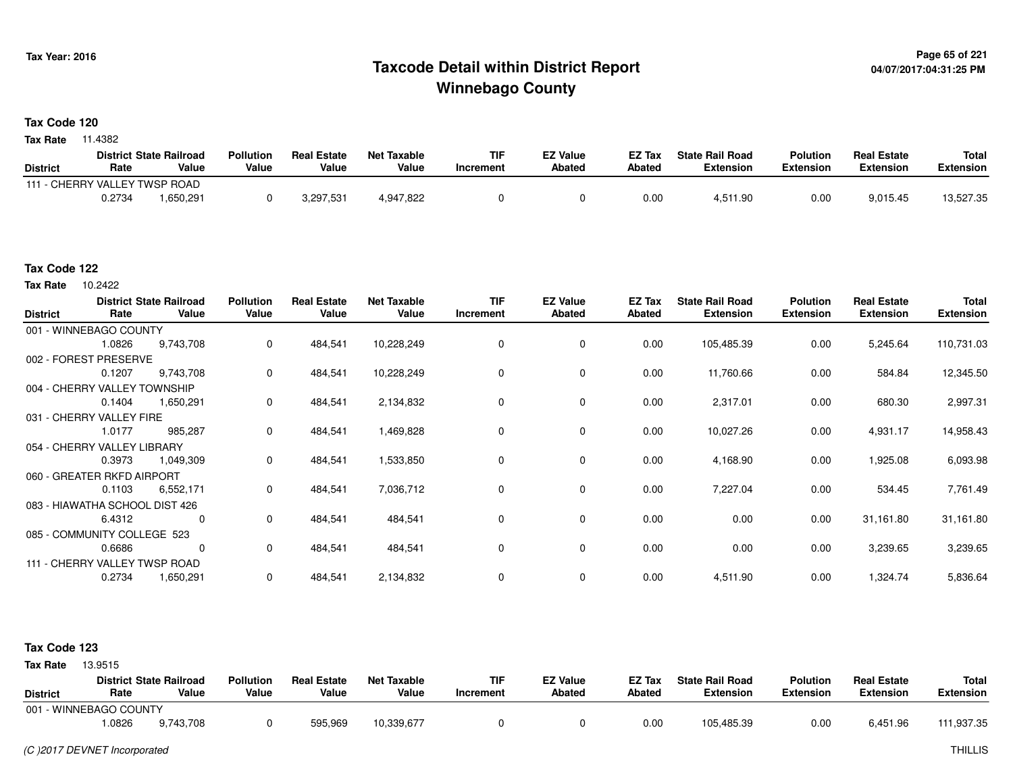## <sup>Page 65</sup> of 221 Page 65 of 221<br>Taxcode Detail within District Report لا من المستخدم بالاستخدام بالتفاوت المتحدة المتحدة بالتابعية المتحدة الم **Winnebago County**

#### **Tax Code 120**

**Tax Rate** 11.4382

|                               |        | <b>District State Railroad</b> | <b>Pollution</b> | <b>Real Estate</b> | <b>Net Taxable</b> | TIF       | <b>EZ Value</b> | <b>EZ Tax</b> | <b>State Rail Road</b> | Polution  | <b>Real Estate</b> | <b>Total</b> |
|-------------------------------|--------|--------------------------------|------------------|--------------------|--------------------|-----------|-----------------|---------------|------------------------|-----------|--------------------|--------------|
| <b>District</b>               | Rate   | Value                          | Value            | Value              | Value              | Increment | <b>Abated</b>   | Abated        | Extension              | Extension | Extension          | Extension    |
| 111 - CHERRY VALLEY TWSP ROAD |        |                                |                  |                    |                    |           |                 |               |                        |           |                    |              |
|                               | 0.2734 | 650,291. ا                     |                  | 3,297,531          | 4,947,822          |           |                 | 0.00          | 4,511.90               | 0.00      | 9,015.45           | 13,527.35    |

#### **Tax Code 122**

Tax Rate 10.2422

| <b>District</b> | Rate                           | <b>District State Railroad</b><br>Value | <b>Pollution</b><br>Value | <b>Real Estate</b><br>Value | <b>Net Taxable</b><br>Value | TIF<br>Increment | <b>EZ Value</b><br><b>Abated</b> | EZ Tax<br><b>Abated</b> | <b>State Rail Road</b><br><b>Extension</b> | <b>Polution</b><br><b>Extension</b> | <b>Real Estate</b><br><b>Extension</b> | <b>Total</b><br><b>Extension</b> |
|-----------------|--------------------------------|-----------------------------------------|---------------------------|-----------------------------|-----------------------------|------------------|----------------------------------|-------------------------|--------------------------------------------|-------------------------------------|----------------------------------------|----------------------------------|
|                 | 001 - WINNEBAGO COUNTY         |                                         |                           |                             |                             |                  |                                  |                         |                                            |                                     |                                        |                                  |
|                 | 1.0826                         | 9,743,708                               | 0                         | 484,541                     | 10,228,249                  | 0                | 0                                | 0.00                    | 105,485.39                                 | 0.00                                | 5,245.64                               | 110,731.03                       |
|                 | 002 - FOREST PRESERVE          |                                         |                           |                             |                             |                  |                                  |                         |                                            |                                     |                                        |                                  |
|                 | 0.1207                         | 9,743,708                               | 0                         | 484,541                     | 10,228,249                  | $\Omega$         | 0                                | 0.00                    | 11,760.66                                  | 0.00                                | 584.84                                 | 12,345.50                        |
|                 | 004 - CHERRY VALLEY TOWNSHIP   |                                         |                           |                             |                             |                  |                                  |                         |                                            |                                     |                                        |                                  |
|                 | 0.1404                         | 1,650,291                               | 0                         | 484,541                     | 2,134,832                   | 0                | 0                                | 0.00                    | 2,317.01                                   | 0.00                                | 680.30                                 | 2,997.31                         |
|                 | 031 - CHERRY VALLEY FIRE       |                                         |                           |                             |                             |                  |                                  |                         |                                            |                                     |                                        |                                  |
|                 | 1.0177                         | 985,287                                 | $\Omega$                  | 484,541                     | 1,469,828                   | 0                | $\mathbf 0$                      | 0.00                    | 10,027.26                                  | 0.00                                | 4,931.17                               | 14,958.43                        |
|                 | 054 - CHERRY VALLEY LIBRARY    |                                         |                           |                             |                             |                  |                                  |                         |                                            |                                     |                                        |                                  |
|                 | 0.3973                         | 1,049,309                               | 0                         | 484,541                     | 1,533,850                   | 0                | 0                                | 0.00                    | 4,168.90                                   | 0.00                                | 1,925.08                               | 6,093.98                         |
|                 | 060 - GREATER RKFD AIRPORT     |                                         |                           |                             |                             |                  |                                  |                         |                                            |                                     |                                        |                                  |
|                 | 0.1103                         | 6,552,171                               | 0                         | 484,541                     | 7,036,712                   | 0                | $\mathbf 0$                      | 0.00                    | 7,227.04                                   | 0.00                                | 534.45                                 | 7,761.49                         |
|                 | 083 - HIAWATHA SCHOOL DIST 426 |                                         |                           |                             |                             |                  |                                  |                         |                                            |                                     |                                        |                                  |
|                 | 6.4312                         | 0                                       | 0                         | 484,541                     | 484,541                     | 0                | 0                                | 0.00                    | 0.00                                       | 0.00                                | 31,161.80                              | 31,161.80                        |
|                 | 085 - COMMUNITY COLLEGE 523    |                                         |                           |                             |                             |                  |                                  |                         |                                            |                                     |                                        |                                  |
|                 | 0.6686                         | 0                                       | $\mathbf 0$               | 484,541                     | 484,541                     | 0                | $\mathbf 0$                      | 0.00                    | 0.00                                       | 0.00                                | 3,239.65                               | 3,239.65                         |
|                 | 111 - CHERRY VALLEY TWSP ROAD  |                                         |                           |                             |                             |                  |                                  |                         |                                            |                                     |                                        |                                  |
|                 | 0.2734                         | 1,650,291                               | 0                         | 484,541                     | 2,134,832                   | 0                | 0                                | 0.00                    | 4,511.90                                   | 0.00                                | 1,324.74                               | 5,836.64                         |

#### **Tax Code 123**

| <b>District</b> | Rate                   | <b>District State Railroad</b><br>Value | <b>Pollution</b><br>Value | <b>Real Estate</b><br>Value | Net Taxable<br>Value | TIF<br>Increment | <b>EZ Value</b><br><b>Abated</b> | <b>EZ Tax</b><br><b>Abated</b> | <b>State Rail Road</b><br><b>Extension</b> | <b>Polution</b><br><b>Extension</b> | <b>Real Estate</b><br><b>Extension</b> | Total<br>Extension |
|-----------------|------------------------|-----------------------------------------|---------------------------|-----------------------------|----------------------|------------------|----------------------------------|--------------------------------|--------------------------------------------|-------------------------------------|----------------------------------------|--------------------|
|                 | 001 - WINNEBAGO COUNTY |                                         |                           |                             |                      |                  |                                  |                                |                                            |                                     |                                        |                    |
|                 | .0826                  | 9,743,708                               |                           | 595,969                     | 10,339,677           |                  |                                  | 0.00                           | 105,485.39                                 | 0.00                                | 6,451.96                               | 111,937.35         |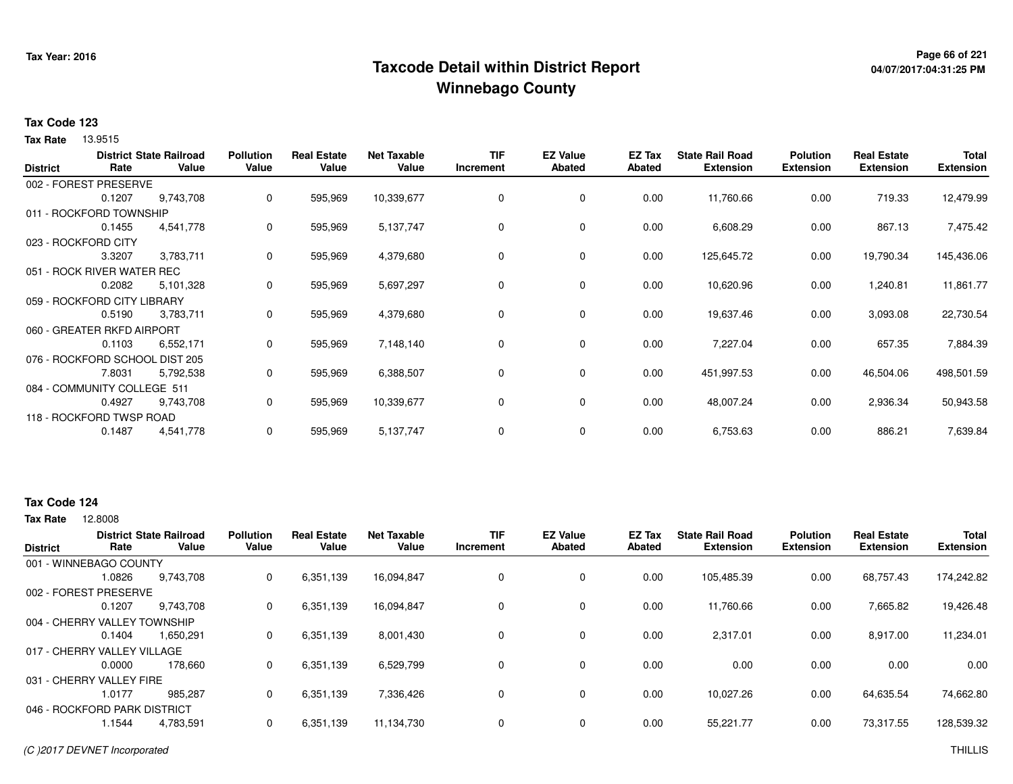## <sup>Page 66</sup> of 221<br>Taxcode Detail within District Report های این موجع به معنی این موجع به این موجع به این موجع به این موجع به این م **Winnebago County**

# **04/07/2017:04:31:25 PM**

#### **Tax Code 123**

13.9515 **Tax Rate**

| <b>District</b> | Rate                           | <b>District State Railroad</b><br>Value | <b>Pollution</b><br>Value | <b>Real Estate</b><br>Value | <b>Net Taxable</b><br>Value | <b>TIF</b><br>Increment | <b>EZ Value</b><br><b>Abated</b> | EZ Tax<br><b>Abated</b> | <b>State Rail Road</b><br><b>Extension</b> | <b>Polution</b><br><b>Extension</b> | <b>Real Estate</b><br><b>Extension</b> | <b>Total</b><br><b>Extension</b> |
|-----------------|--------------------------------|-----------------------------------------|---------------------------|-----------------------------|-----------------------------|-------------------------|----------------------------------|-------------------------|--------------------------------------------|-------------------------------------|----------------------------------------|----------------------------------|
|                 | 002 - FOREST PRESERVE          |                                         |                           |                             |                             |                         |                                  |                         |                                            |                                     |                                        |                                  |
|                 | 0.1207                         | 9,743,708                               | 0                         | 595,969                     | 10,339,677                  | 0                       | 0                                | 0.00                    | 11,760.66                                  | 0.00                                | 719.33                                 | 12,479.99                        |
|                 | 011 - ROCKFORD TOWNSHIP        |                                         |                           |                             |                             |                         |                                  |                         |                                            |                                     |                                        |                                  |
|                 | 0.1455                         | 4,541,778                               | 0                         | 595,969                     | 5,137,747                   | 0                       | 0                                | 0.00                    | 6,608.29                                   | 0.00                                | 867.13                                 | 7,475.42                         |
|                 | 023 - ROCKFORD CITY            |                                         |                           |                             |                             |                         |                                  |                         |                                            |                                     |                                        |                                  |
|                 | 3.3207                         | 3,783,711                               | 0                         | 595,969                     | 4,379,680                   | 0                       | 0                                | 0.00                    | 125,645.72                                 | 0.00                                | 19,790.34                              | 145,436.06                       |
|                 | 051 - ROCK RIVER WATER REC     |                                         |                           |                             |                             |                         |                                  |                         |                                            |                                     |                                        |                                  |
|                 | 0.2082                         | 5,101,328                               | 0                         | 595,969                     | 5,697,297                   | 0                       | 0                                | 0.00                    | 10,620.96                                  | 0.00                                | 1,240.81                               | 11,861.77                        |
|                 | 059 - ROCKFORD CITY LIBRARY    |                                         |                           |                             |                             |                         |                                  |                         |                                            |                                     |                                        |                                  |
|                 | 0.5190                         | 3,783,711                               | 0                         | 595,969                     | 4,379,680                   | 0                       | 0                                | 0.00                    | 19,637.46                                  | 0.00                                | 3,093.08                               | 22,730.54                        |
|                 | 060 - GREATER RKFD AIRPORT     |                                         |                           |                             |                             |                         |                                  |                         |                                            |                                     |                                        |                                  |
|                 | 0.1103                         | 6,552,171                               | 0                         | 595,969                     | 7,148,140                   | 0                       | 0                                | 0.00                    | 7,227.04                                   | 0.00                                | 657.35                                 | 7,884.39                         |
|                 | 076 - ROCKFORD SCHOOL DIST 205 |                                         |                           |                             |                             |                         |                                  |                         |                                            |                                     |                                        |                                  |
|                 | 7.8031                         | 5,792,538                               | 0                         | 595,969                     | 6,388,507                   | 0                       | 0                                | 0.00                    | 451,997.53                                 | 0.00                                | 46,504.06                              | 498,501.59                       |
|                 | 084 - COMMUNITY COLLEGE 511    |                                         |                           |                             |                             |                         |                                  |                         |                                            |                                     |                                        |                                  |
|                 | 0.4927                         | 9,743,708                               | 0                         | 595,969                     | 10,339,677                  | 0                       | 0                                | 0.00                    | 48,007.24                                  | 0.00                                | 2,936.34                               | 50,943.58                        |
|                 | 118 - ROCKFORD TWSP ROAD       |                                         |                           |                             |                             |                         |                                  |                         |                                            |                                     |                                        |                                  |
|                 | 0.1487                         | 4,541,778                               | 0                         | 595,969                     | 5,137,747                   | 0                       | 0                                | 0.00                    | 6,753.63                                   | 0.00                                | 886.21                                 | 7,639.84                         |

#### **Tax Code 124**

**Tax Rate** 12,8008

| <b>District</b>             | Rate                         | <b>District State Railroad</b><br>Value | <b>Pollution</b><br>Value | <b>Real Estate</b><br>Value | <b>Net Taxable</b><br>Value | <b>TIF</b><br>Increment | <b>EZ Value</b><br><b>Abated</b> | <b>EZ Tax</b><br>Abated | <b>State Rail Road</b><br><b>Extension</b> | <b>Polution</b><br><b>Extension</b> | <b>Real Estate</b><br><b>Extension</b> | <b>Total</b><br><b>Extension</b> |
|-----------------------------|------------------------------|-----------------------------------------|---------------------------|-----------------------------|-----------------------------|-------------------------|----------------------------------|-------------------------|--------------------------------------------|-------------------------------------|----------------------------------------|----------------------------------|
|                             | 001 - WINNEBAGO COUNTY       |                                         |                           |                             |                             |                         |                                  |                         |                                            |                                     |                                        |                                  |
|                             | 1.0826                       | 9,743,708                               | 0                         | 6,351,139                   | 16,094,847                  | 0                       | 0                                | 0.00                    | 105,485.39                                 | 0.00                                | 68,757.43                              | 174,242.82                       |
|                             | 002 - FOREST PRESERVE        |                                         |                           |                             |                             |                         |                                  |                         |                                            |                                     |                                        |                                  |
|                             | 0.1207                       | 9.743.708                               | 0                         | 6,351,139                   | 16,094,847                  | 0                       | $\mathbf 0$                      | 0.00                    | 11.760.66                                  | 0.00                                | 7,665.82                               | 19,426.48                        |
|                             | 004 - CHERRY VALLEY TOWNSHIP |                                         |                           |                             |                             |                         |                                  |                         |                                            |                                     |                                        |                                  |
|                             | 0.1404                       | 1.650.291                               | 0                         | 6,351,139                   | 8,001,430                   | 0                       | 0                                | 0.00                    | 2,317.01                                   | 0.00                                | 8,917.00                               | 11,234.01                        |
| 017 - CHERRY VALLEY VILLAGE |                              |                                         |                           |                             |                             |                         |                                  |                         |                                            |                                     |                                        |                                  |
|                             | 0.0000                       | 178,660                                 | 0                         | 6,351,139                   | 6,529,799                   | 0                       | 0                                | 0.00                    | 0.00                                       | 0.00                                | 0.00                                   | 0.00                             |
|                             | 031 - CHERRY VALLEY FIRE     |                                         |                           |                             |                             |                         |                                  |                         |                                            |                                     |                                        |                                  |
|                             | 1.0177                       | 985.287                                 | 0                         | 6,351,139                   | 7,336,426                   | 0                       | 0                                | 0.00                    | 10,027.26                                  | 0.00                                | 64,635.54                              | 74,662.80                        |
|                             | 046 - ROCKFORD PARK DISTRICT |                                         |                           |                             |                             |                         |                                  |                         |                                            |                                     |                                        |                                  |
|                             | 1.1544                       | 4,783,591                               | 0                         | 6,351,139                   | 11,134,730                  |                         | 0                                | 0.00                    | 55.221.77                                  | 0.00                                | 73,317.55                              | 128,539.32                       |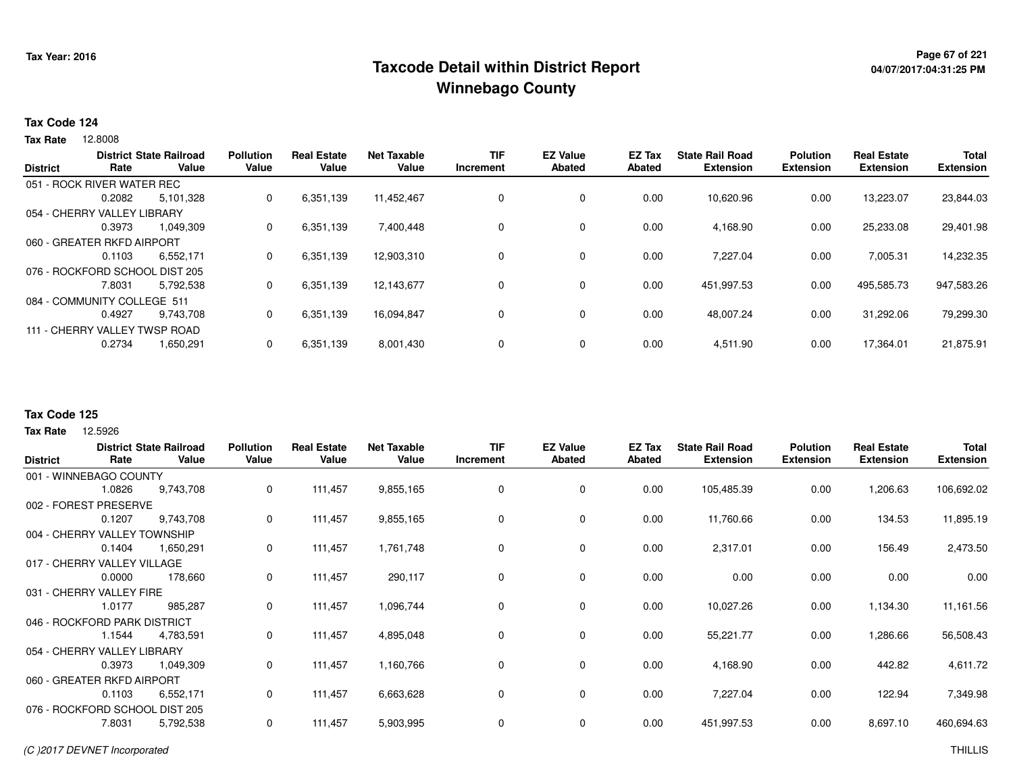## <sup>Page 67</sup> of <sup>221</sup> Page 67 of 221<br>Taxcode Detail within District Report های این موجع به این این این موجع به این این این این این این این این این ا **Winnebago County**

# **04/07/2017:04:31:25 PM**

#### **Tax Code 124**

12.8008 **Tax Rate**

| <b>District</b> | Rate                           | <b>District State Railroad</b><br>Value | <b>Pollution</b><br>Value | <b>Real Estate</b><br>Value | <b>Net Taxable</b><br>Value | <b>TIF</b><br>Increment | <b>EZ Value</b><br><b>Abated</b> | <b>EZ Tax</b><br>Abated | <b>State Rail Road</b><br><b>Extension</b> | <b>Polution</b><br><b>Extension</b> | <b>Real Estate</b><br><b>Extension</b> | <b>Total</b><br><b>Extension</b> |
|-----------------|--------------------------------|-----------------------------------------|---------------------------|-----------------------------|-----------------------------|-------------------------|----------------------------------|-------------------------|--------------------------------------------|-------------------------------------|----------------------------------------|----------------------------------|
|                 | 051 - ROCK RIVER WATER REC     |                                         |                           |                             |                             |                         |                                  |                         |                                            |                                     |                                        |                                  |
|                 | 0.2082                         | 5,101,328                               | 0                         | 6,351,139                   | 11,452,467                  | 0                       | 0                                | 0.00                    | 10,620.96                                  | 0.00                                | 13,223.07                              | 23,844.03                        |
|                 | 054 - CHERRY VALLEY LIBRARY    |                                         |                           |                             |                             |                         |                                  |                         |                                            |                                     |                                        |                                  |
|                 | 0.3973                         | 1.049.309                               | 0                         | 6,351,139                   | 7.400.448                   | 0                       | 0                                | 0.00                    | 4,168.90                                   | 0.00                                | 25,233.08                              | 29,401.98                        |
|                 | 060 - GREATER RKFD AIRPORT     |                                         |                           |                             |                             |                         |                                  |                         |                                            |                                     |                                        |                                  |
|                 | 0.1103                         | 6,552,171                               | 0                         | 6,351,139                   | 12,903,310                  | 0                       | 0                                | 0.00                    | 7,227.04                                   | 0.00                                | 7,005.31                               | 14,232.35                        |
|                 | 076 - ROCKFORD SCHOOL DIST 205 |                                         |                           |                             |                             |                         |                                  |                         |                                            |                                     |                                        |                                  |
|                 | 7.8031                         | 5.792.538                               | 0                         | 6,351,139                   | 12.143.677                  | 0                       | 0                                | 0.00                    | 451,997.53                                 | 0.00                                | 495,585.73                             | 947,583.26                       |
|                 | 084 - COMMUNITY COLLEGE 511    |                                         |                           |                             |                             |                         |                                  |                         |                                            |                                     |                                        |                                  |
|                 | 0.4927                         | 9.743.708                               | 0                         | 6,351,139                   | 16,094,847                  | 0                       | 0                                | 0.00                    | 48,007.24                                  | 0.00                                | 31,292.06                              | 79,299.30                        |
|                 | 111 - CHERRY VALLEY TWSP ROAD  |                                         |                           |                             |                             |                         |                                  |                         |                                            |                                     |                                        |                                  |
|                 | 0.2734                         | 1,650,291                               | 0                         | 6,351,139                   | 8,001,430                   | 0                       | 0                                | 0.00                    | 4,511.90                                   | 0.00                                | 17.364.01                              | 21,875.91                        |
|                 |                                |                                         |                           |                             |                             |                         |                                  |                         |                                            |                                     |                                        |                                  |

#### **Tax Code 125**

|        |           | <b>Pollution</b>                                                                                                                                                                                                                                                                                                     | <b>Real Estate</b> | <b>Net Taxable</b> | <b>TIF</b>  | <b>EZ Value</b> | EZ Tax        | <b>State Rail Road</b> | <b>Polution</b>  | <b>Real Estate</b> | Total            |
|--------|-----------|----------------------------------------------------------------------------------------------------------------------------------------------------------------------------------------------------------------------------------------------------------------------------------------------------------------------|--------------------|--------------------|-------------|-----------------|---------------|------------------------|------------------|--------------------|------------------|
|        |           |                                                                                                                                                                                                                                                                                                                      |                    |                    |             |                 |               |                        |                  |                    | <b>Extension</b> |
|        |           |                                                                                                                                                                                                                                                                                                                      |                    |                    |             |                 |               |                        |                  |                    |                  |
| 1.0826 | 9,743,708 | 0                                                                                                                                                                                                                                                                                                                    | 111,457            | 9,855,165          | 0           | 0               | 0.00          | 105,485.39             | 0.00             | 1,206.63           | 106,692.02       |
|        |           |                                                                                                                                                                                                                                                                                                                      |                    |                    |             |                 |               |                        |                  |                    |                  |
| 0.1207 | 9,743,708 | 0                                                                                                                                                                                                                                                                                                                    | 111,457            | 9,855,165          | 0           | 0               | 0.00          | 11,760.66              | 0.00             | 134.53             | 11,895.19        |
|        |           |                                                                                                                                                                                                                                                                                                                      |                    |                    |             |                 |               |                        |                  |                    |                  |
| 0.1404 | 1,650,291 | 0                                                                                                                                                                                                                                                                                                                    | 111,457            | 1,761,748          | $\mathbf 0$ | $\mathbf 0$     | 0.00          | 2,317.01               | 0.00             | 156.49             | 2,473.50         |
|        |           |                                                                                                                                                                                                                                                                                                                      |                    |                    |             |                 |               |                        |                  |                    |                  |
| 0.0000 | 178,660   | 0                                                                                                                                                                                                                                                                                                                    | 111,457            | 290,117            | 0           | 0               | 0.00          | 0.00                   | 0.00             | 0.00               | 0.00             |
|        |           |                                                                                                                                                                                                                                                                                                                      |                    |                    |             |                 |               |                        |                  |                    |                  |
| 1.0177 | 985,287   | 0                                                                                                                                                                                                                                                                                                                    | 111,457            | 1,096,744          | 0           | 0               | 0.00          | 10,027.26              | 0.00             | 1,134.30           | 11,161.56        |
|        |           |                                                                                                                                                                                                                                                                                                                      |                    |                    |             |                 |               |                        |                  |                    |                  |
| 1.1544 | 4,783,591 | 0                                                                                                                                                                                                                                                                                                                    | 111,457            | 4,895,048          | 0           | 0               | 0.00          | 55,221.77              | 0.00             | 1,286.66           | 56,508.43        |
|        |           |                                                                                                                                                                                                                                                                                                                      |                    |                    |             |                 |               |                        |                  |                    |                  |
| 0.3973 | 1,049,309 | 0                                                                                                                                                                                                                                                                                                                    | 111,457            | 1,160,766          | 0           | 0               | 0.00          | 4,168.90               | 0.00             | 442.82             | 4,611.72         |
|        |           |                                                                                                                                                                                                                                                                                                                      |                    |                    |             |                 |               |                        |                  |                    |                  |
| 0.1103 | 6,552,171 | 0                                                                                                                                                                                                                                                                                                                    | 111,457            | 6,663,628          | 0           | 0               | 0.00          | 7,227.04               | 0.00             | 122.94             | 7,349.98         |
|        |           |                                                                                                                                                                                                                                                                                                                      |                    |                    |             |                 |               |                        |                  |                    |                  |
| 7.8031 | 5,792,538 | 0                                                                                                                                                                                                                                                                                                                    | 111,457            | 5,903,995          | 0           | $\mathbf 0$     | 0.00          | 451,997.53             | 0.00             | 8,697.10           | 460,694.63       |
|        | Rate      | <b>District State Railroad</b><br>Value<br>001 - WINNEBAGO COUNTY<br>002 - FOREST PRESERVE<br>004 - CHERRY VALLEY TOWNSHIP<br>017 - CHERRY VALLEY VILLAGE<br>031 - CHERRY VALLEY FIRE<br>046 - ROCKFORD PARK DISTRICT<br>054 - CHERRY VALLEY LIBRARY<br>060 - GREATER RKFD AIRPORT<br>076 - ROCKFORD SCHOOL DIST 205 | Value              | Value              | Value       | Increment       | <b>Abated</b> | Abated                 | <b>Extension</b> | <b>Extension</b>   | <b>Extension</b> |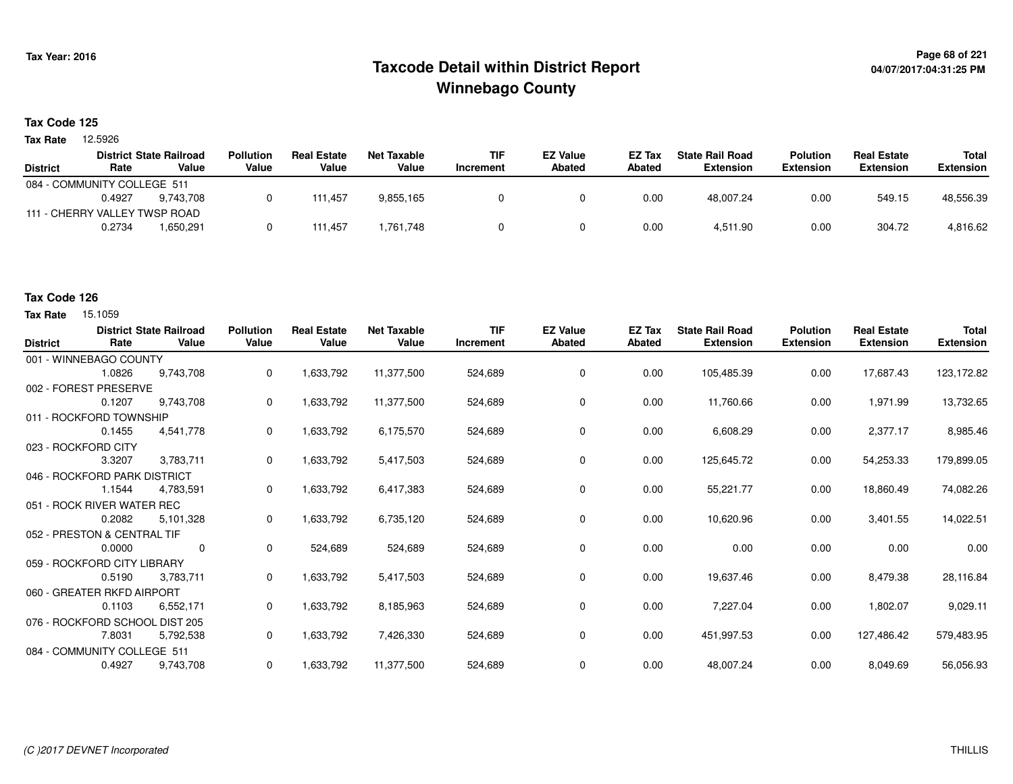## **Page 68 of 221 Taxcode Detail within District ReportWinnebago County**

#### **Tax Code 125**

**Tax Rate** 12.5926

|                 |                               | <b>District State Railroad</b> | <b>Pollution</b> | <b>Real Estate</b> | Net Taxable | <b>TIF</b> | <b>EZ Value</b> | EZ Tax | <b>State Rail Road</b> | <b>Polution</b>  | <b>Real Estate</b> | Total            |
|-----------------|-------------------------------|--------------------------------|------------------|--------------------|-------------|------------|-----------------|--------|------------------------|------------------|--------------------|------------------|
| <b>District</b> | Rate                          | Value                          | Value            | Value              | Value       | Increment  | Abated          | Abated | <b>Extension</b>       | <b>Extension</b> | <b>Extension</b>   | <b>Extension</b> |
|                 | 084 - COMMUNITY COLLEGE 511   |                                |                  |                    |             |            |                 |        |                        |                  |                    |                  |
|                 | 0.4927                        | 9.743.708                      |                  | 111,457            | 9,855,165   |            |                 | 0.00   | 48,007.24              | 0.00             | 549.15             | 48,556.39        |
|                 | 111 - CHERRY VALLEY TWSP ROAD |                                |                  |                    |             |            |                 |        |                        |                  |                    |                  |
|                 | 0.2734                        | 1.650.291                      |                  | 111.457            | 761,748. ا  |            |                 | 0.00   | 4.511.90               | 0.00             | 304.72             | 4,816.62         |
|                 |                               |                                |                  |                    |             |            |                 |        |                        |                  |                    |                  |

### **Tax Code 126**

| <b>District</b> | Rate                           | <b>District State Railroad</b><br>Value | <b>Pollution</b><br>Value | <b>Real Estate</b><br>Value | <b>Net Taxable</b><br>Value | <b>TIF</b><br>Increment | <b>EZ Value</b><br><b>Abated</b> | <b>EZ Tax</b><br>Abated | <b>State Rail Road</b><br><b>Extension</b> | <b>Polution</b><br><b>Extension</b> | <b>Real Estate</b><br><b>Extension</b> | <b>Total</b><br><b>Extension</b> |
|-----------------|--------------------------------|-----------------------------------------|---------------------------|-----------------------------|-----------------------------|-------------------------|----------------------------------|-------------------------|--------------------------------------------|-------------------------------------|----------------------------------------|----------------------------------|
|                 | 001 - WINNEBAGO COUNTY         |                                         |                           |                             |                             |                         |                                  |                         |                                            |                                     |                                        |                                  |
|                 | 1.0826                         | 9.743.708                               | 0                         | 1,633,792                   | 11,377,500                  | 524,689                 | 0                                | 0.00                    | 105,485.39                                 | 0.00                                | 17,687.43                              | 123,172.82                       |
|                 | 002 - FOREST PRESERVE          |                                         |                           |                             |                             |                         |                                  |                         |                                            |                                     |                                        |                                  |
|                 | 0.1207                         | 9,743,708                               | 0                         | 1,633,792                   | 11,377,500                  | 524,689                 | 0                                | 0.00                    | 11,760.66                                  | 0.00                                | 1,971.99                               | 13,732.65                        |
|                 | 011 - ROCKFORD TOWNSHIP        |                                         |                           |                             |                             |                         |                                  |                         |                                            |                                     |                                        |                                  |
|                 | 0.1455                         | 4,541,778                               | 0                         | 1,633,792                   | 6,175,570                   | 524,689                 | $\mathbf 0$                      | 0.00                    | 6,608.29                                   | 0.00                                | 2,377.17                               | 8,985.46                         |
|                 | 023 - ROCKFORD CITY            |                                         |                           |                             |                             |                         |                                  |                         |                                            |                                     |                                        |                                  |
|                 | 3.3207                         | 3,783,711                               | 0                         | 1,633,792                   | 5,417,503                   | 524,689                 | 0                                | 0.00                    | 125,645.72                                 | 0.00                                | 54,253.33                              | 179,899.05                       |
|                 | 046 - ROCKFORD PARK DISTRICT   |                                         |                           |                             |                             |                         |                                  |                         |                                            |                                     |                                        |                                  |
|                 | 1.1544                         | 4,783,591                               | 0                         | 1,633,792                   | 6,417,383                   | 524,689                 | 0                                | 0.00                    | 55,221.77                                  | 0.00                                | 18,860.49                              | 74,082.26                        |
|                 | 051 - ROCK RIVER WATER REC     |                                         |                           |                             |                             |                         |                                  |                         |                                            |                                     |                                        |                                  |
|                 | 0.2082                         | 5,101,328                               | 0                         | 1,633,792                   | 6,735,120                   | 524,689                 | 0                                | 0.00                    | 10,620.96                                  | 0.00                                | 3,401.55                               | 14,022.51                        |
|                 | 052 - PRESTON & CENTRAL TIF    |                                         |                           |                             |                             |                         |                                  |                         |                                            |                                     |                                        |                                  |
|                 | 0.0000                         | $\mathbf 0$                             | 0                         | 524,689                     | 524,689                     | 524,689                 | 0                                | 0.00                    | 0.00                                       | 0.00                                | 0.00                                   | 0.00                             |
|                 | 059 - ROCKFORD CITY LIBRARY    |                                         |                           |                             |                             |                         |                                  |                         |                                            |                                     |                                        |                                  |
|                 | 0.5190                         | 3,783,711                               | 0                         | 1,633,792                   | 5,417,503                   | 524,689                 | 0                                | 0.00                    | 19,637.46                                  | 0.00                                | 8,479.38                               | 28,116.84                        |
|                 | 060 - GREATER RKFD AIRPORT     |                                         |                           |                             |                             |                         |                                  |                         |                                            |                                     |                                        |                                  |
|                 | 0.1103                         | 6,552,171                               | 0                         | 1,633,792                   | 8,185,963                   | 524,689                 | 0                                | 0.00                    | 7,227.04                                   | 0.00                                | 1,802.07                               | 9,029.11                         |
|                 | 076 - ROCKFORD SCHOOL DIST 205 |                                         |                           |                             |                             |                         |                                  |                         |                                            |                                     |                                        |                                  |
|                 | 7.8031                         | 5,792,538                               | 0                         | 1,633,792                   | 7,426,330                   | 524,689                 | 0                                | 0.00                    | 451,997.53                                 | 0.00                                | 127,486.42                             | 579,483.95                       |
|                 | 084 - COMMUNITY COLLEGE 511    |                                         |                           |                             |                             |                         |                                  |                         |                                            |                                     |                                        |                                  |
|                 | 0.4927                         | 9,743,708                               | 0                         | 1,633,792                   | 11,377,500                  | 524,689                 | 0                                | 0.00                    | 48,007.24                                  | 0.00                                | 8,049.69                               | 56,056.93                        |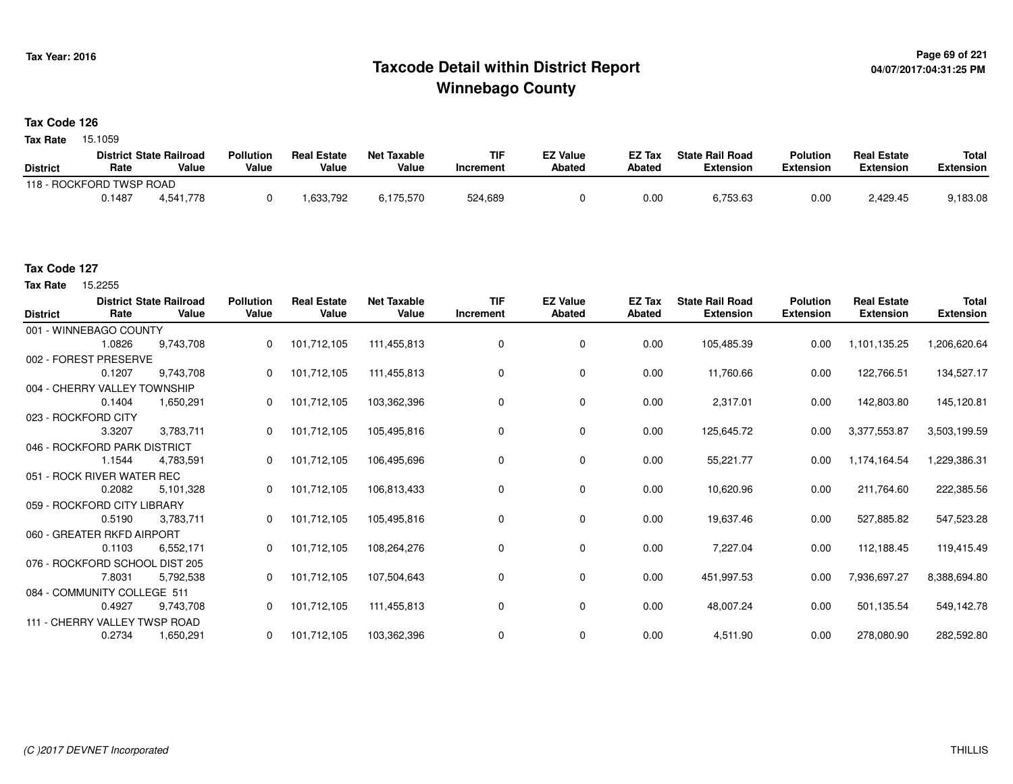## **Page 69 of 221 Taxcode Detail within District ReportWinnebago County**

### **Tax Code 126**

**Tax Rate** 15.1059

|                          |        | <b>District State Railroad</b> | <b>Pollution</b> | <b>Real Estate</b> | Net Taxable | TIF       | <b>EZ Value</b> | <b>EZ Tax</b> | <b>State Rail Road</b> | <b>Polution</b>  | <b>Real Estate</b> | <b>Total</b> |
|--------------------------|--------|--------------------------------|------------------|--------------------|-------------|-----------|-----------------|---------------|------------------------|------------------|--------------------|--------------|
| <b>District</b>          | Rate   | Value                          | Value            | Value              | Value       | Increment | <b>Abated</b>   | Abated        | <b>Extension</b>       | <b>Extension</b> | <b>Extension</b>   | Extension    |
| 118 - ROCKFORD TWSP ROAD |        |                                |                  |                    |             |           |                 |               |                        |                  |                    |              |
|                          | 0.1487 | 4.541.778                      |                  | .633,792           | 6,175,570   | 524,689   |                 | 0.00          | 6,753.63               | 0.00             | 2.429.45           | 9,183.08     |

#### **Tax Code 127**

15.2255 **Tax Rate**

| <b>District</b>     | Rate                          | <b>District State Railroad</b><br>Value | <b>Pollution</b><br>Value | <b>Real Estate</b><br>Value | <b>Net Taxable</b><br>Value | <b>TIF</b><br>Increment | <b>EZ Value</b><br><b>Abated</b> | EZ Tax<br><b>Abated</b> | <b>State Rail Road</b><br><b>Extension</b> | <b>Polution</b><br><b>Extension</b> | <b>Real Estate</b><br><b>Extension</b> | <b>Total</b><br><b>Extension</b> |
|---------------------|-------------------------------|-----------------------------------------|---------------------------|-----------------------------|-----------------------------|-------------------------|----------------------------------|-------------------------|--------------------------------------------|-------------------------------------|----------------------------------------|----------------------------------|
|                     | 001 - WINNEBAGO COUNTY        |                                         |                           |                             |                             |                         |                                  |                         |                                            |                                     |                                        |                                  |
|                     | 1.0826                        | 9,743,708                               | $\mathbf{0}$              | 101,712,105                 | 111,455,813                 | 0                       | 0                                | 0.00                    | 105,485.39                                 | 0.00                                | 1,101,135.25                           | 1,206,620.64                     |
|                     | 002 - FOREST PRESERVE         |                                         |                           |                             |                             |                         |                                  |                         |                                            |                                     |                                        |                                  |
|                     | 0.1207                        | 9,743,708                               |                           | 101,712,105                 | 111,455,813                 | 0                       | 0                                | 0.00                    | 11,760.66                                  | 0.00                                | 122,766.51                             | 134,527.17                       |
|                     | 004 - CHERRY VALLEY TOWNSHIP  |                                         |                           |                             |                             |                         |                                  |                         |                                            |                                     |                                        |                                  |
|                     | 0.1404                        | 1,650,291                               |                           | 101,712,105                 | 103,362,396                 | $\Omega$                | 0                                | 0.00                    | 2,317.01                                   | 0.00                                | 142,803.80                             | 145,120.81                       |
| 023 - ROCKFORD CITY |                               |                                         |                           |                             |                             |                         |                                  |                         |                                            |                                     |                                        |                                  |
|                     | 3.3207                        | 3,783,711                               | $\mathbf{0}$              | 101,712,105                 | 105,495,816                 | $\Omega$                | 0                                | 0.00                    | 125,645.72                                 | 0.00                                | 3,377,553.87                           | 3,503,199.59                     |
|                     | 046 - ROCKFORD PARK DISTRICT  |                                         |                           |                             |                             |                         |                                  |                         |                                            |                                     |                                        |                                  |
|                     | 1.1544                        | 4,783,591                               | 0                         | 101,712,105                 | 106,495,696                 |                         | 0                                | 0.00                    | 55,221.77                                  | 0.00                                | 1,174,164.54                           | 1,229,386.31                     |
|                     | 051 - ROCK RIVER WATER REC    |                                         |                           |                             |                             |                         |                                  |                         |                                            |                                     |                                        |                                  |
|                     | 0.2082                        | 5,101,328                               |                           | 101,712,105                 | 106,813,433                 | 0                       | 0                                | 0.00                    | 10,620.96                                  | 0.00                                | 211,764.60                             | 222,385.56                       |
|                     | 059 - ROCKFORD CITY LIBRARY   |                                         |                           |                             |                             |                         |                                  |                         |                                            |                                     |                                        |                                  |
|                     | 0.5190                        | 3,783,711                               | $\Omega$                  | 101,712,105                 | 105,495,816                 | 0                       | 0                                | 0.00                    | 19,637.46                                  | 0.00                                | 527,885.82                             | 547,523.28                       |
|                     | 060 - GREATER RKFD AIRPORT    |                                         |                           |                             |                             |                         |                                  |                         |                                            |                                     |                                        |                                  |
|                     | 0.1103                        | 6,552,171                               | $\mathbf{0}$              | 101,712,105                 | 108,264,276                 | 0                       | 0                                | 0.00                    | 7,227.04                                   | 0.00                                | 112,188.45                             | 119,415.49                       |
|                     |                               | 076 - ROCKFORD SCHOOL DIST 205          |                           |                             |                             |                         |                                  |                         |                                            |                                     |                                        |                                  |
|                     | 7.8031                        | 5,792,538                               | $\Omega$                  | 101,712,105                 | 107,504,643                 | 0                       | 0                                | 0.00                    | 451,997.53                                 | 0.00                                | 7,936,697.27                           | 8,388,694.80                     |
|                     | 084 - COMMUNITY COLLEGE 511   |                                         |                           |                             |                             |                         |                                  |                         |                                            |                                     |                                        |                                  |
|                     | 0.4927                        | 9,743,708                               |                           | 101,712,105                 | 111,455,813                 | $\Omega$                | 0                                | 0.00                    | 48,007.24                                  | 0.00                                | 501,135.54                             | 549,142.78                       |
|                     | 111 - CHERRY VALLEY TWSP ROAD |                                         |                           |                             |                             |                         |                                  |                         |                                            |                                     |                                        |                                  |
|                     | 0.2734                        | 1,650,291                               | 0                         | 101,712,105                 | 103,362,396                 |                         | 0                                | 0.00                    | 4,511.90                                   | 0.00                                | 278,080.90                             | 282,592.80                       |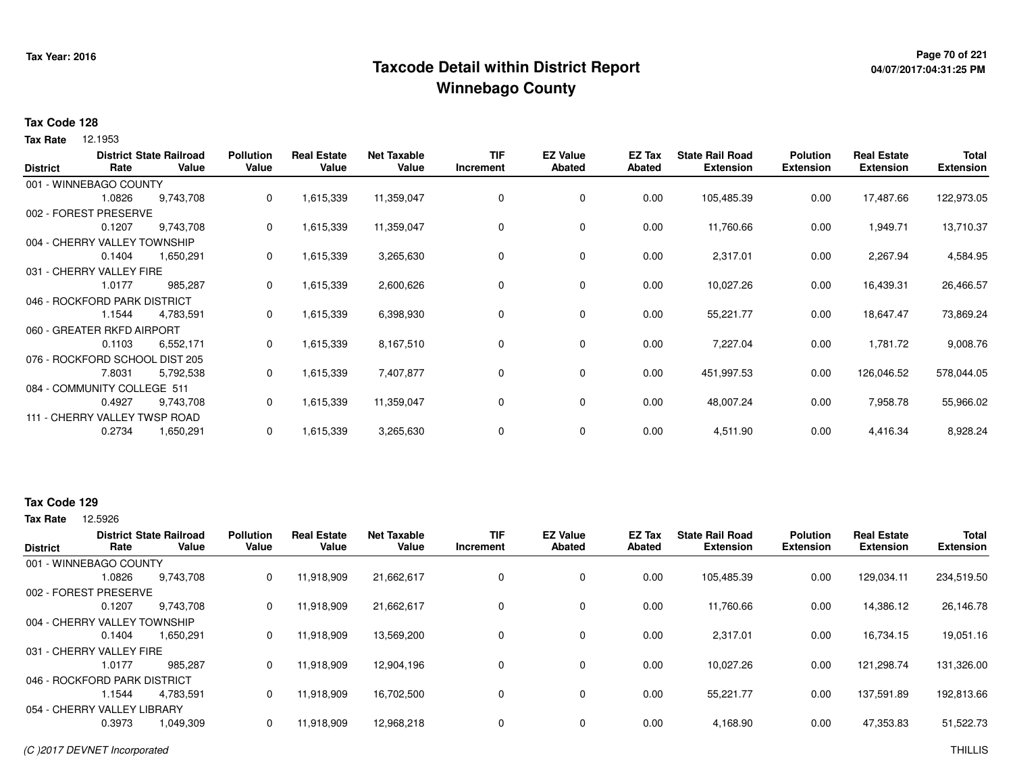## **Page 70 of 221 Taxcode Detail within District ReportWinnebago County**

# **04/07/2017:04:31:25 PM**

#### **Tax Code 128**

**Tax Rate** 12.1953

| <b>District</b> | Rate                           | <b>District State Railroad</b><br>Value | <b>Pollution</b><br>Value | <b>Real Estate</b><br>Value | <b>Net Taxable</b><br>Value | <b>TIF</b><br>Increment | <b>EZ Value</b><br>Abated | EZ Tax<br>Abated | <b>State Rail Road</b><br><b>Extension</b> | <b>Polution</b><br><b>Extension</b> | <b>Real Estate</b><br><b>Extension</b> | <b>Total</b><br><b>Extension</b> |
|-----------------|--------------------------------|-----------------------------------------|---------------------------|-----------------------------|-----------------------------|-------------------------|---------------------------|------------------|--------------------------------------------|-------------------------------------|----------------------------------------|----------------------------------|
|                 | 001 - WINNEBAGO COUNTY         |                                         |                           |                             |                             |                         |                           |                  |                                            |                                     |                                        |                                  |
|                 | 1.0826                         | 9,743,708                               | 0                         | 1,615,339                   | 11,359,047                  | 0                       | 0                         | 0.00             | 105,485.39                                 | 0.00                                | 17,487.66                              | 122,973.05                       |
|                 | 002 - FOREST PRESERVE          |                                         |                           |                             |                             |                         |                           |                  |                                            |                                     |                                        |                                  |
|                 | 0.1207                         | 9,743,708                               | 0                         | 1,615,339                   | 11,359,047                  | 0                       | 0                         | 0.00             | 11,760.66                                  | 0.00                                | 1,949.71                               | 13,710.37                        |
|                 | 004 - CHERRY VALLEY TOWNSHIP   |                                         |                           |                             |                             |                         |                           |                  |                                            |                                     |                                        |                                  |
|                 | 0.1404                         | 1,650,291                               | 0                         | 1,615,339                   | 3,265,630                   | 0                       | 0                         | 0.00             | 2,317.01                                   | 0.00                                | 2,267.94                               | 4,584.95                         |
|                 | 031 - CHERRY VALLEY FIRE       |                                         |                           |                             |                             |                         |                           |                  |                                            |                                     |                                        |                                  |
|                 | 1.0177                         | 985,287                                 | 0                         | 1,615,339                   | 2,600,626                   | 0                       | 0                         | 0.00             | 10,027.26                                  | 0.00                                | 16,439.31                              | 26,466.57                        |
|                 | 046 - ROCKFORD PARK DISTRICT   |                                         |                           |                             |                             |                         |                           |                  |                                            |                                     |                                        |                                  |
|                 | 1.1544                         | 4,783,591                               | 0                         | 1,615,339                   | 6,398,930                   | 0                       | 0                         | 0.00             | 55,221.77                                  | 0.00                                | 18,647.47                              | 73,869.24                        |
|                 | 060 - GREATER RKFD AIRPORT     |                                         |                           |                             |                             |                         |                           |                  |                                            |                                     |                                        |                                  |
|                 | 0.1103                         | 6,552,171                               | 0                         | 1,615,339                   | 8,167,510                   | 0                       | 0                         | 0.00             | 7,227.04                                   | 0.00                                | 1,781.72                               | 9,008.76                         |
|                 | 076 - ROCKFORD SCHOOL DIST 205 |                                         |                           |                             |                             |                         |                           |                  |                                            |                                     |                                        |                                  |
|                 | 7.8031                         | 5,792,538                               | 0                         | 1,615,339                   | 7,407,877                   | 0                       | 0                         | 0.00             | 451,997.53                                 | 0.00                                | 126,046.52                             | 578,044.05                       |
|                 | 084 - COMMUNITY COLLEGE 511    |                                         |                           |                             |                             |                         |                           |                  |                                            |                                     |                                        |                                  |
|                 | 0.4927                         | 9,743,708                               | 0                         | 1,615,339                   | 11,359,047                  | 0                       | 0                         | 0.00             | 48,007.24                                  | 0.00                                | 7,958.78                               | 55,966.02                        |
|                 | 111 - CHERRY VALLEY TWSP ROAD  |                                         |                           |                             |                             |                         |                           |                  |                                            |                                     |                                        |                                  |
|                 | 0.2734                         | 1,650,291                               | 0                         | 1,615,339                   | 3,265,630                   | 0                       | 0                         | 0.00             | 4,511.90                                   | 0.00                                | 4,416.34                               | 8,928.24                         |

#### **Tax Code 129**

| <b>District</b>              | Rate   | <b>District State Railroad</b><br>Value | <b>Pollution</b><br>Value | <b>Real Estate</b><br>Value | <b>Net Taxable</b><br>Value | <b>TIF</b><br>Increment | <b>EZ Value</b><br>Abated | <b>EZ Tax</b><br>Abated | <b>State Rail Road</b><br><b>Extension</b> | <b>Polution</b><br><b>Extension</b> | <b>Real Estate</b><br><b>Extension</b> | <b>Total</b><br><b>Extension</b> |
|------------------------------|--------|-----------------------------------------|---------------------------|-----------------------------|-----------------------------|-------------------------|---------------------------|-------------------------|--------------------------------------------|-------------------------------------|----------------------------------------|----------------------------------|
| 001 - WINNEBAGO COUNTY       |        |                                         |                           |                             |                             |                         |                           |                         |                                            |                                     |                                        |                                  |
|                              | 1.0826 | 9,743,708                               | 0                         | 11,918,909                  | 21,662,617                  | 0                       | 0                         | 0.00                    | 105,485.39                                 | 0.00                                | 129,034.11                             | 234,519.50                       |
| 002 - FOREST PRESERVE        |        |                                         |                           |                             |                             |                         |                           |                         |                                            |                                     |                                        |                                  |
|                              | 0.1207 | 9.743.708                               | 0                         | 11.918.909                  | 21,662,617                  | 0                       | 0                         | 0.00                    | 11.760.66                                  | 0.00                                | 14.386.12                              | 26,146.78                        |
| 004 - CHERRY VALLEY TOWNSHIP |        |                                         |                           |                             |                             |                         |                           |                         |                                            |                                     |                                        |                                  |
|                              | 0.1404 | 1,650,291                               | 0                         | 11,918,909                  | 13,569,200                  | 0                       | $\mathbf 0$               | 0.00                    | 2,317.01                                   | 0.00                                | 16,734.15                              | 19,051.16                        |
| 031 - CHERRY VALLEY FIRE     |        |                                         |                           |                             |                             |                         |                           |                         |                                            |                                     |                                        |                                  |
|                              | 1.0177 | 985.287                                 | 0                         | 11.918.909                  | 12,904,196                  | 0                       | 0                         | 0.00                    | 10,027.26                                  | 0.00                                | 121.298.74                             | 131,326.00                       |
| 046 - ROCKFORD PARK DISTRICT |        |                                         |                           |                             |                             |                         |                           |                         |                                            |                                     |                                        |                                  |
|                              | l.1544 | 4.783.591                               | 0                         | 11,918,909                  | 16,702,500                  | 0                       | $\mathbf 0$               | 0.00                    | 55.221.77                                  | 0.00                                | 137,591.89                             | 192,813.66                       |
| 054 - CHERRY VALLEY LIBRARY  |        |                                         |                           |                             |                             |                         |                           |                         |                                            |                                     |                                        |                                  |
|                              | 0.3973 | 1,049,309                               | 0                         | 11,918,909                  | 12,968,218                  | $\Omega$                | $\mathbf 0$               | 0.00                    | 4,168.90                                   | 0.00                                | 47,353.83                              | 51,522.73                        |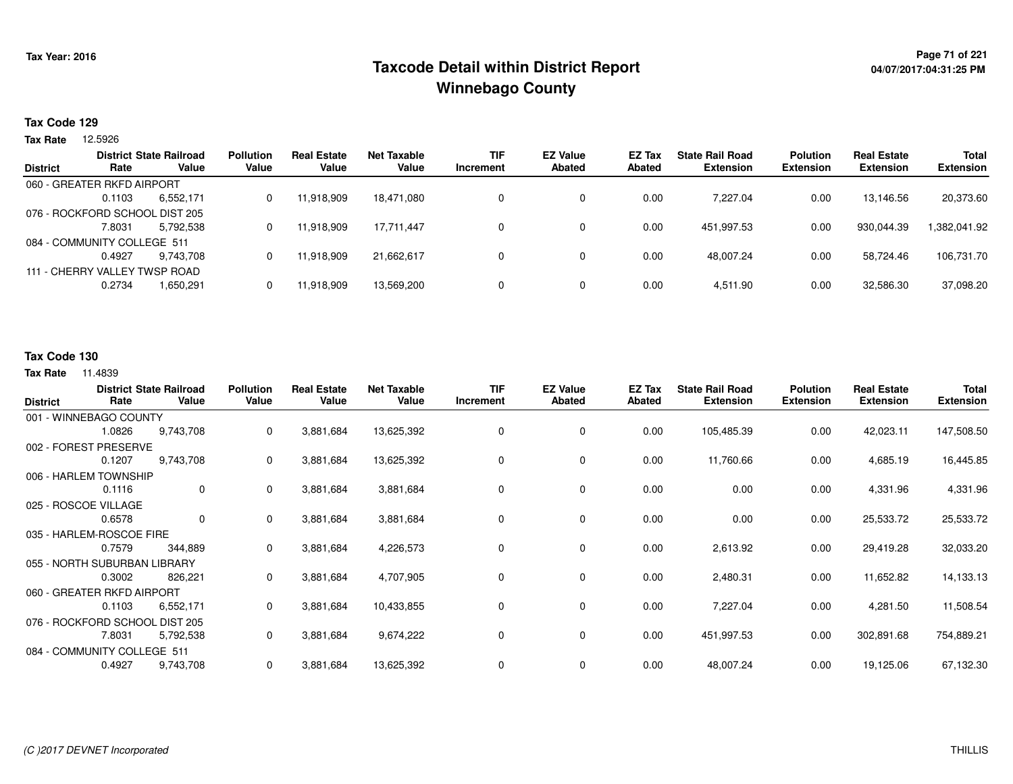## <sup>Page 71</sup> of 221<br>Taxcode Detail within District Report های این موجود به موجود به موجود به این موجود به موجود به موجود به موجود ب **Winnebago County**

#### **Tax Code 129**

**Tax Rate** 12.5926

|        |           | <b>Pollution</b>                                                                                                                                                        | <b>Real Estate</b> | Net Taxable | <b>TIF</b> | <b>EZ Value</b> | <b>EZ Tax</b> | <b>State Rail Road</b> | <b>Polution</b>  | <b>Real Estate</b> | <b>Total</b>     |
|--------|-----------|-------------------------------------------------------------------------------------------------------------------------------------------------------------------------|--------------------|-------------|------------|-----------------|---------------|------------------------|------------------|--------------------|------------------|
|        |           |                                                                                                                                                                         |                    |             |            |                 |               |                        |                  |                    | <b>Extension</b> |
|        |           |                                                                                                                                                                         |                    |             |            |                 |               |                        |                  |                    |                  |
| 0.1103 | 6,552,171 | 0                                                                                                                                                                       | 11,918,909         | 18.471.080  |            | 0               | 0.00          | 7.227.04               | 0.00             | 13.146.56          | 20,373.60        |
|        |           |                                                                                                                                                                         |                    |             |            |                 |               |                        |                  |                    |                  |
| 7.8031 | 5.792.538 | 0                                                                                                                                                                       | 11,918,909         | 17,711,447  | 0          | 0               | 0.00          | 451.997.53             | 0.00             | 930.044.39         | .382,041.92      |
|        |           |                                                                                                                                                                         |                    |             |            |                 |               |                        |                  |                    |                  |
| 0.4927 | 9.743.708 | 0                                                                                                                                                                       | 11.918.909         | 21.662.617  |            | 0               | 0.00          | 48.007.24              | 0.00             | 58.724.46          | 106,731.70       |
|        |           |                                                                                                                                                                         |                    |             |            |                 |               |                        |                  |                    |                  |
| 0.2734 | 1,650,291 | 0                                                                                                                                                                       | 11,918,909         | 13,569,200  |            | 0               | 0.00          | 4.511.90               | 0.00             | 32,586.30          | 37,098.20        |
|        | Rate      | <b>District State Railroad</b><br>Value<br>060 - GREATER RKFD AIRPORT<br>076 - ROCKFORD SCHOOL DIST 205<br>084 - COMMUNITY COLLEGE 511<br>111 - CHERRY VALLEY TWSP ROAD | Value              | Value       | Value      | Increment       | <b>Abated</b> | Abated                 | <b>Extension</b> | <b>Extension</b>   | <b>Extension</b> |

### **Tax Code 130**

| <b>District</b> | Rate                           | <b>District State Railroad</b><br>Value | <b>Pollution</b><br>Value | <b>Real Estate</b><br>Value | <b>Net Taxable</b><br>Value | <b>TIF</b><br>Increment | <b>EZ Value</b><br><b>Abated</b> | EZ Tax<br><b>Abated</b> | <b>State Rail Road</b><br><b>Extension</b> | <b>Polution</b><br><b>Extension</b> | <b>Real Estate</b><br><b>Extension</b> | <b>Total</b><br><b>Extension</b> |
|-----------------|--------------------------------|-----------------------------------------|---------------------------|-----------------------------|-----------------------------|-------------------------|----------------------------------|-------------------------|--------------------------------------------|-------------------------------------|----------------------------------------|----------------------------------|
|                 | 001 - WINNEBAGO COUNTY         |                                         |                           |                             |                             |                         |                                  |                         |                                            |                                     |                                        |                                  |
|                 | 1.0826                         | 9,743,708                               | 0                         | 3,881,684                   | 13,625,392                  | 0                       | $\mathbf 0$                      | 0.00                    | 105,485.39                                 | 0.00                                | 42,023.11                              | 147,508.50                       |
|                 | 002 - FOREST PRESERVE          |                                         |                           |                             |                             |                         |                                  |                         |                                            |                                     |                                        |                                  |
|                 | 0.1207                         | 9,743,708                               | 0                         | 3,881,684                   | 13,625,392                  | 0                       | 0                                | 0.00                    | 11,760.66                                  | 0.00                                | 4,685.19                               | 16,445.85                        |
|                 | 006 - HARLEM TOWNSHIP          |                                         |                           |                             |                             |                         |                                  |                         |                                            |                                     |                                        |                                  |
|                 | 0.1116                         | 0                                       | 0                         | 3,881,684                   | 3,881,684                   | 0                       | 0                                | 0.00                    | 0.00                                       | 0.00                                | 4,331.96                               | 4,331.96                         |
|                 | 025 - ROSCOE VILLAGE           |                                         |                           |                             |                             |                         |                                  |                         |                                            |                                     |                                        |                                  |
|                 | 0.6578                         | 0                                       | 0                         | 3,881,684                   | 3,881,684                   | 0                       | $\mathbf 0$                      | 0.00                    | 0.00                                       | 0.00                                | 25,533.72                              | 25,533.72                        |
|                 | 035 - HARLEM-ROSCOE FIRE       |                                         |                           |                             |                             |                         |                                  |                         |                                            |                                     |                                        |                                  |
|                 | 0.7579                         | 344,889                                 | 0                         | 3,881,684                   | 4,226,573                   | 0                       | 0                                | 0.00                    | 2,613.92                                   | 0.00                                | 29,419.28                              | 32,033.20                        |
|                 | 055 - NORTH SUBURBAN LIBRARY   |                                         |                           |                             |                             |                         |                                  |                         |                                            |                                     |                                        |                                  |
|                 | 0.3002                         | 826,221                                 | 0                         | 3,881,684                   | 4,707,905                   | 0                       | 0                                | 0.00                    | 2,480.31                                   | 0.00                                | 11,652.82                              | 14,133.13                        |
|                 | 060 - GREATER RKFD AIRPORT     |                                         |                           |                             |                             |                         |                                  |                         |                                            |                                     |                                        |                                  |
|                 | 0.1103                         | 6,552,171                               | 0                         | 3,881,684                   | 10,433,855                  | 0                       | 0                                | 0.00                    | 7,227.04                                   | 0.00                                | 4,281.50                               | 11,508.54                        |
|                 | 076 - ROCKFORD SCHOOL DIST 205 |                                         |                           |                             |                             |                         |                                  |                         |                                            |                                     |                                        |                                  |
|                 | 7.8031                         | 5,792,538                               | 0                         | 3,881,684                   | 9,674,222                   | 0                       | 0                                | 0.00                    | 451,997.53                                 | 0.00                                | 302,891.68                             | 754,889.21                       |
|                 | 084 - COMMUNITY COLLEGE 511    |                                         |                           |                             |                             |                         |                                  |                         |                                            |                                     |                                        |                                  |
|                 | 0.4927                         | 9,743,708                               | 0                         | 3,881,684                   | 13,625,392                  | 0                       | $\mathbf 0$                      | 0.00                    | 48,007.24                                  | 0.00                                | 19,125.06                              | 67,132.30                        |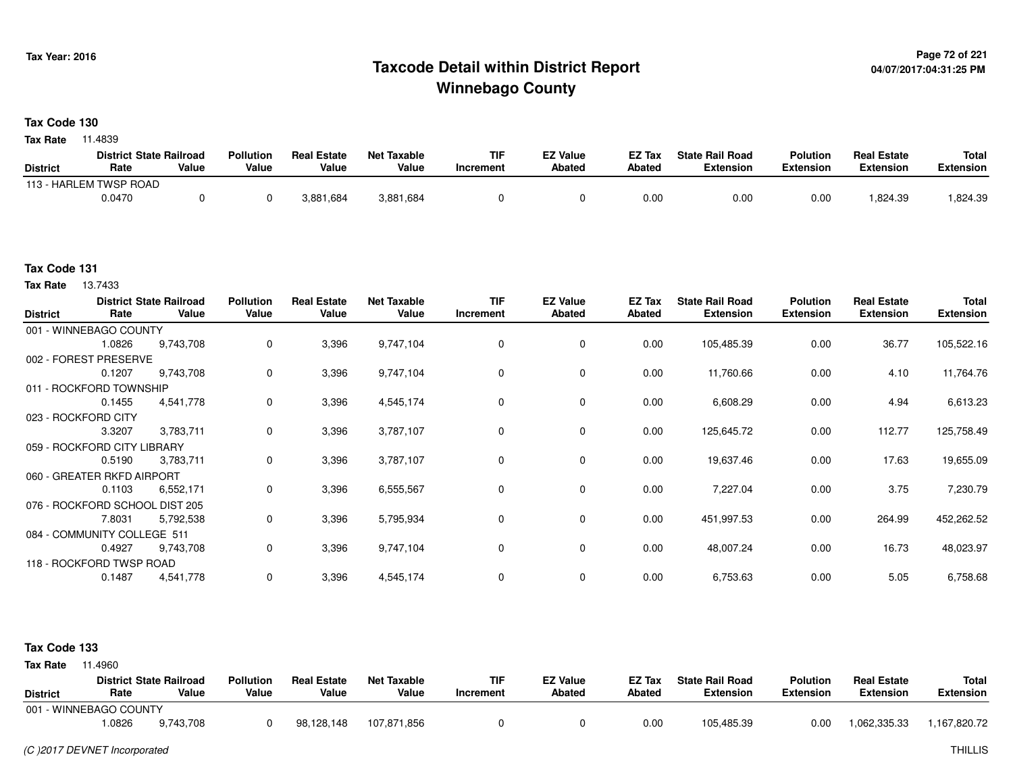## <sup>Page 72</sup> of <sup>221</sup> Page 72 of 221<br>Taxcode Detail within District Report های این موجع به موجع این موجع این موجع این موجع این موجع این موجع این موج **Winnebago County**

**Tax Code 130**

**Tax Rate** 11.4839

|                 | <b>District State Railroad</b> |       | <b>Pollution</b> | <b>Real Estate</b> | <b>Net Taxable</b> | TIF       | EZ Value | EZ Tax | <b>State Rail Road</b> | <b>Polution</b> | <b>Real Estate</b> | <b>Total</b> |
|-----------------|--------------------------------|-------|------------------|--------------------|--------------------|-----------|----------|--------|------------------------|-----------------|--------------------|--------------|
| <b>District</b> | Rate                           | Value | Value            | Value              | Value              | Increment | Abated   | Abated | <b>Extension</b>       | Extension       | <b>Extension</b>   | Extension    |
|                 | 113 - HARLEM TWSP ROAD         |       |                  |                    |                    |           |          |        |                        |                 |                    |              |
|                 | 0.0470                         |       |                  | 3,881,684          | 3,881,684          |           |          | 0.00   | 0.00                   | 0.00            | .824.39            | .824.39      |

#### **Tax Code 131**

**Tax Rate** 13.7433

| <b>District</b> | Rate                           | <b>District State Railroad</b><br>Value | <b>Pollution</b><br>Value | <b>Real Estate</b><br>Value | <b>Net Taxable</b><br>Value | <b>TIF</b><br>Increment | <b>EZ Value</b><br><b>Abated</b> | EZ Tax<br><b>Abated</b> | <b>State Rail Road</b><br><b>Extension</b> | <b>Polution</b><br><b>Extension</b> | <b>Real Estate</b><br><b>Extension</b> | <b>Total</b><br><b>Extension</b> |
|-----------------|--------------------------------|-----------------------------------------|---------------------------|-----------------------------|-----------------------------|-------------------------|----------------------------------|-------------------------|--------------------------------------------|-------------------------------------|----------------------------------------|----------------------------------|
|                 |                                |                                         |                           |                             |                             |                         |                                  |                         |                                            |                                     |                                        |                                  |
|                 | 001 - WINNEBAGO COUNTY         |                                         |                           |                             |                             |                         |                                  |                         |                                            |                                     |                                        |                                  |
|                 | 1.0826                         | 9,743,708                               | $\mathbf 0$               | 3,396                       | 9,747,104                   | 0                       | 0                                | 0.00                    | 105,485.39                                 | 0.00                                | 36.77                                  | 105,522.16                       |
|                 | 002 - FOREST PRESERVE          |                                         |                           |                             |                             |                         |                                  |                         |                                            |                                     |                                        |                                  |
|                 | 0.1207                         | 9,743,708                               | 0                         | 3,396                       | 9,747,104                   | 0                       | $\mathbf 0$                      | 0.00                    | 11,760.66                                  | 0.00                                | 4.10                                   | 11,764.76                        |
|                 | 011 - ROCKFORD TOWNSHIP        |                                         |                           |                             |                             |                         |                                  |                         |                                            |                                     |                                        |                                  |
|                 | 0.1455                         | 4,541,778                               | 0                         | 3,396                       | 4,545,174                   | 0                       | 0                                | 0.00                    | 6,608.29                                   | 0.00                                | 4.94                                   | 6,613.23                         |
|                 | 023 - ROCKFORD CITY            |                                         |                           |                             |                             |                         |                                  |                         |                                            |                                     |                                        |                                  |
|                 | 3.3207                         | 3,783,711                               | $\mathbf 0$               | 3,396                       | 3,787,107                   | 0                       | $\mathbf 0$                      | 0.00                    | 125,645.72                                 | 0.00                                | 112.77                                 | 125,758.49                       |
|                 | 059 - ROCKFORD CITY LIBRARY    |                                         |                           |                             |                             |                         |                                  |                         |                                            |                                     |                                        |                                  |
|                 | 0.5190                         | 3,783,711                               | 0                         | 3,396                       | 3,787,107                   | 0                       | 0                                | 0.00                    | 19,637.46                                  | 0.00                                | 17.63                                  | 19,655.09                        |
|                 | 060 - GREATER RKFD AIRPORT     |                                         |                           |                             |                             |                         |                                  |                         |                                            |                                     |                                        |                                  |
|                 | 0.1103                         | 6,552,171                               | 0                         | 3,396                       | 6,555,567                   | 0                       | $\mathbf 0$                      | 0.00                    | 7,227.04                                   | 0.00                                | 3.75                                   | 7,230.79                         |
|                 | 076 - ROCKFORD SCHOOL DIST 205 |                                         |                           |                             |                             |                         |                                  |                         |                                            |                                     |                                        |                                  |
|                 | 7.8031                         | 5,792,538                               | 0                         | 3,396                       | 5,795,934                   | 0                       | 0                                | 0.00                    | 451,997.53                                 | 0.00                                | 264.99                                 | 452,262.52                       |
|                 | 084 - COMMUNITY COLLEGE 511    |                                         |                           |                             |                             |                         |                                  |                         |                                            |                                     |                                        |                                  |
|                 | 0.4927                         | 9,743,708                               | 0                         | 3,396                       | 9,747,104                   | 0                       | $\mathbf 0$                      | 0.00                    | 48,007.24                                  | 0.00                                | 16.73                                  | 48,023.97                        |
|                 | 118 - ROCKFORD TWSP ROAD       |                                         |                           |                             |                             |                         |                                  |                         |                                            |                                     |                                        |                                  |
|                 | 0.1487                         | 4,541,778                               | 0                         | 3,396                       | 4,545,174                   | 0                       | 0                                | 0.00                    | 6,753.63                                   | 0.00                                | 5.05                                   | 6,758.68                         |
|                 |                                |                                         |                           |                             |                             |                         |                                  |                         |                                            |                                     |                                        |                                  |

#### **Tax Code 133**

| <b>Tax Rate</b> | 1.4960                         |           |                  |                    |                    |           |                 |        |                        |                  |                    |              |
|-----------------|--------------------------------|-----------|------------------|--------------------|--------------------|-----------|-----------------|--------|------------------------|------------------|--------------------|--------------|
|                 | <b>District State Railroad</b> |           | <b>Pollution</b> | <b>Real Estate</b> | <b>Net Taxable</b> | TIF       | <b>EZ Value</b> | EZ Tax | <b>State Rail Road</b> | <b>Polution</b>  | <b>Real Estate</b> | <b>Total</b> |
| <b>District</b> | Rate                           | Value     | Value            | Value              | Value              | Increment | <b>Abated</b>   | Abated | <b>Extension</b>       | <b>Extension</b> | <b>Extension</b>   | Extension    |
|                 | 001 - WINNEBAGO COUNTY         |           |                  |                    |                    |           |                 |        |                        |                  |                    |              |
|                 | 1.0826                         | 9.743.708 |                  | 98,128,148         | 107.871.856        |           |                 | 0.00   | 105,485.39             | 0.00             | 1.062.335.33       | 1,167,820.72 |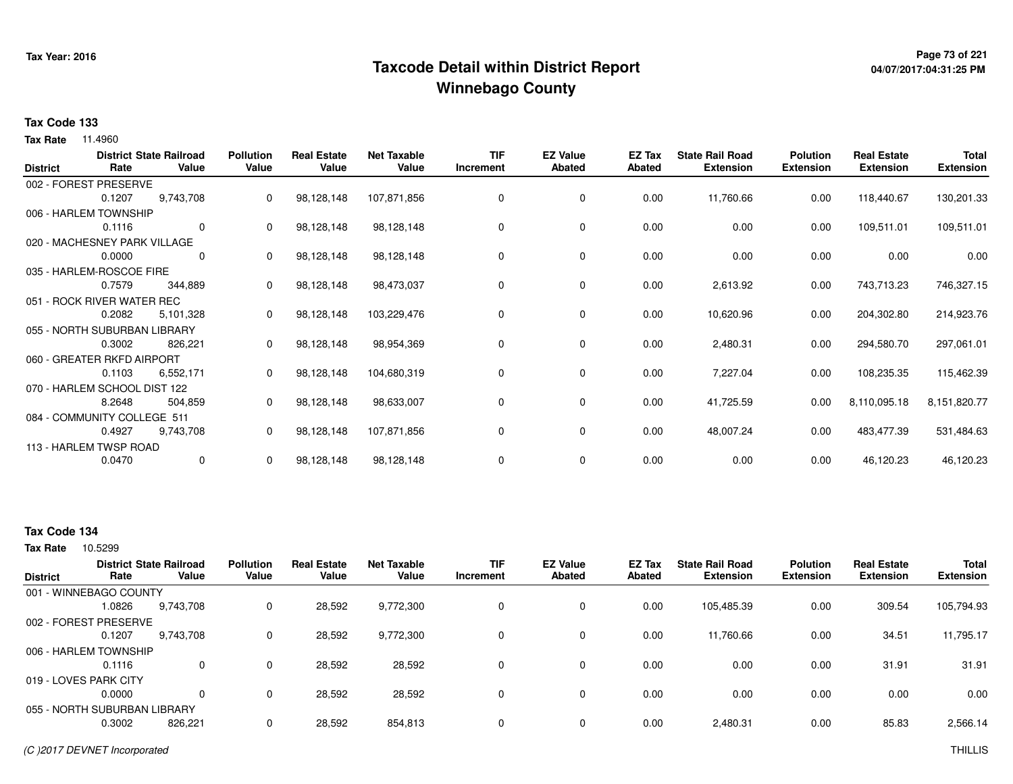## **Page 73 of 221 Taxcode Detail within District ReportWinnebago County**

# **04/07/2017:04:31:25 PM**

#### **Tax Code 133**

**Tax Rate** 11.4960

| <b>District</b> | Rate                         | <b>District State Railroad</b><br>Value | <b>Pollution</b><br>Value | <b>Real Estate</b><br>Value | <b>Net Taxable</b><br>Value | <b>TIF</b><br>Increment | <b>EZ Value</b><br><b>Abated</b> | EZ Tax<br><b>Abated</b> | <b>State Rail Road</b><br><b>Extension</b> | <b>Polution</b><br><b>Extension</b> | <b>Real Estate</b><br><b>Extension</b> | <b>Total</b><br><b>Extension</b> |
|-----------------|------------------------------|-----------------------------------------|---------------------------|-----------------------------|-----------------------------|-------------------------|----------------------------------|-------------------------|--------------------------------------------|-------------------------------------|----------------------------------------|----------------------------------|
|                 | 002 - FOREST PRESERVE        |                                         |                           |                             |                             |                         |                                  |                         |                                            |                                     |                                        |                                  |
|                 | 0.1207                       | 9,743,708                               | 0                         | 98,128,148                  | 107,871,856                 | 0                       | 0                                | 0.00                    | 11,760.66                                  | 0.00                                | 118,440.67                             | 130,201.33                       |
|                 | 006 - HARLEM TOWNSHIP        |                                         |                           |                             |                             |                         |                                  |                         |                                            |                                     |                                        |                                  |
|                 | 0.1116                       | $\mathbf 0$                             | 0                         | 98,128,148                  | 98,128,148                  | 0                       | 0                                | 0.00                    | 0.00                                       | 0.00                                | 109,511.01                             | 109,511.01                       |
|                 | 020 - MACHESNEY PARK VILLAGE |                                         |                           |                             |                             |                         |                                  |                         |                                            |                                     |                                        |                                  |
|                 | 0.0000                       | 0                                       | 0                         | 98,128,148                  | 98,128,148                  | 0                       | 0                                | 0.00                    | 0.00                                       | 0.00                                | 0.00                                   | 0.00                             |
|                 | 035 - HARLEM-ROSCOE FIRE     |                                         |                           |                             |                             |                         |                                  |                         |                                            |                                     |                                        |                                  |
|                 | 0.7579                       | 344,889                                 | 0                         | 98,128,148                  | 98,473,037                  | 0                       | 0                                | 0.00                    | 2,613.92                                   | 0.00                                | 743,713.23                             | 746,327.15                       |
|                 | 051 - ROCK RIVER WATER REC   |                                         |                           |                             |                             |                         |                                  |                         |                                            |                                     |                                        |                                  |
|                 | 0.2082                       | 5,101,328                               | 0                         | 98,128,148                  | 103,229,476                 | 0                       | 0                                | 0.00                    | 10,620.96                                  | 0.00                                | 204,302.80                             | 214,923.76                       |
|                 | 055 - NORTH SUBURBAN LIBRARY |                                         |                           |                             |                             |                         |                                  |                         |                                            |                                     |                                        |                                  |
|                 | 0.3002                       | 826,221                                 |                           | 98,128,148                  | 98,954,369                  | 0                       | 0                                | 0.00                    | 2,480.31                                   | 0.00                                | 294,580.70                             | 297,061.01                       |
|                 | 060 - GREATER RKFD AIRPORT   |                                         |                           |                             |                             |                         |                                  |                         |                                            |                                     |                                        |                                  |
|                 | 0.1103                       | 6,552,171                               | 0                         | 98,128,148                  | 104,680,319                 | 0                       | 0                                | 0.00                    | 7,227.04                                   | 0.00                                | 108,235.35                             | 115,462.39                       |
|                 | 070 - HARLEM SCHOOL DIST 122 |                                         |                           |                             |                             |                         |                                  |                         |                                            |                                     |                                        |                                  |
|                 | 8.2648                       | 504,859                                 | 0                         | 98,128,148                  | 98,633,007                  | 0                       | 0                                | 0.00                    | 41,725.59                                  | 0.00                                | 8,110,095.18                           | 8,151,820.77                     |
|                 | 084 - COMMUNITY COLLEGE 511  |                                         |                           |                             |                             |                         |                                  |                         |                                            |                                     |                                        |                                  |
|                 | 0.4927                       | 9,743,708                               | 0                         | 98,128,148                  | 107,871,856                 | 0                       | 0                                | 0.00                    | 48,007.24                                  | 0.00                                | 483,477.39                             | 531,484.63                       |
|                 | 113 - HARLEM TWSP ROAD       |                                         |                           |                             |                             |                         |                                  |                         |                                            |                                     |                                        |                                  |
|                 | 0.0470                       | 0                                       | 0                         | 98,128,148                  | 98,128,148                  | 0                       | 0                                | 0.00                    | 0.00                                       | 0.00                                | 46,120.23                              | 46,120.23                        |

### **Tax Code 134**

| <b>District</b> | Rate                         | <b>District State Railroad</b><br>Value | <b>Pollution</b><br>Value | <b>Real Estate</b><br>Value | <b>Net Taxable</b><br>Value | <b>TIF</b><br>Increment | <b>EZ Value</b><br>Abated | <b>EZ Tax</b><br>Abated | <b>State Rail Road</b><br><b>Extension</b> | <b>Polution</b><br><b>Extension</b> | <b>Real Estate</b><br><b>Extension</b> | <b>Total</b><br><b>Extension</b> |
|-----------------|------------------------------|-----------------------------------------|---------------------------|-----------------------------|-----------------------------|-------------------------|---------------------------|-------------------------|--------------------------------------------|-------------------------------------|----------------------------------------|----------------------------------|
|                 | 001 - WINNEBAGO COUNTY       |                                         |                           |                             |                             |                         |                           |                         |                                            |                                     |                                        |                                  |
|                 | 1.0826                       | 9,743,708                               | 0                         | 28,592                      | 9,772,300                   |                         | 0                         | 0.00                    | 105,485.39                                 | 0.00                                | 309.54                                 | 105,794.93                       |
|                 | 002 - FOREST PRESERVE        |                                         |                           |                             |                             |                         |                           |                         |                                            |                                     |                                        |                                  |
|                 | 0.1207                       | 9,743,708                               | 0                         | 28,592                      | 9,772,300                   |                         | 0                         | 0.00                    | 11,760.66                                  | 0.00                                | 34.51                                  | 11,795.17                        |
|                 | 006 - HARLEM TOWNSHIP        |                                         |                           |                             |                             |                         |                           |                         |                                            |                                     |                                        |                                  |
|                 | 0.1116                       | $\mathbf 0$                             | 0                         | 28.592                      | 28,592                      |                         | 0                         | 0.00                    | 0.00                                       | 0.00                                | 31.91                                  | 31.91                            |
|                 | 019 - LOVES PARK CITY        |                                         |                           |                             |                             |                         |                           |                         |                                            |                                     |                                        |                                  |
|                 | 0.0000                       | $\Omega$                                | 0                         | 28,592                      | 28,592                      |                         | 0                         | 0.00                    | 0.00                                       | 0.00                                | 0.00                                   | 0.00                             |
|                 | 055 - NORTH SUBURBAN LIBRARY |                                         |                           |                             |                             |                         |                           |                         |                                            |                                     |                                        |                                  |
|                 | 0.3002                       | 826,221                                 | 0                         | 28,592                      | 854,813                     |                         | 0                         | 0.00                    | 2,480.31                                   | 0.00                                | 85.83                                  | 2,566.14                         |
|                 |                              |                                         |                           |                             |                             |                         |                           |                         |                                            |                                     |                                        |                                  |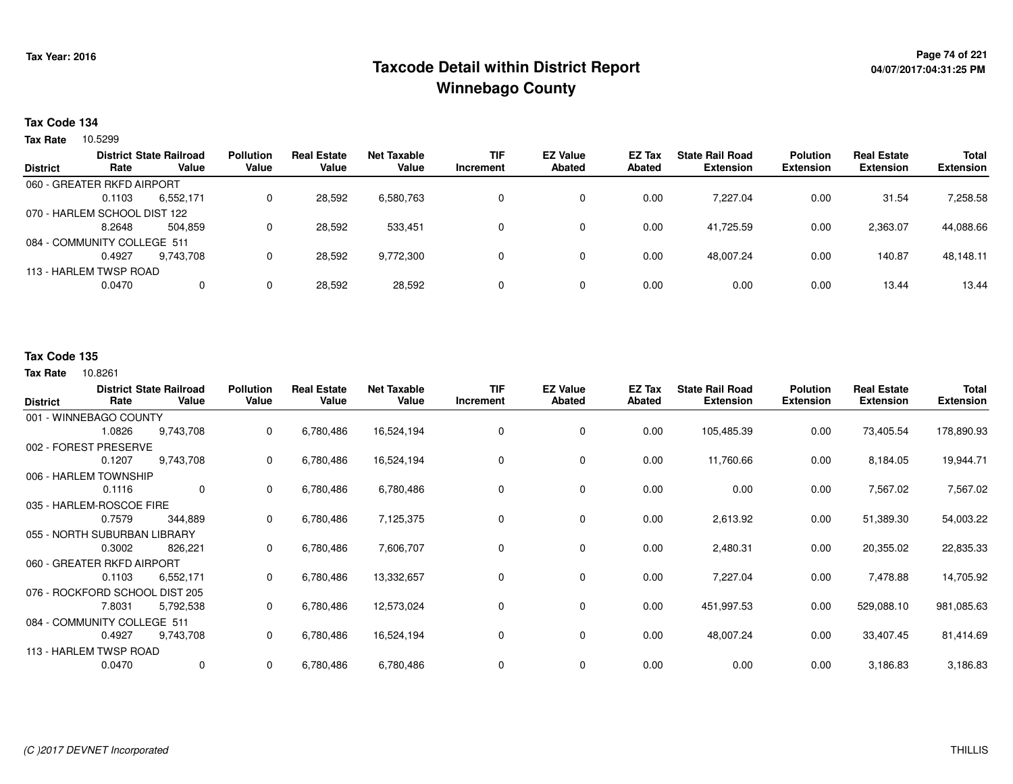## <sup>Page 74</sup> of 221<br>Taxcode Detail within District Report های این موجع به موجع این موجع به این موجع این موجع این موجع این موجع این م **Winnebago County**

#### **Tax Code 134**

**Tax Rate** 10.5299

|                 |                              | <b>District State Railroad</b> | <b>Pollution</b> | <b>Real Estate</b> | Net Taxable | <b>TIF</b> | <b>EZ Value</b> | <b>EZ Tax</b> | <b>State Rail Road</b> | <b>Polution</b>  | <b>Real Estate</b> | <b>Total</b>     |
|-----------------|------------------------------|--------------------------------|------------------|--------------------|-------------|------------|-----------------|---------------|------------------------|------------------|--------------------|------------------|
| <b>District</b> | Rate                         | Value                          | Value            | Value              | Value       | Increment  | <b>Abated</b>   | Abated        | <b>Extension</b>       | <b>Extension</b> | <b>Extension</b>   | <b>Extension</b> |
|                 | 060 - GREATER RKFD AIRPORT   |                                |                  |                    |             |            |                 |               |                        |                  |                    |                  |
|                 | 0.1103                       | 6,552,171                      |                  | 28,592             | 6,580,763   |            | 0               | 0.00          | 7.227.04               | 0.00             | 31.54              | 7,258.58         |
|                 | 070 - HARLEM SCHOOL DIST 122 |                                |                  |                    |             |            |                 |               |                        |                  |                    |                  |
|                 | 8.2648                       | 504.859                        |                  | 28.592             | 533.451     |            | 0               | 0.00          | 41.725.59              | 0.00             | 2,363.07           | 44,088.66        |
|                 | 084 - COMMUNITY COLLEGE 511  |                                |                  |                    |             |            |                 |               |                        |                  |                    |                  |
|                 | 0.4927                       | 9,743,708                      |                  | 28,592             | 9,772,300   |            | 0               | 0.00          | 48,007.24              | 0.00             | 140.87             | 48,148.11        |
|                 | 113 - HARLEM TWSP ROAD       |                                |                  |                    |             |            |                 |               |                        |                  |                    |                  |
|                 | 0.0470                       | 0                              |                  | 28,592             | 28,592      |            | 0               | 0.00          | 0.00                   | 0.00             | 13.44              | 13.44            |
|                 |                              |                                |                  |                    |             |            |                 |               |                        |                  |                    |                  |

### **Tax Code 135**

| <b>District</b>              | Rate                           | <b>District State Railroad</b><br>Value | <b>Pollution</b><br>Value | <b>Real Estate</b><br>Value | <b>Net Taxable</b><br>Value | <b>TIF</b><br>Increment | <b>EZ Value</b><br><b>Abated</b> | EZ Tax<br><b>Abated</b> | <b>State Rail Road</b><br><b>Extension</b> | <b>Polution</b><br><b>Extension</b> | <b>Real Estate</b><br><b>Extension</b> | <b>Total</b><br><b>Extension</b> |
|------------------------------|--------------------------------|-----------------------------------------|---------------------------|-----------------------------|-----------------------------|-------------------------|----------------------------------|-------------------------|--------------------------------------------|-------------------------------------|----------------------------------------|----------------------------------|
|                              |                                |                                         |                           |                             |                             |                         |                                  |                         |                                            |                                     |                                        |                                  |
|                              | 001 - WINNEBAGO COUNTY         |                                         |                           |                             |                             |                         |                                  |                         |                                            |                                     |                                        |                                  |
|                              | 1.0826                         | 9,743,708                               | 0                         | 6,780,486                   | 16,524,194                  | 0                       | $\mathbf 0$                      | 0.00                    | 105,485.39                                 | 0.00                                | 73,405.54                              | 178,890.93                       |
|                              | 002 - FOREST PRESERVE          |                                         |                           |                             |                             |                         |                                  |                         |                                            |                                     |                                        |                                  |
|                              | 0.1207                         | 9,743,708                               | 0                         | 6,780,486                   | 16,524,194                  | 0                       | 0                                | 0.00                    | 11,760.66                                  | 0.00                                | 8,184.05                               | 19,944.71                        |
|                              | 006 - HARLEM TOWNSHIP          |                                         |                           |                             |                             |                         |                                  |                         |                                            |                                     |                                        |                                  |
|                              | 0.1116                         | $\mathbf 0$                             | 0                         | 6,780,486                   | 6,780,486                   | 0                       | 0                                | 0.00                    | 0.00                                       | 0.00                                | 7,567.02                               | 7,567.02                         |
|                              | 035 - HARLEM-ROSCOE FIRE       |                                         |                           |                             |                             |                         |                                  |                         |                                            |                                     |                                        |                                  |
|                              | 0.7579                         | 344,889                                 | 0                         | 6,780,486                   | 7,125,375                   | 0                       | 0                                | 0.00                    | 2,613.92                                   | 0.00                                | 51,389.30                              | 54,003.22                        |
| 055 - NORTH SUBURBAN LIBRARY |                                |                                         |                           |                             |                             |                         |                                  |                         |                                            |                                     |                                        |                                  |
|                              | 0.3002                         | 826,221                                 | 0                         | 6,780,486                   | 7,606,707                   | 0                       | 0                                | 0.00                    | 2,480.31                                   | 0.00                                | 20,355.02                              | 22,835.33                        |
|                              | 060 - GREATER RKFD AIRPORT     |                                         |                           |                             |                             |                         |                                  |                         |                                            |                                     |                                        |                                  |
|                              | 0.1103                         | 6,552,171                               | 0                         | 6,780,486                   | 13,332,657                  | 0                       | 0                                | 0.00                    | 7,227.04                                   | 0.00                                | 7,478.88                               | 14,705.92                        |
|                              | 076 - ROCKFORD SCHOOL DIST 205 |                                         |                           |                             |                             |                         |                                  |                         |                                            |                                     |                                        |                                  |
|                              | 7.8031                         | 5,792,538                               | 0                         | 6,780,486                   | 12,573,024                  | 0                       | 0                                | 0.00                    | 451,997.53                                 | 0.00                                | 529,088.10                             | 981,085.63                       |
| 084 - COMMUNITY COLLEGE 511  |                                |                                         |                           |                             |                             |                         |                                  |                         |                                            |                                     |                                        |                                  |
|                              | 0.4927                         | 9,743,708                               | 0                         | 6,780,486                   | 16,524,194                  | 0                       | $\mathbf 0$                      | 0.00                    | 48,007.24                                  | 0.00                                | 33,407.45                              | 81,414.69                        |
|                              | 113 - HARLEM TWSP ROAD         |                                         |                           |                             |                             |                         |                                  |                         |                                            |                                     |                                        |                                  |
|                              | 0.0470                         | 0                                       | 0                         | 6,780,486                   | 6,780,486                   | 0                       | $\mathbf 0$                      | 0.00                    | 0.00                                       | 0.00                                | 3,186.83                               | 3,186.83                         |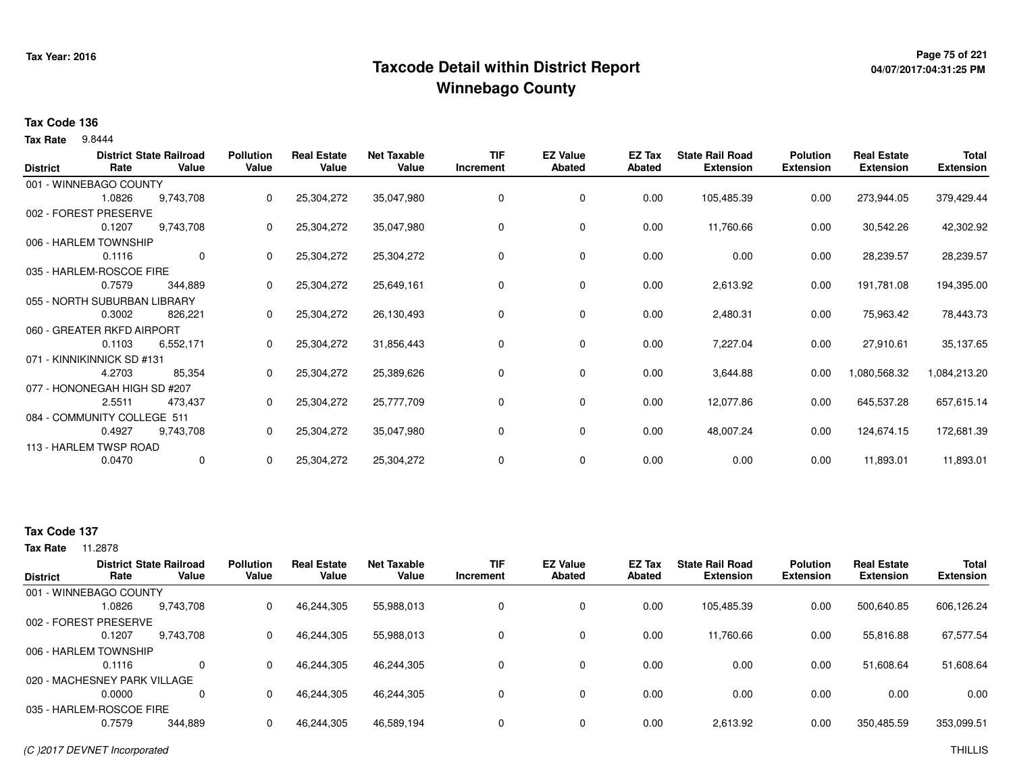## <sup>Page 75</sup> of 221 Page 75 of 221<br>Taxcode Detail within District Report لا من المستخدم بالاستخدام بالتفاوت المتحدة بالتابعية المستخدم بالتابعية **Winnebago County**

# **04/07/2017:04:31:25 PM**

#### **Tax Code 136**

9.8444 **Tax Rate**

| <b>District</b> | Rate                         | <b>District State Railroad</b><br>Value | <b>Pollution</b><br>Value | <b>Real Estate</b><br>Value | <b>Net Taxable</b><br>Value | <b>TIF</b><br>Increment | <b>EZ Value</b><br><b>Abated</b> | EZ Tax<br><b>Abated</b> | <b>State Rail Road</b><br><b>Extension</b> | <b>Polution</b><br><b>Extension</b> | <b>Real Estate</b><br><b>Extension</b> | <b>Total</b><br><b>Extension</b> |
|-----------------|------------------------------|-----------------------------------------|---------------------------|-----------------------------|-----------------------------|-------------------------|----------------------------------|-------------------------|--------------------------------------------|-------------------------------------|----------------------------------------|----------------------------------|
|                 | 001 - WINNEBAGO COUNTY       |                                         |                           |                             |                             |                         |                                  |                         |                                            |                                     |                                        |                                  |
|                 | 1.0826                       | 9,743,708                               | 0                         | 25,304,272                  | 35,047,980                  | 0                       | 0                                | 0.00                    | 105,485.39                                 | 0.00                                | 273,944.05                             | 379,429.44                       |
|                 | 002 - FOREST PRESERVE        |                                         |                           |                             |                             |                         |                                  |                         |                                            |                                     |                                        |                                  |
|                 | 0.1207                       | 9,743,708                               | 0                         | 25,304,272                  | 35,047,980                  | 0                       | 0                                | 0.00                    | 11,760.66                                  | 0.00                                | 30,542.26                              | 42,302.92                        |
|                 | 006 - HARLEM TOWNSHIP        |                                         |                           |                             |                             |                         |                                  |                         |                                            |                                     |                                        |                                  |
|                 | 0.1116                       | $\mathbf 0$                             | 0                         | 25,304,272                  | 25,304,272                  | 0                       | 0                                | 0.00                    | 0.00                                       | 0.00                                | 28,239.57                              | 28,239.57                        |
|                 | 035 - HARLEM-ROSCOE FIRE     |                                         |                           |                             |                             |                         |                                  |                         |                                            |                                     |                                        |                                  |
|                 | 0.7579                       | 344,889                                 |                           | 25,304,272                  | 25,649,161                  | 0                       | 0                                | 0.00                    | 2,613.92                                   | 0.00                                | 191,781.08                             | 194,395.00                       |
|                 | 055 - NORTH SUBURBAN LIBRARY |                                         |                           |                             |                             |                         |                                  |                         |                                            |                                     |                                        |                                  |
|                 | 0.3002                       | 826,221                                 | 0                         | 25,304,272                  | 26,130,493                  | 0                       | 0                                | 0.00                    | 2,480.31                                   | 0.00                                | 75,963.42                              | 78,443.73                        |
|                 | 060 - GREATER RKFD AIRPORT   |                                         |                           |                             |                             |                         |                                  |                         |                                            |                                     |                                        |                                  |
|                 | 0.1103                       | 6,552,171                               |                           | 25,304,272                  | 31,856,443                  | 0                       | 0                                | 0.00                    | 7,227.04                                   | 0.00                                | 27,910.61                              | 35,137.65                        |
|                 | 071 - KINNIKINNICK SD #131   |                                         |                           |                             |                             |                         |                                  |                         |                                            |                                     |                                        |                                  |
|                 | 4.2703                       | 85,354                                  | 0                         | 25,304,272                  | 25,389,626                  | 0                       | 0                                | 0.00                    | 3,644.88                                   | 0.00                                | 1,080,568.32                           | 1,084,213.20                     |
|                 | 077 - HONONEGAH HIGH SD #207 |                                         |                           |                             |                             |                         |                                  |                         |                                            |                                     |                                        |                                  |
|                 | 2.5511                       | 473,437                                 | 0                         | 25,304,272                  | 25,777,709                  | 0                       | 0                                | 0.00                    | 12,077.86                                  | 0.00                                | 645,537.28                             | 657,615.14                       |
|                 | 084 - COMMUNITY COLLEGE 511  |                                         |                           |                             |                             |                         |                                  |                         |                                            |                                     |                                        |                                  |
|                 | 0.4927                       | 9,743,708                               | 0                         | 25,304,272                  | 35,047,980                  | 0                       | 0                                | 0.00                    | 48,007.24                                  | 0.00                                | 124,674.15                             | 172,681.39                       |
|                 | 113 - HARLEM TWSP ROAD       |                                         |                           |                             |                             |                         |                                  |                         |                                            |                                     |                                        |                                  |
|                 | 0.0470                       | $\mathbf 0$                             | 0                         | 25,304,272                  | 25,304,272                  | 0                       | 0                                | 0.00                    | 0.00                                       | 0.00                                | 11,893.01                              | 11,893.01                        |

### **Tax Code 137**

| <b>District</b> | Rate                         | <b>District State Railroad</b><br>Value | <b>Pollution</b><br>Value | <b>Real Estate</b><br>Value | <b>Net Taxable</b><br>Value | <b>TIF</b><br>Increment | <b>EZ Value</b><br>Abated | <b>EZ Tax</b><br>Abated | <b>State Rail Road</b><br><b>Extension</b> | <b>Polution</b><br><b>Extension</b> | <b>Real Estate</b><br><b>Extension</b> | <b>Total</b><br><b>Extension</b> |
|-----------------|------------------------------|-----------------------------------------|---------------------------|-----------------------------|-----------------------------|-------------------------|---------------------------|-------------------------|--------------------------------------------|-------------------------------------|----------------------------------------|----------------------------------|
|                 | 001 - WINNEBAGO COUNTY       |                                         |                           |                             |                             |                         |                           |                         |                                            |                                     |                                        |                                  |
|                 | 1.0826                       | 9,743,708                               | 0                         | 46,244,305                  | 55,988,013                  | 0                       | 0                         | 0.00                    | 105,485.39                                 | 0.00                                | 500,640.85                             | 606,126.24                       |
|                 | 002 - FOREST PRESERVE        |                                         |                           |                             |                             |                         |                           |                         |                                            |                                     |                                        |                                  |
|                 | 0.1207                       | 9,743,708                               | 0                         | 46,244,305                  | 55,988,013                  | 0                       | 0                         | 0.00                    | 11,760.66                                  | 0.00                                | 55,816.88                              | 67,577.54                        |
|                 | 006 - HARLEM TOWNSHIP        |                                         |                           |                             |                             |                         |                           |                         |                                            |                                     |                                        |                                  |
|                 | 0.1116                       | $\Omega$                                | 0                         | 46.244.305                  | 46.244.305                  | 0                       | $\Omega$                  | 0.00                    | 0.00                                       | 0.00                                | 51.608.64                              | 51,608.64                        |
|                 | 020 - MACHESNEY PARK VILLAGE |                                         |                           |                             |                             |                         |                           |                         |                                            |                                     |                                        |                                  |
|                 | 0.0000                       | $\Omega$                                | 0                         | 46,244,305                  | 46,244,305                  | 0                       | $\Omega$                  | 0.00                    | 0.00                                       | 0.00                                | 0.00                                   | 0.00                             |
|                 | 035 - HARLEM-ROSCOE FIRE     |                                         |                           |                             |                             |                         |                           |                         |                                            |                                     |                                        |                                  |
|                 | 0.7579                       | 344.889                                 | 0                         | 46,244,305                  | 46,589,194                  | 0                       | 0                         | 0.00                    | 2,613.92                                   | 0.00                                | 350,485.59                             | 353,099.51                       |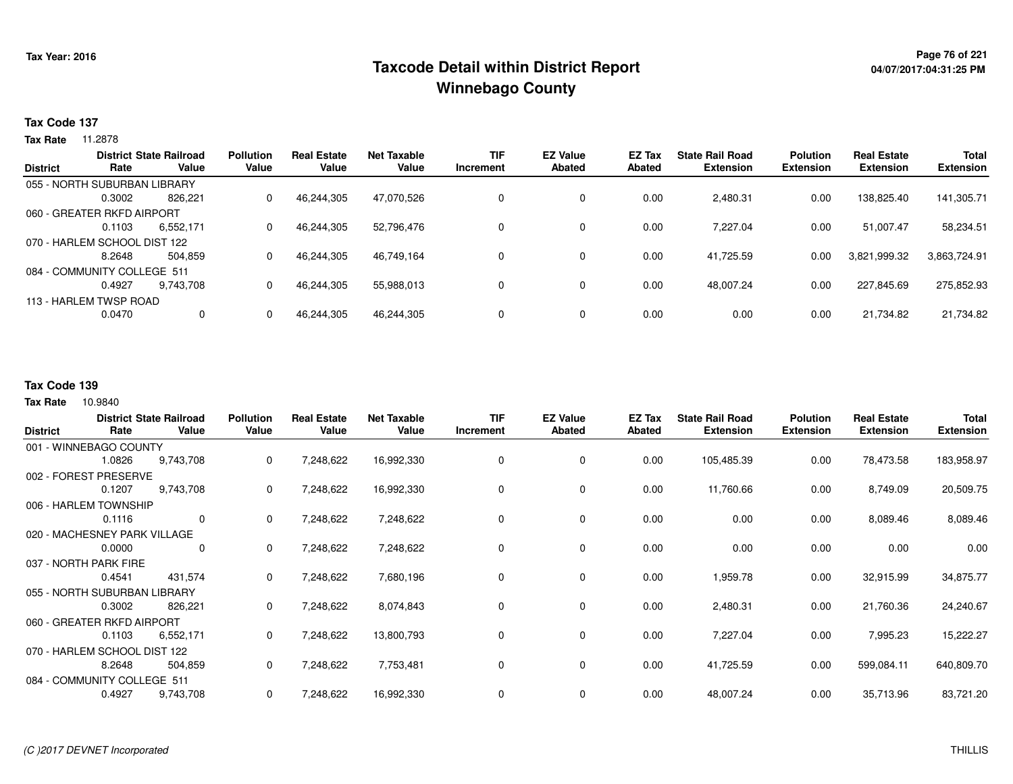## <sup>Page 76</sup> of 221 Page 76 of 221<br>Taxcode Detail within District Report لا من المستخدم بالاستخدام بالتفاوت المتحدة بالتابعية المستخدم بالتابعية ا **Winnebago County**

#### **Tax Code 137**

**Tax Rate** 11.2878

| <b>District State Railroad</b><br>Rate |                              | <b>Pollution</b> | <b>Real Estate</b> | <b>Net Taxable</b> | <b>TIF</b> | <b>EZ Value</b> | EZ Tax        | <b>State Rail Road</b> | <b>Polution</b>  | <b>Real Estate</b> | <b>Total</b>     |                  |
|----------------------------------------|------------------------------|------------------|--------------------|--------------------|------------|-----------------|---------------|------------------------|------------------|--------------------|------------------|------------------|
| <b>District</b>                        |                              | Value            | Value              | Value              | Value      | Increment       | <b>Abated</b> | Abated                 | <b>Extension</b> | <b>Extension</b>   | <b>Extension</b> | <b>Extension</b> |
|                                        | 055 - NORTH SUBURBAN LIBRARY |                  |                    |                    |            |                 |               |                        |                  |                    |                  |                  |
|                                        | 0.3002                       | 826.221          | 0                  | 46.244.305         | 47.070.526 |                 | $\mathbf 0$   | 0.00                   | 2.480.31         | 0.00               | 138.825.40       | 141,305.71       |
|                                        | 060 - GREATER RKFD AIRPORT   |                  |                    |                    |            |                 |               |                        |                  |                    |                  |                  |
|                                        | 0.1103                       | 6,552,171        | 0                  | 46.244.305         | 52,796,476 |                 | $\mathbf 0$   | 0.00                   | 7.227.04         | 0.00               | 51.007.47        | 58,234.51        |
|                                        | 070 - HARLEM SCHOOL DIST 122 |                  |                    |                    |            |                 |               |                        |                  |                    |                  |                  |
|                                        | 8.2648                       | 504.859          | 0                  | 46,244,305         | 46,749,164 |                 | $\mathbf 0$   | 0.00                   | 41.725.59        | 0.00               | 3,821,999.32     | 3,863,724.91     |
|                                        | 084 - COMMUNITY COLLEGE 511  |                  |                    |                    |            |                 |               |                        |                  |                    |                  |                  |
|                                        | 0.4927                       | 9.743.708        | 0                  | 46,244,305         | 55,988,013 |                 | $\mathbf 0$   | 0.00                   | 48.007.24        | 0.00               | 227,845.69       | 275,852.93       |
|                                        | 113 - HARLEM TWSP ROAD       |                  |                    |                    |            |                 |               |                        |                  |                    |                  |                  |
|                                        | 0.0470                       | 0                | 0                  | 46,244,305         | 46,244,305 |                 | $\mathbf 0$   | 0.00                   | 0.00             | 0.00               | 21,734.82        | 21,734.82        |
|                                        |                              |                  |                    |                    |            |                 |               |                        |                  |                    |                  |                  |

#### **Tax Code 139**

10.9840 **Tax Rate**

| <b>District</b>              | Rate   | <b>District State Railroad</b><br>Value | <b>Pollution</b><br>Value | <b>Real Estate</b><br>Value | <b>Net Taxable</b><br>Value | <b>TIF</b><br>Increment | <b>EZ Value</b><br><b>Abated</b> | <b>EZ Tax</b><br><b>Abated</b> | <b>State Rail Road</b><br><b>Extension</b> | <b>Polution</b><br><b>Extension</b> | <b>Real Estate</b><br><b>Extension</b> | Total<br><b>Extension</b> |
|------------------------------|--------|-----------------------------------------|---------------------------|-----------------------------|-----------------------------|-------------------------|----------------------------------|--------------------------------|--------------------------------------------|-------------------------------------|----------------------------------------|---------------------------|
| 001 - WINNEBAGO COUNTY       |        |                                         |                           |                             |                             |                         |                                  |                                |                                            |                                     |                                        |                           |
|                              | 1.0826 | 9,743,708                               | 0                         | 7,248,622                   | 16,992,330                  | 0                       | 0                                | 0.00                           | 105,485.39                                 | 0.00                                | 78,473.58                              | 183,958.97                |
| 002 - FOREST PRESERVE        |        |                                         |                           |                             |                             |                         |                                  |                                |                                            |                                     |                                        |                           |
|                              | 0.1207 | 9,743,708                               | 0                         | 7,248,622                   | 16,992,330                  | 0                       | 0                                | 0.00                           | 11,760.66                                  | 0.00                                | 8,749.09                               | 20,509.75                 |
| 006 - HARLEM TOWNSHIP        |        |                                         |                           |                             |                             |                         |                                  |                                |                                            |                                     |                                        |                           |
|                              | 0.1116 | 0                                       | 0                         | 7,248,622                   | 7,248,622                   | 0                       | 0                                | 0.00                           | 0.00                                       | 0.00                                | 8,089.46                               | 8,089.46                  |
| 020 - MACHESNEY PARK VILLAGE |        |                                         |                           |                             |                             |                         |                                  |                                |                                            |                                     |                                        |                           |
|                              | 0.0000 | 0                                       | 0                         | 7,248,622                   | 7,248,622                   | 0                       | 0                                | 0.00                           | 0.00                                       | 0.00                                | 0.00                                   | 0.00                      |
| 037 - NORTH PARK FIRE        |        |                                         |                           |                             |                             |                         |                                  |                                |                                            |                                     |                                        |                           |
|                              | 0.4541 | 431,574                                 | 0                         | 7,248,622                   | 7,680,196                   | 0                       | 0                                | 0.00                           | 1,959.78                                   | 0.00                                | 32,915.99                              | 34,875.77                 |
| 055 - NORTH SUBURBAN LIBRARY |        |                                         |                           |                             |                             |                         |                                  |                                |                                            |                                     |                                        |                           |
|                              | 0.3002 | 826,221                                 | 0                         | 7,248,622                   | 8,074,843                   | 0                       | 0                                | 0.00                           | 2,480.31                                   | 0.00                                | 21,760.36                              | 24,240.67                 |
| 060 - GREATER RKFD AIRPORT   |        |                                         |                           |                             |                             |                         |                                  |                                |                                            |                                     |                                        |                           |
|                              | 0.1103 | 6,552,171                               | 0                         | 7,248,622                   | 13,800,793                  | 0                       | 0                                | 0.00                           | 7,227.04                                   | 0.00                                | 7,995.23                               | 15,222.27                 |
| 070 - HARLEM SCHOOL DIST 122 |        |                                         |                           |                             |                             |                         |                                  |                                |                                            |                                     |                                        |                           |
|                              | 8.2648 | 504,859                                 | 0                         | 7,248,622                   | 7,753,481                   | 0                       | 0                                | 0.00                           | 41,725.59                                  | 0.00                                | 599,084.11                             | 640,809.70                |
| 084 - COMMUNITY COLLEGE 511  |        |                                         |                           |                             |                             |                         |                                  |                                |                                            |                                     |                                        |                           |
|                              | 0.4927 | 9,743,708                               | 0                         | 7,248,622                   | 16,992,330                  | 0                       | 0                                | 0.00                           | 48,007.24                                  | 0.00                                | 35,713.96                              | 83,721.20                 |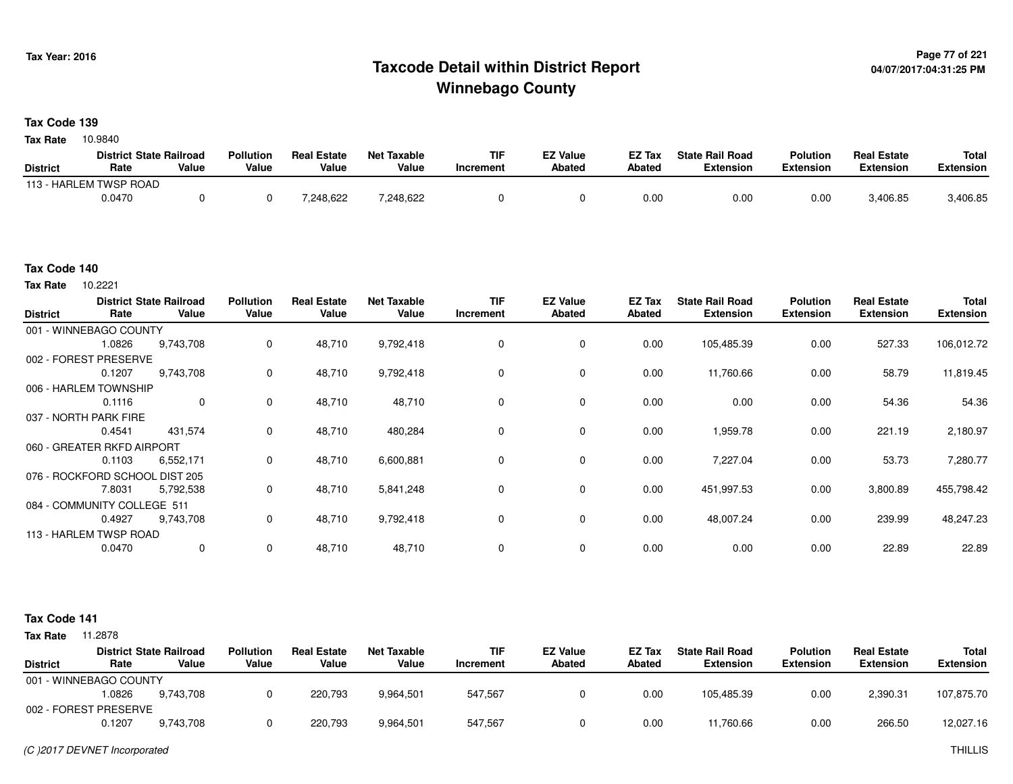## <sup>Page 77</sup> of 221<br>Taxcode Detail within District Report های این موجع به موجع است که به است که به است که به است که به است که است ک **Winnebago County**

#### **Tax Code 139**

10.9840 **Tax Rate**

|                 | <b>District State Railroad</b> |       | <b>Pollution</b> | <b>Real Estate</b> | Net Taxable | TIF       | <b>EZ Value</b> | <b>EZ Tax</b> | <b>State Rail Road</b> | <b>Polution</b>  | <b>Real Estate</b> | <b>Total</b> |
|-----------------|--------------------------------|-------|------------------|--------------------|-------------|-----------|-----------------|---------------|------------------------|------------------|--------------------|--------------|
| <b>District</b> | Rate                           | Value | Value            | Value              | Value       | Increment | <b>Abated</b>   | Abated        | <b>Extension</b>       | <b>Extension</b> | <b>Extension</b>   | Extension    |
|                 | 113 - HARLEM TWSP ROAD         |       |                  |                    |             |           |                 |               |                        |                  |                    |              |
|                 | 0.0470                         |       |                  | 248,622.           | 7,248,622   |           |                 | 0.00          | 0.00                   | 0.00             | 3,406.85           | 3,406.85     |

#### **Tax Code 140**

10.2221 **Tax Rate**

| <b>District</b> | Rate                           | <b>District State Railroad</b><br>Value | <b>Pollution</b><br>Value | <b>Real Estate</b><br>Value | <b>Net Taxable</b><br>Value | <b>TIF</b><br>Increment | <b>EZ Value</b><br><b>Abated</b> | EZ Tax<br>Abated | <b>State Rail Road</b><br><b>Extension</b> | <b>Polution</b><br><b>Extension</b> | <b>Real Estate</b><br><b>Extension</b> | <b>Total</b><br><b>Extension</b> |
|-----------------|--------------------------------|-----------------------------------------|---------------------------|-----------------------------|-----------------------------|-------------------------|----------------------------------|------------------|--------------------------------------------|-------------------------------------|----------------------------------------|----------------------------------|
|                 | 001 - WINNEBAGO COUNTY         |                                         |                           |                             |                             |                         |                                  |                  |                                            |                                     |                                        |                                  |
|                 | 1.0826                         | 9,743,708                               | 0                         | 48,710                      | 9,792,418                   | 0                       | 0                                | 0.00             | 105,485.39                                 | 0.00                                | 527.33                                 | 106,012.72                       |
|                 | 002 - FOREST PRESERVE          |                                         |                           |                             |                             |                         |                                  |                  |                                            |                                     |                                        |                                  |
|                 | 0.1207                         | 9,743,708                               | 0                         | 48,710                      | 9,792,418                   | 0                       | 0                                | 0.00             | 11,760.66                                  | 0.00                                | 58.79                                  | 11,819.45                        |
|                 | 006 - HARLEM TOWNSHIP          |                                         |                           |                             |                             |                         |                                  |                  |                                            |                                     |                                        |                                  |
|                 | 0.1116                         | 0                                       | $\Omega$                  | 48,710                      | 48,710                      | 0                       | 0                                | 0.00             | 0.00                                       | 0.00                                | 54.36                                  | 54.36                            |
|                 | 037 - NORTH PARK FIRE          |                                         |                           |                             |                             |                         |                                  |                  |                                            |                                     |                                        |                                  |
|                 | 0.4541                         | 431,574                                 | 0                         | 48,710                      | 480,284                     | $\Omega$                | 0                                | 0.00             | 1,959.78                                   | 0.00                                | 221.19                                 | 2,180.97                         |
|                 | 060 - GREATER RKFD AIRPORT     |                                         |                           |                             |                             |                         |                                  |                  |                                            |                                     |                                        |                                  |
|                 | 0.1103                         | 6,552,171                               | 0                         | 48,710                      | 6,600,881                   | 0                       | 0                                | 0.00             | 7,227.04                                   | 0.00                                | 53.73                                  | 7,280.77                         |
|                 | 076 - ROCKFORD SCHOOL DIST 205 |                                         |                           |                             |                             |                         |                                  |                  |                                            |                                     |                                        |                                  |
|                 | 7.8031                         | 5,792,538                               | 0                         | 48,710                      | 5,841,248                   | $\mathbf 0$             | 0                                | 0.00             | 451,997.53                                 | 0.00                                | 3,800.89                               | 455,798.42                       |
|                 | 084 - COMMUNITY COLLEGE 511    |                                         |                           |                             |                             |                         |                                  |                  |                                            |                                     |                                        |                                  |
|                 | 0.4927                         | 9,743,708                               | $\mathbf 0$               | 48,710                      | 9,792,418                   | 0                       | 0                                | 0.00             | 48,007.24                                  | 0.00                                | 239.99                                 | 48,247.23                        |
|                 | 113 - HARLEM TWSP ROAD         |                                         |                           |                             |                             |                         |                                  |                  |                                            |                                     |                                        |                                  |
|                 | 0.0470                         | $\mathbf 0$                             | $\mathbf 0$               | 48,710                      | 48,710                      | $\mathbf 0$             | 0                                | 0.00             | 0.00                                       | 0.00                                | 22.89                                  | 22.89                            |

#### **Tax Code 141**

|                        |        | <b>District State Railroad</b> | <b>Pollution</b> | <b>Real Estate</b> | Net Taxable | TIF       | <b>EZ Value</b> | <b>EZ Tax</b> | <b>State Rail Road</b> | Polution         | <b>Real Estate</b> | Total            |
|------------------------|--------|--------------------------------|------------------|--------------------|-------------|-----------|-----------------|---------------|------------------------|------------------|--------------------|------------------|
| <b>District</b>        | Rate   | Value                          | Value            | Value              | Value       | Increment | Abated          | Abated        | <b>Extension</b>       | <b>Extension</b> | <b>Extension</b>   | <b>Extension</b> |
| 001 - WINNEBAGO COUNTY |        |                                |                  |                    |             |           |                 |               |                        |                  |                    |                  |
|                        | .0826  | 9.743.708                      |                  | 220.793            | 9,964,501   | 547,567   |                 | 0.00          | 105.485.39             | 0.00             | 2,390.31           | 107,875.70       |
| 002 - FOREST PRESERVE  |        |                                |                  |                    |             |           |                 |               |                        |                  |                    |                  |
|                        | 0.1207 | 9.743.708                      |                  | 220,793            | 9,964,501   | 547,567   |                 | 0.00          | 11,760.66              | 0.00             | 266.50             | 12,027.16        |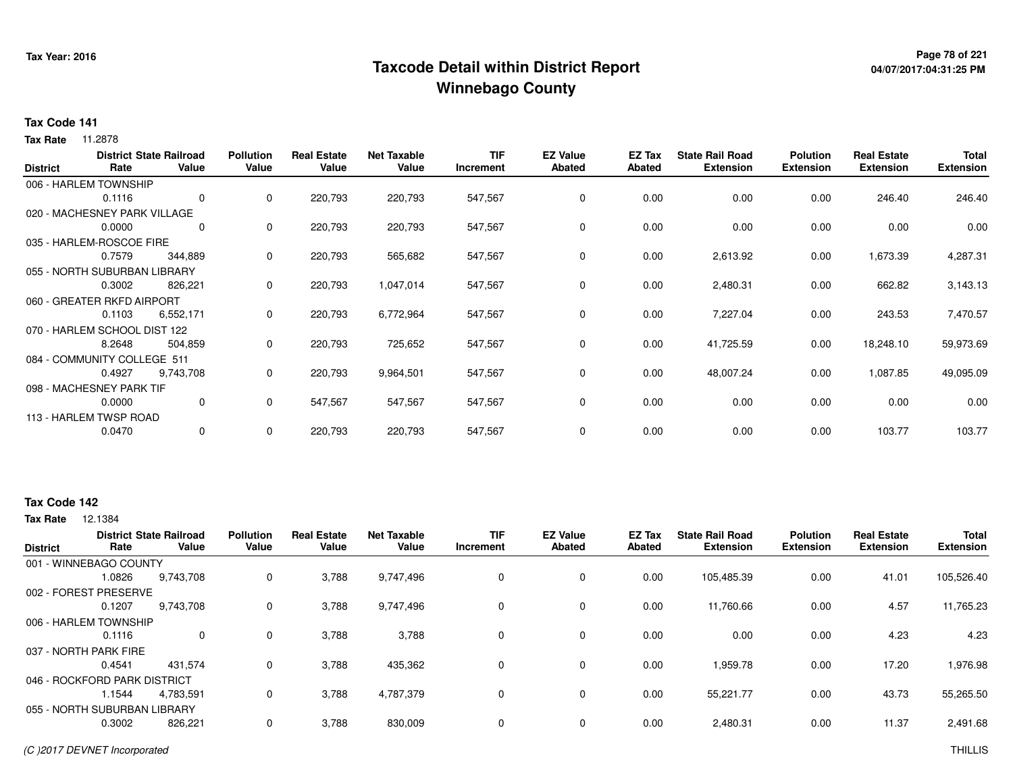## **Page 78 of 221 Taxcode Detail within District ReportWinnebago County**

# **04/07/2017:04:31:25 PM**

#### **Tax Code 141**

**Tax Rate** 11.2878

| <b>District</b> | Rate                         | <b>District State Railroad</b><br>Value | <b>Pollution</b><br>Value | <b>Real Estate</b><br>Value | <b>Net Taxable</b><br>Value | <b>TIF</b><br>Increment | <b>EZ Value</b><br><b>Abated</b> | EZ Tax<br><b>Abated</b> | <b>State Rail Road</b><br><b>Extension</b> | <b>Polution</b><br><b>Extension</b> | <b>Real Estate</b><br><b>Extension</b> | <b>Total</b><br><b>Extension</b> |
|-----------------|------------------------------|-----------------------------------------|---------------------------|-----------------------------|-----------------------------|-------------------------|----------------------------------|-------------------------|--------------------------------------------|-------------------------------------|----------------------------------------|----------------------------------|
|                 | 006 - HARLEM TOWNSHIP        |                                         |                           |                             |                             |                         |                                  |                         |                                            |                                     |                                        |                                  |
|                 | 0.1116                       | 0                                       | 0                         | 220,793                     | 220,793                     | 547,567                 | 0                                | 0.00                    | 0.00                                       | 0.00                                | 246.40                                 | 246.40                           |
|                 | 020 - MACHESNEY PARK VILLAGE |                                         |                           |                             |                             |                         |                                  |                         |                                            |                                     |                                        |                                  |
|                 | 0.0000                       | 0                                       | 0                         | 220,793                     | 220,793                     | 547,567                 | 0                                | 0.00                    | 0.00                                       | 0.00                                | 0.00                                   | 0.00                             |
|                 | 035 - HARLEM-ROSCOE FIRE     |                                         |                           |                             |                             |                         |                                  |                         |                                            |                                     |                                        |                                  |
|                 | 0.7579                       | 344,889                                 | 0                         | 220,793                     | 565,682                     | 547,567                 | $\mathbf 0$                      | 0.00                    | 2,613.92                                   | 0.00                                | 1,673.39                               | 4,287.31                         |
|                 | 055 - NORTH SUBURBAN LIBRARY |                                         |                           |                             |                             |                         |                                  |                         |                                            |                                     |                                        |                                  |
|                 | 0.3002                       | 826,221                                 | 0                         | 220,793                     | 1,047,014                   | 547,567                 | 0                                | 0.00                    | 2,480.31                                   | 0.00                                | 662.82                                 | 3,143.13                         |
|                 | 060 - GREATER RKFD AIRPORT   |                                         |                           |                             |                             |                         |                                  |                         |                                            |                                     |                                        |                                  |
|                 | 0.1103                       | 6,552,171                               | 0                         | 220,793                     | 6,772,964                   | 547,567                 | 0                                | 0.00                    | 7,227.04                                   | 0.00                                | 243.53                                 | 7,470.57                         |
|                 | 070 - HARLEM SCHOOL DIST 122 |                                         |                           |                             |                             |                         |                                  |                         |                                            |                                     |                                        |                                  |
|                 | 8.2648                       | 504,859                                 | 0                         | 220,793                     | 725,652                     | 547,567                 | $\mathbf 0$                      | 0.00                    | 41,725.59                                  | 0.00                                | 18,248.10                              | 59,973.69                        |
|                 | 084 - COMMUNITY COLLEGE 511  |                                         |                           |                             |                             |                         |                                  |                         |                                            |                                     |                                        |                                  |
|                 | 0.4927                       | 9,743,708                               | 0                         | 220,793                     | 9,964,501                   | 547,567                 | $\mathbf 0$                      | 0.00                    | 48,007.24                                  | 0.00                                | 1,087.85                               | 49,095.09                        |
|                 | 098 - MACHESNEY PARK TIF     |                                         |                           |                             |                             |                         |                                  |                         |                                            |                                     |                                        |                                  |
|                 | 0.0000                       | 0                                       | 0                         | 547,567                     | 547,567                     | 547,567                 | 0                                | 0.00                    | 0.00                                       | 0.00                                | 0.00                                   | 0.00                             |
|                 | 113 - HARLEM TWSP ROAD       |                                         |                           |                             |                             |                         |                                  |                         |                                            |                                     |                                        |                                  |
|                 | 0.0470                       | 0                                       | 0                         | 220,793                     | 220,793                     | 547,567                 | 0                                | 0.00                    | 0.00                                       | 0.00                                | 103.77                                 | 103.77                           |

#### **Tax Code 142**

| <b>District</b>              |        | <b>District State Railroad</b> | <b>Pollution</b> | <b>Real Estate</b> | <b>Net Taxable</b> | TIF       | <b>EZ Value</b> | EZ Tax | <b>State Rail Road</b> | <b>Polution</b>  | <b>Real Estate</b> | <b>Total</b>     |
|------------------------------|--------|--------------------------------|------------------|--------------------|--------------------|-----------|-----------------|--------|------------------------|------------------|--------------------|------------------|
|                              | Rate   | Value                          | Value            | Value              | Value              | Increment | <b>Abated</b>   | Abated | <b>Extension</b>       | <b>Extension</b> | <b>Extension</b>   | <b>Extension</b> |
| 001 - WINNEBAGO COUNTY       |        |                                |                  |                    |                    |           |                 |        |                        |                  |                    |                  |
|                              | 1.0826 | 9,743,708                      | 0                | 3,788              | 9,747,496          |           | $\mathbf 0$     | 0.00   | 105,485.39             | 0.00             | 41.01              | 105,526.40       |
| 002 - FOREST PRESERVE        |        |                                |                  |                    |                    |           |                 |        |                        |                  |                    |                  |
|                              | 0.1207 | 9.743.708                      | 0                | 3,788              | 9,747,496          |           | $\mathbf 0$     | 0.00   | 11.760.66              | 0.00             | 4.57               | 11,765.23        |
| 006 - HARLEM TOWNSHIP        |        |                                |                  |                    |                    |           |                 |        |                        |                  |                    |                  |
|                              | 0.1116 | $\mathbf{0}$                   | 0                | 3,788              | 3,788              |           | 0               | 0.00   | 0.00                   | 0.00             | 4.23               | 4.23             |
| 037 - NORTH PARK FIRE        |        |                                |                  |                    |                    |           |                 |        |                        |                  |                    |                  |
|                              | 0.4541 | 431.574                        | 0                | 3,788              | 435,362            |           | $\mathbf 0$     | 0.00   | 1,959.78               | 0.00             | 17.20              | 1,976.98         |
| 046 - ROCKFORD PARK DISTRICT |        |                                |                  |                    |                    |           |                 |        |                        |                  |                    |                  |
|                              | 1.1544 | 4,783,591                      | 0                | 3,788              | 4,787,379          |           | $\mathbf 0$     | 0.00   | 55,221.77              | 0.00             | 43.73              | 55,265.50        |
| 055 - NORTH SUBURBAN LIBRARY |        |                                |                  |                    |                    |           |                 |        |                        |                  |                    |                  |
|                              | 0.3002 | 826,221                        | 0                | 3,788              | 830,009            |           | 0               | 0.00   | 2,480.31               | 0.00             | 11.37              | 2,491.68         |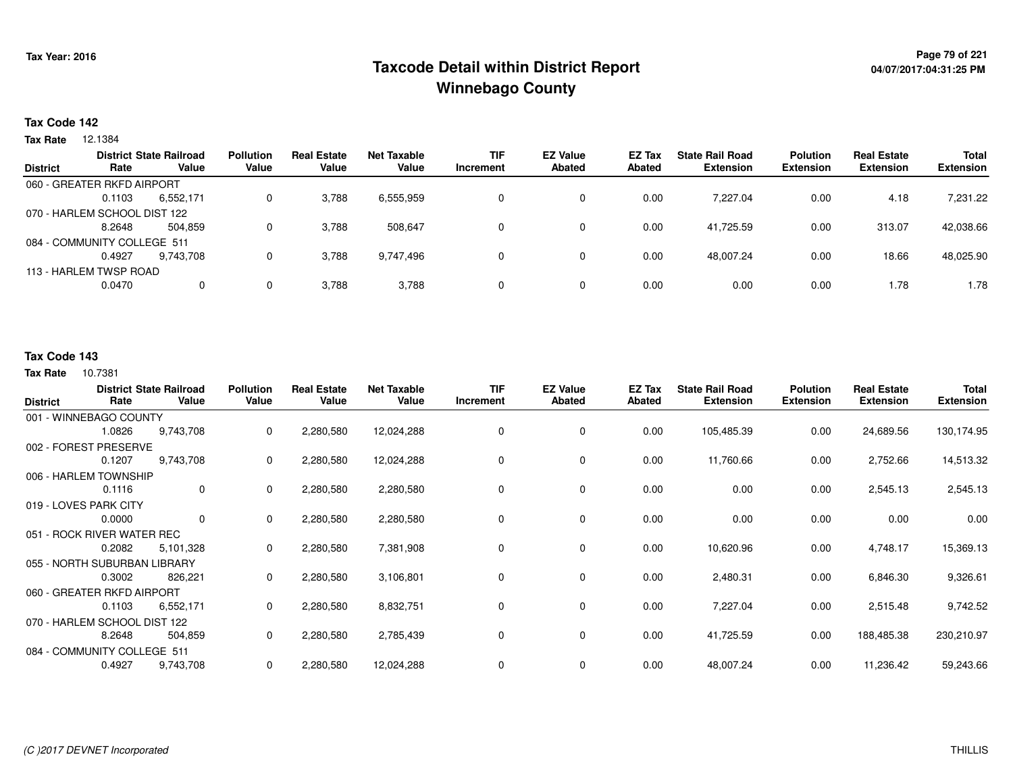## **Page 79 of 221 Taxcode Detail within District ReportWinnebago County**

#### **Tax Code 142**

**Tax Rate** 12.1384

|                 | Rate                         | <b>District State Railroad</b><br>Value | <b>Pollution</b><br>Value | <b>Real Estate</b><br>Value | <b>Net Taxable</b><br>Value | <b>TIF</b><br>Increment | <b>EZ Value</b><br>Abated | EZ Tax<br>Abated | <b>State Rail Road</b><br><b>Extension</b> | <b>Polution</b><br><b>Extension</b> | <b>Real Estate</b><br><b>Extension</b> | <b>Total</b><br><b>Extension</b> |
|-----------------|------------------------------|-----------------------------------------|---------------------------|-----------------------------|-----------------------------|-------------------------|---------------------------|------------------|--------------------------------------------|-------------------------------------|----------------------------------------|----------------------------------|
| <b>District</b> |                              |                                         |                           |                             |                             |                         |                           |                  |                                            |                                     |                                        |                                  |
|                 | 060 - GREATER RKFD AIRPORT   |                                         |                           |                             |                             |                         |                           |                  |                                            |                                     |                                        |                                  |
|                 | 0.1103                       | 6,552,171                               | 0                         | 3,788                       | 6,555,959                   |                         | 0                         | 0.00             | 7.227.04                                   | 0.00                                | 4.18                                   | 7,231.22                         |
|                 | 070 - HARLEM SCHOOL DIST 122 |                                         |                           |                             |                             |                         |                           |                  |                                            |                                     |                                        |                                  |
|                 | 8.2648                       | 504.859                                 | 0                         | 3,788                       | 508.647                     |                         | 0                         | 0.00             | 41.725.59                                  | 0.00                                | 313.07                                 | 42,038.66                        |
|                 | 084 - COMMUNITY COLLEGE 511  |                                         |                           |                             |                             |                         |                           |                  |                                            |                                     |                                        |                                  |
|                 | 0.4927                       | 9.743.708                               | 0                         | 3,788                       | 9,747,496                   | O.                      | 0                         | 0.00             | 48.007.24                                  | 0.00                                | 18.66                                  | 48,025.90                        |
|                 | 113 - HARLEM TWSP ROAD       |                                         |                           |                             |                             |                         |                           |                  |                                            |                                     |                                        |                                  |
|                 | 0.0470                       | 0                                       | 0                         | 3,788                       | 3,788                       | 0                       | 0                         | 0.00             | 0.00                                       | 0.00                                | 1.78                                   | 1.78                             |

### **Tax Code 143**

| <b>District</b>              | Rate   | <b>District State Railroad</b><br>Value | <b>Pollution</b><br>Value | <b>Real Estate</b><br>Value | <b>Net Taxable</b><br>Value | <b>TIF</b><br>Increment | <b>EZ Value</b><br><b>Abated</b> | EZ Tax<br><b>Abated</b> | <b>State Rail Road</b><br><b>Extension</b> | <b>Polution</b><br><b>Extension</b> | <b>Real Estate</b><br><b>Extension</b> | Total<br><b>Extension</b> |
|------------------------------|--------|-----------------------------------------|---------------------------|-----------------------------|-----------------------------|-------------------------|----------------------------------|-------------------------|--------------------------------------------|-------------------------------------|----------------------------------------|---------------------------|
| 001 - WINNEBAGO COUNTY       |        |                                         |                           |                             |                             |                         |                                  |                         |                                            |                                     |                                        |                           |
|                              | 1.0826 | 9,743,708                               | 0                         | 2,280,580                   | 12,024,288                  | 0                       | $\mathbf 0$                      | 0.00                    | 105,485.39                                 | 0.00                                | 24,689.56                              | 130,174.95                |
| 002 - FOREST PRESERVE        |        |                                         |                           |                             |                             |                         |                                  |                         |                                            |                                     |                                        |                           |
|                              | 0.1207 | 9,743,708                               | 0                         | 2,280,580                   | 12,024,288                  | 0                       | 0                                | 0.00                    | 11,760.66                                  | 0.00                                | 2,752.66                               | 14,513.32                 |
| 006 - HARLEM TOWNSHIP        |        |                                         |                           |                             |                             |                         |                                  |                         |                                            |                                     |                                        |                           |
|                              | 0.1116 | 0                                       | 0                         | 2,280,580                   | 2,280,580                   | 0                       | 0                                | 0.00                    | 0.00                                       | 0.00                                | 2,545.13                               | 2,545.13                  |
| 019 - LOVES PARK CITY        |        |                                         |                           |                             |                             |                         |                                  |                         |                                            |                                     |                                        |                           |
|                              | 0.0000 | 0                                       | 0                         | 2,280,580                   | 2,280,580                   | 0                       | $\mathbf 0$                      | 0.00                    | 0.00                                       | 0.00                                | 0.00                                   | 0.00                      |
| 051 - ROCK RIVER WATER REC   |        |                                         |                           |                             |                             |                         |                                  |                         |                                            |                                     |                                        |                           |
|                              | 0.2082 | 5,101,328                               | 0                         | 2,280,580                   | 7,381,908                   | 0                       | 0                                | 0.00                    | 10,620.96                                  | 0.00                                | 4,748.17                               | 15,369.13                 |
| 055 - NORTH SUBURBAN LIBRARY |        |                                         |                           |                             |                             |                         |                                  |                         |                                            |                                     |                                        |                           |
|                              | 0.3002 | 826,221                                 | 0                         | 2,280,580                   | 3,106,801                   | 0                       | 0                                | 0.00                    | 2,480.31                                   | 0.00                                | 6,846.30                               | 9,326.61                  |
| 060 - GREATER RKFD AIRPORT   |        |                                         |                           |                             |                             |                         |                                  |                         |                                            |                                     |                                        |                           |
|                              | 0.1103 | 6,552,171                               | 0                         | 2,280,580                   | 8,832,751                   | 0                       | 0                                | 0.00                    | 7,227.04                                   | 0.00                                | 2,515.48                               | 9,742.52                  |
| 070 - HARLEM SCHOOL DIST 122 |        |                                         |                           |                             |                             |                         |                                  |                         |                                            |                                     |                                        |                           |
|                              | 8.2648 | 504,859                                 | 0                         | 2,280,580                   | 2,785,439                   | 0                       | 0                                | 0.00                    | 41,725.59                                  | 0.00                                | 188,485.38                             | 230,210.97                |
| 084 - COMMUNITY COLLEGE 511  |        |                                         |                           |                             |                             |                         |                                  |                         |                                            |                                     |                                        |                           |
|                              | 0.4927 | 9,743,708                               | 0                         | 2,280,580                   | 12,024,288                  | 0                       | 0                                | 0.00                    | 48,007.24                                  | 0.00                                | 11,236.42                              | 59,243.66                 |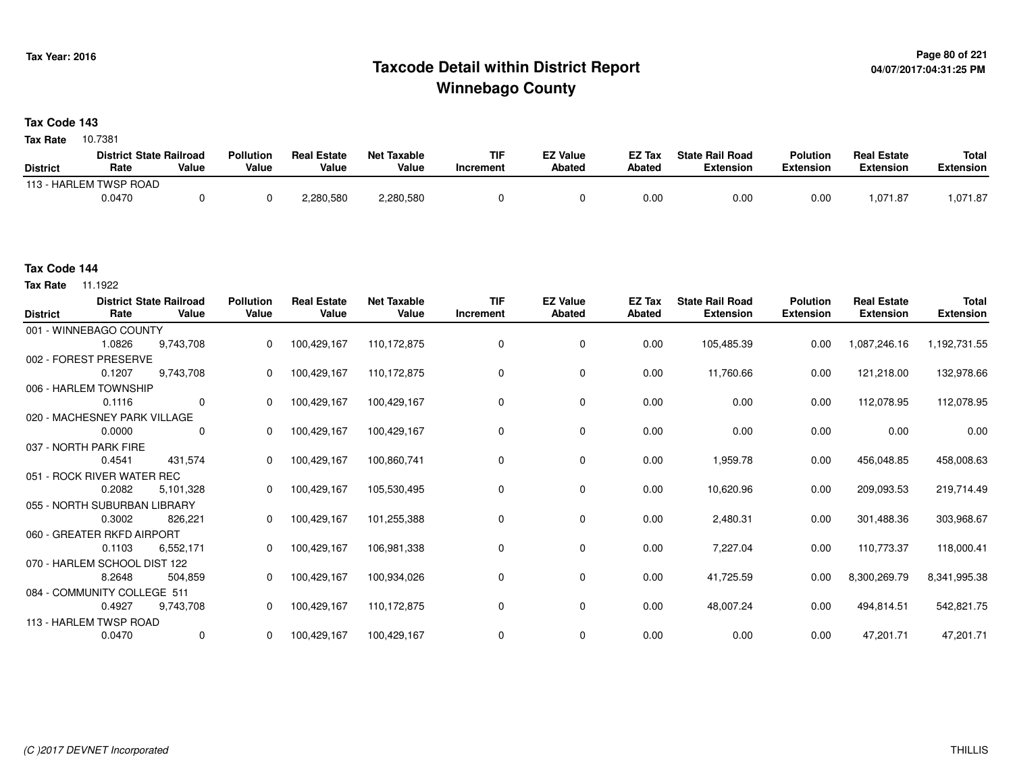## **Page 80 of 221 Taxcode Detail within District ReportWinnebago County**

### **Tax Code 143**

**Tax Rate** 10.7381

|                 | <b>District State Railroad</b> |       | <b>Pollution</b> | <b>Real Estate</b> | <b>Net Taxable</b> | TIF       | <b>EZ Value</b> | EZ Tax        | <b>State Rail Road</b> | <b>Polution</b> | <b>Real Estate</b> | <b>Total</b> |
|-----------------|--------------------------------|-------|------------------|--------------------|--------------------|-----------|-----------------|---------------|------------------------|-----------------|--------------------|--------------|
| <b>District</b> | Rate                           | Value | Value            | Value              | Value              | Increment | <b>Abated</b>   | <b>Abated</b> | Extension              | Extension       | Extension          | Extension    |
|                 | 113 - HARLEM TWSP ROAD         |       |                  |                    |                    |           |                 |               |                        |                 |                    |              |
|                 | 0.0470                         |       |                  | 2,280,580          | 2,280,580          |           |                 | 0.00          | 0.00                   | 0.00            | ,071.8             | 071.87. ا    |

#### **Tax Code 144**

**Tax Rate** 11.1922

| <b>District</b> | Rate                         | <b>District State Railroad</b><br>Value | <b>Pollution</b><br>Value | <b>Real Estate</b><br>Value | <b>Net Taxable</b><br>Value | <b>TIF</b><br>Increment | <b>EZ Value</b><br>Abated | EZ Tax<br>Abated | <b>State Rail Road</b><br><b>Extension</b> | <b>Polution</b><br><b>Extension</b> | <b>Real Estate</b><br><b>Extension</b> | <b>Total</b><br><b>Extension</b> |
|-----------------|------------------------------|-----------------------------------------|---------------------------|-----------------------------|-----------------------------|-------------------------|---------------------------|------------------|--------------------------------------------|-------------------------------------|----------------------------------------|----------------------------------|
|                 | 001 - WINNEBAGO COUNTY       |                                         |                           |                             |                             |                         |                           |                  |                                            |                                     |                                        |                                  |
|                 | 1.0826                       | 9,743,708                               | 0                         | 100,429,167                 | 110, 172, 875               | 0                       | 0                         | 0.00             | 105,485.39                                 | 0.00                                | 1,087,246.16                           | 1,192,731.55                     |
|                 | 002 - FOREST PRESERVE        |                                         |                           |                             |                             |                         |                           |                  |                                            |                                     |                                        |                                  |
|                 | 0.1207                       | 9,743,708                               |                           | 100,429,167                 | 110,172,875                 | $\Omega$                | 0                         | 0.00             | 11,760.66                                  | 0.00                                | 121,218.00                             | 132,978.66                       |
|                 | 006 - HARLEM TOWNSHIP        |                                         |                           |                             |                             |                         |                           |                  |                                            |                                     |                                        |                                  |
|                 | 0.1116                       | $\mathbf 0$                             | $\Omega$                  | 100,429,167                 | 100,429,167                 | $\Omega$                | 0                         | 0.00             | 0.00                                       | 0.00                                | 112,078.95                             | 112,078.95                       |
|                 | 020 - MACHESNEY PARK VILLAGE |                                         |                           |                             |                             |                         |                           |                  |                                            |                                     |                                        |                                  |
|                 | 0.0000                       | 0                                       | $\mathbf{0}$              | 100,429,167                 | 100,429,167                 | 0                       | 0                         | 0.00             | 0.00                                       | 0.00                                | 0.00                                   | 0.00                             |
|                 | 037 - NORTH PARK FIRE        |                                         |                           |                             |                             |                         |                           |                  |                                            |                                     |                                        |                                  |
|                 | 0.4541                       | 431,574                                 | $\Omega$                  | 100,429,167                 | 100,860,741                 | 0                       | 0                         | 0.00             | 1,959.78                                   | 0.00                                | 456,048.85                             | 458,008.63                       |
|                 | 051 - ROCK RIVER WATER REC   |                                         |                           |                             |                             |                         |                           |                  |                                            |                                     |                                        |                                  |
|                 | 0.2082                       | 5,101,328                               |                           | 100,429,167                 | 105,530,495                 | 0                       | 0                         | 0.00             | 10,620.96                                  | 0.00                                | 209,093.53                             | 219,714.49                       |
|                 | 055 - NORTH SUBURBAN LIBRARY |                                         |                           |                             |                             |                         |                           |                  |                                            |                                     |                                        |                                  |
|                 | 0.3002                       | 826,221                                 | $\mathbf{0}$              | 100,429,167                 | 101,255,388                 | 0                       | 0                         | 0.00             | 2,480.31                                   | 0.00                                | 301,488.36                             | 303,968.67                       |
|                 | 060 - GREATER RKFD AIRPORT   |                                         |                           |                             |                             |                         |                           |                  |                                            |                                     |                                        |                                  |
|                 | 0.1103                       | 6,552,171                               | $\Omega$                  | 100,429,167                 | 106,981,338                 | $\Omega$                | 0                         | 0.00             | 7,227.04                                   | 0.00                                | 110,773.37                             | 118,000.41                       |
|                 | 070 - HARLEM SCHOOL DIST 122 |                                         |                           |                             |                             |                         |                           |                  |                                            |                                     |                                        |                                  |
|                 | 8.2648                       | 504,859                                 | $\mathbf{0}$              | 100,429,167                 | 100,934,026                 | 0                       | 0                         | 0.00             | 41,725.59                                  | 0.00                                | 8,300,269.79                           | 8,341,995.38                     |
|                 | 084 - COMMUNITY COLLEGE 511  |                                         |                           |                             |                             |                         |                           |                  |                                            |                                     |                                        |                                  |
|                 | 0.4927                       | 9,743,708                               | 0                         | 100,429,167                 | 110,172,875                 | 0                       | 0                         | 0.00             | 48,007.24                                  | 0.00                                | 494,814.51                             | 542,821.75                       |
|                 | 113 - HARLEM TWSP ROAD       |                                         |                           |                             |                             |                         |                           |                  |                                            |                                     |                                        |                                  |
|                 | 0.0470                       | $\mathbf 0$                             |                           | 100,429,167                 | 100,429,167                 | 0                       | $\mathbf 0$               | 0.00             | 0.00                                       | 0.00                                | 47,201.71                              | 47,201.71                        |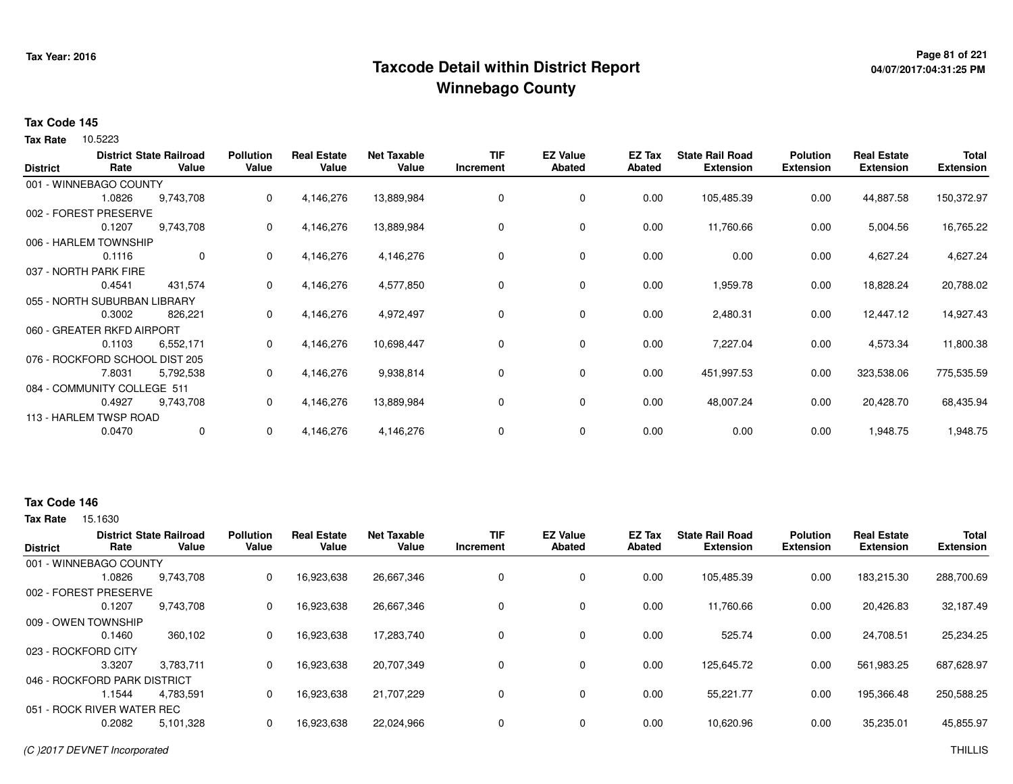## <sup>Page 81</sup> of 221<br>Taxcode Detail within District Report و Taxcode Detail within District Report **Winnebago County**

# **04/07/2017:04:31:25 PM**

#### **Tax Code 145**

Tax Rate 10.5223

| <b>District</b> | Rate                           | <b>District State Railroad</b><br>Value | <b>Pollution</b><br>Value | <b>Real Estate</b><br>Value | <b>Net Taxable</b><br>Value | <b>TIF</b><br>Increment | <b>EZ Value</b><br><b>Abated</b> | EZ Tax<br><b>Abated</b> | <b>State Rail Road</b><br><b>Extension</b> | <b>Polution</b><br><b>Extension</b> | <b>Real Estate</b><br><b>Extension</b> | <b>Total</b><br><b>Extension</b> |
|-----------------|--------------------------------|-----------------------------------------|---------------------------|-----------------------------|-----------------------------|-------------------------|----------------------------------|-------------------------|--------------------------------------------|-------------------------------------|----------------------------------------|----------------------------------|
|                 | 001 - WINNEBAGO COUNTY         |                                         |                           |                             |                             |                         |                                  |                         |                                            |                                     |                                        |                                  |
|                 | 1.0826                         | 9,743,708                               | 0                         | 4,146,276                   | 13,889,984                  | 0                       | 0                                | 0.00                    | 105,485.39                                 | 0.00                                | 44,887.58                              | 150,372.97                       |
|                 | 002 - FOREST PRESERVE          |                                         |                           |                             |                             |                         |                                  |                         |                                            |                                     |                                        |                                  |
|                 | 0.1207                         | 9,743,708                               | 0                         | 4,146,276                   | 13,889,984                  | 0                       | 0                                | 0.00                    | 11,760.66                                  | 0.00                                | 5,004.56                               | 16,765.22                        |
|                 | 006 - HARLEM TOWNSHIP          |                                         |                           |                             |                             |                         |                                  |                         |                                            |                                     |                                        |                                  |
|                 | 0.1116                         | $\mathbf{0}$                            | 0                         | 4,146,276                   | 4,146,276                   | 0                       | 0                                | 0.00                    | 0.00                                       | 0.00                                | 4,627.24                               | 4,627.24                         |
|                 | 037 - NORTH PARK FIRE          |                                         |                           |                             |                             |                         |                                  |                         |                                            |                                     |                                        |                                  |
|                 | 0.4541                         | 431,574                                 | 0                         | 4,146,276                   | 4,577,850                   | 0                       | 0                                | 0.00                    | 1,959.78                                   | 0.00                                | 18,828.24                              | 20,788.02                        |
|                 | 055 - NORTH SUBURBAN LIBRARY   |                                         |                           |                             |                             |                         |                                  |                         |                                            |                                     |                                        |                                  |
|                 | 0.3002                         | 826,221                                 | 0                         | 4,146,276                   | 4,972,497                   | 0                       | 0                                | 0.00                    | 2,480.31                                   | 0.00                                | 12,447.12                              | 14,927.43                        |
|                 | 060 - GREATER RKFD AIRPORT     |                                         |                           |                             |                             |                         |                                  |                         |                                            |                                     |                                        |                                  |
|                 | 0.1103                         | 6,552,171                               | 0                         | 4,146,276                   | 10,698,447                  | 0                       | 0                                | 0.00                    | 7,227.04                                   | 0.00                                | 4,573.34                               | 11,800.38                        |
|                 | 076 - ROCKFORD SCHOOL DIST 205 |                                         |                           |                             |                             |                         |                                  |                         |                                            |                                     |                                        |                                  |
|                 | 7.8031                         | 5,792,538                               | 0                         | 4,146,276                   | 9,938,814                   | 0                       | 0                                | 0.00                    | 451,997.53                                 | 0.00                                | 323,538.06                             | 775,535.59                       |
|                 | 084 - COMMUNITY COLLEGE 511    |                                         |                           |                             |                             |                         |                                  |                         |                                            |                                     |                                        |                                  |
|                 | 0.4927                         | 9,743,708                               | 0                         | 4,146,276                   | 13,889,984                  | 0                       | 0                                | 0.00                    | 48,007.24                                  | 0.00                                | 20,428.70                              | 68,435.94                        |
|                 | 113 - HARLEM TWSP ROAD         |                                         |                           |                             |                             |                         |                                  |                         |                                            |                                     |                                        |                                  |
|                 | 0.0470                         | 0                                       | 0                         | 4,146,276                   | 4,146,276                   | 0                       | 0                                | 0.00                    | 0.00                                       | 0.00                                | 1,948.75                               | 1,948.75                         |

#### **Tax Code 146**

|                     |           | <b>Pollution</b>                                                                                                                                | <b>Real Estate</b> | <b>Net Taxable</b> | <b>TIF</b> | <b>EZ Value</b> | EZ Tax | <b>State Rail Road</b> | <b>Polution</b>  | <b>Real Estate</b> | <b>Total</b>     |
|---------------------|-----------|-------------------------------------------------------------------------------------------------------------------------------------------------|--------------------|--------------------|------------|-----------------|--------|------------------------|------------------|--------------------|------------------|
| Rate                | Value     | Value                                                                                                                                           | Value              | Value              | Increment  | Abated          | Abated | <b>Extension</b>       | <b>Extension</b> | <b>Extension</b>   | <b>Extension</b> |
|                     |           |                                                                                                                                                 |                    |                    |            |                 |        |                        |                  |                    |                  |
| 1.0826              | 9.743.708 | 0                                                                                                                                               | 16,923,638         | 26,667,346         | 0          | 0               | 0.00   | 105.485.39             | 0.00             | 183,215.30         | 288,700.69       |
|                     |           |                                                                                                                                                 |                    |                    |            |                 |        |                        |                  |                    |                  |
| 0.1207              | 9.743.708 | 0                                                                                                                                               | 16,923,638         | 26,667,346         | 0          | 0               | 0.00   | 11,760.66              | 0.00             | 20,426.83          | 32,187.49        |
| 009 - OWEN TOWNSHIP |           |                                                                                                                                                 |                    |                    |            |                 |        |                        |                  |                    |                  |
| 0.1460              | 360,102   | 0                                                                                                                                               | 16,923,638         | 17,283,740         | 0          | 0               | 0.00   | 525.74                 | 0.00             | 24.708.51          | 25,234.25        |
| 023 - ROCKFORD CITY |           |                                                                                                                                                 |                    |                    |            |                 |        |                        |                  |                    |                  |
| 3.3207              | 3.783.711 | 0                                                                                                                                               | 16,923,638         | 20.707.349         | 0          | 0               | 0.00   | 125,645.72             | 0.00             | 561,983.25         | 687,628.97       |
|                     |           |                                                                                                                                                 |                    |                    |            |                 |        |                        |                  |                    |                  |
| l.1544              | 4.783.591 | 0                                                                                                                                               | 16,923,638         | 21,707,229         | 0          | 0               | 0.00   | 55,221.77              | 0.00             | 195,366.48         | 250,588.25       |
|                     |           |                                                                                                                                                 |                    |                    |            |                 |        |                        |                  |                    |                  |
| 0.2082              | 5,101,328 |                                                                                                                                                 | 16,923,638         | 22,024,966         | 0          | 0               | 0.00   | 10,620.96              | 0.00             | 35,235.01          | 45,855.97        |
|                     |           | <b>District State Railroad</b><br>001 - WINNEBAGO COUNTY<br>002 - FOREST PRESERVE<br>046 - ROCKFORD PARK DISTRICT<br>051 - ROCK RIVER WATER REC |                    |                    |            |                 |        |                        |                  |                    |                  |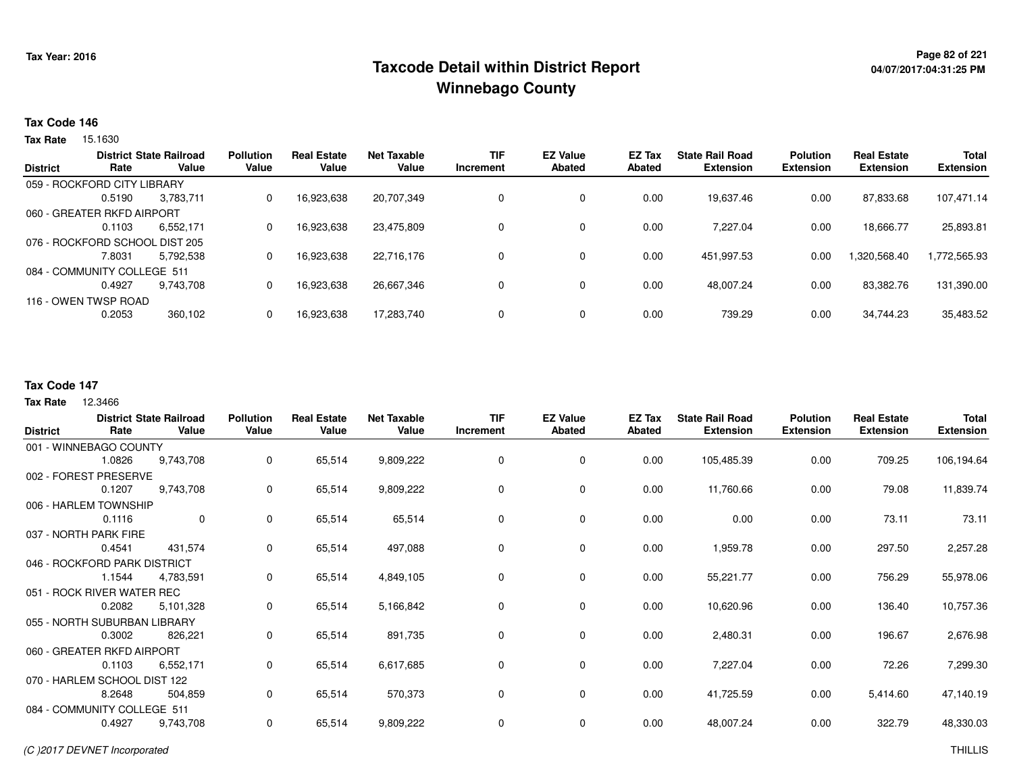## **Page 82 of 221 Taxcode Detail within District ReportWinnebago County**

# **04/07/2017:04:31:25 PM**

#### **Tax Code 146**

Tax Rate 15.1630

|                 | Rate                           | <b>District State Railroad</b><br>Value | <b>Pollution</b><br>Value | <b>Real Estate</b><br>Value | Net Taxable<br>Value | <b>TIF</b> | <b>EZ Value</b><br><b>Abated</b> | <b>EZ Tax</b><br>Abated | <b>State Rail Road</b><br><b>Extension</b> | <b>Polution</b><br><b>Extension</b> | <b>Real Estate</b><br><b>Extension</b> | <b>Total</b><br><b>Extension</b> |
|-----------------|--------------------------------|-----------------------------------------|---------------------------|-----------------------------|----------------------|------------|----------------------------------|-------------------------|--------------------------------------------|-------------------------------------|----------------------------------------|----------------------------------|
| <b>District</b> |                                |                                         |                           |                             |                      | Increment  |                                  |                         |                                            |                                     |                                        |                                  |
|                 | 059 - ROCKFORD CITY LIBRARY    |                                         |                           |                             |                      |            |                                  |                         |                                            |                                     |                                        |                                  |
|                 | 0.5190                         | 3.783.711                               | 0                         | 16,923,638                  | 20,707,349           | 0          | 0                                | 0.00                    | 19,637.46                                  | 0.00                                | 87,833.68                              | 107,471.14                       |
|                 | 060 - GREATER RKFD AIRPORT     |                                         |                           |                             |                      |            |                                  |                         |                                            |                                     |                                        |                                  |
|                 | 0.1103                         | 6.552.171                               | 0                         | 16.923.638                  | 23.475.809           |            | 0                                | 0.00                    | 7.227.04                                   | 0.00                                | 18,666.77                              | 25,893.81                        |
|                 | 076 - ROCKFORD SCHOOL DIST 205 |                                         |                           |                             |                      |            |                                  |                         |                                            |                                     |                                        |                                  |
|                 | 7.8031                         | 5.792.538                               | 0                         | 16,923,638                  | 22.716.176           | 0          | 0                                | 0.00                    | 451.997.53                                 | 0.00                                | .320,568.40                            | 1,772,565.93                     |
|                 | 084 - COMMUNITY COLLEGE 511    |                                         |                           |                             |                      |            |                                  |                         |                                            |                                     |                                        |                                  |
|                 | 0.4927                         | 9.743.708                               |                           | 16,923,638                  | 26,667,346           | 0          | 0                                | 0.00                    | 48,007.24                                  | 0.00                                | 83,382.76                              | 131,390.00                       |
|                 | 116 - OWEN TWSP ROAD           |                                         |                           |                             |                      |            |                                  |                         |                                            |                                     |                                        |                                  |
|                 | 0.2053                         | 360,102                                 |                           | 16,923,638                  | 17,283,740           | 0          | 0                                | 0.00                    | 739.29                                     | 0.00                                | 34,744.23                              | 35,483.52                        |
|                 |                                |                                         |                           |                             |                      |            |                                  |                         |                                            |                                     |                                        |                                  |

### **Tax Code 147**

| <b>District</b> | Rate                         | <b>District State Railroad</b><br>Value | <b>Pollution</b><br>Value | <b>Real Estate</b><br>Value | <b>Net Taxable</b><br>Value | <b>TIF</b><br>Increment | <b>EZ Value</b><br><b>Abated</b> | EZ Tax<br><b>Abated</b> | <b>State Rail Road</b><br><b>Extension</b> | <b>Polution</b><br><b>Extension</b> | <b>Real Estate</b><br><b>Extension</b> | <b>Total</b><br><b>Extension</b> |
|-----------------|------------------------------|-----------------------------------------|---------------------------|-----------------------------|-----------------------------|-------------------------|----------------------------------|-------------------------|--------------------------------------------|-------------------------------------|----------------------------------------|----------------------------------|
|                 | 001 - WINNEBAGO COUNTY       |                                         |                           |                             |                             |                         |                                  |                         |                                            |                                     |                                        |                                  |
|                 | 1.0826                       | 9,743,708                               | 0                         | 65,514                      | 9,809,222                   | 0                       | 0                                | 0.00                    | 105,485.39                                 | 0.00                                | 709.25                                 | 106,194.64                       |
|                 | 002 - FOREST PRESERVE        |                                         |                           |                             |                             |                         |                                  |                         |                                            |                                     |                                        |                                  |
|                 | 0.1207                       | 9,743,708                               | 0                         | 65,514                      | 9,809,222                   | 0                       | 0                                | 0.00                    | 11,760.66                                  | 0.00                                | 79.08                                  | 11,839.74                        |
|                 | 006 - HARLEM TOWNSHIP        |                                         |                           |                             |                             |                         |                                  |                         |                                            |                                     |                                        |                                  |
|                 | 0.1116                       | $\mathbf{0}$                            | 0                         | 65,514                      | 65,514                      | 0                       | 0                                | 0.00                    | 0.00                                       | 0.00                                | 73.11                                  | 73.11                            |
|                 | 037 - NORTH PARK FIRE        |                                         |                           |                             |                             |                         |                                  |                         |                                            |                                     |                                        |                                  |
|                 | 0.4541                       | 431,574                                 | 0                         | 65,514                      | 497,088                     | 0                       | 0                                | 0.00                    | 1,959.78                                   | 0.00                                | 297.50                                 | 2,257.28                         |
|                 | 046 - ROCKFORD PARK DISTRICT |                                         |                           |                             |                             |                         |                                  |                         |                                            |                                     |                                        |                                  |
|                 | 1.1544                       | 4,783,591                               | 0                         | 65,514                      | 4,849,105                   | 0                       | 0                                | 0.00                    | 55,221.77                                  | 0.00                                | 756.29                                 | 55,978.06                        |
|                 | 051 - ROCK RIVER WATER REC   |                                         |                           |                             |                             |                         |                                  |                         |                                            |                                     |                                        |                                  |
|                 | 0.2082                       | 5,101,328                               | 0                         | 65,514                      | 5,166,842                   | $\mathbf 0$             | 0                                | 0.00                    | 10,620.96                                  | 0.00                                | 136.40                                 | 10,757.36                        |
|                 | 055 - NORTH SUBURBAN LIBRARY |                                         |                           |                             |                             |                         |                                  |                         |                                            |                                     |                                        |                                  |
|                 | 0.3002                       | 826,221                                 | 0                         | 65,514                      | 891,735                     | 0                       | 0                                | 0.00                    | 2,480.31                                   | 0.00                                | 196.67                                 | 2,676.98                         |
|                 | 060 - GREATER RKFD AIRPORT   |                                         |                           |                             |                             |                         |                                  |                         |                                            |                                     |                                        |                                  |
|                 | 0.1103                       | 6,552,171                               | 0                         | 65,514                      | 6,617,685                   | 0                       | 0                                | 0.00                    | 7,227.04                                   | 0.00                                | 72.26                                  | 7,299.30                         |
|                 | 070 - HARLEM SCHOOL DIST 122 |                                         |                           |                             |                             |                         |                                  |                         |                                            |                                     |                                        |                                  |
|                 | 8.2648                       | 504,859                                 | 0                         | 65,514                      | 570,373                     | 0                       | 0                                | 0.00                    | 41,725.59                                  | 0.00                                | 5,414.60                               | 47,140.19                        |
|                 | 084 - COMMUNITY COLLEGE 511  |                                         |                           |                             |                             |                         |                                  |                         |                                            |                                     |                                        |                                  |
|                 | 0.4927                       | 9,743,708                               | 0                         | 65,514                      | 9,809,222                   | 0                       | 0                                | 0.00                    | 48,007.24                                  | 0.00                                | 322.79                                 | 48,330.03                        |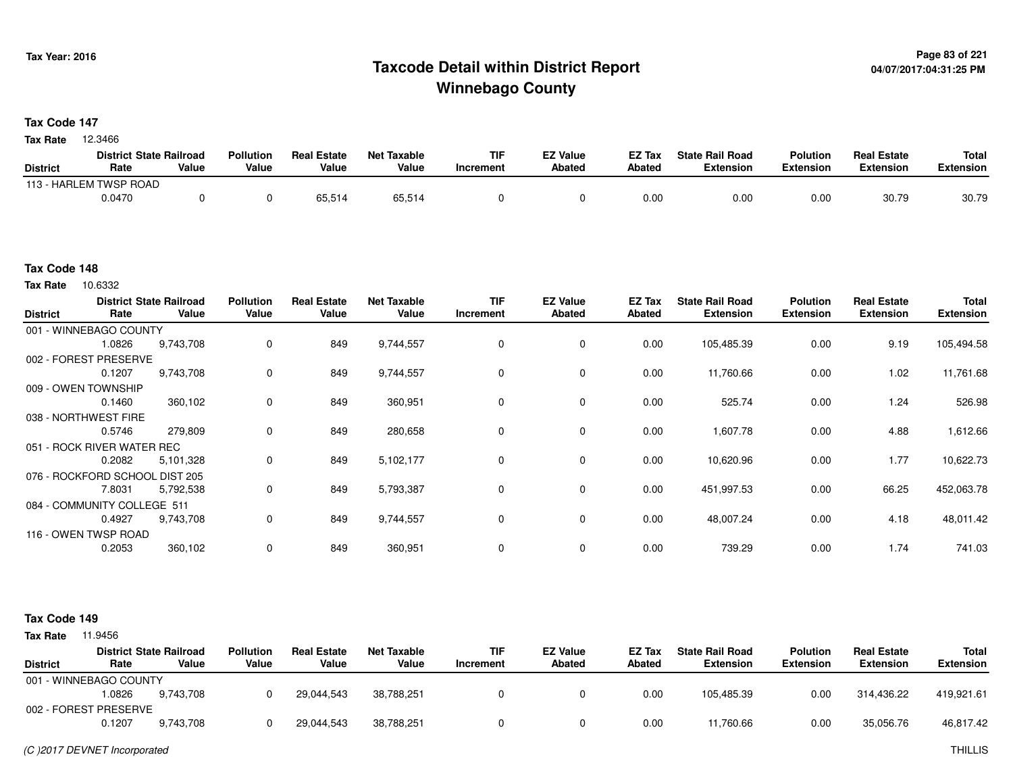## **Page 83 of 221 Taxcode Detail within District ReportWinnebago County**

#### **Tax Code 147**

**Tax Rate** 12.3466

|                 | <b>District State Railroad</b> |       | <b>Pollution</b> | <b>Real Estate</b> | Net Taxable | <b>TIF</b> | <b>EZ Value</b> | <b>EZ Tax</b> | <b>State Rail Road</b> | <b>Polution</b>  | <b>Real Estate</b> | <b>Total</b> |
|-----------------|--------------------------------|-------|------------------|--------------------|-------------|------------|-----------------|---------------|------------------------|------------------|--------------------|--------------|
| <b>District</b> | Rate                           | Value | Value            | Value              | Value       | Increment  | <b>Abated</b>   | Abated        | <b>Extension</b>       | <b>Extension</b> | <b>Extension</b>   | Extension    |
|                 | 113 - HARLEM TWSP ROAD         |       |                  |                    |             |            |                 |               |                        |                  |                    |              |
|                 | 0.0470                         |       |                  | 65.514             | 65,514      |            |                 | 0.00          | 0.00                   | 0.00             | 30.79              | 30.79        |

#### **Tax Code 148**

Tax Rate 10.6332

| <b>District</b> | Rate                           | <b>District State Railroad</b><br>Value | <b>Pollution</b><br>Value | <b>Real Estate</b><br>Value | <b>Net Taxable</b><br>Value | <b>TIF</b><br>Increment | <b>EZ Value</b><br><b>Abated</b> | EZ Tax<br><b>Abated</b> | <b>State Rail Road</b><br><b>Extension</b> | <b>Polution</b><br><b>Extension</b> | <b>Real Estate</b><br><b>Extension</b> | <b>Total</b><br><b>Extension</b> |
|-----------------|--------------------------------|-----------------------------------------|---------------------------|-----------------------------|-----------------------------|-------------------------|----------------------------------|-------------------------|--------------------------------------------|-------------------------------------|----------------------------------------|----------------------------------|
|                 | 001 - WINNEBAGO COUNTY         |                                         |                           |                             |                             |                         |                                  |                         |                                            |                                     |                                        |                                  |
|                 | 1.0826                         | 9,743,708                               | 0                         | 849                         | 9,744,557                   | $\Omega$                | $\mathbf 0$                      | 0.00                    | 105,485.39                                 | 0.00                                | 9.19                                   | 105,494.58                       |
|                 | 002 - FOREST PRESERVE          |                                         |                           |                             |                             |                         |                                  |                         |                                            |                                     |                                        |                                  |
|                 | 0.1207                         | 9,743,708                               | 0                         | 849                         | 9,744,557                   | 0                       | 0                                | 0.00                    | 11,760.66                                  | 0.00                                | 1.02                                   | 11,761.68                        |
|                 | 009 - OWEN TOWNSHIP            |                                         |                           |                             |                             |                         |                                  |                         |                                            |                                     |                                        |                                  |
|                 | 0.1460                         | 360,102                                 | 0                         | 849                         | 360,951                     |                         | 0                                | 0.00                    | 525.74                                     | 0.00                                | 1.24                                   | 526.98                           |
|                 | 038 - NORTHWEST FIRE           |                                         |                           |                             |                             |                         |                                  |                         |                                            |                                     |                                        |                                  |
|                 | 0.5746                         | 279,809                                 | 0                         | 849                         | 280,658                     | $\Omega$                | $\mathbf 0$                      | 0.00                    | 1,607.78                                   | 0.00                                | 4.88                                   | 1,612.66                         |
|                 | 051 - ROCK RIVER WATER REC     |                                         |                           |                             |                             |                         |                                  |                         |                                            |                                     |                                        |                                  |
|                 | 0.2082                         | 5,101,328                               | 0                         | 849                         | 5,102,177                   | 0                       | $\mathbf 0$                      | 0.00                    | 10,620.96                                  | 0.00                                | 1.77                                   | 10,622.73                        |
|                 | 076 - ROCKFORD SCHOOL DIST 205 |                                         |                           |                             |                             |                         |                                  |                         |                                            |                                     |                                        |                                  |
|                 | 7.8031                         | 5,792,538                               | 0                         | 849                         | 5,793,387                   | 0                       | 0                                | 0.00                    | 451,997.53                                 | 0.00                                | 66.25                                  | 452,063.78                       |
|                 | 084 - COMMUNITY COLLEGE 511    |                                         |                           |                             |                             |                         |                                  |                         |                                            |                                     |                                        |                                  |
|                 | 0.4927                         | 9,743,708                               | 0                         | 849                         | 9,744,557                   | 0                       | $\mathbf 0$                      | 0.00                    | 48,007.24                                  | 0.00                                | 4.18                                   | 48,011.42                        |
|                 | 116 - OWEN TWSP ROAD           |                                         |                           |                             |                             |                         |                                  |                         |                                            |                                     |                                        |                                  |
|                 | 0.2053                         | 360,102                                 | $\mathbf 0$               | 849                         | 360,951                     |                         | $\mathbf 0$                      | 0.00                    | 739.29                                     | 0.00                                | 1.74                                   | 741.03                           |

#### **Tax Code 149**

|                        |        | <b>District State Railroad</b> | <b>Pollution</b> | <b>Real Estate</b> | <b>Net Taxable</b> | TIF       | <b>EZ Value</b> | EZ Tax | <b>State Rail Road</b> | <b>Polution</b>  | <b>Real Estate</b> | Total      |
|------------------------|--------|--------------------------------|------------------|--------------------|--------------------|-----------|-----------------|--------|------------------------|------------------|--------------------|------------|
| <b>District</b>        | Rate   | Value                          | Value            | Value              | Value              | Increment | Abated          | Abated | <b>Extension</b>       | <b>Extension</b> | <b>Extension</b>   | Extension  |
| 001 - WINNEBAGO COUNTY |        |                                |                  |                    |                    |           |                 |        |                        |                  |                    |            |
|                        | .0826  | 9.743.708                      |                  | 29.044.543         | 38.788.251         |           |                 | 0.00   | 105.485.39             | 0.00             | 314.436.22         | 419.921.61 |
| 002 - FOREST PRESERVE  |        |                                |                  |                    |                    |           |                 |        |                        |                  |                    |            |
|                        | 0.1207 | 9.743.708                      |                  | 29,044,543         | 38,788,251         |           |                 | 0.00   | 11,760.66              | 0.00             | 35.056.76          | 46,817.42  |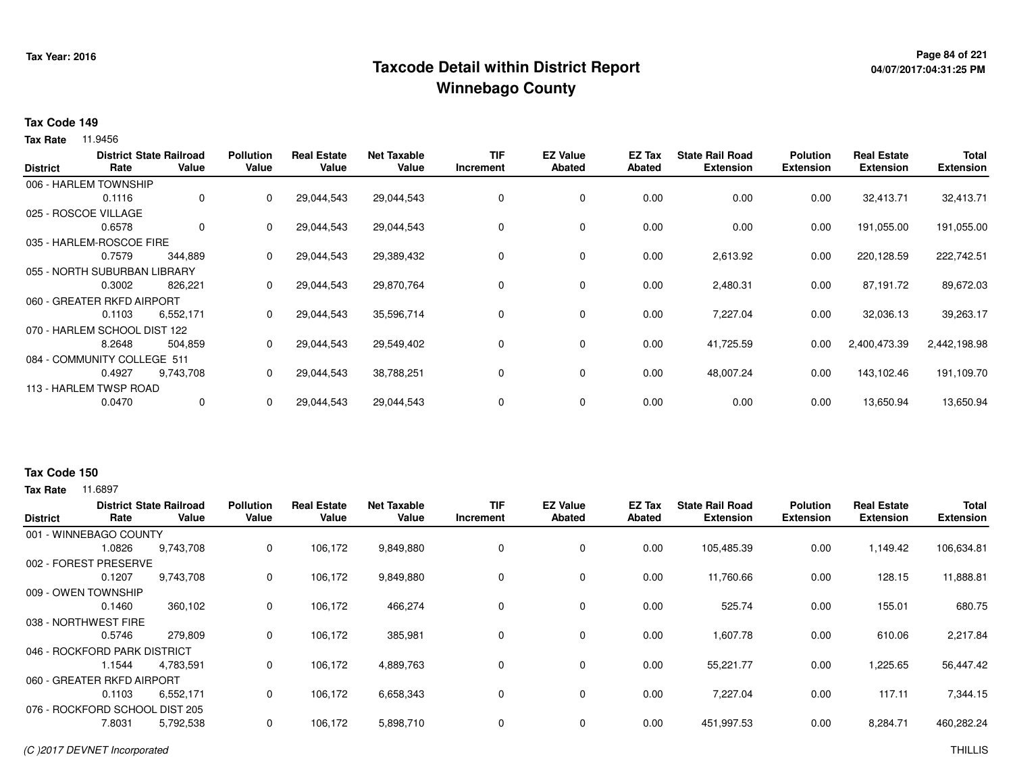## **Page 84 of 221 Taxcode Detail within District ReportWinnebago County**

# **04/07/2017:04:31:25 PM**

#### **Tax Code 149**

**Tax Rate** 11.9456

|        |              | <b>Pollution</b>                                                                                                                                                                                                                                                            | <b>Real Estate</b> | <b>Net Taxable</b> | <b>TIF</b> | <b>EZ Value</b> | EZ Tax        | <b>State Rail Road</b> | <b>Polution</b>  | <b>Real Estate</b> | <b>Total</b>     |
|--------|--------------|-----------------------------------------------------------------------------------------------------------------------------------------------------------------------------------------------------------------------------------------------------------------------------|--------------------|--------------------|------------|-----------------|---------------|------------------------|------------------|--------------------|------------------|
|        |              |                                                                                                                                                                                                                                                                             |                    |                    |            |                 |               |                        |                  |                    | <b>Extension</b> |
|        |              |                                                                                                                                                                                                                                                                             |                    |                    |            |                 |               |                        |                  |                    |                  |
| 0.1116 | $\mathbf{0}$ | 0                                                                                                                                                                                                                                                                           | 29,044,543         | 29,044,543         | 0          | 0               | 0.00          | 0.00                   | 0.00             | 32,413.71          | 32,413.71        |
|        |              |                                                                                                                                                                                                                                                                             |                    |                    |            |                 |               |                        |                  |                    |                  |
| 0.6578 | 0            | 0                                                                                                                                                                                                                                                                           | 29,044,543         | 29,044,543         | 0          | 0               | 0.00          | 0.00                   | 0.00             | 191,055.00         | 191,055.00       |
|        |              |                                                                                                                                                                                                                                                                             |                    |                    |            |                 |               |                        |                  |                    |                  |
| 0.7579 | 344,889      | 0                                                                                                                                                                                                                                                                           | 29,044,543         | 29,389,432         | 0          | 0               | 0.00          | 2,613.92               | 0.00             | 220,128.59         | 222,742.51       |
|        |              |                                                                                                                                                                                                                                                                             |                    |                    |            |                 |               |                        |                  |                    |                  |
| 0.3002 | 826.221      | 0                                                                                                                                                                                                                                                                           | 29,044,543         | 29,870,764         | 0          | 0               | 0.00          | 2,480.31               | 0.00             | 87,191.72          | 89,672.03        |
|        |              |                                                                                                                                                                                                                                                                             |                    |                    |            |                 |               |                        |                  |                    |                  |
| 0.1103 | 6,552,171    | 0                                                                                                                                                                                                                                                                           | 29,044,543         | 35,596,714         | 0          | $\mathbf 0$     | 0.00          | 7,227.04               | 0.00             | 32,036.13          | 39,263.17        |
|        |              |                                                                                                                                                                                                                                                                             |                    |                    |            |                 |               |                        |                  |                    |                  |
| 8.2648 | 504,859      | 0                                                                                                                                                                                                                                                                           | 29,044,543         | 29,549,402         | 0          | 0               | 0.00          | 41,725.59              | 0.00             | 2,400,473.39       | 2,442,198.98     |
|        |              |                                                                                                                                                                                                                                                                             |                    |                    |            |                 |               |                        |                  |                    |                  |
| 0.4927 | 9,743,708    | 0                                                                                                                                                                                                                                                                           | 29,044,543         | 38,788,251         | 0          | 0               | 0.00          | 48,007.24              | 0.00             | 143,102.46         | 191,109.70       |
|        |              |                                                                                                                                                                                                                                                                             |                    |                    |            |                 |               |                        |                  |                    |                  |
| 0.0470 | 0            | 0                                                                                                                                                                                                                                                                           | 29,044,543         | 29,044,543         | 0          | 0               | 0.00          | 0.00                   | 0.00             | 13,650.94          | 13,650.94        |
|        | Rate         | <b>District State Railroad</b><br>Value<br>006 - HARLEM TOWNSHIP<br>025 - ROSCOE VILLAGE<br>035 - HARLEM-ROSCOE FIRE<br>055 - NORTH SUBURBAN LIBRARY<br>060 - GREATER RKFD AIRPORT<br>070 - HARLEM SCHOOL DIST 122<br>084 - COMMUNITY COLLEGE 511<br>113 - HARLEM TWSP ROAD | Value              | Value              | Value      | Increment       | <b>Abated</b> | <b>Abated</b>          | <b>Extension</b> | <b>Extension</b>   | <b>Extension</b> |

#### **Tax Code 150**

| <b>District</b> | Rate                           | <b>District State Railroad</b><br>Value | <b>Pollution</b><br>Value | <b>Real Estate</b><br>Value | <b>Net Taxable</b><br>Value | <b>TIF</b><br>Increment | <b>EZ Value</b><br><b>Abated</b> | <b>EZ Tax</b><br>Abated | <b>State Rail Road</b><br><b>Extension</b> | <b>Polution</b><br><b>Extension</b> | <b>Real Estate</b><br><b>Extension</b> | <b>Total</b><br><b>Extension</b> |
|-----------------|--------------------------------|-----------------------------------------|---------------------------|-----------------------------|-----------------------------|-------------------------|----------------------------------|-------------------------|--------------------------------------------|-------------------------------------|----------------------------------------|----------------------------------|
|                 | 001 - WINNEBAGO COUNTY         |                                         |                           |                             |                             |                         |                                  |                         |                                            |                                     |                                        |                                  |
|                 | 1.0826                         | 9,743,708                               | 0                         | 106,172                     | 9,849,880                   | 0                       | 0                                | 0.00                    | 105,485.39                                 | 0.00                                | 1,149.42                               | 106,634.81                       |
| 002 - FOREST    | <b>PRESERVE</b>                |                                         |                           |                             |                             |                         |                                  |                         |                                            |                                     |                                        |                                  |
|                 | 0.1207                         | 9,743,708                               | 0                         | 106,172                     | 9,849,880                   | 0                       | 0                                | 0.00                    | 11,760.66                                  | 0.00                                | 128.15                                 | 11,888.81                        |
|                 | 009 - OWEN TOWNSHIP            |                                         |                           |                             |                             |                         |                                  |                         |                                            |                                     |                                        |                                  |
|                 | 0.1460                         | 360,102                                 | 0                         | 106,172                     | 466,274                     | 0                       | 0                                | 0.00                    | 525.74                                     | 0.00                                | 155.01                                 | 680.75                           |
|                 | 038 - NORTHWEST FIRE           |                                         |                           |                             |                             |                         |                                  |                         |                                            |                                     |                                        |                                  |
|                 | 0.5746                         | 279,809                                 | 0                         | 106,172                     | 385,981                     | 0                       | 0                                | 0.00                    | 1,607.78                                   | 0.00                                | 610.06                                 | 2,217.84                         |
|                 | 046 - ROCKFORD PARK DISTRICT   |                                         |                           |                             |                             |                         |                                  |                         |                                            |                                     |                                        |                                  |
|                 | 1.1544                         | 4,783,591                               | 0                         | 106,172                     | 4,889,763                   | 0                       | 0                                | 0.00                    | 55,221.77                                  | 0.00                                | 1,225.65                               | 56,447.42                        |
|                 | 060 - GREATER RKFD AIRPORT     |                                         |                           |                             |                             |                         |                                  |                         |                                            |                                     |                                        |                                  |
|                 | 0.1103                         | 6,552,171                               | 0                         | 106,172                     | 6,658,343                   | 0                       | 0                                | 0.00                    | 7,227.04                                   | 0.00                                | 117.11                                 | 7,344.15                         |
|                 | 076 - ROCKFORD SCHOOL DIST 205 |                                         |                           |                             |                             |                         |                                  |                         |                                            |                                     |                                        |                                  |
|                 | 7.8031                         | 5,792,538                               | 0                         | 106,172                     | 5,898,710                   | 0                       | 0                                | 0.00                    | 451,997.53                                 | 0.00                                | 8,284.71                               | 460,282.24                       |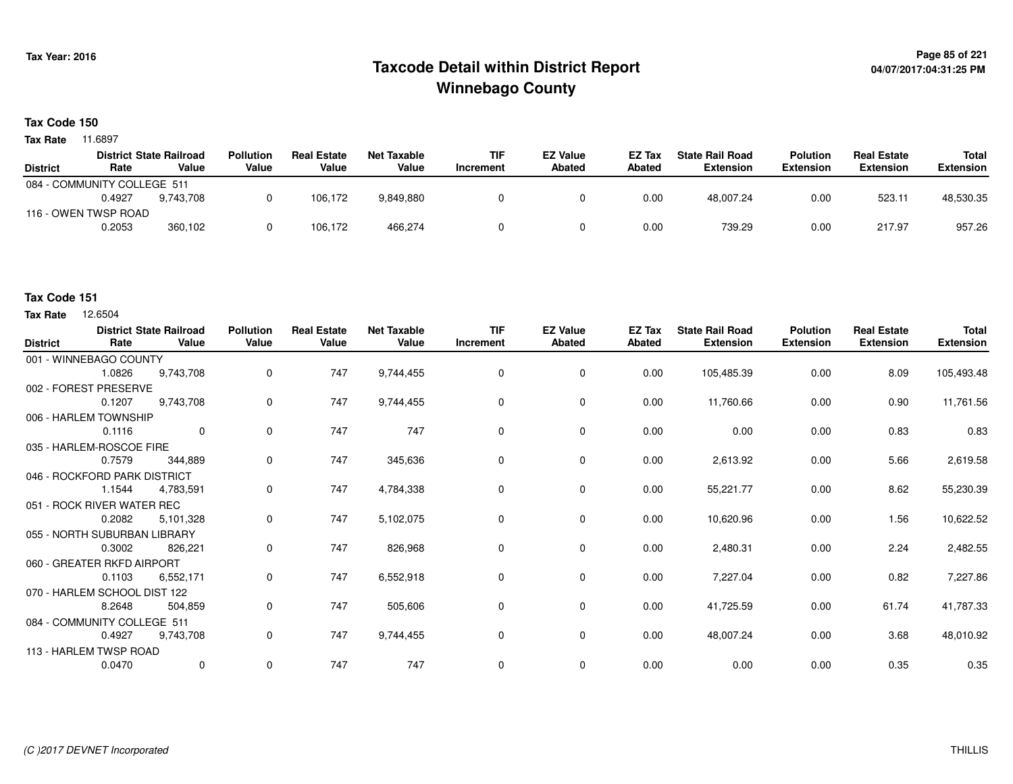## **Page 85 of 221 Taxcode Detail within District ReportWinnebago County**

**Tax Code 150**

**Tax Rate** 11.6897

|                             |        | <b>District State Railroad</b> | <b>Pollution</b> | <b>Real Estate</b> | Net Taxable | <b>TIF</b> | <b>EZ Value</b> | <b>EZ Tax</b> | <b>State Rail Road</b> | <b>Polution</b>  | <b>Real Estate</b> | Total            |
|-----------------------------|--------|--------------------------------|------------------|--------------------|-------------|------------|-----------------|---------------|------------------------|------------------|--------------------|------------------|
| <b>District</b>             | Rate   | Value                          | Value            | Value              | Value       | Increment  | Abated          | Abated        | <b>Extension</b>       | <b>Extension</b> | <b>Extension</b>   | <b>Extension</b> |
| 084 - COMMUNITY COLLEGE 511 |        |                                |                  |                    |             |            |                 |               |                        |                  |                    |                  |
|                             | 0.4927 | 9.743.708                      |                  | 106.172            | 9,849,880   |            |                 | 0.00          | 48,007.24              | 0.00             | 523.11             | 48,530.35        |
| 116 - OWEN TWSP ROAD        |        |                                |                  |                    |             |            |                 |               |                        |                  |                    |                  |
|                             | 0.2053 | 360,102                        |                  | 106.172            | 466,274     |            |                 | 0.00          | 739.29                 | 0.00             | 217.97             | 957.26           |

### **Tax Code 151**

| <b>District</b> | Rate                         | <b>District State Railroad</b><br>Value | <b>Pollution</b><br>Value | <b>Real Estate</b><br>Value | <b>Net Taxable</b><br>Value | <b>TIF</b><br><b>Increment</b> | <b>EZ Value</b><br>Abated | <b>EZ Tax</b><br>Abated | <b>State Rail Road</b><br><b>Extension</b> | <b>Polution</b><br><b>Extension</b> | <b>Real Estate</b><br><b>Extension</b> | <b>Total</b><br><b>Extension</b> |
|-----------------|------------------------------|-----------------------------------------|---------------------------|-----------------------------|-----------------------------|--------------------------------|---------------------------|-------------------------|--------------------------------------------|-------------------------------------|----------------------------------------|----------------------------------|
|                 | 001 - WINNEBAGO COUNTY       |                                         |                           |                             |                             |                                |                           |                         |                                            |                                     |                                        |                                  |
|                 | 1.0826                       | 9,743,708                               | 0                         | 747                         | 9,744,455                   | 0                              | 0                         | 0.00                    | 105,485.39                                 | 0.00                                | 8.09                                   | 105,493.48                       |
|                 | 002 - FOREST PRESERVE        |                                         |                           |                             |                             |                                |                           |                         |                                            |                                     |                                        |                                  |
|                 | 0.1207                       | 9,743,708                               | 0                         | 747                         | 9,744,455                   | 0                              | 0                         | 0.00                    | 11,760.66                                  | 0.00                                | 0.90                                   | 11,761.56                        |
|                 | 006 - HARLEM TOWNSHIP        |                                         |                           |                             |                             |                                |                           |                         |                                            |                                     |                                        |                                  |
|                 | 0.1116                       | $\mathbf 0$                             | 0                         | 747                         | 747                         | $\mathbf 0$                    | $\mathbf 0$               | 0.00                    | 0.00                                       | 0.00                                | 0.83                                   | 0.83                             |
|                 | 035 - HARLEM-ROSCOE FIRE     |                                         |                           |                             |                             |                                |                           |                         |                                            |                                     |                                        |                                  |
|                 | 0.7579                       | 344,889                                 | 0                         | 747                         | 345,636                     | $\Omega$                       | $\mathbf 0$               | 0.00                    | 2,613.92                                   | 0.00                                | 5.66                                   | 2,619.58                         |
|                 | 046 - ROCKFORD PARK DISTRICT |                                         |                           |                             |                             |                                |                           |                         |                                            |                                     |                                        |                                  |
|                 | 1.1544                       | 4,783,591                               | 0                         | 747                         | 4,784,338                   | 0                              | 0                         | 0.00                    | 55,221.77                                  | 0.00                                | 8.62                                   | 55,230.39                        |
|                 | 051 - ROCK RIVER WATER REC   |                                         |                           |                             |                             |                                |                           |                         |                                            |                                     |                                        |                                  |
|                 | 0.2082                       | 5,101,328                               | 0                         | 747                         | 5,102,075                   | 0                              | 0                         | 0.00                    | 10,620.96                                  | 0.00                                | 1.56                                   | 10,622.52                        |
|                 | 055 - NORTH SUBURBAN LIBRARY |                                         |                           |                             |                             |                                |                           |                         |                                            |                                     |                                        |                                  |
|                 | 0.3002                       | 826,221                                 | 0                         | 747                         | 826,968                     | 0                              | 0                         | 0.00                    | 2,480.31                                   | 0.00                                | 2.24                                   | 2,482.55                         |
|                 | 060 - GREATER RKFD AIRPORT   |                                         |                           |                             |                             |                                |                           |                         |                                            |                                     |                                        |                                  |
|                 | 0.1103                       | 6,552,171                               | $\mathbf 0$               | 747                         | 6,552,918                   | 0                              | $\mathbf 0$               | 0.00                    | 7,227.04                                   | 0.00                                | 0.82                                   | 7,227.86                         |
|                 | 070 - HARLEM SCHOOL DIST 122 |                                         |                           |                             |                             |                                |                           |                         |                                            |                                     |                                        |                                  |
|                 | 8.2648                       | 504,859                                 | 0                         | 747                         | 505,606                     | $\mathbf 0$                    | $\mathbf 0$               | 0.00                    | 41,725.59                                  | 0.00                                | 61.74                                  | 41,787.33                        |
|                 | 084 - COMMUNITY COLLEGE 511  |                                         |                           |                             |                             |                                |                           |                         |                                            |                                     |                                        |                                  |
|                 | 0.4927                       | 9,743,708                               | 0                         | 747                         | 9,744,455                   | 0                              | 0                         | 0.00                    | 48,007.24                                  | 0.00                                | 3.68                                   | 48,010.92                        |
|                 | 113 - HARLEM TWSP ROAD       |                                         |                           |                             |                             |                                |                           |                         |                                            |                                     |                                        |                                  |
|                 | 0.0470                       | $\mathbf 0$                             | 0                         | 747                         | 747                         | $\mathbf 0$                    | 0                         | 0.00                    | 0.00                                       | 0.00                                | 0.35                                   | 0.35                             |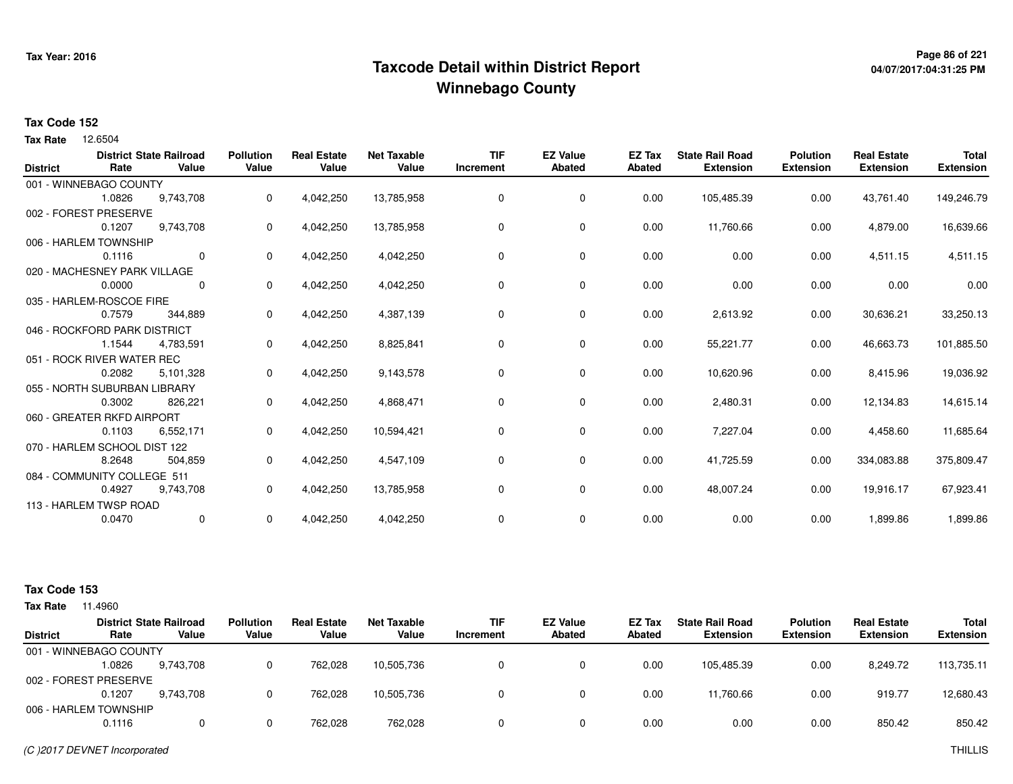## **Page 86 of 221 Taxcode Detail within District ReportWinnebago County**

# **04/07/2017:04:31:25 PM**

#### **Tax Code 152**

12.6504 **Tax Rate**

|                 |                              | <b>District State Railroad</b> | <b>Pollution</b> | <b>Real Estate</b> | <b>Net Taxable</b> | <b>TIF</b> | <b>EZ Value</b> | EZ Tax        | <b>State Rail Road</b> | <b>Polution</b>  | <b>Real Estate</b> | <b>Total</b>     |
|-----------------|------------------------------|--------------------------------|------------------|--------------------|--------------------|------------|-----------------|---------------|------------------------|------------------|--------------------|------------------|
| <b>District</b> | Rate                         | Value                          | Value            | Value              | Value              | Increment  | <b>Abated</b>   | <b>Abated</b> | <b>Extension</b>       | <b>Extension</b> | <b>Extension</b>   | <b>Extension</b> |
|                 | 001 - WINNEBAGO COUNTY       |                                |                  |                    |                    |            |                 |               |                        |                  |                    |                  |
|                 | 1.0826                       | 9,743,708                      | 0                | 4,042,250          | 13,785,958         | 0          | 0               | 0.00          | 105,485.39             | 0.00             | 43,761.40          | 149,246.79       |
|                 | 002 - FOREST PRESERVE        |                                |                  |                    |                    |            |                 |               |                        |                  |                    |                  |
|                 | 0.1207                       | 9,743,708                      | 0                | 4,042,250          | 13,785,958         | 0          | 0               | 0.00          | 11,760.66              | 0.00             | 4,879.00           | 16,639.66        |
|                 | 006 - HARLEM TOWNSHIP        |                                |                  |                    |                    |            |                 |               |                        |                  |                    |                  |
|                 | 0.1116                       | $\mathbf 0$                    | 0                | 4,042,250          | 4,042,250          | 0          | 0               | 0.00          | 0.00                   | 0.00             | 4,511.15           | 4,511.15         |
|                 | 020 - MACHESNEY PARK VILLAGE |                                |                  |                    |                    |            |                 |               |                        |                  |                    |                  |
|                 | 0.0000                       | $\Omega$                       | 0                | 4,042,250          | 4,042,250          | $\Omega$   | 0               | 0.00          | 0.00                   | 0.00             | 0.00               | 0.00             |
|                 | 035 - HARLEM-ROSCOE FIRE     |                                |                  |                    |                    |            |                 |               |                        |                  |                    |                  |
|                 | 0.7579                       | 344,889                        | 0                | 4,042,250          | 4,387,139          | $\Omega$   | 0               | 0.00          | 2,613.92               | 0.00             | 30,636.21          | 33,250.13        |
|                 | 046 - ROCKFORD PARK DISTRICT |                                |                  |                    |                    |            |                 |               |                        |                  |                    |                  |
|                 | 1.1544                       | 4,783,591                      | 0                | 4,042,250          | 8,825,841          | 0          | 0               | 0.00          | 55,221.77              | 0.00             | 46,663.73          | 101,885.50       |
|                 | 051 - ROCK RIVER WATER REC   |                                |                  |                    |                    |            |                 |               |                        |                  |                    |                  |
|                 | 0.2082                       | 5,101,328                      | 0                | 4,042,250          | 9,143,578          | 0          | 0               | 0.00          | 10,620.96              | 0.00             | 8,415.96           | 19,036.92        |
|                 | 055 - NORTH SUBURBAN LIBRARY |                                |                  |                    |                    |            |                 |               |                        |                  |                    |                  |
|                 | 0.3002                       | 826,221                        | 0                | 4,042,250          | 4,868,471          | 0          | 0               | 0.00          | 2,480.31               | 0.00             | 12,134.83          | 14,615.14        |
|                 | 060 - GREATER RKFD AIRPORT   |                                |                  |                    |                    |            |                 |               |                        |                  |                    |                  |
|                 | 0.1103                       | 6,552,171                      | 0                | 4,042,250          | 10,594,421         | 0          | 0               | 0.00          | 7,227.04               | 0.00             | 4,458.60           | 11,685.64        |
|                 | 070 - HARLEM SCHOOL DIST 122 |                                |                  |                    |                    |            |                 |               |                        |                  |                    |                  |
|                 | 8.2648                       | 504,859                        | 0                | 4,042,250          | 4,547,109          | 0          | 0               | 0.00          | 41,725.59              | 0.00             | 334,083.88         | 375,809.47       |
|                 | 084 - COMMUNITY COLLEGE 511  |                                |                  |                    |                    |            |                 |               |                        |                  |                    |                  |
|                 | 0.4927                       | 9,743,708                      | 0                | 4,042,250          | 13,785,958         | 0          | 0               | 0.00          | 48,007.24              | 0.00             | 19,916.17          | 67,923.41        |
|                 | 113 - HARLEM TWSP ROAD       |                                |                  |                    |                    |            |                 |               |                        |                  |                    |                  |
|                 | 0.0470                       | 0                              | 0                | 4,042,250          | 4,042,250          | 0          | 0               | 0.00          | 0.00                   | 0.00             | 1,899.86           | 1,899.86         |
|                 |                              |                                |                  |                    |                    |            |                 |               |                        |                  |                    |                  |

#### **Tax Code 153**

| <b>Tax Rate</b> | 1.4960                 |                                         |                           |                             |                      |                         |                                  |                  |                                            |                                     |                                        |                                  |
|-----------------|------------------------|-----------------------------------------|---------------------------|-----------------------------|----------------------|-------------------------|----------------------------------|------------------|--------------------------------------------|-------------------------------------|----------------------------------------|----------------------------------|
| <b>District</b> | Rate                   | <b>District State Railroad</b><br>Value | <b>Pollution</b><br>Value | <b>Real Estate</b><br>Value | Net Taxable<br>Value | <b>TIF</b><br>Increment | <b>EZ Value</b><br><b>Abated</b> | EZ Tax<br>Abated | <b>State Rail Road</b><br><b>Extension</b> | <b>Polution</b><br><b>Extension</b> | <b>Real Estate</b><br><b>Extension</b> | <b>Total</b><br><b>Extension</b> |
|                 | 001 - WINNEBAGO COUNTY |                                         |                           |                             |                      |                         |                                  |                  |                                            |                                     |                                        |                                  |
|                 | 1.0826                 | 9.743.708                               |                           | 762.028                     | 10,505,736           | 0                       |                                  | 0.00             | 105.485.39                                 | 0.00                                | 8,249.72                               | 113,735.11                       |
|                 | 002 - FOREST PRESERVE  |                                         |                           |                             |                      |                         |                                  |                  |                                            |                                     |                                        |                                  |
|                 | 0.1207                 | 9.743.708                               |                           | 762.028                     | 10,505,736           | $\Omega$                |                                  | 0.00             | 11.760.66                                  | 0.00                                | 919.77                                 | 12,680.43                        |
|                 | 006 - HARLEM TOWNSHIP  |                                         |                           |                             |                      |                         |                                  |                  |                                            |                                     |                                        |                                  |
|                 | 0.1116                 |                                         |                           | 762.028                     | 762,028              | 0                       |                                  | 0.00             | 0.00                                       | 0.00                                | 850.42                                 | 850.42                           |
|                 |                        |                                         |                           |                             |                      |                         |                                  |                  |                                            |                                     |                                        |                                  |

(C )2017 DEVNET Incorporated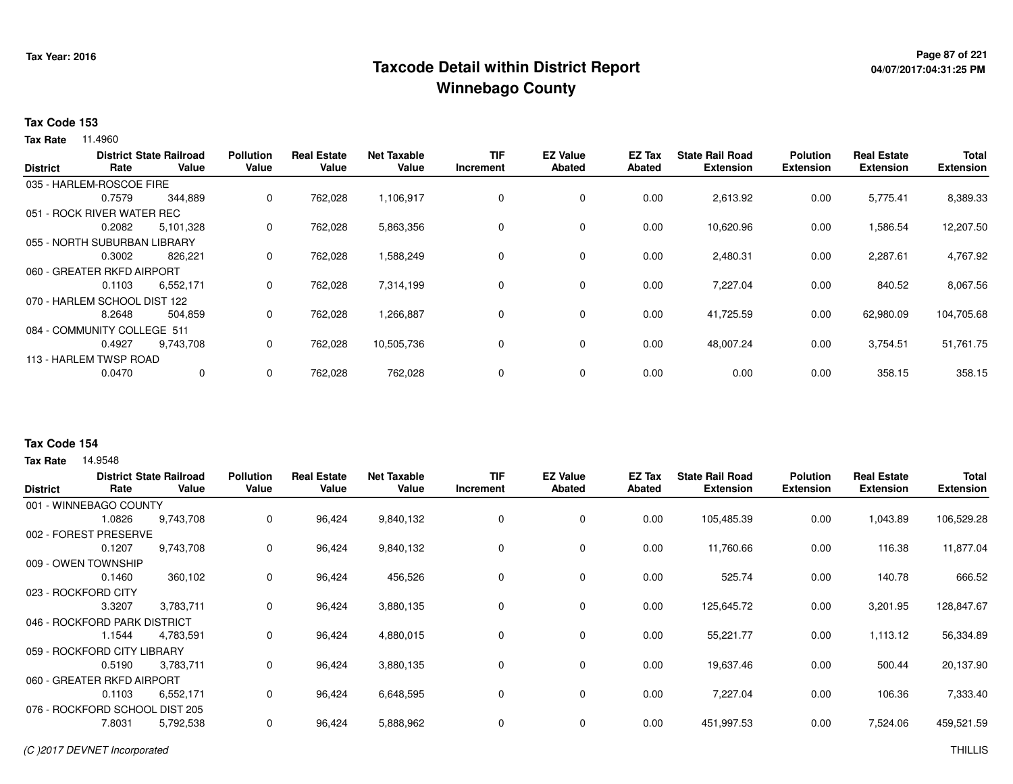## <sup>Page 87</sup> of <sup>221</sup> Page 87 of 221<br>Taxcode Detail within District Report های این موجع به موجع این موجع این موجع این موجع این موجع این موجع این موج **Winnebago County**

# **04/07/2017:04:31:25 PM**

#### **Tax Code 153**

**Tax Rate** 11.4960

|                 |                              | <b>District State Railroad</b> | <b>Pollution</b> | <b>Real Estate</b> | <b>Net Taxable</b> | <b>TIF</b> | <b>EZ Value</b> | <b>EZ Tax</b> | <b>State Rail Road</b> | <b>Polution</b>  | <b>Real Estate</b> | Total            |
|-----------------|------------------------------|--------------------------------|------------------|--------------------|--------------------|------------|-----------------|---------------|------------------------|------------------|--------------------|------------------|
| <b>District</b> | Rate                         | Value                          | Value            | Value              | Value              | Increment  | <b>Abated</b>   | Abated        | <b>Extension</b>       | <b>Extension</b> | <b>Extension</b>   | <b>Extension</b> |
|                 | 035 - HARLEM-ROSCOE FIRE     |                                |                  |                    |                    |            |                 |               |                        |                  |                    |                  |
|                 | 0.7579                       | 344,889                        | $\Omega$         | 762,028            | 1,106,917          | 0          | $\mathbf 0$     | 0.00          | 2,613.92               | 0.00             | 5,775.41           | 8,389.33         |
|                 | 051 - ROCK RIVER WATER REC   |                                |                  |                    |                    |            |                 |               |                        |                  |                    |                  |
|                 | 0.2082                       | 5,101,328                      | 0                | 762,028            | 5,863,356          | 0          | $\mathbf 0$     | 0.00          | 10,620.96              | 0.00             | 1,586.54           | 12,207.50        |
|                 | 055 - NORTH SUBURBAN LIBRARY |                                |                  |                    |                    |            |                 |               |                        |                  |                    |                  |
|                 | 0.3002                       | 826,221                        | 0                | 762,028            | 1,588,249          | 0          | $\mathbf 0$     | 0.00          | 2,480.31               | 0.00             | 2,287.61           | 4,767.92         |
|                 | 060 - GREATER RKFD AIRPORT   |                                |                  |                    |                    |            |                 |               |                        |                  |                    |                  |
|                 | 0.1103                       | 6,552,171                      | 0                | 762,028            | 7,314,199          | 0          | $\mathbf 0$     | 0.00          | 7,227.04               | 0.00             | 840.52             | 8,067.56         |
|                 | 070 - HARLEM SCHOOL DIST 122 |                                |                  |                    |                    |            |                 |               |                        |                  |                    |                  |
|                 | 8.2648                       | 504,859                        | $\Omega$         | 762,028            | 1,266,887          | 0          | $\mathbf 0$     | 0.00          | 41,725.59              | 0.00             | 62,980.09          | 104,705.68       |
|                 | 084 - COMMUNITY COLLEGE 511  |                                |                  |                    |                    |            |                 |               |                        |                  |                    |                  |
|                 | 0.4927                       | 9,743,708                      | 0                | 762,028            | 10,505,736         | 0          | $\mathbf 0$     | 0.00          | 48,007.24              | 0.00             | 3,754.51           | 51,761.75        |
|                 | 113 - HARLEM TWSP ROAD       |                                |                  |                    |                    |            |                 |               |                        |                  |                    |                  |
|                 | 0.0470                       | 0                              | 0                | 762,028            | 762,028            | 0          | $\mathbf 0$     | 0.00          | 0.00                   | 0.00             | 358.15             | 358.15           |
|                 |                              |                                |                  |                    |                    |            |                 |               |                        |                  |                    |                  |

### **Tax Code 154**

| <b>District</b> | Rate                           | <b>District State Railroad</b><br>Value | <b>Pollution</b><br>Value | <b>Real Estate</b><br>Value | <b>Net Taxable</b><br>Value | <b>TIF</b><br>Increment | <b>EZ Value</b><br>Abated | EZ Tax<br>Abated | <b>State Rail Road</b><br><b>Extension</b> | <b>Polution</b><br><b>Extension</b> | <b>Real Estate</b><br><b>Extension</b> | <b>Total</b><br><b>Extension</b> |
|-----------------|--------------------------------|-----------------------------------------|---------------------------|-----------------------------|-----------------------------|-------------------------|---------------------------|------------------|--------------------------------------------|-------------------------------------|----------------------------------------|----------------------------------|
|                 | 001 - WINNEBAGO COUNTY         |                                         |                           |                             |                             |                         |                           |                  |                                            |                                     |                                        |                                  |
|                 | 1.0826                         | 9,743,708                               | 0                         | 96,424                      | 9,840,132                   | 0                       | 0                         | 0.00             | 105,485.39                                 | 0.00                                | 1,043.89                               | 106,529.28                       |
| 002 - FOREST    | <b>PRESERVE</b>                |                                         |                           |                             |                             |                         |                           |                  |                                            |                                     |                                        |                                  |
|                 | 0.1207                         | 9,743,708                               | 0                         | 96,424                      | 9,840,132                   | 0                       | 0                         | 0.00             | 11,760.66                                  | 0.00                                | 116.38                                 | 11,877.04                        |
|                 | 009 - OWEN TOWNSHIP            |                                         |                           |                             |                             |                         |                           |                  |                                            |                                     |                                        |                                  |
|                 | 0.1460                         | 360,102                                 | 0                         | 96,424                      | 456,526                     | 0                       | 0                         | 0.00             | 525.74                                     | 0.00                                | 140.78                                 | 666.52                           |
|                 | 023 - ROCKFORD CITY            |                                         |                           |                             |                             |                         |                           |                  |                                            |                                     |                                        |                                  |
|                 | 3.3207                         | 3,783,711                               | 0                         | 96,424                      | 3,880,135                   | 0                       | 0                         | 0.00             | 125,645.72                                 | 0.00                                | 3,201.95                               | 128,847.67                       |
|                 | 046 - ROCKFORD PARK DISTRICT   |                                         |                           |                             |                             |                         |                           |                  |                                            |                                     |                                        |                                  |
|                 | 1.1544                         | 4,783,591                               | 0                         | 96,424                      | 4,880,015                   | 0                       | 0                         | 0.00             | 55,221.77                                  | 0.00                                | 1,113.12                               | 56,334.89                        |
|                 | 059 - ROCKFORD CITY LIBRARY    |                                         |                           |                             |                             |                         |                           |                  |                                            |                                     |                                        |                                  |
|                 | 0.5190                         | 3,783,711                               | 0                         | 96,424                      | 3,880,135                   | 0                       | 0                         | 0.00             | 19,637.46                                  | 0.00                                | 500.44                                 | 20,137.90                        |
|                 | 060 - GREATER RKFD AIRPORT     |                                         |                           |                             |                             |                         |                           |                  |                                            |                                     |                                        |                                  |
|                 | 0.1103                         | 6,552,171                               | 0                         | 96,424                      | 6,648,595                   | 0                       | 0                         | 0.00             | 7,227.04                                   | 0.00                                | 106.36                                 | 7,333.40                         |
|                 | 076 - ROCKFORD SCHOOL DIST 205 |                                         |                           |                             |                             |                         |                           |                  |                                            |                                     |                                        |                                  |
|                 | 7.8031                         | 5,792,538                               | 0                         | 96,424                      | 5,888,962                   | 0                       | 0                         | 0.00             | 451,997.53                                 | 0.00                                | 7,524.06                               | 459,521.59                       |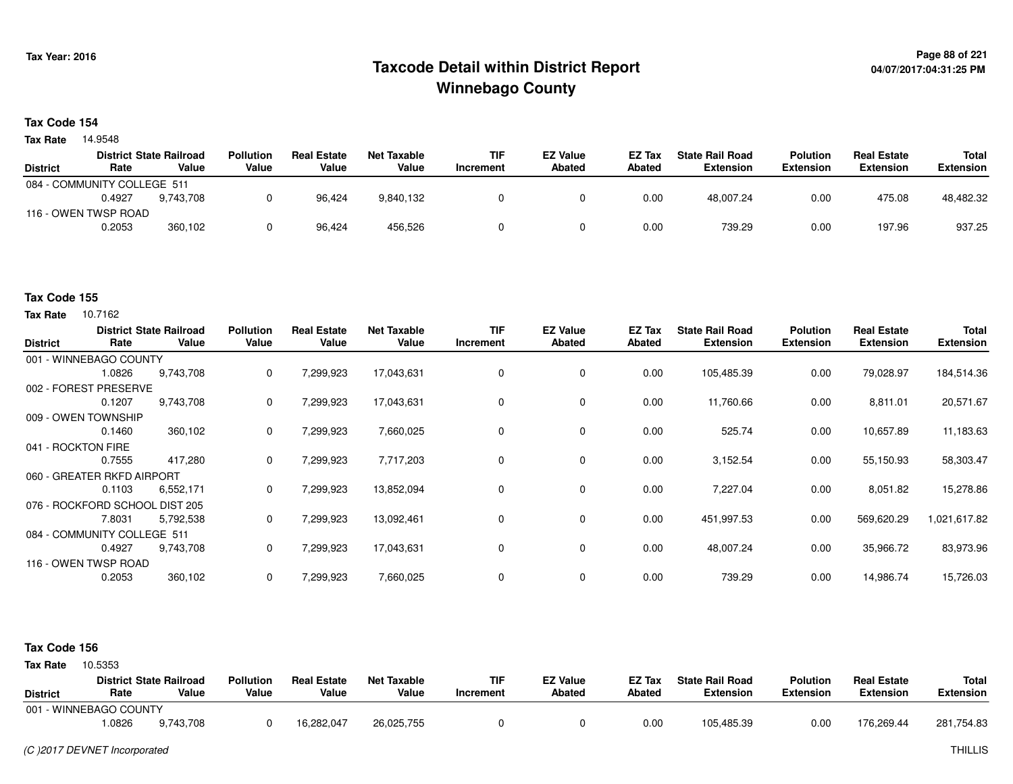### **Page 88 of 221 Taxcode Detail within District ReportWinnebago County**

# **04/07/2017:04:31:25 PM**

#### **Tax Code 154**

**Tax Rate** 14.9548

|                 |                             | <b>District State Railroad</b> | <b>Pollution</b> | <b>Real Estate</b> | Net Taxable | <b>TIF</b> | <b>EZ Value</b> | <b>EZ Tax</b> | <b>State Rail Road</b> | <b>Polution</b>  | <b>Real Estate</b> | Total            |
|-----------------|-----------------------------|--------------------------------|------------------|--------------------|-------------|------------|-----------------|---------------|------------------------|------------------|--------------------|------------------|
| <b>District</b> | Rate                        | Value                          | Value            | Value              | Value       | Increment  | <b>Abated</b>   | Abated        | Extension              | <b>Extension</b> | <b>Extension</b>   | <b>Extension</b> |
|                 | 084 - COMMUNITY COLLEGE 511 |                                |                  |                    |             |            |                 |               |                        |                  |                    |                  |
|                 | 0.4927                      | 9.743.708                      |                  | 96.424             | 9,840,132   |            |                 | 0.00          | 48.007.24              | 0.00             | 475.08             | 48,482.32        |
|                 | 116 - OWEN TWSP ROAD        |                                |                  |                    |             |            |                 |               |                        |                  |                    |                  |
|                 | 0.2053                      | 360,102                        |                  | 96,424             | 456,526     |            |                 | 0.00          | 739.29                 | 0.00             | 197.96             | 937.25           |

#### **Tax Code 155**

**Tax Rate** 10.7162

| <b>District</b>    | Rate                           | <b>District State Railroad</b><br>Value | <b>Pollution</b><br>Value | <b>Real Estate</b><br>Value | <b>Net Taxable</b><br>Value | <b>TIF</b><br>Increment | <b>EZ Value</b><br><b>Abated</b> | EZ Tax<br>Abated | <b>State Rail Road</b><br><b>Extension</b> | <b>Polution</b><br><b>Extension</b> | <b>Real Estate</b><br><b>Extension</b> | <b>Total</b><br><b>Extension</b> |
|--------------------|--------------------------------|-----------------------------------------|---------------------------|-----------------------------|-----------------------------|-------------------------|----------------------------------|------------------|--------------------------------------------|-------------------------------------|----------------------------------------|----------------------------------|
|                    | 001 - WINNEBAGO COUNTY         |                                         |                           |                             |                             |                         |                                  |                  |                                            |                                     |                                        |                                  |
|                    | 1.0826                         | 9,743,708                               | 0                         | 7,299,923                   | 17,043,631                  | 0                       | 0                                | 0.00             | 105,485.39                                 | 0.00                                | 79,028.97                              | 184,514.36                       |
|                    | 002 - FOREST PRESERVE          |                                         |                           |                             |                             |                         |                                  |                  |                                            |                                     |                                        |                                  |
|                    | 0.1207                         | 9,743,708                               | 0                         | 7,299,923                   | 17,043,631                  | 0                       | 0                                | 0.00             | 11,760.66                                  | 0.00                                | 8,811.01                               | 20,571.67                        |
|                    | 009 - OWEN TOWNSHIP            |                                         |                           |                             |                             |                         |                                  |                  |                                            |                                     |                                        |                                  |
|                    | 0.1460                         | 360,102                                 | 0                         | 7,299,923                   | 7,660,025                   | 0                       | 0                                | 0.00             | 525.74                                     | 0.00                                | 10,657.89                              | 11,183.63                        |
| 041 - ROCKTON FIRE |                                |                                         |                           |                             |                             |                         |                                  |                  |                                            |                                     |                                        |                                  |
|                    | 0.7555                         | 417,280                                 | 0                         | 7,299,923                   | 7,717,203                   | 0                       | 0                                | 0.00             | 3,152.54                                   | 0.00                                | 55,150.93                              | 58,303.47                        |
|                    | 060 - GREATER RKFD AIRPORT     |                                         |                           |                             |                             |                         |                                  |                  |                                            |                                     |                                        |                                  |
|                    | 0.1103                         | 6,552,171                               | 0                         | 7,299,923                   | 13,852,094                  | 0                       | 0                                | 0.00             | 7,227.04                                   | 0.00                                | 8,051.82                               | 15,278.86                        |
|                    | 076 - ROCKFORD SCHOOL DIST 205 |                                         |                           |                             |                             |                         |                                  |                  |                                            |                                     |                                        |                                  |
|                    | 7.8031                         | 5,792,538                               | 0                         | 7,299,923                   | 13,092,461                  | 0                       | 0                                | 0.00             | 451,997.53                                 | 0.00                                | 569,620.29                             | 1,021,617.82                     |
|                    | 084 - COMMUNITY COLLEGE 511    |                                         |                           |                             |                             |                         |                                  |                  |                                            |                                     |                                        |                                  |
|                    | 0.4927                         | 9,743,708                               | 0                         | 7,299,923                   | 17,043,631                  | 0                       | 0                                | 0.00             | 48,007.24                                  | 0.00                                | 35,966.72                              | 83,973.96                        |
|                    | 116 - OWEN TWSP ROAD           |                                         |                           |                             |                             |                         |                                  |                  |                                            |                                     |                                        |                                  |
|                    | 0.2053                         | 360,102                                 | 0                         | 7,299,923                   | 7,660,025                   | 0                       | 0                                | 0.00             | 739.29                                     | 0.00                                | 14,986.74                              | 15,726.03                        |

#### **Tax Code 156**

**State Railroad District ValueTIF IncrementEZ Value AbatedReal Estate ExtensionTotal ExtensionTax Rate** 10.5353 **DistrictPollution ValueReal Estate ValueNet Taxable Value Rate** 001 - WINNEBAGO COUNTY**Polution ExtensionState Rail Road ExtensionEZ Tax Abated**176,269.44 281,754.839,743,708 1.08269,743,708 <sup>0</sup> 16,282,047 26,025,755 <sup>0</sup> <sup>0</sup> 0.00 105,485.39 0.00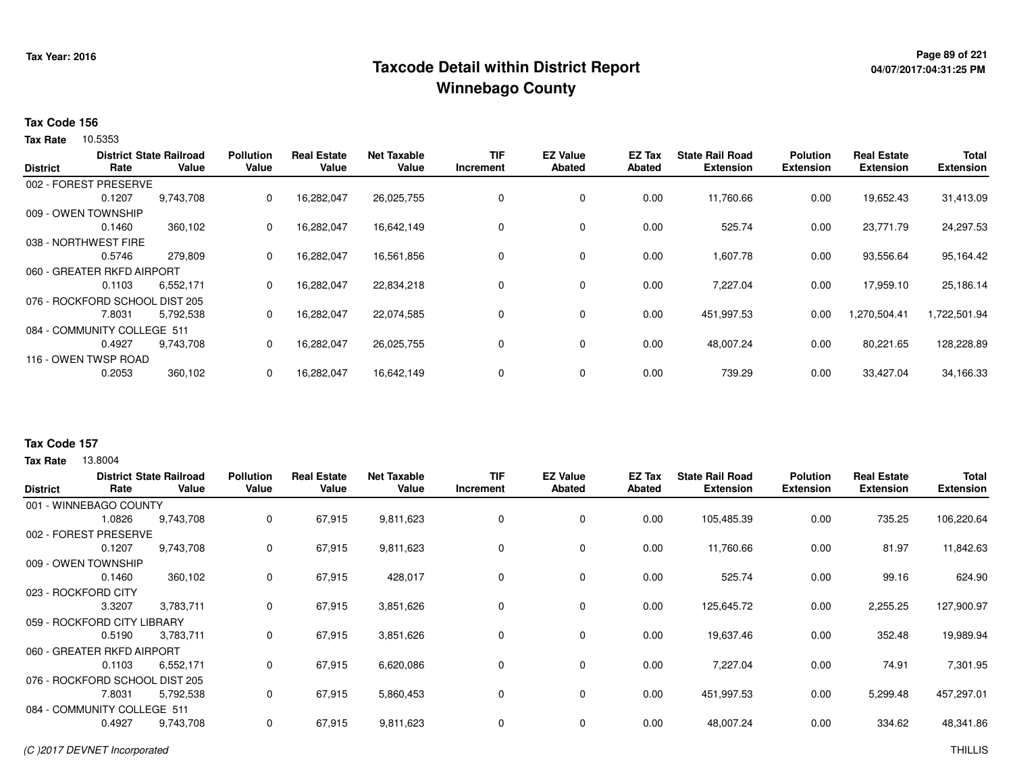## **Page 89 of 221 Taxcode Detail within District ReportWinnebago County**

# **04/07/2017:04:31:25 PM**

#### **Tax Code 156**

**Tax Rate** 10.5353

|                 |                                | <b>District State Railroad</b> | <b>Pollution</b> | <b>Real Estate</b> | <b>Net Taxable</b> | <b>TIF</b> | <b>EZ Value</b> | <b>EZ Tax</b> | <b>State Rail Road</b> | <b>Polution</b>  | <b>Real Estate</b> | Total            |
|-----------------|--------------------------------|--------------------------------|------------------|--------------------|--------------------|------------|-----------------|---------------|------------------------|------------------|--------------------|------------------|
| <b>District</b> | Rate                           | Value                          | Value            | Value              | Value              | Increment  | <b>Abated</b>   | Abated        | <b>Extension</b>       | <b>Extension</b> | <b>Extension</b>   | <b>Extension</b> |
|                 | 002 - FOREST PRESERVE          |                                |                  |                    |                    |            |                 |               |                        |                  |                    |                  |
|                 | 0.1207                         | 9,743,708                      | 0                | 16,282,047         | 26,025,755         | 0          | 0               | 0.00          | 11,760.66              | 0.00             | 19,652.43          | 31,413.09        |
|                 | 009 - OWEN TOWNSHIP            |                                |                  |                    |                    |            |                 |               |                        |                  |                    |                  |
|                 | 0.1460                         | 360,102                        | 0                | 16,282,047         | 16,642,149         | 0          | 0               | 0.00          | 525.74                 | 0.00             | 23,771.79          | 24,297.53        |
|                 | 038 - NORTHWEST FIRE           |                                |                  |                    |                    |            |                 |               |                        |                  |                    |                  |
|                 | 0.5746                         | 279,809                        | 0                | 16,282,047         | 16,561,856         | 0          | 0               | 0.00          | 1,607.78               | 0.00             | 93,556.64          | 95,164.42        |
|                 | 060 - GREATER RKFD AIRPORT     |                                |                  |                    |                    |            |                 |               |                        |                  |                    |                  |
|                 | 0.1103                         | 6,552,171                      | 0                | 16,282,047         | 22,834,218         | 0          | 0               | 0.00          | 7,227.04               | 0.00             | 17,959.10          | 25,186.14        |
|                 | 076 - ROCKFORD SCHOOL DIST 205 |                                |                  |                    |                    |            |                 |               |                        |                  |                    |                  |
|                 | 7.8031                         | 5,792,538                      | 0                | 16,282,047         | 22,074,585         | 0          | 0               | 0.00          | 451,997.53             | 0.00             | 1,270,504.41       | 1,722,501.94     |
|                 | 084 - COMMUNITY COLLEGE 511    |                                |                  |                    |                    |            |                 |               |                        |                  |                    |                  |
|                 | 0.4927                         | 9,743,708                      | 0                | 16,282,047         | 26,025,755         | 0          | 0               | 0.00          | 48,007.24              | 0.00             | 80,221.65          | 128,228.89       |
|                 | 116 - OWEN TWSP ROAD           |                                |                  |                    |                    |            |                 |               |                        |                  |                    |                  |
|                 | 0.2053                         | 360,102                        | 0                | 16,282,047         | 16,642,149         | 0          | $\mathbf 0$     | 0.00          | 739.29                 | 0.00             | 33,427.04          | 34,166.33        |
|                 |                                |                                |                  |                    |                    |            |                 |               |                        |                  |                    |                  |

#### **Tax Code 157**

**Tax Rate** 13,8004

| <b>District</b> | Rate                           | <b>District State Railroad</b><br>Value | <b>Pollution</b><br>Value | <b>Real Estate</b><br>Value | <b>Net Taxable</b><br>Value | <b>TIF</b><br>Increment | <b>EZ Value</b><br><b>Abated</b> | EZ Tax<br>Abated | <b>State Rail Road</b><br><b>Extension</b> | <b>Polution</b><br><b>Extension</b> | <b>Real Estate</b><br><b>Extension</b> | <b>Total</b><br><b>Extension</b> |
|-----------------|--------------------------------|-----------------------------------------|---------------------------|-----------------------------|-----------------------------|-------------------------|----------------------------------|------------------|--------------------------------------------|-------------------------------------|----------------------------------------|----------------------------------|
|                 | 001 - WINNEBAGO COUNTY         |                                         |                           |                             |                             |                         |                                  |                  |                                            |                                     |                                        |                                  |
|                 | 1.0826                         | 9,743,708                               | 0                         | 67,915                      | 9,811,623                   | 0                       | $\mathbf 0$                      | 0.00             | 105,485.39                                 | 0.00                                | 735.25                                 | 106,220.64                       |
| 002 - FOREST    | <b>PRESERVE</b>                |                                         |                           |                             |                             |                         |                                  |                  |                                            |                                     |                                        |                                  |
|                 | 0.1207                         | 9,743,708                               | 0                         | 67,915                      | 9,811,623                   | 0                       | $\mathbf 0$                      | 0.00             | 11,760.66                                  | 0.00                                | 81.97                                  | 11,842.63                        |
|                 | 009 - OWEN TOWNSHIP            |                                         |                           |                             |                             |                         |                                  |                  |                                            |                                     |                                        |                                  |
|                 | 0.1460                         | 360,102                                 | 0                         | 67,915                      | 428,017                     | 0                       | $\mathbf 0$                      | 0.00             | 525.74                                     | 0.00                                | 99.16                                  | 624.90                           |
|                 | 023 - ROCKFORD CITY            |                                         |                           |                             |                             |                         |                                  |                  |                                            |                                     |                                        |                                  |
|                 | 3.3207                         | 3,783,711                               | 0                         | 67,915                      | 3,851,626                   | 0                       | $\mathbf 0$                      | 0.00             | 125,645.72                                 | 0.00                                | 2,255.25                               | 127,900.97                       |
|                 | 059 - ROCKFORD CITY LIBRARY    |                                         |                           |                             |                             |                         |                                  |                  |                                            |                                     |                                        |                                  |
|                 | 0.5190                         | 3,783,711                               | 0                         | 67,915                      | 3,851,626                   | 0                       | $\mathbf 0$                      | 0.00             | 19,637.46                                  | 0.00                                | 352.48                                 | 19,989.94                        |
|                 | 060 - GREATER RKFD AIRPORT     |                                         |                           |                             |                             |                         |                                  |                  |                                            |                                     |                                        |                                  |
|                 | 0.1103                         | 6,552,171                               | 0                         | 67,915                      | 6,620,086                   | 0                       | $\mathbf 0$                      | 0.00             | 7,227.04                                   | 0.00                                | 74.91                                  | 7,301.95                         |
|                 | 076 - ROCKFORD SCHOOL DIST 205 |                                         |                           |                             |                             |                         |                                  |                  |                                            |                                     |                                        |                                  |
|                 | 7.8031                         | 5,792,538                               | 0                         | 67,915                      | 5,860,453                   | 0                       | 0                                | 0.00             | 451,997.53                                 | 0.00                                | 5,299.48                               | 457,297.01                       |
|                 | 084 - COMMUNITY COLLEGE 511    |                                         |                           |                             |                             |                         |                                  |                  |                                            |                                     |                                        |                                  |
|                 | 0.4927                         | 9,743,708                               | 0                         | 67,915                      | 9,811,623                   | 0                       | 0                                | 0.00             | 48,007.24                                  | 0.00                                | 334.62                                 | 48,341.86                        |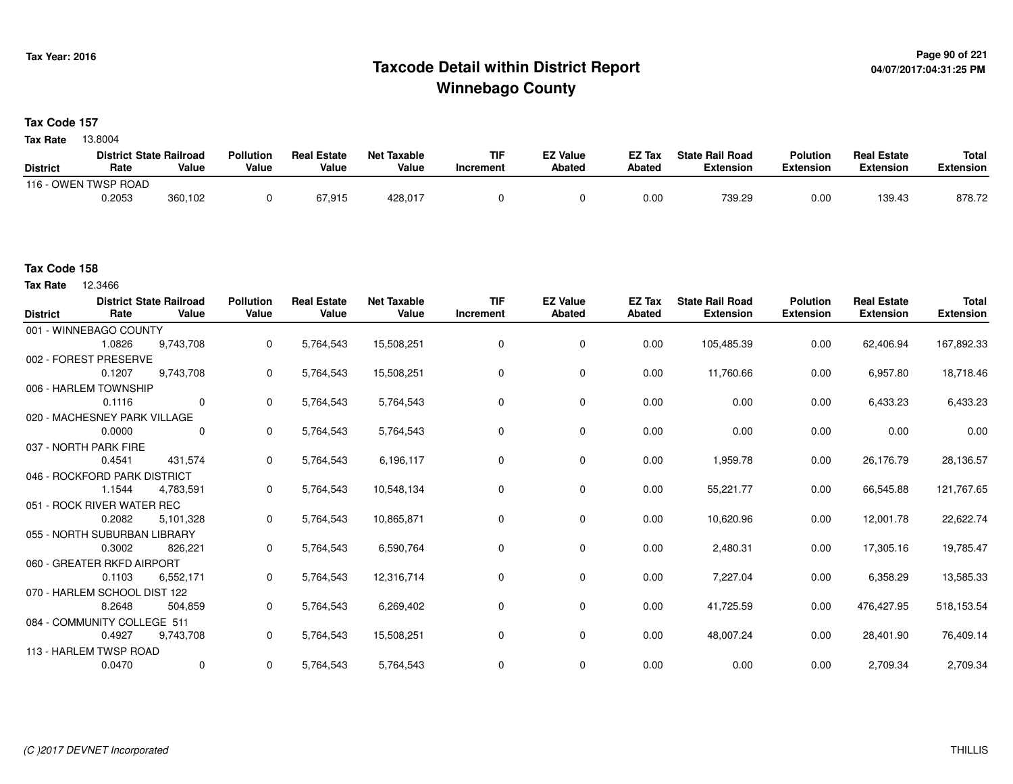## **Page 90 of 221 Taxcode Detail within District ReportWinnebago County**

**Tax Code 157**

13.8004 **Tax Rate**

|                 | <b>District State Railroad</b> |         | <b>Pollution</b> | <b>Real Estate</b> | Net Taxable | <b>TIF</b> | <b>EZ Value</b> | <b>EZ Tax</b> | <b>State Rail Road</b> | <b>Polution</b>  | <b>Real Estate</b> | <b>Total</b> |
|-----------------|--------------------------------|---------|------------------|--------------------|-------------|------------|-----------------|---------------|------------------------|------------------|--------------------|--------------|
| <b>District</b> | Rate                           | Value   | Value            | Value              | Value       | 'ncrement  | <b>Abated</b>   | <b>Abated</b> | Extension              | <b>Extension</b> | <b>Extension</b>   | Extension    |
| $116 - C$       | OWEN TWSP ROAD                 |         |                  |                    |             |            |                 |               |                        |                  |                    |              |
|                 | 0.2053                         | 360,102 |                  | 67.915             | 428,017     |            |                 | 0.00          | 739.29                 | 0.00             | 139.43             | 878.72       |

#### **Tax Code 158**

**Tax Rate** 12.3466

| <b>District</b> | Rate                         | <b>District State Railroad</b><br>Value | <b>Pollution</b><br>Value | <b>Real Estate</b><br>Value | <b>Net Taxable</b><br>Value | <b>TIF</b><br><b>Increment</b> | <b>EZ Value</b><br>Abated | EZ Tax<br>Abated | <b>State Rail Road</b><br><b>Extension</b> | <b>Polution</b><br><b>Extension</b> | <b>Real Estate</b><br><b>Extension</b> | <b>Total</b><br><b>Extension</b> |
|-----------------|------------------------------|-----------------------------------------|---------------------------|-----------------------------|-----------------------------|--------------------------------|---------------------------|------------------|--------------------------------------------|-------------------------------------|----------------------------------------|----------------------------------|
|                 | 001 - WINNEBAGO COUNTY       |                                         |                           |                             |                             |                                |                           |                  |                                            |                                     |                                        |                                  |
|                 | 1.0826                       | 9,743,708                               | $\mathbf 0$               | 5,764,543                   | 15,508,251                  | 0                              | 0                         | 0.00             | 105,485.39                                 | 0.00                                | 62,406.94                              | 167,892.33                       |
|                 | 002 - FOREST PRESERVE        |                                         |                           |                             |                             |                                |                           |                  |                                            |                                     |                                        |                                  |
|                 | 0.1207                       | 9,743,708                               | $\mathbf{0}$              | 5,764,543                   | 15,508,251                  | 0                              | 0                         | 0.00             | 11,760.66                                  | 0.00                                | 6,957.80                               | 18,718.46                        |
|                 | 006 - HARLEM TOWNSHIP        |                                         |                           |                             |                             |                                |                           |                  |                                            |                                     |                                        |                                  |
|                 | 0.1116                       | $\Omega$                                | $\mathbf{0}$              | 5,764,543                   | 5,764,543                   | 0                              | 0                         | 0.00             | 0.00                                       | 0.00                                | 6,433.23                               | 6,433.23                         |
|                 | 020 - MACHESNEY PARK VILLAGE |                                         |                           |                             |                             |                                |                           |                  |                                            |                                     |                                        |                                  |
|                 | 0.0000                       | 0                                       | $\mathbf{0}$              | 5,764,543                   | 5,764,543                   | 0                              | 0                         | 0.00             | 0.00                                       | 0.00                                | 0.00                                   | 0.00                             |
|                 | 037 - NORTH PARK FIRE        |                                         |                           |                             |                             |                                |                           |                  |                                            |                                     |                                        |                                  |
|                 | 0.4541                       | 431,574                                 | 0                         | 5,764,543                   | 6,196,117                   | 0                              | 0                         | 0.00             | 1,959.78                                   | 0.00                                | 26,176.79                              | 28,136.57                        |
|                 | 046 - ROCKFORD PARK DISTRICT |                                         |                           |                             |                             |                                |                           |                  |                                            |                                     |                                        |                                  |
|                 | 1.1544                       | 4,783,591                               | 0                         | 5,764,543                   | 10,548,134                  | 0                              | 0                         | 0.00             | 55,221.77                                  | 0.00                                | 66,545.88                              | 121,767.65                       |
|                 | 051 - ROCK RIVER WATER REC   |                                         |                           |                             |                             |                                |                           |                  |                                            |                                     |                                        |                                  |
|                 | 0.2082                       | 5,101,328                               | $\mathbf{0}$              | 5,764,543                   | 10,865,871                  | 0                              | 0                         | 0.00             | 10,620.96                                  | 0.00                                | 12,001.78                              | 22,622.74                        |
|                 | 055 - NORTH SUBURBAN LIBRARY |                                         |                           |                             |                             |                                |                           |                  |                                            |                                     |                                        |                                  |
|                 | 0.3002                       | 826,221                                 | $\mathbf{0}$              | 5,764,543                   | 6,590,764                   | 0                              | $\mathbf 0$               | 0.00             | 2,480.31                                   | 0.00                                | 17,305.16                              | 19,785.47                        |
|                 | 060 - GREATER RKFD AIRPORT   |                                         |                           |                             |                             |                                |                           |                  |                                            |                                     |                                        |                                  |
|                 | 0.1103                       | 6,552,171                               | $\mathbf{0}$              | 5,764,543                   | 12,316,714                  | 0                              | 0                         | 0.00             | 7,227.04                                   | 0.00                                | 6,358.29                               | 13,585.33                        |
|                 | 070 - HARLEM SCHOOL DIST 122 |                                         |                           |                             |                             |                                |                           |                  |                                            |                                     |                                        |                                  |
|                 | 8.2648                       | 504,859                                 | 0                         | 5,764,543                   | 6,269,402                   | 0                              | 0                         | 0.00             | 41,725.59                                  | 0.00                                | 476,427.95                             | 518,153.54                       |
|                 | 084 - COMMUNITY COLLEGE 511  |                                         |                           |                             |                             |                                |                           |                  |                                            |                                     |                                        |                                  |
|                 | 0.4927                       | 9,743,708                               | 0                         | 5,764,543                   | 15,508,251                  | 0                              | 0                         | 0.00             | 48,007.24                                  | 0.00                                | 28,401.90                              | 76,409.14                        |
|                 | 113 - HARLEM TWSP ROAD       |                                         |                           |                             |                             |                                |                           |                  |                                            |                                     |                                        |                                  |
|                 | 0.0470                       | 0                                       | $\mathbf 0$               | 5,764,543                   | 5,764,543                   | 0                              | 0                         | 0.00             | 0.00                                       | 0.00                                | 2,709.34                               | 2,709.34                         |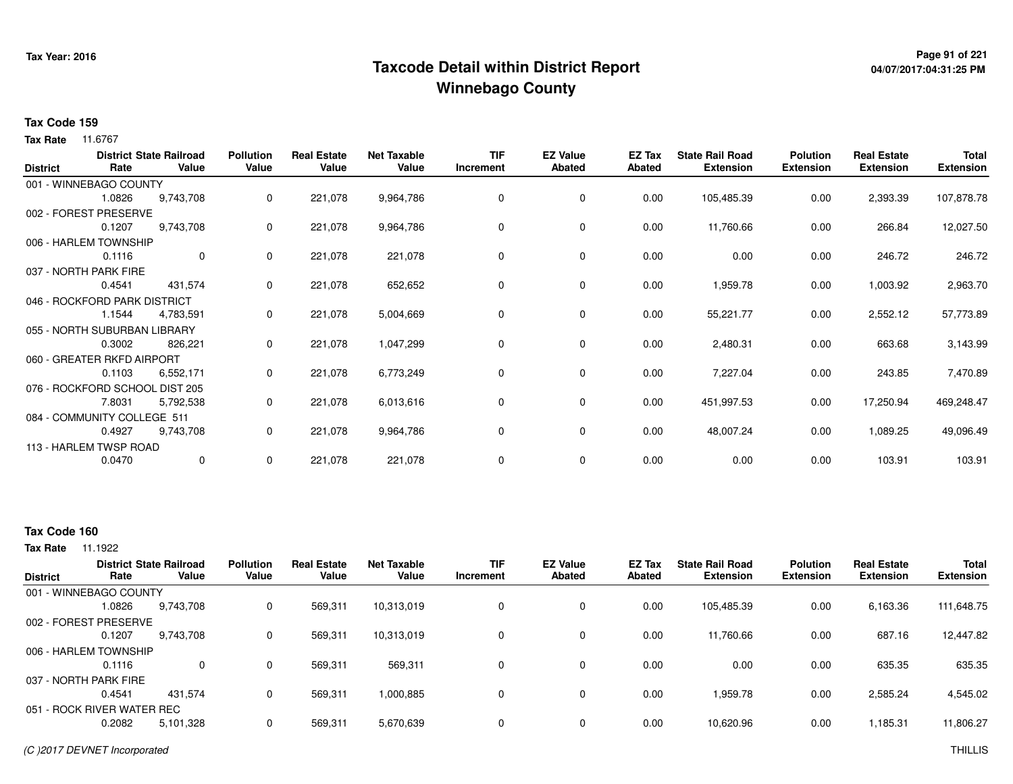## **Page 91 of 221 Taxcode Detail within District ReportWinnebago County**

# **04/07/2017:04:31:25 PM**

#### **Tax Code 159**

**Tax Rate** 11.6767

| <b>District</b> | Rate                           | <b>District State Railroad</b><br>Value | <b>Pollution</b><br>Value | <b>Real Estate</b><br>Value | <b>Net Taxable</b><br>Value | <b>TIF</b><br>Increment | <b>EZ Value</b><br><b>Abated</b> | EZ Tax<br><b>Abated</b> | <b>State Rail Road</b><br><b>Extension</b> | <b>Polution</b><br><b>Extension</b> | <b>Real Estate</b><br><b>Extension</b> | <b>Total</b><br><b>Extension</b> |
|-----------------|--------------------------------|-----------------------------------------|---------------------------|-----------------------------|-----------------------------|-------------------------|----------------------------------|-------------------------|--------------------------------------------|-------------------------------------|----------------------------------------|----------------------------------|
|                 | 001 - WINNEBAGO COUNTY         |                                         |                           |                             |                             |                         |                                  |                         |                                            |                                     |                                        |                                  |
|                 | 1.0826                         | 9,743,708                               | 0                         | 221,078                     | 9,964,786                   | $\Omega$                | $\mathbf 0$                      | 0.00                    | 105,485.39                                 | 0.00                                | 2,393.39                               | 107,878.78                       |
|                 | 002 - FOREST PRESERVE          |                                         |                           |                             |                             |                         |                                  |                         |                                            |                                     |                                        |                                  |
|                 | 0.1207                         | 9,743,708                               | 0                         | 221,078                     | 9,964,786                   | 0                       | 0                                | 0.00                    | 11,760.66                                  | 0.00                                | 266.84                                 | 12,027.50                        |
|                 | 006 - HARLEM TOWNSHIP          |                                         |                           |                             |                             |                         |                                  |                         |                                            |                                     |                                        |                                  |
|                 | 0.1116                         | 0                                       | 0                         | 221,078                     | 221,078                     | 0                       | 0                                | 0.00                    | 0.00                                       | 0.00                                | 246.72                                 | 246.72                           |
|                 | 037 - NORTH PARK FIRE          |                                         |                           |                             |                             |                         |                                  |                         |                                            |                                     |                                        |                                  |
|                 | 0.4541                         | 431,574                                 | 0                         | 221,078                     | 652,652                     | 0                       | $\mathbf 0$                      | 0.00                    | 1,959.78                                   | 0.00                                | 1,003.92                               | 2,963.70                         |
|                 | 046 - ROCKFORD PARK DISTRICT   |                                         |                           |                             |                             |                         |                                  |                         |                                            |                                     |                                        |                                  |
|                 | 1.1544                         | 4,783,591                               | 0                         | 221,078                     | 5,004,669                   | 0                       | 0                                | 0.00                    | 55,221.77                                  | 0.00                                | 2,552.12                               | 57,773.89                        |
|                 | 055 - NORTH SUBURBAN LIBRARY   |                                         |                           |                             |                             |                         |                                  |                         |                                            |                                     |                                        |                                  |
|                 | 0.3002                         | 826,221                                 | 0                         | 221,078                     | 1,047,299                   | 0                       | 0                                | 0.00                    | 2,480.31                                   | 0.00                                | 663.68                                 | 3,143.99                         |
|                 | 060 - GREATER RKFD AIRPORT     |                                         |                           |                             |                             |                         |                                  |                         |                                            |                                     |                                        |                                  |
|                 | 0.1103                         | 6,552,171                               | 0                         | 221,078                     | 6,773,249                   | 0                       | 0                                | 0.00                    | 7,227.04                                   | 0.00                                | 243.85                                 | 7,470.89                         |
|                 | 076 - ROCKFORD SCHOOL DIST 205 |                                         |                           |                             |                             |                         |                                  |                         |                                            |                                     |                                        |                                  |
|                 | 7.8031                         | 5,792,538                               | 0                         | 221,078                     | 6,013,616                   | 0                       | 0                                | 0.00                    | 451,997.53                                 | 0.00                                | 17,250.94                              | 469,248.47                       |
|                 | 084 - COMMUNITY COLLEGE 511    |                                         |                           |                             |                             |                         |                                  |                         |                                            |                                     |                                        |                                  |
|                 | 0.4927                         | 9,743,708                               | 0                         | 221,078                     | 9,964,786                   | 0                       | $\mathbf 0$                      | 0.00                    | 48,007.24                                  | 0.00                                | 1,089.25                               | 49,096.49                        |
|                 | 113 - HARLEM TWSP ROAD         |                                         |                           |                             |                             |                         |                                  |                         |                                            |                                     |                                        |                                  |
|                 | 0.0470                         | 0                                       | 0                         | 221,078                     | 221,078                     | 0                       | 0                                | 0.00                    | 0.00                                       | 0.00                                | 103.91                                 | 103.91                           |

### **Tax Code 160**

| Rate   | Value                 | <b>Pollution</b><br>Value                                                                                                                | <b>Real Estate</b><br>Value | <b>Net Taxable</b><br>Value | <b>TIF</b><br>Increment | <b>EZ Value</b><br><b>Abated</b> | <b>EZ Tax</b><br>Abated | <b>State Rail Road</b><br><b>Extension</b> | <b>Polution</b><br><b>Extension</b> | <b>Real Estate</b><br><b>Extension</b> | <b>Total</b><br><b>Extension</b> |
|--------|-----------------------|------------------------------------------------------------------------------------------------------------------------------------------|-----------------------------|-----------------------------|-------------------------|----------------------------------|-------------------------|--------------------------------------------|-------------------------------------|----------------------------------------|----------------------------------|
|        |                       |                                                                                                                                          |                             |                             |                         |                                  |                         |                                            |                                     |                                        |                                  |
| 1.0826 | 9,743,708             |                                                                                                                                          | 569,311                     | 10,313,019                  | 0                       | 0                                | 0.00                    | 105,485.39                                 | 0.00                                | 6,163.36                               | 111,648.75                       |
|        |                       |                                                                                                                                          |                             |                             |                         |                                  |                         |                                            |                                     |                                        |                                  |
| 0.1207 | 9,743,708             |                                                                                                                                          | 569,311                     | 10,313,019                  | 0                       | 0                                | 0.00                    | 11,760.66                                  | 0.00                                | 687.16                                 | 12,447.82                        |
|        |                       |                                                                                                                                          |                             |                             |                         |                                  |                         |                                            |                                     |                                        |                                  |
| 0.1116 | 0                     | 0                                                                                                                                        | 569,311                     | 569,311                     | 0                       | $\Omega$                         | 0.00                    | 0.00                                       | 0.00                                | 635.35                                 | 635.35                           |
|        |                       |                                                                                                                                          |                             |                             |                         |                                  |                         |                                            |                                     |                                        |                                  |
| 0.4541 | 431.574               | 0                                                                                                                                        | 569,311                     | 1,000,885                   | 0                       | 0                                | 0.00                    | 1,959.78                                   | 0.00                                | 2,585.24                               | 4,545.02                         |
|        |                       |                                                                                                                                          |                             |                             |                         |                                  |                         |                                            |                                     |                                        |                                  |
| 0.2082 | 5,101,328             |                                                                                                                                          | 569,311                     | 5,670,639                   | $\Omega$                | 0                                | 0.00                    | 10,620.96                                  | 0.00                                | 1,185.31                               | 11,806.27                        |
|        | 037 - NORTH PARK FIRE | <b>District State Railroad</b><br>001 - WINNEBAGO COUNTY<br>002 - FOREST PRESERVE<br>006 - HARLEM TOWNSHIP<br>051 - ROCK RIVER WATER REC |                             |                             |                         |                                  |                         |                                            |                                     |                                        |                                  |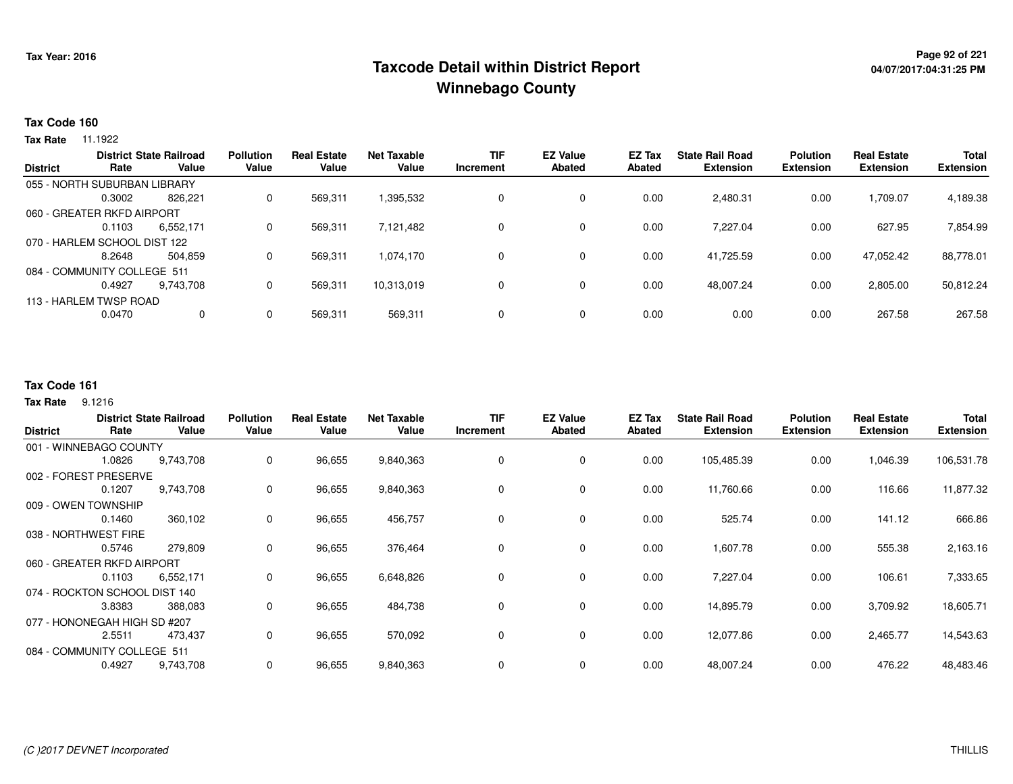## **Page 92 of 221 Taxcode Detail within District ReportWinnebago County**

### **Tax Code 160**

**Tax Rate** 11.1922

|                 |                              | <b>District State Railroad</b> | <b>Pollution</b> | <b>Real Estate</b> | <b>Net Taxable</b> | <b>TIF</b> | <b>EZ Value</b> | EZ Tax | <b>State Rail Road</b> | <b>Polution</b>  | <b>Real Estate</b> | <b>Total</b>     |
|-----------------|------------------------------|--------------------------------|------------------|--------------------|--------------------|------------|-----------------|--------|------------------------|------------------|--------------------|------------------|
| <b>District</b> | Rate                         | Value                          | Value            | Value              | Value              | Increment  | <b>Abated</b>   | Abated | <b>Extension</b>       | <b>Extension</b> | <b>Extension</b>   | <b>Extension</b> |
|                 | 055 - NORTH SUBURBAN LIBRARY |                                |                  |                    |                    |            |                 |        |                        |                  |                    |                  |
|                 | 0.3002                       | 826.221                        | 0                | 569,311            | 1,395,532          |            | $\mathbf 0$     | 0.00   | 2,480.31               | 0.00             | ,709.07            | 4,189.38         |
|                 | 060 - GREATER RKFD AIRPORT   |                                |                  |                    |                    |            |                 |        |                        |                  |                    |                  |
|                 | 0.1103                       | 6,552,171                      | 0                | 569,311            | 7,121,482          |            | $\mathbf 0$     | 0.00   | 7,227.04               | 0.00             | 627.95             | 7,854.99         |
|                 | 070 - HARLEM SCHOOL DIST 122 |                                |                  |                    |                    |            |                 |        |                        |                  |                    |                  |
|                 | 8.2648                       | 504.859                        | 0                | 569,311            | 1,074,170          |            | $\mathbf 0$     | 0.00   | 41,725.59              | 0.00             | 47,052.42          | 88,778.01        |
|                 | 084 - COMMUNITY COLLEGE 511  |                                |                  |                    |                    |            |                 |        |                        |                  |                    |                  |
|                 | 0.4927                       | 9.743.708                      | 0                | 569,311            | 10,313,019         |            | $\mathbf 0$     | 0.00   | 48,007.24              | 0.00             | 2,805.00           | 50,812.24        |
|                 | 113 - HARLEM TWSP ROAD       |                                |                  |                    |                    |            |                 |        |                        |                  |                    |                  |
|                 | 0.0470                       | 0                              | 0                | 569,311            | 569,311            |            | $\mathbf 0$     | 0.00   | 0.00                   | 0.00             | 267.58             | 267.58           |
|                 |                              |                                |                  |                    |                    |            |                 |        |                        |                  |                    |                  |

### **Tax Code 161**

**Tax Rate** 9.1216

| <b>District</b> | Rate                          | <b>District State Railroad</b><br>Value | <b>Pollution</b><br>Value | <b>Real Estate</b><br>Value | Net Taxable<br>Value | <b>TIF</b><br>Increment | <b>EZ Value</b><br><b>Abated</b> | EZ Tax<br><b>Abated</b> | <b>State Rail Road</b><br><b>Extension</b> | <b>Polution</b><br><b>Extension</b> | <b>Real Estate</b><br><b>Extension</b> | <b>Total</b><br><b>Extension</b> |
|-----------------|-------------------------------|-----------------------------------------|---------------------------|-----------------------------|----------------------|-------------------------|----------------------------------|-------------------------|--------------------------------------------|-------------------------------------|----------------------------------------|----------------------------------|
|                 | 001 - WINNEBAGO COUNTY        |                                         |                           |                             |                      |                         |                                  |                         |                                            |                                     |                                        |                                  |
|                 | 1.0826                        | 9,743,708                               | 0                         | 96,655                      | 9,840,363            | 0                       | 0                                | 0.00                    | 105,485.39                                 | 0.00                                | 1,046.39                               | 106,531.78                       |
|                 | 002 - FOREST PRESERVE         |                                         |                           |                             |                      |                         |                                  |                         |                                            |                                     |                                        |                                  |
|                 | 0.1207                        | 9,743,708                               | 0                         | 96,655                      | 9,840,363            | 0                       | 0                                | 0.00                    | 11,760.66                                  | 0.00                                | 116.66                                 | 11,877.32                        |
|                 | 009 - OWEN TOWNSHIP           |                                         |                           |                             |                      |                         |                                  |                         |                                            |                                     |                                        |                                  |
|                 | 0.1460                        | 360,102                                 | 0                         | 96,655                      | 456,757              | 0                       | 0                                | 0.00                    | 525.74                                     | 0.00                                | 141.12                                 | 666.86                           |
|                 | 038 - NORTHWEST FIRE          |                                         |                           |                             |                      |                         |                                  |                         |                                            |                                     |                                        |                                  |
|                 | 0.5746                        | 279,809                                 | 0                         | 96,655                      | 376,464              | 0                       | 0                                | 0.00                    | 1,607.78                                   | 0.00                                | 555.38                                 | 2,163.16                         |
|                 | 060 - GREATER RKFD AIRPORT    |                                         |                           |                             |                      |                         |                                  |                         |                                            |                                     |                                        |                                  |
|                 | 0.1103                        | 6,552,171                               | 0                         | 96,655                      | 6,648,826            | 0                       | 0                                | 0.00                    | 7,227.04                                   | 0.00                                | 106.61                                 | 7,333.65                         |
|                 | 074 - ROCKTON SCHOOL DIST 140 |                                         |                           |                             |                      |                         |                                  |                         |                                            |                                     |                                        |                                  |
|                 | 3.8383                        | 388,083                                 | 0                         | 96,655                      | 484,738              | 0                       | 0                                | 0.00                    | 14,895.79                                  | 0.00                                | 3,709.92                               | 18,605.71                        |
|                 | 077 - HONONEGAH HIGH SD #207  |                                         |                           |                             |                      |                         |                                  |                         |                                            |                                     |                                        |                                  |
|                 | 2.5511                        | 473,437                                 | 0                         | 96,655                      | 570,092              | 0                       | 0                                | 0.00                    | 12,077.86                                  | 0.00                                | 2,465.77                               | 14,543.63                        |
|                 | 084 - COMMUNITY COLLEGE 511   |                                         |                           |                             |                      |                         |                                  |                         |                                            |                                     |                                        |                                  |
|                 | 0.4927                        | 9,743,708                               | 0                         | 96,655                      | 9,840,363            | 0                       | 0                                | 0.00                    | 48,007.24                                  | 0.00                                | 476.22                                 | 48,483.46                        |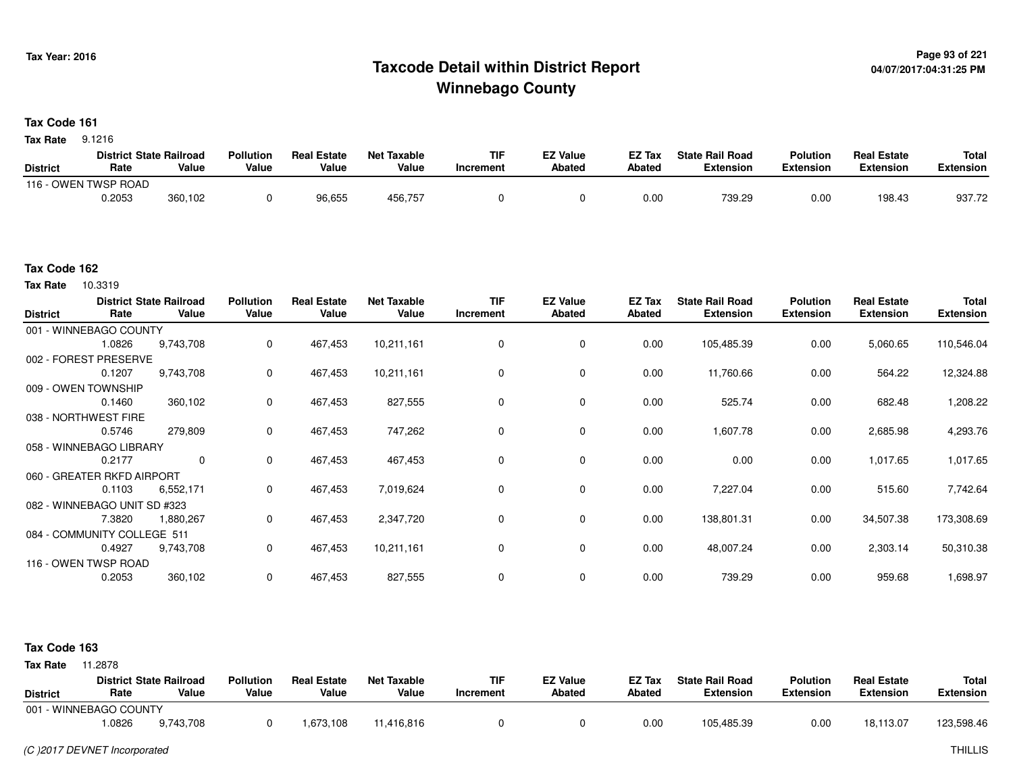## **Page 93 of 221 Taxcode Detail within District ReportWinnebago County**

#### **Tax Code 161**

**Tax Rate** 9.1216

|                 | <b>District State Railroad</b> |         | <b>Pollution</b> | <b>Real Estate</b> | Net Taxable | <b>TIF</b> | <b>EZ Value</b> | <b>EZ Tax</b> | <b>State Rail Road</b> | <b>Polution</b>  | <b>Real Estate</b> | <b>Total</b> |
|-----------------|--------------------------------|---------|------------------|--------------------|-------------|------------|-----------------|---------------|------------------------|------------------|--------------------|--------------|
| <b>District</b> | Rate                           | Value   | Value            | Value              | Value       | 'ncrement  | <b>Abated</b>   | <b>Abated</b> | Extension              | <b>Extension</b> | <b>Extension</b>   | Extension    |
| $116 - C$       | OWEN TWSP ROAD                 |         |                  |                    |             |            |                 |               |                        |                  |                    |              |
|                 | 0.2053                         | 360,102 |                  | 96,655             | 456,757     |            |                 | 0.00          | 739.29                 | 0.00             | 198.43             | 937.72       |

#### **Tax Code 162**

**Tax Rate** 10.3319

| <b>District</b>     | Rate                         | <b>District State Railroad</b><br>Value | <b>Pollution</b><br>Value | <b>Real Estate</b><br>Value | <b>Net Taxable</b><br>Value | <b>TIF</b><br>Increment | <b>EZ Value</b><br><b>Abated</b> | EZ Tax<br><b>Abated</b> | <b>State Rail Road</b><br><b>Extension</b> | <b>Polution</b><br><b>Extension</b> | <b>Real Estate</b><br><b>Extension</b> | <b>Total</b><br><b>Extension</b> |
|---------------------|------------------------------|-----------------------------------------|---------------------------|-----------------------------|-----------------------------|-------------------------|----------------------------------|-------------------------|--------------------------------------------|-------------------------------------|----------------------------------------|----------------------------------|
|                     | 001 - WINNEBAGO COUNTY       |                                         |                           |                             |                             |                         |                                  |                         |                                            |                                     |                                        |                                  |
|                     | 1.0826                       | 9,743,708                               | 0                         | 467,453                     | 10,211,161                  | 0                       | $\mathbf 0$                      | 0.00                    | 105,485.39                                 | 0.00                                | 5,060.65                               | 110,546.04                       |
|                     | 002 - FOREST PRESERVE        |                                         |                           |                             |                             |                         |                                  |                         |                                            |                                     |                                        |                                  |
|                     | 0.1207                       | 9,743,708                               | 0                         | 467,453                     | 10,211,161                  | 0                       | 0                                | 0.00                    | 11,760.66                                  | 0.00                                | 564.22                                 | 12,324.88                        |
| 009 - OWEN TOWNSHIP |                              |                                         |                           |                             |                             |                         |                                  |                         |                                            |                                     |                                        |                                  |
|                     | 0.1460                       | 360,102                                 | 0                         | 467,453                     | 827,555                     | 0                       | 0                                | 0.00                    | 525.74                                     | 0.00                                | 682.48                                 | 1,208.22                         |
|                     | 038 - NORTHWEST FIRE         |                                         |                           |                             |                             |                         |                                  |                         |                                            |                                     |                                        |                                  |
|                     | 0.5746                       | 279,809                                 | 0                         | 467,453                     | 747,262                     | $\mathbf 0$             | $\mathbf 0$                      | 0.00                    | 1,607.78                                   | 0.00                                | 2,685.98                               | 4,293.76                         |
|                     | 058 - WINNEBAGO LIBRARY      |                                         |                           |                             |                             |                         |                                  |                         |                                            |                                     |                                        |                                  |
|                     | 0.2177                       | 0                                       | 0                         | 467,453                     | 467,453                     | 0                       | 0                                | 0.00                    | 0.00                                       | 0.00                                | 1,017.65                               | 1,017.65                         |
|                     | 060 - GREATER RKFD AIRPORT   |                                         |                           |                             |                             |                         |                                  |                         |                                            |                                     |                                        |                                  |
|                     | 0.1103                       | 6,552,171                               | 0                         | 467,453                     | 7,019,624                   | 0                       | 0                                | 0.00                    | 7,227.04                                   | 0.00                                | 515.60                                 | 7,742.64                         |
|                     | 082 - WINNEBAGO UNIT SD #323 |                                         |                           |                             |                             |                         |                                  |                         |                                            |                                     |                                        |                                  |
|                     | 7.3820                       | 1,880,267                               | 0                         | 467,453                     | 2,347,720                   | 0                       | 0                                | 0.00                    | 138,801.31                                 | 0.00                                | 34,507.38                              | 173,308.69                       |
|                     | 084 - COMMUNITY COLLEGE 511  |                                         |                           |                             |                             |                         |                                  |                         |                                            |                                     |                                        |                                  |
|                     | 0.4927                       | 9,743,708                               | 0                         | 467,453                     | 10,211,161                  | 0                       | 0                                | 0.00                    | 48,007.24                                  | 0.00                                | 2,303.14                               | 50,310.38                        |
|                     | 116 - OWEN TWSP ROAD         |                                         |                           |                             |                             |                         |                                  |                         |                                            |                                     |                                        |                                  |
|                     | 0.2053                       | 360,102                                 | $\mathbf 0$               | 467,453                     | 827,555                     | 0                       | $\mathbf 0$                      | 0.00                    | 739.29                                     | 0.00                                | 959.68                                 | 1,698.97                         |

#### **Tax Code 163**

| <b>District</b>        | Rate  | <b>District State Railroad</b><br>Value | <b>Pollution</b><br>Value | <b>Real Estate</b><br>Value | Net Taxable<br>Value | <b>TIF</b><br>Increment | <b>EZ Value</b><br>Abated | <b>EZ Tax</b><br>Abated | <b>State Rail Road</b><br><b>Extension</b> | <b>Polution</b><br><b>Extension</b> | <b>Real Estate</b><br><b>Extension</b> | Total<br>Extension |
|------------------------|-------|-----------------------------------------|---------------------------|-----------------------------|----------------------|-------------------------|---------------------------|-------------------------|--------------------------------------------|-------------------------------------|----------------------------------------|--------------------|
| 001 - WINNEBAGO COUNTY |       |                                         |                           |                             |                      |                         |                           |                         |                                            |                                     |                                        |                    |
|                        | .0826 | 9,743,708                               |                           | 1,673,108                   | 11,416,816           |                         |                           | 0.00                    | 105,485.39                                 | 0.00                                | 18,113.07                              | 123,598.46         |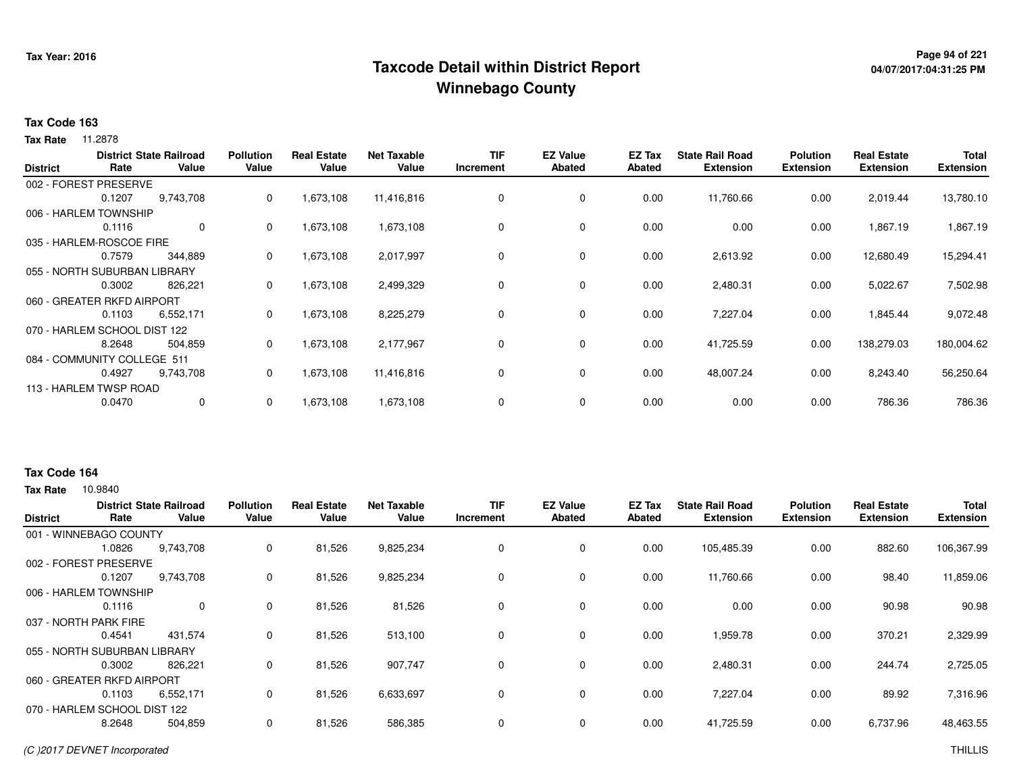## **Page 94 of 221 Taxcode Detail within District ReportWinnebago County**

# **04/07/2017:04:31:25 PM**

#### **Tax Code 163**

**Tax Rate** 11.2878

| <b>District</b>              | Rate   | <b>District State Railroad</b><br>Value | <b>Pollution</b><br>Value | <b>Real Estate</b><br>Value | <b>Net Taxable</b><br>Value | <b>TIF</b><br>Increment | <b>EZ Value</b><br>Abated | <b>EZ Tax</b><br><b>Abated</b> | <b>State Rail Road</b><br><b>Extension</b> | <b>Polution</b><br><b>Extension</b> | <b>Real Estate</b><br><b>Extension</b> | Total<br><b>Extension</b> |
|------------------------------|--------|-----------------------------------------|---------------------------|-----------------------------|-----------------------------|-------------------------|---------------------------|--------------------------------|--------------------------------------------|-------------------------------------|----------------------------------------|---------------------------|
| 002 - FOREST PRESERVE        |        |                                         |                           |                             |                             |                         |                           |                                |                                            |                                     |                                        |                           |
|                              | 0.1207 | 9,743,708                               | 0                         | 1,673,108                   | 11,416,816                  | 0                       | 0                         | 0.00                           | 11,760.66                                  | 0.00                                | 2,019.44                               | 13,780.10                 |
| 006 - HARLEM TOWNSHIP        |        |                                         |                           |                             |                             |                         |                           |                                |                                            |                                     |                                        |                           |
|                              | 0.1116 | $\mathbf 0$                             | 0                         | 1,673,108                   | 1,673,108                   | 0                       | 0                         | 0.00                           | 0.00                                       | 0.00                                | 1,867.19                               | 1,867.19                  |
| 035 - HARLEM-ROSCOE FIRE     |        |                                         |                           |                             |                             |                         |                           |                                |                                            |                                     |                                        |                           |
|                              | 0.7579 | 344,889                                 | 0                         | 1,673,108                   | 2,017,997                   | 0                       | 0                         | 0.00                           | 2,613.92                                   | 0.00                                | 12,680.49                              | 15,294.41                 |
| 055 - NORTH SUBURBAN LIBRARY |        |                                         |                           |                             |                             |                         |                           |                                |                                            |                                     |                                        |                           |
|                              | 0.3002 | 826.221                                 | 0                         | 1,673,108                   | 2,499,329                   | 0                       | 0                         | 0.00                           | 2,480.31                                   | 0.00                                | 5,022.67                               | 7,502.98                  |
| 060 - GREATER RKFD AIRPORT   |        |                                         |                           |                             |                             |                         |                           |                                |                                            |                                     |                                        |                           |
|                              | 0.1103 | 6,552,171                               | 0                         | 1,673,108                   | 8,225,279                   | 0                       | $\mathbf 0$               | 0.00                           | 7,227.04                                   | 0.00                                | 1,845.44                               | 9,072.48                  |
| 070 - HARLEM SCHOOL DIST 122 |        |                                         |                           |                             |                             |                         |                           |                                |                                            |                                     |                                        |                           |
|                              | 8.2648 | 504,859                                 | 0                         | 1,673,108                   | 2,177,967                   | 0                       | 0                         | 0.00                           | 41,725.59                                  | 0.00                                | 138,279.03                             | 180,004.62                |
| 084 - COMMUNITY COLLEGE 511  |        |                                         |                           |                             |                             |                         |                           |                                |                                            |                                     |                                        |                           |
|                              | 0.4927 | 9,743,708                               | 0                         | 1,673,108                   | 11,416,816                  | 0                       | 0                         | 0.00                           | 48,007.24                                  | 0.00                                | 8,243.40                               | 56,250.64                 |
| 113 - HARLEM TWSP ROAD       |        |                                         |                           |                             |                             |                         |                           |                                |                                            |                                     |                                        |                           |
|                              | 0.0470 | 0                                       | 0                         | 1,673,108                   | 1,673,108                   | 0                       | 0                         | 0.00                           | 0.00                                       | 0.00                                | 786.36                                 | 786.36                    |

#### **Tax Code 164**

| <b>District</b> | Rate                         | <b>District State Railroad</b><br>Value | <b>Pollution</b><br>Value | <b>Real Estate</b><br>Value | Net Taxable<br>Value | <b>TIF</b><br>Increment | <b>EZ Value</b><br><b>Abated</b> | EZ Tax<br>Abated | <b>State Rail Road</b><br><b>Extension</b> | <b>Polution</b><br><b>Extension</b> | <b>Real Estate</b><br><b>Extension</b> | <b>Total</b><br><b>Extension</b> |
|-----------------|------------------------------|-----------------------------------------|---------------------------|-----------------------------|----------------------|-------------------------|----------------------------------|------------------|--------------------------------------------|-------------------------------------|----------------------------------------|----------------------------------|
|                 | 001 - WINNEBAGO COUNTY       |                                         |                           |                             |                      |                         |                                  |                  |                                            |                                     |                                        |                                  |
|                 | 1.0826                       | 9,743,708                               | 0                         | 81,526                      | 9,825,234            | $\mathbf 0$             | 0                                | 0.00             | 105,485.39                                 | 0.00                                | 882.60                                 | 106,367.99                       |
|                 | 002 - FOREST PRESERVE        |                                         |                           |                             |                      |                         |                                  |                  |                                            |                                     |                                        |                                  |
|                 | 0.1207                       | 9,743,708                               | 0                         | 81,526                      | 9,825,234            | $\mathbf 0$             | 0                                | 0.00             | 11,760.66                                  | 0.00                                | 98.40                                  | 11,859.06                        |
|                 | 006 - HARLEM TOWNSHIP        |                                         |                           |                             |                      |                         |                                  |                  |                                            |                                     |                                        |                                  |
|                 | 0.1116                       | 0                                       | 0                         | 81,526                      | 81,526               | 0                       | 0                                | 0.00             | 0.00                                       | 0.00                                | 90.98                                  | 90.98                            |
|                 | 037 - NORTH PARK FIRE        |                                         |                           |                             |                      |                         |                                  |                  |                                            |                                     |                                        |                                  |
|                 | 0.4541                       | 431,574                                 | 0                         | 81,526                      | 513,100              | 0                       | 0                                | 0.00             | 1,959.78                                   | 0.00                                | 370.21                                 | 2,329.99                         |
|                 | 055 - NORTH SUBURBAN LIBRARY |                                         |                           |                             |                      |                         |                                  |                  |                                            |                                     |                                        |                                  |
|                 | 0.3002                       | 826,221                                 | 0                         | 81,526                      | 907,747              | 0                       | $\mathbf 0$                      | 0.00             | 2,480.31                                   | 0.00                                | 244.74                                 | 2,725.05                         |
|                 | 060 - GREATER RKFD AIRPORT   |                                         |                           |                             |                      |                         |                                  |                  |                                            |                                     |                                        |                                  |
|                 | 0.1103                       | 6,552,171                               | 0                         | 81,526                      | 6,633,697            | 0                       | $\mathbf 0$                      | 0.00             | 7,227.04                                   | 0.00                                | 89.92                                  | 7,316.96                         |
|                 | 070 - HARLEM SCHOOL DIST 122 |                                         |                           |                             |                      |                         |                                  |                  |                                            |                                     |                                        |                                  |
|                 | 8.2648                       | 504,859                                 | 0                         | 81,526                      | 586,385              | 0                       | 0                                | 0.00             | 41,725.59                                  | 0.00                                | 6,737.96                               | 48,463.55                        |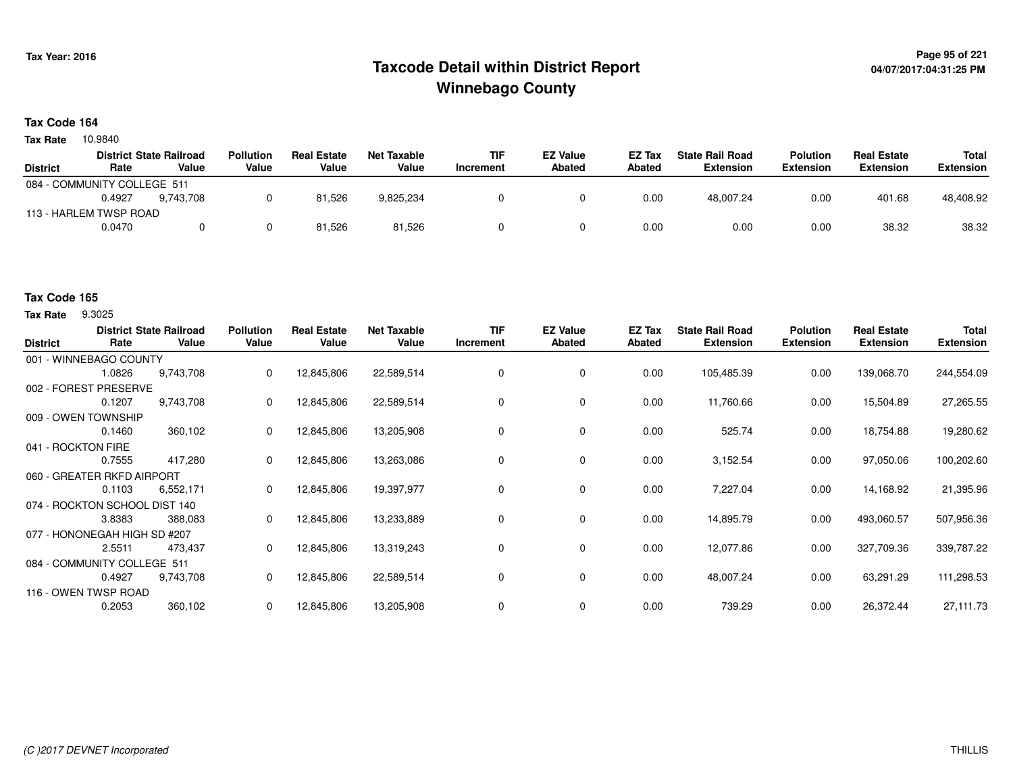## **Page 95 of 221 Taxcode Detail within District ReportWinnebago County**

#### **Tax Code 164**

10.9840 **Tax Rate**

|                             |        | <b>District State Railroad</b> | <b>Pollution</b> | <b>Real Estate</b> | Net Taxable | TIF       | <b>EZ Value</b> | <b>EZ Tax</b> | <b>State Rail Road</b> | <b>Polution</b>  | <b>Real Estate</b> | Total     |
|-----------------------------|--------|--------------------------------|------------------|--------------------|-------------|-----------|-----------------|---------------|------------------------|------------------|--------------------|-----------|
| <b>District</b>             | Rate   | Value                          | Value            | Value              | Value       | Increment | <b>Abated</b>   | <b>Abated</b> | <b>Extension</b>       | <b>Extension</b> | <b>Extension</b>   | Extension |
| 084 - COMMUNITY COLLEGE 511 |        |                                |                  |                    |             |           |                 |               |                        |                  |                    |           |
|                             | 0.4927 | 9.743.708                      |                  | 81,526             | 9,825,234   |           |                 | 0.00          | 48.007.24              | 0.00             | 401.68             | 48,408.92 |
| 113 - HARLEM TWSP ROAD      |        |                                |                  |                    |             |           |                 |               |                        |                  |                    |           |
|                             | 0.0470 |                                |                  | 81,526             | 81,526      |           |                 | 0.00          | 0.00                   | 0.00             | 38.32              | 38.32     |

### **Tax Code 165**

**Tax Rate** 9.3025

| <b>District</b>               | Rate   | <b>District State Railroad</b><br>Value | <b>Pollution</b><br>Value | <b>Real Estate</b><br>Value | <b>Net Taxable</b><br>Value | TIF<br>Increment | <b>EZ Value</b><br><b>Abated</b> | EZ Tax<br><b>Abated</b> | <b>State Rail Road</b><br><b>Extension</b> | <b>Polution</b><br><b>Extension</b> | <b>Real Estate</b><br><b>Extension</b> | Total<br><b>Extension</b> |
|-------------------------------|--------|-----------------------------------------|---------------------------|-----------------------------|-----------------------------|------------------|----------------------------------|-------------------------|--------------------------------------------|-------------------------------------|----------------------------------------|---------------------------|
| 001 - WINNEBAGO COUNTY        |        |                                         |                           |                             |                             |                  |                                  |                         |                                            |                                     |                                        |                           |
|                               | 1.0826 | 9,743,708                               | 0                         | 12,845,806                  | 22,589,514                  | 0                | 0                                | 0.00                    | 105,485.39                                 | 0.00                                | 139,068.70                             | 244,554.09                |
| 002 - FOREST PRESERVE         |        |                                         |                           |                             |                             |                  |                                  |                         |                                            |                                     |                                        |                           |
|                               | 0.1207 | 9,743,708                               | 0                         | 12,845,806                  | 22,589,514                  | 0                | 0                                | 0.00                    | 11,760.66                                  | 0.00                                | 15,504.89                              | 27,265.55                 |
| 009 - OWEN TOWNSHIP           |        |                                         |                           |                             |                             |                  |                                  |                         |                                            |                                     |                                        |                           |
|                               | 0.1460 | 360,102                                 | 0                         | 12,845,806                  | 13,205,908                  | 0                | 0                                | 0.00                    | 525.74                                     | 0.00                                | 18,754.88                              | 19,280.62                 |
| 041 - ROCKTON FIRE            |        |                                         |                           |                             |                             |                  |                                  |                         |                                            |                                     |                                        |                           |
|                               | 0.7555 | 417,280                                 | 0                         | 12,845,806                  | 13,263,086                  | $\Omega$         | $\mathbf 0$                      | 0.00                    | 3,152.54                                   | 0.00                                | 97,050.06                              | 100,202.60                |
| 060 - GREATER RKFD AIRPORT    |        |                                         |                           |                             |                             |                  |                                  |                         |                                            |                                     |                                        |                           |
|                               | 0.1103 | 6,552,171                               | 0                         | 12,845,806                  | 19,397,977                  |                  | 0                                | 0.00                    | 7,227.04                                   | 0.00                                | 14,168.92                              | 21,395.96                 |
| 074 - ROCKTON SCHOOL DIST 140 |        |                                         |                           |                             |                             |                  |                                  |                         |                                            |                                     |                                        |                           |
|                               | 3.8383 | 388,083                                 | 0                         | 12,845,806                  | 13,233,889                  | 0                | 0                                | 0.00                    | 14,895.79                                  | 0.00                                | 493,060.57                             | 507,956.36                |
| 077 - HONONEGAH HIGH SD #207  |        |                                         |                           |                             |                             |                  |                                  |                         |                                            |                                     |                                        |                           |
|                               | 2.5511 | 473,437                                 | 0                         | 12,845,806                  | 13,319,243                  | 0                | 0                                | 0.00                    | 12,077.86                                  | 0.00                                | 327,709.36                             | 339,787.22                |
| 084 - COMMUNITY COLLEGE 511   |        |                                         |                           |                             |                             |                  |                                  |                         |                                            |                                     |                                        |                           |
|                               | 0.4927 | 9,743,708                               | 0                         | 12,845,806                  | 22,589,514                  | 0                | 0                                | 0.00                    | 48,007.24                                  | 0.00                                | 63,291.29                              | 111,298.53                |
| 116 - OWEN TWSP ROAD          |        |                                         |                           |                             |                             |                  |                                  |                         |                                            |                                     |                                        |                           |
|                               | 0.2053 | 360,102                                 | 0                         | 12,845,806                  | 13,205,908                  |                  | 0                                | 0.00                    | 739.29                                     | 0.00                                | 26,372.44                              | 27,111.73                 |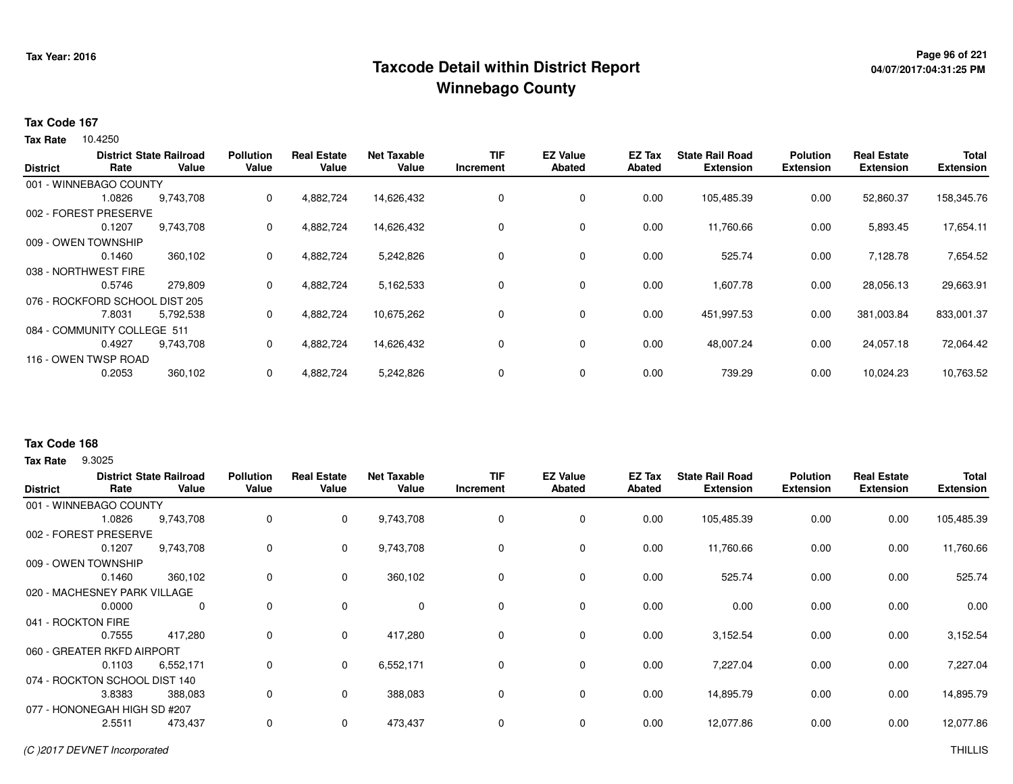## **Page 96 of 221 Taxcode Detail within District ReportWinnebago County**

# **04/07/2017:04:31:25 PM**

#### **Tax Code 167**

Tax Rate 10.4250

|                 |                                | <b>District State Railroad</b> | <b>Pollution</b> | Real<br>Estate | <b>Net Taxable</b> | <b>TIF</b> | <b>EZ Value</b> | <b>EZ Tax</b> | <b>State Rail Road</b> | <b>Polution</b>  | <b>Real Estate</b> | <b>Total</b>     |
|-----------------|--------------------------------|--------------------------------|------------------|----------------|--------------------|------------|-----------------|---------------|------------------------|------------------|--------------------|------------------|
| <b>District</b> | Rate                           | Value                          | Value            | Value          | Value              | Increment  | Abated          | Abated        | <b>Extension</b>       | <b>Extension</b> | <b>Extension</b>   | <b>Extension</b> |
|                 | 001 - WINNEBAGO COUNTY         |                                |                  |                |                    |            |                 |               |                        |                  |                    |                  |
|                 | 1.0826                         | 9,743,708                      | 0                | 4,882,724      | 14,626,432         | 0          | 0               | 0.00          | 105,485.39             | 0.00             | 52,860.37          | 158,345.76       |
|                 | 002 - FOREST PRESERVE          |                                |                  |                |                    |            |                 |               |                        |                  |                    |                  |
|                 | 0.1207                         | 9,743,708                      | 0                | 4,882,724      | 14,626,432         | 0          | 0               | 0.00          | 11,760.66              | 0.00             | 5,893.45           | 17,654.11        |
|                 | 009 - OWEN TOWNSHIP            |                                |                  |                |                    |            |                 |               |                        |                  |                    |                  |
|                 | 0.1460                         | 360,102                        | 0                | 4,882,724      | 5,242,826          | 0          | 0               | 0.00          | 525.74                 | 0.00             | 7,128.78           | 7,654.52         |
|                 | 038 - NORTHWEST FIRE           |                                |                  |                |                    |            |                 |               |                        |                  |                    |                  |
|                 | 0.5746                         | 279,809                        | 0                | 4,882,724      | 5,162,533          | 0          | 0               | 0.00          | 1,607.78               | 0.00             | 28,056.13          | 29,663.91        |
|                 | 076 - ROCKFORD SCHOOL DIST 205 |                                |                  |                |                    |            |                 |               |                        |                  |                    |                  |
|                 | 7.8031                         | 5,792,538                      | 0                | 4,882,724      | 10,675,262         | 0          | 0               | 0.00          | 451,997.53             | 0.00             | 381,003.84         | 833,001.37       |
|                 | 084 - COMMUNITY COLLEGE 511    |                                |                  |                |                    |            |                 |               |                        |                  |                    |                  |
|                 | 0.4927                         | 9,743,708                      | 0                | 4,882,724      | 14,626,432         | 0          | 0               | 0.00          | 48,007.24              | 0.00             | 24,057.18          | 72,064.42        |
|                 | 116 - OWEN TWSP ROAD           |                                |                  |                |                    |            |                 |               |                        |                  |                    |                  |
|                 | 0.2053                         | 360,102                        | 0                | 4,882,724      | 5,242,826          | 0          | 0               | 0.00          | 739.29                 | 0.00             | 10,024.23          | 10,763.52        |
|                 |                                |                                |                  |                |                    |            |                 |               |                        |                  |                    |                  |

#### **Tax Code 168**

**Tax Rate** 9.3025

| <b>District</b>              | Rate                          | <b>District State Railroad</b><br>Value | <b>Pollution</b><br>Value | <b>Real Estate</b><br>Value | <b>Net Taxable</b><br>Value | <b>TIF</b><br>Increment | <b>EZ Value</b><br><b>Abated</b> | <b>EZ Tax</b><br><b>Abated</b> | <b>State Rail Road</b><br><b>Extension</b> | <b>Polution</b><br><b>Extension</b> | <b>Real Estate</b><br><b>Extension</b> | <b>Total</b><br><b>Extension</b> |
|------------------------------|-------------------------------|-----------------------------------------|---------------------------|-----------------------------|-----------------------------|-------------------------|----------------------------------|--------------------------------|--------------------------------------------|-------------------------------------|----------------------------------------|----------------------------------|
|                              | 001 - WINNEBAGO COUNTY        |                                         |                           |                             |                             |                         |                                  |                                |                                            |                                     |                                        |                                  |
|                              | 1.0826                        | 9,743,708                               | 0                         | $\mathbf 0$                 | 9,743,708                   | 0                       | 0                                | 0.00                           | 105,485.39                                 | 0.00                                | 0.00                                   | 105,485.39                       |
|                              | 002 - FOREST PRESERVE         |                                         |                           |                             |                             |                         |                                  |                                |                                            |                                     |                                        |                                  |
|                              | 0.1207                        | 9,743,708                               | 0                         | $\mathbf 0$                 | 9,743,708                   | 0                       | 0                                | 0.00                           | 11,760.66                                  | 0.00                                | 0.00                                   | 11,760.66                        |
|                              | 009 - OWEN TOWNSHIP           |                                         |                           |                             |                             |                         |                                  |                                |                                            |                                     |                                        |                                  |
|                              | 0.1460                        | 360,102                                 | 0                         | $\mathbf 0$                 | 360,102                     | 0                       | 0                                | 0.00                           | 525.74                                     | 0.00                                | 0.00                                   | 525.74                           |
|                              | 020 - MACHESNEY PARK VILLAGE  |                                         |                           |                             |                             |                         |                                  |                                |                                            |                                     |                                        |                                  |
|                              | 0.0000                        | 0                                       | 0                         | $\mathbf 0$                 | $\mathbf 0$                 | $\mathbf 0$             | $\mathbf 0$                      | 0.00                           | 0.00                                       | 0.00                                | 0.00                                   | 0.00                             |
|                              | 041 - ROCKTON FIRE            |                                         |                           |                             |                             |                         |                                  |                                |                                            |                                     |                                        |                                  |
|                              | 0.7555                        | 417,280                                 | 0                         | $\mathbf 0$                 | 417,280                     | $\mathbf 0$             | $\mathbf 0$                      | 0.00                           | 3.152.54                                   | 0.00                                | 0.00                                   | 3,152.54                         |
|                              | 060 - GREATER RKFD AIRPORT    |                                         |                           |                             |                             |                         |                                  |                                |                                            |                                     |                                        |                                  |
|                              | 0.1103                        | 6,552,171                               | 0                         | $\mathbf{0}$                | 6,552,171                   | $\mathbf 0$             | $\mathbf 0$                      | 0.00                           | 7,227.04                                   | 0.00                                | 0.00                                   | 7,227.04                         |
|                              | 074 - ROCKTON SCHOOL DIST 140 |                                         |                           |                             |                             |                         |                                  |                                |                                            |                                     |                                        |                                  |
|                              | 3.8383                        | 388,083                                 | 0                         | $\mathbf 0$                 | 388,083                     | $\mathbf 0$             | $\mathbf 0$                      | 0.00                           | 14,895.79                                  | 0.00                                | 0.00                                   | 14,895.79                        |
| 077 - HONONEGAH HIGH SD #207 |                               |                                         |                           |                             |                             |                         |                                  |                                |                                            |                                     |                                        |                                  |
|                              | 2.5511                        | 473,437                                 | 0                         | $\mathbf 0$                 | 473,437                     | 0                       | 0                                | 0.00                           | 12,077.86                                  | 0.00                                | 0.00                                   | 12,077.86                        |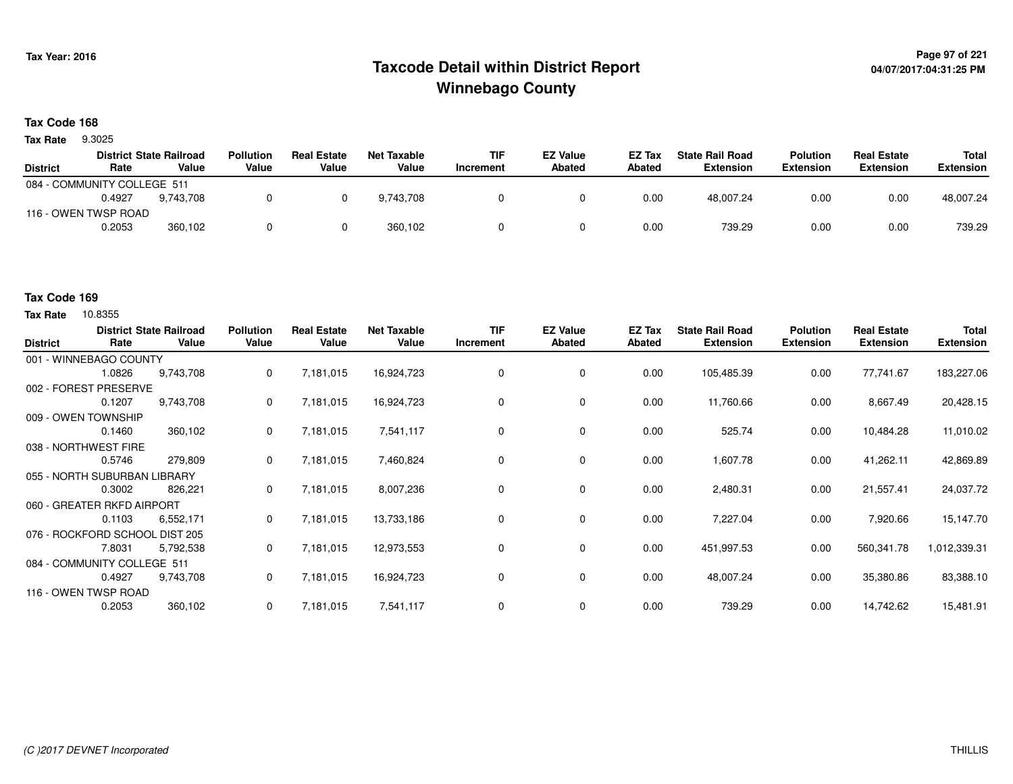## <sup>Page 97</sup> of <sup>221</sup> Page 97 of 221<br>Taxcode Detail within District Report های این موجع این این این موجع این موجع این موجع این موجع این موجع این موج **Winnebago County**

#### **Tax Code 168**

9.3025 **Tax Rate**

|                             |        | <b>District State Railroad</b> | <b>Pollution</b> | <b>Real Estate</b> | Net Taxable | <b>TIF</b> | <b>EZ Value</b> | <b>EZ Tax</b> | <b>State Rail Road</b> | Polution         | <b>Real Estate</b> | Total            |
|-----------------------------|--------|--------------------------------|------------------|--------------------|-------------|------------|-----------------|---------------|------------------------|------------------|--------------------|------------------|
| <b>District</b>             | Rate   | Value                          | Value            | Value              | Value       | Increment  | <b>Abated</b>   | Abated        | Extension              | <b>Extension</b> | <b>Extension</b>   | <b>Extension</b> |
| 084 - COMMUNITY COLLEGE 511 |        |                                |                  |                    |             |            |                 |               |                        |                  |                    |                  |
|                             | 0.4927 | 9.743.708                      |                  |                    | 9.743.708   |            |                 | 0.00          | 48.007.24              | 0.00             | 0.00               | 48.007.24        |
| 116 - OWEN TWSP ROAD        |        |                                |                  |                    |             |            |                 |               |                        |                  |                    |                  |
|                             | 0.2053 | 360,102                        |                  |                    | 360.102     |            |                 | 0.00          | 739.29                 | 0.00             | 0.00               | 739.29           |

#### **Tax Code 169**

| <b>District</b>              | Rate   | <b>District State Railroad</b><br>Value | <b>Pollution</b><br>Value | <b>Real Estate</b><br>Value | <b>Net Taxable</b><br>Value | <b>TIF</b><br>Increment | <b>EZ Value</b><br><b>Abated</b> | EZ Tax<br>Abated | <b>State Rail Road</b><br><b>Extension</b> | <b>Polution</b><br><b>Extension</b> | <b>Real Estate</b><br><b>Extension</b> | Total<br><b>Extension</b> |
|------------------------------|--------|-----------------------------------------|---------------------------|-----------------------------|-----------------------------|-------------------------|----------------------------------|------------------|--------------------------------------------|-------------------------------------|----------------------------------------|---------------------------|
| 001 - WINNEBAGO COUNTY       |        |                                         |                           |                             |                             |                         |                                  |                  |                                            |                                     |                                        |                           |
|                              | 1.0826 | 9,743,708                               | 0                         | 7,181,015                   | 16,924,723                  | 0                       | 0                                | 0.00             | 105,485.39                                 | 0.00                                | 77,741.67                              | 183,227.06                |
| 002 - FOREST PRESERVE        |        |                                         |                           |                             |                             |                         |                                  |                  |                                            |                                     |                                        |                           |
|                              | 0.1207 | 9,743,708                               | 0                         | 7,181,015                   | 16,924,723                  | 0                       | 0                                | 0.00             | 11,760.66                                  | 0.00                                | 8,667.49                               | 20,428.15                 |
| 009 - OWEN TOWNSHIP          |        |                                         |                           |                             |                             |                         |                                  |                  |                                            |                                     |                                        |                           |
|                              | 0.1460 | 360,102                                 | 0                         | 7,181,015                   | 7,541,117                   | 0                       | 0                                | 0.00             | 525.74                                     | 0.00                                | 10,484.28                              | 11,010.02                 |
| 038 - NORTHWEST FIRE         |        |                                         |                           |                             |                             |                         |                                  |                  |                                            |                                     |                                        |                           |
|                              | 0.5746 | 279,809                                 | 0                         | 7,181,015                   | 7,460,824                   | 0                       | $\mathbf 0$                      | 0.00             | 1,607.78                                   | 0.00                                | 41,262.11                              | 42,869.89                 |
| 055 - NORTH SUBURBAN LIBRARY |        |                                         |                           |                             |                             |                         |                                  |                  |                                            |                                     |                                        |                           |
|                              | 0.3002 | 826,221                                 | 0                         | 7,181,015                   | 8,007,236                   | 0                       | 0                                | 0.00             | 2,480.31                                   | 0.00                                | 21,557.41                              | 24,037.72                 |
| 060 - GREATER RKFD AIRPORT   |        |                                         |                           |                             |                             |                         |                                  |                  |                                            |                                     |                                        |                           |
|                              | 0.1103 | 6,552,171                               | $\mathbf{0}$              | 7,181,015                   | 13,733,186                  | 0                       | 0                                | 0.00             | 7,227.04                                   | 0.00                                | 7,920.66                               | 15,147.70                 |
| 076 - ROCKFORD SCHOOL        |        | . DIST 205                              |                           |                             |                             |                         |                                  |                  |                                            |                                     |                                        |                           |
|                              | 7.8031 | 5,792,538                               | $\mathbf{0}$              | 7,181,015                   | 12,973,553                  | 0                       | 0                                | 0.00             | 451,997.53                                 | 0.00                                | 560,341.78                             | 1,012,339.31              |
| 084 - COMMUNITY COLLEGE 511  |        |                                         |                           |                             |                             |                         |                                  |                  |                                            |                                     |                                        |                           |
|                              | 0.4927 | 9,743,708                               | 0                         | 7,181,015                   | 16,924,723                  | 0                       | 0                                | 0.00             | 48,007.24                                  | 0.00                                | 35,380.86                              | 83,388.10                 |
| 116 - OWEN TWSP ROAD         |        |                                         |                           |                             |                             |                         |                                  |                  |                                            |                                     |                                        |                           |
|                              | 0.2053 | 360,102                                 | 0                         | 7,181,015                   | 7,541,117                   | 0                       | 0                                | 0.00             | 739.29                                     | 0.00                                | 14,742.62                              | 15,481.91                 |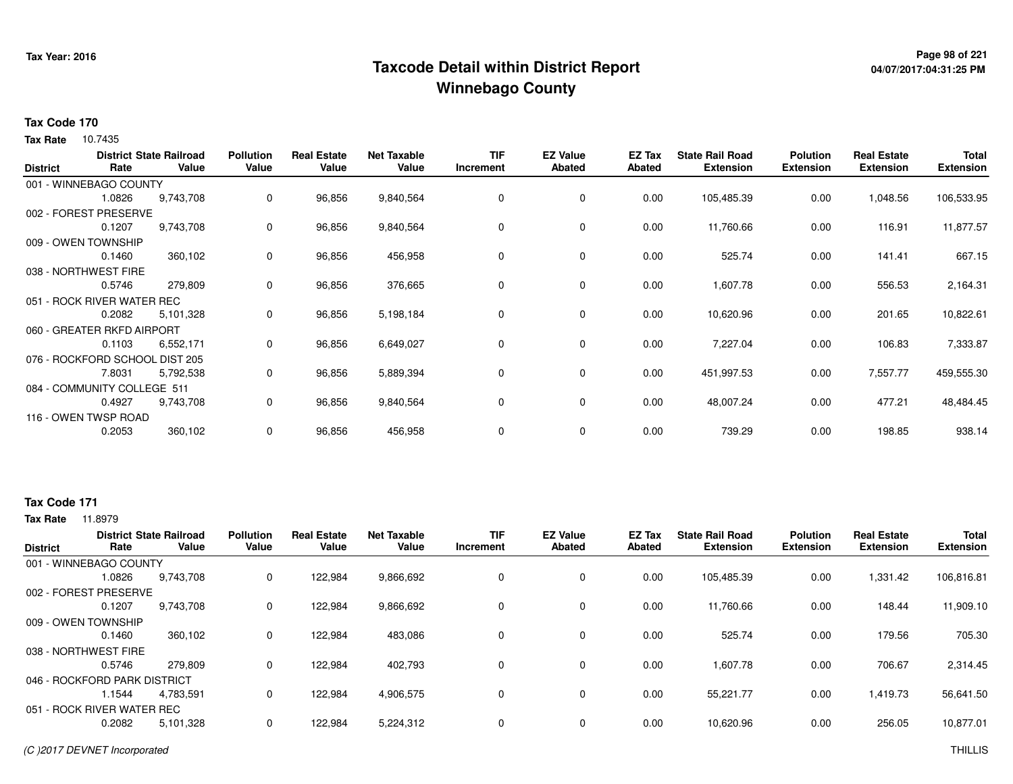## **Page 98 of 221 Taxcode Detail within District ReportWinnebago County**

# **04/07/2017:04:31:25 PM**

#### **Tax Code 170**

**Tax Rate** 10.7435

| <b>District</b> | Rate                           | <b>District State Railroad</b><br>Value | <b>Pollution</b><br>Value | <b>Real Estate</b><br>Value | <b>Net Taxable</b><br>Value | TIF<br>Increment | <b>EZ Value</b><br><b>Abated</b> | EZ Tax<br><b>Abated</b> | <b>State Rail Road</b><br><b>Extension</b> | <b>Polution</b><br><b>Extension</b> | <b>Real Estate</b><br><b>Extension</b> | <b>Total</b><br><b>Extension</b> |
|-----------------|--------------------------------|-----------------------------------------|---------------------------|-----------------------------|-----------------------------|------------------|----------------------------------|-------------------------|--------------------------------------------|-------------------------------------|----------------------------------------|----------------------------------|
|                 | 001 - WINNEBAGO COUNTY         |                                         |                           |                             |                             |                  |                                  |                         |                                            |                                     |                                        |                                  |
|                 | 1.0826                         | 9,743,708                               | 0                         | 96,856                      | 9,840,564                   | 0                | 0                                | 0.00                    | 105,485.39                                 | 0.00                                | 1,048.56                               | 106,533.95                       |
|                 | 002 - FOREST PRESERVE          |                                         |                           |                             |                             |                  |                                  |                         |                                            |                                     |                                        |                                  |
|                 | 0.1207                         | 9,743,708                               | 0                         | 96,856                      | 9,840,564                   | 0                | 0                                | 0.00                    | 11,760.66                                  | 0.00                                | 116.91                                 | 11,877.57                        |
|                 | 009 - OWEN TOWNSHIP            |                                         |                           |                             |                             |                  |                                  |                         |                                            |                                     |                                        |                                  |
|                 | 0.1460                         | 360,102                                 | 0                         | 96,856                      | 456,958                     |                  | $\mathbf 0$                      | 0.00                    | 525.74                                     | 0.00                                | 141.41                                 | 667.15                           |
|                 | 038 - NORTHWEST FIRE           |                                         |                           |                             |                             |                  |                                  |                         |                                            |                                     |                                        |                                  |
|                 | 0.5746                         | 279,809                                 | 0                         | 96,856                      | 376,665                     |                  | 0                                | 0.00                    | 1,607.78                                   | 0.00                                | 556.53                                 | 2,164.31                         |
|                 | 051 - ROCK RIVER WATER REC     |                                         |                           |                             |                             |                  |                                  |                         |                                            |                                     |                                        |                                  |
|                 | 0.2082                         | 5,101,328                               | 0                         | 96,856                      | 5,198,184                   | 0                | $\mathbf 0$                      | 0.00                    | 10,620.96                                  | 0.00                                | 201.65                                 | 10,822.61                        |
|                 | 060 - GREATER RKFD AIRPORT     |                                         |                           |                             |                             |                  |                                  |                         |                                            |                                     |                                        |                                  |
|                 | 0.1103                         | 6,552,171                               | 0                         | 96,856                      | 6,649,027                   | $\Omega$         | 0                                | 0.00                    | 7,227.04                                   | 0.00                                | 106.83                                 | 7,333.87                         |
|                 | 076 - ROCKFORD SCHOOL DIST 205 |                                         |                           |                             |                             |                  |                                  |                         |                                            |                                     |                                        |                                  |
|                 | 7.8031                         | 5,792,538                               | 0                         | 96,856                      | 5,889,394                   | 0                | $\mathbf 0$                      | 0.00                    | 451,997.53                                 | 0.00                                | 7,557.77                               | 459,555.30                       |
|                 | 084 - COMMUNITY COLLEGE 511    |                                         |                           |                             |                             |                  |                                  |                         |                                            |                                     |                                        |                                  |
|                 | 0.4927                         | 9,743,708                               | 0                         | 96,856                      | 9,840,564                   |                  | $\mathbf 0$                      | 0.00                    | 48,007.24                                  | 0.00                                | 477.21                                 | 48,484.45                        |
|                 | 116 - OWEN TWSP ROAD           |                                         |                           |                             |                             |                  |                                  |                         |                                            |                                     |                                        |                                  |
|                 | 0.2053                         | 360,102                                 | 0                         | 96,856                      | 456,958                     | 0                | 0                                | 0.00                    | 739.29                                     | 0.00                                | 198.85                                 | 938.14                           |

### **Tax Code 171**

|                              |        | <b>District State Railroad</b> | <b>Pollution</b> | <b>Real Estate</b> | Net Taxable | <b>TIF</b> | <b>EZ Value</b> | EZ Tax | <b>State Rail Road</b> | <b>Polution</b>  | <b>Real Estate</b> | <b>Total</b>     |
|------------------------------|--------|--------------------------------|------------------|--------------------|-------------|------------|-----------------|--------|------------------------|------------------|--------------------|------------------|
| <b>District</b>              | Rate   | Value                          | Value            | Value              | Value       | Increment  | Abated          | Abated | <b>Extension</b>       | <b>Extension</b> | <b>Extension</b>   | <b>Extension</b> |
| 001 - WINNEBAGO COUNTY       |        |                                |                  |                    |             |            |                 |        |                        |                  |                    |                  |
|                              | 1.0826 | 9,743,708                      | 0                | 122,984            | 9,866,692   |            | 0               | 0.00   | 105,485.39             | 0.00             | 1,331.42           | 106,816.81       |
| 002 - FOREST PRESERVE        |        |                                |                  |                    |             |            |                 |        |                        |                  |                    |                  |
|                              | 0.1207 | 9,743,708                      | 0                | 122,984            | 9,866,692   |            | $\Omega$        | 0.00   | 11.760.66              | 0.00             | 148.44             | 11,909.10        |
| 009 - OWEN TOWNSHIP          |        |                                |                  |                    |             |            |                 |        |                        |                  |                    |                  |
|                              | 0.1460 | 360,102                        | 0                | 122,984            | 483,086     |            | 0               | 0.00   | 525.74                 | 0.00             | 179.56             | 705.30           |
| 038 - NORTHWEST FIRE         |        |                                |                  |                    |             |            |                 |        |                        |                  |                    |                  |
|                              | 0.5746 | 279,809                        | 0                | 122,984            | 402,793     | $\Omega$   | 0               | 0.00   | 1,607.78               | 0.00             | 706.67             | 2,314.45         |
| 046 - ROCKFORD PARK DISTRICT |        |                                |                  |                    |             |            |                 |        |                        |                  |                    |                  |
|                              | 1.1544 | 4.783.591                      | 0                | 122,984            | 4,906,575   |            | $\Omega$        | 0.00   | 55,221.77              | 0.00             | 1,419.73           | 56,641.50        |
| 051 - ROCK RIVER WATER REC   |        |                                |                  |                    |             |            |                 |        |                        |                  |                    |                  |
|                              | 0.2082 | 5,101,328                      | 0                | 122,984            | 5,224,312   |            | $\Omega$        | 0.00   | 10,620.96              | 0.00             | 256.05             | 10,877.01        |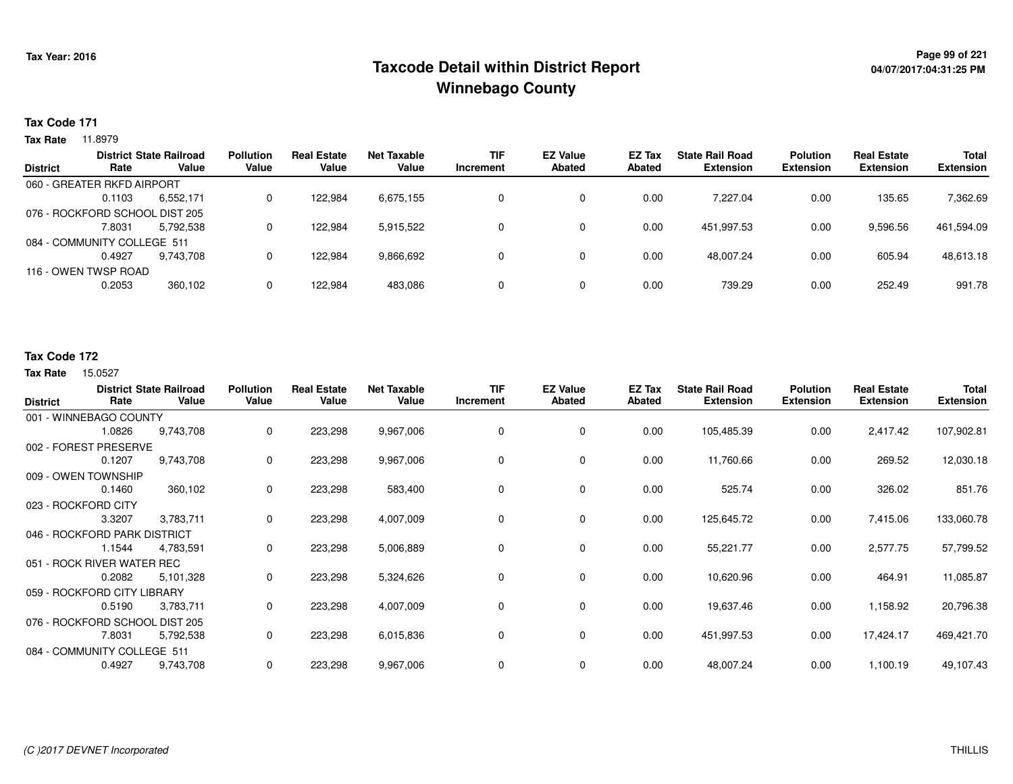## **Page 99 of 221 Taxcode Detail within District ReportWinnebago County**

### **Tax Code 171**

**Tax Rate** 11.8979

|                 |                                | <b>District State Railroad</b> | <b>Pollution</b> | <b>Real Estate</b> | <b>Net Taxable</b> | TIF       | <b>EZ Value</b> | <b>EZ Tax</b> | <b>State Rail Road</b> | <b>Polution</b>  | <b>Real Estate</b> | Total            |
|-----------------|--------------------------------|--------------------------------|------------------|--------------------|--------------------|-----------|-----------------|---------------|------------------------|------------------|--------------------|------------------|
| <b>District</b> | Rate                           | Value                          | Value            | Value              | Value              | Increment | <b>Abated</b>   | Abated        | <b>Extension</b>       | <b>Extension</b> | <b>Extension</b>   | <b>Extension</b> |
|                 | 060 - GREATER RKFD AIRPORT     |                                |                  |                    |                    |           |                 |               |                        |                  |                    |                  |
|                 | 0.1103                         | 6,552,171                      |                  | 122.984            | 6,675,155          |           | 0               | 0.00          | 7.227.04               | 0.00             | 135.65             | 7,362.69         |
|                 | 076 - ROCKFORD SCHOOL DIST 205 |                                |                  |                    |                    |           |                 |               |                        |                  |                    |                  |
|                 | 7.8031                         | 5,792,538                      |                  | 122.984            | 5,915,522          |           | 0               | 0.00          | 451.997.53             | 0.00             | 9,596.56           | 461,594.09       |
|                 | 084 - COMMUNITY COLLEGE 511    |                                |                  |                    |                    |           |                 |               |                        |                  |                    |                  |
|                 | 0.4927                         | 9.743.708                      |                  | 122.984            | 9,866,692          |           | 0               | 0.00          | 48.007.24              | 0.00             | 605.94             | 48,613.18        |
|                 | 116 - OWEN TWSP ROAD           |                                |                  |                    |                    |           |                 |               |                        |                  |                    |                  |
|                 | 0.2053                         | 360,102                        |                  | 122.984            | 483,086            |           | 0               | 0.00          | 739.29                 | 0.00             | 252.49             | 991.78           |
|                 |                                |                                |                  |                    |                    |           |                 |               |                        |                  |                    |                  |

### **Tax Code 172**

| <b>District</b>                | Rate                         | <b>District State Railroad</b><br>Value | <b>Pollution</b><br>Value | <b>Real Estate</b><br>Value | <b>Net Taxable</b><br>Value | <b>TIF</b><br>Increment | <b>EZ Value</b><br><b>Abated</b> | <b>EZ Tax</b><br><b>Abated</b> | <b>State Rail Road</b><br><b>Extension</b> | <b>Polution</b><br><b>Extension</b> | <b>Real Estate</b><br><b>Extension</b> | <b>Total</b><br><b>Extension</b> |
|--------------------------------|------------------------------|-----------------------------------------|---------------------------|-----------------------------|-----------------------------|-------------------------|----------------------------------|--------------------------------|--------------------------------------------|-------------------------------------|----------------------------------------|----------------------------------|
|                                | 001 - WINNEBAGO COUNTY       |                                         |                           |                             |                             |                         |                                  |                                |                                            |                                     |                                        |                                  |
|                                | 1.0826                       | 9,743,708                               | 0                         | 223,298                     | 9,967,006                   | 0                       | 0                                | 0.00                           | 105,485.39                                 | 0.00                                | 2,417.42                               | 107,902.81                       |
|                                | 002 - FOREST PRESERVE        |                                         |                           |                             |                             |                         |                                  |                                |                                            |                                     |                                        |                                  |
|                                | 0.1207                       | 9,743,708                               | 0                         | 223,298                     | 9,967,006                   | 0                       | 0                                | 0.00                           | 11,760.66                                  | 0.00                                | 269.52                                 | 12,030.18                        |
|                                | 009 - OWEN TOWNSHIP          |                                         |                           |                             |                             |                         |                                  |                                |                                            |                                     |                                        |                                  |
|                                | 0.1460                       | 360,102                                 | 0                         | 223,298                     | 583,400                     | 0                       | 0                                | 0.00                           | 525.74                                     | 0.00                                | 326.02                                 | 851.76                           |
|                                | 023 - ROCKFORD CITY          |                                         |                           |                             |                             |                         |                                  |                                |                                            |                                     |                                        |                                  |
|                                | 3.3207                       | 3,783,711                               | 0                         | 223,298                     | 4,007,009                   | 0                       | 0                                | 0.00                           | 125,645.72                                 | 0.00                                | 7,415.06                               | 133,060.78                       |
|                                | 046 - ROCKFORD PARK DISTRICT |                                         |                           |                             |                             |                         |                                  |                                |                                            |                                     |                                        |                                  |
|                                | 1.1544                       | 4,783,591                               | 0                         | 223,298                     | 5,006,889                   | 0                       | 0                                | 0.00                           | 55,221.77                                  | 0.00                                | 2,577.75                               | 57,799.52                        |
|                                | 051 - ROCK RIVER WATER REC   |                                         |                           |                             |                             |                         |                                  |                                |                                            |                                     |                                        |                                  |
|                                | 0.2082                       | 5,101,328                               | 0                         | 223,298                     | 5,324,626                   | 0                       | 0                                | 0.00                           | 10,620.96                                  | 0.00                                | 464.91                                 | 11,085.87                        |
|                                | 059 - ROCKFORD CITY LIBRARY  |                                         |                           |                             |                             |                         |                                  |                                |                                            |                                     |                                        |                                  |
|                                | 0.5190                       | 3,783,711                               | 0                         | 223,298                     | 4,007,009                   | 0                       | 0                                | 0.00                           | 19,637.46                                  | 0.00                                | 1,158.92                               | 20,796.38                        |
| 076 - ROCKFORD SCHOOL DIST 205 |                              |                                         |                           |                             |                             |                         |                                  |                                |                                            |                                     |                                        |                                  |
|                                | 7.8031                       | 5,792,538                               | 0                         | 223,298                     | 6,015,836                   | 0                       | 0                                | 0.00                           | 451,997.53                                 | 0.00                                | 17,424.17                              | 469,421.70                       |
| 084 - COMMUNITY COLLEGE 511    |                              |                                         |                           |                             |                             |                         |                                  |                                |                                            |                                     |                                        |                                  |
|                                | 0.4927                       | 9,743,708                               | 0                         | 223,298                     | 9,967,006                   | 0                       | 0                                | 0.00                           | 48,007.24                                  | 0.00                                | 1,100.19                               | 49,107.43                        |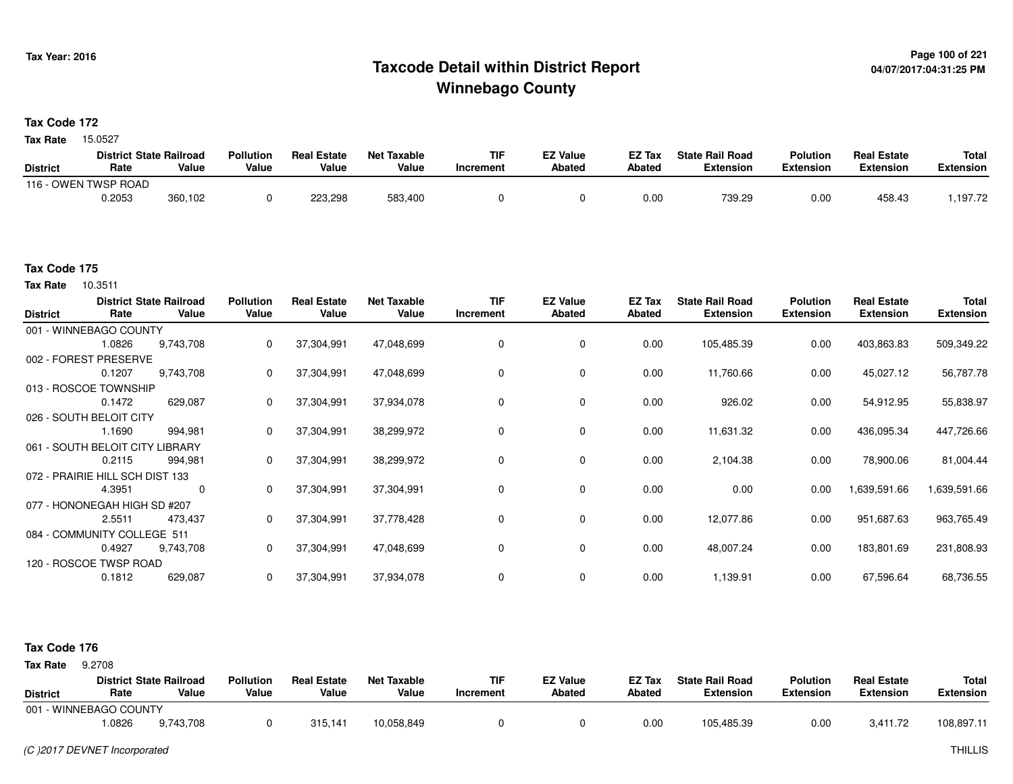### **Page 100 of 221 Taxcode Detail within District ReportWinnebago County**

**Tax Code 172**

15.0527 **Tax Rate**

|                 | <b>District State Railroad</b> |         | <b>Pollution</b> | <b>Real Estate</b> | Net Taxable | TIF       | <b>EZ Value</b> | EZ Tax | <b>State Rail Road</b> | <b>Polution</b>  | <b>Real Estate</b> | <b>Total</b> |
|-----------------|--------------------------------|---------|------------------|--------------------|-------------|-----------|-----------------|--------|------------------------|------------------|--------------------|--------------|
| <b>District</b> | Rate                           | Value   | Value            | Value              | Value       | Increment | <b>Abated</b>   | Abated | Extension              | <b>Extension</b> | <b>Extension</b>   | Extension    |
|                 | 116 - OWEN TWSP ROAD           |         |                  |                    |             |           |                 |        |                        |                  |                    |              |
|                 | 0.2053                         | 360,102 |                  | 223,298            | 583,400     |           |                 | 0.00   | 739.29                 | 0.00             | 458.43             | ,197.72      |

#### **Tax Code 175**

10.3511 **Tax Rate**

| <b>District</b> | Rate                            | <b>District State Railroad</b><br>Value | <b>Pollution</b><br>Value | <b>Real Estate</b><br>Value | <b>Net Taxable</b><br>Value | <b>TIF</b><br>Increment | <b>EZ Value</b><br><b>Abated</b> | EZ Tax<br>Abated | <b>State Rail Road</b><br><b>Extension</b> | <b>Polution</b><br><b>Extension</b> | <b>Real Estate</b><br><b>Extension</b> | Total<br><b>Extension</b> |
|-----------------|---------------------------------|-----------------------------------------|---------------------------|-----------------------------|-----------------------------|-------------------------|----------------------------------|------------------|--------------------------------------------|-------------------------------------|----------------------------------------|---------------------------|
|                 | 001 - WINNEBAGO COUNTY          |                                         |                           |                             |                             |                         |                                  |                  |                                            |                                     |                                        |                           |
|                 | 1.0826                          | 9,743,708                               | 0                         | 37,304,991                  | 47,048,699                  | 0                       | $\mathbf 0$                      | 0.00             | 105,485.39                                 | 0.00                                | 403,863.83                             | 509,349.22                |
|                 | 002 - FOREST PRESERVE           |                                         |                           |                             |                             |                         |                                  |                  |                                            |                                     |                                        |                           |
|                 | 0.1207                          | 9,743,708                               | 0                         | 37,304,991                  | 47,048,699                  | $\Omega$                | 0                                | 0.00             | 11,760.66                                  | 0.00                                | 45,027.12                              | 56,787.78                 |
|                 | 013 - ROSCOE TOWNSHIP           |                                         |                           |                             |                             |                         |                                  |                  |                                            |                                     |                                        |                           |
|                 | 0.1472                          | 629,087                                 | 0                         | 37,304,991                  | 37,934,078                  | 0                       | 0                                | 0.00             | 926.02                                     | 0.00                                | 54,912.95                              | 55,838.97                 |
|                 | 026 - SOUTH BELOIT CITY         |                                         |                           |                             |                             |                         |                                  |                  |                                            |                                     |                                        |                           |
|                 | 1.1690                          | 994,981                                 | 0                         | 37,304,991                  | 38,299,972                  | $\Omega$                | $\mathbf 0$                      | 0.00             | 11,631.32                                  | 0.00                                | 436,095.34                             | 447,726.66                |
|                 | 061 - SOUTH BELOIT CITY         | .IBRARY                                 |                           |                             |                             |                         |                                  |                  |                                            |                                     |                                        |                           |
|                 | 0.2115                          | 994,981                                 | 0                         | 37,304,991                  | 38,299,972                  | $\mathbf 0$             | 0                                | 0.00             | 2,104.38                                   | 0.00                                | 78,900.06                              | 81,004.44                 |
|                 | 072 - PRAIRIE HILL SCH DIST 133 |                                         |                           |                             |                             |                         |                                  |                  |                                            |                                     |                                        |                           |
|                 | 4.3951                          | 0                                       | $\mathbf{0}$              | 37,304,991                  | 37,304,991                  | 0                       | $\mathbf 0$                      | 0.00             | 0.00                                       | 0.00                                | 1,639,591.66                           | 1,639,591.66              |
|                 | 077 - HONONEGAH HIGH SD #207    |                                         |                           |                             |                             |                         |                                  |                  |                                            |                                     |                                        |                           |
|                 | 2.5511                          | 473,437                                 | 0                         | 37,304,991                  | 37,778,428                  | 0                       | 0                                | 0.00             | 12,077.86                                  | 0.00                                | 951,687.63                             | 963,765.49                |
|                 | 084 - COMMUNITY COLLEGE 511     |                                         |                           |                             |                             |                         |                                  |                  |                                            |                                     |                                        |                           |
|                 | 0.4927                          | 9,743,708                               | 0                         | 37,304,991                  | 47,048,699                  | 0                       | 0                                | 0.00             | 48,007.24                                  | 0.00                                | 183,801.69                             | 231,808.93                |
|                 | 120 - ROSCOE TWSP ROAD          |                                         |                           |                             |                             |                         |                                  |                  |                                            |                                     |                                        |                           |
|                 | 0.1812                          | 629,087                                 | 0                         | 37,304,991                  | 37,934,078                  | 0                       | 0                                | 0.00             | 1,139.91                                   | 0.00                                | 67,596.64                              | 68,736.55                 |

#### **Tax Code 176**

**State Railroad District ValueTIF IncrementEZ Value AbatedReal Estate ExtensionTotal ExtensionTax Rate** 9.2708 **DistrictPollution ValueReal Estate ValueNet Taxable Value Rate** 001 - WINNEBAGO COUNTY**Polution ExtensionState Rail Road ExtensionEZ Tax Abated**3,411.72 108,897.119,743,708 1.08266 9,743,708 0 315,141 10,058,849 0 0 0 0.00 105,485.39 0.00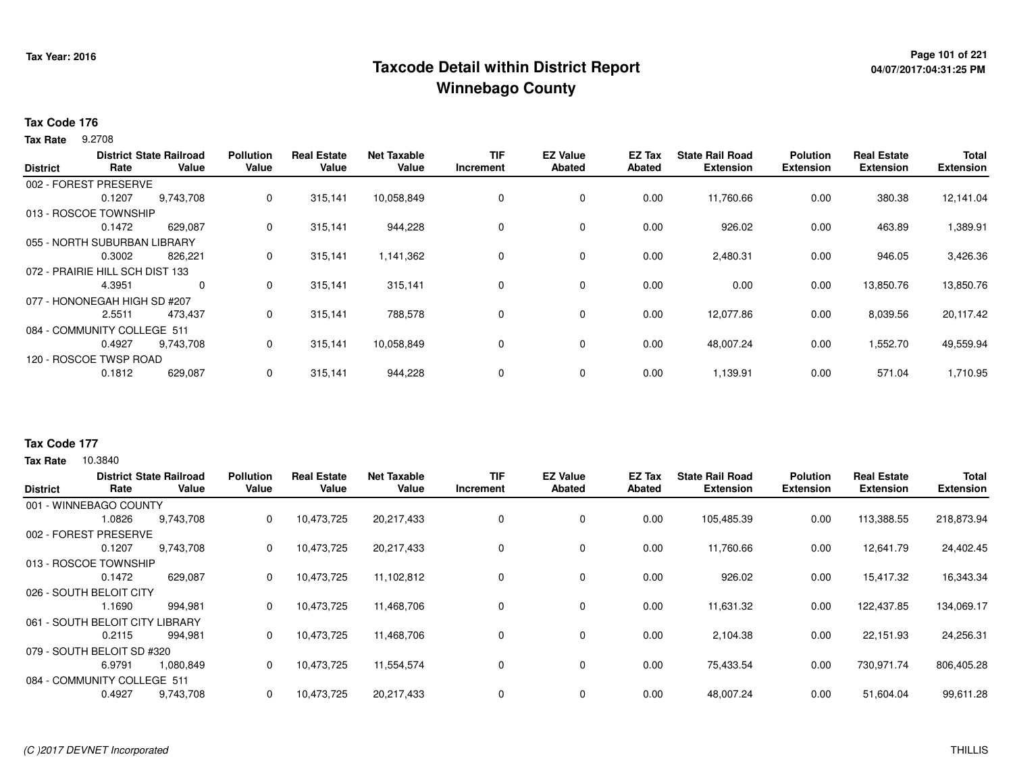## **Page 101 of 221 Taxcode Detail within District ReportWinnebago County**

#### **Tax Code 176**

**Tax Rate** 9.2708

|                 |                                 | <b>District State Railroad</b> | <b>Pollution</b> | <b>Real Estate</b> | Net Taxable | <b>TIF</b> | <b>EZ Value</b> | <b>EZ Tax</b> | <b>State Rail Road</b> | <b>Polution</b>  | <b>Real Estate</b> | <b>Total</b>     |
|-----------------|---------------------------------|--------------------------------|------------------|--------------------|-------------|------------|-----------------|---------------|------------------------|------------------|--------------------|------------------|
| <b>District</b> | Rate                            | Value                          | Value            | Value              | Value       | Increment  | Abated          | Abated        | <b>Extension</b>       | <b>Extension</b> | <b>Extension</b>   | <b>Extension</b> |
|                 | 002 - FOREST PRESERVE           |                                |                  |                    |             |            |                 |               |                        |                  |                    |                  |
|                 | 0.1207                          | 9,743,708                      | 0                | 315,141            | 10,058,849  | 0          | $\mathbf 0$     | 0.00          | 11,760.66              | 0.00             | 380.38             | 12,141.04        |
|                 | 013 - ROSCOE TOWNSHIP           |                                |                  |                    |             |            |                 |               |                        |                  |                    |                  |
|                 | 0.1472                          | 629,087                        | 0                | 315,141            | 944,228     | 0          | $\mathbf 0$     | 0.00          | 926.02                 | 0.00             | 463.89             | 1,389.91         |
|                 | 055 - NORTH SUBURBAN LIBRARY    |                                |                  |                    |             |            |                 |               |                        |                  |                    |                  |
|                 | 0.3002                          | 826,221                        | 0                | 315,141            | 1,141,362   | 0          | $\mathbf 0$     | 0.00          | 2,480.31               | 0.00             | 946.05             | 3,426.36         |
|                 | 072 - PRAIRIE HILL SCH DIST 133 |                                |                  |                    |             |            |                 |               |                        |                  |                    |                  |
|                 | 4.3951                          | $\Omega$                       | 0                | 315,141            | 315,141     | $\Omega$   | $\mathbf 0$     | 0.00          | 0.00                   | 0.00             | 13,850.76          | 13,850.76        |
|                 | 077 - HONONEGAH HIGH SD #207    |                                |                  |                    |             |            |                 |               |                        |                  |                    |                  |
|                 | 2.5511                          | 473,437                        | 0                | 315,141            | 788,578     | 0          | $\mathbf 0$     | 0.00          | 12,077.86              | 0.00             | 8,039.56           | 20,117.42        |
|                 | 084 - COMMUNITY COLLEGE 511     |                                |                  |                    |             |            |                 |               |                        |                  |                    |                  |
|                 | 0.4927                          | 9,743,708                      | 0                | 315,141            | 10,058,849  | 0          | 0               | 0.00          | 48,007.24              | 0.00             | 1,552.70           | 49,559.94        |
|                 | 120 - ROSCOE TWSP ROAD          |                                |                  |                    |             |            |                 |               |                        |                  |                    |                  |
|                 | 0.1812                          | 629,087                        | 0                | 315,141            | 944,228     | 0          | $\mathbf 0$     | 0.00          | 1,139.91               | 0.00             | 571.04             | 1,710.95         |
|                 |                                 |                                |                  |                    |             |            |                 |               |                        |                  |                    |                  |

### **Tax Code 177**

| <b>District</b>         | Rate                            | <b>District State Railroad</b><br>Value | <b>Pollution</b><br>Value | l Estate<br>Real<br>Value | <b>Net Taxable</b><br>Value | <b>TIF</b><br>Increment | <b>EZ Value</b><br><b>Abated</b> | EZ Tax<br>Abated | <b>State Rail Road</b><br><b>Extension</b> | <b>Polution</b><br><b>Extension</b> | <b>Real Estate</b><br><b>Extension</b> | <b>Total</b><br><b>Extension</b> |
|-------------------------|---------------------------------|-----------------------------------------|---------------------------|---------------------------|-----------------------------|-------------------------|----------------------------------|------------------|--------------------------------------------|-------------------------------------|----------------------------------------|----------------------------------|
|                         | 001 - WINNEBAGO COUNTY          |                                         |                           |                           |                             |                         |                                  |                  |                                            |                                     |                                        |                                  |
|                         | 1.0826                          | 9,743,708                               | 0                         | 10,473,725                | 20,217,433                  | 0                       | 0                                | 0.00             | 105,485.39                                 | 0.00                                | 113,388.55                             | 218,873.94                       |
| 002 - FOREST            | PRESERVE                        |                                         |                           |                           |                             |                         |                                  |                  |                                            |                                     |                                        |                                  |
|                         | 0.1207                          | 9,743,708                               | 0                         | 10,473,725                | 20,217,433                  | 0                       | 0                                | 0.00             | 11,760.66                                  | 0.00                                | 12,641.79                              | 24,402.45                        |
|                         | 013 - ROSCOE TOWNSHIP           |                                         |                           |                           |                             |                         |                                  |                  |                                            |                                     |                                        |                                  |
|                         | 0.1472                          | 629,087                                 | 0                         | 10,473,725                | 11,102,812                  | 0                       | $\mathbf 0$                      | 0.00             | 926.02                                     | 0.00                                | 15,417.32                              | 16,343.34                        |
| 026 - SOUTH BELOIT CITY |                                 |                                         |                           |                           |                             |                         |                                  |                  |                                            |                                     |                                        |                                  |
|                         | 1.1690                          | 994,981                                 | 0                         | 10,473,725                | 11,468,706                  | 0                       | $\mathbf 0$                      | 0.00             | 11,631.32                                  | 0.00                                | 122,437.85                             | 134,069.17                       |
|                         | 061 - SOUTH BELOIT CITY LIBRARY |                                         |                           |                           |                             |                         |                                  |                  |                                            |                                     |                                        |                                  |
|                         | 0.2115                          | 994,981                                 | 0                         | 10,473,725                | 11,468,706                  | 0                       | $\mathbf 0$                      | 0.00             | 2,104.38                                   | 0.00                                | 22,151.93                              | 24,256.31                        |
|                         | 079 - SOUTH BELOIT SD #320      |                                         |                           |                           |                             |                         |                                  |                  |                                            |                                     |                                        |                                  |
|                         | 6.9791                          | 1,080,849                               | 0                         | 10,473,725                | 11,554,574                  | 0                       | $\mathbf 0$                      | 0.00             | 75,433.54                                  | 0.00                                | 730,971.74                             | 806,405.28                       |
|                         | 084 - COMMUNITY COLLEGE 511     |                                         |                           |                           |                             |                         |                                  |                  |                                            |                                     |                                        |                                  |
|                         | 0.4927                          | 9,743,708                               | 0                         | 10.473.725                | 20,217,433                  | 0                       | 0                                | 0.00             | 48,007.24                                  | 0.00                                | 51.604.04                              | 99,611.28                        |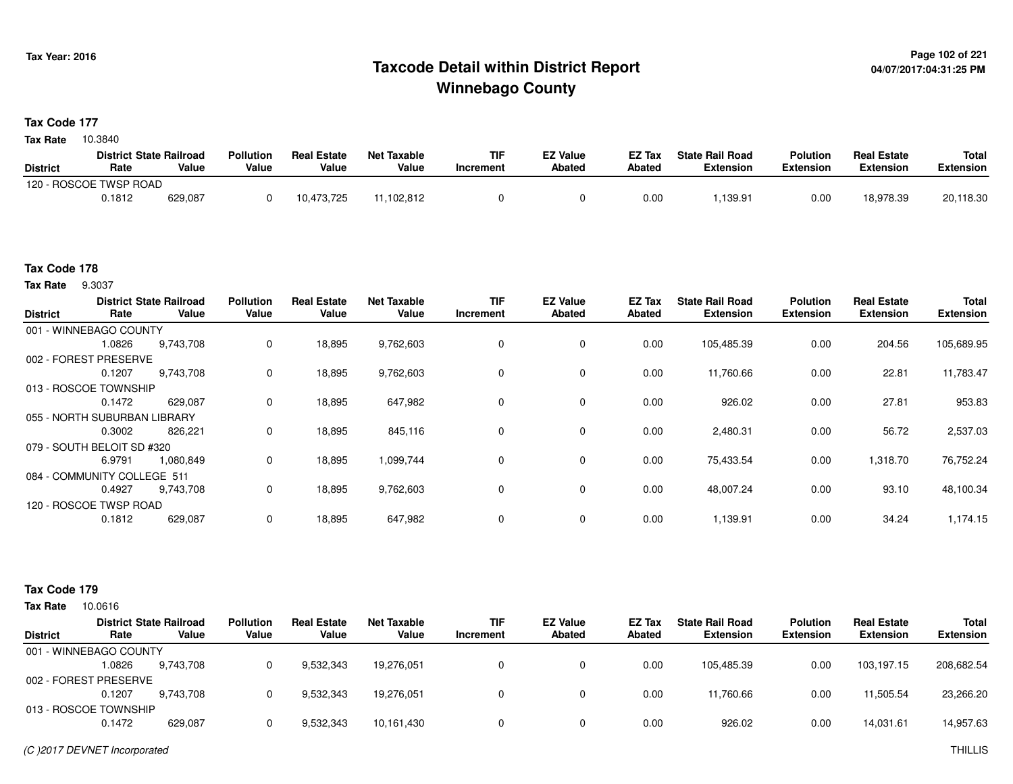## **Page 102 of 221 Taxcode Detail within District ReportWinnebago County**

#### **Tax Code 177**

10.3840 **Tax Rate**

|                 | <b>District State Railroad</b> |         | <b>Pollution</b> | <b>Real Estate</b> | Net Taxable | <b>TIF</b> | <b>EZ Value</b> | <b>EZ Tax</b> | <b>State Rail Road</b> | <b>Polution</b>  | <b>Real Estate</b> | <b>Total</b> |
|-----------------|--------------------------------|---------|------------------|--------------------|-------------|------------|-----------------|---------------|------------------------|------------------|--------------------|--------------|
| <b>District</b> | Rate                           | Value   | Value            | Value              | Value       | Increment  | <b>Abated</b>   | <b>Abated</b> | <b>Extension</b>       | <b>Extension</b> | <b>Extension</b>   | Extension    |
|                 | 120 - ROSCOE TWSP ROAD         |         |                  |                    |             |            |                 |               |                        |                  |                    |              |
|                 | 0.1812                         | 629,087 |                  | 10,473,725         | .102.812    |            |                 | 0.00          | ,139.91                | 0.00             | 18,978.39          | 20,118.30    |

#### **Tax Code 178**

**Tax Rate** 9.3037

| <b>District</b> | Rate                         | <b>District State Railroad</b><br>Value | <b>Pollution</b><br>Value | <b>Real Estate</b><br>Value | <b>Net Taxable</b><br>Value | <b>TIF</b><br>Increment | <b>EZ Value</b><br><b>Abated</b> | EZ Tax<br><b>Abated</b> | <b>State Rail Road</b><br><b>Extension</b> | <b>Polution</b><br><b>Extension</b> | <b>Real Estate</b><br><b>Extension</b> | <b>Total</b><br><b>Extension</b> |
|-----------------|------------------------------|-----------------------------------------|---------------------------|-----------------------------|-----------------------------|-------------------------|----------------------------------|-------------------------|--------------------------------------------|-------------------------------------|----------------------------------------|----------------------------------|
|                 | 001 - WINNEBAGO COUNTY       |                                         |                           |                             |                             |                         |                                  |                         |                                            |                                     |                                        |                                  |
|                 | 1.0826                       | 9,743,708                               | 0                         | 18,895                      | 9,762,603                   | 0                       | 0                                | 0.00                    | 105,485.39                                 | 0.00                                | 204.56                                 | 105,689.95                       |
|                 | 002 - FOREST PRESERVE        |                                         |                           |                             |                             |                         |                                  |                         |                                            |                                     |                                        |                                  |
|                 | 0.1207                       | 9,743,708                               | 0                         | 18,895                      | 9,762,603                   | $\Omega$                | 0                                | 0.00                    | 11,760.66                                  | 0.00                                | 22.81                                  | 11,783.47                        |
|                 | 013 - ROSCOE TOWNSHIP        |                                         |                           |                             |                             |                         |                                  |                         |                                            |                                     |                                        |                                  |
|                 | 0.1472                       | 629,087                                 | 0                         | 18,895                      | 647,982                     | 0                       | 0                                | 0.00                    | 926.02                                     | 0.00                                | 27.81                                  | 953.83                           |
|                 | 055 - NORTH SUBURBAN LIBRARY |                                         |                           |                             |                             |                         |                                  |                         |                                            |                                     |                                        |                                  |
|                 | 0.3002                       | 826,221                                 | 0                         | 18,895                      | 845,116                     | $\Omega$                | 0                                | 0.00                    | 2,480.31                                   | 0.00                                | 56.72                                  | 2,537.03                         |
|                 | 079 - SOUTH BELOIT SD #320   |                                         |                           |                             |                             |                         |                                  |                         |                                            |                                     |                                        |                                  |
|                 | 6.9791                       | 1,080,849                               | 0                         | 18,895                      | 1,099,744                   | 0                       | 0                                | 0.00                    | 75,433.54                                  | 0.00                                | 1,318.70                               | 76,752.24                        |
|                 | 084 - COMMUNITY COLLEGE 511  |                                         |                           |                             |                             |                         |                                  |                         |                                            |                                     |                                        |                                  |
|                 | 0.4927                       | 9,743,708                               | 0                         | 18,895                      | 9,762,603                   | 0                       | $\mathbf 0$                      | 0.00                    | 48,007.24                                  | 0.00                                | 93.10                                  | 48,100.34                        |
|                 | 120 - ROSCOE TWSP ROAD       |                                         |                           |                             |                             |                         |                                  |                         |                                            |                                     |                                        |                                  |
|                 | 0.1812                       | 629,087                                 | 0                         | 18.895                      | 647,982                     | $\Omega$                | $\mathbf{0}$                     | 0.00                    | 1,139.91                                   | 0.00                                | 34.24                                  | 1,174.15                         |

#### **Tax Code 179**

| Tax Rate        | 10.0616                |                                         |                           |                             |                             |                         |                                  |                  |                                            |                                     |                                        |                                  |
|-----------------|------------------------|-----------------------------------------|---------------------------|-----------------------------|-----------------------------|-------------------------|----------------------------------|------------------|--------------------------------------------|-------------------------------------|----------------------------------------|----------------------------------|
| <b>District</b> | Rate                   | <b>District State Railroad</b><br>Value | <b>Pollution</b><br>Value | <b>Real Estate</b><br>Value | <b>Net Taxable</b><br>Value | <b>TIF</b><br>Increment | <b>EZ Value</b><br><b>Abated</b> | EZ Tax<br>Abated | <b>State Rail Road</b><br><b>Extension</b> | <b>Polution</b><br><b>Extension</b> | <b>Real Estate</b><br><b>Extension</b> | <b>Total</b><br><b>Extension</b> |
|                 | 001 - WINNEBAGO COUNTY |                                         |                           |                             |                             |                         |                                  |                  |                                            |                                     |                                        |                                  |
|                 | 1.0826                 | 9,743,708                               |                           | 9,532,343                   | 19.276.051                  |                         |                                  | 0.00             | 105.485.39                                 | 0.00                                | 103.197.15                             | 208,682.54                       |
|                 | 002 - FOREST PRESERVE  |                                         |                           |                             |                             |                         |                                  |                  |                                            |                                     |                                        |                                  |
|                 | 0.1207                 | 9.743.708                               |                           | 9,532,343                   | 19.276.051                  |                         |                                  | 0.00             | 11.760.66                                  | 0.00                                | 11.505.54                              | 23,266.20                        |
|                 | 013 - ROSCOE TOWNSHIP  |                                         |                           |                             |                             |                         |                                  |                  |                                            |                                     |                                        |                                  |
|                 | 0.1472                 | 629,087                                 |                           | 9,532,343                   | 10,161,430                  |                         |                                  | 0.00             | 926.02                                     | 0.00                                | 14,031.61                              | 14,957.63                        |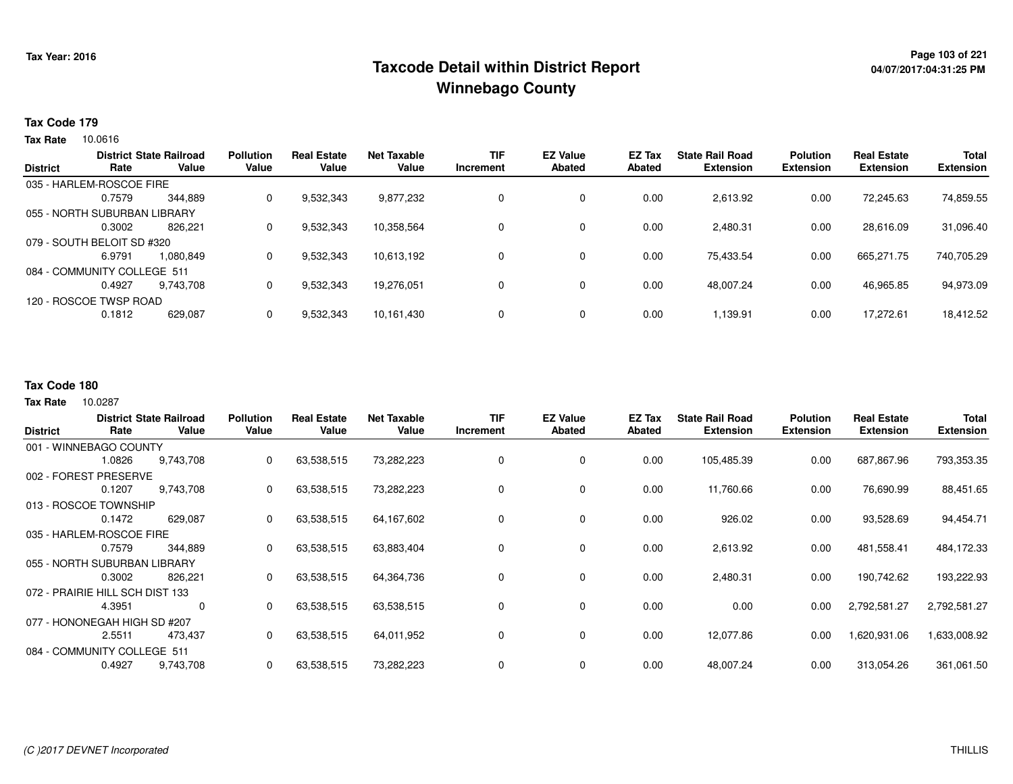## **Page 103 of 221 Taxcode Detail within District ReportWinnebago County**

#### **Tax Code 179**

**Tax Rate** 10.0616

| <b>District</b> | Rate                         | <b>District State Railroad</b><br>Value | <b>Pollution</b><br>Value | <b>Real Estate</b><br>Value | <b>Net Taxable</b><br>Value | <b>TIF</b><br>Increment | <b>EZ Value</b><br><b>Abated</b> | <b>EZ Tax</b><br>Abated | <b>State Rail Road</b><br><b>Extension</b> | <b>Polution</b><br><b>Extension</b> | <b>Real Estate</b><br><b>Extension</b> | <b>Total</b><br><b>Extension</b> |
|-----------------|------------------------------|-----------------------------------------|---------------------------|-----------------------------|-----------------------------|-------------------------|----------------------------------|-------------------------|--------------------------------------------|-------------------------------------|----------------------------------------|----------------------------------|
|                 | 035 - HARLEM-ROSCOE FIRE     |                                         |                           |                             |                             |                         |                                  |                         |                                            |                                     |                                        |                                  |
|                 | 0.7579                       | 344.889                                 | 0                         | 9,532,343                   | 9,877,232                   | 0                       | 0                                | 0.00                    | 2,613.92                                   | 0.00                                | 72,245.63                              | 74,859.55                        |
|                 | 055 - NORTH SUBURBAN LIBRARY |                                         |                           |                             |                             |                         |                                  |                         |                                            |                                     |                                        |                                  |
|                 | 0.3002                       | 826.221                                 | 0                         | 9,532,343                   | 10,358,564                  | 0                       | 0                                | 0.00                    | 2,480.31                                   | 0.00                                | 28.616.09                              | 31,096.40                        |
|                 | 079 - SOUTH BELOIT SD #320   |                                         |                           |                             |                             |                         |                                  |                         |                                            |                                     |                                        |                                  |
|                 | 6.9791                       | 1.080.849                               | 0                         | 9,532,343                   | 10,613,192                  | 0                       | 0                                | 0.00                    | 75.433.54                                  | 0.00                                | 665,271.75                             | 740,705.29                       |
|                 | 084 - COMMUNITY COLLEGE 511  |                                         |                           |                             |                             |                         |                                  |                         |                                            |                                     |                                        |                                  |
|                 | 0.4927                       | 9.743.708                               | 0                         | 9,532,343                   | 19.276.051                  | 0                       | 0                                | 0.00                    | 48.007.24                                  | 0.00                                | 46,965.85                              | 94,973.09                        |
|                 | 120 - ROSCOE TWSP ROAD       |                                         |                           |                             |                             |                         |                                  |                         |                                            |                                     |                                        |                                  |
|                 | 0.1812                       | 629,087                                 | 0                         | 9,532,343                   | 10,161,430                  | 0                       | 0                                | 0.00                    | 1,139.91                                   | 0.00                                | 17,272.61                              | 18,412.52                        |

#### **Tax Code 180**

10.0287 **Tax Rate**

| <b>District</b>             | Rate                            | <b>District State Railroad</b><br>Value | <b>Pollution</b><br>Value | <b>Real Estate</b><br>Value | <b>Net Taxable</b><br>Value | <b>TIF</b><br>Increment | <b>EZ Value</b><br><b>Abated</b> | EZ Tax<br>Abated | <b>State Rail Road</b><br><b>Extension</b> | <b>Polution</b><br><b>Extension</b> | <b>Real Estate</b><br><b>Extension</b> | <b>Total</b><br><b>Extension</b> |
|-----------------------------|---------------------------------|-----------------------------------------|---------------------------|-----------------------------|-----------------------------|-------------------------|----------------------------------|------------------|--------------------------------------------|-------------------------------------|----------------------------------------|----------------------------------|
|                             | 001 - WINNEBAGO COUNTY          |                                         |                           |                             |                             |                         |                                  |                  |                                            |                                     |                                        |                                  |
|                             |                                 |                                         |                           |                             |                             |                         |                                  |                  |                                            |                                     |                                        |                                  |
|                             | 1.0826                          | 9,743,708                               | 0                         | 63,538,515                  | 73,282,223                  | $\mathbf 0$             | $\mathbf 0$                      | 0.00             | 105,485.39                                 | 0.00                                | 687,867.96                             | 793,353.35                       |
| 002 - FOREST                | PRESERVE                        |                                         |                           |                             |                             |                         |                                  |                  |                                            |                                     |                                        |                                  |
|                             | 0.1207                          | 9,743,708                               | 0                         | 63,538,515                  | 73,282,223                  |                         | 0                                | 0.00             | 11,760.66                                  | 0.00                                | 76,690.99                              | 88,451.65                        |
|                             | 013 - ROSCOE TOWNSHIP           |                                         |                           |                             |                             |                         |                                  |                  |                                            |                                     |                                        |                                  |
|                             | 0.1472                          | 629,087                                 | 0                         | 63,538,515                  | 64,167,602                  | 0                       | 0                                | 0.00             | 926.02                                     | 0.00                                | 93,528.69                              | 94,454.71                        |
| 035 - HARLEM-ROSCOE FIRE    |                                 |                                         |                           |                             |                             |                         |                                  |                  |                                            |                                     |                                        |                                  |
|                             | 0.7579                          | 344,889                                 | 0                         | 63,538,515                  | 63,883,404                  | $\Omega$                | 0                                | 0.00             | 2,613.92                                   | 0.00                                | 481,558.41                             | 484,172.33                       |
|                             | 055 - NORTH SUBURBAN LIBRARY    |                                         |                           |                             |                             |                         |                                  |                  |                                            |                                     |                                        |                                  |
|                             | 0.3002                          | 826,221                                 | 0                         | 63,538,515                  | 64,364,736                  |                         | 0                                | 0.00             | 2,480.31                                   | 0.00                                | 190,742.62                             | 193,222.93                       |
|                             | 072 - PRAIRIE HILL SCH DIST 133 |                                         |                           |                             |                             |                         |                                  |                  |                                            |                                     |                                        |                                  |
|                             | 4.3951                          | 0                                       | 0                         | 63,538,515                  | 63,538,515                  |                         | 0                                | 0.00             | 0.00                                       | 0.00                                | 2,792,581.27                           | 2,792,581.27                     |
|                             | 077 - HONONEGAH HIGH SD #207    |                                         |                           |                             |                             |                         |                                  |                  |                                            |                                     |                                        |                                  |
|                             | 2.5511                          | 473,437                                 | 0                         | 63,538,515                  | 64,011,952                  | 0                       | 0                                | 0.00             | 12,077.86                                  | 0.00                                | 1,620,931.06                           | 1,633,008.92                     |
| 084 - COMMUNITY COLLEGE 511 |                                 |                                         |                           |                             |                             |                         |                                  |                  |                                            |                                     |                                        |                                  |
|                             | 0.4927                          | 9,743,708                               | 0                         | 63,538,515                  | 73,282,223                  |                         | 0                                | 0.00             | 48,007.24                                  | 0.00                                | 313,054.26                             | 361,061.50                       |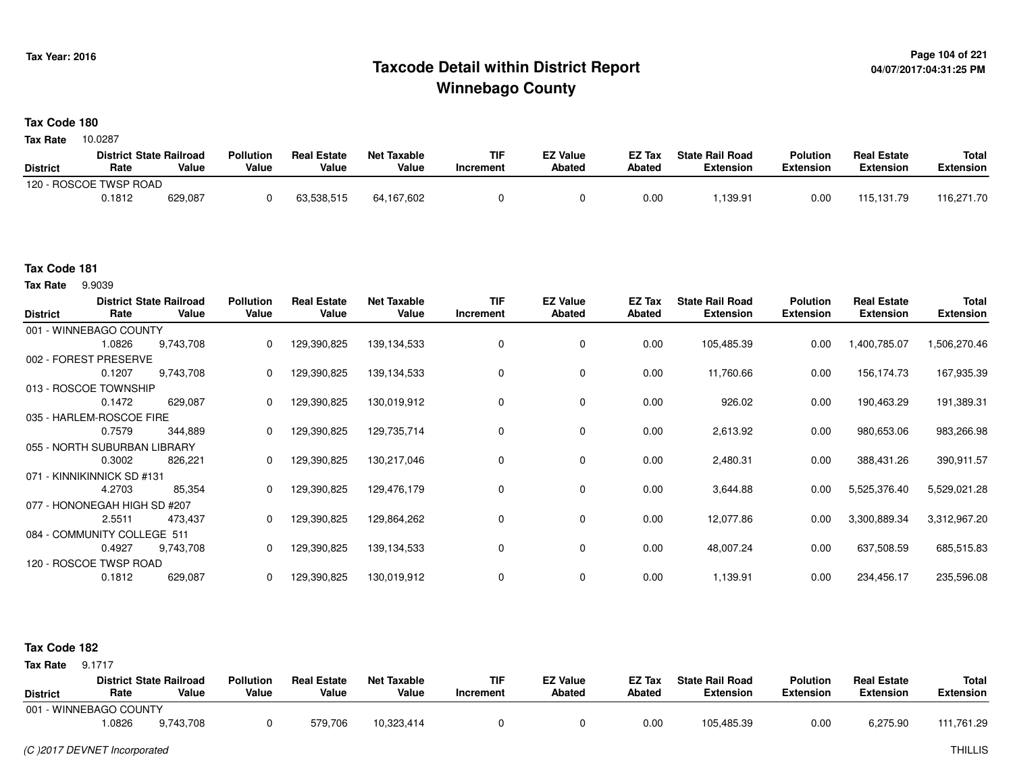## **Page 104 of 221 Taxcode Detail within District ReportWinnebago County**

#### **Tax Code 180**

10.0287 **Tax Rate**

|                 | <b>District State Railroad</b> |         | <b>Pollution</b> | <b>Real Estate</b> | Net Taxable | TIF       | <b>EZ Value</b> | <b>EZ Tax</b> | <b>State Rail Road</b> | <b>Polution</b>  | <b>Real Estate</b> | <b>Total</b> |
|-----------------|--------------------------------|---------|------------------|--------------------|-------------|-----------|-----------------|---------------|------------------------|------------------|--------------------|--------------|
| <b>District</b> | Rate                           | Value   | Value            | Value              | Value       | Increment | <b>Abated</b>   | Abated        | <b>Extension</b>       | <b>Extension</b> | <b>Extension</b>   | Extension    |
|                 | 120 - ROSCOE TWSP ROAD         |         |                  |                    |             |           |                 |               |                        |                  |                    |              |
|                 | 0.1812                         | 629,087 |                  | 63.538.515         | 64,167,602  |           |                 | 0.00          | ,139.91                | 0.00             | 115.131.79         | 116,271.70   |

#### **Tax Code 181**

9.9039 **Tax Rate**

| <b>District</b> | Rate                         | <b>District State Railroad</b><br>Value | <b>Pollution</b><br>Value | <b>Real Estate</b><br>Value | <b>Net Taxable</b><br>Value | <b>TIF</b><br>Increment | <b>EZ Value</b><br><b>Abated</b> | EZ Tax<br><b>Abated</b> | <b>State Rail Road</b><br><b>Extension</b> | <b>Polution</b><br><b>Extension</b> | <b>Real Estate</b><br><b>Extension</b> | <b>Total</b><br><b>Extension</b> |
|-----------------|------------------------------|-----------------------------------------|---------------------------|-----------------------------|-----------------------------|-------------------------|----------------------------------|-------------------------|--------------------------------------------|-------------------------------------|----------------------------------------|----------------------------------|
|                 | 001 - WINNEBAGO COUNTY       |                                         |                           |                             |                             |                         |                                  |                         |                                            |                                     |                                        |                                  |
|                 | 1.0826                       | 9,743,708                               | $\Omega$                  | 129,390,825                 | 139, 134, 533               | 0                       | 0                                | 0.00                    | 105,485.39                                 | 0.00                                | 1,400,785.07                           | 1,506,270.46                     |
|                 | 002 - FOREST PRESERVE        |                                         |                           |                             |                             |                         |                                  |                         |                                            |                                     |                                        |                                  |
|                 | 0.1207                       | 9,743,708                               | 0                         | 129,390,825                 | 139, 134, 533               |                         | $\mathbf 0$                      | 0.00                    | 11,760.66                                  | 0.00                                | 156,174.73                             | 167,935.39                       |
|                 | 013 - ROSCOE TOWNSHIP        |                                         |                           |                             |                             |                         |                                  |                         |                                            |                                     |                                        |                                  |
|                 | 0.1472                       | 629,087                                 | 0                         | 129,390,825                 | 130,019,912                 | 0                       | 0                                | 0.00                    | 926.02                                     | 0.00                                | 190,463.29                             | 191,389.31                       |
|                 | 035 - HARLEM-ROSCOE FIRE     |                                         |                           |                             |                             |                         |                                  |                         |                                            |                                     |                                        |                                  |
|                 | 0.7579                       | 344,889                                 | $\Omega$                  | 129,390,825                 | 129,735,714                 | $\Omega$                | 0                                | 0.00                    | 2,613.92                                   | 0.00                                | 980,653.06                             | 983,266.98                       |
|                 | 055 - NORTH SUBURBAN LIBRARY |                                         |                           |                             |                             |                         |                                  |                         |                                            |                                     |                                        |                                  |
|                 | 0.3002                       | 826,221                                 | 0                         | 129,390,825                 | 130,217,046                 | 0                       | 0                                | 0.00                    | 2,480.31                                   | 0.00                                | 388,431.26                             | 390,911.57                       |
|                 | 071 - KINNIKINNICK SD #131   |                                         |                           |                             |                             |                         |                                  |                         |                                            |                                     |                                        |                                  |
|                 | 4.2703                       | 85,354                                  | $\Omega$                  | 129,390,825                 | 129,476,179                 | 0                       | 0                                | 0.00                    | 3,644.88                                   | 0.00                                | 5,525,376.40                           | 5,529,021.28                     |
|                 | 077 - HONONEGAH HIGH SD #207 |                                         |                           |                             |                             |                         |                                  |                         |                                            |                                     |                                        |                                  |
|                 | 2.5511                       | 473,437                                 | 0                         | 129,390,825                 | 129,864,262                 | 0                       | 0                                | 0.00                    | 12,077.86                                  | 0.00                                | 3,300,889.34                           | 3,312,967.20                     |
|                 | 084 - COMMUNITY COLLEGE 511  |                                         |                           |                             |                             |                         |                                  |                         |                                            |                                     |                                        |                                  |
|                 | 0.4927                       | 9,743,708                               | 0                         | 129,390,825                 | 139, 134, 533               | 0                       | 0                                | 0.00                    | 48,007.24                                  | 0.00                                | 637,508.59                             | 685,515.83                       |
|                 | 120 - ROSCOE TWSP ROAD       |                                         |                           |                             |                             |                         |                                  |                         |                                            |                                     |                                        |                                  |
|                 | 0.1812                       | 629,087                                 |                           | 129,390,825                 | 130,019,912                 |                         | 0                                | 0.00                    | 1,139.91                                   | 0.00                                | 234,456.17                             | 235,596.08                       |

#### **Tax Code 182**

**Tax Rate** 9.1717

| <b>District</b>        | Rate  | <b>District State Railroad</b><br>Value | <b>Pollution</b><br>Value | <b>Real Estate</b><br>Value | Net Taxable<br>Value | <b>TIF</b><br>Increment | <b>EZ Value</b><br>Abated | <b>EZ Tax</b><br>Abated | <b>State Rail Road</b><br><b>Extension</b> | <b>Polution</b><br><b>Extension</b> | <b>Real Estate</b><br><b>Extension</b> | Total<br>Extension |
|------------------------|-------|-----------------------------------------|---------------------------|-----------------------------|----------------------|-------------------------|---------------------------|-------------------------|--------------------------------------------|-------------------------------------|----------------------------------------|--------------------|
| 001 - WINNEBAGO COUNTY |       |                                         |                           |                             |                      |                         |                           |                         |                                            |                                     |                                        |                    |
|                        | .0826 | 9,743,708                               |                           | 579,706                     | 10,323,414           |                         |                           | 0.00                    | 105,485.39                                 | 0.00                                | 6,275.90                               | 111,761.29         |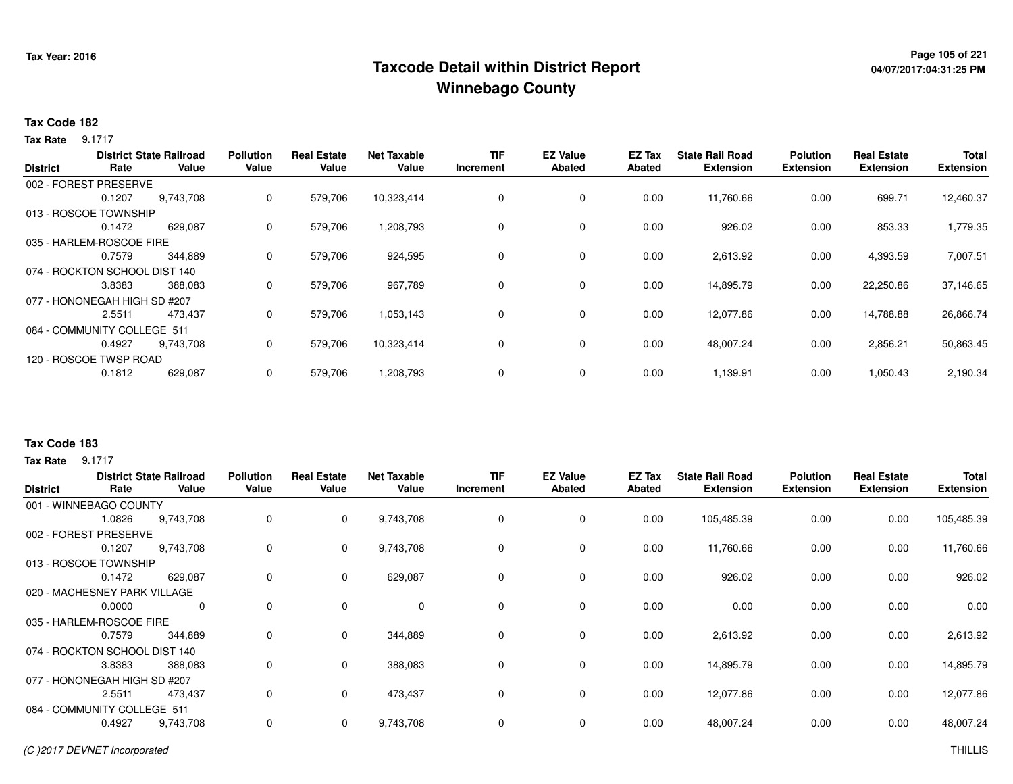## **Page 105 of 221 Taxcode Detail within District ReportWinnebago County**

# **04/07/2017:04:31:25 PM**

#### **Tax Code 182**

**Tax Rate** 9.1717

|                 |                               | <b>District State Railroad</b> | <b>Pollution</b> | <b>Real Estate</b> | <b>Net Taxable</b> | <b>TIF</b> | <b>EZ Value</b> | <b>EZ Tax</b> | <b>State Rail Road</b> | <b>Polution</b>  | <b>Real Estate</b> | <b>Total</b>     |
|-----------------|-------------------------------|--------------------------------|------------------|--------------------|--------------------|------------|-----------------|---------------|------------------------|------------------|--------------------|------------------|
| <b>District</b> | Rate                          | Value                          | Value            | Value              | Value              | Increment  | <b>Abated</b>   | <b>Abated</b> | <b>Extension</b>       | <b>Extension</b> | <b>Extension</b>   | <b>Extension</b> |
|                 | 002 - FOREST PRESERVE         |                                |                  |                    |                    |            |                 |               |                        |                  |                    |                  |
|                 | 0.1207                        | 9,743,708                      | 0                | 579,706            | 10,323,414         | 0          | $\mathbf 0$     | 0.00          | 11,760.66              | 0.00             | 699.71             | 12,460.37        |
|                 | 013 - ROSCOE TOWNSHIP         |                                |                  |                    |                    |            |                 |               |                        |                  |                    |                  |
|                 | 0.1472                        | 629,087                        | 0                | 579,706            | 1,208,793          | 0          | $\mathbf 0$     | 0.00          | 926.02                 | 0.00             | 853.33             | 1,779.35         |
|                 | 035 - HARLEM-ROSCOE FIRE      |                                |                  |                    |                    |            |                 |               |                        |                  |                    |                  |
|                 | 0.7579                        | 344,889                        | 0                | 579,706            | 924,595            | 0          | $\mathbf 0$     | 0.00          | 2,613.92               | 0.00             | 4,393.59           | 7,007.51         |
|                 | 074 - ROCKTON SCHOOL DIST 140 |                                |                  |                    |                    |            |                 |               |                        |                  |                    |                  |
|                 | 3.8383                        | 388,083                        | 0                | 579,706            | 967,789            | 0          | $\mathbf 0$     | 0.00          | 14,895.79              | 0.00             | 22,250.86          | 37,146.65        |
|                 | 077 - HONONEGAH HIGH SD #207  |                                |                  |                    |                    |            |                 |               |                        |                  |                    |                  |
|                 | 2.5511                        | 473,437                        | 0                | 579,706            | 1,053,143          | 0          | $\mathbf 0$     | 0.00          | 12,077.86              | 0.00             | 14,788.88          | 26,866.74        |
|                 | 084 - COMMUNITY COLLEGE 511   |                                |                  |                    |                    |            |                 |               |                        |                  |                    |                  |
|                 | 0.4927                        | 9,743,708                      | 0                | 579,706            | 10,323,414         | 0          | $\mathbf 0$     | 0.00          | 48,007.24              | 0.00             | 2,856.21           | 50,863.45        |
|                 | 120 - ROSCOE TWSP ROAD        |                                |                  |                    |                    |            |                 |               |                        |                  |                    |                  |
|                 | 0.1812                        | 629,087                        | 0                | 579,706            | 1,208,793          | 0          | $\mathbf 0$     | 0.00          | 1,139.91               | 0.00             | 1,050.43           | 2,190.34         |
|                 |                               |                                |                  |                    |                    |            |                 |               |                        |                  |                    |                  |

### **Tax Code 183**

**Tax Rate** 9.1717

| <b>District</b> | Rate                          | <b>District State Railroad</b><br>Value | <b>Pollution</b><br>Value | <b>Real Estate</b><br>Value | <b>Net Taxable</b><br>Value | <b>TIF</b><br>Increment | <b>EZ Value</b><br><b>Abated</b> | <b>EZ Tax</b><br>Abated | <b>State Rail Road</b><br><b>Extension</b> | <b>Polution</b><br><b>Extension</b> | <b>Real Estate</b><br><b>Extension</b> | <b>Total</b><br><b>Extension</b> |
|-----------------|-------------------------------|-----------------------------------------|---------------------------|-----------------------------|-----------------------------|-------------------------|----------------------------------|-------------------------|--------------------------------------------|-------------------------------------|----------------------------------------|----------------------------------|
|                 | 001 - WINNEBAGO COUNTY        |                                         |                           |                             |                             |                         |                                  |                         |                                            |                                     |                                        |                                  |
|                 | 1.0826                        | 9,743,708                               | 0                         | $\mathbf{0}$                | 9,743,708                   | $\mathbf 0$             | 0                                | 0.00                    | 105,485.39                                 | 0.00                                | 0.00                                   | 105,485.39                       |
|                 | 002 - FOREST PRESERVE         |                                         |                           |                             |                             |                         |                                  |                         |                                            |                                     |                                        |                                  |
|                 | 0.1207                        | 9,743,708                               | 0                         | $\mathbf{0}$                | 9,743,708                   | 0                       | 0                                | 0.00                    | 11,760.66                                  | 0.00                                | 0.00                                   | 11,760.66                        |
|                 | 013 - ROSCOE TOWNSHIP         |                                         |                           |                             |                             |                         |                                  |                         |                                            |                                     |                                        |                                  |
|                 | 0.1472                        | 629,087                                 | 0                         | 0                           | 629,087                     | 0                       | 0                                | 0.00                    | 926.02                                     | 0.00                                | 0.00                                   | 926.02                           |
|                 | 020 - MACHESNEY PARK VILLAGE  |                                         |                           |                             |                             |                         |                                  |                         |                                            |                                     |                                        |                                  |
|                 | 0.0000                        | 0                                       | 0                         | 0                           | $\mathbf 0$                 | 0                       | 0                                | 0.00                    | 0.00                                       | 0.00                                | 0.00                                   | 0.00                             |
|                 | 035 - HARLEM-ROSCOE FIRE      |                                         |                           |                             |                             |                         |                                  |                         |                                            |                                     |                                        |                                  |
|                 | 0.7579                        | 344,889                                 | $\Omega$                  | $\Omega$                    | 344,889                     | $\Omega$                | $\mathbf 0$                      | 0.00                    | 2,613.92                                   | 0.00                                | 0.00                                   | 2,613.92                         |
|                 | 074 - ROCKTON SCHOOL DIST 140 |                                         |                           |                             |                             |                         |                                  |                         |                                            |                                     |                                        |                                  |
|                 | 3.8383                        | 388,083                                 | $\Omega$                  | $\mathbf 0$                 | 388,083                     | $\Omega$                | 0                                | 0.00                    | 14,895.79                                  | 0.00                                | 0.00                                   | 14,895.79                        |
|                 | 077 - HONONEGAH HIGH SD #207  |                                         |                           |                             |                             |                         |                                  |                         |                                            |                                     |                                        |                                  |
|                 | 2.5511                        | 473,437                                 | 0                         | $\mathbf 0$                 | 473,437                     | 0                       | 0                                | 0.00                    | 12,077.86                                  | 0.00                                | 0.00                                   | 12,077.86                        |
|                 | 084 - COMMUNITY COLLEGE 511   |                                         |                           |                             |                             |                         |                                  |                         |                                            |                                     |                                        |                                  |
|                 | 0.4927                        | 9,743,708                               | 0                         | $\mathbf{0}$                | 9,743,708                   | 0                       | 0                                | 0.00                    | 48,007.24                                  | 0.00                                | 0.00                                   | 48,007.24                        |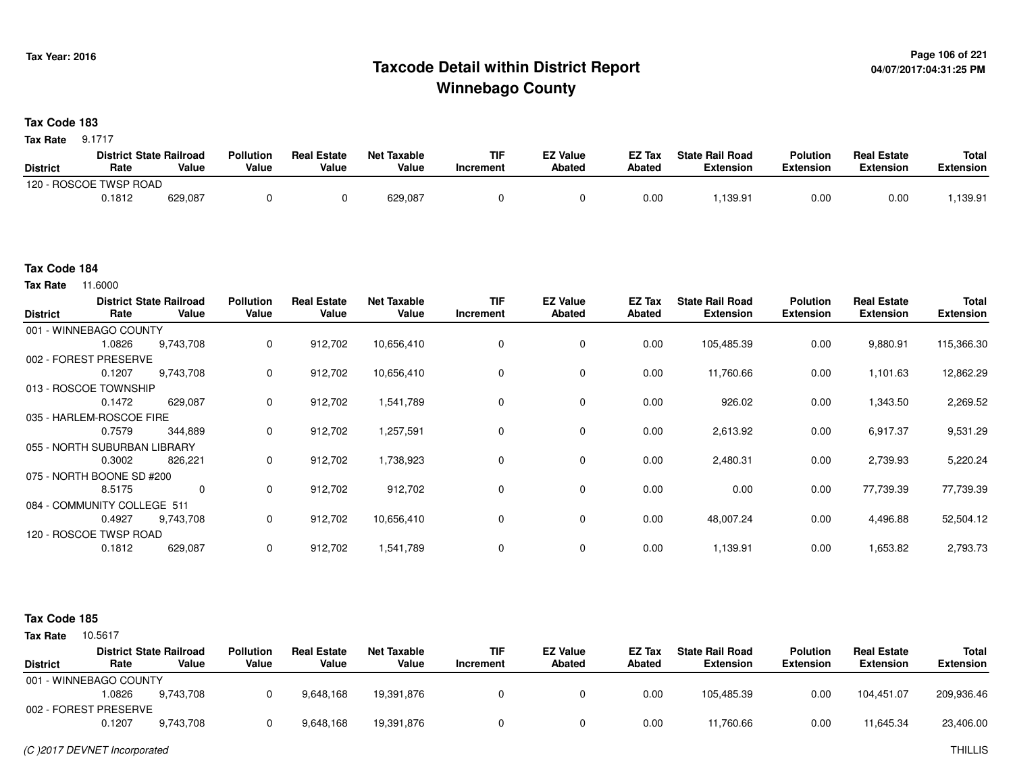## **Page 106 of 221 Taxcode Detail within District ReportWinnebago County**

#### **Tax Code 183**

**Tax Rate** 9.1717

|                 | <b>District State Railroad</b> |         | <b>Pollution</b> | <b>Real Estate</b> | <b>Net Taxable</b> | <b>TIF</b> | EZ Value | EZ Tax | <b>State Rail Road</b> | <b>Polution</b> | <b>Real Estate</b> | <b>Total</b> |
|-----------------|--------------------------------|---------|------------------|--------------------|--------------------|------------|----------|--------|------------------------|-----------------|--------------------|--------------|
| <b>District</b> | Rate                           | Value   | Value            | Value              | Value              | Increment  | Abated   | Abated | Extension              | Extension       | Extension          | Extension    |
|                 | 120 - ROSCOE TWSP ROAD         |         |                  |                    |                    |            |          |        |                        |                 |                    |              |
|                 | 0.1812                         | 629,087 |                  |                    | 629,087            |            |          | 0.00   | .139.91                | 0.00            | 0.00               | .139.91      |

#### **Tax Code 184**

**Tax Rate** 11.6000

| <b>District</b> | Rate                         | <b>District State Railroad</b><br>Value | <b>Pollution</b><br>Value | <b>Real Estate</b><br>Value | <b>Net Taxable</b><br>Value | <b>TIF</b><br>Increment | <b>EZ Value</b><br><b>Abated</b> | EZ Tax<br><b>Abated</b> | <b>State Rail Road</b><br><b>Extension</b> | <b>Polution</b><br><b>Extension</b> | <b>Real Estate</b><br><b>Extension</b> | <b>Total</b><br><b>Extension</b> |
|-----------------|------------------------------|-----------------------------------------|---------------------------|-----------------------------|-----------------------------|-------------------------|----------------------------------|-------------------------|--------------------------------------------|-------------------------------------|----------------------------------------|----------------------------------|
|                 | 001 - WINNEBAGO COUNTY       |                                         |                           |                             |                             |                         |                                  |                         |                                            |                                     |                                        |                                  |
|                 | 1.0826                       | 9,743,708                               | 0                         | 912,702                     | 10,656,410                  |                         | $\mathbf 0$                      | 0.00                    | 105,485.39                                 | 0.00                                | 9,880.91                               | 115,366.30                       |
|                 | 002 - FOREST PRESERVE        |                                         |                           |                             |                             |                         |                                  |                         |                                            |                                     |                                        |                                  |
|                 | 0.1207                       | 9,743,708                               | 0                         | 912,702                     | 10,656,410                  | 0                       | 0                                | 0.00                    | 11,760.66                                  | 0.00                                | 1,101.63                               | 12,862.29                        |
|                 | 013 - ROSCOE TOWNSHIP        |                                         |                           |                             |                             |                         |                                  |                         |                                            |                                     |                                        |                                  |
|                 | 0.1472                       | 629,087                                 | $\mathbf 0$               | 912,702                     | 1,541,789                   |                         | 0                                | 0.00                    | 926.02                                     | 0.00                                | 1,343.50                               | 2,269.52                         |
|                 | 035 - HARLEM-ROSCOE FIRE     |                                         |                           |                             |                             |                         |                                  |                         |                                            |                                     |                                        |                                  |
|                 | 0.7579                       | 344,889                                 | 0                         | 912,702                     | 1,257,591                   |                         | $\mathbf 0$                      | 0.00                    | 2,613.92                                   | 0.00                                | 6,917.37                               | 9,531.29                         |
|                 | 055 - NORTH SUBURBAN LIBRARY |                                         |                           |                             |                             |                         |                                  |                         |                                            |                                     |                                        |                                  |
|                 | 0.3002                       | 826,221                                 | 0                         | 912,702                     | 1,738,923                   |                         | $\mathbf 0$                      | 0.00                    | 2,480.31                                   | 0.00                                | 2,739.93                               | 5,220.24                         |
|                 | 075 - NORTH BOONE SD #200    |                                         |                           |                             |                             |                         |                                  |                         |                                            |                                     |                                        |                                  |
|                 | 8.5175                       | $\mathbf 0$                             | $\mathbf 0$               | 912,702                     | 912,702                     | 0                       | 0                                | 0.00                    | 0.00                                       | 0.00                                | 77,739.39                              | 77,739.39                        |
|                 | 084 - COMMUNITY COLLEGE 511  |                                         |                           |                             |                             |                         |                                  |                         |                                            |                                     |                                        |                                  |
|                 | 0.4927                       | 9,743,708                               | $\mathbf 0$               | 912,702                     | 10,656,410                  | $\Omega$                | $\mathbf 0$                      | 0.00                    | 48,007.24                                  | 0.00                                | 4,496.88                               | 52,504.12                        |
|                 | 120 - ROSCOE TWSP ROAD       |                                         |                           |                             |                             |                         |                                  |                         |                                            |                                     |                                        |                                  |
|                 | 0.1812                       | 629,087                                 | $\mathbf 0$               | 912,702                     | 1,541,789                   |                         | 0                                | 0.00                    | 1,139.91                                   | 0.00                                | 1,653.82                               | 2,793.73                         |

#### **Tax Code 185**

|                        |        | <b>District State Railroad</b> | <b>Pollution</b> | <b>Real Estate</b> | <b>Net Taxable</b> | TIF       | <b>EZ Value</b> | EZ Tax | <b>State Rail Road</b> | <b>Polution</b>  | <b>Real Estate</b> | <b>Total</b>     |
|------------------------|--------|--------------------------------|------------------|--------------------|--------------------|-----------|-----------------|--------|------------------------|------------------|--------------------|------------------|
| <b>District</b>        | Rate   | Value                          | Value            | Value              | Value              | Increment | Abated          | Abated | <b>Extension</b>       | <b>Extension</b> | <b>Extension</b>   | <b>Extension</b> |
| 001 - WINNEBAGO COUNTY |        |                                |                  |                    |                    |           |                 |        |                        |                  |                    |                  |
|                        | .0826  | 9.743.708                      |                  | 9,648,168          | 19.391.876         |           |                 | 0.00   | 105.485.39             | 0.00             | 104.451.07         | 209,936.46       |
| 002 - FOREST PRESERVE  |        |                                |                  |                    |                    |           |                 |        |                        |                  |                    |                  |
|                        | 0.1207 | 9.743.708                      |                  | 9,648,168          | 19,391,876         |           |                 | 0.00   | 11,760.66              | 0.00             | 11.645.34          | 23,406.00        |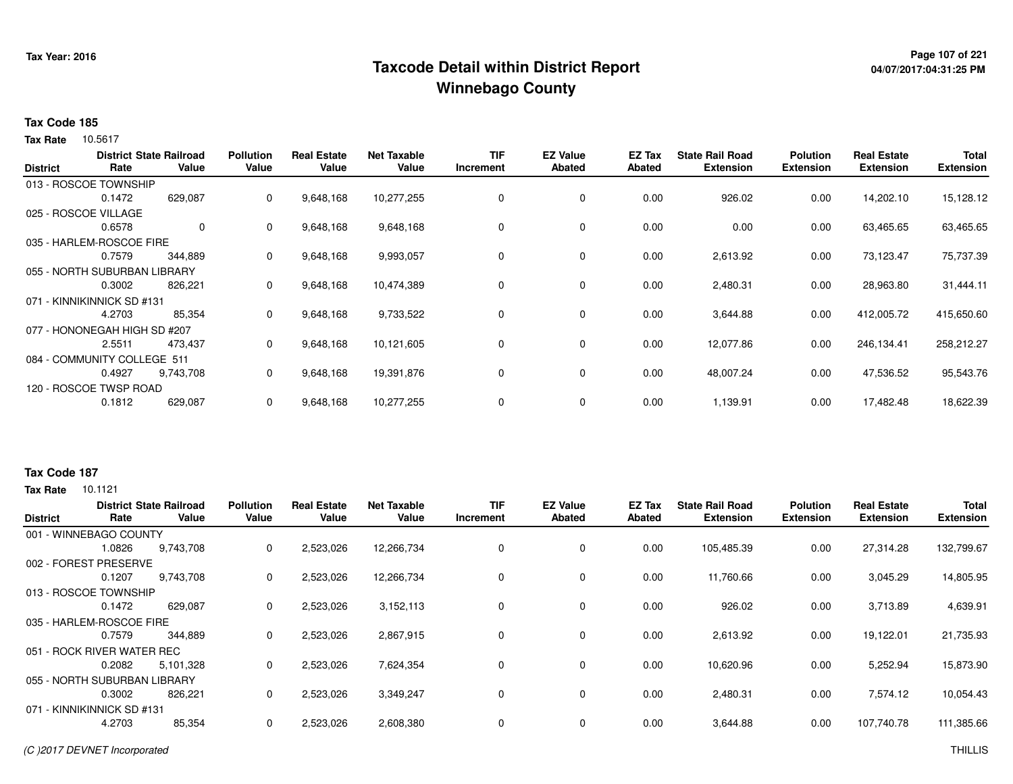## **Page 107 of 221 Taxcode Detail within District ReportWinnebago County**

# **04/07/2017:04:31:25 PM**

#### **Tax Code 185**

10.5617 **Tax Rate**

| <b>District</b> | Rate                         | <b>District State Railroad</b><br>Value | <b>Pollution</b><br>Value | <b>Real Estate</b><br>Value | <b>Net Taxable</b><br>Value | <b>TIF</b><br>Increment | <b>EZ Value</b><br><b>Abated</b> | EZ Tax<br>Abated | <b>State Rail Road</b><br><b>Extension</b> | <b>Polution</b><br><b>Extension</b> | <b>Real Estate</b><br><b>Extension</b> | <b>Total</b><br><b>Extension</b> |
|-----------------|------------------------------|-----------------------------------------|---------------------------|-----------------------------|-----------------------------|-------------------------|----------------------------------|------------------|--------------------------------------------|-------------------------------------|----------------------------------------|----------------------------------|
|                 | 013 - ROSCOE TOWNSHIP        |                                         |                           |                             |                             |                         |                                  |                  |                                            |                                     |                                        |                                  |
|                 | 0.1472                       | 629,087                                 | 0                         | 9,648,168                   | 10,277,255                  | 0                       | 0                                | 0.00             | 926.02                                     | 0.00                                | 14,202.10                              | 15,128.12                        |
|                 | 025 - ROSCOE VILLAGE         |                                         |                           |                             |                             |                         |                                  |                  |                                            |                                     |                                        |                                  |
|                 | 0.6578                       | 0                                       | $\mathbf{0}$              | 9,648,168                   | 9,648,168                   | 0                       | 0                                | 0.00             | 0.00                                       | 0.00                                | 63,465.65                              | 63,465.65                        |
|                 | 035 - HARLEM-ROSCOE FIRE     |                                         |                           |                             |                             |                         |                                  |                  |                                            |                                     |                                        |                                  |
|                 | 0.7579                       | 344,889                                 | $\mathbf{0}$              | 9,648,168                   | 9,993,057                   | 0                       | 0                                | 0.00             | 2,613.92                                   | 0.00                                | 73,123.47                              | 75,737.39                        |
|                 | 055 - NORTH SUBURBAN LIBRARY |                                         |                           |                             |                             |                         |                                  |                  |                                            |                                     |                                        |                                  |
|                 | 0.3002                       | 826,221                                 | 0                         | 9,648,168                   | 10,474,389                  | 0                       | $\mathbf 0$                      | 0.00             | 2,480.31                                   | 0.00                                | 28,963.80                              | 31,444.11                        |
|                 | 071 - KINNIKINNICK SD #131   |                                         |                           |                             |                             |                         |                                  |                  |                                            |                                     |                                        |                                  |
|                 | 4.2703                       | 85,354                                  | 0                         | 9,648,168                   | 9,733,522                   | 0                       | $\mathbf 0$                      | 0.00             | 3,644.88                                   | 0.00                                | 412,005.72                             | 415,650.60                       |
|                 | 077 - HONONEGAH HIGH SD #207 |                                         |                           |                             |                             |                         |                                  |                  |                                            |                                     |                                        |                                  |
|                 | 2.5511                       | 473,437                                 | 0                         | 9,648,168                   | 10,121,605                  | 0                       | 0                                | 0.00             | 12,077.86                                  | 0.00                                | 246,134.41                             | 258,212.27                       |
|                 | 084 - COMMUNITY COLLEGE 511  |                                         |                           |                             |                             |                         |                                  |                  |                                            |                                     |                                        |                                  |
|                 | 0.4927                       | 9,743,708                               | $\mathbf{0}$              | 9,648,168                   | 19,391,876                  | 0                       | 0                                | 0.00             | 48,007.24                                  | 0.00                                | 47,536.52                              | 95,543.76                        |
|                 | 120 - ROSCOE TWSP ROAD       |                                         |                           |                             |                             |                         |                                  |                  |                                            |                                     |                                        |                                  |
|                 | 0.1812                       | 629,087                                 | 0                         | 9,648,168                   | 10,277,255                  | 0                       | 0                                | 0.00             | 1,139.91                                   | 0.00                                | 17,482.48                              | 18,622.39                        |

### **Tax Code 187**

| <b>District</b> | Rate                         | <b>District State Railroad</b><br>Value | <b>Pollution</b><br>Value | <b>Real Estate</b><br>Value | <b>Net Taxable</b><br>Value | <b>TIF</b><br>Increment | <b>EZ Value</b><br>Abated | EZ Tax<br>Abated | <b>State Rail Road</b><br><b>Extension</b> | <b>Polution</b><br><b>Extension</b> | <b>Real Estate</b><br><b>Extension</b> | <b>Total</b><br><b>Extension</b> |
|-----------------|------------------------------|-----------------------------------------|---------------------------|-----------------------------|-----------------------------|-------------------------|---------------------------|------------------|--------------------------------------------|-------------------------------------|----------------------------------------|----------------------------------|
|                 | 001 - WINNEBAGO COUNTY       |                                         |                           |                             |                             |                         |                           |                  |                                            |                                     |                                        |                                  |
|                 | 1.0826                       | 9,743,708                               | 0                         | 2,523,026                   | 12,266,734                  | 0                       | 0                         | 0.00             | 105,485.39                                 | 0.00                                | 27,314.28                              | 132,799.67                       |
| 002 - FOREST    | PRESERVE                     |                                         |                           |                             |                             |                         |                           |                  |                                            |                                     |                                        |                                  |
|                 | 0.1207                       | 9,743,708                               | 0                         | 2,523,026                   | 12,266,734                  | 0                       | $\mathbf 0$               | 0.00             | 11,760.66                                  | 0.00                                | 3,045.29                               | 14,805.95                        |
|                 | 013 - ROSCOE TOWNSHIP        |                                         |                           |                             |                             |                         |                           |                  |                                            |                                     |                                        |                                  |
|                 | 0.1472                       | 629,087                                 | 0                         | 2,523,026                   | 3,152,113                   | 0                       | $\mathbf 0$               | 0.00             | 926.02                                     | 0.00                                | 3,713.89                               | 4,639.91                         |
|                 | 035 - HARLEM-ROSCOE FIRE     |                                         |                           |                             |                             |                         |                           |                  |                                            |                                     |                                        |                                  |
|                 | 0.7579                       | 344,889                                 | 0                         | 2,523,026                   | 2,867,915                   | 0                       | $\mathbf 0$               | 0.00             | 2,613.92                                   | 0.00                                | 19.122.01                              | 21,735.93                        |
|                 | 051 - ROCK RIVER WATER REC   |                                         |                           |                             |                             |                         |                           |                  |                                            |                                     |                                        |                                  |
|                 | 0.2082                       | 5,101,328                               | 0                         | 2,523,026                   | 7,624,354                   | 0                       | $\mathbf 0$               | 0.00             | 10,620.96                                  | 0.00                                | 5,252.94                               | 15,873.90                        |
|                 | 055 - NORTH SUBURBAN LIBRARY |                                         |                           |                             |                             |                         |                           |                  |                                            |                                     |                                        |                                  |
|                 | 0.3002                       | 826,221                                 | 0                         | 2,523,026                   | 3,349,247                   | 0                       | $\mathbf 0$               | 0.00             | 2,480.31                                   | 0.00                                | 7,574.12                               | 10,054.43                        |
|                 | 071 - KINNIKINNICK SD #131   |                                         |                           |                             |                             |                         |                           |                  |                                            |                                     |                                        |                                  |
|                 | 4.2703                       | 85,354                                  | 0                         | 2,523,026                   | 2,608,380                   | 0                       | $\mathbf 0$               | 0.00             | 3,644.88                                   | 0.00                                | 107,740.78                             | 111,385.66                       |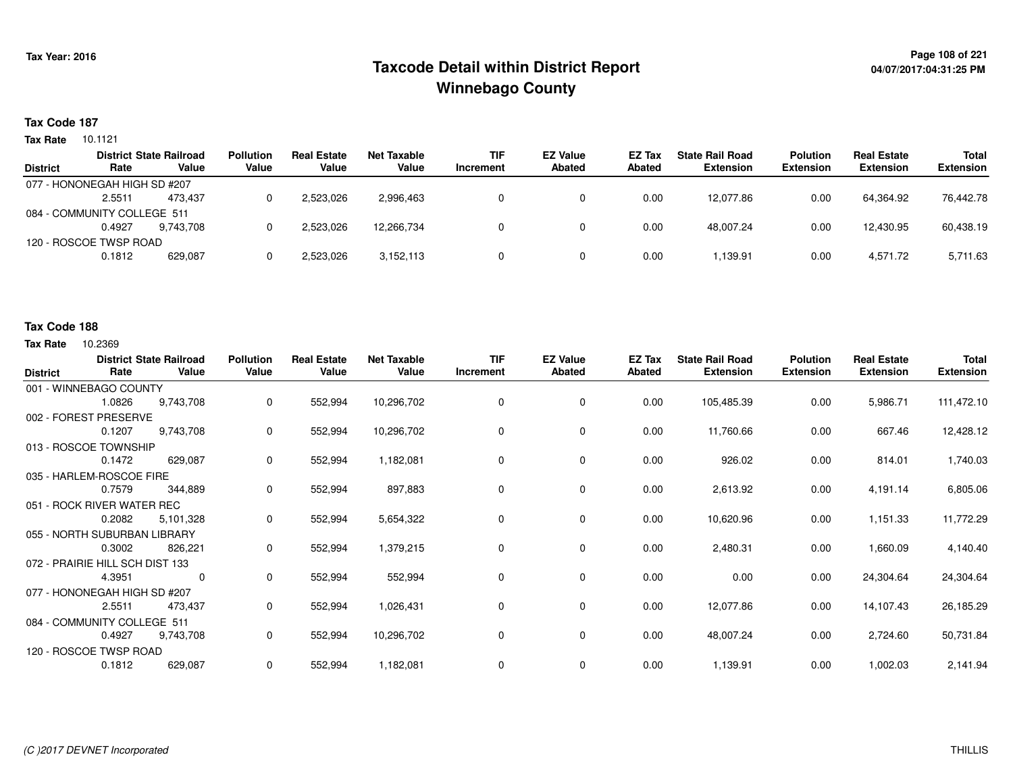## **Page 108 of 221 Taxcode Detail within District ReportWinnebago County**

#### **Tax Code 187**

**Tax Rate** 10.1121

|                 |                              | <b>District State Railroad</b> | <b>Pollution</b> | <b>Real Estate</b> | Net Taxable | <b>TIF</b> | <b>EZ Value</b> | <b>EZ Tax</b> | <b>State Rail Road</b> | <b>Polution</b>  | <b>Real Estate</b> | <b>Total</b>     |
|-----------------|------------------------------|--------------------------------|------------------|--------------------|-------------|------------|-----------------|---------------|------------------------|------------------|--------------------|------------------|
| <b>District</b> | Rate                         | Value                          | Value            | Value              | Value       | Increment  | <b>Abated</b>   | Abated        | <b>Extension</b>       | <b>Extension</b> | <b>Extension</b>   | <b>Extension</b> |
|                 | 077 - HONONEGAH HIGH SD #207 |                                |                  |                    |             |            |                 |               |                        |                  |                    |                  |
|                 | 2.5511                       | 473.437                        |                  | 2.523.026          | 2,996,463   |            |                 | 0.00          | 12.077.86              | 0.00             | 64.364.92          | 76.442.78        |
|                 | 084 - COMMUNITY COLLEGE 511  |                                |                  |                    |             |            |                 |               |                        |                  |                    |                  |
|                 | 0.4927                       | 9.743.708                      |                  | 2,523,026          | 12,266,734  |            |                 | 0.00          | 48.007.24              | 0.00             | 12,430.95          | 60,438.19        |
|                 | 120 - ROSCOE TWSP ROAD       |                                |                  |                    |             |            |                 |               |                        |                  |                    |                  |
|                 | 0.1812                       | 629,087                        |                  | 2,523,026          | 3,152,113   |            |                 | 0.00          | .139.91                | 0.00             | 4,571.72           | 5,711.63         |
|                 |                              |                                |                  |                    |             |            |                 |               |                        |                  |                    |                  |

#### **Tax Code 188**

| <b>District</b> | Rate                            | <b>District State Railroad</b><br>Value | <b>Pollution</b><br>Value | <b>Real Estate</b><br>Value | <b>Net Taxable</b><br>Value | <b>TIF</b><br>Increment | <b>EZ Value</b><br><b>Abated</b> | EZ Tax<br><b>Abated</b> | <b>State Rail Road</b><br><b>Extension</b> | <b>Polution</b><br><b>Extension</b> | <b>Real Estate</b><br><b>Extension</b> | Total<br><b>Extension</b> |
|-----------------|---------------------------------|-----------------------------------------|---------------------------|-----------------------------|-----------------------------|-------------------------|----------------------------------|-------------------------|--------------------------------------------|-------------------------------------|----------------------------------------|---------------------------|
|                 | 001 - WINNEBAGO COUNTY          |                                         |                           |                             |                             |                         |                                  |                         |                                            |                                     |                                        |                           |
|                 | 1.0826                          | 9,743,708                               | 0                         | 552,994                     | 10,296,702                  | 0                       | 0                                | 0.00                    | 105,485.39                                 | 0.00                                | 5,986.71                               | 111,472.10                |
|                 | 002 - FOREST PRESERVE           |                                         |                           |                             |                             |                         |                                  |                         |                                            |                                     |                                        |                           |
|                 | 0.1207                          | 9,743,708                               | 0                         | 552,994                     | 10,296,702                  | 0                       | $\mathbf 0$                      | 0.00                    | 11,760.66                                  | 0.00                                | 667.46                                 | 12,428.12                 |
|                 | 013 - ROSCOE TOWNSHIP           |                                         |                           |                             |                             |                         |                                  |                         |                                            |                                     |                                        |                           |
|                 | 0.1472                          | 629,087                                 | 0                         | 552,994                     | 1,182,081                   | $\Omega$                | $\mathbf 0$                      | 0.00                    | 926.02                                     | 0.00                                | 814.01                                 | 1,740.03                  |
|                 | 035 - HARLEM-ROSCOE FIRE        |                                         |                           |                             |                             |                         |                                  |                         |                                            |                                     |                                        |                           |
|                 | 0.7579                          | 344,889                                 | 0                         | 552,994                     | 897,883                     | 0                       | 0                                | 0.00                    | 2,613.92                                   | 0.00                                | 4,191.14                               | 6,805.06                  |
|                 | 051 - ROCK RIVER WATER REC      |                                         |                           |                             |                             |                         |                                  |                         |                                            |                                     |                                        |                           |
|                 | 0.2082                          | 5,101,328                               | 0                         | 552,994                     | 5,654,322                   | 0                       | 0                                | 0.00                    | 10,620.96                                  | 0.00                                | 1,151.33                               | 11,772.29                 |
|                 | 055 - NORTH SUBURBAN LIBRARY    |                                         |                           |                             |                             |                         |                                  |                         |                                            |                                     |                                        |                           |
|                 | 0.3002                          | 826,221                                 | 0                         | 552,994                     | 1,379,215                   | 0                       | $\mathbf 0$                      | 0.00                    | 2,480.31                                   | 0.00                                | 1,660.09                               | 4,140.40                  |
|                 | 072 - PRAIRIE HILL SCH DIST 133 |                                         |                           |                             |                             |                         |                                  |                         |                                            |                                     |                                        |                           |
|                 | 4.3951                          | $\mathbf 0$                             | 0                         | 552,994                     | 552,994                     | 0                       | 0                                | 0.00                    | 0.00                                       | 0.00                                | 24,304.64                              | 24,304.64                 |
|                 | 077 - HONONEGAH HIGH SD #207    |                                         |                           |                             |                             |                         |                                  |                         |                                            |                                     |                                        |                           |
|                 | 2.5511                          | 473,437                                 | 0                         | 552,994                     | 1,026,431                   | 0                       | 0                                | 0.00                    | 12,077.86                                  | 0.00                                | 14,107.43                              | 26,185.29                 |
|                 | 084 - COMMUNITY COLLEGE 511     |                                         |                           |                             |                             |                         |                                  |                         |                                            |                                     |                                        |                           |
|                 | 0.4927                          | 9,743,708                               | 0                         | 552,994                     | 10,296,702                  | 0                       | $\mathbf 0$                      | 0.00                    | 48,007.24                                  | 0.00                                | 2,724.60                               | 50,731.84                 |
|                 | 120 - ROSCOE TWSP ROAD          |                                         |                           |                             |                             |                         |                                  |                         |                                            |                                     |                                        |                           |
|                 | 0.1812                          | 629,087                                 | 0                         | 552,994                     | 1,182,081                   | 0                       | 0                                | 0.00                    | 1,139.91                                   | 0.00                                | 1,002.03                               | 2,141.94                  |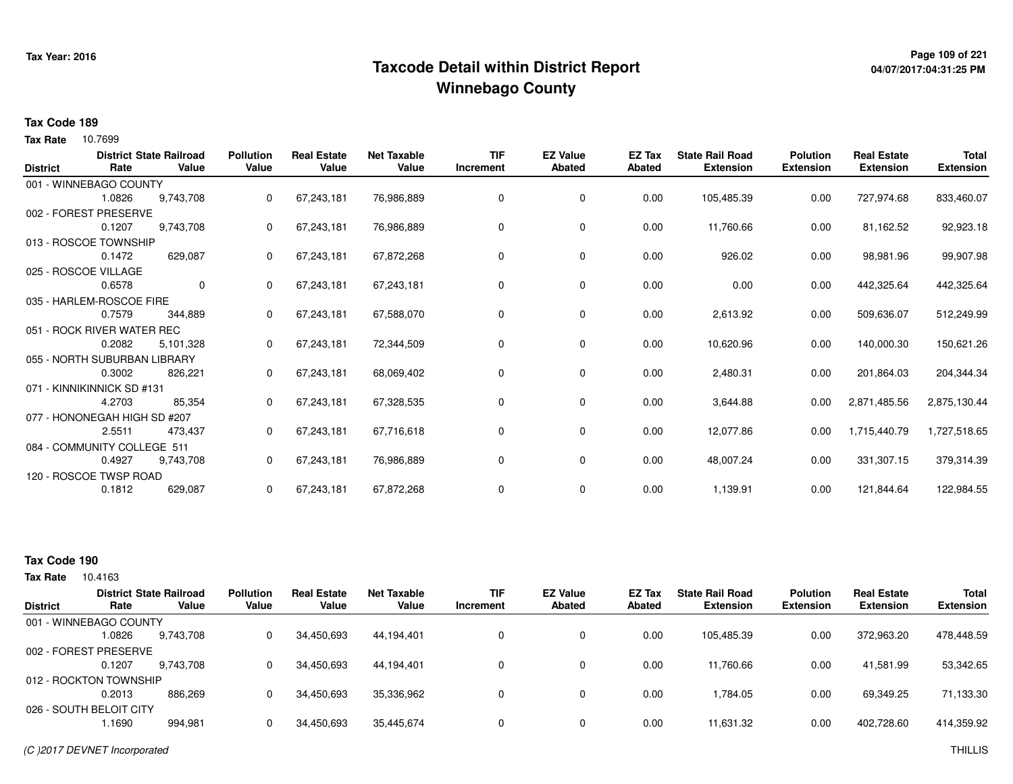# **Page 109 of 221 Taxcode Detail within District ReportWinnebago County**

# **04/07/2017:04:31:25 PM**

## **Tax Code 189**

Tax Rate 10.7699

| <b>District</b> | Rate                         | <b>District State Railroad</b><br>Value | <b>Pollution</b><br>Value | <b>Real Estate</b><br>Value | <b>Net Taxable</b><br>Value | <b>TIF</b><br>Increment | <b>EZ Value</b><br><b>Abated</b> | <b>EZ Tax</b><br><b>Abated</b> | <b>State Rail Road</b><br><b>Extension</b> | <b>Polution</b><br><b>Extension</b> | <b>Real Estate</b><br><b>Extension</b> | <b>Total</b><br><b>Extension</b> |
|-----------------|------------------------------|-----------------------------------------|---------------------------|-----------------------------|-----------------------------|-------------------------|----------------------------------|--------------------------------|--------------------------------------------|-------------------------------------|----------------------------------------|----------------------------------|
|                 | 001 - WINNEBAGO COUNTY       |                                         |                           |                             |                             |                         |                                  |                                |                                            |                                     |                                        |                                  |
|                 | 1.0826                       | 9,743,708                               | 0                         | 67,243,181                  | 76,986,889                  | 0                       | 0                                | 0.00                           | 105,485.39                                 | 0.00                                | 727,974.68                             | 833,460.07                       |
|                 | 002 - FOREST PRESERVE        |                                         |                           |                             |                             |                         |                                  |                                |                                            |                                     |                                        |                                  |
|                 | 0.1207                       | 9,743,708                               | 0                         | 67,243,181                  | 76,986,889                  | 0                       | 0                                | 0.00                           | 11,760.66                                  | 0.00                                | 81,162.52                              | 92,923.18                        |
|                 | 013 - ROSCOE TOWNSHIP        |                                         |                           |                             |                             |                         |                                  |                                |                                            |                                     |                                        |                                  |
|                 | 0.1472                       | 629,087                                 | 0                         | 67,243,181                  | 67,872,268                  | 0                       | 0                                | 0.00                           | 926.02                                     | 0.00                                | 98,981.96                              | 99,907.98                        |
|                 | 025 - ROSCOE VILLAGE         |                                         |                           |                             |                             |                         |                                  |                                |                                            |                                     |                                        |                                  |
|                 | 0.6578                       | $\mathbf 0$                             | 0                         | 67,243,181                  | 67,243,181                  | 0                       | 0                                | 0.00                           | 0.00                                       | 0.00                                | 442,325.64                             | 442,325.64                       |
|                 | 035 - HARLEM-ROSCOE FIRE     |                                         |                           |                             |                             |                         |                                  |                                |                                            |                                     |                                        |                                  |
|                 | 0.7579                       | 344,889                                 |                           | 67,243,181                  | 67,588,070                  | 0                       | 0                                | 0.00                           | 2,613.92                                   | 0.00                                | 509,636.07                             | 512,249.99                       |
|                 | 051 - ROCK RIVER WATER REC   |                                         |                           |                             |                             |                         |                                  |                                |                                            |                                     |                                        |                                  |
|                 | 0.2082                       | 5,101,328                               | 0                         | 67,243,181                  | 72,344,509                  | 0                       | 0                                | 0.00                           | 10,620.96                                  | 0.00                                | 140,000.30                             | 150,621.26                       |
|                 | 055 - NORTH SUBURBAN LIBRARY |                                         |                           |                             |                             |                         |                                  |                                |                                            |                                     |                                        |                                  |
|                 | 0.3002                       | 826,221                                 | 0                         | 67,243,181                  | 68,069,402                  | 0                       | 0                                | 0.00                           | 2,480.31                                   | 0.00                                | 201,864.03                             | 204,344.34                       |
|                 | 071 - KINNIKINNICK SD #131   |                                         |                           |                             |                             |                         |                                  |                                |                                            |                                     |                                        |                                  |
|                 | 4.2703                       | 85,354                                  | 0                         | 67,243,181                  | 67,328,535                  | 0                       | 0                                | 0.00                           | 3,644.88                                   | 0.00                                | 2,871,485.56                           | 2,875,130.44                     |
|                 | 077 - HONONEGAH HIGH SD #207 |                                         |                           |                             |                             |                         |                                  |                                |                                            |                                     |                                        |                                  |
|                 | 2.5511                       | 473,437                                 | $\Omega$                  | 67,243,181                  | 67,716,618                  | 0                       | 0                                | 0.00                           | 12,077.86                                  | 0.00                                | 1,715,440.79                           | 1,727,518.65                     |
|                 | 084 - COMMUNITY COLLEGE 511  |                                         |                           |                             |                             |                         |                                  |                                |                                            |                                     |                                        |                                  |
|                 | 0.4927                       | 9,743,708                               | 0                         | 67,243,181                  | 76,986,889                  | 0                       | 0                                | 0.00                           | 48,007.24                                  | 0.00                                | 331,307.15                             | 379,314.39                       |
|                 | 120 - ROSCOE TWSP ROAD       |                                         |                           |                             |                             |                         |                                  |                                |                                            |                                     |                                        |                                  |
|                 | 0.1812                       | 629,087                                 | 0                         | 67,243,181                  | 67,872,268                  | 0                       | 0                                | 0.00                           | 1,139.91                                   | 0.00                                | 121,844.64                             | 122,984.55                       |
|                 |                              |                                         |                           |                             |                             |                         |                                  |                                |                                            |                                     |                                        |                                  |

# **Tax Code 190**

|                 | <b>District State Railroad</b> |           | <b>Pollution</b> | <b>Real Estate</b> | <b>Net Taxable</b> | <b>TIF</b> | <b>EZ Value</b> | <b>EZ Tax</b> | <b>State Rail Road</b> | <b>Polution</b>  | <b>Real Estate</b> | <b>Total</b>     |
|-----------------|--------------------------------|-----------|------------------|--------------------|--------------------|------------|-----------------|---------------|------------------------|------------------|--------------------|------------------|
| <b>District</b> | Rate                           | Value     | Value            | Value              | Value              | Increment  | <b>Abated</b>   | Abated        | <b>Extension</b>       | <b>Extension</b> | <b>Extension</b>   | <b>Extension</b> |
|                 | 001 - WINNEBAGO COUNTY         |           |                  |                    |                    |            |                 |               |                        |                  |                    |                  |
|                 | 1.0826                         | 9.743.708 |                  | 34,450,693         | 44,194,401         |            | 0               | 0.00          | 105.485.39             | 0.00             | 372,963.20         | 478,448.59       |
|                 | 002 - FOREST PRESERVE          |           |                  |                    |                    |            |                 |               |                        |                  |                    |                  |
|                 | 0.1207                         | 9,743,708 |                  | 34,450,693         | 44,194,401         |            | 0               | 0.00          | 11.760.66              | 0.00             | 41,581.99          | 53,342.65        |
|                 | 012 - ROCKTON TOWNSHIP         |           |                  |                    |                    |            |                 |               |                        |                  |                    |                  |
|                 | 0.2013                         | 886,269   |                  | 34,450,693         | 35,336,962         |            | $\mathbf{0}$    | 0.00          | .784.05                | 0.00             | 69,349.25          | 71,133.30        |
|                 | 026 - SOUTH BELOIT CITY        |           |                  |                    |                    |            |                 |               |                        |                  |                    |                  |
|                 | .1690                          | 994,981   |                  | 34,450,693         | 35,445,674         |            | 0               | 0.00          | 11,631.32              | 0.00             | 402,728.60         | 414,359.92       |
|                 |                                |           |                  |                    |                    |            |                 |               |                        |                  |                    |                  |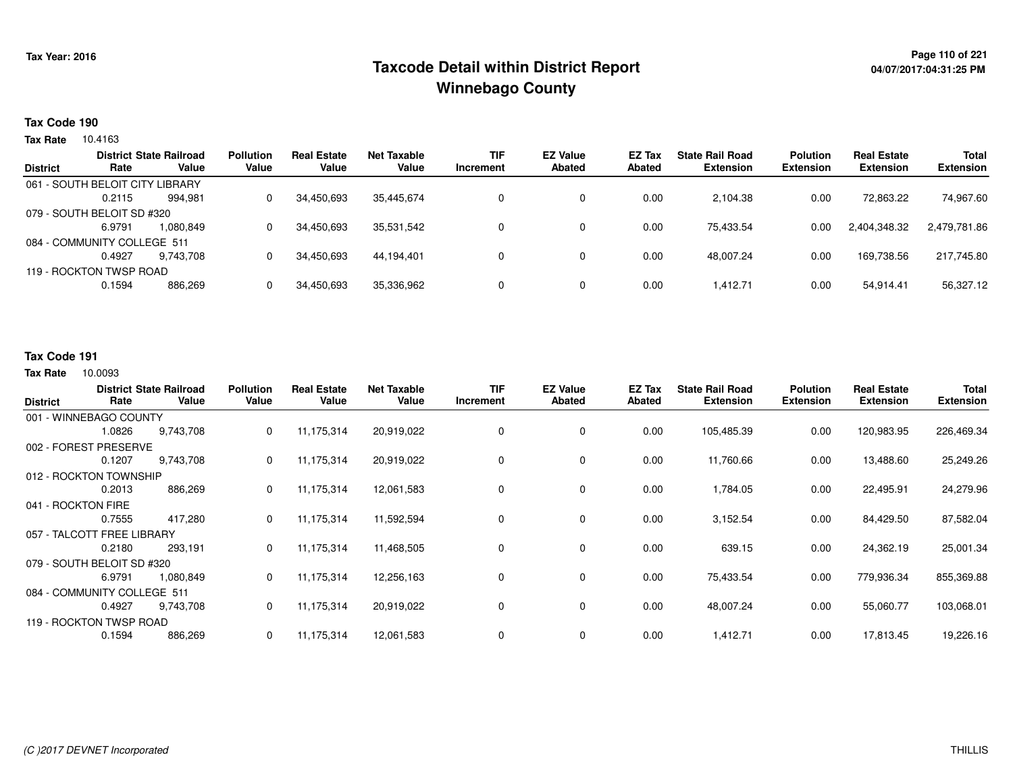# **Page 110 of 221 Taxcode Detail within District ReportWinnebago County**

# **04/07/2017:04:31:25 PM**

### **Tax Code 190**

**Tax Rate** 10.4163

| <b>District</b> | Rate                            | <b>District State Railroad</b><br>Value | <b>Pollution</b><br>Value | <b>Real Estate</b><br>Value | Net Taxable<br>Value | <b>TIF</b><br>Increment | <b>EZ Value</b><br><b>Abated</b> | EZ Tax<br>Abated | <b>State Rail Road</b><br><b>Extension</b> | <b>Polution</b><br><b>Extension</b> | <b>Real Estate</b><br><b>Extension</b> | <b>Total</b><br><b>Extension</b> |
|-----------------|---------------------------------|-----------------------------------------|---------------------------|-----------------------------|----------------------|-------------------------|----------------------------------|------------------|--------------------------------------------|-------------------------------------|----------------------------------------|----------------------------------|
|                 |                                 |                                         |                           |                             |                      |                         |                                  |                  |                                            |                                     |                                        |                                  |
|                 | 061 - SOUTH BELOIT CITY LIBRARY |                                         |                           |                             |                      |                         |                                  |                  |                                            |                                     |                                        |                                  |
|                 | 0.2115                          | 994.981                                 |                           | 34,450,693                  | 35,445,674           |                         |                                  | 0.00             | 2,104.38                                   | 0.00                                | 72,863.22                              | 74,967.60                        |
|                 | 079 - SOUTH BELOIT SD #320      |                                         |                           |                             |                      |                         |                                  |                  |                                            |                                     |                                        |                                  |
|                 | 6.9791                          | 1.080.849                               |                           | 34,450,693                  | 35,531,542           |                         | 0                                | 0.00             | 75.433.54                                  | 0.00                                | 2,404,348.32                           | 2,479,781.86                     |
|                 | 084 - COMMUNITY COLLEGE 511     |                                         |                           |                             |                      |                         |                                  |                  |                                            |                                     |                                        |                                  |
|                 | 0.4927                          | 9.743.708                               |                           | 34.450.693                  | 44.194.401           |                         |                                  | 0.00             | 48.007.24                                  | 0.00                                | 169.738.56                             | 217,745.80                       |
|                 | 119 - ROCKTON TWSP ROAD         |                                         |                           |                             |                      |                         |                                  |                  |                                            |                                     |                                        |                                  |
|                 | 0.1594                          | 886,269                                 |                           | 34,450,693                  | 35,336,962           |                         | 0                                | 0.00             | 1.412.71                                   | 0.00                                | 54,914.41                              | 56,327.12                        |
|                 |                                 |                                         |                           |                             |                      |                         |                                  |                  |                                            |                                     |                                        |                                  |

## **Tax Code 191**

| <b>District</b>             | Rate                       | <b>District State Railroad</b><br>Value | <b>Pollution</b><br>Value | <b>Real Estate</b><br>Value | <b>Net Taxable</b><br>Value | <b>TIF</b><br><b>Increment</b> | <b>EZ Value</b><br><b>Abated</b> | EZ Tax<br>Abated | <b>State Rail Road</b><br><b>Extension</b> | <b>Polution</b><br><b>Extension</b> | <b>Real Estate</b><br><b>Extension</b> | <b>Total</b><br><b>Extension</b> |
|-----------------------------|----------------------------|-----------------------------------------|---------------------------|-----------------------------|-----------------------------|--------------------------------|----------------------------------|------------------|--------------------------------------------|-------------------------------------|----------------------------------------|----------------------------------|
|                             | 001 - WINNEBAGO COUNTY     |                                         |                           |                             |                             |                                |                                  |                  |                                            |                                     |                                        |                                  |
|                             | 1.0826                     | 9,743,708                               | 0                         | 11,175,314                  | 20,919,022                  | 0                              | 0                                | 0.00             | 105,485.39                                 | 0.00                                | 120,983.95                             | 226,469.34                       |
|                             | 002 - FOREST PRESERVE      |                                         |                           |                             |                             |                                |                                  |                  |                                            |                                     |                                        |                                  |
|                             | 0.1207                     | 9,743,708                               | 0                         | 11,175,314                  | 20,919,022                  | 0                              | 0                                | 0.00             | 11,760.66                                  | 0.00                                | 13,488.60                              | 25,249.26                        |
|                             | 012 - ROCKTON TOWNSHIP     |                                         |                           |                             |                             |                                |                                  |                  |                                            |                                     |                                        |                                  |
|                             | 0.2013                     | 886,269                                 | 0                         | 11,175,314                  | 12,061,583                  | 0                              | $\mathbf 0$                      | 0.00             | 1,784.05                                   | 0.00                                | 22,495.91                              | 24,279.96                        |
| 041 - ROCKTON FIRE          |                            |                                         |                           |                             |                             |                                |                                  |                  |                                            |                                     |                                        |                                  |
|                             | 0.7555                     | 417,280                                 | 0                         | 11,175,314                  | 11,592,594                  | 0                              | $\mathbf 0$                      | 0.00             | 3,152.54                                   | 0.00                                | 84,429.50                              | 87,582.04                        |
|                             | 057 - TALCOTT FREE LIBRARY |                                         |                           |                             |                             |                                |                                  |                  |                                            |                                     |                                        |                                  |
|                             | 0.2180                     | 293,191                                 | 0                         | 11,175,314                  | 11,468,505                  | 0                              | 0                                | 0.00             | 639.15                                     | 0.00                                | 24,362.19                              | 25,001.34                        |
|                             | 079 - SOUTH BELOIT SD #320 |                                         |                           |                             |                             |                                |                                  |                  |                                            |                                     |                                        |                                  |
|                             | 6.9791                     | 1,080,849                               | 0                         | 11,175,314                  | 12,256,163                  | 0                              | 0                                | 0.00             | 75,433.54                                  | 0.00                                | 779,936.34                             | 855,369.88                       |
| 084 - COMMUNITY COLLEGE 511 |                            |                                         |                           |                             |                             |                                |                                  |                  |                                            |                                     |                                        |                                  |
| 0.4927<br>9,743,708         |                            | 0                                       | 11,175,314                | 20,919,022                  | 0                           | $\mathbf 0$                    | 0.00                             | 48,007.24        | 0.00                                       | 55,060.77                           | 103,068.01                             |                                  |
| 119 - ROCKTON TWSP ROAD     |                            |                                         |                           |                             |                             |                                |                                  |                  |                                            |                                     |                                        |                                  |
|                             | 0.1594<br>886,269          |                                         | 0                         | 11,175,314                  | 12,061,583                  | 0                              | $\mathbf 0$                      | 0.00             | 1,412.71                                   | 0.00                                | 17,813.45                              | 19,226.16                        |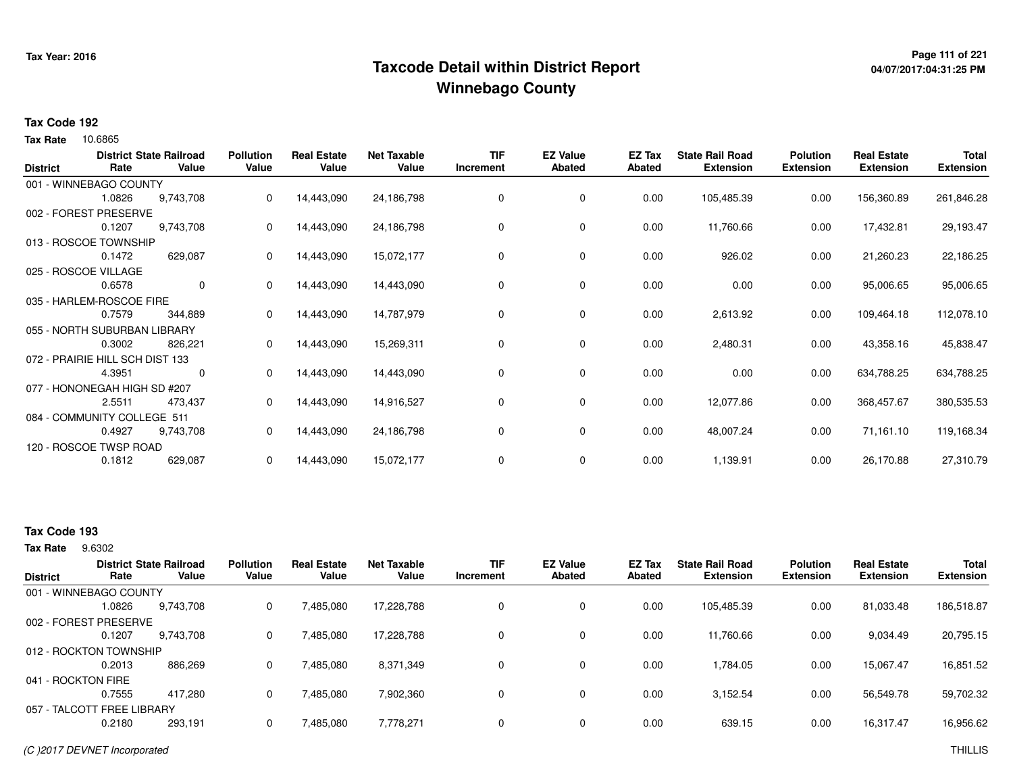# **Page 111 of 221 Taxcode Detail within District ReportWinnebago County**

# **04/07/2017:04:31:25 PM**

### **Tax Code 192**

10.6865 **Tax Rate**

| <b>District</b>                 | Rate                   | <b>District State Railroad</b><br>Value | <b>Pollution</b><br>Value | <b>Real Estate</b><br>Value | <b>Net Taxable</b><br>Value | <b>TIF</b><br>Increment | <b>EZ Value</b><br><b>Abated</b> | EZ Tax<br>Abated | <b>State Rail Road</b><br><b>Extension</b> | <b>Polution</b><br><b>Extension</b> | <b>Real Estate</b><br><b>Extension</b> | Total<br><b>Extension</b> |
|---------------------------------|------------------------|-----------------------------------------|---------------------------|-----------------------------|-----------------------------|-------------------------|----------------------------------|------------------|--------------------------------------------|-------------------------------------|----------------------------------------|---------------------------|
|                                 | 001 - WINNEBAGO COUNTY |                                         |                           |                             |                             |                         |                                  |                  |                                            |                                     |                                        |                           |
|                                 | 1.0826                 | 9,743,708                               | 0                         | 14,443,090                  | 24,186,798                  | 0                       | 0                                | 0.00             | 105,485.39                                 | 0.00                                | 156,360.89                             | 261,846.28                |
| 002 - FOREST PRESERVE           |                        |                                         |                           |                             |                             |                         |                                  |                  |                                            |                                     |                                        |                           |
|                                 | 0.1207                 | 9,743,708                               | 0                         | 14,443,090                  | 24,186,798                  | 0                       | 0                                | 0.00             | 11,760.66                                  | 0.00                                | 17,432.81                              | 29,193.47                 |
| 013 - ROSCOE TOWNSHIP           |                        |                                         |                           |                             |                             |                         |                                  |                  |                                            |                                     |                                        |                           |
|                                 | 0.1472                 | 629,087                                 | 0                         | 14,443,090                  | 15,072,177                  | 0                       | 0                                | 0.00             | 926.02                                     | 0.00                                | 21,260.23                              | 22,186.25                 |
| 025 - ROSCOE VILLAGE            |                        |                                         |                           |                             |                             |                         |                                  |                  |                                            |                                     |                                        |                           |
|                                 | 0.6578                 | 0                                       | 0                         | 14,443,090                  | 14,443,090                  | 0                       | $\mathbf 0$                      | 0.00             | 0.00                                       | 0.00                                | 95,006.65                              | 95,006.65                 |
| 035 - HARLEM-ROSCOE FIRE        |                        |                                         |                           |                             |                             |                         |                                  |                  |                                            |                                     |                                        |                           |
|                                 | 0.7579                 | 344,889                                 | 0                         | 14,443,090                  | 14,787,979                  | 0                       | 0                                | 0.00             | 2,613.92                                   | 0.00                                | 109,464.18                             | 112,078.10                |
| 055 - NORTH SUBURBAN LIBRARY    |                        |                                         |                           |                             |                             |                         |                                  |                  |                                            |                                     |                                        |                           |
|                                 | 0.3002                 | 826,221                                 | 0                         | 14,443,090                  | 15,269,311                  | 0                       | 0                                | 0.00             | 2,480.31                                   | 0.00                                | 43,358.16                              | 45,838.47                 |
| 072 - PRAIRIE HILL SCH DIST 133 |                        |                                         |                           |                             |                             |                         |                                  |                  |                                            |                                     |                                        |                           |
|                                 | 4.3951                 | 0                                       | 0                         | 14,443,090                  | 14,443,090                  | 0                       | 0                                | 0.00             | 0.00                                       | 0.00                                | 634,788.25                             | 634,788.25                |
| 077 - HONONEGAH HIGH SD #207    |                        |                                         |                           |                             |                             |                         |                                  |                  |                                            |                                     |                                        |                           |
|                                 | 2.5511                 | 473,437                                 | 0                         | 14,443,090                  | 14,916,527                  | 0                       | 0                                | 0.00             | 12,077.86                                  | 0.00                                | 368,457.67                             | 380,535.53                |
| 084 - COMMUNITY COLLEGE 511     |                        |                                         |                           |                             |                             |                         |                                  |                  |                                            |                                     |                                        |                           |
|                                 | 0.4927                 | 9,743,708                               | 0                         | 14,443,090                  | 24,186,798                  | 0                       | 0                                | 0.00             | 48,007.24                                  | 0.00                                | 71,161.10                              | 119,168.34                |
|                                 | 120 - ROSCOE TWSP ROAD |                                         |                           |                             |                             |                         |                                  |                  |                                            |                                     |                                        |                           |
|                                 | 0.1812                 | 629,087                                 | 0                         | 14,443,090                  | 15,072,177                  | 0                       | 0                                | 0.00             | 1,139.91                                   | 0.00                                | 26,170.88                              | 27,310.79                 |

# **Tax Code 193**

9.6302 **Tax Rate**

| <b>District</b>    | Rate                       | <b>District State Railroad</b><br>Value | <b>Pollution</b><br>Value | <b>Real Estate</b><br>Value | <b>Net Taxable</b><br>Value | <b>TIF</b><br>Increment | <b>EZ Value</b><br><b>Abated</b> | EZ Tax<br>Abated | <b>State Rail Road</b><br><b>Extension</b> | <b>Polution</b><br><b>Extension</b> | <b>Real Estate</b><br><b>Extension</b> | <b>Total</b><br><b>Extension</b> |
|--------------------|----------------------------|-----------------------------------------|---------------------------|-----------------------------|-----------------------------|-------------------------|----------------------------------|------------------|--------------------------------------------|-------------------------------------|----------------------------------------|----------------------------------|
|                    | 001 - WINNEBAGO COUNTY     |                                         |                           |                             |                             |                         |                                  |                  |                                            |                                     |                                        |                                  |
|                    | 1.0826                     | 9,743,708                               | 0                         | 7,485,080                   | 17,228,788                  |                         | 0                                | 0.00             | 105,485.39                                 | 0.00                                | 81,033.48                              | 186,518.87                       |
|                    | 002 - FOREST PRESERVE      |                                         |                           |                             |                             |                         |                                  |                  |                                            |                                     |                                        |                                  |
|                    | 0.1207                     | 9,743,708                               | 0                         | 7,485,080                   | 17,228,788                  |                         | 0                                | 0.00             | 11,760.66                                  | 0.00                                | 9,034.49                               | 20,795.15                        |
|                    | 012 - ROCKTON TOWNSHIP     |                                         |                           |                             |                             |                         |                                  |                  |                                            |                                     |                                        |                                  |
|                    | 0.2013                     | 886,269                                 | 0                         | 7.485.080                   | 8,371,349                   |                         | 0                                | 0.00             | 1.784.05                                   | 0.00                                | 15.067.47                              | 16,851.52                        |
| 041 - ROCKTON FIRE |                            |                                         |                           |                             |                             |                         |                                  |                  |                                            |                                     |                                        |                                  |
|                    | 0.7555                     | 417.280                                 | 0                         | 7,485,080                   | 7,902,360                   |                         | 0                                | 0.00             | 3,152.54                                   | 0.00                                | 56,549.78                              | 59,702.32                        |
|                    | 057 - TALCOTT FREE LIBRARY |                                         |                           |                             |                             |                         |                                  |                  |                                            |                                     |                                        |                                  |
|                    | 0.2180                     | 293,191                                 | 0                         | 7,485,080                   | 7,778,271                   |                         | 0                                | 0.00             | 639.15                                     | 0.00                                | 16,317.47                              | 16,956.62                        |
|                    |                            |                                         |                           |                             |                             |                         |                                  |                  |                                            |                                     |                                        |                                  |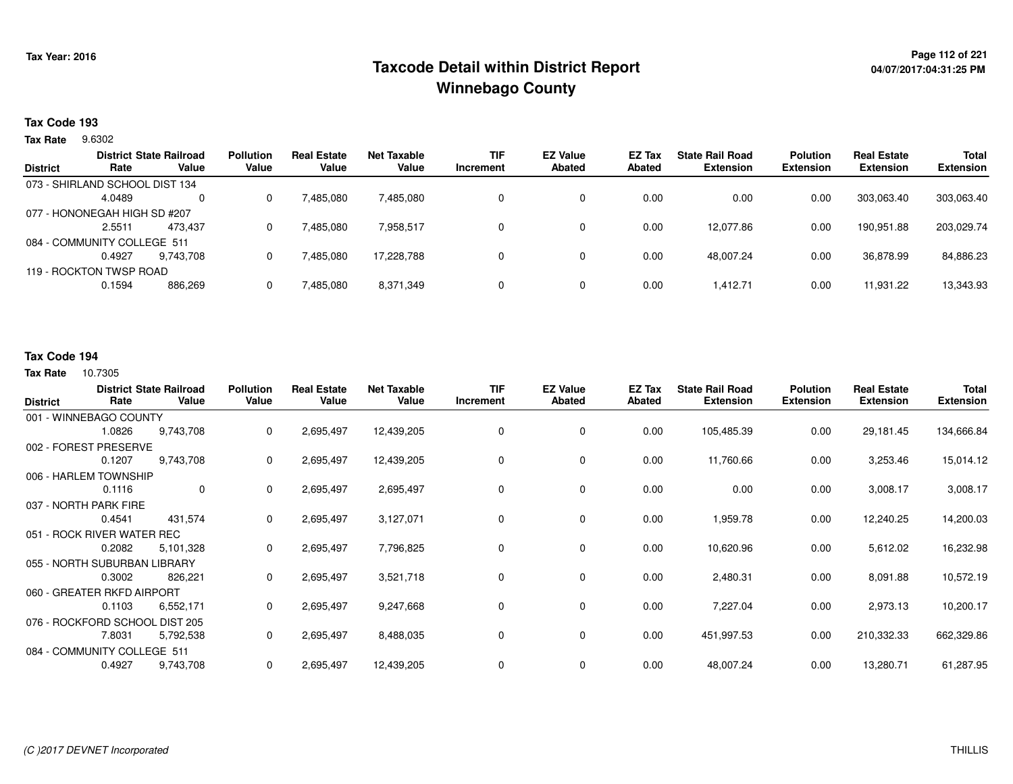# **Page 112 of 221 Taxcode Detail within District ReportWinnebago County**

## **Tax Code 193**

9.6302 **Tax Rate**

|                 |                                | <b>District State Railroad</b> | <b>Pollution</b> | <b>Real Estate</b> | Net Taxable | <b>TIF</b> | <b>EZ Value</b> | <b>EZ Tax</b> | <b>State Rail Road</b> | <b>Polution</b>  | <b>Real Estate</b> | <b>Total</b>     |
|-----------------|--------------------------------|--------------------------------|------------------|--------------------|-------------|------------|-----------------|---------------|------------------------|------------------|--------------------|------------------|
| <b>District</b> | Rate                           | Value                          | Value            | Value              | Value       | Increment  | <b>Abated</b>   | Abated        | <b>Extension</b>       | <b>Extension</b> | <b>Extension</b>   | <b>Extension</b> |
|                 | 073 - SHIRLAND SCHOOL DIST 134 |                                |                  |                    |             |            |                 |               |                        |                  |                    |                  |
|                 | 4.0489                         | $\Omega$                       |                  | 7,485,080          | 7,485,080   |            |                 | 0.00          | 0.00                   | 0.00             | 303.063.40         | 303.063.40       |
|                 | 077 - HONONEGAH HIGH SD #207   |                                |                  |                    |             |            |                 |               |                        |                  |                    |                  |
|                 | 2.5511                         | 473.437                        |                  | 7,485,080          | 7,958,517   |            |                 | 0.00          | 12.077.86              | 0.00             | 190,951.88         | 203,029.74       |
|                 | 084 - COMMUNITY COLLEGE 511    |                                |                  |                    |             |            |                 |               |                        |                  |                    |                  |
|                 | 0.4927                         | 9.743.708                      |                  | 7,485,080          | 17.228.788  |            | 0               | 0.00          | 48.007.24              | 0.00             | 36.878.99          | 84,886.23        |
|                 | 119 - ROCKTON TWSP ROAD        |                                |                  |                    |             |            |                 |               |                        |                  |                    |                  |
|                 | 0.1594                         | 886,269                        |                  | 7,485,080          | 8,371,349   |            |                 | 0.00          | 1.412.71               | 0.00             | 11,931.22          | 13,343.93        |
|                 |                                |                                |                  |                    |             |            |                 |               |                        |                  |                    |                  |

### **Tax Code 194**

| <b>District</b> | Rate                           | <b>District State Railroad</b><br>Value | <b>Pollution</b><br>Value | <b>Real Estate</b><br>Value | <b>Net Taxable</b><br>Value | <b>TIF</b><br>Increment | <b>EZ Value</b><br><b>Abated</b> | EZ Tax<br><b>Abated</b> | <b>State Rail Road</b><br><b>Extension</b> | <b>Polution</b><br><b>Extension</b> | <b>Real Estate</b><br><b>Extension</b> | Total<br><b>Extension</b> |
|-----------------|--------------------------------|-----------------------------------------|---------------------------|-----------------------------|-----------------------------|-------------------------|----------------------------------|-------------------------|--------------------------------------------|-------------------------------------|----------------------------------------|---------------------------|
|                 | 001 - WINNEBAGO COUNTY         |                                         |                           |                             |                             |                         |                                  |                         |                                            |                                     |                                        |                           |
|                 | 1.0826                         | 9,743,708                               | 0                         | 2,695,497                   | 12,439,205                  | 0                       | 0                                | 0.00                    | 105,485.39                                 | 0.00                                | 29,181.45                              | 134,666.84                |
|                 | 002 - FOREST PRESERVE          |                                         |                           |                             |                             |                         |                                  |                         |                                            |                                     |                                        |                           |
|                 | 0.1207                         | 9,743,708                               | 0                         | 2,695,497                   | 12,439,205                  | 0                       | 0                                | 0.00                    | 11,760.66                                  | 0.00                                | 3,253.46                               | 15,014.12                 |
|                 | 006 - HARLEM TOWNSHIP          |                                         |                           |                             |                             |                         |                                  |                         |                                            |                                     |                                        |                           |
|                 | 0.1116                         | 0                                       | 0                         | 2,695,497                   | 2,695,497                   | 0                       | 0                                | 0.00                    | 0.00                                       | 0.00                                | 3,008.17                               | 3,008.17                  |
|                 | 037 - NORTH PARK FIRE          |                                         |                           |                             |                             |                         |                                  |                         |                                            |                                     |                                        |                           |
|                 | 0.4541                         | 431,574                                 | 0                         | 2,695,497                   | 3,127,071                   | 0                       | 0                                | 0.00                    | 1,959.78                                   | 0.00                                | 12,240.25                              | 14,200.03                 |
|                 | 051 - ROCK RIVER WATER REC     |                                         |                           |                             |                             |                         |                                  |                         |                                            |                                     |                                        |                           |
|                 | 0.2082                         | 5,101,328                               | 0                         | 2,695,497                   | 7,796,825                   | 0                       | 0                                | 0.00                    | 10,620.96                                  | 0.00                                | 5,612.02                               | 16,232.98                 |
|                 | 055 - NORTH SUBURBAN LIBRARY   |                                         |                           |                             |                             |                         |                                  |                         |                                            |                                     |                                        |                           |
|                 | 0.3002                         | 826,221                                 | 0                         | 2,695,497                   | 3,521,718                   | 0                       | 0                                | 0.00                    | 2,480.31                                   | 0.00                                | 8,091.88                               | 10,572.19                 |
|                 | 060 - GREATER RKFD AIRPORT     |                                         |                           |                             |                             |                         |                                  |                         |                                            |                                     |                                        |                           |
|                 | 0.1103                         | 6,552,171                               | 0                         | 2,695,497                   | 9,247,668                   | 0                       | 0                                | 0.00                    | 7,227.04                                   | 0.00                                | 2,973.13                               | 10,200.17                 |
|                 | 076 - ROCKFORD SCHOOL DIST 205 |                                         |                           |                             |                             |                         |                                  |                         |                                            |                                     |                                        |                           |
|                 | 7.8031                         | 5,792,538                               | 0                         | 2,695,497                   | 8,488,035                   | 0                       | 0                                | 0.00                    | 451,997.53                                 | 0.00                                | 210,332.33                             | 662,329.86                |
|                 | 084 - COMMUNITY COLLEGE 511    |                                         |                           |                             |                             |                         |                                  |                         |                                            |                                     |                                        |                           |
|                 | 0.4927                         | 9,743,708                               | 0                         | 2,695,497                   | 12,439,205                  | 0                       | 0                                | 0.00                    | 48,007.24                                  | 0.00                                | 13,280.71                              | 61,287.95                 |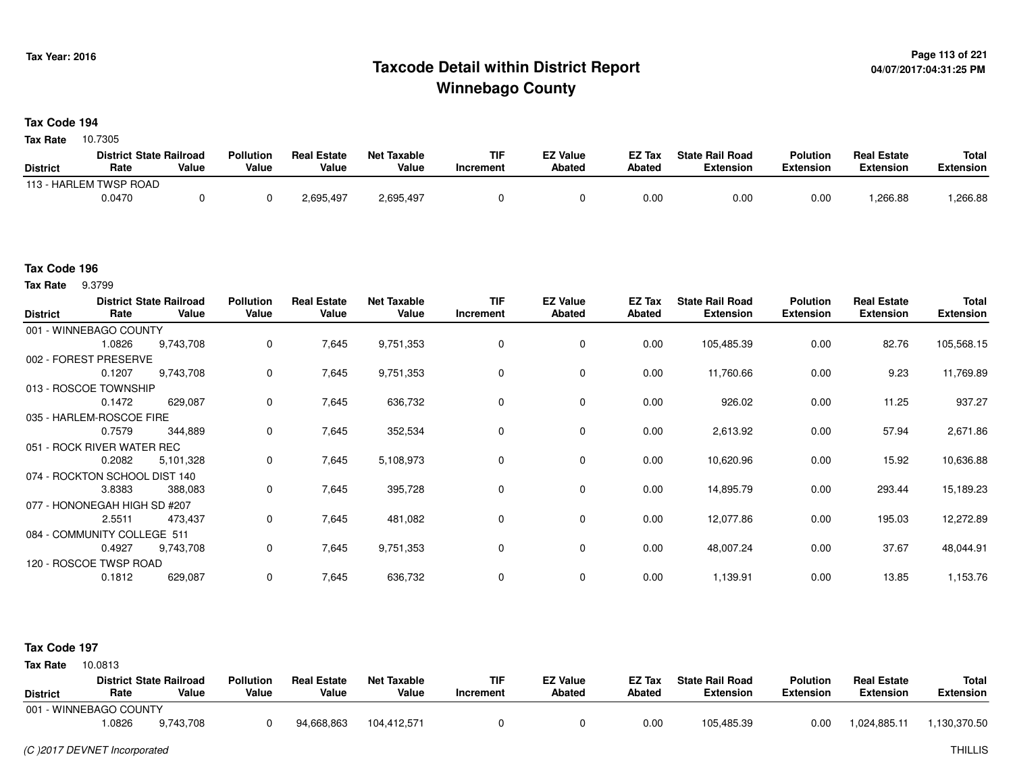# **Page 113 of 221 Taxcode Detail within District ReportWinnebago County**

### **Tax Code 194**

10.7305 **Tax Rate**

|                 | <b>District State Railroad</b> |       | <b>Pollution</b> | <b>Real Estate</b> | <b>Net Taxable</b> | TIF       | <b>EZ Value</b> | <b>EZ Tax</b> | <b>State Rail Road</b> | <b>Polution</b>  | <b>Real Estate</b> | <b>Total</b> |
|-----------------|--------------------------------|-------|------------------|--------------------|--------------------|-----------|-----------------|---------------|------------------------|------------------|--------------------|--------------|
| <b>District</b> | Rate                           | Value | Value            | Value              | Value              | Increment | <b>Abated</b>   | <b>Abated</b> | <b>Extension</b>       | <b>Extension</b> | <b>Extension</b>   | Extension    |
|                 | 113 - HARLEM TWSP ROAD         |       |                  |                    |                    |           |                 |               |                        |                  |                    |              |
|                 | 0.0470                         |       |                  | 2,695,497          | 2,695,497          |           |                 | 0.00          | 0.00                   | 0.00             | 1,266.88           | .266.88      |

#### **Tax Code 196**

9.3799 **Tax Rate**

| <b>District</b> | Rate                          | <b>District State Railroad</b><br>Value | <b>Pollution</b><br>Value | <b>Real Estate</b><br>Value | <b>Net Taxable</b><br>Value | <b>TIF</b><br>Increment | <b>EZ Value</b><br><b>Abated</b> | EZ Tax<br><b>Abated</b> | <b>State Rail Road</b><br><b>Extension</b> | <b>Polution</b><br><b>Extension</b> | <b>Real Estate</b><br><b>Extension</b> | Total<br><b>Extension</b> |
|-----------------|-------------------------------|-----------------------------------------|---------------------------|-----------------------------|-----------------------------|-------------------------|----------------------------------|-------------------------|--------------------------------------------|-------------------------------------|----------------------------------------|---------------------------|
|                 | 001 - WINNEBAGO COUNTY        |                                         |                           |                             |                             |                         |                                  |                         |                                            |                                     |                                        |                           |
|                 | 1.0826                        | 9,743,708                               | $\mathbf 0$               | 7,645                       | 9,751,353                   | 0                       | $\mathbf 0$                      | 0.00                    | 105,485.39                                 | 0.00                                | 82.76                                  | 105,568.15                |
|                 | 002 - FOREST PRESERVE         |                                         |                           |                             |                             |                         |                                  |                         |                                            |                                     |                                        |                           |
|                 | 0.1207                        | 9,743,708                               | 0                         | 7,645                       | 9,751,353                   | 0                       | 0                                | 0.00                    | 11,760.66                                  | 0.00                                | 9.23                                   | 11,769.89                 |
|                 | 013 - ROSCOE TOWNSHIP         |                                         |                           |                             |                             |                         |                                  |                         |                                            |                                     |                                        |                           |
|                 | 0.1472                        | 629,087                                 | 0                         | 7,645                       | 636,732                     | 0                       | 0                                | 0.00                    | 926.02                                     | 0.00                                | 11.25                                  | 937.27                    |
|                 | 035 - HARLEM-ROSCOE FIRE      |                                         |                           |                             |                             |                         |                                  |                         |                                            |                                     |                                        |                           |
|                 | 0.7579                        | 344,889                                 | $\mathbf 0$               | 7,645                       | 352,534                     | 0                       | 0                                | 0.00                    | 2,613.92                                   | 0.00                                | 57.94                                  | 2,671.86                  |
|                 | 051 - ROCK RIVER WATER REC    |                                         |                           |                             |                             |                         |                                  |                         |                                            |                                     |                                        |                           |
|                 | 0.2082                        | 5,101,328                               | $\mathbf 0$               | 7,645                       | 5,108,973                   | $\Omega$                | 0                                | 0.00                    | 10,620.96                                  | 0.00                                | 15.92                                  | 10,636.88                 |
|                 | 074 - ROCKTON SCHOOL DIST 140 |                                         |                           |                             |                             |                         |                                  |                         |                                            |                                     |                                        |                           |
|                 | 3.8383                        | 388,083                                 | 0                         | 7,645                       | 395,728                     | 0                       | $\mathbf 0$                      | 0.00                    | 14,895.79                                  | 0.00                                | 293.44                                 | 15,189.23                 |
|                 | 077 - HONONEGAH HIGH SD #207  |                                         |                           |                             |                             |                         |                                  |                         |                                            |                                     |                                        |                           |
|                 | 2.5511                        | 473,437                                 | $\mathbf 0$               | 7,645                       | 481,082                     | 0                       | $\mathbf 0$                      | 0.00                    | 12,077.86                                  | 0.00                                | 195.03                                 | 12,272.89                 |
|                 | 084 - COMMUNITY COLLEGE 511   |                                         |                           |                             |                             |                         |                                  |                         |                                            |                                     |                                        |                           |
|                 | 0.4927                        | 9,743,708                               | 0                         | 7,645                       | 9,751,353                   | 0                       | 0                                | 0.00                    | 48,007.24                                  | 0.00                                | 37.67                                  | 48,044.91                 |
|                 | 120 - ROSCOE TWSP ROAD        |                                         |                           |                             |                             |                         |                                  |                         |                                            |                                     |                                        |                           |
|                 | 0.1812                        | 629,087                                 | 0                         | 7,645                       | 636,732                     | 0                       | 0                                | 0.00                    | 1,139.91                                   | 0.00                                | 13.85                                  | 1,153.76                  |

### **Tax Code 197**

**State Railroad District ValueTIF IncrementEZ Value AbatedReal Estate ExtensionTotal ExtensionTax Rate** 10.0813 **DistrictPollution ValueReal Estate ValueNet Taxable Value Rate** 001 - WINNEBAGO COUNTY**Polution ExtensionState Rail Road ExtensionEZ Tax Abated**1,024,885.11 1,130,370.509,743,708 1.08266 9,743,708 0 94,668,863 104,412,571 0 0 0 0.00 105,485.39 0.00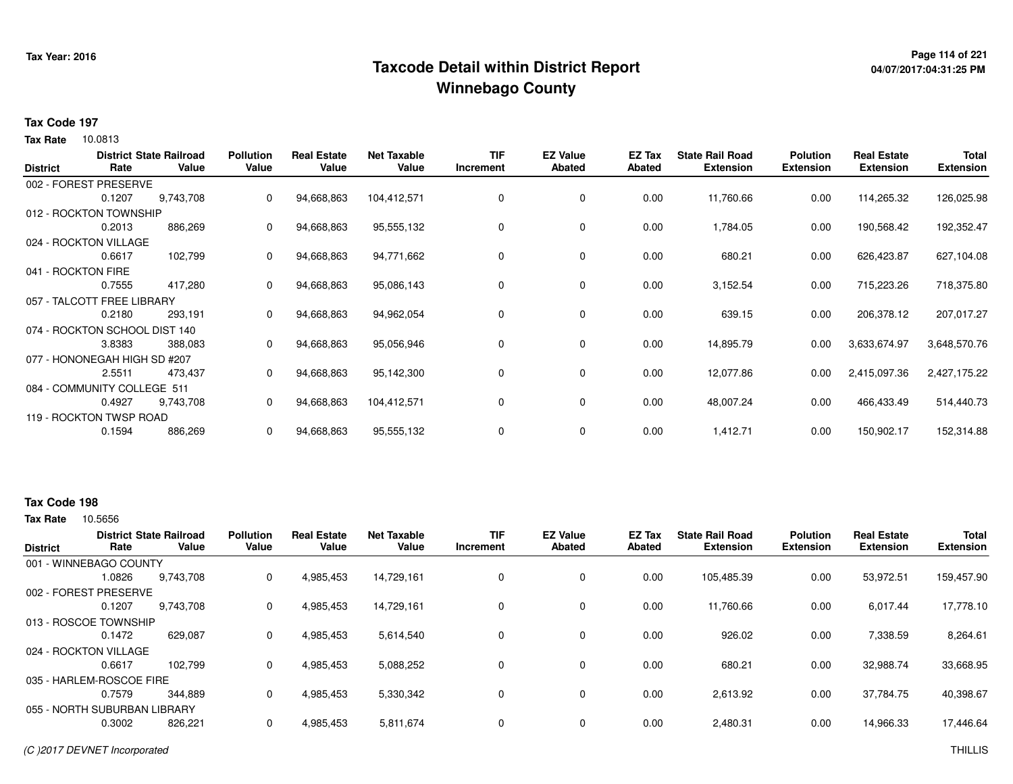# **Page 114 of 221 Taxcode Detail within District ReportWinnebago County**

# **04/07/2017:04:31:25 PM**

### **Tax Code 197**

**Tax Rate** 10.0813

| <b>District</b>    | Rate                          | <b>District State Railroad</b><br>Value | <b>Pollution</b><br>Value | <b>Real Estate</b><br>Value | <b>Net Taxable</b><br>Value | <b>TIF</b><br>Increment | <b>EZ Value</b><br>Abated | EZ Tax<br>Abated | <b>State Rail Road</b><br><b>Extension</b> | <b>Polution</b><br><b>Extension</b> | <b>Real Estate</b><br><b>Extension</b> | Total<br><b>Extension</b> |
|--------------------|-------------------------------|-----------------------------------------|---------------------------|-----------------------------|-----------------------------|-------------------------|---------------------------|------------------|--------------------------------------------|-------------------------------------|----------------------------------------|---------------------------|
|                    | 002 - FOREST PRESERVE         |                                         |                           |                             |                             |                         |                           |                  |                                            |                                     |                                        |                           |
|                    | 0.1207                        | 9,743,708                               | 0                         | 94,668,863                  | 104,412,571                 | 0                       | $\mathbf 0$               | 0.00             | 11,760.66                                  | 0.00                                | 114,265.32                             | 126,025.98                |
|                    | 012 - ROCKTON TOWNSHIP        |                                         |                           |                             |                             |                         |                           |                  |                                            |                                     |                                        |                           |
|                    | 0.2013                        | 886,269                                 | 0                         | 94,668,863                  | 95,555,132                  | 0                       | 0                         | 0.00             | 1,784.05                                   | 0.00                                | 190,568.42                             | 192,352.47                |
|                    | 024 - ROCKTON VILLAGE         |                                         |                           |                             |                             |                         |                           |                  |                                            |                                     |                                        |                           |
|                    | 0.6617                        | 102,799                                 | 0                         | 94,668,863                  | 94,771,662                  | 0                       | $\mathbf 0$               | 0.00             | 680.21                                     | 0.00                                | 626,423.87                             | 627,104.08                |
| 041 - ROCKTON FIRE |                               |                                         |                           |                             |                             |                         |                           |                  |                                            |                                     |                                        |                           |
|                    | 0.7555                        | 417,280                                 | 0                         | 94,668,863                  | 95,086,143                  | 0                       | $\mathbf 0$               | 0.00             | 3,152.54                                   | 0.00                                | 715,223.26                             | 718,375.80                |
|                    | 057 - TALCOTT FREE LIBRARY    |                                         |                           |                             |                             |                         |                           |                  |                                            |                                     |                                        |                           |
|                    | 0.2180                        | 293,191                                 | 0                         | 94,668,863                  | 94,962,054                  | 0                       | $\mathbf 0$               | 0.00             | 639.15                                     | 0.00                                | 206,378.12                             | 207,017.27                |
|                    | 074 - ROCKTON SCHOOL DIST 140 |                                         |                           |                             |                             |                         |                           |                  |                                            |                                     |                                        |                           |
|                    | 3.8383                        | 388,083                                 | 0                         | 94,668,863                  | 95,056,946                  | 0                       | $\mathbf 0$               | 0.00             | 14,895.79                                  | 0.00                                | 3,633,674.97                           | 3,648,570.76              |
|                    | 077 - HONONEGAH HIGH SD #207  |                                         |                           |                             |                             |                         |                           |                  |                                            |                                     |                                        |                           |
|                    | 2.5511                        | 473,437                                 | 0                         | 94,668,863                  | 95,142,300                  | 0                       | $\mathbf 0$               | 0.00             | 12,077.86                                  | 0.00                                | 2,415,097.36                           | 2,427,175.22              |
|                    | 084 - COMMUNITY COLLEGE 511   |                                         |                           |                             |                             |                         |                           |                  |                                            |                                     |                                        |                           |
|                    | 0.4927                        | 9,743,708                               | 0                         | 94,668,863                  | 104,412,571                 | 0                       | 0                         | 0.00             | 48,007.24                                  | 0.00                                | 466,433.49                             | 514,440.73                |
|                    | 119 - ROCKTON TWSP ROAD       |                                         |                           |                             |                             |                         |                           |                  |                                            |                                     |                                        |                           |
|                    | 0.1594                        | 886,269                                 | 0                         | 94,668,863                  | 95,555,132                  | 0                       | 0                         | 0.00             | 1,412.71                                   | 0.00                                | 150,902.17                             | 152,314.88                |
|                    |                               |                                         |                           |                             |                             |                         |                           |                  |                                            |                                     |                                        |                           |

## **Tax Code 198**

| <b>District</b>              | Rate   | <b>District State Railroad</b><br>Value | <b>Pollution</b><br>Value | <b>Real Estate</b><br>Value | <b>Net Taxable</b><br>Value | <b>TIF</b><br>Increment | <b>EZ Value</b><br><b>Abated</b> | <b>EZ Tax</b><br>Abated | <b>State Rail Road</b><br><b>Extension</b> | <b>Polution</b><br><b>Extension</b> | <b>Real Estate</b><br><b>Extension</b> | <b>Total</b><br><b>Extension</b> |
|------------------------------|--------|-----------------------------------------|---------------------------|-----------------------------|-----------------------------|-------------------------|----------------------------------|-------------------------|--------------------------------------------|-------------------------------------|----------------------------------------|----------------------------------|
| 001 - WINNEBAGO COUNTY       |        |                                         |                           |                             |                             |                         |                                  |                         |                                            |                                     |                                        |                                  |
|                              | 1.0826 | 9,743,708                               | 0                         | 4,985,453                   | 14,729,161                  | 0                       | 0                                | 0.00                    | 105,485.39                                 | 0.00                                | 53,972.51                              | 159,457.90                       |
| 002 - FOREST PRESERVE        |        |                                         |                           |                             |                             |                         |                                  |                         |                                            |                                     |                                        |                                  |
|                              | 0.1207 | 9.743.708                               | 0                         | 4,985,453                   | 14.729.161                  | 0                       | $\mathbf 0$                      | 0.00                    | 11.760.66                                  | 0.00                                | 6.017.44                               | 17,778.10                        |
| 013 - ROSCOE TOWNSHIP        |        |                                         |                           |                             |                             |                         |                                  |                         |                                            |                                     |                                        |                                  |
|                              | 0.1472 | 629,087                                 | 0                         | 4,985,453                   | 5,614,540                   | 0                       | $\mathbf 0$                      | 0.00                    | 926.02                                     | 0.00                                | 7,338.59                               | 8,264.61                         |
| 024 - ROCKTON VILLAGE        |        |                                         |                           |                             |                             |                         |                                  |                         |                                            |                                     |                                        |                                  |
|                              | 0.6617 | 102.799                                 | 0                         | 4,985,453                   | 5,088,252                   | 0                       | 0                                | 0.00                    | 680.21                                     | 0.00                                | 32,988.74                              | 33,668.95                        |
| 035 - HARLEM-ROSCOE FIRE     |        |                                         |                           |                             |                             |                         |                                  |                         |                                            |                                     |                                        |                                  |
|                              | 0.7579 | 344.889                                 | 0                         | 4,985,453                   | 5,330,342                   | 0                       | $\mathbf 0$                      | 0.00                    | 2,613.92                                   | 0.00                                | 37,784.75                              | 40,398.67                        |
| 055 - NORTH SUBURBAN LIBRARY |        |                                         |                           |                             |                             |                         |                                  |                         |                                            |                                     |                                        |                                  |
|                              | 0.3002 | 826,221                                 | 0                         | 4,985,453                   | 5,811,674                   | 0                       | $\mathbf 0$                      | 0.00                    | 2,480.31                                   | 0.00                                | 14,966.33                              | 17,446.64                        |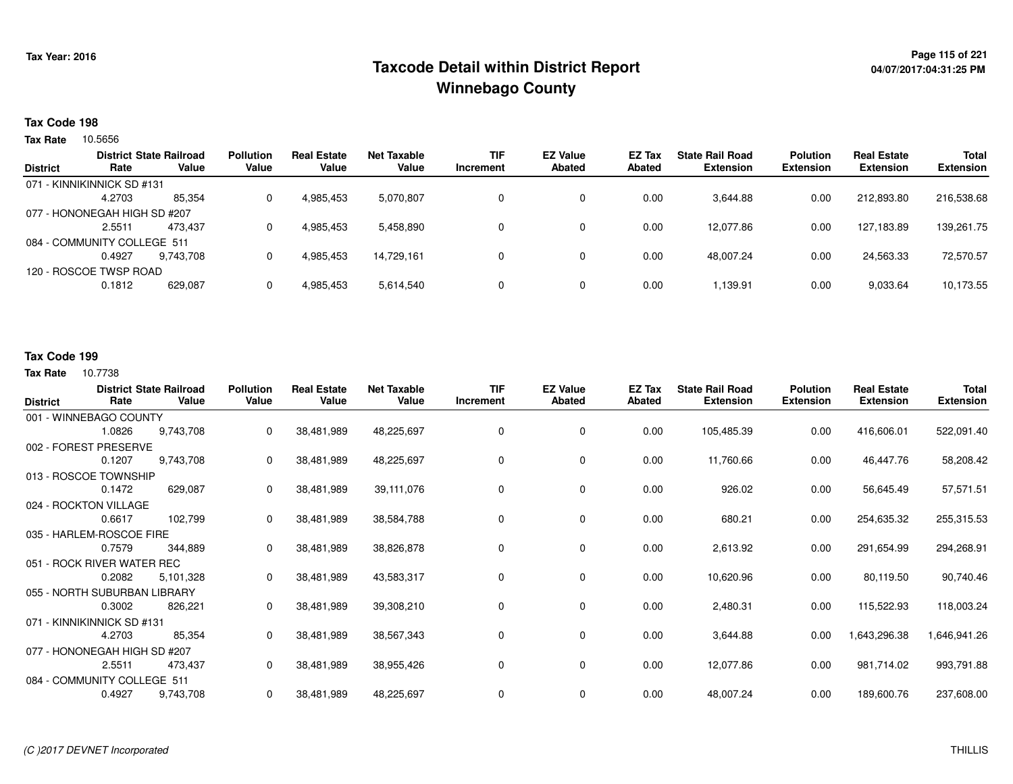# **Page 115 of 221 Taxcode Detail within District ReportWinnebago County**

## **Tax Code 198**

Tax Rate 10.5656

| <b>District</b> | Rate                         | <b>District State Railroad</b><br>Value | <b>Pollution</b><br>Value | <b>Real Estate</b><br>Value | Net Taxable<br>Value | <b>TIF</b><br>Increment | <b>EZ Value</b><br><b>Abated</b> | EZ Tax<br>Abated | <b>State Rail Road</b><br><b>Extension</b> | <b>Polution</b><br><b>Extension</b> | <b>Real Estate</b><br><b>Extension</b> | <b>Total</b><br><b>Extension</b> |
|-----------------|------------------------------|-----------------------------------------|---------------------------|-----------------------------|----------------------|-------------------------|----------------------------------|------------------|--------------------------------------------|-------------------------------------|----------------------------------------|----------------------------------|
|                 | 071 - KINNIKINNICK SD #131   |                                         |                           |                             |                      |                         |                                  |                  |                                            |                                     |                                        |                                  |
|                 | 4.2703                       | 85,354                                  | 0                         | 4,985,453                   | 5,070,807            |                         | 0                                | 0.00             | 3,644.88                                   | 0.00                                | 212,893.80                             | 216,538.68                       |
|                 | 077 - HONONEGAH HIGH SD #207 |                                         |                           |                             |                      |                         |                                  |                  |                                            |                                     |                                        |                                  |
|                 | 2.5511                       | 473.437                                 | 0                         | 4,985,453                   | 5,458,890            |                         | 0                                | 0.00             | 12,077.86                                  | 0.00                                | 127,183.89                             | 139,261.75                       |
|                 | 084 - COMMUNITY COLLEGE 511  |                                         |                           |                             |                      |                         |                                  |                  |                                            |                                     |                                        |                                  |
|                 | 0.4927                       | 9.743.708                               | 0                         | 4,985,453                   | 14.729.161           |                         | 0                                | 0.00             | 48.007.24                                  | 0.00                                | 24,563.33                              | 72,570.57                        |
|                 | 120 - ROSCOE TWSP ROAD       |                                         |                           |                             |                      |                         |                                  |                  |                                            |                                     |                                        |                                  |
|                 | 0.1812                       | 629,087                                 | 0                         | 4,985,453                   | 5,614,540            |                         | 0                                | 0.00             | 1.139.91                                   | 0.00                                | 9,033.64                               | 10,173.55                        |

## **Tax Code 199**

| <b>District</b> | Rate                         | <b>District State Railroad</b><br>Value | <b>Pollution</b><br>Value | <b>Real Estate</b><br>Value | <b>Net Taxable</b><br>Value | <b>TIF</b><br>Increment | <b>EZ Value</b><br><b>Abated</b> | EZ Tax<br>Abated | <b>State Rail Road</b><br><b>Extension</b> | <b>Polution</b><br><b>Extension</b> | <b>Real Estate</b><br><b>Extension</b> | Total<br><b>Extension</b> |
|-----------------|------------------------------|-----------------------------------------|---------------------------|-----------------------------|-----------------------------|-------------------------|----------------------------------|------------------|--------------------------------------------|-------------------------------------|----------------------------------------|---------------------------|
|                 | 001 - WINNEBAGO COUNTY       |                                         |                           |                             |                             |                         |                                  |                  |                                            |                                     |                                        |                           |
|                 | 1.0826                       | 9,743,708                               | 0                         | 38,481,989                  | 48,225,697                  | 0                       | 0                                | 0.00             | 105,485.39                                 | 0.00                                | 416,606.01                             | 522,091.40                |
|                 | 002 - FOREST PRESERVE        |                                         |                           |                             |                             |                         |                                  |                  |                                            |                                     |                                        |                           |
|                 | 0.1207                       | 9,743,708                               | 0                         | 38,481,989                  | 48,225,697                  | 0                       | 0                                | 0.00             | 11,760.66                                  | 0.00                                | 46,447.76                              | 58,208.42                 |
|                 | 013 - ROSCOE TOWNSHIP        |                                         |                           |                             |                             |                         |                                  |                  |                                            |                                     |                                        |                           |
|                 | 0.1472                       | 629,087                                 | 0                         | 38,481,989                  | 39,111,076                  | 0                       | $\mathbf 0$                      | 0.00             | 926.02                                     | 0.00                                | 56,645.49                              | 57,571.51                 |
|                 | 024 - ROCKTON VILLAGE        |                                         |                           |                             |                             |                         |                                  |                  |                                            |                                     |                                        |                           |
|                 | 0.6617                       | 102,799                                 | 0                         | 38,481,989                  | 38,584,788                  | 0                       | 0                                | 0.00             | 680.21                                     | 0.00                                | 254,635.32                             | 255,315.53                |
|                 | 035 - HARLEM-ROSCOE FIRE     |                                         |                           |                             |                             |                         |                                  |                  |                                            |                                     |                                        |                           |
|                 | 0.7579                       | 344,889                                 | 0                         | 38,481,989                  | 38,826,878                  | 0                       | 0                                | 0.00             | 2,613.92                                   | 0.00                                | 291,654.99                             | 294,268.91                |
|                 | 051 - ROCK RIVER WATER REC   |                                         |                           |                             |                             |                         |                                  |                  |                                            |                                     |                                        |                           |
|                 | 0.2082                       | 5,101,328                               | 0                         | 38,481,989                  | 43,583,317                  | 0                       | 0                                | 0.00             | 10,620.96                                  | 0.00                                | 80,119.50                              | 90,740.46                 |
|                 | 055 - NORTH SUBURBAN LIBRARY |                                         |                           |                             |                             |                         |                                  |                  |                                            |                                     |                                        |                           |
|                 | 0.3002                       | 826,221                                 | 0                         | 38,481,989                  | 39,308,210                  | 0                       | 0                                | 0.00             | 2,480.31                                   | 0.00                                | 115,522.93                             | 118,003.24                |
|                 | 071 - KINNIKINNICK SD #131   |                                         |                           |                             |                             |                         |                                  |                  |                                            |                                     |                                        |                           |
|                 | 4.2703                       | 85,354                                  | 0                         | 38,481,989                  | 38,567,343                  | 0                       | $\mathbf 0$                      | 0.00             | 3,644.88                                   | 0.00                                | 1,643,296.38                           | 1,646,941.26              |
|                 | 077 - HONONEGAH HIGH SD #207 |                                         |                           |                             |                             |                         |                                  |                  |                                            |                                     |                                        |                           |
|                 | 2.5511                       | 473,437                                 | 0                         | 38,481,989                  | 38,955,426                  | 0                       | 0                                | 0.00             | 12,077.86                                  | 0.00                                | 981,714.02                             | 993,791.88                |
|                 | 084 - COMMUNITY COLLEGE 511  |                                         |                           |                             |                             |                         |                                  |                  |                                            |                                     |                                        |                           |
|                 | 0.4927                       | 9,743,708                               | 0                         | 38,481,989                  | 48,225,697                  | 0                       | $\mathbf 0$                      | 0.00             | 48,007.24                                  | 0.00                                | 189,600.76                             | 237,608.00                |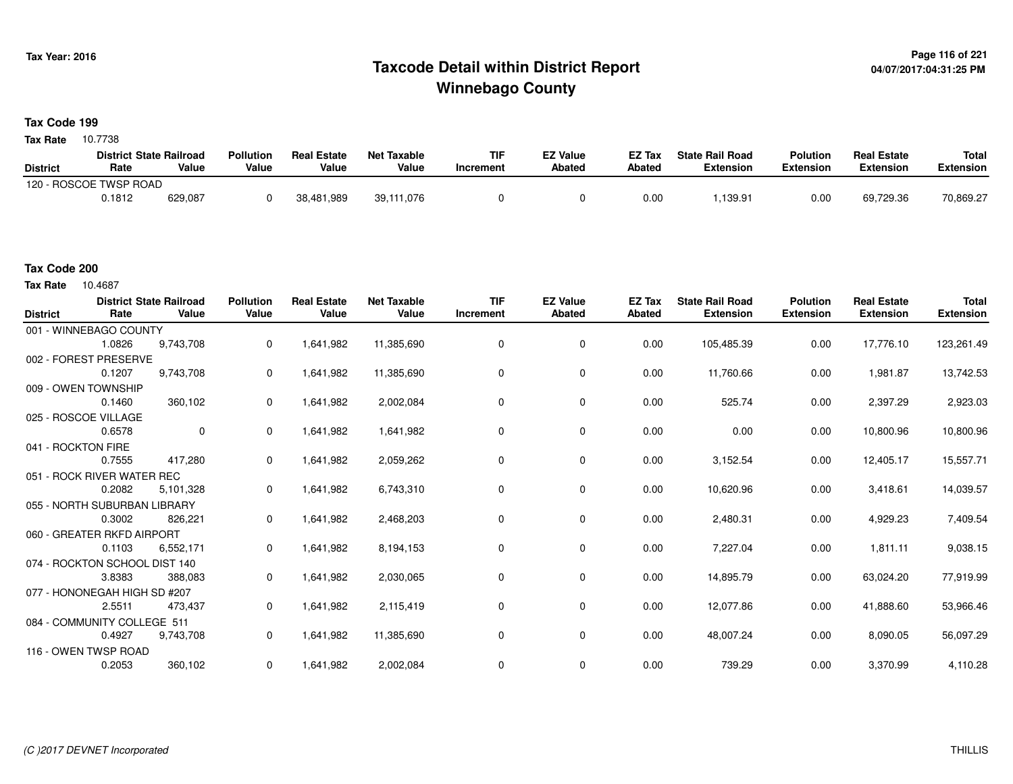# **Page 116 of 221 Taxcode Detail within District ReportWinnebago County**

# **Tax Code 199**

**Tax Rate** 10.7738

|                 | <b>District State Railroad</b> |         | <b>Pollution</b> | <b>Real Estate</b> | Net Taxable | <b>TIF</b> | <b>EZ Value</b> | <b>EZ Tax</b> | <b>State Rail Road</b> | <b>Polution</b>  | <b>Real Estate</b> | <b>Total</b> |
|-----------------|--------------------------------|---------|------------------|--------------------|-------------|------------|-----------------|---------------|------------------------|------------------|--------------------|--------------|
| <b>District</b> | Rate                           | Value   | Value            | Value              | Value       | Increment  | <b>Abated</b>   | Abated        | <b>Extension</b>       | <b>Extension</b> | <b>Extension</b>   | Extension    |
|                 | 120 - ROSCOE TWSP ROAD         |         |                  |                    |             |            |                 |               |                        |                  |                    |              |
|                 | 0.1812                         | 629,087 |                  | 38,481,989         | 39,111,076  |            |                 | 0.00          | ,139.91                | 0.00             | 69.729.36          | 70,869.27    |

## **Tax Code 200**

10.4687 **Tax Rate**

| <b>District</b>    | Rate                          | <b>District State Railroad</b><br>Value | <b>Pollution</b><br>Value | <b>Real Estate</b><br>Value | <b>Net Taxable</b><br>Value | <b>TIF</b><br>Increment | <b>EZ Value</b><br><b>Abated</b> | <b>EZ Tax</b><br>Abated | <b>State Rail Road</b><br><b>Extension</b> | <b>Polution</b><br><b>Extension</b> | <b>Real Estate</b><br><b>Extension</b> | <b>Total</b><br><b>Extension</b> |
|--------------------|-------------------------------|-----------------------------------------|---------------------------|-----------------------------|-----------------------------|-------------------------|----------------------------------|-------------------------|--------------------------------------------|-------------------------------------|----------------------------------------|----------------------------------|
|                    | 001 - WINNEBAGO COUNTY        |                                         |                           |                             |                             |                         |                                  |                         |                                            |                                     |                                        |                                  |
|                    | 1.0826                        | 9,743,708                               | $\mathbf{0}$              | 1,641,982                   | 11,385,690                  | 0                       | 0                                | 0.00                    | 105,485.39                                 | 0.00                                | 17,776.10                              | 123,261.49                       |
|                    | 002 - FOREST PRESERVE         |                                         |                           |                             |                             |                         |                                  |                         |                                            |                                     |                                        |                                  |
|                    | 0.1207                        | 9,743,708                               | 0                         | 1,641,982                   | 11,385,690                  | 0                       | 0                                | 0.00                    | 11,760.66                                  | 0.00                                | 1,981.87                               | 13,742.53                        |
|                    | 009 - OWEN TOWNSHIP           |                                         |                           |                             |                             |                         |                                  |                         |                                            |                                     |                                        |                                  |
|                    | 0.1460                        | 360,102                                 | $\mathbf{0}$              | 1,641,982                   | 2,002,084                   | 0                       | 0                                | 0.00                    | 525.74                                     | 0.00                                | 2,397.29                               | 2,923.03                         |
|                    | 025 - ROSCOE VILLAGE          |                                         |                           |                             |                             |                         |                                  |                         |                                            |                                     |                                        |                                  |
|                    | 0.6578                        | $\mathbf 0$                             | $\Omega$                  | 1,641,982                   | 1,641,982                   | 0                       | 0                                | 0.00                    | 0.00                                       | 0.00                                | 10,800.96                              | 10,800.96                        |
| 041 - ROCKTON FIRE |                               |                                         |                           |                             |                             |                         |                                  |                         |                                            |                                     |                                        |                                  |
|                    | 0.7555                        | 417,280                                 | $\mathbf 0$               | 1,641,982                   | 2,059,262                   | 0                       | 0                                | 0.00                    | 3,152.54                                   | 0.00                                | 12,405.17                              | 15,557.71                        |
|                    | 051 - ROCK RIVER WATER REC    |                                         |                           |                             |                             |                         |                                  |                         |                                            |                                     |                                        |                                  |
|                    | 0.2082                        | 5,101,328                               | 0                         | 1,641,982                   | 6,743,310                   | 0                       | 0                                | 0.00                    | 10,620.96                                  | 0.00                                | 3,418.61                               | 14,039.57                        |
|                    | 055 - NORTH SUBURBAN LIBRARY  |                                         |                           |                             |                             |                         |                                  |                         |                                            |                                     |                                        |                                  |
|                    | 0.3002                        | 826,221                                 | 0                         | 1,641,982                   | 2,468,203                   | 0                       | 0                                | 0.00                    | 2,480.31                                   | 0.00                                | 4,929.23                               | 7,409.54                         |
|                    | 060 - GREATER RKFD AIRPORT    |                                         |                           |                             |                             |                         |                                  |                         |                                            |                                     |                                        |                                  |
|                    | 0.1103                        | 6,552,171                               | 0                         | 1,641,982                   | 8,194,153                   | 0                       | 0                                | 0.00                    | 7,227.04                                   | 0.00                                | 1,811.11                               | 9,038.15                         |
|                    | 074 - ROCKTON SCHOOL DIST 140 |                                         |                           |                             |                             |                         |                                  |                         |                                            |                                     |                                        |                                  |
|                    | 3.8383                        | 388,083                                 | $\mathbf{0}$              | 1,641,982                   | 2,030,065                   | 0                       | 0                                | 0.00                    | 14,895.79                                  | 0.00                                | 63,024.20                              | 77,919.99                        |
|                    | 077 - HONONEGAH HIGH SD #207  |                                         |                           |                             |                             |                         |                                  |                         |                                            |                                     |                                        |                                  |
|                    | 2.5511                        | 473,437                                 | $\mathbf{0}$              | 1,641,982                   | 2,115,419                   | 0                       | 0                                | 0.00                    | 12,077.86                                  | 0.00                                | 41,888.60                              | 53,966.46                        |
|                    | 084 - COMMUNITY COLLEGE 511   |                                         |                           |                             |                             |                         |                                  |                         |                                            |                                     |                                        |                                  |
|                    | 0.4927                        | 9,743,708                               | $\mathbf{0}$              | 1,641,982                   | 11,385,690                  | 0                       | 0                                | 0.00                    | 48,007.24                                  | 0.00                                | 8,090.05                               | 56,097.29                        |
|                    | 116 - OWEN TWSP ROAD          |                                         |                           |                             |                             |                         |                                  |                         |                                            |                                     |                                        |                                  |
|                    | 0.2053                        | 360,102                                 | 0                         | 1,641,982                   | 2,002,084                   | 0                       | 0                                | 0.00                    | 739.29                                     | 0.00                                | 3,370.99                               | 4,110.28                         |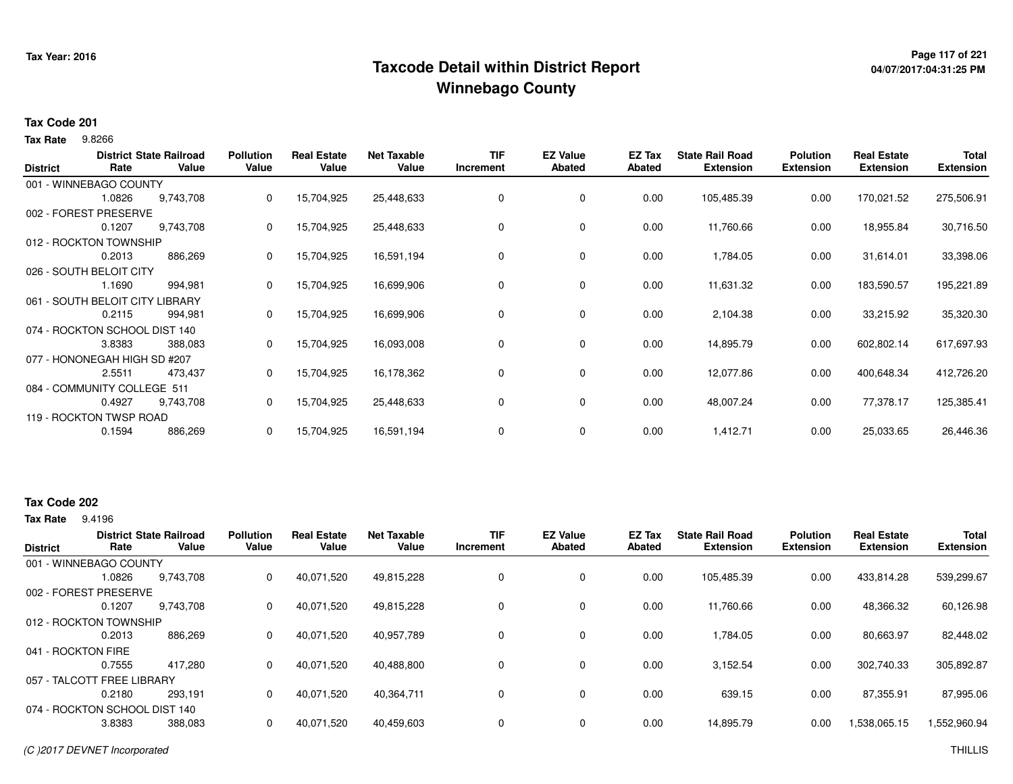# **Page 117 of 221 Taxcode Detail within District ReportWinnebago County**

# **04/07/2017:04:31:25 PM**

### **Tax Code 201**

9.8266 **Tax Rate**

| <b>District</b> | Rate                          | <b>District State Railroad</b><br>Value | <b>Pollution</b><br>Value | <b>Real Estate</b><br>Value | <b>Net Taxable</b><br>Value | <b>TIF</b><br>Increment | <b>EZ Value</b><br><b>Abated</b> | EZ Tax<br><b>Abated</b> | <b>State Rail Road</b><br><b>Extension</b> | <b>Polution</b><br><b>Extension</b> | <b>Real Estate</b><br><b>Extension</b> | <b>Total</b><br><b>Extension</b> |
|-----------------|-------------------------------|-----------------------------------------|---------------------------|-----------------------------|-----------------------------|-------------------------|----------------------------------|-------------------------|--------------------------------------------|-------------------------------------|----------------------------------------|----------------------------------|
|                 | 001 - WINNEBAGO COUNTY        |                                         |                           |                             |                             |                         |                                  |                         |                                            |                                     |                                        |                                  |
|                 | 1.0826                        | 9,743,708                               | 0                         | 15,704,925                  | 25,448,633                  | 0                       | 0                                | 0.00                    | 105,485.39                                 | 0.00                                | 170,021.52                             | 275,506.91                       |
|                 | 002 - FOREST PRESERVE         |                                         |                           |                             |                             |                         |                                  |                         |                                            |                                     |                                        |                                  |
|                 | 0.1207                        | 9,743,708                               | 0                         | 15,704,925                  | 25,448,633                  | 0                       | 0                                | 0.00                    | 11,760.66                                  | 0.00                                | 18,955.84                              | 30,716.50                        |
|                 | 012 - ROCKTON TOWNSHIP        |                                         |                           |                             |                             |                         |                                  |                         |                                            |                                     |                                        |                                  |
|                 | 0.2013                        | 886,269                                 | 0                         | 15,704,925                  | 16,591,194                  | 0                       | 0                                | 0.00                    | 1,784.05                                   | 0.00                                | 31,614.01                              | 33,398.06                        |
|                 | 026 - SOUTH BELOIT CITY       |                                         |                           |                             |                             |                         |                                  |                         |                                            |                                     |                                        |                                  |
|                 | 1.1690                        | 994,981                                 | 0                         | 15,704,925                  | 16,699,906                  | 0                       | 0                                | 0.00                    | 11,631.32                                  | 0.00                                | 183,590.57                             | 195,221.89                       |
|                 | 061 - SOUTH BELOIT CITY       | .IBRARY                                 |                           |                             |                             |                         |                                  |                         |                                            |                                     |                                        |                                  |
|                 | 0.2115                        | 994,981                                 | 0                         | 15,704,925                  | 16,699,906                  | 0                       | 0                                | 0.00                    | 2,104.38                                   | 0.00                                | 33,215.92                              | 35,320.30                        |
|                 | 074 - ROCKTON SCHOOL DIST 140 |                                         |                           |                             |                             |                         |                                  |                         |                                            |                                     |                                        |                                  |
|                 | 3.8383                        | 388,083                                 | 0                         | 15,704,925                  | 16,093,008                  | 0                       | 0                                | 0.00                    | 14,895.79                                  | 0.00                                | 602,802.14                             | 617,697.93                       |
|                 | 077 - HONONEGAH HIGH SD #207  |                                         |                           |                             |                             |                         |                                  |                         |                                            |                                     |                                        |                                  |
|                 | 2.5511                        | 473,437                                 | 0                         | 15,704,925                  | 16,178,362                  | 0                       | 0                                | 0.00                    | 12,077.86                                  | 0.00                                | 400,648.34                             | 412,726.20                       |
|                 | 084 - COMMUNITY COLLEGE 511   |                                         |                           |                             |                             |                         |                                  |                         |                                            |                                     |                                        |                                  |
|                 | 0.4927                        | 9,743,708                               | 0                         | 15,704,925                  | 25,448,633                  | 0                       | 0                                | 0.00                    | 48,007.24                                  | 0.00                                | 77,378.17                              | 125,385.41                       |
|                 | 119 - ROCKTON TWSP ROAD       |                                         |                           |                             |                             |                         |                                  |                         |                                            |                                     |                                        |                                  |
|                 | 0.1594                        | 886,269                                 | 0                         | 15,704,925                  | 16,591,194                  | 0                       | 0                                | 0.00                    | 1,412.71                                   | 0.00                                | 25,033.65                              | 26,446.36                        |

## **Tax Code 202**

**Tax Rate** 9.4196

| Rate               | Value     | <b>Pollution</b><br>Value                                                                                                                                                  | <b>Real Estate</b><br>Value | Net Taxable<br>Value | <b>TIF</b><br>Increment | <b>EZ Value</b><br><b>Abated</b> | <b>EZ Tax</b><br>Abated | <b>State Rail Road</b><br><b>Extension</b> | <b>Polution</b><br><b>Extension</b> | <b>Real Estate</b><br><b>Extension</b> | <b>Total</b><br><b>Extension</b> |
|--------------------|-----------|----------------------------------------------------------------------------------------------------------------------------------------------------------------------------|-----------------------------|----------------------|-------------------------|----------------------------------|-------------------------|--------------------------------------------|-------------------------------------|----------------------------------------|----------------------------------|
|                    |           |                                                                                                                                                                            |                             |                      |                         |                                  |                         |                                            |                                     |                                        |                                  |
| 1.0826             | 9.743.708 | 0                                                                                                                                                                          | 40,071,520                  | 49,815,228           | 0                       | 0                                | 0.00                    | 105,485.39                                 | 0.00                                | 433,814.28                             | 539,299.67                       |
|                    |           |                                                                                                                                                                            |                             |                      |                         |                                  |                         |                                            |                                     |                                        |                                  |
| 0.1207             | 9.743.708 | 0                                                                                                                                                                          | 40,071,520                  | 49,815,228           | 0                       | 0                                | 0.00                    | 11.760.66                                  | 0.00                                | 48,366.32                              | 60,126.98                        |
|                    |           |                                                                                                                                                                            |                             |                      |                         |                                  |                         |                                            |                                     |                                        |                                  |
| 0.2013             | 886,269   | 0                                                                                                                                                                          | 40,071,520                  | 40,957,789           |                         | 0                                | 0.00                    | 1,784.05                                   | 0.00                                | 80,663.97                              | 82,448.02                        |
| 041 - ROCKTON FIRE |           |                                                                                                                                                                            |                             |                      |                         |                                  |                         |                                            |                                     |                                        |                                  |
| 0.7555             | 417.280   | 0                                                                                                                                                                          | 40,071,520                  | 40.488.800           |                         | 0                                | 0.00                    | 3,152.54                                   | 0.00                                | 302,740.33                             | 305,892.87                       |
|                    |           |                                                                                                                                                                            |                             |                      |                         |                                  |                         |                                            |                                     |                                        |                                  |
| 0.2180             | 293,191   | 0                                                                                                                                                                          | 40,071,520                  | 40,364,711           |                         | 0                                | 0.00                    | 639.15                                     | 0.00                                | 87.355.91                              | 87,995.06                        |
|                    |           |                                                                                                                                                                            |                             |                      |                         |                                  |                         |                                            |                                     |                                        |                                  |
| 3.8383             | 388,083   | 0                                                                                                                                                                          | 40,071,520                  | 40,459,603           |                         | 0                                | 0.00                    | 14,895.79                                  | 0.00                                | .538,065.15                            | 1,552,960.94                     |
|                    |           | <b>District State Railroad</b><br>001 - WINNEBAGO COUNTY<br>002 - FOREST PRESERVE<br>012 - ROCKTON TOWNSHIP<br>057 - TALCOTT FREE LIBRARY<br>074 - ROCKTON SCHOOL DIST 140 |                             |                      |                         |                                  |                         |                                            |                                     |                                        |                                  |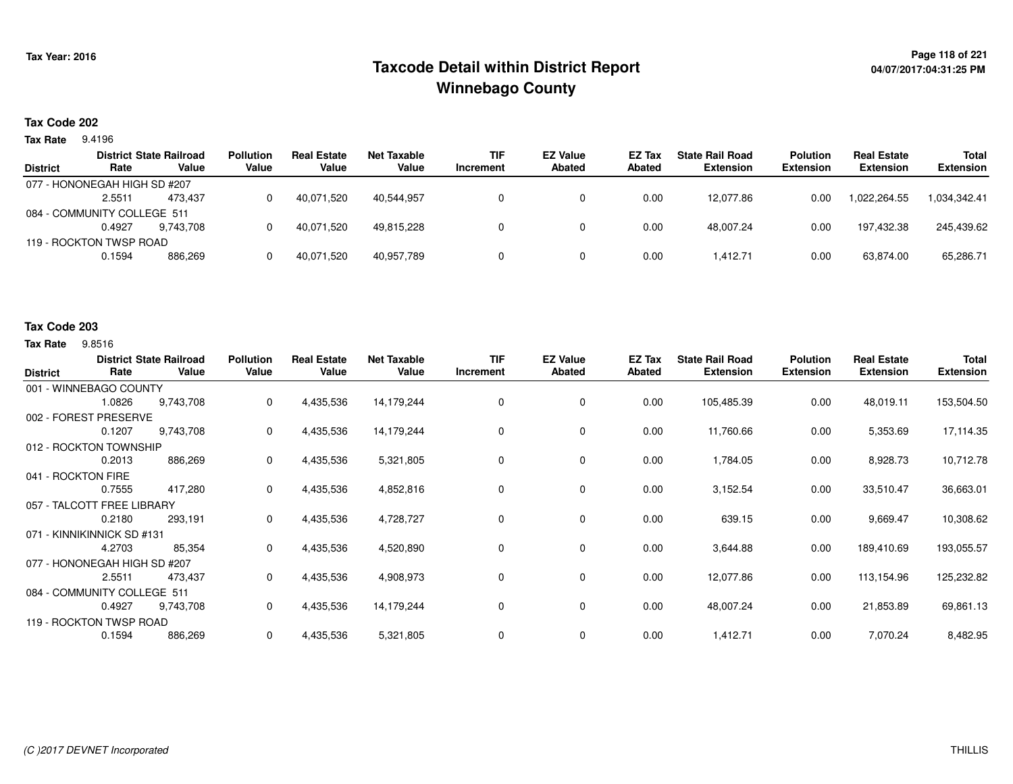# **Page 118 of 221 Taxcode Detail within District ReportWinnebago County**

# **04/07/2017:04:31:25 PM**

## **Tax Code 202**

**Tax Rate** 9.4196

| <b>District</b>             | Rate                         | <b>District State Railroad</b><br>Value | <b>Pollution</b><br>Value | <b>Real Estate</b><br>Value | Net Taxable<br>Value | <b>TIF</b><br>Increment | <b>EZ Value</b><br>Abated | <b>EZ Tax</b><br><b>Abated</b> | <b>State Rail Road</b><br><b>Extension</b> | <b>Polution</b><br><b>Extension</b> | <b>Real Estate</b><br><b>Extension</b> | <b>Total</b><br><b>Extension</b> |
|-----------------------------|------------------------------|-----------------------------------------|---------------------------|-----------------------------|----------------------|-------------------------|---------------------------|--------------------------------|--------------------------------------------|-------------------------------------|----------------------------------------|----------------------------------|
|                             | 077 - HONONEGAH HIGH SD #207 |                                         |                           |                             |                      |                         |                           |                                |                                            |                                     |                                        |                                  |
|                             | 2.5511                       | 473.437                                 |                           | 40.071.520                  | 40.544.957           |                         |                           | 0.00                           | 12.077.86                                  | 0.00                                | 1.022.264.55                           | 1,034,342.41                     |
| 084 - COMMUNITY COLLEGE 511 |                              |                                         |                           |                             |                      |                         |                           |                                |                                            |                                     |                                        |                                  |
|                             | 0.4927                       | 9.743.708                               |                           | 40.071.520                  | 49.815.228           |                         |                           | 0.00                           | 48.007.24                                  | 0.00                                | 197.432.38                             | 245.439.62                       |
|                             | 119 - ROCKTON TWSP ROAD      |                                         |                           |                             |                      |                         |                           |                                |                                            |                                     |                                        |                                  |
|                             | 0.1594                       | 886,269                                 |                           | 40,071,520                  | 40,957,789           |                         |                           | 0.00                           | 1,412.71                                   | 0.00                                | 63,874.00                              | 65,286.71                        |
|                             |                              |                                         |                           |                             |                      |                         |                           |                                |                                            |                                     |                                        |                                  |

#### **Tax Code 203**

**Tax Rate** 9.8516

| <b>District</b>              | Rate   | <b>District State Railroad</b><br>Value | <b>Pollution</b><br>Value | <b>Real Estate</b><br>Value | <b>Net Taxable</b><br>Value | <b>TIF</b><br>Increment | <b>EZ Value</b><br><b>Abated</b> | EZ Tax<br>Abated | <b>State Rail Road</b><br><b>Extension</b> | <b>Polution</b><br><b>Extension</b> | <b>Real Estate</b><br><b>Extension</b> | Total<br><b>Extension</b> |
|------------------------------|--------|-----------------------------------------|---------------------------|-----------------------------|-----------------------------|-------------------------|----------------------------------|------------------|--------------------------------------------|-------------------------------------|----------------------------------------|---------------------------|
| 001 - WINNEBAGO COUNTY       |        |                                         |                           |                             |                             |                         |                                  |                  |                                            |                                     |                                        |                           |
|                              | 1.0826 | 9,743,708                               | 0                         | 4,435,536                   | 14,179,244                  | 0                       | 0                                | 0.00             | 105,485.39                                 | 0.00                                | 48,019.11                              | 153,504.50                |
| 002 - FOREST PRESERVE        |        |                                         |                           |                             |                             |                         |                                  |                  |                                            |                                     |                                        |                           |
|                              | 0.1207 | 9,743,708                               | 0                         | 4,435,536                   | 14,179,244                  | 0                       | 0                                | 0.00             | 11,760.66                                  | 0.00                                | 5,353.69                               | 17,114.35                 |
| 012 - ROCKTON TOWNSHIP       |        |                                         |                           |                             |                             |                         |                                  |                  |                                            |                                     |                                        |                           |
|                              | 0.2013 | 886,269                                 | 0                         | 4,435,536                   | 5,321,805                   | 0                       | 0                                | 0.00             | 1,784.05                                   | 0.00                                | 8,928.73                               | 10,712.78                 |
| 041 - ROCKTON FIRE           |        |                                         |                           |                             |                             |                         |                                  |                  |                                            |                                     |                                        |                           |
|                              | 0.7555 | 417,280                                 | 0                         | 4,435,536                   | 4,852,816                   | 0                       | 0                                | 0.00             | 3,152.54                                   | 0.00                                | 33,510.47                              | 36,663.01                 |
| 057 - TALCOTT FREE LIBRARY   |        |                                         |                           |                             |                             |                         |                                  |                  |                                            |                                     |                                        |                           |
|                              | 0.2180 | 293,191                                 | 0                         | 4,435,536                   | 4,728,727                   | 0                       | 0                                | 0.00             | 639.15                                     | 0.00                                | 9,669.47                               | 10,308.62                 |
| 071 - KINNIKINNICK SD #131   |        |                                         |                           |                             |                             |                         |                                  |                  |                                            |                                     |                                        |                           |
|                              | 4.2703 | 85,354                                  | 0                         | 4,435,536                   | 4,520,890                   | 0                       | 0                                | 0.00             | 3,644.88                                   | 0.00                                | 189,410.69                             | 193,055.57                |
| 077 - HONONEGAH HIGH SD #207 |        |                                         |                           |                             |                             |                         |                                  |                  |                                            |                                     |                                        |                           |
|                              | 2.5511 | 473,437                                 | 0                         | 4,435,536                   | 4,908,973                   | 0                       | 0                                | 0.00             | 12,077.86                                  | 0.00                                | 113,154.96                             | 125,232.82                |
| 084 - COMMUNITY COLLEGE 511  |        |                                         |                           |                             |                             |                         |                                  |                  |                                            |                                     |                                        |                           |
|                              | 0.4927 | 9,743,708                               | 0                         | 4,435,536                   | 14,179,244                  | 0                       | 0                                | 0.00             | 48,007.24                                  | 0.00                                | 21,853.89                              | 69,861.13                 |
| 119 - ROCKTON TWSP ROAD      |        |                                         |                           |                             |                             |                         |                                  |                  |                                            |                                     |                                        |                           |
|                              | 0.1594 | 886,269                                 | 0                         | 4,435,536                   | 5,321,805                   | 0                       | 0                                | 0.00             | 1,412.71                                   | 0.00                                | 7,070.24                               | 8,482.95                  |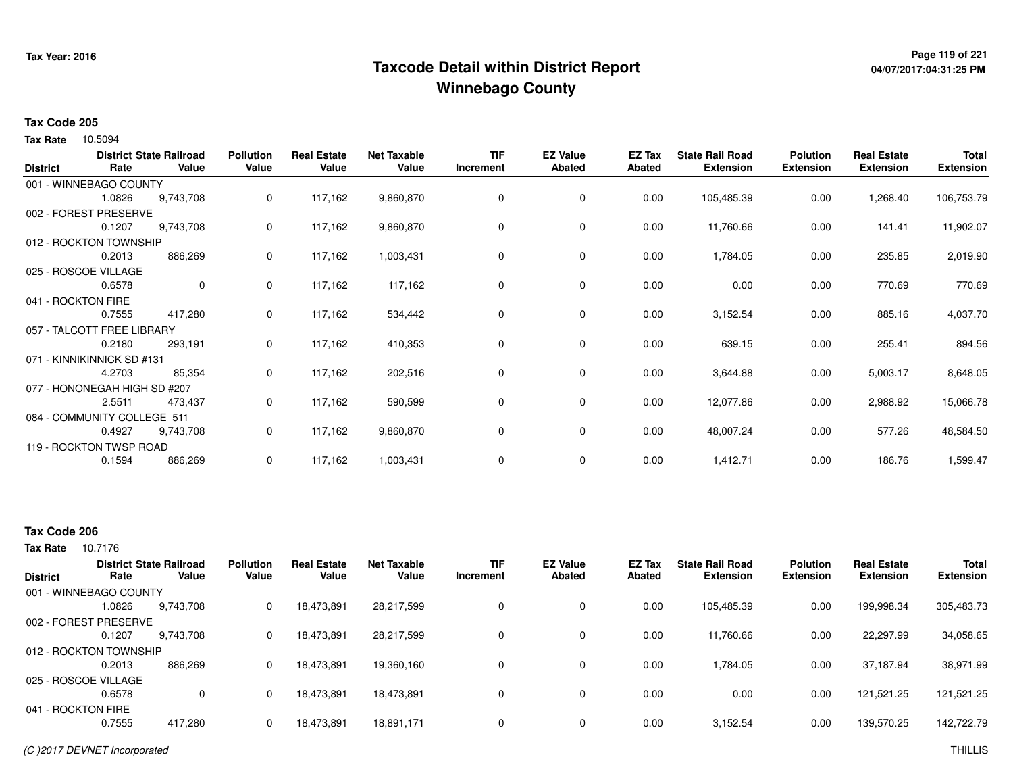# **Page 119 of 221 Taxcode Detail within District ReportWinnebago County**

# **04/07/2017:04:31:25 PM**

### **Tax Code 205**

10.5094 **Tax Rate**

| <b>District</b>    | Rate                         | <b>District State Railroad</b><br>Value | <b>Pollution</b><br>Value | <b>Real Estate</b><br>Value | <b>Net Taxable</b><br>Value | <b>TIF</b><br>Increment | <b>EZ Value</b><br><b>Abated</b> | EZ Tax<br><b>Abated</b> | <b>State Rail Road</b><br><b>Extension</b> | <b>Polution</b><br><b>Extension</b> | <b>Real Estate</b><br><b>Extension</b> | Total<br><b>Extension</b> |
|--------------------|------------------------------|-----------------------------------------|---------------------------|-----------------------------|-----------------------------|-------------------------|----------------------------------|-------------------------|--------------------------------------------|-------------------------------------|----------------------------------------|---------------------------|
|                    | 001 - WINNEBAGO COUNTY       |                                         |                           |                             |                             |                         |                                  |                         |                                            |                                     |                                        |                           |
|                    | 1.0826                       | 9,743,708                               | 0                         | 117,162                     | 9,860,870                   | 0                       | 0                                | 0.00                    | 105,485.39                                 | 0.00                                | 1,268.40                               | 106,753.79                |
|                    | 002 - FOREST PRESERVE        |                                         |                           |                             |                             |                         |                                  |                         |                                            |                                     |                                        |                           |
|                    | 0.1207                       | 9,743,708                               | 0                         | 117,162                     | 9,860,870                   | 0                       | 0                                | 0.00                    | 11,760.66                                  | 0.00                                | 141.41                                 | 11,902.07                 |
|                    | 012 - ROCKTON TOWNSHIP       |                                         |                           |                             |                             |                         |                                  |                         |                                            |                                     |                                        |                           |
|                    | 0.2013                       | 886,269                                 | 0                         | 117,162                     | 1,003,431                   | 0                       | 0                                | 0.00                    | 1,784.05                                   | 0.00                                | 235.85                                 | 2,019.90                  |
|                    | 025 - ROSCOE VILLAGE         |                                         |                           |                             |                             |                         |                                  |                         |                                            |                                     |                                        |                           |
|                    | 0.6578                       | $\mathbf{0}$                            | 0                         | 117,162                     | 117,162                     | 0                       | $\mathbf 0$                      | 0.00                    | 0.00                                       | 0.00                                | 770.69                                 | 770.69                    |
| 041 - ROCKTON FIRE |                              |                                         |                           |                             |                             |                         |                                  |                         |                                            |                                     |                                        |                           |
|                    | 0.7555                       | 417,280                                 | 0                         | 117,162                     | 534,442                     | 0                       | 0                                | 0.00                    | 3,152.54                                   | 0.00                                | 885.16                                 | 4,037.70                  |
|                    | 057 - TALCOTT FREE LIBRARY   |                                         |                           |                             |                             |                         |                                  |                         |                                            |                                     |                                        |                           |
|                    | 0.2180                       | 293,191                                 | 0                         | 117,162                     | 410,353                     | 0                       | 0                                | 0.00                    | 639.15                                     | 0.00                                | 255.41                                 | 894.56                    |
|                    | 071 - KINNIKINNICK SD #131   |                                         |                           |                             |                             |                         |                                  |                         |                                            |                                     |                                        |                           |
|                    | 4.2703                       | 85,354                                  | 0                         | 117,162                     | 202,516                     | 0                       | 0                                | 0.00                    | 3,644.88                                   | 0.00                                | 5,003.17                               | 8,648.05                  |
|                    | 077 - HONONEGAH HIGH SD #207 |                                         |                           |                             |                             |                         |                                  |                         |                                            |                                     |                                        |                           |
|                    | 2.5511                       | 473,437                                 | 0                         | 117,162                     | 590,599                     | 0                       | 0                                | 0.00                    | 12,077.86                                  | 0.00                                | 2,988.92                               | 15,066.78                 |
|                    | 084 - COMMUNITY COLLEGE 511  |                                         |                           |                             |                             |                         |                                  |                         |                                            |                                     |                                        |                           |
|                    | 0.4927                       | 9,743,708                               | 0                         | 117,162                     | 9,860,870                   | 0                       | $\mathbf 0$                      | 0.00                    | 48,007.24                                  | 0.00                                | 577.26                                 | 48,584.50                 |
|                    | 119 - ROCKTON TWSP ROAD      |                                         |                           |                             |                             |                         |                                  |                         |                                            |                                     |                                        |                           |
|                    | 0.1594                       | 886,269                                 | 0                         | 117,162                     | 1,003,431                   | 0                       | 0                                | 0.00                    | 1,412.71                                   | 0.00                                | 186.76                                 | 1,599.47                  |

# **Tax Code 206**

| <b>District</b>        | Rate   | <b>District State Railroad</b><br>Value | <b>Pollution</b><br>Value | <b>Real Estate</b><br>Value | <b>Net Taxable</b><br>Value | <b>TIF</b><br>Increment | <b>EZ Value</b><br><b>Abated</b> | <b>EZ Tax</b><br>Abated | <b>State Rail Road</b><br><b>Extension</b> | <b>Polution</b><br><b>Extension</b> | <b>Real Estate</b><br><b>Extension</b> | <b>Total</b><br><b>Extension</b> |
|------------------------|--------|-----------------------------------------|---------------------------|-----------------------------|-----------------------------|-------------------------|----------------------------------|-------------------------|--------------------------------------------|-------------------------------------|----------------------------------------|----------------------------------|
| 001 - WINNEBAGO COUNTY |        |                                         |                           |                             |                             |                         |                                  |                         |                                            |                                     |                                        |                                  |
|                        | 1.0826 | 9,743,708                               | 0                         | 18,473,891                  | 28,217,599                  | 0                       | 0                                | 0.00                    | 105,485.39                                 | 0.00                                | 199,998.34                             | 305,483.73                       |
| 002 - FOREST PRESERVE  |        |                                         |                           |                             |                             |                         |                                  |                         |                                            |                                     |                                        |                                  |
|                        | 0.1207 | 9,743,708                               | 0                         | 18,473,891                  | 28,217,599                  | 0                       | 0                                | 0.00                    | 11,760.66                                  | 0.00                                | 22,297.99                              | 34,058.65                        |
| 012 - ROCKTON TOWNSHIP |        |                                         |                           |                             |                             |                         |                                  |                         |                                            |                                     |                                        |                                  |
|                        | 0.2013 | 886.269                                 | 0                         | 18,473,891                  | 19,360,160                  | 0                       | 0                                | 0.00                    | 1.784.05                                   | 0.00                                | 37,187.94                              | 38,971.99                        |
| 025 - ROSCOE VILLAGE   |        |                                         |                           |                             |                             |                         |                                  |                         |                                            |                                     |                                        |                                  |
|                        | 0.6578 | 0                                       | 0                         | 18,473,891                  | 18,473,891                  | 0                       | $\Omega$                         | 0.00                    | 0.00                                       | 0.00                                | 121,521.25                             | 121,521.25                       |
| 041 - ROCKTON FIRE     |        |                                         |                           |                             |                             |                         |                                  |                         |                                            |                                     |                                        |                                  |
|                        | 0.7555 | 417.280                                 |                           | 18,473,891                  | 18,891,171                  |                         | 0                                | 0.00                    | 3,152.54                                   | 0.00                                | 139,570.25                             | 142,722.79                       |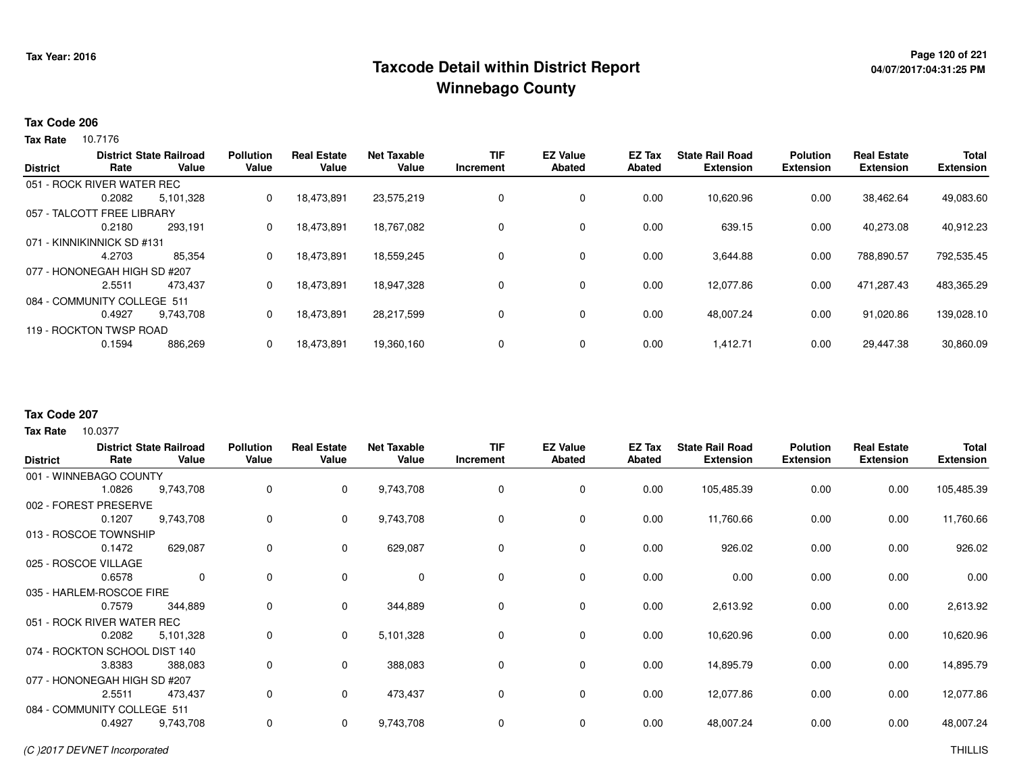# **Page 120 of 221 Taxcode Detail within District ReportWinnebago County**

# **04/07/2017:04:31:25 PM**

### **Tax Code 206**

**Tax Rate** 10.7176

| <b>District</b> | Rate                         | <b>District State Railroad</b><br>Value | <b>Pollution</b><br>Value | <b>Real Estate</b><br>Value | <b>Net Taxable</b><br>Value | <b>TIF</b><br>Increment | <b>EZ Value</b><br>Abated | <b>EZ Tax</b><br>Abated | <b>State Rail Road</b><br><b>Extension</b> | <b>Polution</b><br><b>Extension</b> | <b>Real Estate</b><br><b>Extension</b> | <b>Total</b><br><b>Extension</b> |
|-----------------|------------------------------|-----------------------------------------|---------------------------|-----------------------------|-----------------------------|-------------------------|---------------------------|-------------------------|--------------------------------------------|-------------------------------------|----------------------------------------|----------------------------------|
|                 | 051 - ROCK RIVER WATER REC   |                                         |                           |                             |                             |                         |                           |                         |                                            |                                     |                                        |                                  |
|                 | 0.2082                       | 5,101,328                               | 0                         | 18,473,891                  | 23,575,219                  | 0                       | 0                         | 0.00                    | 10,620.96                                  | 0.00                                | 38,462.64                              | 49,083.60                        |
|                 | 057 - TALCOTT FREE LIBRARY   |                                         |                           |                             |                             |                         |                           |                         |                                            |                                     |                                        |                                  |
|                 | 0.2180                       | 293,191                                 | 0                         | 18,473,891                  | 18,767,082                  | 0                       | $\mathbf{0}$              | 0.00                    | 639.15                                     | 0.00                                | 40,273.08                              | 40,912.23                        |
|                 | 071 - KINNIKINNICK SD #131   |                                         |                           |                             |                             |                         |                           |                         |                                            |                                     |                                        |                                  |
|                 | 4.2703                       | 85,354                                  | 0                         | 18,473,891                  | 18.559.245                  | 0                       | 0                         | 0.00                    | 3,644.88                                   | 0.00                                | 788.890.57                             | 792,535.45                       |
|                 | 077 - HONONEGAH HIGH SD #207 |                                         |                           |                             |                             |                         |                           |                         |                                            |                                     |                                        |                                  |
|                 | 2.5511                       | 473.437                                 | 0                         | 18.473.891                  | 18.947.328                  | 0                       | 0                         | 0.00                    | 12,077.86                                  | 0.00                                | 471.287.43                             | 483,365.29                       |
|                 | 084 - COMMUNITY COLLEGE 511  |                                         |                           |                             |                             |                         |                           |                         |                                            |                                     |                                        |                                  |
|                 | 0.4927                       | 9.743.708                               | 0                         | 18,473,891                  | 28.217.599                  | 0                       | 0                         | 0.00                    | 48.007.24                                  | 0.00                                | 91.020.86                              | 139,028.10                       |
|                 | 119 - ROCKTON TWSP ROAD      |                                         |                           |                             |                             |                         |                           |                         |                                            |                                     |                                        |                                  |
|                 | 0.1594                       | 886.269                                 | 0                         | 18,473,891                  | 19,360,160                  | 0                       | 0                         | 0.00                    | 1,412.71                                   | 0.00                                | 29,447.38                              | 30,860.09                        |

## **Tax Code 207**

10.0377 **Tax Rate**

|                 |                               | <b>District State Railroad</b> | <b>Pollution</b> | <b>Real Estate</b> | <b>Net Taxable</b> | <b>TIF</b> | <b>EZ Value</b> | EZ Tax        | <b>State Rail Road</b> | <b>Polution</b>  | <b>Real Estate</b> | <b>Total</b>     |
|-----------------|-------------------------------|--------------------------------|------------------|--------------------|--------------------|------------|-----------------|---------------|------------------------|------------------|--------------------|------------------|
| <b>District</b> | Rate                          | Value                          | Value            | Value              | Value              | Increment  | Abated          | <b>Abated</b> | <b>Extension</b>       | <b>Extension</b> | <b>Extension</b>   | <b>Extension</b> |
|                 | 001 - WINNEBAGO COUNTY        |                                |                  |                    |                    |            |                 |               |                        |                  |                    |                  |
|                 | 1.0826                        | 9,743,708                      | 0                | $\mathbf 0$        | 9,743,708          | 0          | 0               | 0.00          | 105,485.39             | 0.00             | 0.00               | 105,485.39       |
|                 | 002 - FOREST PRESERVE         |                                |                  |                    |                    |            |                 |               |                        |                  |                    |                  |
|                 | 0.1207                        | 9,743,708                      | 0                | $\mathbf 0$        | 9,743,708          | 0          | 0               | 0.00          | 11,760.66              | 0.00             | 0.00               | 11,760.66        |
|                 | 013 - ROSCOE TOWNSHIP         |                                |                  |                    |                    |            |                 |               |                        |                  |                    |                  |
|                 | 0.1472                        | 629,087                        | 0                | $\mathbf 0$        | 629,087            | $\Omega$   | 0               | 0.00          | 926.02                 | 0.00             | 0.00               | 926.02           |
|                 | 025 - ROSCOE VILLAGE          |                                |                  |                    |                    |            |                 |               |                        |                  |                    |                  |
|                 | 0.6578                        | $\mathbf 0$                    | $\Omega$         | $\mathbf 0$        | $\mathbf 0$        | $\Omega$   | $\mathbf 0$     | 0.00          | 0.00                   | 0.00             | 0.00               | 0.00             |
|                 | 035 - HARLEM-ROSCOE FIRE      |                                |                  |                    |                    |            |                 |               |                        |                  |                    |                  |
|                 | 0.7579                        | 344,889                        | 0                | $\mathbf{0}$       | 344,889            | $\Omega$   | 0               | 0.00          | 2,613.92               | 0.00             | 0.00               | 2,613.92         |
|                 | 051 - ROCK RIVER WATER REC    |                                |                  |                    |                    |            |                 |               |                        |                  |                    |                  |
|                 | 0.2082                        | 5,101,328                      | 0                | $\mathbf{0}$       | 5,101,328          | 0          | 0               | 0.00          | 10,620.96              | 0.00             | 0.00               | 10,620.96        |
|                 | 074 - ROCKTON SCHOOL DIST 140 |                                |                  |                    |                    |            |                 |               |                        |                  |                    |                  |
|                 | 3.8383                        | 388,083                        | 0                | $\mathbf{0}$       | 388,083            | $\Omega$   | 0               | 0.00          | 14,895.79              | 0.00             | 0.00               | 14,895.79        |
|                 | 077 - HONONEGAH HIGH SD #207  |                                |                  |                    |                    |            |                 |               |                        |                  |                    |                  |
|                 | 2.5511                        | 473,437                        | 0                | $\mathbf 0$        | 473,437            | 0          | 0               | 0.00          | 12,077.86              | 0.00             | 0.00               | 12,077.86        |
|                 | 084 - COMMUNITY COLLEGE 511   |                                |                  |                    |                    |            |                 |               |                        |                  |                    |                  |
|                 | 0.4927                        | 9,743,708                      | 0                | $\mathbf 0$        | 9,743,708          | 0          | 0               | 0.00          | 48,007.24              | 0.00             | 0.00               | 48,007.24        |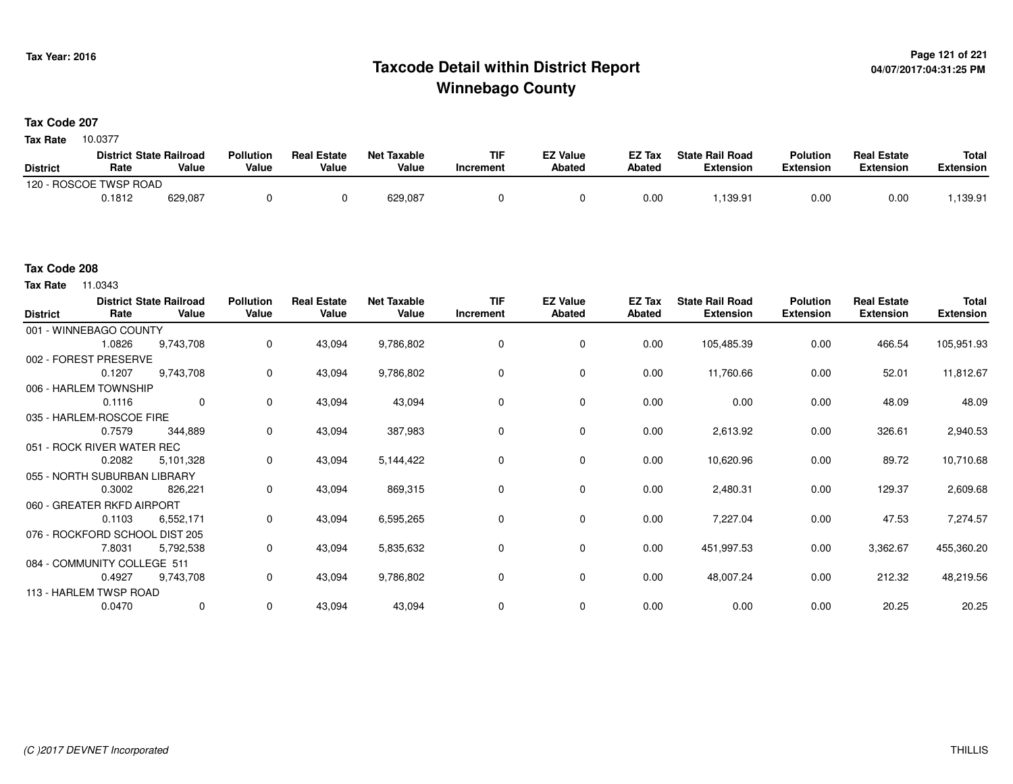# **Page 121 of 221 Taxcode Detail within District ReportWinnebago County**

# **Tax Code 207**

10.0377 **Tax Rate**

|                 | <b>District State Railroad</b> |         | <b>Pollution</b> | <b>Real Estate</b> | <b>Net Taxable</b> | TIF       | EZ Value      | EZ Tax | <b>State Rail Road</b> | <b>Polution</b> | <b>Real Estate</b> | <b>Total</b> |
|-----------------|--------------------------------|---------|------------------|--------------------|--------------------|-----------|---------------|--------|------------------------|-----------------|--------------------|--------------|
| <b>District</b> | Rate                           | Value   | Value            | Value              | Value              | Increment | <b>Abated</b> | Abated | <b>Extension</b>       | Extension       | <b>Extension</b>   | Extension    |
| 120 - F.        | - ROSCOE TWSP ROAD             |         |                  |                    |                    |           |               |        |                        |                 |                    |              |
|                 | 0.1812                         | 629,087 |                  |                    | 629,087            |           |               | 0.00   | .139.91                | 0.00            | 0.00               | .139.91      |

### **Tax Code 208**

**Tax Rate** 11.0343

| <b>District</b> | Rate                           | <b>District State Railroad</b><br>Value | <b>Pollution</b><br>Value | <b>Real Estate</b><br>Value | <b>Net Taxable</b><br>Value | <b>TIF</b><br>Increment | <b>EZ Value</b><br><b>Abated</b> | EZ Tax<br><b>Abated</b> | <b>State Rail Road</b><br><b>Extension</b> | <b>Polution</b><br><b>Extension</b> | <b>Real Estate</b><br><b>Extension</b> | <b>Total</b><br><b>Extension</b> |
|-----------------|--------------------------------|-----------------------------------------|---------------------------|-----------------------------|-----------------------------|-------------------------|----------------------------------|-------------------------|--------------------------------------------|-------------------------------------|----------------------------------------|----------------------------------|
|                 | 001 - WINNEBAGO COUNTY         |                                         |                           |                             |                             |                         |                                  |                         |                                            |                                     |                                        |                                  |
|                 | 1.0826                         | 9,743,708                               | 0                         | 43,094                      | 9,786,802                   | 0                       | 0                                | 0.00                    | 105,485.39                                 | 0.00                                | 466.54                                 | 105,951.93                       |
|                 | 002 - FOREST PRESERVE          |                                         |                           |                             |                             |                         |                                  |                         |                                            |                                     |                                        |                                  |
|                 | 0.1207                         | 9,743,708                               | 0                         | 43,094                      | 9,786,802                   | 0                       | 0                                | 0.00                    | 11,760.66                                  | 0.00                                | 52.01                                  | 11,812.67                        |
|                 | 006 - HARLEM TOWNSHIP          |                                         |                           |                             |                             |                         |                                  |                         |                                            |                                     |                                        |                                  |
|                 | 0.1116                         | $\mathbf 0$                             | 0                         | 43,094                      | 43,094                      | $\Omega$                | 0                                | 0.00                    | 0.00                                       | 0.00                                | 48.09                                  | 48.09                            |
|                 | 035 - HARLEM-ROSCOE FIRE       |                                         |                           |                             |                             |                         |                                  |                         |                                            |                                     |                                        |                                  |
|                 | 0.7579                         | 344,889                                 | 0                         | 43,094                      | 387,983                     | 0                       | 0                                | 0.00                    | 2,613.92                                   | 0.00                                | 326.61                                 | 2,940.53                         |
|                 | 051 - ROCK RIVER WATER REC     |                                         |                           |                             |                             |                         |                                  |                         |                                            |                                     |                                        |                                  |
|                 | 0.2082                         | 5,101,328                               | 0                         | 43,094                      | 5,144,422                   | 0                       | 0                                | 0.00                    | 10,620.96                                  | 0.00                                | 89.72                                  | 10,710.68                        |
|                 | 055 - NORTH SUBURBAN LIBRARY   |                                         |                           |                             |                             |                         |                                  |                         |                                            |                                     |                                        |                                  |
|                 | 0.3002                         | 826,221                                 | 0                         | 43,094                      | 869,315                     | 0                       | 0                                | 0.00                    | 2,480.31                                   | 0.00                                | 129.37                                 | 2,609.68                         |
|                 | 060 - GREATER RKFD AIRPORT     |                                         |                           |                             |                             |                         |                                  |                         |                                            |                                     |                                        |                                  |
|                 | 0.1103                         | 6,552,171                               | 0                         | 43,094                      | 6,595,265                   | 0                       | 0                                | 0.00                    | 7,227.04                                   | 0.00                                | 47.53                                  | 7,274.57                         |
|                 | 076 - ROCKFORD SCHOOL DIST 205 |                                         |                           |                             |                             |                         |                                  |                         |                                            |                                     |                                        |                                  |
|                 | 7.8031                         | 5,792,538                               | 0                         | 43,094                      | 5,835,632                   | 0                       | 0                                | 0.00                    | 451,997.53                                 | 0.00                                | 3,362.67                               | 455,360.20                       |
|                 | 084 - COMMUNITY COLLEGE 511    |                                         |                           |                             |                             |                         |                                  |                         |                                            |                                     |                                        |                                  |
|                 | 0.4927                         | 9,743,708                               | 0                         | 43,094                      | 9,786,802                   | 0                       | 0                                | 0.00                    | 48,007.24                                  | 0.00                                | 212.32                                 | 48,219.56                        |
|                 | 113 - HARLEM TWSP ROAD         |                                         |                           |                             |                             |                         |                                  |                         |                                            |                                     |                                        |                                  |
|                 | 0.0470                         | 0                                       | $\mathbf 0$               | 43,094                      | 43,094                      | 0                       | 0                                | 0.00                    | 0.00                                       | 0.00                                | 20.25                                  | 20.25                            |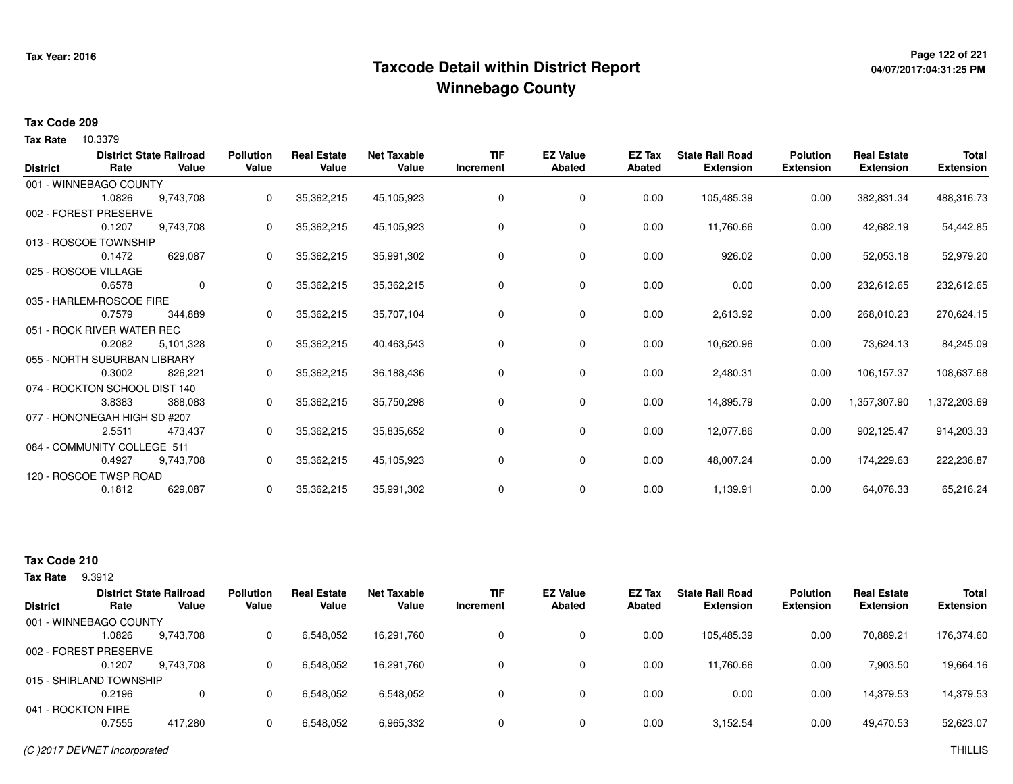# **Page 122 of 221 Taxcode Detail within District ReportWinnebago County**

# **04/07/2017:04:31:25 PM**

## **Tax Code 209**

**Tax Rate** 10.3379

| <b>District</b> | Rate                          | <b>District State Railroad</b><br>Value | <b>Pollution</b><br>Value | <b>Real Estate</b><br>Value | <b>Net Taxable</b><br>Value | <b>TIF</b><br>Increment | <b>EZ Value</b><br><b>Abated</b> | <b>EZ Tax</b><br><b>Abated</b> | <b>State Rail Road</b><br><b>Extension</b> | <b>Polution</b><br><b>Extension</b> | <b>Real Estate</b><br><b>Extension</b> | <b>Total</b><br><b>Extension</b> |
|-----------------|-------------------------------|-----------------------------------------|---------------------------|-----------------------------|-----------------------------|-------------------------|----------------------------------|--------------------------------|--------------------------------------------|-------------------------------------|----------------------------------------|----------------------------------|
|                 | 001 - WINNEBAGO COUNTY        |                                         |                           |                             |                             |                         |                                  |                                |                                            |                                     |                                        |                                  |
|                 | 1.0826                        | 9,743,708                               | 0                         | 35,362,215                  | 45,105,923                  | 0                       | 0                                | 0.00                           | 105,485.39                                 | 0.00                                | 382,831.34                             | 488,316.73                       |
|                 | 002 - FOREST PRESERVE         |                                         |                           |                             |                             |                         |                                  |                                |                                            |                                     |                                        |                                  |
|                 | 0.1207                        | 9,743,708                               | 0                         | 35,362,215                  | 45,105,923                  | 0                       | 0                                | 0.00                           | 11,760.66                                  | 0.00                                | 42,682.19                              | 54,442.85                        |
|                 | 013 - ROSCOE TOWNSHIP         |                                         |                           |                             |                             |                         |                                  |                                |                                            |                                     |                                        |                                  |
|                 | 0.1472                        | 629,087                                 | 0                         | 35,362,215                  | 35,991,302                  | 0                       | 0                                | 0.00                           | 926.02                                     | 0.00                                | 52,053.18                              | 52,979.20                        |
|                 | 025 - ROSCOE VILLAGE          |                                         |                           |                             |                             |                         |                                  |                                |                                            |                                     |                                        |                                  |
|                 | 0.6578                        | 0                                       | $\Omega$                  | 35,362,215                  | 35,362,215                  | 0                       | 0                                | 0.00                           | 0.00                                       | 0.00                                | 232,612.65                             | 232,612.65                       |
|                 | 035 - HARLEM-ROSCOE FIRE      |                                         |                           |                             |                             |                         |                                  |                                |                                            |                                     |                                        |                                  |
|                 | 0.7579                        | 344,889                                 | 0                         | 35,362,215                  | 35,707,104                  | 0                       | 0                                | 0.00                           | 2,613.92                                   | 0.00                                | 268,010.23                             | 270,624.15                       |
|                 | 051 - ROCK RIVER WATER REC    |                                         |                           |                             |                             |                         |                                  |                                |                                            |                                     |                                        |                                  |
|                 | 0.2082                        | 5,101,328                               | 0                         | 35,362,215                  | 40,463,543                  | 0                       | 0                                | 0.00                           | 10,620.96                                  | 0.00                                | 73,624.13                              | 84,245.09                        |
|                 | 055 - NORTH SUBURBAN LIBRARY  |                                         |                           |                             |                             |                         |                                  |                                |                                            |                                     |                                        |                                  |
|                 | 0.3002                        | 826,221                                 | 0                         | 35,362,215                  | 36,188,436                  | 0                       | 0                                | 0.00                           | 2,480.31                                   | 0.00                                | 106,157.37                             | 108,637.68                       |
|                 | 074 - ROCKTON SCHOOL DIST 140 |                                         |                           |                             |                             |                         |                                  |                                |                                            |                                     |                                        |                                  |
|                 | 3.8383                        | 388,083                                 | 0                         | 35,362,215                  | 35,750,298                  | 0                       | 0                                | 0.00                           | 14,895.79                                  | 0.00                                | 1,357,307.90                           | 1,372,203.69                     |
|                 | 077 - HONONEGAH HIGH SD #207  |                                         |                           |                             |                             |                         |                                  |                                |                                            |                                     |                                        |                                  |
|                 | 2.5511                        | 473,437                                 | 0                         | 35,362,215                  | 35,835,652                  | 0                       | 0                                | 0.00                           | 12,077.86                                  | 0.00                                | 902,125.47                             | 914,203.33                       |
|                 | 084 - COMMUNITY COLLEGE 511   |                                         |                           |                             |                             |                         |                                  |                                |                                            |                                     |                                        |                                  |
|                 | 0.4927                        | 9,743,708                               | $\Omega$                  | 35,362,215                  | 45,105,923                  | 0                       | 0                                | 0.00                           | 48,007.24                                  | 0.00                                | 174,229.63                             | 222,236.87                       |
|                 | 120 - ROSCOE TWSP ROAD        |                                         |                           |                             |                             |                         |                                  |                                |                                            |                                     |                                        |                                  |
|                 | 0.1812                        | 629,087                                 | 0                         | 35,362,215                  | 35,991,302                  | 0                       | 0                                | 0.00                           | 1,139.91                                   | 0.00                                | 64,076.33                              | 65,216.24                        |
|                 |                               |                                         |                           |                             |                             |                         |                                  |                                |                                            |                                     |                                        |                                  |

# **Tax Code 210**

**Tax Rate** 9.3912

|                    |                         | <b>District State Railroad</b> | <b>Pollution</b> | <b>Real Estate</b> | <b>Net Taxable</b> | <b>TIF</b>   | <b>EZ Value</b> | <b>EZ Tax</b> | <b>State Rail Road</b> | <b>Polution</b>  | <b>Real Estate</b> | <b>Total</b>     |
|--------------------|-------------------------|--------------------------------|------------------|--------------------|--------------------|--------------|-----------------|---------------|------------------------|------------------|--------------------|------------------|
| <b>District</b>    | Rate                    | Value                          | Value            | Value              | Value              | Increment    | <b>Abated</b>   | Abated        | <b>Extension</b>       | <b>Extension</b> | <b>Extension</b>   | <b>Extension</b> |
|                    | 001 - WINNEBAGO COUNTY  |                                |                  |                    |                    |              |                 |               |                        |                  |                    |                  |
|                    | 1.0826                  | 9,743,708                      |                  | 6,548,052          | 16,291,760         | $\mathbf{0}$ | 0               | 0.00          | 105,485.39             | 0.00             | 70,889.21          | 176,374.60       |
|                    | 002 - FOREST PRESERVE   |                                |                  |                    |                    |              |                 |               |                        |                  |                    |                  |
|                    | 0.1207                  | 9.743.708                      |                  | 6,548,052          | 16,291,760         | 0            | 0               | 0.00          | 11,760.66              | 0.00             | 7,903.50           | 19,664.16        |
|                    | 015 - SHIRLAND TOWNSHIP |                                |                  |                    |                    |              |                 |               |                        |                  |                    |                  |
|                    | 0.2196                  | $\mathbf 0$                    |                  | 6,548,052          | 6,548,052          | 0            |                 | 0.00          | 0.00                   | 0.00             | 14,379.53          | 14,379.53        |
| 041 - ROCKTON FIRE |                         |                                |                  |                    |                    |              |                 |               |                        |                  |                    |                  |
|                    | 0.7555                  | 417.280                        |                  | 6,548,052          | 6,965,332          | 0            | 0               | 0.00          | 3,152.54               | 0.00             | 49,470.53          | 52,623.07        |
|                    |                         |                                |                  |                    |                    |              |                 |               |                        |                  |                    |                  |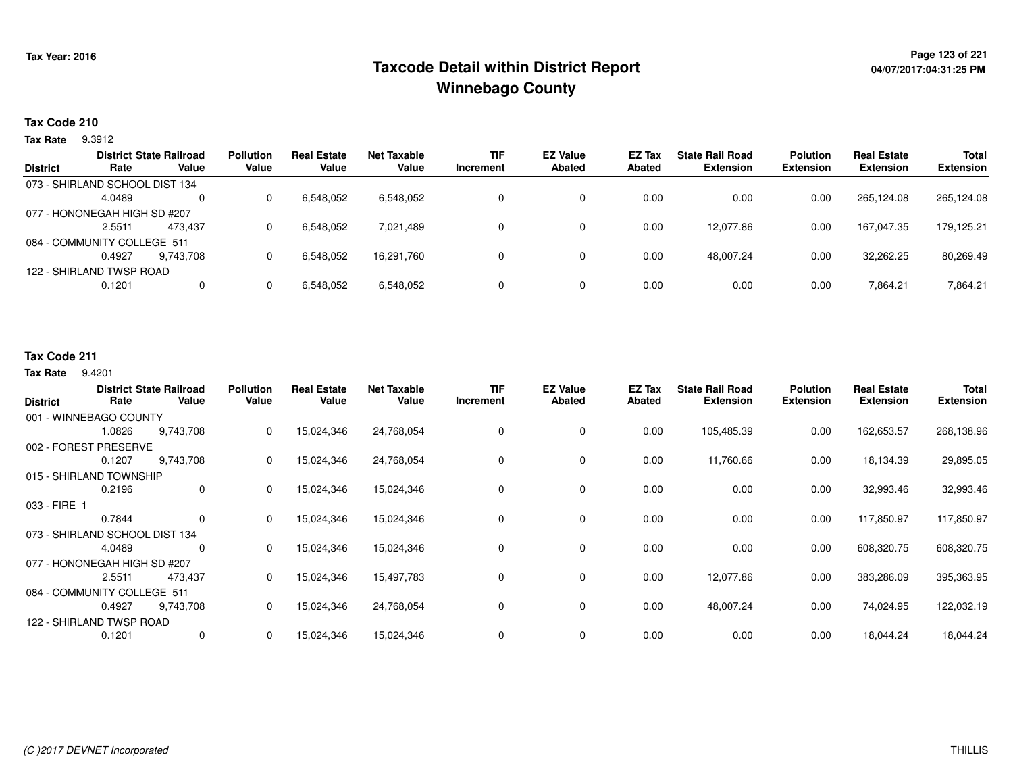# **Page 123 of 221 Taxcode Detail within District ReportWinnebago County**

## **Tax Code 210**

**Tax Rate** 9.3912

|                 |                                | <b>District State Railroad</b> | <b>Pollution</b> | <b>Real Estate</b> | Net Taxable | <b>TIF</b> | <b>EZ Value</b> | EZ Tax | <b>State Rail Road</b> | <b>Polution</b>  | <b>Real Estate</b> | <b>Total</b>     |
|-----------------|--------------------------------|--------------------------------|------------------|--------------------|-------------|------------|-----------------|--------|------------------------|------------------|--------------------|------------------|
| <b>District</b> | Rate                           | Value                          | Value            | Value              | Value       | Increment  | <b>Abated</b>   | Abated | <b>Extension</b>       | <b>Extension</b> | <b>Extension</b>   | <b>Extension</b> |
|                 | 073 - SHIRLAND SCHOOL DIST 134 |                                |                  |                    |             |            |                 |        |                        |                  |                    |                  |
|                 | 4.0489                         | $\Omega$                       |                  | 6,548,052          | 6,548,052   |            | 0               | 0.00   | 0.00                   | 0.00             | 265.124.08         | 265,124.08       |
|                 | 077 - HONONEGAH HIGH SD #207   |                                |                  |                    |             |            |                 |        |                        |                  |                    |                  |
|                 | 2.5511                         | 473.437                        |                  | 6,548,052          | 7.021.489   |            | 0               | 0.00   | 12.077.86              | 0.00             | 167.047.35         | 179,125.21       |
|                 | 084 - COMMUNITY COLLEGE 511    |                                |                  |                    |             |            |                 |        |                        |                  |                    |                  |
|                 | 0.4927                         | 9,743,708                      |                  | 6,548,052          | 16,291,760  |            | 0               | 0.00   | 48,007.24              | 0.00             | 32,262.25          | 80,269.49        |
|                 | 122 - SHIRLAND TWSP ROAD       |                                |                  |                    |             |            |                 |        |                        |                  |                    |                  |
|                 | 0.1201                         | 0                              |                  | 6,548,052          | 6,548,052   | 0          | 0               | 0.00   | 0.00                   | 0.00             | 7,864.21           | 7,864.21         |
|                 |                                |                                |                  |                    |             |            |                 |        |                        |                  |                    |                  |

# **Tax Code 211**

#### **Tax Rate** 9.4201

| <b>District</b>          | Rate                           | <b>District State Railroad</b><br>Value | <b>Pollution</b><br>Value | <b>Real Estate</b><br>Value | <b>Net Taxable</b><br>Value | <b>TIF</b><br>Increment | <b>EZ Value</b><br><b>Abated</b> | <b>EZ Tax</b><br><b>Abated</b> | <b>State Rail Road</b><br><b>Extension</b> | <b>Polution</b><br><b>Extension</b> | <b>Real Estate</b><br><b>Extension</b> | Total<br><b>Extension</b> |
|--------------------------|--------------------------------|-----------------------------------------|---------------------------|-----------------------------|-----------------------------|-------------------------|----------------------------------|--------------------------------|--------------------------------------------|-------------------------------------|----------------------------------------|---------------------------|
|                          | 001 - WINNEBAGO COUNTY         |                                         |                           |                             |                             |                         |                                  |                                |                                            |                                     |                                        |                           |
|                          | 1.0826                         | 9,743,708                               | 0                         | 15,024,346                  | 24,768,054                  | 0                       | 0                                | 0.00                           | 105,485.39                                 | 0.00                                | 162,653.57                             | 268,138.96                |
|                          | 002 - FOREST PRESERVE          |                                         |                           |                             |                             |                         |                                  |                                |                                            |                                     |                                        |                           |
|                          | 0.1207                         | 9,743,708                               | 0                         | 15,024,346                  | 24,768,054                  | 0                       | 0                                | 0.00                           | 11,760.66                                  | 0.00                                | 18,134.39                              | 29,895.05                 |
|                          | 015 - SHIRLAND TOWNSHIP        |                                         |                           |                             |                             |                         |                                  |                                |                                            |                                     |                                        |                           |
|                          | 0.2196                         | $\mathbf 0$                             | 0                         | 15,024,346                  | 15,024,346                  | 0                       | 0                                | 0.00                           | 0.00                                       | 0.00                                | 32,993.46                              | 32,993.46                 |
| 033 - FIRE 1             |                                |                                         |                           |                             |                             |                         |                                  |                                |                                            |                                     |                                        |                           |
|                          | 0.7844                         | 0                                       | 0                         | 15,024,346                  | 15,024,346                  | 0                       | 0                                | 0.00                           | 0.00                                       | 0.00                                | 117,850.97                             | 117,850.97                |
|                          | 073 - SHIRLAND SCHOOL DIST 134 |                                         |                           |                             |                             |                         |                                  |                                |                                            |                                     |                                        |                           |
|                          | 4.0489                         | 0                                       | 0                         | 15,024,346                  | 15,024,346                  | 0                       | 0                                | 0.00                           | 0.00                                       | 0.00                                | 608,320.75                             | 608,320.75                |
|                          | 077 - HONONEGAH HIGH SD #207   |                                         |                           |                             |                             |                         |                                  |                                |                                            |                                     |                                        |                           |
|                          | 2.5511                         | 473,437                                 | 0                         | 15,024,346                  | 15,497,783                  | 0                       | 0                                | 0.00                           | 12,077.86                                  | 0.00                                | 383,286.09                             | 395,363.95                |
|                          | 084 - COMMUNITY COLLEGE 511    |                                         |                           |                             |                             |                         |                                  |                                |                                            |                                     |                                        |                           |
|                          | 0.4927                         | 9,743,708                               | 0                         | 15,024,346                  | 24,768,054                  | 0                       | 0                                | 0.00                           | 48,007.24                                  | 0.00                                | 74,024.95                              | 122,032.19                |
| 122 - SHIRLAND TWSP ROAD |                                |                                         |                           |                             |                             |                         |                                  |                                |                                            |                                     |                                        |                           |
|                          | 0.1201                         | $\Omega$                                | 0                         | 15,024,346                  | 15,024,346                  | $\Omega$                | 0                                | 0.00                           | 0.00                                       | 0.00                                | 18,044.24                              | 18,044.24                 |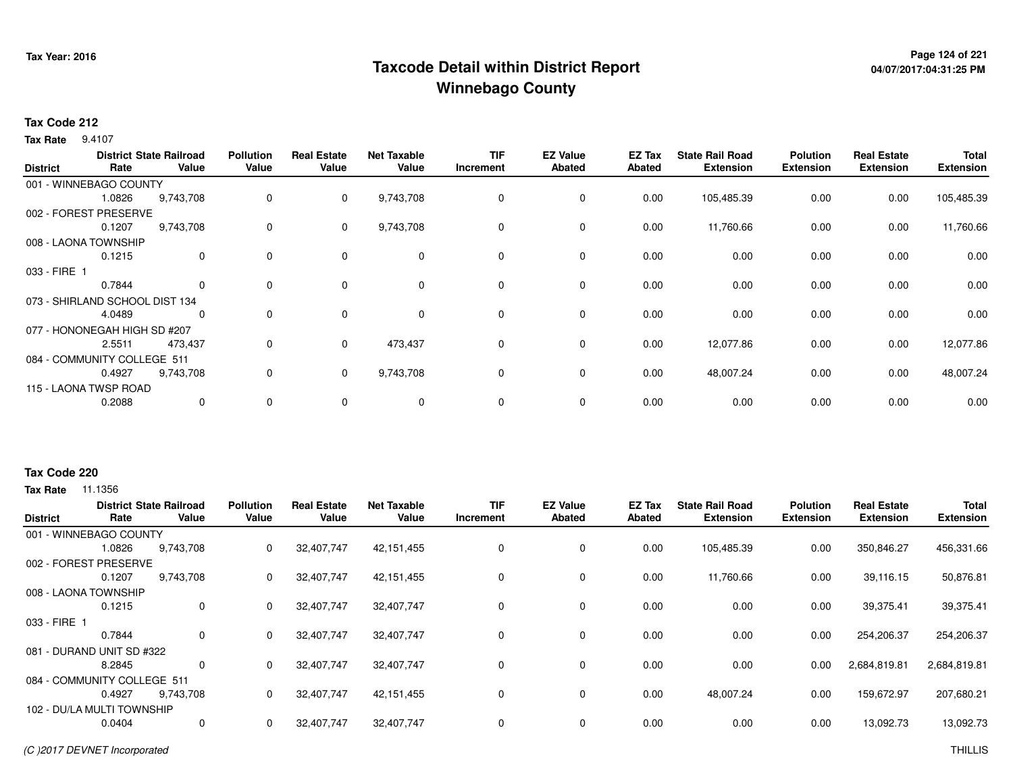# **Page 124 of 221 Taxcode Detail within District ReportWinnebago County**

# **04/07/2017:04:31:25 PM**

## **Tax Code 212**

**Tax Rate** 9.4107

| <b>District</b> | Rate                           | <b>District State Railroad</b><br>Value | <b>Pollution</b><br>Value | <b>Real Estate</b><br>Value | <b>Net Taxable</b><br>Value | <b>TIF</b><br>Increment | <b>EZ Value</b><br><b>Abated</b> | EZ Tax<br><b>Abated</b> | <b>State Rail Road</b><br><b>Extension</b> | <b>Polution</b><br><b>Extension</b> | <b>Real Estate</b><br><b>Extension</b> | Total<br><b>Extension</b> |
|-----------------|--------------------------------|-----------------------------------------|---------------------------|-----------------------------|-----------------------------|-------------------------|----------------------------------|-------------------------|--------------------------------------------|-------------------------------------|----------------------------------------|---------------------------|
|                 | 001 - WINNEBAGO COUNTY         |                                         |                           |                             |                             |                         |                                  |                         |                                            |                                     |                                        |                           |
|                 | 1.0826                         | 9,743,708                               | 0                         | 0                           | 9,743,708                   | 0                       | 0                                | 0.00                    | 105,485.39                                 | 0.00                                | 0.00                                   | 105,485.39                |
|                 | 002 - FOREST PRESERVE          |                                         |                           |                             |                             |                         |                                  |                         |                                            |                                     |                                        |                           |
|                 | 0.1207                         | 9,743,708                               | 0                         | 0                           | 9,743,708                   | 0                       | 0                                | 0.00                    | 11,760.66                                  | 0.00                                | 0.00                                   | 11,760.66                 |
|                 | 008 - LAONA TOWNSHIP           |                                         |                           |                             |                             |                         |                                  |                         |                                            |                                     |                                        |                           |
|                 | 0.1215                         | 0                                       | $\mathbf 0$               | $\mathbf 0$                 | $\mathbf 0$                 | 0                       | 0                                | 0.00                    | 0.00                                       | 0.00                                | 0.00                                   | 0.00                      |
| 033 - FIRE 1    |                                |                                         |                           |                             |                             |                         |                                  |                         |                                            |                                     |                                        |                           |
|                 | 0.7844                         | $\Omega$                                | $\mathbf 0$               | $\mathbf 0$                 | $\mathbf 0$                 | 0                       | $\mathbf 0$                      | 0.00                    | 0.00                                       | 0.00                                | 0.00                                   | 0.00                      |
|                 | 073 - SHIRLAND SCHOOL DIST 134 |                                         |                           |                             |                             |                         |                                  |                         |                                            |                                     |                                        |                           |
|                 | 4.0489                         | 0                                       | $\mathbf 0$               | 0                           | $\mathbf 0$                 | 0                       | $\mathbf 0$                      | 0.00                    | 0.00                                       | 0.00                                | 0.00                                   | 0.00                      |
|                 | 077 - HONONEGAH HIGH SD #207   |                                         |                           |                             |                             |                         |                                  |                         |                                            |                                     |                                        |                           |
|                 | 2.5511                         | 473,437                                 | 0                         | 0                           | 473,437                     | 0                       | $\mathbf 0$                      | 0.00                    | 12,077.86                                  | 0.00                                | 0.00                                   | 12,077.86                 |
|                 | 084 - COMMUNITY COLLEGE 511    |                                         |                           |                             |                             |                         |                                  |                         |                                            |                                     |                                        |                           |
|                 | 0.4927                         | 9,743,708                               | 0                         | $\mathbf{0}$                | 9,743,708                   | 0                       | 0                                | 0.00                    | 48,007.24                                  | 0.00                                | 0.00                                   | 48,007.24                 |
|                 | 115 - LAONA TWSP ROAD          |                                         |                           |                             |                             |                         |                                  |                         |                                            |                                     |                                        |                           |
|                 | 0.2088                         | $\mathbf 0$                             | $\mathbf 0$               | 0                           | 0                           | 0                       | 0                                | 0.00                    | 0.00                                       | 0.00                                | 0.00                                   | 0.00                      |
|                 |                                |                                         |                           |                             |                             |                         |                                  |                         |                                            |                                     |                                        |                           |

### **Tax Code 220**

|                 |                             | <b>District State Railroad</b> | <b>Pollution</b> | <b>Real Estate</b> | <b>Net Taxable</b> | <b>TIF</b> | <b>EZ Value</b> | EZ Tax | <b>State Rail Road</b> | <b>Polution</b>  | <b>Real Estate</b> | Total            |
|-----------------|-----------------------------|--------------------------------|------------------|--------------------|--------------------|------------|-----------------|--------|------------------------|------------------|--------------------|------------------|
| <b>District</b> | Rate                        | Value                          | Value            | Value              | Value              | Increment  | <b>Abated</b>   | Abated | <b>Extension</b>       | <b>Extension</b> | <b>Extension</b>   | <b>Extension</b> |
|                 | 001 - WINNEBAGO COUNTY      |                                |                  |                    |                    |            |                 |        |                        |                  |                    |                  |
|                 | 1.0826                      | 9,743,708                      | 0                | 32,407,747         | 42,151,455         | 0          | 0               | 0.00   | 105,485.39             | 0.00             | 350,846.27         | 456,331.66       |
| 002 - FOREST    | <b>PRESERVE</b>             |                                |                  |                    |                    |            |                 |        |                        |                  |                    |                  |
|                 | 0.1207                      | 9,743,708                      | 0                | 32,407,747         | 42,151,455         | 0          | 0               | 0.00   | 11,760.66              | 0.00             | 39,116.15          | 50,876.81        |
|                 | 008 - LAONA TOWNSHIP        |                                |                  |                    |                    |            |                 |        |                        |                  |                    |                  |
|                 | 0.1215                      | 0                              | 0                | 32,407,747         | 32,407,747         | 0          | $\mathbf 0$     | 0.00   | 0.00                   | 0.00             | 39,375.41          | 39,375.41        |
| 033 - FIRE 1    |                             |                                |                  |                    |                    |            |                 |        |                        |                  |                    |                  |
|                 | 0.7844                      | 0                              | 0                | 32,407,747         | 32,407,747         | 0          | 0               | 0.00   | 0.00                   | 0.00             | 254,206.37         | 254,206.37       |
|                 | 081 - DURAND UNIT SD #322   |                                |                  |                    |                    |            |                 |        |                        |                  |                    |                  |
|                 | 8.2845                      | 0                              | 0                | 32,407,747         | 32,407,747         | 0          | $\mathbf 0$     | 0.00   | 0.00                   | 0.00             | 2,684,819.81       | 2,684,819.81     |
|                 | 084 - COMMUNITY COLLEGE 511 |                                |                  |                    |                    |            |                 |        |                        |                  |                    |                  |
|                 | 0.4927                      | 9,743,708                      | 0                | 32,407,747         | 42,151,455         | 0          | 0               | 0.00   | 48,007.24              | 0.00             | 159,672.97         | 207,680.21       |
|                 | 102 - DU/LA MULTI TOWNSHIP  |                                |                  |                    |                    |            |                 |        |                        |                  |                    |                  |
|                 | 0.0404                      | 0                              | 0                | 32,407,747         | 32,407,747         | 0          | $\mathbf 0$     | 0.00   | 0.00                   | 0.00             | 13,092.73          | 13,092.73        |
|                 |                             |                                |                  |                    |                    |            |                 |        |                        |                  |                    |                  |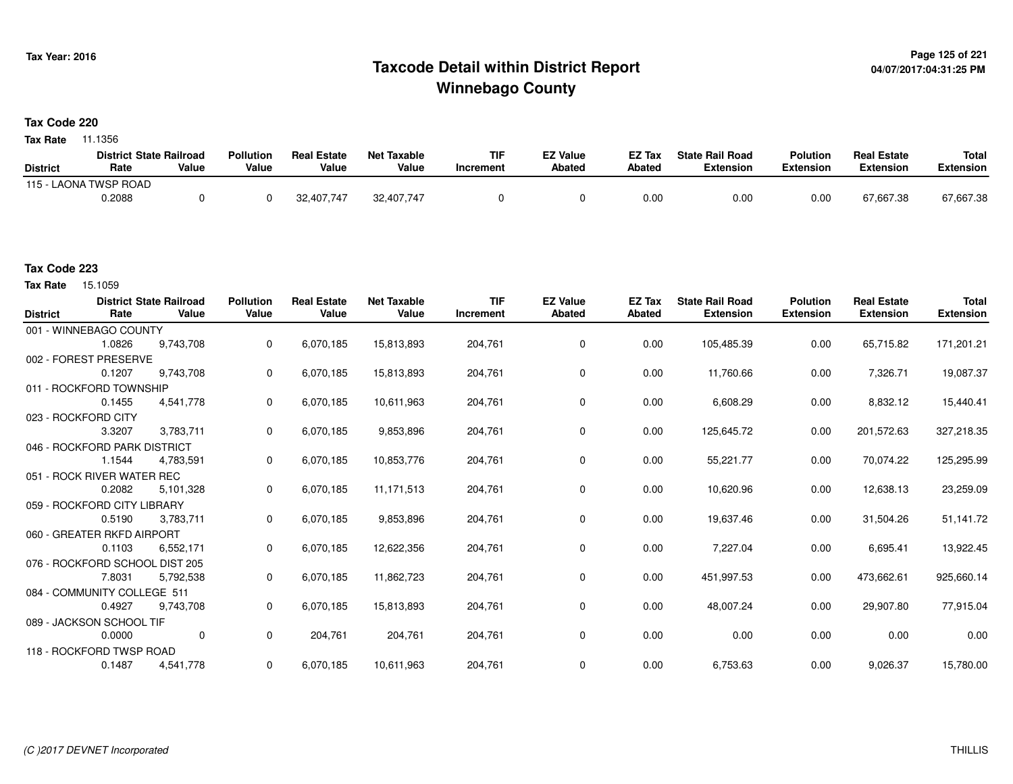# **Page 125 of 221 Taxcode Detail within District ReportWinnebago County**

# **Tax Code 220**

**Tax Rate** 11.1356

|                       | <b>District State Railroad</b> |       | <b>Pollution</b> | <b>Real Estate</b> | Net Taxable | <b>TIF</b> | <b>EZ Value</b> | <b>EZ Tax</b> | <b>State Rail Road</b> | <b>Polution</b>  | <b>Real Estate</b> | <b>Total</b> |
|-----------------------|--------------------------------|-------|------------------|--------------------|-------------|------------|-----------------|---------------|------------------------|------------------|--------------------|--------------|
| <b>District</b>       | Rate                           | Value | Value            | Value              | Value       | Increment  | <b>Abated</b>   | Abated        | <b>Extension</b>       | <b>Extension</b> | <b>Extension</b>   | Extension    |
| 115 - LAONA TWSP ROAD |                                |       |                  |                    |             |            |                 |               |                        |                  |                    |              |
|                       | 0.2088                         |       |                  | 32,407,747         | 32,407,747  |            |                 | 0.00          | 0.00                   | 0.00             | 67,667.38          | 67,667.38    |

### **Tax Code 223**

15.1059 **Tax Rate**

| <b>District</b> | Rate                           | <b>District State Railroad</b><br>Value | <b>Pollution</b><br>Value | <b>Real Estate</b><br>Value | <b>Net Taxable</b><br>Value | <b>TIF</b><br>Increment | <b>EZ Value</b><br><b>Abated</b> | <b>EZ Tax</b><br>Abated | <b>State Rail Road</b><br><b>Extension</b> | <b>Polution</b><br><b>Extension</b> | <b>Real Estate</b><br><b>Extension</b> | <b>Total</b><br><b>Extension</b> |
|-----------------|--------------------------------|-----------------------------------------|---------------------------|-----------------------------|-----------------------------|-------------------------|----------------------------------|-------------------------|--------------------------------------------|-------------------------------------|----------------------------------------|----------------------------------|
|                 | 001 - WINNEBAGO COUNTY         |                                         |                           |                             |                             |                         |                                  |                         |                                            |                                     |                                        |                                  |
|                 | 1.0826                         | 9,743,708                               | 0                         | 6,070,185                   | 15,813,893                  | 204,761                 | 0                                | 0.00                    | 105,485.39                                 | 0.00                                | 65,715.82                              | 171,201.21                       |
|                 | 002 - FOREST PRESERVE          |                                         |                           |                             |                             |                         |                                  |                         |                                            |                                     |                                        |                                  |
|                 | 0.1207                         | 9,743,708                               | 0                         | 6,070,185                   | 15,813,893                  | 204,761                 | 0                                | 0.00                    | 11,760.66                                  | 0.00                                | 7,326.71                               | 19,087.37                        |
|                 | 011 - ROCKFORD TOWNSHIP        |                                         |                           |                             |                             |                         |                                  |                         |                                            |                                     |                                        |                                  |
|                 | 0.1455                         | 4,541,778                               | 0                         | 6,070,185                   | 10,611,963                  | 204,761                 | 0                                | 0.00                    | 6,608.29                                   | 0.00                                | 8,832.12                               | 15,440.41                        |
|                 | 023 - ROCKFORD CITY            |                                         |                           |                             |                             |                         |                                  |                         |                                            |                                     |                                        |                                  |
|                 | 3.3207                         | 3,783,711                               | 0                         | 6,070,185                   | 9,853,896                   | 204,761                 | 0                                | 0.00                    | 125,645.72                                 | 0.00                                | 201,572.63                             | 327,218.35                       |
|                 | 046 - ROCKFORD PARK DISTRICT   |                                         |                           |                             |                             |                         |                                  |                         |                                            |                                     |                                        |                                  |
|                 | 1.1544                         | 4,783,591                               | 0                         | 6,070,185                   | 10,853,776                  | 204,761                 | 0                                | 0.00                    | 55,221.77                                  | 0.00                                | 70,074.22                              | 125,295.99                       |
|                 | 051 - ROCK RIVER WATER REC     |                                         |                           |                             |                             |                         |                                  |                         |                                            |                                     |                                        |                                  |
|                 | 0.2082                         | 5,101,328                               | 0                         | 6,070,185                   | 11,171,513                  | 204,761                 | 0                                | 0.00                    | 10,620.96                                  | 0.00                                | 12,638.13                              | 23,259.09                        |
|                 | 059 - ROCKFORD CITY LIBRARY    |                                         |                           |                             |                             |                         |                                  |                         |                                            |                                     |                                        |                                  |
|                 | 0.5190                         | 3,783,711                               | 0                         | 6,070,185                   | 9,853,896                   | 204,761                 | 0                                | 0.00                    | 19,637.46                                  | 0.00                                | 31,504.26                              | 51,141.72                        |
|                 | 060 - GREATER RKFD AIRPORT     |                                         |                           |                             |                             |                         |                                  |                         |                                            |                                     |                                        |                                  |
|                 | 0.1103                         | 6,552,171                               | 0                         | 6,070,185                   | 12,622,356                  | 204,761                 | 0                                | 0.00                    | 7,227.04                                   | 0.00                                | 6,695.41                               | 13,922.45                        |
|                 | 076 - ROCKFORD SCHOOL DIST 205 |                                         |                           |                             |                             |                         |                                  |                         |                                            |                                     |                                        |                                  |
|                 | 7.8031                         | 5,792,538                               | 0                         | 6,070,185                   | 11,862,723                  | 204,761                 | 0                                | 0.00                    | 451,997.53                                 | 0.00                                | 473,662.61                             | 925,660.14                       |
|                 | 084 - COMMUNITY COLLEGE 511    |                                         |                           |                             |                             |                         |                                  |                         |                                            |                                     |                                        |                                  |
|                 | 0.4927                         | 9,743,708                               | 0                         | 6,070,185                   | 15,813,893                  | 204,761                 | 0                                | 0.00                    | 48,007.24                                  | 0.00                                | 29,907.80                              | 77,915.04                        |
|                 | 089 - JACKSON SCHOOL TIF       |                                         |                           |                             |                             |                         |                                  |                         |                                            |                                     |                                        |                                  |
|                 | 0.0000                         | $\mathbf 0$                             | 0                         | 204.761                     | 204,761                     | 204,761                 | 0                                | 0.00                    | 0.00                                       | 0.00                                | 0.00                                   | 0.00                             |
|                 | 118 - ROCKFORD TWSP ROAD       |                                         |                           |                             |                             |                         |                                  |                         |                                            |                                     |                                        |                                  |
|                 | 0.1487                         | 4,541,778                               | 0                         | 6,070,185                   | 10,611,963                  | 204,761                 | 0                                | 0.00                    | 6,753.63                                   | 0.00                                | 9,026.37                               | 15,780.00                        |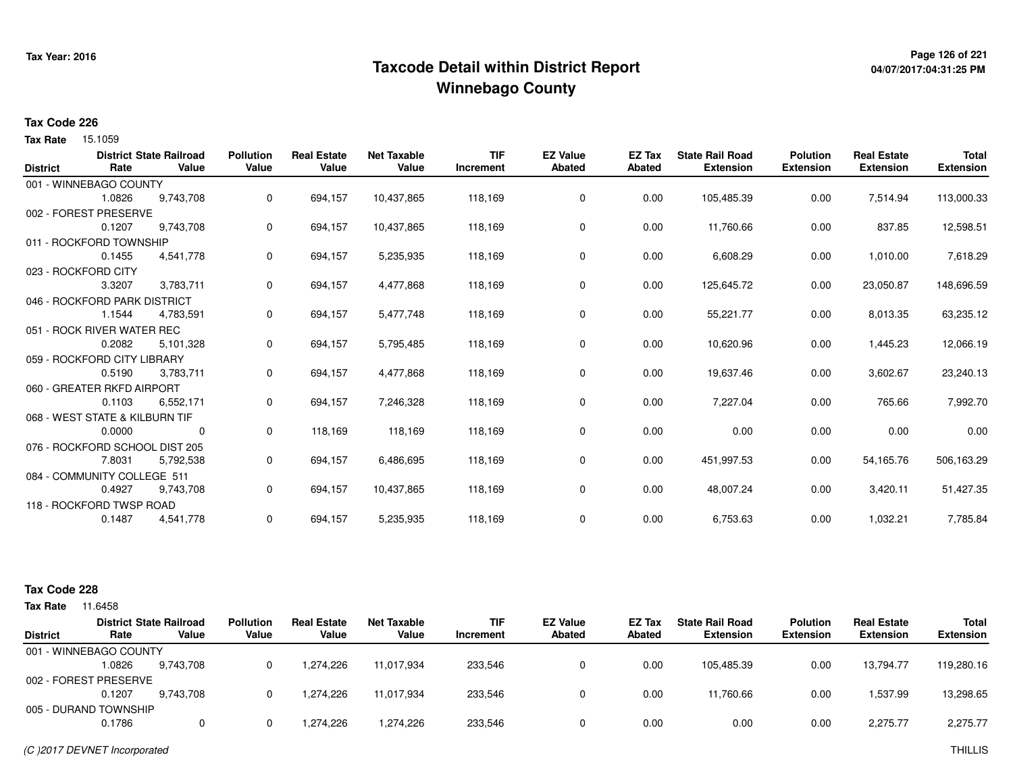# **Page 126 of 221 Taxcode Detail within District ReportWinnebago County**

# **04/07/2017:04:31:25 PM**

### **Tax Code 226**

15.1059 **Tax Rate**

|                 |                                | <b>District State Railroad</b> | <b>Pollution</b> | <b>Real Estate</b> | <b>Net Taxable</b> | <b>TIF</b> | <b>EZ Value</b> | <b>EZ Tax</b> | <b>State Rail Road</b> | <b>Polution</b>  | <b>Real Estate</b> | <b>Total</b>     |
|-----------------|--------------------------------|--------------------------------|------------------|--------------------|--------------------|------------|-----------------|---------------|------------------------|------------------|--------------------|------------------|
| <b>District</b> | Rate                           | Value                          | Value            | Value              | Value              | Increment  | <b>Abated</b>   | Abated        | <b>Extension</b>       | <b>Extension</b> | <b>Extension</b>   | <b>Extension</b> |
|                 | 001 - WINNEBAGO COUNTY         |                                |                  |                    |                    |            |                 |               |                        |                  |                    |                  |
|                 | 1.0826                         | 9,743,708                      | 0                | 694,157            | 10,437,865         | 118,169    | 0               | 0.00          | 105,485.39             | 0.00             | 7,514.94           | 113,000.33       |
|                 | 002 - FOREST PRESERVE          |                                |                  |                    |                    |            |                 |               |                        |                  |                    |                  |
|                 | 0.1207                         | 9,743,708                      | 0                | 694,157            | 10,437,865         | 118,169    | 0               | 0.00          | 11,760.66              | 0.00             | 837.85             | 12,598.51        |
|                 | 011 - ROCKFORD TOWNSHIP        |                                |                  |                    |                    |            |                 |               |                        |                  |                    |                  |
|                 | 0.1455                         | 4,541,778                      | 0                | 694,157            | 5,235,935          | 118,169    | 0               | 0.00          | 6,608.29               | 0.00             | 1,010.00           | 7,618.29         |
|                 | 023 - ROCKFORD CITY            |                                |                  |                    |                    |            |                 |               |                        |                  |                    |                  |
|                 | 3.3207                         | 3,783,711                      | 0                | 694,157            | 4,477,868          | 118,169    | 0               | 0.00          | 125,645.72             | 0.00             | 23,050.87          | 148,696.59       |
|                 | 046 - ROCKFORD PARK DISTRICT   |                                |                  |                    |                    |            |                 |               |                        |                  |                    |                  |
|                 | 1.1544                         | 4,783,591                      | 0                | 694,157            | 5,477,748          | 118,169    | 0               | 0.00          | 55,221.77              | 0.00             | 8,013.35           | 63,235.12        |
|                 | 051 - ROCK RIVER WATER REC     |                                |                  |                    |                    |            |                 |               |                        |                  |                    |                  |
|                 | 0.2082                         | 5,101,328                      | 0                | 694,157            | 5,795,485          | 118,169    | 0               | 0.00          | 10,620.96              | 0.00             | 1,445.23           | 12,066.19        |
|                 | 059 - ROCKFORD CITY LIBRARY    |                                |                  |                    |                    |            |                 |               |                        |                  |                    |                  |
|                 | 0.5190                         | 3,783,711                      | 0                | 694,157            | 4,477,868          | 118,169    | 0               | 0.00          | 19,637.46              | 0.00             | 3,602.67           | 23,240.13        |
|                 | 060 - GREATER RKFD AIRPORT     |                                |                  |                    |                    |            |                 |               |                        |                  |                    |                  |
|                 | 0.1103                         | 6,552,171                      | 0                | 694,157            | 7,246,328          | 118,169    | 0               | 0.00          | 7,227.04               | 0.00             | 765.66             | 7,992.70         |
|                 | 068 - WEST STATE & KILBURN TIF |                                |                  |                    |                    |            |                 |               |                        |                  |                    |                  |
|                 | 0.0000                         | 0                              | 0                | 118,169            | 118,169            | 118,169    | 0               | 0.00          | 0.00                   | 0.00             | 0.00               | 0.00             |
|                 | 076 - ROCKFORD SCHOOL DIST 205 |                                |                  |                    |                    |            |                 |               |                        |                  |                    |                  |
|                 | 7.8031                         | 5,792,538                      | 0                | 694,157            | 6,486,695          | 118,169    | 0               | 0.00          | 451,997.53             | 0.00             | 54,165.76          | 506,163.29       |
|                 | 084 - COMMUNITY COLLEGE 511    |                                |                  |                    |                    |            |                 |               |                        |                  |                    |                  |
|                 | 0.4927                         | 9,743,708                      | 0                | 694,157            | 10,437,865         | 118,169    | 0               | 0.00          | 48,007.24              | 0.00             | 3,420.11           | 51,427.35        |
|                 | 118 - ROCKFORD TWSP ROAD       |                                |                  |                    |                    |            |                 |               |                        |                  |                    |                  |
|                 | 0.1487                         | 4,541,778                      | 0                | 694,157            | 5,235,935          | 118,169    | 0               | 0.00          | 6,753.63               | 0.00             | 1,032.21           | 7,785.84         |
|                 |                                |                                |                  |                    |                    |            |                 |               |                        |                  |                    |                  |

## **Tax Code 228**

| Tax Rate        | 11.6458                |                                         |                           |                             |                             |                         |                                  |                  |                                            |                                     |                                        |                                  |
|-----------------|------------------------|-----------------------------------------|---------------------------|-----------------------------|-----------------------------|-------------------------|----------------------------------|------------------|--------------------------------------------|-------------------------------------|----------------------------------------|----------------------------------|
| <b>District</b> | Rate                   | <b>District State Railroad</b><br>Value | <b>Pollution</b><br>Value | <b>Real Estate</b><br>Value | <b>Net Taxable</b><br>Value | <b>TIF</b><br>Increment | <b>EZ Value</b><br><b>Abated</b> | EZ Tax<br>Abated | <b>State Rail Road</b><br><b>Extension</b> | <b>Polution</b><br><b>Extension</b> | <b>Real Estate</b><br><b>Extension</b> | <b>Total</b><br><b>Extension</b> |
|                 | 001 - WINNEBAGO COUNTY |                                         |                           |                             |                             |                         |                                  |                  |                                            |                                     |                                        |                                  |
|                 | 1.0826                 | 9,743,708                               |                           | 1.274.226                   | 11.017.934                  | 233,546                 |                                  | 0.00             | 105.485.39                                 | 0.00                                | 13.794.77                              | 119,280.16                       |
|                 | 002 - FOREST PRESERVE  |                                         |                           |                             |                             |                         |                                  |                  |                                            |                                     |                                        |                                  |
|                 | 0.1207                 | 9.743.708                               |                           | 1.274.226                   | 11.017.934                  | 233,546                 |                                  | 0.00             | 11.760.66                                  | 0.00                                | .537.99                                | 13,298.65                        |
|                 | 005 - DURAND TOWNSHIP  |                                         |                           |                             |                             |                         |                                  |                  |                                            |                                     |                                        |                                  |
|                 | 0.1786                 |                                         |                           | 1.274.226                   | 1,274,226                   | 233,546                 |                                  | 0.00             | 0.00                                       | 0.00                                | 2,275.77                               | 2,275.77                         |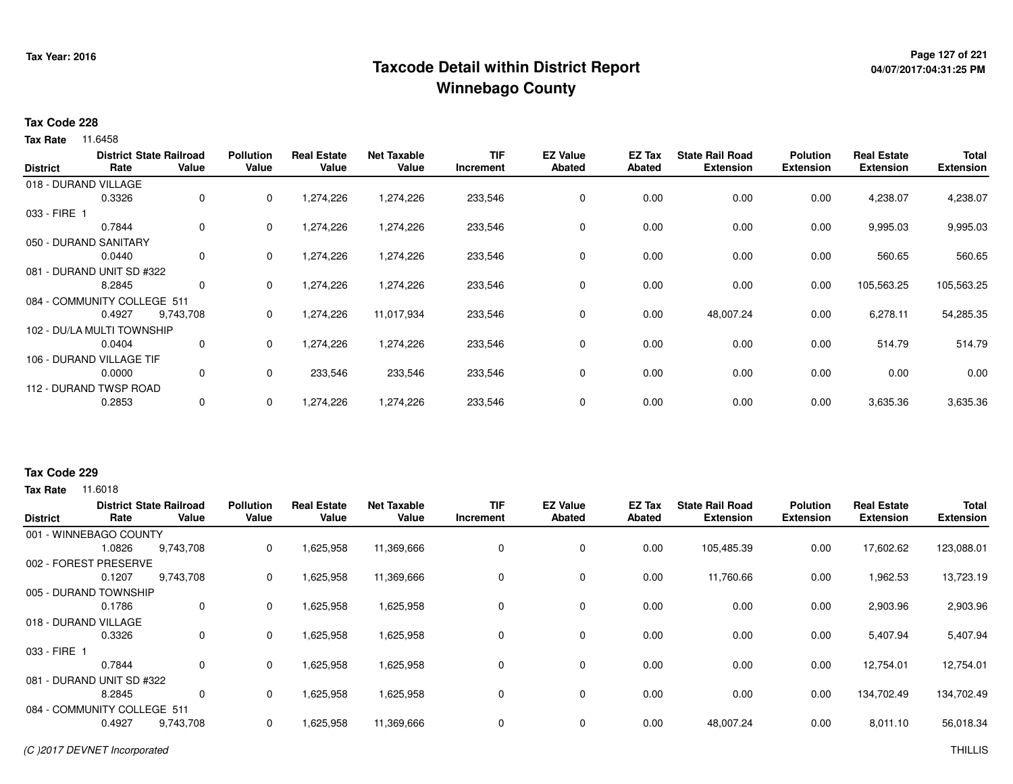# **Page 127 of 221 Taxcode Detail within District ReportWinnebago County**

## **Tax Code 228**

**Tax Rate** 11.6458

| <b>District</b> | Rate                        | <b>District State Railroad</b><br>Value | <b>Pollution</b><br>Value | <b>Real Estate</b><br>Value | <b>Net Taxable</b><br>Value | <b>TIF</b><br>Increment | <b>EZ Value</b><br><b>Abated</b> | EZ Tax<br>Abated | <b>State Rail Road</b><br><b>Extension</b> | <b>Polution</b><br><b>Extension</b> | <b>Real Estate</b><br><b>Extension</b> | <b>Total</b><br><b>Extension</b> |
|-----------------|-----------------------------|-----------------------------------------|---------------------------|-----------------------------|-----------------------------|-------------------------|----------------------------------|------------------|--------------------------------------------|-------------------------------------|----------------------------------------|----------------------------------|
|                 | 018 - DURAND VILLAGE        |                                         |                           |                             |                             |                         |                                  |                  |                                            |                                     |                                        |                                  |
|                 | 0.3326                      | 0                                       | 0                         | 1,274,226                   | 1,274,226                   | 233,546                 | 0                                | 0.00             | 0.00                                       | 0.00                                | 4,238.07                               | 4,238.07                         |
| 033 - FIRE 1    |                             |                                         |                           |                             |                             |                         |                                  |                  |                                            |                                     |                                        |                                  |
|                 | 0.7844                      | 0                                       | 0                         | 1,274,226                   | 1,274,226                   | 233,546                 | 0                                | 0.00             | 0.00                                       | 0.00                                | 9,995.03                               | 9,995.03                         |
|                 | 050 - DURAND SANITARY       |                                         |                           |                             |                             |                         |                                  |                  |                                            |                                     |                                        |                                  |
|                 | 0.0440                      | 0                                       | 0                         | 1,274,226                   | 1,274,226                   | 233,546                 | 0                                | 0.00             | 0.00                                       | 0.00                                | 560.65                                 | 560.65                           |
|                 | 081 - DURAND UNIT SD #322   |                                         |                           |                             |                             |                         |                                  |                  |                                            |                                     |                                        |                                  |
|                 | 8.2845                      | 0                                       | 0                         | 1,274,226                   | 1,274,226                   | 233,546                 | 0                                | 0.00             | 0.00                                       | 0.00                                | 105,563.25                             | 105,563.25                       |
|                 | 084 - COMMUNITY COLLEGE 511 |                                         |                           |                             |                             |                         |                                  |                  |                                            |                                     |                                        |                                  |
|                 | 0.4927                      | 9,743,708                               | 0                         | 1,274,226                   | 11,017,934                  | 233,546                 | 0                                | 0.00             | 48,007.24                                  | 0.00                                | 6,278.11                               | 54,285.35                        |
|                 | 102 - DU/LA MULTI TOWNSHIP  |                                         |                           |                             |                             |                         |                                  |                  |                                            |                                     |                                        |                                  |
|                 | 0.0404                      | 0                                       | 0                         | 1,274,226                   | 1,274,226                   | 233,546                 | 0                                | 0.00             | 0.00                                       | 0.00                                | 514.79                                 | 514.79                           |
|                 | 106 - DURAND VILLAGE TIF    |                                         |                           |                             |                             |                         |                                  |                  |                                            |                                     |                                        |                                  |
|                 | 0.0000                      | 0                                       | 0                         | 233,546                     | 233,546                     | 233,546                 | 0                                | 0.00             | 0.00                                       | 0.00                                | 0.00                                   | 0.00                             |
|                 | 112 - DURAND TWSP ROAD      |                                         |                           |                             |                             |                         |                                  |                  |                                            |                                     |                                        |                                  |
|                 | 0.2853                      | $\mathbf{0}$                            | 0                         | 1,274,226                   | 1,274,226                   | 233,546                 | 0                                | 0.00             | 0.00                                       | 0.00                                | 3,635.36                               | 3,635.36                         |

### **Tax Code 229**

**Tax Rate** 11,6018

| <b>District</b> | Rate                        | <b>District State Railroad</b><br>Value | <b>Pollution</b><br>Value | <b>Real Estate</b><br>Value | <b>Net Taxable</b><br>Value | <b>TIF</b><br>Increment | <b>EZ Value</b><br><b>Abated</b> | EZ Tax<br>Abated | <b>State Rail Road</b><br><b>Extension</b> | <b>Polution</b><br><b>Extension</b> | <b>Real Estate</b><br><b>Extension</b> | <b>Total</b><br><b>Extension</b> |
|-----------------|-----------------------------|-----------------------------------------|---------------------------|-----------------------------|-----------------------------|-------------------------|----------------------------------|------------------|--------------------------------------------|-------------------------------------|----------------------------------------|----------------------------------|
|                 | 001 - WINNEBAGO COUNTY      |                                         |                           |                             |                             |                         |                                  |                  |                                            |                                     |                                        |                                  |
|                 | 1.0826                      | 9,743,708                               | 0                         | 1,625,958                   | 11,369,666                  | 0                       | 0                                | 0.00             | 105,485.39                                 | 0.00                                | 17,602.62                              | 123,088.01                       |
|                 | 002 - FOREST PRESERVE       |                                         |                           |                             |                             |                         |                                  |                  |                                            |                                     |                                        |                                  |
|                 | 0.1207                      | 9,743,708                               | 0                         | 1,625,958                   | 11,369,666                  | 0                       | 0                                | 0.00             | 11,760.66                                  | 0.00                                | 1,962.53                               | 13,723.19                        |
|                 | 005 - DURAND TOWNSHIP       |                                         |                           |                             |                             |                         |                                  |                  |                                            |                                     |                                        |                                  |
|                 | 0.1786                      | $\Omega$                                | 0                         | 1,625,958                   | 1,625,958                   | 0                       | 0                                | 0.00             | 0.00                                       | 0.00                                | 2,903.96                               | 2,903.96                         |
|                 | 018 - DURAND VILLAGE        |                                         |                           |                             |                             |                         |                                  |                  |                                            |                                     |                                        |                                  |
|                 | 0.3326                      | 0                                       | 0                         | 1,625,958                   | 1,625,958                   | 0                       | 0                                | 0.00             | 0.00                                       | 0.00                                | 5,407.94                               | 5,407.94                         |
| 033 - FIRE 1    |                             |                                         |                           |                             |                             |                         |                                  |                  |                                            |                                     |                                        |                                  |
|                 | 0.7844                      | $\Omega$                                | 0                         | 1,625,958                   | 1,625,958                   | 0                       | $\mathbf 0$                      | 0.00             | 0.00                                       | 0.00                                | 12,754.01                              | 12,754.01                        |
|                 | 081 - DURAND UNIT SD #322   |                                         |                           |                             |                             |                         |                                  |                  |                                            |                                     |                                        |                                  |
|                 | 8.2845                      | $\Omega$                                | 0                         | 1,625,958                   | 1,625,958                   | 0                       | 0                                | 0.00             | 0.00                                       | 0.00                                | 134,702.49                             | 134,702.49                       |
|                 | 084 - COMMUNITY COLLEGE 511 |                                         |                           |                             |                             |                         |                                  |                  |                                            |                                     |                                        |                                  |
|                 | 0.4927                      | 9,743,708                               | 0                         | 1,625,958                   | 11,369,666                  | 0                       | 0                                | 0.00             | 48,007.24                                  | 0.00                                | 8,011.10                               | 56,018.34                        |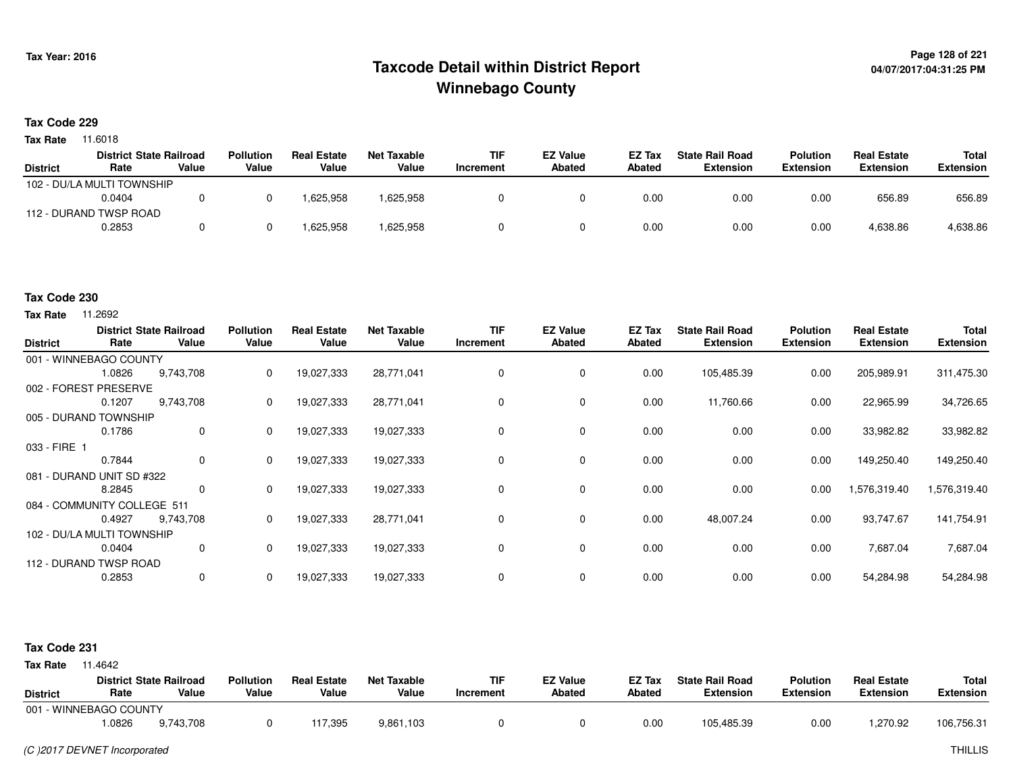# **Page 128 of 221 Taxcode Detail within District ReportWinnebago County**

#### **Tax Code 229**

**Tax Rate** 11.6018

|                 | <b>District State Railroad</b> |       | <b>Pollution</b> | <b>Real Estate</b> | Net Taxable | <b>TIF</b> | <b>EZ Value</b> | <b>EZ Tax</b> | <b>State Rail Road</b> | <b>Polution</b>  | <b>Real Estate</b> | <b>Total</b>     |
|-----------------|--------------------------------|-------|------------------|--------------------|-------------|------------|-----------------|---------------|------------------------|------------------|--------------------|------------------|
| <b>District</b> | Rate                           | Value | Value            | Value              | Value       | Increment  | Abated          | <b>Abated</b> | <b>Extension</b>       | <b>Extension</b> | <b>Extension</b>   | <b>Extension</b> |
|                 | 102 - DU/LA MULTI TOWNSHIP     |       |                  |                    |             |            |                 |               |                        |                  |                    |                  |
|                 | 0.0404                         |       |                  | .625.958           | 1,625,958   |            |                 | 0.00          | 0.00                   | 0.00             | 656.89             | 656.89           |
|                 | 112 - DURAND TWSP ROAD         |       |                  |                    |             |            |                 |               |                        |                  |                    |                  |
|                 | 0.2853                         |       |                  | 625,958            | 1,625,958   |            |                 | 0.00          | 0.00                   | 0.00             | 4,638.86           | 4,638.86         |

# **Tax Code 230**

**Tax Rate** 11.2692

| <b>District</b>             | Rate                       | <b>District State Railroad</b><br>Value | <b>Pollution</b><br>Value | <b>Real Estate</b><br>Value | <b>Net Taxable</b><br>Value | TIF<br>Increment | <b>EZ Value</b><br><b>Abated</b> | EZ Tax<br><b>Abated</b> | <b>State Rail Road</b><br><b>Extension</b> | <b>Polution</b><br><b>Extension</b> | <b>Real Estate</b><br><b>Extension</b> | Total<br><b>Extension</b> |
|-----------------------------|----------------------------|-----------------------------------------|---------------------------|-----------------------------|-----------------------------|------------------|----------------------------------|-------------------------|--------------------------------------------|-------------------------------------|----------------------------------------|---------------------------|
|                             | 001 - WINNEBAGO COUNTY     |                                         |                           |                             |                             |                  |                                  |                         |                                            |                                     |                                        |                           |
|                             | 1.0826                     | 9,743,708                               | 0                         | 19,027,333                  | 28,771,041                  | 0                | 0                                | 0.00                    | 105,485.39                                 | 0.00                                | 205,989.91                             | 311,475.30                |
| 002 - FOREST PRESERVE       |                            |                                         |                           |                             |                             |                  |                                  |                         |                                            |                                     |                                        |                           |
|                             | 0.1207                     | 9,743,708                               | 0                         | 19,027,333                  | 28,771,041                  |                  | 0                                | 0.00                    | 11,760.66                                  | 0.00                                | 22,965.99                              | 34,726.65                 |
| 005 - DURAND TOWNSHIP       |                            |                                         |                           |                             |                             |                  |                                  |                         |                                            |                                     |                                        |                           |
|                             | 0.1786                     | 0                                       | $\Omega$                  | 19,027,333                  | 19,027,333                  |                  | 0                                | 0.00                    | 0.00                                       | 0.00                                | 33,982.82                              | 33,982.82                 |
| 033 - FIRE 1                |                            |                                         |                           |                             |                             |                  |                                  |                         |                                            |                                     |                                        |                           |
|                             | 0.7844                     | 0                                       | 0                         | 19,027,333                  | 19,027,333                  |                  | 0                                | 0.00                    | 0.00                                       | 0.00                                | 149,250.40                             | 149,250.40                |
| 081 - DURAND UNIT SD #322   |                            |                                         |                           |                             |                             |                  |                                  |                         |                                            |                                     |                                        |                           |
|                             | 8.2845                     | 0                                       | 0                         | 19,027,333                  | 19,027,333                  |                  | 0                                | 0.00                    | 0.00                                       | 0.00                                | 1,576,319.40                           | 1,576,319.40              |
| 084 - COMMUNITY COLLEGE 511 |                            |                                         |                           |                             |                             |                  |                                  |                         |                                            |                                     |                                        |                           |
|                             | 0.4927                     | 9,743,708                               | 0                         | 19,027,333                  | 28,771,041                  | $\Omega$         | 0                                | 0.00                    | 48,007.24                                  | 0.00                                | 93,747.67                              | 141,754.91                |
|                             | 102 - DU/LA MULTI TOWNSHIP |                                         |                           |                             |                             |                  |                                  |                         |                                            |                                     |                                        |                           |
|                             | 0.0404                     | 0                                       | 0                         | 19,027,333                  | 19,027,333                  | 0                | 0                                | 0.00                    | 0.00                                       | 0.00                                | 7,687.04                               | 7,687.04                  |
|                             | 112 - DURAND TWSP ROAD     |                                         |                           |                             |                             |                  |                                  |                         |                                            |                                     |                                        |                           |
|                             | 0.2853                     | 0                                       | 0                         | 19,027,333                  | 19,027,333                  |                  | 0                                | 0.00                    | 0.00                                       | 0.00                                | 54,284.98                              | 54,284.98                 |

### **Tax Code 231**

| <b>District</b>        | Rate  | <b>District State Railroad</b><br>Value | <b>Pollution</b><br>Value | <b>Real Estate</b><br>Value | <b>Net Taxable</b><br>Value | <b>TIF</b><br>'ncrement | <b>EZ Value</b><br><b>Abated</b> | <b>EZ Tax</b><br><b>Abated</b> | <b>State Rail Road</b><br><b>Extension</b> | <b>Polution</b><br><b>Extension</b> | <b>Real Estate</b><br>Extension | <b>Total</b><br><b>Extension</b> |
|------------------------|-------|-----------------------------------------|---------------------------|-----------------------------|-----------------------------|-------------------------|----------------------------------|--------------------------------|--------------------------------------------|-------------------------------------|---------------------------------|----------------------------------|
| 001 - WINNEBAGO COUNTY |       |                                         |                           |                             |                             |                         |                                  |                                |                                            |                                     |                                 |                                  |
|                        | .0826 | 9,743,708                               |                           | 17,395                      | 9,861,103                   |                         |                                  | 0.00                           | 105,485.39                                 | 0.00                                | ,270.92                         | 106,756.31                       |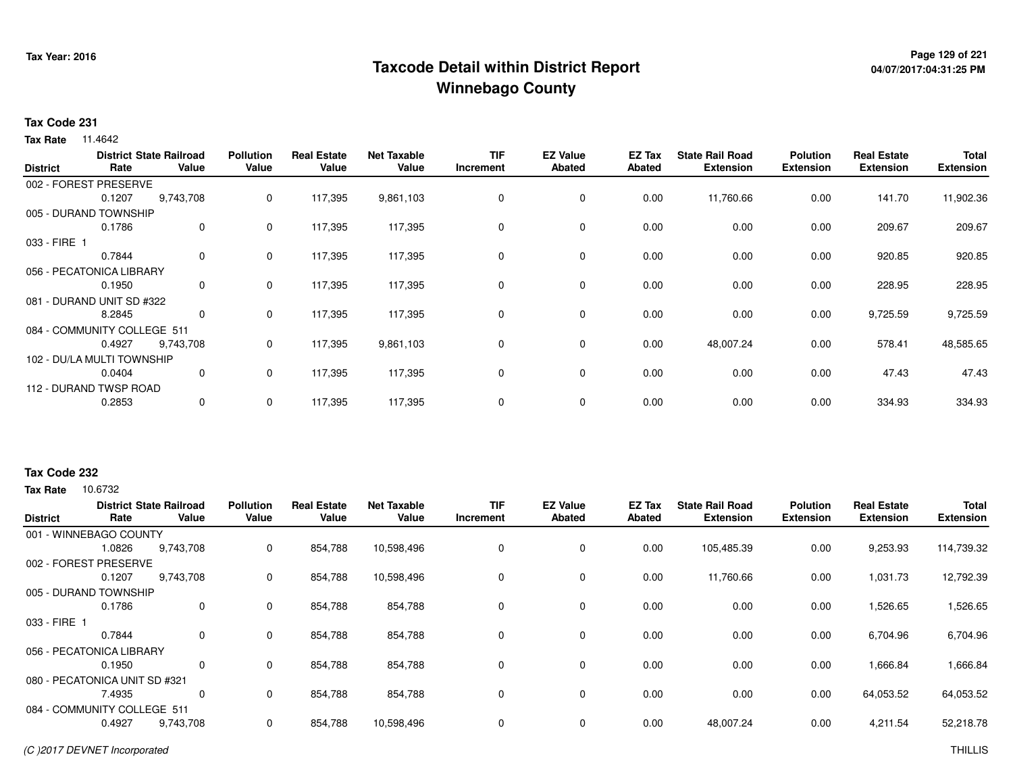# **Page 129 of 221 Taxcode Detail within District ReportWinnebago County**

# **04/07/2017:04:31:25 PM**

## **Tax Code 231**

**Tax Rate** 11.4642

| <b>District</b>             | Rate                   | <b>District State Railroad</b><br>Value | <b>Pollution</b><br>Value | <b>Real Estate</b><br>Value | Net Taxable<br>Value | <b>TIF</b><br>Increment | <b>EZ Value</b><br><b>Abated</b> | EZ Tax<br><b>Abated</b> | <b>State Rail Road</b><br><b>Extension</b> | <b>Polution</b><br><b>Extension</b> | <b>Real Estate</b><br><b>Extension</b> | <b>Total</b><br><b>Extension</b> |
|-----------------------------|------------------------|-----------------------------------------|---------------------------|-----------------------------|----------------------|-------------------------|----------------------------------|-------------------------|--------------------------------------------|-------------------------------------|----------------------------------------|----------------------------------|
|                             | 002 - FOREST PRESERVE  |                                         |                           |                             |                      |                         |                                  |                         |                                            |                                     |                                        |                                  |
|                             | 0.1207                 | 9,743,708                               | 0                         | 117,395                     | 9,861,103            | 0                       | 0                                | 0.00                    | 11,760.66                                  | 0.00                                | 141.70                                 | 11,902.36                        |
| 005 - DURAND TOWNSHIP       |                        |                                         |                           |                             |                      |                         |                                  |                         |                                            |                                     |                                        |                                  |
|                             | 0.1786                 | 0                                       | 0                         | 117,395                     | 117,395              | 0                       | 0                                | 0.00                    | 0.00                                       | 0.00                                | 209.67                                 | 209.67                           |
| 033 - FIRE 1                |                        |                                         |                           |                             |                      |                         |                                  |                         |                                            |                                     |                                        |                                  |
|                             | 0.7844                 | 0                                       | $\mathbf{0}$              | 117,395                     | 117,395              | 0                       | 0                                | 0.00                    | 0.00                                       | 0.00                                | 920.85                                 | 920.85                           |
| 056 - PECATONICA LIBRARY    |                        |                                         |                           |                             |                      |                         |                                  |                         |                                            |                                     |                                        |                                  |
|                             | 0.1950                 | 0                                       | 0                         | 117,395                     | 117,395              | 0                       | $\mathbf 0$                      | 0.00                    | 0.00                                       | 0.00                                | 228.95                                 | 228.95                           |
| 081 - DURAND UNIT SD #322   |                        |                                         |                           |                             |                      |                         |                                  |                         |                                            |                                     |                                        |                                  |
|                             | 8.2845                 | 0                                       | 0                         | 117,395                     | 117,395              | 0                       | $\mathbf 0$                      | 0.00                    | 0.00                                       | 0.00                                | 9,725.59                               | 9,725.59                         |
| 084 - COMMUNITY COLLEGE 511 |                        |                                         |                           |                             |                      |                         |                                  |                         |                                            |                                     |                                        |                                  |
|                             | 0.4927                 | 9,743,708                               | 0                         | 117,395                     | 9,861,103            | 0                       | $\mathbf 0$                      | 0.00                    | 48,007.24                                  | 0.00                                | 578.41                                 | 48,585.65                        |
| 102 - DU/LA MULTI TOWNSHIP  |                        |                                         |                           |                             |                      |                         |                                  |                         |                                            |                                     |                                        |                                  |
|                             | 0.0404                 | 0                                       | 0                         | 117,395                     | 117,395              | 0                       | 0                                | 0.00                    | 0.00                                       | 0.00                                | 47.43                                  | 47.43                            |
|                             | 112 - DURAND TWSP ROAD |                                         |                           |                             |                      |                         |                                  |                         |                                            |                                     |                                        |                                  |
|                             | 0.2853                 | 0                                       | 0                         | 117,395                     | 117,395              | 0                       | 0                                | 0.00                    | 0.00                                       | 0.00                                | 334.93                                 | 334.93                           |

# **Tax Code 232**

| <b>District</b> | Rate                          | <b>District State Railroad</b><br>Value | <b>Pollution</b><br>Value | <b>Real Estate</b><br>Value | <b>Net Taxable</b><br>Value | <b>TIF</b><br>Increment | <b>EZ Value</b><br><b>Abated</b> | EZ Tax<br>Abated | <b>State Rail Road</b><br><b>Extension</b> | <b>Polution</b><br><b>Extension</b> | <b>Real Estate</b><br><b>Extension</b> | <b>Total</b><br><b>Extension</b> |
|-----------------|-------------------------------|-----------------------------------------|---------------------------|-----------------------------|-----------------------------|-------------------------|----------------------------------|------------------|--------------------------------------------|-------------------------------------|----------------------------------------|----------------------------------|
|                 | 001 - WINNEBAGO COUNTY        |                                         |                           |                             |                             |                         |                                  |                  |                                            |                                     |                                        |                                  |
|                 | 1.0826                        | 9,743,708                               | 0                         | 854,788                     | 10,598,496                  | $\mathbf 0$             | 0                                | 0.00             | 105,485.39                                 | 0.00                                | 9,253.93                               | 114,739.32                       |
|                 | 002 - FOREST PRESERVE         |                                         |                           |                             |                             |                         |                                  |                  |                                            |                                     |                                        |                                  |
|                 | 0.1207                        | 9,743,708                               | 0                         | 854,788                     | 10,598,496                  | 0                       | $\mathbf 0$                      | 0.00             | 11,760.66                                  | 0.00                                | 1,031.73                               | 12,792.39                        |
|                 | 005 - DURAND TOWNSHIP         |                                         |                           |                             |                             |                         |                                  |                  |                                            |                                     |                                        |                                  |
|                 | 0.1786                        | 0                                       | 0                         | 854,788                     | 854,788                     | 0                       | $\mathbf 0$                      | 0.00             | 0.00                                       | 0.00                                | 1,526.65                               | 1,526.65                         |
| 033 - FIRE 1    |                               |                                         |                           |                             |                             |                         |                                  |                  |                                            |                                     |                                        |                                  |
|                 | 0.7844                        | 0                                       | 0                         | 854,788                     | 854,788                     | 0                       | 0                                | 0.00             | 0.00                                       | 0.00                                | 6,704.96                               | 6,704.96                         |
|                 | 056 - PECATONICA LIBRARY      |                                         |                           |                             |                             |                         |                                  |                  |                                            |                                     |                                        |                                  |
|                 | 0.1950                        | 0                                       | 0                         | 854,788                     | 854,788                     | 0                       | 0                                | 0.00             | 0.00                                       | 0.00                                | 1,666.84                               | 1,666.84                         |
|                 | 080 - PECATONICA UNIT SD #321 |                                         |                           |                             |                             |                         |                                  |                  |                                            |                                     |                                        |                                  |
|                 | 7.4935                        | 0                                       | 0                         | 854,788                     | 854,788                     | 0                       | 0                                | 0.00             | 0.00                                       | 0.00                                | 64,053.52                              | 64,053.52                        |
|                 | 084 - COMMUNITY COLLEGE 511   |                                         |                           |                             |                             |                         |                                  |                  |                                            |                                     |                                        |                                  |
|                 | 0.4927                        | 9,743,708                               | 0                         | 854,788                     | 10,598,496                  | $\mathbf 0$             | 0                                | 0.00             | 48,007.24                                  | 0.00                                | 4,211.54                               | 52,218.78                        |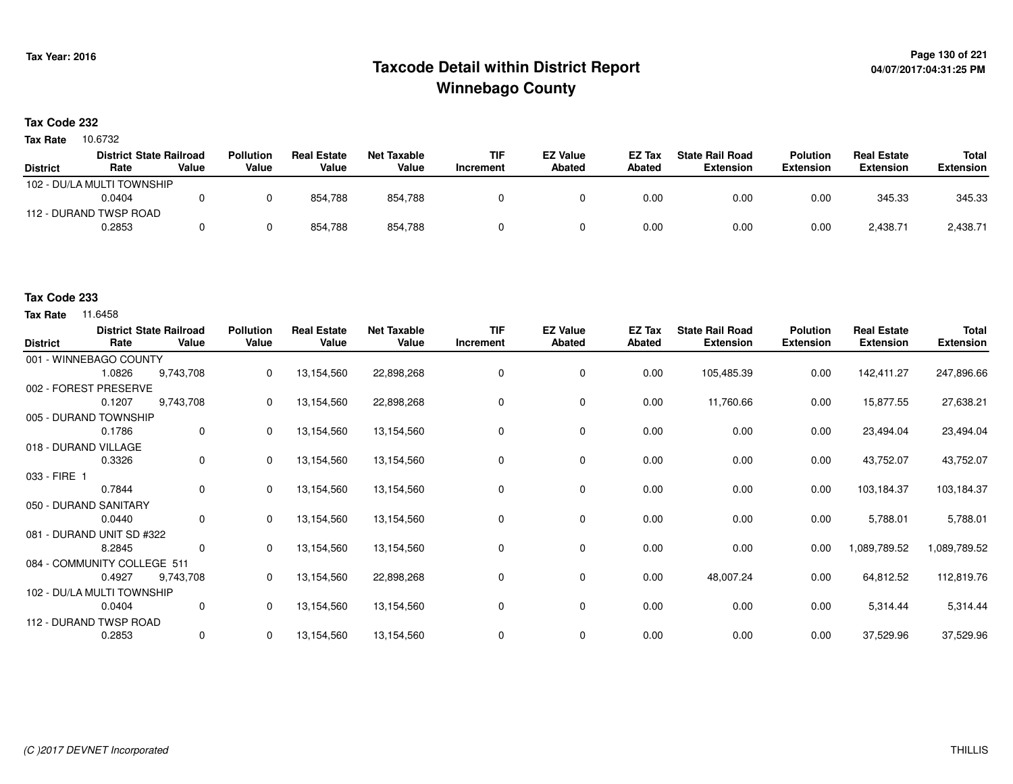# **Page 130 of 221 Taxcode Detail within District ReportWinnebago County**

## **Tax Code 232**

Tax Rate 10.6732

|                 | <b>District State Railroad</b> |       | <b>Pollution</b> | <b>Real Estate</b> | Net Taxable | TIF       | <b>EZ Value</b> | <b>EZ Tax</b> | <b>State Rail Road</b> | <b>Polution</b>  | <b>Real Estate</b> | <b>Total</b>     |
|-----------------|--------------------------------|-------|------------------|--------------------|-------------|-----------|-----------------|---------------|------------------------|------------------|--------------------|------------------|
| <b>District</b> | Rate                           | Value | Value            | Value              | Value       | Increment | <b>Abated</b>   | <b>Abated</b> | <b>Extension</b>       | <b>Extension</b> | <b>Extension</b>   | <b>Extension</b> |
|                 | 102 - DU/LA MULTI TOWNSHIP     |       |                  |                    |             |           |                 |               |                        |                  |                    |                  |
|                 | 0.0404                         |       |                  | 854.788            | 854.788     |           |                 | 0.00          | 0.00                   | 0.00             | 345.33             | 345.33           |
|                 | 112 - DURAND TWSP ROAD         |       |                  |                    |             |           |                 |               |                        |                  |                    |                  |
|                 | 0.2853                         |       |                  | 854,788            | 854,788     |           |                 | 0.00          | 0.00                   | 0.00             | 2,438.71           | 2,438.71         |

## **Tax Code 233**

| <b>District</b> | Rate                        | <b>District State Railroad</b><br>Value | <b>Pollution</b><br>Value | <b>Real Estate</b><br>Value | <b>Net Taxable</b><br>Value | <b>TIF</b><br>Increment | <b>EZ Value</b><br><b>Abated</b> | EZ Tax<br><b>Abated</b> | <b>State Rail Road</b><br><b>Extension</b> | <b>Polution</b><br><b>Extension</b> | <b>Real Estate</b><br><b>Extension</b> | <b>Total</b><br><b>Extension</b> |
|-----------------|-----------------------------|-----------------------------------------|---------------------------|-----------------------------|-----------------------------|-------------------------|----------------------------------|-------------------------|--------------------------------------------|-------------------------------------|----------------------------------------|----------------------------------|
|                 | 001 - WINNEBAGO COUNTY      |                                         |                           |                             |                             |                         |                                  |                         |                                            |                                     |                                        |                                  |
|                 | 1.0826                      | 9,743,708                               | 0                         | 13,154,560                  | 22,898,268                  | 0                       | 0                                | 0.00                    | 105,485.39                                 | 0.00                                | 142,411.27                             | 247,896.66                       |
|                 | 002 - FOREST PRESERVE       |                                         |                           |                             |                             |                         |                                  |                         |                                            |                                     |                                        |                                  |
|                 | 0.1207                      | 9,743,708                               | 0                         | 13,154,560                  | 22,898,268                  | 0                       | 0                                | 0.00                    | 11,760.66                                  | 0.00                                | 15,877.55                              | 27,638.21                        |
|                 | 005 - DURAND TOWNSHIP       |                                         |                           |                             |                             |                         |                                  |                         |                                            |                                     |                                        |                                  |
|                 | 0.1786                      | $\mathbf 0$                             | 0                         | 13,154,560                  | 13,154,560                  | 0                       | 0                                | 0.00                    | 0.00                                       | 0.00                                | 23,494.04                              | 23,494.04                        |
|                 | 018 - DURAND VILLAGE        |                                         |                           |                             |                             |                         |                                  |                         |                                            |                                     |                                        |                                  |
|                 | 0.3326                      | $\mathbf 0$                             | 0                         | 13,154,560                  | 13,154,560                  | 0                       | 0                                | 0.00                    | 0.00                                       | 0.00                                | 43,752.07                              | 43,752.07                        |
| 033 - FIRE 1    |                             |                                         |                           |                             |                             |                         |                                  |                         |                                            |                                     |                                        |                                  |
|                 | 0.7844                      | 0                                       | 0                         | 13,154,560                  | 13,154,560                  | 0                       | 0                                | 0.00                    | 0.00                                       | 0.00                                | 103,184.37                             | 103,184.37                       |
|                 | 050 - DURAND SANITARY       |                                         |                           |                             |                             |                         |                                  |                         |                                            |                                     |                                        |                                  |
|                 | 0.0440                      | 0                                       | 0                         | 13,154,560                  | 13,154,560                  | 0                       | 0                                | 0.00                    | 0.00                                       | 0.00                                | 5,788.01                               | 5,788.01                         |
|                 | 081 - DURAND UNIT SD #322   |                                         |                           |                             |                             |                         |                                  |                         |                                            |                                     |                                        |                                  |
|                 | 8.2845                      | 0                                       | $\mathbf{0}$              | 13,154,560                  | 13,154,560                  | 0                       | $\mathbf 0$                      | 0.00                    | 0.00                                       | 0.00                                | 1,089,789.52                           | 1,089,789.52                     |
|                 | 084 - COMMUNITY COLLEGE 511 |                                         |                           |                             |                             |                         |                                  |                         |                                            |                                     |                                        |                                  |
|                 | 0.4927                      | 9,743,708                               | 0                         | 13,154,560                  | 22,898,268                  | 0                       | 0                                | 0.00                    | 48,007.24                                  | 0.00                                | 64,812.52                              | 112,819.76                       |
|                 | 102 - DU/LA MULTI TOWNSHIP  |                                         |                           |                             |                             |                         |                                  |                         |                                            |                                     |                                        |                                  |
|                 | 0.0404                      | $\mathbf 0$                             | $\mathbf{0}$              | 13,154,560                  | 13,154,560                  | 0                       | 0                                | 0.00                    | 0.00                                       | 0.00                                | 5,314.44                               | 5,314.44                         |
|                 | 112 - DURAND TWSP ROAD      |                                         |                           |                             |                             |                         |                                  |                         |                                            |                                     |                                        |                                  |
|                 | 0.2853                      | 0                                       | 0                         | 13,154,560                  | 13,154,560                  | 0                       | 0                                | 0.00                    | 0.00                                       | 0.00                                | 37,529.96                              | 37,529.96                        |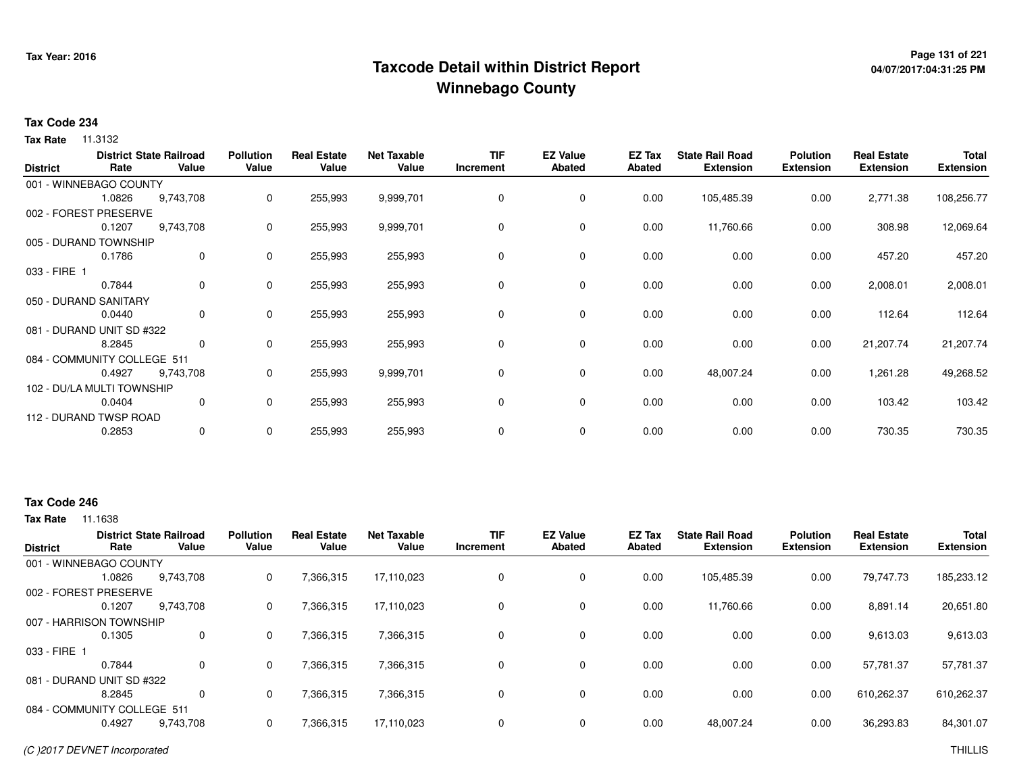# **Page 131 of 221 Taxcode Detail within District ReportWinnebago County**

# **04/07/2017:04:31:25 PM**

## **Tax Code 234**

**Tax Rate** 11.3132

| <b>District</b> | Rate                        | <b>District State Railroad</b><br>Value | <b>Pollution</b><br>Value | <b>Real Estate</b><br>Value | <b>Net Taxable</b><br>Value | <b>TIF</b><br>Increment | <b>EZ Value</b><br><b>Abated</b> | EZ Tax<br>Abated | <b>State Rail Road</b><br><b>Extension</b> | <b>Polution</b><br><b>Extension</b> | <b>Real Estate</b><br><b>Extension</b> | <b>Total</b><br><b>Extension</b> |
|-----------------|-----------------------------|-----------------------------------------|---------------------------|-----------------------------|-----------------------------|-------------------------|----------------------------------|------------------|--------------------------------------------|-------------------------------------|----------------------------------------|----------------------------------|
|                 | 001 - WINNEBAGO COUNTY      |                                         |                           |                             |                             |                         |                                  |                  |                                            |                                     |                                        |                                  |
|                 | 1.0826                      | 9,743,708                               | 0                         | 255,993                     | 9,999,701                   | 0                       | 0                                | 0.00             | 105,485.39                                 | 0.00                                | 2,771.38                               | 108,256.77                       |
|                 | 002 - FOREST PRESERVE       |                                         |                           |                             |                             |                         |                                  |                  |                                            |                                     |                                        |                                  |
|                 | 0.1207                      | 9,743,708                               | 0                         | 255,993                     | 9,999,701                   | 0                       | 0                                | 0.00             | 11,760.66                                  | 0.00                                | 308.98                                 | 12,069.64                        |
|                 | 005 - DURAND TOWNSHIP       |                                         |                           |                             |                             |                         |                                  |                  |                                            |                                     |                                        |                                  |
|                 | 0.1786                      | $\mathbf 0$                             | 0                         | 255,993                     | 255,993                     | 0                       | 0                                | 0.00             | 0.00                                       | 0.00                                | 457.20                                 | 457.20                           |
| 033 - FIRE 1    |                             |                                         |                           |                             |                             |                         |                                  |                  |                                            |                                     |                                        |                                  |
|                 | 0.7844                      | $\mathbf 0$                             | 0                         | 255,993                     | 255,993                     | 0                       | 0                                | 0.00             | 0.00                                       | 0.00                                | 2,008.01                               | 2,008.01                         |
|                 | 050 - DURAND SANITARY       |                                         |                           |                             |                             |                         |                                  |                  |                                            |                                     |                                        |                                  |
|                 | 0.0440                      | $\mathbf{0}$                            | 0                         | 255,993                     | 255,993                     | 0                       | 0                                | 0.00             | 0.00                                       | 0.00                                | 112.64                                 | 112.64                           |
|                 | 081 - DURAND UNIT SD #322   |                                         |                           |                             |                             |                         |                                  |                  |                                            |                                     |                                        |                                  |
|                 | 8.2845                      | 0                                       | 0                         | 255,993                     | 255,993                     | 0                       | 0                                | 0.00             | 0.00                                       | 0.00                                | 21,207.74                              | 21,207.74                        |
|                 | 084 - COMMUNITY COLLEGE 511 |                                         |                           |                             |                             |                         |                                  |                  |                                            |                                     |                                        |                                  |
|                 | 0.4927                      | 9,743,708                               | 0                         | 255,993                     | 9,999,701                   | 0                       | 0                                | 0.00             | 48,007.24                                  | 0.00                                | 1,261.28                               | 49,268.52                        |
|                 | 102 - DU/LA MULTI TOWNSHIP  |                                         |                           |                             |                             |                         |                                  |                  |                                            |                                     |                                        |                                  |
|                 | 0.0404                      | 0                                       | 0                         | 255,993                     | 255,993                     | 0                       | 0                                | 0.00             | 0.00                                       | 0.00                                | 103.42                                 | 103.42                           |
|                 | 112 - DURAND TWSP ROAD      |                                         |                           |                             |                             |                         |                                  |                  |                                            |                                     |                                        |                                  |
|                 | 0.2853                      | 0                                       | 0                         | 255,993                     | 255,993                     | 0                       | 0                                | 0.00             | 0.00                                       | 0.00                                | 730.35                                 | 730.35                           |

## **Tax Code 246**

| <b>District</b> | Rate                        | <b>District State Railroad</b><br>Value | <b>Pollution</b><br>Value | <b>Real Estate</b><br>Value | <b>Net Taxable</b><br>Value | <b>TIF</b><br>Increment | <b>EZ Value</b><br><b>Abated</b> | EZ Tax<br><b>Abated</b> | <b>State Rail Road</b><br><b>Extension</b> | <b>Polution</b><br><b>Extension</b> | <b>Real Estate</b><br><b>Extension</b> | <b>Total</b><br><b>Extension</b> |
|-----------------|-----------------------------|-----------------------------------------|---------------------------|-----------------------------|-----------------------------|-------------------------|----------------------------------|-------------------------|--------------------------------------------|-------------------------------------|----------------------------------------|----------------------------------|
|                 | 001 - WINNEBAGO COUNTY      |                                         |                           |                             |                             |                         |                                  |                         |                                            |                                     |                                        |                                  |
|                 | 1.0826                      | 9,743,708                               | 0                         | 7,366,315                   | 17,110,023                  | $\Omega$                | 0                                | 0.00                    | 105.485.39                                 | 0.00                                | 79,747.73                              | 185,233.12                       |
|                 | 002 - FOREST PRESERVE       |                                         |                           |                             |                             |                         |                                  |                         |                                            |                                     |                                        |                                  |
|                 | 0.1207                      | 9.743.708                               | 0                         | 7,366,315                   | 17.110.023                  |                         | $\mathbf 0$                      | 0.00                    | 11.760.66                                  | 0.00                                | 8,891.14                               | 20,651.80                        |
|                 | 007 - HARRISON TOWNSHIP     |                                         |                           |                             |                             |                         |                                  |                         |                                            |                                     |                                        |                                  |
|                 | 0.1305                      | $\mathbf{0}$                            | 0                         | 7,366,315                   | 7,366,315                   | 0                       | 0                                | 0.00                    | 0.00                                       | 0.00                                | 9,613.03                               | 9,613.03                         |
| 033 - FIRE 1    |                             |                                         |                           |                             |                             |                         |                                  |                         |                                            |                                     |                                        |                                  |
|                 | 0.7844                      | $\mathbf{0}$                            | 0                         | 7,366,315                   | 7,366,315                   |                         | 0                                | 0.00                    | 0.00                                       | 0.00                                | 57.781.37                              | 57,781.37                        |
|                 | 081 - DURAND UNIT SD #322   |                                         |                           |                             |                             |                         |                                  |                         |                                            |                                     |                                        |                                  |
|                 | 8.2845                      | $\Omega$                                | 0                         | 7,366,315                   | 7,366,315                   | $\Omega$                | 0                                | 0.00                    | 0.00                                       | 0.00                                | 610,262.37                             | 610,262.37                       |
|                 | 084 - COMMUNITY COLLEGE 511 |                                         |                           |                             |                             |                         |                                  |                         |                                            |                                     |                                        |                                  |
|                 | 0.4927                      | 9,743,708                               |                           | 7,366,315                   | 17,110,023                  |                         | $\mathbf 0$                      | 0.00                    | 48,007.24                                  | 0.00                                | 36,293.83                              | 84,301.07                        |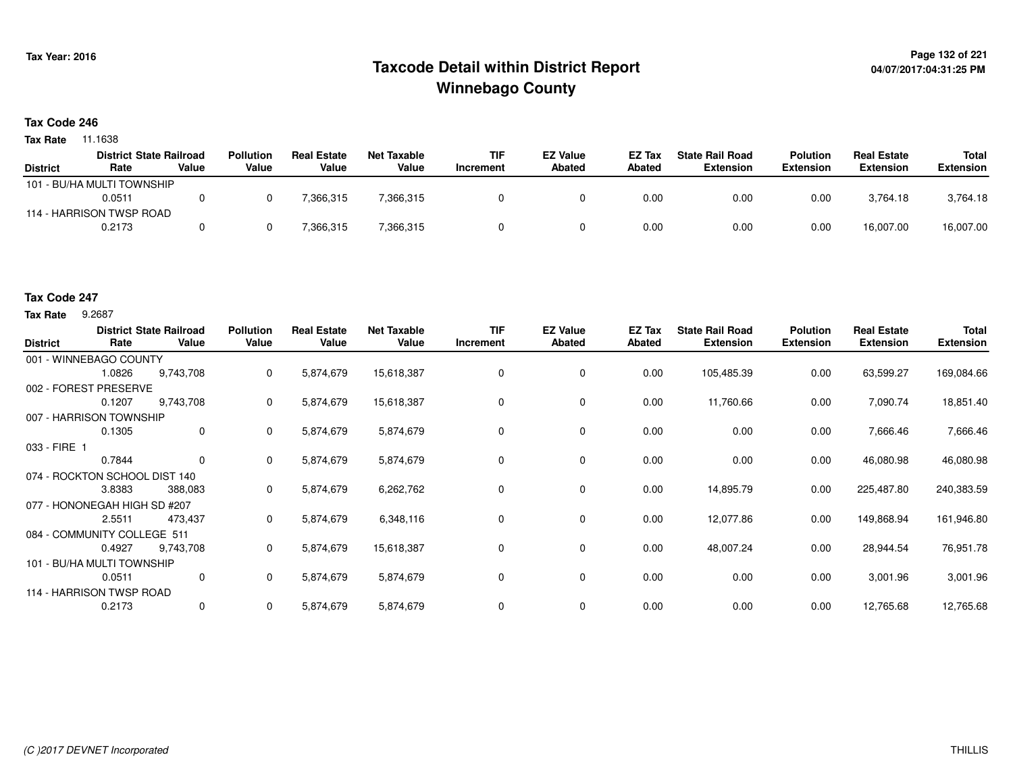# **Page 132 of 221 Taxcode Detail within District ReportWinnebago County**

### **Tax Code 246**

**Tax Rate** 11.1638

|                 | <b>District State Railroad</b> |       | <b>Pollution</b> | <b>Real Estate</b> | <b>Net Taxable</b> | <b>TIF</b> | <b>EZ Value</b> | EZ Tax | <b>State Rail Road</b> | <b>Polution</b>  | <b>Real Estate</b> | Total            |
|-----------------|--------------------------------|-------|------------------|--------------------|--------------------|------------|-----------------|--------|------------------------|------------------|--------------------|------------------|
| <b>District</b> | Rate                           | Value | Value            | Value              | Value              | Increment  | Abated          | Abated | Extension              | <b>Extension</b> | <b>Extension</b>   | <b>Extension</b> |
|                 | 101 - BU/HA MULTI TOWNSHIP     |       |                  |                    |                    |            |                 |        |                        |                  |                    |                  |
|                 | 0.0511                         |       |                  | 7,366,315          | 7,366,315          |            |                 | 0.00   | 0.00                   | 0.00             | 3.764.18           | 3,764.18         |
|                 | 114 - HARRISON TWSP ROAD       |       |                  |                    |                    |            |                 |        |                        |                  |                    |                  |
|                 | 0.2173                         |       |                  | 366,315            | 7,366,315          |            |                 | 0.00   | 0.00                   | 0.00             | 16,007.00          | 16,007.00        |

## **Tax Code 247**

**Tax Rate** 9.2687

| <b>District</b>               | Rate   | <b>District State Railroad</b><br>Value | <b>Pollution</b><br>Value | <b>Real Estate</b><br>Value | <b>Net Taxable</b><br>Value | TIF<br>Increment | <b>EZ Value</b><br><b>Abated</b> | EZ Tax<br>Abated | <b>State Rail Road</b><br><b>Extension</b> | <b>Polution</b><br><b>Extension</b> | <b>Real Estate</b><br><b>Extension</b> | <b>Total</b><br><b>Extension</b> |
|-------------------------------|--------|-----------------------------------------|---------------------------|-----------------------------|-----------------------------|------------------|----------------------------------|------------------|--------------------------------------------|-------------------------------------|----------------------------------------|----------------------------------|
| 001 - WINNEBAGO COUNTY        |        |                                         |                           |                             |                             |                  |                                  |                  |                                            |                                     |                                        |                                  |
|                               | 1.0826 | 9,743,708                               | 0                         | 5,874,679                   | 15,618,387                  | 0                | 0                                | 0.00             | 105,485.39                                 | 0.00                                | 63,599.27                              | 169,084.66                       |
| 002 - FOREST PRESERVE         |        |                                         |                           |                             |                             |                  |                                  |                  |                                            |                                     |                                        |                                  |
|                               | 0.1207 | 9,743,708                               | 0                         | 5,874,679                   | 15,618,387                  | $\Omega$         | 0                                | 0.00             | 11,760.66                                  | 0.00                                | 7,090.74                               | 18,851.40                        |
| 007 - HARRISON TOWNSHIP       |        |                                         |                           |                             |                             |                  |                                  |                  |                                            |                                     |                                        |                                  |
|                               | 0.1305 | 0                                       | 0                         | 5,874,679                   | 5,874,679                   | 0                | 0                                | 0.00             | 0.00                                       | 0.00                                | 7,666.46                               | 7,666.46                         |
| $033 - FIRE$                  |        |                                         |                           |                             |                             |                  |                                  |                  |                                            |                                     |                                        |                                  |
|                               | 0.7844 | $\mathbf 0$                             | 0                         | 5,874,679                   | 5,874,679                   | $\Omega$         | $\mathbf 0$                      | 0.00             | 0.00                                       | 0.00                                | 46,080.98                              | 46,080.98                        |
| 074 - ROCKTON SCHOOL DIST 140 |        |                                         |                           |                             |                             |                  |                                  |                  |                                            |                                     |                                        |                                  |
|                               | 3.8383 | 388,083                                 | 0                         | 5,874,679                   | 6,262,762                   | 0                | 0                                | 0.00             | 14,895.79                                  | 0.00                                | 225,487.80                             | 240,383.59                       |
| 077 - HONONEGAH HIGH SD #207  |        |                                         |                           |                             |                             |                  |                                  |                  |                                            |                                     |                                        |                                  |
|                               | 2.5511 | 473,437                                 | 0                         | 5,874,679                   | 6,348,116                   | $\Omega$         | 0                                | 0.00             | 12,077.86                                  | 0.00                                | 149,868.94                             | 161,946.80                       |
| 084 - COMMUNITY COLLEGE 511   |        |                                         |                           |                             |                             |                  |                                  |                  |                                            |                                     |                                        |                                  |
|                               | 0.4927 | 9,743,708                               | 0                         | 5,874,679                   | 15,618,387                  | 0                | 0                                | 0.00             | 48,007.24                                  | 0.00                                | 28,944.54                              | 76,951.78                        |
| 101 - BU/HA MULTI TOWNSHIP    |        |                                         |                           |                             |                             |                  |                                  |                  |                                            |                                     |                                        |                                  |
|                               | 0.0511 | 0                                       | 0                         | 5,874,679                   | 5,874,679                   | 0                | 0                                | 0.00             | 0.00                                       | 0.00                                | 3,001.96                               | 3,001.96                         |
| 114 - HARRISON TWSP ROAD      |        |                                         |                           |                             |                             |                  |                                  |                  |                                            |                                     |                                        |                                  |
|                               | 0.2173 | 0                                       | 0                         | 5,874,679                   | 5,874,679                   | 0                | 0                                | 0.00             | 0.00                                       | 0.00                                | 12,765.68                              | 12,765.68                        |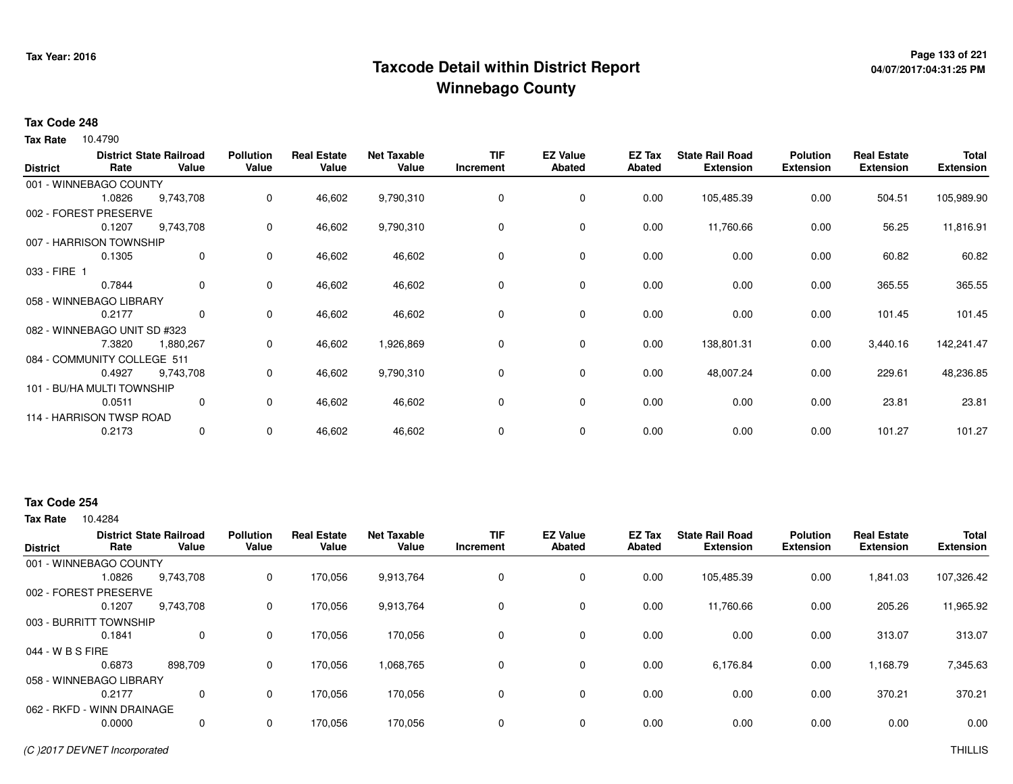# **Page 133 of 221 Taxcode Detail within District ReportWinnebago County**

# **04/07/2017:04:31:25 PM**

### **Tax Code 248**

**Tax Rate** 10.4790

| <b>District</b> | Rate                         | <b>District State Railroad</b><br>Value | <b>Pollution</b><br>Value | <b>Real Estate</b><br>Value | <b>Net Taxable</b><br>Value | <b>TIF</b><br>Increment | <b>EZ Value</b><br><b>Abated</b> | EZ Tax<br><b>Abated</b> | <b>State Rail Road</b><br><b>Extension</b> | <b>Polution</b><br><b>Extension</b> | <b>Real Estate</b><br><b>Extension</b> | <b>Total</b><br><b>Extension</b> |
|-----------------|------------------------------|-----------------------------------------|---------------------------|-----------------------------|-----------------------------|-------------------------|----------------------------------|-------------------------|--------------------------------------------|-------------------------------------|----------------------------------------|----------------------------------|
|                 | 001 - WINNEBAGO COUNTY       |                                         |                           |                             |                             |                         |                                  |                         |                                            |                                     |                                        |                                  |
|                 | 1.0826                       | 9,743,708                               | 0                         | 46,602                      | 9,790,310                   | 0                       | 0                                | 0.00                    | 105,485.39                                 | 0.00                                | 504.51                                 | 105,989.90                       |
|                 | 002 - FOREST PRESERVE        |                                         |                           |                             |                             |                         |                                  |                         |                                            |                                     |                                        |                                  |
|                 | 0.1207                       | 9,743,708                               | 0                         | 46,602                      | 9,790,310                   | 0                       | 0                                | 0.00                    | 11,760.66                                  | 0.00                                | 56.25                                  | 11,816.91                        |
|                 | 007 - HARRISON TOWNSHIP      |                                         |                           |                             |                             |                         |                                  |                         |                                            |                                     |                                        |                                  |
|                 | 0.1305                       | $\mathbf 0$                             | 0                         | 46,602                      | 46,602                      | 0                       | 0                                | 0.00                    | 0.00                                       | 0.00                                | 60.82                                  | 60.82                            |
| 033 - FIRE 1    |                              |                                         |                           |                             |                             |                         |                                  |                         |                                            |                                     |                                        |                                  |
|                 | 0.7844                       | 0                                       | 0                         | 46,602                      | 46,602                      | 0                       | 0                                | 0.00                    | 0.00                                       | 0.00                                | 365.55                                 | 365.55                           |
|                 | 058 - WINNEBAGO LIBRARY      |                                         |                           |                             |                             |                         |                                  |                         |                                            |                                     |                                        |                                  |
|                 | 0.2177                       | $\mathbf{0}$                            | 0                         | 46,602                      | 46,602                      | 0                       | 0                                | 0.00                    | 0.00                                       | 0.00                                | 101.45                                 | 101.45                           |
|                 | 082 - WINNEBAGO UNIT SD #323 |                                         |                           |                             |                             |                         |                                  |                         |                                            |                                     |                                        |                                  |
|                 | 7.3820                       | 1,880,267                               | 0                         | 46,602                      | 1,926,869                   | 0                       | 0                                | 0.00                    | 138,801.31                                 | 0.00                                | 3,440.16                               | 142,241.47                       |
|                 | 084 - COMMUNITY COLLEGE 511  |                                         |                           |                             |                             |                         |                                  |                         |                                            |                                     |                                        |                                  |
|                 | 0.4927                       | 9,743,708                               | 0                         | 46,602                      | 9,790,310                   | 0                       | 0                                | 0.00                    | 48,007.24                                  | 0.00                                | 229.61                                 | 48,236.85                        |
|                 | 101 - BU/HA MULTI TOWNSHIP   |                                         |                           |                             |                             |                         |                                  |                         |                                            |                                     |                                        |                                  |
|                 | 0.0511                       | 0                                       | 0                         | 46,602                      | 46,602                      | 0                       | $\mathbf 0$                      | 0.00                    | 0.00                                       | 0.00                                | 23.81                                  | 23.81                            |
|                 | 114 - HARRISON TWSP ROAD     |                                         |                           |                             |                             |                         |                                  |                         |                                            |                                     |                                        |                                  |
|                 | 0.2173                       | 0                                       | 0                         | 46,602                      | 46,602                      | 0                       | 0                                | 0.00                    | 0.00                                       | 0.00                                | 101.27                                 | 101.27                           |
|                 |                              |                                         |                           |                             |                             |                         |                                  |                         |                                            |                                     |                                        |                                  |

# **Tax Code 254**

| <b>District</b>            | Rate   | <b>District State Railroad</b><br>Value | <b>Pollution</b><br>Value | <b>Real Estate</b><br>Value | <b>Net Taxable</b><br>Value | TIF<br>Increment | <b>EZ Value</b><br><b>Abated</b> | EZ Tax<br><b>Abated</b> | <b>State Rail Road</b><br><b>Extension</b> | <b>Polution</b><br><b>Extension</b> | <b>Real Estate</b><br><b>Extension</b> | <b>Total</b><br><b>Extension</b> |
|----------------------------|--------|-----------------------------------------|---------------------------|-----------------------------|-----------------------------|------------------|----------------------------------|-------------------------|--------------------------------------------|-------------------------------------|----------------------------------------|----------------------------------|
| 001 - WINNEBAGO COUNTY     |        |                                         |                           |                             |                             |                  |                                  |                         |                                            |                                     |                                        |                                  |
|                            | 1.0826 | 9,743,708                               | 0                         | 170,056                     | 9,913,764                   |                  | $\mathbf 0$                      | 0.00                    | 105,485.39                                 | 0.00                                | 1,841.03                               | 107,326.42                       |
| 002 - FOREST PRESERVE      |        |                                         |                           |                             |                             |                  |                                  |                         |                                            |                                     |                                        |                                  |
|                            | 0.1207 | 9,743,708                               | 0                         | 170,056                     | 9,913,764                   |                  | 0                                | 0.00                    | 11,760.66                                  | 0.00                                | 205.26                                 | 11,965.92                        |
| 003 - BURRITT TOWNSHIP     |        |                                         |                           |                             |                             |                  |                                  |                         |                                            |                                     |                                        |                                  |
|                            | 0.1841 | $\mathbf 0$                             | 0                         | 170,056                     | 170,056                     |                  | $\mathbf 0$                      | 0.00                    | 0.00                                       | 0.00                                | 313.07                                 | 313.07                           |
| 044 - W B S FIRE           |        |                                         |                           |                             |                             |                  |                                  |                         |                                            |                                     |                                        |                                  |
|                            | 0.6873 | 898.709                                 | 0                         | 170,056                     | 1,068,765                   |                  | 0                                | 0.00                    | 6,176.84                                   | 0.00                                | 1,168.79                               | 7,345.63                         |
| 058 - WINNEBAGO LIBRARY    |        |                                         |                           |                             |                             |                  |                                  |                         |                                            |                                     |                                        |                                  |
|                            | 0.2177 | 0                                       | 0                         | 170.056                     | 170,056                     |                  | $\mathbf 0$                      | 0.00                    | 0.00                                       | 0.00                                | 370.21                                 | 370.21                           |
| 062 - RKFD - WINN DRAINAGE |        |                                         |                           |                             |                             |                  |                                  |                         |                                            |                                     |                                        |                                  |
|                            | 0.0000 | 0                                       | 0                         | 170.056                     | 170,056                     |                  | $\mathbf 0$                      | 0.00                    | 0.00                                       | 0.00                                | 0.00                                   | 0.00                             |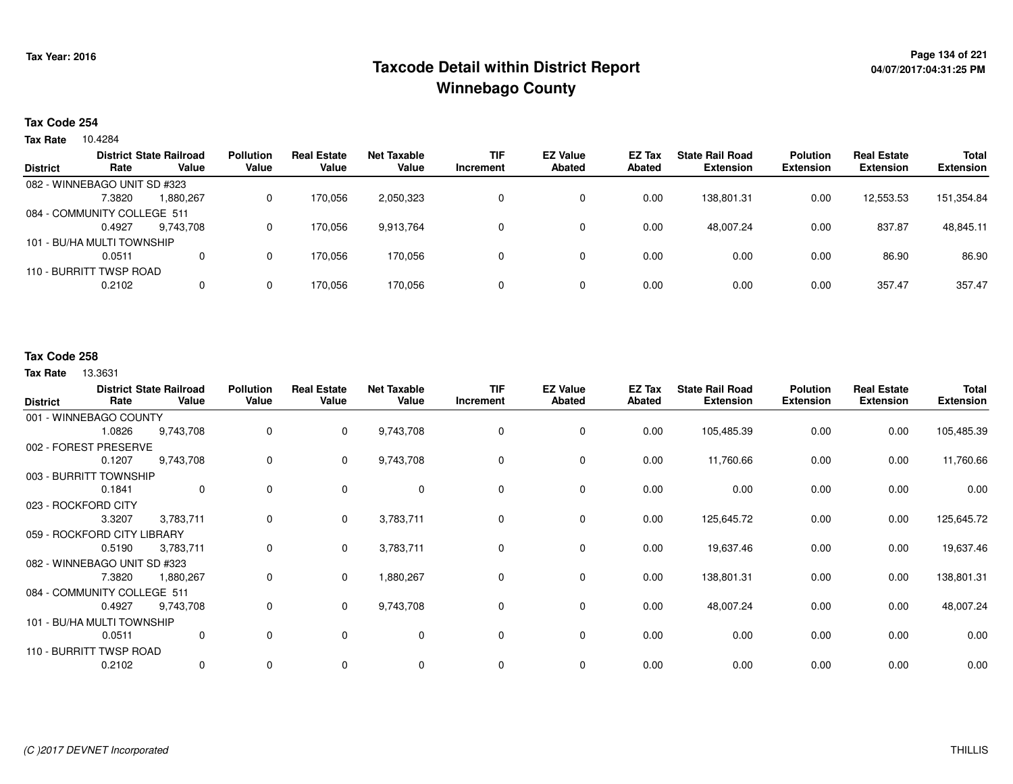# **Page 134 of 221 Taxcode Detail within District ReportWinnebago County**

## **Tax Code 254**

10.4284 **Tax Rate**

|                 |                              | <b>District State Railroad</b> | <b>Pollution</b> | <b>Real Estate</b> | <b>Net Taxable</b> | TIF       | <b>EZ Value</b> | <b>EZ Tax</b> | <b>State Rail Road</b> | <b>Polution</b>  | <b>Real Estate</b> | <b>Total</b>     |
|-----------------|------------------------------|--------------------------------|------------------|--------------------|--------------------|-----------|-----------------|---------------|------------------------|------------------|--------------------|------------------|
| <b>District</b> | Rate                         | Value                          | Value            | Value              | Value              | Increment | <b>Abated</b>   | Abated        | <b>Extension</b>       | <b>Extension</b> | <b>Extension</b>   | <b>Extension</b> |
|                 | 082 - WINNEBAGO UNIT SD #323 |                                |                  |                    |                    |           |                 |               |                        |                  |                    |                  |
|                 | 7.3820                       | 1,880,267                      | 0                | 170.056            | 2,050,323          |           | 0               | 0.00          | 138.801.31             | 0.00             | 12,553.53          | 151,354.84       |
|                 | 084 - COMMUNITY COLLEGE 511  |                                |                  |                    |                    |           |                 |               |                        |                  |                    |                  |
|                 | 0.4927                       | 9.743.708                      | 0                | 170.056            | 9.913.764          |           | 0               | 0.00          | 48.007.24              | 0.00             | 837.87             | 48,845.11        |
|                 | 101 - BU/HA MULTI TOWNSHIP   |                                |                  |                    |                    |           |                 |               |                        |                  |                    |                  |
|                 | 0.0511                       | 0                              | 0                | 170,056            | 170,056            |           | 0               | 0.00          | 0.00                   | 0.00             | 86.90              | 86.90            |
|                 | 110 - BURRITT TWSP ROAD      |                                |                  |                    |                    |           |                 |               |                        |                  |                    |                  |
|                 | 0.2102                       | 0                              | 0                | 170.056            | 170,056            |           | 0               | 0.00          | 0.00                   | 0.00             | 357.47             | 357.47           |
|                 |                              |                                |                  |                    |                    |           |                 |               |                        |                  |                    |                  |

## **Tax Code 258**

| <b>District</b>             | Rate                         | <b>District State Railroad</b><br>Value | <b>Pollution</b><br>Value | <b>Real Estate</b><br>Value | <b>Net Taxable</b><br>Value | <b>TIF</b><br>Increment | <b>EZ Value</b><br><b>Abated</b> | EZ Tax<br><b>Abated</b> | <b>State Rail Road</b><br><b>Extension</b> | <b>Polution</b><br><b>Extension</b> | <b>Real Estate</b><br><b>Extension</b> | <b>Total</b><br><b>Extension</b> |
|-----------------------------|------------------------------|-----------------------------------------|---------------------------|-----------------------------|-----------------------------|-------------------------|----------------------------------|-------------------------|--------------------------------------------|-------------------------------------|----------------------------------------|----------------------------------|
|                             | 001 - WINNEBAGO COUNTY       |                                         |                           |                             |                             |                         |                                  |                         |                                            |                                     |                                        |                                  |
|                             | 1.0826                       | 9,743,708                               | 0                         | $\mathbf{0}$                | 9,743,708                   | 0                       | $\mathbf 0$                      | 0.00                    | 105,485.39                                 | 0.00                                | 0.00                                   | 105,485.39                       |
|                             | 002 - FOREST PRESERVE        |                                         |                           |                             |                             |                         |                                  |                         |                                            |                                     |                                        |                                  |
|                             | 0.1207                       | 9,743,708                               | 0                         | $\mathbf{0}$                | 9,743,708                   | 0                       | 0                                | 0.00                    | 11,760.66                                  | 0.00                                | 0.00                                   | 11,760.66                        |
|                             | 003 - BURRITT TOWNSHIP       |                                         |                           |                             |                             |                         |                                  |                         |                                            |                                     |                                        |                                  |
|                             | 0.1841                       | $\mathbf{0}$                            | 0                         | 0                           | $\mathbf 0$                 | 0                       | 0                                | 0.00                    | 0.00                                       | 0.00                                | 0.00                                   | 0.00                             |
| 023 - ROCKFORD CITY         |                              |                                         |                           |                             |                             |                         |                                  |                         |                                            |                                     |                                        |                                  |
|                             | 3.3207                       | 3,783,711                               | 0                         | $\mathbf{0}$                | 3,783,711                   | 0                       | $\mathbf 0$                      | 0.00                    | 125,645.72                                 | 0.00                                | 0.00                                   | 125,645.72                       |
| 059 - ROCKFORD CITY LIBRARY |                              |                                         |                           |                             |                             |                         |                                  |                         |                                            |                                     |                                        |                                  |
|                             | 0.5190                       | 3,783,711                               | 0                         | $\mathbf 0$                 | 3,783,711                   | 0                       | 0                                | 0.00                    | 19,637.46                                  | 0.00                                | 0.00                                   | 19,637.46                        |
|                             | 082 - WINNEBAGO UNIT SD #323 |                                         |                           |                             |                             |                         |                                  |                         |                                            |                                     |                                        |                                  |
|                             | 7.3820                       | 1,880,267                               | 0                         | $\mathbf 0$                 | 1,880,267                   | 0                       | 0                                | 0.00                    | 138,801.31                                 | 0.00                                | 0.00                                   | 138,801.31                       |
|                             | 084 - COMMUNITY COLLEGE 511  |                                         |                           |                             |                             |                         |                                  |                         |                                            |                                     |                                        |                                  |
|                             | 0.4927                       | 9,743,708                               | 0                         | $\overline{0}$              | 9,743,708                   | 0                       | 0                                | 0.00                    | 48,007.24                                  | 0.00                                | 0.00                                   | 48,007.24                        |
|                             | 101 - BU/HA MULTI TOWNSHIP   |                                         |                           |                             |                             |                         |                                  |                         |                                            |                                     |                                        |                                  |
|                             | 0.0511                       | 0                                       | 0                         | $\mathbf 0$                 | $\mathbf 0$                 | $\Omega$                | $\mathbf 0$                      | 0.00                    | 0.00                                       | 0.00                                | 0.00                                   | 0.00                             |
| 110 - BURRITT TWSP ROAD     |                              |                                         |                           |                             |                             |                         |                                  |                         |                                            |                                     |                                        |                                  |
|                             | 0.2102                       | 0                                       | 0                         | 0                           | $\mathbf 0$                 | 0                       | $\mathbf 0$                      | 0.00                    | 0.00                                       | 0.00                                | 0.00                                   | 0.00                             |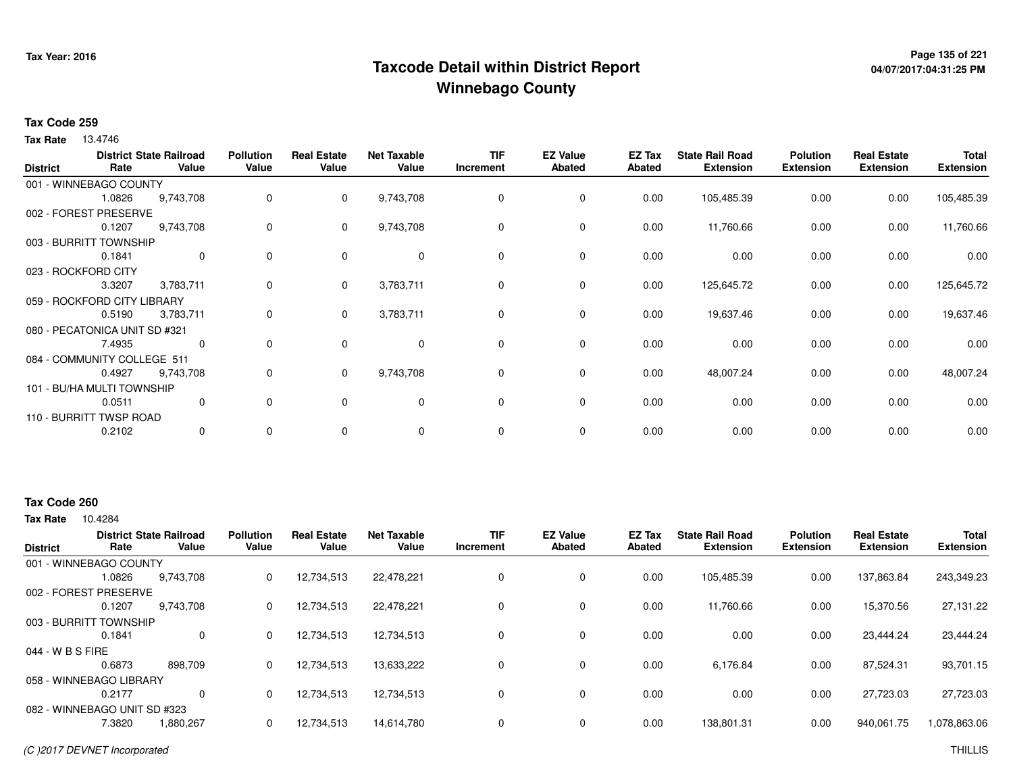# **Page 135 of 221 Taxcode Detail within District ReportWinnebago County**

# **04/07/2017:04:31:25 PM**

### **Tax Code 259**

**Tax Rate** 13.4746

| <b>District</b> | Rate                          | <b>District State Railroad</b><br>Value | <b>Pollution</b><br>Value | <b>Real Estate</b><br>Value | <b>Net Taxable</b><br>Value | <b>TIF</b><br>Increment | <b>EZ Value</b><br><b>Abated</b> | EZ Tax<br><b>Abated</b> | <b>State Rail Road</b><br><b>Extension</b> | <b>Polution</b><br><b>Extension</b> | <b>Real Estate</b><br><b>Extension</b> | <b>Total</b><br><b>Extension</b> |
|-----------------|-------------------------------|-----------------------------------------|---------------------------|-----------------------------|-----------------------------|-------------------------|----------------------------------|-------------------------|--------------------------------------------|-------------------------------------|----------------------------------------|----------------------------------|
|                 | 001 - WINNEBAGO COUNTY        |                                         |                           |                             |                             |                         |                                  |                         |                                            |                                     |                                        |                                  |
|                 | 1.0826                        | 9,743,708                               | 0                         | 0                           | 9,743,708                   | 0                       | 0                                | 0.00                    | 105,485.39                                 | 0.00                                | 0.00                                   | 105,485.39                       |
|                 | 002 - FOREST PRESERVE         |                                         |                           |                             |                             |                         |                                  |                         |                                            |                                     |                                        |                                  |
|                 | 0.1207                        | 9,743,708                               | 0                         | 0                           | 9,743,708                   | 0                       | 0                                | 0.00                    | 11,760.66                                  | 0.00                                | 0.00                                   | 11,760.66                        |
|                 | 003 - BURRITT TOWNSHIP        |                                         |                           |                             |                             |                         |                                  |                         |                                            |                                     |                                        |                                  |
|                 | 0.1841                        | $\mathbf{0}$                            | $\Omega$                  | $\Omega$                    | $\mathbf 0$                 | $\mathbf 0$             | $\mathbf 0$                      | 0.00                    | 0.00                                       | 0.00                                | 0.00                                   | 0.00                             |
|                 | 023 - ROCKFORD CITY           |                                         |                           |                             |                             |                         |                                  |                         |                                            |                                     |                                        |                                  |
|                 | 3.3207                        | 3,783,711                               | 0                         | 0                           | 3,783,711                   | 0                       | 0                                | 0.00                    | 125,645.72                                 | 0.00                                | 0.00                                   | 125,645.72                       |
|                 | 059 - ROCKFORD CITY LIBRARY   |                                         |                           |                             |                             |                         |                                  |                         |                                            |                                     |                                        |                                  |
|                 | 0.5190                        | 3,783,711                               | 0                         | $\mathbf{0}$                | 3,783,711                   | 0                       | 0                                | 0.00                    | 19,637.46                                  | 0.00                                | 0.00                                   | 19,637.46                        |
|                 | 080 - PECATONICA UNIT SD #321 |                                         |                           |                             |                             |                         |                                  |                         |                                            |                                     |                                        |                                  |
|                 | 7.4935                        | 0                                       | 0                         | 0                           | 0                           | 0                       | 0                                | 0.00                    | 0.00                                       | 0.00                                | 0.00                                   | 0.00                             |
|                 | 084 - COMMUNITY COLLEGE 511   |                                         |                           |                             |                             |                         |                                  |                         |                                            |                                     |                                        |                                  |
|                 | 0.4927                        | 9,743,708                               | 0                         | $\mathbf{0}$                | 9,743,708                   | 0                       | $\mathbf 0$                      | 0.00                    | 48,007.24                                  | 0.00                                | 0.00                                   | 48,007.24                        |
|                 | 101 - BU/HA MULTI TOWNSHIP    |                                         |                           |                             |                             |                         |                                  |                         |                                            |                                     |                                        |                                  |
|                 | 0.0511                        | 0                                       | 0                         | 0                           | $\mathbf 0$                 | 0                       | 0                                | 0.00                    | 0.00                                       | 0.00                                | 0.00                                   | 0.00                             |
|                 | 110 - BURRITT TWSP ROAD       |                                         |                           |                             |                             |                         |                                  |                         |                                            |                                     |                                        |                                  |
|                 | 0.2102                        | $\mathbf{0}$                            | 0                         | 0                           | 0                           | $\mathbf 0$             | 0                                | 0.00                    | 0.00                                       | 0.00                                | 0.00                                   | 0.00                             |

# **Tax Code 260**

| <b>District</b>  | Rate                         | <b>District State Railroad</b><br>Value | <b>Pollution</b><br>Value | <b>Real Estate</b><br>Value | <b>Net Taxable</b><br>Value | TIF<br>Increment | <b>EZ Value</b><br><b>Abated</b> | <b>EZ Tax</b><br><b>Abated</b> | <b>State Rail Road</b><br><b>Extension</b> | <b>Polution</b><br><b>Extension</b> | <b>Real Estate</b><br><b>Extension</b> | <b>Total</b><br><b>Extension</b> |
|------------------|------------------------------|-----------------------------------------|---------------------------|-----------------------------|-----------------------------|------------------|----------------------------------|--------------------------------|--------------------------------------------|-------------------------------------|----------------------------------------|----------------------------------|
|                  |                              |                                         |                           |                             |                             |                  |                                  |                                |                                            |                                     |                                        |                                  |
|                  | 001 - WINNEBAGO COUNTY       |                                         |                           |                             |                             |                  |                                  |                                |                                            |                                     |                                        |                                  |
|                  | 1.0826                       | 9,743,708                               | 0                         | 12,734,513                  | 22,478,221                  |                  | 0                                | 0.00                           | 105,485.39                                 | 0.00                                | 137,863.84                             | 243,349.23                       |
|                  | 002 - FOREST PRESERVE        |                                         |                           |                             |                             |                  |                                  |                                |                                            |                                     |                                        |                                  |
|                  | 0.1207                       | 9.743.708                               | 0                         | 12,734,513                  | 22,478,221                  |                  | 0                                | 0.00                           | 11.760.66                                  | 0.00                                | 15.370.56                              | 27,131.22                        |
|                  | 003 - BURRITT TOWNSHIP       |                                         |                           |                             |                             |                  |                                  |                                |                                            |                                     |                                        |                                  |
|                  | 0.1841                       | 0                                       | $\Omega$                  | 12,734,513                  | 12,734,513                  |                  | 0                                | 0.00                           | 0.00                                       | 0.00                                | 23.444.24                              | 23,444.24                        |
| 044 - W B S FIRE |                              |                                         |                           |                             |                             |                  |                                  |                                |                                            |                                     |                                        |                                  |
|                  | 0.6873                       | 898,709                                 | 0                         | 12,734,513                  | 13,633,222                  |                  | 0                                | 0.00                           | 6,176.84                                   | 0.00                                | 87,524.31                              | 93,701.15                        |
|                  | 058 - WINNEBAGO LIBRARY      |                                         |                           |                             |                             |                  |                                  |                                |                                            |                                     |                                        |                                  |
|                  | 0.2177                       | $\Omega$                                | $\Omega$                  | 12,734,513                  | 12,734,513                  |                  | 0                                | 0.00                           | 0.00                                       | 0.00                                | 27,723.03                              | 27,723.03                        |
|                  | 082 - WINNEBAGO UNIT SD #323 |                                         |                           |                             |                             |                  |                                  |                                |                                            |                                     |                                        |                                  |
|                  | 7.3820                       | 1,880,267                               | 0                         | 12,734,513                  | 14,614,780                  |                  | 0                                | 0.00                           | 138,801.31                                 | 0.00                                | 940,061.75                             | 1,078,863.06                     |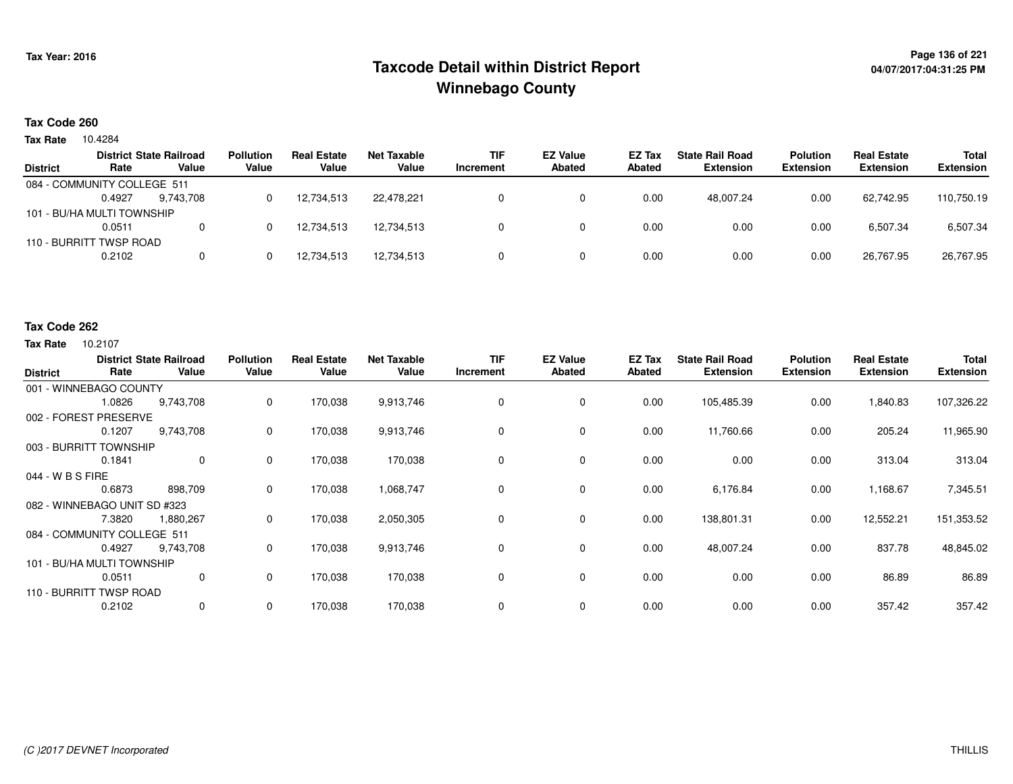# **Page 136 of 221 Taxcode Detail within District ReportWinnebago County**

## **Tax Code 260**

10.4284 **Tax Rate**

|                 |                             | <b>District State Railroad</b> | <b>Pollution</b> | <b>Real Estate</b> | Net Taxable | <b>TIF</b> | <b>EZ Value</b> | EZ Tax | <b>State Rail Road</b> | <b>Polution</b>  | <b>Real Estate</b> | <b>Total</b>     |
|-----------------|-----------------------------|--------------------------------|------------------|--------------------|-------------|------------|-----------------|--------|------------------------|------------------|--------------------|------------------|
| <b>District</b> | Rate                        | Value                          | Value            | Value              | Value       | Increment  | <b>Abated</b>   | Abated | <b>Extension</b>       | <b>Extension</b> | <b>Extension</b>   | <b>Extension</b> |
|                 | 084 - COMMUNITY COLLEGE 511 |                                |                  |                    |             |            |                 |        |                        |                  |                    |                  |
|                 | 0.4927                      | 9.743.708                      |                  | 12,734,513         | 22.478.221  |            |                 | 0.00   | 48.007.24              | 0.00             | 62.742.95          | 110,750.19       |
|                 | 101 - BU/HA MULTI TOWNSHIP  |                                |                  |                    |             |            |                 |        |                        |                  |                    |                  |
|                 | 0.0511                      |                                |                  | 12.734.513         | 12.734.513  |            |                 | 0.00   | 0.00                   | 0.00             | 6.507.34           | 6,507.34         |
|                 | 110 - BURRITT TWSP ROAD     |                                |                  |                    |             |            |                 |        |                        |                  |                    |                  |
|                 | 0.2102                      |                                |                  | 12,734,513         | 12,734,513  |            |                 | 0.00   | 0.00                   | 0.00             | 26,767.95          | 26,767.95        |
|                 |                             |                                |                  |                    |             |            |                 |        |                        |                  |                    |                  |

#### **Tax Code 262**

| <b>District</b>              | Rate                       | <b>District State Railroad</b><br>Value | <b>Pollution</b><br>Value | <b>Real Estate</b><br>Value | <b>Net Taxable</b><br>Value | <b>TIF</b><br>Increment | <b>EZ Value</b><br><b>Abated</b> | EZ Tax<br>Abated | <b>State Rail Road</b><br><b>Extension</b> | <b>Polution</b><br><b>Extension</b> | <b>Real Estate</b><br><b>Extension</b> | Total<br><b>Extension</b> |
|------------------------------|----------------------------|-----------------------------------------|---------------------------|-----------------------------|-----------------------------|-------------------------|----------------------------------|------------------|--------------------------------------------|-------------------------------------|----------------------------------------|---------------------------|
| 001 - WINNEBAGO COUNTY       |                            |                                         |                           |                             |                             |                         |                                  |                  |                                            |                                     |                                        |                           |
|                              | 1.0826                     | 9,743,708                               | 0                         | 170,038                     | 9,913,746                   |                         | 0                                | 0.00             | 105,485.39                                 | 0.00                                | 1,840.83                               | 107,326.22                |
| 002 - FOREST PRESERVE        |                            |                                         |                           |                             |                             |                         |                                  |                  |                                            |                                     |                                        |                           |
|                              | 0.1207                     | 9,743,708                               | 0                         | 170,038                     | 9,913,746                   | 0                       | 0                                | 0.00             | 11,760.66                                  | 0.00                                | 205.24                                 | 11,965.90                 |
| 003 - BURRITT TOWNSHIP       |                            |                                         |                           |                             |                             |                         |                                  |                  |                                            |                                     |                                        |                           |
|                              | 0.1841                     | 0                                       | 0                         | 170,038                     | 170,038                     | $\Omega$                | 0                                | 0.00             | 0.00                                       | 0.00                                | 313.04                                 | 313.04                    |
| 044 - W B S FIRE             |                            |                                         |                           |                             |                             |                         |                                  |                  |                                            |                                     |                                        |                           |
|                              | 0.6873                     | 898,709                                 | 0                         | 170,038                     | 1,068,747                   |                         | $\mathbf 0$                      | 0.00             | 6,176.84                                   | 0.00                                | 1,168.67                               | 7,345.51                  |
| 082 - WINNEBAGO UNIT SD #323 |                            |                                         |                           |                             |                             |                         |                                  |                  |                                            |                                     |                                        |                           |
|                              | 7.3820                     | 1,880,267                               | 0                         | 170,038                     | 2,050,305                   |                         | 0                                | 0.00             | 138,801.31                                 | 0.00                                | 12,552.21                              | 151,353.52                |
| 084 - COMMUNITY COLLEGE 511  |                            |                                         |                           |                             |                             |                         |                                  |                  |                                            |                                     |                                        |                           |
|                              | 0.4927                     | 9,743,708                               | 0                         | 170,038                     | 9,913,746                   |                         | 0                                | 0.00             | 48,007.24                                  | 0.00                                | 837.78                                 | 48,845.02                 |
|                              | 101 - BU/HA MULTI TOWNSHIP |                                         |                           |                             |                             |                         |                                  |                  |                                            |                                     |                                        |                           |
|                              | 0.0511                     | 0                                       | 0                         | 170,038                     | 170,038                     | 0                       | 0                                | 0.00             | 0.00                                       | 0.00                                | 86.89                                  | 86.89                     |
| 110 - BURRITT TWSP ROAD      |                            |                                         |                           |                             |                             |                         |                                  |                  |                                            |                                     |                                        |                           |
|                              | 0.2102                     | 0                                       | 0                         | 170,038                     | 170,038                     | 0                       | 0                                | 0.00             | 0.00                                       | 0.00                                | 357.42                                 | 357.42                    |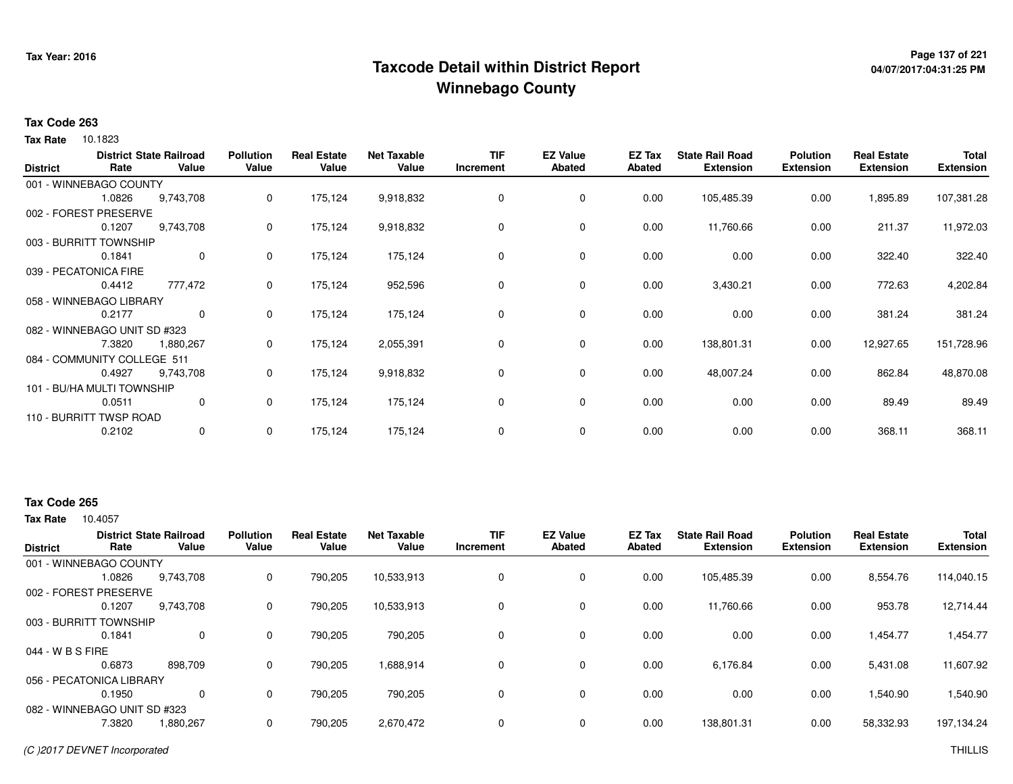# **Page 137 of 221 Taxcode Detail within District ReportWinnebago County**

# **04/07/2017:04:31:25 PM**

## **Tax Code 263**

**Tax Rate** 10.1823

| <b>District</b>       | Rate                         | <b>District State Railroad</b><br>Value | <b>Pollution</b><br>Value | <b>Real Estate</b><br>Value | <b>Net Taxable</b><br>Value | <b>TIF</b><br>Increment | <b>EZ Value</b><br><b>Abated</b> | EZ Tax<br><b>Abated</b> | <b>State Rail Road</b><br><b>Extension</b> | <b>Polution</b><br><b>Extension</b> | <b>Real Estate</b><br><b>Extension</b> | <b>Total</b><br><b>Extension</b> |
|-----------------------|------------------------------|-----------------------------------------|---------------------------|-----------------------------|-----------------------------|-------------------------|----------------------------------|-------------------------|--------------------------------------------|-------------------------------------|----------------------------------------|----------------------------------|
|                       | 001 - WINNEBAGO COUNTY       |                                         |                           |                             |                             |                         |                                  |                         |                                            |                                     |                                        |                                  |
|                       | 1.0826                       | 9,743,708                               | 0                         | 175,124                     | 9,918,832                   | 0                       | 0                                | 0.00                    | 105,485.39                                 | 0.00                                | 1,895.89                               | 107,381.28                       |
|                       | 002 - FOREST PRESERVE        |                                         |                           |                             |                             |                         |                                  |                         |                                            |                                     |                                        |                                  |
|                       | 0.1207                       | 9,743,708                               | 0                         | 175,124                     | 9,918,832                   | 0                       | 0                                | 0.00                    | 11,760.66                                  | 0.00                                | 211.37                                 | 11,972.03                        |
|                       | 003 - BURRITT TOWNSHIP       |                                         |                           |                             |                             |                         |                                  |                         |                                            |                                     |                                        |                                  |
|                       | 0.1841                       | $\mathbf 0$                             | 0                         | 175,124                     | 175,124                     | 0                       | 0                                | 0.00                    | 0.00                                       | 0.00                                | 322.40                                 | 322.40                           |
| 039 - PECATONICA FIRE |                              |                                         |                           |                             |                             |                         |                                  |                         |                                            |                                     |                                        |                                  |
|                       | 0.4412                       | 777,472                                 | 0                         | 175,124                     | 952,596                     | 0                       | 0                                | 0.00                    | 3,430.21                                   | 0.00                                | 772.63                                 | 4,202.84                         |
|                       | 058 - WINNEBAGO LIBRARY      |                                         |                           |                             |                             |                         |                                  |                         |                                            |                                     |                                        |                                  |
|                       | 0.2177                       | $\mathbf{0}$                            | 0                         | 175,124                     | 175,124                     | 0                       | 0                                | 0.00                    | 0.00                                       | 0.00                                | 381.24                                 | 381.24                           |
|                       | 082 - WINNEBAGO UNIT SD #323 |                                         |                           |                             |                             |                         |                                  |                         |                                            |                                     |                                        |                                  |
|                       | 7.3820                       | 1,880,267                               | 0                         | 175,124                     | 2,055,391                   | 0                       | 0                                | 0.00                    | 138,801.31                                 | 0.00                                | 12,927.65                              | 151,728.96                       |
|                       | 084 - COMMUNITY COLLEGE 511  |                                         |                           |                             |                             |                         |                                  |                         |                                            |                                     |                                        |                                  |
|                       | 0.4927                       | 9,743,708                               | 0                         | 175,124                     | 9,918,832                   | 0                       | 0                                | 0.00                    | 48,007.24                                  | 0.00                                | 862.84                                 | 48,870.08                        |
|                       | 101 - BU/HA MULTI TOWNSHIP   |                                         |                           |                             |                             |                         |                                  |                         |                                            |                                     |                                        |                                  |
|                       | 0.0511                       | 0                                       | 0                         | 175,124                     | 175,124                     | 0                       | $\mathbf 0$                      | 0.00                    | 0.00                                       | 0.00                                | 89.49                                  | 89.49                            |
|                       | 110 - BURRITT TWSP ROAD      |                                         |                           |                             |                             |                         |                                  |                         |                                            |                                     |                                        |                                  |
|                       | 0.2102                       | $\mathbf{0}$                            | 0                         | 175,124                     | 175,124                     | $\mathbf 0$             | 0                                | 0.00                    | 0.00                                       | 0.00                                | 368.11                                 | 368.11                           |

# **Tax Code 265**

| <b>District</b>              | Rate   | <b>District State Railroad</b><br>Value | <b>Pollution</b><br>Value | <b>Real Estate</b><br>Value | <b>Net Taxable</b><br>Value | <b>TIF</b><br>Increment | <b>EZ Value</b><br><b>Abated</b> | EZ Tax<br><b>Abated</b> | <b>State Rail Road</b><br><b>Extension</b> | <b>Polution</b><br><b>Extension</b> | <b>Real Estate</b><br><b>Extension</b> | <b>Total</b><br><b>Extension</b> |
|------------------------------|--------|-----------------------------------------|---------------------------|-----------------------------|-----------------------------|-------------------------|----------------------------------|-------------------------|--------------------------------------------|-------------------------------------|----------------------------------------|----------------------------------|
| 001 - WINNEBAGO COUNTY       |        |                                         |                           |                             |                             |                         |                                  |                         |                                            |                                     |                                        |                                  |
|                              | 1.0826 | 9,743,708                               | 0                         | 790,205                     | 10,533,913                  | $\Omega$                | 0                                | 0.00                    | 105,485.39                                 | 0.00                                | 8,554.76                               | 114,040.15                       |
| 002 - FOREST PRESERVE        |        |                                         |                           |                             |                             |                         |                                  |                         |                                            |                                     |                                        |                                  |
|                              | 0.1207 | 9.743.708                               | 0                         | 790,205                     | 10,533,913                  |                         | 0                                | 0.00                    | 11.760.66                                  | 0.00                                | 953.78                                 | 12,714.44                        |
| 003 - BURRITT TOWNSHIP       |        |                                         |                           |                             |                             |                         |                                  |                         |                                            |                                     |                                        |                                  |
|                              | 0.1841 | $\mathbf{0}$                            | 0                         | 790,205                     | 790,205                     |                         | 0                                | 0.00                    | 0.00                                       | 0.00                                | 1,454.77                               | 1,454.77                         |
| 044 - W B S FIRE             |        |                                         |                           |                             |                             |                         |                                  |                         |                                            |                                     |                                        |                                  |
|                              | 0.6873 | 898,709                                 | 0                         | 790,205                     | 1,688,914                   |                         | $\mathbf 0$                      | 0.00                    | 6,176.84                                   | 0.00                                | 5,431.08                               | 11,607.92                        |
| 056 - PECATONICA LIBRARY     |        |                                         |                           |                             |                             |                         |                                  |                         |                                            |                                     |                                        |                                  |
|                              | 0.1950 | $\Omega$                                | 0                         | 790,205                     | 790,205                     |                         | $\mathbf 0$                      | 0.00                    | 0.00                                       | 0.00                                | 1,540.90                               | 1,540.90                         |
| 082 - WINNEBAGO UNIT SD #323 |        |                                         |                           |                             |                             |                         |                                  |                         |                                            |                                     |                                        |                                  |
|                              | 7.3820 | 1,880,267                               | 0                         | 790,205                     | 2,670,472                   |                         | $\mathbf 0$                      | 0.00                    | 138,801.31                                 | 0.00                                | 58,332.93                              | 197,134.24                       |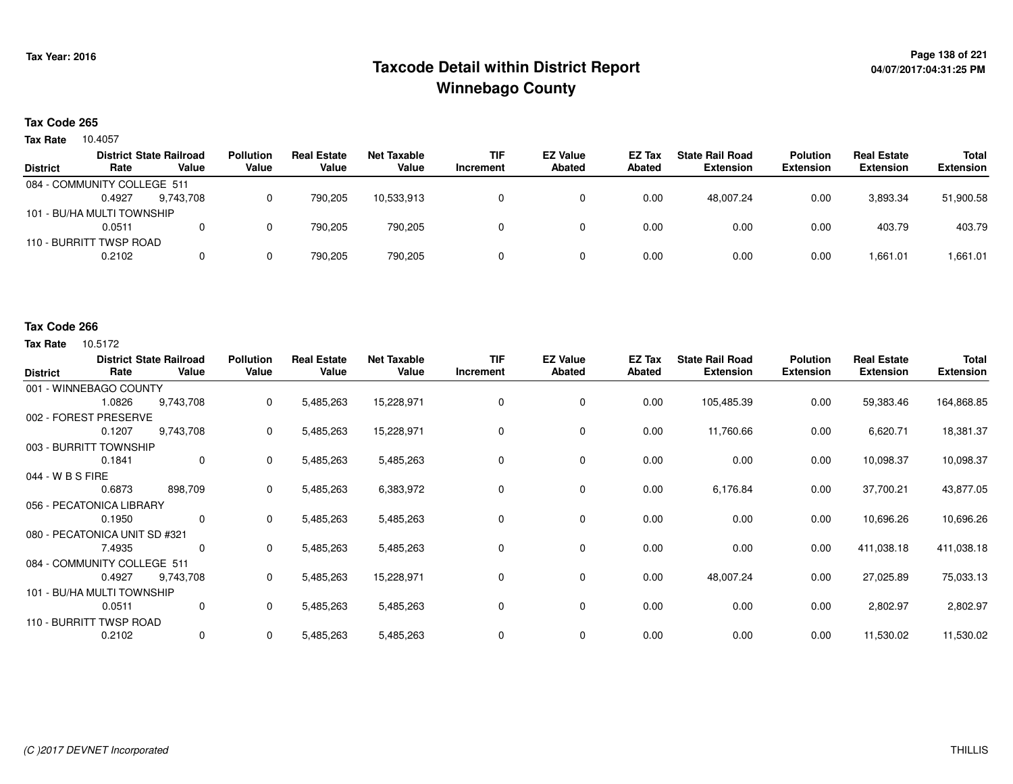# **Page 138 of 221 Taxcode Detail within District ReportWinnebago County**

## **Tax Code 265**

10.4057 **Tax Rate**

|                 |                             | <b>District State Railroad</b> | <b>Pollution</b> | <b>Real Estate</b> | Net Taxable | <b>TIF</b> | <b>EZ Value</b> | EZ Tax | <b>State Rail Road</b> | Polution         | <b>Real Estate</b> | Total            |
|-----------------|-----------------------------|--------------------------------|------------------|--------------------|-------------|------------|-----------------|--------|------------------------|------------------|--------------------|------------------|
| <b>District</b> | Rate                        | Value                          | Value            | Value              | Value       | Increment  | <b>Abated</b>   | Abated | <b>Extension</b>       | <b>Extension</b> | <b>Extension</b>   | <b>Extension</b> |
|                 | 084 - COMMUNITY COLLEGE 511 |                                |                  |                    |             |            |                 |        |                        |                  |                    |                  |
|                 | 0.4927                      | 9.743.708                      |                  | 790.205            | 10,533,913  |            |                 | 0.00   | 48.007.24              | 0.00             | 3,893.34           | 51,900.58        |
|                 | 101 - BU/HA MULTI TOWNSHIP  |                                |                  |                    |             |            |                 |        |                        |                  |                    |                  |
|                 | 0.0511                      | 0                              |                  | 790.205            | 790.205     |            |                 | 0.00   | 0.00                   | 0.00             | 403.79             | 403.79           |
|                 | 110 - BURRITT TWSP ROAD     |                                |                  |                    |             |            |                 |        |                        |                  |                    |                  |
|                 | 0.2102                      | 0                              |                  | 790.205            | 790,205     |            |                 | 0.00   | 0.00                   | 0.00             | 1,661.01           | 1,661.01         |
|                 |                             |                                |                  |                    |             |            |                 |        |                        |                  |                    |                  |

#### **Tax Code 266**

| <b>District</b>               | Rate   | <b>District State Railroad</b><br>Value | <b>Pollution</b><br>Value | <b>Real Estate</b><br>Value | <b>Net Taxable</b><br>Value | <b>TIF</b><br>Increment | <b>EZ Value</b><br><b>Abated</b> | EZ Tax<br><b>Abated</b> | <b>State Rail Road</b><br><b>Extension</b> | <b>Polution</b><br><b>Extension</b> | <b>Real Estate</b><br><b>Extension</b> | Total<br><b>Extension</b> |
|-------------------------------|--------|-----------------------------------------|---------------------------|-----------------------------|-----------------------------|-------------------------|----------------------------------|-------------------------|--------------------------------------------|-------------------------------------|----------------------------------------|---------------------------|
| 001 - WINNEBAGO COUNTY        |        |                                         |                           |                             |                             |                         |                                  |                         |                                            |                                     |                                        |                           |
|                               | 1.0826 | 9,743,708                               | 0                         | 5,485,263                   | 15,228,971                  | 0                       | 0                                | 0.00                    | 105,485.39                                 | 0.00                                | 59,383.46                              | 164,868.85                |
| 002 - FOREST PRESERVE         |        |                                         |                           |                             |                             |                         |                                  |                         |                                            |                                     |                                        |                           |
|                               | 0.1207 | 9,743,708                               | 0                         | 5,485,263                   | 15,228,971                  | 0                       | 0                                | 0.00                    | 11,760.66                                  | 0.00                                | 6,620.71                               | 18,381.37                 |
| 003 - BURRITT TOWNSHIP        |        |                                         |                           |                             |                             |                         |                                  |                         |                                            |                                     |                                        |                           |
|                               | 0.1841 | 0                                       | 0                         | 5,485,263                   | 5,485,263                   | 0                       | 0                                | 0.00                    | 0.00                                       | 0.00                                | 10,098.37                              | 10,098.37                 |
| 044 - W B S FIRE              |        |                                         |                           |                             |                             |                         |                                  |                         |                                            |                                     |                                        |                           |
|                               | 0.6873 | 898,709                                 | $\mathbf{0}$              | 5,485,263                   | 6,383,972                   | $\Omega$                | 0                                | 0.00                    | 6,176.84                                   | 0.00                                | 37,700.21                              | 43,877.05                 |
| 056 - PECATONICA LIBRARY      |        |                                         |                           |                             |                             |                         |                                  |                         |                                            |                                     |                                        |                           |
|                               | 0.1950 | 0                                       | 0                         | 5,485,263                   | 5,485,263                   | 0                       | $\mathbf 0$                      | 0.00                    | 0.00                                       | 0.00                                | 10,696.26                              | 10,696.26                 |
| 080 - PECATONICA UNIT SD #321 |        |                                         |                           |                             |                             |                         |                                  |                         |                                            |                                     |                                        |                           |
|                               | 7.4935 | $\mathbf 0$                             | $\mathbf{0}$              | 5,485,263                   | 5,485,263                   | 0                       | 0                                | 0.00                    | 0.00                                       | 0.00                                | 411,038.18                             | 411,038.18                |
| 084 - COMMUNITY COLLEGE 511   |        |                                         |                           |                             |                             |                         |                                  |                         |                                            |                                     |                                        |                           |
|                               | 0.4927 | 9,743,708                               | 0                         | 5,485,263                   | 15,228,971                  | 0                       | 0                                | 0.00                    | 48,007.24                                  | 0.00                                | 27,025.89                              | 75,033.13                 |
| 101 - BU/HA MULTI TOWNSHIP    |        |                                         |                           |                             |                             |                         |                                  |                         |                                            |                                     |                                        |                           |
|                               | 0.0511 | 0                                       | $\Omega$                  | 5,485,263                   | 5,485,263                   | 0                       | $\mathbf 0$                      | 0.00                    | 0.00                                       | 0.00                                | 2,802.97                               | 2,802.97                  |
| 110 - BURRITT TWSP ROAD       |        |                                         |                           |                             |                             |                         |                                  |                         |                                            |                                     |                                        |                           |
|                               | 0.2102 | $\mathbf 0$                             | 0                         | 5,485,263                   | 5,485,263                   | $\Omega$                | 0                                | 0.00                    | 0.00                                       | 0.00                                | 11,530.02                              | 11,530.02                 |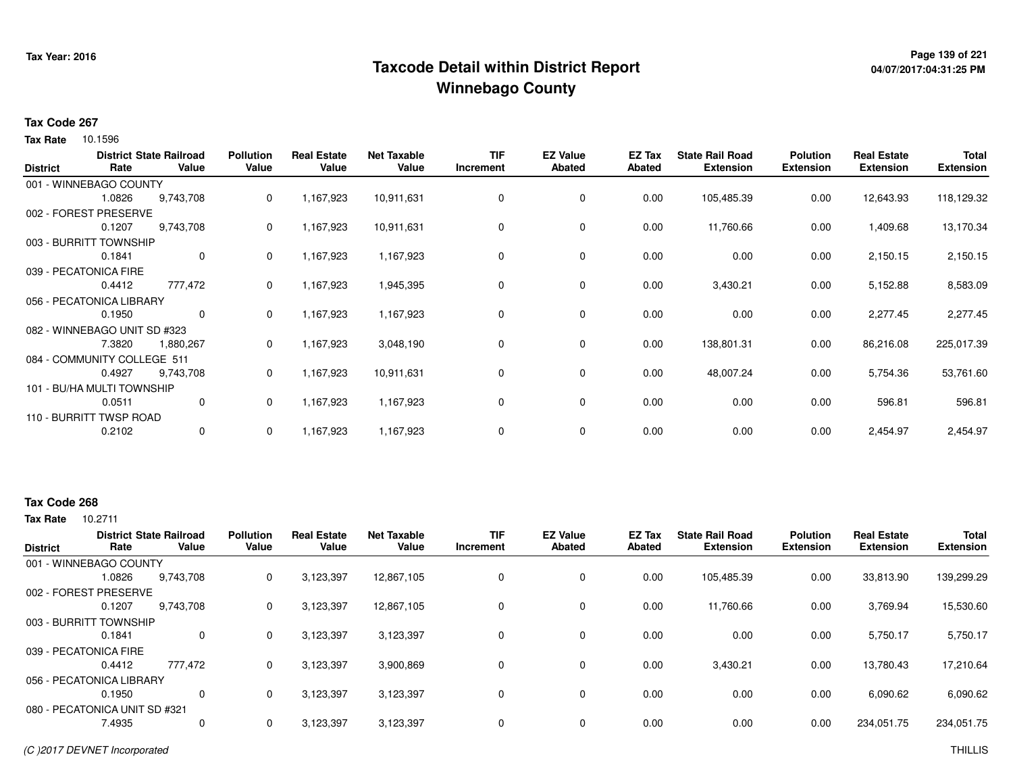# **Page 139 of 221 Taxcode Detail within District ReportWinnebago County**

# **04/07/2017:04:31:25 PM**

### **Tax Code 267**

**Tax Rate** 10.1596

| <b>District</b> | Rate                         | <b>District State Railroad</b><br>Value | <b>Pollution</b><br>Value | <b>Real Estate</b><br>Value | <b>Net Taxable</b><br>Value | <b>TIF</b><br>Increment | <b>EZ Value</b><br><b>Abated</b> | EZ Tax<br>Abated | <b>State Rail Road</b><br><b>Extension</b> | <b>Polution</b><br><b>Extension</b> | <b>Real Estate</b><br><b>Extension</b> | <b>Total</b><br><b>Extension</b> |
|-----------------|------------------------------|-----------------------------------------|---------------------------|-----------------------------|-----------------------------|-------------------------|----------------------------------|------------------|--------------------------------------------|-------------------------------------|----------------------------------------|----------------------------------|
|                 | 001 - WINNEBAGO COUNTY       |                                         |                           |                             |                             |                         |                                  |                  |                                            |                                     |                                        |                                  |
|                 | 1.0826                       | 9,743,708                               | 0                         | 1,167,923                   | 10,911,631                  | 0                       | 0                                | 0.00             | 105,485.39                                 | 0.00                                | 12,643.93                              | 118,129.32                       |
|                 | 002 - FOREST PRESERVE        |                                         |                           |                             |                             |                         |                                  |                  |                                            |                                     |                                        |                                  |
|                 | 0.1207                       | 9,743,708                               | 0                         | 1,167,923                   | 10,911,631                  | 0                       | 0                                | 0.00             | 11,760.66                                  | 0.00                                | 1,409.68                               | 13,170.34                        |
|                 | 003 - BURRITT TOWNSHIP       |                                         |                           |                             |                             |                         |                                  |                  |                                            |                                     |                                        |                                  |
|                 | 0.1841                       | $\mathbf 0$                             | 0                         | 1,167,923                   | 1,167,923                   | 0                       | 0                                | 0.00             | 0.00                                       | 0.00                                | 2,150.15                               | 2,150.15                         |
|                 | 039 - PECATONICA FIRE        |                                         |                           |                             |                             |                         |                                  |                  |                                            |                                     |                                        |                                  |
|                 | 0.4412                       | 777,472                                 | 0                         | 1,167,923                   | 1,945,395                   | 0                       | 0                                | 0.00             | 3,430.21                                   | 0.00                                | 5,152.88                               | 8,583.09                         |
|                 | 056 - PECATONICA LIBRARY     |                                         |                           |                             |                             |                         |                                  |                  |                                            |                                     |                                        |                                  |
|                 | 0.1950                       | $\mathbf{0}$                            | 0                         | 1,167,923                   | 1,167,923                   | 0                       | 0                                | 0.00             | 0.00                                       | 0.00                                | 2,277.45                               | 2,277.45                         |
|                 | 082 - WINNEBAGO UNIT SD #323 |                                         |                           |                             |                             |                         |                                  |                  |                                            |                                     |                                        |                                  |
|                 | 7.3820                       | 1,880,267                               | 0                         | 1,167,923                   | 3,048,190                   | 0                       | 0                                | 0.00             | 138,801.31                                 | 0.00                                | 86,216.08                              | 225,017.39                       |
|                 | 084 - COMMUNITY COLLEGE 511  |                                         |                           |                             |                             |                         |                                  |                  |                                            |                                     |                                        |                                  |
|                 | 0.4927                       | 9,743,708                               | 0                         | 1,167,923                   | 10,911,631                  | 0                       | 0                                | 0.00             | 48,007.24                                  | 0.00                                | 5,754.36                               | 53,761.60                        |
|                 | 101 - BU/HA MULTI TOWNSHIP   |                                         |                           |                             |                             |                         |                                  |                  |                                            |                                     |                                        |                                  |
|                 | 0.0511                       | 0                                       | 0                         | 1,167,923                   | 1,167,923                   | 0                       | 0                                | 0.00             | 0.00                                       | 0.00                                | 596.81                                 | 596.81                           |
|                 | 110 - BURRITT TWSP ROAD      |                                         |                           |                             |                             |                         |                                  |                  |                                            |                                     |                                        |                                  |
|                 | 0.2102                       | $\mathbf{0}$                            | 0                         | 1,167,923                   | 1,167,923                   | 0                       | 0                                | 0.00             | 0.00                                       | 0.00                                | 2,454.97                               | 2,454.97                         |

## **Tax Code 268**

| <b>District</b>       |                               | <b>District State Railroad</b> | <b>Pollution</b> | <b>Real Estate</b> | <b>Net Taxable</b> | TIF       | <b>EZ Value</b> | EZ Tax        | <b>State Rail Road</b> | <b>Polution</b>  | <b>Real Estate</b> | <b>Total</b>     |
|-----------------------|-------------------------------|--------------------------------|------------------|--------------------|--------------------|-----------|-----------------|---------------|------------------------|------------------|--------------------|------------------|
|                       | Rate                          | Value                          | Value            | Value              | Value              | Increment | <b>Abated</b>   | <b>Abated</b> | <b>Extension</b>       | <b>Extension</b> | <b>Extension</b>   | <b>Extension</b> |
|                       | 001 - WINNEBAGO COUNTY        |                                |                  |                    |                    |           |                 |               |                        |                  |                    |                  |
|                       | 1.0826                        | 9,743,708                      | 0                | 3,123,397          | 12,867,105         |           | $\mathbf 0$     | 0.00          | 105,485.39             | 0.00             | 33,813.90          | 139,299.29       |
|                       | 002 - FOREST PRESERVE         |                                |                  |                    |                    |           |                 |               |                        |                  |                    |                  |
|                       | 0.1207                        | 9,743,708                      | 0                | 3,123,397          | 12,867,105         |           | $\mathbf 0$     | 0.00          | 11.760.66              | 0.00             | 3,769.94           | 15,530.60        |
|                       | 003 - BURRITT TOWNSHIP        |                                |                  |                    |                    |           |                 |               |                        |                  |                    |                  |
|                       | 0.1841                        | 0                              | 0                | 3,123,397          | 3,123,397          |           | $\mathbf 0$     | 0.00          | 0.00                   | 0.00             | 5,750.17           | 5,750.17         |
| 039 - PECATONICA FIRE |                               |                                |                  |                    |                    |           |                 |               |                        |                  |                    |                  |
|                       | 0.4412                        | 777,472                        | 0                | 3,123,397          | 3,900,869          |           | $\mathbf 0$     | 0.00          | 3,430.21               | 0.00             | 13,780.43          | 17,210.64        |
|                       | 056 - PECATONICA LIBRARY      |                                |                  |                    |                    |           |                 |               |                        |                  |                    |                  |
|                       | 0.1950                        | 0                              | $\Omega$         | 3,123,397          | 3,123,397          |           | $\mathbf 0$     | 0.00          | 0.00                   | 0.00             | 6,090.62           | 6,090.62         |
|                       | 080 - PECATONICA UNIT SD #321 |                                |                  |                    |                    |           |                 |               |                        |                  |                    |                  |
|                       | 7.4935                        | 0                              | $\Omega$         | 3,123,397          | 3,123,397          |           | $\mathbf 0$     | 0.00          | 0.00                   | 0.00             | 234,051.75         | 234,051.75       |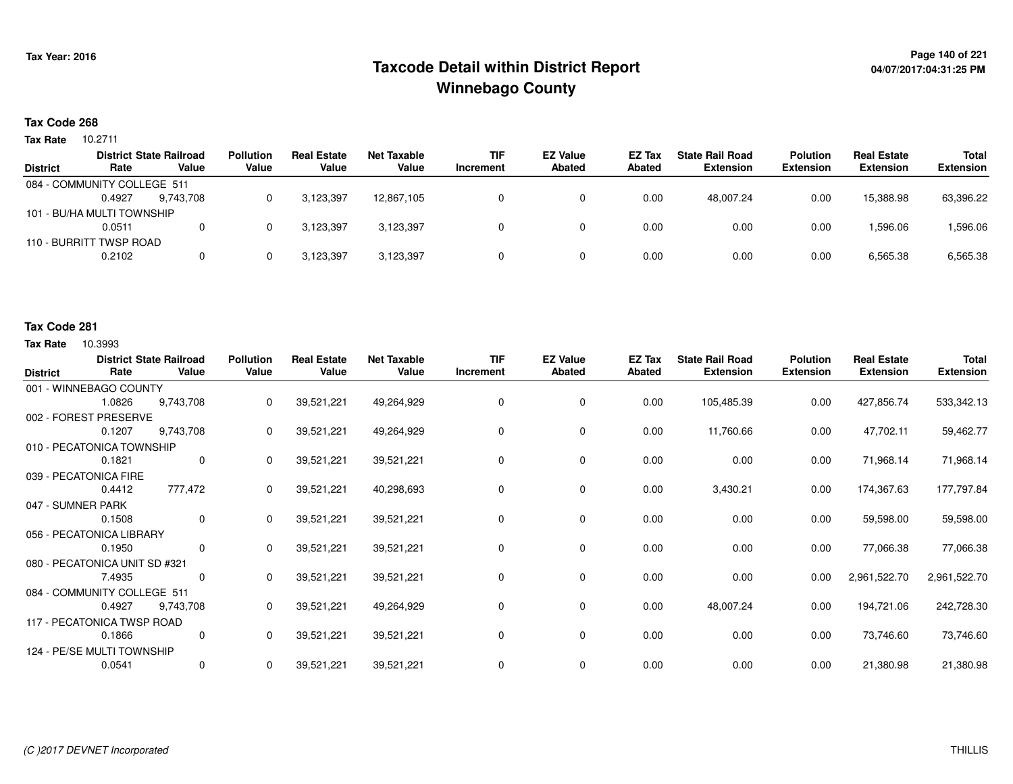# **Page 140 of 221 Taxcode Detail within District ReportWinnebago County**

# **04/07/2017:04:31:25 PM**

### **Tax Code 268**

10.2711 **Tax Rate**

|                 |                             | <b>District State Railroad</b> | <b>Pollution</b> | <b>Real Estate</b> | Net Taxable | <b>TIF</b> | <b>EZ Value</b> | EZ Tax | <b>State Rail Road</b> | <b>Polution</b>  | <b>Real Estate</b> | Total            |
|-----------------|-----------------------------|--------------------------------|------------------|--------------------|-------------|------------|-----------------|--------|------------------------|------------------|--------------------|------------------|
| <b>District</b> | Rate                        | Value                          | Value            | Value              | Value       | Increment  | <b>Abated</b>   | Abated | <b>Extension</b>       | <b>Extension</b> | <b>Extension</b>   | <b>Extension</b> |
|                 | 084 - COMMUNITY COLLEGE 511 |                                |                  |                    |             |            |                 |        |                        |                  |                    |                  |
|                 | 0.4927                      | 9.743.708                      |                  | 3.123.397          | 12,867,105  |            |                 | 0.00   | 48.007.24              | 0.00             | 15,388.98          | 63,396.22        |
|                 | 101 - BU/HA MULTI TOWNSHIP  |                                |                  |                    |             |            |                 |        |                        |                  |                    |                  |
|                 | 0.0511                      | 0                              |                  | 3.123.397          | 3,123,397   |            |                 | 0.00   | 0.00                   | 0.00             | 1,596.06           | 1,596.06         |
|                 | 110 - BURRITT TWSP ROAD     |                                |                  |                    |             |            |                 |        |                        |                  |                    |                  |
|                 | 0.2102                      | $\Omega$                       |                  | 3,123,397          | 3,123,397   |            |                 | 0.00   | 0.00                   | 0.00             | 6,565.38           | 6,565.38         |
|                 |                             |                                |                  |                    |             |            |                 |        |                        |                  |                    |                  |

#### **Tax Code 281**

| <b>District</b>   | Rate                          | <b>District State Railroad</b><br>Value | <b>Pollution</b><br>Value | <b>Real Estate</b><br>Value | <b>Net Taxable</b><br>Value | <b>TIF</b><br>Increment | <b>EZ Value</b><br><b>Abated</b> | EZ Tax<br><b>Abated</b> | <b>State Rail Road</b><br><b>Extension</b> | <b>Polution</b><br><b>Extension</b> | <b>Real Estate</b><br><b>Extension</b> | <b>Total</b><br><b>Extension</b> |
|-------------------|-------------------------------|-----------------------------------------|---------------------------|-----------------------------|-----------------------------|-------------------------|----------------------------------|-------------------------|--------------------------------------------|-------------------------------------|----------------------------------------|----------------------------------|
|                   | 001 - WINNEBAGO COUNTY        |                                         |                           |                             |                             |                         |                                  |                         |                                            |                                     |                                        |                                  |
|                   | 1.0826                        | 9,743,708                               | 0                         | 39,521,221                  | 49,264,929                  |                         | 0                                | 0.00                    | 105,485.39                                 | 0.00                                | 427,856.74                             | 533,342.13                       |
|                   | 002 - FOREST PRESERVE         |                                         |                           |                             |                             |                         |                                  |                         |                                            |                                     |                                        |                                  |
|                   | 0.1207                        | 9,743,708                               | 0                         | 39,521,221                  | 49,264,929                  |                         | 0                                | 0.00                    | 11,760.66                                  | 0.00                                | 47,702.11                              | 59,462.77                        |
|                   | 010 - PECATONICA TOWNSHIP     |                                         |                           |                             |                             |                         |                                  |                         |                                            |                                     |                                        |                                  |
|                   | 0.1821                        | 0                                       | 0                         | 39,521,221                  | 39,521,221                  | $\Omega$                | $\mathbf 0$                      | 0.00                    | 0.00                                       | 0.00                                | 71,968.14                              | 71,968.14                        |
|                   | 039 - PECATONICA FIRE         |                                         |                           |                             |                             |                         |                                  |                         |                                            |                                     |                                        |                                  |
|                   | 0.4412                        | 777,472                                 | 0                         | 39,521,221                  | 40,298,693                  | 0                       | 0                                | 0.00                    | 3,430.21                                   | 0.00                                | 174,367.63                             | 177,797.84                       |
| 047 - SUMNER PARK |                               |                                         |                           |                             |                             |                         |                                  |                         |                                            |                                     |                                        |                                  |
|                   | 0.1508                        | $\mathbf 0$                             | 0                         | 39,521,221                  | 39,521,221                  | 0                       | 0                                | 0.00                    | 0.00                                       | 0.00                                | 59,598.00                              | 59,598.00                        |
|                   | 056 - PECATONICA LIBRARY      |                                         |                           |                             |                             |                         |                                  |                         |                                            |                                     |                                        |                                  |
|                   | 0.1950                        | 0                                       | 0                         | 39,521,221                  | 39,521,221                  | 0                       | $\mathbf 0$                      | 0.00                    | 0.00                                       | 0.00                                | 77,066.38                              | 77,066.38                        |
|                   | 080 - PECATONICA UNIT SD #321 |                                         |                           |                             |                             |                         |                                  |                         |                                            |                                     |                                        |                                  |
|                   | 7.4935                        | $\mathbf 0$                             | $\mathbf{0}$              | 39,521,221                  | 39,521,221                  | $\Omega$                | 0                                | 0.00                    | 0.00                                       | 0.00                                | 2,961,522.70                           | 2,961,522.70                     |
|                   | 084 - COMMUNITY COLLEGE 511   |                                         |                           |                             |                             |                         |                                  |                         |                                            |                                     |                                        |                                  |
|                   | 0.4927                        | 9,743,708                               | 0                         | 39,521,221                  | 49,264,929                  | 0                       | 0                                | 0.00                    | 48,007.24                                  | 0.00                                | 194,721.06                             | 242,728.30                       |
|                   | 117 - PECATONICA TWSP ROAD    |                                         |                           |                             |                             |                         |                                  |                         |                                            |                                     |                                        |                                  |
|                   | 0.1866                        | 0                                       | 0                         | 39,521,221                  | 39,521,221                  | 0                       | $\mathbf 0$                      | 0.00                    | 0.00                                       | 0.00                                | 73,746.60                              | 73,746.60                        |
|                   | 124 - PE/SE MULTI TOWNSHIP    |                                         |                           |                             |                             |                         |                                  |                         |                                            |                                     |                                        |                                  |
|                   | 0.0541                        | 0                                       | 0                         | 39,521,221                  | 39,521,221                  | 0                       | 0                                | 0.00                    | 0.00                                       | 0.00                                | 21,380.98                              | 21,380.98                        |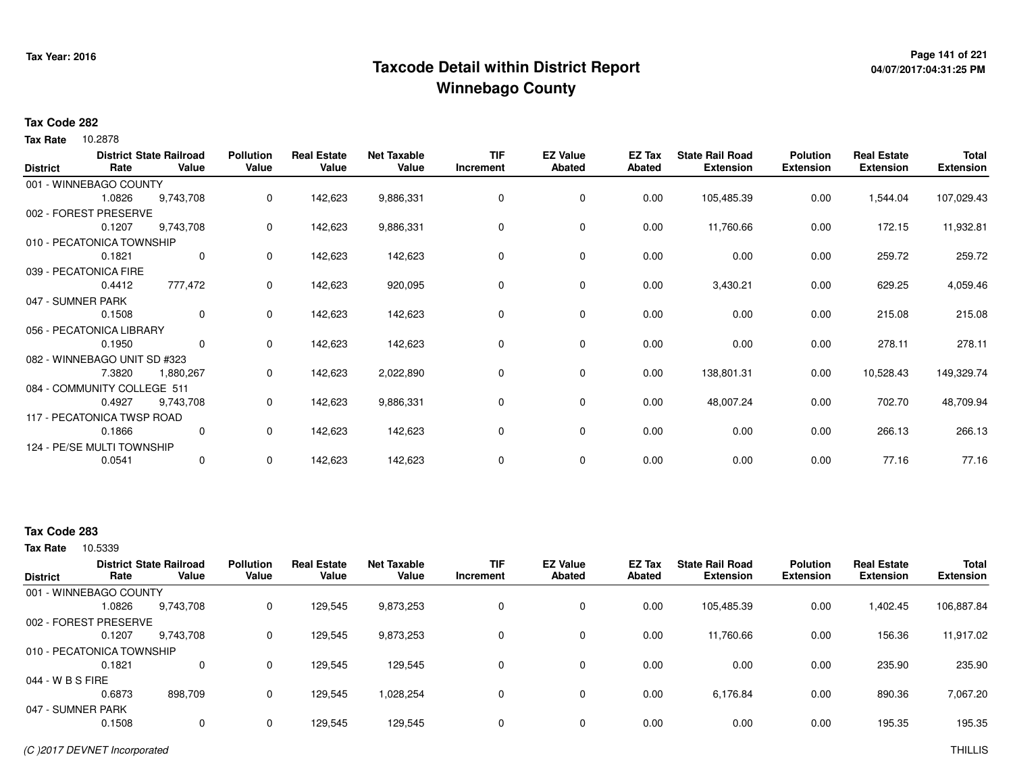# **Page 141 of 221 Taxcode Detail within District ReportWinnebago County**

# **04/07/2017:04:31:25 PM**

### **Tax Code 282**

Tax Rate 10.2878

| <b>District</b>   | Rate                         | <b>District State Railroad</b><br>Value | <b>Pollution</b><br>Value | <b>Real Estate</b><br>Value | <b>Net Taxable</b><br>Value | <b>TIF</b><br>Increment | <b>EZ Value</b><br><b>Abated</b> | EZ Tax<br><b>Abated</b> | <b>State Rail Road</b><br><b>Extension</b> | <b>Polution</b><br><b>Extension</b> | <b>Real Estate</b><br><b>Extension</b> | Total<br><b>Extension</b> |
|-------------------|------------------------------|-----------------------------------------|---------------------------|-----------------------------|-----------------------------|-------------------------|----------------------------------|-------------------------|--------------------------------------------|-------------------------------------|----------------------------------------|---------------------------|
|                   | 001 - WINNEBAGO COUNTY       |                                         |                           |                             |                             |                         |                                  |                         |                                            |                                     |                                        |                           |
|                   | 1.0826                       | 9,743,708                               | 0                         | 142,623                     | 9,886,331                   | 0                       | 0                                | 0.00                    | 105,485.39                                 | 0.00                                | 1,544.04                               | 107,029.43                |
|                   | 002 - FOREST PRESERVE        |                                         |                           |                             |                             |                         |                                  |                         |                                            |                                     |                                        |                           |
|                   | 0.1207                       | 9,743,708                               | 0                         | 142,623                     | 9,886,331                   | 0                       | 0                                | 0.00                    | 11,760.66                                  | 0.00                                | 172.15                                 | 11,932.81                 |
|                   | 010 - PECATONICA TOWNSHIP    |                                         |                           |                             |                             |                         |                                  |                         |                                            |                                     |                                        |                           |
|                   | 0.1821                       | 0                                       | 0                         | 142,623                     | 142,623                     | 0                       | 0                                | 0.00                    | 0.00                                       | 0.00                                | 259.72                                 | 259.72                    |
|                   | 039 - PECATONICA FIRE        |                                         |                           |                             |                             |                         |                                  |                         |                                            |                                     |                                        |                           |
|                   | 0.4412                       | 777,472                                 | 0                         | 142,623                     | 920,095                     | 0                       | $\mathbf 0$                      | 0.00                    | 3,430.21                                   | 0.00                                | 629.25                                 | 4,059.46                  |
| 047 - SUMNER PARK |                              |                                         |                           |                             |                             |                         |                                  |                         |                                            |                                     |                                        |                           |
|                   | 0.1508                       | $\mathbf 0$                             | 0                         | 142,623                     | 142,623                     | 0                       | 0                                | 0.00                    | 0.00                                       | 0.00                                | 215.08                                 | 215.08                    |
|                   | 056 - PECATONICA LIBRARY     |                                         |                           |                             |                             |                         |                                  |                         |                                            |                                     |                                        |                           |
|                   | 0.1950                       | $\mathbf{0}$                            | 0                         | 142,623                     | 142,623                     | 0                       | 0                                | 0.00                    | 0.00                                       | 0.00                                | 278.11                                 | 278.11                    |
|                   | 082 - WINNEBAGO UNIT SD #323 |                                         |                           |                             |                             |                         |                                  |                         |                                            |                                     |                                        |                           |
|                   | 7.3820                       | 1,880,267                               | 0                         | 142,623                     | 2,022,890                   | 0                       | 0                                | 0.00                    | 138,801.31                                 | 0.00                                | 10,528.43                              | 149,329.74                |
|                   | 084 - COMMUNITY COLLEGE 511  |                                         |                           |                             |                             |                         |                                  |                         |                                            |                                     |                                        |                           |
|                   | 0.4927                       | 9,743,708                               | 0                         | 142,623                     | 9,886,331                   | 0                       | 0                                | 0.00                    | 48,007.24                                  | 0.00                                | 702.70                                 | 48,709.94                 |
|                   | 117 - PECATONICA TWSP ROAD   |                                         |                           |                             |                             |                         |                                  |                         |                                            |                                     |                                        |                           |
|                   | 0.1866                       | 0                                       | 0                         | 142,623                     | 142,623                     | 0                       | 0                                | 0.00                    | 0.00                                       | 0.00                                | 266.13                                 | 266.13                    |
|                   | 124 - PE/SE MULTI TOWNSHIP   |                                         |                           |                             |                             |                         |                                  |                         |                                            |                                     |                                        |                           |
|                   | 0.0541                       | 0                                       | 0                         | 142,623                     | 142,623                     | 0                       | 0                                | 0.00                    | 0.00                                       | 0.00                                | 77.16                                  | 77.16                     |

## **Tax Code 283**

| <b>District</b>   | Rate                      | <b>District State Railroad</b><br>Value | <b>Pollution</b><br>Value | <b>Real Estate</b><br>Value | <b>Net Taxable</b><br>Value | TIF<br>Increment | <b>EZ Value</b><br><b>Abated</b> | EZ Tax<br>Abated | <b>State Rail Road</b><br><b>Extension</b> | <b>Polution</b><br><b>Extension</b> | <b>Real Estate</b><br><b>Extension</b> | <b>Total</b><br><b>Extension</b> |
|-------------------|---------------------------|-----------------------------------------|---------------------------|-----------------------------|-----------------------------|------------------|----------------------------------|------------------|--------------------------------------------|-------------------------------------|----------------------------------------|----------------------------------|
|                   | 001 - WINNEBAGO COUNTY    |                                         |                           |                             |                             |                  |                                  |                  |                                            |                                     |                                        |                                  |
|                   | 1.0826                    | 9,743,708                               | 0                         | 129,545                     | 9,873,253                   |                  | 0                                | 0.00             | 105,485.39                                 | 0.00                                | 402.45                                 | 106,887.84                       |
|                   | 002 - FOREST PRESERVE     |                                         |                           |                             |                             |                  |                                  |                  |                                            |                                     |                                        |                                  |
|                   | 0.1207                    | 9,743,708                               | 0                         | 129,545                     | 9,873,253                   |                  | $\mathbf 0$                      | 0.00             | 11,760.66                                  | 0.00                                | 156.36                                 | 11,917.02                        |
|                   | 010 - PECATONICA TOWNSHIP |                                         |                           |                             |                             |                  |                                  |                  |                                            |                                     |                                        |                                  |
|                   | 0.1821                    | 0                                       | 0                         | 129.545                     | 129.545                     |                  | $\mathbf 0$                      | 0.00             | 0.00                                       | 0.00                                | 235.90                                 | 235.90                           |
| 044 - W B S FIRE  |                           |                                         |                           |                             |                             |                  |                                  |                  |                                            |                                     |                                        |                                  |
|                   | 0.6873                    | 898.709                                 | 0                         | 129,545                     | 1,028,254                   |                  | $\mathbf 0$                      | 0.00             | 6.176.84                                   | 0.00                                | 890.36                                 | 7,067.20                         |
| 047 - SUMNER PARK |                           |                                         |                           |                             |                             |                  |                                  |                  |                                            |                                     |                                        |                                  |
|                   | 0.1508                    | 0                                       | $\mathbf 0$               | 129,545                     | 129,545                     |                  | 0                                | 0.00             | 0.00                                       | 0.00                                | 195.35                                 | 195.35                           |
|                   |                           |                                         |                           |                             |                             |                  |                                  |                  |                                            |                                     |                                        |                                  |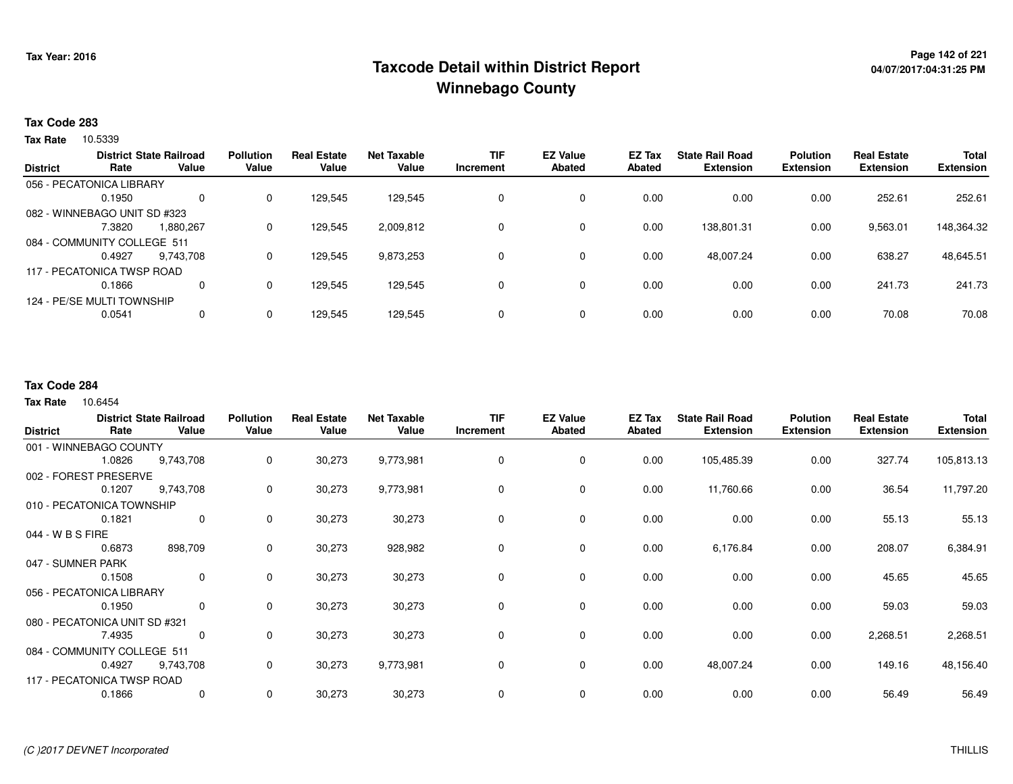# **Page 142 of 221 Taxcode Detail within District ReportWinnebago County**

## **Tax Code 283**

**Tax Rate** 10.5339

|                 |                              | <b>District State Railroad</b> | <b>Pollution</b> | <b>Real Estate</b> | <b>Net Taxable</b> | <b>TIF</b> | <b>EZ Value</b> | <b>EZ Tax</b> | <b>State Rail Road</b> | <b>Polution</b>  | <b>Real Estate</b> | <b>Total</b>     |
|-----------------|------------------------------|--------------------------------|------------------|--------------------|--------------------|------------|-----------------|---------------|------------------------|------------------|--------------------|------------------|
| <b>District</b> | Rate                         | Value                          | Value            | Value              | Value              | Increment  | Abated          | Abated        | <b>Extension</b>       | <b>Extension</b> | <b>Extension</b>   | <b>Extension</b> |
|                 | 056 - PECATONICA LIBRARY     |                                |                  |                    |                    |            |                 |               |                        |                  |                    |                  |
|                 | 0.1950                       | 0                              | 0                | 129,545            | 129,545            | 0          | 0               | 0.00          | 0.00                   | 0.00             | 252.61             | 252.61           |
|                 | 082 - WINNEBAGO UNIT SD #323 |                                |                  |                    |                    |            |                 |               |                        |                  |                    |                  |
|                 | 7.3820                       | 1.880.267                      | 0                | 129,545            | 2,009,812          | 0          | 0               | 0.00          | 138,801.31             | 0.00             | 9,563.01           | 148,364.32       |
|                 | 084 - COMMUNITY COLLEGE 511  |                                |                  |                    |                    |            |                 |               |                        |                  |                    |                  |
|                 | 0.4927                       | 9.743.708                      | 0                | 129.545            | 9,873,253          |            | 0               | 0.00          | 48.007.24              | 0.00             | 638.27             | 48,645.51        |
|                 | 117 - PECATONICA TWSP ROAD   |                                |                  |                    |                    |            |                 |               |                        |                  |                    |                  |
|                 | 0.1866                       | 0                              | 0                | 129,545            | 129,545            |            | 0               | 0.00          | 0.00                   | 0.00             | 241.73             | 241.73           |
|                 | 124 - PE/SE MULTI TOWNSHIP   |                                |                  |                    |                    |            |                 |               |                        |                  |                    |                  |
|                 | 0.0541                       | 0                              | 0                | 129,545            | 129,545            |            | 0               | 0.00          | 0.00                   | 0.00             | 70.08              | 70.08            |
|                 |                              |                                |                  |                    |                    |            |                 |               |                        |                  |                    |                  |

### **Tax Code 284**

|                               |        | <b>District State Railroad</b> | <b>Pollution</b> | <b>Real Estate</b> | <b>Net Taxable</b> | <b>TIF</b> | <b>EZ Value</b> | EZ Tax        | <b>State Rail Road</b> | <b>Polution</b>  | <b>Real Estate</b> | <b>Total</b>     |
|-------------------------------|--------|--------------------------------|------------------|--------------------|--------------------|------------|-----------------|---------------|------------------------|------------------|--------------------|------------------|
| <b>District</b>               | Rate   | Value                          | Value            | Value              | Value              | Increment  | <b>Abated</b>   | <b>Abated</b> | <b>Extension</b>       | <b>Extension</b> | <b>Extension</b>   | <b>Extension</b> |
| 001 - WINNEBAGO COUNTY        |        |                                |                  |                    |                    |            |                 |               |                        |                  |                    |                  |
|                               | 1.0826 | 9,743,708                      | 0                | 30,273             | 9,773,981          | 0          | 0               | 0.00          | 105,485.39             | 0.00             | 327.74             | 105,813.13       |
| 002 - FOREST PRESERVE         |        |                                |                  |                    |                    |            |                 |               |                        |                  |                    |                  |
|                               | 0.1207 | 9,743,708                      | 0                | 30,273             | 9,773,981          | 0          | 0               | 0.00          | 11,760.66              | 0.00             | 36.54              | 11,797.20        |
| 010 - PECATONICA TOWNSHIP     |        |                                |                  |                    |                    |            |                 |               |                        |                  |                    |                  |
|                               | 0.1821 | 0                              | 0                | 30,273             | 30,273             | 0          | 0               | 0.00          | 0.00                   | 0.00             | 55.13              | 55.13            |
| 044 - W B S FIRE              |        |                                |                  |                    |                    |            |                 |               |                        |                  |                    |                  |
|                               | 0.6873 | 898,709                        | 0                | 30,273             | 928,982            | 0          | $\mathbf 0$     | 0.00          | 6,176.84               | 0.00             | 208.07             | 6,384.91         |
| 047 - SUMNER PARK             |        |                                |                  |                    |                    |            |                 |               |                        |                  |                    |                  |
|                               | 0.1508 | $\mathbf 0$                    | 0                | 30,273             | 30,273             | $\Omega$   | $\mathbf 0$     | 0.00          | 0.00                   | 0.00             | 45.65              | 45.65            |
| 056 - PECATONICA LIBRARY      |        |                                |                  |                    |                    |            |                 |               |                        |                  |                    |                  |
|                               | 0.1950 | $\mathbf 0$                    | 0                | 30,273             | 30,273             | 0          | 0               | 0.00          | 0.00                   | 0.00             | 59.03              | 59.03            |
| 080 - PECATONICA UNIT SD #321 |        |                                |                  |                    |                    |            |                 |               |                        |                  |                    |                  |
|                               | 7.4935 | 0                              | 0                | 30,273             | 30,273             | $\Omega$   | 0               | 0.00          | 0.00                   | 0.00             | 2,268.51           | 2,268.51         |
| 084 - COMMUNITY COLLEGE 511   |        |                                |                  |                    |                    |            |                 |               |                        |                  |                    |                  |
|                               | 0.4927 | 9,743,708                      | 0                | 30,273             | 9,773,981          | 0          | $\mathbf 0$     | 0.00          | 48,007.24              | 0.00             | 149.16             | 48,156.40        |
| 117 - PECATONICA TWSP ROAD    |        |                                |                  |                    |                    |            |                 |               |                        |                  |                    |                  |
|                               | 0.1866 | 0                              | 0                | 30,273             | 30,273             | 0          | 0               | 0.00          | 0.00                   | 0.00             | 56.49              | 56.49            |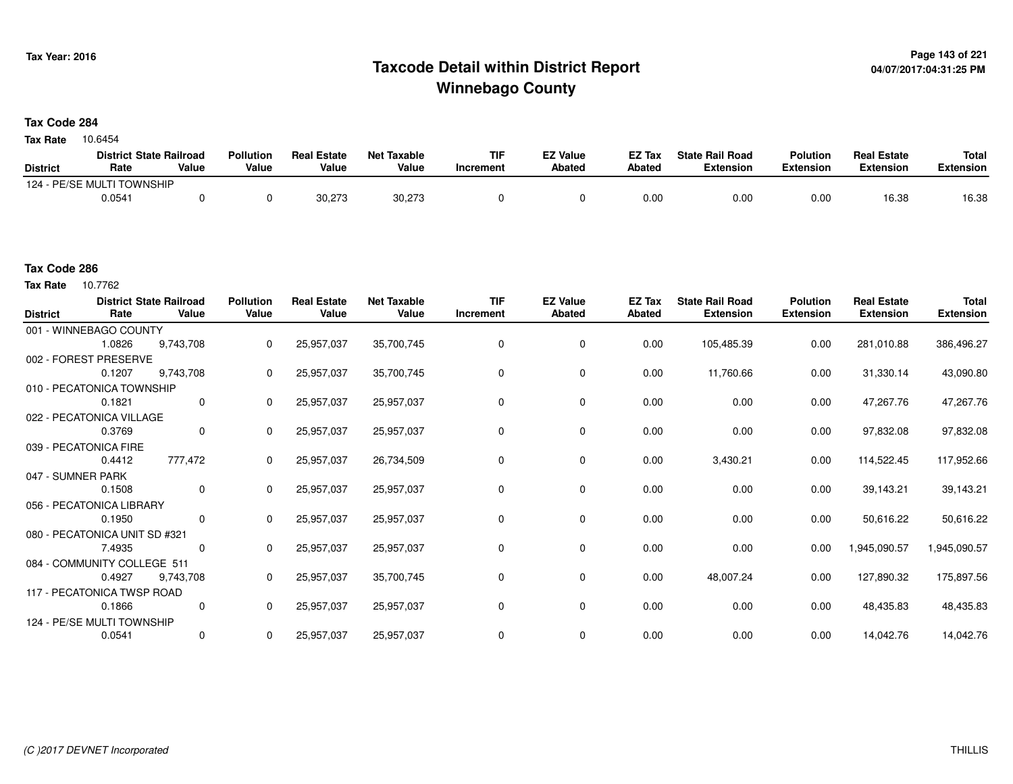# **Page 143 of 221 Taxcode Detail within District ReportWinnebago County**

# **Tax Code 284**

Tax Rate 10.6454

|                 | <b>District State Railroad</b> |       | Pollution | <b>Real Estate</b> | <b>Net Taxable</b> | TIF       | <b>EZ Value</b> | <b>EZ Tax</b> | <b>State Rail Road</b> | <b>Polution</b>  | <b>Real Estate</b> | <b>Total</b> |
|-----------------|--------------------------------|-------|-----------|--------------------|--------------------|-----------|-----------------|---------------|------------------------|------------------|--------------------|--------------|
| <b>District</b> | Rate                           | Value | Value     | Value              | Value              | Increment | <b>Abated</b>   | Abated        | <b>Extension</b>       | <b>Extension</b> | <b>Extension</b>   | Extension    |
|                 | 124 - PE/SE MULTI TOWNSHIP     |       |           |                    |                    |           |                 |               |                        |                  |                    |              |
|                 | 0.0541                         |       |           | 30.273             | 30,273             |           |                 | 0.00          | 0.00                   | 0.00             | 16.38              | 16.38        |

### **Tax Code 286**

Tax Rate 10.7762

| <b>District</b>   | Rate                          | <b>District State Railroad</b><br>Value | <b>Pollution</b><br>Value | <b>Real Estate</b><br>Value | <b>Net Taxable</b><br>Value | <b>TIF</b><br>Increment | <b>EZ Value</b><br>Abated | EZ Tax<br>Abated | <b>State Rail Road</b><br><b>Extension</b> | <b>Polution</b><br><b>Extension</b> | <b>Real Estate</b><br><b>Extension</b> | <b>Total</b><br><b>Extension</b> |
|-------------------|-------------------------------|-----------------------------------------|---------------------------|-----------------------------|-----------------------------|-------------------------|---------------------------|------------------|--------------------------------------------|-------------------------------------|----------------------------------------|----------------------------------|
|                   | 001 - WINNEBAGO COUNTY        |                                         |                           |                             |                             |                         |                           |                  |                                            |                                     |                                        |                                  |
|                   | 1.0826                        | 9,743,708                               | 0                         | 25,957,037                  | 35,700,745                  | 0                       | 0                         | 0.00             | 105,485.39                                 | 0.00                                | 281,010.88                             | 386,496.27                       |
|                   | 002 - FOREST PRESERVE         |                                         |                           |                             |                             |                         |                           |                  |                                            |                                     |                                        |                                  |
|                   | 0.1207                        | 9,743,708                               | 0                         | 25,957,037                  | 35,700,745                  | $\Omega$                | 0                         | 0.00             | 11,760.66                                  | 0.00                                | 31,330.14                              | 43,090.80                        |
|                   | 010 - PECATONICA TOWNSHIP     |                                         |                           |                             |                             |                         |                           |                  |                                            |                                     |                                        |                                  |
|                   | 0.1821                        | $\mathbf 0$                             | $\Omega$                  | 25,957,037                  | 25,957,037                  | $\Omega$                | 0                         | 0.00             | 0.00                                       | 0.00                                | 47,267.76                              | 47,267.76                        |
|                   | 022 - PECATONICA VILLAGE      |                                         |                           |                             |                             |                         |                           |                  |                                            |                                     |                                        |                                  |
|                   | 0.3769                        | 0                                       | 0                         | 25,957,037                  | 25,957,037                  | 0                       | 0                         | 0.00             | 0.00                                       | 0.00                                | 97,832.08                              | 97,832.08                        |
|                   | 039 - PECATONICA FIRE         |                                         |                           |                             |                             |                         |                           |                  |                                            |                                     |                                        |                                  |
|                   | 0.4412                        | 777,472                                 | 0                         | 25,957,037                  | 26,734,509                  | 0                       | 0                         | 0.00             | 3,430.21                                   | 0.00                                | 114,522.45                             | 117,952.66                       |
| 047 - SUMNER PARK |                               |                                         |                           |                             |                             |                         |                           |                  |                                            |                                     |                                        |                                  |
|                   | 0.1508                        | 0                                       | 0                         | 25,957,037                  | 25,957,037                  | 0                       | 0                         | 0.00             | 0.00                                       | 0.00                                | 39,143.21                              | 39,143.21                        |
|                   | 056 - PECATONICA LIBRARY      |                                         |                           |                             |                             |                         |                           |                  |                                            |                                     |                                        |                                  |
|                   | 0.1950                        | $\mathbf 0$                             | $\Omega$                  | 25,957,037                  | 25,957,037                  | $\Omega$                | 0                         | 0.00             | 0.00                                       | 0.00                                | 50,616.22                              | 50,616.22                        |
|                   | 080 - PECATONICA UNIT SD #321 |                                         |                           |                             |                             |                         |                           |                  |                                            |                                     |                                        |                                  |
|                   | 7.4935                        | 0                                       | $\Omega$                  | 25,957,037                  | 25,957,037                  | $\Omega$                | 0                         | 0.00             | 0.00                                       | 0.00                                | 1,945,090.57                           | 1,945,090.57                     |
|                   | 084 - COMMUNITY COLLEGE 511   |                                         |                           |                             |                             |                         |                           |                  |                                            |                                     |                                        |                                  |
|                   | 0.4927                        | 9,743,708                               | 0                         | 25,957,037                  | 35,700,745                  | 0                       | 0                         | 0.00             | 48,007.24                                  | 0.00                                | 127,890.32                             | 175,897.56                       |
|                   | 117 - PECATONICA TWSP ROAD    |                                         |                           |                             |                             |                         |                           |                  |                                            |                                     |                                        |                                  |
|                   | 0.1866                        | 0                                       | 0                         | 25,957,037                  | 25,957,037                  | 0                       | 0                         | 0.00             | 0.00                                       | 0.00                                | 48,435.83                              | 48,435.83                        |
|                   | 124 - PE/SE MULTI TOWNSHIP    |                                         |                           |                             |                             |                         |                           |                  |                                            |                                     |                                        |                                  |
|                   | 0.0541                        | $\mathbf 0$                             | 0                         | 25,957,037                  | 25,957,037                  | 0                       | 0                         | 0.00             | 0.00                                       | 0.00                                | 14,042.76                              | 14,042.76                        |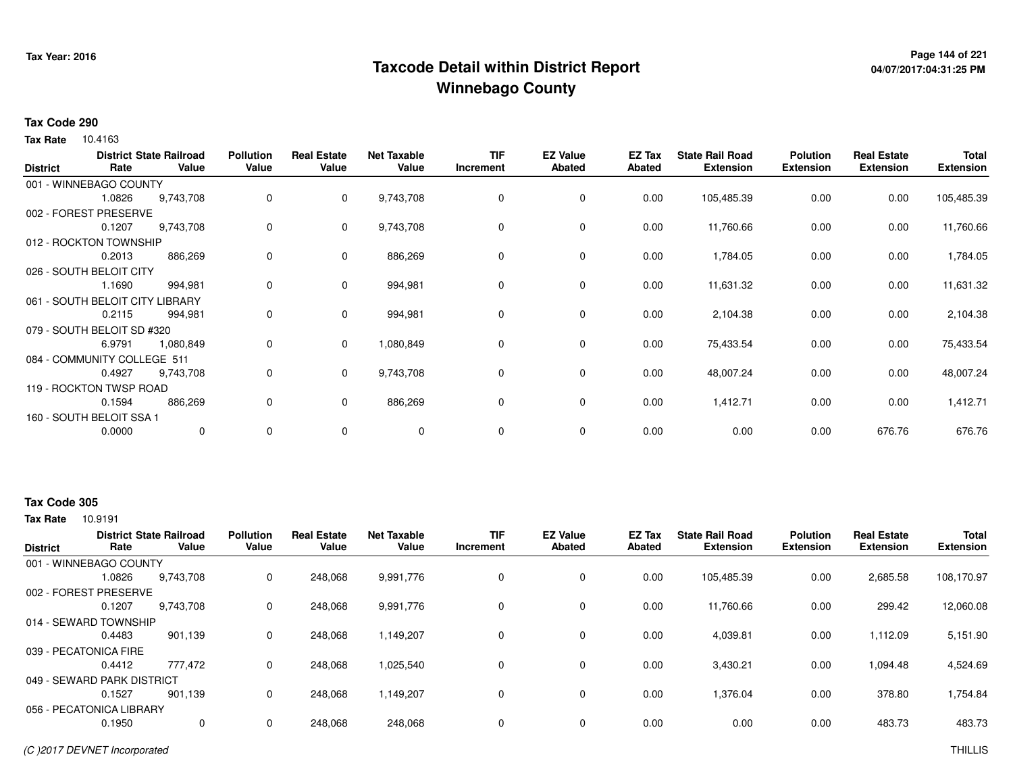# **Page 144 of 221 Taxcode Detail within District ReportWinnebago County**

# **04/07/2017:04:31:25 PM**

### **Tax Code 290**

**Tax Rate** 10.4163

| <b>District</b> | Rate                        | <b>District State Railroad</b><br>Value | <b>Pollution</b><br>Value | <b>Real Estate</b><br>Value | <b>Net Taxable</b><br>Value | <b>TIF</b><br>Increment | <b>EZ Value</b><br><b>Abated</b> | EZ Tax<br><b>Abated</b> | <b>State Rail Road</b><br><b>Extension</b> | <b>Polution</b><br><b>Extension</b> | <b>Real Estate</b><br><b>Extension</b> | <b>Total</b><br><b>Extension</b> |
|-----------------|-----------------------------|-----------------------------------------|---------------------------|-----------------------------|-----------------------------|-------------------------|----------------------------------|-------------------------|--------------------------------------------|-------------------------------------|----------------------------------------|----------------------------------|
|                 | 001 - WINNEBAGO COUNTY      |                                         |                           |                             |                             |                         |                                  |                         |                                            |                                     |                                        |                                  |
|                 | 1.0826                      | 9,743,708                               | 0                         | $\mathbf{0}$                | 9,743,708                   | 0                       | 0                                | 0.00                    | 105,485.39                                 | 0.00                                | 0.00                                   | 105,485.39                       |
|                 | 002 - FOREST PRESERVE       |                                         |                           |                             |                             |                         |                                  |                         |                                            |                                     |                                        |                                  |
|                 | 0.1207                      | 9,743,708                               | 0                         | 0                           | 9,743,708                   | 0                       | 0                                | 0.00                    | 11,760.66                                  | 0.00                                | 0.00                                   | 11,760.66                        |
|                 | 012 - ROCKTON TOWNSHIP      |                                         |                           |                             |                             |                         |                                  |                         |                                            |                                     |                                        |                                  |
|                 | 0.2013                      | 886,269                                 | 0                         | $\mathbf 0$                 | 886,269                     | 0                       | $\mathbf 0$                      | 0.00                    | 1,784.05                                   | 0.00                                | 0.00                                   | 1,784.05                         |
|                 | 026 - SOUTH BELOIT CITY     |                                         |                           |                             |                             |                         |                                  |                         |                                            |                                     |                                        |                                  |
|                 | 1.1690                      | 994,981                                 | 0                         | $\mathbf 0$                 | 994,981                     | 0                       | 0                                | 0.00                    | 11,631.32                                  | 0.00                                | 0.00                                   | 11,631.32                        |
|                 | 061 - SOUTH BELOIT CITY     | .IBRARY                                 |                           |                             |                             |                         |                                  |                         |                                            |                                     |                                        |                                  |
|                 | 0.2115                      | 994,981                                 | 0                         | $\mathbf 0$                 | 994,981                     | 0                       | 0                                | 0.00                    | 2,104.38                                   | 0.00                                | 0.00                                   | 2,104.38                         |
|                 | 079 - SOUTH BELOIT SD #320  |                                         |                           |                             |                             |                         |                                  |                         |                                            |                                     |                                        |                                  |
|                 | 6.9791                      | 1,080,849                               | 0                         | $\mathbf{0}$                | 1,080,849                   | $\mathbf 0$             | 0                                | 0.00                    | 75,433.54                                  | 0.00                                | 0.00                                   | 75,433.54                        |
|                 | 084 - COMMUNITY COLLEGE 511 |                                         |                           |                             |                             |                         |                                  |                         |                                            |                                     |                                        |                                  |
|                 | 0.4927                      | 9,743,708                               | 0                         | $\mathbf{0}$                | 9,743,708                   | 0                       | 0                                | 0.00                    | 48,007.24                                  | 0.00                                | 0.00                                   | 48,007.24                        |
|                 | 119 - ROCKTON TWSP ROAD     |                                         |                           |                             |                             |                         |                                  |                         |                                            |                                     |                                        |                                  |
|                 | 0.1594                      | 886,269                                 | 0                         | $\mathbf 0$                 | 886,269                     | 0                       | 0                                | 0.00                    | 1,412.71                                   | 0.00                                | 0.00                                   | 1,412.71                         |
|                 | 160 - SOUTH BELOIT SSA 1    |                                         |                           |                             |                             |                         |                                  |                         |                                            |                                     |                                        |                                  |
|                 | 0.0000                      | $\mathbf 0$                             | 0                         | 0                           | 0                           | 0                       | 0                                | 0.00                    | 0.00                                       | 0.00                                | 676.76                                 | 676.76                           |

# **Tax Code 305**

|                            | <b>District State Railroad</b> |           | <b>Pollution</b> | <b>Real Estate</b> | <b>Net Taxable</b> | TIF       | <b>EZ Value</b> | EZ Tax        | <b>State Rail Road</b> | <b>Polution</b>  | <b>Real Estate</b> | <b>Total</b>     |
|----------------------------|--------------------------------|-----------|------------------|--------------------|--------------------|-----------|-----------------|---------------|------------------------|------------------|--------------------|------------------|
| <b>District</b>            | Rate                           | Value     | Value            | Value              | Value              | Increment | <b>Abated</b>   | <b>Abated</b> | <b>Extension</b>       | <b>Extension</b> | <b>Extension</b>   | <b>Extension</b> |
| 001 - WINNEBAGO COUNTY     |                                |           |                  |                    |                    |           |                 |               |                        |                  |                    |                  |
|                            | 1.0826                         | 9,743,708 | 0                | 248,068            | 9,991,776          |           | $\mathbf 0$     | 0.00          | 105.485.39             | 0.00             | 2,685.58           | 108,170.97       |
| 002 - FOREST PRESERVE      |                                |           |                  |                    |                    |           |                 |               |                        |                  |                    |                  |
|                            | 0.1207                         | 9.743.708 | 0                | 248.068            | 9,991,776          |           | $\mathbf 0$     | 0.00          | 11.760.66              | 0.00             | 299.42             | 12,060.08        |
| 014 - SEWARD TOWNSHIP      |                                |           |                  |                    |                    |           |                 |               |                        |                  |                    |                  |
|                            | 0.4483                         | 901,139   | 0                | 248,068            | 1,149,207          |           | $\mathbf 0$     | 0.00          | 4,039.81               | 0.00             | 1,112.09           | 5,151.90         |
| 039 - PECATONICA FIRE      |                                |           |                  |                    |                    |           |                 |               |                        |                  |                    |                  |
|                            | 0.4412                         | 777,472   | 0                | 248,068            | 1,025,540          |           | 0               | 0.00          | 3,430.21               | 0.00             | 1,094.48           | 4,524.69         |
| 049 - SEWARD PARK DISTRICT |                                |           |                  |                    |                    |           |                 |               |                        |                  |                    |                  |
|                            | 0.1527                         | 901.139   | $\Omega$         | 248,068            | 1,149,207          |           | $\mathbf 0$     | 0.00          | 1,376.04               | 0.00             | 378.80             | 1,754.84         |
| 056 - PECATONICA LIBRARY   |                                |           |                  |                    |                    |           |                 |               |                        |                  |                    |                  |
|                            | 0.1950                         | 0         | 0                | 248,068            | 248,068            |           | $\mathbf 0$     | 0.00          | 0.00                   | 0.00             | 483.73             | 483.73           |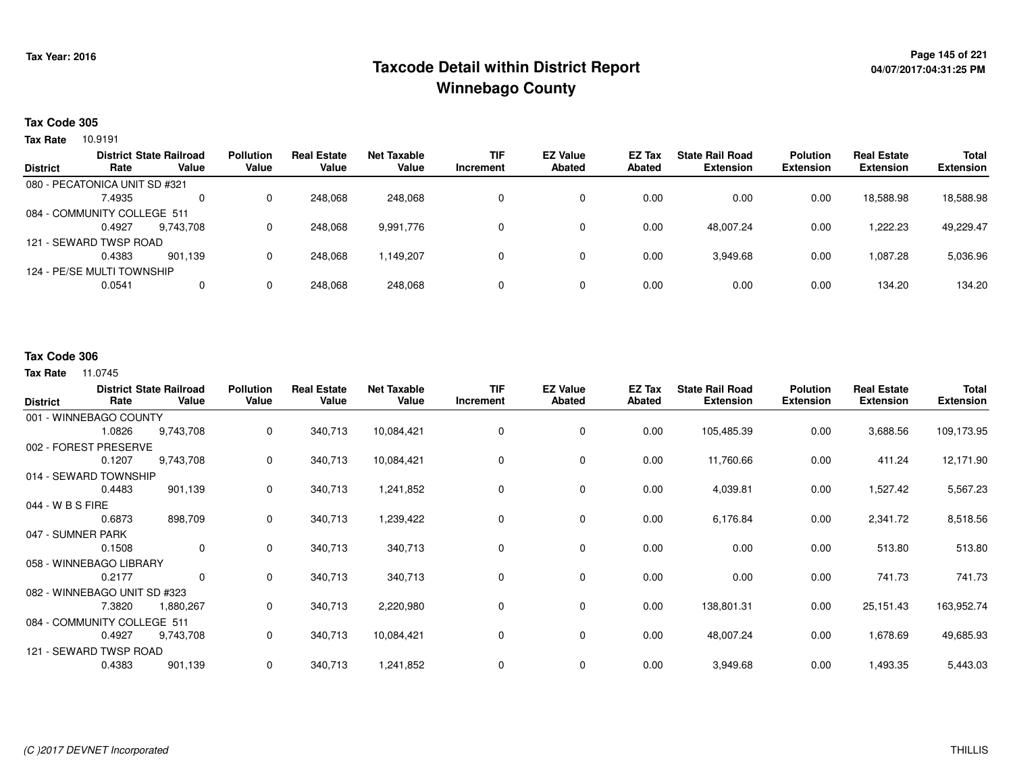## **Page 145 of 221 Taxcode Detail within District ReportWinnebago County**

#### **Tax Code 305**

**Tax Rate** 10.9191

|                 |                               | <b>District State Railroad</b> | <b>Pollution</b> | <b>Real Estate</b> | <b>Net Taxable</b> | <b>TIF</b> | <b>EZ Value</b> | <b>EZ Tax</b> | <b>State Rail Road</b> | <b>Polution</b>  | <b>Real Estate</b> | <b>Total</b>     |
|-----------------|-------------------------------|--------------------------------|------------------|--------------------|--------------------|------------|-----------------|---------------|------------------------|------------------|--------------------|------------------|
| <b>District</b> | Rate                          | Value                          | Value            | Value              | Value              | Increment  | <b>Abated</b>   | Abated        | <b>Extension</b>       | <b>Extension</b> | <b>Extension</b>   | <b>Extension</b> |
|                 | 080 - PECATONICA UNIT SD #321 |                                |                  |                    |                    |            |                 |               |                        |                  |                    |                  |
|                 | 7.4935                        | 0                              |                  | 248.068            | 248.068            |            | 0               | 0.00          | 0.00                   | 0.00             | 18,588.98          | 18,588.98        |
|                 | 084 - COMMUNITY COLLEGE 511   |                                |                  |                    |                    |            |                 |               |                        |                  |                    |                  |
|                 | 0.4927                        | 9.743.708                      |                  | 248.068            | 9,991,776          |            |                 | 0.00          | 48.007.24              | 0.00             | 1.222.23           | 49,229.47        |
|                 | 121 - SEWARD TWSP ROAD        |                                |                  |                    |                    |            |                 |               |                        |                  |                    |                  |
|                 | 0.4383                        | 901.139                        |                  | 248,068            | 1,149,207          |            |                 | 0.00          | 3,949.68               | 0.00             | 1,087.28           | 5,036.96         |
|                 | 124 - PE/SE MULTI TOWNSHIP    |                                |                  |                    |                    |            |                 |               |                        |                  |                    |                  |
|                 | 0.0541                        | 0                              |                  | 248,068            | 248,068            |            | 0               | 0.00          | 0.00                   | 0.00             | 134.20             | 134.20           |
|                 |                               |                                |                  |                    |                    |            |                 |               |                        |                  |                    |                  |

#### **Tax Code 306**

| <b>District</b>              | Rate   | <b>District State Railroad</b><br>Value | <b>Pollution</b><br>Value | <b>Real Estate</b><br>Value | <b>Net Taxable</b><br>Value | <b>TIF</b><br>Increment | <b>EZ Value</b><br><b>Abated</b> | EZ Tax<br><b>Abated</b> | <b>State Rail Road</b><br><b>Extension</b> | <b>Polution</b><br>Extension | <b>Real Estate</b><br><b>Extension</b> | Total<br><b>Extension</b> |
|------------------------------|--------|-----------------------------------------|---------------------------|-----------------------------|-----------------------------|-------------------------|----------------------------------|-------------------------|--------------------------------------------|------------------------------|----------------------------------------|---------------------------|
| 001 - WINNEBAGO COUNTY       |        |                                         |                           |                             |                             |                         |                                  |                         |                                            |                              |                                        |                           |
|                              | 1.0826 | 9,743,708                               | 0                         | 340,713                     | 10,084,421                  | 0                       | $\mathbf 0$                      | 0.00                    | 105,485.39                                 | 0.00                         | 3,688.56                               | 109,173.95                |
| 002 - FOREST PRESERVE        |        |                                         |                           |                             |                             |                         |                                  |                         |                                            |                              |                                        |                           |
|                              | 0.1207 | 9,743,708                               | 0                         | 340,713                     | 10,084,421                  | 0                       | 0                                | 0.00                    | 11,760.66                                  | 0.00                         | 411.24                                 | 12,171.90                 |
| 014 - SEWARD TOWNSHIP        |        |                                         |                           |                             |                             |                         |                                  |                         |                                            |                              |                                        |                           |
|                              | 0.4483 | 901,139                                 | 0                         | 340,713                     | 1,241,852                   | 0                       | 0                                | 0.00                    | 4,039.81                                   | 0.00                         | 1,527.42                               | 5,567.23                  |
| 044 - W B S FIRE             |        |                                         |                           |                             |                             |                         |                                  |                         |                                            |                              |                                        |                           |
|                              | 0.6873 | 898,709                                 | 0                         | 340,713                     | 1,239,422                   | 0                       | $\mathbf 0$                      | 0.00                    | 6,176.84                                   | 0.00                         | 2,341.72                               | 8,518.56                  |
| 047 - SUMNER PARK            |        |                                         |                           |                             |                             |                         |                                  |                         |                                            |                              |                                        |                           |
|                              | 0.1508 | 0                                       | 0                         | 340,713                     | 340,713                     | 0                       | $\mathbf 0$                      | 0.00                    | 0.00                                       | 0.00                         | 513.80                                 | 513.80                    |
| 058 - WINNEBAGO LIBRARY      |        |                                         |                           |                             |                             |                         |                                  |                         |                                            |                              |                                        |                           |
|                              | 0.2177 | 0                                       | 0                         | 340,713                     | 340,713                     | 0                       | 0                                | 0.00                    | 0.00                                       | 0.00                         | 741.73                                 | 741.73                    |
| 082 - WINNEBAGO UNIT SD #323 |        |                                         |                           |                             |                             |                         |                                  |                         |                                            |                              |                                        |                           |
|                              | 7.3820 | 1,880,267                               | 0                         | 340,713                     | 2,220,980                   | 0                       | 0                                | 0.00                    | 138,801.31                                 | 0.00                         | 25,151.43                              | 163,952.74                |
| 084 - COMMUNITY COLLEGE 511  |        |                                         |                           |                             |                             |                         |                                  |                         |                                            |                              |                                        |                           |
|                              | 0.4927 | 9,743,708                               | 0                         | 340,713                     | 10,084,421                  | 0                       | $\mathbf 0$                      | 0.00                    | 48,007.24                                  | 0.00                         | 1,678.69                               | 49,685.93                 |
| 121 - SEWARD TWSP ROAD       |        |                                         |                           |                             |                             |                         |                                  |                         |                                            |                              |                                        |                           |
|                              | 0.4383 | 901,139                                 | 0                         | 340,713                     | 1,241,852                   | 0                       | $\mathbf 0$                      | 0.00                    | 3,949.68                                   | 0.00                         | 1,493.35                               | 5,443.03                  |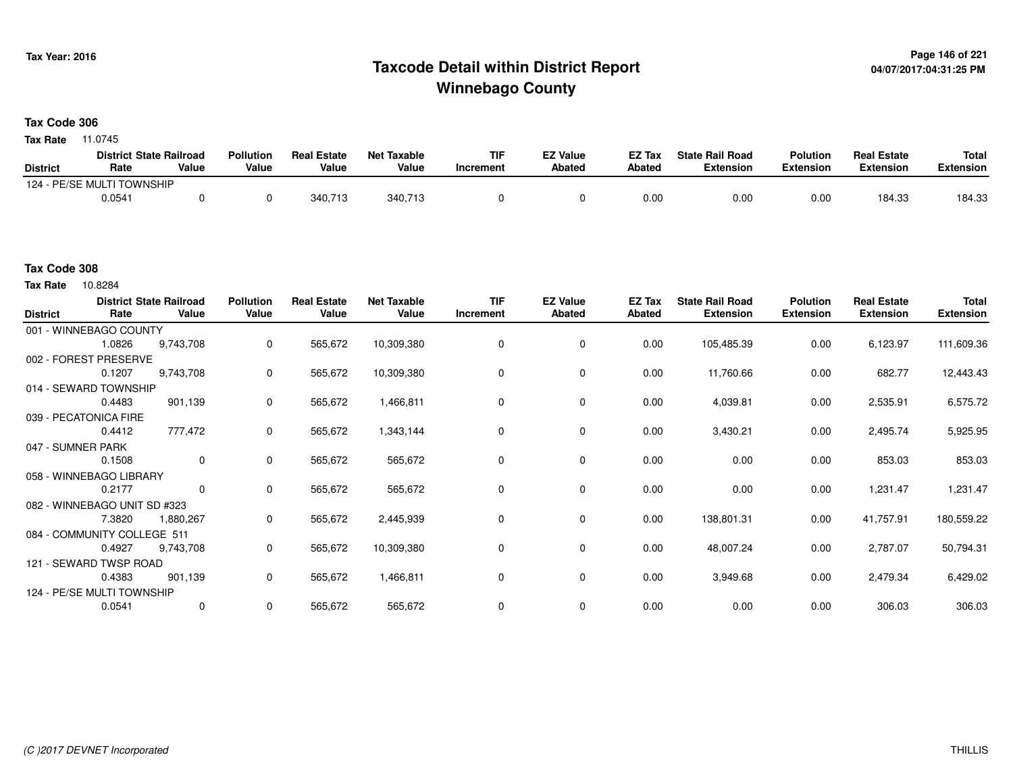## **Page 146 of 221 Taxcode Detail within District ReportWinnebago County**

#### **Tax Code 306**

11.0745 **Tax Rate**

|                 | <b>District State Railroad</b> |       | <b>Pollution</b> | <b>Real Estate</b> | <b>Net Taxable</b> | <b>TIF</b> | <b>EZ Value</b> | EZ Tax | <b>State Rail Road</b> | <b>Polution</b>  | <b>Real Estate</b> | <b>Total</b> |
|-----------------|--------------------------------|-------|------------------|--------------------|--------------------|------------|-----------------|--------|------------------------|------------------|--------------------|--------------|
| <b>District</b> | Rate                           | Value | Value            | Value              | Value              | Increment  | <b>Abated</b>   | Abated | <b>Extension</b>       | <b>Extension</b> | <b>Extension</b>   | Extension    |
|                 | 124 - PE/SE MULTI TOWNSHIP     |       |                  |                    |                    |            |                 |        |                        |                  |                    |              |
|                 | 0.0541                         |       |                  | 340.713            | 340,713            |            |                 | 0.00   | 0.00                   | 0.00             | 184.33             | 184.33       |

#### **Tax Code 308**

10.8284 **Tax Rate**

| <b>District</b>   | Rate                         | <b>District State Railroad</b><br>Value | <b>Pollution</b><br>Value | <b>Real Estate</b><br>Value | <b>Net Taxable</b><br>Value | <b>TIF</b><br>Increment | <b>EZ Value</b><br><b>Abated</b> | EZ Tax<br><b>Abated</b> | <b>State Rail Road</b><br><b>Extension</b> | <b>Polution</b><br><b>Extension</b> | <b>Real Estate</b><br><b>Extension</b> | <b>Total</b><br><b>Extension</b> |
|-------------------|------------------------------|-----------------------------------------|---------------------------|-----------------------------|-----------------------------|-------------------------|----------------------------------|-------------------------|--------------------------------------------|-------------------------------------|----------------------------------------|----------------------------------|
|                   | 001 - WINNEBAGO COUNTY       |                                         |                           |                             |                             |                         |                                  |                         |                                            |                                     |                                        |                                  |
|                   | 1.0826                       | 9,743,708                               | 0                         | 565,672                     | 10,309,380                  |                         | 0                                | 0.00                    | 105,485.39                                 | 0.00                                | 6,123.97                               | 111,609.36                       |
|                   | 002 - FOREST PRESERVE        |                                         |                           |                             |                             |                         |                                  |                         |                                            |                                     |                                        |                                  |
|                   | 0.1207                       | 9,743,708                               | 0                         | 565,672                     | 10,309,380                  | $\Omega$                | 0                                | 0.00                    | 11,760.66                                  | 0.00                                | 682.77                                 | 12,443.43                        |
|                   | 014 - SEWARD TOWNSHIP        |                                         |                           |                             |                             |                         |                                  |                         |                                            |                                     |                                        |                                  |
|                   | 0.4483                       | 901,139                                 | 0                         | 565,672                     | 1,466,811                   | $\Omega$                | 0                                | 0.00                    | 4,039.81                                   | 0.00                                | 2,535.91                               | 6,575.72                         |
|                   | 039 - PECATONICA FIRE        |                                         |                           |                             |                             |                         |                                  |                         |                                            |                                     |                                        |                                  |
|                   | 0.4412                       | 777,472                                 | 0                         | 565,672                     | 1,343,144                   | 0                       | 0                                | 0.00                    | 3,430.21                                   | 0.00                                | 2,495.74                               | 5,925.95                         |
| 047 - SUMNER PARK |                              |                                         |                           |                             |                             |                         |                                  |                         |                                            |                                     |                                        |                                  |
|                   | 0.1508                       | $\mathbf 0$                             | $\mathbf 0$               | 565,672                     | 565,672                     | 0                       | 0                                | 0.00                    | 0.00                                       | 0.00                                | 853.03                                 | 853.03                           |
|                   | 058 - WINNEBAGO LIBRARY      |                                         |                           |                             |                             |                         |                                  |                         |                                            |                                     |                                        |                                  |
|                   | 0.2177                       | 0                                       | 0                         | 565,672                     | 565,672                     | 0                       | 0                                | 0.00                    | 0.00                                       | 0.00                                | 1,231.47                               | 1,231.47                         |
|                   | 082 - WINNEBAGO UNIT SD #323 |                                         |                           |                             |                             |                         |                                  |                         |                                            |                                     |                                        |                                  |
|                   | 7.3820                       | 1,880,267                               | 0                         | 565,672                     | 2,445,939                   | $\Omega$                | 0                                | 0.00                    | 138,801.31                                 | 0.00                                | 41,757.91                              | 180,559.22                       |
|                   | 084 - COMMUNITY COLLEGE 511  |                                         |                           |                             |                             |                         |                                  |                         |                                            |                                     |                                        |                                  |
|                   | 0.4927                       | 9,743,708                               | 0                         | 565,672                     | 10,309,380                  | $\Omega$                | 0                                | 0.00                    | 48,007.24                                  | 0.00                                | 2,787.07                               | 50,794.31                        |
|                   | 121 - SEWARD TWSP ROAD       |                                         |                           |                             |                             |                         |                                  |                         |                                            |                                     |                                        |                                  |
|                   | 0.4383                       | 901,139                                 | 0                         | 565,672                     | 1,466,811                   | 0                       | 0                                | 0.00                    | 3,949.68                                   | 0.00                                | 2,479.34                               | 6,429.02                         |
|                   | 124 - PE/SE MULTI TOWNSHIP   |                                         |                           |                             |                             |                         |                                  |                         |                                            |                                     |                                        |                                  |
|                   | 0.0541                       | 0                                       | 0                         | 565,672                     | 565,672                     | $\mathbf 0$             | 0                                | 0.00                    | 0.00                                       | 0.00                                | 306.03                                 | 306.03                           |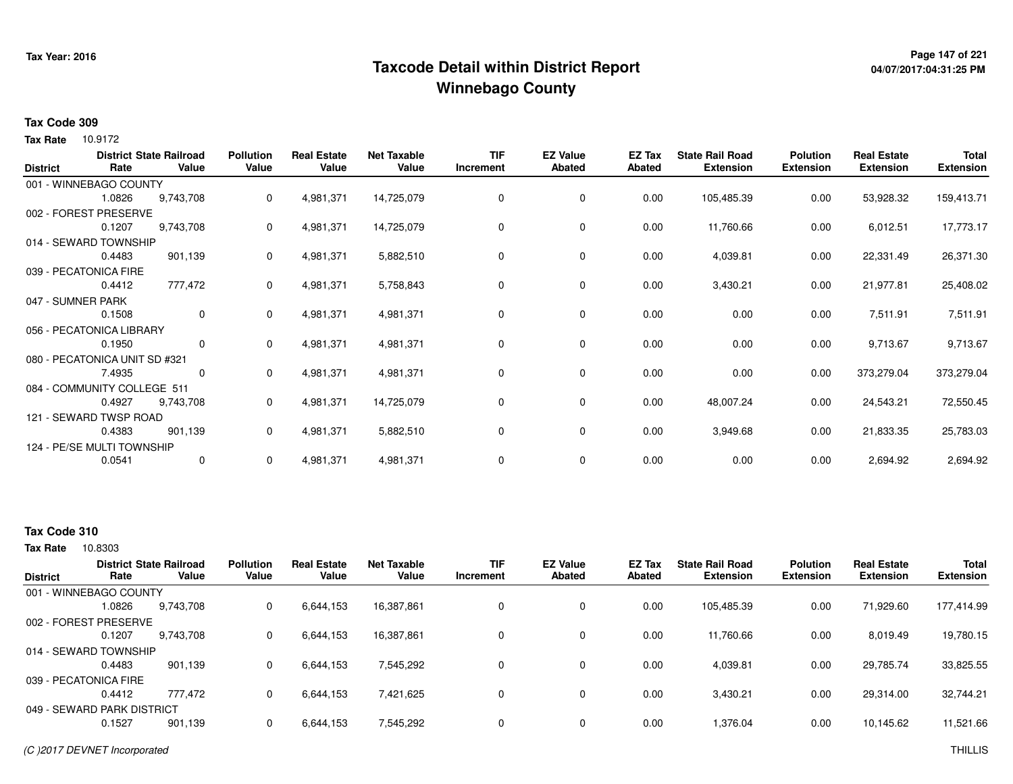## **Page 147 of 221 Taxcode Detail within District ReportWinnebago County**

# **04/07/2017:04:31:25 PM**

#### **Tax Code 309**

Tax Rate 10.9172

| <b>District</b>   | Rate                          | <b>District State Railroad</b><br>Value | <b>Pollution</b><br>Value | <b>Real Estate</b><br>Value | <b>Net Taxable</b><br>Value | <b>TIF</b><br>Increment | <b>EZ Value</b><br><b>Abated</b> | EZ Tax<br><b>Abated</b> | <b>State Rail Road</b><br><b>Extension</b> | <b>Polution</b><br><b>Extension</b> | <b>Real Estate</b><br><b>Extension</b> | <b>Total</b><br><b>Extension</b> |
|-------------------|-------------------------------|-----------------------------------------|---------------------------|-----------------------------|-----------------------------|-------------------------|----------------------------------|-------------------------|--------------------------------------------|-------------------------------------|----------------------------------------|----------------------------------|
|                   | 001 - WINNEBAGO COUNTY        |                                         |                           |                             |                             |                         |                                  |                         |                                            |                                     |                                        |                                  |
|                   | 1.0826                        | 9,743,708                               | 0                         | 4,981,371                   | 14,725,079                  | 0                       | 0                                | 0.00                    | 105,485.39                                 | 0.00                                | 53,928.32                              | 159,413.71                       |
|                   | 002 - FOREST PRESERVE         |                                         |                           |                             |                             |                         |                                  |                         |                                            |                                     |                                        |                                  |
|                   | 0.1207                        | 9,743,708                               | 0                         | 4,981,371                   | 14,725,079                  | 0                       | 0                                | 0.00                    | 11,760.66                                  | 0.00                                | 6,012.51                               | 17,773.17                        |
|                   | 014 - SEWARD TOWNSHIP         |                                         |                           |                             |                             |                         |                                  |                         |                                            |                                     |                                        |                                  |
|                   | 0.4483                        | 901,139                                 | 0                         | 4,981,371                   | 5,882,510                   | 0                       | 0                                | 0.00                    | 4,039.81                                   | 0.00                                | 22,331.49                              | 26,371.30                        |
|                   | 039 - PECATONICA FIRE         |                                         |                           |                             |                             |                         |                                  |                         |                                            |                                     |                                        |                                  |
|                   | 0.4412                        | 777,472                                 | 0                         | 4,981,371                   | 5,758,843                   | 0                       | 0                                | 0.00                    | 3,430.21                                   | 0.00                                | 21,977.81                              | 25,408.02                        |
| 047 - SUMNER PARK |                               |                                         |                           |                             |                             |                         |                                  |                         |                                            |                                     |                                        |                                  |
|                   | 0.1508                        | $\mathbf 0$                             | 0                         | 4,981,371                   | 4,981,371                   | 0                       | 0                                | 0.00                    | 0.00                                       | 0.00                                | 7,511.91                               | 7,511.91                         |
|                   | 056 - PECATONICA LIBRARY      |                                         |                           |                             |                             |                         |                                  |                         |                                            |                                     |                                        |                                  |
|                   | 0.1950                        | $\mathbf{0}$                            | 0                         | 4,981,371                   | 4,981,371                   | 0                       | 0                                | 0.00                    | 0.00                                       | 0.00                                | 9,713.67                               | 9,713.67                         |
|                   | 080 - PECATONICA UNIT SD #321 |                                         |                           |                             |                             |                         |                                  |                         |                                            |                                     |                                        |                                  |
|                   | 7.4935                        | 0                                       | 0                         | 4,981,371                   | 4,981,371                   | 0                       | 0                                | 0.00                    | 0.00                                       | 0.00                                | 373,279.04                             | 373,279.04                       |
|                   | 084 - COMMUNITY COLLEGE 511   |                                         |                           |                             |                             |                         |                                  |                         |                                            |                                     |                                        |                                  |
|                   | 0.4927                        | 9,743,708                               | 0                         | 4,981,371                   | 14,725,079                  | 0                       | 0                                | 0.00                    | 48,007.24                                  | 0.00                                | 24,543.21                              | 72,550.45                        |
|                   | 121 - SEWARD TWSP ROAD        |                                         |                           |                             |                             |                         |                                  |                         |                                            |                                     |                                        |                                  |
|                   | 0.4383                        | 901,139                                 | 0                         | 4,981,371                   | 5,882,510                   | 0                       | 0                                | 0.00                    | 3,949.68                                   | 0.00                                | 21,833.35                              | 25,783.03                        |
|                   | 124 - PE/SE MULTI TOWNSHIP    |                                         |                           |                             |                             |                         |                                  |                         |                                            |                                     |                                        |                                  |
|                   | 0.0541                        | $\mathbf 0$                             | 0                         | 4,981,371                   | 4,981,371                   | 0                       | 0                                | 0.00                    | 0.00                                       | 0.00                                | 2,694.92                               | 2,694.92                         |

#### **Tax Code 310**

| <b>District</b> | Rate                       | <b>District State Railroad</b><br>Value | <b>Pollution</b><br>Value | <b>Real Estate</b><br>Value | <b>Net Taxable</b><br>Value | <b>TIF</b><br>Increment | <b>EZ Value</b><br><b>Abated</b> | EZ Tax<br>Abated | <b>State Rail Road</b><br><b>Extension</b> | <b>Polution</b><br><b>Extension</b> | <b>Real Estate</b><br><b>Extension</b> | <b>Total</b><br><b>Extension</b> |
|-----------------|----------------------------|-----------------------------------------|---------------------------|-----------------------------|-----------------------------|-------------------------|----------------------------------|------------------|--------------------------------------------|-------------------------------------|----------------------------------------|----------------------------------|
|                 | 001 - WINNEBAGO COUNTY     |                                         |                           |                             |                             |                         |                                  |                  |                                            |                                     |                                        |                                  |
|                 | 1.0826                     | 9,743,708                               | 0                         | 6,644,153                   | 16,387,861                  |                         | 0                                | 0.00             | 105,485.39                                 | 0.00                                | 71,929.60                              | 177,414.99                       |
|                 | 002 - FOREST PRESERVE      |                                         |                           |                             |                             |                         |                                  |                  |                                            |                                     |                                        |                                  |
|                 | 0.1207                     | 9,743,708                               | 0                         | 6,644,153                   | 16,387,861                  |                         | 0                                | 0.00             | 11,760.66                                  | 0.00                                | 8,019.49                               | 19,780.15                        |
|                 | 014 - SEWARD TOWNSHIP      |                                         |                           |                             |                             |                         |                                  |                  |                                            |                                     |                                        |                                  |
|                 | 0.4483                     | 901.139                                 | 0                         | 6,644,153                   | 7,545,292                   |                         | 0                                | 0.00             | 4.039.81                                   | 0.00                                | 29,785.74                              | 33,825.55                        |
|                 | 039 - PECATONICA FIRE      |                                         |                           |                             |                             |                         |                                  |                  |                                            |                                     |                                        |                                  |
|                 | 0.4412                     | 777.472                                 | 0                         | 6,644,153                   | 7,421,625                   |                         | 0                                | 0.00             | 3,430.21                                   | 0.00                                | 29,314.00                              | 32,744.21                        |
|                 | 049 - SEWARD PARK DISTRICT |                                         |                           |                             |                             |                         |                                  |                  |                                            |                                     |                                        |                                  |
|                 | 0.1527                     | 901,139                                 | $\Omega$                  | 6,644,153                   | 7,545,292                   |                         | 0                                | 0.00             | 1,376.04                                   | 0.00                                | 10,145.62                              | 11,521.66                        |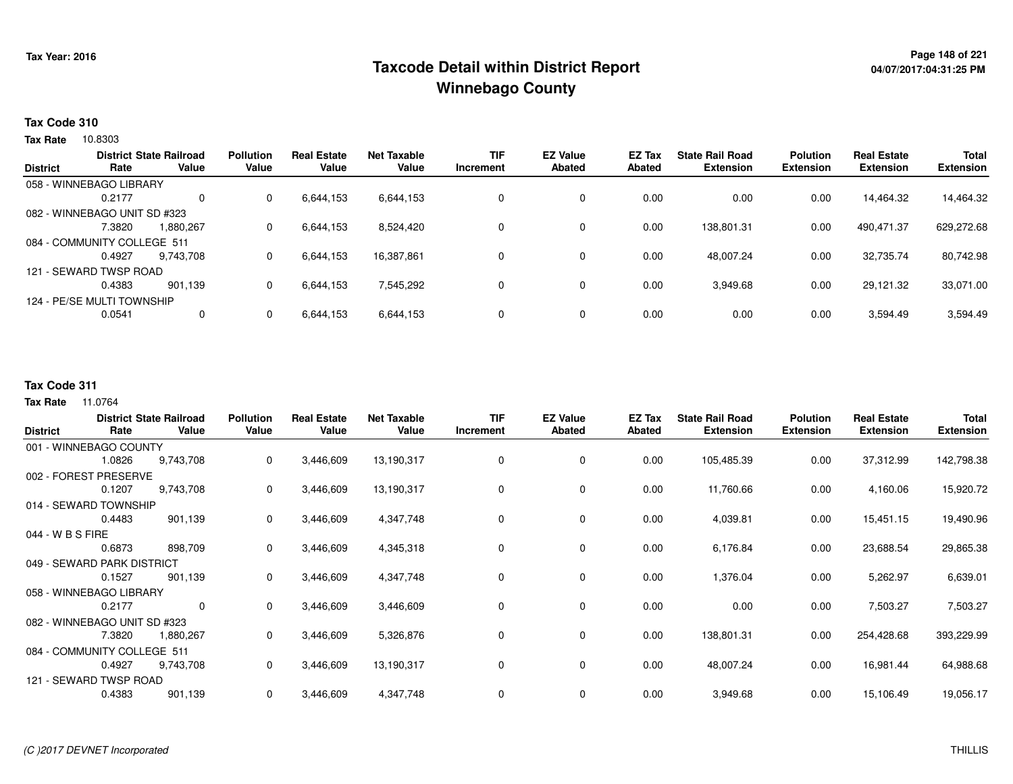## **Page 148 of 221 Taxcode Detail within District ReportWinnebago County**

#### **Tax Code 310**

**Tax Rate** 10.8303

| <b>District</b> | Rate                         | <b>District State Railroad</b><br>Value | <b>Pollution</b><br>Value | <b>Real Estate</b><br>Value | <b>Net Taxable</b><br>Value | <b>TIF</b><br>Increment | <b>EZ Value</b><br><b>Abated</b> | <b>EZ Tax</b><br>Abated | <b>State Rail Road</b><br><b>Extension</b> | <b>Polution</b><br><b>Extension</b> | <b>Real Estate</b><br><b>Extension</b> | <b>Total</b><br><b>Extension</b> |
|-----------------|------------------------------|-----------------------------------------|---------------------------|-----------------------------|-----------------------------|-------------------------|----------------------------------|-------------------------|--------------------------------------------|-------------------------------------|----------------------------------------|----------------------------------|
|                 | 058 - WINNEBAGO LIBRARY      |                                         |                           |                             |                             |                         |                                  |                         |                                            |                                     |                                        |                                  |
|                 |                              |                                         |                           |                             |                             |                         |                                  |                         |                                            |                                     |                                        |                                  |
|                 | 0.2177                       | 0                                       | 0                         | 6,644,153                   | 6,644,153                   | 0                       | 0                                | 0.00                    | 0.00                                       | 0.00                                | 14,464.32                              | 14,464.32                        |
|                 | 082 - WINNEBAGO UNIT SD #323 |                                         |                           |                             |                             |                         |                                  |                         |                                            |                                     |                                        |                                  |
|                 | 7.3820                       | 1,880,267                               | 0                         | 6,644,153                   | 8,524,420                   | 0                       | 0                                | 0.00                    | 138,801.31                                 | 0.00                                | 490,471.37                             | 629,272.68                       |
|                 | 084 - COMMUNITY COLLEGE 511  |                                         |                           |                             |                             |                         |                                  |                         |                                            |                                     |                                        |                                  |
|                 | 0.4927                       | 9.743.708                               | 0                         | 6,644,153                   | 16,387,861                  | 0                       | 0                                | 0.00                    | 48,007.24                                  | 0.00                                | 32,735.74                              | 80,742.98                        |
|                 | 121 - SEWARD TWSP ROAD       |                                         |                           |                             |                             |                         |                                  |                         |                                            |                                     |                                        |                                  |
|                 | 0.4383                       | 901.139                                 | 0                         | 6,644,153                   | 7,545,292                   | 0                       | 0                                | 0.00                    | 3,949.68                                   | 0.00                                | 29,121.32                              | 33,071.00                        |
|                 | 124 - PE/SE MULTI TOWNSHIP   |                                         |                           |                             |                             |                         |                                  |                         |                                            |                                     |                                        |                                  |
|                 | 0.0541                       | 0                                       | 0                         | 6,644,153                   | 6,644,153                   | 0                       | 0                                | 0.00                    | 0.00                                       | 0.00                                | 3,594.49                               | 3,594.49                         |
|                 |                              |                                         |                           |                             |                             |                         |                                  |                         |                                            |                                     |                                        |                                  |

#### **Tax Code 311**

11.0764 **Tax Rate**

| <b>District</b>  | Rate                         | <b>District State Railroad</b><br>Value | <b>Pollution</b><br>Value | <b>Real Estate</b><br>Value | <b>Net Taxable</b><br>Value | <b>TIF</b><br>Increment | <b>EZ Value</b><br><b>Abated</b> | EZ Tax<br><b>Abated</b> | <b>State Rail Road</b><br><b>Extension</b> | <b>Polution</b><br><b>Extension</b> | <b>Real Estate</b><br><b>Extension</b> | Total<br><b>Extension</b> |
|------------------|------------------------------|-----------------------------------------|---------------------------|-----------------------------|-----------------------------|-------------------------|----------------------------------|-------------------------|--------------------------------------------|-------------------------------------|----------------------------------------|---------------------------|
|                  | 001 - WINNEBAGO COUNTY       |                                         |                           |                             |                             |                         |                                  |                         |                                            |                                     |                                        |                           |
|                  | 1.0826                       | 9,743,708                               | $\mathbf 0$               | 3,446,609                   | 13,190,317                  | $\Omega$                | 0                                | 0.00                    | 105,485.39                                 | 0.00                                | 37,312.99                              | 142,798.38                |
|                  | 002 - FOREST PRESERVE        |                                         |                           |                             |                             |                         |                                  |                         |                                            |                                     |                                        |                           |
|                  | 0.1207                       | 9,743,708                               | $\mathbf 0$               | 3,446,609                   | 13,190,317                  | 0                       | 0                                | 0.00                    | 11,760.66                                  | 0.00                                | 4,160.06                               | 15,920.72                 |
|                  | 014 - SEWARD TOWNSHIP        |                                         |                           |                             |                             |                         |                                  |                         |                                            |                                     |                                        |                           |
|                  | 0.4483                       | 901,139                                 | 0                         | 3,446,609                   | 4,347,748                   | 0                       | 0                                | 0.00                    | 4,039.81                                   | 0.00                                | 15,451.15                              | 19,490.96                 |
| 044 - W B S FIRE |                              |                                         |                           |                             |                             |                         |                                  |                         |                                            |                                     |                                        |                           |
|                  | 0.6873                       | 898,709                                 | $\Omega$                  | 3,446,609                   | 4,345,318                   | $\Omega$                | 0                                | 0.00                    | 6,176.84                                   | 0.00                                | 23,688.54                              | 29,865.38                 |
|                  | 049 - SEWARD PARK DISTRICT   |                                         |                           |                             |                             |                         |                                  |                         |                                            |                                     |                                        |                           |
|                  | 0.1527                       | 901,139                                 | $\mathbf 0$               | 3,446,609                   | 4,347,748                   | 0                       | 0                                | 0.00                    | 1,376.04                                   | 0.00                                | 5,262.97                               | 6,639.01                  |
|                  | 058 - WINNEBAGO LIBRARY      |                                         |                           |                             |                             |                         |                                  |                         |                                            |                                     |                                        |                           |
|                  | 0.2177                       | 0                                       | $\mathbf{0}$              | 3,446,609                   | 3,446,609                   | 0                       | 0                                | 0.00                    | 0.00                                       | 0.00                                | 7,503.27                               | 7,503.27                  |
|                  | 082 - WINNEBAGO UNIT SD #323 |                                         |                           |                             |                             |                         |                                  |                         |                                            |                                     |                                        |                           |
|                  | 7.3820                       | 1,880,267                               | $\mathbf 0$               | 3,446,609                   | 5,326,876                   | 0                       | 0                                | 0.00                    | 138,801.31                                 | 0.00                                | 254,428.68                             | 393,229.99                |
|                  | 084 - COMMUNITY COLLEGE 511  |                                         |                           |                             |                             |                         |                                  |                         |                                            |                                     |                                        |                           |
|                  | 0.4927                       | 9,743,708                               | 0                         | 3,446,609                   | 13,190,317                  | 0                       | 0                                | 0.00                    | 48,007.24                                  | 0.00                                | 16,981.44                              | 64,988.68                 |
|                  | 121 - SEWARD TWSP ROAD       |                                         |                           |                             |                             |                         |                                  |                         |                                            |                                     |                                        |                           |
|                  | 0.4383                       | 901,139                                 | $\mathbf 0$               | 3,446,609                   | 4,347,748                   | $\mathbf 0$             | 0                                | 0.00                    | 3,949.68                                   | 0.00                                | 15,106.49                              | 19,056.17                 |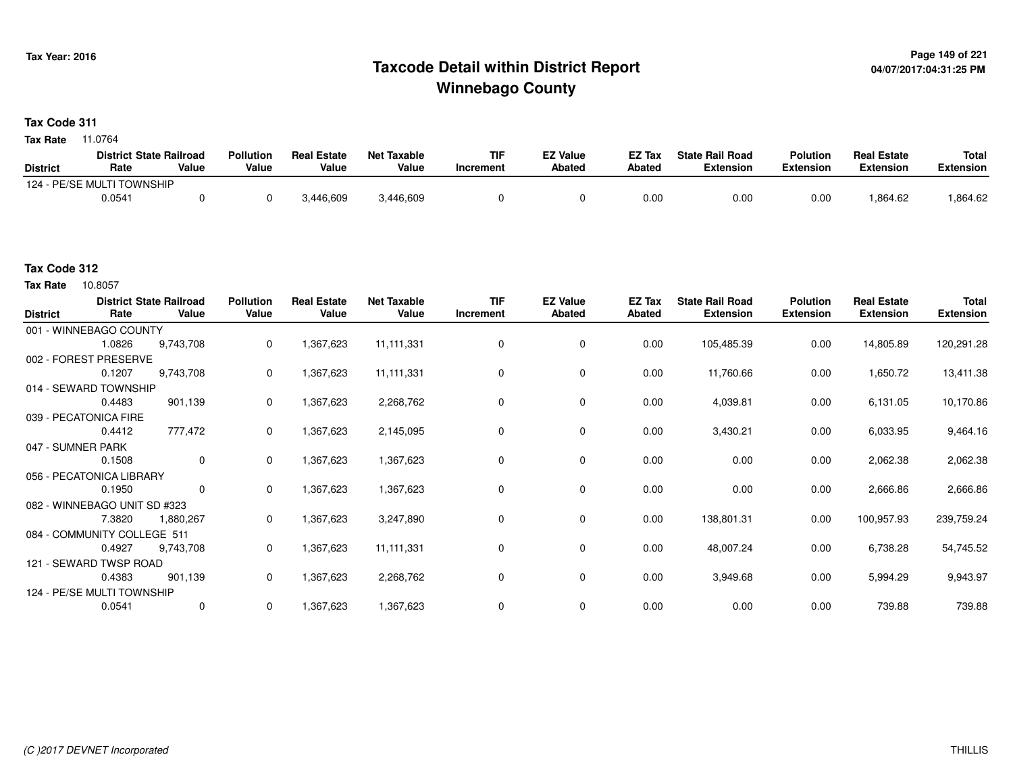## **Page 149 of 221 Taxcode Detail within District ReportWinnebago County**

#### **Tax Code 311**

11.0764 **Tax Rate**

|                 | <b>District State Railroad</b> |       | <b>Pollution</b> | <b>Real Estate</b> | Net Taxable | TIF       | <b>EZ Value</b> | <b>EZ Tax</b> | <b>State Rail Road</b> | <b>Polution</b>  | <b>Real Estate</b> | <b>Total</b> |
|-----------------|--------------------------------|-------|------------------|--------------------|-------------|-----------|-----------------|---------------|------------------------|------------------|--------------------|--------------|
| <b>District</b> | Rate                           | Value | Value            | Value              | Value       | Increment | <b>Abated</b>   | Abated        | <b>Extension</b>       | <b>Extension</b> | <b>Extension</b>   | Extension    |
|                 | 124 - PE/SE MULTI TOWNSHIP     |       |                  |                    |             |           |                 |               |                        |                  |                    |              |
|                 | 0.0541                         |       |                  | 3,446,609          | 3,446,609   |           |                 | 0.00          | 0.00                   | 0.00             | 0.864.62           | .864.62      |

#### **Tax Code 312**

10.8057 **Tax Rate**

| <b>District</b>   | Rate                         | <b>District State Railroad</b><br>Value | <b>Pollution</b><br>Value | <b>Real Estate</b><br>Value | <b>Net Taxable</b><br>Value | <b>TIF</b><br>Increment | <b>EZ Value</b><br>Abated | <b>EZ Tax</b><br>Abated | <b>State Rail Road</b><br><b>Extension</b> | <b>Polution</b><br><b>Extension</b> | <b>Real Estate</b><br><b>Extension</b> | <b>Total</b><br><b>Extension</b> |
|-------------------|------------------------------|-----------------------------------------|---------------------------|-----------------------------|-----------------------------|-------------------------|---------------------------|-------------------------|--------------------------------------------|-------------------------------------|----------------------------------------|----------------------------------|
|                   | 001 - WINNEBAGO COUNTY       |                                         |                           |                             |                             |                         |                           |                         |                                            |                                     |                                        |                                  |
|                   | 1.0826                       | 9,743,708                               | $\mathbf{0}$              | 1,367,623                   | 11, 111, 331                | 0                       | 0                         | 0.00                    | 105,485.39                                 | 0.00                                | 14,805.89                              | 120,291.28                       |
|                   | 002 - FOREST PRESERVE        |                                         |                           |                             |                             |                         |                           |                         |                                            |                                     |                                        |                                  |
|                   | 0.1207                       | 9,743,708                               | 0                         | 1,367,623                   | 11,111,331                  | $\Omega$                | 0                         | 0.00                    | 11,760.66                                  | 0.00                                | 1,650.72                               | 13,411.38                        |
|                   | 014 - SEWARD TOWNSHIP        |                                         |                           |                             |                             |                         |                           |                         |                                            |                                     |                                        |                                  |
|                   | 0.4483                       | 901,139                                 | $\mathbf{0}$              | 1,367,623                   | 2,268,762                   | 0                       | 0                         | 0.00                    | 4,039.81                                   | 0.00                                | 6,131.05                               | 10,170.86                        |
|                   | 039 - PECATONICA FIRE        |                                         |                           |                             |                             |                         |                           |                         |                                            |                                     |                                        |                                  |
|                   | 0.4412                       | 777,472                                 | 0                         | 1,367,623                   | 2,145,095                   | 0                       | 0                         | 0.00                    | 3,430.21                                   | 0.00                                | 6,033.95                               | 9,464.16                         |
| 047 - SUMNER PARK |                              |                                         |                           |                             |                             |                         |                           |                         |                                            |                                     |                                        |                                  |
|                   | 0.1508                       | 0                                       | $\mathbf{0}$              | 1,367,623                   | 1,367,623                   | 0                       | 0                         | 0.00                    | 0.00                                       | 0.00                                | 2,062.38                               | 2,062.38                         |
|                   | 056 - PECATONICA LIBRARY     |                                         |                           |                             |                             |                         |                           |                         |                                            |                                     |                                        |                                  |
|                   | 0.1950                       | 0                                       | $\mathbf{0}$              | 1,367,623                   | 1,367,623                   | 0                       | 0                         | 0.00                    | 0.00                                       | 0.00                                | 2,666.86                               | 2,666.86                         |
|                   | 082 - WINNEBAGO UNIT SD #323 |                                         |                           |                             |                             |                         |                           |                         |                                            |                                     |                                        |                                  |
|                   | 7.3820                       | 1,880,267                               | $\mathbf{0}$              | 1,367,623                   | 3,247,890                   | 0                       | 0                         | 0.00                    | 138,801.31                                 | 0.00                                | 100,957.93                             | 239,759.24                       |
|                   | 084 - COMMUNITY COLLEGE 511  |                                         |                           |                             |                             |                         |                           |                         |                                            |                                     |                                        |                                  |
|                   | 0.4927                       | 9,743,708                               | $\mathbf{0}$              | 1,367,623                   | 11,111,331                  | 0                       | 0                         | 0.00                    | 48,007.24                                  | 0.00                                | 6,738.28                               | 54,745.52                        |
|                   | 121 - SEWARD TWSP ROAD       |                                         |                           |                             |                             |                         |                           |                         |                                            |                                     |                                        |                                  |
|                   | 0.4383                       | 901,139                                 | $\mathbf{0}$              | 1,367,623                   | 2,268,762                   | 0                       | 0                         | 0.00                    | 3,949.68                                   | 0.00                                | 5,994.29                               | 9,943.97                         |
|                   | 124 - PE/SE MULTI TOWNSHIP   |                                         |                           |                             |                             |                         |                           |                         |                                            |                                     |                                        |                                  |
|                   | 0.0541                       | 0                                       | 0                         | 1,367,623                   | 1,367,623                   | 0                       | 0                         | 0.00                    | 0.00                                       | 0.00                                | 739.88                                 | 739.88                           |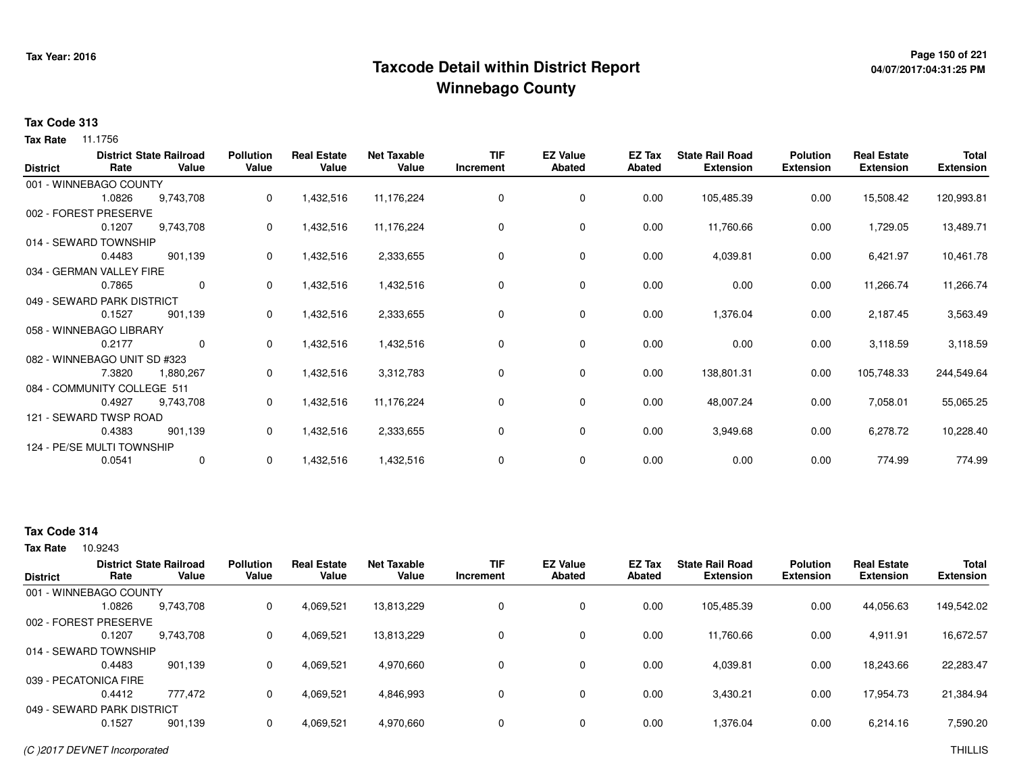## **Page 150 of 221 Taxcode Detail within District ReportWinnebago County**

# **04/07/2017:04:31:25 PM**

#### **Tax Code 313**

**Tax Rate** 11.1756

| <b>District</b> | Rate                         | <b>District State Railroad</b><br>Value | <b>Pollution</b><br>Value | <b>Real Estate</b><br>Value | <b>Net Taxable</b><br>Value | <b>TIF</b><br>Increment | <b>EZ Value</b><br><b>Abated</b> | EZ Tax<br>Abated | <b>State Rail Road</b><br><b>Extension</b> | <b>Polution</b><br><b>Extension</b> | <b>Real Estate</b><br><b>Extension</b> | <b>Total</b><br><b>Extension</b> |
|-----------------|------------------------------|-----------------------------------------|---------------------------|-----------------------------|-----------------------------|-------------------------|----------------------------------|------------------|--------------------------------------------|-------------------------------------|----------------------------------------|----------------------------------|
|                 | 001 - WINNEBAGO COUNTY       |                                         |                           |                             |                             |                         |                                  |                  |                                            |                                     |                                        |                                  |
|                 | 1.0826                       | 9,743,708                               | 0                         | 1,432,516                   | 11,176,224                  | $\Omega$                | $\mathbf 0$                      | 0.00             | 105,485.39                                 | 0.00                                | 15,508.42                              | 120,993.81                       |
|                 | 002 - FOREST PRESERVE        |                                         |                           |                             |                             |                         |                                  |                  |                                            |                                     |                                        |                                  |
|                 | 0.1207                       | 9,743,708                               | 0                         | 1,432,516                   | 11,176,224                  | 0                       | 0                                | 0.00             | 11,760.66                                  | 0.00                                | 1,729.05                               | 13,489.71                        |
|                 | 014 - SEWARD TOWNSHIP        |                                         |                           |                             |                             |                         |                                  |                  |                                            |                                     |                                        |                                  |
|                 | 0.4483                       | 901,139                                 | 0                         | 1,432,516                   | 2,333,655                   | 0                       | 0                                | 0.00             | 4,039.81                                   | 0.00                                | 6,421.97                               | 10,461.78                        |
|                 | 034 - GERMAN VALLEY FIRE     |                                         |                           |                             |                             |                         |                                  |                  |                                            |                                     |                                        |                                  |
|                 | 0.7865                       | 0                                       | 0                         | 1,432,516                   | 1,432,516                   | 0                       | $\mathbf 0$                      | 0.00             | 0.00                                       | 0.00                                | 11,266.74                              | 11,266.74                        |
|                 | 049 - SEWARD PARK DISTRICT   |                                         |                           |                             |                             |                         |                                  |                  |                                            |                                     |                                        |                                  |
|                 | 0.1527                       | 901,139                                 | 0                         | 1,432,516                   | 2,333,655                   | 0                       | 0                                | 0.00             | 1,376.04                                   | 0.00                                | 2,187.45                               | 3,563.49                         |
|                 | 058 - WINNEBAGO LIBRARY      |                                         |                           |                             |                             |                         |                                  |                  |                                            |                                     |                                        |                                  |
|                 | 0.2177                       | $\mathbf 0$                             | 0                         | 1,432,516                   | 1,432,516                   | 0                       | 0                                | 0.00             | 0.00                                       | 0.00                                | 3,118.59                               | 3,118.59                         |
|                 | 082 - WINNEBAGO UNIT SD #323 |                                         |                           |                             |                             |                         |                                  |                  |                                            |                                     |                                        |                                  |
|                 | 7.3820                       | 1,880,267                               | 0                         | 1,432,516                   | 3,312,783                   | 0                       | 0                                | 0.00             | 138,801.31                                 | 0.00                                | 105,748.33                             | 244,549.64                       |
|                 | 084 - COMMUNITY COLLEGE 511  |                                         |                           |                             |                             |                         |                                  |                  |                                            |                                     |                                        |                                  |
|                 | 0.4927                       | 9,743,708                               | $\Omega$                  | 1,432,516                   | 11,176,224                  | 0                       | 0                                | 0.00             | 48,007.24                                  | 0.00                                | 7,058.01                               | 55,065.25                        |
|                 | 121 - SEWARD TWSP ROAD       |                                         |                           |                             |                             |                         |                                  |                  |                                            |                                     |                                        |                                  |
|                 | 0.4383                       | 901,139                                 | 0                         | 1,432,516                   | 2,333,655                   | 0                       | 0                                | 0.00             | 3,949.68                                   | 0.00                                | 6,278.72                               | 10,228.40                        |
|                 | 124 - PE/SE MULTI TOWNSHIP   |                                         |                           |                             |                             |                         |                                  |                  |                                            |                                     |                                        |                                  |
|                 | 0.0541                       | 0                                       | 0                         | 1,432,516                   | 1,432,516                   | 0                       | 0                                | 0.00             | 0.00                                       | 0.00                                | 774.99                                 | 774.99                           |

#### **Tax Code 314**

|                         |      |            | Abated | <b>Abated</b> | Increment | Value      | Value     | Value | <b>District State Railroad</b><br>Value | Rate                       | <b>District</b> |
|-------------------------|------|------------|--------|---------------|-----------|------------|-----------|-------|-----------------------------------------|----------------------------|-----------------|
|                         |      |            |        |               |           |            |           |       |                                         | 001 - WINNEBAGO COUNTY     |                 |
| 44,056.63<br>149,542.02 | 0.00 | 105,485.39 | 0.00   | 0             | 0         | 13,813,229 | 4,069,521 | 0     | 9,743,708                               | 1.0826                     |                 |
|                         |      |            |        |               |           |            |           |       |                                         | 002 - FOREST PRESERVE      |                 |
| 16,672.57<br>4.911.91   | 0.00 | 11,760.66  | 0.00   | 0             | 0         | 13,813,229 | 4,069,521 | 0     | 9,743,708                               | 0.1207                     |                 |
|                         |      |            |        |               |           |            |           |       |                                         | 014 - SEWARD TOWNSHIP      |                 |
| 22,283.47<br>18.243.66  | 0.00 | 4,039.81   | 0.00   | 0             | 0         | 4,970,660  | 4,069,521 | 0     | 901.139                                 | 0.4483                     |                 |
|                         |      |            |        |               |           |            |           |       |                                         | 039 - PECATONICA FIRE      |                 |
| 17,954.73<br>21,384.94  | 0.00 | 3,430.21   | 0.00   | $\Omega$      | 0         | 4,846,993  | 4,069,521 | 0     | 777.472                                 | 0.4412                     |                 |
|                         |      |            |        |               |           |            |           |       |                                         | 049 - SEWARD PARK DISTRICT |                 |
| 7,590.20<br>6,214.16    | 0.00 | 1,376.04   | 0.00   | 0             | $\Omega$  | 4,970,660  | 4,069,521 | 0     | 901,139                                 | 0.1527                     |                 |
|                         |      |            |        |               |           |            |           |       |                                         |                            |                 |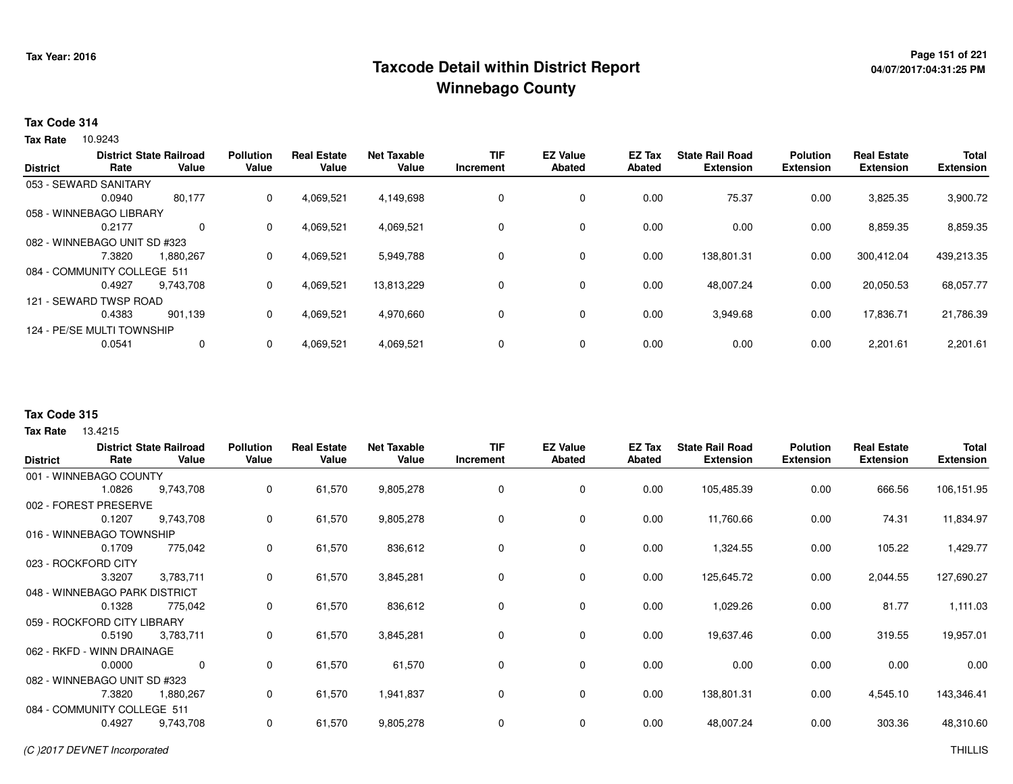## **Page 151 of 221 Taxcode Detail within District ReportWinnebago County**

#### **Tax Code 314**

**Tax Rate** 10.9243

|                 |                              | <b>District State Railroad</b> | <b>Pollution</b> | <b>Real Estate</b> | <b>Net Taxable</b> | <b>TIF</b> | <b>EZ Value</b> | <b>EZ Tax</b> | <b>State Rail Road</b> | <b>Polution</b>  | <b>Real Estate</b> | <b>Total</b>     |
|-----------------|------------------------------|--------------------------------|------------------|--------------------|--------------------|------------|-----------------|---------------|------------------------|------------------|--------------------|------------------|
| <b>District</b> | Rate                         | Value                          | Value            | Value              | Value              | Increment  | Abated          | <b>Abated</b> | <b>Extension</b>       | <b>Extension</b> | <b>Extension</b>   | <b>Extension</b> |
|                 | 053 - SEWARD SANITARY        |                                |                  |                    |                    |            |                 |               |                        |                  |                    |                  |
|                 | 0.0940                       | 80,177                         | 0                | 4,069,521          | 4,149,698          | 0          | 0               | 0.00          | 75.37                  | 0.00             | 3,825.35           | 3,900.72         |
|                 | 058 - WINNEBAGO LIBRARY      |                                |                  |                    |                    |            |                 |               |                        |                  |                    |                  |
|                 | 0.2177                       | $\Omega$                       | $\Omega$         | 4,069,521          | 4,069,521          | 0          | $\Omega$        | 0.00          | 0.00                   | 0.00             | 8,859.35           | 8,859.35         |
|                 | 082 - WINNEBAGO UNIT SD #323 |                                |                  |                    |                    |            |                 |               |                        |                  |                    |                  |
|                 | 7.3820                       | 1,880,267                      | $\Omega$         | 4.069.521          | 5,949,788          | 0          | 0               | 0.00          | 138.801.31             | 0.00             | 300.412.04         | 439,213.35       |
|                 | 084 - COMMUNITY COLLEGE 511  |                                |                  |                    |                    |            |                 |               |                        |                  |                    |                  |
|                 | 0.4927                       | 9.743.708                      | 0                | 4,069,521          | 13,813,229         | 0          | 0               | 0.00          | 48,007.24              | 0.00             | 20,050.53          | 68,057.77        |
|                 | 121 - SEWARD TWSP ROAD       |                                |                  |                    |                    |            |                 |               |                        |                  |                    |                  |
|                 | 0.4383                       | 901.139                        | $\Omega$         | 4,069,521          | 4,970,660          | 0          | 0               | 0.00          | 3,949.68               | 0.00             | 17,836.71          | 21,786.39        |
|                 | 124 - PE/SE MULTI TOWNSHIP   |                                |                  |                    |                    |            |                 |               |                        |                  |                    |                  |
|                 | 0.0541                       | 0                              | $\Omega$         | 4,069,521          | 4,069,521          | $\Omega$   | $\mathbf 0$     | 0.00          | 0.00                   | 0.00             | 2,201.61           | 2,201.61         |
|                 |                              |                                |                  |                    |                    |            |                 |               |                        |                  |                    |                  |

#### **Tax Code 315**

13.4215 **Tax Rate**

|                               |        | <b>District State Railroad</b> | <b>Pollution</b> | <b>Real Estate</b> | <b>Net Taxable</b> | TIF       | <b>EZ Value</b> | EZ Tax | <b>State Rail Road</b> | <b>Polution</b>  | <b>Real Estate</b> | <b>Total</b>     |
|-------------------------------|--------|--------------------------------|------------------|--------------------|--------------------|-----------|-----------------|--------|------------------------|------------------|--------------------|------------------|
| <b>District</b>               | Rate   | Value                          | Value            | Value              | Value              | Increment | <b>Abated</b>   | Abated | <b>Extension</b>       | <b>Extension</b> | <b>Extension</b>   | <b>Extension</b> |
| 001 - WINNEBAGO COUNTY        |        |                                |                  |                    |                    |           |                 |        |                        |                  |                    |                  |
|                               | 1.0826 | 9,743,708                      | 0                | 61,570             | 9,805,278          | 0         | 0               | 0.00   | 105,485.39             | 0.00             | 666.56             | 106,151.95       |
| 002 - FOREST PRESERVE         |        |                                |                  |                    |                    |           |                 |        |                        |                  |                    |                  |
|                               | 0.1207 | 9,743,708                      | 0                | 61,570             | 9,805,278          | 0         | 0               | 0.00   | 11,760.66              | 0.00             | 74.31              | 11,834.97        |
| 016 - WINNEBAGO TOWNSHIP      |        |                                |                  |                    |                    |           |                 |        |                        |                  |                    |                  |
|                               | 0.1709 | 775,042                        | 0                | 61,570             | 836,612            | $\Omega$  | 0               | 0.00   | 1,324.55               | 0.00             | 105.22             | 1,429.77         |
| 023 - ROCKFORD CITY           |        |                                |                  |                    |                    |           |                 |        |                        |                  |                    |                  |
|                               | 3.3207 | 3,783,711                      | 0                | 61,570             | 3,845,281          | $\Omega$  | $\mathbf 0$     | 0.00   | 125,645.72             | 0.00             | 2,044.55           | 127,690.27       |
| 048 - WINNEBAGO PARK DISTRICT |        |                                |                  |                    |                    |           |                 |        |                        |                  |                    |                  |
|                               | 0.1328 | 775,042                        | 0                | 61,570             | 836,612            |           | $\mathbf 0$     | 0.00   | 1,029.26               | 0.00             | 81.77              | 1,111.03         |
| 059 - ROCKFORD CITY LIBRARY   |        |                                |                  |                    |                    |           |                 |        |                        |                  |                    |                  |
|                               | 0.5190 | 3,783,711                      | 0                | 61,570             | 3,845,281          | 0         | $\mathbf 0$     | 0.00   | 19,637.46              | 0.00             | 319.55             | 19,957.01        |
| 062 - RKFD - WINN DRAINAGE    |        |                                |                  |                    |                    |           |                 |        |                        |                  |                    |                  |
|                               | 0.0000 | $\mathbf{0}$                   | 0                | 61,570             | 61,570             | 0         | $\mathbf 0$     | 0.00   | 0.00                   | 0.00             | 0.00               | 0.00             |
| 082 - WINNEBAGO UNIT SD #323  |        |                                |                  |                    |                    |           |                 |        |                        |                  |                    |                  |
|                               | 7.3820 | 1,880,267                      | 0                | 61,570             | 1,941,837          | 0         | 0               | 0.00   | 138,801.31             | 0.00             | 4,545.10           | 143,346.41       |
| 084 - COMMUNITY COLLEGE 511   |        |                                |                  |                    |                    |           |                 |        |                        |                  |                    |                  |
|                               | 0.4927 | 9,743,708                      | 0                | 61,570             | 9,805,278          | 0         | 0               | 0.00   | 48,007.24              | 0.00             | 303.36             | 48,310.60        |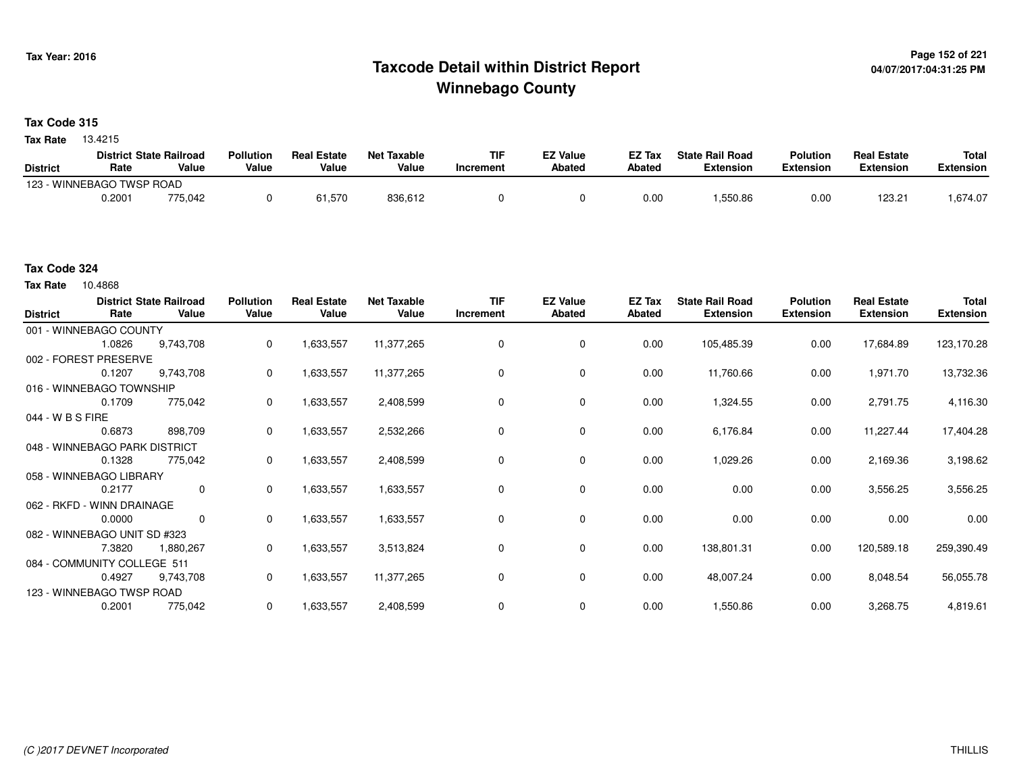## **Page 152 of 221 Taxcode Detail within District ReportWinnebago County**

#### **Tax Code 315**

13.4215 **Tax Rate**

|                 | <b>District State Railroad</b> |         | <b>Pollution</b> | <b>Real Estate</b> | <b>Net Taxable</b> | <b>TIF</b> | <b>EZ Value</b> | <b>EZ Tax</b> | <b>State Rail Road</b> | <b>Polution</b>  | <b>Real Estate</b> | <b>Total</b> |
|-----------------|--------------------------------|---------|------------------|--------------------|--------------------|------------|-----------------|---------------|------------------------|------------------|--------------------|--------------|
| <b>District</b> | Rate                           | Value   | Value            | Value              | Value              | Increment  | Abated          | Abated        | <b>Extension</b>       | <b>Extension</b> | Extension          | Extension    |
|                 | 123 - WINNEBAGO TWSP ROAD      |         |                  |                    |                    |            |                 |               |                        |                  |                    |              |
|                 | 0.2001                         | 775,042 |                  | 61,570             | 836,612            |            |                 | 0.00          | .550.86                | 0.00             | $123.2^{\circ}$    | .674.07      |

#### **Tax Code 324**

**Tax Rate** 10.4868

| <b>District</b>  | Rate                          | <b>District State Railroad</b><br>Value | <b>Pollution</b><br>Value | <b>Real Estate</b><br>Value | <b>Net Taxable</b><br>Value | <b>TIF</b><br>Increment | <b>EZ Value</b><br><b>Abated</b> | EZ Tax<br>Abated | <b>State Rail Road</b><br><b>Extension</b> | <b>Polution</b><br><b>Extension</b> | <b>Real Estate</b><br><b>Extension</b> | <b>Total</b><br><b>Extension</b> |
|------------------|-------------------------------|-----------------------------------------|---------------------------|-----------------------------|-----------------------------|-------------------------|----------------------------------|------------------|--------------------------------------------|-------------------------------------|----------------------------------------|----------------------------------|
|                  | 001 - WINNEBAGO COUNTY        |                                         |                           |                             |                             |                         |                                  |                  |                                            |                                     |                                        |                                  |
|                  | 1.0826                        | 9,743,708                               | 0                         | 1,633,557                   | 11,377,265                  | 0                       | 0                                | 0.00             | 105,485.39                                 | 0.00                                | 17,684.89                              | 123,170.28                       |
|                  | 002 - FOREST PRESERVE         |                                         |                           |                             |                             |                         |                                  |                  |                                            |                                     |                                        |                                  |
|                  | 0.1207                        | 9,743,708                               | 0                         | 1,633,557                   | 11,377,265                  | 0                       | 0                                | 0.00             | 11,760.66                                  | 0.00                                | 1,971.70                               | 13,732.36                        |
|                  | 016 - WINNEBAGO TOWNSHIP      |                                         |                           |                             |                             |                         |                                  |                  |                                            |                                     |                                        |                                  |
|                  | 0.1709                        | 775,042                                 | 0                         | 1,633,557                   | 2,408,599                   | 0                       | 0                                | 0.00             | 1,324.55                                   | 0.00                                | 2,791.75                               | 4,116.30                         |
| 044 - W B S FIRE |                               |                                         |                           |                             |                             |                         |                                  |                  |                                            |                                     |                                        |                                  |
|                  | 0.6873                        | 898,709                                 | 0                         | 1,633,557                   | 2,532,266                   | 0                       | 0                                | 0.00             | 6,176.84                                   | 0.00                                | 11,227.44                              | 17,404.28                        |
|                  | 048 - WINNEBAGO PARK DISTRICT |                                         |                           |                             |                             |                         |                                  |                  |                                            |                                     |                                        |                                  |
|                  | 0.1328                        | 775,042                                 | 0                         | 1,633,557                   | 2,408,599                   | 0                       | 0                                | 0.00             | 1,029.26                                   | 0.00                                | 2,169.36                               | 3,198.62                         |
|                  | 058 - WINNEBAGO LIBRARY       |                                         |                           |                             |                             |                         |                                  |                  |                                            |                                     |                                        |                                  |
|                  | 0.2177                        | $\mathbf 0$                             | 0                         | 1,633,557                   | 1,633,557                   | 0                       | 0                                | 0.00             | 0.00                                       | 0.00                                | 3,556.25                               | 3,556.25                         |
|                  | 062 - RKFD - WINN DRAINAGE    |                                         |                           |                             |                             |                         |                                  |                  |                                            |                                     |                                        |                                  |
|                  | 0.0000                        | $\mathbf 0$                             | 0                         | 1,633,557                   | 1,633,557                   | 0                       | 0                                | 0.00             | 0.00                                       | 0.00                                | 0.00                                   | 0.00                             |
|                  | 082 - WINNEBAGO UNIT SD #323  |                                         |                           |                             |                             |                         |                                  |                  |                                            |                                     |                                        |                                  |
|                  | 7.3820                        | 1,880,267                               | 0                         | 1,633,557                   | 3,513,824                   | 0                       | $\mathbf 0$                      | 0.00             | 138,801.31                                 | 0.00                                | 120,589.18                             | 259,390.49                       |
|                  | 084 - COMMUNITY COLLEGE 511   |                                         |                           |                             |                             |                         |                                  |                  |                                            |                                     |                                        |                                  |
|                  | 0.4927                        | 9,743,708                               | 0                         | 1,633,557                   | 11,377,265                  | 0                       | 0                                | 0.00             | 48,007.24                                  | 0.00                                | 8,048.54                               | 56,055.78                        |
|                  | 123 - WINNEBAGO TWSP ROAD     |                                         |                           |                             |                             |                         |                                  |                  |                                            |                                     |                                        |                                  |
|                  | 0.2001                        | 775,042                                 | 0                         | 1,633,557                   | 2,408,599                   | $\Omega$                | 0                                | 0.00             | 1,550.86                                   | 0.00                                | 3,268.75                               | 4,819.61                         |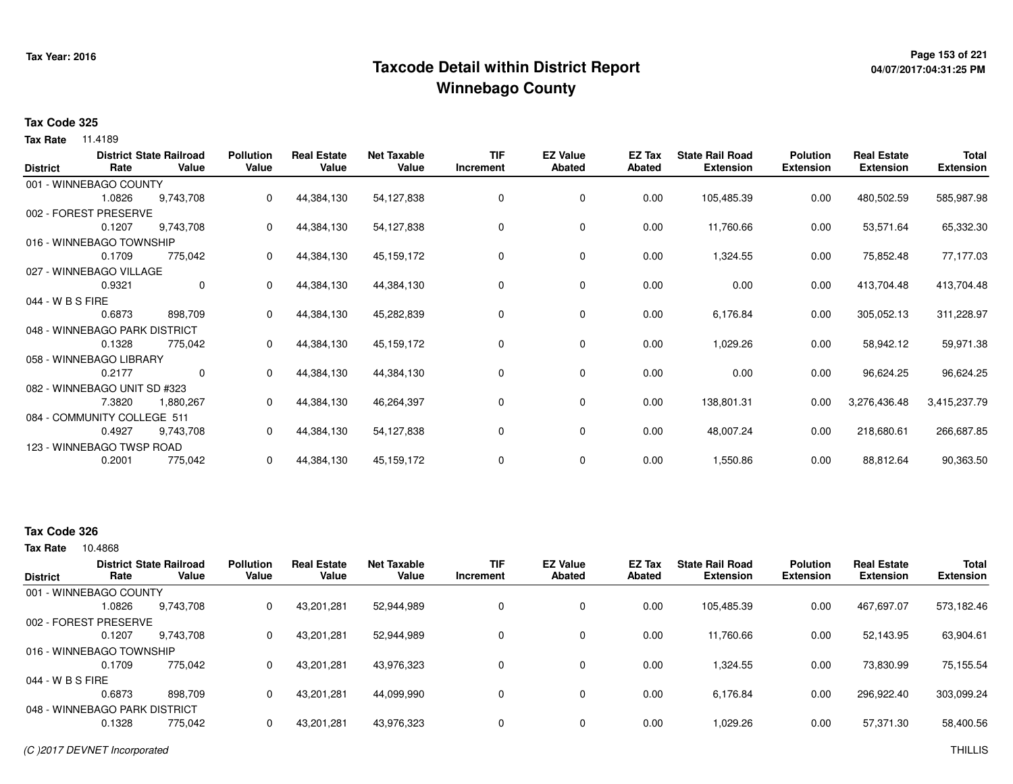## **Page 153 of 221 Taxcode Detail within District ReportWinnebago County**

# **04/07/2017:04:31:25 PM**

#### **Tax Code 325**

**Tax Rate** 11.4189

| <b>District</b>  | Rate                          | <b>District State Railroad</b><br>Value | <b>Pollution</b><br>Value | <b>Real Estate</b><br>Value | <b>Net Taxable</b><br>Value | <b>TIF</b><br>Increment | <b>EZ Value</b><br><b>Abated</b> | EZ Tax<br>Abated | <b>State Rail Road</b><br><b>Extension</b> | <b>Polution</b><br><b>Extension</b> | <b>Real Estate</b><br><b>Extension</b> | <b>Total</b><br><b>Extension</b> |
|------------------|-------------------------------|-----------------------------------------|---------------------------|-----------------------------|-----------------------------|-------------------------|----------------------------------|------------------|--------------------------------------------|-------------------------------------|----------------------------------------|----------------------------------|
|                  | 001 - WINNEBAGO COUNTY        |                                         |                           |                             |                             |                         |                                  |                  |                                            |                                     |                                        |                                  |
|                  | 1.0826                        | 9,743,708                               | 0                         | 44,384,130                  | 54,127,838                  | 0                       | $\mathbf 0$                      | 0.00             | 105,485.39                                 | 0.00                                | 480,502.59                             | 585,987.98                       |
|                  | 002 - FOREST PRESERVE         |                                         |                           |                             |                             |                         |                                  |                  |                                            |                                     |                                        |                                  |
|                  | 0.1207                        | 9,743,708                               | 0                         | 44,384,130                  | 54,127,838                  | 0                       | 0                                | 0.00             | 11,760.66                                  | 0.00                                | 53,571.64                              | 65,332.30                        |
|                  | 016 - WINNEBAGO TOWNSHIP      |                                         |                           |                             |                             |                         |                                  |                  |                                            |                                     |                                        |                                  |
|                  | 0.1709                        | 775,042                                 | 0                         | 44,384,130                  | 45,159,172                  | 0                       | 0                                | 0.00             | 1,324.55                                   | 0.00                                | 75,852.48                              | 77,177.03                        |
|                  | 027 - WINNEBAGO VILLAGE       |                                         |                           |                             |                             |                         |                                  |                  |                                            |                                     |                                        |                                  |
|                  | 0.9321                        | 0                                       | 0                         | 44,384,130                  | 44,384,130                  | 0                       | 0                                | 0.00             | 0.00                                       | 0.00                                | 413,704.48                             | 413,704.48                       |
| 044 - W B S FIRE |                               |                                         |                           |                             |                             |                         |                                  |                  |                                            |                                     |                                        |                                  |
|                  | 0.6873                        | 898,709                                 | 0                         | 44,384,130                  | 45,282,839                  | 0                       | 0                                | 0.00             | 6,176.84                                   | 0.00                                | 305,052.13                             | 311,228.97                       |
|                  | 048 - WINNEBAGO PARK DISTRICT |                                         |                           |                             |                             |                         |                                  |                  |                                            |                                     |                                        |                                  |
|                  | 0.1328                        | 775,042                                 | 0                         | 44,384,130                  | 45,159,172                  | 0                       | 0                                | 0.00             | 1,029.26                                   | 0.00                                | 58,942.12                              | 59,971.38                        |
|                  | 058 - WINNEBAGO LIBRARY       |                                         |                           |                             |                             |                         |                                  |                  |                                            |                                     |                                        |                                  |
|                  | 0.2177                        | 0                                       | 0                         | 44,384,130                  | 44,384,130                  | 0                       | 0                                | 0.00             | 0.00                                       | 0.00                                | 96,624.25                              | 96,624.25                        |
|                  | 082 - WINNEBAGO UNIT SD #323  |                                         |                           |                             |                             |                         |                                  |                  |                                            |                                     |                                        |                                  |
|                  | 7.3820                        | 1,880,267                               | 0                         | 44,384,130                  | 46,264,397                  | 0                       | 0                                | 0.00             | 138,801.31                                 | 0.00                                | 3,276,436.48                           | 3,415,237.79                     |
|                  | 084 - COMMUNITY COLLEGE 511   |                                         |                           |                             |                             |                         |                                  |                  |                                            |                                     |                                        |                                  |
|                  | 0.4927                        | 9,743,708                               | 0                         | 44,384,130                  | 54,127,838                  | 0                       | 0                                | 0.00             | 48,007.24                                  | 0.00                                | 218,680.61                             | 266,687.85                       |
|                  | 123 - WINNEBAGO TWSP ROAD     |                                         |                           |                             |                             |                         |                                  |                  |                                            |                                     |                                        |                                  |
|                  | 0.2001                        | 775,042                                 | 0                         | 44,384,130                  | 45,159,172                  | 0                       | 0                                | 0.00             | 1,550.86                                   | 0.00                                | 88,812.64                              | 90,363.50                        |

#### **Tax Code 326**

| <b>District</b>  | Rate                          | <b>District State Railroad</b><br>Value | <b>Pollution</b><br>Value | <b>Real Estate</b><br>Value | <b>Net Taxable</b><br>Value | TIF<br>Increment | <b>EZ Value</b><br><b>Abated</b> | <b>EZ Tax</b><br>Abated | <b>State Rail Road</b><br><b>Extension</b> | <b>Polution</b><br><b>Extension</b> | <b>Real Estate</b><br><b>Extension</b> | <b>Total</b><br><b>Extension</b> |
|------------------|-------------------------------|-----------------------------------------|---------------------------|-----------------------------|-----------------------------|------------------|----------------------------------|-------------------------|--------------------------------------------|-------------------------------------|----------------------------------------|----------------------------------|
|                  | 001 - WINNEBAGO COUNTY        |                                         |                           |                             |                             |                  |                                  |                         |                                            |                                     |                                        |                                  |
|                  | 1.0826                        | 9,743,708                               | 0                         | 43,201,281                  | 52,944,989                  | 0                | 0                                | 0.00                    | 105,485.39                                 | 0.00                                | 467,697.07                             | 573,182.46                       |
|                  | 002 - FOREST PRESERVE         |                                         |                           |                             |                             |                  |                                  |                         |                                            |                                     |                                        |                                  |
|                  | 0.1207                        | 9,743,708                               | 0                         | 43,201,281                  | 52,944,989                  | 0                | $\mathbf 0$                      | 0.00                    | 11,760.66                                  | 0.00                                | 52,143.95                              | 63,904.61                        |
|                  | 016 - WINNEBAGO TOWNSHIP      |                                         |                           |                             |                             |                  |                                  |                         |                                            |                                     |                                        |                                  |
|                  | 0.1709                        | 775.042                                 | 0                         | 43.201.281                  | 43,976,323                  | $\mathbf{0}$     | 0                                | 0.00                    | 1.324.55                                   | 0.00                                | 73.830.99                              | 75,155.54                        |
| 044 - W B S FIRE |                               |                                         |                           |                             |                             |                  |                                  |                         |                                            |                                     |                                        |                                  |
|                  | 0.6873                        | 898.709                                 | 0                         | 43,201,281                  | 44,099,990                  | $\Omega$         | 0                                | 0.00                    | 6,176.84                                   | 0.00                                | 296,922.40                             | 303,099.24                       |
|                  | 048 - WINNEBAGO PARK DISTRICT |                                         |                           |                             |                             |                  |                                  |                         |                                            |                                     |                                        |                                  |
|                  | 0.1328                        | 775,042                                 | 0                         | 43,201,281                  | 43,976,323                  | $\Omega$         | 0                                | 0.00                    | 1,029.26                                   | 0.00                                | 57,371.30                              | 58,400.56                        |
|                  |                               |                                         |                           |                             |                             |                  |                                  |                         |                                            |                                     |                                        |                                  |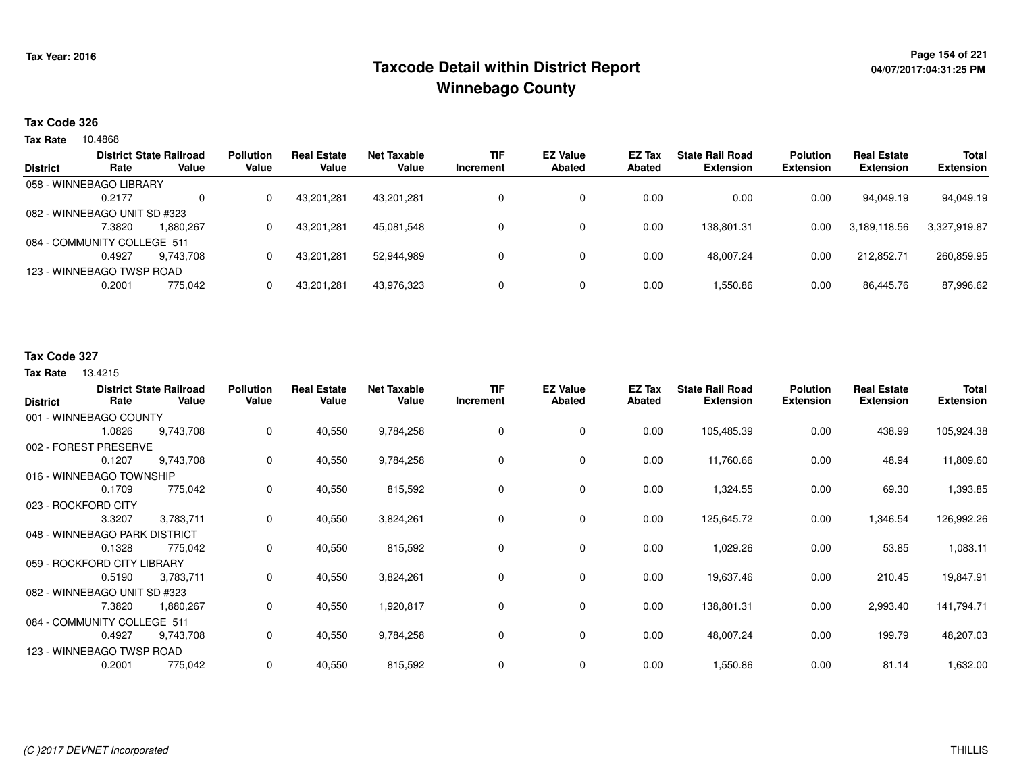## **Page 154 of 221 Taxcode Detail within District ReportWinnebago County**

#### **Tax Code 326**

**Tax Rate** 10.4868

|                 | Rate                         | <b>District State Railroad</b><br>Value | <b>Pollution</b><br>Value | <b>Real Estate</b><br>Value | Net Taxable<br>Value | <b>TIF</b> | <b>EZ Value</b><br><b>Abated</b> | <b>EZ Tax</b><br>Abated | <b>State Rail Road</b><br><b>Extension</b> | <b>Polution</b><br><b>Extension</b> | <b>Real Estate</b><br><b>Extension</b> | <b>Total</b><br><b>Extension</b> |
|-----------------|------------------------------|-----------------------------------------|---------------------------|-----------------------------|----------------------|------------|----------------------------------|-------------------------|--------------------------------------------|-------------------------------------|----------------------------------------|----------------------------------|
| <b>District</b> |                              |                                         |                           |                             |                      | Increment  |                                  |                         |                                            |                                     |                                        |                                  |
|                 | 058 - WINNEBAGO LIBRARY      |                                         |                           |                             |                      |            |                                  |                         |                                            |                                     |                                        |                                  |
|                 | 0.2177                       | $\Omega$                                |                           | 43,201,281                  | 43.201.281           |            |                                  | 0.00                    | 0.00                                       | 0.00                                | 94.049.19                              | 94,049.19                        |
|                 | 082 - WINNEBAGO UNIT SD #323 |                                         |                           |                             |                      |            |                                  |                         |                                            |                                     |                                        |                                  |
|                 | 7.3820                       | 1.880.267                               |                           | 43,201,281                  | 45.081.548           |            | 0                                | 0.00                    | 138.801.31                                 | 0.00                                | 3,189,118.56                           | 3,327,919.87                     |
|                 | 084 - COMMUNITY COLLEGE 511  |                                         |                           |                             |                      |            |                                  |                         |                                            |                                     |                                        |                                  |
|                 | 0.4927                       | 9.743.708                               |                           | 43.201.281                  | 52.944.989           |            |                                  | 0.00                    | 48.007.24                                  | 0.00                                | 212.852.71                             | 260.859.95                       |
|                 | 123 - WINNEBAGO TWSP ROAD    |                                         |                           |                             |                      |            |                                  |                         |                                            |                                     |                                        |                                  |
|                 | 0.2001                       | 775,042                                 |                           | 43,201,281                  | 43,976,323           |            |                                  | 0.00                    | 1,550.86                                   | 0.00                                | 86,445.76                              | 87,996.62                        |
|                 |                              |                                         |                           |                             |                      |            |                                  |                         |                                            |                                     |                                        |                                  |

#### **Tax Code 327**

| <b>District</b>               | Rate   | <b>District State Railroad</b><br>Value | <b>Pollution</b><br>Value | <b>Real Estate</b><br>Value | <b>Net Taxable</b><br>Value | <b>TIF</b><br>Increment | <b>EZ Value</b><br><b>Abated</b> | EZ Tax<br><b>Abated</b> | <b>State Rail Road</b><br><b>Extension</b> | <b>Polution</b><br><b>Extension</b> | <b>Real Estate</b><br><b>Extension</b> | Total<br><b>Extension</b> |
|-------------------------------|--------|-----------------------------------------|---------------------------|-----------------------------|-----------------------------|-------------------------|----------------------------------|-------------------------|--------------------------------------------|-------------------------------------|----------------------------------------|---------------------------|
| 001 - WINNEBAGO COUNTY        |        |                                         |                           |                             |                             |                         |                                  |                         |                                            |                                     |                                        |                           |
|                               | 1.0826 | 9,743,708                               | 0                         | 40,550                      | 9,784,258                   | 0                       | 0                                | 0.00                    | 105,485.39                                 | 0.00                                | 438.99                                 | 105,924.38                |
| 002 - FOREST PRESERVE         |        |                                         |                           |                             |                             |                         |                                  |                         |                                            |                                     |                                        |                           |
|                               | 0.1207 | 9,743,708                               | 0                         | 40,550                      | 9,784,258                   | 0                       | 0                                | 0.00                    | 11,760.66                                  | 0.00                                | 48.94                                  | 11,809.60                 |
| 016 - WINNEBAGO TOWNSHIP      |        |                                         |                           |                             |                             |                         |                                  |                         |                                            |                                     |                                        |                           |
|                               | 0.1709 | 775,042                                 | 0                         | 40,550                      | 815,592                     | 0                       | 0                                | 0.00                    | 1,324.55                                   | 0.00                                | 69.30                                  | 1,393.85                  |
| 023 - ROCKFORD CITY           |        |                                         |                           |                             |                             |                         |                                  |                         |                                            |                                     |                                        |                           |
|                               | 3.3207 | 3,783,711                               | 0                         | 40,550                      | 3,824,261                   | 0                       | 0                                | 0.00                    | 125,645.72                                 | 0.00                                | 1,346.54                               | 126,992.26                |
| 048 - WINNEBAGO PARK DISTRICT |        |                                         |                           |                             |                             |                         |                                  |                         |                                            |                                     |                                        |                           |
|                               | 0.1328 | 775,042                                 | 0                         | 40,550                      | 815,592                     | 0                       | 0                                | 0.00                    | 1,029.26                                   | 0.00                                | 53.85                                  | 1,083.11                  |
| 059 - ROCKFORD CITY LIBRARY   |        |                                         |                           |                             |                             |                         |                                  |                         |                                            |                                     |                                        |                           |
|                               | 0.5190 | 3,783,711                               | 0                         | 40,550                      | 3,824,261                   | 0                       | 0                                | 0.00                    | 19,637.46                                  | 0.00                                | 210.45                                 | 19,847.91                 |
| 082 - WINNEBAGO UNIT SD #323  |        |                                         |                           |                             |                             |                         |                                  |                         |                                            |                                     |                                        |                           |
|                               | 7.3820 | 1,880,267                               | 0                         | 40,550                      | 1,920,817                   | 0                       | 0                                | 0.00                    | 138,801.31                                 | 0.00                                | 2,993.40                               | 141,794.71                |
| 084 - COMMUNITY COLLEGE 511   |        |                                         |                           |                             |                             |                         |                                  |                         |                                            |                                     |                                        |                           |
|                               | 0.4927 | 9,743,708                               | 0                         | 40,550                      | 9,784,258                   | 0                       | 0                                | 0.00                    | 48,007.24                                  | 0.00                                | 199.79                                 | 48,207.03                 |
| 123 - WINNEBAGO TWSP ROAD     |        |                                         |                           |                             |                             |                         |                                  |                         |                                            |                                     |                                        |                           |
|                               | 0.2001 | 775,042                                 | 0                         | 40,550                      | 815,592                     | 0                       | 0                                | 0.00                    | 1,550.86                                   | 0.00                                | 81.14                                  | 1,632.00                  |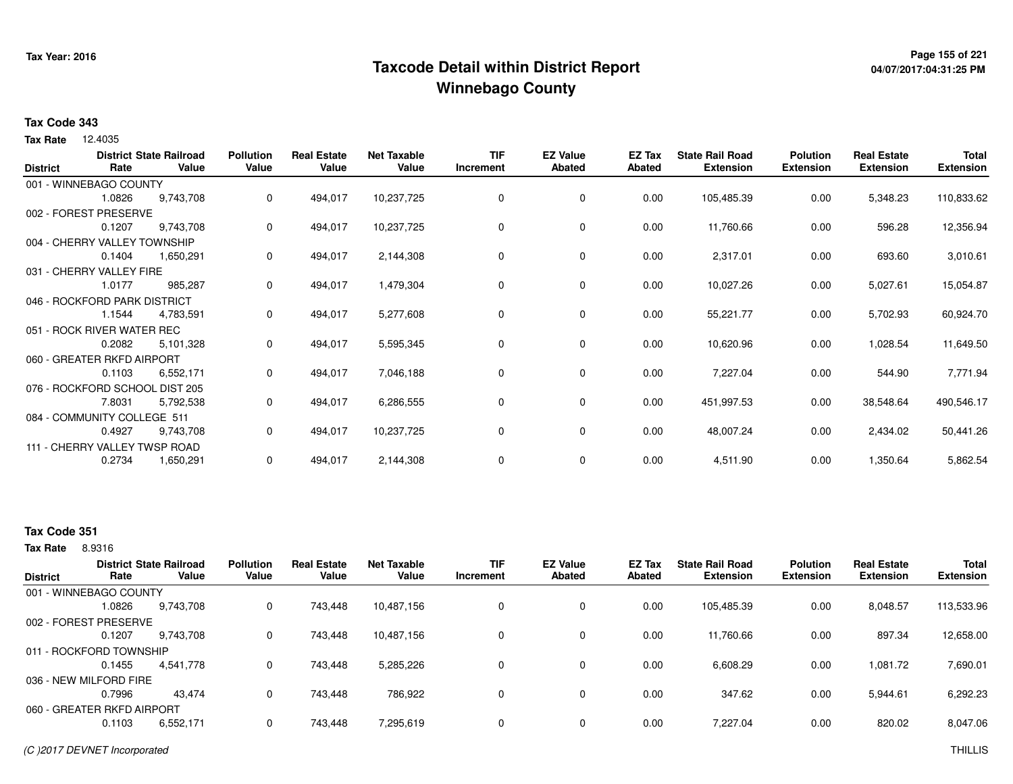## **Page 155 of 221 Taxcode Detail within District ReportWinnebago County**

# **04/07/2017:04:31:25 PM**

#### **Tax Code 343**

12.4035 **Tax Rate**

| <b>District</b> | Rate                           | <b>District State Railroad</b><br>Value | <b>Pollution</b><br>Value | <b>Real Estate</b><br>Value | <b>Net Taxable</b><br>Value | <b>TIF</b><br>Increment | <b>EZ Value</b><br><b>Abated</b> | EZ Tax<br><b>Abated</b> | <b>State Rail Road</b><br><b>Extension</b> | <b>Polution</b><br><b>Extension</b> | <b>Real Estate</b><br><b>Extension</b> | <b>Total</b><br><b>Extension</b> |
|-----------------|--------------------------------|-----------------------------------------|---------------------------|-----------------------------|-----------------------------|-------------------------|----------------------------------|-------------------------|--------------------------------------------|-------------------------------------|----------------------------------------|----------------------------------|
|                 | 001 - WINNEBAGO COUNTY         |                                         |                           |                             |                             |                         |                                  |                         |                                            |                                     |                                        |                                  |
|                 | 1.0826                         | 9,743,708                               | 0                         | 494,017                     | 10,237,725                  | 0                       | 0                                | 0.00                    | 105,485.39                                 | 0.00                                | 5,348.23                               | 110,833.62                       |
|                 | 002 - FOREST PRESERVE          |                                         |                           |                             |                             |                         |                                  |                         |                                            |                                     |                                        |                                  |
|                 | 0.1207                         | 9,743,708                               | 0                         | 494,017                     | 10,237,725                  | 0                       | 0                                | 0.00                    | 11,760.66                                  | 0.00                                | 596.28                                 | 12,356.94                        |
|                 | 004 - CHERRY VALLEY TOWNSHIP   |                                         |                           |                             |                             |                         |                                  |                         |                                            |                                     |                                        |                                  |
|                 | 0.1404                         | 1,650,291                               | 0                         | 494,017                     | 2,144,308                   | 0                       | 0                                | 0.00                    | 2,317.01                                   | 0.00                                | 693.60                                 | 3,010.61                         |
|                 | 031 - CHERRY VALLEY FIRE       |                                         |                           |                             |                             |                         |                                  |                         |                                            |                                     |                                        |                                  |
|                 | 1.0177                         | 985,287                                 | 0                         | 494,017                     | 1,479,304                   | 0                       | $\mathbf 0$                      | 0.00                    | 10,027.26                                  | 0.00                                | 5,027.61                               | 15,054.87                        |
|                 | 046 - ROCKFORD PARK DISTRICT   |                                         |                           |                             |                             |                         |                                  |                         |                                            |                                     |                                        |                                  |
|                 | 1.1544                         | 4,783,591                               | 0                         | 494,017                     | 5,277,608                   | 0                       | 0                                | 0.00                    | 55,221.77                                  | 0.00                                | 5,702.93                               | 60,924.70                        |
|                 | 051 - ROCK RIVER WATER REC     |                                         |                           |                             |                             |                         |                                  |                         |                                            |                                     |                                        |                                  |
|                 | 0.2082                         | 5,101,328                               | 0                         | 494,017                     | 5,595,345                   | 0                       | 0                                | 0.00                    | 10,620.96                                  | 0.00                                | 1,028.54                               | 11,649.50                        |
|                 | 060 - GREATER RKFD AIRPORT     |                                         |                           |                             |                             |                         |                                  |                         |                                            |                                     |                                        |                                  |
|                 | 0.1103                         | 6,552,171                               | 0                         | 494,017                     | 7,046,188                   | 0                       | 0                                | 0.00                    | 7,227.04                                   | 0.00                                | 544.90                                 | 7,771.94                         |
|                 | 076 - ROCKFORD SCHOOL DIST 205 |                                         |                           |                             |                             |                         |                                  |                         |                                            |                                     |                                        |                                  |
|                 | 7.8031                         | 5,792,538                               | 0                         | 494,017                     | 6,286,555                   | 0                       | $\mathbf 0$                      | 0.00                    | 451,997.53                                 | 0.00                                | 38,548.64                              | 490,546.17                       |
|                 | 084 - COMMUNITY COLLEGE 511    |                                         |                           |                             |                             |                         |                                  |                         |                                            |                                     |                                        |                                  |
|                 | 0.4927                         | 9,743,708                               | 0                         | 494,017                     | 10,237,725                  | 0                       | $\mathbf 0$                      | 0.00                    | 48,007.24                                  | 0.00                                | 2,434.02                               | 50,441.26                        |
|                 | 111 - CHERRY VALLEY TWSP ROAD  |                                         |                           |                             |                             |                         |                                  |                         |                                            |                                     |                                        |                                  |
|                 | 0.2734                         | 1,650,291                               | 0                         | 494,017                     | 2,144,308                   | 0                       | 0                                | 0.00                    | 4,511.90                                   | 0.00                                | 1,350.64                               | 5,862.54                         |

#### **Tax Code 351**

8.9316 **Tax Rate**

| <b>District</b>            | Rate   | <b>District State Railroad</b><br>Value | <b>Pollution</b><br>Value | <b>Real Estate</b><br>Value | <b>Net Taxable</b><br>Value | TIF<br>Increment | <b>EZ Value</b><br><b>Abated</b> | EZ Tax<br>Abated | <b>State Rail Road</b><br><b>Extension</b> | <b>Polution</b><br><b>Extension</b> | <b>Real Estate</b><br><b>Extension</b> | <b>Total</b><br><b>Extension</b> |
|----------------------------|--------|-----------------------------------------|---------------------------|-----------------------------|-----------------------------|------------------|----------------------------------|------------------|--------------------------------------------|-------------------------------------|----------------------------------------|----------------------------------|
| 001 - WINNEBAGO COUNTY     |        |                                         |                           |                             |                             |                  |                                  |                  |                                            |                                     |                                        |                                  |
|                            | 1.0826 | 9,743,708                               | 0                         | 743.448                     | 10,487,156                  |                  | 0                                | 0.00             | 105,485.39                                 | 0.00                                | 8.048.57                               | 113,533.96                       |
| 002 - FOREST PRESERVE      |        |                                         |                           |                             |                             |                  |                                  |                  |                                            |                                     |                                        |                                  |
|                            | 0.1207 | 9,743,708                               | 0                         | 743.448                     | 10,487,156                  |                  | 0                                | 0.00             | 11,760.66                                  | 0.00                                | 897.34                                 | 12,658.00                        |
| 011 - ROCKFORD TOWNSHIP    |        |                                         |                           |                             |                             |                  |                                  |                  |                                            |                                     |                                        |                                  |
|                            | 0.1455 | 4,541,778                               | 0                         | 743.448                     | 5,285,226                   |                  | 0                                | 0.00             | 6,608.29                                   | 0.00                                | 1.081.72                               | 7,690.01                         |
| 036 - NEW MILFORD FIRE     |        |                                         |                           |                             |                             |                  |                                  |                  |                                            |                                     |                                        |                                  |
|                            | 0.7996 | 43.474                                  | 0                         | 743.448                     | 786.922                     |                  | 0                                | 0.00             | 347.62                                     | 0.00                                | 5,944.61                               | 6,292.23                         |
| 060 - GREATER RKFD AIRPORT |        |                                         |                           |                             |                             |                  |                                  |                  |                                            |                                     |                                        |                                  |
|                            | 0.1103 | 6,552,171                               | 0                         | 743.448                     | 7,295,619                   |                  | 0                                | 0.00             | 7.227.04                                   | 0.00                                | 820.02                                 | 8,047.06                         |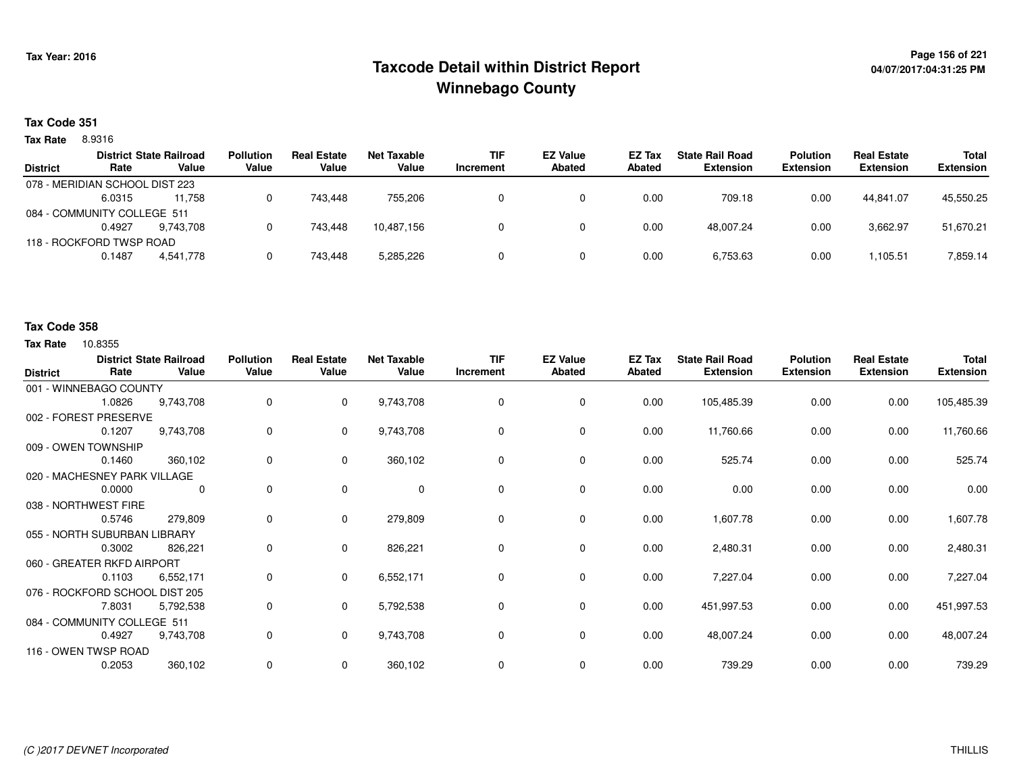## **Page 156 of 221 Taxcode Detail within District ReportWinnebago County**

#### **Tax Code 351**

8.9316 **Tax Rate**

|                 |                                | <b>District State Railroad</b> | <b>Pollution</b> | <b>Real Estate</b> | Net Taxable | <b>TIF</b> | <b>EZ Value</b> | <b>EZ Tax</b> | <b>State Rail Road</b> | <b>Polution</b>  | <b>Real Estate</b> | Total            |
|-----------------|--------------------------------|--------------------------------|------------------|--------------------|-------------|------------|-----------------|---------------|------------------------|------------------|--------------------|------------------|
| <b>District</b> | Rate                           | Value                          | Value            | Value              | Value       | Increment  | Abated          | Abated        | <b>Extension</b>       | <b>Extension</b> | <b>Extension</b>   | <b>Extension</b> |
|                 | 078 - MERIDIAN SCHOOL DIST 223 |                                |                  |                    |             |            |                 |               |                        |                  |                    |                  |
|                 | 6.0315                         | 11.758                         |                  | 743.448            | 755.206     |            |                 | 0.00          | 709.18                 | 0.00             | 44.841.07          | 45,550.25        |
|                 | 084 - COMMUNITY COLLEGE 511    |                                |                  |                    |             |            |                 |               |                        |                  |                    |                  |
|                 | 0.4927                         | 9.743.708                      |                  | 743.448            | 10,487,156  |            |                 | 0.00          | 48.007.24              | 0.00             | 3,662.97           | 51,670.21        |
|                 | 118 - ROCKFORD TWSP ROAD       |                                |                  |                    |             |            |                 |               |                        |                  |                    |                  |
|                 | 0.1487                         | 4,541,778                      |                  | 743.448            | 5,285,226   |            |                 | 0.00          | 6,753.63               | 0.00             | 1.105.51           | 7,859.14         |
|                 |                                |                                |                  |                    |             |            |                 |               |                        |                  |                    |                  |

#### **Tax Code 358**

| <b>District</b>      | Rate                           | <b>District State Railroad</b><br>Value | <b>Pollution</b><br>Value | <b>Real Estate</b><br>Value | <b>Net Taxable</b><br>Value | <b>TIF</b><br>Increment | <b>EZ Value</b><br><b>Abated</b> | EZ Tax<br>Abated | <b>State Rail Road</b><br><b>Extension</b> | <b>Polution</b><br><b>Extension</b> | <b>Real Estate</b><br><b>Extension</b> | <b>Total</b><br><b>Extension</b> |
|----------------------|--------------------------------|-----------------------------------------|---------------------------|-----------------------------|-----------------------------|-------------------------|----------------------------------|------------------|--------------------------------------------|-------------------------------------|----------------------------------------|----------------------------------|
|                      | 001 - WINNEBAGO COUNTY         |                                         |                           |                             |                             |                         |                                  |                  |                                            |                                     |                                        |                                  |
|                      | 1.0826                         | 9,743,708                               | 0                         | $\mathbf 0$                 | 9,743,708                   | 0                       | 0                                | 0.00             | 105,485.39                                 | 0.00                                | 0.00                                   | 105,485.39                       |
|                      | 002 - FOREST PRESERVE          |                                         |                           |                             |                             |                         |                                  |                  |                                            |                                     |                                        |                                  |
|                      | 0.1207                         | 9,743,708                               | 0                         | $\overline{0}$              | 9,743,708                   | 0                       | 0                                | 0.00             | 11,760.66                                  | 0.00                                | 0.00                                   | 11,760.66                        |
|                      | 009 - OWEN TOWNSHIP            |                                         |                           |                             |                             |                         |                                  |                  |                                            |                                     |                                        |                                  |
|                      | 0.1460                         | 360,102                                 | 0                         | $\mathbf{0}$                | 360,102                     | $\Omega$                | $\mathbf 0$                      | 0.00             | 525.74                                     | 0.00                                | 0.00                                   | 525.74                           |
|                      | 020 - MACHESNEY PARK VILLAGE   |                                         |                           |                             |                             |                         |                                  |                  |                                            |                                     |                                        |                                  |
|                      | 0.0000                         | $\mathbf 0$                             | 0                         | $\mathbf 0$                 | 0                           | 0                       | 0                                | 0.00             | 0.00                                       | 0.00                                | 0.00                                   | 0.00                             |
| 038 - NORTHWEST FIRE |                                |                                         |                           |                             |                             |                         |                                  |                  |                                            |                                     |                                        |                                  |
|                      | 0.5746                         | 279,809                                 | 0                         | $\mathbf{0}$                | 279,809                     | 0                       | $\mathbf 0$                      | 0.00             | 1,607.78                                   | 0.00                                | 0.00                                   | 1,607.78                         |
|                      | 055 - NORTH SUBURBAN LIBRARY   |                                         |                           |                             |                             |                         |                                  |                  |                                            |                                     |                                        |                                  |
|                      | 0.3002                         | 826,221                                 | 0                         | $\mathbf{0}$                | 826,221                     | 0                       | 0                                | 0.00             | 2,480.31                                   | 0.00                                | 0.00                                   | 2,480.31                         |
|                      | 060 - GREATER RKFD AIRPORT     |                                         |                           |                             |                             |                         |                                  |                  |                                            |                                     |                                        |                                  |
|                      | 0.1103                         | 6,552,171                               | 0                         | $\mathbf{0}$                | 6,552,171                   | 0                       | $\mathbf 0$                      | 0.00             | 7,227.04                                   | 0.00                                | 0.00                                   | 7,227.04                         |
|                      | 076 - ROCKFORD SCHOOL DIST 205 |                                         |                           |                             |                             |                         |                                  |                  |                                            |                                     |                                        |                                  |
|                      | 7.8031                         | 5,792,538                               | 0                         | $\mathbf{0}$                | 5,792,538                   | 0                       | 0                                | 0.00             | 451,997.53                                 | 0.00                                | 0.00                                   | 451,997.53                       |
|                      | 084 - COMMUNITY COLLEGE 511    |                                         |                           |                             |                             |                         |                                  |                  |                                            |                                     |                                        |                                  |
|                      | 0.4927                         | 9,743,708                               | 0                         | $\overline{0}$              | 9,743,708                   | 0                       | 0                                | 0.00             | 48,007.24                                  | 0.00                                | 0.00                                   | 48,007.24                        |
|                      | 116 - OWEN TWSP ROAD           |                                         |                           |                             |                             |                         |                                  |                  |                                            |                                     |                                        |                                  |
|                      | 0.2053                         | 360,102                                 | 0                         | 0                           | 360,102                     | 0                       | 0                                | 0.00             | 739.29                                     | 0.00                                | 0.00                                   | 739.29                           |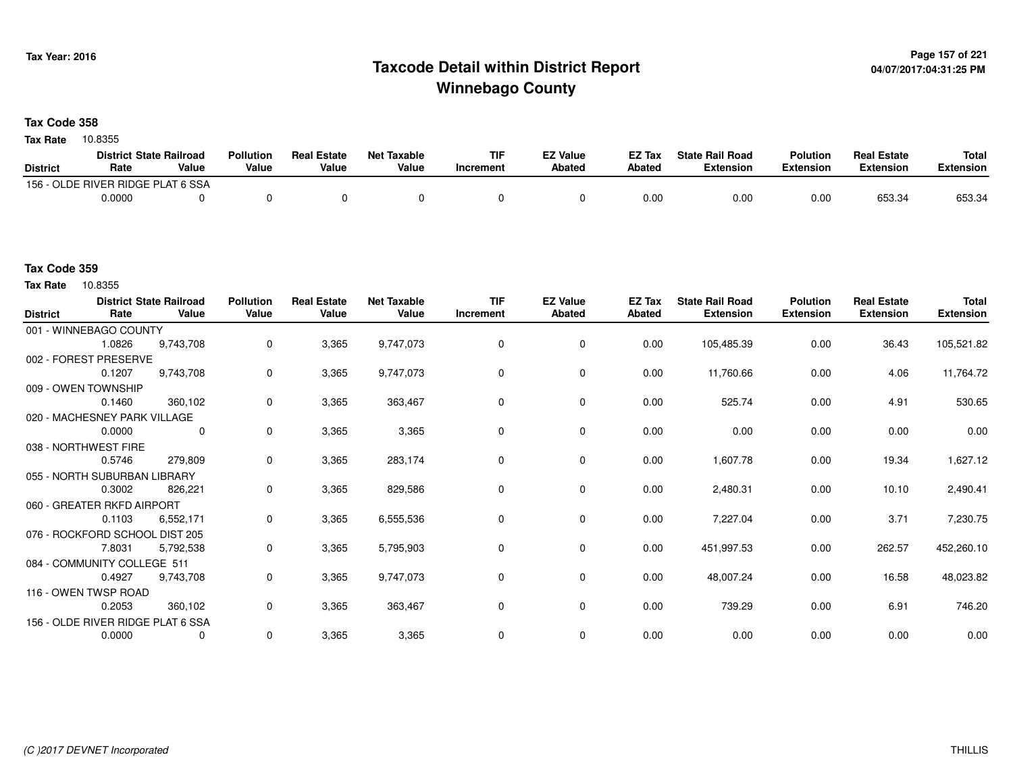## **Page 157 of 221 Taxcode Detail within District ReportWinnebago County**

**Tax Code 358**

Tax Rate 10.8355

|                 | <b>District State Railroad</b>    |       | <b>Pollution</b> | <b>Real Estate</b> | <b>Net Taxable</b> | TIF       | EZ Value | EZ Tax | <b>State Rail Road</b> | <b>Polution</b>  | <b>Real Estate</b> | <b>Total</b> |
|-----------------|-----------------------------------|-------|------------------|--------------------|--------------------|-----------|----------|--------|------------------------|------------------|--------------------|--------------|
| <b>District</b> | Rate                              | Value | Value            | Value              | Value              | Increment | Abated   | Abated | <b>Extension</b>       | <b>Extension</b> | <b>Extension</b>   | Extension    |
|                 | 156 - OLDE RIVER RIDGE PLAT 6 SSA |       |                  |                    |                    |           |          |        |                        |                  |                    |              |
|                 | 0.0000                            |       |                  |                    |                    |           |          | 0.00   | 0.00                   | 0.00             | 653.34             | 653.34       |

#### **Tax Code 359**

Tax Rate 10.8355

| <b>District</b> | Rate                           | <b>District State Railroad</b><br>Value | <b>Pollution</b><br>Value | <b>Real Estate</b><br>Value | <b>Net Taxable</b><br>Value | <b>TIF</b><br>Increment | <b>EZ Value</b><br><b>Abated</b> | EZ Tax<br>Abated | <b>State Rail Road</b><br><b>Extension</b> | <b>Polution</b><br><b>Extension</b> | <b>Real Estate</b><br><b>Extension</b> | <b>Total</b><br><b>Extension</b> |
|-----------------|--------------------------------|-----------------------------------------|---------------------------|-----------------------------|-----------------------------|-------------------------|----------------------------------|------------------|--------------------------------------------|-------------------------------------|----------------------------------------|----------------------------------|
|                 | 001 - WINNEBAGO COUNTY         |                                         |                           |                             |                             |                         |                                  |                  |                                            |                                     |                                        |                                  |
|                 | 1.0826                         | 9,743,708                               | 0                         | 3,365                       | 9,747,073                   | $\mathbf 0$             | $\mathbf 0$                      | 0.00             | 105,485.39                                 | 0.00                                | 36.43                                  | 105,521.82                       |
|                 | 002 - FOREST PRESERVE          |                                         |                           |                             |                             |                         |                                  |                  |                                            |                                     |                                        |                                  |
|                 | 0.1207                         | 9,743,708                               | 0                         | 3,365                       | 9,747,073                   | $\Omega$                | 0                                | 0.00             | 11,760.66                                  | 0.00                                | 4.06                                   | 11,764.72                        |
|                 | 009 - OWEN TOWNSHIP            |                                         |                           |                             |                             |                         |                                  |                  |                                            |                                     |                                        |                                  |
|                 | 0.1460                         | 360,102                                 | 0                         | 3,365                       | 363,467                     | $\Omega$                | $\mathbf 0$                      | 0.00             | 525.74                                     | 0.00                                | 4.91                                   | 530.65                           |
|                 | 020 - MACHESNEY PARK VILLAGE   |                                         |                           |                             |                             |                         |                                  |                  |                                            |                                     |                                        |                                  |
|                 | 0.0000                         | $\mathbf 0$                             | 0                         | 3,365                       | 3,365                       | $\Omega$                | $\mathbf 0$                      | 0.00             | 0.00                                       | 0.00                                | 0.00                                   | 0.00                             |
|                 | 038 - NORTHWEST FIRE           |                                         |                           |                             |                             |                         |                                  |                  |                                            |                                     |                                        |                                  |
|                 | 0.5746                         | 279,809                                 | $\mathbf 0$               | 3,365                       | 283,174                     | $\Omega$                | 0                                | 0.00             | 1,607.78                                   | 0.00                                | 19.34                                  | 1,627.12                         |
|                 | 055 - NORTH SUBURBAN LIBRARY   |                                         |                           |                             |                             |                         |                                  |                  |                                            |                                     |                                        |                                  |
|                 | 0.3002                         | 826,221                                 | 0                         | 3,365                       | 829,586                     | 0                       | 0                                | 0.00             | 2,480.31                                   | 0.00                                | 10.10                                  | 2,490.41                         |
|                 | 060 - GREATER RKFD AIRPORT     |                                         |                           |                             |                             |                         |                                  |                  |                                            |                                     |                                        |                                  |
|                 | 0.1103                         | 6,552,171                               | 0                         | 3,365                       | 6,555,536                   | 0                       | 0                                | 0.00             | 7,227.04                                   | 0.00                                | 3.71                                   | 7,230.75                         |
|                 | 076 - ROCKFORD SCHOOL DIST 205 |                                         |                           |                             |                             |                         |                                  |                  |                                            |                                     |                                        |                                  |
|                 | 7.8031                         | 5,792,538                               | 0                         | 3,365                       | 5,795,903                   | 0                       | 0                                | 0.00             | 451,997.53                                 | 0.00                                | 262.57                                 | 452,260.10                       |
|                 | 084 - COMMUNITY COLLEGE 511    |                                         |                           |                             |                             |                         |                                  |                  |                                            |                                     |                                        |                                  |
|                 | 0.4927                         | 9,743,708                               | 0                         | 3,365                       | 9,747,073                   | 0                       | 0                                | 0.00             | 48,007.24                                  | 0.00                                | 16.58                                  | 48,023.82                        |
|                 | 116 - OWEN TWSP ROAD           |                                         |                           |                             |                             |                         |                                  |                  |                                            |                                     |                                        |                                  |
|                 | 0.2053                         | 360,102                                 | 0                         | 3,365                       | 363,467                     | $\mathbf 0$             | $\mathbf 0$                      | 0.00             | 739.29                                     | 0.00                                | 6.91                                   | 746.20                           |
|                 |                                | 156 - OLDE RIVER RIDGE PLAT 6 SSA       |                           |                             |                             |                         |                                  |                  |                                            |                                     |                                        |                                  |
|                 | 0.0000                         | $\mathbf 0$                             | $\mathbf 0$               | 3,365                       | 3,365                       | $\mathbf 0$             | $\mathbf 0$                      | 0.00             | 0.00                                       | 0.00                                | 0.00                                   | 0.00                             |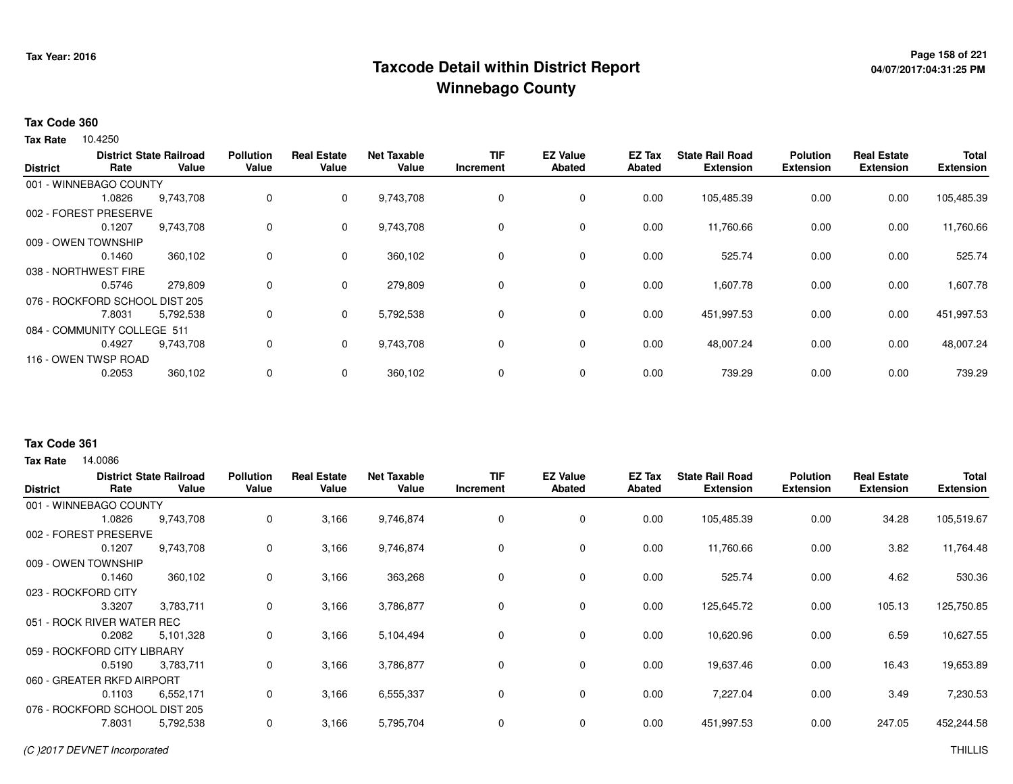## **Page 158 of 221 Taxcode Detail within District ReportWinnebago County**

# **04/07/2017:04:31:25 PM**

#### **Tax Code 360**

Tax Rate 10.4250

|                 |                                | <b>District State Railroad</b> | <b>Pollution</b> | <b>Real Estate</b> | <b>Net Taxable</b> | <b>TIF</b> | <b>EZ Value</b> | <b>EZ Tax</b> | <b>State Rail Road</b> | <b>Polution</b>  | <b>Real Estate</b> | <b>Total</b>     |
|-----------------|--------------------------------|--------------------------------|------------------|--------------------|--------------------|------------|-----------------|---------------|------------------------|------------------|--------------------|------------------|
| <b>District</b> | Rate                           | Value                          | Value            | Value              | Value              | Increment  | <b>Abated</b>   | Abated        | <b>Extension</b>       | <b>Extension</b> | <b>Extension</b>   | <b>Extension</b> |
|                 | 001 - WINNEBAGO COUNTY         |                                |                  |                    |                    |            |                 |               |                        |                  |                    |                  |
|                 | 1.0826                         | 9,743,708                      | 0                | 0                  | 9,743,708          | 0          | 0               | 0.00          | 105,485.39             | 0.00             | 0.00               | 105,485.39       |
|                 | 002 - FOREST PRESERVE          |                                |                  |                    |                    |            |                 |               |                        |                  |                    |                  |
|                 | 0.1207                         | 9,743,708                      | 0                | 0                  | 9,743,708          | 0          | 0               | 0.00          | 11,760.66              | 0.00             | 0.00               | 11,760.66        |
|                 | 009 - OWEN TOWNSHIP            |                                |                  |                    |                    |            |                 |               |                        |                  |                    |                  |
|                 | 0.1460                         | 360,102                        | 0                | 0                  | 360,102            | 0          | 0               | 0.00          | 525.74                 | 0.00             | 0.00               | 525.74           |
|                 | 038 - NORTHWEST FIRE           |                                |                  |                    |                    |            |                 |               |                        |                  |                    |                  |
|                 | 0.5746                         | 279,809                        | 0                | 0                  | 279,809            | 0          | 0               | 0.00          | 1,607.78               | 0.00             | 0.00               | 1,607.78         |
|                 | 076 - ROCKFORD SCHOOL DIST 205 |                                |                  |                    |                    |            |                 |               |                        |                  |                    |                  |
|                 | 7.8031                         | 5,792,538                      | 0                | 0                  | 5,792,538          | 0          | 0               | 0.00          | 451,997.53             | 0.00             | 0.00               | 451,997.53       |
|                 | 084 - COMMUNITY COLLEGE 511    |                                |                  |                    |                    |            |                 |               |                        |                  |                    |                  |
|                 | 0.4927                         | 9,743,708                      | 0                | 0                  | 9,743,708          | 0          | 0               | 0.00          | 48,007.24              | 0.00             | 0.00               | 48,007.24        |
|                 | 116 - OWEN TWSP ROAD           |                                |                  |                    |                    |            |                 |               |                        |                  |                    |                  |
|                 | 0.2053                         | 360,102                        | 0                |                    | 360,102            | 0          | 0               | 0.00          | 739.29                 | 0.00             | 0.00               | 739.29           |
|                 |                                |                                |                  |                    |                    |            |                 |               |                        |                  |                    |                  |

#### **Tax Code 361**

**Tax Rate** 14,0086

| <b>District</b> | Rate                           | <b>District State Railroad</b><br>Value | <b>Pollution</b><br>Value | <b>Real Estate</b><br>Value | <b>Net Taxable</b><br>Value | <b>TIF</b><br>Increment | <b>EZ Value</b><br><b>Abated</b> | EZ Tax<br>Abated | <b>State Rail Road</b><br><b>Extension</b> | <b>Polution</b><br><b>Extension</b> | <b>Real Estate</b><br><b>Extension</b> | <b>Total</b><br><b>Extension</b> |
|-----------------|--------------------------------|-----------------------------------------|---------------------------|-----------------------------|-----------------------------|-------------------------|----------------------------------|------------------|--------------------------------------------|-------------------------------------|----------------------------------------|----------------------------------|
|                 | 001 - WINNEBAGO COUNTY         |                                         |                           |                             |                             |                         |                                  |                  |                                            |                                     |                                        |                                  |
|                 | 1.0826                         | 9,743,708                               | 0                         | 3,166                       | 9,746,874                   | 0                       | 0                                | 0.00             | 105,485.39                                 | 0.00                                | 34.28                                  | 105,519.67                       |
| 002 - FOREST    | <b>PRESERVE</b>                |                                         |                           |                             |                             |                         |                                  |                  |                                            |                                     |                                        |                                  |
|                 | 0.1207                         | 9,743,708                               | 0                         | 3,166                       | 9,746,874                   | 0                       | 0                                | 0.00             | 11,760.66                                  | 0.00                                | 3.82                                   | 11,764.48                        |
|                 | 009 - OWEN TOWNSHIP            |                                         |                           |                             |                             |                         |                                  |                  |                                            |                                     |                                        |                                  |
|                 | 0.1460                         | 360,102                                 | 0                         | 3,166                       | 363,268                     | 0                       | 0                                | 0.00             | 525.74                                     | 0.00                                | 4.62                                   | 530.36                           |
|                 | 023 - ROCKFORD CITY            |                                         |                           |                             |                             |                         |                                  |                  |                                            |                                     |                                        |                                  |
|                 | 3.3207                         | 3,783,711                               | 0                         | 3,166                       | 3,786,877                   | 0                       | $\mathbf 0$                      | 0.00             | 125,645.72                                 | 0.00                                | 105.13                                 | 125,750.85                       |
|                 | 051 - ROCK RIVER WATER REC     |                                         |                           |                             |                             |                         |                                  |                  |                                            |                                     |                                        |                                  |
|                 | 0.2082                         | 5,101,328                               | 0                         | 3,166                       | 5,104,494                   | 0                       | $\mathbf 0$                      | 0.00             | 10,620.96                                  | 0.00                                | 6.59                                   | 10,627.55                        |
|                 | 059 - ROCKFORD CITY LIBRARY    |                                         |                           |                             |                             |                         |                                  |                  |                                            |                                     |                                        |                                  |
|                 | 0.5190                         | 3,783,711                               | 0                         | 3,166                       | 3,786,877                   | 0                       | $\mathbf 0$                      | 0.00             | 19,637.46                                  | 0.00                                | 16.43                                  | 19,653.89                        |
|                 | 060 - GREATER RKFD AIRPORT     |                                         |                           |                             |                             |                         |                                  |                  |                                            |                                     |                                        |                                  |
|                 | 0.1103                         | 6,552,171                               | 0                         | 3,166                       | 6,555,337                   | 0                       | $\mathbf 0$                      | 0.00             | 7,227.04                                   | 0.00                                | 3.49                                   | 7,230.53                         |
|                 | 076 - ROCKFORD SCHOOL DIST 205 |                                         |                           |                             |                             |                         |                                  |                  |                                            |                                     |                                        |                                  |
|                 | 7.8031                         | 5,792,538                               | 0                         | 3,166                       | 5,795,704                   | 0                       | 0                                | 0.00             | 451,997.53                                 | 0.00                                | 247.05                                 | 452,244.58                       |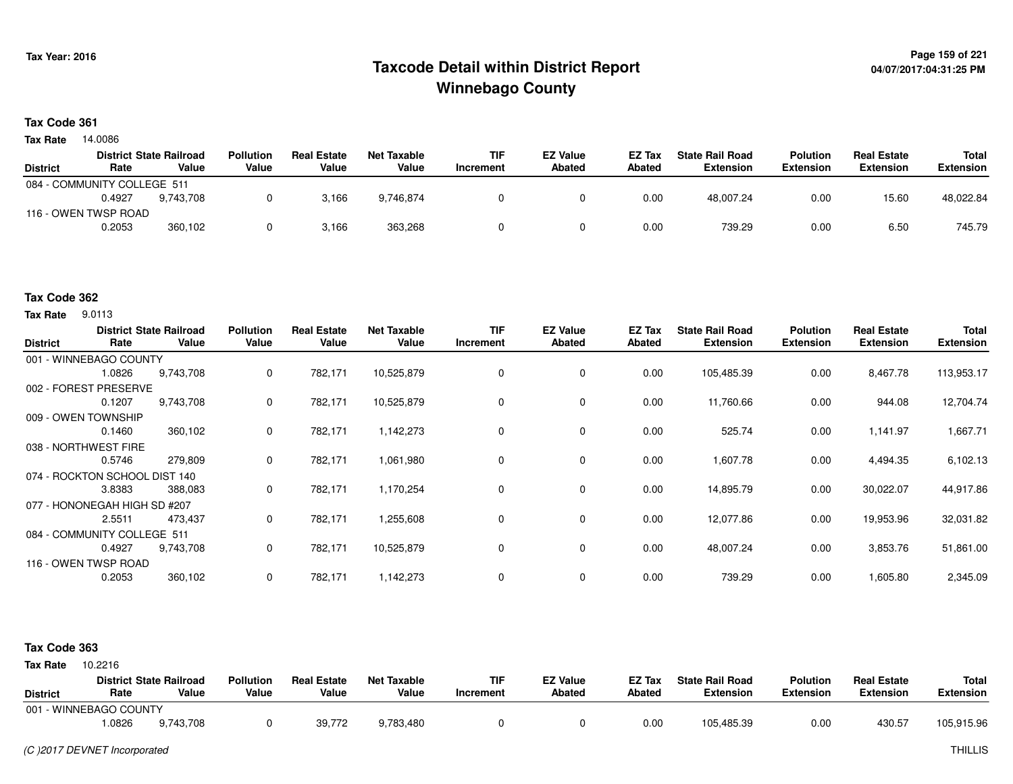### **Page 159 of 221 Taxcode Detail within District ReportWinnebago County**

#### **Tax Code 361**

**Tax Rate** 14.0086

|                 |                             | <b>District State Railroad</b> | <b>Pollution</b> | <b>Real Estate</b> | Net Taxable | <b>TIF</b> | <b>EZ Value</b> | EZ Tax | <b>State Rail Road</b> | <b>Polution</b>  | <b>Real Estate</b> | Total            |
|-----------------|-----------------------------|--------------------------------|------------------|--------------------|-------------|------------|-----------------|--------|------------------------|------------------|--------------------|------------------|
| <b>District</b> | Rate                        | Value                          | Value            | Value              | Value       | Increment  | <b>Abated</b>   | Abated | Extension              | <b>Extension</b> | <b>Extension</b>   | <b>Extension</b> |
|                 | 084 - COMMUNITY COLLEGE 511 |                                |                  |                    |             |            |                 |        |                        |                  |                    |                  |
|                 | 0.4927                      | 9.743.708                      |                  | 3,166              | 9.746.874   |            |                 | 0.00   | 48.007.24              | 0.00             | 15.60              | 48,022.84        |
|                 | 116 - OWEN TWSP ROAD        |                                |                  |                    |             |            |                 |        |                        |                  |                    |                  |
|                 | 0.2053                      | 360,102                        |                  | 3,166              | 363,268     |            |                 | 0.00   | 739.29                 | 0.00             | 6.50               | 745.79           |

#### **Tax Code 362**

**Tax Rate** 9.0113

| <b>District</b> | Rate                          | <b>District State Railroad</b><br>Value | <b>Pollution</b><br>Value | <b>Real Estate</b><br>Value | <b>Net Taxable</b><br>Value | <b>TIF</b><br>Increment | <b>EZ Value</b><br><b>Abated</b> | EZ Tax<br><b>Abated</b> | <b>State Rail Road</b><br><b>Extension</b> | <b>Polution</b><br><b>Extension</b> | <b>Real Estate</b><br><b>Extension</b> | Total<br><b>Extension</b> |
|-----------------|-------------------------------|-----------------------------------------|---------------------------|-----------------------------|-----------------------------|-------------------------|----------------------------------|-------------------------|--------------------------------------------|-------------------------------------|----------------------------------------|---------------------------|
|                 | 001 - WINNEBAGO COUNTY        |                                         |                           |                             |                             |                         |                                  |                         |                                            |                                     |                                        |                           |
|                 | 1.0826                        | 9,743,708                               | 0                         | 782,171                     | 10,525,879                  | 0                       | 0                                | 0.00                    | 105,485.39                                 | 0.00                                | 8,467.78                               | 113,953.17                |
|                 | 002 - FOREST PRESERVE         |                                         |                           |                             |                             |                         |                                  |                         |                                            |                                     |                                        |                           |
|                 | 0.1207                        | 9,743,708                               | 0                         | 782,171                     | 10,525,879                  | 0                       | 0                                | 0.00                    | 11,760.66                                  | 0.00                                | 944.08                                 | 12,704.74                 |
|                 | 009 - OWEN TOWNSHIP           |                                         |                           |                             |                             |                         |                                  |                         |                                            |                                     |                                        |                           |
|                 | 0.1460                        | 360,102                                 | 0                         | 782,171                     | 1,142,273                   | 0                       | 0                                | 0.00                    | 525.74                                     | 0.00                                | 1,141.97                               | 1,667.71                  |
|                 | 038 - NORTHWEST FIRE          |                                         |                           |                             |                             |                         |                                  |                         |                                            |                                     |                                        |                           |
|                 | 0.5746                        | 279,809                                 | 0                         | 782,171                     | 1,061,980                   | $\mathbf 0$             | $\mathbf 0$                      | 0.00                    | 1,607.78                                   | 0.00                                | 4,494.35                               | 6,102.13                  |
|                 | 074 - ROCKTON SCHOOL DIST 140 |                                         |                           |                             |                             |                         |                                  |                         |                                            |                                     |                                        |                           |
|                 | 3.8383                        | 388,083                                 | 0                         | 782,171                     | 1,170,254                   | 0                       | $\mathbf 0$                      | 0.00                    | 14,895.79                                  | 0.00                                | 30,022.07                              | 44,917.86                 |
|                 | 077 - HONONEGAH HIGH SD #207  |                                         |                           |                             |                             |                         |                                  |                         |                                            |                                     |                                        |                           |
|                 | 2.5511                        | 473,437                                 | 0                         | 782,171                     | 1,255,608                   | 0                       | 0                                | 0.00                    | 12,077.86                                  | 0.00                                | 19,953.96                              | 32,031.82                 |
|                 | 084 - COMMUNITY COLLEGE 511   |                                         |                           |                             |                             |                         |                                  |                         |                                            |                                     |                                        |                           |
|                 | 0.4927                        | 9,743,708                               | 0                         | 782,171                     | 10,525,879                  | 0                       | 0                                | 0.00                    | 48,007.24                                  | 0.00                                | 3,853.76                               | 51,861.00                 |
|                 | 116 - OWEN TWSP ROAD          |                                         |                           |                             |                             |                         |                                  |                         |                                            |                                     |                                        |                           |
|                 | 0.2053                        | 360,102                                 | 0                         | 782,171                     | 1,142,273                   | 0                       | $\mathbf 0$                      | 0.00                    | 739.29                                     | 0.00                                | 1,605.80                               | 2,345.09                  |

#### **Tax Code 363**

**State Railroad District ValueTIF IncrementEZ Value AbatedReal Estate ExtensionTotal ExtensionTax Rate** 10.2216 **DistrictPollution ValueReal Estate ValueNet Taxable Value Rate** 001 - WINNEBAGO COUNTY**Polution ExtensionState Rail Road ExtensionEZ Tax Abated**430.57 105,915.969,743,708 1.08266 9,743,708 0 39,772 9,783,480 0 0 0.00 105,485.39 0.00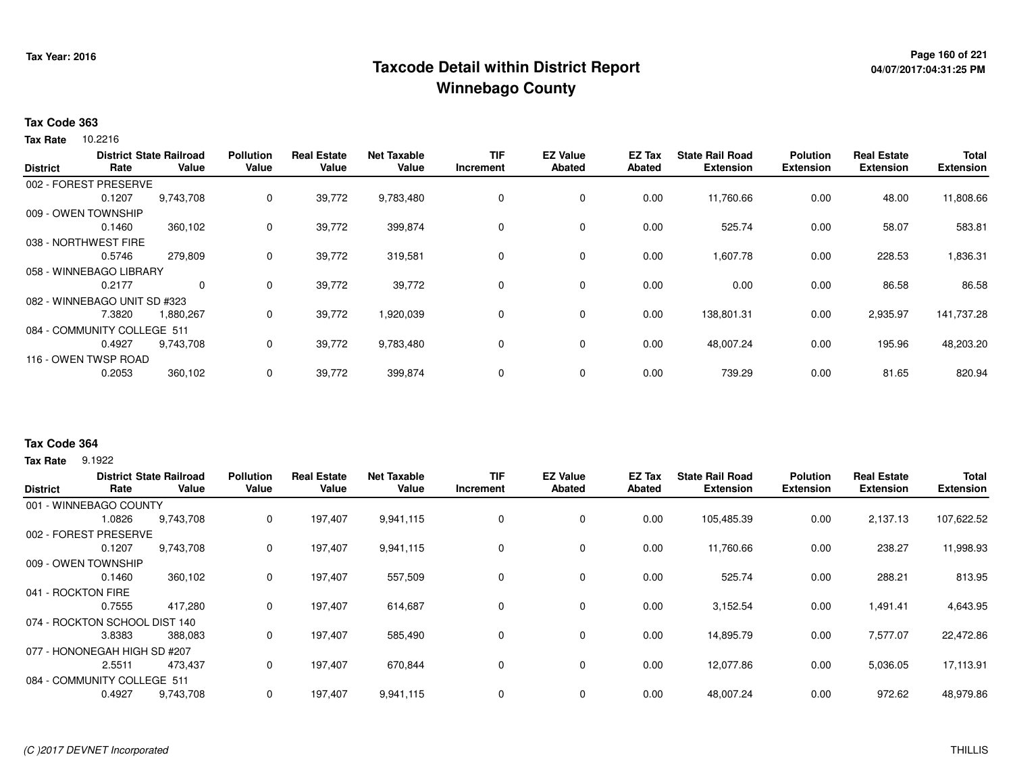## **Page 160 of 221 Taxcode Detail within District ReportWinnebago County**

#### **Tax Code 363**

**Tax Rate** 10.2216

|                 |                              | <b>District State Railroad</b> | <b>Pollution</b> | Real<br>Estate | <b>Net Taxable</b> | <b>TIF</b>  | <b>EZ Value</b> | <b>EZ Tax</b> | <b>State Rail Road</b> | <b>Polution</b>  | <b>Real Estate</b> | <b>Total</b>     |
|-----------------|------------------------------|--------------------------------|------------------|----------------|--------------------|-------------|-----------------|---------------|------------------------|------------------|--------------------|------------------|
| <b>District</b> | Rate                         | Value                          | Value            | Value          | Value              | Increment   | <b>Abated</b>   | <b>Abated</b> | <b>Extension</b>       | <b>Extension</b> | <b>Extension</b>   | <b>Extension</b> |
|                 | 002 - FOREST PRESERVE        |                                |                  |                |                    |             |                 |               |                        |                  |                    |                  |
|                 | 0.1207                       | 9,743,708                      | 0                | 39,772         | 9,783,480          | $\mathbf 0$ | 0               | 0.00          | 11,760.66              | 0.00             | 48.00              | 11,808.66        |
|                 | 009 - OWEN TOWNSHIP          |                                |                  |                |                    |             |                 |               |                        |                  |                    |                  |
|                 | 0.1460                       | 360,102                        | 0                | 39,772         | 399,874            | 0           | 0               | 0.00          | 525.74                 | 0.00             | 58.07              | 583.81           |
|                 | 038 - NORTHWEST FIRE         |                                |                  |                |                    |             |                 |               |                        |                  |                    |                  |
|                 | 0.5746                       | 279,809                        | 0                | 39,772         | 319,581            | 0           | 0               | 0.00          | 1,607.78               | 0.00             | 228.53             | 1,836.31         |
|                 | 058 - WINNEBAGO LIBRARY      |                                |                  |                |                    |             |                 |               |                        |                  |                    |                  |
|                 | 0.2177                       | $\mathbf{0}$                   | 0                | 39,772         | 39,772             | 0           | 0               | 0.00          | 0.00                   | 0.00             | 86.58              | 86.58            |
|                 | 082 - WINNEBAGO UNIT SD #323 |                                |                  |                |                    |             |                 |               |                        |                  |                    |                  |
|                 | 7.3820                       | 1,880,267                      | 0                | 39,772         | 1,920,039          | 0           | 0               | 0.00          | 138,801.31             | 0.00             | 2,935.97           | 141,737.28       |
|                 | 084 - COMMUNITY COLLEGE 511  |                                |                  |                |                    |             |                 |               |                        |                  |                    |                  |
|                 | 0.4927                       | 9,743,708                      | 0                | 39,772         | 9,783,480          | 0           | 0               | 0.00          | 48,007.24              | 0.00             | 195.96             | 48,203.20        |
|                 | 116 - OWEN TWSP ROAD         |                                |                  |                |                    |             |                 |               |                        |                  |                    |                  |
|                 | 0.2053                       | 360,102                        | 0                | 39,772         | 399,874            | $\mathbf 0$ | 0               | 0.00          | 739.29                 | 0.00             | 81.65              | 820.94           |
|                 |                              |                                |                  |                |                    |             |                 |               |                        |                  |                    |                  |

#### **Tax Code 364**

**Tax Rate** 9.1922

| <b>District</b>             | Rate                          | <b>District State Railroad</b><br>Value | <b>Pollution</b><br>Value | Estate<br>Real<br>Value | <b>Net Taxable</b><br>Value | <b>TIF</b><br><b>Increment</b> | <b>EZ Value</b><br><b>Abated</b> | EZ Tax<br><b>Abated</b> | <b>State Rail Road</b><br><b>Extension</b> | <b>Polution</b><br><b>Extension</b> | <b>Real Estate</b><br><b>Extension</b> | <b>Total</b><br><b>Extension</b> |
|-----------------------------|-------------------------------|-----------------------------------------|---------------------------|-------------------------|-----------------------------|--------------------------------|----------------------------------|-------------------------|--------------------------------------------|-------------------------------------|----------------------------------------|----------------------------------|
|                             | 001 - WINNEBAGO COUNTY        |                                         |                           |                         |                             |                                |                                  |                         |                                            |                                     |                                        |                                  |
|                             | 1.0826                        | 9,743,708                               | 0                         | 197,407                 | 9,941,115                   | 0                              | 0                                | 0.00                    | 105,485.39                                 | 0.00                                | 2,137.13                               | 107,622.52                       |
| 002 - FOREST                | PRESERVE                      |                                         |                           |                         |                             |                                |                                  |                         |                                            |                                     |                                        |                                  |
|                             | 0.1207                        | 9,743,708                               | 0                         | 197,407                 | 9,941,115                   | 0                              | 0                                | 0.00                    | 11,760.66                                  | 0.00                                | 238.27                                 | 11,998.93                        |
| 009 - OWEN TOWNSHIP         |                               |                                         |                           |                         |                             |                                |                                  |                         |                                            |                                     |                                        |                                  |
|                             | 0.1460                        | 360,102                                 | 0                         | 197,407                 | 557,509                     | 0                              | $\mathbf 0$                      | 0.00                    | 525.74                                     | 0.00                                | 288.21                                 | 813.95                           |
| 041 - ROCKTON FIRE          |                               |                                         |                           |                         |                             |                                |                                  |                         |                                            |                                     |                                        |                                  |
|                             | 0.7555                        | 417,280                                 | 0                         | 197,407                 | 614,687                     | 0                              | $\mathbf 0$                      | 0.00                    | 3,152.54                                   | 0.00                                | 1,491.41                               | 4,643.95                         |
|                             | 074 - ROCKTON SCHOOL DIST 140 |                                         |                           |                         |                             |                                |                                  |                         |                                            |                                     |                                        |                                  |
|                             | 3.8383                        | 388,083                                 | 0                         | 197,407                 | 585,490                     | 0                              | $\mathbf 0$                      | 0.00                    | 14,895.79                                  | 0.00                                | 7,577.07                               | 22,472.86                        |
|                             | 077 - HONONEGAH HIGH SD #207  |                                         |                           |                         |                             |                                |                                  |                         |                                            |                                     |                                        |                                  |
|                             | 2.5511                        | 473.437                                 | 0                         | 197,407                 | 670,844                     | 0                              | $\mathbf 0$                      | 0.00                    | 12,077.86                                  | 0.00                                | 5,036.05                               | 17,113.91                        |
| 084 - COMMUNITY COLLEGE 511 |                               |                                         |                           |                         |                             |                                |                                  |                         |                                            |                                     |                                        |                                  |
|                             | 0.4927                        | 9,743,708                               | 0                         | 197,407                 | 9,941,115                   | 0                              | 0                                | 0.00                    | 48,007.24                                  | 0.00                                | 972.62                                 | 48,979.86                        |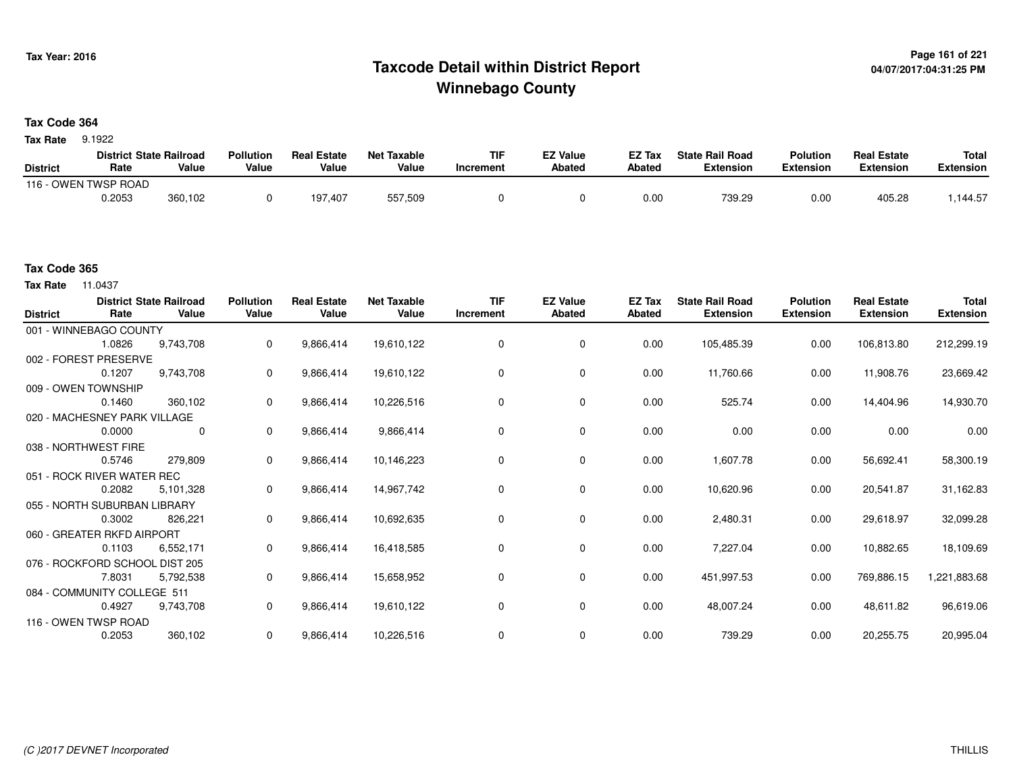## **Page 161 of 221 Taxcode Detail within District ReportWinnebago County**

#### **Tax Code 364**

**Tax Rate** 9.1922

|                 | <b>District State Railroad</b> |         | Pollution | <b>Real Estate</b> | <b>Net Taxable</b> | TIF       | <b>EZ Value</b> | <b>EZ Tax</b> | <b>State Rail Road</b> | <b>Polution</b>  | <b>Real Estate</b> | <b>Total</b> |
|-----------------|--------------------------------|---------|-----------|--------------------|--------------------|-----------|-----------------|---------------|------------------------|------------------|--------------------|--------------|
| <b>District</b> | Rate                           | Value   | Value     | Value              | Value              | Increment | Abated          | Abated        | <b>Extension</b>       | <b>Extension</b> | <b>Extension</b>   | Extension    |
| ے - 116         | OWEN TWSP ROAD                 |         |           |                    |                    |           |                 |               |                        |                  |                    |              |
|                 | 0.2053                         | 360,102 |           | 197,407            | 557,509            |           |                 | 0.00          | 739.29                 | 0.00             | 405.28             | .144.57      |

#### **Tax Code 365**

**Tax Rate** 11.0437

| <b>District</b> | Rate                           | <b>District State Railroad</b><br>Value | <b>Pollution</b><br>Value | <b>Real Estate</b><br>Value | <b>Net Taxable</b><br>Value | <b>TIF</b><br>Increment | <b>EZ Value</b><br><b>Abated</b> | EZ Tax<br>Abated | <b>State Rail Road</b><br><b>Extension</b> | <b>Polution</b><br><b>Extension</b> | <b>Real Estate</b><br><b>Extension</b> | <b>Total</b><br><b>Extension</b> |
|-----------------|--------------------------------|-----------------------------------------|---------------------------|-----------------------------|-----------------------------|-------------------------|----------------------------------|------------------|--------------------------------------------|-------------------------------------|----------------------------------------|----------------------------------|
|                 | 001 - WINNEBAGO COUNTY         |                                         |                           |                             |                             |                         |                                  |                  |                                            |                                     |                                        |                                  |
|                 | 1.0826                         | 9.743.708                               | $\mathbf 0$               | 9,866,414                   | 19,610,122                  | $\mathbf 0$             | $\mathbf 0$                      | 0.00             | 105,485.39                                 | 0.00                                | 106,813.80                             | 212,299.19                       |
|                 | 002 - FOREST PRESERVE          |                                         |                           |                             |                             |                         |                                  |                  |                                            |                                     |                                        |                                  |
|                 | 0.1207                         | 9,743,708                               | $\mathbf 0$               | 9,866,414                   | 19,610,122                  | $\Omega$                | 0                                | 0.00             | 11,760.66                                  | 0.00                                | 11,908.76                              | 23,669.42                        |
|                 | 009 - OWEN TOWNSHIP            |                                         |                           |                             |                             |                         |                                  |                  |                                            |                                     |                                        |                                  |
|                 | 0.1460                         | 360,102                                 | $\mathbf 0$               | 9,866,414                   | 10,226,516                  | $\Omega$                | 0                                | 0.00             | 525.74                                     | 0.00                                | 14,404.96                              | 14,930.70                        |
|                 | 020 - MACHESNEY PARK VILLAGE   |                                         |                           |                             |                             |                         |                                  |                  |                                            |                                     |                                        |                                  |
|                 | 0.0000                         | 0                                       | $\mathbf{0}$              | 9,866,414                   | 9,866,414                   | $\Omega$                | 0                                | 0.00             | 0.00                                       | 0.00                                | 0.00                                   | 0.00                             |
|                 | 038 - NORTHWEST FIRE           |                                         |                           |                             |                             |                         |                                  |                  |                                            |                                     |                                        |                                  |
|                 | 0.5746                         | 279,809                                 | $\mathbf 0$               | 9,866,414                   | 10,146,223                  | 0                       | 0                                | 0.00             | 1,607.78                                   | 0.00                                | 56,692.41                              | 58,300.19                        |
|                 | 051 - ROCK RIVER WATER REC     |                                         |                           |                             |                             |                         |                                  |                  |                                            |                                     |                                        |                                  |
|                 | 0.2082                         | 5,101,328                               | $\mathbf 0$               | 9,866,414                   | 14,967,742                  | 0                       | 0                                | 0.00             | 10,620.96                                  | 0.00                                | 20,541.87                              | 31,162.83                        |
|                 | 055 - NORTH SUBURBAN LIBRARY   |                                         |                           |                             |                             |                         |                                  |                  |                                            |                                     |                                        |                                  |
|                 | 0.3002                         | 826,221                                 | $\mathbf{0}$              | 9,866,414                   | 10,692,635                  | 0                       | 0                                | 0.00             | 2,480.31                                   | 0.00                                | 29,618.97                              | 32,099.28                        |
|                 | 060 - GREATER RKFD AIRPORT     |                                         |                           |                             |                             |                         |                                  |                  |                                            |                                     |                                        |                                  |
|                 | 0.1103                         | 6,552,171                               | $\mathbf 0$               | 9,866,414                   | 16,418,585                  | $\Omega$                | 0                                | 0.00             | 7,227.04                                   | 0.00                                | 10,882.65                              | 18,109.69                        |
|                 | 076 - ROCKFORD SCHOOL DIST 205 |                                         |                           |                             |                             |                         |                                  |                  |                                            |                                     |                                        |                                  |
|                 | 7.8031                         | 5,792,538                               | $\mathbf 0$               | 9,866,414                   | 15,658,952                  | 0                       | 0                                | 0.00             | 451,997.53                                 | 0.00                                | 769,886.15                             | 1,221,883.68                     |
|                 | 084 - COMMUNITY COLLEGE 511    |                                         |                           |                             |                             |                         |                                  |                  |                                            |                                     |                                        |                                  |
|                 | 0.4927                         | 9,743,708                               | 0                         | 9,866,414                   | 19,610,122                  | $\mathbf 0$             | 0                                | 0.00             | 48,007.24                                  | 0.00                                | 48,611.82                              | 96,619.06                        |
|                 | 116 - OWEN TWSP ROAD           |                                         |                           |                             |                             |                         |                                  |                  |                                            |                                     |                                        |                                  |
|                 | 0.2053                         | 360,102                                 | $\mathbf 0$               | 9,866,414                   | 10,226,516                  |                         | 0                                | 0.00             | 739.29                                     | 0.00                                | 20,255.75                              | 20,995.04                        |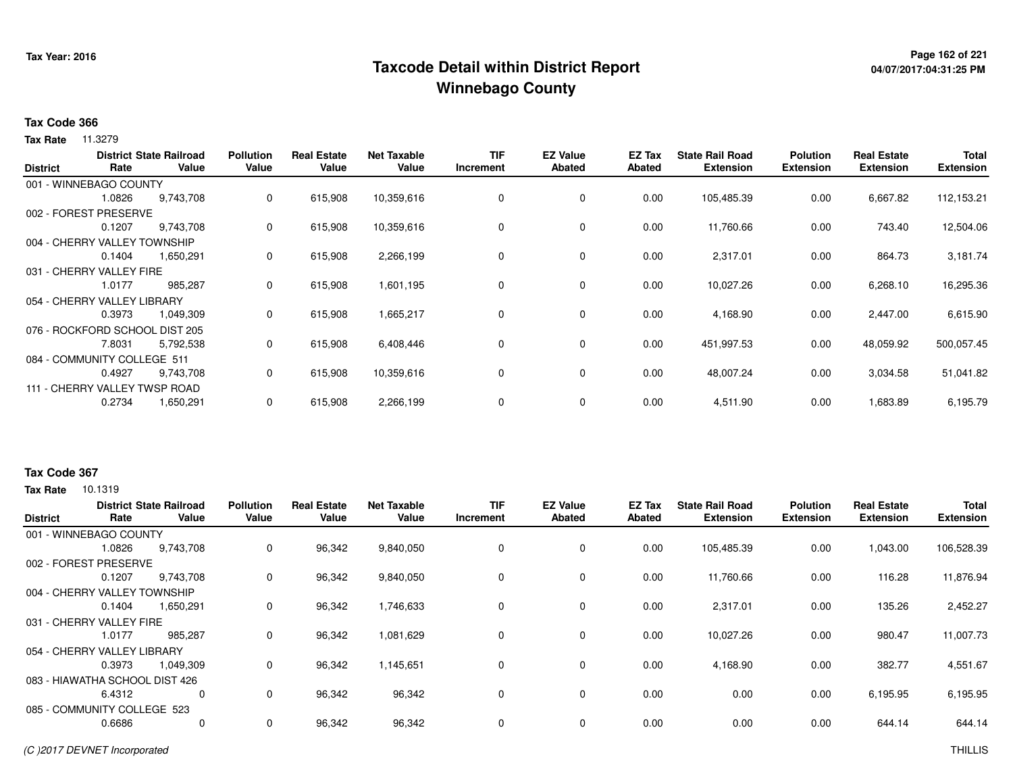## **Page 162 of 221 Taxcode Detail within District ReportWinnebago County**

# **04/07/2017:04:31:25 PM**

#### **Tax Code 366**

**Tax Rate** 11.3279

| <b>District</b> | Rate                           | <b>District State Railroad</b><br>Value | <b>Pollution</b><br>Value | <b>Real Estate</b><br>Value | <b>Net Taxable</b><br>Value | <b>TIF</b><br>Increment | <b>EZ Value</b><br><b>Abated</b> | EZ Tax<br>Abated | <b>State Rail Road</b><br><b>Extension</b> | <b>Polution</b><br><b>Extension</b> | <b>Real Estate</b><br><b>Extension</b> | <b>Total</b><br><b>Extension</b> |
|-----------------|--------------------------------|-----------------------------------------|---------------------------|-----------------------------|-----------------------------|-------------------------|----------------------------------|------------------|--------------------------------------------|-------------------------------------|----------------------------------------|----------------------------------|
|                 | 001 - WINNEBAGO COUNTY         |                                         |                           |                             |                             |                         |                                  |                  |                                            |                                     |                                        |                                  |
|                 | 1.0826                         | 9,743,708                               | 0                         | 615,908                     | 10,359,616                  | 0                       | 0                                | 0.00             | 105,485.39                                 | 0.00                                | 6,667.82                               | 112,153.21                       |
|                 | 002 - FOREST PRESERVE          |                                         |                           |                             |                             |                         |                                  |                  |                                            |                                     |                                        |                                  |
|                 | 0.1207                         | 9,743,708                               | 0                         | 615,908                     | 10,359,616                  | 0                       | 0                                | 0.00             | 11,760.66                                  | 0.00                                | 743.40                                 | 12,504.06                        |
|                 | 004 - CHERRY VALLEY TOWNSHIP   |                                         |                           |                             |                             |                         |                                  |                  |                                            |                                     |                                        |                                  |
|                 | 0.1404                         | 1,650,291                               | 0                         | 615,908                     | 2,266,199                   | 0                       | 0                                | 0.00             | 2,317.01                                   | 0.00                                | 864.73                                 | 3,181.74                         |
|                 | 031 - CHERRY VALLEY FIRE       |                                         |                           |                             |                             |                         |                                  |                  |                                            |                                     |                                        |                                  |
|                 | 1.0177                         | 985,287                                 | 0                         | 615,908                     | 1,601,195                   | 0                       | $\mathbf 0$                      | 0.00             | 10,027.26                                  | 0.00                                | 6,268.10                               | 16,295.36                        |
|                 | 054 - CHERRY VALLEY LIBRARY    |                                         |                           |                             |                             |                         |                                  |                  |                                            |                                     |                                        |                                  |
|                 | 0.3973                         | 1,049,309                               | 0                         | 615,908                     | 1,665,217                   | 0                       | $\mathbf 0$                      | 0.00             | 4,168.90                                   | 0.00                                | 2,447.00                               | 6,615.90                         |
|                 | 076 - ROCKFORD SCHOOL DIST 205 |                                         |                           |                             |                             |                         |                                  |                  |                                            |                                     |                                        |                                  |
|                 | 7.8031                         | 5,792,538                               | 0                         | 615,908                     | 6,408,446                   | 0                       | 0                                | 0.00             | 451,997.53                                 | 0.00                                | 48,059.92                              | 500,057.45                       |
|                 | 084 - COMMUNITY COLLEGE 511    |                                         |                           |                             |                             |                         |                                  |                  |                                            |                                     |                                        |                                  |
|                 | 0.4927                         | 9,743,708                               | 0                         | 615,908                     | 10,359,616                  | 0                       | 0                                | 0.00             | 48,007.24                                  | 0.00                                | 3,034.58                               | 51,041.82                        |
|                 | 111 - CHERRY VALLEY TWSP ROAD  |                                         |                           |                             |                             |                         |                                  |                  |                                            |                                     |                                        |                                  |
|                 | 0.2734                         | 1,650,291                               | 0                         | 615,908                     | 2,266,199                   | 0                       | 0                                | 0.00             | 4,511.90                                   | 0.00                                | 1,683.89                               | 6,195.79                         |

#### **Tax Code 367**

| Rate         | Value     | <b>Pollution</b><br>Value                                                                                                                                                                                                        | <b>Real Estate</b><br>Value | <b>Net Taxable</b><br>Value | <b>TIF</b><br>Increment | <b>EZ Value</b><br><b>Abated</b> | EZ Tax<br>Abated | <b>State Rail Road</b><br><b>Extension</b> | <b>Polution</b><br><b>Extension</b> | <b>Real Estate</b><br><b>Extension</b> | <b>Total</b><br><b>Extension</b> |
|--------------|-----------|----------------------------------------------------------------------------------------------------------------------------------------------------------------------------------------------------------------------------------|-----------------------------|-----------------------------|-------------------------|----------------------------------|------------------|--------------------------------------------|-------------------------------------|----------------------------------------|----------------------------------|
|              |           |                                                                                                                                                                                                                                  |                             |                             |                         |                                  |                  |                                            |                                     |                                        |                                  |
| 1.0826       | 9,743,708 | 0                                                                                                                                                                                                                                | 96,342                      | 9,840,050                   | 0                       | 0                                | 0.00             | 105,485.39                                 | 0.00                                | 1,043.00                               | 106,528.39                       |
| 002 - FOREST |           |                                                                                                                                                                                                                                  |                             |                             |                         |                                  |                  |                                            |                                     |                                        |                                  |
| 0.1207       | 9,743,708 | 0                                                                                                                                                                                                                                | 96,342                      | 9,840,050                   | 0                       | $\mathbf 0$                      | 0.00             | 11,760.66                                  | 0.00                                | 116.28                                 | 11,876.94                        |
|              |           |                                                                                                                                                                                                                                  |                             |                             |                         |                                  |                  |                                            |                                     |                                        |                                  |
| 0.1404       | 1,650,291 | 0                                                                                                                                                                                                                                | 96,342                      | 1,746,633                   | 0                       | $\mathbf 0$                      | 0.00             | 2,317.01                                   | 0.00                                | 135.26                                 | 2,452.27                         |
|              |           |                                                                                                                                                                                                                                  |                             |                             |                         |                                  |                  |                                            |                                     |                                        |                                  |
| 1.0177       | 985,287   | 0                                                                                                                                                                                                                                | 96,342                      | 1,081,629                   | 0                       | $\mathbf 0$                      | 0.00             | 10,027.26                                  | 0.00                                | 980.47                                 | 11,007.73                        |
|              |           |                                                                                                                                                                                                                                  |                             |                             |                         |                                  |                  |                                            |                                     |                                        |                                  |
| 0.3973       | 1,049,309 | 0                                                                                                                                                                                                                                | 96,342                      | 1,145,651                   | 0                       | $\mathbf 0$                      | 0.00             | 4,168.90                                   | 0.00                                | 382.77                                 | 4,551.67                         |
|              |           |                                                                                                                                                                                                                                  |                             |                             |                         |                                  |                  |                                            |                                     |                                        |                                  |
| 6.4312       | 0         | 0                                                                                                                                                                                                                                | 96,342                      | 96,342                      | 0                       | $\mathbf 0$                      | 0.00             | 0.00                                       | 0.00                                | 6,195.95                               | 6,195.95                         |
|              |           |                                                                                                                                                                                                                                  |                             |                             |                         |                                  |                  |                                            |                                     |                                        |                                  |
| 0.6686       | 0         | 0                                                                                                                                                                                                                                | 96,342                      | 96,342                      | 0                       | $\mathbf 0$                      | 0.00             | 0.00                                       | 0.00                                | 644.14                                 | 644.14                           |
|              |           | <b>District State Railroad</b><br>001 - WINNEBAGO COUNTY<br>PRESERVE<br>004 - CHERRY VALLEY TOWNSHIP<br>031 - CHERRY VALLEY FIRE<br>054 - CHERRY VALLEY LIBRARY<br>083 - HIAWATHA SCHOOL DIST 426<br>085 - COMMUNITY COLLEGE 523 |                             |                             |                         |                                  |                  |                                            |                                     |                                        |                                  |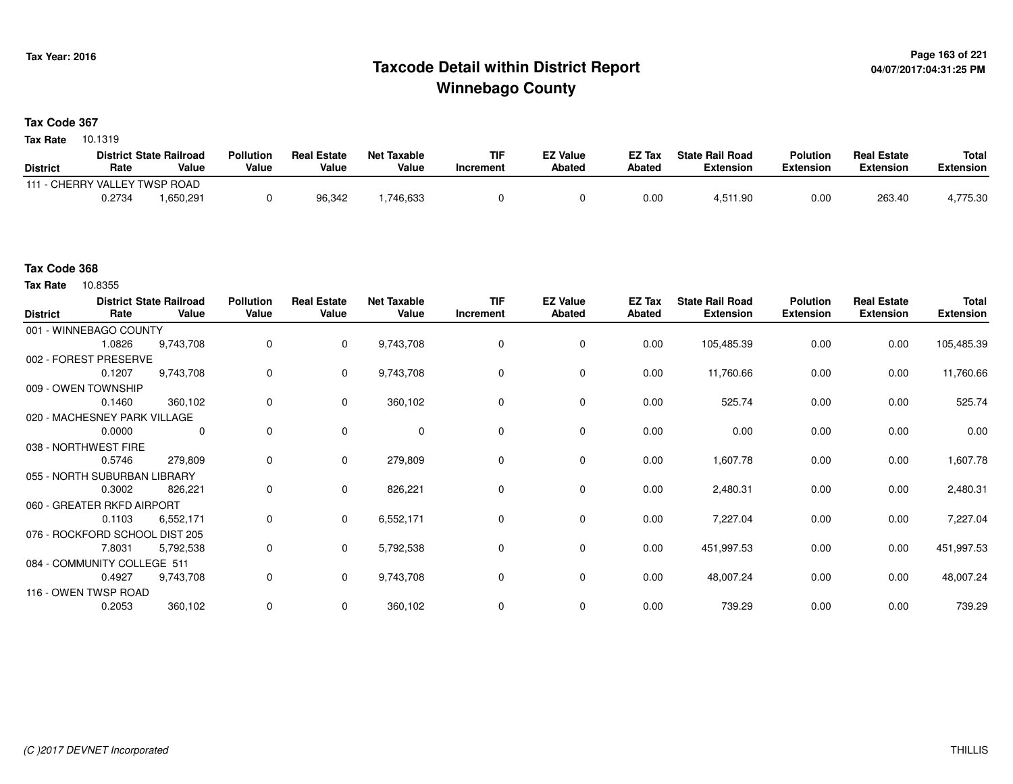## **Page 163 of 221 Taxcode Detail within District ReportWinnebago County**

#### **Tax Code 367**

**Tax Rate** 10.1319

|                               |        | <b>District State Railroad</b> | <b>Pollution</b> | <b>Real Estate</b> | Net Taxable | TIF       | <b>EZ Value</b> | <b>EZ Tax</b> | <b>State Rail Road</b> | <b>Polution</b>  | <b>Real Estate</b> | <b>Total</b> |
|-------------------------------|--------|--------------------------------|------------------|--------------------|-------------|-----------|-----------------|---------------|------------------------|------------------|--------------------|--------------|
| <b>District</b>               | Rate   | Value                          | Value            | Value              | Value       | Increment | <b>Abated</b>   | Abated        | <b>Extension</b>       | <b>Extension</b> | <b>Extension</b>   | Extension    |
| 111 - CHERRY VALLEY TWSP ROAD |        |                                |                  |                    |             |           |                 |               |                        |                  |                    |              |
|                               | 0.2734 | .650.291                       |                  | 96.342             | .746,633    |           |                 | 0.00          | 4,511.90               | 0.00             | 263.40             | 4,775.30     |

#### **Tax Code 368**

Tax Rate 10.8355

| <b>District</b> | Rate                           | <b>District State Railroad</b><br>Value | <b>Pollution</b><br>Value | <b>Real Estate</b><br>Value | <b>Net Taxable</b><br>Value | <b>TIF</b><br>Increment | <b>EZ Value</b><br><b>Abated</b> | EZ Tax<br>Abated | <b>State Rail Road</b><br><b>Extension</b> | <b>Polution</b><br><b>Extension</b> | <b>Real Estate</b><br><b>Extension</b> | Total<br><b>Extension</b> |
|-----------------|--------------------------------|-----------------------------------------|---------------------------|-----------------------------|-----------------------------|-------------------------|----------------------------------|------------------|--------------------------------------------|-------------------------------------|----------------------------------------|---------------------------|
|                 | 001 - WINNEBAGO COUNTY         |                                         |                           |                             |                             |                         |                                  |                  |                                            |                                     |                                        |                           |
|                 | 1.0826                         | 9,743,708                               | 0                         | $\mathbf{0}$                | 9,743,708                   | 0                       | 0                                | 0.00             | 105,485.39                                 | 0.00                                | 0.00                                   | 105,485.39                |
|                 | 002 - FOREST PRESERVE          |                                         |                           |                             |                             |                         |                                  |                  |                                            |                                     |                                        |                           |
|                 | 0.1207                         | 9,743,708                               | 0                         | 0                           | 9,743,708                   | 0                       | 0                                | 0.00             | 11,760.66                                  | 0.00                                | 0.00                                   | 11,760.66                 |
|                 | 009 - OWEN TOWNSHIP            |                                         |                           |                             |                             |                         |                                  |                  |                                            |                                     |                                        |                           |
|                 | 0.1460                         | 360,102                                 | 0                         | $\mathbf{0}$                | 360,102                     | $\Omega$                | 0                                | 0.00             | 525.74                                     | 0.00                                | 0.00                                   | 525.74                    |
|                 | 020 - MACHESNEY PARK VILLAGE   |                                         |                           |                             |                             |                         |                                  |                  |                                            |                                     |                                        |                           |
|                 | 0.0000                         | 0                                       | 0                         | $\mathbf 0$                 | $\mathbf 0$                 | 0                       | $\mathbf 0$                      | 0.00             | 0.00                                       | 0.00                                | 0.00                                   | 0.00                      |
|                 | 038 - NORTHWEST FIRE           |                                         |                           |                             |                             |                         |                                  |                  |                                            |                                     |                                        |                           |
|                 | 0.5746                         | 279,809                                 | 0                         | $\mathbf 0$                 | 279,809                     | $\Omega$                | $\mathbf 0$                      | 0.00             | 1,607.78                                   | 0.00                                | 0.00                                   | 1,607.78                  |
|                 | 055 - NORTH SUBURBAN LIBRARY   |                                         |                           |                             |                             |                         |                                  |                  |                                            |                                     |                                        |                           |
|                 | 0.3002                         | 826,221                                 | 0                         | $\mathbf 0$                 | 826,221                     | 0                       | 0                                | 0.00             | 2,480.31                                   | 0.00                                | 0.00                                   | 2,480.31                  |
|                 | 060 - GREATER RKFD AIRPORT     |                                         |                           |                             |                             |                         |                                  |                  |                                            |                                     |                                        |                           |
|                 | 0.1103                         | 6,552,171                               | 0                         | $\mathbf 0$                 | 6,552,171                   | $\Omega$                | 0                                | 0.00             | 7,227.04                                   | 0.00                                | 0.00                                   | 7,227.04                  |
|                 | 076 - ROCKFORD SCHOOL DIST 205 |                                         |                           |                             |                             |                         |                                  |                  |                                            |                                     |                                        |                           |
|                 | 7.8031                         | 5,792,538                               | 0                         | $\mathbf{0}$                | 5,792,538                   | 0                       | $\mathbf 0$                      | 0.00             | 451,997.53                                 | 0.00                                | 0.00                                   | 451,997.53                |
|                 | 084 - COMMUNITY COLLEGE 511    |                                         |                           |                             |                             |                         |                                  |                  |                                            |                                     |                                        |                           |
|                 | 0.4927                         | 9,743,708                               | 0                         | $\mathbf 0$                 | 9,743,708                   | 0                       | $\mathbf 0$                      | 0.00             | 48,007.24                                  | 0.00                                | 0.00                                   | 48,007.24                 |
|                 | 116 - OWEN TWSP ROAD           |                                         |                           |                             |                             |                         |                                  |                  |                                            |                                     |                                        |                           |
|                 | 0.2053                         | 360,102                                 | 0                         | 0                           | 360,102                     | 0                       | 0                                | 0.00             | 739.29                                     | 0.00                                | 0.00                                   | 739.29                    |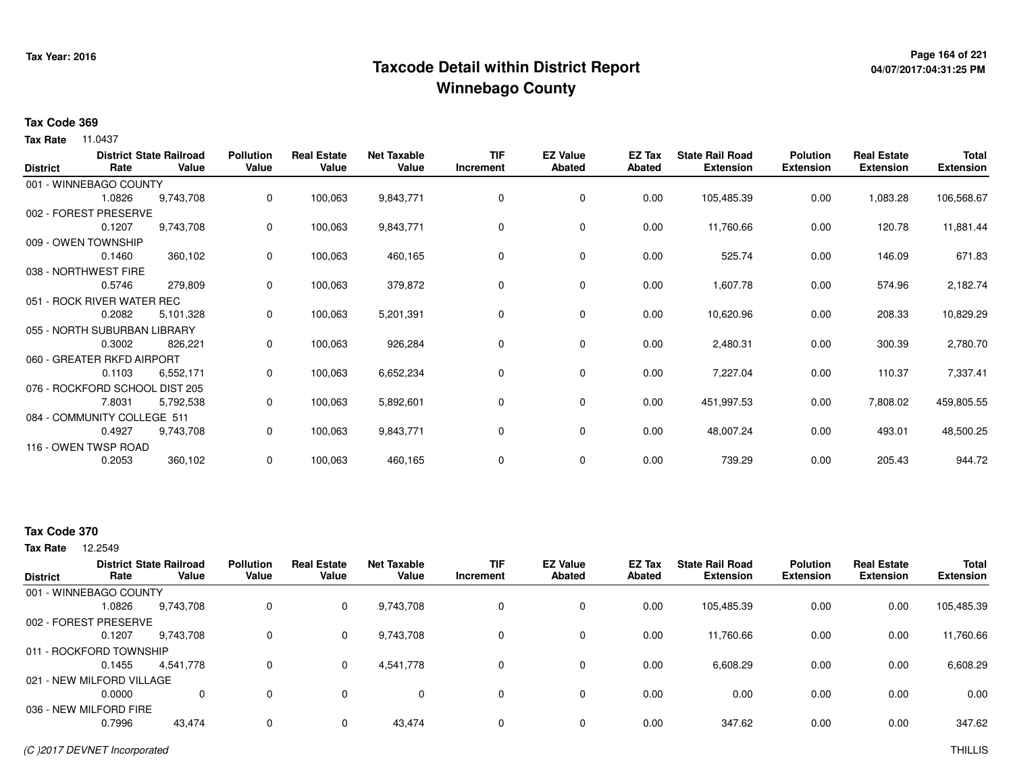## **Page 164 of 221 Taxcode Detail within District ReportWinnebago County**

# **04/07/2017:04:31:25 PM**

#### **Tax Code 369**

**Tax Rate** 11.0437

| <b>District</b> | Rate                           | <b>District State Railroad</b><br>Value | <b>Pollution</b><br>Value | <b>Real Estate</b><br>Value | <b>Net Taxable</b><br>Value | <b>TIF</b><br>Increment | <b>EZ Value</b><br><b>Abated</b> | EZ Tax<br><b>Abated</b> | <b>State Rail Road</b><br><b>Extension</b> | <b>Polution</b><br><b>Extension</b> | <b>Real Estate</b><br><b>Extension</b> | <b>Total</b><br><b>Extension</b> |
|-----------------|--------------------------------|-----------------------------------------|---------------------------|-----------------------------|-----------------------------|-------------------------|----------------------------------|-------------------------|--------------------------------------------|-------------------------------------|----------------------------------------|----------------------------------|
|                 | 001 - WINNEBAGO COUNTY         |                                         |                           |                             |                             |                         |                                  |                         |                                            |                                     |                                        |                                  |
|                 | 1.0826                         | 9,743,708                               | 0                         | 100,063                     | 9,843,771                   | 0                       | 0                                | 0.00                    | 105,485.39                                 | 0.00                                | 1,083.28                               | 106,568.67                       |
|                 | 002 - FOREST PRESERVE          |                                         |                           |                             |                             |                         |                                  |                         |                                            |                                     |                                        |                                  |
|                 | 0.1207                         | 9,743,708                               | 0                         | 100,063                     | 9,843,771                   | 0                       | 0                                | 0.00                    | 11,760.66                                  | 0.00                                | 120.78                                 | 11,881.44                        |
|                 | 009 - OWEN TOWNSHIP            |                                         |                           |                             |                             |                         |                                  |                         |                                            |                                     |                                        |                                  |
|                 | 0.1460                         | 360,102                                 | 0                         | 100,063                     | 460,165                     | 0                       | 0                                | 0.00                    | 525.74                                     | 0.00                                | 146.09                                 | 671.83                           |
|                 | 038 - NORTHWEST FIRE           |                                         |                           |                             |                             |                         |                                  |                         |                                            |                                     |                                        |                                  |
|                 | 0.5746                         | 279,809                                 | 0                         | 100,063                     | 379,872                     | 0                       | $\mathbf 0$                      | 0.00                    | 1,607.78                                   | 0.00                                | 574.96                                 | 2,182.74                         |
|                 | 051 - ROCK RIVER WATER REC     |                                         |                           |                             |                             |                         |                                  |                         |                                            |                                     |                                        |                                  |
|                 | 0.2082                         | 5,101,328                               | 0                         | 100,063                     | 5,201,391                   | 0                       | 0                                | 0.00                    | 10,620.96                                  | 0.00                                | 208.33                                 | 10,829.29                        |
|                 | 055 - NORTH SUBURBAN LIBRARY   |                                         |                           |                             |                             |                         |                                  |                         |                                            |                                     |                                        |                                  |
|                 | 0.3002                         | 826,221                                 | 0                         | 100,063                     | 926,284                     | 0                       | 0                                | 0.00                    | 2,480.31                                   | 0.00                                | 300.39                                 | 2,780.70                         |
|                 | 060 - GREATER RKFD AIRPORT     |                                         |                           |                             |                             |                         |                                  |                         |                                            |                                     |                                        |                                  |
|                 | 0.1103                         | 6,552,171                               | 0                         | 100,063                     | 6,652,234                   | 0                       | 0                                | 0.00                    | 7,227.04                                   | 0.00                                | 110.37                                 | 7,337.41                         |
|                 | 076 - ROCKFORD SCHOOL DIST 205 |                                         |                           |                             |                             |                         |                                  |                         |                                            |                                     |                                        |                                  |
|                 | 7.8031                         | 5,792,538                               | 0                         | 100,063                     | 5,892,601                   | 0                       | 0                                | 0.00                    | 451,997.53                                 | 0.00                                | 7,808.02                               | 459,805.55                       |
|                 | 084 - COMMUNITY COLLEGE 511    |                                         |                           |                             |                             |                         |                                  |                         |                                            |                                     |                                        |                                  |
|                 | 0.4927                         | 9,743,708                               | $\mathbf{0}$              | 100,063                     | 9,843,771                   | 0                       | $\mathbf 0$                      | 0.00                    | 48,007.24                                  | 0.00                                | 493.01                                 | 48,500.25                        |
|                 | 116 - OWEN TWSP ROAD           |                                         |                           |                             |                             |                         |                                  |                         |                                            |                                     |                                        |                                  |
|                 | 0.2053                         | 360,102                                 | 0                         | 100,063                     | 460,165                     | 0                       | 0                                | 0.00                    | 739.29                                     | 0.00                                | 205.43                                 | 944.72                           |

#### **Tax Code 370**

| <b>District</b> | Rate                      | <b>District State Railroad</b><br>Value | <b>Pollution</b><br>Value | <b>Real Estate</b><br>Value | <b>Net Taxable</b><br>Value | <b>TIF</b><br>Increment | <b>EZ Value</b><br><b>Abated</b> | <b>EZ Tax</b><br>Abated | <b>State Rail Road</b><br><b>Extension</b> | <b>Polution</b><br><b>Extension</b> | <b>Real Estate</b><br><b>Extension</b> | <b>Total</b><br><b>Extension</b> |
|-----------------|---------------------------|-----------------------------------------|---------------------------|-----------------------------|-----------------------------|-------------------------|----------------------------------|-------------------------|--------------------------------------------|-------------------------------------|----------------------------------------|----------------------------------|
|                 | 001 - WINNEBAGO COUNTY    |                                         |                           |                             |                             |                         |                                  |                         |                                            |                                     |                                        |                                  |
|                 | 1.0826                    | 9,743,708                               | 0                         | $\mathbf 0$                 | 9,743,708                   | 0                       | 0                                | 0.00                    | 105,485.39                                 | 0.00                                | 0.00                                   | 105,485.39                       |
|                 | 002 - FOREST PRESERVE     |                                         |                           |                             |                             |                         |                                  |                         |                                            |                                     |                                        |                                  |
|                 | 0.1207                    | 9.743.708                               | 0                         | $\mathbf{0}$                | 9,743,708                   | 0                       | 0                                | 0.00                    | 11,760.66                                  | 0.00                                | 0.00                                   | 11,760.66                        |
|                 | 011 - ROCKFORD TOWNSHIP   |                                         |                           |                             |                             |                         |                                  |                         |                                            |                                     |                                        |                                  |
|                 | 0.1455                    | 4.541.778                               | 0                         | $\mathbf{0}$                | 4,541,778                   | 0                       | 0                                | 0.00                    | 6,608.29                                   | 0.00                                | 0.00                                   | 6,608.29                         |
|                 | 021 - NEW MILFORD VILLAGE |                                         |                           |                             |                             |                         |                                  |                         |                                            |                                     |                                        |                                  |
|                 | 0.0000                    |                                         | 0                         | 0                           | 0                           | 0                       | 0                                | 0.00                    | 0.00                                       | 0.00                                | 0.00                                   | 0.00                             |
|                 | 036 - NEW MILFORD FIRE    |                                         |                           |                             |                             |                         |                                  |                         |                                            |                                     |                                        |                                  |
|                 | 0.7996                    | 43,474                                  | 0                         | 0                           | 43.474                      | $\Omega$                | $\Omega$                         | 0.00                    | 347.62                                     | 0.00                                | 0.00                                   | 347.62                           |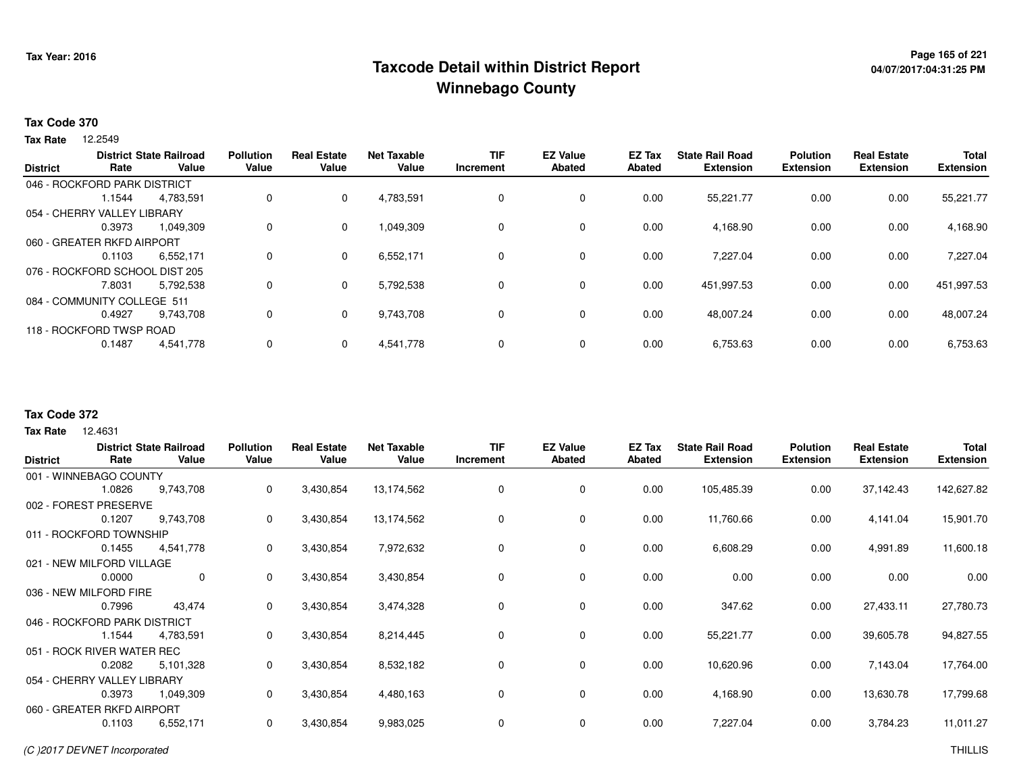## **Page 165 of 221 Taxcode Detail within District ReportWinnebago County**

#### **Tax Code 370**

**Tax Rate** 12.2549

| <b>District</b> | Rate                           | <b>District State Railroad</b><br>Value | <b>Pollution</b><br>Value | <b>Real Estate</b><br>Value | <b>Net Taxable</b><br>Value | <b>TIF</b><br>Increment | <b>EZ Value</b><br><b>Abated</b> | <b>EZ Tax</b><br><b>Abated</b> | <b>State Rail Road</b><br><b>Extension</b> | <b>Polution</b><br><b>Extension</b> | <b>Real Estate</b><br><b>Extension</b> | <b>Total</b><br><b>Extension</b> |
|-----------------|--------------------------------|-----------------------------------------|---------------------------|-----------------------------|-----------------------------|-------------------------|----------------------------------|--------------------------------|--------------------------------------------|-------------------------------------|----------------------------------------|----------------------------------|
|                 | 046 - ROCKFORD PARK DISTRICT   |                                         |                           |                             |                             |                         |                                  |                                |                                            |                                     |                                        |                                  |
|                 | 1.1544                         | 4,783,591                               | 0                         | 0                           | 4,783,591                   | 0                       | 0                                | 0.00                           | 55,221.77                                  | 0.00                                | 0.00                                   | 55,221.77                        |
|                 | 054 - CHERRY VALLEY LIBRARY    |                                         |                           |                             |                             |                         |                                  |                                |                                            |                                     |                                        |                                  |
|                 | 0.3973                         | 1,049,309                               | 0                         | $\Omega$                    | 1,049,309                   | 0                       | 0                                | 0.00                           | 4,168.90                                   | 0.00                                | 0.00                                   | 4,168.90                         |
|                 | 060 - GREATER RKFD AIRPORT     |                                         |                           |                             |                             |                         |                                  |                                |                                            |                                     |                                        |                                  |
|                 | 0.1103                         | 6.552.171                               | 0                         | $\Omega$                    | 6,552,171                   | 0                       | 0                                | 0.00                           | 7.227.04                                   | 0.00                                | 0.00                                   | 7,227.04                         |
|                 | 076 - ROCKFORD SCHOOL DIST 205 |                                         |                           |                             |                             |                         |                                  |                                |                                            |                                     |                                        |                                  |
|                 | 7.8031                         | 5.792.538                               | 0                         | 0                           | 5.792.538                   | 0                       | 0                                | 0.00                           | 451,997.53                                 | 0.00                                | 0.00                                   | 451,997.53                       |
|                 | 084 - COMMUNITY COLLEGE 511    |                                         |                           |                             |                             |                         |                                  |                                |                                            |                                     |                                        |                                  |
|                 | 0.4927                         | 9.743.708                               | 0                         | $\Omega$                    | 9,743,708                   | 0                       | 0                                | 0.00                           | 48,007.24                                  | 0.00                                | 0.00                                   | 48,007.24                        |
|                 | 118 - ROCKFORD TWSP ROAD       |                                         |                           |                             |                             |                         |                                  |                                |                                            |                                     |                                        |                                  |
|                 | 0.1487                         | 4,541,778                               | 0                         |                             | 4,541,778                   | 0                       | 0                                | 0.00                           | 6,753.63                                   | 0.00                                | 0.00                                   | 6,753.63                         |
|                 |                                |                                         |                           |                             |                             |                         |                                  |                                |                                            |                                     |                                        |                                  |

#### **Tax Code 372**

|                 |                              | <b>District State Railroad</b> | <b>Pollution</b> | <b>Real Estate</b> | <b>Net Taxable</b> | TIF       | <b>EZ Value</b> | EZ Tax        | <b>State Rail Road</b> | <b>Polution</b>  | <b>Real Estate</b> | <b>Total</b>     |
|-----------------|------------------------------|--------------------------------|------------------|--------------------|--------------------|-----------|-----------------|---------------|------------------------|------------------|--------------------|------------------|
| <b>District</b> | Rate                         | Value                          | Value            | Value              | Value              | Increment | Abated          | <b>Abated</b> | <b>Extension</b>       | <b>Extension</b> | <b>Extension</b>   | <b>Extension</b> |
|                 | 001 - WINNEBAGO COUNTY       |                                |                  |                    |                    |           |                 |               |                        |                  |                    |                  |
|                 | 1.0826                       | 9,743,708                      | 0                | 3,430,854          | 13,174,562         |           | 0               | 0.00          | 105,485.39             | 0.00             | 37,142.43          | 142,627.82       |
|                 | 002 - FOREST PRESERVE        |                                |                  |                    |                    |           |                 |               |                        |                  |                    |                  |
|                 | 0.1207                       | 9,743,708                      | 0                | 3,430,854          | 13,174,562         | 0         | 0               | 0.00          | 11,760.66              | 0.00             | 4,141.04           | 15,901.70        |
|                 | 011 - ROCKFORD TOWNSHIP      |                                |                  |                    |                    |           |                 |               |                        |                  |                    |                  |
|                 | 0.1455                       | 4,541,778                      | 0                | 3,430,854          | 7,972,632          | 0         | $\mathbf 0$     | 0.00          | 6,608.29               | 0.00             | 4,991.89           | 11,600.18        |
|                 | 021 - NEW MILFORD VILLAGE    |                                |                  |                    |                    |           |                 |               |                        |                  |                    |                  |
|                 | 0.0000                       | $\mathbf 0$                    | 0                | 3,430,854          | 3,430,854          | $\Omega$  | $\mathbf 0$     | 0.00          | 0.00                   | 0.00             | 0.00               | 0.00             |
|                 | 036 - NEW MILFORD FIRE       |                                |                  |                    |                    |           |                 |               |                        |                  |                    |                  |
|                 | 0.7996                       | 43,474                         | 0                | 3,430,854          | 3,474,328          |           | $\mathbf 0$     | 0.00          | 347.62                 | 0.00             | 27,433.11          | 27,780.73        |
|                 | 046 - ROCKFORD PARK DISTRICT |                                |                  |                    |                    |           |                 |               |                        |                  |                    |                  |
|                 | 1.1544                       | 4,783,591                      | 0                | 3,430,854          | 8,214,445          | 0         | 0               | 0.00          | 55,221.77              | 0.00             | 39,605.78          | 94,827.55        |
|                 | 051 - ROCK RIVER WATER REC   |                                |                  |                    |                    |           |                 |               |                        |                  |                    |                  |
|                 | 0.2082                       | 5,101,328                      | 0                | 3,430,854          | 8,532,182          | $\Omega$  | 0               | 0.00          | 10,620.96              | 0.00             | 7,143.04           | 17,764.00        |
|                 | 054 - CHERRY VALLEY LIBRARY  |                                |                  |                    |                    |           |                 |               |                        |                  |                    |                  |
|                 | 0.3973                       | 1,049,309                      | 0                | 3,430,854          | 4,480,163          | 0         | 0               | 0.00          | 4,168.90               | 0.00             | 13,630.78          | 17,799.68        |
|                 | 060 - GREATER RKFD AIRPORT   |                                |                  |                    |                    |           |                 |               |                        |                  |                    |                  |
|                 | 0.1103                       | 6,552,171                      | 0                | 3,430,854          | 9,983,025          | 0         | 0               | 0.00          | 7,227.04               | 0.00             | 3,784.23           | 11,011.27        |
|                 |                              |                                |                  |                    |                    |           |                 |               |                        |                  |                    |                  |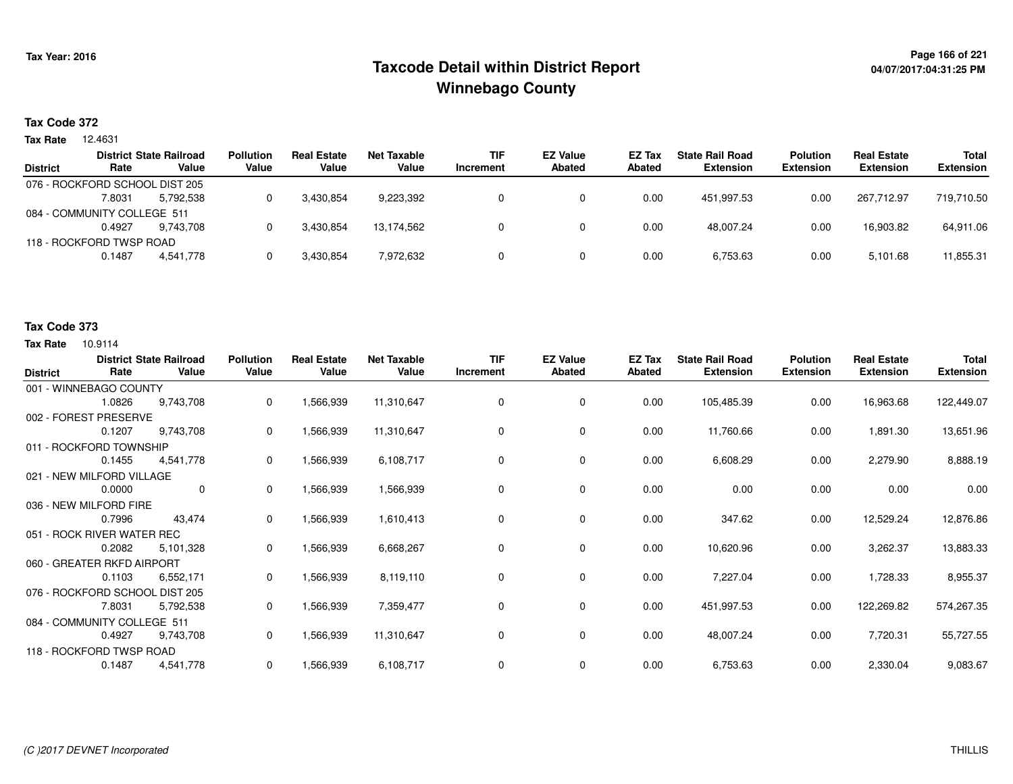## **Page 166 of 221 Taxcode Detail within District ReportWinnebago County**

## **04/07/2017:04:31:25 PM**

#### **Tax Code 372**

**Tax Rate** 12.4631

|                 |                                | <b>District State Railroad</b> | <b>Pollution</b> | <b>Real Estate</b> | Net Taxable | <b>TIF</b> | <b>EZ Value</b> | <b>EZ Tax</b> | <b>State Rail Road</b> | <b>Polution</b>  | <b>Real Estate</b> | <b>Total</b>     |
|-----------------|--------------------------------|--------------------------------|------------------|--------------------|-------------|------------|-----------------|---------------|------------------------|------------------|--------------------|------------------|
| <b>District</b> | Rate                           | Value                          | Value            | Value              | Value       | Increment  | <b>Abated</b>   | Abated        | <b>Extension</b>       | <b>Extension</b> | <b>Extension</b>   | <b>Extension</b> |
|                 | 076 - ROCKFORD SCHOOL DIST 205 |                                |                  |                    |             |            |                 |               |                        |                  |                    |                  |
|                 | 7.8031                         | 5.792.538                      |                  | 3,430,854          | 9,223,392   |            |                 | 0.00          | 451.997.53             | 0.00             | 267.712.97         | 719,710.50       |
|                 | 084 - COMMUNITY COLLEGE 511    |                                |                  |                    |             |            |                 |               |                        |                  |                    |                  |
|                 | 0.4927                         | 9.743.708                      |                  | 3,430,854          | 13.174.562  |            |                 | 0.00          | 48.007.24              | 0.00             | 16,903.82          | 64,911.06        |
|                 | 118 - ROCKFORD TWSP ROAD       |                                |                  |                    |             |            |                 |               |                        |                  |                    |                  |
|                 | 0.1487                         | 4.541.778                      |                  | 3,430,854          | 7,972,632   |            |                 | 0.00          | 6,753.63               | 0.00             | 5,101.68           | 11,855.31        |
|                 |                                |                                |                  |                    |             |            |                 |               |                        |                  |                    |                  |

#### **Tax Code 373**

| <b>District</b>             | Rate   | <b>District State Railroad</b><br>Value | <b>Pollution</b><br>Value | <b>Real Estate</b><br>Value | <b>Net Taxable</b><br>Value | <b>TIF</b><br>Increment | <b>EZ Value</b><br><b>Abated</b> | EZ Tax<br>Abated | <b>State Rail Road</b><br><b>Extension</b> | <b>Polution</b><br><b>Extension</b> | <b>Real Estate</b><br><b>Extension</b> | <b>Total</b><br><b>Extension</b> |
|-----------------------------|--------|-----------------------------------------|---------------------------|-----------------------------|-----------------------------|-------------------------|----------------------------------|------------------|--------------------------------------------|-------------------------------------|----------------------------------------|----------------------------------|
| 001 - WINNEBAGO COUNTY      |        |                                         |                           |                             |                             |                         |                                  |                  |                                            |                                     |                                        |                                  |
|                             | 1.0826 | 9,743,708                               | $\mathbf 0$               | 1,566,939                   | 11,310,647                  | 0                       | 0                                | 0.00             | 105,485.39                                 | 0.00                                | 16,963.68                              | 122,449.07                       |
| 002 - FOREST PRESERVE       |        |                                         |                           |                             |                             |                         |                                  |                  |                                            |                                     |                                        |                                  |
|                             | 0.1207 | 9,743,708                               | 0                         | 1,566,939                   | 11,310,647                  | 0                       | 0                                | 0.00             | 11,760.66                                  | 0.00                                | 1,891.30                               | 13,651.96                        |
| 011 - ROCKFORD TOWNSHIP     |        |                                         |                           |                             |                             |                         |                                  |                  |                                            |                                     |                                        |                                  |
|                             | 0.1455 | 4,541,778                               | 0                         | 1,566,939                   | 6,108,717                   | $\Omega$                | 0                                | 0.00             | 6,608.29                                   | 0.00                                | 2,279.90                               | 8,888.19                         |
| 021 - NEW MILFORD VILLAGE   |        |                                         |                           |                             |                             |                         |                                  |                  |                                            |                                     |                                        |                                  |
|                             | 0.0000 | $\mathbf 0$                             | 0                         | 1,566,939                   | 1,566,939                   | 0                       | 0                                | 0.00             | 0.00                                       | 0.00                                | 0.00                                   | 0.00                             |
| 036 - NEW MILFORD FIRE      |        |                                         |                           |                             |                             |                         |                                  |                  |                                            |                                     |                                        |                                  |
|                             | 0.7996 | 43,474                                  | 0                         | 1,566,939                   | 1,610,413                   | 0                       | 0                                | 0.00             | 347.62                                     | 0.00                                | 12,529.24                              | 12,876.86                        |
| 051 - ROCK RIVER WATER REC  |        |                                         |                           |                             |                             |                         |                                  |                  |                                            |                                     |                                        |                                  |
|                             | 0.2082 | 5,101,328                               | 0                         | 1,566,939                   | 6,668,267                   | $\Omega$                | $\mathbf 0$                      | 0.00             | 10,620.96                                  | 0.00                                | 3,262.37                               | 13,883.33                        |
| 060 - GREATER RKFD AIRPORT  |        |                                         |                           |                             |                             |                         |                                  |                  |                                            |                                     |                                        |                                  |
|                             | 0.1103 | 6,552,171                               | 0                         | 1,566,939                   | 8,119,110                   | 0                       | 0                                | 0.00             | 7,227.04                                   | 0.00                                | 1,728.33                               | 8,955.37                         |
|                             |        | 076 - ROCKFORD SCHOOL DIST 205          |                           |                             |                             |                         |                                  |                  |                                            |                                     |                                        |                                  |
|                             | 7.8031 | 5,792,538                               | 0                         | 1,566,939                   | 7,359,477                   | 0                       | 0                                | 0.00             | 451,997.53                                 | 0.00                                | 122,269.82                             | 574,267.35                       |
| 084 - COMMUNITY COLLEGE 511 |        |                                         |                           |                             |                             |                         |                                  |                  |                                            |                                     |                                        |                                  |
|                             | 0.4927 | 9,743,708                               | 0                         | 1,566,939                   | 11,310,647                  | 0                       | $\mathbf 0$                      | 0.00             | 48,007.24                                  | 0.00                                | 7,720.31                               | 55,727.55                        |
| 118 - ROCKFORD TWSP ROAD    |        |                                         |                           |                             |                             |                         |                                  |                  |                                            |                                     |                                        |                                  |
|                             | 0.1487 | 4,541,778                               | 0                         | 1,566,939                   | 6,108,717                   | 0                       | 0                                | 0.00             | 6,753.63                                   | 0.00                                | 2,330.04                               | 9,083.67                         |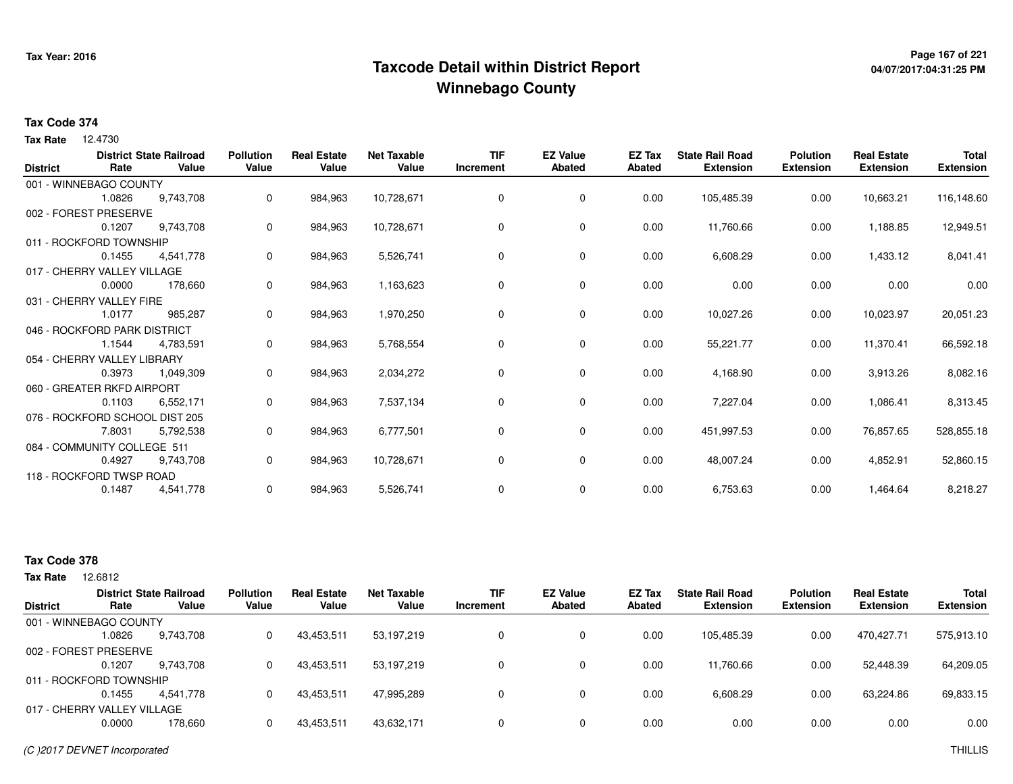## **Page 167 of 221 Taxcode Detail within District ReportWinnebago County**

# **04/07/2017:04:31:25 PM**

#### **Tax Code 374**

Tax Rate 12.4730

| <b>District</b> | Rate                           | <b>District State Railroad</b><br>Value | <b>Pollution</b><br>Value | <b>Real Estate</b><br>Value | <b>Net Taxable</b><br>Value | <b>TIF</b><br>Increment | <b>EZ Value</b><br><b>Abated</b> | <b>EZ Tax</b><br><b>Abated</b> | <b>State Rail Road</b><br><b>Extension</b> | <b>Polution</b><br><b>Extension</b> | <b>Real Estate</b><br><b>Extension</b> | <b>Total</b><br><b>Extension</b> |
|-----------------|--------------------------------|-----------------------------------------|---------------------------|-----------------------------|-----------------------------|-------------------------|----------------------------------|--------------------------------|--------------------------------------------|-------------------------------------|----------------------------------------|----------------------------------|
|                 | 001 - WINNEBAGO COUNTY         |                                         |                           |                             |                             |                         |                                  |                                |                                            |                                     |                                        |                                  |
|                 | 1.0826                         | 9,743,708                               | 0                         | 984,963                     | 10,728,671                  | 0                       | 0                                | 0.00                           | 105,485.39                                 | 0.00                                | 10,663.21                              | 116,148.60                       |
|                 | 002 - FOREST PRESERVE          |                                         |                           |                             |                             |                         |                                  |                                |                                            |                                     |                                        |                                  |
|                 | 0.1207                         | 9,743,708                               | 0                         | 984,963                     | 10,728,671                  | 0                       | 0                                | 0.00                           | 11,760.66                                  | 0.00                                | 1,188.85                               | 12,949.51                        |
|                 | 011 - ROCKFORD TOWNSHIP        |                                         |                           |                             |                             |                         |                                  |                                |                                            |                                     |                                        |                                  |
|                 | 0.1455                         | 4,541,778                               | 0                         | 984,963                     | 5,526,741                   | 0                       | 0                                | 0.00                           | 6,608.29                                   | 0.00                                | 1,433.12                               | 8,041.41                         |
|                 | 017 - CHERRY VALLEY VILLAGE    |                                         |                           |                             |                             |                         |                                  |                                |                                            |                                     |                                        |                                  |
|                 | 0.0000                         | 178,660                                 | 0                         | 984,963                     | 1,163,623                   | 0                       | 0                                | 0.00                           | 0.00                                       | 0.00                                | 0.00                                   | 0.00                             |
|                 | 031 - CHERRY VALLEY FIRE       |                                         |                           |                             |                             |                         |                                  |                                |                                            |                                     |                                        |                                  |
|                 | 1.0177                         | 985,287                                 | 0                         | 984,963                     | 1,970,250                   | $\Omega$                | 0                                | 0.00                           | 10,027.26                                  | 0.00                                | 10,023.97                              | 20,051.23                        |
|                 | 046 - ROCKFORD PARK DISTRICT   |                                         |                           |                             |                             |                         |                                  |                                |                                            |                                     |                                        |                                  |
|                 | 1.1544                         | 4,783,591                               | 0                         | 984,963                     | 5,768,554                   | 0                       | 0                                | 0.00                           | 55,221.77                                  | 0.00                                | 11,370.41                              | 66,592.18                        |
|                 | 054 - CHERRY VALLEY LIBRARY    |                                         |                           |                             |                             |                         |                                  |                                |                                            |                                     |                                        |                                  |
|                 | 0.3973                         | 1,049,309                               | 0                         | 984,963                     | 2,034,272                   | 0                       | 0                                | 0.00                           | 4,168.90                                   | 0.00                                | 3,913.26                               | 8,082.16                         |
|                 | 060 - GREATER RKFD AIRPORT     |                                         |                           |                             |                             |                         |                                  |                                |                                            |                                     |                                        |                                  |
|                 | 0.1103                         | 6,552,171                               | 0                         | 984,963                     | 7,537,134                   | 0                       | $\mathbf 0$                      | 0.00                           | 7,227.04                                   | 0.00                                | 1,086.41                               | 8,313.45                         |
|                 | 076 - ROCKFORD SCHOOL DIST 205 |                                         |                           |                             |                             |                         |                                  |                                |                                            |                                     |                                        |                                  |
|                 | 7.8031                         | 5,792,538                               | 0                         | 984,963                     | 6,777,501                   | $\mathbf 0$             | 0                                | 0.00                           | 451,997.53                                 | 0.00                                | 76,857.65                              | 528,855.18                       |
|                 | 084 - COMMUNITY COLLEGE 511    |                                         |                           |                             |                             |                         |                                  |                                |                                            |                                     |                                        |                                  |
|                 | 0.4927                         | 9,743,708                               | 0                         | 984,963                     | 10,728,671                  | 0                       | 0                                | 0.00                           | 48,007.24                                  | 0.00                                | 4,852.91                               | 52,860.15                        |
|                 | 118 - ROCKFORD TWSP ROAD       |                                         |                           |                             |                             |                         |                                  |                                |                                            |                                     |                                        |                                  |
|                 | 0.1487                         | 4,541,778                               | 0                         | 984,963                     | 5,526,741                   | $\mathbf 0$             | 0                                | 0.00                           | 6,753.63                                   | 0.00                                | 1,464.64                               | 8,218.27                         |

### **Tax Code 378**

12.6812 **Tax Rate**

|                 |                             | <b>District State Railroad</b> | <b>Pollution</b> | <b>Real Estate</b> | Net Taxable | <b>TIF</b> | <b>EZ Value</b> | EZ Tax | <b>State Rail Road</b> | <b>Polution</b>  | <b>Real Estate</b> | <b>Total</b>     |
|-----------------|-----------------------------|--------------------------------|------------------|--------------------|-------------|------------|-----------------|--------|------------------------|------------------|--------------------|------------------|
| <b>District</b> | Rate                        | Value                          | Value            | Value              | Value       | Increment  | <b>Abated</b>   | Abated | <b>Extension</b>       | <b>Extension</b> | <b>Extension</b>   | <b>Extension</b> |
|                 | 001 - WINNEBAGO COUNTY      |                                |                  |                    |             |            |                 |        |                        |                  |                    |                  |
|                 | 1.0826                      | 9,743,708                      | 0                | 43,453,511         | 53,197,219  |            |                 | 0.00   | 105.485.39             | 0.00             | 470.427.71         | 575,913.10       |
|                 | 002 - FOREST PRESERVE       |                                |                  |                    |             |            |                 |        |                        |                  |                    |                  |
|                 | 0.1207                      | 9.743.708                      | 0                | 43,453,511         | 53,197,219  |            |                 | 0.00   | 11,760.66              | 0.00             | 52,448.39          | 64,209.05        |
|                 | 011 - ROCKFORD TOWNSHIP     |                                |                  |                    |             |            |                 |        |                        |                  |                    |                  |
|                 | 0.1455                      | 4.541.778                      | 0                | 43,453,511         | 47,995,289  |            | 0               | 0.00   | 6,608.29               | 0.00             | 63.224.86          | 69,833.15        |
|                 | 017 - CHERRY VALLEY VILLAGE |                                |                  |                    |             |            |                 |        |                        |                  |                    |                  |
|                 | 0.0000                      | 178.660                        | 0                | 43,453,511         | 43,632,171  |            |                 | 0.00   | 0.00                   | 0.00             | 0.00               | 0.00             |
|                 |                             |                                |                  |                    |             |            |                 |        |                        |                  |                    |                  |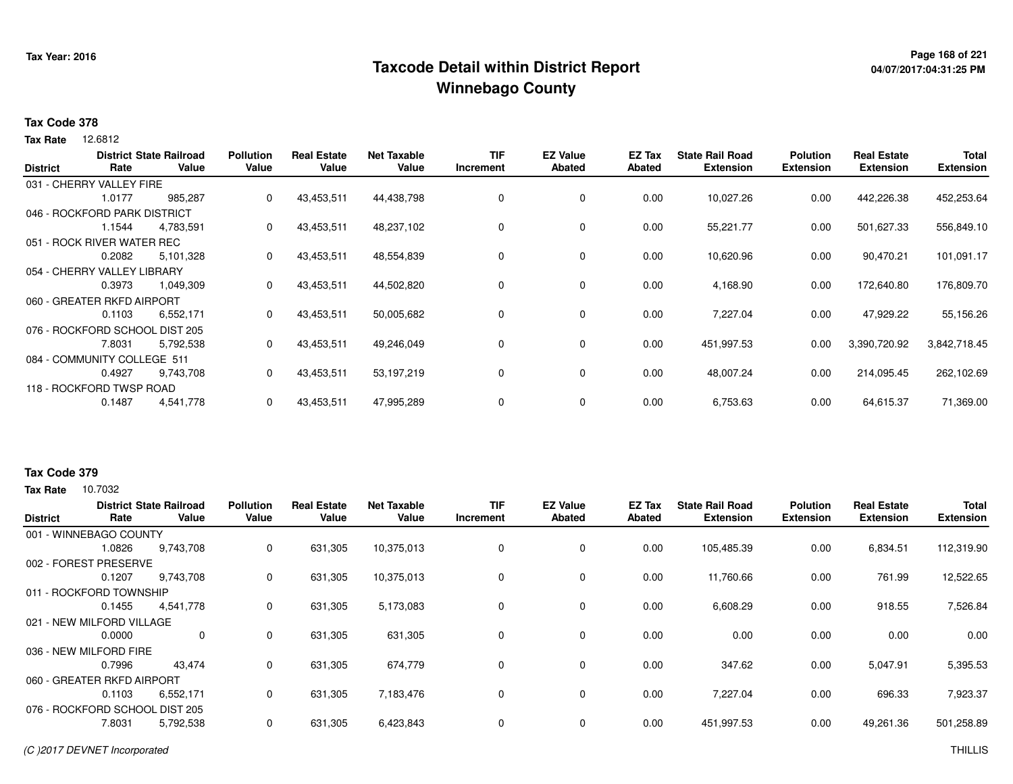## **Page 168 of 221 Taxcode Detail within District ReportWinnebago County**

# **04/07/2017:04:31:25 PM**

#### **Tax Code 378**

12.6812 **Tax Rate**

|                 |                                | <b>District State Railroad</b> | <b>Pollution</b> | <b>Real Estate</b> | <b>Net Taxable</b> | <b>TIF</b> | <b>EZ Value</b> | <b>EZ Tax</b> | <b>State Rail Road</b> | <b>Polution</b>  | <b>Real Estate</b> | Total            |
|-----------------|--------------------------------|--------------------------------|------------------|--------------------|--------------------|------------|-----------------|---------------|------------------------|------------------|--------------------|------------------|
| <b>District</b> | Rate                           | Value                          | Value            | Value              | Value              | Increment  | Abated          | Abated        | <b>Extension</b>       | <b>Extension</b> | <b>Extension</b>   | <b>Extension</b> |
|                 | 031 - CHERRY VALLEY FIRE       |                                |                  |                    |                    |            |                 |               |                        |                  |                    |                  |
|                 | 1.0177                         | 985,287                        | 0                | 43,453,511         | 44,438,798         | 0          | 0               | 0.00          | 10,027.26              | 0.00             | 442,226.38         | 452,253.64       |
|                 | 046 - ROCKFORD PARK DISTRICT   |                                |                  |                    |                    |            |                 |               |                        |                  |                    |                  |
|                 | 1.1544                         | 4,783,591                      | 0                | 43,453,511         | 48,237,102         | 0          | $\mathbf 0$     | 0.00          | 55,221.77              | 0.00             | 501,627.33         | 556,849.10       |
|                 | 051 - ROCK RIVER WATER REC     |                                |                  |                    |                    |            |                 |               |                        |                  |                    |                  |
|                 | 0.2082                         | 5,101,328                      | 0                | 43,453,511         | 48,554,839         | 0          | $\mathbf 0$     | 0.00          | 10,620.96              | 0.00             | 90,470.21          | 101,091.17       |
|                 | 054 - CHERRY VALLEY LIBRARY    |                                |                  |                    |                    |            |                 |               |                        |                  |                    |                  |
|                 | 0.3973                         | 1,049,309                      | 0                | 43,453,511         | 44,502,820         | 0          | $\mathbf 0$     | 0.00          | 4,168.90               | 0.00             | 172,640.80         | 176,809.70       |
|                 | 060 - GREATER RKFD AIRPORT     |                                |                  |                    |                    |            |                 |               |                        |                  |                    |                  |
|                 | 0.1103                         | 6,552,171                      | 0                | 43,453,511         | 50,005,682         | 0          | $\mathbf 0$     | 0.00          | 7,227.04               | 0.00             | 47,929.22          | 55,156.26        |
|                 | 076 - ROCKFORD SCHOOL DIST 205 |                                |                  |                    |                    |            |                 |               |                        |                  |                    |                  |
|                 | 7.8031                         | 5,792,538                      | 0                | 43,453,511         | 49,246,049         | 0          | $\mathbf 0$     | 0.00          | 451,997.53             | 0.00             | 3,390,720.92       | 3,842,718.45     |
|                 | 084 - COMMUNITY COLLEGE 511    |                                |                  |                    |                    |            |                 |               |                        |                  |                    |                  |
|                 | 0.4927                         | 9,743,708                      | 0                | 43,453,511         | 53,197,219         | 0          | $\mathbf 0$     | 0.00          | 48,007.24              | 0.00             | 214,095.45         | 262,102.69       |
|                 | 118 - ROCKFORD TWSP ROAD       |                                |                  |                    |                    |            |                 |               |                        |                  |                    |                  |
|                 | 0.1487                         | 4,541,778                      | 0                | 43,453,511         | 47,995,289         | 0          | $\mathbf 0$     | 0.00          | 6,753.63               | 0.00             | 64,615.37          | 71,369.00        |
|                 |                                |                                |                  |                    |                    |            |                 |               |                        |                  |                    |                  |

#### **Tax Code 379**

| <b>District</b> | Rate                       | <b>District State Railroad</b><br>Value | <b>Pollution</b><br>Value | <b>Real Estate</b><br>Value | <b>Net Taxable</b><br>Value | <b>TIF</b><br>Increment | <b>EZ Value</b><br>Abated | EZ Tax<br>Abated | <b>State Rail Road</b><br><b>Extension</b> | <b>Polution</b><br><b>Extension</b> | <b>Real Estate</b><br><b>Extension</b> | <b>Total</b><br><b>Extension</b> |
|-----------------|----------------------------|-----------------------------------------|---------------------------|-----------------------------|-----------------------------|-------------------------|---------------------------|------------------|--------------------------------------------|-------------------------------------|----------------------------------------|----------------------------------|
|                 | 001 - WINNEBAGO COUNTY     |                                         |                           |                             |                             |                         |                           |                  |                                            |                                     |                                        |                                  |
|                 | 1.0826                     | 9,743,708                               | 0                         | 631,305                     | 10,375,013                  | 0                       | $\mathbf 0$               | 0.00             | 105,485.39                                 | 0.00                                | 6,834.51                               | 112,319.90                       |
|                 | 002 - FOREST PRESERVE      |                                         |                           |                             |                             |                         |                           |                  |                                            |                                     |                                        |                                  |
|                 | 0.1207                     | 9,743,708                               | 0                         | 631,305                     | 10,375,013                  | 0                       | $\mathbf 0$               | 0.00             | 11,760.66                                  | 0.00                                | 761.99                                 | 12,522.65                        |
|                 | 011 - ROCKFORD TOWNSHIP    |                                         |                           |                             |                             |                         |                           |                  |                                            |                                     |                                        |                                  |
|                 | 0.1455                     | 4,541,778                               | 0                         | 631,305                     | 5,173,083                   | 0                       | $\mathbf 0$               | 0.00             | 6,608.29                                   | 0.00                                | 918.55                                 | 7,526.84                         |
|                 | 021 - NEW MILFORD VILLAGE  |                                         |                           |                             |                             |                         |                           |                  |                                            |                                     |                                        |                                  |
|                 | 0.0000                     | 0                                       | 0                         | 631,305                     | 631,305                     | 0                       | 0                         | 0.00             | 0.00                                       | 0.00                                | 0.00                                   | 0.00                             |
|                 | 036 - NEW MILFORD FIRE     |                                         |                           |                             |                             |                         |                           |                  |                                            |                                     |                                        |                                  |
|                 | 0.7996                     | 43.474                                  | 0                         | 631,305                     | 674,779                     | 0                       | $\mathbf 0$               | 0.00             | 347.62                                     | 0.00                                | 5,047.91                               | 5,395.53                         |
|                 | 060 - GREATER RKFD AIRPORT |                                         |                           |                             |                             |                         |                           |                  |                                            |                                     |                                        |                                  |
|                 | 0.1103                     | 6,552,171                               | 0                         | 631,305                     | 7,183,476                   | 0                       | 0                         | 0.00             | 7,227.04                                   | 0.00                                | 696.33                                 | 7,923.37                         |
|                 | 076 - ROCKFORD SCHOOL      | <sub>-</sub> DIST 205                   |                           |                             |                             |                         |                           |                  |                                            |                                     |                                        |                                  |
|                 | 7.8031                     | 5,792,538                               | 0                         | 631,305                     | 6,423,843                   | $\mathbf 0$             | $\mathbf 0$               | 0.00             | 451,997.53                                 | 0.00                                | 49,261.36                              | 501,258.89                       |
|                 |                            |                                         |                           |                             |                             |                         |                           |                  |                                            |                                     |                                        |                                  |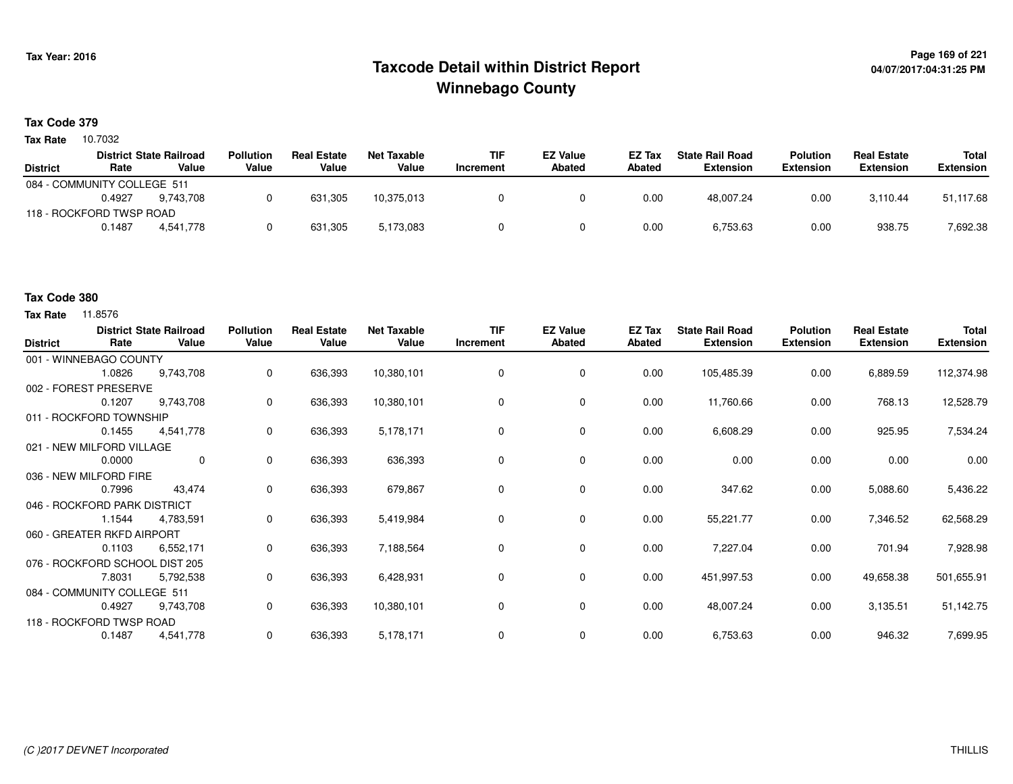## **Page 169 of 221 Taxcode Detail within District ReportWinnebago County**

#### **Tax Code 379**

Tax Rate 10.7032

|                             |        | <b>District State Railroad</b> | <b>Pollution</b> | <b>Real Estate</b> | Net Taxable | <b>TIF</b> | <b>EZ Value</b> | <b>EZ Tax</b> | <b>State Rail Road</b> | <b>Polution</b>  | <b>Real Estate</b> | Total            |
|-----------------------------|--------|--------------------------------|------------------|--------------------|-------------|------------|-----------------|---------------|------------------------|------------------|--------------------|------------------|
| <b>District</b>             | Rate   | Value                          | Value            | Value              | Value       | Increment  | Abated          | Abated        | Extension              | <b>Extension</b> | <b>Extension</b>   | <b>Extension</b> |
| 084 - COMMUNITY COLLEGE 511 |        |                                |                  |                    |             |            |                 |               |                        |                  |                    |                  |
|                             | 0.4927 | 9.743.708                      |                  | 631,305            | 10.375.013  |            |                 | 0.00          | 48.007.24              | 0.00             | 3.110.44           | 51,117.68        |
| 118 - ROCKFORD TWSP ROAD    |        |                                |                  |                    |             |            |                 |               |                        |                  |                    |                  |
|                             | 0.1487 | 4.541.778                      |                  | 631,305            | 5,173,083   |            |                 | 0.00          | 6,753.63               | 0.00             | 938.75             | 7,692.38         |

#### **Tax Code 380**

| <b>District</b> | Rate                           | <b>District State Railroad</b><br>Value | <b>Pollution</b><br>Value | <b>Real Estate</b><br>Value | <b>Net Taxable</b><br>Value | <b>TIF</b><br>Increment | <b>EZ Value</b><br><b>Abated</b> | EZ Tax<br>Abated | <b>State Rail Road</b><br><b>Extension</b> | <b>Polution</b><br><b>Extension</b> | <b>Real Estate</b><br><b>Extension</b> | Total<br><b>Extension</b> |
|-----------------|--------------------------------|-----------------------------------------|---------------------------|-----------------------------|-----------------------------|-------------------------|----------------------------------|------------------|--------------------------------------------|-------------------------------------|----------------------------------------|---------------------------|
|                 | 001 - WINNEBAGO COUNTY         |                                         |                           |                             |                             |                         |                                  |                  |                                            |                                     |                                        |                           |
|                 | 1.0826                         | 9,743,708                               | 0                         | 636,393                     | 10,380,101                  | 0                       | 0                                | 0.00             | 105,485.39                                 | 0.00                                | 6,889.59                               | 112,374.98                |
|                 | 002 - FOREST PRESERVE          |                                         |                           |                             |                             |                         |                                  |                  |                                            |                                     |                                        |                           |
|                 | 0.1207                         | 9,743,708                               | 0                         | 636,393                     | 10,380,101                  | 0                       | 0                                | 0.00             | 11,760.66                                  | 0.00                                | 768.13                                 | 12,528.79                 |
|                 | 011 - ROCKFORD TOWNSHIP        |                                         |                           |                             |                             |                         |                                  |                  |                                            |                                     |                                        |                           |
|                 | 0.1455                         | 4,541,778                               | 0                         | 636,393                     | 5,178,171                   | 0                       | 0                                | 0.00             | 6,608.29                                   | 0.00                                | 925.95                                 | 7,534.24                  |
|                 | 021 - NEW MILFORD VILLAGE      |                                         |                           |                             |                             |                         |                                  |                  |                                            |                                     |                                        |                           |
|                 | 0.0000                         | $\mathbf{0}$                            | 0                         | 636,393                     | 636,393                     | 0                       | 0                                | 0.00             | 0.00                                       | 0.00                                | 0.00                                   | 0.00                      |
|                 | 036 - NEW MILFORD FIRE         |                                         |                           |                             |                             |                         |                                  |                  |                                            |                                     |                                        |                           |
|                 | 0.7996                         | 43,474                                  | 0                         | 636,393                     | 679,867                     | 0                       | 0                                | 0.00             | 347.62                                     | 0.00                                | 5,088.60                               | 5,436.22                  |
|                 | 046 - ROCKFORD PARK DISTRICT   |                                         |                           |                             |                             |                         |                                  |                  |                                            |                                     |                                        |                           |
|                 | 1.1544                         | 4,783,591                               | 0                         | 636,393                     | 5,419,984                   | 0                       | 0                                | 0.00             | 55,221.77                                  | 0.00                                | 7,346.52                               | 62,568.29                 |
|                 | 060 - GREATER RKFD AIRPORT     |                                         |                           |                             |                             |                         |                                  |                  |                                            |                                     |                                        |                           |
|                 | 0.1103                         | 6,552,171                               | 0                         | 636,393                     | 7,188,564                   | 0                       | 0                                | 0.00             | 7,227.04                                   | 0.00                                | 701.94                                 | 7,928.98                  |
|                 | 076 - ROCKFORD SCHOOL DIST 205 |                                         |                           |                             |                             |                         |                                  |                  |                                            |                                     |                                        |                           |
|                 | 7.8031                         | 5,792,538                               | 0                         | 636,393                     | 6,428,931                   | 0                       | 0                                | 0.00             | 451,997.53                                 | 0.00                                | 49,658.38                              | 501,655.91                |
|                 | 084 - COMMUNITY COLLEGE 511    |                                         |                           |                             |                             |                         |                                  |                  |                                            |                                     |                                        |                           |
|                 | 0.4927                         | 9,743,708                               | 0                         | 636,393                     | 10,380,101                  | 0                       | 0                                | 0.00             | 48,007.24                                  | 0.00                                | 3,135.51                               | 51,142.75                 |
|                 | 118 - ROCKFORD TWSP ROAD       |                                         |                           |                             |                             |                         |                                  |                  |                                            |                                     |                                        |                           |
|                 | 0.1487                         | 4,541,778                               | 0                         | 636,393                     | 5,178,171                   | 0                       | 0                                | 0.00             | 6,753.63                                   | 0.00                                | 946.32                                 | 7,699.95                  |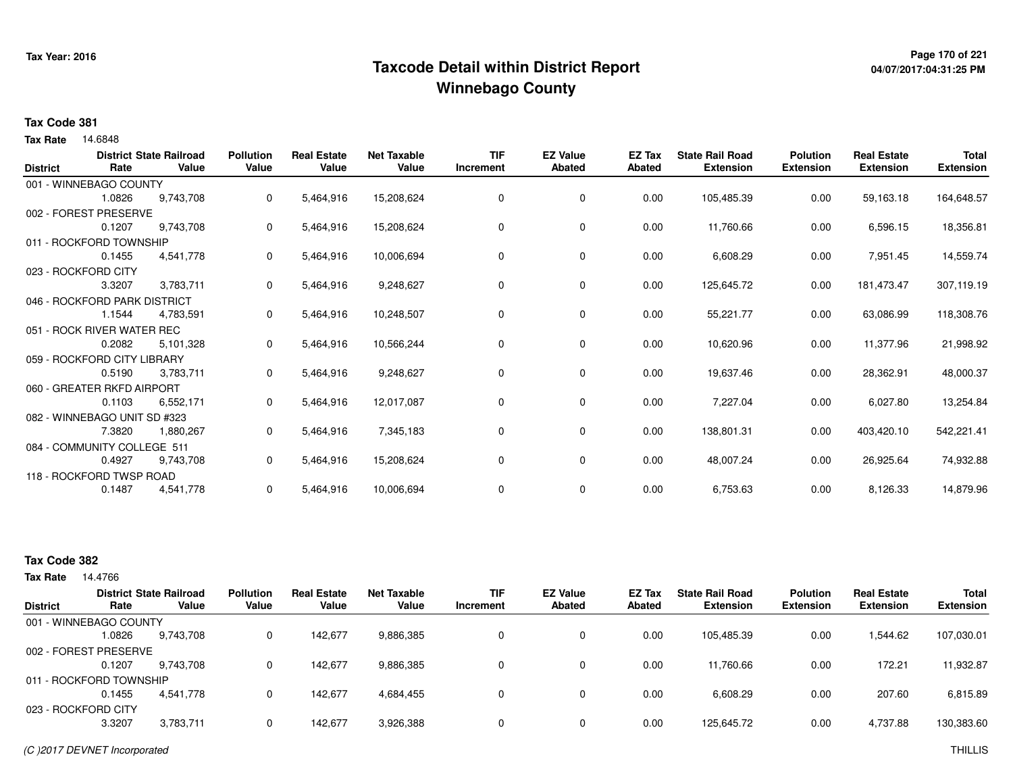## **Page 170 of 221 Taxcode Detail within District ReportWinnebago County**

## **04/07/2017:04:31:25 PM**

#### **Tax Code 381**

14.6848 **Tax Rate**

| <b>District</b> | Rate                         | <b>District State Railroad</b><br>Value | <b>Pollution</b><br>Value | <b>Real Estate</b><br>Value | <b>Net Taxable</b><br>Value | <b>TIF</b><br>Increment | <b>EZ Value</b><br><b>Abated</b> | EZ Tax<br><b>Abated</b> | <b>State Rail Road</b><br><b>Extension</b> | <b>Polution</b><br><b>Extension</b> | <b>Real Estate</b><br><b>Extension</b> | <b>Total</b><br><b>Extension</b> |
|-----------------|------------------------------|-----------------------------------------|---------------------------|-----------------------------|-----------------------------|-------------------------|----------------------------------|-------------------------|--------------------------------------------|-------------------------------------|----------------------------------------|----------------------------------|
|                 |                              |                                         |                           |                             |                             |                         |                                  |                         |                                            |                                     |                                        |                                  |
|                 | 001 - WINNEBAGO COUNTY       |                                         |                           |                             |                             |                         |                                  |                         |                                            |                                     |                                        |                                  |
|                 | 1.0826                       | 9,743,708                               | 0                         | 5,464,916                   | 15,208,624                  | 0                       | 0                                | 0.00                    | 105,485.39                                 | 0.00                                | 59,163.18                              | 164,648.57                       |
|                 | 002 - FOREST PRESERVE        |                                         |                           |                             |                             |                         |                                  |                         |                                            |                                     |                                        |                                  |
|                 | 0.1207                       | 9,743,708                               | 0                         | 5,464,916                   | 15,208,624                  | $\Omega$                | 0                                | 0.00                    | 11,760.66                                  | 0.00                                | 6,596.15                               | 18,356.81                        |
|                 | 011 - ROCKFORD TOWNSHIP      |                                         |                           |                             |                             |                         |                                  |                         |                                            |                                     |                                        |                                  |
|                 | 0.1455                       | 4,541,778                               | 0                         | 5,464,916                   | 10,006,694                  | 0                       | 0                                | 0.00                    | 6,608.29                                   | 0.00                                | 7,951.45                               | 14,559.74                        |
|                 | 023 - ROCKFORD CITY          |                                         |                           |                             |                             |                         |                                  |                         |                                            |                                     |                                        |                                  |
|                 | 3.3207                       | 3,783,711                               | 0                         | 5,464,916                   | 9,248,627                   | 0                       | 0                                | 0.00                    | 125,645.72                                 | 0.00                                | 181,473.47                             | 307,119.19                       |
|                 | 046 - ROCKFORD PARK DISTRICT |                                         |                           |                             |                             |                         |                                  |                         |                                            |                                     |                                        |                                  |
|                 | 1.1544                       | 4,783,591                               | 0                         | 5,464,916                   | 10,248,507                  | $\Omega$                | 0                                | 0.00                    | 55,221.77                                  | 0.00                                | 63,086.99                              | 118,308.76                       |
|                 | 051 - ROCK RIVER WATER REC   |                                         |                           |                             |                             |                         |                                  |                         |                                            |                                     |                                        |                                  |
|                 | 0.2082                       | 5,101,328                               | 0                         | 5,464,916                   | 10,566,244                  | 0                       | 0                                | 0.00                    | 10,620.96                                  | 0.00                                | 11,377.96                              | 21,998.92                        |
|                 | 059 - ROCKFORD CITY LIBRARY  |                                         |                           |                             |                             |                         |                                  |                         |                                            |                                     |                                        |                                  |
|                 | 0.5190                       | 3,783,711                               | 0                         | 5,464,916                   | 9,248,627                   | 0                       | 0                                | 0.00                    | 19,637.46                                  | 0.00                                | 28,362.91                              | 48,000.37                        |
|                 | 060 - GREATER RKFD AIRPORT   |                                         |                           |                             |                             |                         |                                  |                         |                                            |                                     |                                        |                                  |
|                 | 0.1103                       | 6,552,171                               | 0                         | 5,464,916                   | 12,017,087                  | 0                       | 0                                | 0.00                    | 7,227.04                                   | 0.00                                | 6,027.80                               | 13,254.84                        |
|                 | 082 - WINNEBAGO UNIT SD #323 |                                         |                           |                             |                             |                         |                                  |                         |                                            |                                     |                                        |                                  |
|                 | 7.3820                       | 1,880,267                               | 0                         | 5,464,916                   | 7,345,183                   | 0                       | 0                                | 0.00                    | 138,801.31                                 | 0.00                                | 403,420.10                             | 542,221.41                       |
|                 | 084 - COMMUNITY COLLEGE 511  |                                         |                           |                             |                             |                         |                                  |                         |                                            |                                     |                                        |                                  |
|                 | 0.4927                       | 9,743,708                               | 0                         | 5,464,916                   | 15,208,624                  | 0                       | 0                                | 0.00                    | 48,007.24                                  | 0.00                                | 26,925.64                              | 74,932.88                        |
|                 | 118 - ROCKFORD TWSP ROAD     |                                         |                           |                             |                             |                         |                                  |                         |                                            |                                     |                                        |                                  |
|                 | 0.1487                       | 4,541,778                               | 0                         | 5,464,916                   | 10,006,694                  | 0                       | 0                                | 0.00                    | 6,753.63                                   | 0.00                                | 8,126.33                               | 14,879.96                        |
|                 |                              |                                         |                           |                             |                             |                         |                                  |                         |                                            |                                     |                                        |                                  |

#### **Tax Code 382**

|                         |        | <b>District State Railroad</b> | <b>Pollution</b> | <b>Real Estate</b> | <b>Net Taxable</b> | <b>TIF</b>   | <b>EZ Value</b> | <b>EZ Tax</b> | <b>State Rail Road</b> | <b>Polution</b>  | <b>Real Estate</b> | <b>Total</b>     |
|-------------------------|--------|--------------------------------|------------------|--------------------|--------------------|--------------|-----------------|---------------|------------------------|------------------|--------------------|------------------|
| <b>District</b>         | Rate   | Value                          | Value            | Value              | Value              | Increment    | <b>Abated</b>   | Abated        | <b>Extension</b>       | <b>Extension</b> | <b>Extension</b>   | <b>Extension</b> |
| 001 - WINNEBAGO COUNTY  |        |                                |                  |                    |                    |              |                 |               |                        |                  |                    |                  |
|                         | .0826  | 9,743,708                      |                  | 142,677            | 9,886,385          | $\mathbf{0}$ | 0               | 0.00          | 105,485.39             | 0.00             | 1,544.62           | 107,030.01       |
| 002 - FOREST PRESERVE   |        |                                |                  |                    |                    |              |                 |               |                        |                  |                    |                  |
|                         | 0.1207 | 9.743.708                      |                  | 142.677            | 9,886,385          | 0            | 0               | 0.00          | 11,760.66              | 0.00             | 172.21             | 11,932.87        |
| 011 - ROCKFORD TOWNSHIP |        |                                |                  |                    |                    |              |                 |               |                        |                  |                    |                  |
|                         | 0.1455 | 4.541.778                      |                  | 142.677            | 4,684,455          | 0            | 0               | 0.00          | 6,608.29               | 0.00             | 207.60             | 6,815.89         |
| 023 - ROCKFORD CITY     |        |                                |                  |                    |                    |              |                 |               |                        |                  |                    |                  |
|                         | 3.3207 | 3,783,711                      |                  | 142.677            | 3,926,388          | 0            | 0               | 0.00          | 125,645.72             | 0.00             | 4,737.88           | 130,383.60       |
|                         |        |                                |                  |                    |                    |              |                 |               |                        |                  |                    |                  |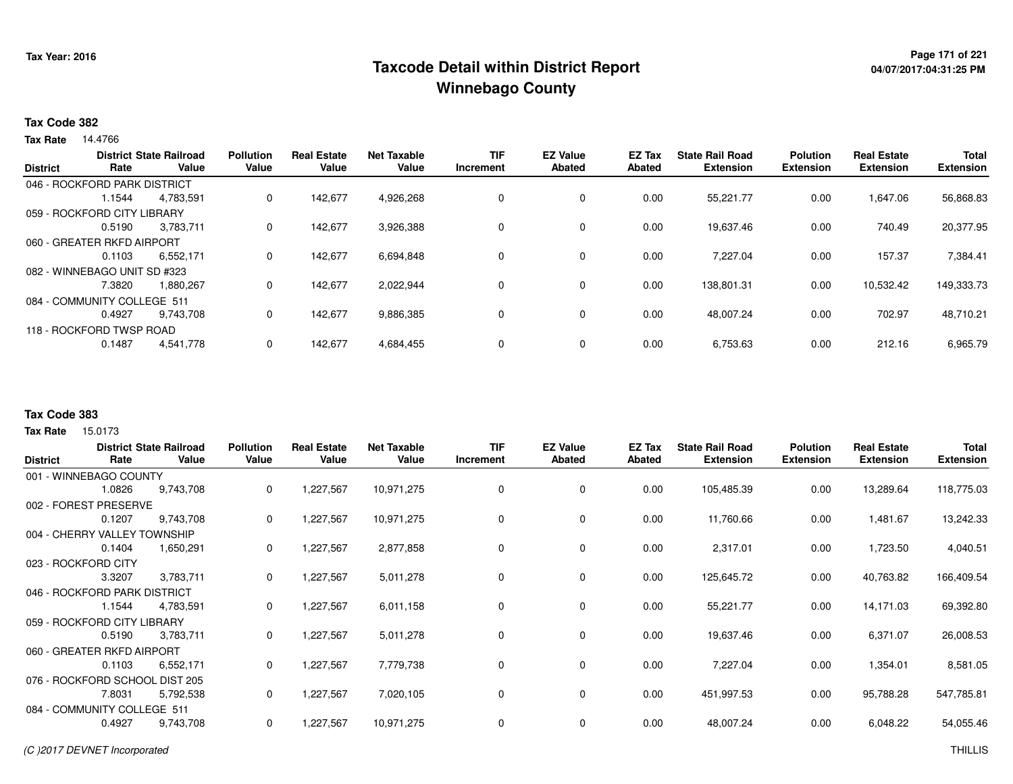## **Page 171 of 221 Taxcode Detail within District ReportWinnebago County**

#### **Tax Code 382**

**Tax Rate** 14.4766

| <b>District</b> | Rate                         | <b>District State Railroad</b><br>Value | <b>Pollution</b><br>Value | <b>Real Estate</b><br>Value | <b>Net Taxable</b><br>Value | TIF<br>Increment | <b>EZ Value</b><br><b>Abated</b> | EZ Tax<br><b>Abated</b> | <b>State Rail Road</b><br><b>Extension</b> | <b>Polution</b><br><b>Extension</b> | <b>Real Estate</b><br><b>Extension</b> | <b>Total</b><br><b>Extension</b> |
|-----------------|------------------------------|-----------------------------------------|---------------------------|-----------------------------|-----------------------------|------------------|----------------------------------|-------------------------|--------------------------------------------|-------------------------------------|----------------------------------------|----------------------------------|
|                 | 046 - ROCKFORD PARK DISTRICT |                                         |                           |                             |                             |                  |                                  |                         |                                            |                                     |                                        |                                  |
|                 | 1.1544                       | 4,783,591                               | 0                         | 142.677                     | 4,926,268                   |                  | 0                                | 0.00                    | 55,221.77                                  | 0.00                                | 1,647.06                               | 56,868.83                        |
|                 | 059 - ROCKFORD CITY LIBRARY  |                                         |                           |                             |                             |                  |                                  |                         |                                            |                                     |                                        |                                  |
|                 | 0.5190                       | 3.783.711                               | 0                         | 142,677                     | 3,926,388                   |                  | 0                                | 0.00                    | 19,637.46                                  | 0.00                                | 740.49                                 | 20,377.95                        |
|                 | 060 - GREATER RKFD AIRPORT   |                                         |                           |                             |                             |                  |                                  |                         |                                            |                                     |                                        |                                  |
|                 | 0.1103                       | 6,552,171                               | 0                         | 142,677                     | 6,694,848                   |                  | $\Omega$                         | 0.00                    | 7,227.04                                   | 0.00                                | 157.37                                 | 7,384.41                         |
|                 | 082 - WINNEBAGO UNIT SD #323 |                                         |                           |                             |                             |                  |                                  |                         |                                            |                                     |                                        |                                  |
|                 | 7.3820                       | 1,880,267                               | 0                         | 142.677                     | 2,022,944                   |                  | 0                                | 0.00                    | 138,801.31                                 | 0.00                                | 10,532.42                              | 149,333.73                       |
|                 | 084 - COMMUNITY COLLEGE 511  |                                         |                           |                             |                             |                  |                                  |                         |                                            |                                     |                                        |                                  |
|                 | 0.4927                       | 9.743.708                               | 0                         | 142,677                     | 9,886,385                   |                  | 0                                | 0.00                    | 48,007.24                                  | 0.00                                | 702.97                                 | 48,710.21                        |
|                 | 118 - ROCKFORD TWSP ROAD     |                                         |                           |                             |                             |                  |                                  |                         |                                            |                                     |                                        |                                  |
|                 | 0.1487                       | 4,541,778                               | 0                         | 142,677                     | 4,684,455                   |                  | 0                                | 0.00                    | 6,753.63                                   | 0.00                                | 212.16                                 | 6,965.79                         |

#### **Tax Code 383**

|                                |        | <b>District State Railroad</b> | <b>Pollution</b> | <b>Real Estate</b> | <b>Net Taxable</b> | <b>TIF</b>  | <b>EZ Value</b> | EZ Tax | <b>State Rail Road</b> | <b>Polution</b>  | <b>Real Estate</b> | Total            |
|--------------------------------|--------|--------------------------------|------------------|--------------------|--------------------|-------------|-----------------|--------|------------------------|------------------|--------------------|------------------|
| <b>District</b>                | Rate   | Value                          | Value            | Value              | Value              | Increment   | <b>Abated</b>   | Abated | <b>Extension</b>       | <b>Extension</b> | <b>Extension</b>   | <b>Extension</b> |
| 001 - WINNEBAGO COUNTY         |        |                                |                  |                    |                    |             |                 |        |                        |                  |                    |                  |
|                                | 1.0826 | 9,743,708                      | 0                | 1,227,567          | 10,971,275         | 0           | 0               | 0.00   | 105,485.39             | 0.00             | 13,289.64          | 118,775.03       |
| 002 - FOREST PRESERVE          |        |                                |                  |                    |                    |             |                 |        |                        |                  |                    |                  |
|                                | 0.1207 | 9,743,708                      | 0                | 1,227,567          | 10,971,275         | 0           | 0               | 0.00   | 11,760.66              | 0.00             | 1,481.67           | 13,242.33        |
| 004 - CHERRY VALLEY TOWNSHIP   |        |                                |                  |                    |                    |             |                 |        |                        |                  |                    |                  |
|                                | 0.1404 | 1,650,291                      | 0                | 1,227,567          | 2,877,858          | $\mathbf 0$ | 0               | 0.00   | 2,317.01               | 0.00             | 1,723.50           | 4,040.51         |
| 023 - ROCKFORD CITY            |        |                                |                  |                    |                    |             |                 |        |                        |                  |                    |                  |
|                                | 3.3207 | 3,783,711                      | 0                | 1,227,567          | 5,011,278          | $\mathbf 0$ | $\mathbf 0$     | 0.00   | 125,645.72             | 0.00             | 40,763.82          | 166,409.54       |
| 046 - ROCKFORD PARK DISTRICT   |        |                                |                  |                    |                    |             |                 |        |                        |                  |                    |                  |
|                                | 1.1544 | 4,783,591                      | 0                | 1,227,567          | 6,011,158          | 0           | 0               | 0.00   | 55,221.77              | 0.00             | 14,171.03          | 69,392.80        |
| 059 - ROCKFORD CITY LIBRARY    |        |                                |                  |                    |                    |             |                 |        |                        |                  |                    |                  |
|                                | 0.5190 | 3,783,711                      | 0                | 1,227,567          | 5,011,278          | 0           | 0               | 0.00   | 19,637.46              | 0.00             | 6,371.07           | 26,008.53        |
| 060 - GREATER RKFD AIRPORT     |        |                                |                  |                    |                    |             |                 |        |                        |                  |                    |                  |
|                                | 0.1103 | 6,552,171                      | 0                | 1,227,567          | 7,779,738          | 0           | 0               | 0.00   | 7,227.04               | 0.00             | 1,354.01           | 8,581.05         |
| 076 - ROCKFORD SCHOOL DIST 205 |        |                                |                  |                    |                    |             |                 |        |                        |                  |                    |                  |
|                                | 7.8031 | 5,792,538                      | 0                | 1,227,567          | 7,020,105          | 0           | 0               | 0.00   | 451,997.53             | 0.00             | 95,788.28          | 547,785.81       |
| 084 - COMMUNITY COLLEGE 511    |        |                                |                  |                    |                    |             |                 |        |                        |                  |                    |                  |
|                                | 0.4927 | 9,743,708                      | 0                | 1,227,567          | 10,971,275         | 0           | 0               | 0.00   | 48,007.24              | 0.00             | 6,048.22           | 54,055.46        |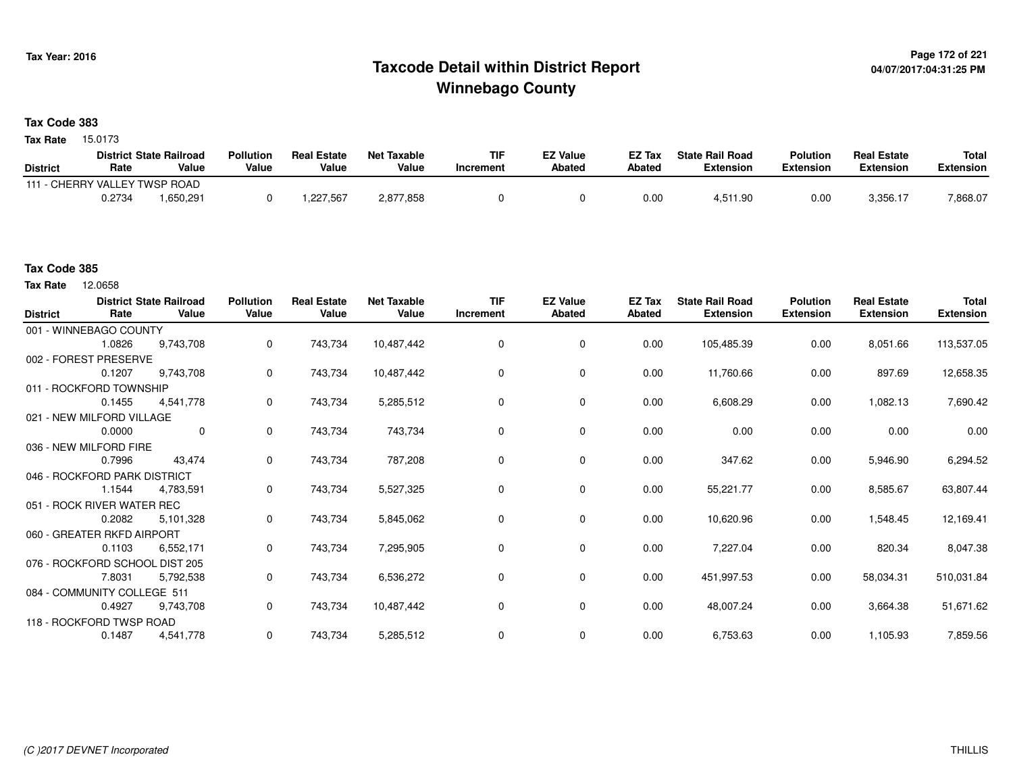## **Page 172 of 221 Taxcode Detail within District ReportWinnebago County**

### **Tax Code 383**

Tax Rate 15.0173

|                               |        | <b>District State Railroad</b> | <b>Pollution</b> | <b>Real Estate</b> | <b>Net Taxable</b> | TIF       | EZ Value      | EZ Tax | <b>State Rail Road</b> | <b>Polution</b> | <b>Real Estate</b> | <b>Total</b> |
|-------------------------------|--------|--------------------------------|------------------|--------------------|--------------------|-----------|---------------|--------|------------------------|-----------------|--------------------|--------------|
| <b>District</b>               | Rate   | Value                          | Value            | Value              | Value              | Increment | <b>Abated</b> | Abated | Extension              | Extension       | Extension          | Extension    |
| 111 - CHERRY VALLEY TWSP ROAD |        |                                |                  |                    |                    |           |               |        |                        |                 |                    |              |
|                               | 0.2734 | .650,291                       |                  | .227.567           | 2,877,858          |           |               | 0.00   | 4,511.90               | 0.00            | $3,356.1^{-}$      | 7,868.07     |

#### **Tax Code 385**

12.0658 **Tax Rate**

| <b>District</b> | Rate                         | <b>District State Railroad</b><br>Value | <b>Pollution</b><br>Value | <b>Real Estate</b><br>Value | <b>Net Taxable</b><br>Value | <b>TIF</b><br>Increment | <b>EZ Value</b><br>Abated | EZ Tax<br>Abated | <b>State Rail Road</b><br><b>Extension</b> | <b>Polution</b><br><b>Extension</b> | <b>Real Estate</b><br><b>Extension</b> | <b>Total</b><br><b>Extension</b> |
|-----------------|------------------------------|-----------------------------------------|---------------------------|-----------------------------|-----------------------------|-------------------------|---------------------------|------------------|--------------------------------------------|-------------------------------------|----------------------------------------|----------------------------------|
|                 | 001 - WINNEBAGO COUNTY       |                                         |                           |                             |                             |                         |                           |                  |                                            |                                     |                                        |                                  |
|                 | 1.0826                       | 9,743,708                               | 0                         | 743,734                     | 10,487,442                  | $\mathbf 0$             | 0                         | 0.00             | 105,485.39                                 | 0.00                                | 8,051.66                               | 113,537.05                       |
|                 | 002 - FOREST PRESERVE        |                                         |                           |                             |                             |                         |                           |                  |                                            |                                     |                                        |                                  |
|                 | 0.1207                       | 9,743,708                               | 0                         | 743,734                     | 10,487,442                  | 0                       | 0                         | 0.00             | 11,760.66                                  | 0.00                                | 897.69                                 | 12,658.35                        |
|                 | 011 - ROCKFORD TOWNSHIP      |                                         |                           |                             |                             |                         |                           |                  |                                            |                                     |                                        |                                  |
|                 | 0.1455                       | 4,541,778                               | 0                         | 743,734                     | 5,285,512                   | 0                       | $\mathbf 0$               | 0.00             | 6,608.29                                   | 0.00                                | 1,082.13                               | 7,690.42                         |
|                 | 021 - NEW MILFORD VILLAGE    |                                         |                           |                             |                             |                         |                           |                  |                                            |                                     |                                        |                                  |
|                 | 0.0000                       | $\mathbf 0$                             | $\mathbf{0}$              | 743,734                     | 743,734                     | 0                       | 0                         | 0.00             | 0.00                                       | 0.00                                | 0.00                                   | 0.00                             |
|                 | 036 - NEW MILFORD FIRE       |                                         |                           |                             |                             |                         |                           |                  |                                            |                                     |                                        |                                  |
|                 | 0.7996                       | 43,474                                  | $\mathbf{0}$              | 743,734                     | 787,208                     | 0                       | 0                         | 0.00             | 347.62                                     | 0.00                                | 5,946.90                               | 6,294.52                         |
|                 | 046 - ROCKFORD PARK DISTRICT |                                         |                           |                             |                             |                         |                           |                  |                                            |                                     |                                        |                                  |
|                 | 1.1544                       | 4,783,591                               | 0                         | 743,734                     | 5,527,325                   | 0                       | 0                         | 0.00             | 55,221.77                                  | 0.00                                | 8,585.67                               | 63,807.44                        |
|                 | 051 - ROCK RIVER WATER REC   |                                         |                           |                             |                             |                         |                           |                  |                                            |                                     |                                        |                                  |
|                 | 0.2082                       | 5,101,328                               | 0                         | 743,734                     | 5,845,062                   | 0                       | $\mathbf 0$               | 0.00             | 10,620.96                                  | 0.00                                | 1,548.45                               | 12,169.41                        |
|                 | 060 - GREATER RKFD AIRPORT   |                                         |                           |                             |                             |                         |                           |                  |                                            |                                     |                                        |                                  |
|                 | 0.1103                       | 6,552,171                               | 0                         | 743,734                     | 7,295,905                   | 0                       | $\mathbf 0$               | 0.00             | 7,227.04                                   | 0.00                                | 820.34                                 | 8,047.38                         |
|                 |                              | 076 - ROCKFORD SCHOOL DIST 205          |                           |                             |                             |                         |                           |                  |                                            |                                     |                                        |                                  |
|                 | 7.8031                       | 5,792,538                               | 0                         | 743,734                     | 6,536,272                   | 0                       | 0                         | 0.00             | 451,997.53                                 | 0.00                                | 58,034.31                              | 510,031.84                       |
|                 | 084 - COMMUNITY COLLEGE 511  |                                         |                           |                             |                             |                         |                           |                  |                                            |                                     |                                        |                                  |
|                 | 0.4927                       | 9,743,708                               | 0                         | 743,734                     | 10,487,442                  | 0                       | $\mathbf 0$               | 0.00             | 48,007.24                                  | 0.00                                | 3,664.38                               | 51,671.62                        |
|                 | 118 - ROCKFORD TWSP ROAD     |                                         |                           |                             |                             |                         |                           |                  |                                            |                                     |                                        |                                  |
|                 | 0.1487                       | 4,541,778                               | 0                         | 743,734                     | 5,285,512                   | 0                       | 0                         | 0.00             | 6,753.63                                   | 0.00                                | 1,105.93                               | 7,859.56                         |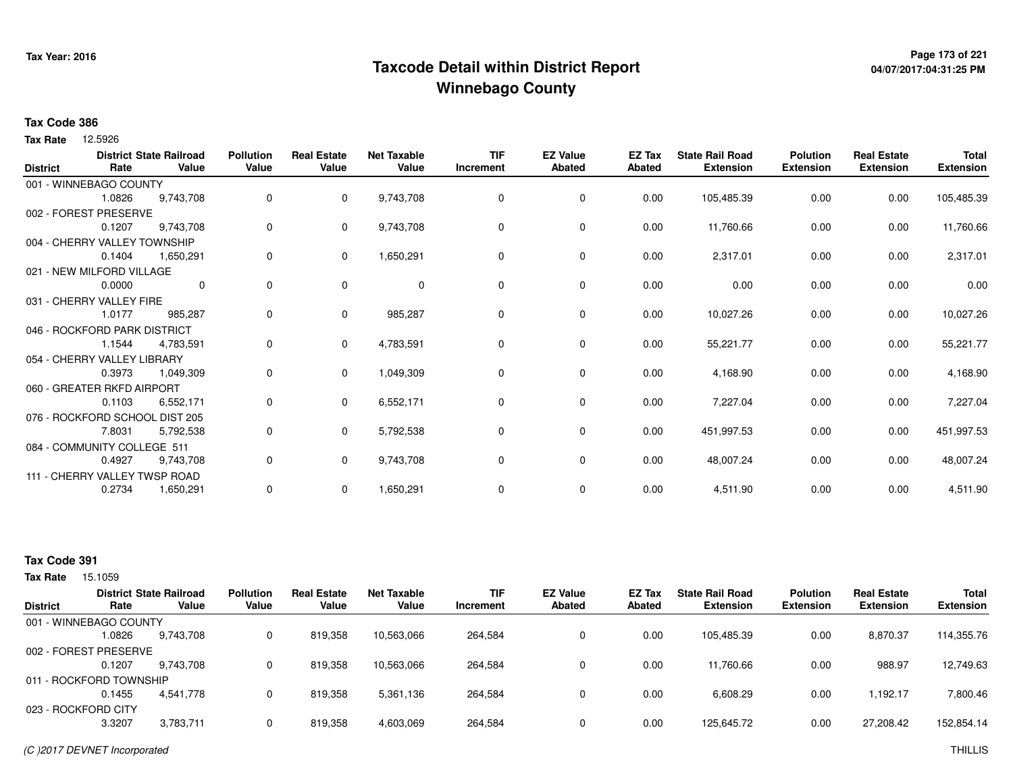## **Page 173 of 221 Taxcode Detail within District ReportWinnebago County**

# **04/07/2017:04:31:25 PM**

#### **Tax Code 386**

**Tax Rate** 12.5926

| <b>District</b> | Rate                           | <b>District State Railroad</b><br>Value | <b>Pollution</b><br>Value | <b>Real Estate</b><br>Value | <b>Net Taxable</b><br>Value | <b>TIF</b><br>Increment | <b>EZ Value</b><br><b>Abated</b> | EZ Tax<br>Abated | <b>State Rail Road</b><br><b>Extension</b> | <b>Polution</b><br><b>Extension</b> | <b>Real Estate</b><br><b>Extension</b> | <b>Total</b><br><b>Extension</b> |
|-----------------|--------------------------------|-----------------------------------------|---------------------------|-----------------------------|-----------------------------|-------------------------|----------------------------------|------------------|--------------------------------------------|-------------------------------------|----------------------------------------|----------------------------------|
|                 | 001 - WINNEBAGO COUNTY         |                                         |                           |                             |                             |                         |                                  |                  |                                            |                                     |                                        |                                  |
|                 | 1.0826                         | 9,743,708                               | 0                         | $\mathbf{0}$                | 9,743,708                   | 0                       | 0                                | 0.00             | 105,485.39                                 | 0.00                                | 0.00                                   | 105,485.39                       |
|                 | 002 - FOREST PRESERVE          |                                         |                           |                             |                             |                         |                                  |                  |                                            |                                     |                                        |                                  |
|                 | 0.1207                         | 9,743,708                               | 0                         | $\mathbf{0}$                | 9,743,708                   | 0                       | 0                                | 0.00             | 11,760.66                                  | 0.00                                | 0.00                                   | 11,760.66                        |
|                 | 004 - CHERRY VALLEY TOWNSHIP   |                                         |                           |                             |                             |                         |                                  |                  |                                            |                                     |                                        |                                  |
|                 | 0.1404                         | 1,650,291                               | 0                         | 0                           | 1,650,291                   | $\Omega$                | 0                                | 0.00             | 2,317.01                                   | 0.00                                | 0.00                                   | 2,317.01                         |
|                 | 021 - NEW MILFORD VILLAGE      |                                         |                           |                             |                             |                         |                                  |                  |                                            |                                     |                                        |                                  |
|                 | 0.0000                         | $\mathbf 0$                             | 0                         | $\mathbf 0$                 | $\mathbf 0$                 | 0                       | $\mathbf 0$                      | 0.00             | 0.00                                       | 0.00                                | 0.00                                   | 0.00                             |
|                 | 031 - CHERRY VALLEY FIRE       |                                         |                           |                             |                             |                         |                                  |                  |                                            |                                     |                                        |                                  |
|                 | 1.0177                         | 985,287                                 | 0                         | $\mathbf{0}$                | 985,287                     | $\Omega$                | 0                                | 0.00             | 10,027.26                                  | 0.00                                | 0.00                                   | 10,027.26                        |
|                 | 046 - ROCKFORD PARK DISTRICT   |                                         |                           |                             |                             |                         |                                  |                  |                                            |                                     |                                        |                                  |
|                 | 1.1544                         | 4,783,591                               | 0                         | $\mathbf{0}$                | 4,783,591                   | 0                       | $\mathbf 0$                      | 0.00             | 55,221.77                                  | 0.00                                | 0.00                                   | 55,221.77                        |
|                 | 054 - CHERRY VALLEY LIBRARY    |                                         |                           |                             |                             |                         |                                  |                  |                                            |                                     |                                        |                                  |
|                 | 0.3973                         | 1,049,309                               | 0                         | 0                           | 1,049,309                   | 0                       | 0                                | 0.00             | 4,168.90                                   | 0.00                                | 0.00                                   | 4,168.90                         |
|                 | 060 - GREATER RKFD AIRPORT     |                                         |                           |                             |                             |                         |                                  |                  |                                            |                                     |                                        |                                  |
|                 | 0.1103                         | 6,552,171                               | 0                         | $\mathbf{0}$                | 6,552,171                   | 0                       | $\mathbf 0$                      | 0.00             | 7,227.04                                   | 0.00                                | 0.00                                   | 7,227.04                         |
|                 | 076 - ROCKFORD SCHOOL DIST 205 |                                         |                           |                             |                             |                         |                                  |                  |                                            |                                     |                                        |                                  |
|                 | 7.8031                         | 5,792,538                               | 0                         | $\mathbf{0}$                | 5,792,538                   | 0                       | $\mathbf 0$                      | 0.00             | 451,997.53                                 | 0.00                                | 0.00                                   | 451,997.53                       |
|                 | 084 - COMMUNITY COLLEGE 511    |                                         |                           |                             |                             |                         |                                  |                  |                                            |                                     |                                        |                                  |
|                 | 0.4927                         | 9,743,708                               | 0                         | $\mathbf{0}$                | 9,743,708                   | 0                       | $\mathbf 0$                      | 0.00             | 48,007.24                                  | 0.00                                | 0.00                                   | 48,007.24                        |
|                 | 111 - CHERRY VALLEY TWSP ROAD  |                                         |                           |                             |                             |                         |                                  |                  |                                            |                                     |                                        |                                  |
|                 | 0.2734                         | 1,650,291                               | 0                         | 0                           | 1,650,291                   | 0                       | 0                                | 0.00             | 4,511.90                                   | 0.00                                | 0.00                                   | 4,511.90                         |
|                 |                                |                                         |                           |                             |                             |                         |                                  |                  |                                            |                                     |                                        |                                  |

### **Tax Code 391**

15.1059 **Tax Rate**

|                 |                         | <b>District State Railroad</b> | <b>Pollution</b> | <b>Real Estate</b> | <b>Net Taxable</b> | TIF       | <b>EZ Value</b> | EZ Tax | <b>State Rail Road</b> | <b>Polution</b>  | <b>Real Estate</b> | <b>Total</b>     |
|-----------------|-------------------------|--------------------------------|------------------|--------------------|--------------------|-----------|-----------------|--------|------------------------|------------------|--------------------|------------------|
| <b>District</b> | Rate                    | Value                          | Value            | Value              | Value              | Increment | <b>Abated</b>   | Abated | <b>Extension</b>       | <b>Extension</b> | <b>Extension</b>   | <b>Extension</b> |
|                 | 001 - WINNEBAGO COUNTY  |                                |                  |                    |                    |           |                 |        |                        |                  |                    |                  |
|                 | .0826                   | 9.743.708                      | 0                | 819.358            | 10,563,066         | 264,584   | 0               | 0.00   | 105.485.39             | 0.00             | 8,870.37           | 114,355.76       |
|                 | 002 - FOREST PRESERVE   |                                |                  |                    |                    |           |                 |        |                        |                  |                    |                  |
|                 | 0.1207                  | 9.743.708                      |                  | 819.358            | 10,563,066         | 264,584   | 0               | 0.00   | 11.760.66              | 0.00             | 988.97             | 12,749.63        |
|                 | 011 - ROCKFORD TOWNSHIP |                                |                  |                    |                    |           |                 |        |                        |                  |                    |                  |
|                 | 0.1455                  | 4,541,778                      |                  | 819.358            | 5,361,136          | 264,584   | 0               | 0.00   | 6,608.29               | 0.00             | 1.192.17           | 7,800.46         |
|                 | 023 - ROCKFORD CITY     |                                |                  |                    |                    |           |                 |        |                        |                  |                    |                  |
|                 | 3.3207                  | 3,783,711                      |                  | 819,358            | 4,603,069          | 264,584   | 0               | 0.00   | 125,645.72             | 0.00             | 27,208.42          | 152,854.14       |
|                 |                         |                                |                  |                    |                    |           |                 |        |                        |                  |                    |                  |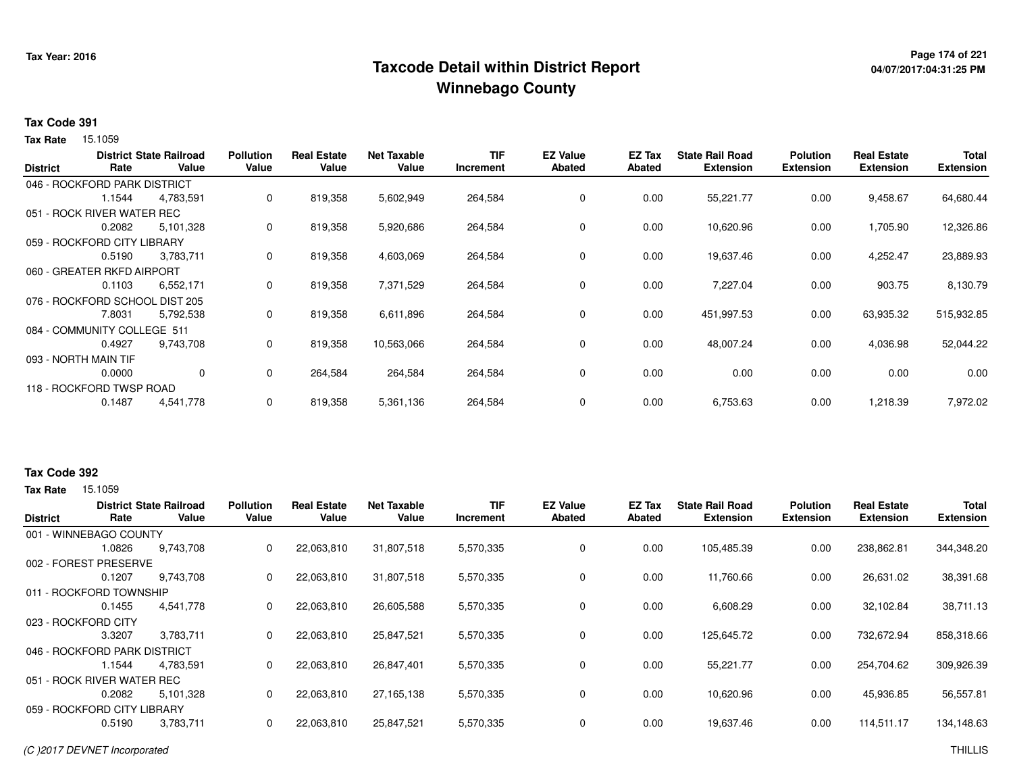## **Page 174 of 221 Taxcode Detail within District ReportWinnebago County**

# **04/07/2017:04:31:25 PM**

#### **Tax Code 391**

15.1059 **Tax Rate**

|                      |                                | <b>District State Railroad</b> | <b>Pollution</b> | <b>Real Estate</b> | <b>Net Taxable</b> | <b>TIF</b> | <b>EZ Value</b> | <b>EZ Tax</b> | <b>State Rail Road</b> | <b>Polution</b>  | <b>Real Estate</b> | <b>Total</b>     |
|----------------------|--------------------------------|--------------------------------|------------------|--------------------|--------------------|------------|-----------------|---------------|------------------------|------------------|--------------------|------------------|
| <b>District</b>      | Rate                           | Value                          | Value            | Value              | Value              | Increment  | <b>Abated</b>   | Abated        | <b>Extension</b>       | <b>Extension</b> | <b>Extension</b>   | <b>Extension</b> |
|                      | 046 - ROCKFORD PARK DISTRICT   |                                |                  |                    |                    |            |                 |               |                        |                  |                    |                  |
|                      | 1.1544                         | 4,783,591                      | 0                | 819,358            | 5,602,949          | 264,584    | 0               | 0.00          | 55,221.77              | 0.00             | 9,458.67           | 64,680.44        |
|                      | 051 - ROCK RIVER WATER REC     |                                |                  |                    |                    |            |                 |               |                        |                  |                    |                  |
|                      | 0.2082                         | 5,101,328                      | 0                | 819,358            | 5,920,686          | 264,584    | 0               | 0.00          | 10,620.96              | 0.00             | 1,705.90           | 12,326.86        |
|                      | 059 - ROCKFORD CITY LIBRARY    |                                |                  |                    |                    |            |                 |               |                        |                  |                    |                  |
|                      | 0.5190                         | 3,783,711                      | 0                | 819,358            | 4,603,069          | 264,584    | 0               | 0.00          | 19,637.46              | 0.00             | 4,252.47           | 23,889.93        |
|                      | 060 - GREATER RKFD AIRPORT     |                                |                  |                    |                    |            |                 |               |                        |                  |                    |                  |
|                      | 0.1103                         | 6,552,171                      | 0                | 819,358            | 7,371,529          | 264,584    | 0               | 0.00          | 7,227.04               | 0.00             | 903.75             | 8,130.79         |
|                      | 076 - ROCKFORD SCHOOL DIST 205 |                                |                  |                    |                    |            |                 |               |                        |                  |                    |                  |
|                      | 7.8031                         | 5,792,538                      | 0                | 819,358            | 6,611,896          | 264,584    | 0               | 0.00          | 451,997.53             | 0.00             | 63,935.32          | 515,932.85       |
|                      | 084 - COMMUNITY COLLEGE 511    |                                |                  |                    |                    |            |                 |               |                        |                  |                    |                  |
|                      | 0.4927                         | 9,743,708                      | 0                | 819,358            | 10,563,066         | 264,584    | $\mathbf 0$     | 0.00          | 48,007.24              | 0.00             | 4,036.98           | 52,044.22        |
| 093 - NORTH MAIN TIF |                                |                                |                  |                    |                    |            |                 |               |                        |                  |                    |                  |
|                      | 0.0000                         | 0                              | 0                | 264,584            | 264,584            | 264,584    | 0               | 0.00          | 0.00                   | 0.00             | 0.00               | 0.00             |
|                      | 118 - ROCKFORD TWSP ROAD       |                                |                  |                    |                    |            |                 |               |                        |                  |                    |                  |
|                      | 0.1487                         | 4,541,778                      | 0                | 819,358            | 5,361,136          | 264,584    | 0               | 0.00          | 6,753.63               | 0.00             | 1,218.39           | 7,972.02         |

#### **Tax Code 392**

| <b>District</b>     | Rate                         | <b>District State Railroad</b><br>Value | <b>Pollution</b><br>Value | <b>Real Estate</b><br>Value | <b>Net Taxable</b><br>Value | <b>TIF</b><br>Increment | <b>EZ Value</b><br><b>Abated</b> | <b>EZ Tax</b><br><b>Abated</b> | <b>State Rail Road</b><br><b>Extension</b> | <b>Polution</b><br><b>Extension</b> | <b>Real Estate</b><br><b>Extension</b> | <b>Total</b><br><b>Extension</b> |
|---------------------|------------------------------|-----------------------------------------|---------------------------|-----------------------------|-----------------------------|-------------------------|----------------------------------|--------------------------------|--------------------------------------------|-------------------------------------|----------------------------------------|----------------------------------|
|                     | 001 - WINNEBAGO COUNTY       |                                         |                           |                             |                             |                         |                                  |                                |                                            |                                     |                                        |                                  |
|                     | 1.0826                       | 9,743,708                               | 0                         | 22,063,810                  | 31,807,518                  | 5,570,335               | 0                                | 0.00                           | 105,485.39                                 | 0.00                                | 238,862.81                             | 344,348.20                       |
|                     | 002 - FOREST PRESERVE        |                                         |                           |                             |                             |                         |                                  |                                |                                            |                                     |                                        |                                  |
|                     | 0.1207                       | 9,743,708                               | 0                         | 22,063,810                  | 31,807,518                  | 5,570,335               | 0                                | 0.00                           | 11,760.66                                  | 0.00                                | 26,631.02                              | 38,391.68                        |
|                     | 011 - ROCKFORD TOWNSHIP      |                                         |                           |                             |                             |                         |                                  |                                |                                            |                                     |                                        |                                  |
|                     | 0.1455                       | 4,541,778                               | 0                         | 22,063,810                  | 26,605,588                  | 5,570,335               | $\mathbf 0$                      | 0.00                           | 6,608.29                                   | 0.00                                | 32.102.84                              | 38,711.13                        |
| 023 - ROCKFORD CITY |                              |                                         |                           |                             |                             |                         |                                  |                                |                                            |                                     |                                        |                                  |
|                     | 3.3207                       | 3.783.711                               | 0                         | 22,063,810                  | 25,847,521                  | 5,570,335               | 0                                | 0.00                           | 125,645.72                                 | 0.00                                | 732,672.94                             | 858,318.66                       |
|                     | 046 - ROCKFORD PARK DISTRICT |                                         |                           |                             |                             |                         |                                  |                                |                                            |                                     |                                        |                                  |
|                     | 1.1544                       | 4,783,591                               | $\Omega$                  | 22,063,810                  | 26,847,401                  | 5,570,335               | 0                                | 0.00                           | 55,221.77                                  | 0.00                                | 254,704.62                             | 309,926.39                       |
|                     | 051 - ROCK RIVER WATER REC   |                                         |                           |                             |                             |                         |                                  |                                |                                            |                                     |                                        |                                  |
|                     | 0.2082                       | 5,101,328                               | $\Omega$                  | 22,063,810                  | 27,165,138                  | 5,570,335               | 0                                | 0.00                           | 10,620.96                                  | 0.00                                | 45,936.85                              | 56,557.81                        |
|                     | 059 - ROCKFORD CITY LIBRARY  |                                         |                           |                             |                             |                         |                                  |                                |                                            |                                     |                                        |                                  |
|                     | 0.5190                       | 3,783,711                               | 0                         | 22,063,810                  | 25,847,521                  | 5,570,335               | 0                                | 0.00                           | 19,637.46                                  | 0.00                                | 114,511.17                             | 134,148.63                       |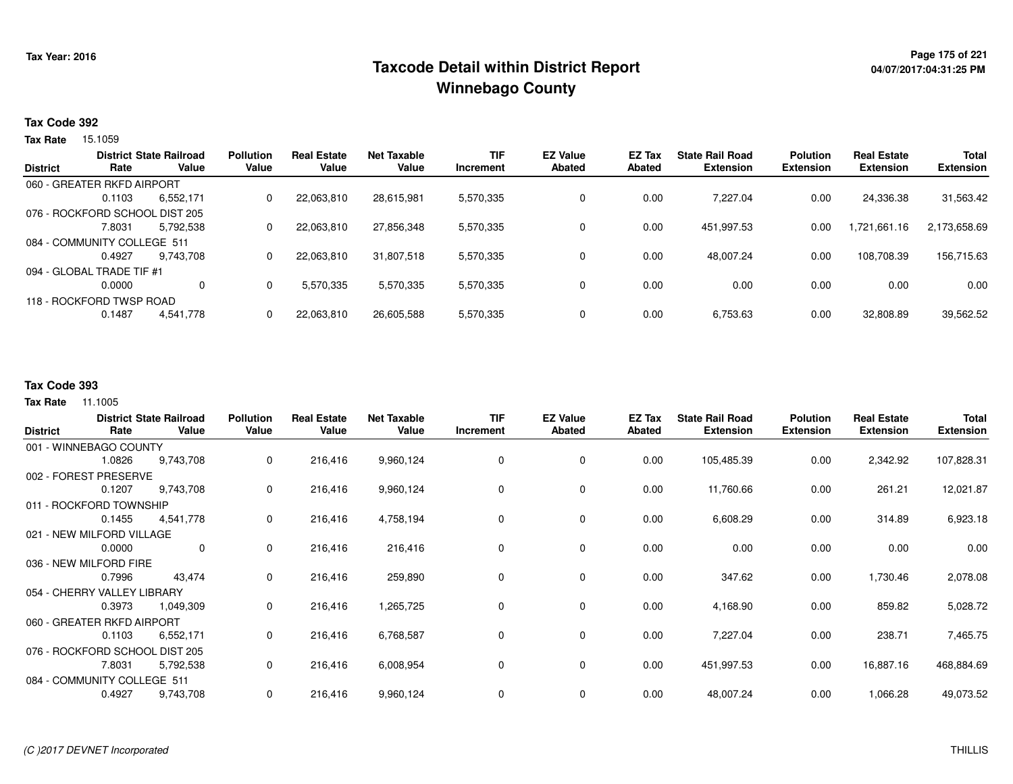## **Page 175 of 221 Taxcode Detail within District ReportWinnebago County**

#### **Tax Code 392**

15.1059 **Tax Rate**

|                             |                                | <b>District State Railroad</b> | <b>Pollution</b> | <b>Real Estate</b> | Net Taxable | <b>TIF</b> | <b>EZ Value</b> | EZ Tax | <b>State Rail Road</b> | <b>Polution</b>  | <b>Real Estate</b> | <b>Total</b>     |
|-----------------------------|--------------------------------|--------------------------------|------------------|--------------------|-------------|------------|-----------------|--------|------------------------|------------------|--------------------|------------------|
| <b>District</b>             | Rate                           | Value                          | Value            | Value              | Value       | Increment  | Abated          | Abated | <b>Extension</b>       | <b>Extension</b> | <b>Extension</b>   | <b>Extension</b> |
|                             | 060 - GREATER RKFD AIRPORT     |                                |                  |                    |             |            |                 |        |                        |                  |                    |                  |
|                             | 0.1103                         | 6,552,171                      | 0                | 22,063,810         | 28,615,981  | 5,570,335  | 0               | 0.00   | 7.227.04               | 0.00             | 24,336.38          | 31,563.42        |
|                             | 076 - ROCKFORD SCHOOL DIST 205 |                                |                  |                    |             |            |                 |        |                        |                  |                    |                  |
|                             | 7.8031                         | 5.792.538                      | 0                | 22,063,810         | 27,856,348  | 5,570,335  | 0               | 0.00   | 451,997.53             | 0.00             | 1,721,661.16       | 2,173,658.69     |
| 084 - COMMUNITY COLLEGE 511 |                                |                                |                  |                    |             |            |                 |        |                        |                  |                    |                  |
|                             | 0.4927                         | 9.743.708                      | 0                | 22,063,810         | 31,807,518  | 5,570,335  | 0               | 0.00   | 48,007.24              | 0.00             | 108,708.39         | 156,715.63       |
|                             | 094 - GLOBAL TRADE TIF #1      |                                |                  |                    |             |            |                 |        |                        |                  |                    |                  |
|                             | 0.0000                         | 0                              | $\Omega$         | 5,570,335          | 5,570,335   | 5,570,335  | 0               | 0.00   | 0.00                   | 0.00             | 0.00               | 0.00             |
| 118 - ROCKFORD TWSP ROAD    |                                |                                |                  |                    |             |            |                 |        |                        |                  |                    |                  |
|                             | 0.1487                         | 4,541,778                      | 0                | 22,063,810         | 26,605,588  | 5,570,335  | 0               | 0.00   | 6,753.63               | 0.00             | 32,808.89          | 39,562.52        |
|                             |                                |                                |                  |                    |             |            |                 |        |                        |                  |                    |                  |

#### **Tax Code 393**

| <b>District</b>                | Rate   | <b>District State Railroad</b><br>Value | <b>Pollution</b><br>Value | <b>Real Estate</b><br>Value | <b>Net Taxable</b><br>Value | <b>TIF</b><br>Increment | <b>EZ Value</b><br><b>Abated</b> | EZ Tax<br><b>Abated</b> | <b>State Rail Road</b><br><b>Extension</b> | <b>Polution</b><br><b>Extension</b> | <b>Real Estate</b><br><b>Extension</b> | <b>Total</b><br><b>Extension</b> |
|--------------------------------|--------|-----------------------------------------|---------------------------|-----------------------------|-----------------------------|-------------------------|----------------------------------|-------------------------|--------------------------------------------|-------------------------------------|----------------------------------------|----------------------------------|
| 001 - WINNEBAGO COUNTY         |        |                                         |                           |                             |                             |                         |                                  |                         |                                            |                                     |                                        |                                  |
|                                | 1.0826 | 9,743,708                               | 0                         | 216,416                     | 9,960,124                   | 0                       | 0                                | 0.00                    | 105,485.39                                 | 0.00                                | 2,342.92                               | 107,828.31                       |
| 002 - FOREST PRESERVE          |        |                                         |                           |                             |                             |                         |                                  |                         |                                            |                                     |                                        |                                  |
|                                | 0.1207 | 9,743,708                               | 0                         | 216,416                     | 9,960,124                   | 0                       | 0                                | 0.00                    | 11,760.66                                  | 0.00                                | 261.21                                 | 12,021.87                        |
| 011 - ROCKFORD TOWNSHIP        |        |                                         |                           |                             |                             |                         |                                  |                         |                                            |                                     |                                        |                                  |
|                                | 0.1455 | 4,541,778                               | 0                         | 216,416                     | 4,758,194                   | 0                       | 0                                | 0.00                    | 6,608.29                                   | 0.00                                | 314.89                                 | 6,923.18                         |
| 021 - NEW MILFORD VILLAGE      |        |                                         |                           |                             |                             |                         |                                  |                         |                                            |                                     |                                        |                                  |
|                                | 0.0000 | $\mathbf 0$                             | 0                         | 216,416                     | 216,416                     | $\Omega$                | $\mathbf 0$                      | 0.00                    | 0.00                                       | 0.00                                | 0.00                                   | 0.00                             |
| 036 - NEW MILFORD FIRE         |        |                                         |                           |                             |                             |                         |                                  |                         |                                            |                                     |                                        |                                  |
|                                | 0.7996 | 43,474                                  | 0                         | 216,416                     | 259,890                     | $\Omega$                | 0                                | 0.00                    | 347.62                                     | 0.00                                | 1,730.46                               | 2,078.08                         |
| 054 - CHERRY VALLEY LIBRARY    |        |                                         |                           |                             |                             |                         |                                  |                         |                                            |                                     |                                        |                                  |
|                                | 0.3973 | 1,049,309                               | 0                         | 216,416                     | 1,265,725                   | 0                       | 0                                | 0.00                    | 4,168.90                                   | 0.00                                | 859.82                                 | 5,028.72                         |
| 060 - GREATER RKFD AIRPORT     |        |                                         |                           |                             |                             |                         |                                  |                         |                                            |                                     |                                        |                                  |
|                                | 0.1103 | 6,552,171                               | 0                         | 216,416                     | 6,768,587                   | 0                       | 0                                | 0.00                    | 7,227.04                                   | 0.00                                | 238.71                                 | 7,465.75                         |
| 076 - ROCKFORD SCHOOL DIST 205 |        |                                         |                           |                             |                             |                         |                                  |                         |                                            |                                     |                                        |                                  |
|                                | 7.8031 | 5,792,538                               | 0                         | 216,416                     | 6,008,954                   | 0                       | 0                                | 0.00                    | 451,997.53                                 | 0.00                                | 16,887.16                              | 468,884.69                       |
| 084 - COMMUNITY COLLEGE 511    |        |                                         |                           |                             |                             |                         |                                  |                         |                                            |                                     |                                        |                                  |
|                                | 0.4927 | 9,743,708                               | 0                         | 216,416                     | 9,960,124                   | 0                       | 0                                | 0.00                    | 48,007.24                                  | 0.00                                | 1,066.28                               | 49,073.52                        |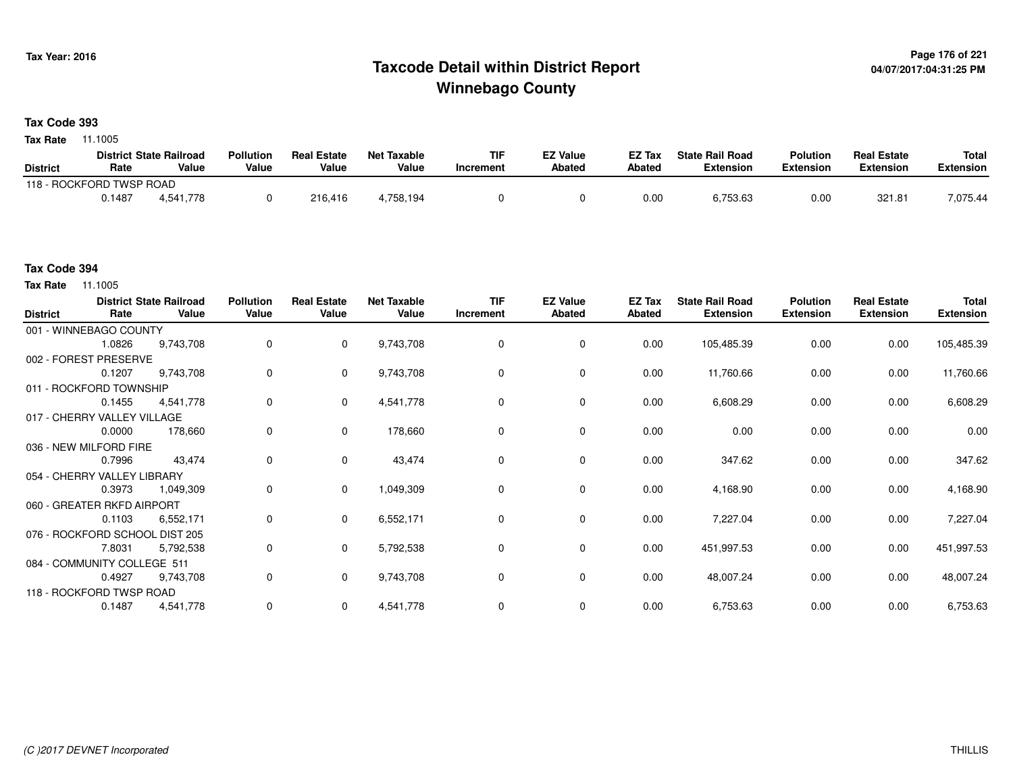## **Page 176 of 221 Taxcode Detail within District ReportWinnebago County**

#### **Tax Code 393**

**Tax Rate** 11.1005

|                          |        | <b>District State Railroad</b> | <b>Pollution</b> | <b>Real Estate</b> | Net Taxable | <b>TIF</b> | <b>EZ Value</b> | <b>EZ Tax</b> | <b>State Rail Road</b> | <b>Polution</b>  | <b>Real Estate</b> | <b>Total</b> |
|--------------------------|--------|--------------------------------|------------------|--------------------|-------------|------------|-----------------|---------------|------------------------|------------------|--------------------|--------------|
| <b>District</b>          | Rate   | Value                          | Value            | Value              | Value       | Increment  | <b>Abated</b>   | Abated        | <b>Extension</b>       | <b>Extension</b> | <b>Extension</b>   | Extension    |
| 118 - ROCKFORD TWSP ROAD |        |                                |                  |                    |             |            |                 |               |                        |                  |                    |              |
|                          | 0.1487 | 4.541.778                      |                  | 216.416            | +.758.194   |            |                 | 0.00          | 6,753.63               | 0.00             | 321.81             | 7,075.44     |

#### **Tax Code 394**

**Tax Rate** 11.1005

| <b>District</b>        | Rate                           | <b>District State Railroad</b><br>Value | <b>Pollution</b><br>Value | <b>Real Estate</b><br>Value | <b>Net Taxable</b><br>Value | <b>TIF</b><br>Increment | <b>EZ Value</b><br>Abated | EZ Tax<br>Abated | <b>State Rail Road</b><br><b>Extension</b> | <b>Polution</b><br><b>Extension</b> | <b>Real Estate</b><br><b>Extension</b> | <b>Total</b><br><b>Extension</b> |
|------------------------|--------------------------------|-----------------------------------------|---------------------------|-----------------------------|-----------------------------|-------------------------|---------------------------|------------------|--------------------------------------------|-------------------------------------|----------------------------------------|----------------------------------|
|                        | 001 - WINNEBAGO COUNTY         |                                         |                           |                             |                             |                         |                           |                  |                                            |                                     |                                        |                                  |
|                        | 1.0826                         | 9,743,708                               | 0                         | $\mathbf 0$                 | 9,743,708                   | 0                       | 0                         | 0.00             | 105,485.39                                 | 0.00                                | 0.00                                   | 105,485.39                       |
|                        | 002 - FOREST PRESERVE          |                                         |                           |                             |                             |                         |                           |                  |                                            |                                     |                                        |                                  |
|                        | 0.1207                         | 9,743,708                               | 0                         | $\mathbf 0$                 | 9,743,708                   | 0                       | 0                         | 0.00             | 11,760.66                                  | 0.00                                | 0.00                                   | 11,760.66                        |
|                        | 011 - ROCKFORD TOWNSHIP        |                                         |                           |                             |                             |                         |                           |                  |                                            |                                     |                                        |                                  |
|                        | 0.1455                         | 4,541,778                               | 0                         | $\mathbf{0}$                | 4,541,778                   | $\Omega$                | $\mathbf 0$               | 0.00             | 6,608.29                                   | 0.00                                | 0.00                                   | 6,608.29                         |
|                        | 017 - CHERRY VALLEY VILLAGE    |                                         |                           |                             |                             |                         |                           |                  |                                            |                                     |                                        |                                  |
|                        | 0.0000                         | 178,660                                 | 0                         | $\mathbf 0$                 | 178,660                     | 0                       | 0                         | 0.00             | 0.00                                       | 0.00                                | 0.00                                   | 0.00                             |
| 036 - NEW MILFORD FIRE |                                |                                         |                           |                             |                             |                         |                           |                  |                                            |                                     |                                        |                                  |
|                        | 0.7996                         | 43,474                                  | 0                         | $\mathbf 0$                 | 43,474                      | 0                       | $\mathbf 0$               | 0.00             | 347.62                                     | 0.00                                | 0.00                                   | 347.62                           |
|                        | 054 - CHERRY VALLEY LIBRARY    |                                         |                           |                             |                             |                         |                           |                  |                                            |                                     |                                        |                                  |
|                        | 0.3973                         | 1,049,309                               | 0                         | $\mathbf 0$                 | 1,049,309                   | 0                       | 0                         | 0.00             | 4,168.90                                   | 0.00                                | 0.00                                   | 4,168.90                         |
|                        | 060 - GREATER RKFD AIRPORT     |                                         |                           |                             |                             |                         |                           |                  |                                            |                                     |                                        |                                  |
|                        | 0.1103                         | 6,552,171                               | 0                         | $\mathbf{0}$                | 6,552,171                   | $\Omega$                | $\mathbf 0$               | 0.00             | 7,227.04                                   | 0.00                                | 0.00                                   | 7,227.04                         |
|                        | 076 - ROCKFORD SCHOOL DIST 205 |                                         |                           |                             |                             |                         |                           |                  |                                            |                                     |                                        |                                  |
|                        | 7.8031                         | 5,792,538                               | 0                         | $\mathbf 0$                 | 5,792,538                   | 0                       | 0                         | 0.00             | 451,997.53                                 | 0.00                                | 0.00                                   | 451,997.53                       |
|                        | 084 - COMMUNITY COLLEGE 511    |                                         |                           |                             |                             |                         |                           |                  |                                            |                                     |                                        |                                  |
|                        | 0.4927                         | 9,743,708                               | 0                         | $\mathbf 0$                 | 9,743,708                   | 0                       | 0                         | 0.00             | 48,007.24                                  | 0.00                                | 0.00                                   | 48,007.24                        |
|                        | 118 - ROCKFORD TWSP ROAD       |                                         |                           |                             |                             |                         |                           |                  |                                            |                                     |                                        |                                  |
|                        | 0.1487                         | 4,541,778                               | 0                         | $\mathbf 0$                 | 4,541,778                   | 0                       | 0                         | 0.00             | 6,753.63                                   | 0.00                                | 0.00                                   | 6,753.63                         |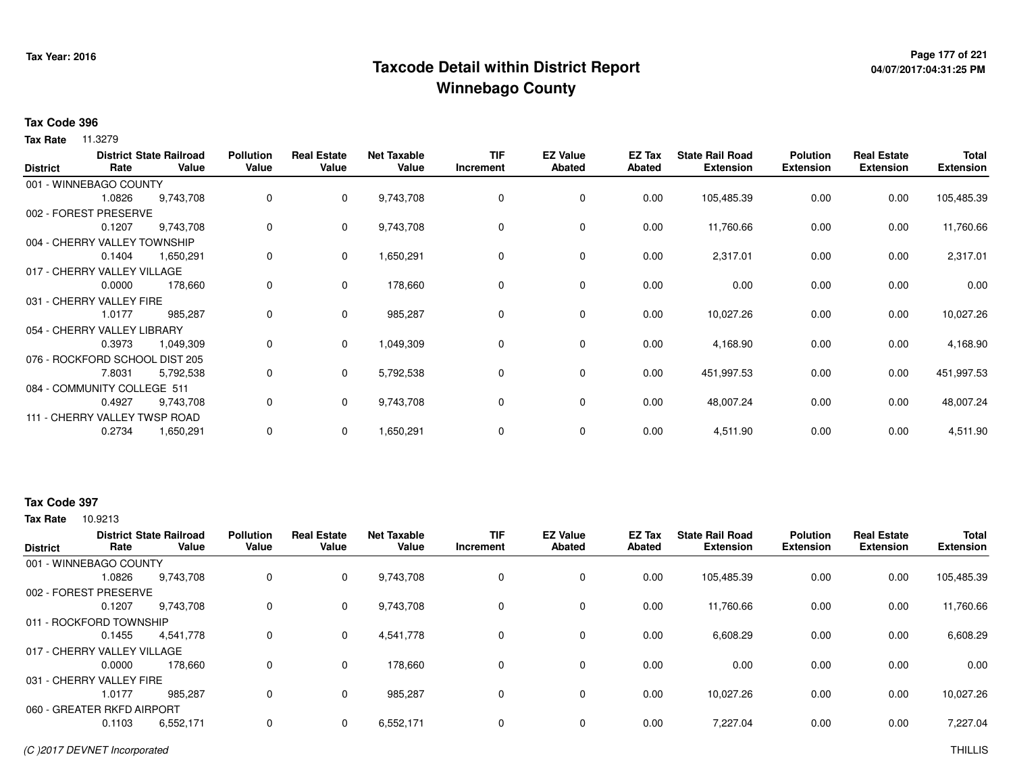## **Page 177 of 221 Taxcode Detail within District ReportWinnebago County**

# **04/07/2017:04:31:25 PM**

#### **Tax Code 396**

**Tax Rate** 11.3279

| <b>District</b> | Rate                           | <b>District State Railroad</b><br>Value | <b>Pollution</b><br>Value | <b>Real Estate</b><br>Value | <b>Net Taxable</b><br>Value | <b>TIF</b><br>Increment | <b>EZ Value</b><br><b>Abated</b> | EZ Tax<br>Abated | <b>State Rail Road</b><br><b>Extension</b> | <b>Polution</b><br><b>Extension</b> | <b>Real Estate</b><br><b>Extension</b> | <b>Total</b><br><b>Extension</b> |
|-----------------|--------------------------------|-----------------------------------------|---------------------------|-----------------------------|-----------------------------|-------------------------|----------------------------------|------------------|--------------------------------------------|-------------------------------------|----------------------------------------|----------------------------------|
|                 | 001 - WINNEBAGO COUNTY         |                                         |                           |                             |                             |                         |                                  |                  |                                            |                                     |                                        |                                  |
|                 | 1.0826                         | 9,743,708                               | 0                         | $\mathbf{0}$                | 9,743,708                   | 0                       | 0                                | 0.00             | 105,485.39                                 | 0.00                                | 0.00                                   | 105,485.39                       |
|                 | 002 - FOREST PRESERVE          |                                         |                           |                             |                             |                         |                                  |                  |                                            |                                     |                                        |                                  |
|                 | 0.1207                         | 9,743,708                               | 0                         | $\mathbf{0}$                | 9,743,708                   | 0                       | 0                                | 0.00             | 11,760.66                                  | 0.00                                | 0.00                                   | 11,760.66                        |
|                 | 004 - CHERRY VALLEY TOWNSHIP   |                                         |                           |                             |                             |                         |                                  |                  |                                            |                                     |                                        |                                  |
|                 | 0.1404                         | 1,650,291                               | 0                         | $\mathbf 0$                 | 1,650,291                   | 0                       | $\mathbf 0$                      | 0.00             | 2,317.01                                   | 0.00                                | 0.00                                   | 2,317.01                         |
|                 | 017 - CHERRY VALLEY VILLAGE    |                                         |                           |                             |                             |                         |                                  |                  |                                            |                                     |                                        |                                  |
|                 | 0.0000                         | 178,660                                 | 0                         | $\mathbf 0$                 | 178,660                     | 0                       | $\mathbf 0$                      | 0.00             | 0.00                                       | 0.00                                | 0.00                                   | 0.00                             |
|                 | 031 - CHERRY VALLEY FIRE       |                                         |                           |                             |                             |                         |                                  |                  |                                            |                                     |                                        |                                  |
|                 | 1.0177                         | 985,287                                 | 0                         | $\mathbf 0$                 | 985,287                     | 0                       | 0                                | 0.00             | 10,027.26                                  | 0.00                                | 0.00                                   | 10,027.26                        |
|                 | 054 - CHERRY VALLEY LIBRARY    |                                         |                           |                             |                             |                         |                                  |                  |                                            |                                     |                                        |                                  |
|                 | 0.3973                         | 1,049,309                               | 0                         | $\mathbf{0}$                | 1,049,309                   | 0                       | $\mathbf 0$                      | 0.00             | 4,168.90                                   | 0.00                                | 0.00                                   | 4,168.90                         |
|                 | 076 - ROCKFORD SCHOOL DIST 205 |                                         |                           |                             |                             |                         |                                  |                  |                                            |                                     |                                        |                                  |
|                 | 7.8031                         | 5,792,538                               | 0                         | $\mathbf 0$                 | 5,792,538                   | 0                       | $\mathbf 0$                      | 0.00             | 451,997.53                                 | 0.00                                | 0.00                                   | 451,997.53                       |
|                 | 084 - COMMUNITY COLLEGE 511    |                                         |                           |                             |                             |                         |                                  |                  |                                            |                                     |                                        |                                  |
|                 | 0.4927                         | 9,743,708                               | 0                         | $\Omega$                    | 9,743,708                   | 0                       | $\mathbf 0$                      | 0.00             | 48,007.24                                  | 0.00                                | 0.00                                   | 48,007.24                        |
|                 | 111 - CHERRY VALLEY TWSP ROAD  |                                         |                           |                             |                             |                         |                                  |                  |                                            |                                     |                                        |                                  |
|                 | 0.2734                         | 1,650,291                               | 0                         | 0                           | 1,650,291                   | 0                       | 0                                | 0.00             | 4,511.90                                   | 0.00                                | 0.00                                   | 4,511.90                         |

#### **Tax Code 397**

| <b>District</b>            | Rate                        | <b>District State Railroad</b><br>Value | <b>Pollution</b><br>Value | <b>Real Estate</b><br>Value | <b>Net Taxable</b><br>Value | <b>TIF</b><br>Increment | <b>EZ Value</b><br>Abated | EZ Tax<br>Abated | <b>State Rail Road</b><br><b>Extension</b> | <b>Polution</b><br><b>Extension</b> | <b>Real Estate</b><br><b>Extension</b> | <b>Total</b><br><b>Extension</b> |
|----------------------------|-----------------------------|-----------------------------------------|---------------------------|-----------------------------|-----------------------------|-------------------------|---------------------------|------------------|--------------------------------------------|-------------------------------------|----------------------------------------|----------------------------------|
| 001 - WINNEBAGO COUNTY     |                             |                                         |                           |                             |                             |                         |                           |                  |                                            |                                     |                                        |                                  |
|                            | 1.0826                      | 9,743,708                               | 0                         | 0                           | 9,743,708                   | 0                       | 0                         | 0.00             | 105,485.39                                 | 0.00                                | 0.00                                   | 105,485.39                       |
| 002 - FOREST PRESERVE      |                             |                                         |                           |                             |                             |                         |                           |                  |                                            |                                     |                                        |                                  |
|                            | 0.1207                      | 9.743.708                               | 0                         | 0                           | 9,743,708                   | 0                       | $\mathbf 0$               | 0.00             | 11,760.66                                  | 0.00                                | 0.00                                   | 11,760.66                        |
| 011 - ROCKFORD TOWNSHIP    |                             |                                         |                           |                             |                             |                         |                           |                  |                                            |                                     |                                        |                                  |
|                            | 0.1455                      | 4,541,778                               | 0                         | 0                           | 4,541,778                   | $\Omega$                | $\mathbf 0$               | 0.00             | 6,608.29                                   | 0.00                                | 0.00                                   | 6,608.29                         |
|                            | 017 - CHERRY VALLEY VILLAGE |                                         |                           |                             |                             |                         |                           |                  |                                            |                                     |                                        |                                  |
|                            | 0.0000                      | 178,660                                 | 0                         | $\mathbf 0$                 | 178,660                     | 0                       | $\mathbf 0$               | 0.00             | 0.00                                       | 0.00                                | 0.00                                   | 0.00                             |
| 031 - CHERRY VALLEY FIRE   |                             |                                         |                           |                             |                             |                         |                           |                  |                                            |                                     |                                        |                                  |
|                            | 1.0177                      | 985.287                                 | 0                         | 0                           | 985,287                     | $\Omega$                | 0                         | 0.00             | 10,027.26                                  | 0.00                                | 0.00                                   | 10,027.26                        |
| 060 - GREATER RKFD AIRPORT |                             |                                         |                           |                             |                             |                         |                           |                  |                                            |                                     |                                        |                                  |
|                            | 0.1103                      | 6,552,171                               | 0                         | 0                           | 6,552,171                   | 0                       | $\mathbf 0$               | 0.00             | 7,227.04                                   | 0.00                                | 0.00                                   | 7,227.04                         |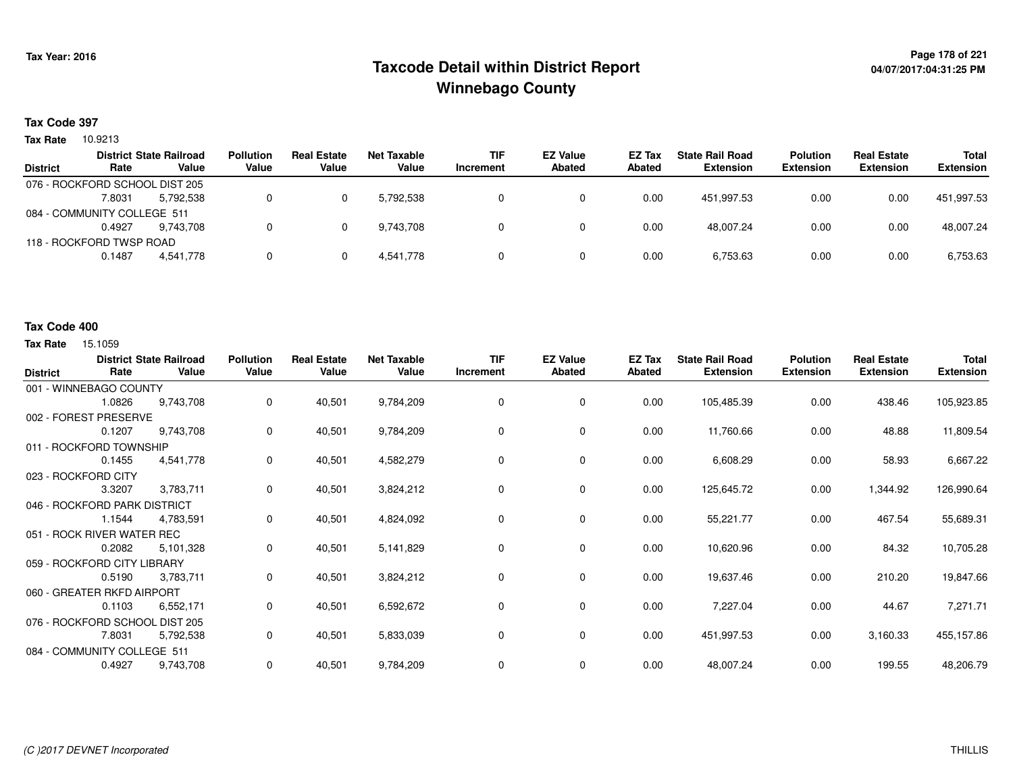## **Page 178 of 221 Taxcode Detail within District ReportWinnebago County**

#### **Tax Code 397**

**Tax Rate** 10.9213

|                 |                                | <b>District State Railroad</b> | <b>Pollution</b> | <b>Real Estate</b> | Net Taxable | <b>TIF</b> | <b>EZ Value</b> | <b>EZ Tax</b> | <b>State Rail Road</b> | Polution         | <b>Real Estate</b> | <b>Total</b>     |
|-----------------|--------------------------------|--------------------------------|------------------|--------------------|-------------|------------|-----------------|---------------|------------------------|------------------|--------------------|------------------|
| <b>District</b> | Rate                           | Value                          | Value            | Value              | Value       | Increment  | <b>Abated</b>   | Abated        | <b>Extension</b>       | <b>Extension</b> | <b>Extension</b>   | <b>Extension</b> |
|                 | 076 - ROCKFORD SCHOOL DIST 205 |                                |                  |                    |             |            |                 |               |                        |                  |                    |                  |
|                 | 7.8031                         | 5.792.538                      |                  |                    | 5.792.538   |            |                 | 0.00          | 451.997.53             | 0.00             | 0.00               | 451,997.53       |
|                 | 084 - COMMUNITY COLLEGE 511    |                                |                  |                    |             |            |                 |               |                        |                  |                    |                  |
|                 | 0.4927                         | 9.743.708                      |                  |                    | 9.743.708   |            |                 | 0.00          | 48.007.24              | 0.00             | 0.00               | 48.007.24        |
|                 | 118 - ROCKFORD TWSP ROAD       |                                |                  |                    |             |            |                 |               |                        |                  |                    |                  |
|                 | 0.1487                         | 4.541.778                      |                  |                    | 4,541,778   |            |                 | 0.00          | 6,753.63               | 0.00             | 0.00               | 6,753.63         |
|                 |                                |                                |                  |                    |             |            |                 |               |                        |                  |                    |                  |

#### **Tax Code 400**

| <b>District</b>     | Rate                           | <b>District State Railroad</b><br>Value | <b>Pollution</b><br>Value | <b>Real Estate</b><br>Value | <b>Net Taxable</b><br>Value | <b>TIF</b><br>Increment | <b>EZ Value</b><br><b>Abated</b> | EZ Tax<br><b>Abated</b> | <b>State Rail Road</b><br><b>Extension</b> | <b>Polution</b><br><b>Extension</b> | <b>Real Estate</b><br><b>Extension</b> | <b>Total</b><br><b>Extension</b> |
|---------------------|--------------------------------|-----------------------------------------|---------------------------|-----------------------------|-----------------------------|-------------------------|----------------------------------|-------------------------|--------------------------------------------|-------------------------------------|----------------------------------------|----------------------------------|
|                     | 001 - WINNEBAGO COUNTY         |                                         |                           |                             |                             |                         |                                  |                         |                                            |                                     |                                        |                                  |
|                     | 1.0826                         | 9,743,708                               | 0                         | 40,501                      | 9,784,209                   | 0                       | 0                                | 0.00                    | 105,485.39                                 | 0.00                                | 438.46                                 | 105,923.85                       |
|                     | 002 - FOREST PRESERVE          |                                         |                           |                             |                             |                         |                                  |                         |                                            |                                     |                                        |                                  |
|                     | 0.1207                         | 9,743,708                               | 0                         | 40,501                      | 9,784,209                   | 0                       | 0                                | 0.00                    | 11,760.66                                  | 0.00                                | 48.88                                  | 11,809.54                        |
|                     | 011 - ROCKFORD TOWNSHIP        |                                         |                           |                             |                             |                         |                                  |                         |                                            |                                     |                                        |                                  |
|                     | 0.1455                         | 4,541,778                               | 0                         | 40,501                      | 4,582,279                   | 0                       | $\mathbf 0$                      | 0.00                    | 6,608.29                                   | 0.00                                | 58.93                                  | 6,667.22                         |
| 023 - ROCKFORD CITY |                                |                                         |                           |                             |                             |                         |                                  |                         |                                            |                                     |                                        |                                  |
|                     | 3.3207                         | 3,783,711                               | 0                         | 40,501                      | 3,824,212                   | 0                       | 0                                | 0.00                    | 125,645.72                                 | 0.00                                | 1,344.92                               | 126,990.64                       |
|                     | 046 - ROCKFORD PARK DISTRICT   |                                         |                           |                             |                             |                         |                                  |                         |                                            |                                     |                                        |                                  |
|                     | 1.1544                         | 4,783,591                               | 0                         | 40,501                      | 4,824,092                   | 0                       | 0                                | 0.00                    | 55,221.77                                  | 0.00                                | 467.54                                 | 55,689.31                        |
|                     | 051 - ROCK RIVER WATER REC     |                                         |                           |                             |                             |                         |                                  |                         |                                            |                                     |                                        |                                  |
|                     | 0.2082                         | 5,101,328                               | 0                         | 40,501                      | 5,141,829                   | 0                       | 0                                | 0.00                    | 10,620.96                                  | 0.00                                | 84.32                                  | 10,705.28                        |
|                     | 059 - ROCKFORD CITY LIBRARY    |                                         |                           |                             |                             |                         |                                  |                         |                                            |                                     |                                        |                                  |
|                     | 0.5190                         | 3,783,711                               | 0                         | 40,501                      | 3,824,212                   | 0                       | 0                                | 0.00                    | 19,637.46                                  | 0.00                                | 210.20                                 | 19,847.66                        |
|                     | 060 - GREATER RKFD AIRPORT     |                                         |                           |                             |                             |                         |                                  |                         |                                            |                                     |                                        |                                  |
|                     | 0.1103                         | 6,552,171                               | 0                         | 40,501                      | 6,592,672                   | 0                       | $\mathbf 0$                      | 0.00                    | 7,227.04                                   | 0.00                                | 44.67                                  | 7,271.71                         |
|                     | 076 - ROCKFORD SCHOOL DIST 205 |                                         |                           |                             |                             |                         |                                  |                         |                                            |                                     |                                        |                                  |
|                     | 7.8031                         | 5,792,538                               | 0                         | 40,501                      | 5,833,039                   | 0                       | 0                                | 0.00                    | 451,997.53                                 | 0.00                                | 3,160.33                               | 455,157.86                       |
|                     | 084 - COMMUNITY COLLEGE 511    |                                         |                           |                             |                             |                         |                                  |                         |                                            |                                     |                                        |                                  |
|                     | 0.4927                         | 9,743,708                               | 0                         | 40,501                      | 9,784,209                   | 0                       | 0                                | 0.00                    | 48,007.24                                  | 0.00                                | 199.55                                 | 48,206.79                        |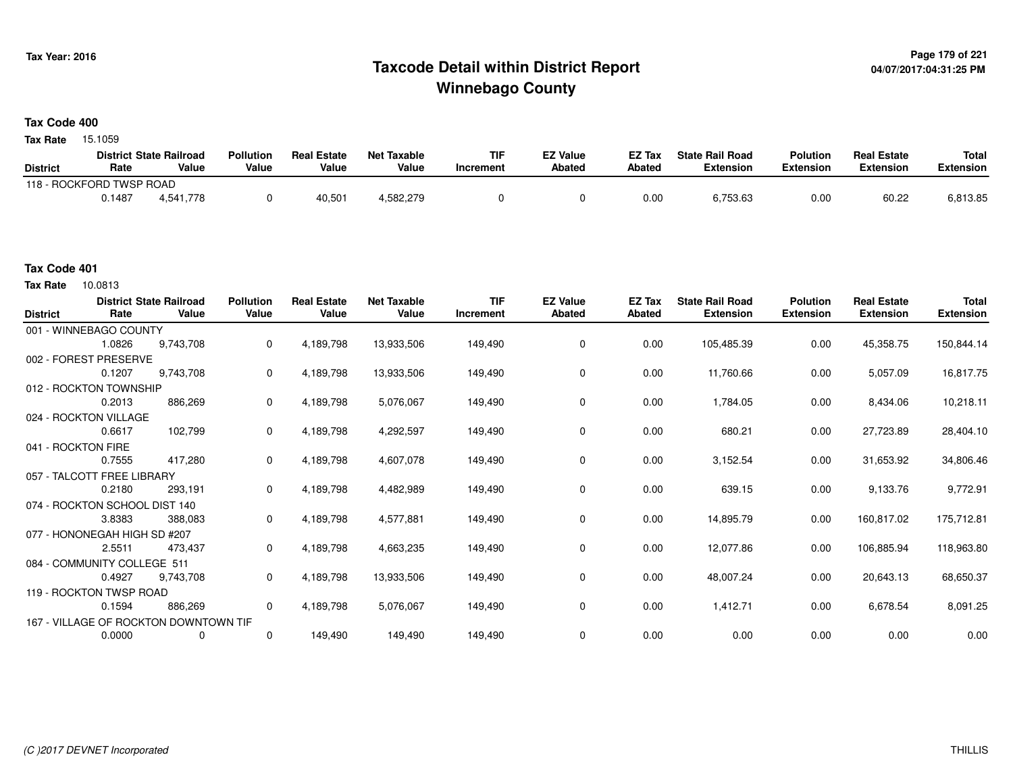## **Page 179 of 221 Taxcode Detail within District ReportWinnebago County**

#### **Tax Code 400**

15.1059 **Tax Rate**

|                          |        | <b>District State Railroad</b> | <b>Pollution</b> | <b>Real Estate</b> | <b>Net Taxable</b> | TIF       | EZ Value      | EZ Tax | <b>State Rail Road</b> | <b>Polution</b> | <b>Real Estate</b> | <b>Total</b> |
|--------------------------|--------|--------------------------------|------------------|--------------------|--------------------|-----------|---------------|--------|------------------------|-----------------|--------------------|--------------|
| <b>District</b>          | Rate   | Value                          | Value            | Value              | Value              | Increment | <b>Abated</b> | Abated | Extension              | Extension       | Extension          | Extension    |
| 118 - ROCKFORD TWSP ROAD |        |                                |                  |                    |                    |           |               |        |                        |                 |                    |              |
|                          | Ა.1487 | 4.541.778                      |                  | 40,501             | 582,279.           |           |               | 0.00   | 6,753.63               | 0.00            | 60.22              | 6,813.85     |

#### **Tax Code 401**

| <b>District</b>    | Rate                          | <b>District State Railroad</b><br>Value | <b>Pollution</b><br>Value | <b>Real Estate</b><br>Value | <b>Net Taxable</b><br>Value | <b>TIF</b><br>Increment | <b>EZ Value</b><br>Abated | <b>EZ Tax</b><br>Abated | <b>State Rail Road</b><br><b>Extension</b> | <b>Polution</b><br><b>Extension</b> | <b>Real Estate</b><br><b>Extension</b> | <b>Total</b><br><b>Extension</b> |
|--------------------|-------------------------------|-----------------------------------------|---------------------------|-----------------------------|-----------------------------|-------------------------|---------------------------|-------------------------|--------------------------------------------|-------------------------------------|----------------------------------------|----------------------------------|
|                    | 001 - WINNEBAGO COUNTY        |                                         |                           |                             |                             |                         |                           |                         |                                            |                                     |                                        |                                  |
|                    | 1.0826                        | 9,743,708                               | 0                         | 4,189,798                   | 13,933,506                  | 149,490                 | 0                         | 0.00                    | 105,485.39                                 | 0.00                                | 45,358.75                              | 150,844.14                       |
|                    | 002 - FOREST PRESERVE         |                                         |                           |                             |                             |                         |                           |                         |                                            |                                     |                                        |                                  |
|                    | 0.1207                        | 9,743,708                               | 0                         | 4,189,798                   | 13,933,506                  | 149,490                 | 0                         | 0.00                    | 11,760.66                                  | 0.00                                | 5,057.09                               | 16,817.75                        |
|                    | 012 - ROCKTON TOWNSHIP        |                                         |                           |                             |                             |                         |                           |                         |                                            |                                     |                                        |                                  |
|                    | 0.2013                        | 886,269                                 | 0                         | 4,189,798                   | 5,076,067                   | 149,490                 | 0                         | 0.00                    | 1,784.05                                   | 0.00                                | 8,434.06                               | 10,218.11                        |
|                    | 024 - ROCKTON VILLAGE         |                                         |                           |                             |                             |                         |                           |                         |                                            |                                     |                                        |                                  |
|                    | 0.6617                        | 102,799                                 | 0                         | 4,189,798                   | 4,292,597                   | 149,490                 | 0                         | 0.00                    | 680.21                                     | 0.00                                | 27,723.89                              | 28,404.10                        |
| 041 - ROCKTON FIRE |                               |                                         |                           |                             |                             |                         |                           |                         |                                            |                                     |                                        |                                  |
|                    | 0.7555                        | 417,280                                 | 0                         | 4,189,798                   | 4,607,078                   | 149,490                 | 0                         | 0.00                    | 3,152.54                                   | 0.00                                | 31,653.92                              | 34,806.46                        |
|                    | 057 - TALCOTT FREE LIBRARY    |                                         |                           |                             |                             |                         |                           |                         |                                            |                                     |                                        |                                  |
|                    | 0.2180                        | 293,191                                 | 0                         | 4,189,798                   | 4,482,989                   | 149,490                 | 0                         | 0.00                    | 639.15                                     | 0.00                                | 9,133.76                               | 9,772.91                         |
|                    | 074 - ROCKTON SCHOOL DIST 140 |                                         |                           |                             |                             |                         |                           |                         |                                            |                                     |                                        |                                  |
|                    | 3.8383                        | 388,083                                 | 0                         | 4,189,798                   | 4,577,881                   | 149,490                 | 0                         | 0.00                    | 14,895.79                                  | 0.00                                | 160,817.02                             | 175,712.81                       |
|                    | 077 - HONONEGAH HIGH SD #207  |                                         |                           |                             |                             |                         |                           |                         |                                            |                                     |                                        |                                  |
|                    | 2.5511                        | 473,437                                 | 0                         | 4,189,798                   | 4,663,235                   | 149,490                 | 0                         | 0.00                    | 12,077.86                                  | 0.00                                | 106,885.94                             | 118,963.80                       |
|                    | 084 - COMMUNITY COLLEGE 511   |                                         |                           |                             |                             |                         |                           |                         |                                            |                                     |                                        |                                  |
|                    | 0.4927                        | 9,743,708                               | 0                         | 4,189,798                   | 13,933,506                  | 149,490                 | 0                         | 0.00                    | 48,007.24                                  | 0.00                                | 20,643.13                              | 68,650.37                        |
|                    | 119 - ROCKTON TWSP ROAD       |                                         |                           |                             |                             |                         |                           |                         |                                            |                                     |                                        |                                  |
|                    | 0.1594                        | 886,269                                 | $\mathbf 0$               | 4,189,798                   | 5,076,067                   | 149,490                 | 0                         | 0.00                    | 1,412.71                                   | 0.00                                | 6,678.54                               | 8,091.25                         |
|                    |                               | 167 - VILLAGE OF ROCKTON DOWNTOWN TIF   |                           |                             |                             |                         |                           |                         |                                            |                                     |                                        |                                  |
|                    | 0.0000                        | 0                                       | $\mathbf 0$               | 149,490                     | 149,490                     | 149,490                 | $\mathbf 0$               | 0.00                    | 0.00                                       | 0.00                                | 0.00                                   | 0.00                             |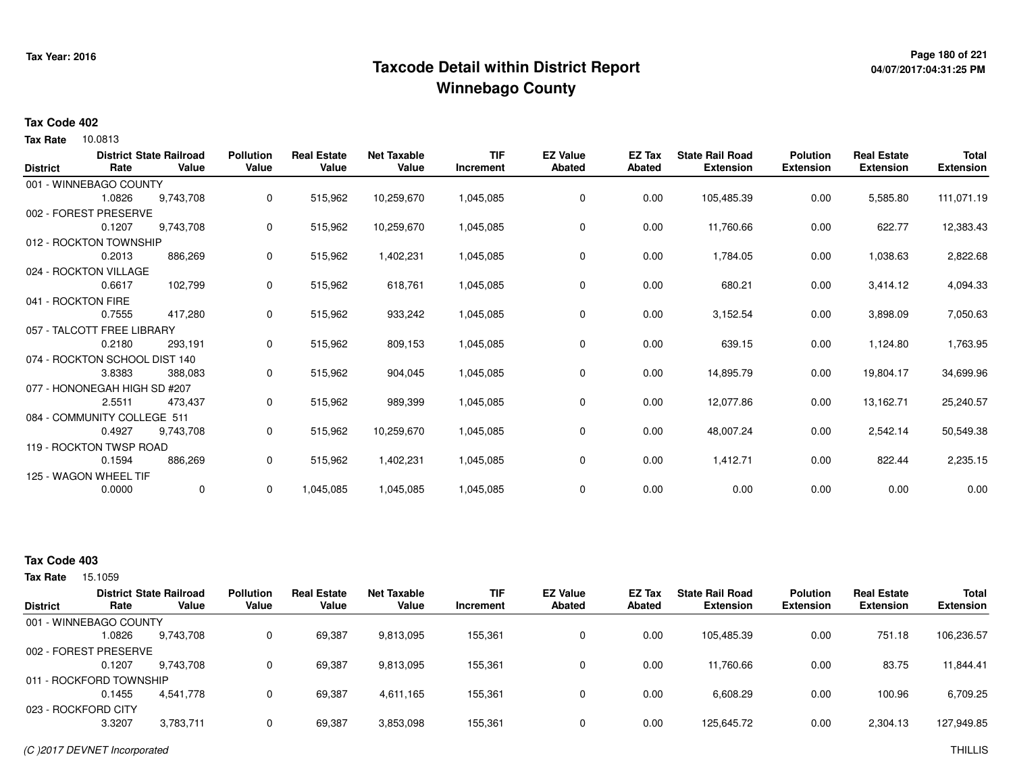## **Page 180 of 221 Taxcode Detail within District ReportWinnebago County**

# **04/07/2017:04:31:25 PM**

#### **Tax Code 402**

**Tax Rate** 10.0813

| <b>District</b>    | Rate                          | <b>District State Railroad</b><br>Value | <b>Pollution</b><br>Value | <b>Real Estate</b><br>Value | <b>Net Taxable</b><br>Value | TIF<br>Increment | <b>EZ Value</b><br><b>Abated</b> | EZ Tax<br><b>Abated</b> | <b>State Rail Road</b><br><b>Extension</b> | <b>Polution</b><br><b>Extension</b> | <b>Real Estate</b><br><b>Extension</b> | <b>Total</b><br><b>Extension</b> |
|--------------------|-------------------------------|-----------------------------------------|---------------------------|-----------------------------|-----------------------------|------------------|----------------------------------|-------------------------|--------------------------------------------|-------------------------------------|----------------------------------------|----------------------------------|
|                    | 001 - WINNEBAGO COUNTY        |                                         |                           |                             |                             |                  |                                  |                         |                                            |                                     |                                        |                                  |
|                    | 1.0826                        | 9,743,708                               | 0                         | 515,962                     | 10,259,670                  | 1,045,085        | 0                                | 0.00                    | 105,485.39                                 | 0.00                                | 5,585.80                               | 111,071.19                       |
|                    | 002 - FOREST PRESERVE         |                                         |                           |                             |                             |                  |                                  |                         |                                            |                                     |                                        |                                  |
|                    | 0.1207                        | 9,743,708                               | 0                         | 515,962                     | 10,259,670                  | 1,045,085        | 0                                | 0.00                    | 11,760.66                                  | 0.00                                | 622.77                                 | 12,383.43                        |
|                    | 012 - ROCKTON TOWNSHIP        |                                         |                           |                             |                             |                  |                                  |                         |                                            |                                     |                                        |                                  |
|                    | 0.2013                        | 886,269                                 | 0                         | 515,962                     | 1,402,231                   | 1,045,085        | 0                                | 0.00                    | 1,784.05                                   | 0.00                                | 1,038.63                               | 2,822.68                         |
|                    | 024 - ROCKTON VILLAGE         |                                         |                           |                             |                             |                  |                                  |                         |                                            |                                     |                                        |                                  |
|                    | 0.6617                        | 102,799                                 | 0                         | 515,962                     | 618,761                     | 1,045,085        | 0                                | 0.00                    | 680.21                                     | 0.00                                | 3,414.12                               | 4,094.33                         |
| 041 - ROCKTON FIRE |                               |                                         |                           |                             |                             |                  |                                  |                         |                                            |                                     |                                        |                                  |
|                    | 0.7555                        | 417,280                                 | 0                         | 515,962                     | 933,242                     | 1,045,085        | $\mathbf 0$                      | 0.00                    | 3,152.54                                   | 0.00                                | 3,898.09                               | 7,050.63                         |
|                    | 057 - TALCOTT FREE LIBRARY    |                                         |                           |                             |                             |                  |                                  |                         |                                            |                                     |                                        |                                  |
|                    | 0.2180                        | 293,191                                 | 0                         | 515,962                     | 809,153                     | 1,045,085        | 0                                | 0.00                    | 639.15                                     | 0.00                                | 1,124.80                               | 1,763.95                         |
|                    | 074 - ROCKTON SCHOOL DIST 140 |                                         |                           |                             |                             |                  |                                  |                         |                                            |                                     |                                        |                                  |
|                    | 3.8383                        | 388,083                                 | 0                         | 515,962                     | 904,045                     | 1,045,085        | 0                                | 0.00                    | 14,895.79                                  | 0.00                                | 19,804.17                              | 34,699.96                        |
|                    | 077 - HONONEGAH HIGH SD #207  |                                         |                           |                             |                             |                  |                                  |                         |                                            |                                     |                                        |                                  |
|                    | 2.5511                        | 473,437                                 | 0                         | 515,962                     | 989,399                     | 1,045,085        | 0                                | 0.00                    | 12,077.86                                  | 0.00                                | 13,162.71                              | 25,240.57                        |
|                    | 084 - COMMUNITY COLLEGE 511   |                                         |                           |                             |                             |                  |                                  |                         |                                            |                                     |                                        |                                  |
|                    | 0.4927                        | 9,743,708                               | 0                         | 515,962                     | 10,259,670                  | 1,045,085        | $\mathbf 0$                      | 0.00                    | 48,007.24                                  | 0.00                                | 2,542.14                               | 50,549.38                        |
|                    | 119 - ROCKTON TWSP ROAD       |                                         |                           |                             |                             |                  |                                  |                         |                                            |                                     |                                        |                                  |
|                    | 0.1594                        | 886,269                                 | 0                         | 515,962                     | 1,402,231                   | 1,045,085        | 0                                | 0.00                    | 1,412.71                                   | 0.00                                | 822.44                                 | 2,235.15                         |
|                    | 125 - WAGON WHEEL TIF         |                                         |                           |                             |                             |                  |                                  |                         |                                            |                                     |                                        |                                  |
|                    | 0.0000                        | $\mathbf{0}$                            | 0                         | 1,045,085                   | 1,045,085                   | 1,045,085        | 0                                | 0.00                    | 0.00                                       | 0.00                                | 0.00                                   | 0.00                             |

### **Tax Code 403**

15.1059 **Tax Rate**

|                         |        | <b>District State Railroad</b> | <b>Pollution</b> | <b>Real Estate</b> | Net Taxable | <b>TIF</b> | <b>EZ Value</b> | <b>EZ Tax</b> | <b>State Rail Road</b> | <b>Polution</b>  | <b>Real Estate</b> | <b>Total</b>     |
|-------------------------|--------|--------------------------------|------------------|--------------------|-------------|------------|-----------------|---------------|------------------------|------------------|--------------------|------------------|
| <b>District</b>         | Rate   | Value                          | Value            | Value              | Value       | Increment  | <b>Abated</b>   | Abated        | <b>Extension</b>       | <b>Extension</b> | <b>Extension</b>   | <b>Extension</b> |
| 001 - WINNEBAGO COUNTY  |        |                                |                  |                    |             |            |                 |               |                        |                  |                    |                  |
|                         | 1.0826 | 9,743,708                      |                  | 69,387             | 9,813,095   | 155,361    | 0               | 0.00          | 105,485.39             | 0.00             | 751.18             | 106,236.57       |
| 002 - FOREST PRESERVE   |        |                                |                  |                    |             |            |                 |               |                        |                  |                    |                  |
|                         | 0.1207 | 9.743.708                      |                  | 69,387             | 9,813,095   | 155,361    |                 | 0.00          | 11,760.66              | 0.00             | 83.75              | 11,844.41        |
| 011 - ROCKFORD TOWNSHIP |        |                                |                  |                    |             |            |                 |               |                        |                  |                    |                  |
|                         | 0.1455 | 4,541,778                      |                  | 69,387             | 4,611,165   | 155,361    |                 | 0.00          | 6,608.29               | 0.00             | 100.96             | 6,709.25         |
| 023 - ROCKFORD CITY     |        |                                |                  |                    |             |            |                 |               |                        |                  |                    |                  |
|                         | 3.3207 | 3,783,711                      |                  | 69,387             | 3,853,098   | 155,361    | $\Omega$        | 0.00          | 125,645.72             | 0.00             | 2,304.13           | 127,949.85       |
|                         |        |                                |                  |                    |             |            |                 |               |                        |                  |                    |                  |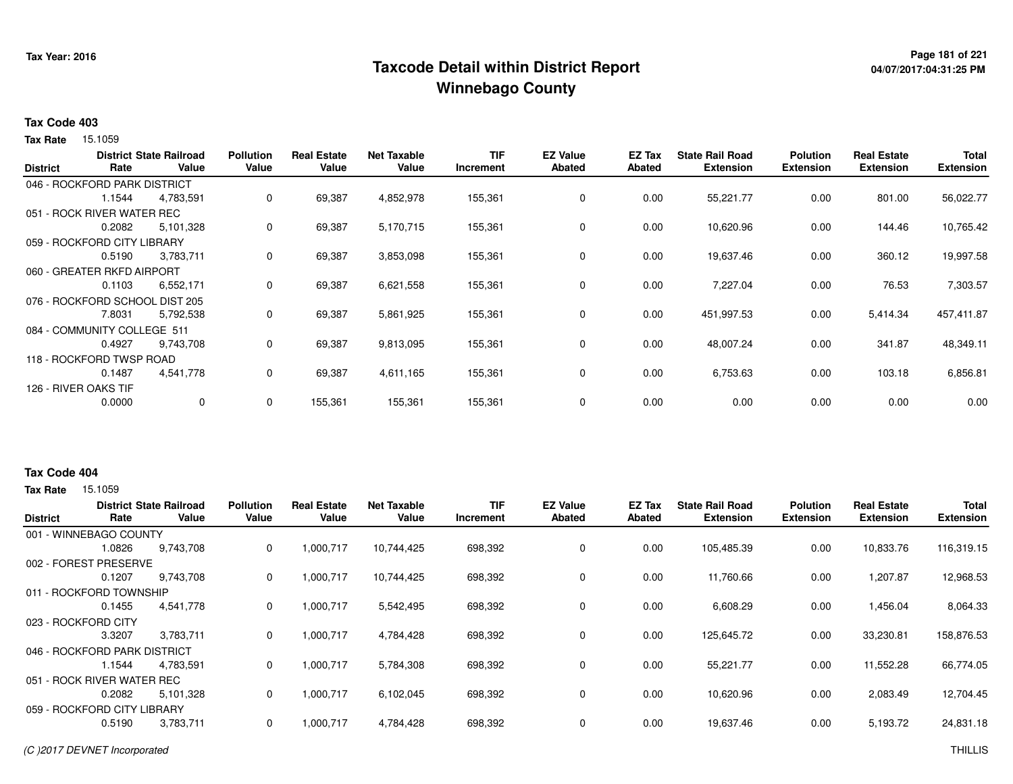### **Page 181 of 221 Taxcode Detail within District ReportWinnebago County**

# **04/07/2017:04:31:25 PM**

#### **Tax Code 403**

**Tax Rate** 15.1059

| <b>District</b> | Rate                           | <b>District State Railroad</b><br>Value | <b>Pollution</b><br>Value | <b>Real Estate</b><br>Value | <b>Net Taxable</b><br>Value | <b>TIF</b><br>Increment | <b>EZ Value</b><br><b>Abated</b> | EZ Tax<br><b>Abated</b> | <b>State Rail Road</b><br><b>Extension</b> | <b>Polution</b><br><b>Extension</b> | <b>Real Estate</b><br><b>Extension</b> | <b>Total</b><br><b>Extension</b> |
|-----------------|--------------------------------|-----------------------------------------|---------------------------|-----------------------------|-----------------------------|-------------------------|----------------------------------|-------------------------|--------------------------------------------|-------------------------------------|----------------------------------------|----------------------------------|
|                 |                                |                                         |                           |                             |                             |                         |                                  |                         |                                            |                                     |                                        |                                  |
|                 | 046 - ROCKFORD PARK DISTRICT   |                                         |                           |                             |                             |                         |                                  |                         |                                            |                                     |                                        |                                  |
|                 | 1.1544                         | 4,783,591                               | 0                         | 69,387                      | 4,852,978                   | 155,361                 | 0                                | 0.00                    | 55,221.77                                  | 0.00                                | 801.00                                 | 56,022.77                        |
|                 | 051 - ROCK RIVER WATER REC     |                                         |                           |                             |                             |                         |                                  |                         |                                            |                                     |                                        |                                  |
|                 | 0.2082                         | 5,101,328                               | 0                         | 69,387                      | 5,170,715                   | 155,361                 | 0                                | 0.00                    | 10,620.96                                  | 0.00                                | 144.46                                 | 10,765.42                        |
|                 | 059 - ROCKFORD CITY LIBRARY    |                                         |                           |                             |                             |                         |                                  |                         |                                            |                                     |                                        |                                  |
|                 | 0.5190                         | 3,783,711                               | 0                         | 69,387                      | 3,853,098                   | 155,361                 | $\mathbf 0$                      | 0.00                    | 19,637.46                                  | 0.00                                | 360.12                                 | 19,997.58                        |
|                 | 060 - GREATER RKFD AIRPORT     |                                         |                           |                             |                             |                         |                                  |                         |                                            |                                     |                                        |                                  |
|                 | 0.1103                         | 6,552,171                               | 0                         | 69,387                      | 6,621,558                   | 155,361                 | 0                                | 0.00                    | 7,227.04                                   | 0.00                                | 76.53                                  | 7,303.57                         |
|                 | 076 - ROCKFORD SCHOOL DIST 205 |                                         |                           |                             |                             |                         |                                  |                         |                                            |                                     |                                        |                                  |
|                 | 7.8031                         | 5,792,538                               | 0                         | 69,387                      | 5,861,925                   | 155,361                 | 0                                | 0.00                    | 451,997.53                                 | 0.00                                | 5,414.34                               | 457,411.87                       |
|                 | 084 - COMMUNITY COLLEGE 511    |                                         |                           |                             |                             |                         |                                  |                         |                                            |                                     |                                        |                                  |
|                 | 0.4927                         | 9,743,708                               | 0                         | 69,387                      | 9,813,095                   | 155,361                 | 0                                | 0.00                    | 48,007.24                                  | 0.00                                | 341.87                                 | 48,349.11                        |
|                 | 118 - ROCKFORD TWSP ROAD       |                                         |                           |                             |                             |                         |                                  |                         |                                            |                                     |                                        |                                  |
|                 | 0.1487                         | 4,541,778                               | 0                         | 69,387                      | 4,611,165                   | 155,361                 | 0                                | 0.00                    | 6,753.63                                   | 0.00                                | 103.18                                 | 6,856.81                         |
|                 | 126 - RIVER OAKS TIF           |                                         |                           |                             |                             |                         |                                  |                         |                                            |                                     |                                        |                                  |
|                 | 0.0000                         | $\mathbf 0$                             | 0                         | 155,361                     | 155,361                     | 155,361                 | $\mathbf 0$                      | 0.00                    | 0.00                                       | 0.00                                | 0.00                                   | 0.00                             |
|                 |                                |                                         |                           |                             |                             |                         |                                  |                         |                                            |                                     |                                        |                                  |

#### **Tax Code 404**

**State Railroad District ValueTIF IncrementEZ Value AbatedReal Estate ExtensionTotal ExtensionTax Rate** 15.1059 **DistrictPollution ValueReal Estate ValueNet Taxable Value Rate** 001 - WINNEBAGO COUNTY**Polution ExtensionState Rail Road ExtensionEZ Tax Abated**10,833.76 116,319.159,743,708 1.0826 9,743,708 <sup>0</sup> 1,000,717 10,744,425 698,392 <sup>0</sup> 0.00 105,485.39 0.00 1,207.87 12,968.53002 - FOREST PRESERVE0.1207 9,743,708 <sup>0</sup> 1,000,717 10,744,425 698,392 <sup>0</sup> 0.00 11,760.66 0.00 1,456.04 8,064.33011 - ROCKFORD TOWNSHIP4,541,778 0.1455 4,541,778 <sup>0</sup> 1,000,717 5,542,495 698,392 <sup>0</sup> 0.00 6,608.29 0.00 33,230.81 158,876.53023 - ROCKFORD CITY 3.3207 3,783,711 <sup>0</sup> 1,000,717 4,784,428 698,392 <sup>0</sup> 0.00 125,645.72 0.00 11,552.28 66,774.05046 - ROCKFORD PARK DISTRICT4,783,591 1.1544 4,783,591 <sup>0</sup> 1,000,717 5,784,308 698,392 <sup>0</sup> 0.00 55,221.77 0.00 2,083.49 12,704.45051 - ROCK RIVER WATER REC5,101,328 0.2082 5,101,328 <sup>0</sup> 1,000,717 6,102,045 698,392 <sup>0</sup> 0.00 10,620.96 0.00 5,193.72 24,831.18059 - ROCKFORD CITY LIBRARY3,783,711 0.51903,783,711 <sup>0</sup> 1,000,717 4,784,428 698,392 <sup>0</sup> 0.00 19,637.46 0.00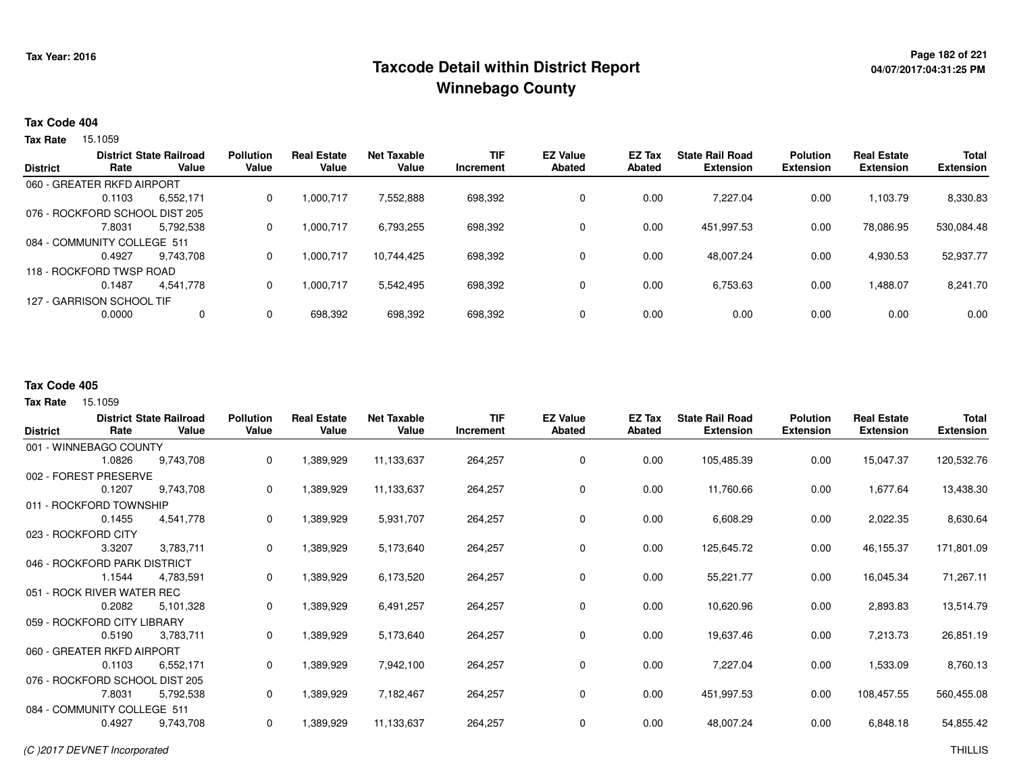# **Page 182 of 221 Taxcode Detail within District ReportWinnebago County**

### **Tax Code 404**

**Tax Rate** 15.1059

|                 |                                | <b>District State Railroad</b> | <b>Pollution</b> | <b>Real Estate</b> | Net Taxable | <b>TIF</b> | <b>EZ Value</b> | EZ Tax | <b>State Rail Road</b> | <b>Polution</b>  | <b>Real Estate</b> | <b>Total</b>     |
|-----------------|--------------------------------|--------------------------------|------------------|--------------------|-------------|------------|-----------------|--------|------------------------|------------------|--------------------|------------------|
| <b>District</b> | Rate                           | Value                          | Value            | Value              | Value       | Increment  | <b>Abated</b>   | Abated | <b>Extension</b>       | <b>Extension</b> | <b>Extension</b>   | <b>Extension</b> |
|                 | 060 - GREATER RKFD AIRPORT     |                                |                  |                    |             |            |                 |        |                        |                  |                    |                  |
|                 | 0.1103                         | 6,552,171                      | 0                | 1,000,717          | 7.552.888   | 698,392    | 0               | 0.00   | 7.227.04               | 0.00             | 1,103.79           | 8,330.83         |
|                 | 076 - ROCKFORD SCHOOL DIST 205 |                                |                  |                    |             |            |                 |        |                        |                  |                    |                  |
|                 | 7.8031                         | 5,792,538                      | 0                | 1.000.717          | 6,793,255   | 698,392    | 0               | 0.00   | 451.997.53             | 0.00             | 78,086.95          | 530,084.48       |
|                 | 084 - COMMUNITY COLLEGE 511    |                                |                  |                    |             |            |                 |        |                        |                  |                    |                  |
|                 | 0.4927                         | 9.743.708                      | 0                | 1,000,717          | 10.744.425  | 698,392    | 0               | 0.00   | 48,007.24              | 0.00             | 4,930.53           | 52,937.77        |
|                 | 118 - ROCKFORD TWSP ROAD       |                                |                  |                    |             |            |                 |        |                        |                  |                    |                  |
|                 | 0.1487                         | 4.541.778                      | 0                | 1,000,717          | 5,542,495   | 698,392    | 0               | 0.00   | 6,753.63               | 0.00             | 1,488.07           | 8,241.70         |
|                 | 127 - GARRISON SCHOOL TIF      |                                |                  |                    |             |            |                 |        |                        |                  |                    |                  |
|                 | 0.0000                         | 0                              | 0                | 698,392            | 698,392     | 698,392    | 0               | 0.00   | 0.00                   | 0.00             | 0.00               | 0.00             |
|                 |                                |                                |                  |                    |             |            |                 |        |                        |                  |                    |                  |

#### **Tax Code 405**

| <b>District</b> | Rate                           | <b>District State Railroad</b><br>Value | <b>Pollution</b><br>Value | <b>Real Estate</b><br>Value | <b>Net Taxable</b><br>Value | <b>TIF</b><br>Increment | <b>EZ Value</b><br>Abated | EZ Tax<br>Abated | <b>State Rail Road</b><br><b>Extension</b> | <b>Polution</b><br><b>Extension</b> | <b>Real Estate</b><br><b>Extension</b> | <b>Total</b><br><b>Extension</b> |
|-----------------|--------------------------------|-----------------------------------------|---------------------------|-----------------------------|-----------------------------|-------------------------|---------------------------|------------------|--------------------------------------------|-------------------------------------|----------------------------------------|----------------------------------|
|                 | 001 - WINNEBAGO COUNTY         |                                         |                           |                             |                             |                         |                           |                  |                                            |                                     |                                        |                                  |
|                 | 1.0826                         | 9,743,708                               | 0                         | 1,389,929                   | 11,133,637                  | 264,257                 | 0                         | 0.00             | 105,485.39                                 | 0.00                                | 15,047.37                              | 120,532.76                       |
|                 | 002 - FOREST PRESERVE          |                                         |                           |                             |                             |                         |                           |                  |                                            |                                     |                                        |                                  |
|                 | 0.1207                         | 9,743,708                               | 0                         | 1,389,929                   | 11,133,637                  | 264,257                 | 0                         | 0.00             | 11,760.66                                  | 0.00                                | 1,677.64                               | 13,438.30                        |
|                 | 011 - ROCKFORD TOWNSHIP        |                                         |                           |                             |                             |                         |                           |                  |                                            |                                     |                                        |                                  |
|                 | 0.1455                         | 4,541,778                               | 0                         | 1,389,929                   | 5,931,707                   | 264,257                 | $\mathbf 0$               | 0.00             | 6,608.29                                   | 0.00                                | 2,022.35                               | 8,630.64                         |
|                 | 023 - ROCKFORD CITY            |                                         |                           |                             |                             |                         |                           |                  |                                            |                                     |                                        |                                  |
|                 | 3.3207                         | 3,783,711                               | 0                         | 1,389,929                   | 5,173,640                   | 264,257                 | 0                         | 0.00             | 125,645.72                                 | 0.00                                | 46,155.37                              | 171,801.09                       |
|                 | 046 - ROCKFORD PARK DISTRICT   |                                         |                           |                             |                             |                         |                           |                  |                                            |                                     |                                        |                                  |
|                 | 1.1544                         | 4,783,591                               | 0                         | 1,389,929                   | 6,173,520                   | 264,257                 | 0                         | 0.00             | 55,221.77                                  | 0.00                                | 16,045.34                              | 71,267.11                        |
|                 | 051 - ROCK RIVER WATER REC     |                                         |                           |                             |                             |                         |                           |                  |                                            |                                     |                                        |                                  |
|                 | 0.2082                         | 5,101,328                               | 0                         | 1,389,929                   | 6,491,257                   | 264,257                 | 0                         | 0.00             | 10,620.96                                  | 0.00                                | 2,893.83                               | 13,514.79                        |
|                 | 059 - ROCKFORD CITY LIBRARY    |                                         |                           |                             |                             |                         |                           |                  |                                            |                                     |                                        |                                  |
|                 | 0.5190                         | 3,783,711                               | 0                         | 1,389,929                   | 5,173,640                   | 264,257                 | 0                         | 0.00             | 19,637.46                                  | 0.00                                | 7,213.73                               | 26,851.19                        |
|                 | 060 - GREATER RKFD AIRPORT     |                                         |                           |                             |                             |                         |                           |                  |                                            |                                     |                                        |                                  |
|                 | 0.1103                         | 6,552,171                               | 0                         | 1,389,929                   | 7,942,100                   | 264,257                 | $\mathbf 0$               | 0.00             | 7,227.04                                   | 0.00                                | 1,533.09                               | 8,760.13                         |
|                 | 076 - ROCKFORD SCHOOL DIST 205 |                                         |                           |                             |                             |                         |                           |                  |                                            |                                     |                                        |                                  |
|                 | 7.8031                         | 5,792,538                               | 0                         | 1,389,929                   | 7,182,467                   | 264,257                 | 0                         | 0.00             | 451,997.53                                 | 0.00                                | 108,457.55                             | 560,455.08                       |
|                 | 084 - COMMUNITY COLLEGE 511    |                                         |                           |                             |                             |                         |                           |                  |                                            |                                     |                                        |                                  |
|                 | 0.4927                         | 9,743,708                               | 0                         | 1,389,929                   | 11,133,637                  | 264,257                 | 0                         | 0.00             | 48,007.24                                  | 0.00                                | 6,848.18                               | 54,855.42                        |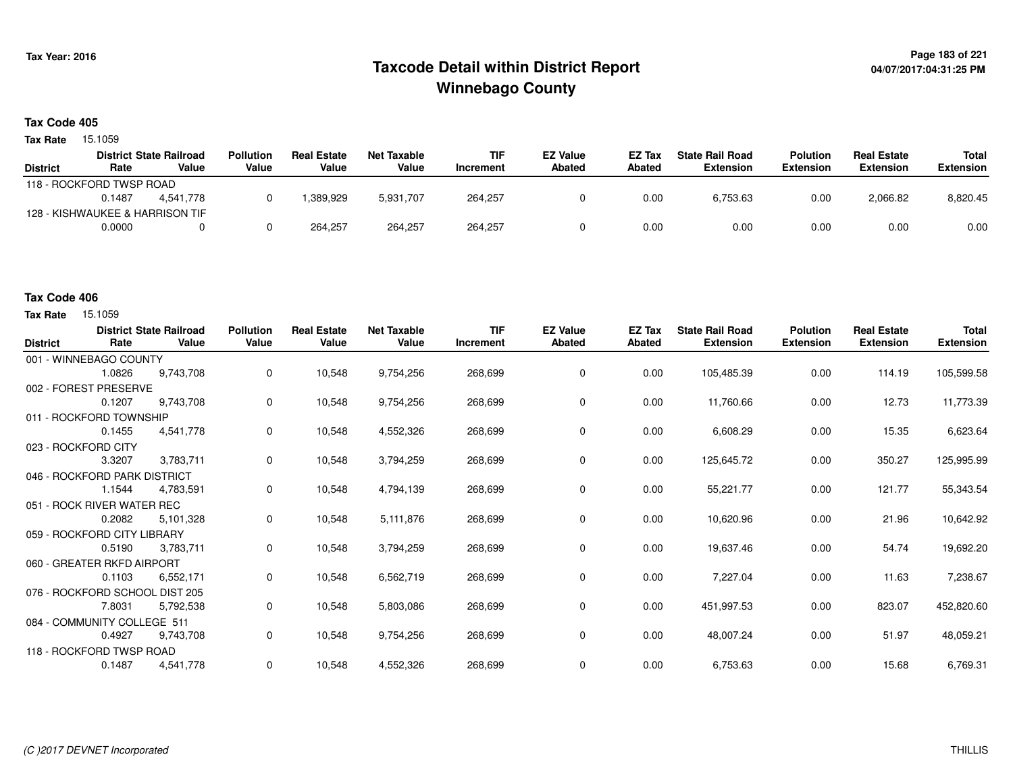# **Page 183 of 221 Taxcode Detail within District ReportWinnebago County**

### **Tax Code 405**

**Tax Rate** 15.1059

|                 |                          | <b>District State Railroad</b>  | Pollution | <b>Real Estate</b> | Net Taxable | <b>TIF</b> | <b>EZ Value</b> | <b>EZ Tax</b> | <b>State Rail Road</b> | <b>Polution</b>  | <b>Real Estate</b> | Total            |
|-----------------|--------------------------|---------------------------------|-----------|--------------------|-------------|------------|-----------------|---------------|------------------------|------------------|--------------------|------------------|
| <b>District</b> | Rate                     | Value                           | Value     | Value              | Value       | Increment  | <b>Abated</b>   | Abated        | <b>Extension</b>       | <b>Extension</b> | <b>Extension</b>   | <b>Extension</b> |
|                 | 118 - ROCKFORD TWSP ROAD |                                 |           |                    |             |            |                 |               |                        |                  |                    |                  |
|                 | 0.1487                   | 4.541.778                       |           | .389.929           | 5,931,707   | 264,257    |                 | 0.00          | 6,753.63               | 0.00             | 2,066.82           | 8,820.45         |
|                 |                          | 128 - KISHWAUKEE & HARRISON TIF |           |                    |             |            |                 |               |                        |                  |                    |                  |
|                 | 0.0000                   |                                 |           | 264.257            | 264,257     | 264,257    |                 | 0.00          | 0.00                   | 0.00             | 0.00               | 0.00             |

### **Tax Code 406**

| <b>District</b> | Rate                           | <b>District State Railroad</b><br>Value | <b>Pollution</b><br>Value | <b>Real Estate</b><br>Value | <b>Net Taxable</b><br>Value | <b>TIF</b><br>Increment | <b>EZ Value</b><br>Abated | EZ Tax<br>Abated | <b>State Rail Road</b><br><b>Extension</b> | <b>Polution</b><br><b>Extension</b> | <b>Real Estate</b><br><b>Extension</b> | <b>Total</b><br><b>Extension</b> |
|-----------------|--------------------------------|-----------------------------------------|---------------------------|-----------------------------|-----------------------------|-------------------------|---------------------------|------------------|--------------------------------------------|-------------------------------------|----------------------------------------|----------------------------------|
|                 | 001 - WINNEBAGO COUNTY         |                                         |                           |                             |                             |                         |                           |                  |                                            |                                     |                                        |                                  |
|                 | 1.0826                         | 9,743,708                               | 0                         | 10,548                      | 9,754,256                   | 268,699                 | 0                         | 0.00             | 105,485.39                                 | 0.00                                | 114.19                                 | 105,599.58                       |
|                 | 002 - FOREST PRESERVE          |                                         |                           |                             |                             |                         |                           |                  |                                            |                                     |                                        |                                  |
|                 | 0.1207                         | 9,743,708                               | 0                         | 10,548                      | 9,754,256                   | 268,699                 | 0                         | 0.00             | 11,760.66                                  | 0.00                                | 12.73                                  | 11,773.39                        |
|                 | 011 - ROCKFORD TOWNSHIP        |                                         |                           |                             |                             |                         |                           |                  |                                            |                                     |                                        |                                  |
|                 | 0.1455                         | 4,541,778                               | 0                         | 10,548                      | 4,552,326                   | 268,699                 | 0                         | 0.00             | 6,608.29                                   | 0.00                                | 15.35                                  | 6,623.64                         |
|                 | 023 - ROCKFORD CITY            |                                         |                           |                             |                             |                         |                           |                  |                                            |                                     |                                        |                                  |
|                 | 3.3207                         | 3,783,711                               | 0                         | 10,548                      | 3,794,259                   | 268,699                 | 0                         | 0.00             | 125,645.72                                 | 0.00                                | 350.27                                 | 125,995.99                       |
|                 | 046 - ROCKFORD PARK DISTRICT   |                                         |                           |                             |                             |                         |                           |                  |                                            |                                     |                                        |                                  |
|                 | 1.1544                         | 4,783,591                               | 0                         | 10,548                      | 4,794,139                   | 268,699                 | 0                         | 0.00             | 55,221.77                                  | 0.00                                | 121.77                                 | 55,343.54                        |
|                 | 051 - ROCK RIVER WATER REC     |                                         |                           |                             |                             |                         |                           |                  |                                            |                                     |                                        |                                  |
|                 | 0.2082                         | 5,101,328                               | 0                         | 10,548                      | 5,111,876                   | 268,699                 | 0                         | 0.00             | 10,620.96                                  | 0.00                                | 21.96                                  | 10,642.92                        |
|                 | 059 - ROCKFORD CITY LIBRARY    |                                         |                           |                             |                             |                         |                           |                  |                                            |                                     |                                        |                                  |
|                 | 0.5190                         | 3,783,711                               | 0                         | 10,548                      | 3,794,259                   | 268,699                 | 0                         | 0.00             | 19,637.46                                  | 0.00                                | 54.74                                  | 19,692.20                        |
|                 | 060 - GREATER RKFD AIRPORT     |                                         |                           |                             |                             |                         |                           |                  |                                            |                                     |                                        |                                  |
|                 | 0.1103                         | 6,552,171                               | 0                         | 10,548                      | 6,562,719                   | 268,699                 | 0                         | 0.00             | 7,227.04                                   | 0.00                                | 11.63                                  | 7,238.67                         |
|                 | 076 - ROCKFORD SCHOOL DIST 205 |                                         |                           |                             |                             |                         |                           |                  |                                            |                                     |                                        |                                  |
|                 | 7.8031                         | 5,792,538                               | 0                         | 10,548                      | 5,803,086                   | 268,699                 | 0                         | 0.00             | 451,997.53                                 | 0.00                                | 823.07                                 | 452,820.60                       |
|                 | 084 - COMMUNITY COLLEGE 511    |                                         |                           |                             |                             |                         |                           |                  |                                            |                                     |                                        |                                  |
|                 | 0.4927                         | 9,743,708                               | 0                         | 10,548                      | 9,754,256                   | 268,699                 | 0                         | 0.00             | 48,007.24                                  | 0.00                                | 51.97                                  | 48,059.21                        |
|                 | 118 - ROCKFORD TWSP ROAD       |                                         |                           |                             |                             |                         |                           |                  |                                            |                                     |                                        |                                  |
|                 | 0.1487                         | 4,541,778                               | 0                         | 10,548                      | 4,552,326                   | 268,699                 | 0                         | 0.00             | 6,753.63                                   | 0.00                                | 15.68                                  | 6,769.31                         |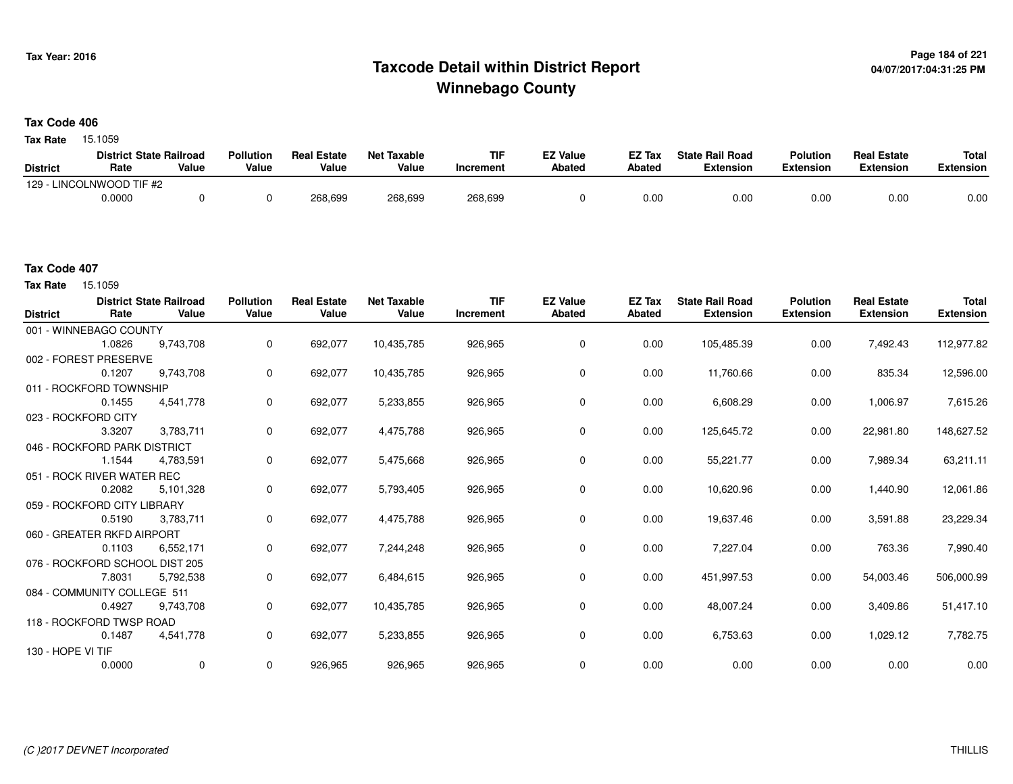# **Page 184 of 221 Taxcode Detail within District ReportWinnebago County**

#### **Tax Code 406**

**Tax Rate** 15.1059

|                 | <b>District State Railroad</b> |       | <b>Pollution</b> | <b>Real Estate</b> | Net Taxable | <b>TIF</b> | <b>EZ Value</b> | <b>EZ Tax</b> | <b>State Rail Road</b> | <b>Polution</b>  | <b>Real Estate</b> | <b>Total</b> |
|-----------------|--------------------------------|-------|------------------|--------------------|-------------|------------|-----------------|---------------|------------------------|------------------|--------------------|--------------|
| <b>District</b> | Rate                           | Value | Value            | Value              | Value       | Increment  | <b>Abated</b>   | Abated        | <b>Extension</b>       | <b>Extension</b> | <b>Extension</b>   | Extension    |
|                 | 129 - LINCOLNWOOD TIF #2       |       |                  |                    |             |            |                 |               |                        |                  |                    |              |
|                 | 0.0000                         |       |                  | 268,699            | 268,699     | 268,699    |                 | 0.00          | 0.00                   | 0.00             | 0.00               | 0.00         |

**Tax Rate** 15.1059

| <b>District</b>   | Rate                           | <b>District State Railroad</b><br>Value | <b>Pollution</b><br>Value | <b>Real Estate</b><br>Value | <b>Net Taxable</b><br>Value | <b>TIF</b><br>Increment | <b>EZ Value</b><br><b>Abated</b> | <b>EZ Tax</b><br>Abated | <b>State Rail Road</b><br><b>Extension</b> | <b>Polution</b><br><b>Extension</b> | <b>Real Estate</b><br><b>Extension</b> | <b>Total</b><br><b>Extension</b> |
|-------------------|--------------------------------|-----------------------------------------|---------------------------|-----------------------------|-----------------------------|-------------------------|----------------------------------|-------------------------|--------------------------------------------|-------------------------------------|----------------------------------------|----------------------------------|
|                   | 001 - WINNEBAGO COUNTY         |                                         |                           |                             |                             |                         |                                  |                         |                                            |                                     |                                        |                                  |
|                   | 1.0826                         | 9,743,708                               | $\mathbf{0}$              | 692,077                     | 10,435,785                  | 926,965                 | 0                                | 0.00                    | 105,485.39                                 | 0.00                                | 7,492.43                               | 112,977.82                       |
|                   | 002 - FOREST PRESERVE          |                                         |                           |                             |                             |                         |                                  |                         |                                            |                                     |                                        |                                  |
|                   | 0.1207                         | 9,743,708                               | 0                         | 692,077                     | 10,435,785                  | 926,965                 | 0                                | 0.00                    | 11,760.66                                  | 0.00                                | 835.34                                 | 12,596.00                        |
|                   | 011 - ROCKFORD TOWNSHIP        |                                         |                           |                             |                             |                         |                                  |                         |                                            |                                     |                                        |                                  |
|                   | 0.1455                         | 4,541,778                               | 0                         | 692,077                     | 5,233,855                   | 926,965                 | 0                                | 0.00                    | 6,608.29                                   | 0.00                                | 1,006.97                               | 7,615.26                         |
|                   | 023 - ROCKFORD CITY            |                                         |                           |                             |                             |                         |                                  |                         |                                            |                                     |                                        |                                  |
|                   | 3.3207                         | 3,783,711                               | 0                         | 692,077                     | 4,475,788                   | 926,965                 | 0                                | 0.00                    | 125,645.72                                 | 0.00                                | 22,981.80                              | 148,627.52                       |
|                   | 046 - ROCKFORD PARK DISTRICT   |                                         |                           |                             |                             |                         |                                  |                         |                                            |                                     |                                        |                                  |
|                   | 1.1544                         | 4,783,591                               | $\mathbf 0$               | 692,077                     | 5,475,668                   | 926,965                 | 0                                | 0.00                    | 55,221.77                                  | 0.00                                | 7,989.34                               | 63,211.11                        |
|                   | 051 - ROCK RIVER WATER REC     |                                         |                           |                             |                             |                         |                                  |                         |                                            |                                     |                                        |                                  |
|                   | 0.2082                         | 5.101.328                               | $\mathbf 0$               | 692,077                     | 5,793,405                   | 926,965                 | 0                                | 0.00                    | 10,620.96                                  | 0.00                                | 1,440.90                               | 12,061.86                        |
|                   | 059 - ROCKFORD CITY LIBRARY    |                                         |                           |                             |                             |                         |                                  |                         |                                            |                                     |                                        |                                  |
|                   | 0.5190                         | 3,783,711                               | $\mathbf 0$               | 692,077                     | 4,475,788                   | 926,965                 | 0                                | 0.00                    | 19,637.46                                  | 0.00                                | 3,591.88                               | 23,229.34                        |
|                   | 060 - GREATER RKFD AIRPORT     |                                         |                           |                             |                             |                         |                                  |                         |                                            |                                     |                                        |                                  |
|                   | 0.1103                         | 6,552,171                               | 0                         | 692,077                     | 7,244,248                   | 926,965                 | 0                                | 0.00                    | 7,227.04                                   | 0.00                                | 763.36                                 | 7,990.40                         |
|                   | 076 - ROCKFORD SCHOOL DIST 205 |                                         |                           |                             |                             |                         |                                  |                         |                                            |                                     |                                        |                                  |
|                   | 7.8031                         | 5,792,538                               | 0                         | 692,077                     | 6,484,615                   | 926,965                 | 0                                | 0.00                    | 451,997.53                                 | 0.00                                | 54,003.46                              | 506,000.99                       |
|                   | 084 - COMMUNITY COLLEGE 511    |                                         |                           |                             |                             |                         |                                  |                         |                                            |                                     |                                        |                                  |
|                   | 0.4927                         | 9,743,708                               | 0                         | 692,077                     | 10,435,785                  | 926,965                 | 0                                | 0.00                    | 48,007.24                                  | 0.00                                | 3,409.86                               | 51,417.10                        |
|                   | 118 - ROCKFORD TWSP ROAD       |                                         |                           |                             |                             |                         |                                  |                         |                                            |                                     |                                        |                                  |
|                   | 0.1487                         | 4,541,778                               | 0                         | 692,077                     | 5,233,855                   | 926,965                 | 0                                | 0.00                    | 6,753.63                                   | 0.00                                | 1,029.12                               | 7,782.75                         |
| 130 - HOPE VI TIF |                                |                                         |                           |                             |                             |                         |                                  |                         |                                            |                                     |                                        |                                  |
|                   | 0.0000                         | 0                                       | 0                         | 926,965                     | 926,965                     | 926,965                 | 0                                | 0.00                    | 0.00                                       | 0.00                                | 0.00                                   | 0.00                             |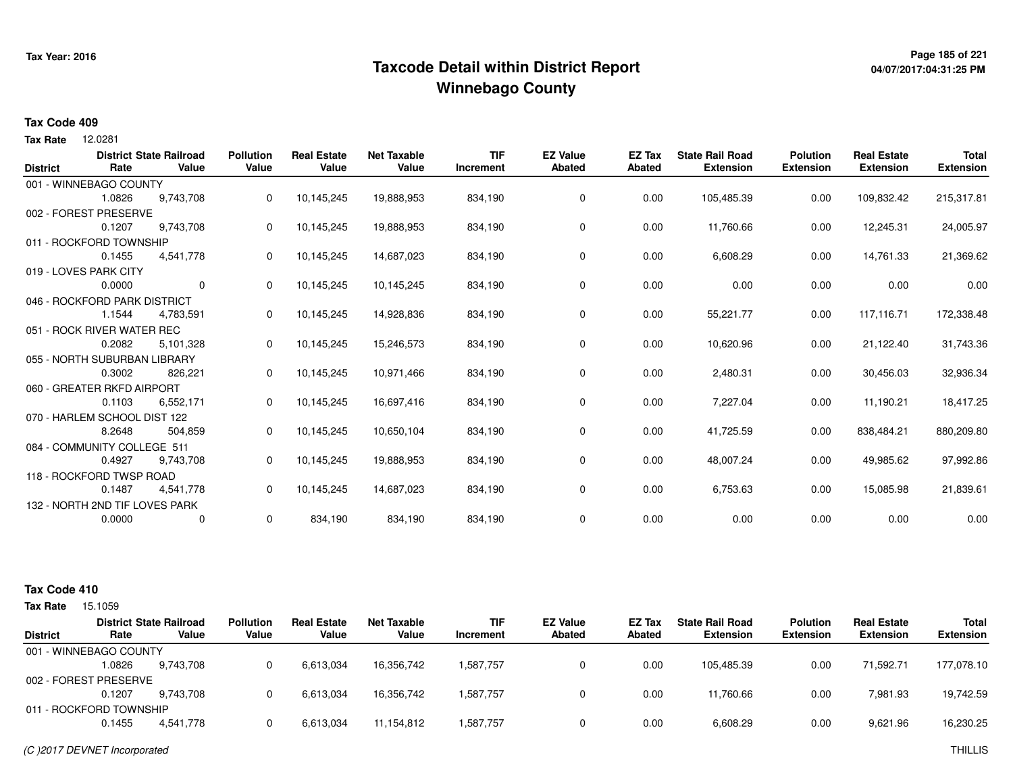# **Page 185 of 221 Taxcode Detail within District ReportWinnebago County**

# **04/07/2017:04:31:25 PM**

### **Tax Code 409**

12.0281 **Tax Rate**

|        |           |                                                                                                                                                                                                                                                                                                                                                                                                         |                           |                             |                             |            |                           |                         |                                            |                                     | <b>Total</b>                           |
|--------|-----------|---------------------------------------------------------------------------------------------------------------------------------------------------------------------------------------------------------------------------------------------------------------------------------------------------------------------------------------------------------------------------------------------------------|---------------------------|-----------------------------|-----------------------------|------------|---------------------------|-------------------------|--------------------------------------------|-------------------------------------|----------------------------------------|
|        |           |                                                                                                                                                                                                                                                                                                                                                                                                         |                           |                             | Increment                   |            |                           |                         |                                            |                                     | <b>Extension</b>                       |
|        |           |                                                                                                                                                                                                                                                                                                                                                                                                         |                           |                             |                             |            |                           |                         |                                            |                                     |                                        |
| 1.0826 | 9,743,708 | 0                                                                                                                                                                                                                                                                                                                                                                                                       | 10,145,245                | 19,888,953                  | 834,190                     | 0          | 0.00                      | 105,485.39              | 0.00                                       | 109,832.42                          | 215,317.81                             |
|        |           |                                                                                                                                                                                                                                                                                                                                                                                                         |                           |                             |                             |            |                           |                         |                                            |                                     |                                        |
| 0.1207 | 9,743,708 | 0                                                                                                                                                                                                                                                                                                                                                                                                       | 10,145,245                | 19,888,953                  | 834,190                     | 0          | 0.00                      | 11,760.66               | 0.00                                       | 12,245.31                           | 24,005.97                              |
|        |           |                                                                                                                                                                                                                                                                                                                                                                                                         |                           |                             |                             |            |                           |                         |                                            |                                     |                                        |
| 0.1455 | 4,541,778 | 0                                                                                                                                                                                                                                                                                                                                                                                                       | 10,145,245                | 14,687,023                  | 834,190                     | 0          | 0.00                      | 6,608.29                | 0.00                                       | 14,761.33                           | 21,369.62                              |
|        |           |                                                                                                                                                                                                                                                                                                                                                                                                         |                           |                             |                             |            |                           |                         |                                            |                                     |                                        |
| 0.0000 | 0         | 0                                                                                                                                                                                                                                                                                                                                                                                                       | 10,145,245                | 10,145,245                  | 834,190                     | 0          | 0.00                      | 0.00                    | 0.00                                       | 0.00                                | 0.00                                   |
|        |           |                                                                                                                                                                                                                                                                                                                                                                                                         |                           |                             |                             |            |                           |                         |                                            |                                     |                                        |
| 1.1544 | 4,783,591 | 0                                                                                                                                                                                                                                                                                                                                                                                                       | 10,145,245                | 14,928,836                  | 834,190                     | 0          | 0.00                      | 55,221.77               | 0.00                                       | 117,116.71                          | 172,338.48                             |
|        |           |                                                                                                                                                                                                                                                                                                                                                                                                         |                           |                             |                             |            |                           |                         |                                            |                                     |                                        |
| 0.2082 | 5,101,328 | 0                                                                                                                                                                                                                                                                                                                                                                                                       | 10,145,245                | 15,246,573                  | 834,190                     | 0          | 0.00                      | 10,620.96               | 0.00                                       | 21,122.40                           | 31,743.36                              |
|        |           |                                                                                                                                                                                                                                                                                                                                                                                                         |                           |                             |                             |            |                           |                         |                                            |                                     |                                        |
| 0.3002 | 826,221   | 0                                                                                                                                                                                                                                                                                                                                                                                                       | 10,145,245                | 10,971,466                  | 834,190                     | 0          | 0.00                      | 2,480.31                | 0.00                                       | 30,456.03                           | 32,936.34                              |
|        |           |                                                                                                                                                                                                                                                                                                                                                                                                         |                           |                             |                             |            |                           |                         |                                            |                                     |                                        |
| 0.1103 | 6,552,171 | 0                                                                                                                                                                                                                                                                                                                                                                                                       | 10,145,245                | 16,697,416                  | 834,190                     | 0          | 0.00                      | 7,227.04                | 0.00                                       | 11,190.21                           | 18,417.25                              |
|        |           |                                                                                                                                                                                                                                                                                                                                                                                                         |                           |                             |                             |            |                           |                         |                                            |                                     |                                        |
| 8.2648 | 504,859   | 0                                                                                                                                                                                                                                                                                                                                                                                                       | 10,145,245                | 10,650,104                  | 834,190                     | 0          | 0.00                      | 41,725.59               | 0.00                                       | 838,484.21                          | 880,209.80                             |
|        |           |                                                                                                                                                                                                                                                                                                                                                                                                         |                           |                             |                             |            |                           |                         |                                            |                                     |                                        |
| 0.4927 | 9,743,708 | 0                                                                                                                                                                                                                                                                                                                                                                                                       | 10,145,245                | 19,888,953                  | 834,190                     | 0          | 0.00                      | 48,007.24               | 0.00                                       | 49,985.62                           | 97,992.86                              |
|        |           |                                                                                                                                                                                                                                                                                                                                                                                                         |                           |                             |                             |            |                           |                         |                                            |                                     |                                        |
| 0.1487 | 4,541,778 | 0                                                                                                                                                                                                                                                                                                                                                                                                       | 10,145,245                | 14,687,023                  | 834,190                     | 0          | 0.00                      | 6,753.63                | 0.00                                       | 15,085.98                           | 21,839.61                              |
|        |           |                                                                                                                                                                                                                                                                                                                                                                                                         |                           |                             |                             |            |                           |                         |                                            |                                     |                                        |
| 0.0000 | 0         | 0                                                                                                                                                                                                                                                                                                                                                                                                       | 834,190                   | 834,190                     | 834,190                     | 0          | 0.00                      | 0.00                    | 0.00                                       | 0.00                                | 0.00                                   |
|        | Rate      | <b>District State Railroad</b><br>Value<br>001 - WINNEBAGO COUNTY<br>002 - FOREST PRESERVE<br>011 - ROCKFORD TOWNSHIP<br>019 - LOVES PARK CITY<br>046 - ROCKFORD PARK DISTRICT<br>051 - ROCK RIVER WATER REC<br>055 - NORTH SUBURBAN LIBRARY<br>060 - GREATER RKFD AIRPORT<br>070 - HARLEM SCHOOL DIST 122<br>084 - COMMUNITY COLLEGE 511<br>118 - ROCKFORD TWSP ROAD<br>132 - NORTH 2ND TIF LOVES PARK | <b>Pollution</b><br>Value | <b>Real Estate</b><br>Value | <b>Net Taxable</b><br>Value | <b>TIF</b> | <b>EZ Value</b><br>Abated | EZ Tax<br><b>Abated</b> | <b>State Rail Road</b><br><b>Extension</b> | <b>Polution</b><br><b>Extension</b> | <b>Real Estate</b><br><b>Extension</b> |

| <b>Tax Rate</b> | 15.1059                 |                                         |                           |                             |                      |                  |                                  |                         |                                            |                                     |                                        |                                  |
|-----------------|-------------------------|-----------------------------------------|---------------------------|-----------------------------|----------------------|------------------|----------------------------------|-------------------------|--------------------------------------------|-------------------------------------|----------------------------------------|----------------------------------|
| <b>District</b> | Rate                    | <b>District State Railroad</b><br>Value | <b>Pollution</b><br>Value | <b>Real Estate</b><br>Value | Net Taxable<br>Value | TIF<br>Increment | <b>EZ Value</b><br><b>Abated</b> | <b>EZ Tax</b><br>Abated | <b>State Rail Road</b><br><b>Extension</b> | <b>Polution</b><br><b>Extension</b> | <b>Real Estate</b><br><b>Extension</b> | <b>Total</b><br><b>Extension</b> |
|                 | 001 - WINNEBAGO COUNTY  |                                         |                           |                             |                      |                  |                                  |                         |                                            |                                     |                                        |                                  |
|                 | 1.0826                  | 9.743.708                               | 0                         | 6,613,034                   | 16.356.742           | 1,587,757        |                                  | 0.00                    | 105.485.39                                 | 0.00                                | 71.592.71                              | 177,078.10                       |
|                 | 002 - FOREST PRESERVE   |                                         |                           |                             |                      |                  |                                  |                         |                                            |                                     |                                        |                                  |
|                 | 0.1207                  | 9.743.708                               | 0                         | 6,613,034                   | 16.356.742           | 1,587,757        |                                  | 0.00                    | 11.760.66                                  | 0.00                                | 7.981.93                               | 19,742.59                        |
|                 | 011 - ROCKFORD TOWNSHIP |                                         |                           |                             |                      |                  |                                  |                         |                                            |                                     |                                        |                                  |
|                 | 0.1455                  | 4,541,778                               | 0                         | 6,613,034                   | 11,154,812           | 1,587,757        |                                  | 0.00                    | 6,608.29                                   | 0.00                                | 9,621.96                               | 16,230.25                        |
|                 |                         |                                         |                           |                             |                      |                  |                                  |                         |                                            |                                     |                                        |                                  |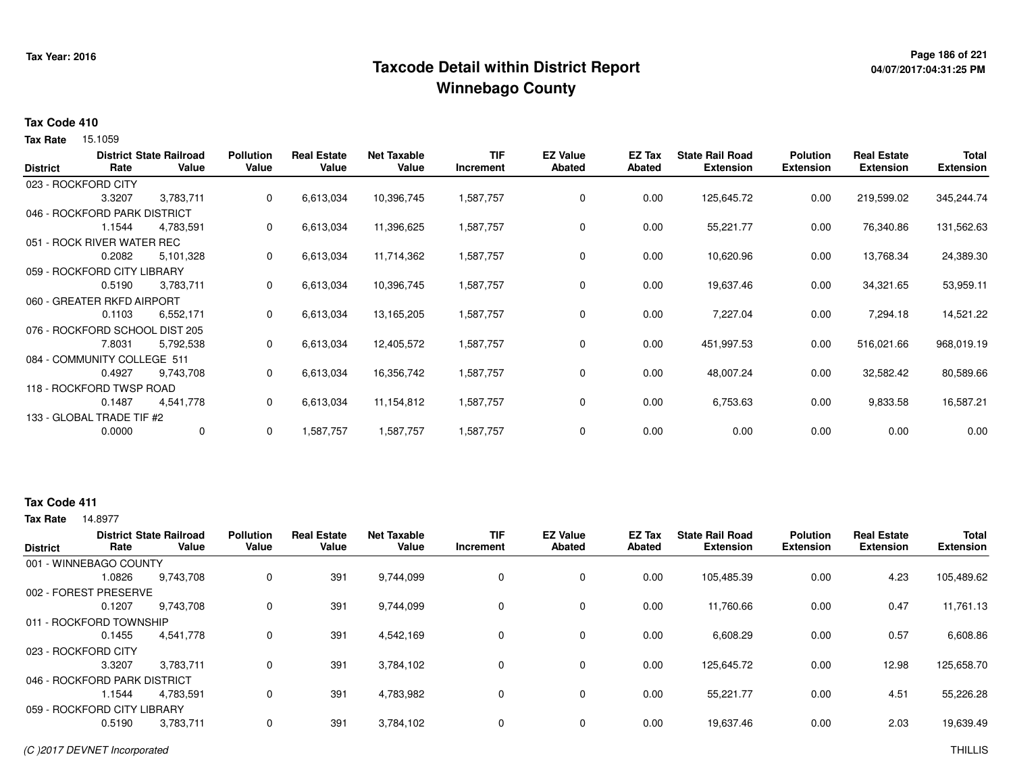# **Page 186 of 221 Taxcode Detail within District ReportWinnebago County**

# **04/07/2017:04:31:25 PM**

#### **Tax Code 410**

**Tax Rate** 15.1059

| <b>District</b> | Rate                           | <b>District State Railroad</b><br>Value | <b>Pollution</b><br>Value | <b>Real Estate</b><br>Value | <b>Net Taxable</b><br>Value | <b>TIF</b><br>Increment | <b>EZ Value</b><br><b>Abated</b> | EZ Tax<br><b>Abated</b> | <b>State Rail Road</b><br><b>Extension</b> | <b>Polution</b><br><b>Extension</b> | <b>Real Estate</b><br><b>Extension</b> | <b>Total</b><br><b>Extension</b> |
|-----------------|--------------------------------|-----------------------------------------|---------------------------|-----------------------------|-----------------------------|-------------------------|----------------------------------|-------------------------|--------------------------------------------|-------------------------------------|----------------------------------------|----------------------------------|
|                 | 023 - ROCKFORD CITY            |                                         |                           |                             |                             |                         |                                  |                         |                                            |                                     |                                        |                                  |
|                 | 3.3207                         | 3,783,711                               | $\mathbf{0}$              | 6,613,034                   | 10,396,745                  | 1,587,757               | $\mathbf 0$                      | 0.00                    | 125,645.72                                 | 0.00                                | 219,599.02                             | 345,244.74                       |
|                 | 046 - ROCKFORD PARK DISTRICT   |                                         |                           |                             |                             |                         |                                  |                         |                                            |                                     |                                        |                                  |
|                 | 1.1544                         | 4,783,591                               | 0                         | 6,613,034                   | 11,396,625                  | 1,587,757               | 0                                | 0.00                    | 55,221.77                                  | 0.00                                | 76,340.86                              | 131,562.63                       |
|                 | 051 - ROCK RIVER WATER REC     |                                         |                           |                             |                             |                         |                                  |                         |                                            |                                     |                                        |                                  |
|                 | 0.2082                         | 5,101,328                               | 0                         | 6,613,034                   | 11,714,362                  | 1,587,757               | 0                                | 0.00                    | 10,620.96                                  | 0.00                                | 13,768.34                              | 24,389.30                        |
|                 | 059 - ROCKFORD CITY LIBRARY    |                                         |                           |                             |                             |                         |                                  |                         |                                            |                                     |                                        |                                  |
|                 | 0.5190                         | 3,783,711                               | 0                         | 6,613,034                   | 10,396,745                  | 1,587,757               | 0                                | 0.00                    | 19,637.46                                  | 0.00                                | 34,321.65                              | 53,959.11                        |
|                 | 060 - GREATER RKFD AIRPORT     |                                         |                           |                             |                             |                         |                                  |                         |                                            |                                     |                                        |                                  |
|                 | 0.1103                         | 6,552,171                               | 0                         | 6,613,034                   | 13,165,205                  | 1,587,757               | $\mathbf 0$                      | 0.00                    | 7,227.04                                   | 0.00                                | 7,294.18                               | 14,521.22                        |
|                 | 076 - ROCKFORD SCHOOL DIST 205 |                                         |                           |                             |                             |                         |                                  |                         |                                            |                                     |                                        |                                  |
|                 | 7.8031                         | 5,792,538                               | 0                         | 6,613,034                   | 12,405,572                  | 1,587,757               | 0                                | 0.00                    | 451,997.53                                 | 0.00                                | 516,021.66                             | 968,019.19                       |
|                 | 084 - COMMUNITY COLLEGE 511    |                                         |                           |                             |                             |                         |                                  |                         |                                            |                                     |                                        |                                  |
|                 | 0.4927                         | 9,743,708                               | 0                         | 6,613,034                   | 16,356,742                  | 1,587,757               | $\mathbf 0$                      | 0.00                    | 48,007.24                                  | 0.00                                | 32,582.42                              | 80,589.66                        |
|                 | 118 - ROCKFORD TWSP ROAD       |                                         |                           |                             |                             |                         |                                  |                         |                                            |                                     |                                        |                                  |
|                 | 0.1487                         | 4,541,778                               | 0                         | 6,613,034                   | 11,154,812                  | 1,587,757               | 0                                | 0.00                    | 6,753.63                                   | 0.00                                | 9,833.58                               | 16,587.21                        |
|                 | 133 - GLOBAL TRADE TIF #2      |                                         |                           |                             |                             |                         |                                  |                         |                                            |                                     |                                        |                                  |
|                 | 0.0000                         | 0                                       | 0                         | 1,587,757                   | 1,587,757                   | 1,587,757               | 0                                | 0.00                    | 0.00                                       | 0.00                                | 0.00                                   | 0.00                             |

### **Tax Code 411**

|                              |        | <b>District State Railroad</b> | <b>Pollution</b> | <b>Real Estate</b> | <b>Net Taxable</b> | <b>TIF</b> | <b>EZ Value</b> | EZ Tax | <b>State Rail Road</b> | <b>Polution</b>  | <b>Real Estate</b> | <b>Total</b>     |
|------------------------------|--------|--------------------------------|------------------|--------------------|--------------------|------------|-----------------|--------|------------------------|------------------|--------------------|------------------|
| <b>District</b>              | Rate   | Value                          | Value            | Value              | Value              | Increment  | <b>Abated</b>   | Abated | <b>Extension</b>       | <b>Extension</b> | <b>Extension</b>   | <b>Extension</b> |
| 001 - WINNEBAGO COUNTY       |        |                                |                  |                    |                    |            |                 |        |                        |                  |                    |                  |
|                              | 1.0826 | 9,743,708                      | 0                | 391                | 9,744,099          | 0          | $\Omega$        | 0.00   | 105,485.39             | 0.00             | 4.23               | 105,489.62       |
| 002 - FOREST PRESERVE        |        |                                |                  |                    |                    |            |                 |        |                        |                  |                    |                  |
|                              | 0.1207 | 9,743,708                      | 0                | 391                | 9,744,099          | 0          | $\Omega$        | 0.00   | 11,760.66              | 0.00             | 0.47               | 11,761.13        |
| 011 - ROCKFORD TOWNSHIP      |        |                                |                  |                    |                    |            |                 |        |                        |                  |                    |                  |
|                              | 0.1455 | 4,541,778                      | 0                | 391                | 4,542,169          | $\Omega$   | $\Omega$        | 0.00   | 6,608.29               | 0.00             | 0.57               | 6,608.86         |
| 023 - ROCKFORD CITY          |        |                                |                  |                    |                    |            |                 |        |                        |                  |                    |                  |
|                              | 3.3207 | 3.783.711                      | 0                | 391                | 3,784,102          | 0          | 0               | 0.00   | 125,645.72             | 0.00             | 12.98              | 125,658.70       |
| 046 - ROCKFORD PARK DISTRICT |        |                                |                  |                    |                    |            |                 |        |                        |                  |                    |                  |
|                              | 1.1544 | 4.783.591                      | $\Omega$         | 391                | 4,783,982          | $\Omega$   | $\Omega$        | 0.00   | 55,221.77              | 0.00             | 4.51               | 55,226.28        |
| 059 - ROCKFORD CITY LIBRARY  |        |                                |                  |                    |                    |            |                 |        |                        |                  |                    |                  |
|                              | 0.5190 | 3,783,711                      | 0                | 391                | 3,784,102          | 0          | $\Omega$        | 0.00   | 19,637.46              | 0.00             | 2.03               | 19,639.49        |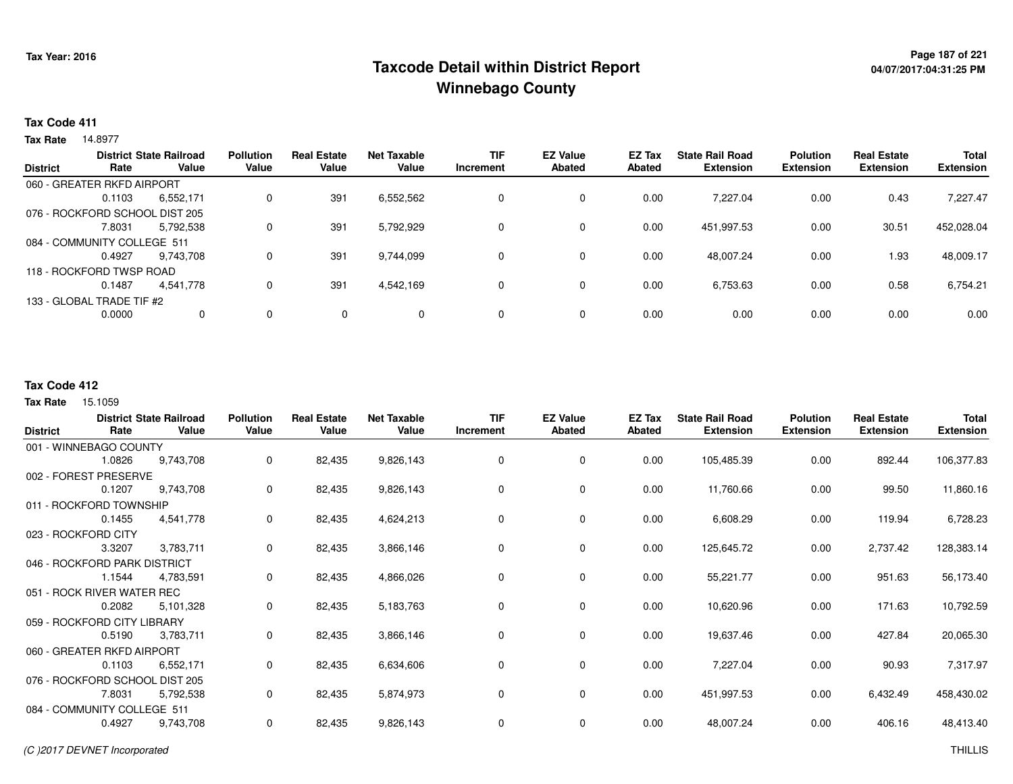# **Page 187 of 221 Taxcode Detail within District ReportWinnebago County**

### **Tax Code 411**

14.8977 **Tax Rate**

| <b>District</b> |                                | <b>District State Railroad</b> | <b>Pollution</b> | <b>Real Estate</b> | <b>Net Taxable</b> | <b>TIF</b> | <b>EZ Value</b> | <b>EZ Tax</b> | <b>State Rail Road</b> | <b>Polution</b>  | <b>Real Estate</b> | <b>Total</b>     |
|-----------------|--------------------------------|--------------------------------|------------------|--------------------|--------------------|------------|-----------------|---------------|------------------------|------------------|--------------------|------------------|
|                 | Rate                           | Value                          | Value            | Value              | Value              | Increment  | <b>Abated</b>   | <b>Abated</b> | <b>Extension</b>       | <b>Extension</b> | <b>Extension</b>   | <b>Extension</b> |
|                 | 060 - GREATER RKFD AIRPORT     |                                |                  |                    |                    |            |                 |               |                        |                  |                    |                  |
|                 | 0.1103                         | 6,552,171                      | $\Omega$         | 391                | 6,552,562          | 0          | 0               | 0.00          | 7.227.04               | 0.00             | 0.43               | 7,227.47         |
|                 | 076 - ROCKFORD SCHOOL DIST 205 |                                |                  |                    |                    |            |                 |               |                        |                  |                    |                  |
|                 | 7.8031                         | 5,792,538                      | 0                | 391                | 5,792,929          | 0          | 0               | 0.00          | 451,997.53             | 0.00             | 30.51              | 452,028.04       |
|                 | 084 - COMMUNITY COLLEGE 511    |                                |                  |                    |                    |            |                 |               |                        |                  |                    |                  |
|                 | 0.4927                         | 9.743.708                      | 0                | 391                | 9,744,099          | 0          | 0               | 0.00          | 48.007.24              | 0.00             | 1.93               | 48,009.17        |
|                 | 118 - ROCKFORD TWSP ROAD       |                                |                  |                    |                    |            |                 |               |                        |                  |                    |                  |
|                 | 0.1487                         | 4,541,778                      | 0                | 391                | 4,542,169          | 0          | 0               | 0.00          | 6,753.63               | 0.00             | 0.58               | 6,754.21         |
|                 | 133 - GLOBAL TRADE TIF #2      |                                |                  |                    |                    |            |                 |               |                        |                  |                    |                  |
|                 | 0.0000                         | $\mathbf{0}$                   | 0                | $\mathbf{0}$       | $\Omega$           | 0          | 0               | 0.00          | 0.00                   | 0.00             | 0.00               | 0.00             |
|                 |                                |                                |                  |                    |                    |            |                 |               |                        |                  |                    |                  |

### **Tax Code 412**

| <b>District</b> | Rate                           | <b>District State Railroad</b><br>Value | <b>Pollution</b><br>Value | <b>Real Estate</b><br>Value | <b>Net Taxable</b><br>Value | <b>TIF</b><br>Increment | <b>EZ Value</b><br><b>Abated</b> | EZ Tax<br><b>Abated</b> | <b>State Rail Road</b><br><b>Extension</b> | <b>Polution</b><br><b>Extension</b> | <b>Real Estate</b><br><b>Extension</b> | Total<br><b>Extension</b> |
|-----------------|--------------------------------|-----------------------------------------|---------------------------|-----------------------------|-----------------------------|-------------------------|----------------------------------|-------------------------|--------------------------------------------|-------------------------------------|----------------------------------------|---------------------------|
|                 | 001 - WINNEBAGO COUNTY         |                                         |                           |                             |                             |                         |                                  |                         |                                            |                                     |                                        |                           |
|                 | 1.0826                         | 9,743,708                               | 0                         | 82,435                      | 9,826,143                   | 0                       | 0                                | 0.00                    | 105,485.39                                 | 0.00                                | 892.44                                 | 106,377.83                |
|                 | 002 - FOREST PRESERVE          |                                         |                           |                             |                             |                         |                                  |                         |                                            |                                     |                                        |                           |
|                 | 0.1207                         | 9,743,708                               | 0                         | 82,435                      | 9,826,143                   | 0                       | 0                                | 0.00                    | 11,760.66                                  | 0.00                                | 99.50                                  | 11,860.16                 |
|                 | 011 - ROCKFORD TOWNSHIP        |                                         |                           |                             |                             |                         |                                  |                         |                                            |                                     |                                        |                           |
|                 | 0.1455                         | 4,541,778                               | 0                         | 82,435                      | 4,624,213                   | 0                       | $\mathbf 0$                      | 0.00                    | 6,608.29                                   | 0.00                                | 119.94                                 | 6,728.23                  |
|                 | 023 - ROCKFORD CITY            |                                         |                           |                             |                             |                         |                                  |                         |                                            |                                     |                                        |                           |
|                 | 3.3207                         | 3,783,711                               | 0                         | 82,435                      | 3,866,146                   | 0                       | 0                                | 0.00                    | 125,645.72                                 | 0.00                                | 2,737.42                               | 128,383.14                |
|                 | 046 - ROCKFORD PARK DISTRICT   |                                         |                           |                             |                             |                         |                                  |                         |                                            |                                     |                                        |                           |
|                 | 1.1544                         | 4,783,591                               | 0                         | 82,435                      | 4,866,026                   | 0                       | 0                                | 0.00                    | 55,221.77                                  | 0.00                                | 951.63                                 | 56,173.40                 |
|                 | 051 - ROCK RIVER WATER REC     |                                         |                           |                             |                             |                         |                                  |                         |                                            |                                     |                                        |                           |
|                 | 0.2082                         | 5,101,328                               | 0                         | 82,435                      | 5,183,763                   | 0                       | 0                                | 0.00                    | 10,620.96                                  | 0.00                                | 171.63                                 | 10,792.59                 |
|                 | 059 - ROCKFORD CITY LIBRARY    |                                         |                           |                             |                             |                         |                                  |                         |                                            |                                     |                                        |                           |
|                 | 0.5190                         | 3,783,711                               | 0                         | 82,435                      | 3,866,146                   | 0                       | 0                                | 0.00                    | 19,637.46                                  | 0.00                                | 427.84                                 | 20,065.30                 |
|                 | 060 - GREATER RKFD AIRPORT     |                                         |                           |                             |                             |                         |                                  |                         |                                            |                                     |                                        |                           |
|                 | 0.1103                         | 6,552,171                               | 0                         | 82,435                      | 6,634,606                   | 0                       | $\mathbf 0$                      | 0.00                    | 7,227.04                                   | 0.00                                | 90.93                                  | 7,317.97                  |
|                 | 076 - ROCKFORD SCHOOL DIST 205 |                                         |                           |                             |                             |                         |                                  |                         |                                            |                                     |                                        |                           |
|                 | 7.8031                         | 5,792,538                               | 0                         | 82,435                      | 5,874,973                   | 0                       | 0                                | 0.00                    | 451,997.53                                 | 0.00                                | 6,432.49                               | 458,430.02                |
|                 | 084 - COMMUNITY COLLEGE 511    |                                         |                           |                             |                             |                         |                                  |                         |                                            |                                     |                                        |                           |
|                 | 0.4927                         | 9,743,708                               | 0                         | 82,435                      | 9,826,143                   | 0                       | 0                                | 0.00                    | 48,007.24                                  | 0.00                                | 406.16                                 | 48,413.40                 |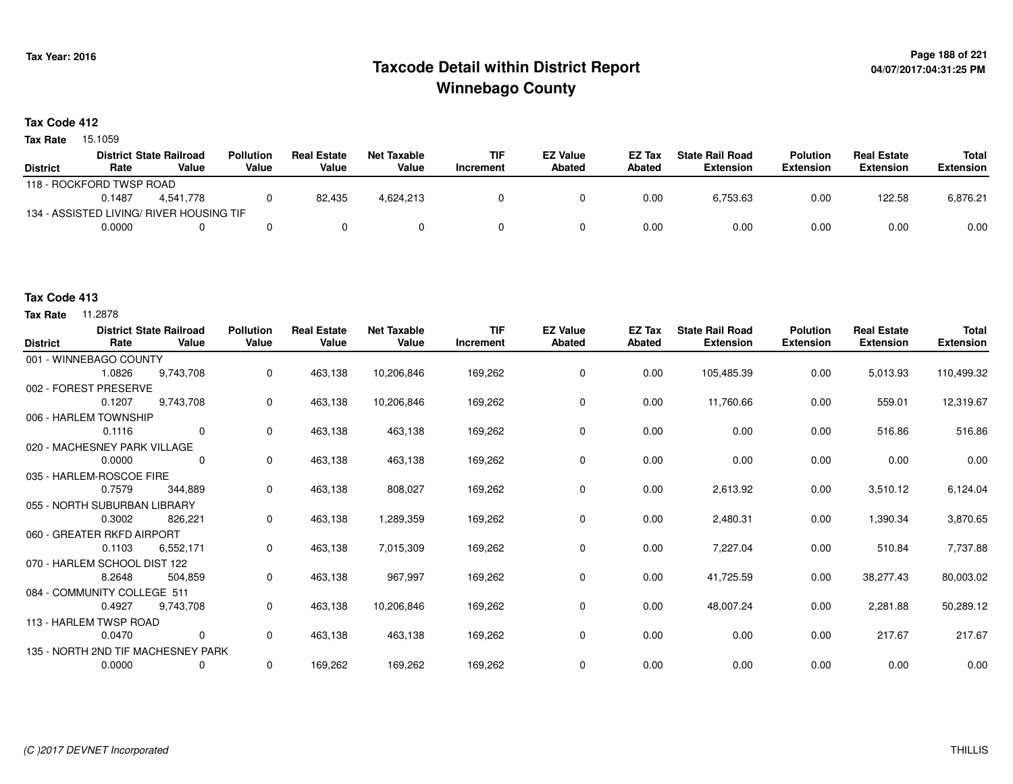# **Page 188 of 221 Taxcode Detail within District ReportWinnebago County**

### **Tax Code 412**

**Tax Rate** 15.1059

|                          |        | <b>District State Railroad</b>           | <b>Pollution</b> | <b>Real Estate</b> | Net Taxable | <b>TIF</b> | <b>EZ Value</b> | <b>EZ Tax</b> | <b>State Rail Road</b> | <b>Polution</b>  | <b>Real Estate</b> | Total            |
|--------------------------|--------|------------------------------------------|------------------|--------------------|-------------|------------|-----------------|---------------|------------------------|------------------|--------------------|------------------|
| <b>District</b>          | Rate   | Value                                    | Value            | Value              | Value       | Increment  | Abated          | Abated        | Extension              | <b>Extension</b> | <b>Extension</b>   | <b>Extension</b> |
| 118 - ROCKFORD TWSP ROAD |        |                                          |                  |                    |             |            |                 |               |                        |                  |                    |                  |
|                          | 0.1487 | 4.541.778                                |                  | 82.435             | 4,624,213   |            |                 | 0.00          | 6.753.63               | 0.00             | 122.58             | 6,876.21         |
|                          |        | 134 - ASSISTED LIVING/ RIVER HOUSING TIF |                  |                    |             |            |                 |               |                        |                  |                    |                  |
|                          | 0.0000 |                                          |                  |                    |             |            |                 | 0.00          | 0.00                   | 0.00             | 0.00               | 0.00             |

### **Tax Code 413**

| <b>District</b> | Rate                         | <b>District State Railroad</b><br>Value | <b>Pollution</b><br>Value | <b>Real Estate</b><br>Value | <b>Net Taxable</b><br>Value | <b>TIF</b><br>Increment | <b>EZ Value</b><br>Abated | <b>EZ Tax</b><br>Abated | <b>State Rail Road</b><br><b>Extension</b> | <b>Polution</b><br><b>Extension</b> | <b>Real Estate</b><br><b>Extension</b> | <b>Total</b><br><b>Extension</b> |
|-----------------|------------------------------|-----------------------------------------|---------------------------|-----------------------------|-----------------------------|-------------------------|---------------------------|-------------------------|--------------------------------------------|-------------------------------------|----------------------------------------|----------------------------------|
|                 | 001 - WINNEBAGO COUNTY       |                                         |                           |                             |                             |                         |                           |                         |                                            |                                     |                                        |                                  |
|                 | 1.0826                       | 9.743.708                               | 0                         | 463,138                     | 10,206,846                  | 169,262                 | 0                         | 0.00                    | 105,485.39                                 | 0.00                                | 5,013.93                               | 110,499.32                       |
|                 | 002 - FOREST PRESERVE        |                                         |                           |                             |                             |                         |                           |                         |                                            |                                     |                                        |                                  |
|                 | 0.1207                       | 9,743,708                               | 0                         | 463,138                     | 10,206,846                  | 169,262                 | 0                         | 0.00                    | 11,760.66                                  | 0.00                                | 559.01                                 | 12,319.67                        |
|                 | 006 - HARLEM TOWNSHIP        |                                         |                           |                             |                             |                         |                           |                         |                                            |                                     |                                        |                                  |
|                 | 0.1116                       | $\mathbf 0$                             | $\mathbf 0$               | 463,138                     | 463,138                     | 169,262                 | $\mathbf 0$               | 0.00                    | 0.00                                       | 0.00                                | 516.86                                 | 516.86                           |
|                 | 020 - MACHESNEY PARK VILLAGE |                                         |                           |                             |                             |                         |                           |                         |                                            |                                     |                                        |                                  |
|                 | 0.0000                       | 0                                       | 0                         | 463,138                     | 463,138                     | 169,262                 | 0                         | 0.00                    | 0.00                                       | 0.00                                | 0.00                                   | 0.00                             |
|                 | 035 - HARLEM-ROSCOE FIRE     |                                         |                           |                             |                             |                         |                           |                         |                                            |                                     |                                        |                                  |
|                 | 0.7579                       | 344,889                                 | 0                         | 463,138                     | 808,027                     | 169,262                 | 0                         | 0.00                    | 2,613.92                                   | 0.00                                | 3,510.12                               | 6,124.04                         |
|                 | 055 - NORTH SUBURBAN LIBRARY |                                         |                           |                             |                             |                         |                           |                         |                                            |                                     |                                        |                                  |
|                 | 0.3002                       | 826,221                                 | 0                         | 463,138                     | 1,289,359                   | 169,262                 | 0                         | 0.00                    | 2,480.31                                   | 0.00                                | 1,390.34                               | 3,870.65                         |
|                 | 060 - GREATER RKFD AIRPORT   |                                         |                           |                             |                             |                         |                           |                         |                                            |                                     |                                        |                                  |
|                 | 0.1103                       | 6,552,171                               | 0                         | 463,138                     | 7,015,309                   | 169,262                 | 0                         | 0.00                    | 7,227.04                                   | 0.00                                | 510.84                                 | 7,737.88                         |
|                 | 070 - HARLEM SCHOOL DIST 122 |                                         |                           |                             |                             |                         |                           |                         |                                            |                                     |                                        |                                  |
|                 | 8.2648                       | 504,859                                 | 0                         | 463,138                     | 967,997                     | 169,262                 | $\mathbf 0$               | 0.00                    | 41,725.59                                  | 0.00                                | 38,277.43                              | 80,003.02                        |
|                 | 084 - COMMUNITY COLLEGE 511  |                                         |                           |                             |                             |                         |                           |                         |                                            |                                     |                                        |                                  |
|                 | 0.4927                       | 9,743,708                               | 0                         | 463,138                     | 10,206,846                  | 169,262                 | 0                         | 0.00                    | 48,007.24                                  | 0.00                                | 2,281.88                               | 50,289.12                        |
|                 | 113 - HARLEM TWSP ROAD       |                                         |                           |                             |                             |                         |                           |                         |                                            |                                     |                                        |                                  |
|                 | 0.0470                       | $\mathbf 0$                             | 0                         | 463,138                     | 463,138                     | 169,262                 | 0                         | 0.00                    | 0.00                                       | 0.00                                | 217.67                                 | 217.67                           |
|                 |                              | 135 - NORTH 2ND TIF MACHESNEY PARK      |                           |                             |                             |                         |                           |                         |                                            |                                     |                                        |                                  |
|                 | 0.0000                       | 0                                       | 0                         | 169,262                     | 169,262                     | 169,262                 | 0                         | 0.00                    | 0.00                                       | 0.00                                | 0.00                                   | 0.00                             |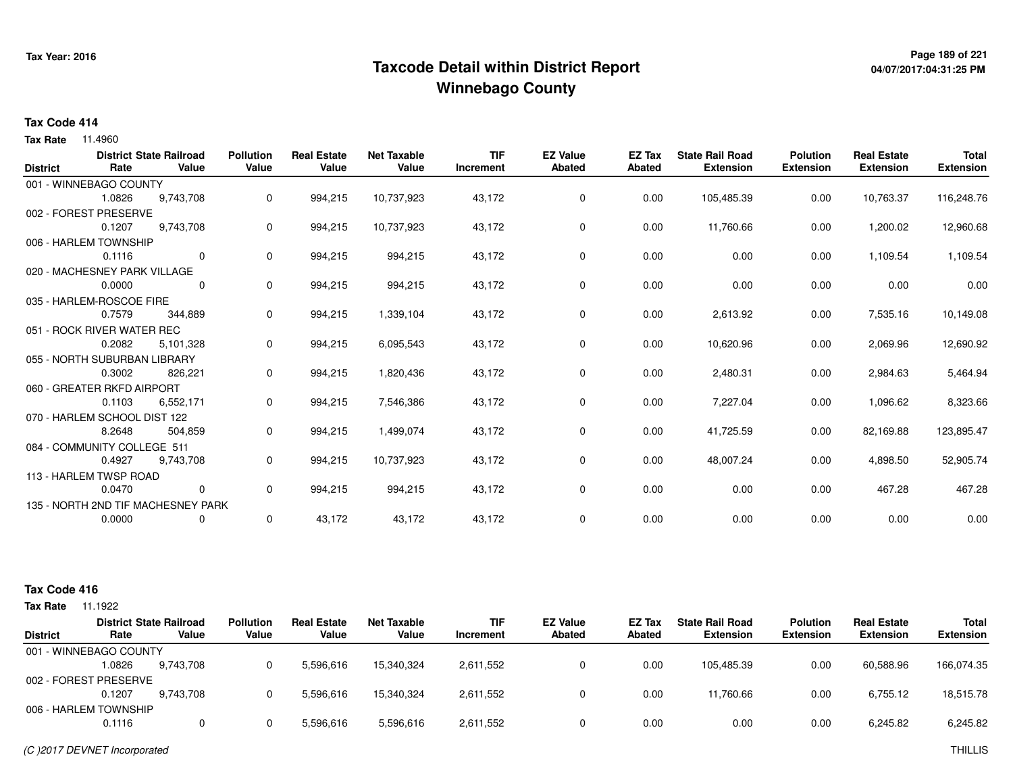# **Page 189 of 221 Taxcode Detail within District ReportWinnebago County**

# **04/07/2017:04:31:25 PM**

#### **Tax Code 414**

**Tax Rate** 11.4960

| <b>District</b> | Rate                         | <b>District State Railroad</b><br>Value | <b>Pollution</b><br>Value | <b>Real Estate</b><br>Value | <b>Net Taxable</b><br>Value | <b>TIF</b><br>Increment | <b>EZ Value</b><br><b>Abated</b> | <b>EZ Tax</b><br><b>Abated</b> | <b>State Rail Road</b><br><b>Extension</b> | <b>Polution</b><br><b>Extension</b> | <b>Real Estate</b><br><b>Extension</b> | <b>Total</b><br><b>Extension</b> |
|-----------------|------------------------------|-----------------------------------------|---------------------------|-----------------------------|-----------------------------|-------------------------|----------------------------------|--------------------------------|--------------------------------------------|-------------------------------------|----------------------------------------|----------------------------------|
|                 | 001 - WINNEBAGO COUNTY       |                                         |                           |                             |                             |                         |                                  |                                |                                            |                                     |                                        |                                  |
|                 | 1.0826                       | 9,743,708                               | 0                         | 994,215                     | 10,737,923                  | 43,172                  | 0                                | 0.00                           | 105,485.39                                 | 0.00                                | 10,763.37                              | 116,248.76                       |
|                 | 002 - FOREST PRESERVE        |                                         |                           |                             |                             |                         |                                  |                                |                                            |                                     |                                        |                                  |
|                 | 0.1207                       |                                         |                           |                             |                             |                         | $\mathbf 0$                      |                                |                                            |                                     |                                        |                                  |
|                 |                              | 9,743,708                               | 0                         | 994,215                     | 10,737,923                  | 43,172                  |                                  | 0.00                           | 11,760.66                                  | 0.00                                | 1,200.02                               | 12,960.68                        |
|                 | 006 - HARLEM TOWNSHIP        |                                         |                           |                             |                             |                         |                                  |                                |                                            |                                     |                                        |                                  |
|                 | 0.1116                       | 0                                       | 0                         | 994,215                     | 994,215                     | 43,172                  | 0                                | 0.00                           | 0.00                                       | 0.00                                | 1,109.54                               | 1,109.54                         |
|                 | 020 - MACHESNEY PARK VILLAGE |                                         |                           |                             |                             |                         |                                  |                                |                                            |                                     |                                        |                                  |
|                 | 0.0000                       | $\Omega$                                | 0                         | 994,215                     | 994,215                     | 43,172                  | 0                                | 0.00                           | 0.00                                       | 0.00                                | 0.00                                   | 0.00                             |
|                 | 035 - HARLEM-ROSCOE FIRE     |                                         |                           |                             |                             |                         |                                  |                                |                                            |                                     |                                        |                                  |
|                 | 0.7579                       | 344,889                                 | 0                         | 994,215                     | 1,339,104                   | 43,172                  | 0                                | 0.00                           | 2,613.92                                   | 0.00                                | 7,535.16                               | 10,149.08                        |
|                 | 051 - ROCK RIVER WATER REC   |                                         |                           |                             |                             |                         |                                  |                                |                                            |                                     |                                        |                                  |
|                 | 0.2082                       | 5,101,328                               | 0                         | 994,215                     | 6,095,543                   | 43,172                  | 0                                | 0.00                           | 10,620.96                                  | 0.00                                | 2,069.96                               | 12,690.92                        |
|                 | 055 - NORTH SUBURBAN LIBRARY |                                         |                           |                             |                             |                         |                                  |                                |                                            |                                     |                                        |                                  |
|                 | 0.3002                       | 826,221                                 | 0                         | 994,215                     | 1,820,436                   | 43,172                  | $\mathbf 0$                      | 0.00                           | 2,480.31                                   | 0.00                                | 2,984.63                               | 5,464.94                         |
|                 | 060 - GREATER RKFD AIRPORT   |                                         |                           |                             |                             |                         |                                  |                                |                                            |                                     |                                        |                                  |
|                 | 0.1103                       | 6,552,171                               | 0                         | 994,215                     | 7,546,386                   | 43,172                  | 0                                | 0.00                           | 7,227.04                                   | 0.00                                | 1,096.62                               | 8,323.66                         |
|                 | 070 - HARLEM SCHOOL DIST 122 |                                         |                           |                             |                             |                         |                                  |                                |                                            |                                     |                                        |                                  |
|                 | 8.2648                       | 504,859                                 | 0                         | 994,215                     | 1,499,074                   | 43,172                  | 0                                | 0.00                           | 41,725.59                                  | 0.00                                | 82,169.88                              | 123,895.47                       |
|                 | 084 - COMMUNITY COLLEGE 511  |                                         |                           |                             |                             |                         |                                  |                                |                                            |                                     |                                        |                                  |
|                 | 0.4927                       | 9,743,708                               | 0                         | 994,215                     | 10,737,923                  | 43,172                  | 0                                | 0.00                           | 48,007.24                                  | 0.00                                | 4,898.50                               | 52,905.74                        |
|                 | 113 - HARLEM TWSP ROAD       |                                         |                           |                             |                             |                         |                                  |                                |                                            |                                     |                                        |                                  |
|                 | 0.0470                       | $\mathbf{0}$                            | 0                         | 994,215                     | 994,215                     | 43,172                  | 0                                | 0.00                           | 0.00                                       | 0.00                                | 467.28                                 | 467.28                           |
|                 |                              | 135 - NORTH 2ND TIF MACHESNEY PARK      |                           |                             |                             |                         |                                  |                                |                                            |                                     |                                        |                                  |
|                 | 0.0000                       |                                         | 0                         | 43,172                      | 43,172                      | 43,172                  | $\mathbf 0$                      | 0.00                           | 0.00                                       | 0.00                                | 0.00                                   | 0.00                             |
|                 |                              | 0                                       |                           |                             |                             |                         |                                  |                                |                                            |                                     |                                        |                                  |

| <b>Tax Rate</b> | 1.1922                 |                                         |                           |                             |                      |                         |                           |                  |                                            |                                     |                                        |                                  |
|-----------------|------------------------|-----------------------------------------|---------------------------|-----------------------------|----------------------|-------------------------|---------------------------|------------------|--------------------------------------------|-------------------------------------|----------------------------------------|----------------------------------|
| <b>District</b> | Rate                   | <b>District State Railroad</b><br>Value | <b>Pollution</b><br>Value | <b>Real Estate</b><br>Value | Net Taxable<br>Value | <b>TIF</b><br>Increment | <b>EZ Value</b><br>Abated | EZ Tax<br>Abated | <b>State Rail Road</b><br><b>Extension</b> | <b>Polution</b><br><b>Extension</b> | <b>Real Estate</b><br><b>Extension</b> | <b>Total</b><br><b>Extension</b> |
|                 | 001 - WINNEBAGO COUNTY |                                         |                           |                             |                      |                         |                           |                  |                                            |                                     |                                        |                                  |
|                 | .0826                  | 9.743.708                               |                           | 5.596.616                   | 15.340.324           | 2,611,552               |                           | 0.00             | 105.485.39                                 | 0.00                                | 60.588.96                              | 166,074.35                       |
|                 | 002 - FOREST PRESERVE  |                                         |                           |                             |                      |                         |                           |                  |                                            |                                     |                                        |                                  |
|                 | 0.1207                 | 9.743.708                               |                           | 5.596.616                   | 15.340.324           | 2,611,552               |                           | 0.00             | 11.760.66                                  | 0.00                                | 6,755.12                               | 18,515.78                        |
|                 | 006 - HARLEM TOWNSHIP  |                                         |                           |                             |                      |                         |                           |                  |                                            |                                     |                                        |                                  |
|                 | 0.1116                 |                                         |                           | 5,596,616                   | 5,596,616            | 2,611,552               |                           | 0.00             | 0.00                                       | 0.00                                | 6,245.82                               | 6,245.82                         |
|                 |                        |                                         |                           |                             |                      |                         |                           |                  |                                            |                                     |                                        |                                  |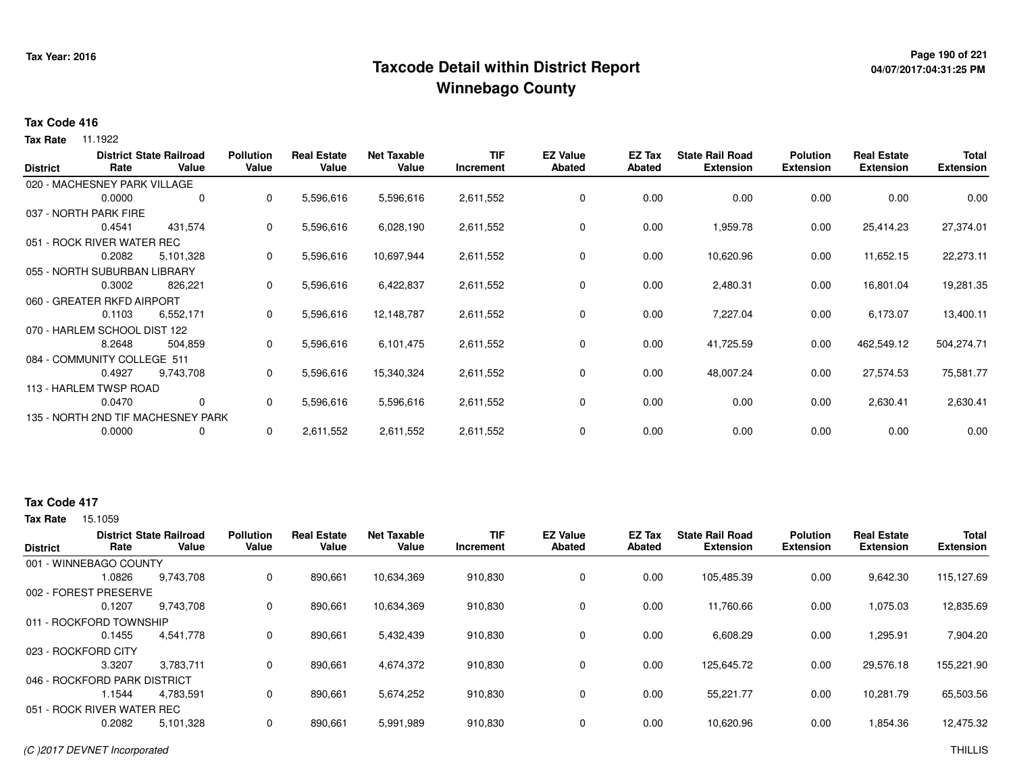# **Page 190 of 221 Taxcode Detail within District ReportWinnebago County**

# **04/07/2017:04:31:25 PM**

#### **Tax Code 416**

**Tax Rate** 11.1922

| <b>District</b>              | Rate                         | <b>District State Railroad</b><br>Value | <b>Pollution</b><br>Value | <b>Real Estate</b><br>Value | <b>Net Taxable</b><br>Value | <b>TIF</b><br>Increment | <b>EZ Value</b><br><b>Abated</b> | EZ Tax<br><b>Abated</b> | <b>State Rail Road</b><br><b>Extension</b> | <b>Polution</b><br><b>Extension</b> | <b>Real Estate</b><br><b>Extension</b> | <b>Total</b><br><b>Extension</b> |
|------------------------------|------------------------------|-----------------------------------------|---------------------------|-----------------------------|-----------------------------|-------------------------|----------------------------------|-------------------------|--------------------------------------------|-------------------------------------|----------------------------------------|----------------------------------|
|                              | 020 - MACHESNEY PARK VILLAGE |                                         |                           |                             |                             |                         |                                  |                         |                                            |                                     |                                        |                                  |
|                              | 0.0000                       | 0                                       | 0                         | 5,596,616                   | 5,596,616                   | 2,611,552               | 0                                | 0.00                    | 0.00                                       | 0.00                                | 0.00                                   | 0.00                             |
|                              | 037 - NORTH PARK FIRE        |                                         |                           |                             |                             |                         |                                  |                         |                                            |                                     |                                        |                                  |
|                              | 0.4541                       | 431,574                                 | 0                         | 5,596,616                   | 6,028,190                   | 2,611,552               | 0                                | 0.00                    | 1,959.78                                   | 0.00                                | 25,414.23                              | 27,374.01                        |
|                              | 051 - ROCK RIVER WATER REC   |                                         |                           |                             |                             |                         |                                  |                         |                                            |                                     |                                        |                                  |
|                              | 0.2082                       | 5,101,328                               | 0                         | 5,596,616                   | 10,697,944                  | 2,611,552               | $\mathbf 0$                      | 0.00                    | 10,620.96                                  | 0.00                                | 11,652.15                              | 22,273.11                        |
| 055 - NORTH SUBURBAN LIBRARY |                              |                                         |                           |                             |                             |                         |                                  |                         |                                            |                                     |                                        |                                  |
|                              | 0.3002                       | 826,221                                 | 0                         | 5,596,616                   | 6,422,837                   | 2,611,552               | 0                                | 0.00                    | 2,480.31                                   | 0.00                                | 16,801.04                              | 19,281.35                        |
|                              | 060 - GREATER RKFD AIRPORT   |                                         |                           |                             |                             |                         |                                  |                         |                                            |                                     |                                        |                                  |
|                              | 0.1103                       | 6,552,171                               | 0                         | 5,596,616                   | 12,148,787                  | 2,611,552               | 0                                | 0.00                    | 7,227.04                                   | 0.00                                | 6,173.07                               | 13,400.11                        |
|                              | 070 - HARLEM SCHOOL DIST 122 |                                         |                           |                             |                             |                         |                                  |                         |                                            |                                     |                                        |                                  |
|                              | 8.2648                       | 504,859                                 | 0                         | 5,596,616                   | 6,101,475                   | 2,611,552               | 0                                | 0.00                    | 41,725.59                                  | 0.00                                | 462,549.12                             | 504,274.71                       |
|                              | 084 - COMMUNITY COLLEGE 511  |                                         |                           |                             |                             |                         |                                  |                         |                                            |                                     |                                        |                                  |
|                              | 0.4927                       | 9,743,708                               | 0                         | 5,596,616                   | 15,340,324                  | 2,611,552               | $\mathbf 0$                      | 0.00                    | 48,007.24                                  | 0.00                                | 27,574.53                              | 75,581.77                        |
|                              | 113 - HARLEM TWSP ROAD       |                                         |                           |                             |                             |                         |                                  |                         |                                            |                                     |                                        |                                  |
|                              | 0.0470                       | $\mathbf 0$                             | 0                         | 5,596,616                   | 5,596,616                   | 2,611,552               | 0                                | 0.00                    | 0.00                                       | 0.00                                | 2,630.41                               | 2,630.41                         |
|                              |                              | 135 - NORTH 2ND TIF MACHESNEY PARK      |                           |                             |                             |                         |                                  |                         |                                            |                                     |                                        |                                  |
|                              | 0.0000                       | 0                                       | 0                         | 2,611,552                   | 2,611,552                   | 2,611,552               | 0                                | 0.00                    | 0.00                                       | 0.00                                | 0.00                                   | 0.00                             |

### **Tax Code 417**

| <b>District</b>              |        | <b>District State Railroad</b> | <b>Pollution</b> | <b>Real Estate</b> | <b>Net Taxable</b> | TIF       | <b>EZ Value</b> | EZ Tax | <b>State Rail Road</b> | <b>Polution</b>  | <b>Real Estate</b> | <b>Total</b>     |
|------------------------------|--------|--------------------------------|------------------|--------------------|--------------------|-----------|-----------------|--------|------------------------|------------------|--------------------|------------------|
|                              | Rate   | Value                          | Value            | Value              | Value              | Increment | <b>Abated</b>   | Abated | <b>Extension</b>       | <b>Extension</b> | <b>Extension</b>   | <b>Extension</b> |
| 001 - WINNEBAGO COUNTY       |        |                                |                  |                    |                    |           |                 |        |                        |                  |                    |                  |
|                              | 1.0826 | 9,743,708                      | 0                | 890,661            | 10,634,369         | 910,830   | 0               | 0.00   | 105,485.39             | 0.00             | 9,642.30           | 115,127.69       |
| 002 - FOREST PRESERVE        |        |                                |                  |                    |                    |           |                 |        |                        |                  |                    |                  |
|                              | 0.1207 | 9.743.708                      | 0                | 890,661            | 10,634,369         | 910,830   | 0               | 0.00   | 11,760.66              | 0.00             | 1,075.03           | 12,835.69        |
| 011 - ROCKFORD TOWNSHIP      |        |                                |                  |                    |                    |           |                 |        |                        |                  |                    |                  |
|                              | 0.1455 | 4,541,778                      | 0                | 890,661            | 5,432,439          | 910,830   | 0               | 0.00   | 6,608.29               | 0.00             | 1,295.91           | 7,904.20         |
| 023 - ROCKFORD CITY          |        |                                |                  |                    |                    |           |                 |        |                        |                  |                    |                  |
|                              | 3.3207 | 3.783.711                      | 0                | 890,661            | 4,674,372          | 910,830   | 0               | 0.00   | 125,645.72             | 0.00             | 29,576.18          | 155,221.90       |
| 046 - ROCKFORD PARK DISTRICT |        |                                |                  |                    |                    |           |                 |        |                        |                  |                    |                  |
|                              | l.1544 | 4.783.591                      | 0                | 890,661            | 5,674,252          | 910,830   | $\Omega$        | 0.00   | 55,221.77              | 0.00             | 10,281.79          | 65,503.56        |
| 051 - ROCK RIVER WATER REC   |        |                                |                  |                    |                    |           |                 |        |                        |                  |                    |                  |
|                              | 0.2082 | 5,101,328                      |                  | 890,661            | 5,991,989          | 910,830   | 0               | 0.00   | 10,620.96              | 0.00             | 1,854.36           | 12,475.32        |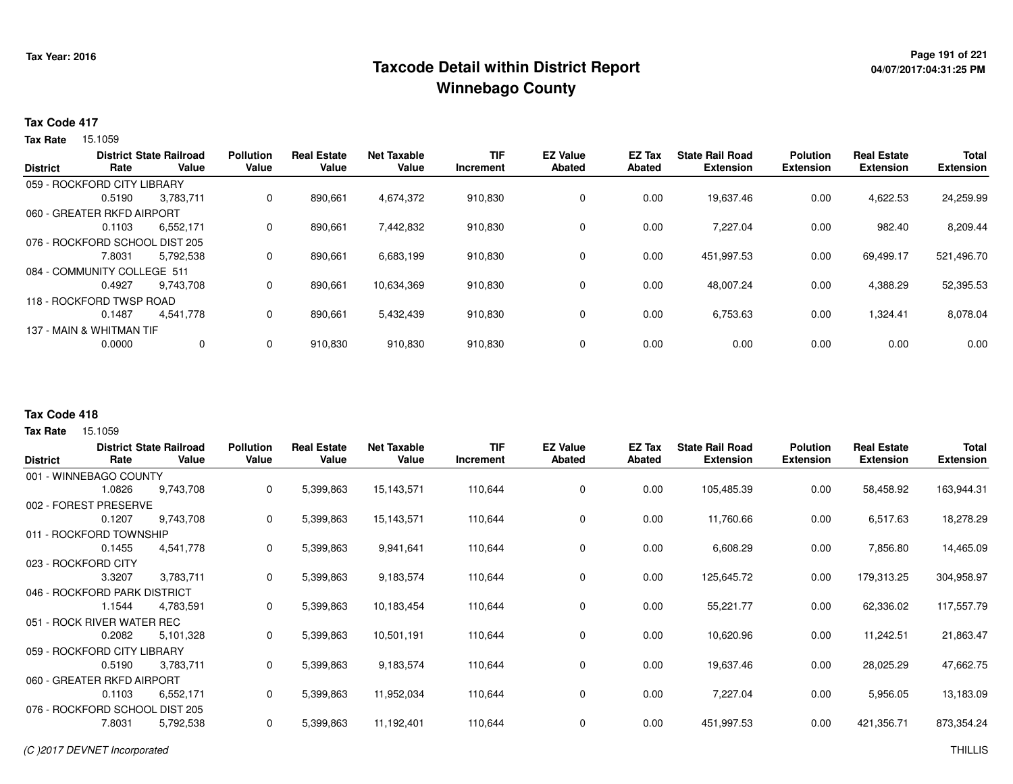# **Page 191 of 221 Taxcode Detail within District ReportWinnebago County**

# **04/07/2017:04:31:25 PM**

#### **Tax Code 417**

**Tax Rate** 15.1059

| <b>District</b> | Rate                           | <b>District State Railroad</b><br>Value | <b>Pollution</b><br>Value | <b>Real Estate</b><br>Value | <b>Net Taxable</b><br>Value | TIF<br>Increment | <b>EZ Value</b><br><b>Abated</b> | EZ Tax<br>Abated | <b>State Rail Road</b><br><b>Extension</b> | <b>Polution</b><br><b>Extension</b> | <b>Real Estate</b><br><b>Extension</b> | <b>Total</b><br><b>Extension</b> |
|-----------------|--------------------------------|-----------------------------------------|---------------------------|-----------------------------|-----------------------------|------------------|----------------------------------|------------------|--------------------------------------------|-------------------------------------|----------------------------------------|----------------------------------|
|                 | 059 - ROCKFORD CITY LIBRARY    |                                         |                           |                             |                             |                  |                                  |                  |                                            |                                     |                                        |                                  |
|                 | 0.5190                         | 3,783,711                               | 0                         | 890,661                     | 4,674,372                   | 910,830          | 0                                | 0.00             | 19,637.46                                  | 0.00                                | 4,622.53                               | 24,259.99                        |
|                 | 060 - GREATER RKFD AIRPORT     |                                         |                           |                             |                             |                  |                                  |                  |                                            |                                     |                                        |                                  |
|                 | 0.1103                         | 6,552,171                               | 0                         | 890,661                     | 7,442,832                   | 910,830          | 0                                | 0.00             | 7.227.04                                   | 0.00                                | 982.40                                 | 8,209.44                         |
|                 | 076 - ROCKFORD SCHOOL DIST 205 |                                         |                           |                             |                             |                  |                                  |                  |                                            |                                     |                                        |                                  |
|                 | 7.8031                         | 5,792,538                               | 0                         | 890,661                     | 6,683,199                   | 910,830          | $\Omega$                         | 0.00             | 451,997.53                                 | 0.00                                | 69,499.17                              | 521,496.70                       |
|                 | 084 - COMMUNITY COLLEGE 511    |                                         |                           |                             |                             |                  |                                  |                  |                                            |                                     |                                        |                                  |
|                 | 0.4927                         | 9.743.708                               | $\mathbf{0}$              | 890,661                     | 10,634,369                  | 910,830          | 0                                | 0.00             | 48,007.24                                  | 0.00                                | 4,388.29                               | 52,395.53                        |
|                 | 118 - ROCKFORD TWSP ROAD       |                                         |                           |                             |                             |                  |                                  |                  |                                            |                                     |                                        |                                  |
|                 | 0.1487                         | 4,541,778                               | 0                         | 890,661                     | 5,432,439                   | 910,830          | $\Omega$                         | 0.00             | 6,753.63                                   | 0.00                                | 1,324.41                               | 8,078.04                         |
|                 | 137 - MAIN & WHITMAN TIF       |                                         |                           |                             |                             |                  |                                  |                  |                                            |                                     |                                        |                                  |
|                 | 0.0000                         | 0                                       | 0                         | 910,830                     | 910,830                     | 910,830          | 0                                | 0.00             | 0.00                                       | 0.00                                | 0.00                                   | 0.00                             |

### **Tax Code 418**

|                                |                 | <b>District State Railroad</b> | <b>Pollution</b> | <b>Real Estate</b> | <b>Net Taxable</b> | <b>TIF</b> | <b>EZ Value</b> | <b>EZ Tax</b> | <b>State Rail Road</b> | <b>Polution</b>  | <b>Real Estate</b> | <b>Total</b>     |
|--------------------------------|-----------------|--------------------------------|------------------|--------------------|--------------------|------------|-----------------|---------------|------------------------|------------------|--------------------|------------------|
| <b>District</b>                | Rate            | Value                          | Value            | Value              | Value              | Increment  | <b>Abated</b>   | Abated        | <b>Extension</b>       | <b>Extension</b> | <b>Extension</b>   | <b>Extension</b> |
| 001 - WINNEBAGO COUNTY         |                 |                                |                  |                    |                    |            |                 |               |                        |                  |                    |                  |
|                                | 1.0826          | 9,743,708                      | 0                | 5,399,863          | 15,143,571         | 110,644    | 0               | 0.00          | 105,485.39             | 0.00             | 58,458.92          | 163,944.31       |
| 002 - FOREST                   | <b>PRESERVE</b> |                                |                  |                    |                    |            |                 |               |                        |                  |                    |                  |
|                                | 0.1207          | 9,743,708                      | $\mathbf{0}$     | 5,399,863          | 15,143,571         | 110,644    | 0               | 0.00          | 11,760.66              | 0.00             | 6,517.63           | 18,278.29        |
| 011 - ROCKFORD TOWNSHIP        |                 |                                |                  |                    |                    |            |                 |               |                        |                  |                    |                  |
|                                | 0.1455          | 4,541,778                      | 0                | 5,399,863          | 9,941,641          | 110,644    | 0               | 0.00          | 6,608.29               | 0.00             | 7,856.80           | 14,465.09        |
| 023 - ROCKFORD CITY            |                 |                                |                  |                    |                    |            |                 |               |                        |                  |                    |                  |
|                                | 3.3207          | 3,783,711                      | 0                | 5,399,863          | 9,183,574          | 110,644    | 0               | 0.00          | 125,645.72             | 0.00             | 179,313.25         | 304,958.97       |
| 046 - ROCKFORD PARK DISTRICT   |                 |                                |                  |                    |                    |            |                 |               |                        |                  |                    |                  |
|                                | 1.1544          | 4,783,591                      | 0                | 5,399,863          | 10,183,454         | 110,644    | 0               | 0.00          | 55,221.77              | 0.00             | 62,336.02          | 117,557.79       |
| 051 - ROCK RIVER WATER REC     |                 |                                |                  |                    |                    |            |                 |               |                        |                  |                    |                  |
|                                | 0.2082          | 5,101,328                      | $\mathbf{0}$     | 5,399,863          | 10,501,191         | 110,644    | 0               | 0.00          | 10,620.96              | 0.00             | 11,242.51          | 21,863.47        |
| 059 - ROCKFORD CITY LIBRARY    |                 |                                |                  |                    |                    |            |                 |               |                        |                  |                    |                  |
|                                | 0.5190          | 3,783,711                      | $\mathbf{0}$     | 5,399,863          | 9,183,574          | 110,644    | 0               | 0.00          | 19,637.46              | 0.00             | 28,025.29          | 47,662.75        |
| 060 - GREATER RKFD AIRPORT     |                 |                                |                  |                    |                    |            |                 |               |                        |                  |                    |                  |
|                                | 0.1103          | 6,552,171                      | 0                | 5,399,863          | 11,952,034         | 110,644    | 0               | 0.00          | 7,227.04               | 0.00             | 5,956.05           | 13,183.09        |
| 076 - ROCKFORD SCHOOL DIST 205 |                 |                                |                  |                    |                    |            |                 |               |                        |                  |                    |                  |
|                                | 7.8031          | 5,792,538                      | 0                | 5,399,863          | 11,192,401         | 110,644    | 0               | 0.00          | 451,997.53             | 0.00             | 421,356.71         | 873,354.24       |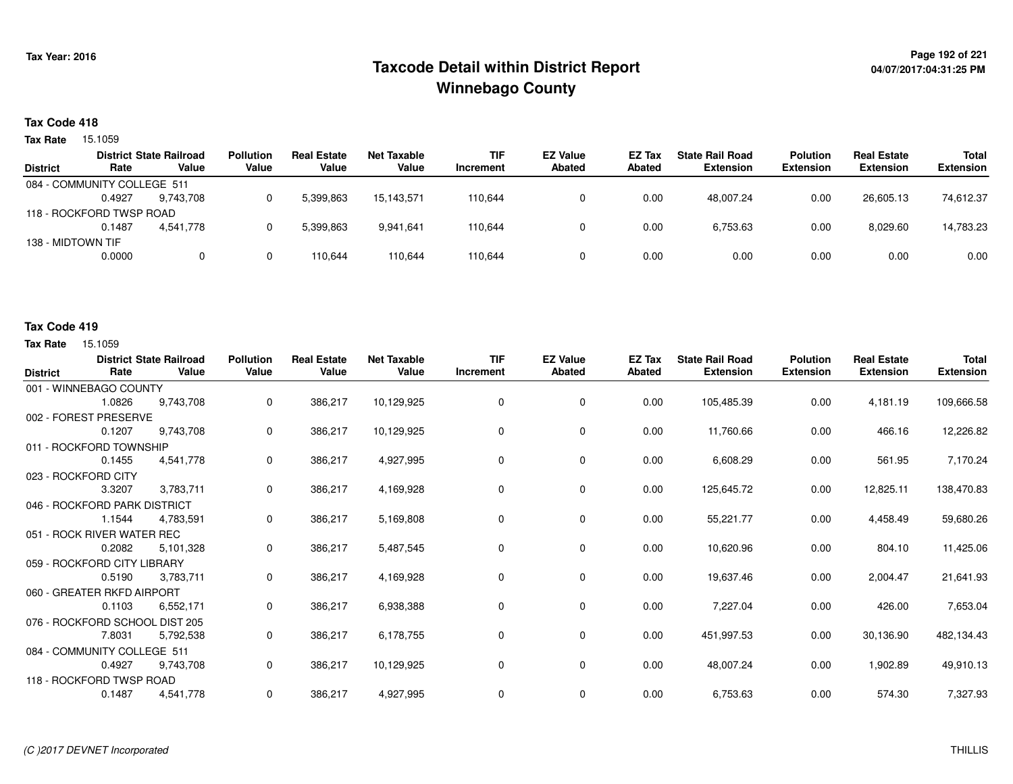# **Page 192 of 221 Taxcode Detail within District ReportWinnebago County**

# **04/07/2017:04:31:25 PM**

### **Tax Code 418**

**Tax Rate** 15.1059

| <b>Extension</b>                                  |
|---------------------------------------------------|
|                                                   |
|                                                   |
| 74,612.37                                         |
|                                                   |
| 14,783.23                                         |
|                                                   |
| 0.00                                              |
| <b>Extension</b><br>26.605.13<br>8.029.60<br>0.00 |

#### **Tax Code 419**

| <b>District</b>                | Rate   | <b>District State Railroad</b><br>Value | <b>Pollution</b><br>Value | <b>Real Estate</b><br>Value | <b>Net Taxable</b><br>Value | <b>TIF</b><br>Increment | <b>EZ Value</b><br><b>Abated</b> | <b>EZ Tax</b><br>Abated | <b>State Rail Road</b><br><b>Extension</b> | <b>Polution</b><br><b>Extension</b> | <b>Real Estate</b><br><b>Extension</b> | <b>Total</b><br><b>Extension</b> |
|--------------------------------|--------|-----------------------------------------|---------------------------|-----------------------------|-----------------------------|-------------------------|----------------------------------|-------------------------|--------------------------------------------|-------------------------------------|----------------------------------------|----------------------------------|
| 001 - WINNEBAGO COUNTY         |        |                                         |                           |                             |                             |                         |                                  |                         |                                            |                                     |                                        |                                  |
|                                | 1.0826 | 9.743.708                               | 0                         | 386,217                     | 10,129,925                  | $\mathbf 0$             | 0                                | 0.00                    | 105,485.39                                 | 0.00                                | 4,181.19                               | 109,666.58                       |
| 002 - FOREST PRESERVE          |        |                                         |                           |                             |                             |                         |                                  |                         |                                            |                                     |                                        |                                  |
|                                | 0.1207 | 9,743,708                               | 0                         | 386,217                     | 10,129,925                  | 0                       | 0                                | 0.00                    | 11,760.66                                  | 0.00                                | 466.16                                 | 12,226.82                        |
| 011 - ROCKFORD TOWNSHIP        |        |                                         |                           |                             |                             |                         |                                  |                         |                                            |                                     |                                        |                                  |
|                                | 0.1455 | 4,541,778                               | 0                         | 386,217                     | 4,927,995                   | 0                       | 0                                | 0.00                    | 6,608.29                                   | 0.00                                | 561.95                                 | 7,170.24                         |
| 023 - ROCKFORD CITY            |        |                                         |                           |                             |                             |                         |                                  |                         |                                            |                                     |                                        |                                  |
|                                | 3.3207 | 3,783,711                               | 0                         | 386,217                     | 4,169,928                   | $\mathbf 0$             | 0                                | 0.00                    | 125,645.72                                 | 0.00                                | 12,825.11                              | 138,470.83                       |
| 046 - ROCKFORD PARK DISTRICT   |        |                                         |                           |                             |                             |                         |                                  |                         |                                            |                                     |                                        |                                  |
|                                | 1.1544 | 4,783,591                               | 0                         | 386,217                     | 5,169,808                   | 0                       | 0                                | 0.00                    | 55,221.77                                  | 0.00                                | 4,458.49                               | 59,680.26                        |
| 051 - ROCK RIVER WATER REC     |        |                                         |                           |                             |                             |                         |                                  |                         |                                            |                                     |                                        |                                  |
|                                | 0.2082 | 5,101,328                               | 0                         | 386,217                     | 5,487,545                   | 0                       | 0                                | 0.00                    | 10,620.96                                  | 0.00                                | 804.10                                 | 11,425.06                        |
| 059 - ROCKFORD CITY LIBRARY    |        |                                         |                           |                             |                             |                         |                                  |                         |                                            |                                     |                                        |                                  |
|                                | 0.5190 | 3,783,711                               | 0                         | 386,217                     | 4,169,928                   | 0                       | 0                                | 0.00                    | 19,637.46                                  | 0.00                                | 2,004.47                               | 21,641.93                        |
| 060 - GREATER RKFD AIRPORT     |        |                                         |                           |                             |                             |                         |                                  |                         |                                            |                                     |                                        |                                  |
|                                | 0.1103 | 6,552,171                               | 0                         | 386,217                     | 6,938,388                   | 0                       | 0                                | 0.00                    | 7,227.04                                   | 0.00                                | 426.00                                 | 7,653.04                         |
| 076 - ROCKFORD SCHOOL DIST 205 |        |                                         |                           |                             |                             |                         |                                  |                         |                                            |                                     |                                        |                                  |
|                                | 7.8031 | 5,792,538                               | 0                         | 386,217                     | 6,178,755                   | 0                       | $\mathbf 0$                      | 0.00                    | 451,997.53                                 | 0.00                                | 30,136.90                              | 482,134.43                       |
| 084 - COMMUNITY COLLEGE 511    |        |                                         |                           |                             |                             |                         |                                  |                         |                                            |                                     |                                        |                                  |
|                                | 0.4927 | 9,743,708                               | 0                         | 386,217                     | 10,129,925                  | 0                       | $\mathbf 0$                      | 0.00                    | 48,007.24                                  | 0.00                                | 1,902.89                               | 49,910.13                        |
| 118 - ROCKFORD TWSP ROAD       |        |                                         |                           |                             |                             |                         |                                  |                         |                                            |                                     |                                        |                                  |
|                                | 0.1487 | 4,541,778                               | 0                         | 386,217                     | 4,927,995                   | 0                       | 0                                | 0.00                    | 6,753.63                                   | 0.00                                | 574.30                                 | 7,327.93                         |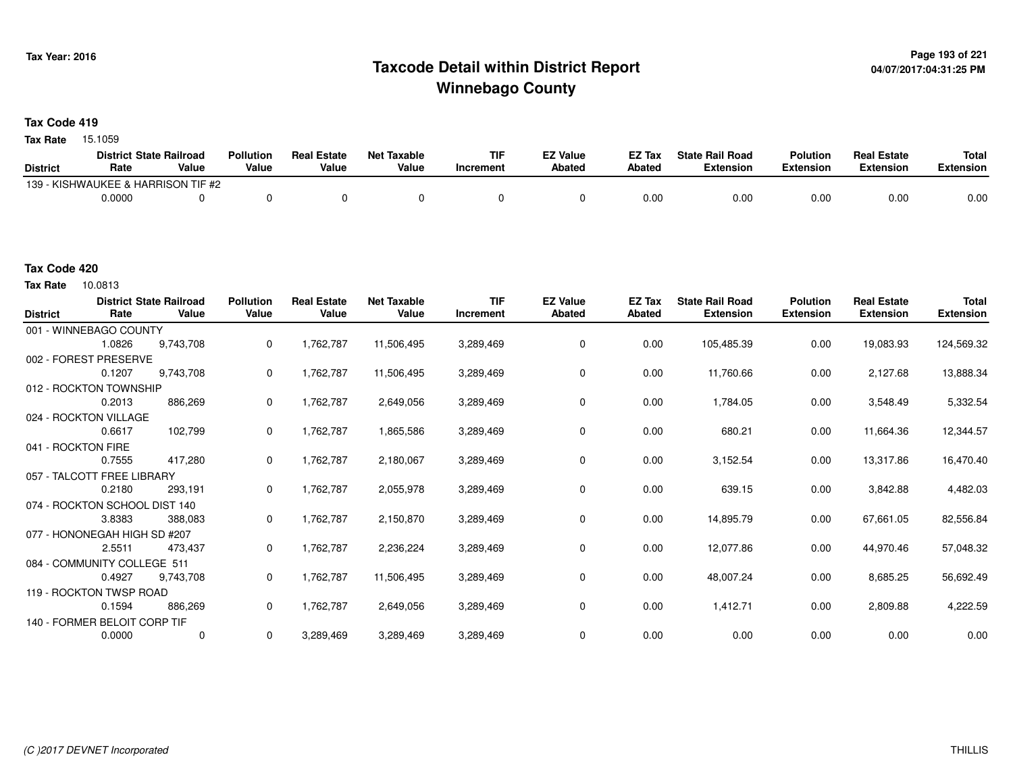# **Page 193 of 221 Taxcode Detail within District ReportWinnebago County**

**Tax Code 419**

**Tax Rate** 15.1059

|                 | <b>District State Railroad</b>     |       | <b>Pollution</b> | <b>Real Estate</b> | <b>Net Taxable</b> | <b>TIF</b> | <b>EZ Value</b> | <b>EZ Tax</b> | <b>State Rail Road</b> | <b>Polution</b> | <b>Real Estate</b> | <b>Total</b> |
|-----------------|------------------------------------|-------|------------------|--------------------|--------------------|------------|-----------------|---------------|------------------------|-----------------|--------------------|--------------|
| <b>District</b> | Rate                               | Value | Value            | Value              | Value              | Increment  | Abated          | Abated        | Extension              | Extension       | Extension          | Extension    |
|                 | 139 - KISHWAUKEE & HARRISON TIF #2 |       |                  |                    |                    |            |                 |               |                        |                 |                    |              |
|                 | 0.0000                             |       |                  |                    |                    |            |                 | 0.00          | 0.00                   | 0.00            | 0.00               | 0.00         |

**Tax Rate** 10.0813

| <b>District</b>    | Rate                          | <b>District State Railroad</b><br>Value | <b>Pollution</b><br>Value | <b>Real Estate</b><br>Value | <b>Net Taxable</b><br>Value | <b>TIF</b><br>Increment | <b>EZ Value</b><br><b>Abated</b> | <b>EZ Tax</b><br>Abated | <b>State Rail Road</b><br><b>Extension</b> | <b>Polution</b><br><b>Extension</b> | <b>Real Estate</b><br><b>Extension</b> | <b>Total</b><br><b>Extension</b> |
|--------------------|-------------------------------|-----------------------------------------|---------------------------|-----------------------------|-----------------------------|-------------------------|----------------------------------|-------------------------|--------------------------------------------|-------------------------------------|----------------------------------------|----------------------------------|
|                    | 001 - WINNEBAGO COUNTY        |                                         |                           |                             |                             |                         |                                  |                         |                                            |                                     |                                        |                                  |
|                    | 1.0826                        | 9,743,708                               | 0                         | 1,762,787                   | 11,506,495                  | 3,289,469               | 0                                | 0.00                    | 105,485.39                                 | 0.00                                | 19,083.93                              | 124,569.32                       |
|                    | 002 - FOREST PRESERVE         |                                         |                           |                             |                             |                         |                                  |                         |                                            |                                     |                                        |                                  |
|                    | 0.1207                        | 9,743,708                               | 0                         | 1,762,787                   | 11,506,495                  | 3,289,469               | 0                                | 0.00                    | 11,760.66                                  | 0.00                                | 2,127.68                               | 13,888.34                        |
|                    | 012 - ROCKTON TOWNSHIP        |                                         |                           |                             |                             |                         |                                  |                         |                                            |                                     |                                        |                                  |
|                    | 0.2013                        | 886,269                                 | 0                         | 1,762,787                   | 2,649,056                   | 3,289,469               | 0                                | 0.00                    | 1,784.05                                   | 0.00                                | 3,548.49                               | 5,332.54                         |
|                    | 024 - ROCKTON VILLAGE         |                                         |                           |                             |                             |                         |                                  |                         |                                            |                                     |                                        |                                  |
|                    | 0.6617                        | 102,799                                 | 0                         | 1,762,787                   | 1,865,586                   | 3,289,469               | 0                                | 0.00                    | 680.21                                     | 0.00                                | 11,664.36                              | 12,344.57                        |
| 041 - ROCKTON FIRE |                               |                                         |                           |                             |                             |                         |                                  |                         |                                            |                                     |                                        |                                  |
|                    | 0.7555                        | 417,280                                 | 0                         | 1,762,787                   | 2,180,067                   | 3,289,469               | 0                                | 0.00                    | 3,152.54                                   | 0.00                                | 13,317.86                              | 16,470.40                        |
|                    | 057 - TALCOTT FREE LIBRARY    |                                         |                           |                             |                             |                         |                                  |                         |                                            |                                     |                                        |                                  |
|                    | 0.2180                        | 293,191                                 | 0                         | 1,762,787                   | 2,055,978                   | 3,289,469               | 0                                | 0.00                    | 639.15                                     | 0.00                                | 3,842.88                               | 4,482.03                         |
|                    | 074 - ROCKTON SCHOOL DIST 140 |                                         |                           |                             |                             |                         |                                  |                         |                                            |                                     |                                        |                                  |
|                    | 3.8383                        | 388,083                                 | 0                         | 1,762,787                   | 2,150,870                   | 3,289,469               | 0                                | 0.00                    | 14,895.79                                  | 0.00                                | 67,661.05                              | 82,556.84                        |
|                    | 077 - HONONEGAH HIGH SD #207  |                                         |                           |                             |                             |                         |                                  |                         |                                            |                                     |                                        |                                  |
|                    | 2.5511                        | 473,437                                 | 0                         | 1,762,787                   | 2,236,224                   | 3,289,469               | 0                                | 0.00                    | 12,077.86                                  | 0.00                                | 44,970.46                              | 57,048.32                        |
|                    | 084 - COMMUNITY COLLEGE 511   |                                         |                           |                             |                             |                         |                                  |                         |                                            |                                     |                                        |                                  |
|                    | 0.4927                        | 9,743,708                               | 0                         | 1,762,787                   | 11,506,495                  | 3,289,469               | 0                                | 0.00                    | 48,007.24                                  | 0.00                                | 8,685.25                               | 56,692.49                        |
|                    | 119 - ROCKTON TWSP ROAD       |                                         |                           |                             |                             |                         |                                  |                         |                                            |                                     |                                        |                                  |
|                    | 0.1594                        | 886,269                                 | 0                         | 1,762,787                   | 2,649,056                   | 3,289,469               | 0                                | 0.00                    | 1,412.71                                   | 0.00                                | 2,809.88                               | 4,222.59                         |
|                    | 140 - FORMER BELOIT CORP TIF  |                                         |                           |                             |                             |                         |                                  |                         |                                            |                                     |                                        |                                  |
|                    | 0.0000                        | $\mathbf 0$                             | 0                         | 3,289,469                   | 3,289,469                   | 3,289,469               | 0                                | 0.00                    | 0.00                                       | 0.00                                | 0.00                                   | 0.00                             |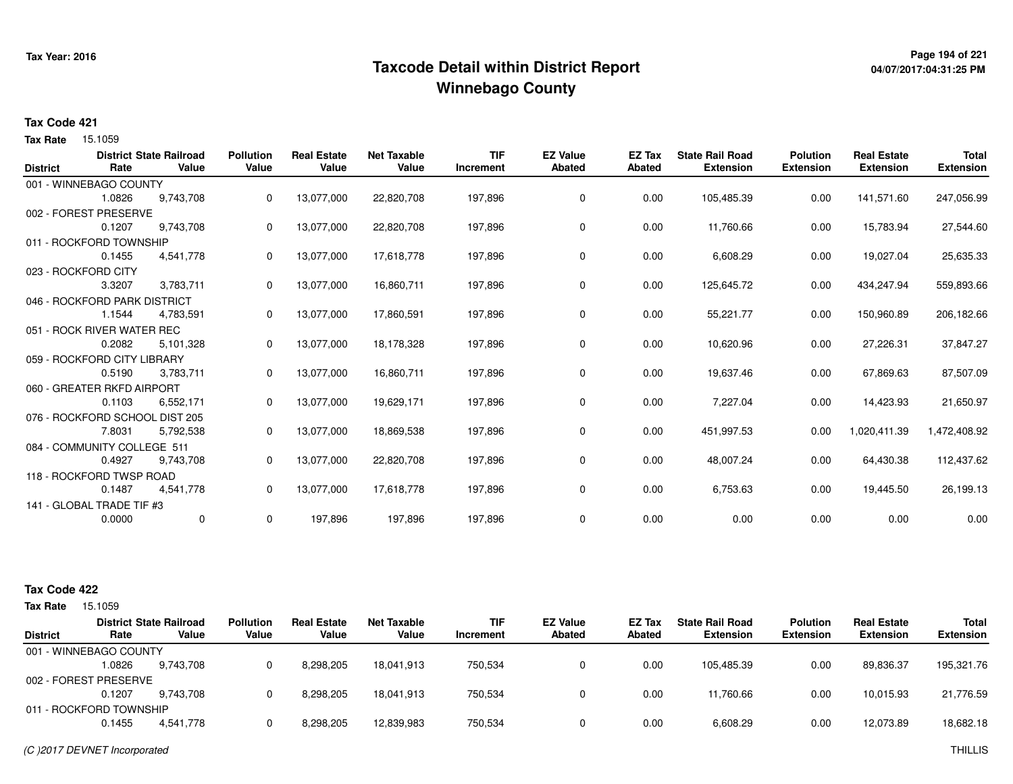# **Page 194 of 221 Taxcode Detail within District ReportWinnebago County**

# **04/07/2017:04:31:25 PM**

### **Tax Code 421**

**Tax Rate** 15.1059

|                 |                                | <b>District State Railroad</b> | <b>Pollution</b> | <b>Real Estate</b> | <b>Net Taxable</b> | <b>TIF</b> | <b>EZ Value</b> | EZ Tax | <b>State Rail Road</b> | <b>Polution</b>  | <b>Real Estate</b> | <b>Total</b>     |
|-----------------|--------------------------------|--------------------------------|------------------|--------------------|--------------------|------------|-----------------|--------|------------------------|------------------|--------------------|------------------|
| <b>District</b> | Rate                           | Value                          | Value            | Value              | Value              | Increment  | <b>Abated</b>   | Abated | <b>Extension</b>       | <b>Extension</b> | <b>Extension</b>   | <b>Extension</b> |
|                 | 001 - WINNEBAGO COUNTY         |                                |                  |                    |                    |            |                 |        |                        |                  |                    |                  |
|                 | 1.0826                         | 9,743,708                      | 0                | 13,077,000         | 22,820,708         | 197,896    | 0               | 0.00   | 105,485.39             | 0.00             | 141,571.60         | 247,056.99       |
|                 | 002 - FOREST PRESERVE          |                                |                  |                    |                    |            |                 |        |                        |                  |                    |                  |
|                 | 0.1207                         | 9,743,708                      | 0                | 13,077,000         | 22,820,708         | 197,896    | 0               | 0.00   | 11,760.66              | 0.00             | 15,783.94          | 27,544.60        |
|                 | 011 - ROCKFORD TOWNSHIP        |                                |                  |                    |                    |            |                 |        |                        |                  |                    |                  |
|                 | 0.1455                         | 4,541,778                      | 0                | 13,077,000         | 17,618,778         | 197,896    | 0               | 0.00   | 6,608.29               | 0.00             | 19,027.04          | 25,635.33        |
|                 | 023 - ROCKFORD CITY            |                                |                  |                    |                    |            |                 |        |                        |                  |                    |                  |
|                 | 3.3207                         | 3,783,711                      | 0                | 13,077,000         | 16,860,711         | 197,896    | 0               | 0.00   | 125,645.72             | 0.00             | 434,247.94         | 559,893.66       |
|                 | 046 - ROCKFORD PARK DISTRICT   |                                |                  |                    |                    |            |                 |        |                        |                  |                    |                  |
|                 | 1.1544                         | 4,783,591                      | 0                | 13,077,000         | 17,860,591         | 197,896    | 0               | 0.00   | 55,221.77              | 0.00             | 150,960.89         | 206,182.66       |
|                 | 051 - ROCK RIVER WATER REC     |                                |                  |                    |                    |            |                 |        |                        |                  |                    |                  |
|                 | 0.2082                         | 5,101,328                      | 0                | 13,077,000         | 18,178,328         | 197,896    | 0               | 0.00   | 10,620.96              | 0.00             | 27,226.31          | 37,847.27        |
|                 | 059 - ROCKFORD CITY LIBRARY    |                                |                  |                    |                    |            |                 |        |                        |                  |                    |                  |
|                 | 0.5190                         | 3,783,711                      | 0                | 13,077,000         | 16,860,711         | 197,896    | 0               | 0.00   | 19,637.46              | 0.00             | 67,869.63          | 87,507.09        |
|                 | 060 - GREATER RKFD AIRPORT     |                                |                  |                    |                    |            |                 |        |                        |                  |                    |                  |
|                 | 0.1103                         | 6,552,171                      | 0                | 13,077,000         | 19,629,171         | 197,896    | 0               | 0.00   | 7,227.04               | 0.00             | 14,423.93          | 21,650.97        |
|                 | 076 - ROCKFORD SCHOOL DIST 205 |                                |                  |                    |                    |            |                 |        |                        |                  |                    |                  |
|                 | 7.8031                         | 5,792,538                      | 0                | 13,077,000         | 18,869,538         | 197,896    | 0               | 0.00   | 451,997.53             | 0.00             | 1,020,411.39       | 1,472,408.92     |
|                 | 084 - COMMUNITY COLLEGE 511    |                                |                  |                    |                    |            |                 |        |                        |                  |                    |                  |
|                 | 0.4927                         | 9,743,708                      | 0                | 13,077,000         | 22,820,708         | 197,896    | 0               | 0.00   | 48,007.24              | 0.00             | 64,430.38          | 112,437.62       |
|                 | 118 - ROCKFORD TWSP ROAD       |                                |                  |                    |                    |            |                 |        |                        |                  |                    |                  |
|                 | 0.1487                         | 4,541,778                      | 0                | 13,077,000         | 17,618,778         | 197,896    | 0               | 0.00   | 6,753.63               | 0.00             | 19,445.50          | 26,199.13        |
|                 | 141 - GLOBAL TRADE TIF #3      |                                |                  |                    |                    |            |                 |        |                        |                  |                    |                  |
|                 | 0.0000                         | 0                              | 0                | 197,896            | 197,896            | 197,896    | 0               | 0.00   | 0.00                   | 0.00             | 0.00               | 0.00             |
|                 |                                |                                |                  |                    |                    |            |                 |        |                        |                  |                    |                  |

| <b>Tax Rate</b> | 15.1059                 |                                         |                           |                             |                      |                  |                           |                  |                                            |                                     |                                        |                                  |
|-----------------|-------------------------|-----------------------------------------|---------------------------|-----------------------------|----------------------|------------------|---------------------------|------------------|--------------------------------------------|-------------------------------------|----------------------------------------|----------------------------------|
| <b>District</b> | Rate                    | <b>District State Railroad</b><br>Value | <b>Pollution</b><br>Value | <b>Real Estate</b><br>Value | Net Taxable<br>Value | TIF<br>Increment | <b>EZ Value</b><br>Abated | EZ Tax<br>Abated | <b>State Rail Road</b><br><b>Extension</b> | <b>Polution</b><br><b>Extension</b> | <b>Real Estate</b><br><b>Extension</b> | <b>Total</b><br><b>Extension</b> |
|                 | 001 - WINNEBAGO COUNTY  |                                         |                           |                             |                      |                  |                           |                  |                                            |                                     |                                        |                                  |
|                 | .0826                   | 9.743.708                               |                           | 8,298,205                   | 18.041.913           | 750,534          |                           | 0.00             | 105.485.39                                 | 0.00                                | 89,836.37                              | 195,321.76                       |
|                 | 002 - FOREST PRESERVE   |                                         |                           |                             |                      |                  |                           |                  |                                            |                                     |                                        |                                  |
|                 | 0.1207                  | 9.743.708                               |                           | 8,298,205                   | 18.041.913           | 750,534          |                           | 0.00             | 11.760.66                                  | 0.00                                | 10.015.93                              | 21,776.59                        |
|                 | 011 - ROCKFORD TOWNSHIP |                                         |                           |                             |                      |                  |                           |                  |                                            |                                     |                                        |                                  |
|                 | 0.1455                  | 4.541.778                               |                           | 8,298,205                   | 12,839,983           | 750,534          |                           | 0.00             | 6,608.29                                   | 0.00                                | 12,073.89                              | 18,682.18                        |
|                 |                         |                                         |                           |                             |                      |                  |                           |                  |                                            |                                     |                                        |                                  |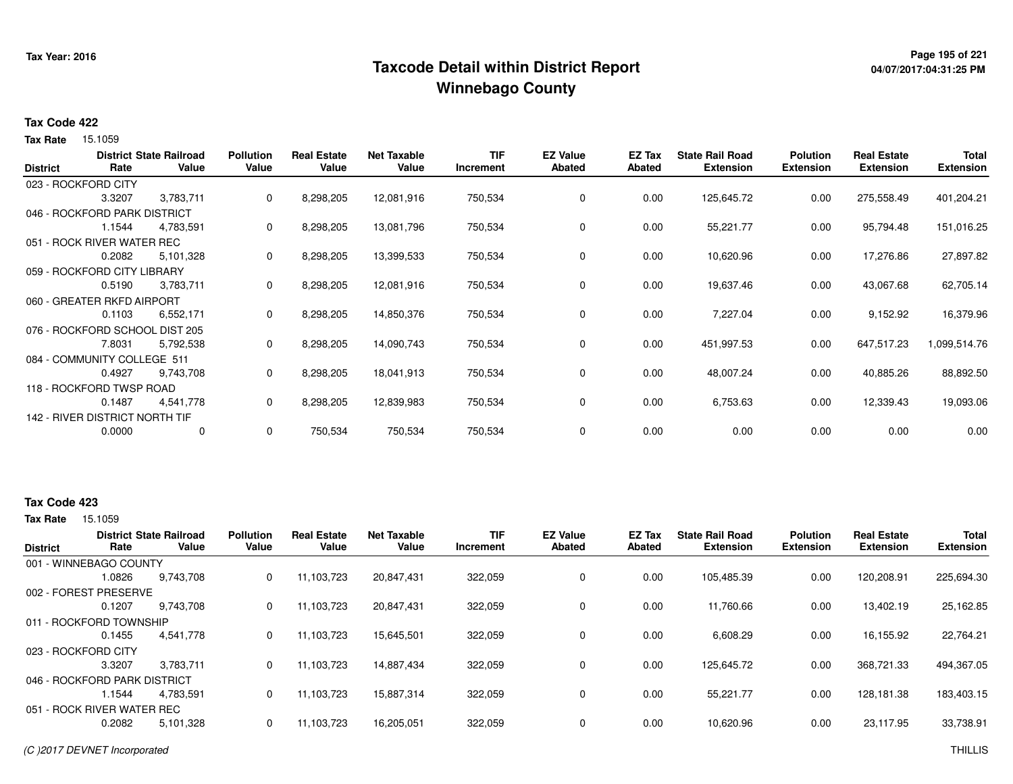# **Page 195 of 221 Taxcode Detail within District ReportWinnebago County**

# **04/07/2017:04:31:25 PM**

### **Tax Code 422**

**Tax Rate** 15.1059

| <b>District</b> | Rate                           | <b>District State Railroad</b><br>Value | <b>Pollution</b><br>Value | <b>Real Estate</b><br>Value | <b>Net Taxable</b><br>Value | <b>TIF</b><br>Increment | <b>EZ Value</b><br><b>Abated</b> | EZ Tax<br><b>Abated</b> | <b>State Rail Road</b><br><b>Extension</b> | <b>Polution</b><br><b>Extension</b> | <b>Real Estate</b><br><b>Extension</b> | <b>Total</b><br><b>Extension</b> |
|-----------------|--------------------------------|-----------------------------------------|---------------------------|-----------------------------|-----------------------------|-------------------------|----------------------------------|-------------------------|--------------------------------------------|-------------------------------------|----------------------------------------|----------------------------------|
|                 | 023 - ROCKFORD CITY            |                                         |                           |                             |                             |                         |                                  |                         |                                            |                                     |                                        |                                  |
|                 | 3.3207                         | 3,783,711                               | 0                         | 8,298,205                   | 12,081,916                  | 750,534                 | 0                                | 0.00                    | 125,645.72                                 | 0.00                                | 275,558.49                             | 401,204.21                       |
|                 | 046 - ROCKFORD PARK DISTRICT   |                                         |                           |                             |                             |                         |                                  |                         |                                            |                                     |                                        |                                  |
|                 | 1.1544                         | 4,783,591                               | 0                         | 8,298,205                   | 13,081,796                  | 750,534                 | 0                                | 0.00                    | 55,221.77                                  | 0.00                                | 95,794.48                              | 151,016.25                       |
|                 | 051 - ROCK RIVER WATER REC     |                                         |                           |                             |                             |                         |                                  |                         |                                            |                                     |                                        |                                  |
|                 | 0.2082                         | 5,101,328                               | 0                         | 8,298,205                   | 13,399,533                  | 750,534                 | 0                                | 0.00                    | 10,620.96                                  | 0.00                                | 17,276.86                              | 27,897.82                        |
|                 | 059 - ROCKFORD CITY LIBRARY    |                                         |                           |                             |                             |                         |                                  |                         |                                            |                                     |                                        |                                  |
|                 | 0.5190                         | 3,783,711                               | 0                         | 8,298,205                   | 12,081,916                  | 750,534                 | 0                                | 0.00                    | 19,637.46                                  | 0.00                                | 43,067.68                              | 62,705.14                        |
|                 | 060 - GREATER RKFD AIRPORT     |                                         |                           |                             |                             |                         |                                  |                         |                                            |                                     |                                        |                                  |
|                 | 0.1103                         | 6,552,171                               | 0                         | 8,298,205                   | 14,850,376                  | 750,534                 | 0                                | 0.00                    | 7,227.04                                   | 0.00                                | 9,152.92                               | 16,379.96                        |
|                 | 076 - ROCKFORD SCHOOL DIST 205 |                                         |                           |                             |                             |                         |                                  |                         |                                            |                                     |                                        |                                  |
|                 | 7.8031                         | 5,792,538                               | 0                         | 8,298,205                   | 14,090,743                  | 750,534                 | 0                                | 0.00                    | 451,997.53                                 | 0.00                                | 647,517.23                             | 1,099,514.76                     |
|                 | 084 - COMMUNITY COLLEGE 511    |                                         |                           |                             |                             |                         |                                  |                         |                                            |                                     |                                        |                                  |
|                 | 0.4927                         | 9,743,708                               | 0                         | 8,298,205                   | 18,041,913                  | 750,534                 | 0                                | 0.00                    | 48,007.24                                  | 0.00                                | 40,885.26                              | 88,892.50                        |
|                 | 118 - ROCKFORD TWSP ROAD       |                                         |                           |                             |                             |                         |                                  |                         |                                            |                                     |                                        |                                  |
|                 | 0.1487                         | 4,541,778                               | 0                         | 8,298,205                   | 12,839,983                  | 750,534                 | 0                                | 0.00                    | 6,753.63                                   | 0.00                                | 12,339.43                              | 19,093.06                        |
|                 | 142 - RIVER DISTRICT NORTH TIF |                                         |                           |                             |                             |                         |                                  |                         |                                            |                                     |                                        |                                  |
|                 | 0.0000                         | 0                                       | 0                         | 750,534                     | 750,534                     | 750,534                 | 0                                | 0.00                    | 0.00                                       | 0.00                                | 0.00                                   | 0.00                             |

### **Tax Code 423**

|                              |        | <b>District State Railroad</b> | <b>Pollution</b> | <b>Real Estate</b> | <b>Net Taxable</b> | <b>TIF</b> | <b>EZ Value</b> | EZ Tax | <b>State Rail Road</b> | <b>Polution</b>  | <b>Real Estate</b> | <b>Total</b>     |
|------------------------------|--------|--------------------------------|------------------|--------------------|--------------------|------------|-----------------|--------|------------------------|------------------|--------------------|------------------|
| <b>District</b>              | Rate   | Value                          | Value            | Value              | Value              | Increment  | <b>Abated</b>   | Abated | <b>Extension</b>       | <b>Extension</b> | <b>Extension</b>   | <b>Extension</b> |
| 001 - WINNEBAGO COUNTY       |        |                                |                  |                    |                    |            |                 |        |                        |                  |                    |                  |
|                              | 1.0826 | 9.743.708                      | 0                | 11.103.723         | 20,847,431         | 322,059    | $\mathbf 0$     | 0.00   | 105.485.39             | 0.00             | 120,208.91         | 225,694.30       |
| 002 - FOREST PRESERVE        |        |                                |                  |                    |                    |            |                 |        |                        |                  |                    |                  |
|                              | 0.1207 | 9.743.708                      | 0                | 11.103.723         | 20,847,431         | 322,059    | 0               | 0.00   | 11.760.66              | 0.00             | 13.402.19          | 25,162.85        |
| 011 - ROCKFORD TOWNSHIP      |        |                                |                  |                    |                    |            |                 |        |                        |                  |                    |                  |
|                              | 0.1455 | 4,541,778                      | 0                | 11,103,723         | 15,645,501         | 322,059    | 0               | 0.00   | 6,608.29               | 0.00             | 16.155.92          | 22,764.21        |
| 023 - ROCKFORD CITY          |        |                                |                  |                    |                    |            |                 |        |                        |                  |                    |                  |
|                              | 3.3207 | 3,783,711                      | 0                | 11,103,723         | 14,887,434         | 322,059    | $\mathbf 0$     | 0.00   | 125,645.72             | 0.00             | 368,721.33         | 494,367.05       |
| 046 - ROCKFORD PARK DISTRICT |        |                                |                  |                    |                    |            |                 |        |                        |                  |                    |                  |
|                              | 1.1544 | 4.783.591                      | 0                | 11.103.723         | 15,887,314         | 322,059    | 0               | 0.00   | 55.221.77              | 0.00             | 128,181.38         | 183,403.15       |
| 051 - ROCK RIVER WATER REC   |        |                                |                  |                    |                    |            |                 |        |                        |                  |                    |                  |
|                              | 0.2082 | 5,101,328                      | 0                | 11,103,723         | 16,205,051         | 322,059    | 0               | 0.00   | 10,620.96              | 0.00             | 23,117.95          | 33,738.91        |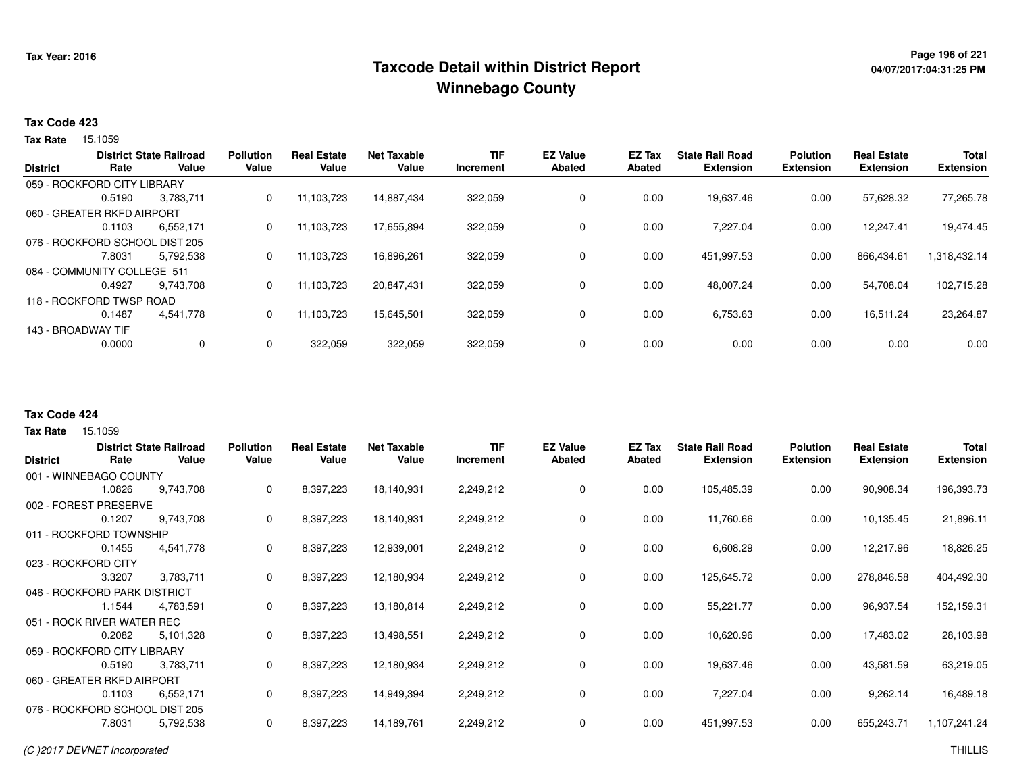# **Page 196 of 221 Taxcode Detail within District ReportWinnebago County**

### **Tax Code 423**

**Tax Rate** 15.1059

|        |                            | <b>Pollution</b>                                                                                                                                                                                  | <b>Real Estate</b> | <b>Net Taxable</b> | <b>TIF</b> | <b>EZ Value</b> | EZ Tax        | <b>State Rail Road</b> | <b>Polution</b>  | <b>Real Estate</b> | <b>Total</b>     |
|--------|----------------------------|---------------------------------------------------------------------------------------------------------------------------------------------------------------------------------------------------|--------------------|--------------------|------------|-----------------|---------------|------------------------|------------------|--------------------|------------------|
|        |                            |                                                                                                                                                                                                   |                    |                    |            |                 |               |                        |                  |                    | <b>Extension</b> |
|        |                            |                                                                                                                                                                                                   |                    |                    |            |                 |               |                        |                  |                    |                  |
| 0.5190 | 3.783.711                  | 0                                                                                                                                                                                                 | 11.103.723         | 14.887.434         | 322,059    | 0               | 0.00          | 19,637.46              | 0.00             | 57.628.32          | 77,265.78        |
|        |                            |                                                                                                                                                                                                   |                    |                    |            |                 |               |                        |                  |                    |                  |
| 0.1103 | 6.552.171                  | 0                                                                                                                                                                                                 | 11.103.723         | 17.655.894         | 322,059    | 0               | 0.00          | 7.227.04               | 0.00             | 12.247.41          | 19.474.45        |
|        |                            |                                                                                                                                                                                                   |                    |                    |            |                 |               |                        |                  |                    |                  |
| 7.8031 | 5,792,538                  | 0                                                                                                                                                                                                 | 11,103,723         | 16,896,261         | 322,059    | 0               | 0.00          | 451,997.53             | 0.00             | 866,434.61         | 1,318,432.14     |
|        |                            |                                                                                                                                                                                                   |                    |                    |            |                 |               |                        |                  |                    |                  |
| 0.4927 | 9.743.708                  | 0                                                                                                                                                                                                 | 11,103,723         | 20.847.431         | 322,059    | 0               | 0.00          | 48,007.24              | 0.00             | 54,708.04          | 102,715.28       |
|        |                            |                                                                                                                                                                                                   |                    |                    |            |                 |               |                        |                  |                    |                  |
| 0.1487 | 4,541,778                  | 0                                                                                                                                                                                                 | 11.103.723         | 15.645.501         | 322.059    | $\mathbf 0$     | 0.00          | 6,753.63               | 0.00             | 16.511.24          | 23,264.87        |
|        |                            |                                                                                                                                                                                                   |                    |                    |            |                 |               |                        |                  |                    |                  |
| 0.0000 | 0                          | 0                                                                                                                                                                                                 | 322,059            | 322,059            | 322,059    | $\mathbf 0$     | 0.00          | 0.00                   | 0.00             | 0.00               | 0.00             |
|        | Rate<br>143 - BROADWAY TIF | <b>District State Railroad</b><br>Value<br>059 - ROCKFORD CITY LIBRARY<br>060 - GREATER RKFD AIRPORT<br>076 - ROCKFORD SCHOOL DIST 205<br>084 - COMMUNITY COLLEGE 511<br>118 - ROCKFORD TWSP ROAD | Value              | Value              | Value      | Increment       | <b>Abated</b> | <b>Abated</b>          | <b>Extension</b> | <b>Extension</b>   | <b>Extension</b> |

#### **Tax Code 424**

|                     |                                | <b>District State Railroad</b> | <b>Pollution</b> | <b>Real Estate</b> | <b>Net Taxable</b> | <b>TIF</b> | <b>EZ Value</b> | <b>EZ Tax</b> | <b>State Rail Road</b> | <b>Polution</b>  | <b>Real Estate</b> | <b>Total</b>     |
|---------------------|--------------------------------|--------------------------------|------------------|--------------------|--------------------|------------|-----------------|---------------|------------------------|------------------|--------------------|------------------|
| <b>District</b>     | Rate                           | Value                          | Value            | Value              | Value              | Increment  | <b>Abated</b>   | Abated        | <b>Extension</b>       | <b>Extension</b> | <b>Extension</b>   | <b>Extension</b> |
|                     | 001 - WINNEBAGO COUNTY         |                                |                  |                    |                    |            |                 |               |                        |                  |                    |                  |
|                     | 1.0826                         | 9,743,708                      | 0                | 8,397,223          | 18,140,931         | 2,249,212  | 0               | 0.00          | 105,485.39             | 0.00             | 90,908.34          | 196,393.73       |
|                     | 002 - FOREST PRESERVE          |                                |                  |                    |                    |            |                 |               |                        |                  |                    |                  |
|                     | 0.1207                         | 9,743,708                      | 0                | 8,397,223          | 18,140,931         | 2,249,212  | 0               | 0.00          | 11,760.66              | 0.00             | 10,135.45          | 21,896.11        |
|                     | 011 - ROCKFORD TOWNSHIP        |                                |                  |                    |                    |            |                 |               |                        |                  |                    |                  |
|                     | 0.1455                         | 4,541,778                      | 0                | 8,397,223          | 12,939,001         | 2,249,212  | 0               | 0.00          | 6,608.29               | 0.00             | 12,217.96          | 18,826.25        |
| 023 - ROCKFORD CITY |                                |                                |                  |                    |                    |            |                 |               |                        |                  |                    |                  |
|                     | 3.3207                         | 3,783,711                      | 0                | 8,397,223          | 12,180,934         | 2,249,212  | 0               | 0.00          | 125,645.72             | 0.00             | 278,846.58         | 404,492.30       |
|                     | 046 - ROCKFORD PARK DISTRICT   |                                |                  |                    |                    |            |                 |               |                        |                  |                    |                  |
|                     | 1.1544                         | 4,783,591                      | 0                | 8,397,223          | 13,180,814         | 2,249,212  | 0               | 0.00          | 55,221.77              | 0.00             | 96,937.54          | 152,159.31       |
|                     | 051 - ROCK RIVER WATER REC     |                                |                  |                    |                    |            |                 |               |                        |                  |                    |                  |
|                     | 0.2082                         | 5,101,328                      | 0                | 8,397,223          | 13,498,551         | 2,249,212  | 0               | 0.00          | 10,620.96              | 0.00             | 17,483.02          | 28,103.98        |
|                     | 059 - ROCKFORD CITY LIBRARY    |                                |                  |                    |                    |            |                 |               |                        |                  |                    |                  |
|                     | 0.5190                         | 3,783,711                      | 0                | 8,397,223          | 12,180,934         | 2,249,212  | 0               | 0.00          | 19,637.46              | 0.00             | 43,581.59          | 63,219.05        |
|                     | 060 - GREATER RKFD AIRPORT     |                                |                  |                    |                    |            |                 |               |                        |                  |                    |                  |
|                     | 0.1103                         | 6,552,171                      | 0                | 8,397,223          | 14,949,394         | 2,249,212  | 0               | 0.00          | 7,227.04               | 0.00             | 9,262.14           | 16,489.18        |
|                     | 076 - ROCKFORD SCHOOL DIST 205 |                                |                  |                    |                    |            |                 |               |                        |                  |                    |                  |
|                     | 7.8031                         | 5,792,538                      | 0                | 8,397,223          | 14,189,761         | 2,249,212  | 0               | 0.00          | 451,997.53             | 0.00             | 655,243.71         | 1,107,241.24     |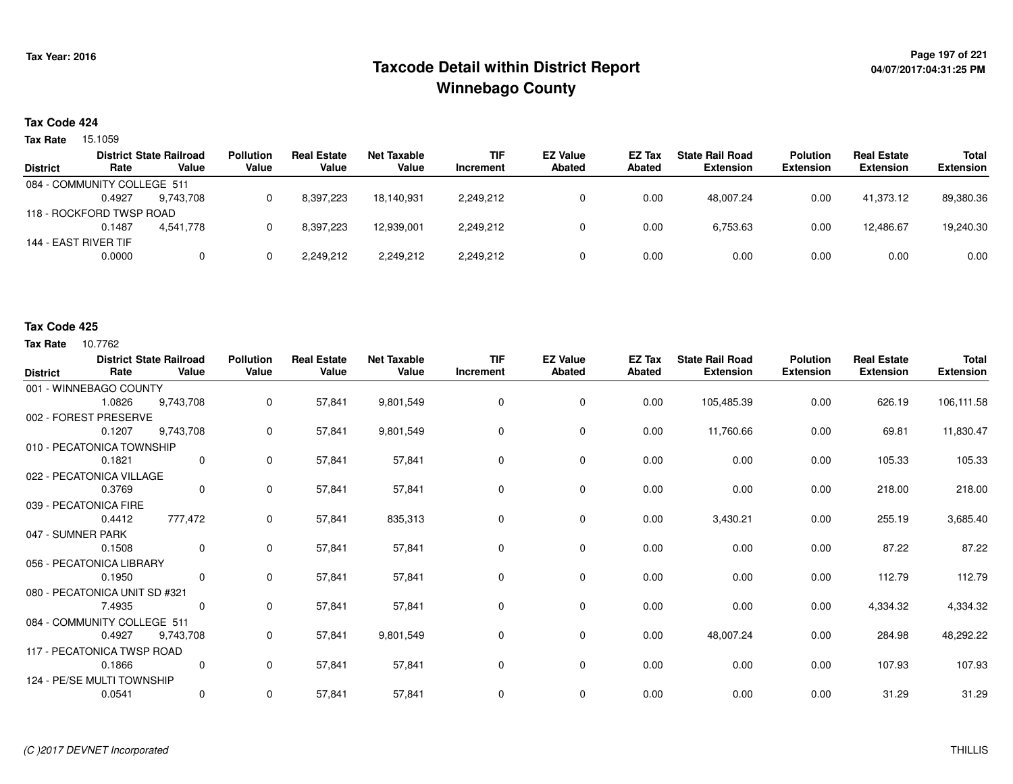# **Page 197 of 221 Taxcode Detail within District ReportWinnebago County**

# **04/07/2017:04:31:25 PM**

### **Tax Code 424**

**Tax Rate** 15.1059

|                      |           | <b>Pollution</b>                                                                          | <b>Real Estate</b> | Net Taxable | <b>TIF</b> | <b>EZ Value</b> | EZ Tax | <b>State Rail Road</b> | <b>Polution</b>  | <b>Real Estate</b> | <b>Total</b>     |
|----------------------|-----------|-------------------------------------------------------------------------------------------|--------------------|-------------|------------|-----------------|--------|------------------------|------------------|--------------------|------------------|
| Rate                 | Value     | Value                                                                                     | Value              | Value       | Increment  | Abated          | Abated | <b>Extension</b>       | <b>Extension</b> | <b>Extension</b>   | <b>Extension</b> |
|                      |           |                                                                                           |                    |             |            |                 |        |                        |                  |                    |                  |
| 0.4927               | 9.743.708 |                                                                                           | 8,397,223          | 18.140.931  | 2,249,212  |                 | 0.00   | 48.007.24              | 0.00             | 41.373.12          | 89,380.36        |
|                      |           |                                                                                           |                    |             |            |                 |        |                        |                  |                    |                  |
| 0.1487               | 4.541.778 |                                                                                           | 8.397.223          | 12.939.001  | 2.249.212  |                 | 0.00   | 6.753.63               | 0.00             | 12.486.67          | 19,240.30        |
| 144 - EAST RIVER TIF |           |                                                                                           |                    |             |            |                 |        |                        |                  |                    |                  |
| 0.0000               | 0         |                                                                                           | 2,249,212          | 2,249,212   | 2,249,212  |                 | 0.00   | 0.00                   | 0.00             | 0.00               | 0.00             |
|                      |           | <b>District State Railroad</b><br>084 - COMMUNITY COLLEGE 511<br>118 - ROCKFORD TWSP ROAD |                    |             |            |                 |        |                        |                  |                    |                  |

#### **Tax Code 425**

| <b>District</b>   | Rate                          | <b>District State Railroad</b><br>Value | <b>Pollution</b><br>Value | <b>Real Estate</b><br>Value | <b>Net Taxable</b><br>Value | <b>TIF</b><br>Increment | <b>EZ Value</b><br><b>Abated</b> | <b>EZ Tax</b><br>Abated | <b>State Rail Road</b><br><b>Extension</b> | <b>Polution</b><br><b>Extension</b> | <b>Real Estate</b><br><b>Extension</b> | <b>Total</b><br><b>Extension</b> |
|-------------------|-------------------------------|-----------------------------------------|---------------------------|-----------------------------|-----------------------------|-------------------------|----------------------------------|-------------------------|--------------------------------------------|-------------------------------------|----------------------------------------|----------------------------------|
|                   | 001 - WINNEBAGO COUNTY        |                                         |                           |                             |                             |                         |                                  |                         |                                            |                                     |                                        |                                  |
|                   | 1.0826                        | 9,743,708                               | 0                         | 57,841                      | 9,801,549                   | 0                       | $\mathbf 0$                      | 0.00                    | 105,485.39                                 | 0.00                                | 626.19                                 | 106,111.58                       |
|                   | 002 - FOREST PRESERVE         |                                         |                           |                             |                             |                         |                                  |                         |                                            |                                     |                                        |                                  |
|                   | 0.1207                        | 9,743,708                               | 0                         | 57,841                      | 9,801,549                   | 0                       | 0                                | 0.00                    | 11,760.66                                  | 0.00                                | 69.81                                  | 11,830.47                        |
|                   | 010 - PECATONICA TOWNSHIP     |                                         |                           |                             |                             |                         |                                  |                         |                                            |                                     |                                        |                                  |
|                   | 0.1821                        | 0                                       | 0                         | 57,841                      | 57,841                      | $\Omega$                | $\mathbf 0$                      | 0.00                    | 0.00                                       | 0.00                                | 105.33                                 | 105.33                           |
|                   | 022 - PECATONICA VILLAGE      |                                         |                           |                             |                             |                         |                                  |                         |                                            |                                     |                                        |                                  |
|                   | 0.3769                        | $\mathbf{0}$                            | $\mathbf 0$               | 57,841                      | 57,841                      | $\Omega$                | $\mathbf 0$                      | 0.00                    | 0.00                                       | 0.00                                | 218.00                                 | 218.00                           |
|                   | 039 - PECATONICA FIRE         |                                         |                           |                             |                             |                         |                                  |                         |                                            |                                     |                                        |                                  |
|                   | 0.4412                        | 777,472                                 | 0                         | 57,841                      | 835,313                     | 0                       | $\mathbf 0$                      | 0.00                    | 3,430.21                                   | 0.00                                | 255.19                                 | 3,685.40                         |
| 047 - SUMNER PARK |                               |                                         |                           |                             |                             |                         |                                  |                         |                                            |                                     |                                        |                                  |
|                   | 0.1508                        | $\mathbf 0$                             | 0                         | 57,841                      | 57,841                      | 0                       | $\mathbf 0$                      | 0.00                    | 0.00                                       | 0.00                                | 87.22                                  | 87.22                            |
|                   | 056 - PECATONICA LIBRARY      |                                         |                           |                             |                             |                         |                                  |                         |                                            |                                     |                                        |                                  |
|                   | 0.1950                        | $\mathbf 0$                             | 0                         | 57,841                      | 57,841                      | 0                       | 0                                | 0.00                    | 0.00                                       | 0.00                                | 112.79                                 | 112.79                           |
|                   | 080 - PECATONICA UNIT SD #321 |                                         |                           |                             |                             |                         |                                  |                         |                                            |                                     |                                        |                                  |
|                   | 7.4935                        | 0                                       | 0                         | 57,841                      | 57,841                      | 0                       | 0                                | 0.00                    | 0.00                                       | 0.00                                | 4,334.32                               | 4,334.32                         |
|                   | 084 - COMMUNITY COLLEGE 511   |                                         |                           |                             |                             |                         |                                  |                         |                                            |                                     |                                        |                                  |
|                   | 0.4927                        | 9,743,708                               | 0                         | 57,841                      | 9,801,549                   | 0                       | 0                                | 0.00                    | 48,007.24                                  | 0.00                                | 284.98                                 | 48,292.22                        |
|                   | 117 - PECATONICA TWSP ROAD    |                                         |                           |                             |                             |                         |                                  |                         |                                            |                                     |                                        |                                  |
|                   | 0.1866                        | $\mathbf 0$                             | $\mathbf{0}$              | 57,841                      | 57,841                      | $\mathbf 0$             | $\mathbf 0$                      | 0.00                    | 0.00                                       | 0.00                                | 107.93                                 | 107.93                           |
|                   | 124 - PE/SE MULTI TOWNSHIP    |                                         |                           |                             |                             |                         |                                  |                         |                                            |                                     |                                        |                                  |
|                   | 0.0541                        | 0                                       | 0                         | 57,841                      | 57,841                      | 0                       | 0                                | 0.00                    | 0.00                                       | 0.00                                | 31.29                                  | 31.29                            |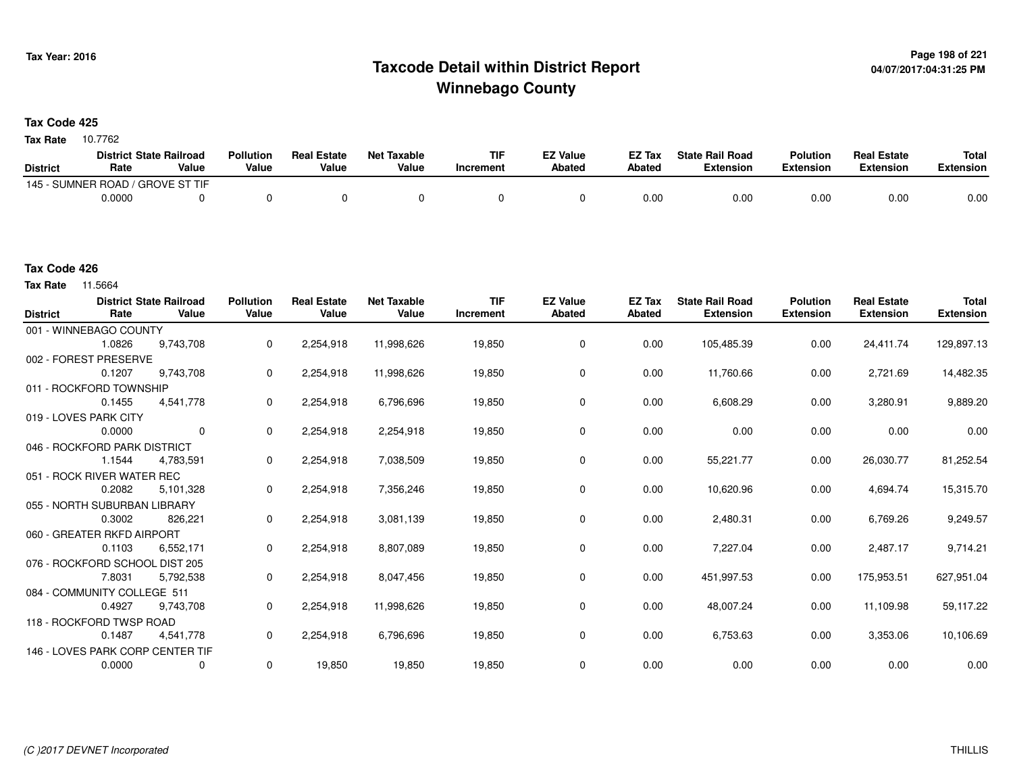# **Page 198 of 221 Taxcode Detail within District ReportWinnebago County**

**Tax Code 425**

Tax Rate 10.7762

|                 | <b>District State Railroad</b>   |       | <b>Pollution</b> | <b>Real Estate</b> | Net Taxable | <b>TIF</b> | <b>EZ Value</b> | <b>EZ Tax</b> | <b>State Rail Road</b> | <b>Polution</b>  | <b>Real Estate</b> | <b>Total</b> |
|-----------------|----------------------------------|-------|------------------|--------------------|-------------|------------|-----------------|---------------|------------------------|------------------|--------------------|--------------|
| <b>District</b> | Rate                             | Value | Value            | Value              | Value       | Increment  | Abated          | <b>Abated</b> | Extension              | <b>Extension</b> | Extension          | Extension    |
|                 | 145 - SUMNER ROAD / GROVE ST TIF |       |                  |                    |             |            |                 |               |                        |                  |                    |              |
|                 | 0.0000                           |       |                  |                    |             |            |                 | 0.00          | 0.00                   | 0.00             | 0.00               | 0.00         |

**Tax Rate** 11.5664

| <b>District</b> | Rate                           | <b>District State Railroad</b><br>Value | <b>Pollution</b><br>Value | <b>Real Estate</b><br>Value | <b>Net Taxable</b><br>Value | <b>TIF</b><br>Increment | <b>EZ Value</b><br><b>Abated</b> | <b>EZ Tax</b><br><b>Abated</b> | <b>State Rail Road</b><br><b>Extension</b> | <b>Polution</b><br><b>Extension</b> | <b>Real Estate</b><br><b>Extension</b> | <b>Total</b><br><b>Extension</b> |
|-----------------|--------------------------------|-----------------------------------------|---------------------------|-----------------------------|-----------------------------|-------------------------|----------------------------------|--------------------------------|--------------------------------------------|-------------------------------------|----------------------------------------|----------------------------------|
|                 | 001 - WINNEBAGO COUNTY         |                                         |                           |                             |                             |                         |                                  |                                |                                            |                                     |                                        |                                  |
|                 | 1.0826                         | 9,743,708                               | 0                         | 2,254,918                   | 11,998,626                  | 19,850                  | $\mathbf 0$                      | 0.00                           | 105,485.39                                 | 0.00                                | 24,411.74                              | 129,897.13                       |
|                 | 002 - FOREST PRESERVE          |                                         |                           |                             |                             |                         |                                  |                                |                                            |                                     |                                        |                                  |
|                 | 0.1207                         | 9,743,708                               | 0                         | 2,254,918                   | 11,998,626                  | 19,850                  | 0                                | 0.00                           | 11,760.66                                  | 0.00                                | 2,721.69                               | 14,482.35                        |
|                 | 011 - ROCKFORD TOWNSHIP        |                                         |                           |                             |                             |                         |                                  |                                |                                            |                                     |                                        |                                  |
|                 | 0.1455                         | 4,541,778                               | 0                         | 2,254,918                   | 6,796,696                   | 19,850                  | 0                                | 0.00                           | 6,608.29                                   | 0.00                                | 3,280.91                               | 9,889.20                         |
|                 | 019 - LOVES PARK CITY          |                                         |                           |                             |                             |                         |                                  |                                |                                            |                                     |                                        |                                  |
|                 | 0.0000                         | $\Omega$                                | 0                         | 2,254,918                   | 2,254,918                   | 19,850                  | $\mathbf 0$                      | 0.00                           | 0.00                                       | 0.00                                | 0.00                                   | 0.00                             |
|                 | 046 - ROCKFORD PARK DISTRICT   |                                         |                           |                             |                             |                         |                                  |                                |                                            |                                     |                                        |                                  |
|                 | 1.1544                         | 4,783,591                               | 0                         | 2,254,918                   | 7,038,509                   | 19,850                  | 0                                | 0.00                           | 55,221.77                                  | 0.00                                | 26,030.77                              | 81,252.54                        |
|                 | 051 - ROCK RIVER WATER REC     |                                         |                           |                             |                             |                         |                                  |                                |                                            |                                     |                                        |                                  |
|                 | 0.2082                         | 5.101,328                               | 0                         | 2,254,918                   | 7,356,246                   | 19,850                  | 0                                | 0.00                           | 10,620.96                                  | 0.00                                | 4,694.74                               | 15,315.70                        |
|                 | 055 - NORTH SUBURBAN LIBRARY   |                                         |                           |                             |                             |                         |                                  |                                |                                            |                                     |                                        |                                  |
|                 | 0.3002                         | 826,221                                 | 0                         | 2,254,918                   | 3,081,139                   | 19,850                  | 0                                | 0.00                           | 2,480.31                                   | 0.00                                | 6,769.26                               | 9,249.57                         |
|                 | 060 - GREATER RKFD AIRPORT     |                                         |                           |                             |                             |                         |                                  |                                |                                            |                                     |                                        |                                  |
|                 | 0.1103                         | 6,552,171                               | 0                         | 2,254,918                   | 8,807,089                   | 19,850                  | $\mathbf 0$                      | 0.00                           | 7,227.04                                   | 0.00                                | 2,487.17                               | 9,714.21                         |
|                 | 076 - ROCKFORD SCHOOL DIST 205 |                                         |                           |                             |                             |                         |                                  |                                |                                            |                                     |                                        |                                  |
|                 | 7.8031                         | 5,792,538                               | 0                         | 2,254,918                   | 8,047,456                   | 19,850                  | 0                                | 0.00                           | 451,997.53                                 | 0.00                                | 175,953.51                             | 627,951.04                       |
|                 | 084 - COMMUNITY COLLEGE 511    |                                         |                           |                             |                             |                         |                                  |                                |                                            |                                     |                                        |                                  |
|                 | 0.4927                         | 9,743,708                               | 0                         | 2,254,918                   | 11,998,626                  | 19,850                  | 0                                | 0.00                           | 48,007.24                                  | 0.00                                | 11,109.98                              | 59,117.22                        |
|                 | 118 - ROCKFORD TWSP ROAD       |                                         |                           |                             |                             |                         |                                  |                                |                                            |                                     |                                        |                                  |
|                 | 0.1487                         | 4,541,778                               | 0                         | 2,254,918                   | 6,796,696                   | 19,850                  | $\mathbf 0$                      | 0.00                           | 6,753.63                                   | 0.00                                | 3,353.06                               | 10,106.69                        |
|                 |                                | 146 - LOVES PARK CORP CENTER TIF        |                           |                             |                             |                         |                                  |                                |                                            |                                     |                                        |                                  |
|                 | 0.0000                         | 0                                       | 0                         | 19,850                      | 19,850                      | 19,850                  | $\mathbf 0$                      | 0.00                           | 0.00                                       | 0.00                                | 0.00                                   | 0.00                             |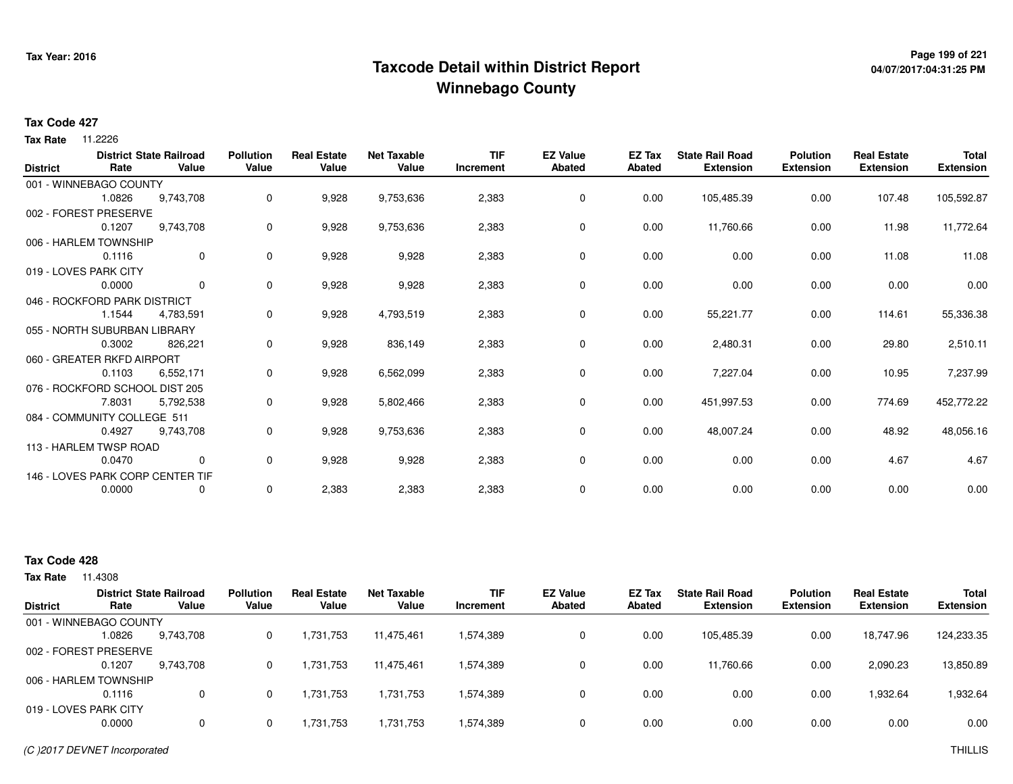# **Page 199 of 221 Taxcode Detail within District ReportWinnebago County**

# **04/07/2017:04:31:25 PM**

#### **Tax Code 427**

**Tax Rate** 11.2226

| <b>District</b> | Rate                           | <b>District State Railroad</b><br>Value | <b>Pollution</b><br>Value | <b>Real Estate</b><br>Value | <b>Net Taxable</b><br>Value | <b>TIF</b><br>Increment | <b>EZ Value</b><br><b>Abated</b> | EZ Tax<br><b>Abated</b> | <b>State Rail Road</b><br><b>Extension</b> | <b>Polution</b><br><b>Extension</b> | <b>Real Estate</b><br><b>Extension</b> | <b>Total</b><br><b>Extension</b> |
|-----------------|--------------------------------|-----------------------------------------|---------------------------|-----------------------------|-----------------------------|-------------------------|----------------------------------|-------------------------|--------------------------------------------|-------------------------------------|----------------------------------------|----------------------------------|
|                 | 001 - WINNEBAGO COUNTY         |                                         |                           |                             |                             |                         |                                  |                         |                                            |                                     |                                        |                                  |
|                 | 1.0826                         | 9,743,708                               | 0                         | 9,928                       | 9,753,636                   | 2,383                   | 0                                | 0.00                    | 105,485.39                                 | 0.00                                | 107.48                                 | 105,592.87                       |
|                 | 002 - FOREST PRESERVE          |                                         |                           |                             |                             |                         |                                  |                         |                                            |                                     |                                        |                                  |
|                 | 0.1207                         | 9,743,708                               | 0                         | 9,928                       | 9,753,636                   | 2,383                   | 0                                | 0.00                    | 11,760.66                                  | 0.00                                | 11.98                                  | 11,772.64                        |
|                 | 006 - HARLEM TOWNSHIP          |                                         |                           |                             |                             |                         |                                  |                         |                                            |                                     |                                        |                                  |
|                 | 0.1116                         | $\overline{0}$                          | 0                         | 9,928                       | 9,928                       | 2,383                   | 0                                | 0.00                    | 0.00                                       | 0.00                                | 11.08                                  | 11.08                            |
|                 | 019 - LOVES PARK CITY          |                                         |                           |                             |                             |                         |                                  |                         |                                            |                                     |                                        |                                  |
|                 | 0.0000                         | $\mathbf{0}$                            | 0                         | 9,928                       | 9,928                       | 2,383                   | 0                                | 0.00                    | 0.00                                       | 0.00                                | 0.00                                   | 0.00                             |
|                 | 046 - ROCKFORD PARK DISTRICT   |                                         |                           |                             |                             |                         |                                  |                         |                                            |                                     |                                        |                                  |
|                 | 1.1544                         | 4,783,591                               | 0                         | 9,928                       | 4,793,519                   | 2,383                   | 0                                | 0.00                    | 55,221.77                                  | 0.00                                | 114.61                                 | 55,336.38                        |
|                 | 055 - NORTH SUBURBAN LIBRARY   |                                         |                           |                             |                             |                         |                                  |                         |                                            |                                     |                                        |                                  |
|                 | 0.3002                         | 826,221                                 | 0                         | 9,928                       | 836,149                     | 2,383                   | $\mathbf 0$                      | 0.00                    | 2,480.31                                   | 0.00                                | 29.80                                  | 2,510.11                         |
|                 | 060 - GREATER RKFD AIRPORT     |                                         |                           |                             |                             |                         |                                  |                         |                                            |                                     |                                        |                                  |
|                 | 0.1103                         | 6,552,171                               | 0                         | 9,928                       | 6,562,099                   | 2,383                   | 0                                | 0.00                    | 7,227.04                                   | 0.00                                | 10.95                                  | 7,237.99                         |
|                 | 076 - ROCKFORD SCHOOL DIST 205 |                                         |                           |                             |                             |                         |                                  |                         |                                            |                                     |                                        |                                  |
|                 | 7.8031                         | 5,792,538                               | 0                         | 9,928                       | 5,802,466                   | 2,383                   | 0                                | 0.00                    | 451,997.53                                 | 0.00                                | 774.69                                 | 452,772.22                       |
|                 | 084 - COMMUNITY COLLEGE 511    |                                         |                           |                             |                             |                         |                                  |                         |                                            |                                     |                                        |                                  |
|                 | 0.4927                         | 9,743,708                               | 0                         | 9,928                       | 9,753,636                   | 2,383                   | $\mathbf 0$                      | 0.00                    | 48,007.24                                  | 0.00                                | 48.92                                  | 48,056.16                        |
|                 | 113 - HARLEM TWSP ROAD         |                                         |                           |                             |                             |                         |                                  |                         |                                            |                                     |                                        |                                  |
|                 | 0.0470                         | $\mathbf{0}$                            | 0                         | 9,928                       | 9,928                       | 2,383                   | $\mathbf 0$                      | 0.00                    | 0.00                                       | 0.00                                | 4.67                                   | 4.67                             |
|                 |                                | 146 - LOVES PARK CORP CENTER TIF        |                           |                             |                             |                         |                                  |                         |                                            |                                     |                                        |                                  |
|                 | 0.0000                         | 0                                       | 0                         | 2,383                       | 2,383                       | 2,383                   | 0                                | 0.00                    | 0.00                                       | 0.00                                | 0.00                                   | 0.00                             |

### **Tax Code 428**

|                        |        | <b>District State Railroad</b> | <b>Pollution</b> | <b>Real Estate</b> | Net Taxable | <b>TIF</b> | <b>EZ Value</b> | <b>EZ Tax</b> | <b>State Rail Road</b> | <b>Polution</b>  | <b>Real Estate</b> | <b>Total</b>     |
|------------------------|--------|--------------------------------|------------------|--------------------|-------------|------------|-----------------|---------------|------------------------|------------------|--------------------|------------------|
| <b>District</b>        | Rate   | Value                          | Value            | Value              | Value       | Increment  | <b>Abated</b>   | Abated        | <b>Extension</b>       | <b>Extension</b> | <b>Extension</b>   | <b>Extension</b> |
| 001 - WINNEBAGO COUNTY |        |                                |                  |                    |             |            |                 |               |                        |                  |                    |                  |
|                        | 1.0826 | 9,743,708                      |                  | 1,731,753          | 11,475,461  | 1,574,389  | 0               | 0.00          | 105,485.39             | 0.00             | 18,747.96          | 124,233.35       |
| 002 - FOREST PRESERVE  |        |                                |                  |                    |             |            |                 |               |                        |                  |                    |                  |
|                        | 0.1207 | 9.743.708                      |                  | 1.731.753          | 11.475.461  | 1,574,389  |                 | 0.00          | 11,760.66              | 0.00             | 2,090.23           | 13,850.89        |
| 006 - HARLEM TOWNSHIP  |        |                                |                  |                    |             |            |                 |               |                        |                  |                    |                  |
|                        | 0.1116 | 0                              |                  | 1.731.753          | 1,731,753   | 1,574,389  | 0               | 0.00          | 0.00                   | 0.00             | 1,932.64           | 1,932.64         |
| 019 - LOVES PARK CITY  |        |                                |                  |                    |             |            |                 |               |                        |                  |                    |                  |
|                        | 0.0000 | 0                              |                  | 1,731,753          | 1,731,753   | 1,574,389  | $\Omega$        | 0.00          | 0.00                   | 0.00             | 0.00               | 0.00             |
|                        |        |                                |                  |                    |             |            |                 |               |                        |                  |                    |                  |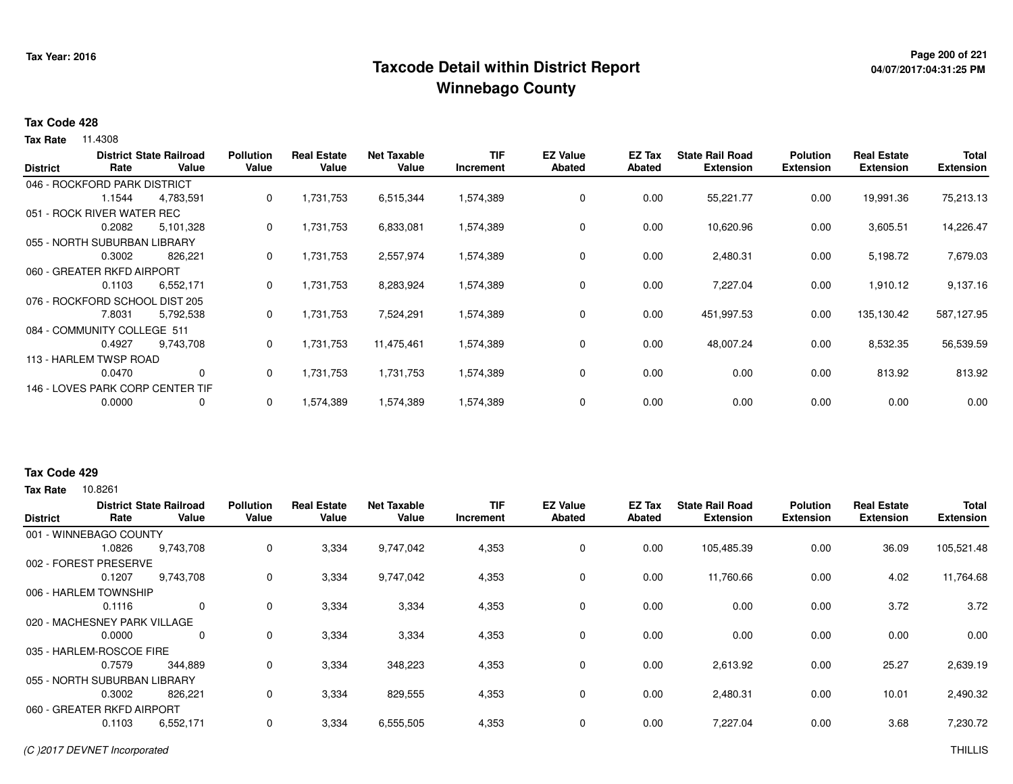# **Page 200 of 221 Taxcode Detail within District ReportWinnebago County**

# **04/07/2017:04:31:25 PM**

#### **Tax Code 428**

**Tax Rate** 11.4308

| <b>District</b> | Rate                           | <b>District State Railroad</b><br>Value | <b>Pollution</b><br>Value | <b>Real Estate</b><br>Value | <b>Net Taxable</b><br>Value | TIF<br>Increment | <b>EZ Value</b><br><b>Abated</b> | EZ Tax<br><b>Abated</b> | <b>State Rail Road</b><br><b>Extension</b> | <b>Polution</b><br><b>Extension</b> | <b>Real Estate</b><br><b>Extension</b> | <b>Total</b><br><b>Extension</b> |
|-----------------|--------------------------------|-----------------------------------------|---------------------------|-----------------------------|-----------------------------|------------------|----------------------------------|-------------------------|--------------------------------------------|-------------------------------------|----------------------------------------|----------------------------------|
|                 | 046 - ROCKFORD PARK DISTRICT   |                                         |                           |                             |                             |                  |                                  |                         |                                            |                                     |                                        |                                  |
|                 | 1.1544                         | 4,783,591                               | 0                         | 1,731,753                   | 6,515,344                   | 1,574,389        | 0                                | 0.00                    | 55,221.77                                  | 0.00                                | 19,991.36                              | 75,213.13                        |
|                 | 051 - ROCK RIVER WATER REC     |                                         |                           |                             |                             |                  |                                  |                         |                                            |                                     |                                        |                                  |
|                 | 0.2082                         | 5,101,328                               | 0                         | 1,731,753                   | 6,833,081                   | 1,574,389        | 0                                | 0.00                    | 10,620.96                                  | 0.00                                | 3,605.51                               | 14,226.47                        |
|                 | 055 - NORTH SUBURBAN LIBRARY   |                                         |                           |                             |                             |                  |                                  |                         |                                            |                                     |                                        |                                  |
|                 | 0.3002                         | 826,221                                 | 0                         | 1,731,753                   | 2,557,974                   | 1,574,389        | 0                                | 0.00                    | 2,480.31                                   | 0.00                                | 5,198.72                               | 7,679.03                         |
|                 | 060 - GREATER RKFD AIRPORT     |                                         |                           |                             |                             |                  |                                  |                         |                                            |                                     |                                        |                                  |
|                 | 0.1103                         | 6,552,171                               | 0                         | 1,731,753                   | 8,283,924                   | 1,574,389        | 0                                | 0.00                    | 7,227.04                                   | 0.00                                | 1,910.12                               | 9,137.16                         |
|                 | 076 - ROCKFORD SCHOOL DIST 205 |                                         |                           |                             |                             |                  |                                  |                         |                                            |                                     |                                        |                                  |
|                 | 7.8031                         | 5,792,538                               | 0                         | 1,731,753                   | 7,524,291                   | 1,574,389        | 0                                | 0.00                    | 451,997.53                                 | 0.00                                | 135,130.42                             | 587,127.95                       |
|                 | 084 - COMMUNITY COLLEGE 511    |                                         |                           |                             |                             |                  |                                  |                         |                                            |                                     |                                        |                                  |
|                 | 0.4927                         | 9,743,708                               | 0                         | 1,731,753                   | 11,475,461                  | 1,574,389        | $\mathbf 0$                      | 0.00                    | 48,007.24                                  | 0.00                                | 8,532.35                               | 56,539.59                        |
|                 | 113 - HARLEM TWSP ROAD         |                                         |                           |                             |                             |                  |                                  |                         |                                            |                                     |                                        |                                  |
|                 | 0.0470                         | 0                                       | 0                         | 1,731,753                   | 1,731,753                   | 1,574,389        | 0                                | 0.00                    | 0.00                                       | 0.00                                | 813.92                                 | 813.92                           |
|                 |                                | 146 - LOVES PARK CORP CENTER TIF        |                           |                             |                             |                  |                                  |                         |                                            |                                     |                                        |                                  |
|                 | 0.0000                         | 0                                       | 0                         | 1,574,389                   | 1,574,389                   | 1,574,389        | 0                                | 0.00                    | 0.00                                       | 0.00                                | 0.00                                   | 0.00                             |

### **Tax Code 429**

| <b>District</b> | Rate                         | <b>District State Railroad</b><br>Value | <b>Pollution</b><br>Value | <b>Real Estate</b><br>Value | <b>Net Taxable</b><br>Value | TIF<br>Increment | <b>EZ Value</b><br><b>Abated</b> | EZ Tax<br>Abated | <b>State Rail Road</b><br><b>Extension</b> | <b>Polution</b><br><b>Extension</b> | <b>Real Estate</b><br><b>Extension</b> | <b>Total</b><br><b>Extension</b> |
|-----------------|------------------------------|-----------------------------------------|---------------------------|-----------------------------|-----------------------------|------------------|----------------------------------|------------------|--------------------------------------------|-------------------------------------|----------------------------------------|----------------------------------|
|                 | 001 - WINNEBAGO COUNTY       |                                         |                           |                             |                             |                  |                                  |                  |                                            |                                     |                                        |                                  |
|                 | 1.0826                       | 9,743,708                               | 0                         | 3,334                       | 9,747,042                   | 4,353            | $\mathbf 0$                      | 0.00             | 105,485.39                                 | 0.00                                | 36.09                                  | 105,521.48                       |
|                 | 002 - FOREST PRESERVE        |                                         |                           |                             |                             |                  |                                  |                  |                                            |                                     |                                        |                                  |
|                 | 0.1207                       | 9,743,708                               | 0                         | 3,334                       | 9,747,042                   | 4,353            | 0                                | 0.00             | 11,760.66                                  | 0.00                                | 4.02                                   | 11,764.68                        |
|                 | 006 - HARLEM TOWNSHIP        |                                         |                           |                             |                             |                  |                                  |                  |                                            |                                     |                                        |                                  |
|                 | 0.1116                       | $\mathbf 0$                             | 0                         | 3,334                       | 3,334                       | 4,353            | 0                                | 0.00             | 0.00                                       | 0.00                                | 3.72                                   | 3.72                             |
|                 | 020 - MACHESNEY PARK VILLAGE |                                         |                           |                             |                             |                  |                                  |                  |                                            |                                     |                                        |                                  |
|                 | 0.0000                       | $\mathbf 0$                             | 0                         | 3,334                       | 3,334                       | 4,353            | 0                                | 0.00             | 0.00                                       | 0.00                                | 0.00                                   | 0.00                             |
|                 | 035 - HARLEM-ROSCOE FIRE     |                                         |                           |                             |                             |                  |                                  |                  |                                            |                                     |                                        |                                  |
|                 | 0.7579                       | 344,889                                 | 0                         | 3,334                       | 348,223                     | 4,353            | 0                                | 0.00             | 2,613.92                                   | 0.00                                | 25.27                                  | 2,639.19                         |
|                 | 055 - NORTH SUBURBAN LIBRARY |                                         |                           |                             |                             |                  |                                  |                  |                                            |                                     |                                        |                                  |
|                 | 0.3002                       | 826,221                                 | 0                         | 3,334                       | 829,555                     | 4,353            | 0                                | 0.00             | 2,480.31                                   | 0.00                                | 10.01                                  | 2,490.32                         |
|                 | 060 - GREATER RKFD AIRPORT   |                                         |                           |                             |                             |                  |                                  |                  |                                            |                                     |                                        |                                  |
|                 | 0.1103                       | 6,552,171                               | 0                         | 3,334                       | 6,555,505                   | 4,353            | 0                                | 0.00             | 7,227.04                                   | 0.00                                | 3.68                                   | 7,230.72                         |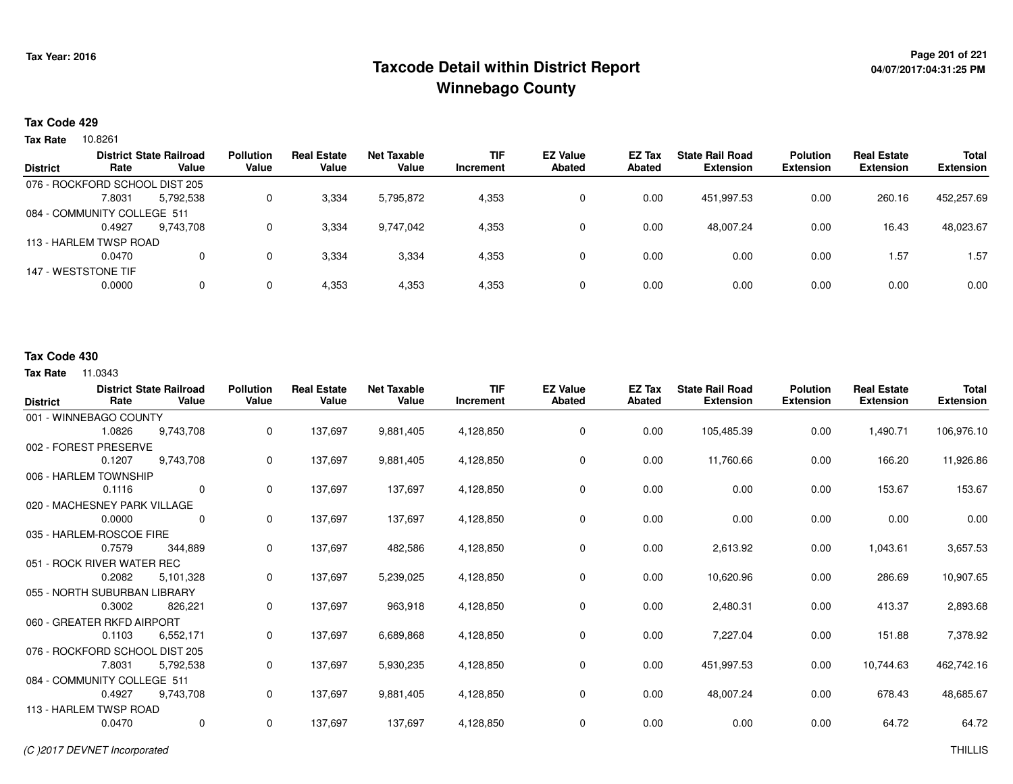# **Page 201 of 221 Taxcode Detail within District ReportWinnebago County**

# **04/07/2017:04:31:25 PM**

### **Tax Code 429**

10.8261 **Tax Rate**

|                 |                                | <b>District State Railroad</b> | <b>Pollution</b> | <b>Real Estate</b> | Net Taxable | <b>TIF</b> | <b>EZ Value</b> | <b>EZ Tax</b> | <b>State Rail Road</b> | <b>Polution</b>  | <b>Real Estate</b> | <b>Total</b>     |
|-----------------|--------------------------------|--------------------------------|------------------|--------------------|-------------|------------|-----------------|---------------|------------------------|------------------|--------------------|------------------|
| <b>District</b> | Rate                           | Value                          | Value            | Value              | Value       | Increment  | <b>Abated</b>   | Abated        | <b>Extension</b>       | <b>Extension</b> | <b>Extension</b>   | <b>Extension</b> |
|                 | 076 - ROCKFORD SCHOOL DIST 205 |                                |                  |                    |             |            |                 |               |                        |                  |                    |                  |
|                 | 7.8031                         | 5,792,538                      | 0                | 3,334              | 5,795,872   | 4,353      | 0               | 0.00          | 451,997.53             | 0.00             | 260.16             | 452,257.69       |
|                 | 084 - COMMUNITY COLLEGE 511    |                                |                  |                    |             |            |                 |               |                        |                  |                    |                  |
|                 | 0.4927                         | 9.743.708                      | 0                | 3,334              | 9,747,042   | 4,353      | 0               | 0.00          | 48.007.24              | 0.00             | 16.43              | 48,023.67        |
|                 | 113 - HARLEM TWSP ROAD         |                                |                  |                    |             |            |                 |               |                        |                  |                    |                  |
|                 | 0.0470                         |                                | 0                | 3,334              | 3,334       | 4,353      | 0               | 0.00          | 0.00                   | 0.00             | 1.57               | 1.57             |
|                 | 147 - WESTSTONE TIF            |                                |                  |                    |             |            |                 |               |                        |                  |                    |                  |
|                 | 0.0000                         |                                | 0                | 4,353              | 4,353       | 4,353      | 0               | 0.00          | 0.00                   | 0.00             | 0.00               | 0.00             |
|                 |                                |                                |                  |                    |             |            |                 |               |                        |                  |                    |                  |

### **Tax Code 430**

| <b>District</b>                | Rate                         | <b>District State Railroad</b><br>Value | <b>Pollution</b><br>Value | <b>Real Estate</b><br>Value | <b>Net Taxable</b><br>Value | <b>TIF</b><br>Increment | <b>EZ Value</b><br>Abated | <b>EZ Tax</b><br>Abated | <b>State Rail Road</b><br><b>Extension</b> | <b>Polution</b><br><b>Extension</b> | <b>Real Estate</b><br><b>Extension</b> | <b>Total</b><br><b>Extension</b> |
|--------------------------------|------------------------------|-----------------------------------------|---------------------------|-----------------------------|-----------------------------|-------------------------|---------------------------|-------------------------|--------------------------------------------|-------------------------------------|----------------------------------------|----------------------------------|
|                                | 001 - WINNEBAGO COUNTY       |                                         |                           |                             |                             |                         |                           |                         |                                            |                                     |                                        |                                  |
|                                | 1.0826                       | 9,743,708                               | 0                         | 137,697                     | 9,881,405                   | 4,128,850               | 0                         | 0.00                    | 105,485.39                                 | 0.00                                | 1,490.71                               | 106,976.10                       |
| 002 - FOREST PRESERVE          |                              |                                         |                           |                             |                             |                         |                           |                         |                                            |                                     |                                        |                                  |
|                                | 0.1207                       | 9,743,708                               | 0                         | 137,697                     | 9,881,405                   | 4,128,850               | 0                         | 0.00                    | 11,760.66                                  | 0.00                                | 166.20                                 | 11,926.86                        |
|                                | 006 - HARLEM TOWNSHIP        |                                         |                           |                             |                             |                         |                           |                         |                                            |                                     |                                        |                                  |
|                                | 0.1116                       | $\Omega$                                | $\mathbf 0$               | 137,697                     | 137,697                     | 4,128,850               | 0                         | 0.00                    | 0.00                                       | 0.00                                | 153.67                                 | 153.67                           |
|                                | 020 - MACHESNEY PARK VILLAGE |                                         |                           |                             |                             |                         |                           |                         |                                            |                                     |                                        |                                  |
|                                | 0.0000                       | 0                                       | $\mathbf 0$               | 137,697                     | 137,697                     | 4,128,850               | 0                         | 0.00                    | 0.00                                       | 0.00                                | 0.00                                   | 0.00                             |
|                                | 035 - HARLEM-ROSCOE FIRE     |                                         |                           |                             |                             |                         |                           |                         |                                            |                                     |                                        |                                  |
|                                | 0.7579                       | 344,889                                 | 0                         | 137,697                     | 482,586                     | 4,128,850               | 0                         | 0.00                    | 2,613.92                                   | 0.00                                | 1,043.61                               | 3,657.53                         |
|                                | 051 - ROCK RIVER WATER REC   |                                         |                           |                             |                             |                         |                           |                         |                                            |                                     |                                        |                                  |
|                                | 0.2082                       | 5,101,328                               | 0                         | 137,697                     | 5,239,025                   | 4,128,850               | 0                         | 0.00                    | 10,620.96                                  | 0.00                                | 286.69                                 | 10,907.65                        |
|                                | 055 - NORTH SUBURBAN LIBRARY |                                         |                           |                             |                             |                         |                           |                         |                                            |                                     |                                        |                                  |
|                                | 0.3002                       | 826,221                                 | 0                         | 137,697                     | 963,918                     | 4,128,850               | 0                         | 0.00                    | 2,480.31                                   | 0.00                                | 413.37                                 | 2,893.68                         |
| 060 - GREATER RKFD AIRPORT     |                              |                                         |                           |                             |                             |                         |                           |                         |                                            |                                     |                                        |                                  |
|                                | 0.1103                       | 6.552.171                               | 0                         | 137.697                     | 6,689,868                   | 4,128,850               | 0                         | 0.00                    | 7,227.04                                   | 0.00                                | 151.88                                 | 7,378.92                         |
| 076 - ROCKFORD SCHOOL DIST 205 |                              |                                         |                           |                             |                             |                         |                           |                         |                                            |                                     |                                        |                                  |
|                                | 7.8031                       | 5,792,538                               | 0                         | 137,697                     | 5,930,235                   | 4,128,850               | 0                         | 0.00                    | 451,997.53                                 | 0.00                                | 10,744.63                              | 462,742.16                       |
| 084 - COMMUNITY COLLEGE 511    |                              |                                         |                           |                             |                             |                         |                           |                         |                                            |                                     |                                        |                                  |
|                                | 0.4927                       | 9,743,708                               | 0                         | 137,697                     | 9,881,405                   | 4,128,850               | 0                         | 0.00                    | 48,007.24                                  | 0.00                                | 678.43                                 | 48,685.67                        |
|                                | 113 - HARLEM TWSP ROAD       |                                         |                           |                             |                             |                         |                           |                         |                                            |                                     |                                        |                                  |
|                                | 0.0470                       | $\mathbf 0$                             | 0                         | 137,697                     | 137,697                     | 4,128,850               | 0                         | 0.00                    | 0.00                                       | 0.00                                | 64.72                                  | 64.72                            |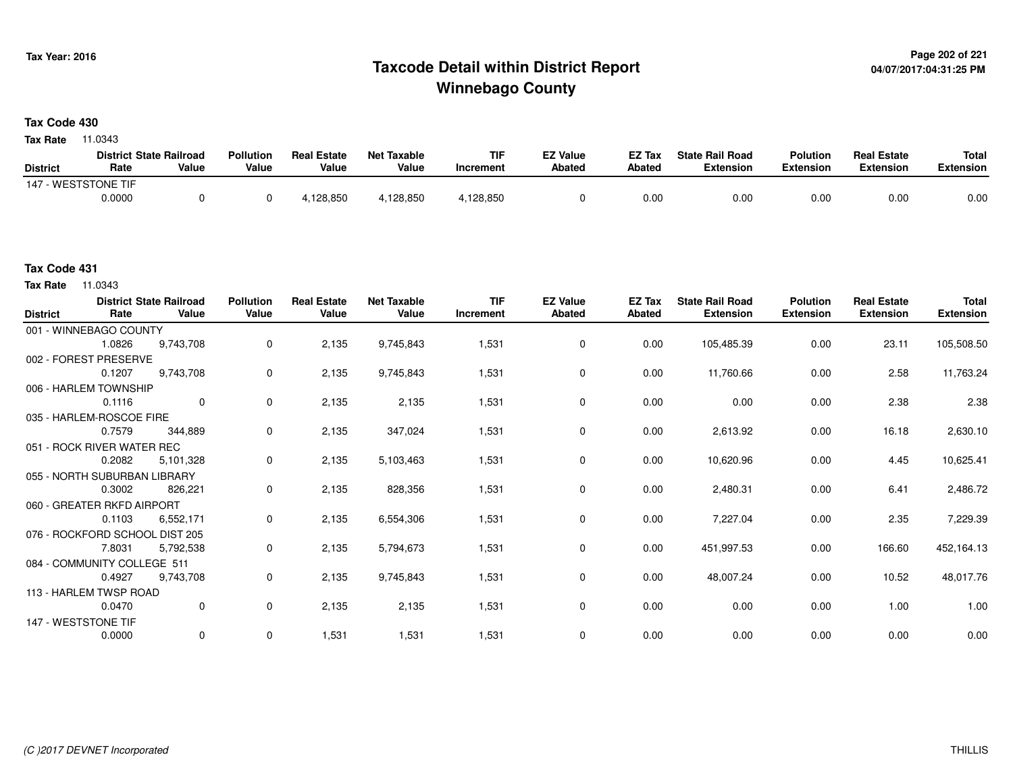# **Page 202 of 221 Taxcode Detail within District ReportWinnebago County**

**Tax Code 430**

**Tax Rate** 11.0343

|                     | <b>District State Railroad</b> |       | <b>Pollution</b> | <b>Real Estate</b> | Net Taxable | <b>TIF</b> | <b>EZ Value</b> | <b>EZ Tax</b> | <b>State Rail Road</b> | <b>Polution</b>  | <b>Real Estate</b> | <b>Total</b> |
|---------------------|--------------------------------|-------|------------------|--------------------|-------------|------------|-----------------|---------------|------------------------|------------------|--------------------|--------------|
| <b>District</b>     | Rate                           | Value | Value            | Value              | Value       | Increment  | <b>Abated</b>   | <b>Abated</b> | <b>Extension</b>       | <b>Extension</b> | <b>Extension</b>   | Extension    |
| 147 - WESTSTONE TIF |                                |       |                  |                    |             |            |                 |               |                        |                  |                    |              |
|                     | 0.0000                         |       |                  | 4,128,850          | 1.128.850   | .128.850   |                 | 0.00          | 0.00                   | 0.00             | 0.00               | 0.00         |

**Tax Rate** 11.0343

| <b>District</b>     | Rate                         | <b>District State Railroad</b><br>Value | <b>Pollution</b><br>Value | <b>Real Estate</b><br>Value | <b>Net Taxable</b><br>Value | <b>TIF</b><br>Increment | <b>EZ Value</b><br><b>Abated</b> | <b>EZ Tax</b><br>Abated | <b>State Rail Road</b><br><b>Extension</b> | <b>Polution</b><br><b>Extension</b> | <b>Real Estate</b><br><b>Extension</b> | <b>Total</b><br><b>Extension</b> |
|---------------------|------------------------------|-----------------------------------------|---------------------------|-----------------------------|-----------------------------|-------------------------|----------------------------------|-------------------------|--------------------------------------------|-------------------------------------|----------------------------------------|----------------------------------|
|                     | 001 - WINNEBAGO COUNTY       |                                         |                           |                             |                             |                         |                                  |                         |                                            |                                     |                                        |                                  |
|                     | 1.0826                       | 9,743,708                               | $\mathbf 0$               | 2,135                       | 9,745,843                   | 1,531                   | 0                                | 0.00                    | 105,485.39                                 | 0.00                                | 23.11                                  | 105,508.50                       |
|                     | 002 - FOREST PRESERVE        |                                         |                           |                             |                             |                         |                                  |                         |                                            |                                     |                                        |                                  |
|                     | 0.1207                       | 9,743,708                               | 0                         | 2,135                       | 9,745,843                   | 1,531                   | 0                                | 0.00                    | 11,760.66                                  | 0.00                                | 2.58                                   | 11,763.24                        |
|                     | 006 - HARLEM TOWNSHIP        |                                         |                           |                             |                             |                         |                                  |                         |                                            |                                     |                                        |                                  |
|                     | 0.1116                       | $\Omega$                                | 0                         | 2,135                       | 2,135                       | 1,531                   | 0                                | 0.00                    | 0.00                                       | 0.00                                | 2.38                                   | 2.38                             |
|                     | 035 - HARLEM-ROSCOE FIRE     |                                         |                           |                             |                             |                         |                                  |                         |                                            |                                     |                                        |                                  |
|                     | 0.7579                       | 344,889                                 | 0                         | 2,135                       | 347,024                     | 1,531                   | 0                                | 0.00                    | 2,613.92                                   | 0.00                                | 16.18                                  | 2,630.10                         |
|                     | 051 - ROCK RIVER WATER REC   |                                         |                           |                             |                             |                         |                                  |                         |                                            |                                     |                                        |                                  |
|                     | 0.2082                       | 5,101,328                               | 0                         | 2,135                       | 5,103,463                   | 1,531                   | 0                                | 0.00                    | 10,620.96                                  | 0.00                                | 4.45                                   | 10,625.41                        |
|                     | 055 - NORTH SUBURBAN LIBRARY |                                         |                           |                             |                             |                         |                                  |                         |                                            |                                     |                                        |                                  |
|                     | 0.3002                       | 826,221                                 | 0                         | 2,135                       | 828,356                     | 1,531                   | 0                                | 0.00                    | 2,480.31                                   | 0.00                                | 6.41                                   | 2,486.72                         |
|                     | 060 - GREATER RKFD AIRPORT   |                                         |                           |                             |                             |                         |                                  |                         |                                            |                                     |                                        |                                  |
|                     | 0.1103                       | 6,552,171                               | $\mathbf{0}$              | 2,135                       | 6,554,306                   | 1,531                   | 0                                | 0.00                    | 7,227.04                                   | 0.00                                | 2.35                                   | 7,229.39                         |
|                     |                              | 076 - ROCKFORD SCHOOL DIST 205          |                           |                             |                             |                         |                                  |                         |                                            |                                     |                                        |                                  |
|                     | 7.8031                       | 5,792,538                               | $\mathbf 0$               | 2,135                       | 5,794,673                   | 1,531                   | 0                                | 0.00                    | 451,997.53                                 | 0.00                                | 166.60                                 | 452,164.13                       |
|                     | 084 - COMMUNITY COLLEGE 511  |                                         |                           |                             |                             |                         |                                  |                         |                                            |                                     |                                        |                                  |
|                     | 0.4927                       | 9,743,708                               | 0                         | 2,135                       | 9,745,843                   | 1,531                   | 0                                | 0.00                    | 48,007.24                                  | 0.00                                | 10.52                                  | 48,017.76                        |
|                     | 113 - HARLEM TWSP ROAD       |                                         |                           |                             |                             |                         |                                  |                         |                                            |                                     |                                        |                                  |
|                     | 0.0470                       | $\mathbf 0$                             | $\mathbf 0$               | 2,135                       | 2,135                       | 1,531                   | 0                                | 0.00                    | 0.00                                       | 0.00                                | 1.00                                   | 1.00                             |
| 147 - WESTSTONE TIF |                              |                                         |                           |                             |                             |                         |                                  |                         |                                            |                                     |                                        |                                  |
|                     | 0.0000                       | $\mathbf 0$                             | 0                         | 1,531                       | 1,531                       | 1,531                   | 0                                | 0.00                    | 0.00                                       | 0.00                                | 0.00                                   | 0.00                             |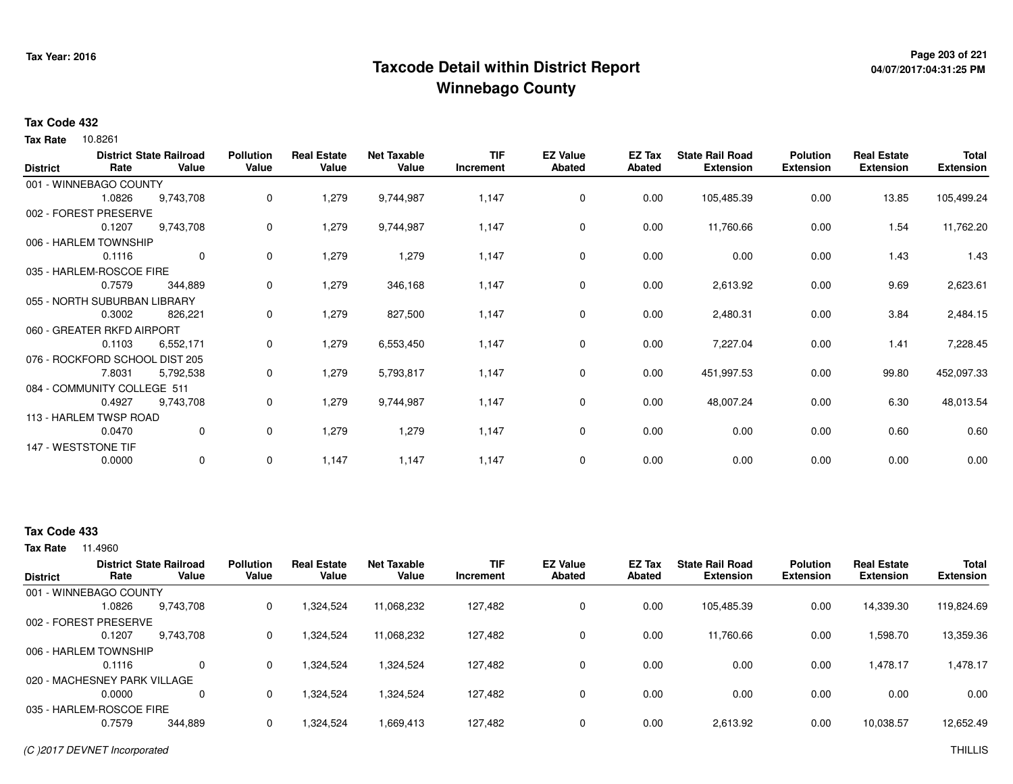# **Page 203 of 221 Taxcode Detail within District ReportWinnebago County**

# **04/07/2017:04:31:25 PM**

#### **Tax Code 432**

10.8261 **Tax Rate**

| <b>District</b> | Rate                           | <b>District State Railroad</b><br>Value | <b>Pollution</b><br>Value | <b>Real Estate</b><br>Value | <b>Net Taxable</b><br>Value | <b>TIF</b><br>Increment | <b>EZ Value</b><br><b>Abated</b> | EZ Tax<br><b>Abated</b> | <b>State Rail Road</b><br><b>Extension</b> | <b>Polution</b><br><b>Extension</b> | <b>Real Estate</b><br><b>Extension</b> | <b>Total</b><br><b>Extension</b> |
|-----------------|--------------------------------|-----------------------------------------|---------------------------|-----------------------------|-----------------------------|-------------------------|----------------------------------|-------------------------|--------------------------------------------|-------------------------------------|----------------------------------------|----------------------------------|
|                 | 001 - WINNEBAGO COUNTY         |                                         |                           |                             |                             |                         |                                  |                         |                                            |                                     |                                        |                                  |
|                 | 1.0826                         | 9,743,708                               | $\mathbf 0$               | 1,279                       | 9,744,987                   | 1,147                   | $\mathbf 0$                      | 0.00                    | 105,485.39                                 | 0.00                                | 13.85                                  | 105,499.24                       |
|                 | 002 - FOREST PRESERVE          |                                         |                           |                             |                             |                         |                                  |                         |                                            |                                     |                                        |                                  |
|                 | 0.1207                         | 9,743,708                               | 0                         | 1,279                       | 9,744,987                   | 1,147                   | 0                                | 0.00                    | 11,760.66                                  | 0.00                                | 1.54                                   | 11,762.20                        |
|                 | 006 - HARLEM TOWNSHIP          |                                         |                           |                             |                             |                         |                                  |                         |                                            |                                     |                                        |                                  |
|                 | 0.1116                         | $\mathbf 0$                             | 0                         | 1,279                       | 1,279                       | 1,147                   | 0                                | 0.00                    | 0.00                                       | 0.00                                | 1.43                                   | 1.43                             |
|                 | 035 - HARLEM-ROSCOE FIRE       |                                         |                           |                             |                             |                         |                                  |                         |                                            |                                     |                                        |                                  |
|                 | 0.7579                         | 344,889                                 | 0                         | 1,279                       | 346,168                     | 1,147                   | 0                                | 0.00                    | 2,613.92                                   | 0.00                                | 9.69                                   | 2,623.61                         |
|                 | 055 - NORTH SUBURBAN LIBRARY   |                                         |                           |                             |                             |                         |                                  |                         |                                            |                                     |                                        |                                  |
|                 | 0.3002                         | 826,221                                 | 0                         | 1,279                       | 827,500                     | 1,147                   | 0                                | 0.00                    | 2,480.31                                   | 0.00                                | 3.84                                   | 2,484.15                         |
|                 | 060 - GREATER RKFD AIRPORT     |                                         |                           |                             |                             |                         |                                  |                         |                                            |                                     |                                        |                                  |
|                 | 0.1103                         | 6,552,171                               | 0                         | 1,279                       | 6,553,450                   | 1,147                   | 0                                | 0.00                    | 7,227.04                                   | 0.00                                | 1.41                                   | 7,228.45                         |
|                 | 076 - ROCKFORD SCHOOL DIST 205 |                                         |                           |                             |                             |                         |                                  |                         |                                            |                                     |                                        |                                  |
|                 | 7.8031                         | 5,792,538                               | 0                         | 1,279                       | 5,793,817                   | 1,147                   | 0                                | 0.00                    | 451,997.53                                 | 0.00                                | 99.80                                  | 452,097.33                       |
|                 | 084 - COMMUNITY COLLEGE 511    |                                         |                           |                             |                             |                         |                                  |                         |                                            |                                     |                                        |                                  |
|                 | 0.4927                         | 9,743,708                               | 0                         | 1,279                       | 9,744,987                   | 1,147                   | $\mathbf 0$                      | 0.00                    | 48,007.24                                  | 0.00                                | 6.30                                   | 48,013.54                        |
|                 | 113 - HARLEM TWSP ROAD         |                                         |                           |                             |                             |                         |                                  |                         |                                            |                                     |                                        |                                  |
|                 | 0.0470                         | 0                                       | 0                         | 1,279                       | 1,279                       | 1,147                   | 0                                | 0.00                    | 0.00                                       | 0.00                                | 0.60                                   | 0.60                             |
|                 | 147 - WESTSTONE TIF            |                                         |                           |                             |                             |                         |                                  |                         |                                            |                                     |                                        |                                  |
|                 | 0.0000                         | 0                                       | 0                         | 1,147                       | 1,147                       | 1,147                   | 0                                | 0.00                    | 0.00                                       | 0.00                                | 0.00                                   | 0.00                             |

### **Tax Code 433**

| <b>District</b>              | Rate   | <b>District State Railroad</b><br>Value | <b>Pollution</b><br>Value | <b>Real Estate</b><br>Value | <b>Net Taxable</b><br>Value | TIF<br>Increment | <b>EZ Value</b><br><b>Abated</b> | <b>EZ Tax</b><br>Abated | <b>State Rail Road</b><br><b>Extension</b> | <b>Polution</b><br><b>Extension</b> | <b>Real Estate</b><br><b>Extension</b> | <b>Total</b><br><b>Extension</b> |
|------------------------------|--------|-----------------------------------------|---------------------------|-----------------------------|-----------------------------|------------------|----------------------------------|-------------------------|--------------------------------------------|-------------------------------------|----------------------------------------|----------------------------------|
| 001 - WINNEBAGO COUNTY       |        |                                         |                           |                             |                             |                  |                                  |                         |                                            |                                     |                                        |                                  |
|                              | 1.0826 | 9,743,708                               | 0                         | 1,324,524                   | 11,068,232                  | 127.482          | 0                                | 0.00                    | 105,485.39                                 | 0.00                                | 14,339.30                              | 119,824.69                       |
| 002 - FOREST PRESERVE        |        |                                         |                           |                             |                             |                  |                                  |                         |                                            |                                     |                                        |                                  |
|                              | 0.1207 | 9,743,708                               | 0                         | 1,324,524                   | 11,068,232                  | 127,482          | 0                                | 0.00                    | 11,760.66                                  | 0.00                                | 1,598.70                               | 13,359.36                        |
| 006 - HARLEM TOWNSHIP        |        |                                         |                           |                             |                             |                  |                                  |                         |                                            |                                     |                                        |                                  |
|                              | 0.1116 | $\Omega$                                | 0                         | 1.324.524                   | 1.324.524                   | 127.482          | 0                                | 0.00                    | 0.00                                       | 0.00                                | 1.478.17                               | 1.478.17                         |
| 020 - MACHESNEY PARK VILLAGE |        |                                         |                           |                             |                             |                  |                                  |                         |                                            |                                     |                                        |                                  |
|                              | 0.0000 | $\Omega$                                | 0                         | 1,324,524                   | 1,324,524                   | 127.482          | 0                                | 0.00                    | 0.00                                       | 0.00                                | 0.00                                   | 0.00                             |
| 035 - HARLEM-ROSCOE FIRE     |        |                                         |                           |                             |                             |                  |                                  |                         |                                            |                                     |                                        |                                  |
|                              | 0.7579 | 344,889                                 | 0                         | 1,324,524                   | 1,669,413                   | 127,482          | 0                                | 0.00                    | 2,613.92                                   | 0.00                                | 10,038.57                              | 12,652.49                        |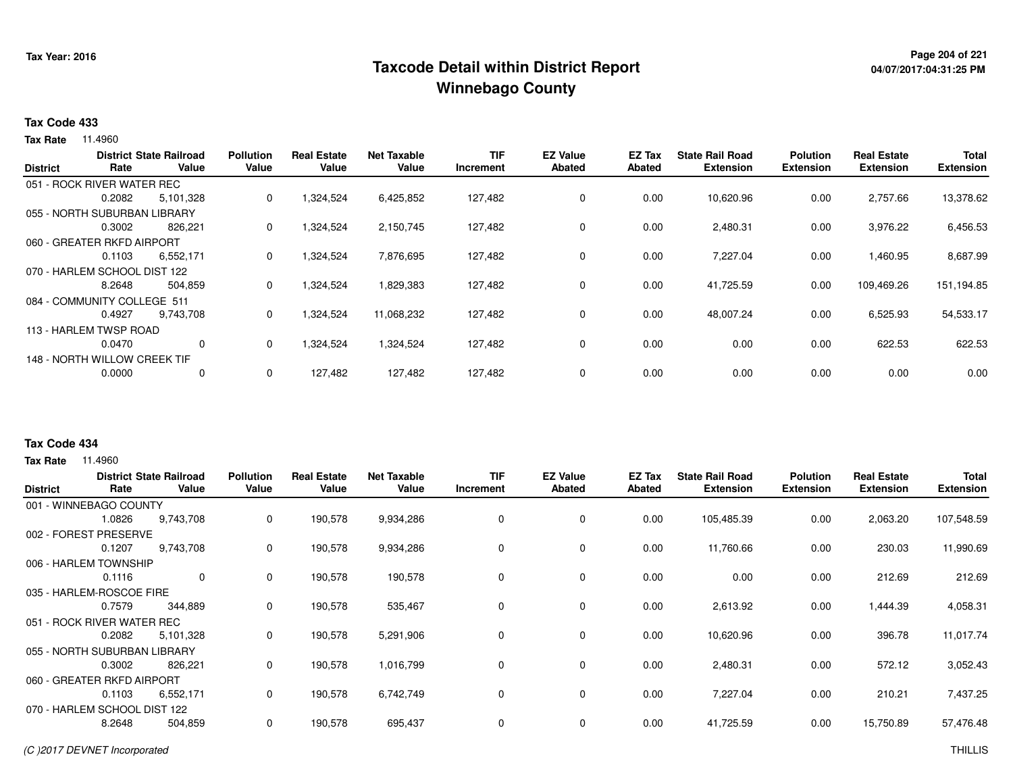# **Page 204 of 221 Taxcode Detail within District ReportWinnebago County**

# **04/07/2017:04:31:25 PM**

#### **Tax Code 433**

**Tax Rate** 11.4960

|                 |                              | <b>District State Railroad</b> | <b>Pollution</b> | <b>Real Estate</b> | <b>Net Taxable</b> | <b>TIF</b> | <b>EZ Value</b> | <b>EZ Tax</b> | <b>State Rail Road</b> | <b>Polution</b>  | <b>Real Estate</b> | <b>Total</b>     |
|-----------------|------------------------------|--------------------------------|------------------|--------------------|--------------------|------------|-----------------|---------------|------------------------|------------------|--------------------|------------------|
| <b>District</b> | Rate                         | Value                          | Value            | Value              | Value              | Increment  | <b>Abated</b>   | Abated        | <b>Extension</b>       | <b>Extension</b> | <b>Extension</b>   | <b>Extension</b> |
|                 | 051 - ROCK RIVER WATER REC   |                                |                  |                    |                    |            |                 |               |                        |                  |                    |                  |
|                 | 0.2082                       | 5,101,328                      | 0                | 1,324,524          | 6,425,852          | 127,482    | 0               | 0.00          | 10,620.96              | 0.00             | 2,757.66           | 13,378.62        |
|                 | 055 - NORTH SUBURBAN LIBRARY |                                |                  |                    |                    |            |                 |               |                        |                  |                    |                  |
|                 | 0.3002                       | 826.221                        | 0                | 1,324,524          | 2,150,745          | 127,482    | 0               | 0.00          | 2,480.31               | 0.00             | 3,976.22           | 6,456.53         |
|                 | 060 - GREATER RKFD AIRPORT   |                                |                  |                    |                    |            |                 |               |                        |                  |                    |                  |
|                 | 0.1103                       | 6,552,171                      | 0                | 1,324,524          | 7,876,695          | 127,482    | 0               | 0.00          | 7,227.04               | 0.00             | 1,460.95           | 8,687.99         |
|                 | 070 - HARLEM SCHOOL DIST 122 |                                |                  |                    |                    |            |                 |               |                        |                  |                    |                  |
|                 | 8.2648                       | 504,859                        | 0                | 1,324,524          | 1,829,383          | 127,482    | $\mathbf 0$     | 0.00          | 41,725.59              | 0.00             | 109,469.26         | 151,194.85       |
|                 | 084 - COMMUNITY COLLEGE 511  |                                |                  |                    |                    |            |                 |               |                        |                  |                    |                  |
|                 | 0.4927                       | 9,743,708                      | 0                | 1,324,524          | 11,068,232         | 127,482    | 0               | 0.00          | 48,007.24              | 0.00             | 6,525.93           | 54,533.17        |
|                 | 113 - HARLEM TWSP ROAD       |                                |                  |                    |                    |            |                 |               |                        |                  |                    |                  |
|                 | 0.0470                       | 0                              | 0                | 1,324,524          | 1,324,524          | 127,482    | 0               | 0.00          | 0.00                   | 0.00             | 622.53             | 622.53           |
|                 | 148 - NORTH WILLOW CREEK TIF |                                |                  |                    |                    |            |                 |               |                        |                  |                    |                  |
|                 | 0.0000                       | 0                              | 0                | 127,482            | 127,482            | 127,482    | 0               | 0.00          | 0.00                   | 0.00             | 0.00               | 0.00             |
|                 |                              |                                |                  |                    |                    |            |                 |               |                        |                  |                    |                  |

### **Tax Code 434**

| <b>District</b>          | Rate                         | <b>District State Railroad</b><br>Value | <b>Pollution</b><br>Value | <b>Real Estate</b><br>Value | <b>Net Taxable</b><br>Value | <b>TIF</b><br>Increment | <b>EZ Value</b><br><b>Abated</b> | EZ Tax<br>Abated | <b>State Rail Road</b><br><b>Extension</b> | <b>Polution</b><br><b>Extension</b> | <b>Real Estate</b><br><b>Extension</b> | <b>Total</b><br><b>Extension</b> |
|--------------------------|------------------------------|-----------------------------------------|---------------------------|-----------------------------|-----------------------------|-------------------------|----------------------------------|------------------|--------------------------------------------|-------------------------------------|----------------------------------------|----------------------------------|
|                          | 001 - WINNEBAGO COUNTY       |                                         |                           |                             |                             |                         |                                  |                  |                                            |                                     |                                        |                                  |
|                          | 1.0826                       | 9,743,708                               | 0                         | 190,578                     | 9,934,286                   | 0                       | 0                                | 0.00             | 105,485.39                                 | 0.00                                | 2,063.20                               | 107,548.59                       |
| 002 - FOREST             | <b>PRESERVE</b>              |                                         |                           |                             |                             |                         |                                  |                  |                                            |                                     |                                        |                                  |
|                          | 0.1207                       | 9,743,708                               | 0                         | 190,578                     | 9,934,286                   | 0                       | 0                                | 0.00             | 11,760.66                                  | 0.00                                | 230.03                                 | 11,990.69                        |
|                          | 006 - HARLEM TOWNSHIP        |                                         |                           |                             |                             |                         |                                  |                  |                                            |                                     |                                        |                                  |
|                          | 0.1116                       | $\mathbf 0$                             | 0                         | 190,578                     | 190,578                     | 0                       | 0                                | 0.00             | 0.00                                       | 0.00                                | 212.69                                 | 212.69                           |
| 035 - HARLEM-ROSCOE FIRE |                              |                                         |                           |                             |                             |                         |                                  |                  |                                            |                                     |                                        |                                  |
|                          | 0.7579                       | 344,889                                 | 0                         | 190,578                     | 535,467                     | 0                       | $\mathbf 0$                      | 0.00             | 2,613.92                                   | 0.00                                | 1,444.39                               | 4,058.31                         |
|                          | 051 - ROCK RIVER WATER REC   |                                         |                           |                             |                             |                         |                                  |                  |                                            |                                     |                                        |                                  |
|                          | 0.2082                       | 5,101,328                               | 0                         | 190,578                     | 5,291,906                   | 0                       | 0                                | 0.00             | 10,620.96                                  | 0.00                                | 396.78                                 | 11,017.74                        |
|                          | 055 - NORTH SUBURBAN LIBRARY |                                         |                           |                             |                             |                         |                                  |                  |                                            |                                     |                                        |                                  |
|                          | 0.3002                       | 826,221                                 | 0                         | 190,578                     | 1,016,799                   | 0                       | 0                                | 0.00             | 2,480.31                                   | 0.00                                | 572.12                                 | 3,052.43                         |
|                          | 060 - GREATER RKFD AIRPORT   |                                         |                           |                             |                             |                         |                                  |                  |                                            |                                     |                                        |                                  |
|                          | 0.1103                       | 6,552,171                               | 0                         | 190,578                     | 6,742,749                   | 0                       | 0                                | 0.00             | 7,227.04                                   | 0.00                                | 210.21                                 | 7,437.25                         |
|                          | 070 - HARLEM SCHOOL DIST 122 |                                         |                           |                             |                             |                         |                                  |                  |                                            |                                     |                                        |                                  |
|                          | 8.2648                       | 504,859                                 | 0                         | 190,578                     | 695,437                     | 0                       | 0                                | 0.00             | 41,725.59                                  | 0.00                                | 15,750.89                              | 57,476.48                        |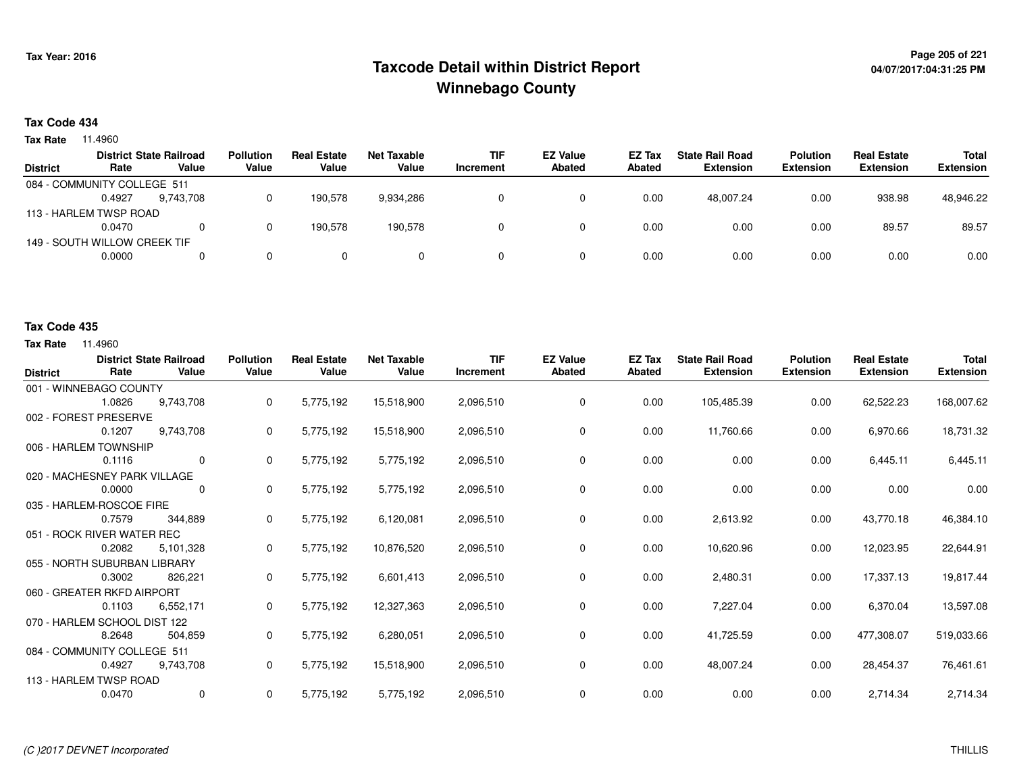# **Page 205 of 221 Taxcode Detail within District ReportWinnebago County**

# **04/07/2017:04:31:25 PM**

### **Tax Code 434**

**Tax Rate** 11.4960

|                 |                              | <b>District State Railroad</b> | <b>Pollution</b> | <b>Real Estate</b> | <b>Net Taxable</b> | <b>TIF</b> | <b>EZ Value</b> | EZ Tax | <b>State Rail Road</b> | <b>Polution</b>  | <b>Real Estate</b> | <b>Total</b>     |
|-----------------|------------------------------|--------------------------------|------------------|--------------------|--------------------|------------|-----------------|--------|------------------------|------------------|--------------------|------------------|
| <b>District</b> | Rate                         | Value                          | Value            | Value              | Value              | Increment  | <b>Abated</b>   | Abated | <b>Extension</b>       | <b>Extension</b> | <b>Extension</b>   | <b>Extension</b> |
|                 | 084 - COMMUNITY COLLEGE 511  |                                |                  |                    |                    |            |                 |        |                        |                  |                    |                  |
|                 | 0.4927                       | 9.743.708                      |                  | 190.578            | 9,934,286          |            |                 | 0.00   | 48.007.24              | 0.00             | 938.98             | 48,946.22        |
|                 | 113 - HARLEM TWSP ROAD       |                                |                  |                    |                    |            |                 |        |                        |                  |                    |                  |
|                 | 0.0470                       |                                |                  | 190.578            | 190.578            |            |                 | 0.00   | 0.00                   | 0.00             | 89.57              | 89.57            |
|                 | 149 - SOUTH WILLOW CREEK TIF |                                |                  |                    |                    |            |                 |        |                        |                  |                    |                  |
|                 | 0.0000                       |                                | 0.               | $\Omega$           |                    |            |                 | 0.00   | 0.00                   | 0.00             | 0.00               | 0.00             |
|                 |                              |                                |                  |                    |                    |            |                 |        |                        |                  |                    |                  |

#### **Tax Code 435**

| <b>District</b>        | Rate                         | <b>District State Railroad</b><br>Value | <b>Pollution</b><br>Value | <b>Real Estate</b><br>Value | <b>Net Taxable</b><br>Value | <b>TIF</b><br>Increment | <b>EZ Value</b><br><b>Abated</b> | <b>EZ Tax</b><br>Abated | <b>State Rail Road</b><br><b>Extension</b> | <b>Polution</b><br><b>Extension</b> | <b>Real Estate</b><br><b>Extension</b> | <b>Total</b><br><b>Extension</b> |
|------------------------|------------------------------|-----------------------------------------|---------------------------|-----------------------------|-----------------------------|-------------------------|----------------------------------|-------------------------|--------------------------------------------|-------------------------------------|----------------------------------------|----------------------------------|
|                        | 001 - WINNEBAGO COUNTY       |                                         |                           |                             |                             |                         |                                  |                         |                                            |                                     |                                        |                                  |
|                        | 1.0826                       | 9,743,708                               | 0                         | 5,775,192                   | 15,518,900                  | 2,096,510               | 0                                | 0.00                    | 105,485.39                                 | 0.00                                | 62,522.23                              | 168,007.62                       |
|                        | 002 - FOREST PRESERVE        |                                         |                           |                             |                             |                         |                                  |                         |                                            |                                     |                                        |                                  |
|                        | 0.1207                       | 9,743,708                               | 0                         | 5,775,192                   | 15,518,900                  | 2,096,510               | 0                                | 0.00                    | 11,760.66                                  | 0.00                                | 6,970.66                               | 18,731.32                        |
|                        | 006 - HARLEM TOWNSHIP        |                                         |                           |                             |                             |                         |                                  |                         |                                            |                                     |                                        |                                  |
|                        | 0.1116                       | $\mathbf 0$                             | 0                         | 5,775,192                   | 5,775,192                   | 2,096,510               | 0                                | 0.00                    | 0.00                                       | 0.00                                | 6,445.11                               | 6,445.11                         |
|                        | 020 - MACHESNEY PARK VILLAGE |                                         |                           |                             |                             |                         |                                  |                         |                                            |                                     |                                        |                                  |
|                        | 0.0000                       | 0                                       | 0                         | 5,775,192                   | 5,775,192                   | 2,096,510               | 0                                | 0.00                    | 0.00                                       | 0.00                                | 0.00                                   | 0.00                             |
|                        | 035 - HARLEM-ROSCOE FIRE     |                                         |                           |                             |                             |                         |                                  |                         |                                            |                                     |                                        |                                  |
|                        | 0.7579                       | 344,889                                 | 0                         | 5,775,192                   | 6,120,081                   | 2,096,510               | 0                                | 0.00                    | 2,613.92                                   | 0.00                                | 43,770.18                              | 46,384.10                        |
|                        | 051 - ROCK RIVER WATER REC   |                                         |                           |                             |                             |                         |                                  |                         |                                            |                                     |                                        |                                  |
|                        | 0.2082                       | 5,101,328                               | 0                         | 5,775,192                   | 10,876,520                  | 2,096,510               | 0                                | 0.00                    | 10,620.96                                  | 0.00                                | 12,023.95                              | 22,644.91                        |
|                        | 055 - NORTH SUBURBAN LIBRARY |                                         |                           |                             |                             |                         |                                  |                         |                                            |                                     |                                        |                                  |
|                        | 0.3002                       | 826,221                                 | 0                         | 5,775,192                   | 6,601,413                   | 2,096,510               | 0                                | 0.00                    | 2,480.31                                   | 0.00                                | 17,337.13                              | 19,817.44                        |
|                        | 060 - GREATER RKFD AIRPORT   |                                         |                           |                             |                             |                         |                                  |                         |                                            |                                     |                                        |                                  |
|                        | 0.1103                       | 6,552,171                               | 0                         | 5,775,192                   | 12,327,363                  | 2,096,510               | 0                                | 0.00                    | 7,227.04                                   | 0.00                                | 6,370.04                               | 13,597.08                        |
|                        | 070 - HARLEM SCHOOL DIST 122 |                                         |                           |                             |                             |                         |                                  |                         |                                            |                                     |                                        |                                  |
|                        | 8.2648                       | 504,859                                 | 0                         | 5,775,192                   | 6,280,051                   | 2,096,510               | 0                                | 0.00                    | 41,725.59                                  | 0.00                                | 477,308.07                             | 519,033.66                       |
|                        | 084 - COMMUNITY COLLEGE 511  |                                         |                           |                             |                             |                         |                                  |                         |                                            |                                     |                                        |                                  |
|                        | 0.4927                       | 9,743,708                               | $\mathbf{0}$              | 5,775,192                   | 15,518,900                  | 2,096,510               | 0                                | 0.00                    | 48,007.24                                  | 0.00                                | 28,454.37                              | 76,461.61                        |
| 113 - HARLEM TWSP ROAD |                              |                                         |                           |                             |                             |                         |                                  |                         |                                            |                                     |                                        |                                  |
|                        | 0.0470                       | 0                                       | $\mathbf{0}$              | 5,775,192                   | 5,775,192                   | 2,096,510               | 0                                | 0.00                    | 0.00                                       | 0.00                                | 2,714.34                               | 2,714.34                         |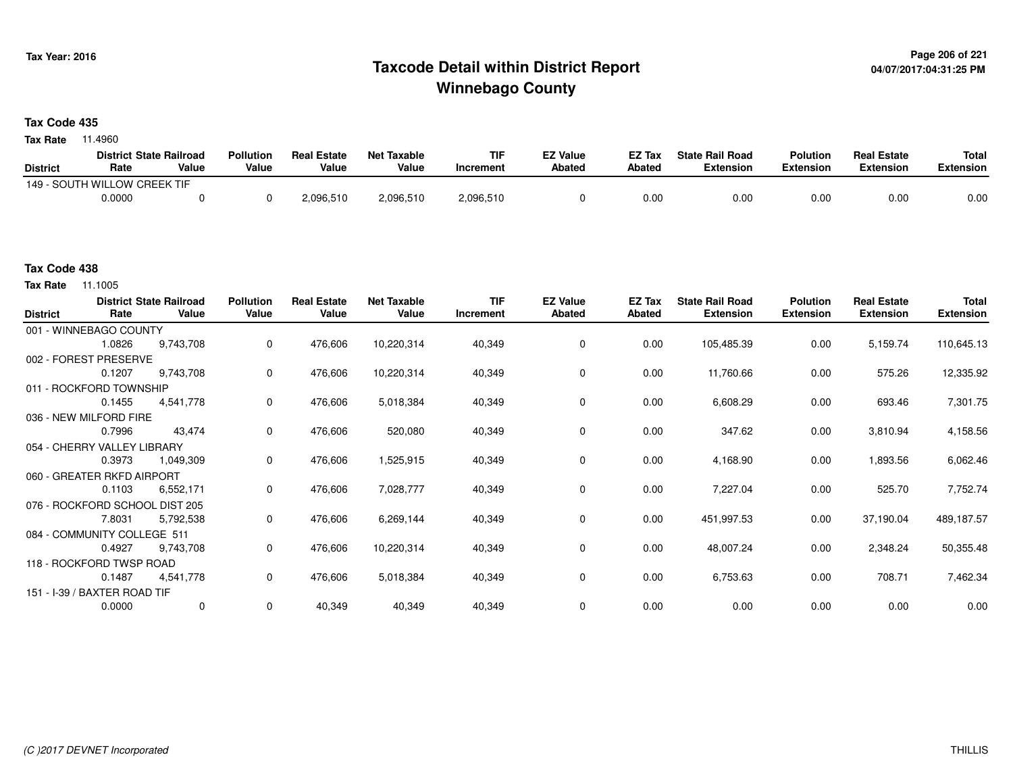# **Page 206 of 221 Taxcode Detail within District ReportWinnebago County**

### **Tax Code 435**

**Tax Rate** 11.4960

|                 | <b>District State Railroad</b> |       | <b>Pollution</b> | <b>Real Estate</b> | Net Taxable | TIF       | <b>EZ Value</b> | <b>EZ Tax</b> | <b>State Rail Road</b> | <b>Polution</b>  | <b>Real Estate</b> | <b>Total</b> |
|-----------------|--------------------------------|-------|------------------|--------------------|-------------|-----------|-----------------|---------------|------------------------|------------------|--------------------|--------------|
| <b>District</b> | Rate                           | Value | Value            | Value              | Value       | Increment | <b>Abated</b>   | Abated        | <b>Extension</b>       | <b>Extension</b> | <b>Extension</b>   | Extension    |
|                 | 149 - SOUTH WILLOW CREEK TIF   |       |                  |                    |             |           |                 |               |                        |                  |                    |              |
|                 | 0.0000                         |       |                  | 2,096,510          | 2,096,510   | 2,096,510 |                 | 0.00          | 0.00                   | 0.00             | 0.00               | 0.00         |

**Tax Rate** 11.1005

| <b>District</b> | Rate                           | <b>District State Railroad</b><br>Value | <b>Pollution</b><br>Value | <b>Real Estate</b><br>Value | <b>Net Taxable</b><br>Value | <b>TIF</b><br>Increment | <b>EZ Value</b><br><b>Abated</b> | EZ Tax<br>Abated | <b>State Rail Road</b><br><b>Extension</b> | <b>Polution</b><br><b>Extension</b> | <b>Real Estate</b><br><b>Extension</b> | <b>Total</b><br><b>Extension</b> |
|-----------------|--------------------------------|-----------------------------------------|---------------------------|-----------------------------|-----------------------------|-------------------------|----------------------------------|------------------|--------------------------------------------|-------------------------------------|----------------------------------------|----------------------------------|
|                 | 001 - WINNEBAGO COUNTY         |                                         |                           |                             |                             |                         |                                  |                  |                                            |                                     |                                        |                                  |
|                 | 1.0826                         | 9,743,708                               | 0                         | 476,606                     | 10,220,314                  | 40,349                  | 0                                | 0.00             | 105,485.39                                 | 0.00                                | 5,159.74                               | 110,645.13                       |
|                 | 002 - FOREST PRESERVE          |                                         |                           |                             |                             |                         |                                  |                  |                                            |                                     |                                        |                                  |
|                 | 0.1207                         | 9,743,708                               | 0                         | 476,606                     | 10,220,314                  | 40,349                  | 0                                | 0.00             | 11,760.66                                  | 0.00                                | 575.26                                 | 12,335.92                        |
|                 | 011 - ROCKFORD TOWNSHIP        |                                         |                           |                             |                             |                         |                                  |                  |                                            |                                     |                                        |                                  |
|                 | 0.1455                         | 4,541,778                               | $\mathbf 0$               | 476,606                     | 5,018,384                   | 40,349                  | 0                                | 0.00             | 6,608.29                                   | 0.00                                | 693.46                                 | 7,301.75                         |
|                 | 036 - NEW MILFORD FIRE         |                                         |                           |                             |                             |                         |                                  |                  |                                            |                                     |                                        |                                  |
|                 | 0.7996                         | 43,474                                  | $\mathbf 0$               | 476,606                     | 520,080                     | 40,349                  | 0                                | 0.00             | 347.62                                     | 0.00                                | 3,810.94                               | 4,158.56                         |
|                 | 054 - CHERRY VALLEY LIBRARY    |                                         |                           |                             |                             |                         |                                  |                  |                                            |                                     |                                        |                                  |
|                 | 0.3973                         | 1,049,309                               | $\mathbf 0$               | 476,606                     | 1,525,915                   | 40,349                  | 0                                | 0.00             | 4,168.90                                   | 0.00                                | 1,893.56                               | 6,062.46                         |
|                 | 060 - GREATER RKFD AIRPORT     |                                         |                           |                             |                             |                         |                                  |                  |                                            |                                     |                                        |                                  |
|                 | 0.1103                         | 6,552,171                               | $\mathbf 0$               | 476,606                     | 7,028,777                   | 40,349                  | 0                                | 0.00             | 7,227.04                                   | 0.00                                | 525.70                                 | 7,752.74                         |
|                 | 076 - ROCKFORD SCHOOL DIST 205 |                                         |                           |                             |                             |                         |                                  |                  |                                            |                                     |                                        |                                  |
|                 | 7.8031                         | 5,792,538                               | $\mathbf 0$               | 476,606                     | 6,269,144                   | 40,349                  | 0                                | 0.00             | 451,997.53                                 | 0.00                                | 37,190.04                              | 489,187.57                       |
|                 | 084 - COMMUNITY COLLEGE 511    |                                         |                           |                             |                             |                         |                                  |                  |                                            |                                     |                                        |                                  |
|                 | 0.4927                         | 9,743,708                               | $\mathbf 0$               | 476,606                     | 10,220,314                  | 40,349                  | 0                                | 0.00             | 48,007.24                                  | 0.00                                | 2,348.24                               | 50,355.48                        |
|                 | 118 - ROCKFORD TWSP ROAD       |                                         |                           |                             |                             |                         |                                  |                  |                                            |                                     |                                        |                                  |
|                 | 0.1487                         | 4,541,778                               | 0                         | 476,606                     | 5,018,384                   | 40,349                  | 0                                | 0.00             | 6,753.63                                   | 0.00                                | 708.71                                 | 7,462.34                         |
|                 | 151 - I-39 / BAXTER ROAD TIF   |                                         |                           |                             |                             |                         |                                  |                  |                                            |                                     |                                        |                                  |
|                 | 0.0000                         | 0                                       | $\mathbf 0$               | 40,349                      | 40,349                      | 40,349                  | 0                                | 0.00             | 0.00                                       | 0.00                                | 0.00                                   | 0.00                             |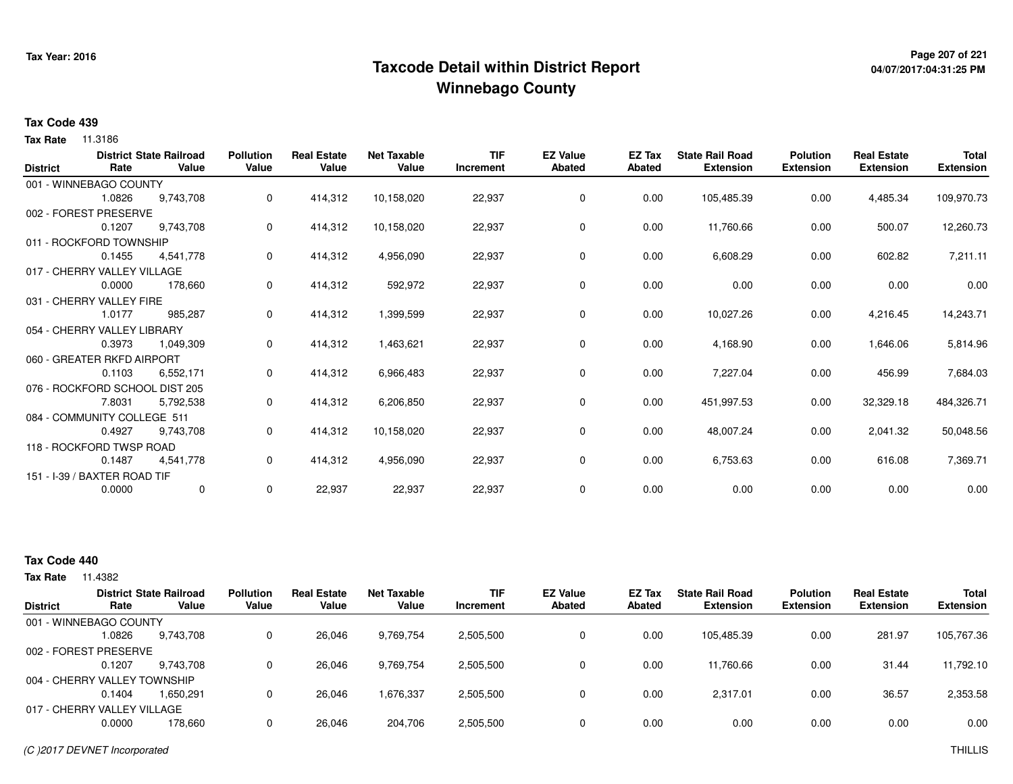# **Page 207 of 221 Taxcode Detail within District ReportWinnebago County**

# **04/07/2017:04:31:25 PM**

### **Tax Code 439**

**Tax Rate** 11.3186

| <b>District</b> | Rate                           | <b>District State Railroad</b><br>Value | <b>Pollution</b><br>Value | <b>Real Estate</b><br>Value | <b>Net Taxable</b><br>Value | <b>TIF</b><br>Increment | <b>EZ Value</b><br><b>Abated</b> | EZ Tax<br><b>Abated</b> | <b>State Rail Road</b><br><b>Extension</b> | <b>Polution</b><br><b>Extension</b> | <b>Real Estate</b><br><b>Extension</b> | <b>Total</b><br><b>Extension</b> |
|-----------------|--------------------------------|-----------------------------------------|---------------------------|-----------------------------|-----------------------------|-------------------------|----------------------------------|-------------------------|--------------------------------------------|-------------------------------------|----------------------------------------|----------------------------------|
|                 | 001 - WINNEBAGO COUNTY         |                                         |                           |                             |                             |                         |                                  |                         |                                            |                                     |                                        |                                  |
|                 | 1.0826                         | 9,743,708                               | 0                         | 414,312                     | 10,158,020                  | 22,937                  | 0                                | 0.00                    | 105,485.39                                 | 0.00                                | 4,485.34                               | 109,970.73                       |
|                 | 002 - FOREST PRESERVE          |                                         |                           |                             |                             |                         |                                  |                         |                                            |                                     |                                        |                                  |
|                 | 0.1207                         | 9,743,708                               | 0                         | 414,312                     | 10,158,020                  | 22,937                  | 0                                | 0.00                    | 11,760.66                                  | 0.00                                | 500.07                                 | 12,260.73                        |
|                 | 011 - ROCKFORD TOWNSHIP        |                                         |                           |                             |                             |                         |                                  |                         |                                            |                                     |                                        |                                  |
|                 | 0.1455                         | 4,541,778                               | 0                         | 414,312                     | 4,956,090                   | 22,937                  | 0                                | 0.00                    | 6,608.29                                   | 0.00                                | 602.82                                 | 7,211.11                         |
|                 | 017 - CHERRY VALLEY VILLAGE    |                                         |                           |                             |                             |                         |                                  |                         |                                            |                                     |                                        |                                  |
|                 | 0.0000                         | 178,660                                 | 0                         | 414,312                     | 592,972                     | 22,937                  | 0                                | 0.00                    | 0.00                                       | 0.00                                | 0.00                                   | 0.00                             |
|                 | 031 - CHERRY VALLEY FIRE       |                                         |                           |                             |                             |                         |                                  |                         |                                            |                                     |                                        |                                  |
|                 | 1.0177                         | 985,287                                 | 0                         | 414,312                     | 1,399,599                   | 22,937                  | 0                                | 0.00                    | 10,027.26                                  | 0.00                                | 4,216.45                               | 14,243.71                        |
|                 | 054 - CHERRY VALLEY LIBRARY    |                                         |                           |                             |                             |                         |                                  |                         |                                            |                                     |                                        |                                  |
|                 | 0.3973                         | 1,049,309                               | 0                         | 414,312                     | 1,463,621                   | 22,937                  | 0                                | 0.00                    | 4,168.90                                   | 0.00                                | 1,646.06                               | 5,814.96                         |
|                 | 060 - GREATER RKFD AIRPORT     |                                         |                           |                             |                             |                         |                                  |                         |                                            |                                     |                                        |                                  |
|                 | 0.1103                         | 6,552,171                               | 0                         | 414,312                     | 6,966,483                   | 22,937                  | 0                                | 0.00                    | 7,227.04                                   | 0.00                                | 456.99                                 | 7,684.03                         |
|                 | 076 - ROCKFORD SCHOOL DIST 205 |                                         |                           |                             |                             |                         |                                  |                         |                                            |                                     |                                        |                                  |
|                 | 7.8031                         | 5,792,538                               | 0                         | 414,312                     | 6,206,850                   | 22,937                  | 0                                | 0.00                    | 451,997.53                                 | 0.00                                | 32,329.18                              | 484,326.71                       |
|                 | 084 - COMMUNITY COLLEGE 511    |                                         |                           |                             |                             |                         |                                  |                         |                                            |                                     |                                        |                                  |
|                 | 0.4927                         | 9,743,708                               | 0                         | 414,312                     | 10,158,020                  | 22,937                  | 0                                | 0.00                    | 48,007.24                                  | 0.00                                | 2,041.32                               | 50,048.56                        |
|                 | 118 - ROCKFORD TWSP ROAD       |                                         |                           |                             |                             |                         |                                  |                         |                                            |                                     |                                        |                                  |
|                 | 0.1487                         | 4,541,778                               | 0                         | 414,312                     | 4,956,090                   | 22,937                  | 0                                | 0.00                    | 6,753.63                                   | 0.00                                | 616.08                                 | 7,369.71                         |
|                 | 151 - I-39 / BAXTER ROAD TIF   |                                         |                           |                             |                             |                         |                                  |                         |                                            |                                     |                                        |                                  |
|                 | 0.0000                         | 0                                       | 0                         | 22,937                      | 22,937                      | 22,937                  | 0                                | 0.00                    | 0.00                                       | 0.00                                | 0.00                                   | 0.00                             |

### **Tax Code 440**

|                 |                              | <b>District State Railroad</b> | <b>Pollution</b> | <b>Real Estate</b> | Net Taxable | <b>TIF</b> | <b>EZ Value</b> | <b>EZ Tax</b> | <b>State Rail Road</b> | <b>Polution</b>  | <b>Real Estate</b> | <b>Total</b>     |
|-----------------|------------------------------|--------------------------------|------------------|--------------------|-------------|------------|-----------------|---------------|------------------------|------------------|--------------------|------------------|
| <b>District</b> | Rate                         | Value                          | Value            | Value              | Value       | Increment  | <b>Abated</b>   | Abated        | <b>Extension</b>       | <b>Extension</b> | <b>Extension</b>   | <b>Extension</b> |
|                 | 001 - WINNEBAGO COUNTY       |                                |                  |                    |             |            |                 |               |                        |                  |                    |                  |
|                 | 1.0826                       | 9,743,708                      |                  | 26,046             | 9,769,754   | 2,505,500  | 0               | 0.00          | 105,485.39             | 0.00             | 281.97             | 105,767.36       |
|                 | 002 - FOREST PRESERVE        |                                |                  |                    |             |            |                 |               |                        |                  |                    |                  |
|                 | 0.1207                       | 9.743.708                      |                  | 26.046             | 9,769,754   | 2,505,500  |                 | 0.00          | 11.760.66              | 0.00             | 31.44              | 11,792.10        |
|                 | 004 - CHERRY VALLEY TOWNSHIP |                                |                  |                    |             |            |                 |               |                        |                  |                    |                  |
|                 | 0.1404                       | 1.650.291                      |                  | 26.046             | 1,676,337   | 2,505,500  |                 | 0.00          | 2.317.01               | 0.00             | 36.57              | 2,353.58         |
|                 | 017 - CHERRY VALLEY VILLAGE  |                                |                  |                    |             |            |                 |               |                        |                  |                    |                  |
|                 | 0.0000                       | 178.660                        |                  | 26.046             | 204,706     | 2,505,500  |                 | 0.00          | 0.00                   | 0.00             | 0.00               | 0.00             |
|                 |                              |                                |                  |                    |             |            |                 |               |                        |                  |                    |                  |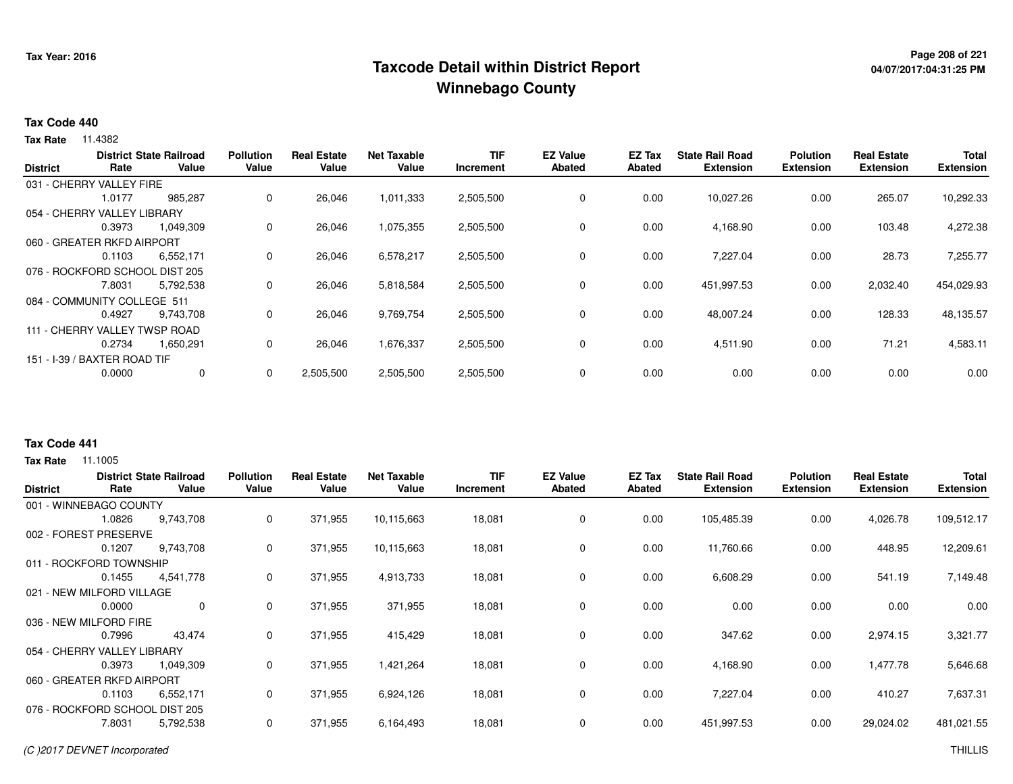# **Page 208 of 221 Taxcode Detail within District ReportWinnebago County**

# **04/07/2017:04:31:25 PM**

#### **Tax Code 440**

**Tax Rate** 11.4382

|                 |                                | <b>District State Railroad</b> | <b>Pollution</b> | <b>Real Estate</b> | <b>Net Taxable</b> | <b>TIF</b>       | <b>EZ Value</b> | <b>EZ Tax</b> | <b>State Rail Road</b> | <b>Polution</b>  | <b>Real Estate</b> | <b>Total</b>     |
|-----------------|--------------------------------|--------------------------------|------------------|--------------------|--------------------|------------------|-----------------|---------------|------------------------|------------------|--------------------|------------------|
| <b>District</b> | Rate                           | Value                          | Value            | Value              | Value              | <b>Increment</b> | <b>Abated</b>   | Abated        | <b>Extension</b>       | <b>Extension</b> | <b>Extension</b>   | <b>Extension</b> |
|                 | 031 - CHERRY VALLEY FIRE       |                                |                  |                    |                    |                  |                 |               |                        |                  |                    |                  |
|                 | 1.0177                         | 985,287                        | 0                | 26,046             | 1,011,333          | 2,505,500        | 0               | 0.00          | 10,027.26              | 0.00             | 265.07             | 10,292.33        |
|                 | 054 - CHERRY VALLEY LIBRARY    |                                |                  |                    |                    |                  |                 |               |                        |                  |                    |                  |
|                 | 0.3973                         | 1,049,309                      | 0                | 26,046             | 1,075,355          | 2,505,500        | $\mathbf 0$     | 0.00          | 4,168.90               | 0.00             | 103.48             | 4,272.38         |
|                 | 060 - GREATER RKFD AIRPORT     |                                |                  |                    |                    |                  |                 |               |                        |                  |                    |                  |
|                 | 0.1103                         | 6,552,171                      | 0                | 26,046             | 6,578,217          | 2,505,500        | 0               | 0.00          | 7,227.04               | 0.00             | 28.73              | 7,255.77         |
|                 | 076 - ROCKFORD SCHOOL DIST 205 |                                |                  |                    |                    |                  |                 |               |                        |                  |                    |                  |
|                 | 7.8031                         | 5,792,538                      | $\Omega$         | 26,046             | 5,818,584          | 2,505,500        | $\mathbf 0$     | 0.00          | 451,997.53             | 0.00             | 2,032.40           | 454,029.93       |
|                 | 084 - COMMUNITY COLLEGE 511    |                                |                  |                    |                    |                  |                 |               |                        |                  |                    |                  |
|                 | 0.4927                         | 9,743,708                      | 0                | 26,046             | 9,769,754          | 2,505,500        | 0               | 0.00          | 48,007.24              | 0.00             | 128.33             | 48,135.57        |
|                 | 111 - CHERRY VALLEY TWSP ROAD  |                                |                  |                    |                    |                  |                 |               |                        |                  |                    |                  |
|                 | 0.2734                         | 1,650,291                      | 0                | 26,046             | 1,676,337          | 2,505,500        | 0               | 0.00          | 4,511.90               | 0.00             | 71.21              | 4,583.11         |
|                 | 151 - I-39 / BAXTER ROAD TIF   |                                |                  |                    |                    |                  |                 |               |                        |                  |                    |                  |
|                 | 0.0000                         | 0                              | $\Omega$         | 2,505,500          | 2,505,500          | 2,505,500        | $\mathbf 0$     | 0.00          | 0.00                   | 0.00             | 0.00               | 0.00             |
|                 |                                |                                |                  |                    |                    |                  |                 |               |                        |                  |                    |                  |

### **Tax Code 441**

| <b>District</b>           | Rate                        | <b>District State Railroad</b><br>Value | <b>Pollution</b><br>Value | <b>Real Estate</b><br>Value | <b>Net Taxable</b><br>Value | <b>TIF</b><br>Increment | <b>EZ Value</b><br><b>Abated</b> | <b>EZ Tax</b><br><b>Abated</b> | <b>State Rail Road</b><br><b>Extension</b> | <b>Polution</b><br><b>Extension</b> | <b>Real Estate</b><br><b>Extension</b> | <b>Total</b><br><b>Extension</b> |
|---------------------------|-----------------------------|-----------------------------------------|---------------------------|-----------------------------|-----------------------------|-------------------------|----------------------------------|--------------------------------|--------------------------------------------|-------------------------------------|----------------------------------------|----------------------------------|
|                           | 001 - WINNEBAGO COUNTY      |                                         |                           |                             |                             |                         |                                  |                                |                                            |                                     |                                        |                                  |
|                           | 1.0826                      | 9,743,708                               | 0                         | 371,955                     | 10,115,663                  | 18,081                  | 0                                | 0.00                           | 105,485.39                                 | 0.00                                | 4,026.78                               | 109,512.17                       |
|                           | 002 - FOREST PRESERVE       |                                         |                           |                             |                             |                         |                                  |                                |                                            |                                     |                                        |                                  |
|                           | 0.1207                      | 9,743,708                               | 0                         | 371,955                     | 10,115,663                  | 18,081                  | 0                                | 0.00                           | 11,760.66                                  | 0.00                                | 448.95                                 | 12,209.61                        |
|                           | 011 - ROCKFORD TOWNSHIP     |                                         |                           |                             |                             |                         |                                  |                                |                                            |                                     |                                        |                                  |
|                           | 0.1455                      | 4,541,778                               | 0                         | 371,955                     | 4,913,733                   | 18,081                  | 0                                | 0.00                           | 6,608.29                                   | 0.00                                | 541.19                                 | 7,149.48                         |
| 021 - NEW MILFORD VILLAGE |                             |                                         |                           |                             |                             |                         |                                  |                                |                                            |                                     |                                        |                                  |
|                           | 0.0000                      | $\mathbf 0$                             | 0                         | 371,955                     | 371,955                     | 18,081                  | 0                                | 0.00                           | 0.00                                       | 0.00                                | 0.00                                   | 0.00                             |
|                           | 036 - NEW MILFORD FIRE      |                                         |                           |                             |                             |                         |                                  |                                |                                            |                                     |                                        |                                  |
|                           | 0.7996                      | 43,474                                  | 0                         | 371,955                     | 415,429                     | 18,081                  | 0                                | 0.00                           | 347.62                                     | 0.00                                | 2,974.15                               | 3,321.77                         |
|                           | 054 - CHERRY VALLEY LIBRARY |                                         |                           |                             |                             |                         |                                  |                                |                                            |                                     |                                        |                                  |
|                           | 0.3973                      | 1,049,309                               | 0                         | 371,955                     | 1,421,264                   | 18,081                  | 0                                | 0.00                           | 4,168.90                                   | 0.00                                | 1,477.78                               | 5,646.68                         |
|                           | 060 - GREATER RKFD AIRPORT  |                                         |                           |                             |                             |                         |                                  |                                |                                            |                                     |                                        |                                  |
|                           | 0.1103                      | 6,552,171                               | 0                         | 371,955                     | 6,924,126                   | 18,081                  | 0                                | 0.00                           | 7,227.04                                   | 0.00                                | 410.27                                 | 7,637.31                         |
|                           |                             | 076 - ROCKFORD SCHOOL DIST 205          |                           |                             |                             |                         |                                  |                                |                                            |                                     |                                        |                                  |
|                           | 7.8031                      | 5,792,538                               | 0                         | 371,955                     | 6,164,493                   | 18,081                  | 0                                | 0.00                           | 451,997.53                                 | 0.00                                | 29,024.02                              | 481,021.55                       |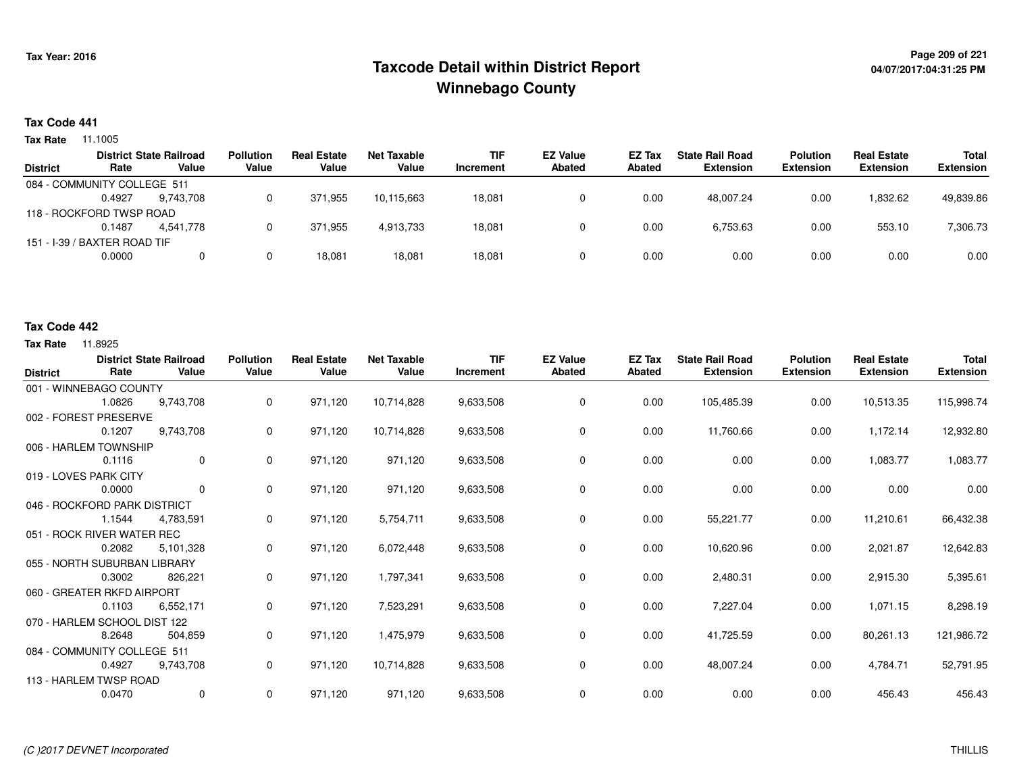# **Page 209 of 221 Taxcode Detail within District ReportWinnebago County**

# **04/07/2017:04:31:25 PM**

### **Tax Code 441**

**Tax Rate** 11.1005

|        |           | <b>Pollution</b>                                                                                                          | <b>Real Estate</b> | Net Taxable | <b>TIF</b> | <b>EZ Value</b> | <b>EZ Tax</b> | <b>State Rail Road</b> | <b>Polution</b>  | <b>Real Estate</b> | Total            |
|--------|-----------|---------------------------------------------------------------------------------------------------------------------------|--------------------|-------------|------------|-----------------|---------------|------------------------|------------------|--------------------|------------------|
| Rate   | Value     | Value                                                                                                                     | Value              | Value       | Increment  | Abated          | Abated        | <b>Extension</b>       | <b>Extension</b> | <b>Extension</b>   | <b>Extension</b> |
|        |           |                                                                                                                           |                    |             |            |                 |               |                        |                  |                    |                  |
| 0.4927 | 9.743.708 |                                                                                                                           | 371.955            | 10.115.663  | 18,081     |                 | 0.00          | 48.007.24              | 0.00             | 832.62.            | 49,839.86        |
|        |           |                                                                                                                           |                    |             |            |                 |               |                        |                  |                    |                  |
| 0.1487 | 4.541.778 |                                                                                                                           | 371.955            | 4.913.733   | 18,081     |                 | 0.00          | 6,753.63               | 0.00             | 553.10             | 7,306.73         |
|        |           |                                                                                                                           |                    |             |            |                 |               |                        |                  |                    |                  |
| 0.0000 |           |                                                                                                                           | 18,081             | 18,081      | 18,081     |                 | 0.00          | 0.00                   | 0.00             | 0.00               | 0.00             |
|        |           | <b>District State Railroad</b><br>084 - COMMUNITY COLLEGE 511<br>118 - ROCKFORD TWSP ROAD<br>151 - I-39 / BAXTER ROAD TIF |                    |             |            |                 |               |                        |                  |                    |                  |

### **Tax Code 442**

| <b>District</b>              | Rate   | <b>District State Railroad</b><br>Value | <b>Pollution</b><br>Value | <b>Real Estate</b><br>Value | <b>Net Taxable</b><br>Value | <b>TIF</b><br>Increment | <b>EZ Value</b><br><b>Abated</b> | <b>EZ Tax</b><br><b>Abated</b> | <b>State Rail Road</b><br><b>Extension</b> | <b>Polution</b><br><b>Extension</b> | <b>Real Estate</b><br><b>Extension</b> | <b>Total</b><br><b>Extension</b> |
|------------------------------|--------|-----------------------------------------|---------------------------|-----------------------------|-----------------------------|-------------------------|----------------------------------|--------------------------------|--------------------------------------------|-------------------------------------|----------------------------------------|----------------------------------|
| 001 - WINNEBAGO COUNTY       |        |                                         |                           |                             |                             |                         |                                  |                                |                                            |                                     |                                        |                                  |
|                              | 1.0826 | 9.743.708                               | 0                         | 971,120                     | 10,714,828                  | 9,633,508               | 0                                | 0.00                           | 105,485.39                                 | 0.00                                | 10,513.35                              | 115,998.74                       |
| 002 - FOREST PRESERVE        |        |                                         |                           |                             |                             |                         |                                  |                                |                                            |                                     |                                        |                                  |
|                              | 0.1207 | 9,743,708                               | 0                         | 971,120                     | 10,714,828                  | 9,633,508               | 0                                | 0.00                           | 11,760.66                                  | 0.00                                | 1,172.14                               | 12,932.80                        |
| 006 - HARLEM TOWNSHIP        |        |                                         |                           |                             |                             |                         |                                  |                                |                                            |                                     |                                        |                                  |
|                              | 0.1116 | $\mathbf{0}$                            | 0                         | 971,120                     | 971,120                     | 9,633,508               | 0                                | 0.00                           | 0.00                                       | 0.00                                | 1,083.77                               | 1,083.77                         |
| 019 - LOVES PARK CITY        |        |                                         |                           |                             |                             |                         |                                  |                                |                                            |                                     |                                        |                                  |
|                              | 0.0000 | $\mathbf{0}$                            | 0                         | 971,120                     | 971,120                     | 9,633,508               | 0                                | 0.00                           | 0.00                                       | 0.00                                | 0.00                                   | 0.00                             |
| 046 - ROCKFORD PARK DISTRICT |        |                                         |                           |                             |                             |                         |                                  |                                |                                            |                                     |                                        |                                  |
|                              | 1.1544 | 4,783,591                               | 0                         | 971,120                     | 5,754,711                   | 9,633,508               | 0                                | 0.00                           | 55,221.77                                  | 0.00                                | 11,210.61                              | 66,432.38                        |
| 051 - ROCK RIVER WATER REC   |        |                                         |                           |                             |                             |                         |                                  |                                |                                            |                                     |                                        |                                  |
|                              | 0.2082 | 5,101,328                               | 0                         | 971,120                     | 6,072,448                   | 9,633,508               | 0                                | 0.00                           | 10,620.96                                  | 0.00                                | 2,021.87                               | 12,642.83                        |
| 055 - NORTH SUBURBAN LIBRARY |        |                                         |                           |                             |                             |                         |                                  |                                |                                            |                                     |                                        |                                  |
|                              | 0.3002 | 826,221                                 | 0                         | 971,120                     | 1,797,341                   | 9,633,508               | 0                                | 0.00                           | 2,480.31                                   | 0.00                                | 2,915.30                               | 5,395.61                         |
| 060 - GREATER RKFD AIRPORT   |        |                                         |                           |                             |                             |                         |                                  |                                |                                            |                                     |                                        |                                  |
|                              | 0.1103 | 6,552,171                               | 0                         | 971,120                     | 7,523,291                   | 9,633,508               | 0                                | 0.00                           | 7,227.04                                   | 0.00                                | 1,071.15                               | 8,298.19                         |
| 070 - HARLEM SCHOOL DIST 122 |        |                                         |                           |                             |                             |                         |                                  |                                |                                            |                                     |                                        |                                  |
|                              | 8.2648 | 504,859                                 | 0                         | 971,120                     | 1,475,979                   | 9,633,508               | 0                                | 0.00                           | 41,725.59                                  | 0.00                                | 80,261.13                              | 121,986.72                       |
| 084 - COMMUNITY COLLEGE 511  |        |                                         |                           |                             |                             |                         |                                  |                                |                                            |                                     |                                        |                                  |
|                              | 0.4927 | 9,743,708                               | 0                         | 971,120                     | 10,714,828                  | 9,633,508               | 0                                | 0.00                           | 48,007.24                                  | 0.00                                | 4,784.71                               | 52,791.95                        |
| 113 - HARLEM TWSP ROAD       |        |                                         |                           |                             |                             |                         |                                  |                                |                                            |                                     |                                        |                                  |
|                              | 0.0470 | $\mathbf{0}$                            | 0                         | 971,120                     | 971,120                     | 9,633,508               | 0                                | 0.00                           | 0.00                                       | 0.00                                | 456.43                                 | 456.43                           |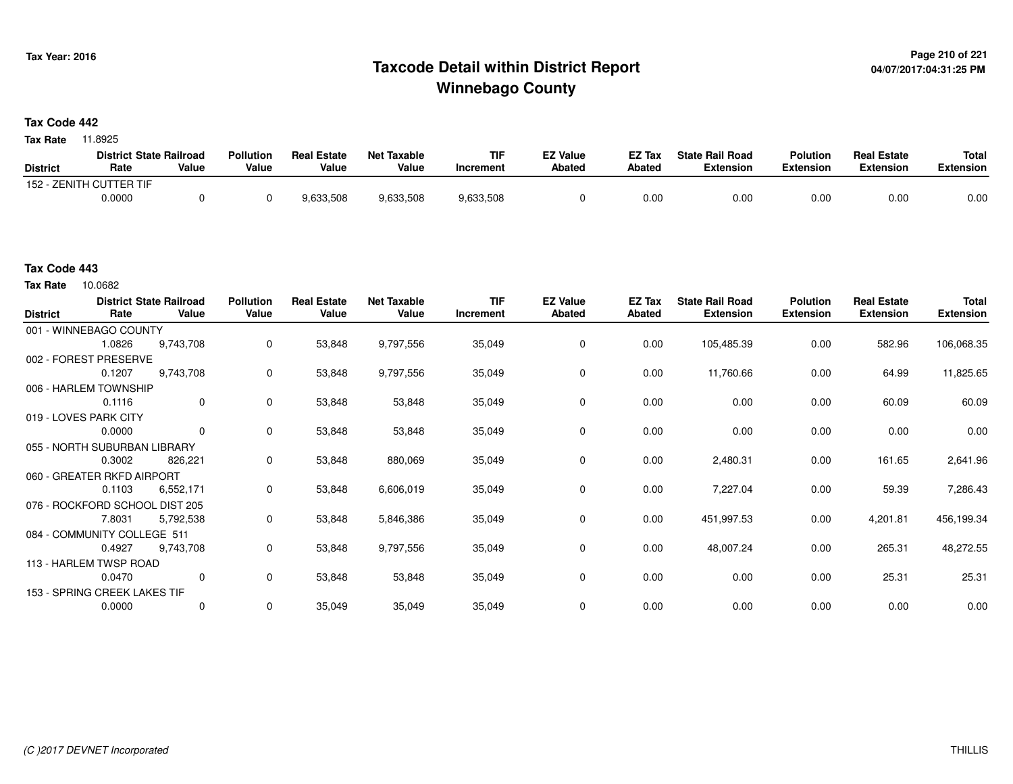# **Page 210 of 221 Taxcode Detail within District ReportWinnebago County**

**Tax Code 442**

**Tax Rate** 11.8925

|                 | <b>District State Railroad</b> |       | <b>Pollution</b> | <b>Real Estate</b> | Net Taxable | TIF       | <b>EZ Value</b> | <b>EZ Tax</b> | <b>State Rail Road</b> | <b>Polution</b>  | <b>Real Estate</b> | <b>Total</b> |
|-----------------|--------------------------------|-------|------------------|--------------------|-------------|-----------|-----------------|---------------|------------------------|------------------|--------------------|--------------|
| <b>District</b> | Rate                           | Value | Value            | Value              | Value       | Increment | <b>Abated</b>   | Abated        | <b>Extension</b>       | <b>Extension</b> | <b>Extension</b>   | Extension    |
|                 | 152 - ZENITH CUTTER TIF        |       |                  |                    |             |           |                 |               |                        |                  |                    |              |
|                 | 0.0000                         |       |                  | 9,633,508          | 9,633,508   | 9,633,508 |                 | 0.00          | 0.00                   | 0.00             | 0.00               | 0.00         |

10.0682 **Tax Rate**

| <b>District</b> | Rate                           | <b>District State Railroad</b><br>Value | <b>Pollution</b><br>Value | <b>Real Estate</b><br>Value | <b>Net Taxable</b><br>Value | <b>TIF</b><br>Increment | <b>EZ Value</b><br>Abated | <b>EZ Tax</b><br><b>Abated</b> | <b>State Rail Road</b><br><b>Extension</b> | <b>Polution</b><br><b>Extension</b> | <b>Real Estate</b><br><b>Extension</b> | <b>Total</b><br><b>Extension</b> |
|-----------------|--------------------------------|-----------------------------------------|---------------------------|-----------------------------|-----------------------------|-------------------------|---------------------------|--------------------------------|--------------------------------------------|-------------------------------------|----------------------------------------|----------------------------------|
|                 | 001 - WINNEBAGO COUNTY         |                                         |                           |                             |                             |                         |                           |                                |                                            |                                     |                                        |                                  |
|                 | 1.0826                         | 9,743,708                               | $\mathbf{0}$              | 53,848                      | 9,797,556                   | 35,049                  | 0                         | 0.00                           | 105,485.39                                 | 0.00                                | 582.96                                 | 106,068.35                       |
|                 | 002 - FOREST PRESERVE          |                                         |                           |                             |                             |                         |                           |                                |                                            |                                     |                                        |                                  |
|                 | 0.1207                         | 9,743,708                               | 0                         | 53,848                      | 9,797,556                   | 35,049                  | 0                         | 0.00                           | 11,760.66                                  | 0.00                                | 64.99                                  | 11,825.65                        |
|                 | 006 - HARLEM TOWNSHIP          |                                         |                           |                             |                             |                         |                           |                                |                                            |                                     |                                        |                                  |
|                 | 0.1116                         | $\mathbf 0$                             | $\mathbf 0$               | 53,848                      | 53,848                      | 35,049                  | 0                         | 0.00                           | 0.00                                       | 0.00                                | 60.09                                  | 60.09                            |
|                 | 019 - LOVES PARK CITY          |                                         |                           |                             |                             |                         |                           |                                |                                            |                                     |                                        |                                  |
|                 | 0.0000                         | $\mathbf 0$                             | 0                         | 53,848                      | 53,848                      | 35,049                  | 0                         | 0.00                           | 0.00                                       | 0.00                                | 0.00                                   | 0.00                             |
|                 | 055 - NORTH SUBURBAN LIBRARY   |                                         |                           |                             |                             |                         |                           |                                |                                            |                                     |                                        |                                  |
|                 | 0.3002                         | 826,221                                 | 0                         | 53,848                      | 880,069                     | 35,049                  | 0                         | 0.00                           | 2,480.31                                   | 0.00                                | 161.65                                 | 2,641.96                         |
|                 | 060 - GREATER RKFD AIRPORT     |                                         |                           |                             |                             |                         |                           |                                |                                            |                                     |                                        |                                  |
|                 | 0.1103                         | 6,552,171                               | 0                         | 53,848                      | 6,606,019                   | 35,049                  | 0                         | 0.00                           | 7,227.04                                   | 0.00                                | 59.39                                  | 7,286.43                         |
|                 | 076 - ROCKFORD SCHOOL DIST 205 |                                         |                           |                             |                             |                         |                           |                                |                                            |                                     |                                        |                                  |
|                 | 7.8031                         | 5,792,538                               | 0                         | 53,848                      | 5,846,386                   | 35,049                  | 0                         | 0.00                           | 451,997.53                                 | 0.00                                | 4,201.81                               | 456,199.34                       |
|                 | 084 - COMMUNITY COLLEGE 511    |                                         |                           |                             |                             |                         |                           |                                |                                            |                                     |                                        |                                  |
|                 | 0.4927                         | 9,743,708                               | 0                         | 53,848                      | 9,797,556                   | 35,049                  | 0                         | 0.00                           | 48,007.24                                  | 0.00                                | 265.31                                 | 48,272.55                        |
|                 | 113 - HARLEM TWSP ROAD         |                                         |                           |                             |                             |                         |                           |                                |                                            |                                     |                                        |                                  |
|                 | 0.0470                         | $\mathbf 0$                             | 0                         | 53,848                      | 53,848                      | 35,049                  | 0                         | 0.00                           | 0.00                                       | 0.00                                | 25.31                                  | 25.31                            |
|                 | 153 - SPRING CREEK LAKES TIF   |                                         |                           |                             |                             |                         |                           |                                |                                            |                                     |                                        |                                  |
|                 | 0.0000                         | 0                                       | 0                         | 35,049                      | 35,049                      | 35,049                  | 0                         | 0.00                           | 0.00                                       | 0.00                                | 0.00                                   | 0.00                             |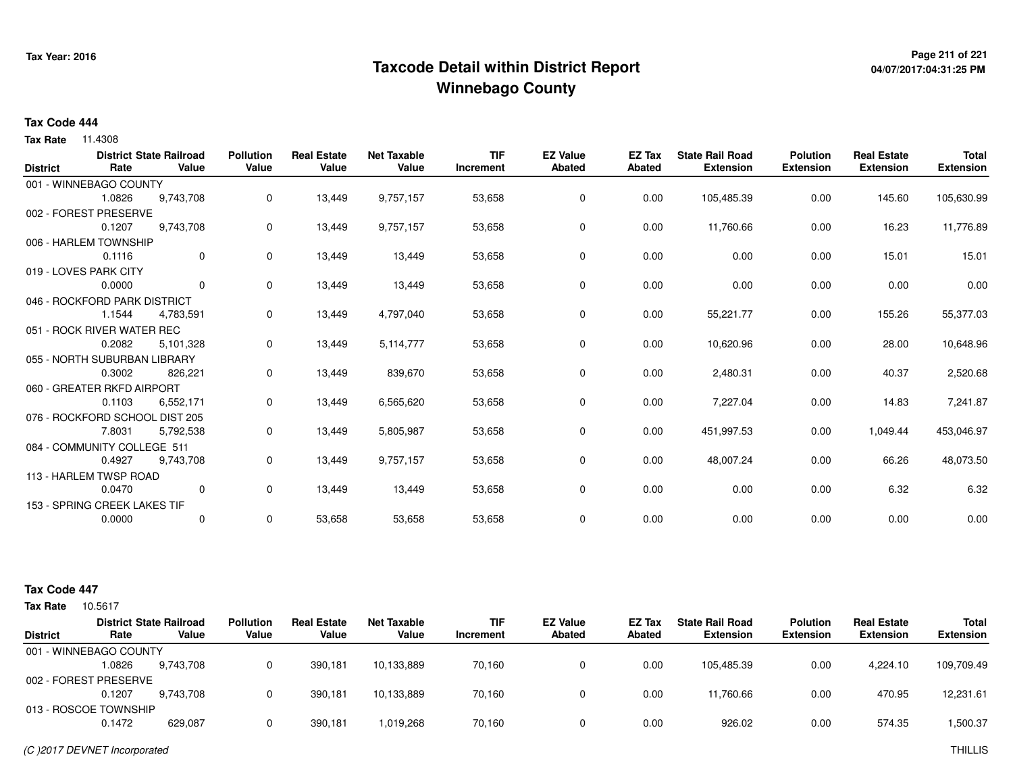# **Page 211 of 221 Taxcode Detail within District ReportWinnebago County**

# **04/07/2017:04:31:25 PM**

#### **Tax Code 444**

**Tax Rate** 11.4308

|                 |                                | <b>District State Railroad</b> | Pollution | <b>Real Estate</b> | <b>Net Taxable</b> | <b>TIF</b> | <b>EZ Value</b> | EZ Tax        | <b>State Rail Road</b> | <b>Polution</b>  | <b>Real Estate</b> | <b>Total</b>     |
|-----------------|--------------------------------|--------------------------------|-----------|--------------------|--------------------|------------|-----------------|---------------|------------------------|------------------|--------------------|------------------|
| <b>District</b> | Rate                           | Value                          | Value     | Value              | Value              | Increment  | <b>Abated</b>   | <b>Abated</b> | <b>Extension</b>       | <b>Extension</b> | <b>Extension</b>   | <b>Extension</b> |
|                 | 001 - WINNEBAGO COUNTY         |                                |           |                    |                    |            |                 |               |                        |                  |                    |                  |
|                 | 1.0826                         | 9,743,708                      | 0         | 13,449             | 9,757,157          | 53,658     | 0               | 0.00          | 105,485.39             | 0.00             | 145.60             | 105,630.99       |
|                 | 002 - FOREST PRESERVE          |                                |           |                    |                    |            |                 |               |                        |                  |                    |                  |
|                 | 0.1207                         | 9,743,708                      | 0         | 13,449             | 9,757,157          | 53,658     | 0               | 0.00          | 11,760.66              | 0.00             | 16.23              | 11,776.89        |
|                 | 006 - HARLEM TOWNSHIP          |                                |           |                    |                    |            |                 |               |                        |                  |                    |                  |
|                 | 0.1116                         | 0                              | 0         | 13,449             | 13,449             | 53,658     | 0               | 0.00          | 0.00                   | 0.00             | 15.01              | 15.01            |
|                 | 019 - LOVES PARK CITY          |                                |           |                    |                    |            |                 |               |                        |                  |                    |                  |
|                 | 0.0000                         | 0                              | 0         | 13,449             | 13,449             | 53,658     | 0               | 0.00          | 0.00                   | 0.00             | 0.00               | 0.00             |
|                 | 046 - ROCKFORD PARK DISTRICT   |                                |           |                    |                    |            |                 |               |                        |                  |                    |                  |
|                 | 1.1544                         | 4,783,591                      | 0         | 13,449             | 4,797,040          | 53,658     | 0               | 0.00          | 55,221.77              | 0.00             | 155.26             | 55,377.03        |
|                 | 051 - ROCK RIVER WATER REC     |                                |           |                    |                    |            |                 |               |                        |                  |                    |                  |
|                 | 0.2082                         | 5,101,328                      | 0         | 13,449             | 5,114,777          | 53,658     | 0               | 0.00          | 10,620.96              | 0.00             | 28.00              | 10,648.96        |
|                 | 055 - NORTH SUBURBAN LIBRARY   |                                |           |                    |                    |            |                 |               |                        |                  |                    |                  |
|                 | 0.3002                         | 826,221                        | 0         | 13,449             | 839,670            | 53,658     | 0               | 0.00          | 2,480.31               | 0.00             | 40.37              | 2,520.68         |
|                 | 060 - GREATER RKFD AIRPORT     |                                |           |                    |                    |            |                 |               |                        |                  |                    |                  |
|                 | 0.1103                         | 6,552,171                      | 0         | 13,449             | 6,565,620          | 53,658     | 0               | 0.00          | 7,227.04               | 0.00             | 14.83              | 7,241.87         |
|                 | 076 - ROCKFORD SCHOOL DIST 205 |                                |           |                    |                    |            |                 |               |                        |                  |                    |                  |
|                 | 7.8031                         | 5,792,538                      | 0         | 13,449             | 5,805,987          | 53,658     | 0               | 0.00          | 451,997.53             | 0.00             | 1,049.44           | 453,046.97       |
|                 | 084 - COMMUNITY COLLEGE 511    |                                |           |                    |                    |            |                 |               |                        |                  |                    |                  |
|                 | 0.4927                         | 9,743,708                      | 0         | 13,449             | 9,757,157          | 53,658     | 0               | 0.00          | 48,007.24              | 0.00             | 66.26              | 48,073.50        |
|                 | 113 - HARLEM TWSP ROAD         |                                |           |                    |                    |            |                 |               |                        |                  |                    |                  |
|                 | 0.0470                         | 0                              | 0         | 13,449             | 13,449             | 53,658     | 0               | 0.00          | 0.00                   | 0.00             | 6.32               | 6.32             |
|                 | 153 - SPRING CREEK LAKES TIF   |                                |           |                    |                    |            |                 |               |                        |                  |                    |                  |
|                 | 0.0000                         | 0                              | 0         | 53,658             | 53,658             | 53,658     | 0               | 0.00          | 0.00                   | 0.00             | 0.00               | 0.00             |
|                 |                                |                                |           |                    |                    |            |                 |               |                        |                  |                    |                  |

#### **Tax Code 447**

| 10.5617 |           |                                                                                                            |                             |                      |                         |                                  |                  |                                            |                                     |                                        |                                  |
|---------|-----------|------------------------------------------------------------------------------------------------------------|-----------------------------|----------------------|-------------------------|----------------------------------|------------------|--------------------------------------------|-------------------------------------|----------------------------------------|----------------------------------|
| Rate    | Value     | <b>Pollution</b><br>Value                                                                                  | <b>Real Estate</b><br>Value | Net Taxable<br>Value | <b>TIF</b><br>Increment | <b>EZ Value</b><br><b>Abated</b> | EZ Tax<br>Abated | <b>State Rail Road</b><br><b>Extension</b> | <b>Polution</b><br><b>Extension</b> | <b>Real Estate</b><br><b>Extension</b> | <b>Total</b><br><b>Extension</b> |
|         |           |                                                                                                            |                             |                      |                         |                                  |                  |                                            |                                     |                                        |                                  |
| .0826   | 9.743.708 | 0                                                                                                          | 390.181                     | 10,133,889           | 70.160                  | 0                                | 0.00             | 105.485.39                                 | 0.00                                | 4.224.10                               | 109,709.49                       |
|         |           |                                                                                                            |                             |                      |                         |                                  |                  |                                            |                                     |                                        |                                  |
| 0.1207  | 9.743.708 | 0                                                                                                          | 390.181                     | 10,133,889           | 70,160                  | 0                                | 0.00             | 11,760.66                                  | 0.00                                | 470.95                                 | 12,231.61                        |
|         |           |                                                                                                            |                             |                      |                         |                                  |                  |                                            |                                     |                                        |                                  |
| 0.1472  | 629,087   | 0                                                                                                          | 390,181                     | 1,019,268            | 70,160                  | 0                                | 0.00             | 926.02                                     | 0.00                                | 574.35                                 | 1,500.37                         |
|         |           | <b>District State Railroad</b><br>001 - WINNEBAGO COUNTY<br>002 - FOREST PRESERVE<br>013 - ROSCOE TOWNSHIP |                             |                      |                         |                                  |                  |                                            |                                     |                                        |                                  |

(C )2017 DEVNET Incorporated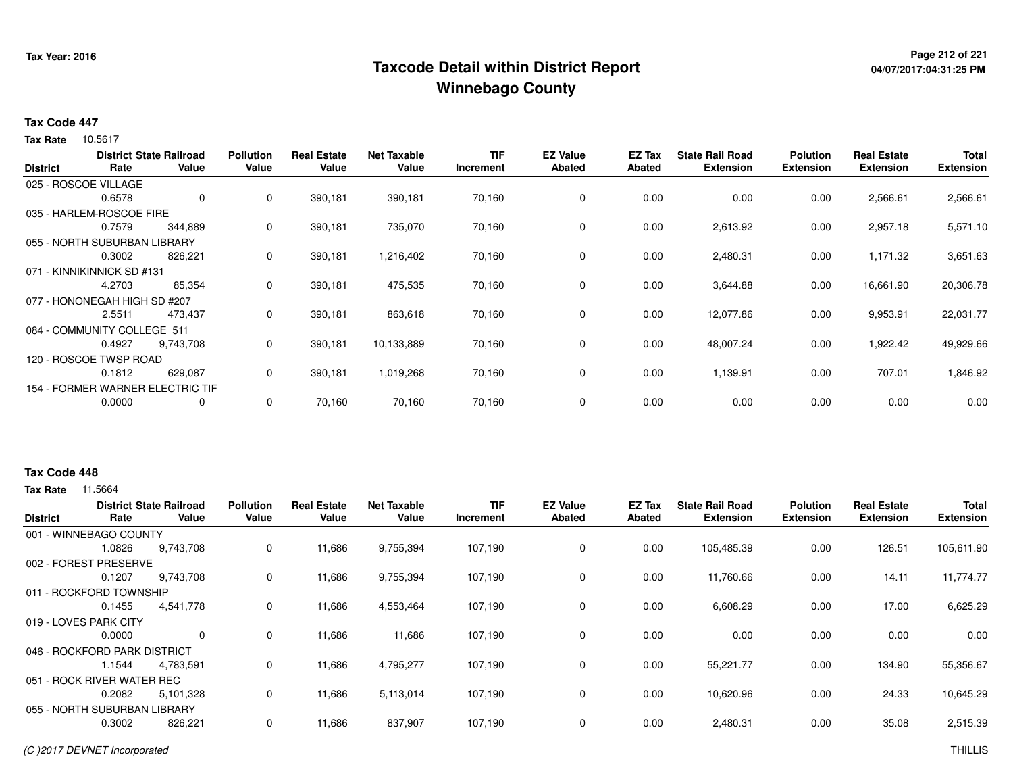# **Page 212 of 221 Taxcode Detail within District ReportWinnebago County**

# **04/07/2017:04:31:25 PM**

#### **Tax Code 447**

10.5617 **Tax Rate**

|                 |                              | <b>District State Railroad</b>   | <b>Pollution</b> | <b>Real Estate</b> | <b>Net Taxable</b> | <b>TIF</b> | <b>EZ Value</b> | EZ Tax        | <b>State Rail Road</b> | <b>Polution</b>  | <b>Real Estate</b> | <b>Total</b>     |
|-----------------|------------------------------|----------------------------------|------------------|--------------------|--------------------|------------|-----------------|---------------|------------------------|------------------|--------------------|------------------|
| <b>District</b> | Rate                         | Value                            | Value            | Value              | Value              | Increment  | <b>Abated</b>   | <b>Abated</b> | <b>Extension</b>       | <b>Extension</b> | <b>Extension</b>   | <b>Extension</b> |
|                 | 025 - ROSCOE VILLAGE         |                                  |                  |                    |                    |            |                 |               |                        |                  |                    |                  |
|                 | 0.6578                       | 0                                | 0                | 390,181            | 390,181            | 70,160     | 0               | 0.00          | 0.00                   | 0.00             | 2,566.61           | 2,566.61         |
|                 | 035 - HARLEM-ROSCOE FIRE     |                                  |                  |                    |                    |            |                 |               |                        |                  |                    |                  |
|                 | 0.7579                       | 344,889                          | 0                | 390,181            | 735,070            | 70,160     | 0               | 0.00          | 2,613.92               | 0.00             | 2,957.18           | 5,571.10         |
|                 | 055 - NORTH SUBURBAN LIBRARY |                                  |                  |                    |                    |            |                 |               |                        |                  |                    |                  |
|                 | 0.3002                       | 826,221                          | 0                | 390,181            | 1,216,402          | 70,160     | 0               | 0.00          | 2,480.31               | 0.00             | 1,171.32           | 3,651.63         |
|                 | 071 - KINNIKINNICK SD #131   |                                  |                  |                    |                    |            |                 |               |                        |                  |                    |                  |
|                 | 4.2703                       | 85,354                           | 0                | 390,181            | 475,535            | 70,160     | 0               | 0.00          | 3,644.88               | 0.00             | 16,661.90          | 20,306.78        |
|                 | 077 - HONONEGAH HIGH SD #207 |                                  |                  |                    |                    |            |                 |               |                        |                  |                    |                  |
|                 | 2.5511                       | 473,437                          | 0                | 390,181            | 863,618            | 70,160     | 0               | 0.00          | 12,077.86              | 0.00             | 9,953.91           | 22,031.77        |
|                 | 084 - COMMUNITY COLLEGE 511  |                                  |                  |                    |                    |            |                 |               |                        |                  |                    |                  |
|                 | 0.4927                       | 9,743,708                        | 0                | 390,181            | 10,133,889         | 70,160     | 0               | 0.00          | 48,007.24              | 0.00             | 1,922.42           | 49,929.66        |
|                 | 120 - ROSCOE TWSP ROAD       |                                  |                  |                    |                    |            |                 |               |                        |                  |                    |                  |
|                 | 0.1812                       | 629,087                          | 0                | 390,181            | 1,019,268          | 70,160     | 0               | 0.00          | 1,139.91               | 0.00             | 707.01             | 1,846.92         |
|                 |                              | 154 - FORMER WARNER ELECTRIC TIF |                  |                    |                    |            |                 |               |                        |                  |                    |                  |
|                 | 0.0000                       | 0                                | 0                | 70,160             | 70,160             | 70,160     | 0               | 0.00          | 0.00                   | 0.00             | 0.00               | 0.00             |

#### **Tax Code 448**

| <b>District</b> | Rate                         | <b>District State Railroad</b><br>Value | <b>Pollution</b><br>Value | <b>Real Estate</b><br>Value | <b>Net Taxable</b><br>Value | <b>TIF</b><br>Increment | <b>EZ Value</b><br><b>Abated</b> | EZ Tax<br>Abated | <b>State Rail Road</b><br><b>Extension</b> | <b>Polution</b><br><b>Extension</b> | <b>Real Estate</b><br><b>Extension</b> | <b>Total</b><br><b>Extension</b> |
|-----------------|------------------------------|-----------------------------------------|---------------------------|-----------------------------|-----------------------------|-------------------------|----------------------------------|------------------|--------------------------------------------|-------------------------------------|----------------------------------------|----------------------------------|
|                 | 001 - WINNEBAGO COUNTY       |                                         |                           |                             |                             |                         |                                  |                  |                                            |                                     |                                        |                                  |
|                 | 1.0826                       | 9,743,708                               | 0                         | 11,686                      | 9,755,394                   | 107,190                 | 0                                | 0.00             | 105,485.39                                 | 0.00                                | 126.51                                 | 105,611.90                       |
|                 | 002 - FOREST PRESERVE        |                                         |                           |                             |                             |                         |                                  |                  |                                            |                                     |                                        |                                  |
|                 | 0.1207                       | 9,743,708                               | 0                         | 11,686                      | 9,755,394                   | 107,190                 | $\mathbf 0$                      | 0.00             | 11,760.66                                  | 0.00                                | 14.11                                  | 11,774.77                        |
|                 | 011 - ROCKFORD TOWNSHIP      |                                         |                           |                             |                             |                         |                                  |                  |                                            |                                     |                                        |                                  |
|                 | 0.1455                       | 4,541,778                               | 0                         | 11,686                      | 4,553,464                   | 107,190                 | 0                                | 0.00             | 6,608.29                                   | 0.00                                | 17.00                                  | 6,625.29                         |
|                 | 019 - LOVES PARK CITY        |                                         |                           |                             |                             |                         |                                  |                  |                                            |                                     |                                        |                                  |
|                 | 0.0000                       | 0                                       | 0                         | 11,686                      | 11,686                      | 107,190                 | 0                                | 0.00             | 0.00                                       | 0.00                                | 0.00                                   | 0.00                             |
|                 | 046 - ROCKFORD PARK DISTRICT |                                         |                           |                             |                             |                         |                                  |                  |                                            |                                     |                                        |                                  |
|                 | 1.1544                       | 4,783,591                               | 0                         | 11,686                      | 4,795,277                   | 107,190                 | 0                                | 0.00             | 55,221.77                                  | 0.00                                | 134.90                                 | 55,356.67                        |
|                 | 051 - ROCK RIVER WATER REC   |                                         |                           |                             |                             |                         |                                  |                  |                                            |                                     |                                        |                                  |
|                 | 0.2082                       | 5,101,328                               | 0                         | 11,686                      | 5,113,014                   | 107,190                 | 0                                | 0.00             | 10,620.96                                  | 0.00                                | 24.33                                  | 10,645.29                        |
|                 | 055 - NORTH SUBURBAN LIBRARY |                                         |                           |                             |                             |                         |                                  |                  |                                            |                                     |                                        |                                  |
|                 | 0.3002                       | 826,221                                 | 0                         | 11,686                      | 837,907                     | 107,190                 | $\mathbf 0$                      | 0.00             | 2,480.31                                   | 0.00                                | 35.08                                  | 2,515.39                         |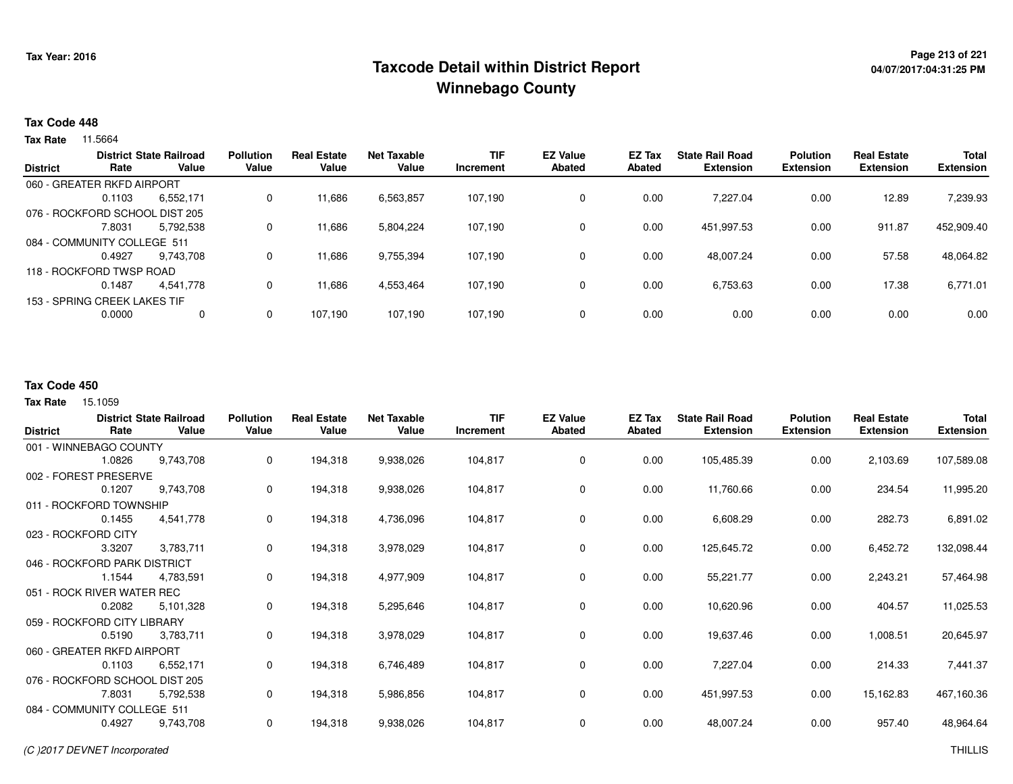# **Page 213 of 221 Taxcode Detail within District ReportWinnebago County**

# **04/07/2017:04:31:25 PM**

#### **Tax Code 448**

**Tax Rate** 11.5664

|                 |                                | <b>District State Railroad</b> | <b>Pollution</b> | <b>Real Estate</b> | Net Taxable | <b>TIF</b> | <b>EZ Value</b> | EZ Tax | <b>State Rail Road</b> | <b>Polution</b>  | <b>Real Estate</b> | <b>Total</b>     |
|-----------------|--------------------------------|--------------------------------|------------------|--------------------|-------------|------------|-----------------|--------|------------------------|------------------|--------------------|------------------|
| <b>District</b> | Rate                           | Value                          | Value            | Value              | Value       | Increment  | <b>Abated</b>   | Abated | <b>Extension</b>       | <b>Extension</b> | <b>Extension</b>   | <b>Extension</b> |
|                 | 060 - GREATER RKFD AIRPORT     |                                |                  |                    |             |            |                 |        |                        |                  |                    |                  |
|                 | 0.1103                         | 6,552,171                      | 0                | 11,686             | 6,563,857   | 107.190    | 0               | 0.00   | 7.227.04               | 0.00             | 12.89              | 7,239.93         |
|                 | 076 - ROCKFORD SCHOOL DIST 205 |                                |                  |                    |             |            |                 |        |                        |                  |                    |                  |
|                 | 7.8031                         | 5,792,538                      | 0                | 11,686             | 5,804,224   | 107,190    | 0               | 0.00   | 451.997.53             | 0.00             | 911.87             | 452,909.40       |
|                 | 084 - COMMUNITY COLLEGE 511    |                                |                  |                    |             |            |                 |        |                        |                  |                    |                  |
|                 | 0.4927                         | 9.743.708                      | 0                | 11,686             | 9,755,394   | 107,190    | 0               | 0.00   | 48,007.24              | 0.00             | 57.58              | 48,064.82        |
|                 | 118 - ROCKFORD TWSP ROAD       |                                |                  |                    |             |            |                 |        |                        |                  |                    |                  |
|                 | 0.1487                         | 4.541.778                      | 0                | 11,686             | 4,553,464   | 107.190    | 0               | 0.00   | 6,753.63               | 0.00             | 17.38              | 6,771.01         |
|                 | 153 - SPRING CREEK LAKES TIF   |                                |                  |                    |             |            |                 |        |                        |                  |                    |                  |
|                 | 0.0000                         | 0                              | 0                | 107,190            | 107,190     | 107.190    | 0               | 0.00   | 0.00                   | 0.00             | 0.00               | 0.00             |
|                 |                                |                                |                  |                    |             |            |                 |        |                        |                  |                    |                  |

#### **Tax Code 450**

15.1059 **Tax Rate**

| <b>District</b> | Rate                           | <b>District State Railroad</b><br>Value | <b>Pollution</b><br>Value | <b>Real Estate</b><br>Value | <b>Net Taxable</b><br>Value | <b>TIF</b><br>Increment | <b>EZ Value</b><br><b>Abated</b> | EZ Tax<br>Abated | <b>State Rail Road</b><br><b>Extension</b> | <b>Polution</b><br><b>Extension</b> | <b>Real Estate</b><br><b>Extension</b> | Total<br><b>Extension</b> |
|-----------------|--------------------------------|-----------------------------------------|---------------------------|-----------------------------|-----------------------------|-------------------------|----------------------------------|------------------|--------------------------------------------|-------------------------------------|----------------------------------------|---------------------------|
|                 | 001 - WINNEBAGO COUNTY         |                                         |                           |                             |                             |                         |                                  |                  |                                            |                                     |                                        |                           |
|                 | 1.0826                         | 9,743,708                               | 0                         | 194,318                     | 9,938,026                   | 104,817                 | 0                                | 0.00             | 105,485.39                                 | 0.00                                | 2,103.69                               | 107,589.08                |
|                 | 002 - FOREST PRESERVE          |                                         |                           |                             |                             |                         |                                  |                  |                                            |                                     |                                        |                           |
|                 | 0.1207                         | 9,743,708                               | 0                         | 194,318                     | 9,938,026                   | 104,817                 | 0                                | 0.00             | 11,760.66                                  | 0.00                                | 234.54                                 | 11,995.20                 |
|                 | 011 - ROCKFORD TOWNSHIP        |                                         |                           |                             |                             |                         |                                  |                  |                                            |                                     |                                        |                           |
|                 | 0.1455                         | 4,541,778                               | 0                         | 194,318                     | 4,736,096                   | 104,817                 | 0                                | 0.00             | 6,608.29                                   | 0.00                                | 282.73                                 | 6,891.02                  |
|                 | 023 - ROCKFORD CITY            |                                         |                           |                             |                             |                         |                                  |                  |                                            |                                     |                                        |                           |
|                 | 3.3207                         | 3,783,711                               | 0                         | 194,318                     | 3,978,029                   | 104,817                 | 0                                | 0.00             | 125,645.72                                 | 0.00                                | 6,452.72                               | 132,098.44                |
|                 | 046 - ROCKFORD PARK DISTRICT   |                                         |                           |                             |                             |                         |                                  |                  |                                            |                                     |                                        |                           |
|                 | 1.1544                         | 4,783,591                               | 0                         | 194,318                     | 4,977,909                   | 104,817                 | $\mathbf 0$                      | 0.00             | 55,221.77                                  | 0.00                                | 2,243.21                               | 57,464.98                 |
|                 | 051 - ROCK RIVER WATER REC     |                                         |                           |                             |                             |                         |                                  |                  |                                            |                                     |                                        |                           |
|                 | 0.2082                         | 5,101,328                               | 0                         | 194,318                     | 5,295,646                   | 104,817                 | $\mathbf 0$                      | 0.00             | 10,620.96                                  | 0.00                                | 404.57                                 | 11,025.53                 |
|                 | 059 - ROCKFORD CITY LIBRARY    |                                         |                           |                             |                             |                         |                                  |                  |                                            |                                     |                                        |                           |
|                 | 0.5190                         | 3,783,711                               | 0                         | 194,318                     | 3,978,029                   | 104,817                 | 0                                | 0.00             | 19,637.46                                  | 0.00                                | 1,008.51                               | 20,645.97                 |
|                 | 060 - GREATER RKFD AIRPORT     |                                         |                           |                             |                             |                         |                                  |                  |                                            |                                     |                                        |                           |
|                 | 0.1103                         | 6,552,171                               | 0                         | 194,318                     | 6,746,489                   | 104,817                 | 0                                | 0.00             | 7,227.04                                   | 0.00                                | 214.33                                 | 7,441.37                  |
|                 | 076 - ROCKFORD SCHOOL DIST 205 |                                         |                           |                             |                             |                         |                                  |                  |                                            |                                     |                                        |                           |
|                 | 7.8031                         | 5,792,538                               | 0                         | 194,318                     | 5,986,856                   | 104,817                 | 0                                | 0.00             | 451,997.53                                 | 0.00                                | 15,162.83                              | 467,160.36                |
|                 | 084 - COMMUNITY COLLEGE 511    |                                         |                           |                             |                             |                         |                                  |                  |                                            |                                     |                                        |                           |
|                 | 0.4927                         | 9,743,708                               | 0                         | 194,318                     | 9,938,026                   | 104,817                 | 0                                | 0.00             | 48,007.24                                  | 0.00                                | 957.40                                 | 48,964.64                 |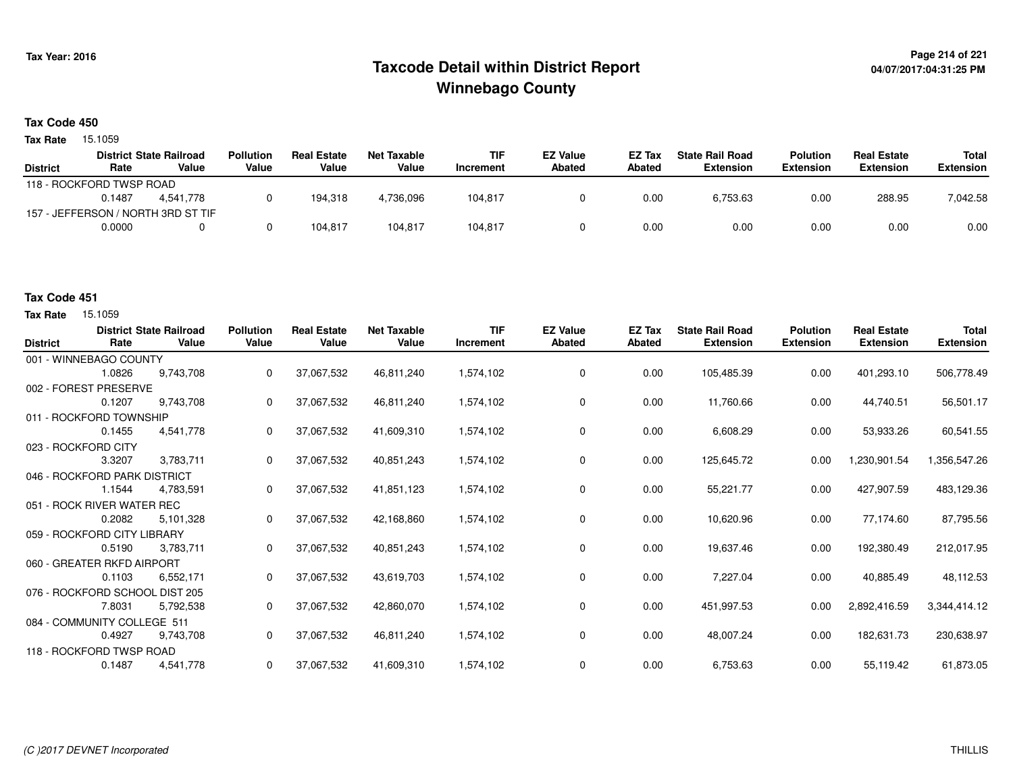# **Page 214 of 221 Taxcode Detail within District ReportWinnebago County**

### **Tax Code 450**

15.1059 **Tax Rate**

| <b>District State Railroad</b> |           | <b>Pollution</b>         | <b>Real Estate</b>                 | Net Taxable | <b>TIF</b> | <b>EZ Value</b> | EZ Tax | <b>State Rail Road</b> | <b>Polution</b>  | <b>Real Estate</b> | Total            |
|--------------------------------|-----------|--------------------------|------------------------------------|-------------|------------|-----------------|--------|------------------------|------------------|--------------------|------------------|
| Rate                           | Value     | Value                    | Value                              | Value       | Increment  | Abated          | Abated | Extension              | <b>Extension</b> | <b>Extension</b>   | <b>Extension</b> |
|                                |           |                          |                                    |             |            |                 |        |                        |                  |                    |                  |
| 0.1487                         | 4.541.778 |                          | 194.318                            | 4,736,096   | 104,817    |                 | 0.00   | 6,753.63               | 0.00             | 288.95             | 7,042.58         |
|                                |           |                          |                                    |             |            |                 |        |                        |                  |                    |                  |
| 0.0000                         |           |                          | 104.817                            | 104.817     | 104,817    |                 | 0.00   | 0.00                   | 0.00             | 0.00               | 0.00             |
|                                |           | 118 - ROCKFORD TWSP ROAD | 157 - JEFFERSON / NORTH 3RD ST TIF |             |            |                 |        |                        |                  |                    |                  |

### **Tax Code 451**

| <b>District</b>                | Rate                         | <b>District State Railroad</b><br>Value | <b>Pollution</b><br>Value | <b>Real Estate</b><br>Value | <b>Net Taxable</b><br>Value | <b>TIF</b><br>Increment | <b>EZ Value</b><br>Abated | <b>EZ Tax</b><br>Abated | <b>State Rail Road</b><br><b>Extension</b> | <b>Polution</b><br><b>Extension</b> | <b>Real Estate</b><br><b>Extension</b> | <b>Total</b><br><b>Extension</b> |
|--------------------------------|------------------------------|-----------------------------------------|---------------------------|-----------------------------|-----------------------------|-------------------------|---------------------------|-------------------------|--------------------------------------------|-------------------------------------|----------------------------------------|----------------------------------|
| 001 - WINNEBAGO COUNTY         |                              |                                         |                           |                             |                             |                         |                           |                         |                                            |                                     |                                        |                                  |
|                                | 1.0826                       | 9.743.708                               | 0                         | 37,067,532                  | 46,811,240                  | 1,574,102               | 0                         | 0.00                    | 105,485.39                                 | 0.00                                | 401,293.10                             | 506,778.49                       |
| 002 - FOREST PRESERVE          |                              |                                         |                           |                             |                             |                         |                           |                         |                                            |                                     |                                        |                                  |
|                                | 0.1207                       | 9,743,708                               | 0                         | 37,067,532                  | 46,811,240                  | 1,574,102               | 0                         | 0.00                    | 11,760.66                                  | 0.00                                | 44,740.51                              | 56,501.17                        |
| 011 - ROCKFORD TOWNSHIP        |                              |                                         |                           |                             |                             |                         |                           |                         |                                            |                                     |                                        |                                  |
|                                | 0.1455                       | 4,541,778                               | 0                         | 37,067,532                  | 41,609,310                  | 1,574,102               | 0                         | 0.00                    | 6,608.29                                   | 0.00                                | 53,933.26                              | 60,541.55                        |
| 023 - ROCKFORD CITY            |                              |                                         |                           |                             |                             |                         |                           |                         |                                            |                                     |                                        |                                  |
|                                | 3.3207                       | 3,783,711                               | $\Omega$                  | 37,067,532                  | 40,851,243                  | 1,574,102               | $\mathbf 0$               | 0.00                    | 125,645.72                                 | 0.00                                | 1,230,901.54                           | 1,356,547.26                     |
|                                | 046 - ROCKFORD PARK DISTRICT |                                         |                           |                             |                             |                         |                           |                         |                                            |                                     |                                        |                                  |
|                                | 1.1544                       | 4,783,591                               | 0                         | 37,067,532                  | 41,851,123                  | 1,574,102               | 0                         | 0.00                    | 55,221.77                                  | 0.00                                | 427,907.59                             | 483,129.36                       |
|                                | 051 - ROCK RIVER WATER REC   |                                         |                           |                             |                             |                         |                           |                         |                                            |                                     |                                        |                                  |
|                                | 0.2082                       | 5,101,328                               | 0                         | 37,067,532                  | 42,168,860                  | 1,574,102               | 0                         | 0.00                    | 10,620.96                                  | 0.00                                | 77,174.60                              | 87,795.56                        |
| 059 - ROCKFORD CITY LIBRARY    |                              |                                         |                           |                             |                             |                         |                           |                         |                                            |                                     |                                        |                                  |
|                                | 0.5190                       | 3,783,711                               | 0                         | 37,067,532                  | 40,851,243                  | 1,574,102               | 0                         | 0.00                    | 19,637.46                                  | 0.00                                | 192,380.49                             | 212,017.95                       |
| 060 - GREATER RKFD AIRPORT     |                              |                                         |                           |                             |                             |                         |                           |                         |                                            |                                     |                                        |                                  |
|                                | 0.1103                       | 6,552,171                               | 0                         | 37,067,532                  | 43,619,703                  | 1,574,102               | $\mathbf 0$               | 0.00                    | 7,227.04                                   | 0.00                                | 40,885.49                              | 48,112.53                        |
| 076 - ROCKFORD SCHOOL DIST 205 |                              |                                         |                           |                             |                             |                         |                           |                         |                                            |                                     |                                        |                                  |
|                                | 7.8031                       | 5,792,538                               | 0                         | 37,067,532                  | 42,860,070                  | 1,574,102               | 0                         | 0.00                    | 451,997.53                                 | 0.00                                | 2,892,416.59                           | 3,344,414.12                     |
| 084 - COMMUNITY COLLEGE 511    |                              |                                         |                           |                             |                             |                         |                           |                         |                                            |                                     |                                        |                                  |
|                                | 0.4927                       | 9,743,708                               | 0                         | 37,067,532                  | 46,811,240                  | 1,574,102               | 0                         | 0.00                    | 48,007.24                                  | 0.00                                | 182,631.73                             | 230,638.97                       |
| 118 - ROCKFORD TWSP ROAD       |                              |                                         |                           |                             |                             |                         |                           |                         |                                            |                                     |                                        |                                  |
|                                | 0.1487                       | 4,541,778                               | 0                         | 37,067,532                  | 41,609,310                  | 1,574,102               | 0                         | 0.00                    | 6,753.63                                   | 0.00                                | 55,119.42                              | 61,873.05                        |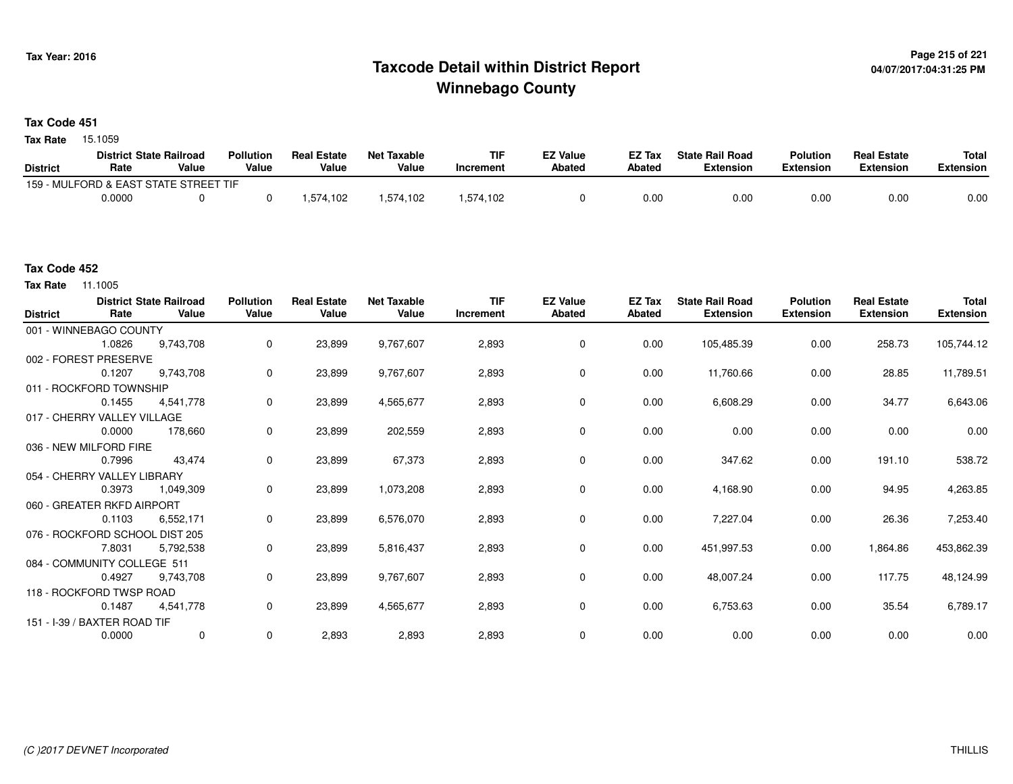# **Page 215 of 221 Taxcode Detail within District ReportWinnebago County**

### **Tax Code 451**

15.1059 **Tax Rate**

|                 | <b>District State Railroad</b>        |       | <b>Pollution</b> | <b>Real Estate</b> | Net Taxable | <b>TIF</b> | <b>EZ Value</b> | <b>EZ Tax</b> | <b>State Rail Road</b> | <b>Polution</b>  | <b>Real Estate</b> | <b>Total</b> |
|-----------------|---------------------------------------|-------|------------------|--------------------|-------------|------------|-----------------|---------------|------------------------|------------------|--------------------|--------------|
| <b>District</b> | Rate                                  | Value | Value            | Value              | Value       | Increment  | <b>Abated</b>   | Abated        | <b>Extension</b>       | <b>Extension</b> | <b>Extension</b>   | Extension    |
|                 | 159 - MULFORD & EAST STATE STREET TIF |       |                  |                    |             |            |                 |               |                        |                  |                    |              |
|                 | 0.0000                                |       |                  | 1,574,102          | .574,102    | .574.102   |                 | 0.00          | 0.00                   | 0.00             | 0.00               | 0.00         |

**Tax Rate** 11.1005

| <b>District</b>             | Rate                         | <b>District State Railroad</b><br>Value | <b>Pollution</b><br>Value | <b>Real Estate</b><br>Value | <b>Net Taxable</b><br>Value | <b>TIF</b><br>Increment | <b>EZ Value</b><br>Abated | EZ Tax<br>Abated | <b>State Rail Road</b><br><b>Extension</b> | <b>Polution</b><br><b>Extension</b> | <b>Real Estate</b><br><b>Extension</b>                                                      | <b>Total</b><br><b>Extension</b> |
|-----------------------------|------------------------------|-----------------------------------------|---------------------------|-----------------------------|-----------------------------|-------------------------|---------------------------|------------------|--------------------------------------------|-------------------------------------|---------------------------------------------------------------------------------------------|----------------------------------|
|                             | 001 - WINNEBAGO COUNTY       |                                         |                           |                             |                             |                         |                           |                  |                                            |                                     | 258.73<br>28.85<br>34.77<br>0.00<br>191.10<br>94.95<br>26.36<br>1,864.86<br>117.75<br>35.54 |                                  |
|                             | 1.0826                       | 9.743.708                               | 0                         | 23,899                      | 9,767,607                   | 2,893                   | 0                         | 0.00             | 105,485.39                                 | 0.00                                |                                                                                             | 105,744.12                       |
| 002 - FOREST PRESERVE       |                              |                                         |                           |                             |                             |                         |                           |                  |                                            |                                     |                                                                                             |                                  |
|                             | 0.1207                       | 9,743,708                               | 0                         | 23,899                      | 9,767,607                   | 2,893                   | 0                         | 0.00             | 11,760.66                                  | 0.00                                |                                                                                             | 11,789.51                        |
| 011 - ROCKFORD TOWNSHIP     |                              |                                         |                           |                             |                             |                         |                           |                  |                                            |                                     |                                                                                             |                                  |
|                             | 0.1455                       | 4,541,778                               | 0                         | 23,899                      | 4,565,677                   | 2,893                   | $\mathbf 0$               | 0.00             | 6,608.29                                   | 0.00                                |                                                                                             | 6,643.06                         |
| 017 - CHERRY VALLEY VILLAGE |                              |                                         |                           |                             |                             |                         |                           |                  |                                            |                                     |                                                                                             |                                  |
|                             | 0.0000                       | 178,660                                 | 0                         | 23,899                      | 202,559                     | 2,893                   | 0                         | 0.00             | 0.00                                       | 0.00                                |                                                                                             | 0.00                             |
| 036 - NEW MILFORD FIRE      |                              |                                         |                           |                             |                             |                         |                           |                  |                                            |                                     |                                                                                             |                                  |
|                             | 0.7996                       | 43.474                                  | 0                         | 23,899                      | 67,373                      | 2,893                   | 0                         | 0.00             | 347.62                                     | 0.00                                |                                                                                             | 538.72                           |
| 054 - CHERRY VALLEY LIBRARY |                              |                                         |                           |                             |                             |                         |                           |                  |                                            |                                     |                                                                                             |                                  |
|                             | 0.3973                       | 1,049,309                               | 0                         | 23,899                      | 1,073,208                   | 2,893                   | 0                         | 0.00             | 4,168.90                                   | 0.00                                |                                                                                             | 4,263.85                         |
| 060 - GREATER RKFD AIRPORT  |                              |                                         |                           |                             |                             |                         |                           |                  |                                            |                                     |                                                                                             |                                  |
|                             | 0.1103                       | 6,552,171                               | 0                         | 23,899                      | 6,576,070                   | 2,893                   | $\mathbf 0$               | 0.00             | 7,227.04                                   | 0.00                                |                                                                                             | 7,253.40                         |
|                             |                              | 076 - ROCKFORD SCHOOL DIST 205          |                           |                             |                             |                         |                           |                  |                                            |                                     |                                                                                             |                                  |
|                             | 7.8031                       | 5,792,538                               | 0                         | 23,899                      | 5,816,437                   | 2,893                   | $\mathbf 0$               | 0.00             | 451,997.53                                 | 0.00                                |                                                                                             | 453,862.39                       |
|                             | 084 - COMMUNITY COLLEGE 511  |                                         |                           |                             |                             |                         |                           |                  |                                            |                                     |                                                                                             |                                  |
|                             | 0.4927                       | 9,743,708                               | 0                         | 23,899                      | 9,767,607                   | 2,893                   | 0                         | 0.00             | 48,007.24                                  | 0.00                                |                                                                                             | 48,124.99                        |
|                             | 118 - ROCKFORD TWSP ROAD     |                                         |                           |                             |                             |                         |                           |                  |                                            |                                     |                                                                                             |                                  |
|                             | 0.1487                       | 4,541,778                               | 0                         | 23,899                      | 4,565,677                   | 2,893                   | $\mathbf 0$               | 0.00             | 6,753.63                                   | 0.00                                |                                                                                             | 6,789.17                         |
|                             | 151 - I-39 / BAXTER ROAD TIF |                                         |                           |                             |                             |                         |                           |                  |                                            |                                     |                                                                                             |                                  |
|                             | 0.0000                       | $\mathbf 0$                             | 0                         | 2,893                       | 2,893                       | 2,893                   | 0                         | 0.00             | 0.00                                       | 0.00                                | 0.00                                                                                        | 0.00                             |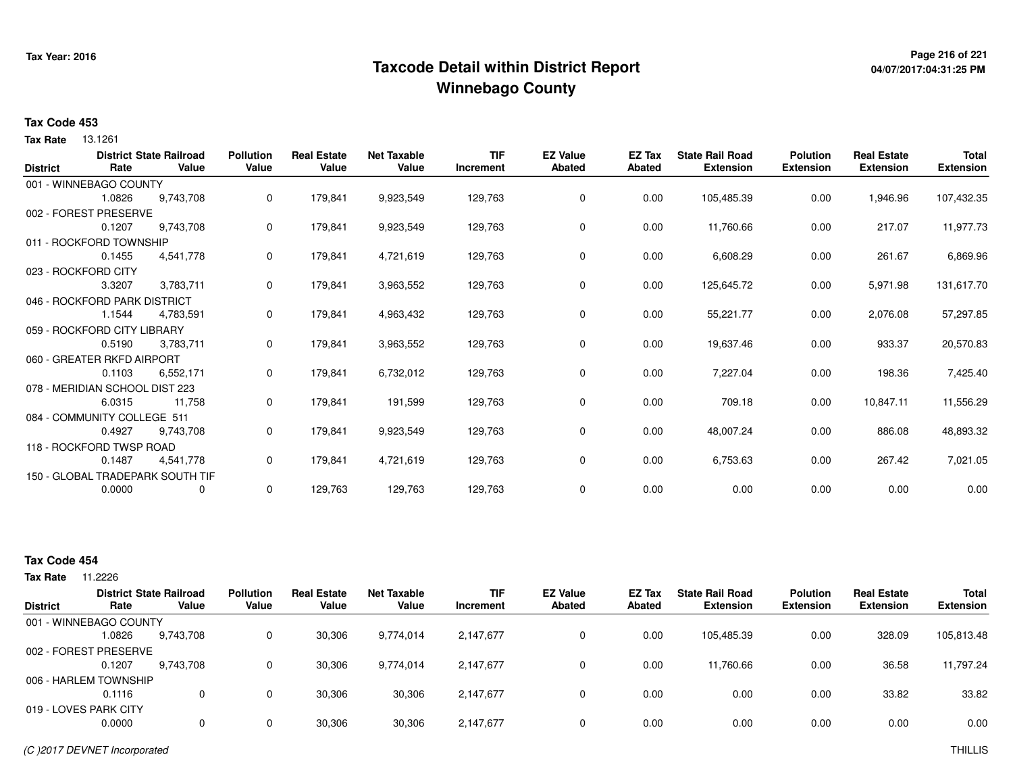# **Page 216 of 221 Taxcode Detail within District ReportWinnebago County**

# **04/07/2017:04:31:25 PM**

#### **Tax Code 453**

13.1261 **Tax Rate**

| <b>District</b> | Rate                           | <b>District State Railroad</b><br>Value | <b>Pollution</b><br>Value | <b>Real Estate</b><br>Value | <b>Net Taxable</b><br>Value | <b>TIF</b><br>Increment | <b>EZ Value</b><br><b>Abated</b> | EZ Tax<br><b>Abated</b> | <b>State Rail Road</b><br><b>Extension</b> | <b>Polution</b><br><b>Extension</b> | <b>Real Estate</b><br><b>Extension</b> | <b>Total</b><br><b>Extension</b> |
|-----------------|--------------------------------|-----------------------------------------|---------------------------|-----------------------------|-----------------------------|-------------------------|----------------------------------|-------------------------|--------------------------------------------|-------------------------------------|----------------------------------------|----------------------------------|
|                 | 001 - WINNEBAGO COUNTY         |                                         |                           |                             |                             |                         |                                  |                         |                                            |                                     |                                        |                                  |
|                 | 1.0826                         | 9,743,708                               | 0                         | 179,841                     | 9,923,549                   | 129,763                 | 0                                | 0.00                    | 105,485.39                                 | 0.00                                | 1,946.96                               | 107,432.35                       |
|                 | 002 - FOREST PRESERVE          |                                         |                           |                             |                             |                         |                                  |                         |                                            |                                     |                                        |                                  |
|                 | 0.1207                         | 9,743,708                               | 0                         | 179,841                     | 9,923,549                   | 129,763                 | 0                                | 0.00                    | 11,760.66                                  | 0.00                                | 217.07                                 | 11,977.73                        |
|                 | 011 - ROCKFORD TOWNSHIP        |                                         |                           |                             |                             |                         |                                  |                         |                                            |                                     |                                        |                                  |
|                 | 0.1455                         | 4,541,778                               | 0                         | 179,841                     | 4,721,619                   | 129,763                 | 0                                | 0.00                    | 6,608.29                                   | 0.00                                | 261.67                                 | 6,869.96                         |
|                 | 023 - ROCKFORD CITY            |                                         |                           |                             |                             |                         |                                  |                         |                                            |                                     |                                        |                                  |
|                 | 3.3207                         | 3,783,711                               | 0                         | 179,841                     | 3,963,552                   | 129,763                 | 0                                | 0.00                    | 125,645.72                                 | 0.00                                | 5,971.98                               | 131,617.70                       |
|                 |                                |                                         |                           |                             |                             |                         |                                  |                         |                                            |                                     |                                        |                                  |
|                 | 046 - ROCKFORD PARK DISTRICT   |                                         |                           |                             |                             |                         |                                  |                         |                                            |                                     |                                        |                                  |
|                 | 1.1544                         | 4,783,591                               | 0                         | 179,841                     | 4,963,432                   | 129,763                 | 0                                | 0.00                    | 55,221.77                                  | 0.00                                | 2,076.08                               | 57,297.85                        |
|                 | 059 - ROCKFORD CITY LIBRARY    |                                         |                           |                             |                             |                         |                                  |                         |                                            |                                     |                                        |                                  |
|                 | 0.5190                         | 3,783,711                               | 0                         | 179,841                     | 3,963,552                   | 129,763                 | 0                                | 0.00                    | 19,637.46                                  | 0.00                                | 933.37                                 | 20,570.83                        |
|                 | 060 - GREATER RKFD AIRPORT     |                                         |                           |                             |                             |                         |                                  |                         |                                            |                                     |                                        |                                  |
|                 | 0.1103                         | 6,552,171                               | 0                         | 179,841                     | 6,732,012                   | 129,763                 | 0                                | 0.00                    | 7,227.04                                   | 0.00                                | 198.36                                 | 7,425.40                         |
|                 | 078 - MERIDIAN SCHOOL DIST 223 |                                         |                           |                             |                             |                         |                                  |                         |                                            |                                     |                                        |                                  |
|                 | 6.0315                         | 11,758                                  | 0                         | 179,841                     | 191,599                     | 129,763                 | 0                                | 0.00                    | 709.18                                     | 0.00                                | 10,847.11                              | 11,556.29                        |
|                 | 084 - COMMUNITY COLLEGE 511    |                                         |                           |                             |                             |                         |                                  |                         |                                            |                                     |                                        |                                  |
|                 | 0.4927                         | 9,743,708                               | 0                         | 179,841                     | 9,923,549                   | 129,763                 | 0                                | 0.00                    | 48,007.24                                  | 0.00                                | 886.08                                 | 48,893.32                        |
|                 | 118 - ROCKFORD TWSP ROAD       |                                         |                           |                             |                             |                         |                                  |                         |                                            |                                     |                                        |                                  |
|                 | 0.1487                         | 4,541,778                               | 0                         | 179,841                     | 4,721,619                   | 129,763                 | $\mathbf 0$                      | 0.00                    | 6,753.63                                   | 0.00                                | 267.42                                 | 7,021.05                         |
|                 |                                | 150 - GLOBAL TRADEPARK SOUTH TIF        |                           |                             |                             |                         |                                  |                         |                                            |                                     |                                        |                                  |
|                 | 0.0000                         | $\mathbf 0$                             | 0                         | 129,763                     | 129,763                     | 129,763                 | 0                                | 0.00                    | 0.00                                       | 0.00                                | 0.00                                   | 0.00                             |
|                 |                                |                                         |                           |                             |                             |                         |                                  |                         |                                            |                                     |                                        |                                  |

| Tax Rate | 11.2226 |
|----------|---------|
|----------|---------|

|                        |        | <b>District State Railroad</b> | <b>Pollution</b> | <b>Real Estate</b> | <b>Net Taxable</b> | <b>TIF</b> | <b>EZ Value</b> | <b>EZ Tax</b> | <b>State Rail Road</b> | <b>Polution</b>  | <b>Real Estate</b> | <b>Total</b>     |
|------------------------|--------|--------------------------------|------------------|--------------------|--------------------|------------|-----------------|---------------|------------------------|------------------|--------------------|------------------|
| <b>District</b>        | Rate   | Value                          | Value            | Value              | Value              | Increment  | <b>Abated</b>   | Abated        | <b>Extension</b>       | <b>Extension</b> | <b>Extension</b>   | <b>Extension</b> |
| 001 - WINNEBAGO COUNTY |        |                                |                  |                    |                    |            |                 |               |                        |                  |                    |                  |
|                        | 1.0826 | 9.743.708                      |                  | 30,306             | 9,774,014          | 2,147,677  | $\mathbf{0}$    | 0.00          | 105.485.39             | 0.00             | 328.09             | 105,813.48       |
| 002 - FOREST PRESERVE  |        |                                |                  |                    |                    |            |                 |               |                        |                  |                    |                  |
|                        | 0.1207 | 9,743,708                      |                  | 30,306             | 9,774,014          | 2,147,677  | 0               | 0.00          | 11.760.66              | 0.00             | 36.58              | 11,797.24        |
| 006 - HARLEM TOWNSHIP  |        |                                |                  |                    |                    |            |                 |               |                        |                  |                    |                  |
|                        | 0.1116 |                                |                  | 30.306             | 30,306             | 2,147,677  | 0               | 0.00          | 0.00                   | 0.00             | 33.82              | 33.82            |
| 019 - LOVES PARK CITY  |        |                                |                  |                    |                    |            |                 |               |                        |                  |                    |                  |
|                        | 0.0000 |                                |                  | 30,306             | 30,306             | 2,147,677  | 0               | 0.00          | 0.00                   | 0.00             | 0.00               | 0.00             |
|                        |        |                                |                  |                    |                    |            |                 |               |                        |                  |                    |                  |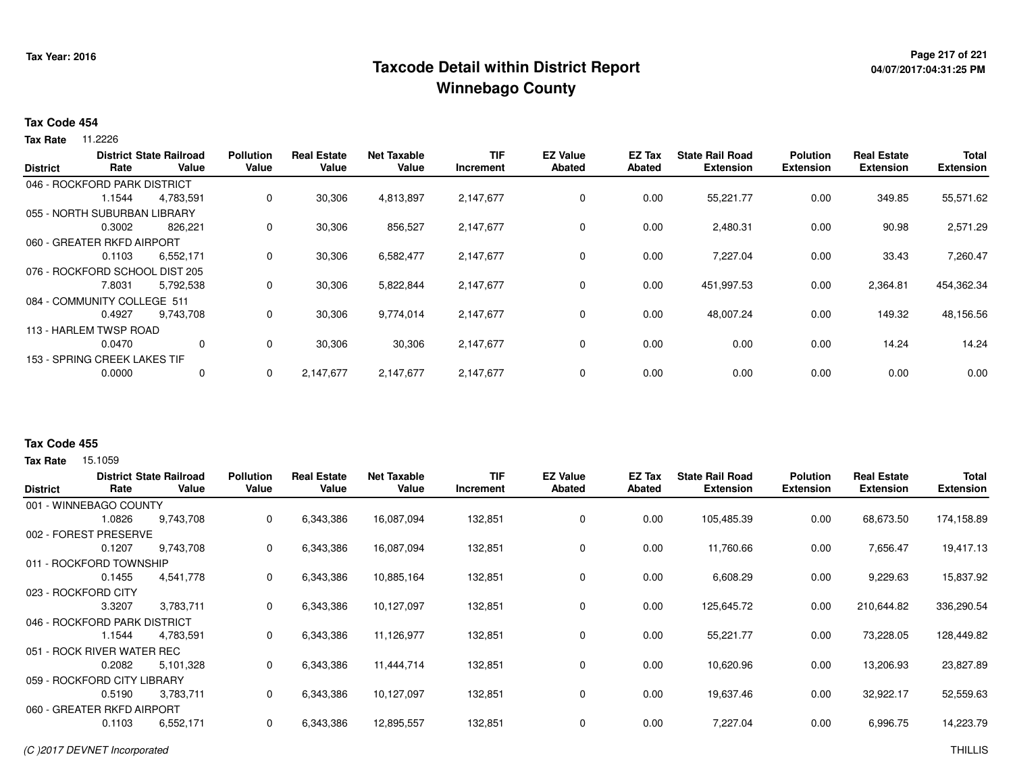## **Page 217 of 221 Taxcode Detail within District ReportWinnebago County**

# **04/07/2017:04:31:25 PM**

#### **Tax Code 454**

**Tax Rate** 11.2226

|                 |                                | <b>District State Railroad</b><br>Value | <b>Pollution</b> | <b>Real Estate</b> | <b>Net Taxable</b><br>Value | TIF       | <b>EZ Value</b> | EZ Tax        | <b>State Rail Road</b> | <b>Polution</b>  | <b>Real Estate</b> | <b>Total</b>     |
|-----------------|--------------------------------|-----------------------------------------|------------------|--------------------|-----------------------------|-----------|-----------------|---------------|------------------------|------------------|--------------------|------------------|
| <b>District</b> | Rate                           |                                         | Value            | Value              |                             | Increment | <b>Abated</b>   | <b>Abated</b> | <b>Extension</b>       | <b>Extension</b> | <b>Extension</b>   | <b>Extension</b> |
|                 | 046 - ROCKFORD PARK DISTRICT   |                                         |                  |                    |                             |           |                 |               |                        |                  |                    |                  |
|                 | 1.1544                         | 4,783,591                               | 0                | 30,306             | 4,813,897                   | 2,147,677 | 0               | 0.00          | 55,221.77              | 0.00             | 349.85             | 55,571.62        |
|                 | 055 - NORTH SUBURBAN LIBRARY   |                                         |                  |                    |                             |           |                 |               |                        |                  |                    |                  |
|                 | 0.3002                         | 826.221                                 | 0                | 30,306             | 856,527                     | 2,147,677 | 0               | 0.00          | 2,480.31               | 0.00             | 90.98              | 2,571.29         |
|                 | 060 - GREATER RKFD AIRPORT     |                                         |                  |                    |                             |           |                 |               |                        |                  |                    |                  |
|                 | 0.1103                         | 6,552,171                               | 0                | 30,306             | 6,582,477                   | 2,147,677 | 0               | 0.00          | 7,227.04               | 0.00             | 33.43              | 7,260.47         |
|                 | 076 - ROCKFORD SCHOOL DIST 205 |                                         |                  |                    |                             |           |                 |               |                        |                  |                    |                  |
|                 | 7.8031                         | 5,792,538                               | 0                | 30,306             | 5,822,844                   | 2,147,677 | 0               | 0.00          | 451,997.53             | 0.00             | 2,364.81           | 454,362.34       |
|                 | 084 - COMMUNITY COLLEGE 511    |                                         |                  |                    |                             |           |                 |               |                        |                  |                    |                  |
|                 | 0.4927                         | 9.743.708                               | 0                | 30,306             | 9,774,014                   | 2,147,677 | 0               | 0.00          | 48,007.24              | 0.00             | 149.32             | 48,156.56        |
|                 | 113 - HARLEM TWSP ROAD         |                                         |                  |                    |                             |           |                 |               |                        |                  |                    |                  |
|                 | 0.0470                         | 0                                       | 0                | 30,306             | 30,306                      | 2,147,677 | 0               | 0.00          | 0.00                   | 0.00             | 14.24              | 14.24            |
|                 | 153 - SPRING CREEK LAKES TIF   |                                         |                  |                    |                             |           |                 |               |                        |                  |                    |                  |
|                 | 0.0000                         | 0                                       | 0                | 2,147,677          | 2,147,677                   | 2,147,677 | 0               | 0.00          | 0.00                   | 0.00             | 0.00               | 0.00             |
|                 |                                |                                         |                  |                    |                             |           |                 |               |                        |                  |                    |                  |

### **Tax Code 455**

**Tax Rate** 15.1059

| <b>District</b> | Rate                         | <b>District State Railroad</b><br>Value | <b>Pollution</b><br>Value | <b>Real Estate</b><br>Value | <b>Net Taxable</b><br>Value | <b>TIF</b><br>Increment | <b>EZ Value</b><br><b>Abated</b> | <b>EZ Tax</b><br>Abated | <b>State Rail Road</b><br><b>Extension</b> | <b>Polution</b><br><b>Extension</b> | <b>Real Estate</b><br><b>Extension</b> | <b>Total</b><br><b>Extension</b> |
|-----------------|------------------------------|-----------------------------------------|---------------------------|-----------------------------|-----------------------------|-------------------------|----------------------------------|-------------------------|--------------------------------------------|-------------------------------------|----------------------------------------|----------------------------------|
|                 | 001 - WINNEBAGO COUNTY       |                                         |                           |                             |                             |                         |                                  |                         |                                            |                                     |                                        |                                  |
|                 | 1.0826                       | 9,743,708                               | 0                         | 6,343,386                   | 16,087,094                  | 132,851                 | 0                                | 0.00                    | 105,485.39                                 | 0.00                                | 68,673.50                              | 174,158.89                       |
|                 | 002 - FOREST PRESERVE        |                                         |                           |                             |                             |                         |                                  |                         |                                            |                                     |                                        |                                  |
|                 | 0.1207                       | 9,743,708                               | 0                         | 6,343,386                   | 16,087,094                  | 132,851                 | 0                                | 0.00                    | 11,760.66                                  | 0.00                                | 7,656.47                               | 19,417.13                        |
|                 | 011 - ROCKFORD TOWNSHIP      |                                         |                           |                             |                             |                         |                                  |                         |                                            |                                     |                                        |                                  |
|                 | 0.1455                       | 4,541,778                               | 0                         | 6,343,386                   | 10,885,164                  | 132,851                 | 0                                | 0.00                    | 6,608.29                                   | 0.00                                | 9,229.63                               | 15,837.92                        |
|                 | 023 - ROCKFORD CITY          |                                         |                           |                             |                             |                         |                                  |                         |                                            |                                     |                                        |                                  |
|                 | 3.3207                       | 3,783,711                               | 0                         | 6,343,386                   | 10,127,097                  | 132,851                 | 0                                | 0.00                    | 125,645.72                                 | 0.00                                | 210,644.82                             | 336,290.54                       |
|                 | 046 - ROCKFORD PARK DISTRICT |                                         |                           |                             |                             |                         |                                  |                         |                                            |                                     |                                        |                                  |
|                 | 1.1544                       | 4,783,591                               | 0                         | 6,343,386                   | 11,126,977                  | 132,851                 | $\mathbf 0$                      | 0.00                    | 55,221.77                                  | 0.00                                | 73,228.05                              | 128,449.82                       |
|                 | 051 - ROCK RIVER WATER REC   |                                         |                           |                             |                             |                         |                                  |                         |                                            |                                     |                                        |                                  |
|                 | 0.2082                       | 5,101,328                               | 0                         | 6,343,386                   | 11,444,714                  | 132,851                 | 0                                | 0.00                    | 10,620.96                                  | 0.00                                | 13,206.93                              | 23,827.89                        |
|                 | 059 - ROCKFORD CITY LIBRARY  |                                         |                           |                             |                             |                         |                                  |                         |                                            |                                     |                                        |                                  |
|                 | 0.5190                       | 3,783,711                               | 0                         | 6,343,386                   | 10,127,097                  | 132,851                 | 0                                | 0.00                    | 19,637.46                                  | 0.00                                | 32,922.17                              | 52,559.63                        |
|                 | 060 - GREATER RKFD AIRPORT   |                                         |                           |                             |                             |                         |                                  |                         |                                            |                                     |                                        |                                  |
|                 | 0.1103                       | 6,552,171                               | 0                         | 6,343,386                   | 12,895,557                  | 132,851                 | 0                                | 0.00                    | 7,227.04                                   | 0.00                                | 6,996.75                               | 14,223.79                        |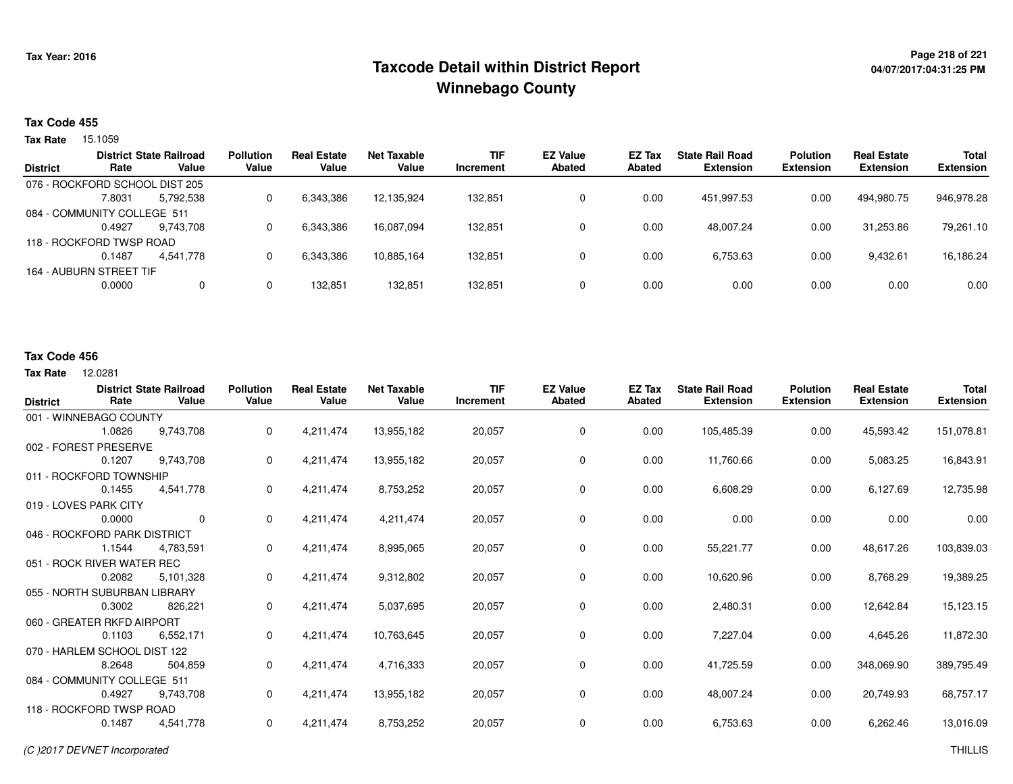## **Page 218 of 221 Taxcode Detail within District ReportWinnebago County**

## **04/07/2017:04:31:25 PM**

### **Tax Code 455**

**Tax Rate** 15.1059

|                 | <b>District State Railroad</b> |           | <b>Pollution</b> | <b>Real Estate</b> | Net Taxable | <b>TIF</b> | <b>EZ Value</b> | EZ Tax | <b>State Rail Road</b> | <b>Polution</b>  | <b>Real Estate</b> | <b>Total</b>     |
|-----------------|--------------------------------|-----------|------------------|--------------------|-------------|------------|-----------------|--------|------------------------|------------------|--------------------|------------------|
| <b>District</b> | Rate                           | Value     | Value            | Value              | Value       | Increment  | Abated          | Abated | <b>Extension</b>       | <b>Extension</b> | <b>Extension</b>   | <b>Extension</b> |
|                 | 076 - ROCKFORD SCHOOL DIST 205 |           |                  |                    |             |            |                 |        |                        |                  |                    |                  |
|                 | 7.8031                         | 5.792.538 | 0                | 6,343,386          | 12.135.924  | 132.851    | 0               | 0.00   | 451.997.53             | 0.00             | 494.980.75         | 946,978.28       |
|                 | 084 - COMMUNITY COLLEGE 511    |           |                  |                    |             |            |                 |        |                        |                  |                    |                  |
|                 | 0.4927                         | 9.743.708 | 0                | 6,343,386          | 16.087.094  | 132.851    | 0               | 0.00   | 48.007.24              | 0.00             | 31.253.86          | 79,261.10        |
|                 | 118 - ROCKFORD TWSP ROAD       |           |                  |                    |             |            |                 |        |                        |                  |                    |                  |
|                 | 0.1487                         | 4.541.778 | 0                | 6,343,386          | 10,885,164  | 132,851    | 0               | 0.00   | 6,753.63               | 0.00             | 9,432.61           | 16,186.24        |
|                 | 164 - AUBURN STREET TIF        |           |                  |                    |             |            |                 |        |                        |                  |                    |                  |
|                 | 0.0000                         | 0         | 0                | 132.851            | 132,851     | 132,851    | 0               | 0.00   | 0.00                   | 0.00             | 0.00               | 0.00             |
|                 |                                |           |                  |                    |             |            |                 |        |                        |                  |                    |                  |

#### **Tax Code 456**

**Tax Rate** 12.0281

| <b>District</b> | Rate                         | <b>District State Railroad</b><br>Value | <b>Pollution</b><br>Value | <b>Real Estate</b><br>Value | <b>Net Taxable</b><br>Value | <b>TIF</b><br>Increment | <b>EZ Value</b><br><b>Abated</b> | EZ Tax<br><b>Abated</b> | <b>State Rail Road</b><br><b>Extension</b> | <b>Polution</b><br><b>Extension</b> | <b>Real Estate</b><br><b>Extension</b> | <b>Total</b><br><b>Extension</b> |
|-----------------|------------------------------|-----------------------------------------|---------------------------|-----------------------------|-----------------------------|-------------------------|----------------------------------|-------------------------|--------------------------------------------|-------------------------------------|----------------------------------------|----------------------------------|
|                 | 001 - WINNEBAGO COUNTY       |                                         |                           |                             |                             |                         |                                  |                         |                                            |                                     |                                        |                                  |
|                 | 1.0826                       | 9,743,708                               | 0                         | 4,211,474                   | 13,955,182                  | 20,057                  | 0                                | 0.00                    | 105,485.39                                 | 0.00                                | 45,593.42                              | 151,078.81                       |
|                 | 002 - FOREST PRESERVE        |                                         |                           |                             |                             |                         |                                  |                         |                                            |                                     |                                        |                                  |
|                 | 0.1207                       | 9,743,708                               | 0                         | 4,211,474                   | 13,955,182                  | 20,057                  | $\mathbf 0$                      | 0.00                    | 11,760.66                                  | 0.00                                | 5,083.25                               | 16,843.91                        |
|                 | 011 - ROCKFORD TOWNSHIP      |                                         |                           |                             |                             |                         |                                  |                         |                                            |                                     |                                        |                                  |
|                 | 0.1455                       | 4,541,778                               | 0                         | 4,211,474                   | 8,753,252                   | 20,057                  | $\mathbf 0$                      | 0.00                    | 6,608.29                                   | 0.00                                | 6,127.69                               | 12,735.98                        |
|                 | 019 - LOVES PARK CITY        |                                         |                           |                             |                             |                         |                                  |                         |                                            |                                     |                                        |                                  |
|                 | 0.0000                       | $\mathbf 0$                             | 0                         | 4,211,474                   | 4,211,474                   | 20,057                  | $\mathbf 0$                      | 0.00                    | 0.00                                       | 0.00                                | 0.00                                   | 0.00                             |
|                 | 046 - ROCKFORD PARK DISTRICT |                                         |                           |                             |                             |                         |                                  |                         |                                            |                                     |                                        |                                  |
|                 | 1.1544                       | 4,783,591                               | 0                         | 4,211,474                   | 8,995,065                   | 20,057                  | $\mathbf 0$                      | 0.00                    | 55,221.77                                  | 0.00                                | 48,617.26                              | 103,839.03                       |
|                 | 051 - ROCK RIVER WATER REC   |                                         |                           |                             |                             |                         |                                  |                         |                                            |                                     |                                        |                                  |
|                 | 0.2082                       | 5,101,328                               | 0                         | 4,211,474                   | 9,312,802                   | 20,057                  | $\mathbf 0$                      | 0.00                    | 10,620.96                                  | 0.00                                | 8,768.29                               | 19,389.25                        |
|                 | 055 - NORTH SUBURBAN LIBRARY |                                         |                           |                             |                             |                         |                                  |                         |                                            |                                     |                                        |                                  |
|                 | 0.3002                       | 826,221                                 | 0                         | 4,211,474                   | 5,037,695                   | 20,057                  | $\mathbf 0$                      | 0.00                    | 2,480.31                                   | 0.00                                | 12,642.84                              | 15,123.15                        |
|                 | 060 - GREATER RKFD AIRPORT   |                                         |                           |                             |                             |                         |                                  |                         |                                            |                                     |                                        |                                  |
|                 | 0.1103                       | 6,552,171                               | 0                         | 4,211,474                   | 10,763,645                  | 20,057                  | $\mathbf 0$                      | 0.00                    | 7,227.04                                   | 0.00                                | 4,645.26                               | 11,872.30                        |
|                 | 070 - HARLEM SCHOOL DIST 122 |                                         |                           |                             |                             |                         |                                  |                         |                                            |                                     |                                        |                                  |
|                 | 8.2648                       | 504,859                                 | 0                         | 4,211,474                   | 4,716,333                   | 20,057                  | 0                                | 0.00                    | 41,725.59                                  | 0.00                                | 348,069.90                             | 389,795.49                       |
|                 | 084 - COMMUNITY COLLEGE 511  |                                         |                           |                             |                             |                         |                                  |                         |                                            |                                     |                                        |                                  |
|                 | 0.4927                       | 9,743,708                               | 0                         | 4,211,474                   | 13,955,182                  | 20,057                  | $\mathbf 0$                      | 0.00                    | 48,007.24                                  | 0.00                                | 20,749.93                              | 68,757.17                        |
|                 | 118 - ROCKFORD TWSP ROAD     |                                         |                           |                             |                             |                         |                                  |                         |                                            |                                     |                                        |                                  |
|                 | 0.1487                       | 4,541,778                               | 0                         | 4,211,474                   | 8,753,252                   | 20,057                  | $\mathbf 0$                      | 0.00                    | 6,753.63                                   | 0.00                                | 6,262.46                               | 13,016.09                        |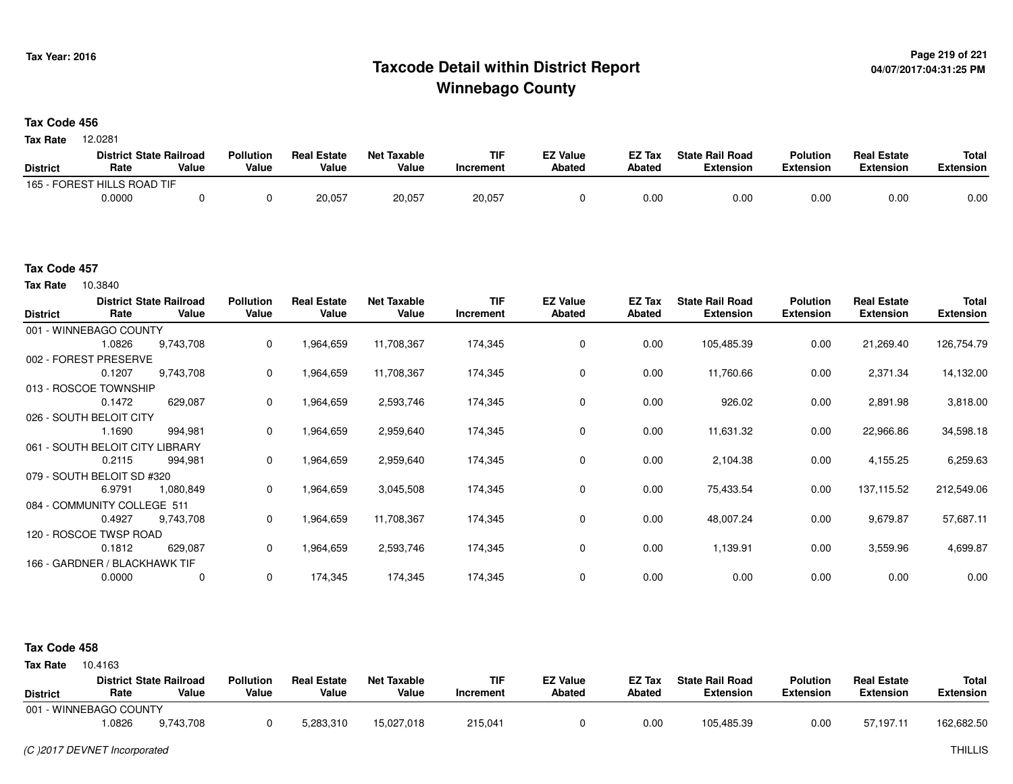### **Page 219 of 221 Taxcode Detail within District ReportWinnebago County**

#### **Tax Code 456**

12.0281 **Tax Rate**

|                 | <b>District State Railroad</b> |       | <b>Pollution</b> | <b>Real Estate</b> | <b>Net Taxable</b> | TIF       | <b>EZ Value</b> | <b>EZ Tax</b> | <b>State Rail Road</b> | <b>Polution</b>  | <b>Real Estate</b> | <b>Total</b> |
|-----------------|--------------------------------|-------|------------------|--------------------|--------------------|-----------|-----------------|---------------|------------------------|------------------|--------------------|--------------|
| <b>District</b> | Rate                           | Value | Value            | Value              | Value              | Increment | <b>Abated</b>   | <b>Abated</b> | <b>Extension</b>       | <b>Extension</b> | <b>Extension</b>   | Extension    |
| 165 - FOREST    | <b>FHILLS ROAD TIF</b>         |       |                  |                    |                    |           |                 |               |                        |                  |                    |              |
|                 | 0.0000                         |       |                  | 20,057             | 20,057             | 20,057    |                 | 0.00          | 0.00                   | 0.00             | 0.00               | 0.00         |

#### **Tax Code 457**

10.3840 **Tax Rate**

| <b>District</b> | Rate                          | <b>District State Railroad</b><br>Value | <b>Pollution</b><br>Value | <b>Real Estate</b><br>Value | <b>Net Taxable</b><br>Value | <b>TIF</b><br>Increment | <b>EZ Value</b><br><b>Abated</b> | EZ Tax<br>Abated | <b>State Rail Road</b><br><b>Extension</b> | <b>Polution</b><br><b>Extension</b> | <b>Real Estate</b><br><b>Extension</b> | <b>Total</b><br><b>Extension</b> |
|-----------------|-------------------------------|-----------------------------------------|---------------------------|-----------------------------|-----------------------------|-------------------------|----------------------------------|------------------|--------------------------------------------|-------------------------------------|----------------------------------------|----------------------------------|
|                 | 001 - WINNEBAGO COUNTY        |                                         |                           |                             |                             |                         |                                  |                  |                                            |                                     |                                        |                                  |
|                 | 1.0826                        | 9,743,708                               | 0                         | 1,964,659                   | 11,708,367                  | 174,345                 | 0                                | 0.00             | 105,485.39                                 | 0.00                                | 21,269.40                              | 126,754.79                       |
|                 | 002 - FOREST PRESERVE         |                                         |                           |                             |                             |                         |                                  |                  |                                            |                                     |                                        |                                  |
|                 | 0.1207                        | 9,743,708                               | 0                         | 1,964,659                   | 11,708,367                  | 174,345                 | 0                                | 0.00             | 11,760.66                                  | 0.00                                | 2,371.34                               | 14,132.00                        |
|                 | 013 - ROSCOE TOWNSHIP         |                                         |                           |                             |                             |                         |                                  |                  |                                            |                                     |                                        |                                  |
|                 | 0.1472                        | 629,087                                 | 0                         | 1,964,659                   | 2,593,746                   | 174,345                 | 0                                | 0.00             | 926.02                                     | 0.00                                | 2,891.98                               | 3,818.00                         |
|                 | 026 - SOUTH BELOIT CITY       |                                         |                           |                             |                             |                         |                                  |                  |                                            |                                     |                                        |                                  |
|                 | 1.1690                        | 994,981                                 | 0                         | 1,964,659                   | 2,959,640                   | 174,345                 | $\mathbf 0$                      | 0.00             | 11,631.32                                  | 0.00                                | 22,966.86                              | 34,598.18                        |
|                 | 061 - SOUTH BELOIT CITY I     | LIBRARY                                 |                           |                             |                             |                         |                                  |                  |                                            |                                     |                                        |                                  |
|                 | 0.2115                        | 994,981                                 | 0                         | 964,659.                    | 2,959,640                   | 174,345                 | 0                                | 0.00             | 2,104.38                                   | 0.00                                | 4,155.25                               | 6,259.63                         |
|                 | 079 - SOUTH BELOIT SD #320    |                                         |                           |                             |                             |                         |                                  |                  |                                            |                                     |                                        |                                  |
|                 | 6.9791                        | 1,080,849                               | 0                         | 1,964,659                   | 3,045,508                   | 174,345                 | $\mathbf 0$                      | 0.00             | 75,433.54                                  | 0.00                                | 137, 115.52                            | 212,549.06                       |
|                 | 084 - COMMUNITY COLLEGE 511   |                                         |                           |                             |                             |                         |                                  |                  |                                            |                                     |                                        |                                  |
|                 | 0.4927                        | 9,743,708                               | 0                         | 1,964,659                   | 11,708,367                  | 174,345                 | 0                                | 0.00             | 48,007.24                                  | 0.00                                | 9,679.87                               | 57,687.11                        |
|                 | 120 - ROSCOE TWSP ROAD        |                                         |                           |                             |                             |                         |                                  |                  |                                            |                                     |                                        |                                  |
|                 | 0.1812                        | 629,087                                 | 0                         | 1,964,659                   | 2,593,746                   | 174,345                 | 0                                | 0.00             | 1,139.91                                   | 0.00                                | 3,559.96                               | 4,699.87                         |
|                 | 166 - GARDNER / BLACKHAWK TIF |                                         |                           |                             |                             |                         |                                  |                  |                                            |                                     |                                        |                                  |
|                 | 0.0000                        | 0                                       | $\mathbf 0$               | 174,345                     | 174,345                     | 174,345                 | 0                                | 0.00             | 0.00                                       | 0.00                                | 0.00                                   | 0.00                             |

#### **Tax Code 458**

**State Railroad District ValueTIF IncrementEZ Value AbatedReal Estate ExtensionTotal ExtensionTax Rate** 10.4163 **DistrictPollution ValueReal Estate ValueNet Taxable Value Rate** 001 - WINNEBAGO COUNTY**Polution ExtensionState Rail Road ExtensionEZ Tax Abated**57,197.11 162,682.509,743,708 1.08269,743,708 <sup>0</sup> 5,283,310 15,027,018 215,041 <sup>0</sup> 0.00 105,485.39 0.00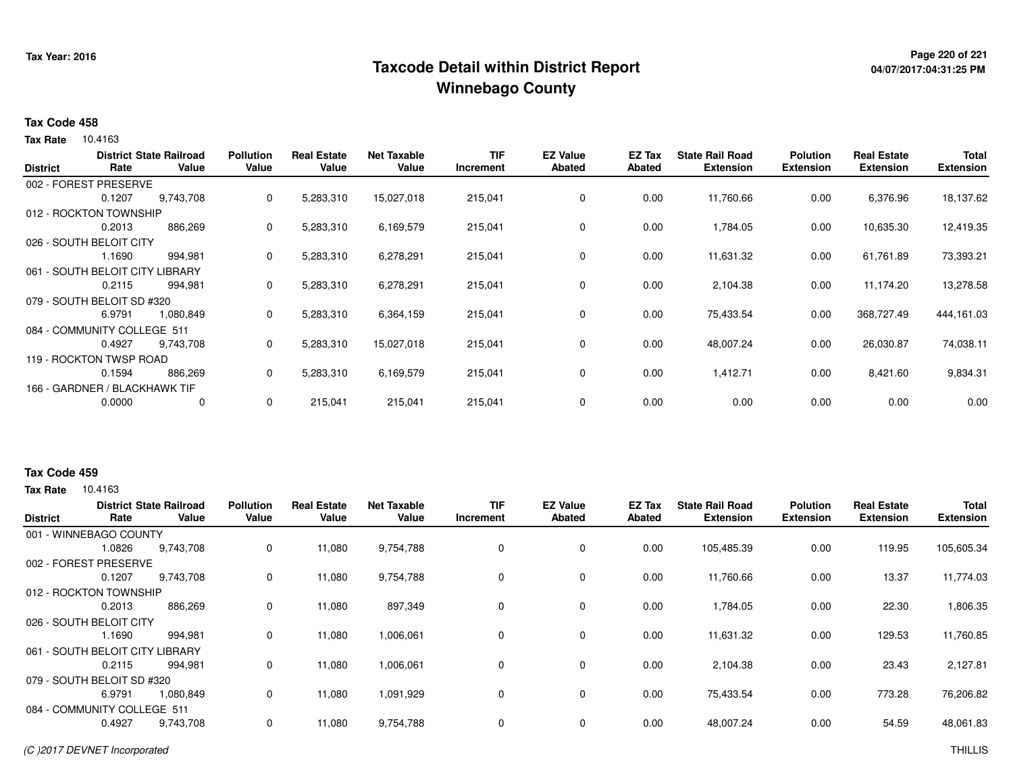## **Page 220 of 221 Taxcode Detail within District ReportWinnebago County**

# **04/07/2017:04:31:25 PM**

#### **Tax Code 458**

**Tax Rate** 10.4163

| <b>District</b> | Rate                          | <b>District State Railroad</b><br>Value | <b>Pollution</b><br>Value | <b>Real Estate</b><br>Value | <b>Net Taxable</b><br>Value | <b>TIF</b><br>Increment | <b>EZ Value</b><br><b>Abated</b> | EZ Tax<br>Abated | <b>State Rail Road</b><br><b>Extension</b> | <b>Polution</b><br><b>Extension</b> | <b>Real Estate</b><br><b>Extension</b> | <b>Total</b><br><b>Extension</b> |
|-----------------|-------------------------------|-----------------------------------------|---------------------------|-----------------------------|-----------------------------|-------------------------|----------------------------------|------------------|--------------------------------------------|-------------------------------------|----------------------------------------|----------------------------------|
|                 | 002 - FOREST PRESERVE         |                                         |                           |                             |                             |                         |                                  |                  |                                            |                                     |                                        |                                  |
|                 | 0.1207                        | 9,743,708                               | 0                         | 5,283,310                   | 15,027,018                  | 215,041                 | 0                                | 0.00             | 11,760.66                                  | 0.00                                | 6,376.96                               | 18,137.62                        |
|                 | 012 - ROCKTON TOWNSHIP        |                                         |                           |                             |                             |                         |                                  |                  |                                            |                                     |                                        |                                  |
|                 | 0.2013                        | 886,269                                 | $\mathbf{0}$              | 5,283,310                   | 6,169,579                   | 215,041                 | 0                                | 0.00             | 1,784.05                                   | 0.00                                | 10,635.30                              | 12,419.35                        |
|                 | 026 - SOUTH BELOIT CITY       |                                         |                           |                             |                             |                         |                                  |                  |                                            |                                     |                                        |                                  |
|                 | 1.1690                        | 994,981                                 | $\mathbf{0}$              | 5,283,310                   | 6,278,291                   | 215,041                 | $\mathbf 0$                      | 0.00             | 11,631.32                                  | 0.00                                | 61,761.89                              | 73,393.21                        |
|                 | 061 - SOUTH BELOIT CITY       | LIBRARY                                 |                           |                             |                             |                         |                                  |                  |                                            |                                     |                                        |                                  |
|                 | 0.2115                        | 994,981                                 | 0                         | 5,283,310                   | 6,278,291                   | 215,041                 | $\mathbf 0$                      | 0.00             | 2,104.38                                   | 0.00                                | 11.174.20                              | 13,278.58                        |
|                 | 079 - SOUTH BELOIT SD #320    |                                         |                           |                             |                             |                         |                                  |                  |                                            |                                     |                                        |                                  |
|                 | 6.9791                        | 1,080,849                               | 0                         | 5,283,310                   | 6,364,159                   | 215,041                 | $\mathbf 0$                      | 0.00             | 75,433.54                                  | 0.00                                | 368,727.49                             | 444,161.03                       |
|                 | 084 - COMMUNITY COLLEGE 511   |                                         |                           |                             |                             |                         |                                  |                  |                                            |                                     |                                        |                                  |
|                 | 0.4927                        | 9,743,708                               | $\mathbf{0}$              | 5,283,310                   | 15,027,018                  | 215,041                 | 0                                | 0.00             | 48,007.24                                  | 0.00                                | 26,030.87                              | 74,038.11                        |
|                 | 119 - ROCKTON TWSP ROAD       |                                         |                           |                             |                             |                         |                                  |                  |                                            |                                     |                                        |                                  |
|                 | 0.1594                        | 886,269                                 | $\mathbf{0}$              | 5,283,310                   | 6,169,579                   | 215,041                 | 0                                | 0.00             | 1,412.71                                   | 0.00                                | 8,421.60                               | 9,834.31                         |
|                 | 166 - GARDNER / BLACKHAWK TIF |                                         |                           |                             |                             |                         |                                  |                  |                                            |                                     |                                        |                                  |
|                 | 0.0000                        | 0                                       | 0                         | 215,041                     | 215,041                     | 215,041                 | 0                                | 0.00             | 0.00                                       | 0.00                                | 0.00                                   | 0.00                             |

#### **Tax Code 459**

**Tax Rate** 10.4163

| <b>District</b> | Rate                        | <b>District State Railroad</b><br>Value | <b>Pollution</b><br>Value | <b>Real Estate</b><br>Value | <b>Net Taxable</b><br>Value | <b>TIF</b><br>Increment | <b>EZ Value</b><br>Abated | EZ Tax<br>Abated | <b>State Rail Road</b><br><b>Extension</b> | <b>Polution</b><br><b>Extension</b> | <b>Real Estate</b><br><b>Extension</b> | <b>Total</b><br><b>Extension</b> |
|-----------------|-----------------------------|-----------------------------------------|---------------------------|-----------------------------|-----------------------------|-------------------------|---------------------------|------------------|--------------------------------------------|-------------------------------------|----------------------------------------|----------------------------------|
|                 | 001 - WINNEBAGO COUNTY      |                                         |                           |                             |                             |                         |                           |                  |                                            |                                     |                                        |                                  |
|                 | 1.0826                      | 9,743,708                               | $\mathbf 0$               | 11,080                      | 9,754,788                   | 0                       | 0                         | 0.00             | 105,485.39                                 | 0.00                                | 119.95                                 | 105,605.34                       |
| 002 - FOREST    | <b>PRESERVE</b>             |                                         |                           |                             |                             |                         |                           |                  |                                            |                                     |                                        |                                  |
|                 | 0.1207                      | 9,743,708                               | 0                         | 11,080                      | 9,754,788                   | 0                       | 0                         | 0.00             | 11,760.66                                  | 0.00                                | 13.37                                  | 11,774.03                        |
|                 | 012 - ROCKTON TOWNSHIP      |                                         |                           |                             |                             |                         |                           |                  |                                            |                                     |                                        |                                  |
|                 | 0.2013                      | 886,269                                 | 0                         | 11,080                      | 897,349                     | 0                       | 0                         | 0.00             | 1,784.05                                   | 0.00                                | 22.30                                  | 1,806.35                         |
|                 | 026 - SOUTH BELOIT CITY     |                                         |                           |                             |                             |                         |                           |                  |                                            |                                     |                                        |                                  |
|                 | 1.1690                      | 994,981                                 | 0                         | 11,080                      | 1,006,061                   | 0                       | 0                         | 0.00             | 11,631.32                                  | 0.00                                | 129.53                                 | 11,760.85                        |
|                 | 061 - SOUTH BELOIT CITY     | <b>LIBRARY</b>                          |                           |                             |                             |                         |                           |                  |                                            |                                     |                                        |                                  |
|                 | 0.2115                      | 994.981                                 | 0                         | 11.080                      | 1,006,061                   | 0                       | $\mathbf 0$               | 0.00             | 2,104.38                                   | 0.00                                | 23.43                                  | 2,127.81                         |
|                 | 079 - SOUTH BELOIT SD #320  |                                         |                           |                             |                             |                         |                           |                  |                                            |                                     |                                        |                                  |
|                 | 6.9791                      | 1,080,849                               | 0                         | 11,080                      | 1,091,929                   | 0                       | 0                         | 0.00             | 75,433.54                                  | 0.00                                | 773.28                                 | 76,206.82                        |
|                 | 084 - COMMUNITY COLLEGE 511 |                                         |                           |                             |                             |                         |                           |                  |                                            |                                     |                                        |                                  |
|                 | 0.4927                      | 9,743,708                               | 0                         | 11,080                      | 9,754,788                   | $\mathbf 0$             | $\mathbf 0$               | 0.00             | 48,007.24                                  | 0.00                                | 54.59                                  | 48,061.83                        |
|                 |                             |                                         |                           |                             |                             |                         |                           |                  |                                            |                                     |                                        |                                  |